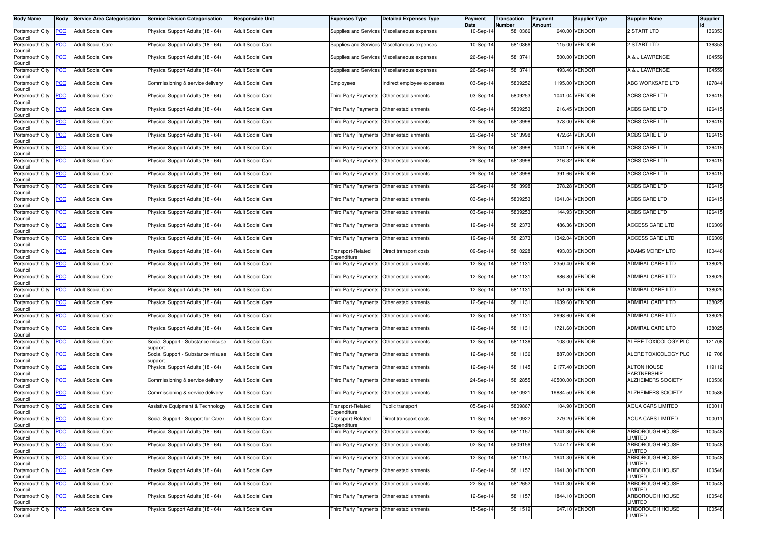| <b>Body Name</b>                              | <b>Body</b> | <b>Service Area Categorisation</b> | <b>Service Division Categorisation</b>       | <b>Responsible Unit</b>  | <b>Expenses Type</b>                      | <b>Detailed Expenses Type</b>                | Payment<br>Date | Transaction<br>Number | <b>Payment</b><br><b>Amount</b> | <b>Supplier Type</b> | <b>Supplier Name</b>              | <b>Supplier</b> |
|-----------------------------------------------|-------------|------------------------------------|----------------------------------------------|--------------------------|-------------------------------------------|----------------------------------------------|-----------------|-----------------------|---------------------------------|----------------------|-----------------------------------|-----------------|
| Portsmouth City<br>Council                    | <b>PCC</b>  | <b>Adult Social Care</b>           | Physical Support Adults (18 - 64)            | <b>Adult Social Care</b> |                                           | Supplies and Services Miscellaneous expenses | 10-Sep-14       | 5810366               |                                 | 640.00 VENDOR        | <b>2 START LTD</b>                | 136353          |
| Portsmouth City<br>Council                    | <b>PCC</b>  | <b>Adult Social Care</b>           | Physical Support Adults (18 - 64)            | <b>Adult Social Care</b> |                                           | Supplies and Services Miscellaneous expenses | $10-Sep-1$      | 5810366               |                                 | 115.00 VENDOR        | 2 START LTD                       | 136353          |
| Portsmouth City<br>Council                    | <b>PCC</b>  | <b>Adult Social Care</b>           | Physical Support Adults (18 - 64)            | <b>Adult Social Care</b> |                                           | Supplies and Services Miscellaneous expenses | 26-Sep-14       | 5813741               |                                 | 500.00 VENDOR        | A & J LAWRENCE                    | 104559          |
| Portsmouth City<br>Council                    | <u>PCC</u>  | <b>Adult Social Care</b>           | Physical Support Adults (18 - 64)            | <b>Adult Social Care</b> |                                           | Supplies and Services Miscellaneous expenses | 26-Sep-14       | 5813741               |                                 | 493.46 VENDOR        | A & J LAWRENCE                    | 104559          |
| Portsmouth City<br>Council                    | <b>PCC</b>  | <b>Adult Social Care</b>           | Commissioning & service delivery             | <b>Adult Social Care</b> | Employees                                 | Indirect employee expenses                   | 03-Sep-14       | 5809252               |                                 | 1195.00 VENDOR       | ABC WORKSAFE LTD                  | 127844          |
| Portsmouth City<br>Council                    | <b>PCC</b>  | <b>Adult Social Care</b>           | Physical Support Adults (18 - 64)            | <b>Adult Social Care</b> | Third Party Payments Other establishments |                                              | 03-Sep-14       | 5809253               |                                 | 1041.04 VENDOR       | ACBS CARE LTD                     | 126415          |
| Portsmouth City<br>Council                    | <u>PCC</u>  | <b>Adult Social Care</b>           | Physical Support Adults (18 - 64)            | Adult Social Care        | Third Party Payments                      | Other establishments                         | 03-Sep-14       | 5809253               |                                 | 216.45 VENDOR        | ACBS CARE LTD                     | 126415          |
| Portsmouth City<br>Council                    | <b>PCC</b>  | <b>Adult Social Care</b>           | Physical Support Adults (18 - 64)            | <b>Adult Social Care</b> | Third Party Payments                      | Other establishments                         | 29-Sep-14       | 5813998               |                                 | 378.00 VENDOR        | <b>ACBS CARE LTD</b>              | 126415          |
| Portsmouth City<br>Council                    | <b>PCC</b>  | <b>Adult Social Care</b>           | Physical Support Adults (18 - 64)            | <b>Adult Social Care</b> | Third Party Payments Other establishments |                                              | 29-Sep-14       | 5813998               |                                 | 472.64 VENDOR        | ACBS CARE LTD                     | 126415          |
| Portsmouth City<br>Council                    | <u>PCC</u>  | Adult Social Care                  | Physical Support Adults (18 - 64)            | <b>Adult Social Care</b> |                                           | Third Party Payments Other establishments    | 29-Sep-14       | 5813998               |                                 | 1041.17 VENDOR       | <b>ACBS CARE LTD</b>              | 126415          |
| Portsmouth City<br>Council                    | <b>PCC</b>  | <b>Adult Social Care</b>           | Physical Support Adults (18 - 64)            | <b>Adult Social Care</b> | Third Party Payments Other establishments |                                              | 29-Sep-14       | 5813998               |                                 | 216.32 VENDOR        | ACBS CARE LTD                     | 126415          |
| Portsmouth City<br>Council                    | <b>PCC</b>  | <b>Adult Social Care</b>           | Physical Support Adults (18 - 64)            | <b>Adult Social Care</b> |                                           | Third Party Payments Other establishments    | 29-Sep-14       | 5813998               |                                 | 391.66 VENDOR        | <b>ACBS CARE LTD</b>              | 126415          |
| Portsmouth City<br>Council                    | <u>PCC</u>  | <b>Adult Social Care</b>           | Physical Support Adults (18 - 64)            | <b>Adult Social Care</b> |                                           | Third Party Payments Other establishments    | 29-Sep-14       | 5813998               |                                 | 378.28 VENDOR        | <b>ACBS CARE LTD</b>              | 126415          |
| Portsmouth City<br>Council                    | <b>PCC</b>  | <b>Adult Social Care</b>           | Physical Support Adults (18 - 64)            | <b>Adult Social Care</b> | Third Party Payments Other establishments |                                              | 03-Sep-14       | 5809253               |                                 | 1041.04 VENDOR       | <b>ACBS CARE LTD</b>              | 126415          |
| Portsmouth City<br>Council                    | <b>PCC</b>  | <b>Adult Social Care</b>           | Physical Support Adults (18 - 64)            | <b>Adult Social Care</b> | Third Party Payments Other establishments |                                              | 03-Sep-14       | 5809253               |                                 | 144.93 VENDOR        | ACBS CARE LTD                     | 126415          |
| Portsmouth City<br>Council                    | <u>PCC</u>  | <b>Adult Social Care</b>           | Physical Support Adults (18 - 64)            | <b>Adult Social Care</b> | Third Party Payments                      | Other establishments                         | 19-Sep-14       | 5812373               |                                 | 486.36 VENDOR        | <b>ACCESS CARE LTD</b>            | 106309          |
| Portsmouth City<br>Council                    | <u>'CC</u>  | <b>Adult Social Care</b>           | Physical Support Adults (18 - 64)            | <b>Adult Social Care</b> | Third Party Payments Other establishments |                                              | 19-Sep-14       | 5812373               |                                 | 1342.04 VENDOR       | <b>ACCESS CARE LTD</b>            | 106309          |
| Portsmouth City<br>Council                    | <b>PCC</b>  | <b>Adult Social Care</b>           | Physical Support Adults (18 - 64)            | Adult Social Care        | <b>Transport-Related</b><br>Expenditure   | Direct transport costs                       | 09-Sep-14       | 5810228               |                                 | 493.03 VENDOR        | ADAMS MOREY LTD                   | 100446          |
| Portsmouth City<br>Council                    | <b>PCC</b>  | <b>Adult Social Care</b>           | Physical Support Adults (18 - 64)            | <b>Adult Social Care</b> | Third Party Payments                      | Other establishments                         | 12-Sep-14       | 5811131               |                                 | 2350.40 VENDOR       | ADMIRAL CARE LTD                  | 138025          |
| Portsmouth City<br>Council                    | PCC         | <b>Adult Social Care</b>           | Physical Support Adults (18 - 64)            | <b>Adult Social Care</b> | <b>Third Party Payments</b>               | Other establishments                         | 12-Sep-14       | 5811131               |                                 | 986.80 VENDOR        | ADMIRAL CARE LTD                  | 138025          |
| Portsmouth City<br>Council                    | <u>CC</u>   | <b>Adult Social Care</b>           | Physical Support Adults (18 - 64)            | <b>Adult Social Care</b> |                                           | Third Party Payments Other establishments    | 12-Sep-14       | 5811131               |                                 | 351.00 VENDOR        | ADMIRAL CARE LTD                  | 138025          |
| Portsmouth City<br>Council                    | <b>PCC</b>  | <b>Adult Social Care</b>           | Physical Support Adults (18 - 64)            | <b>Adult Social Care</b> | Third Party Payments Other establishments |                                              | 12-Sep-14       | 5811131               |                                 | 1939.60 VENDOR       | <b>ADMIRAL CARE LTD</b>           | 138025          |
| Portsmouth City<br>Council                    | <u>PCC</u>  | <b>Adult Social Care</b>           | Physical Support Adults (18 - 64)            | <b>Adult Social Care</b> | Third Party Payments                      | Other establishments                         | 12-Sep-14       | 5811131               |                                 | 2698.60 VENDOR       | ADMIRAL CARE LTD                  | 138025          |
| Portsmouth City<br>Council                    | <b>PCC</b>  | <b>Adult Social Care</b>           | Physical Support Adults (18 - 64)            | <b>Adult Social Care</b> | Third Party Payments Other establishments |                                              | 12-Sep-14       | 5811131               |                                 | 1721.60 VENDOR       | <b>ADMIRAL CARE LTD</b>           | 138025          |
| Portsmouth City<br>Council                    | PCC         | <b>Adult Social Care</b>           | Social Support - Substance misuse<br>support | <b>Adult Social Care</b> | Third Party Payments Other establishments |                                              | 12-Sep-14       | 5811136               |                                 | 108.00 VENDOR        | ALERE TOXICOLOGY PLC              | 121708          |
| Portsmouth City<br>Council                    | <b>PCC</b>  | Adult Social Care                  | Social Support - Substance misuse<br>support | <b>Adult Social Care</b> |                                           | Third Party Payments Other establishments    | 12-Sep-14       | 5811136               |                                 | 887.00 VENDOR        | ALERE TOXICOLOGY PLC              | 121708          |
| Portsmouth City<br>Council                    | <u>PCC</u>  | <b>Adult Social Care</b>           | Physical Support Adults (18 - 64)            | <b>Adult Social Care</b> | Third Party Payments Other establishments |                                              | 12-Sep-14       | 5811145               |                                 | 2177.40 VENDOR       | <b>ALTON HOUSE</b><br>PARTNERSHIP | 119112          |
| Portsmouth City<br>Council                    | <u>PCC</u>  | <b>Adult Social Care</b>           | Commissioning & service delivery             | <b>Adult Social Care</b> | Third Party Payments                      | Other establishments                         | 24-Sep-14       | 5812855               |                                 | 40500.00 VENDOR      | ALZHEIMERS SOCIETY                | 100536          |
| Portsmouth City<br>Council                    | <u>PCC</u>  | <b>Adult Social Care</b>           | Commissioning & service delivery             | <b>Adult Social Care</b> | Third Party Payments                      | Other establishments                         | 11-Sep-14       | 5810921               |                                 | 19884.50 VENDOR      | ALZHEIMERS SOCIETY                | 100536          |
| Portsmouth City<br>Council                    | <b>PCC</b>  | <b>Adult Social Care</b>           | Assistive Equipment & Technology             | <b>Adult Social Care</b> | Transport-Related<br>Expenditure          | Public transport                             | 05-Sep-14       | 5809867               |                                 | 104.90 VENDOR        | <b>AQUA CARS LIMITED</b>          | 100011          |
| Portsmouth City<br>Council<br>Portsmouth City | PCC         | <b>Adult Social Care</b>           | Social Support - Support for Carer           | <b>Adult Social Care</b> | Transport-Related<br>Expenditure          | Direct transport costs                       | 11-Sep-14       | 5810922               |                                 | 279.20 VENDOR        | <b>AQUA CARS LIMITED</b>          | 100011          |
| Council                                       | <u>PCC</u>  | <b>Adult Social Care</b>           | Physical Support Adults (18 - 64)            | <b>Adult Social Care</b> | Third Party Payments Other establishments |                                              | 12-Sep-14       | 5811157               |                                 | 1941.30 VENDOR       | ARBOROUGH HOUSE<br><b>IMITED</b>  | 100548          |
| Portsmouth City<br>Council                    | <b>PCC</b>  | <b>Adult Social Care</b>           | Physical Support Adults (18 - 64)            | <b>Adult Social Care</b> | Third Party Payments Other establishments |                                              | 02-Sep-14       | 5809156               |                                 | 1747.17 VENDOR       | ARBOROUGH HOUSE<br>LIMITED        | 100548          |
| Portsmouth City<br>Council                    | <b>PCC</b>  | <b>Adult Social Care</b>           | Physical Support Adults (18 - 64)            | <b>Adult Social Care</b> | Third Party Payments Other establishments |                                              | 12-Sep-14       | 5811157               |                                 | 1941.30 VENDOR       | ARBOROUGH HOUSE<br>LIMITED        | 100548          |
| Portsmouth City<br>Council                    | <b>PCC</b>  | <b>Adult Social Care</b>           | Physical Support Adults (18 - 64)            | <b>Adult Social Care</b> | Third Party Payments Other establishments |                                              | 12-Sep-14       | 5811157               |                                 | 1941.30 VENDOR       | ARBOROUGH HOUSE<br>LIMITED        | 100548          |
| Portsmouth City<br>Council                    | <u>PCC</u>  | <b>Adult Social Care</b>           | Physical Support Adults (18 - 64)            | <b>Adult Social Care</b> | Third Party Payments                      | Other establishments                         | 22-Sep-14       | 5812652               |                                 | 1941.30 VENDOR       | ARBOROUGH HOUSE<br>LIMITED        | 100548          |
| Portsmouth City<br>Council                    | <b>PCC</b>  | <b>Adult Social Care</b>           | Physical Support Adults (18 - 64)            | <b>Adult Social Care</b> | Third Party Payments Other establishments |                                              | 12-Sep-14       | 5811157               |                                 | 1844.10 VENDOR       | ARBOROUGH HOUSE<br>LIMITED        | 100548          |
| Portsmouth City<br>Council                    | <b>PCC</b>  | <b>Adult Social Care</b>           | Physical Support Adults (18 - 64)            | <b>Adult Social Care</b> | Third Party Payments Other establishments |                                              | 15-Sep-14       | 5811519               |                                 | 647.10 VENDOR        | ARBOROUGH HOUSE<br>LIMITED        | 100548          |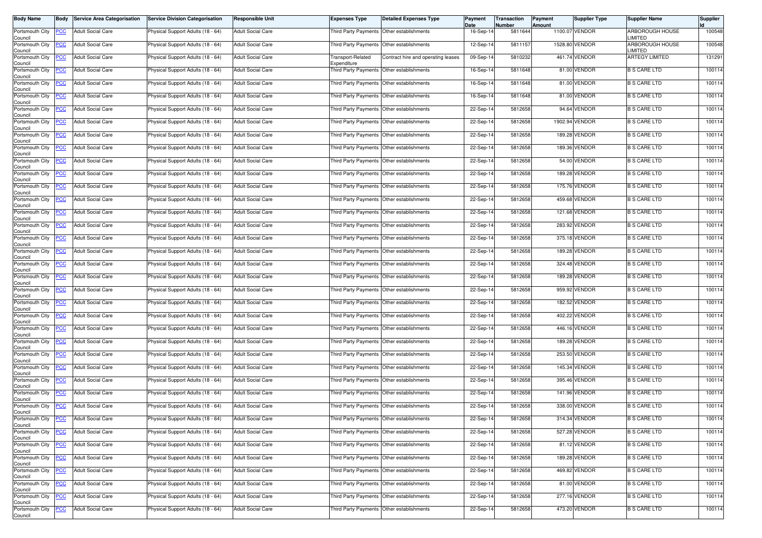| <b>Body Name</b>           | <b>Body</b>    | <b>Service Area Categorisation</b>    | <b>Service Division Categorisation</b> | <b>Responsible Unit</b>  | <b>Expenses Type</b>                      | <b>Detailed Expenses Type</b>             | Payment<br>Date | Transaction<br><b>Number</b> | Payment<br>Amount | <b>Supplier Type</b> | <b>Supplier Name</b>             | <b>Supplier</b> |
|----------------------------|----------------|---------------------------------------|----------------------------------------|--------------------------|-------------------------------------------|-------------------------------------------|-----------------|------------------------------|-------------------|----------------------|----------------------------------|-----------------|
| Portsmouth City<br>Council | <b>PCC</b>     | <b>Adult Social Care</b>              | Physical Support Adults (18 - 64)      | <b>Adult Social Care</b> | Third Party Payments Other establishments |                                           | 16-Sep-14       | 5811644                      |                   | 1100.07 VENDOR       | ARBOROUGH HOUSE<br>LIMITED       | 100548          |
| Portsmouth City<br>Council | <b>PCC</b>     | <b>Adult Social Care</b>              | Physical Support Adults (18 - 64)      | <b>Adult Social Care</b> |                                           | Third Party Payments Other establishments | 12-Sep-14       | 5811157                      |                   | 1528.80 VENDOR       | ARBOROUGH HOUSE<br><b>IMITED</b> | 100548          |
| Portsmouth City<br>Council | <u>PCC</u>     | <b>Adult Social Care</b>              | Physical Support Adults (18 - 64)      | <b>Adult Social Care</b> | Transport-Related<br>Expenditure          | Contract hire and operating leases        | 09-Sep-14       | 5810232                      |                   | 461.74 VENDOR        | <b>ARTEGY LIMITED</b>            | 131291          |
| Portsmouth City<br>Council | <b>PCC</b>     | <b>Adult Social Care</b>              | Physical Support Adults (18 - 64)      | <b>Adult Social Care</b> | Third Party Payments                      | Other establishments                      | 16-Sep-14       | 5811648                      |                   | 81.00 VENDOR         | <b>B S CARE LTD</b>              | 100114          |
| Portsmouth City<br>Council | <b>PCC</b>     | <b>Adult Social Care</b>              | Physical Support Adults (18 - 64)      | <b>Adult Social Care</b> | Third Party Payments                      | Other establishments                      | 16-Sep-14       | 5811648                      |                   | 81.00 VENDOR         | <b>B S CARE LTD</b>              | 100114          |
| Portsmouth City<br>Council | <b>PCC</b>     | <b>Adult Social Care</b>              | Physical Support Adults (18 - 64)      | <b>Adult Social Care</b> | Third Party Payments Other establishments |                                           | 16-Sep-14       | 5811648                      |                   | 81.00 VENDOR         | <b>B S CARE LTD</b>              | 100114          |
| Portsmouth City<br>Council | <b>PCC</b>     | <b>Adult Social Care</b>              | Physical Support Adults (18 - 64)      | <b>Adult Social Care</b> | Third Party Payments                      | Other establishments                      | 22-Sep-14       | 5812658                      |                   | 94.64 VENDOR         | <b>B S CARE LTD</b>              | 100114          |
| Portsmouth City<br>Council | <b>PCC</b>     | <b>Adult Social Care</b>              | Physical Support Adults (18 - 64)      | <b>Adult Social Care</b> | Third Party Payments                      | Other establishments                      | 22-Sep-14       | 5812658                      |                   | 1902.94 VENDOR       | <b>B S CARE LTD</b>              | 100114          |
| Portsmouth City<br>Council | PСC            | <b>Adult Social Care</b>              | Physical Support Adults (18 - 64)      | <b>Adult Social Care</b> | Third Party Payments                      | Other establishments                      | 22-Sep-14       | 5812658                      |                   | 189.28 VENDOR        | <b>B S CARE LTD</b>              | 100114          |
| Portsmouth City<br>Council | <b>PCC</b>     | <b>Adult Social Care</b>              | Physical Support Adults (18 - 64)      | <b>Adult Social Care</b> |                                           | Third Party Payments Other establishments | 22-Sep-14       | 5812658                      |                   | 189.36 VENDOR        | <b>B S CARE LTD</b>              | 100114          |
| Portsmouth City<br>Council | <u>PCC</u>     | <b>Adult Social Care</b>              | Physical Support Adults (18 - 64)      | <b>Adult Social Care</b> | Third Party Payments Other establishments |                                           | 22-Sep-14       | 5812658                      |                   | 54.00 VENDOR         | <b>B S CARE LTD</b>              | 100114          |
| Portsmouth City<br>Council | <b>PCC</b>     | <b>Adult Social Care</b>              | Physical Support Adults (18 - 64)      | <b>Adult Social Care</b> | Third Party Payments Other establishments |                                           | 22-Sep-14       | 5812658                      |                   | 189.28 VENDOR        | <b>B S CARE LTD</b>              | 100114          |
| Portsmouth City<br>Council | <u>PCC</u>     | <b>Adult Social Care</b>              | Physical Support Adults (18 - 64)      | <b>Adult Social Care</b> | Third Party Payments Other establishments |                                           | 22-Sep-14       | 5812658                      |                   | 175.76 VENDOR        | <b>B S CARE LTD</b>              | 100114          |
| Portsmouth City<br>Council | <b>PCC</b>     | <b>Adult Social Care</b>              | Physical Support Adults (18 - 64)      | <b>Adult Social Care</b> | Third Party Payments Other establishments |                                           | 22-Sep-14       | 5812658                      |                   | 459.68 VENDOR        | <b>B S CARE LTD</b>              | 100114          |
| Portsmouth City<br>Council | <u>PCC</u>     | <b>Adult Social Care</b>              | Physical Support Adults (18 - 64)      | <b>Adult Social Care</b> |                                           | Third Party Payments Other establishments | 22-Sep-14       | 5812658                      |                   | 121.68 VENDOR        | <b>B S CARE LTD</b>              | 100114          |
| Portsmouth City<br>Council | <b>PCC</b>     | <b>Adult Social Care</b>              | Physical Support Adults (18 - 64)      | <b>Adult Social Care</b> | Third Party Payments Other establishments |                                           | 22-Sep-14       | 5812658                      |                   | 283.92 VENDOR        | <b>B S CARE LTD</b>              | 100114          |
| Portsmouth City<br>Council | <u>PCC</u>     | <b>Adult Social Care</b>              | Physical Support Adults (18 - 64)      | <b>Adult Social Care</b> | Third Party Payments                      | Other establishments                      | 22-Sep-14       | 5812658                      |                   | 375.18 VENDOR        | <b>B S CARE LTD</b>              | 100114          |
| Portsmouth City<br>Council | <u>PCC</u>     | <b>Adult Social Care</b>              | Physical Support Adults (18 - 64)      | <b>Adult Social Care</b> | Third Party Payments Other establishments |                                           | 22-Sep-14       | 5812658                      |                   | 189.28 VENDOR        | <b>B S CARE LTD</b>              | 100114          |
| Portsmouth City<br>Council | <u>PCC</u>     | <b>Adult Social Care</b>              | Physical Support Adults (18 - 64)      | <b>Adult Social Care</b> | Third Party Payments Other establishments |                                           | 22-Sep-14       | 5812658                      |                   | 324.48 VENDOR        | <b>B S CARE LTD</b>              | 100114          |
| Portsmouth City<br>Council | <b>PCC</b>     | <b>Adult Social Care</b>              | Physical Support Adults (18 - 64)      | <b>Adult Social Care</b> | Third Party Payments Other establishments |                                           | 22-Sep-14       | 5812658                      |                   | 189.28 VENDOR        | <b>B S CARE LTD</b>              | 100114          |
| Portsmouth City<br>Council | <u>PCC</u>     | <b>Adult Social Care</b>              | Physical Support Adults (18 - 64)      | <b>Adult Social Care</b> | Third Party Payments Other establishments |                                           | 22-Sep-14       | 5812658                      |                   | 959.92 VENDOR        | <b>B S CARE LTD</b>              | 100114          |
| Portsmouth City<br>Council | <b>PCC</b>     | <b>Adult Social Care</b>              | Physical Support Adults (18 - 64)      | <b>Adult Social Care</b> | Third Party Payments Other establishments |                                           | 22-Sep-14       | 5812658                      |                   | 182.52 VENDOR        | <b>B S CARE LTD</b>              | 100114          |
| Portsmouth City<br>Council | <b>PCC</b>     | <b>Adult Social Care</b>              | Physical Support Adults (18 - 64)      | <b>Adult Social Care</b> |                                           | Third Party Payments Other establishments | 22-Sep-14       | 5812658                      |                   | 402.22 VENDOR        | <b>B S CARE LTD</b>              | 100114          |
| Portsmouth City<br>Council | <u>PCC</u>     | <b>Adult Social Care</b>              | Physical Support Adults (18 - 64)      | <b>Adult Social Care</b> | Third Party Payments Other establishments |                                           | 22-Sep-14       | 5812658                      |                   | 446.16 VENDOR        | <b>B S CARE LTD</b>              | 100114          |
| Portsmouth City<br>Council | PCC            | <b>Adult Social Care</b>              | Physical Support Adults (18 - 64)      | <b>Adult Social Care</b> |                                           | Third Party Payments Other establishments | 22-Sep-14       | 5812658                      |                   | 189.28 VENDOR        | <b>B S CARE LTD</b>              | 100114          |
| Portsmouth City<br>Council | <u>PCC</u>     | <b>Adult Social Care</b>              | Physical Support Adults (18 - 64)      | <b>Adult Social Care</b> |                                           | Third Party Payments Other establishments | 22-Sep-14       | 5812658                      |                   | 253.50 VENDOR        | <b>B S CARE LTD</b>              | 100114          |
| Portsmouth City<br>Council | <b>PCC</b>     | <b>Adult Social Care</b>              | Physical Support Adults (18 - 64)      | <b>Adult Social Care</b> | Third Party Payments Other establishments |                                           | 22-Sep-14       | 5812658                      |                   | 145.34 VENDOR        | <b>B S CARE LTD</b>              | 100114          |
| Portsmouth City<br>Council | <b>PCC</b>     | <b>Adult Social Care</b>              | Physical Support Adults (18 - 64)      | <b>Adult Social Care</b> | Third Party Payments                      | Other establishments                      | 22-Sep-14       | 5812658                      |                   | 395.46 VENDOR        | <b>B S CARE LTD</b>              | 100114          |
| Portsmouth City<br>Council | <b>PCC</b>     | <b>Adult Social Care</b>              | Physical Support Adults (18 - 64)      | <b>Adult Social Care</b> | Third Party Payments Other establishments |                                           | 22-Sep-14       | 5812658                      |                   | 141.96 VENDOR        | <b>B S CARE LTD</b>              | 100114          |
| Portsmouth City<br>Council | <b>PCC</b>     | <b>Adult Social Care</b>              | Physical Support Adults (18 - 64)      | <b>Adult Social Care</b> | Third Party Payments Other establishments |                                           | 22-Sep-14       | 5812658                      |                   | 338.00 VENDOR        | <b>B S CARE LTD</b>              | 100114          |
| Council                    |                | Portsmouth City PCC Adult Social Care | Physical Support Adults (18 - 64)      | <b>Adult Social Care</b> | Third Party Payments Other establishments |                                           | 22-Sep-14       | 5812658                      |                   | 314.34 VENDOR        | <b>B S CARE LTD</b>              | 100114          |
| Portsmouth City<br>Council | <u>PCC</u>     | <b>Adult Social Care</b>              | Physical Support Adults (18 - 64)      | <b>Adult Social Care</b> | Third Party Payments Other establishments |                                           | 22-Sep-14       | 5812658                      |                   | 527.28 VENDOR        | <b>B S CARE LTD</b>              | 100114          |
| Portsmouth City<br>Council | <b>PCC</b>     | <b>Adult Social Care</b>              | Physical Support Adults (18 - 64)      | <b>Adult Social Care</b> | Third Party Payments                      | Other establishments                      | 22-Sep-14       | 5812658                      |                   | 81.12 VENDOR         | <b>B S CARE LTD</b>              | 100114          |
| Portsmouth City<br>Council | $\overline{C}$ | <b>Adult Social Care</b>              | Physical Support Adults (18 - 64)      | <b>Adult Social Care</b> | Third Party Payments Other establishments |                                           | 22-Sep-14       | 5812658                      |                   | 189.28 VENDOR        | <b>B S CARE LTD</b>              | 100114          |
| Portsmouth City<br>Council | <b>PCC</b>     | Adult Social Care                     | Physical Support Adults (18 - 64)      | <b>Adult Social Care</b> | Third Party Payments Other establishments |                                           | 22-Sep-14       | 5812658                      |                   | 469.82 VENDOR        | <b>B S CARE LTD</b>              | 100114          |
| Portsmouth City<br>Council | <b>PCC</b>     | <b>Adult Social Care</b>              | Physical Support Adults (18 - 64)      | <b>Adult Social Care</b> |                                           | Third Party Payments Other establishments | 22-Sep-14       | 5812658                      |                   | 81.00 VENDOR         | <b>B S CARE LTD</b>              | 100114          |
| Portsmouth City<br>Council | <b>PCC</b>     | <b>Adult Social Care</b>              | Physical Support Adults (18 - 64)      | <b>Adult Social Care</b> | Third Party Payments Other establishments |                                           | 22-Sep-14       | 5812658                      |                   | 277.16 VENDOR        | <b>B S CARE LTD</b>              | 100114          |
| Portsmouth City<br>Council | <b>PCC</b>     | <b>Adult Social Care</b>              | Physical Support Adults (18 - 64)      | <b>Adult Social Care</b> |                                           | Third Party Payments Other establishments | 22-Sep-14       | 5812658                      |                   | 473.20 VENDOR        | <b>B S CARE LTD</b>              | 100114          |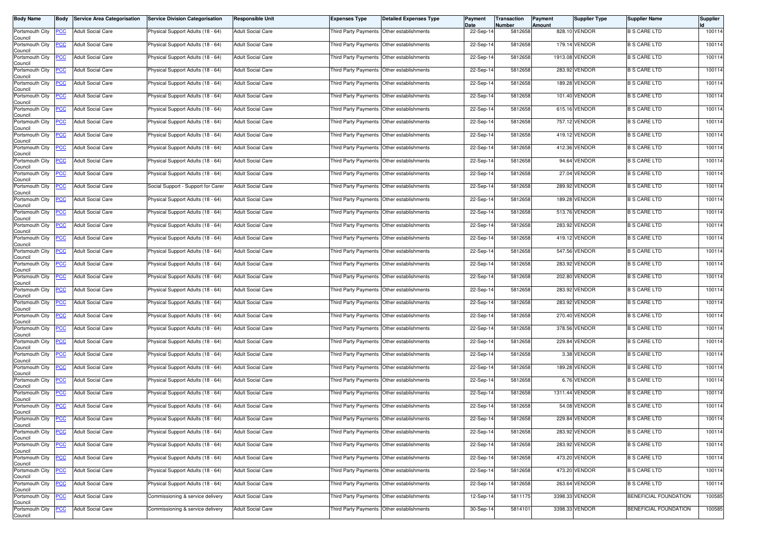| <b>Body Name</b>                                  | Body           | <b>Service Area Categorisation</b> | <b>Service Division Categorisation</b> | <b>Responsible Unit</b>  | <b>Expenses Type</b>                      | <b>Detailed Expenses Type</b>             | Payment<br>Date | Transaction<br>Number | Payment<br>Amount | Supplier Type  | <b>Supplier Name</b>         | Supplier |
|---------------------------------------------------|----------------|------------------------------------|----------------------------------------|--------------------------|-------------------------------------------|-------------------------------------------|-----------------|-----------------------|-------------------|----------------|------------------------------|----------|
| Portsmouth City<br>Council                        | <b>PCC</b>     | <b>Adult Social Care</b>           | Physical Support Adults (18 - 64)      | <b>Adult Social Care</b> | Third Party Payments Other establishments |                                           | 22-Sep-14       | 5812658               |                   | 828.10 VENDOR  | <b>B S CARE LTD</b>          | 100114   |
| Portsmouth City<br>Council                        | <b>PCC</b>     | <b>Adult Social Care</b>           | Physical Support Adults (18 - 64)      | <b>Adult Social Care</b> |                                           | Third Party Payments Other establishments | 22-Sep-14       | 5812658               |                   | 179.14 VENDOR  | <b>B S CARE LTD</b>          | 100114   |
| Portsmouth City<br>Council                        | <b>PCC</b>     | <b>Adult Social Care</b>           | Physical Support Adults (18 - 64)      | <b>Adult Social Care</b> | Third Party Payments Other establishments |                                           | 22-Sep-14       | 5812658               |                   | 1913.08 VENDOR | <b>B S CARE LTD</b>          | 100114   |
| Portsmouth City<br>Council                        | <b>PCC</b>     | <b>Adult Social Care</b>           | Physical Support Adults (18 - 64)      | <b>Adult Social Care</b> | Third Party Payments Other establishments |                                           | 22-Sep-14       | 5812658               |                   | 283.92 VENDOR  | <b>B S CARE LTD</b>          | 100114   |
| Portsmouth City<br>Council                        | <b>PCC</b>     | <b>Adult Social Care</b>           | Physical Support Adults (18 - 64)      | <b>Adult Social Care</b> |                                           | Third Party Payments Other establishments | 22-Sep-14       | 5812658               |                   | 189.28 VENDOR  | <b>B S CARE LTD</b>          | 100114   |
| Portsmouth City<br>Council                        | <b>PCC</b>     | <b>Adult Social Care</b>           | Physical Support Adults (18 - 64)      | <b>Adult Social Care</b> | Third Party Payments Other establishments |                                           | 22-Sep-14       | 5812658               |                   | 101.40 VENDOR  | <b>B S CARE LTD</b>          | 100114   |
| Portsmouth City<br>Council                        | <b>PCC</b>     | <b>Adult Social Care</b>           | Physical Support Adults (18 - 64)      | <b>Adult Social Care</b> | Third Party Payments Other establishments |                                           | 22-Sep-14       | 5812658               |                   | 615.16 VENDOR  | <b>B S CARE LTD</b>          | 100114   |
| Portsmouth City<br>Council                        | <b>PCC</b>     | <b>Adult Social Care</b>           | Physical Support Adults (18 - 64)      | <b>Adult Social Care</b> | Third Party Payments Other establishments |                                           | 22-Sep-14       | 5812658               |                   | 757.12 VENDOR  | <b>B S CARE LTD</b>          | 100114   |
| Portsmouth City<br>Council                        | <b>PCC</b>     | <b>Adult Social Care</b>           | Physical Support Adults (18 - 64)      | <b>Adult Social Care</b> | Third Party Payments Other establishments |                                           | 22-Sep-14       | 5812658               |                   | 419.12 VENDOR  | <b>B S CARE LTD</b>          | 100114   |
| Portsmouth City<br>Council                        | <b>PCC</b>     | <b>Adult Social Care</b>           | Physical Support Adults (18 - 64)      | <b>Adult Social Care</b> |                                           | Third Party Payments Other establishments | 22-Sep-14       | 5812658               |                   | 412.36 VENDOR  | <b>B S CARE LTD</b>          | 100114   |
| Portsmouth City<br>Council                        | <b>PCC</b>     | <b>Adult Social Care</b>           | Physical Support Adults (18 - 64)      | <b>Adult Social Care</b> | Third Party Payments Other establishments |                                           | 22-Sep-14       | 5812658               |                   | 94.64 VENDOR   | <b>B S CARE LTD</b>          | 100114   |
| Portsmouth City<br>Council                        | PСC            | <b>Adult Social Care</b>           | Physical Support Adults (18 - 64)      | <b>Adult Social Care</b> | Third Party Payments Other establishments |                                           | 22-Sep-14       | 5812658               |                   | 27.04 VENDOR   | <b>B S CARE LTD</b>          | 100114   |
| Portsmouth City<br>Council                        | <u>PCC</u>     | <b>Adult Social Care</b>           | Social Support - Support for Carer     | <b>Adult Social Care</b> |                                           | Third Party Payments Other establishments | 22-Sep-14       | 5812658               |                   | 289.92 VENDOR  | <b>B S CARE LTD</b>          | 100114   |
| Portsmouth City<br>Council                        | <b>PCC</b>     | <b>Adult Social Care</b>           | Physical Support Adults (18 - 64)      | <b>Adult Social Care</b> | Third Party Payments Other establishments |                                           | 22-Sep-14       | 5812658               |                   | 189.28 VENDOR  | <b>B S CARE LTD</b>          | 100114   |
| Portsmouth City<br>Council                        | <u>PCC</u>     | <b>Adult Social Care</b>           | Physical Support Adults (18 - 64)      | <b>Adult Social Care</b> | Third Party Payments Other establishments |                                           | 22-Sep-14       | 5812658               |                   | 513.76 VENDOR  | <b>B S CARE LTD</b>          | 100114   |
| Portsmouth City<br>Council                        | <b>PCC</b>     | <b>Adult Social Care</b>           | Physical Support Adults (18 - 64)      | <b>Adult Social Care</b> | Third Party Payments Other establishments |                                           | 22-Sep-14       | 5812658               |                   | 283.92 VENDOR  | <b>B S CARE LTD</b>          | 100114   |
| Portsmouth City<br>Council                        | <u>PCC</u>     | <b>Adult Social Care</b>           | Physical Support Adults (18 - 64)      | <b>Adult Social Care</b> | Third Party Payments Other establishments |                                           | 22-Sep-14       | 5812658               |                   | 419.12 VENDOR  | <b>B S CARE LTD</b>          | 100114   |
| Portsmouth City<br>Council                        | <b>PCC</b>     | <b>Adult Social Care</b>           | Physical Support Adults (18 - 64)      | <b>Adult Social Care</b> |                                           | Third Party Payments Other establishments | 22-Sep-14       | 5812658               |                   | 547.56 VENDOR  | <b>B S CARE LTD</b>          | 100114   |
| Portsmouth City<br>Council                        | <b>PCC</b>     | <b>Adult Social Care</b>           | Physical Support Adults (18 - 64)      | <b>Adult Social Care</b> | Third Party Payments Other establishments |                                           | 22-Sep-14       | 5812658               |                   | 283.92 VENDOR  | <b>B S CARE LTD</b>          | 100114   |
| Portsmouth City<br>Council                        | <b>PCC</b>     | <b>Adult Social Care</b>           | Physical Support Adults (18 - 64)      | <b>Adult Social Care</b> | Third Party Payments Other establishments |                                           | 22-Sep-14       | 5812658               |                   | 202.80 VENDOR  | <b>B S CARE LTD</b>          | 100114   |
| Portsmouth City<br>Council                        | $\overline{C}$ | <b>Adult Social Care</b>           | Physical Support Adults (18 - 64)      | <b>Adult Social Care</b> |                                           | Third Party Payments Other establishments | 22-Sep-14       | 5812658               |                   | 283.92 VENDOR  | <b>B S CARE LTD</b>          | 100114   |
| Portsmouth City<br>Council                        | <b>PCC</b>     | <b>Adult Social Care</b>           | Physical Support Adults (18 - 64)      | <b>Adult Social Care</b> | Third Party Payments Other establishments |                                           | 22-Sep-14       | 5812658               |                   | 283.92 VENDOR  | <b>B S CARE LTD</b>          | 100114   |
| Portsmouth City<br>Council                        | <u>PCC</u>     | <b>Adult Social Care</b>           | Physical Support Adults (18 - 64)      | <b>Adult Social Care</b> | Third Party Payments Other establishments |                                           | 22-Sep-14       | 5812658               |                   | 270.40 VENDOR  | <b>B S CARE LTD</b>          | 100114   |
| Portsmouth City<br>Council                        | <b>PCC</b>     | <b>Adult Social Care</b>           | Physical Support Adults (18 - 64)      | <b>Adult Social Care</b> | Third Party Payments Other establishments |                                           | 22-Sep-14       | 5812658               |                   | 378.56 VENDOR  | <b>B S CARE LTD</b>          | 100114   |
| Portsmouth City<br>Council                        | <b>PCC</b>     | <b>Adult Social Care</b>           | Physical Support Adults (18 - 64)      | <b>Adult Social Care</b> | Third Party Payments Other establishments |                                           | 22-Sep-14       | 5812658               |                   | 229.84 VENDOR  | <b>B S CARE LTD</b>          | 100114   |
| Portsmouth City<br>Council                        | <b>PCC</b>     | <b>Adult Social Care</b>           | Physical Support Adults (18 - 64)      | <b>Adult Social Care</b> |                                           | Third Party Payments Other establishments | 22-Sep-14       | 5812658               |                   | 3.38 VENDOR    | <b>B S CARE LTD</b>          | 100114   |
| Portsmouth City<br>Council                        | <b>PCC</b>     | <b>Adult Social Care</b>           | Physical Support Adults (18 - 64)      | <b>Adult Social Care</b> | Third Party Payments Other establishments |                                           | 22-Sep-14       | 5812658               |                   | 189.28 VENDOR  | <b>B S CARE LTD</b>          | 100114   |
| Portsmouth City<br>Council                        | <b>PCC</b>     | <b>Adult Social Care</b>           | Physical Support Adults (18 - 64)      | <b>Adult Social Care</b> | Third Party Payments Other establishments |                                           | 22-Sep-14       | 5812658               |                   | 6.76 VENDOR    | <b>B S CARE LTD</b>          | 100114   |
| Portsmouth City<br>Council                        | <b>PCC</b>     | <b>Adult Social Care</b>           | Physical Support Adults (18 - 64)      | <b>Adult Social Care</b> | Third Party Payments Other establishments |                                           | 22-Sep-14       | 5812658               |                   | 1311.44 VENDOR | <b>B S CARE LTD</b>          | 100114   |
| Portsmouth City<br>Council                        | <b>PCC</b>     | <b>Adult Social Care</b>           | Physical Support Adults (18 - 64)      | <b>Adult Social Care</b> | Third Party Payments Other establishments |                                           | 22-Sep-14       | 5812658               |                   | 54.08 VENDOR   | <b>B S CARE LTD</b>          | 100114   |
| Portsmouth City PCC<br>Council<br>Portsmouth City |                | <b>Adult Social Care</b>           | Physical Support Adults (18 - 64)      | <b>Adult Social Care</b> | Third Party Payments Other establishments |                                           | 22-Sep-14       | 5812658               |                   | 229.84 VENDOR  | <b>B S CARE LTD</b>          | 100114   |
| Council                                           | <b>PCC</b>     | <b>Adult Social Care</b>           | Physical Support Adults (18 - 64)      | <b>Adult Social Care</b> | Third Party Payments Other establishments |                                           | 22-Sep-14       | 5812658               |                   | 283.92 VENDOR  | <b>B S CARE LTD</b>          | 100114   |
| Portsmouth City<br>Council                        | <b>PCC</b>     | <b>Adult Social Care</b>           | Physical Support Adults (18 - 64)      | <b>Adult Social Care</b> | Third Party Payments Other establishments |                                           | 22-Sep-14       | 5812658               |                   | 283.92 VENDOR  | <b>B S CARE LTD</b>          | 100114   |
| Portsmouth City<br>Council                        | <b>PCC</b>     | <b>Adult Social Care</b>           | Physical Support Adults (18 - 64)      | <b>Adult Social Care</b> | Third Party Payments Other establishments |                                           | 22-Sep-14       | 5812658               |                   | 473.20 VENDOR  | <b>B S CARE LTD</b>          | 100114   |
| Portsmouth City<br>Council                        | <b>PCC</b>     | <b>Adult Social Care</b>           | Physical Support Adults (18 - 64)      | <b>Adult Social Care</b> | Third Party Payments Other establishments |                                           | 22-Sep-14       | 5812658               |                   | 473.20 VENDOR  | <b>B S CARE LTD</b>          | 100114   |
| Portsmouth City<br>Council                        | <b>PCC</b>     | <b>Adult Social Care</b>           | Physical Support Adults (18 - 64)      | <b>Adult Social Care</b> | Third Party Payments Other establishments |                                           | 22-Sep-14       | 5812658               |                   | 263.64 VENDOR  | <b>B S CARE LTD</b>          | 100114   |
| Portsmouth City<br>Council                        | <b>PCC</b>     | <b>Adult Social Care</b>           | Commissioning & service delivery       | <b>Adult Social Care</b> | Third Party Payments Other establishments |                                           | 12-Sep-14       | 5811175               |                   | 3398.33 VENDOR | <b>BENEFICIAL FOUNDATION</b> | 100585   |
| Portsmouth City<br>Council                        | <u>CC</u>      | <b>Adult Social Care</b>           | Commissioning & service delivery       | <b>Adult Social Care</b> | Third Party Payments Other establishments |                                           | 30-Sep-14       | 5814101               |                   | 3398.33 VENDOR | <b>BENEFICIAL FOUNDATION</b> | 100585   |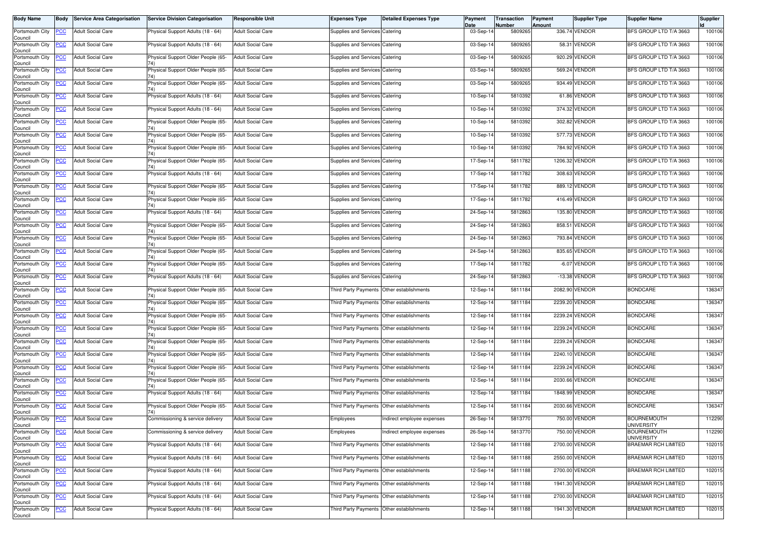| <b>Body Name</b>                                 | <b>Body</b>    | <b>Service Area Categorisation</b> | <b>Service Division Categorisation</b>    | <b>Responsible Unit</b>  | <b>Expenses Type</b>                      | <b>Detailed Expenses Type</b> | Payment<br>Date | Transaction<br>Number | Payment<br>Amount | Supplier Type  | <b>Supplier Name</b>                    | Supplier |
|--------------------------------------------------|----------------|------------------------------------|-------------------------------------------|--------------------------|-------------------------------------------|-------------------------------|-----------------|-----------------------|-------------------|----------------|-----------------------------------------|----------|
| Portsmouth City<br>Council                       | <b>PCC</b>     | <b>Adult Social Care</b>           | Physical Support Adults (18 - 64)         | <b>Adult Social Care</b> | Supplies and Services Catering            |                               | 03-Sep-14       | 5809265               |                   | 336.74 VENDOR  | BFS GROUP LTD T/A 3663                  | 100106   |
| Portsmouth City<br>Council                       | <b>PCC</b>     | <b>Adult Social Care</b>           | Physical Support Adults (18 - 64)         | <b>Adult Social Care</b> | Supplies and Services Catering            |                               | 03-Sep-14       | 5809265               |                   | 58.31 VENDOR   | BFS GROUP LTD T/A 3663                  | 100106   |
| Portsmouth City<br>Council                       | <b>PCC</b>     | <b>Adult Social Care</b>           | Physical Support Older People (65-<br>74) | <b>Adult Social Care</b> | Supplies and Services Catering            |                               | 03-Sep-14       | 5809265               |                   | 920.29 VENDOR  | BFS GROUP LTD T/A 3663                  | 100106   |
| Portsmouth City<br>Council                       | <b>PCC</b>     | <b>Adult Social Care</b>           | Physical Support Older People (65-        | <b>Adult Social Care</b> | Supplies and Services Catering            |                               | 03-Sep-14       | 5809265               |                   | 569.24 VENDOR  | BFS GROUP LTD T/A 3663                  | 100106   |
| Portsmouth City<br>Council                       | <b>PCC</b>     | <b>Adult Social Care</b>           | Physical Support Older People (65-        | <b>Adult Social Care</b> | Supplies and Services Catering            |                               | 03-Sep-14       | 5809265               |                   | 934.49 VENDOR  | BFS GROUP LTD T/A 3663                  | 100106   |
| Portsmouth City<br>Council                       | <b>PCC</b>     | <b>Adult Social Care</b>           | Physical Support Adults (18 - 64)         | <b>Adult Social Care</b> | Supplies and Services Catering            |                               | 10-Sep-14       | 5810392               |                   | 61.86 VENDOR   | BFS GROUP LTD T/A 3663                  | 100106   |
| Portsmouth City<br>Council                       | <u>PCC</u>     | <b>Adult Social Care</b>           | Physical Support Adults (18 - 64)         | <b>Adult Social Care</b> | Supplies and Services Catering            |                               | 10-Sep-14       | 5810392               |                   | 374.32 VENDOR  | BFS GROUP LTD T/A 3663                  | 100106   |
| Portsmouth City<br>Council                       | <b>PCC</b>     | <b>Adult Social Care</b>           | Physical Support Older People (65-        | <b>Adult Social Care</b> | Supplies and Services Catering            |                               | 10-Sep-14       | 5810392               |                   | 302.82 VENDOR  | BFS GROUP LTD T/A 3663                  | 100106   |
| Portsmouth City<br>Council                       | PСC            | <b>Adult Social Care</b>           | Physical Support Older People (65-        | <b>Adult Social Care</b> | Supplies and Services Catering            |                               | 10-Sep-14       | 5810392               |                   | 577.73 VENDOR  | BFS GROUP LTD T/A 3663                  | 100106   |
| Portsmouth City<br>Council                       | <b>PCC</b>     | <b>Adult Social Care</b>           | Physical Support Older People (65-        | <b>Adult Social Care</b> | Supplies and Services Catering            |                               | 10-Sep-14       | 5810392               |                   | 784.92 VENDOR  | BFS GROUP LTD T/A 3663                  | 100106   |
| Portsmouth City<br>Council                       | <u>PCC</u>     | <b>Adult Social Care</b>           | Physical Support Older People (65-        | <b>Adult Social Care</b> | Supplies and Services Catering            |                               | 17-Sep-14       | 5811782               |                   | 1206.32 VENDOR | BFS GROUP LTD T/A 3663                  | 100106   |
| Portsmouth City<br>Council                       | <b>PCC</b>     | <b>Adult Social Care</b>           | Physical Support Adults (18 - 64)         | <b>Adult Social Care</b> | Supplies and Services Catering            |                               | 17-Sep-14       | 5811782               |                   | 308.63 VENDOR  | BFS GROUP LTD T/A 3663                  | 100106   |
| Portsmouth City<br>Council                       | <u>PCC</u>     | <b>Adult Social Care</b>           | Physical Support Older People (65-        | <b>Adult Social Care</b> | Supplies and Services Catering            |                               | 17-Sep-14       | 5811782               |                   | 889.12 VENDOR  | BFS GROUP LTD T/A 3663                  | 100106   |
| Portsmouth City<br>Council                       | <b>PCC</b>     | <b>Adult Social Care</b>           | Physical Support Older People (65-        | <b>Adult Social Care</b> | Supplies and Services Catering            |                               | 17-Sep-14       | 5811782               |                   | 416.49 VENDOR  | BFS GROUP LTD T/A 3663                  | 100106   |
| Portsmouth City<br>Council                       | <b>PCC</b>     | <b>Adult Social Care</b>           | Physical Support Adults (18 - 64)         | <b>Adult Social Care</b> | Supplies and Services Catering            |                               | 24-Sep-14       | 5812863               |                   | 135.80 VENDOR  | BFS GROUP LTD T/A 3663                  | 100106   |
| Portsmouth City<br>Council                       | <u>PCC</u>     | <b>Adult Social Care</b>           | Physical Support Older People (65-        | <b>Adult Social Care</b> | Supplies and Services Catering            |                               | 24-Sep-14       | 5812863               | 858.51            | <b>VENDOR</b>  | BFS GROUP LTD T/A 3663                  | 100106   |
| Portsmouth City<br>Council                       | <u>PCC</u>     | <b>Adult Social Care</b>           | Physical Support Older People (65-        | <b>Adult Social Care</b> | Supplies and Services Catering            |                               | 24-Sep-14       | 5812863               |                   | 793.84 VENDOR  | BFS GROUP LTD T/A 3663                  | 100106   |
| Portsmouth City<br>Council                       | <b>PCC</b>     | <b>Adult Social Care</b>           | Physical Support Older People (65-        | <b>Adult Social Care</b> | Supplies and Services Catering            |                               | 24-Sep-14       | 5812863               |                   | 835.65 VENDOR  | BFS GROUP LTD T/A 3663                  | 100106   |
| Portsmouth City<br>Council                       | <b>PCC</b>     | <b>Adult Social Care</b>           | Physical Support Older People (65-        | <b>Adult Social Care</b> | Supplies and Services Catering            |                               | 17-Sep-14       | 5811782               |                   | -6.07 VENDOR   | BFS GROUP LTD T/A 3663                  | 100106   |
| Portsmouth City<br>Council                       | <b>PCC</b>     | <b>Adult Social Care</b>           | Physical Support Adults (18 - 64)         | <b>Adult Social Care</b> | Supplies and Services Catering            |                               | 24-Sep-14       | 5812863               |                   | -13.38 VENDOR  | BFS GROUP LTD T/A 3663                  | 100106   |
| Portsmouth City<br>Council                       | <b>PCC</b>     | <b>Adult Social Care</b>           | Physical Support Older People (65-        | <b>Adult Social Care</b> | Third Party Payments Other establishments |                               | 12-Sep-14       | 5811184               |                   | 2082.90 VENDOR | <b>BONDCARE</b>                         | 136347   |
| Portsmouth City<br>Council                       | <b>PCC</b>     | <b>Adult Social Care</b>           | Physical Support Older People (65-        | <b>Adult Social Care</b> | Third Party Payments Other establishments |                               | 12-Sep-14       | 5811184               |                   | 2239.20 VENDOR | <b>BONDCARE</b>                         | 136347   |
| Portsmouth City<br>Council                       | <u>PCC</u>     | <b>Adult Social Care</b>           | Physical Support Older People (65-        | <b>Adult Social Care</b> | Third Party Payments Other establishments |                               | 12-Sep-14       | 5811184               |                   | 2239.24 VENDOR | <b>BONDCARE</b>                         | 136347   |
| Portsmouth City<br>Council                       | <u>PCC</u>     | <b>Adult Social Care</b>           | Physical Support Older People (65-        | <b>Adult Social Care</b> | Third Party Payments Other establishments |                               | 12-Sep-14       | 5811184               |                   | 2239.24 VENDOR | <b>BONDCARE</b>                         | 136347   |
| Portsmouth City<br>Council                       | PСC            | <b>Adult Social Care</b>           | Physical Support Older People (65-        | <b>Adult Social Care</b> | Third Party Payments Other establishments |                               | 12-Sep-14       | 5811184               | 2239.24           | <b>VENDOR</b>  | <b>BONDCARE</b>                         | 136347   |
| Portsmouth City<br>Council                       | $\overline{C}$ | <b>Adult Social Care</b>           | Physical Support Older People (65-        | <b>Adult Social Care</b> | Third Party Payments Other establishments |                               | 12-Sep-14       | 5811184               |                   | 2240.10 VENDOR | <b>BONDCARE</b>                         | 136347   |
| Portsmouth City<br>Council                       | <b>PCC</b>     | <b>Adult Social Care</b>           | Physical Support Older People (65-        | <b>Adult Social Care</b> | Third Party Payments Other establishments |                               | 12-Sep-14       | 5811184               |                   | 2239.24 VENDOR | <b>BONDCARE</b>                         | 136347   |
| Portsmouth City<br>Council                       | <b>PCC</b>     | <b>Adult Social Care</b>           | Physical Support Older People (65-        | <b>Adult Social Care</b> | Third Party Payments Other establishments |                               | 12-Sep-14       | 5811184               |                   | 2030.66 VENDOR | <b>BONDCARE</b>                         | 136347   |
| Portsmouth City<br>Council                       | <b>PCC</b>     | <b>Adult Social Care</b>           | Physical Support Adults (18 - 64)         | <b>Adult Social Care</b> | Third Party Payments Other establishments |                               | 12-Sep-14       | 5811184               |                   | 1848.99 VENDOR | <b>BONDCARE</b>                         | 136347   |
| Portsmouth City<br>Council                       | <b>PCC</b>     | <b>Adult Social Care</b>           | Physical Support Older People (65-<br>74) | <b>Adult Social Care</b> | Third Party Payments Other establishments |                               | 12-Sep-14       | 5811184               |                   | 2030.66 VENDOR | <b>BONDCARE</b>                         | 136347   |
| Portsmouth City PCC Adult Social Care<br>Council |                |                                    | Commissioning & service delivery          | <b>Adult Social Care</b> | Employees                                 | Indirect employee expenses    | 26-Sep-14       | 5813770               |                   | 750.00 VENDOR  | <b>BOURNEMOUTH</b><br><b>UNIVERSITY</b> | 112290   |
| Portsmouth City<br>Council                       | <u>PCC</u>     | <b>Adult Social Care</b>           | Commissioning & service delivery          | <b>Adult Social Care</b> | Employees                                 | Indirect employee expenses    | 26-Sep-14       | 5813770               |                   | 750.00 VENDOR  | <b>BOURNEMOUTH</b><br><b>UNIVERSITY</b> | 112290   |
| Portsmouth City<br>Council                       | <b>PCC</b>     | <b>Adult Social Care</b>           | Physical Support Adults (18 - 64)         | <b>Adult Social Care</b> | Third Party Payments Other establishments |                               | 12-Sep-14       | 5811188               |                   | 2700.00 VENDOR | <b>BRAEMAR RCH LIMITED</b>              | 102015   |
| Portsmouth City<br>Council                       | $\overline{C}$ | <b>Adult Social Care</b>           | Physical Support Adults (18 - 64)         | <b>Adult Social Care</b> | Third Party Payments                      | Other establishments          | 12-Sep-14       | 5811188               |                   | 2550.00 VENDOR | <b>BRAEMAR RCH LIMITED</b>              | 102015   |
| Portsmouth City<br>Council                       | <b>PCC</b>     | <b>Adult Social Care</b>           | Physical Support Adults (18 - 64)         | <b>Adult Social Care</b> | Third Party Payments Other establishments |                               | 12-Sep-14       | 5811188               |                   | 2700.00 VENDOR | <b>BRAEMAR RCH LIMITED</b>              | 102015   |
| Portsmouth City<br>Council                       | <u>PCC</u>     | <b>Adult Social Care</b>           | Physical Support Adults (18 - 64)         | <b>Adult Social Care</b> | Third Party Payments Other establishments |                               | 12-Sep-14       | 5811188               |                   | 1941.30 VENDOR | <b>BRAEMAR RCH LIMITED</b>              | 102015   |
| Portsmouth City<br>Council                       | <b>PCC</b>     | <b>Adult Social Care</b>           | Physical Support Adults (18 - 64)         | <b>Adult Social Care</b> | <b>Third Party Payments</b>               | Other establishments          | 12-Sep-14       | 5811188               |                   | 2700.00 VENDOR | <b>BRAEMAR RCH LIMITED</b>              | 102015   |
| Portsmouth City<br>Council                       | $\overline{C}$ | <b>Adult Social Care</b>           | Physical Support Adults (18 - 64)         | <b>Adult Social Care</b> | Third Party Payments Other establishments |                               | 12-Sep-14       | 5811188               |                   | 1941.30 VENDOR | BRAEMAR RCH LIMITED                     | 102015   |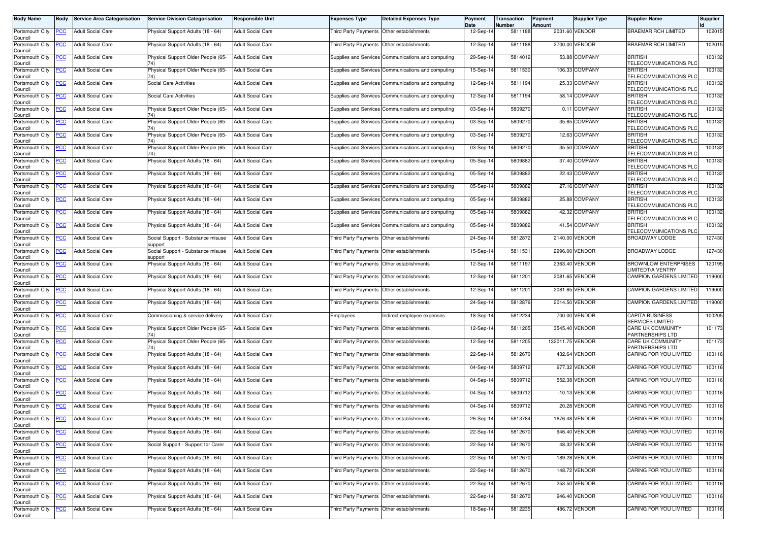| <b>Body Name</b>           | Body           | <b>Service Area Categorisation</b> | <b>Service Division Categorisation</b>       | Responsible Unit         | <b>Expenses Type</b>                      | <b>Detailed Expenses Type</b>                      | Payment<br>Date | <b>Transaction</b><br>Number | Payment<br>Amount | Supplier Type   | <b>Supplier Name</b>                              | Supplier |
|----------------------------|----------------|------------------------------------|----------------------------------------------|--------------------------|-------------------------------------------|----------------------------------------------------|-----------------|------------------------------|-------------------|-----------------|---------------------------------------------------|----------|
| Portsmouth City<br>Council | <u>PCC</u>     | <b>Adult Social Care</b>           | Physical Support Adults (18 - 64)            | <b>Adult Social Care</b> | Third Party Payments Other establishments |                                                    | 12-Sep-14       | 5811188                      |                   | 2031.60 VENDOR  | BRAEMAR RCH LIMITED                               | 102015   |
| Portsmouth City<br>Council | <u>CC</u>      | <b>Adult Social Care</b>           | Physical Support Adults (18 - 64)            | <b>Adult Social Care</b> | Third Party Payments Other establishments |                                                    | 12-Sep-14       | 5811188                      |                   | 2700.00 VENDOR  | <b>BRAEMAR RCH LIMITED</b>                        | 102015   |
| Portsmouth City<br>Council | <u>'CC</u>     | <b>Adult Social Care</b>           | Physical Support Older People (65-<br>74)    | <b>Adult Social Care</b> |                                           | Supplies and Services Communications and computing | 29-Sep-14       | 5814012                      |                   | 53.88 COMPANY   | <b>BRITISH</b><br>TELECOMMUNICATIONS PLO          | 100132   |
| Portsmouth City<br>Council | <b>CC</b>      | <b>Adult Social Care</b>           | Physical Support Older People (65-           | <b>Adult Social Care</b> |                                           | Supplies and Services Communications and computing | 15-Sep-14       | 5811530                      |                   | 106.33 COMPANY  | <b>BRITISH</b><br>TELECOMMUNICATIONS PLO          | 100132   |
| Portsmouth City<br>Council | <b>CC</b>      | <b>Adult Social Care</b>           | Social Care Activities                       | <b>Adult Social Care</b> |                                           | Supplies and Services Communications and computing | 12-Sep-14       | 5811194                      |                   | 25.33 COMPANY   | <b>BRITISH</b><br>TELECOMMUNICATIONS PLC          | 100132   |
| Portsmouth City<br>Council | <u>'CC</u>     | <b>Adult Social Care</b>           | <b>Social Care Activities</b>                | <b>Adult Social Care</b> |                                           | Supplies and Services Communications and computing | 12-Sep-14       | 5811194                      |                   | 58.14 COMPANY   | <b>BRITISH</b><br>TELECOMMUNICATIONS PLC          | 100132   |
| Portsmouth City<br>Council | <u>CC</u>      | <b>Adult Social Care</b>           | Physical Support Older People (65-           | <b>Adult Social Care</b> |                                           | Supplies and Services Communications and computing | 03-Sep-14       | 5809270                      |                   | 0.11 COMPANY    | <b>BRITISH</b><br><b>TELECOMMUNICATIONS PLO</b>   | 100132   |
| Portsmouth City<br>Council | <u>PCC</u>     | Adult Social Care                  | Physical Support Older People (65-           | <b>Adult Social Care</b> |                                           | Supplies and Services Communications and computing | 03-Sep-14       | 580927                       |                   | 35.65 COMPANY   | <b>BRITISH</b><br>TELECOMMUNICATIONS PLO          | 100132   |
| Portsmouth City<br>Council | сC             | <b>Adult Social Care</b>           | Physical Support Older People (65-<br>74)    | <b>Adult Social Care</b> |                                           | Supplies and Services Communications and computing | 03-Sep-14       | 580927                       |                   | 12.63 COMPANY   | <b>BRITISH</b><br>TELECOMMUNICATIONS PLO          | 100132   |
| Portsmouth City<br>Council | <u>CC</u>      | Adult Social Care                  | Physical Support Older People (65-           | <b>Adult Social Care</b> |                                           | Supplies and Services Communications and computing | 03-Sep-14       | 580927                       |                   | 35.50 COMPANY   | <b>BRITISH</b><br>TELECOMMUNICATIONS PLC          | 100132   |
| Portsmouth City<br>Council | <u>'CC</u>     | <b>Adult Social Care</b>           | Physical Support Adults (18 - 64)            | <b>Adult Social Care</b> |                                           | Supplies and Services Communications and computing | 05-Sep-14       | 5809882                      |                   | 37.40 COMPANY   | <b>BRITISH</b><br>TELECOMMUNICATIONS PLC          | 100132   |
| Portsmouth City<br>Council | <u>'СС</u>     | <b>Adult Social Care</b>           | Physical Support Adults (18 - 64)            | <b>Adult Social Care</b> |                                           | Supplies and Services Communications and computing | 05-Sep-14       | 5809882                      |                   | 22.43 COMPANY   | <b>BRITISH</b><br>TELECOMMUNICATIONS PLC          | 100132   |
| Portsmouth City<br>Council | <u>CC</u>      | <b>Adult Social Care</b>           | Physical Support Adults (18 - 64)            | <b>Adult Social Care</b> |                                           | Supplies and Services Communications and computing | 05-Sep-14       | 5809882                      |                   | 27.16 COMPANY   | <b>BRITISH</b><br>TELECOMMUNICATIONS PLO          | 100132   |
| Portsmouth City<br>Council | <u>'СС</u>     | <b>Adult Social Care</b>           | Physical Support Adults (18 - 64)            | <b>Adult Social Care</b> |                                           | Supplies and Services Communications and computing | 05-Sep-14       | 5809882                      |                   | 25.88 COMPANY   | <b>BRITISH</b><br>TELECOMMUNICATIONS PLC          | 100132   |
| Portsmouth City<br>Council | <u>'CC</u>     | Adult Social Care                  | Physical Support Adults (18 - 64)            | <b>Adult Social Care</b> |                                           | Supplies and Services Communications and computing | 05-Sep-14       | 5809882                      |                   | 42.32 COMPANY   | <b>BRITISH</b><br>TELECOMMUNICATIONS PLC          | 100132   |
| Portsmouth City<br>Council | <u>PCC</u>     | <b>Adult Social Care</b>           | Physical Support Adults (18 - 64)            | <b>Adult Social Care</b> |                                           | Supplies and Services Communications and computing | 05-Sep-14       | 5809882                      |                   | 41.54 COMPANY   | <b>BRITISH</b><br>TELECOMMUNICATIONS PLC          | 100132   |
| Portsmouth City<br>Council | <u>'CC</u>     | <b>Adult Social Care</b>           | Social Support - Substance misuse<br>support | <b>Adult Social Care</b> | Third Party Payments                      | Other establishments                               | 24-Sep-14       | 5812872                      |                   | 2140.00 VENDOR  | BROADWAY LODGE                                    | 127430   |
| Portsmouth City<br>Council | <u>PCC</u>     | <b>Adult Social Care</b>           | Social Support - Substance misuse<br>support | Adult Social Care        | Third Party Payments Other establishments |                                                    | 15-Sep-14       | 5811531                      |                   | 2996.00 VENDOR  | BROADWAY LODGE                                    | 127430   |
| Portsmouth City<br>Council | <u>'CC</u>     | <b>Adult Social Care</b>           | Physical Support Adults (18 - 64)            | <b>Adult Social Care</b> | Third Party Payments                      | Other establishments                               | 12-Sep-14       | 5811197                      |                   | 2363.40 VENDOR  | <b>BROWNLOW ENTERPRISES</b><br>LIMITEDT/A VENTRY  | 120195   |
| Portsmouth City<br>Council | <u>'CC</u>     | <b>Adult Social Care</b>           | Physical Support Adults (18 - 64)            | <b>Adult Social Care</b> | Third Party Payments                      | Other establishments                               | 12-Sep-14       | 5811201                      |                   | 2081.65 VENDOR  | CAMPION GARDENS LIMITED                           | 119000   |
| Portsmouth City<br>Council | <u>PCC</u>     | Adult Social Care                  | Physical Support Adults (18 - 64)            | <b>Adult Social Care</b> | Third Party Payments                      | Other establishments                               | 12-Sep-14       | 5811201                      |                   | 2081.65 VENDOR  | <b>CAMPION GARDENS LIMITED</b>                    | 119000   |
| Portsmouth City<br>Council | <u>PCC</u>     | <b>Adult Social Care</b>           | Physical Support Adults (18 - 64)            | <b>Adult Social Care</b> | Third Party Payments Other establishments |                                                    | 24-Sep-14       | 5812876                      |                   | 2014.50 VENDOR  | <b>CAMPION GARDENS LIMITED</b>                    | 119000   |
| Portsmouth City<br>Council | PСC            | Adult Social Care                  | Commissioning & service delivery             | <b>Adult Social Care</b> | Employees                                 | Indirect employee expenses                         | 18-Sep-14       | 5812234                      |                   | 700.00 VENDOR   | <b>CAPITA BUSINESS</b><br><b>SERVICES LIMITED</b> | 100205   |
| Portsmouth City<br>Council | <u>'CC</u>     | <b>Adult Social Care</b>           | Physical Support Older People (65-           | <b>Adult Social Care</b> | Third Party Payments                      | Other establishments                               | 12-Sep-14       | 5811205                      |                   | 3545.40 VENDOR  | CARE UK COMMUNITY<br>PARTNERSHIPS LTD             | 101173   |
| Portsmouth City<br>Council | сC             | <b>Adult Social Care</b>           | Physical Support Older People (65-           | <b>Adult Social Care</b> | Third Party Payments                      | Other establishments                               | 12-Sep-14       | 5811205                      | 132011.75 VENDOR  |                 | CARE UK COMMUNITY<br>PARTNERSHIPS LTD             | 101173   |
| Portsmouth City<br>Council | <u>PCC</u>     | <b>Adult Social Care</b>           | Physical Support Adults (18 - 64)            | <b>Adult Social Care</b> | Third Party Payments                      | Other establishments                               | 22-Sep-14       | 5812670                      |                   | 432.64 VENDOR   | CARING FOR YOU LIMITED                            | 100116   |
| Portsmouth City<br>Council | <u>PCC</u>     | <b>Adult Social Care</b>           | Physical Support Adults (18 - 64)            | <b>Adult Social Care</b> | Third Party Payments Other establishments |                                                    | 04-Sep-14       | 5809712                      |                   | 677.32 VENDOR   | CARING FOR YOU LIMITED                            | 100116   |
| Portsmouth City<br>Council | <u>CC</u>      | <b>Adult Social Care</b>           | Physical Support Adults (18 - 64)            | <b>Adult Social Care</b> | Third Party Payments                      | Other establishments                               | 04-Sep-14       | 5809712                      |                   | 552.38 VENDOR   | CARING FOR YOU LIMITED                            | 100116   |
| Portsmouth City<br>Council | <u>PCC</u>     | <b>Adult Social Care</b>           | Physical Support Adults (18 - 64)            | <b>Adult Social Care</b> | Third Party Payments                      | Other establishments                               | 04-Sep-14       | 5809712                      |                   | $-10.13$ VENDOR | <b>CARING FOR YOU LIMITED</b>                     | 100116   |
| Portsmouth City<br>Council | <u>PCC</u>     | <b>Adult Social Care</b>           | Physical Support Adults (18 - 64)            | <b>Adult Social Care</b> | Third Party Payments Other establishments |                                                    | 04-Sep-14       | 5809712                      | 20.28             | <b>VENDOR</b>   | CARING FOR YOU LIMITED                            | 100116   |
| Portsmouth City<br>Council |                | <b>PCC</b> Adult Social Care       | Physical Support Adults (18 - 64)            | <b>Adult Social Care</b> | Third Party Payments Other establishments |                                                    | 26-Sep-14       | 5813784                      |                   | 1676.48 VENDOR  | CARING FOR YOU LIMITED                            | 100116   |
| Portsmouth City<br>Council | <u>CC</u>      | <b>Adult Social Care</b>           | Physical Support Adults (18 - 64)            | Adult Social Care        | Third Party Payments Other establishments |                                                    | 22-Sep-14       | 5812670                      |                   | 946.40 VENDOR   | CARING FOR YOU LIMITED                            | 100116   |
| Portsmouth City<br>Council | <u>'CC</u>     | <b>Adult Social Care</b>           | Social Support - Support for Carer           | Adult Social Care        | Third Party Payments Other establishments |                                                    | 22-Sep-14       | 5812670                      |                   | 48.32 VENDOR    | CARING FOR YOU LIMITED                            | 100116   |
| Portsmouth City<br>Council | $\overline{C}$ | <b>Adult Social Care</b>           | Physical Support Adults (18 - 64)            | Adult Social Care        | Third Party Payments Other establishments |                                                    | 22-Sep-14       | 5812670                      |                   | 189.28 VENDOR   | CARING FOR YOU LIMITED                            | 100116   |
| Portsmouth City<br>Council | <u>PCC</u>     | <b>Adult Social Care</b>           | Physical Support Adults (18 - 64)            | <b>Adult Social Care</b> | Third Party Payments Other establishments |                                                    | 22-Sep-14       | 5812670                      |                   | 148.72 VENDOR   | CARING FOR YOU LIMITED                            | 100116   |
| Portsmouth City<br>Council | <u>'CC</u>     | Adult Social Care                  | Physical Support Adults (18 - 64)            | Adult Social Care        | Third Party Payments Other establishments |                                                    | 22-Sep-14       | 5812670                      |                   | 253.50 VENDOR   | CARING FOR YOU LIMITED                            | 100116   |
| Portsmouth City<br>Council | <u>PCC</u>     | <b>Adult Social Care</b>           | Physical Support Adults (18 - 64)            | Adult Social Care        | Third Party Payments Other establishments |                                                    | 22-Sep-14       | 5812670                      |                   | 946.40 VENDOR   | CARING FOR YOU LIMITED                            | 100116   |
| Portsmouth City<br>Council | <u>'CC</u>     | <b>Adult Social Care</b>           | Physical Support Adults (18 - 64)            | Adult Social Care        | Third Party Payments Other establishments |                                                    | 18-Sep-14       | 5812235                      |                   | 486.72 VENDOR   | CARING FOR YOU LIMITED                            | 100116   |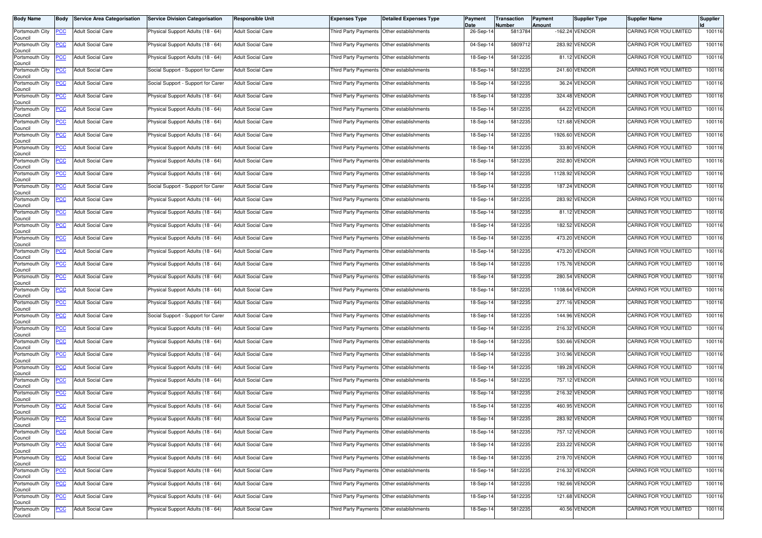| <b>Body Name</b>                                 | <b>Body</b> | <b>Service Area Categorisation</b> | <b>Service Division Categorisation</b> | <b>Responsible Unit</b>  | <b>Expenses Type</b>                      | <b>Detailed Expenses Type</b>             | Payment<br>Date | Transaction<br>Number | Payment<br>Amount | <b>Supplier Type</b> | <b>Supplier Name</b>   | <b>Supplier</b> |
|--------------------------------------------------|-------------|------------------------------------|----------------------------------------|--------------------------|-------------------------------------------|-------------------------------------------|-----------------|-----------------------|-------------------|----------------------|------------------------|-----------------|
| Portsmouth City<br>Council                       | <b>PCC</b>  | <b>Adult Social Care</b>           | Physical Support Adults (18 - 64)      | <b>Adult Social Care</b> |                                           | Third Party Payments Other establishments | 26-Sep-14       | 5813784               |                   | -162.24 VENDOR       | CARING FOR YOU LIMITED | 100116          |
| Portsmouth City<br>Council                       | <b>PCC</b>  | <b>Adult Social Care</b>           | Physical Support Adults (18 - 64)      | <b>Adult Social Care</b> |                                           | Third Party Payments Other establishments | 04-Sep-14       | 5809712               |                   | 283.92 VENDOR        | CARING FOR YOU LIMITED | 100116          |
| Portsmouth City<br>Council                       | <b>PCC</b>  | <b>Adult Social Care</b>           | Physical Support Adults (18 - 64)      | <b>Adult Social Care</b> | Third Party Payments                      | Other establishments                      | 18-Sep-14       | 5812235               |                   | 81.12 VENDOR         | CARING FOR YOU LIMITED | 100116          |
| Portsmouth City<br>Council                       | <b>PCC</b>  | <b>Adult Social Care</b>           | Social Support - Support for Carer     | <b>Adult Social Care</b> | <b>Third Party Payments</b>               | Other establishments                      | 18-Sep-14       | 5812235               |                   | 241.60 VENDOR        | CARING FOR YOU LIMITED | 100116          |
| Portsmouth City<br>Council                       | <u>CC</u>   | <b>Adult Social Care</b>           | Social Support - Support for Carer     | <b>Adult Social Care</b> | Third Party Payments                      | Other establishments                      | 18-Sep-14       | 5812235               |                   | 36.24 VENDOR         | CARING FOR YOU LIMITED | 100116          |
| Portsmouth City<br>Council                       | <b>PCC</b>  | <b>Adult Social Care</b>           | Physical Support Adults (18 - 64)      | <b>Adult Social Care</b> | Third Party Payments Other establishments |                                           | 18-Sep-14       | 5812235               |                   | 324.48 VENDOR        | CARING FOR YOU LIMITED | 100116          |
| Portsmouth City<br>Council                       | <b>PCC</b>  | <b>Adult Social Care</b>           | Physical Support Adults (18 - 64)      | <b>Adult Social Care</b> | Third Party Payments                      | Other establishments                      | 18-Sep-14       | 5812235               |                   | 64.22 VENDOR         | CARING FOR YOU LIMITED | 100116          |
| Portsmouth City<br>Council                       | <b>PCC</b>  | <b>Adult Social Care</b>           | Physical Support Adults (18 - 64)      | <b>Adult Social Care</b> | <b>Third Party Payments</b>               | Other establishments                      | 18-Sep-14       | 5812235               |                   | 121.68 VENDOR        | CARING FOR YOU LIMITED | 100116          |
| Portsmouth City<br>Council                       | PСC         | <b>Adult Social Care</b>           | Physical Support Adults (18 - 64)      | <b>Adult Social Care</b> | Third Party Payments                      | Other establishments                      | 18-Sep-14       | 5812235               | 1926.60           | VENDOR               | CARING FOR YOU LIMITED | 100116          |
| Portsmouth City<br>Council                       | <b>PCC</b>  | <b>Adult Social Care</b>           | Physical Support Adults (18 - 64)      | <b>Adult Social Care</b> |                                           | Third Party Payments Other establishments | 18-Sep-14       | 5812235               |                   | 33.80 VENDOR         | CARING FOR YOU LIMITED | 100116          |
| Portsmouth City<br>Council                       | <u>PCC</u>  | <b>Adult Social Care</b>           | Physical Support Adults (18 - 64)      | <b>Adult Social Care</b> | Third Party Payments Other establishments |                                           | 18-Sep-14       | 5812235               |                   | 202.80 VENDOR        | CARING FOR YOU LIMITED | 100116          |
| Portsmouth City<br>Council                       | <b>PCC</b>  | <b>Adult Social Care</b>           | Physical Support Adults (18 - 64)      | <b>Adult Social Care</b> | Third Party Payments Other establishments |                                           | 18-Sep-14       | 5812235               |                   | 1128.92 VENDOR       | CARING FOR YOU LIMITED | 100116          |
| Portsmouth City<br>Council                       | <u>PCC</u>  | <b>Adult Social Care</b>           | Social Support - Support for Carer     | <b>Adult Social Care</b> |                                           | Third Party Payments Other establishments | 18-Sep-14       | 5812235               |                   | 187.24 VENDOR        | CARING FOR YOU LIMITED | 100116          |
| Portsmouth City<br>Council                       | <b>PCC</b>  | <b>Adult Social Care</b>           | Physical Support Adults (18 - 64)      | <b>Adult Social Care</b> | Third Party Payments Other establishments |                                           | 18-Sep-14       | 5812235               |                   | 283.92 VENDOR        | CARING FOR YOU LIMITED | 100116          |
| Portsmouth City<br>Council                       | <b>PCC</b>  | <b>Adult Social Care</b>           | Physical Support Adults (18 - 64)      | <b>Adult Social Care</b> |                                           | Third Party Payments Other establishments | 18-Sep-14       | 5812235               |                   | 81.12 VENDOR         | CARING FOR YOU LIMITED | 100116          |
| Portsmouth City<br>Council                       | <u>PCC</u>  | <b>Adult Social Care</b>           | Physical Support Adults (18 - 64)      | <b>Adult Social Care</b> | Third Party Payments                      | Other establishments                      | 18-Sep-14       | 581223                |                   | 182.52 VENDOR        | CARING FOR YOU LIMITED | 100116          |
| Portsmouth City<br>Council                       | <u>PCC</u>  | <b>Adult Social Care</b>           | Physical Support Adults (18 - 64)      | <b>Adult Social Care</b> | Third Party Payments                      | Other establishments                      | 18-Sep-14       | 5812235               |                   | 473.20 VENDOR        | CARING FOR YOU LIMITED | 100116          |
| Portsmouth City<br>Council                       | <b>PCC</b>  | <b>Adult Social Care</b>           | Physical Support Adults (18 - 64)      | <b>Adult Social Care</b> | Third Party Payments Other establishments |                                           | 18-Sep-14       | 5812235               |                   | 473.20 VENDOR        | CARING FOR YOU LIMITED | 100116          |
| Portsmouth City<br>Council                       | <b>PCC</b>  | <b>Adult Social Care</b>           | Physical Support Adults (18 - 64)      | <b>Adult Social Care</b> | Third Party Payments Other establishments |                                           | 18-Sep-14       | 5812235               |                   | 175.76 VENDOR        | CARING FOR YOU LIMITED | 100116          |
| Portsmouth City<br>Council                       | <b>PCC</b>  | <b>Adult Social Care</b>           | Physical Support Adults (18 - 64)      | <b>Adult Social Care</b> | Third Party Payments                      | Other establishments                      | 18-Sep-14       | 5812235               |                   | 280.54 VENDOR        | CARING FOR YOU LIMITED | 100116          |
| Portsmouth City<br>Council                       | <b>PCC</b>  | <b>Adult Social Care</b>           | Physical Support Adults (18 - 64)      | <b>Adult Social Care</b> | Third Party Payments                      | Other establishments                      | 18-Sep-14       | 5812235               |                   | 1108.64 VENDOR       | CARING FOR YOU LIMITED | 100116          |
| Portsmouth City<br>Council                       | <b>PCC</b>  | <b>Adult Social Care</b>           | Physical Support Adults (18 - 64)      | <b>Adult Social Care</b> | Third Party Payments Other establishments |                                           | 18-Sep-14       | 5812235               |                   | 277.16 VENDOR        | CARING FOR YOU LIMITED | 100116          |
| Portsmouth City<br>Council                       | PCC         | <b>Adult Social Care</b>           | Social Support - Support for Carer     | <b>Adult Social Care</b> |                                           | Third Party Payments Other establishments | 18-Sep-14       | 5812235               |                   | 144.96 VENDOR        | CARING FOR YOU LIMITED | 100116          |
| Portsmouth City<br>Council                       | <u>PCC</u>  | <b>Adult Social Care</b>           | Physical Support Adults (18 - 64)      | <b>Adult Social Care</b> | Third Party Payments Other establishments |                                           | 18-Sep-14       | 5812235               |                   | 216.32 VENDOR        | CARING FOR YOU LIMITED | 100116          |
| Portsmouth City<br>Council                       | PСC         | <b>Adult Social Care</b>           | Physical Support Adults (18 - 64)      | <b>Adult Social Care</b> | Third Party Payments                      | Other establishments                      | 18-Sep-14       | 5812235               |                   | 530.66 VENDOR        | CARING FOR YOU LIMITED | 100116          |
| Portsmouth City<br>Council                       | <u>PCC</u>  | Adult Social Care                  | Physical Support Adults (18 - 64)      | <b>Adult Social Care</b> |                                           | Third Party Payments Other establishments | 18-Sep-14       | 5812235               |                   | 310.96 VENDOR        | CARING FOR YOU LIMITED | 100116          |
| Portsmouth City<br>Council                       | <b>PCC</b>  | <b>Adult Social Care</b>           | Physical Support Adults (18 - 64)      | <b>Adult Social Care</b> | Third Party Payments Other establishments |                                           | 18-Sep-14       | 5812235               |                   | 189.28 VENDOR        | CARING FOR YOU LIMITED | 100116          |
| Portsmouth City<br>Council                       | <b>PCC</b>  | <b>Adult Social Care</b>           | Physical Support Adults (18 - 64)      | <b>Adult Social Care</b> | Third Party Payments                      | Other establishments                      | 18-Sep-14       | 5812235               |                   | 757.12 VENDOR        | CARING FOR YOU LIMITED | 100116          |
| Portsmouth City<br>Council                       | <b>PCC</b>  | <b>Adult Social Care</b>           | Physical Support Adults (18 - 64)      | <b>Adult Social Care</b> | Third Party Payments                      | Other establishments                      | 18-Sep-14       | 5812235               |                   | 216.32 VENDOR        | CARING FOR YOU LIMITED | 100116          |
| Portsmouth City<br>Council                       | <b>PCC</b>  | <b>Adult Social Care</b>           | Physical Support Adults (18 - 64)      | <b>Adult Social Care</b> | Third Party Payments Other establishments |                                           | 18-Sep-14       | 5812235               |                   | 460.95 VENDOR        | CARING FOR YOU LIMITED | 100116          |
| Portsmouth City PCC Adult Social Care<br>Council |             |                                    | Physical Support Adults (18 - 64)      | <b>Adult Social Care</b> | Third Party Payments Other establishments |                                           | 18-Sep-14       | 5812235               |                   | 283.92 VENDOR        | CARING FOR YOU LIMITED | 100116          |
| Portsmouth City<br>Council                       | <u>PCC</u>  | <b>Adult Social Care</b>           | Physical Support Adults (18 - 64)      | <b>Adult Social Care</b> | Third Party Payments Other establishments |                                           | 18-Sep-14       | 5812235               |                   | 757.12 VENDOR        | CARING FOR YOU LIMITED | 100116          |
| Portsmouth City<br>Council                       | <b>PCC</b>  | <b>Adult Social Care</b>           | Physical Support Adults (18 - 64)      | <b>Adult Social Care</b> | Third Party Payments                      | Other establishments                      | 18-Sep-14       | 5812235               |                   | 233.22 VENDOR        | CARING FOR YOU LIMITED | 100116          |
| Portsmouth City<br>Council                       | <u>PCC</u>  | <b>Adult Social Care</b>           | Physical Support Adults (18 - 64)      | <b>Adult Social Care</b> | Third Party Payments                      | Other establishments                      | 18-Sep-14       | 5812235               |                   | 219.70 VENDOR        | CARING FOR YOU LIMITED | 100116          |
| Portsmouth City<br>Council                       | <b>PCC</b>  | <b>Adult Social Care</b>           | Physical Support Adults (18 - 64)      | <b>Adult Social Care</b> | Third Party Payments Other establishments |                                           | 18-Sep-14       | 5812235               |                   | 216.32 VENDOR        | CARING FOR YOU LIMITED | 100116          |
| Portsmouth City<br>Council                       | <u>PCC</u>  | <b>Adult Social Care</b>           | Physical Support Adults (18 - 64)      | <b>Adult Social Care</b> | Third Party Payments                      | Other establishments                      | 18-Sep-14       | 5812235               |                   | 192.66 VENDOR        | CARING FOR YOU LIMITED | 100116          |
| Portsmouth City<br>Council                       | <b>PCC</b>  | <b>Adult Social Care</b>           | Physical Support Adults (18 - 64)      | <b>Adult Social Care</b> | <b>Third Party Payments</b>               | Other establishments                      | 18-Sep-14       | 5812235               |                   | 121.68 VENDOR        | CARING FOR YOU LIMITED | 100116          |
| Portsmouth City<br>Council                       | <b>PCC</b>  | <b>Adult Social Care</b>           | Physical Support Adults (18 - 64)      | <b>Adult Social Care</b> | Third Party Payments                      | Other establishments                      | 18-Sep-14       | 5812235               |                   | 40.56 VENDOR         | CARING FOR YOU LIMITED | 100116          |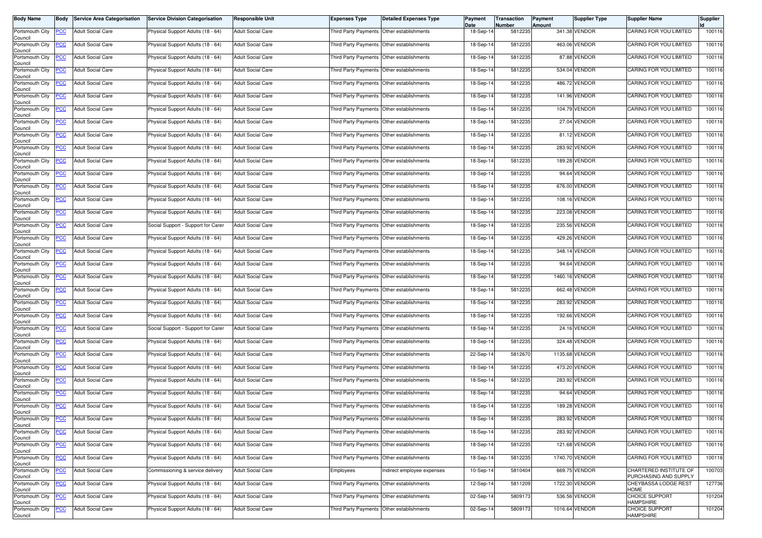| <b>Body Name</b>                              | Body           | <b>Service Area Categorisation</b> | <b>Service Division Categorisation</b> | <b>Responsible Unit</b>  | <b>Expenses Type</b>                      | <b>Detailed Expenses Type</b>             | Payment<br>Date | Transaction<br>Number | Payment<br>Amount | Supplier Type  | <b>Supplier Name</b>                            | Supplier |
|-----------------------------------------------|----------------|------------------------------------|----------------------------------------|--------------------------|-------------------------------------------|-------------------------------------------|-----------------|-----------------------|-------------------|----------------|-------------------------------------------------|----------|
| Portsmouth City<br>Council                    | <b>PCC</b>     | <b>Adult Social Care</b>           | Physical Support Adults (18 - 64)      | <b>Adult Social Care</b> | Third Party Payments Other establishments |                                           | 18-Sep-14       | 5812235               |                   | 341.38 VENDOR  | CARING FOR YOU LIMITED                          | 100116   |
| Portsmouth City<br>Council                    | <b>PCC</b>     | <b>Adult Social Care</b>           | Physical Support Adults (18 - 64)      | <b>Adult Social Care</b> | Third Party Payments Other establishments |                                           | 18-Sep-14       | 5812235               |                   | 463.06 VENDOR  | CARING FOR YOU LIMITED                          | 100116   |
| Portsmouth City<br>Council                    | <b>PCC</b>     | <b>Adult Social Care</b>           | Physical Support Adults (18 - 64)      | <b>Adult Social Care</b> | Third Party Payments Other establishments |                                           | 18-Sep-14       | 5812235               |                   | 87.88 VENDOR   | CARING FOR YOU LIMITED                          | 100116   |
| Portsmouth City<br>Council                    | <u>PCC</u>     | <b>Adult Social Care</b>           | Physical Support Adults (18 - 64)      | <b>Adult Social Care</b> | Third Party Payments Other establishments |                                           | 18-Sep-14       | 5812235               |                   | 534.04 VENDOR  | CARING FOR YOU LIMITED                          | 100116   |
| Portsmouth City<br>Council                    | <b>PCC</b>     | <b>Adult Social Care</b>           | Physical Support Adults (18 - 64)      | <b>Adult Social Care</b> |                                           | Third Party Payments Other establishments | 18-Sep-14       | 5812235               |                   | 486.72 VENDOR  | CARING FOR YOU LIMITED                          | 100116   |
| Portsmouth City<br>Council                    | <b>PCC</b>     | <b>Adult Social Care</b>           | Physical Support Adults (18 - 64)      | <b>Adult Social Care</b> |                                           | Third Party Payments Other establishments | 18-Sep-14       | 5812235               |                   | 141.96 VENDOR  | CARING FOR YOU LIMITED                          | 100116   |
| Portsmouth City<br>Council                    | <b>PCC</b>     | <b>Adult Social Care</b>           | Physical Support Adults (18 - 64)      | <b>Adult Social Care</b> | Third Party Payments Other establishments |                                           | 18-Sep-14       | 5812235               |                   | 104.79 VENDOR  | CARING FOR YOU LIMITED                          | 100116   |
| Portsmouth City<br>Council                    | <u>PCC</u>     | <b>Adult Social Care</b>           | Physical Support Adults (18 - 64)      | <b>Adult Social Care</b> | Third Party Payments                      | Other establishments                      | 18-Sep-14       | 5812235               |                   | 27.04 VENDOR   | CARING FOR YOU LIMITED                          | 100116   |
| Portsmouth City<br>Council                    | <b>PCC</b>     | <b>Adult Social Care</b>           | Physical Support Adults (18 - 64)      | <b>Adult Social Care</b> | Third Party Payments Other establishments |                                           | 18-Sep-14       | 5812235               |                   | 81.12 VENDOR   | CARING FOR YOU LIMITED                          | 100116   |
| Portsmouth City<br>Council                    | <b>PCC</b>     | Adult Social Care                  | Physical Support Adults (18 - 64)      | <b>Adult Social Care</b> |                                           | Third Party Payments Other establishments | 18-Sep-14       | 5812235               |                   | 283.92 VENDOR  | CARING FOR YOU LIMITED                          | 100116   |
| Portsmouth City<br>Council                    | <b>PCC</b>     | <b>Adult Social Care</b>           | Physical Support Adults (18 - 64)      | <b>Adult Social Care</b> | Third Party Payments Other establishments |                                           | 18-Sep-14       | 5812235               |                   | 189.28 VENDOR  | CARING FOR YOU LIMITED                          | 100116   |
| Portsmouth City<br>Council                    | PСC            | Adult Social Care                  | Physical Support Adults (18 - 64)      | <b>Adult Social Care</b> | Third Party Payments                      | Other establishments                      | 18-Sep-14       | 5812235               |                   | 94.64 VENDOR   | CARING FOR YOU LIMITED                          | 100116   |
| Portsmouth City<br>Council                    | $\overline{C}$ | <b>Adult Social Care</b>           | Physical Support Adults (18 - 64)      | <b>Adult Social Care</b> |                                           | Third Party Payments Other establishments | 18-Sep-14       | 5812235               |                   | 676.00 VENDOR  | CARING FOR YOU LIMITED                          | 100116   |
| Portsmouth City<br>Council                    | <b>PCC</b>     | <b>Adult Social Care</b>           | Physical Support Adults (18 - 64)      | <b>Adult Social Care</b> | Third Party Payments Other establishments |                                           | 18-Sep-14       | 5812235               |                   | 108.16 VENDOR  | CARING FOR YOU LIMITED                          | 100116   |
| Portsmouth City<br>Council                    | <u>PCC</u>     | <b>Adult Social Care</b>           | Physical Support Adults (18 - 64)      | <b>Adult Social Care</b> | Third Party Payments Other establishments |                                           | 18-Sep-14       | 5812235               |                   | 223.08 VENDOR  | CARING FOR YOU LIMITED                          | 100116   |
| Portsmouth City<br>Council                    | <b>PCC</b>     | <b>Adult Social Care</b>           | Social Support - Support for Carer     | <b>Adult Social Care</b> | Third Party Payments Other establishments |                                           | 18-Sep-14       | 5812235               |                   | 235.56 VENDOR  | CARING FOR YOU LIMITED                          | 100116   |
| Portsmouth City<br>Council                    | <u>PCC</u>     | <b>Adult Social Care</b>           | Physical Support Adults (18 - 64)      | <b>Adult Social Care</b> |                                           | Third Party Payments Other establishments | 18-Sep-14       | 5812235               |                   | 429.26 VENDOR  | CARING FOR YOU LIMITED                          | 100116   |
| Portsmouth City<br>Council                    | <b>PCC</b>     | <b>Adult Social Care</b>           | Physical Support Adults (18 - 64)      | <b>Adult Social Care</b> |                                           | Third Party Payments Other establishments | 18-Sep-14       | 5812235               |                   | 348.14 VENDOR  | CARING FOR YOU LIMITED                          | 100116   |
| Portsmouth City<br>Council                    | <b>PCC</b>     | <b>Adult Social Care</b>           | Physical Support Adults (18 - 64)      | <b>Adult Social Care</b> | Third Party Payments Other establishments |                                           | 18-Sep-14       | 5812235               |                   | 94.64 VENDOR   | CARING FOR YOU LIMITED                          | 100116   |
| Portsmouth City<br>Council                    | <b>PCC</b>     | <b>Adult Social Care</b>           | Physical Support Adults (18 - 64)      | <b>Adult Social Care</b> | Third Party Payments                      | Other establishments                      | 18-Sep-14       | 5812235               |                   | 1460.16 VENDOR | CARING FOR YOU LIMITED                          | 100116   |
| Portsmouth City<br>Council                    | <u>PCC</u>     | <b>Adult Social Care</b>           | Physical Support Adults (18 - 64)      | <b>Adult Social Care</b> |                                           | Third Party Payments Other establishments | 18-Sep-14       | 5812235               |                   | 662.48 VENDOR  | CARING FOR YOU LIMITED                          | 100116   |
| Portsmouth City<br>Council                    | <b>PCC</b>     | <b>Adult Social Care</b>           | Physical Support Adults (18 - 64)      | <b>Adult Social Care</b> | Third Party Payments Other establishments |                                           | 18-Sep-14       | 5812235               |                   | 283.92 VENDOR  | CARING FOR YOU LIMITED                          | 100116   |
| Portsmouth City<br>Council                    | <u>PCC</u>     | <b>Adult Social Care</b>           | Physical Support Adults (18 - 64)      | <b>Adult Social Care</b> | Third Party Payments Other establishments |                                           | 18-Sep-14       | 5812235               |                   | 192.66 VENDOR  | CARING FOR YOU LIMITED                          | 100116   |
| Portsmouth City<br>Council                    | <b>PCC</b>     | Adult Social Care                  | Social Support - Support for Carer     | <b>Adult Social Care</b> | Third Party Payments Other establishments |                                           | 18-Sep-14       | 5812235               |                   | 24.16 VENDOR   | CARING FOR YOU LIMITED                          | 100116   |
| Portsmouth City<br>Council                    | <u>PCC</u>     | <b>Adult Social Care</b>           | Physical Support Adults (18 - 64)      | <b>Adult Social Care</b> | Third Party Payments Other establishments |                                           | 18-Sep-14       | 5812235               |                   | 324.48 VENDOR  | CARING FOR YOU LIMITED                          | 100116   |
| Portsmouth City<br>Council                    | <b>PCC</b>     | <b>Adult Social Care</b>           | Physical Support Adults (18 - 64)      | <b>Adult Social Care</b> |                                           | Third Party Payments Other establishments | 22-Sep-14       | 5812670               |                   | 1135.68 VENDOR | CARING FOR YOU LIMITED                          | 100116   |
| Portsmouth City<br>Council                    | <b>PCC</b>     | <b>Adult Social Care</b>           | Physical Support Adults (18 - 64)      | <b>Adult Social Care</b> |                                           | Third Party Payments Other establishments | 18-Sep-14       | 5812235               |                   | 473.20 VENDOR  | CARING FOR YOU LIMITED                          | 100116   |
| Portsmouth City<br>Council                    | <b>PCC</b>     | <b>Adult Social Care</b>           | Physical Support Adults (18 - 64)      | <b>Adult Social Care</b> | Third Party Payments Other establishments |                                           | 18-Sep-14       | 5812235               |                   | 283.92 VENDOR  | CARING FOR YOU LIMITED                          | 100116   |
| Portsmouth City<br>Council                    | <u>PCC</u>     | <b>Adult Social Care</b>           | Physical Support Adults (18 - 64)      | <b>Adult Social Care</b> | Third Party Payments                      | Other establishments                      | 18-Sep-14       | 5812235               |                   | 94.64 VENDOR   | CARING FOR YOU LIMITED                          | 100116   |
| Portsmouth City<br>Council                    | <b>PCC</b>     | <b>Adult Social Care</b>           | Physical Support Adults (18 - 64)      | <b>Adult Social Care</b> | Third Party Payments Other establishments |                                           | 18-Sep-14       | 5812235               |                   | 189.28 VENDOR  | CARING FOR YOU LIMITED                          | 100116   |
| Portsmouth City<br>Council<br>Portsmouth City | PCC            | <b>Adult Social Care</b>           | Physical Support Adults (18 - 64)      | <b>Adult Social Care</b> | Third Party Payments Other establishments |                                           | 18-Sep-14       | 5812235               |                   | 283.92 VENDOR  | CARING FOR YOU LIMITED                          | 100116   |
| Council                                       | <u>PCC</u>     | <b>Adult Social Care</b>           | Physical Support Adults (18 - 64)      | <b>Adult Social Care</b> | Third Party Payments Other establishments |                                           | 18-Sep-14       | 5812235               |                   | 283.92 VENDOR  | CARING FOR YOU LIMITED                          | 100116   |
| Portsmouth City<br>Council                    | <b>PCC</b>     | <b>Adult Social Care</b>           | Physical Support Adults (18 - 64)      | <b>Adult Social Care</b> | Third Party Payments                      | Other establishments                      | 18-Sep-14       | 5812235               |                   | 121.68 VENDOR  | CARING FOR YOU LIMITED                          | 100116   |
| Portsmouth City<br>Council                    | <b>PCC</b>     | <b>Adult Social Care</b>           | Physical Support Adults (18 - 64)      | <b>Adult Social Care</b> | Third Party Payments Other establishments |                                           | 18-Sep-14       | 5812235               |                   | 1740.70 VENDOR | CARING FOR YOU LIMITED                          | 100116   |
| Portsmouth City<br>Council                    | <b>PCC</b>     | <b>Adult Social Care</b>           | Commissioning & service delivery       | <b>Adult Social Care</b> | Employees                                 | Indirect employee expenses                | 10-Sep-14       | 5810404               |                   | 669.75 VENDOR  | CHARTERED INSTITUTE OF<br>PURCHASING AND SUPPLY | 100703   |
| Portsmouth City<br>Council                    | <b>PCC</b>     | <b>Adult Social Care</b>           | Physical Support Adults (18 - 64)      | <b>Adult Social Care</b> | Third Party Payments                      | Other establishments                      | 12-Sep-14       | 5811209               |                   | 1722.30 VENDOR | CHEYBASSA LODGE REST<br>HOME                    | 127736   |
| Portsmouth City<br>Council                    | <u>PCC</u>     | <b>Adult Social Care</b>           | Physical Support Adults (18 - 64)      | <b>Adult Social Care</b> | Third Party Payments                      | Other establishments                      | 02-Sep-14       | 5809173               |                   | 536.56 VENDOR  | <b>CHOICE SUPPORT</b><br><b>HAMPSHIRE</b>       | 101204   |
| Portsmouth City<br>Council                    | <b>CC</b>      | <b>Adult Social Care</b>           | Physical Support Adults (18 - 64)      | <b>Adult Social Care</b> | Third Party Payments Other establishments |                                           | 02-Sep-14       | 5809173               |                   | 1016.64 VENDOR | CHOICE SUPPORT<br><b>HAMPSHIRE</b>              | 101204   |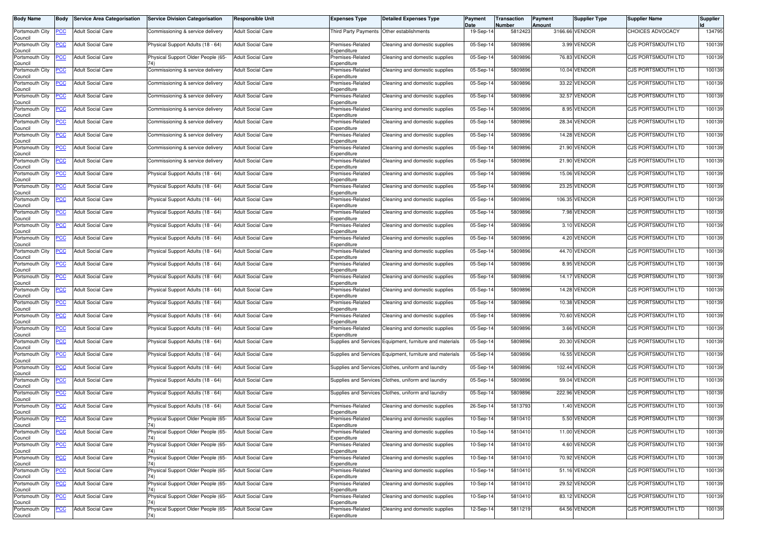| <b>Body Name</b>               | <b>Body</b> | <b>Service Area Categorisation</b> | <b>Service Division Categorisation</b>    | Responsible Unit         | <b>Expenses Type</b>            | <b>Detailed Expenses Type</b>                            | Payment<br>Date | Transaction<br>Number | Payment<br>Amount | <b>Supplier Type</b> | <b>Supplier Name</b>      | <b>Supplier</b> |
|--------------------------------|-------------|------------------------------------|-------------------------------------------|--------------------------|---------------------------------|----------------------------------------------------------|-----------------|-----------------------|-------------------|----------------------|---------------------------|-----------------|
| Portsmouth City<br>Council     | PCC         | <b>Adult Social Care</b>           | Commissioning & service delivery          | <b>Adult Social Care</b> |                                 | Third Party Payments Other establishments                | 19-Sep-14       | 5812423               |                   | 3166.66 VENDOR       | <b>CHOICES ADVOCACY</b>   | 134795          |
| Portsmouth City<br>Council     | PСC         | <b>Adult Social Care</b>           | Physical Support Adults (18 - 64)         | <b>Adult Social Care</b> | Premises-Related<br>Expenditure | Cleaning and domestic supplies                           | $05-Sep-1$      | 580989                |                   | 3.99 VENDOR          | <b>CJS PORTSMOUTH LTD</b> | 100139          |
| Portsmouth City<br>Council     | PСC         | <b>Adult Social Care</b>           | Physical Support Older People (65-<br>74) | Adult Social Care        | Premises-Related<br>Expenditure | Cleaning and domestic supplies                           | 05-Sep-14       | 580989                |                   | 76.83 VENDOR         | <b>CJS PORTSMOUTH LTD</b> | 100139          |
| Portsmouth City<br>Council     | <u>PCC</u>  | <b>Adult Social Care</b>           | Commissioning & service delivery          | <b>Adult Social Care</b> | Premises-Related<br>Expenditure | Cleaning and domestic supplies                           | 05-Sep-14       | 580989                |                   | 10.04 VENDOR         | CJS PORTSMOUTH LTD        | 10013           |
| Portsmouth City<br>Council     | <b>CC</b>   | <b>Adult Social Care</b>           | Commissioning & service delivery          | <b>Adult Social Care</b> | Premises-Related<br>Expenditure | Cleaning and domestic supplies                           | 05-Sep-14       | 580989                | 33.22             | VENDOR               | CJS PORTSMOUTH LTD        | 100139          |
| Portsmouth City<br>Council     | <b>PCC</b>  | <b>Adult Social Care</b>           | Commissioning & service delivery          | <b>Adult Social Care</b> | Premises-Related<br>Expenditure | Cleaning and domestic supplies                           | 05-Sep-14       | 580989                |                   | 32.57 VENDOR         | <b>CJS PORTSMOUTH LTD</b> | 100139          |
| Portsmouth City<br>Council     | <b>CC</b>   | <b>Adult Social Care</b>           | Commissioning & service delivery          | <b>Adult Social Care</b> | Premises-Related<br>Expenditure | Cleaning and domestic supplies                           | 05-Sep-14       | 580989                |                   | 8.95 VENDOR          | <b>CJS PORTSMOUTH LTD</b> | 100139          |
| Portsmouth City<br>Council     | <u>PCC</u>  | <b>Adult Social Care</b>           | Commissioning & service delivery          | <b>Adult Social Care</b> | Premises-Related<br>Expenditure | Cleaning and domestic supplies                           | $05-Sep-1$      | 580989                |                   | 28.34 VENDOR         | CJS PORTSMOUTH LTD        | 100139          |
| Portsmouth City<br>Council     | сC          | <b>Adult Social Care</b>           | Commissioning & service delivery          | <b>Adult Social Care</b> | Premises-Related<br>Expenditure | Cleaning and domestic supplies                           | 05-Sep-14       | 580989                | 14.28             | VENDOR               | CJS PORTSMOUTH LTD        | 100139          |
| Portsmouth City<br>Council     | <b>PCC</b>  | <b>Adult Social Care</b>           | Commissioning & service delivery          | <b>Adult Social Care</b> | Premises-Related<br>Expenditure | Cleaning and domestic supplies                           | 05-Sep-14       | 580989                |                   | 21.90 VENDOR         | CJS PORTSMOUTH LTD        | 100139          |
| Portsmouth City<br>Council     | сC          | <b>Adult Social Care</b>           | Commissioning & service delivery          | <b>Adult Social Care</b> | Premises-Related<br>Expenditure | Cleaning and domestic supplies                           | 05-Sep-14       | 580989                | 21.90             | VENDOR               | CJS PORTSMOUTH LTD        | 100139          |
| Portsmouth City<br>Council     | <b>PCC</b>  | <b>Adult Social Care</b>           | Physical Support Adults (18 - 64)         | <b>Adult Social Care</b> | Premises-Related<br>Expenditure | Cleaning and domestic supplies                           | 05-Sep-14       | 580989                |                   | 15.06 VENDOR         | <b>CJS PORTSMOUTH LTD</b> | 100139          |
| Portsmouth City<br>Council     | <u>PCC</u>  | <b>Adult Social Care</b>           | Physical Support Adults (18 - 64)         | <b>Adult Social Care</b> | Premises-Related<br>Expenditure | Cleaning and domestic supplies                           | 05-Sep-14       | 5809896               |                   | 23.25 VENDOR         | CJS PORTSMOUTH LTD        | 100139          |
| Portsmouth City<br>Council     | <b>PCC</b>  | <b>Adult Social Care</b>           | Physical Support Adults (18 - 64)         | <b>Adult Social Care</b> | Premises-Related<br>Expenditure | Cleaning and domestic supplies                           | 05-Sep-14       | 580989                |                   | 106.35 VENDOR        | <b>CJS PORTSMOUTH LTD</b> | 100139          |
| Portsmouth City<br>Council     | <u>PCC</u>  | <b>Adult Social Care</b>           | Physical Support Adults (18 - 64)         | <b>Adult Social Care</b> | Premises-Related<br>Expenditure | Cleaning and domestic supplies                           | 05-Sep-14       | 580989                |                   | 7.98 VENDOR          | <b>CJS PORTSMOUTH LTD</b> | 100139          |
| Portsmouth City<br>Council     | <u>PCC</u>  | <b>Adult Social Care</b>           | Physical Support Adults (18 - 64)         | <b>Adult Social Care</b> | Premises-Related<br>Expenditure | Cleaning and domestic supplies                           | 05-Sep-14       | 580989                |                   | 3.10 VENDOR          | <b>CJS PORTSMOUTH LTD</b> | 100139          |
| Portsmouth City<br>Council     | <u>'CC</u>  | <b>Adult Social Care</b>           | Physical Support Adults (18 - 64)         | <b>Adult Social Care</b> | Premises-Related<br>Expenditure | Cleaning and domestic supplies                           | 05-Sep-14       | 5809896               |                   | 4.20 VENDOR          | CJS PORTSMOUTH LTD        | 100139          |
| Portsmouth City<br>Council     | <u>PCC</u>  | <b>Adult Social Care</b>           | Physical Support Adults (18 - 64)         | <b>Adult Social Care</b> | Premises-Related<br>Expenditure | Cleaning and domestic supplies                           | 05-Sep-14       | 5809896               |                   | 44.70 VENDOR         | <b>CJS PORTSMOUTH LTD</b> | 100139          |
| Portsmouth City<br>Council     | <b>CC</b>   | <b>Adult Social Care</b>           | Physical Support Adults (18 - 64)         | <b>Adult Social Care</b> | Premises-Related<br>Expenditure | Cleaning and domestic supplies                           | $05-Sep-1$      | 580989                |                   | 8.95 VENDOR          | CJS PORTSMOUTH LTD        | 100139          |
| Portsmouth City<br>Council     | <b>PCC</b>  | <b>Adult Social Care</b>           | Physical Support Adults (18 - 64)         | <b>Adult Social Care</b> | Premises-Related<br>Expenditure | Cleaning and domestic supplies                           | 05-Sep-14       | 580989                |                   | 14.17 VENDOR         | <b>CJS PORTSMOUTH LTD</b> | 100139          |
| Portsmouth City<br>Council     | PСC         | <b>Adult Social Care</b>           | Physical Support Adults (18 - 64)         | <b>Adult Social Care</b> | Premises-Related<br>Expenditure | Cleaning and domestic supplies                           | 05-Sep-14       | 580989                |                   | 14.28 VENDOR         | CJS PORTSMOUTH LTD        | 100139          |
| Portsmouth City<br>Council     | PСC         | <b>Adult Social Care</b>           | Physical Support Adults (18 - 64)         | <b>Adult Social Care</b> | Premises-Related<br>Expenditure | Cleaning and domestic supplies                           | 05-Sep-14       | 580989                |                   | 10.38 VENDOR         | <b>CJS PORTSMOUTH LTD</b> | 100139          |
| Portsmouth City<br>Council     | сC          | <b>Adult Social Care</b>           | Physical Support Adults (18 - 64)         | <b>Adult Social Care</b> | Premises-Related<br>Expenditure | Cleaning and domestic supplies                           | 05-Sep-14       | 580989                |                   | 70.60 VENDOR         | CJS PORTSMOUTH LTD        | 100139          |
| Portsmouth City<br>Council     | PСC         | <b>Adult Social Care</b>           | Physical Support Adults (18 - 64)         | <b>Adult Social Care</b> | Premises-Related<br>Expenditure | Cleaning and domestic supplies                           | 05-Sep-14       | 580989                |                   | 3.66 VENDOR          | <b>CJS PORTSMOUTH LTD</b> | 100139          |
| Portsmouth City<br>Council     | сC          | <b>Adult Social Care</b>           | Physical Support Adults (18 - 64)         | <b>Adult Social Care</b> | Supplies and Services           | Equipment, furniture and materials                       | 05-Sep-14       | 580989                | 20.30             | VENDOR               | <b>CJS PORTSMOUTH LTD</b> | 100139          |
| Portsmouth City<br>Council     | <u>CC</u>   | <b>Adult Social Care</b>           | Physical Support Adults (18 - 64)         | <b>Adult Social Care</b> |                                 | Supplies and Services Equipment, furniture and materials | 05-Sep-14       | 580989                |                   | 16.55 VENDOR         | <b>CJS PORTSMOUTH LTD</b> | 100139          |
| Portsmouth City<br>Council     | <b>PCC</b>  | <b>Adult Social Care</b>           | Physical Support Adults (18 - 64)         | <b>Adult Social Care</b> |                                 | Supplies and Services Clothes, uniform and laundry       | 05-Sep-14       | 580989                |                   | 102.44 VENDOR        | <b>CJS PORTSMOUTH LTD</b> | 100139          |
| Portsmouth City<br>Council     | <b>CC</b>   | <b>Adult Social Care</b>           | Physical Support Adults (18 - 64)         | <b>Adult Social Care</b> | Supplies and Services           | Clothes, uniform and laundry                             | 05-Sep-14       | 580989                | 59.04             | VENDOR               | <b>CJS PORTSMOUTH LTD</b> | 100139          |
| Portsmouth City<br>Council     | <u>PCC</u>  | <b>Adult Social Care</b>           | Physical Support Adults (18 - 64)         | <b>Adult Social Care</b> | Supplies and Services           | Clothes, uniform and laundry                             | 05-Sep-14       | 580989                | 222.96            | VENDOR               | CJS PORTSMOUTH LTD        | 100139          |
| Portsmouth City<br>Council     | <u>PCC</u>  | <b>Adult Social Care</b>           | Physical Support Adults (18 - 64)         | <b>Adult Social Care</b> | Premises-Related<br>Expenditure | Cleaning and domestic supplies                           | 26-Sep-14       | 5813793               | 1.40              | VENDOR               | CJS PORTSMOUTH LTD        | 10013           |
| Portsmouth City PCC<br>Council |             | <b>Adult Social Care</b>           | Physical Support Older People (65-<br>74) | <b>Adult Social Care</b> | Premises-Related<br>Expenditure | Cleaning and domestic supplies                           | 10-Sep-14       | 5810410               |                   | 5.50 VENDOR          | CJS PORTSMOUTH LTD        | 100139          |
| Portsmouth City<br>Council     | <u>PCC</u>  | <b>Adult Social Care</b>           | Physical Support Older People (65-<br>74) | <b>Adult Social Care</b> | Premises-Related<br>Expenditure | Cleaning and domestic supplies                           | 10-Sep-14       | 5810410               |                   | 11.00 VENDOR         | CJS PORTSMOUTH LTD        | 100139          |
| Portsmouth City<br>Council     | <b>PCC</b>  | <b>Adult Social Care</b>           | Physical Support Older People (65-<br>74) | <b>Adult Social Care</b> | Premises-Related<br>Expenditure | Cleaning and domestic supplies                           | 10-Sep-14       | 5810410               |                   | 4.60 VENDOR          | CJS PORTSMOUTH LTD        | 100139          |
| Portsmouth City<br>Council     | <u>PCC</u>  | <b>Adult Social Care</b>           | Physical Support Older People (65-<br>74) | <b>Adult Social Care</b> | Premises-Related<br>Expenditure | Cleaning and domestic supplies                           | 10-Sep-14       | 5810410               |                   | 70.92 VENDOR         | CJS PORTSMOUTH LTD        | 100139          |
| Portsmouth City<br>Council     | <b>PCC</b>  | <b>Adult Social Care</b>           | Physical Support Older People (65-<br>74) | <b>Adult Social Care</b> | Premises-Related<br>Expenditure | Cleaning and domestic supplies                           | 10-Sep-14       | 5810410               |                   | 51.16 VENDOR         | CJS PORTSMOUTH LTD        | 100139          |
| Portsmouth City<br>Council     | <u>PCC</u>  | <b>Adult Social Care</b>           | Physical Support Older People (65-<br>74) | <b>Adult Social Care</b> | Premises-Related<br>Expenditure | Cleaning and domestic supplies                           | 10-Sep-14       | 5810410               |                   | 29.52 VENDOR         | <b>CJS PORTSMOUTH LTD</b> | 100139          |
| Portsmouth City<br>Council     | <u>PCC</u>  | <b>Adult Social Care</b>           | Physical Support Older People (65-<br>74) | <b>Adult Social Care</b> | Premises-Related<br>Expenditure | Cleaning and domestic supplies                           | 10-Sep-14       | 5810410               |                   | 83.12 VENDOR         | <b>CJS PORTSMOUTH LTD</b> | 100139          |
| Portsmouth City<br>Council     | <u>'CC</u>  | <b>Adult Social Care</b>           | Physical Support Older People (65-<br>74) | <b>Adult Social Care</b> | Premises-Related<br>Expenditure | Cleaning and domestic supplies                           | 12-Sep-14       | 5811219               |                   | 64.56 VENDOR         | CJS PORTSMOUTH LTD        | 100139          |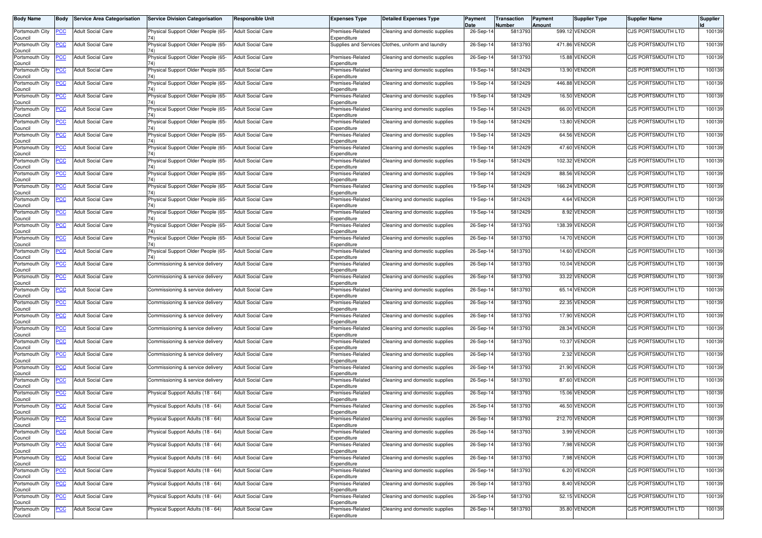| <b>Body Name</b>           | <b>Body</b>    | <b>Service Area Categorisation</b>           | <b>Service Division Categorisation</b> | <b>Responsible Unit</b>  | <b>Expenses Type</b>            | <b>Detailed Expenses Type</b>                      | Payment<br>Date | Transaction<br>Number | Payment<br>Amount | Supplier Type | <b>Supplier Name</b>      | Supplier |
|----------------------------|----------------|----------------------------------------------|----------------------------------------|--------------------------|---------------------------------|----------------------------------------------------|-----------------|-----------------------|-------------------|---------------|---------------------------|----------|
| Portsmouth City<br>Council | PCC            | <b>Adult Social Care</b>                     | Physical Support Older People (65-     | <b>Adult Social Care</b> | Premises-Related<br>Expenditure | Cleaning and domestic supplies                     | 26-Sep-14       | 5813793               |                   | 599.12 VENDOR | CJS PORTSMOUTH LTD        | 100139   |
| Portsmouth City<br>Council | <b>PCC</b>     | <b>Adult Social Care</b>                     | Physical Support Older People (65-     | <b>Adult Social Care</b> |                                 | Supplies and Services Clothes, uniform and laundry | 26-Sep-14       | 5813793               |                   | 471.86 VENDOR | <b>CJS PORTSMOUTH LTD</b> | 100139   |
| Portsmouth City<br>Council | <u>PCC</u>     | <b>Adult Social Care</b>                     | Physical Support Older People (65-     | <b>Adult Social Care</b> | Premises-Related<br>Expenditure | Cleaning and domestic supplies                     | 26-Sep-14       | 5813793               | 15.88             | <b>VENDOR</b> | CJS PORTSMOUTH LTD        | 100139   |
| Portsmouth City<br>Council | <u>PCC</u>     | <b>Adult Social Care</b>                     | Physical Support Older People (65-     | <b>Adult Social Care</b> | Premises-Related<br>Expenditure | Cleaning and domestic supplies                     | 19-Sep-14       | 5812429               |                   | 13.90 VENDOR  | CJS PORTSMOUTH LTD        | 100139   |
| Portsmouth City<br>Council | <u>PCC</u>     | <b>Adult Social Care</b>                     | Physical Support Older People (65-     | <b>Adult Social Care</b> | Premises-Related<br>Expenditure | Cleaning and domestic supplies                     | 19-Sep-14       | 5812429               | 446.88            | <b>VENDOR</b> | CJS PORTSMOUTH LTD        | 100139   |
| Portsmouth City<br>Council | <u>PCC</u>     | <b>Adult Social Care</b>                     | Physical Support Older People (65-     | <b>Adult Social Care</b> | Premises-Related<br>Expenditure | Cleaning and domestic supplies                     | 19-Sep-14       | 5812429               |                   | 16.50 VENDOR  | <b>CJS PORTSMOUTH LTD</b> | 100139   |
| Portsmouth City<br>Council | <b>CC</b>      | <b>Adult Social Care</b>                     | Physical Support Older People (65-     | <b>Adult Social Care</b> | Premises-Related<br>Expenditure | Cleaning and domestic supplies                     | 19-Sep-1        | 5812429               |                   | 66.00 VENDOR  | CJS PORTSMOUTH LTD        | 100139   |
| Portsmouth City<br>Council | <b>PCC</b>     | <b>Adult Social Care</b>                     | Physical Support Older People (65-     | <b>Adult Social Care</b> | Premises-Related<br>Expenditure | Cleaning and domestic supplies                     | 19-Sep-14       | 5812429               |                   | 13.80 VENDOR  | <b>CJS PORTSMOUTH LTD</b> | 100139   |
| Portsmouth City<br>Council | сC             | <b>Adult Social Care</b>                     | Physical Support Older People (65-     | <b>Adult Social Care</b> | Premises-Related<br>Expenditure | Cleaning and domestic supplies                     | 19-Sep-14       | 5812429               |                   | 64.56 VENDOR  | CJS PORTSMOUTH LTD        | 100139   |
| Portsmouth City<br>Council | <b>PCC</b>     | <b>Adult Social Care</b>                     | Physical Support Older People (65-     | <b>Adult Social Care</b> | Premises-Related<br>Expenditure | Cleaning and domestic supplies                     | 19-Sep-14       | 5812429               |                   | 47.60 VENDOR  | <b>CJS PORTSMOUTH LTD</b> | 100139   |
| Portsmouth City<br>Council | PCC            | <b>Adult Social Care</b>                     | Physical Support Older People (65-     | <b>Adult Social Care</b> | Premises-Related<br>Expenditure | Cleaning and domestic supplies                     | 19-Sep-14       | 5812429               |                   | 102.32 VENDOR | CJS PORTSMOUTH LTD        | 100139   |
| Portsmouth City<br>Council | сC             | <b>Adult Social Care</b>                     | Physical Support Older People (65-     | <b>Adult Social Care</b> | Premises-Related<br>Expenditure | Cleaning and domestic supplies                     | 19-Sep-14       | 5812429               |                   | 88.56 VENDOR  | CJS PORTSMOUTH LTD        | 100139   |
| Portsmouth City<br>Council | PСC            | <b>Adult Social Care</b>                     | Physical Support Older People (65-     | <b>Adult Social Care</b> | Premises-Related<br>Expenditure | Cleaning and domestic supplies                     | 19-Sep-14       | 5812429               | 166.24            | <b>VENDOR</b> | CJS PORTSMOUTH LTD        | 100139   |
| Portsmouth City<br>Council | PСC            | <b>Adult Social Care</b>                     | Physical Support Older People (65-     | <b>Adult Social Care</b> | Premises-Related<br>Expenditure | Cleaning and domestic supplies                     | 19-Sep-14       | 5812429               |                   | 4.64 VENDOR   | CJS PORTSMOUTH LTD        | 100139   |
| Portsmouth City<br>Council | PСC            | <b>Adult Social Care</b>                     | Physical Support Older People (65-     | <b>Adult Social Care</b> | Premises-Related<br>Expenditure | Cleaning and domestic supplies                     | 19-Sep-14       | 5812429               |                   | 8.92 VENDOR   | <b>CJS PORTSMOUTH LTD</b> | 100139   |
| Portsmouth City<br>Council | <b>CC</b>      | <b>Adult Social Care</b>                     | Physical Support Older People (65-     | <b>Adult Social Care</b> | Premises-Related<br>Expenditure | Cleaning and domestic supplies                     | 26-Sep-14       | 5813793               | 138.39            | <b>VENDOR</b> | CJS PORTSMOUTH LTD        | 100139   |
| Portsmouth City<br>Council | <b>PCC</b>     | <b>Adult Social Care</b>                     | Physical Support Older People (65-     | <b>Adult Social Care</b> | Premises-Related<br>Expenditure | Cleaning and domestic supplies                     | 26-Sep-14       | 5813793               |                   | 14.70 VENDOR  | <b>CJS PORTSMOUTH LTD</b> | 100139   |
| Portsmouth City<br>Council | <b>CC</b>      | <b>Adult Social Care</b>                     | Physical Support Older People (65-     | <b>Adult Social Care</b> | Premises-Related<br>Expenditure | Cleaning and domestic supplies                     | 26-Sep-14       | 5813793               |                   | 14.60 VENDOR  | CJS PORTSMOUTH LTD        | 100139   |
| Portsmouth City<br>Council | <b>PCC</b>     | <b>Adult Social Care</b>                     | Commissioning & service delivery       | <b>Adult Social Care</b> | Premises-Related<br>Expenditure | Cleaning and domestic supplies                     | 26-Sep-14       | 5813793               | 10.04             | <b>VENDOR</b> | CJS PORTSMOUTH LTD        | 100139   |
| Portsmouth City<br>Council | сC             | <b>Adult Social Care</b>                     | Commissioning & service delivery       | <b>Adult Social Care</b> | Premises-Related<br>Expenditure | Cleaning and domestic supplies                     | 26-Sep-14       | 5813793               |                   | 33.22 VENDOR  | CJS PORTSMOUTH LTD        | 100139   |
| Portsmouth City<br>Council | PСC            | <b>Adult Social Care</b>                     | Commissioning & service delivery       | <b>Adult Social Care</b> | Premises-Related<br>Expenditure | Cleaning and domestic supplies                     | 26-Sep-14       | 5813793               |                   | 65.14 VENDOR  | CJS PORTSMOUTH LTD        | 100139   |
| Portsmouth City<br>Council | сC             | <b>Adult Social Care</b>                     | Commissioning & service delivery       | <b>Adult Social Care</b> | Premises-Related<br>Expenditure | Cleaning and domestic supplies                     | 26-Sep-14       | 5813793               | 22.35             | VENDOR        | CJS PORTSMOUTH LTD        | 100139   |
| Portsmouth City<br>Council | <b>PCC</b>     | <b>Adult Social Care</b>                     | Commissioning & service delivery       | <b>Adult Social Care</b> | Premises-Related<br>Expenditure | Cleaning and domestic supplies                     | 26-Sep-14       | 5813793               |                   | 17.90 VENDOR  | CJS PORTSMOUTH LTD        | 100139   |
| Portsmouth City<br>Council | PСC            | <b>Adult Social Care</b>                     | Commissioning & service delivery       | <b>Adult Social Care</b> | Premises-Related<br>Expenditure | Cleaning and domestic supplies                     | 26-Sep-14       | 5813793               | 28.34             | VENDOR        | CJS PORTSMOUTH LTD        | 100139   |
| Portsmouth City<br>Council | <b>PCC</b>     | <b>Adult Social Care</b>                     | Commissioning & service delivery       | <b>Adult Social Care</b> | Premises-Related<br>Expenditure | Cleaning and domestic supplies                     | 26-Sep-14       | 5813793               |                   | 10.37 VENDOR  | CJS PORTSMOUTH LTD        | 100139   |
| Portsmouth City<br>Council | <u>PCC</u>     | <b>Adult Social Care</b>                     | Commissioning & service delivery       | <b>Adult Social Care</b> | Premises-Related<br>Expenditure | Cleaning and domestic supplies                     | 26-Sep-14       | 5813793               |                   | 2.32 VENDOR   | CJS PORTSMOUTH LTD        | 100139   |
| Portsmouth City<br>Council | <b>PCC</b>     | <b>Adult Social Care</b>                     | Commissioning & service delivery       | <b>Adult Social Care</b> | Premises-Related<br>Expenditure | Cleaning and domestic supplies                     | 26-Sep-14       | 5813793               |                   | 21.90 VENDOR  | <b>CJS PORTSMOUTH LTD</b> | 100139   |
| Portsmouth City<br>Council | <b>PCC</b>     | <b>Adult Social Care</b>                     | Commissioning & service delivery       | <b>Adult Social Care</b> | Premises-Related<br>Expenditure | Cleaning and domestic supplies                     | 26-Sep-1        | 5813793               |                   | 87.60 VENDOR  | CJS PORTSMOUTH LTD        | 100139   |
| Portsmouth City<br>Council | <u>PCC</u>     | <b>Adult Social Care</b>                     | Physical Support Adults (18 - 64)      | <b>Adult Social Care</b> | Premises-Related<br>Expenditure | Cleaning and domestic supplies                     | 26-Sep-14       | 5813793               |                   | 15.06 VENDOR  | <b>CJS PORTSMOUTH LTD</b> | 100139   |
| Portsmouth City<br>Council | <b>PCC</b>     | <b>Adult Social Care</b>                     | Physical Support Adults (18 - 64)      | <b>Adult Social Care</b> | Premises-Related<br>Expenditure | Cleaning and domestic supplies                     | 26-Sep-14       | 5813793               |                   | 46.50 VENDOR  | CJS PORTSMOUTH LTD        | 100139   |
| Council                    |                | Portsmouth City <b>PCC</b> Adult Social Care | Physical Support Adults (18 - 64)      | <b>Adult Social Care</b> | Premises-Related<br>Expenditure | Cleaning and domestic supplies                     | 26-Sep-14       | 5813793               |                   | 212.70 VENDOR | CJS PORTSMOUTH LTD        | 100139   |
| Portsmouth City<br>Council | <b>PCC</b>     | <b>Adult Social Care</b>                     | Physical Support Adults (18 - 64)      | <b>Adult Social Care</b> | Premises-Related<br>Expenditure | Cleaning and domestic supplies                     | 26-Sep-14       | 5813793               |                   | 3.99 VENDOR   | CJS PORTSMOUTH LTD        | 100139   |
| Portsmouth City<br>Council | $\overline{C}$ | <b>Adult Social Care</b>                     | Physical Support Adults (18 - 64)      | <b>Adult Social Care</b> | Premises-Related<br>Expenditure | Cleaning and domestic supplies                     | 26-Sep-14       | 5813793               |                   | 7.98 VENDOR   | <b>CJS PORTSMOUTH LTD</b> | 100139   |
| Portsmouth City<br>Council | PCC            | <b>Adult Social Care</b>                     | Physical Support Adults (18 - 64)      | <b>Adult Social Care</b> | Premises-Related<br>Expenditure | Cleaning and domestic supplies                     | 26-Sep-14       | 5813793               |                   | 7.98 VENDOR   | CJS PORTSMOUTH LTD        | 100139   |
| Portsmouth City<br>Council |                | <b>Adult Social Care</b>                     | Physical Support Adults (18 - 64)      | <b>Adult Social Care</b> | Premises-Related<br>Expenditure | Cleaning and domestic supplies                     | 26-Sep-14       | 5813793               |                   | 6.20 VENDOR   | <b>CJS PORTSMOUTH LTD</b> | 100139   |
| Portsmouth City<br>Council | <b>PCC</b>     | <b>Adult Social Care</b>                     | Physical Support Adults (18 - 64)      | <b>Adult Social Care</b> | Premises-Related<br>Expenditure | Cleaning and domestic supplies                     | 26-Sep-14       | 5813793               |                   | 8.40 VENDOR   | <b>CJS PORTSMOUTH LTD</b> | 100139   |
| Portsmouth City<br>Council | <u>PCC</u>     | <b>Adult Social Care</b>                     | Physical Support Adults (18 - 64)      | <b>Adult Social Care</b> | Premises-Related<br>Expenditure | Cleaning and domestic supplies                     | 26-Sep-14       | 5813793               |                   | 52.15 VENDOR  | CJS PORTSMOUTH LTD        | 100139   |
| Portsmouth City<br>Council | <u>PCC</u>     | <b>Adult Social Care</b>                     | Physical Support Adults (18 - 64)      | <b>Adult Social Care</b> | Premises-Related<br>Expenditure | Cleaning and domestic supplies                     | 26-Sep-14       | 5813793               |                   | 35.80 VENDOR  | <b>CJS PORTSMOUTH LTD</b> | 100139   |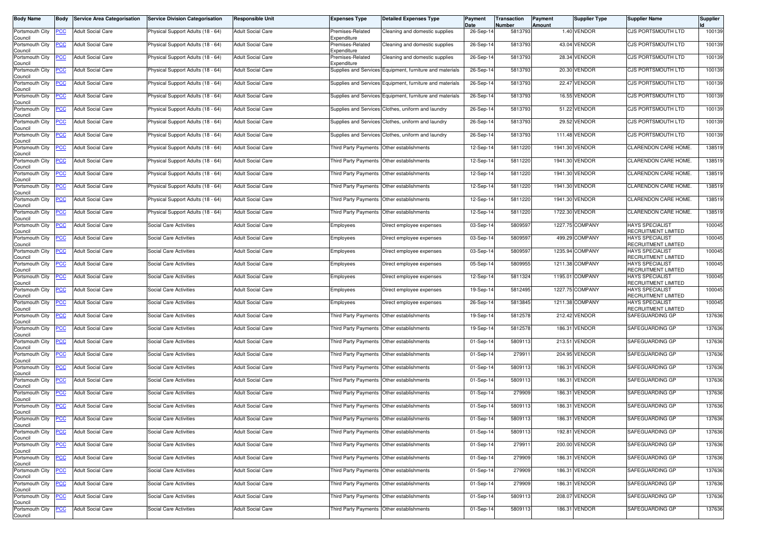| <b>Body Name</b>                                  | Body             | <b>Service Area Categorisation</b> | <b>Service Division Categorisation</b> | Responsible Unit         | <b>Expenses Type</b>                      | <b>Detailed Expenses Type</b>                            | Payment<br>Date | Transaction<br>Number | Payment<br>Amount | <b>Supplier Type</b> | <b>Supplier Name</b>                          | <b>Supplier</b> |
|---------------------------------------------------|------------------|------------------------------------|----------------------------------------|--------------------------|-------------------------------------------|----------------------------------------------------------|-----------------|-----------------------|-------------------|----------------------|-----------------------------------------------|-----------------|
| Portsmouth City<br>Council                        | PСC              | <b>Adult Social Care</b>           | Physical Support Adults (18 - 64)      | Adult Social Care        | Premises-Related<br>Expenditure           | Cleaning and domestic supplies                           | 26-Sep-14       | 5813793               |                   | 1.40 VENDOR          | CJS PORTSMOUTH LTD                            | 100139          |
| Portsmouth City<br>Council                        | <u>PCC</u>       | <b>Adult Social Care</b>           | Physical Support Adults (18 - 64)      | <b>Adult Social Care</b> | Premises-Related<br>Expenditure           | Cleaning and domestic supplies                           | 26-Sep-1        | 5813793               |                   | 43.04 VENDOR         | CJS PORTSMOUTH LTD                            | 100139          |
| Portsmouth City<br>Council                        |                  | <b>Adult Social Care</b>           | Physical Support Adults (18 - 64)      | Adult Social Care        | Premises-Related<br>Expenditure           | Cleaning and domestic supplies                           | 26-Sep-14       | 5813793               |                   | 28.34 VENDOR         | CJS PORTSMOUTH LTD                            | 100139          |
| Portsmouth City<br>Council                        | <u>PCC</u>       | <b>Adult Social Care</b>           | Physical Support Adults (18 - 64)      | Adult Social Care        | Supplies and Services                     | Equipment, furniture and materials                       | 26-Sep-14       | 5813793               |                   | 20.30 VENDOR         | CJS PORTSMOUTH LTD                            | 100139          |
| Portsmouth City<br>Council                        | <b>PCC</b>       | <b>Adult Social Care</b>           | Physical Support Adults (18 - 64)      | <b>Adult Social Care</b> |                                           | Supplies and Services Equipment, furniture and materials | 26-Sep-14       | 5813793               |                   | 22.47 VENDOR         | CJS PORTSMOUTH LTD                            | 100139          |
| Portsmouth City<br>Council                        | <u>PCC</u>       | <b>Adult Social Care</b>           | Physical Support Adults (18 - 64)      | <b>Adult Social Care</b> |                                           | Supplies and Services Equipment, furniture and materials | 26-Sep-14       | 5813793               |                   | 16.55 VENDOR         | CJS PORTSMOUTH LTD                            | 100139          |
| Portsmouth City<br>Council                        | <u>PCC</u>       | <b>Adult Social Care</b>           | Physical Support Adults (18 - 64)      | <b>Adult Social Care</b> |                                           | Supplies and Services Clothes, uniform and laundry       | 26-Sep-14       | 5813793               |                   | 51.22 VENDOR         | CJS PORTSMOUTH LTD                            | 100139          |
| Portsmouth City<br>Council                        | <u>PCC</u>       | <b>Adult Social Care</b>           | Physical Support Adults (18 - 64)      | Adult Social Care        |                                           | Supplies and Services Clothes, uniform and laundry       | 26-Sep-14       | 5813793               |                   | 29.52 VENDOR         | <b>CJS PORTSMOUTH LTD</b>                     | 100139          |
| Portsmouth City<br>Council                        | ۲CC              | <b>Adult Social Care</b>           | Physical Support Adults (18 - 64)      | Adult Social Care        |                                           | Supplies and Services Clothes, uniform and laundry       | 26-Sep-14       | 5813793               |                   | 111.48 VENDOR        | CJS PORTSMOUTH LTD                            | 100139          |
| Portsmouth City<br>Council                        | <u>PCC</u>       | <b>Adult Social Care</b>           | Physical Support Adults (18 - 64)      | <b>Adult Social Care</b> |                                           | Third Party Payments Other establishments                | 12-Sep-14       | 5811220               |                   | 1941.30 VENDOR       | CLARENDON CARE HOME.                          | 138519          |
| Portsmouth City<br>Council                        | PСC              | <b>Adult Social Care</b>           | Physical Support Adults (18 - 64)      | <b>Adult Social Care</b> | Third Party Payments                      | Other establishments                                     | 12-Sep-14       | 581122                |                   | 1941.30 VENDOR       | CLARENDON CARE HOME.                          | 138519          |
| Portsmouth City<br>Council                        | <u>PCC</u>       | <b>Adult Social Care</b>           | Physical Support Adults (18 - 64)      | Adult Social Care        |                                           | Third Party Payments Other establishments                | 12-Sep-14       | 5811220               |                   | 1941.30 VENDOR       | CLARENDON CARE HOME.                          | 138519          |
| Portsmouth City<br>Council                        | <u>PCC</u>       | <b>Adult Social Care</b>           | Physical Support Adults (18 - 64)      | <b>Adult Social Care</b> |                                           | Third Party Payments Other establishments                | 12-Sep-14       | 5811220               |                   | 1941.30 VENDOR       | CLARENDON CARE HOME.                          | 138519          |
| Portsmouth City<br>Council                        | <u>PCC</u>       | <b>Adult Social Care</b>           | Physical Support Adults (18 - 64)      | Adult Social Care        |                                           | Third Party Payments Other establishments                | 12-Sep-14       | 5811220               |                   | 1941.30 VENDOR       | <b>CLARENDON CARE HOME.</b>                   | 138519          |
| Portsmouth City<br>Council                        | <u>PCC</u>       | <b>Adult Social Care</b>           | Physical Support Adults (18 - 64)      | Adult Social Care        |                                           | Third Party Payments Other establishments                | 12-Sep-14       | 5811220               |                   | 1722.30 VENDOR       | CLARENDON CARE HOME.                          | 138519          |
| Portsmouth City<br>Council                        | <u>PCC</u>       | <b>Adult Social Care</b>           | Social Care Activities                 | Adult Social Care        | Employees                                 | Direct employee expenses                                 | 03-Sep-14       | 580959                |                   | 1227.75 COMPANY      | <b>HAYS SPECIALIST</b><br>RECRUITMENT LIMITED | 100045          |
| Portsmouth City<br>Council                        | <u>CC</u>        | <b>Adult Social Care</b>           | Social Care Activities                 | Adult Social Care        | Employees                                 | Direct employee expenses                                 | 03-Sep-14       | 580959                |                   | 499.29 COMPANY       | <b>HAYS SPECIALIST</b><br>RECRUITMENT LIMITED | 100045          |
| Portsmouth City<br>Council                        | <u>PCC</u>       | <b>Adult Social Care</b>           | Social Care Activities                 | <b>Adult Social Care</b> | Employees                                 | Direct employee expenses                                 | 03-Sep-14       | 580959                |                   | 1235.94 COMPANY      | <b>HAYS SPECIALIST</b><br>RECRUITMENT LIMITED | 100045          |
| Portsmouth City<br>Council                        | <u>PCC</u>       | <b>Adult Social Care</b>           | Social Care Activities                 | Adult Social Care        | Employees                                 | Direct employee expenses                                 | 05-Sep-14       | 5809955               |                   | 1211.38 COMPANY      | <b>HAYS SPECIALIST</b><br>RECRUITMENT LIMITED | 100045          |
| Portsmouth City<br>Council                        | <u>PCC</u>       | <b>Adult Social Care</b>           | Social Care Activities                 | Adult Social Care        | Employees                                 | Direct employee expenses                                 | 12-Sep-14       | 5811324               |                   | 1195.01 COMPANY      | <b>HAYS SPECIALIST</b><br>RECRUITMENT LIMITED | 100045          |
| Portsmouth City<br>Council                        | <u>PCC</u>       | <b>Adult Social Care</b>           | Social Care Activities                 | <b>Adult Social Care</b> | Employees                                 | Direct employee expenses                                 | 19-Sep-14       | 5812495               |                   | 1227.75 COMPANY      | <b>HAYS SPECIALIST</b><br>RECRUITMENT LIMITED | 100045          |
| Portsmouth City<br>Council                        | <u>PCC</u>       | <b>Adult Social Care</b>           | Social Care Activities                 | Adult Social Care        | Employees                                 | Direct employee expenses                                 | 26-Sep-14       | 5813845               |                   | 1211.38 COMPANY      | <b>HAYS SPECIALIST</b><br>RECRUITMENT LIMITED | 100045          |
| Portsmouth City<br>Council                        | <u>PCC</u>       | <b>Adult Social Care</b>           | Social Care Activities                 | Adult Social Care        | Third Party Payments                      | Other establishments                                     | 19-Sep-1        | 5812578               |                   | 212.42 VENDOR        | SAFEGUARDING GP                               | 137636          |
| Portsmouth City<br>Council                        | <u>PCC</u>       | <b>Adult Social Care</b>           | <b>Social Care Activities</b>          | <b>Adult Social Care</b> |                                           | Third Party Payments Other establishments                | 19-Sep-14       | 5812578               |                   | 186.31 VENDOR        | SAFEGUARDING GP                               | 137636          |
| Portsmouth City<br>Council                        | ∍сс              | <b>Adult Social Care</b>           | Social Care Activities                 | Adult Social Care        |                                           | Third Party Payments Other establishments                | 01-Sep-14       | 5809113               |                   | 213.51 VENDOR        | SAFEGUARDING GP                               | 137636          |
| Portsmouth City<br>Council                        | <u>PCC</u>       | <b>Adult Social Care</b>           | Social Care Activities                 | Adult Social Care        |                                           | Third Party Payments Other establishments                | 01-Sep-14       | 279911                |                   | 204.95 VENDOR        | SAFEGUARDING GP                               | 137636          |
| Portsmouth City<br>Council                        | <u>PCC</u>       | <b>Adult Social Care</b>           | Social Care Activities                 | <b>Adult Social Care</b> |                                           | Third Party Payments Other establishments                | 01-Sep-14       | 5809113               |                   | 186.31 VENDOR        | SAFEGUARDING GP                               | 137636          |
| Portsmouth City<br>Council                        | <u>PCC</u>       | <b>Adult Social Care</b>           | Social Care Activities                 | <b>Adult Social Care</b> | <b>Third Party Payments</b>               | Other establishments                                     | 01-Sep-14       | 5809113               |                   | 186.31 VENDOR        | SAFEGUARDING GP                               | 137636          |
| Portsmouth City<br>Council                        | <u>PCC</u>       | <b>Adult Social Care</b>           | <b>Social Care Activities</b>          | <b>Adult Social Care</b> | Third Party Payments                      | Other establishments                                     | 01-Sep-14       | 279909                |                   | 186.31 VENDOR        | SAFEGUARDING GP                               | 137636          |
| Portsmouth City<br>Council                        | <b>PCC</b>       | <b>Adult Social Care</b>           | <b>Social Care Activities</b>          | Adult Social Care        |                                           | Third Party Payments Other establishments                | 01-Sep-14       | 5809113               |                   | 186.31 VENDOR        | SAFEGUARDING GP                               | 137636          |
| Portsmouth City PCC<br>Council<br>Portsmouth City |                  | <b>Adult Social Care</b>           | Social Care Activities                 | <b>Adult Social Care</b> | Third Party Payments Other establishments |                                                          | 01-Sep-14       | 5809113               |                   | 186.31 VENDOR        | SAFEGUARDING GP                               | 137636          |
| Council                                           | <u>PCC</u>       | <b>Adult Social Care</b>           | Social Care Activities                 | <b>Adult Social Care</b> |                                           | Third Party Payments Other establishments                | 01-Sep-14       | 5809113               |                   | 192.81 VENDOR        | SAFEGUARDING GP                               | 137636          |
| Portsmouth City<br>Council                        | <u>PCC</u>       | <b>Adult Social Care</b>           | Social Care Activities                 | <b>Adult Social Care</b> |                                           | Third Party Payments Other establishments                | 01-Sep-14       | 279911                |                   | 200.00 VENDOR        | SAFEGUARDING GP                               | 137636          |
| Portsmouth City<br>Council                        | $\overline{PCC}$ | <b>Adult Social Care</b>           | Social Care Activities                 | <b>Adult Social Care</b> |                                           | Third Party Payments Other establishments                | 01-Sep-14       | 279909                |                   | 186.31 VENDOR        | SAFEGUARDING GP                               | 137636          |
| Portsmouth City<br>Council                        | <u>PCC</u>       | <b>Adult Social Care</b>           | Social Care Activities                 | Adult Social Care        |                                           | Third Party Payments Other establishments                | 01-Sep-14       | 279909                |                   | 186.31 VENDOR        | SAFEGUARDING GP                               | 137636          |
| Portsmouth City<br>Council                        | <u>PCC</u>       | <b>Adult Social Care</b>           | Social Care Activities                 | <b>Adult Social Care</b> |                                           | Third Party Payments Other establishments                | 01-Sep-14       | 279909                |                   | 186.31 VENDOR        | SAFEGUARDING GP                               | 137636          |
| Portsmouth City<br>Council                        | <u>PCC</u>       | <b>Adult Social Care</b>           | <b>Social Care Activities</b>          | <b>Adult Social Care</b> |                                           | Third Party Payments Other establishments                | 01-Sep-14       | 5809113               |                   | 208.07 VENDOR        | SAFEGUARDING GP                               | 137636          |
| Portsmouth City<br>Council                        | $\overline{C}$   | <b>Adult Social Care</b>           | Social Care Activities                 | <b>Adult Social Care</b> |                                           | Third Party Payments Other establishments                | 01-Sep-14       | 5809113               |                   | 186.31 VENDOR        | SAFEGUARDING GP                               | 137636          |
|                                                   |                  |                                    |                                        |                          |                                           |                                                          |                 |                       |                   |                      |                                               |                 |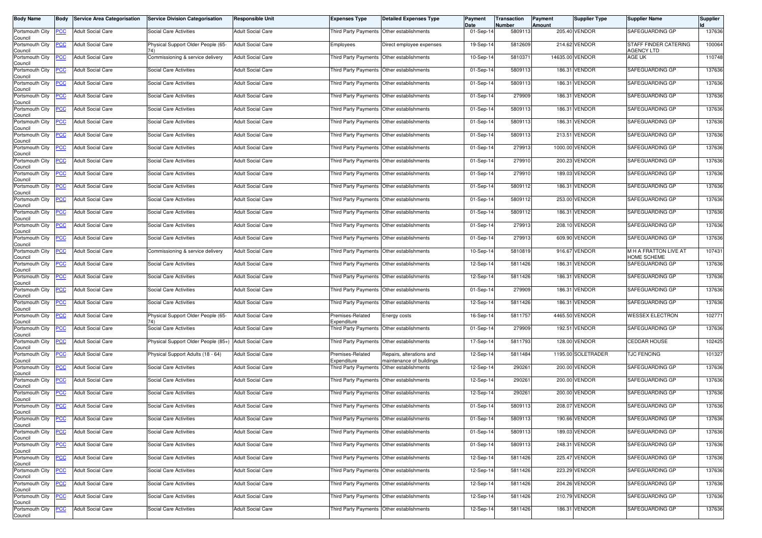| <b>Body Name</b>                                  | Body                     | <b>Service Area Categorisation</b>                   | <b>Service Division Categorisation</b>                | <b>Responsible Unit</b>                              | <b>Expenses Type</b>                                                                   | <b>Detailed Expenses Type</b>                        | Payment<br>Date        | Transaction<br><b>Number</b> | Payment<br><b>Amount</b> | <b>Supplier Type</b>           | <b>Supplier Name</b>                        | <b>Supplier</b>  |
|---------------------------------------------------|--------------------------|------------------------------------------------------|-------------------------------------------------------|------------------------------------------------------|----------------------------------------------------------------------------------------|------------------------------------------------------|------------------------|------------------------------|--------------------------|--------------------------------|---------------------------------------------|------------------|
| Portsmouth City<br>Council                        | <b>PCC</b>               | <b>Adult Social Care</b>                             | Social Care Activities                                | <b>Adult Social Care</b>                             | Third Party Payments Other establishments                                              |                                                      | 01-Sep-14              | 5809113                      |                          | 205.40 VENDOR                  | SAFEGUARDING GP                             | 137636           |
| Portsmouth City<br>Council                        | <b>PCC</b>               | <b>Adult Social Care</b>                             | Physical Support Older People (65-<br>74)             | <b>Adult Social Care</b>                             | Employees                                                                              | Direct employee expenses                             | 19-Sep-14              | 5812609                      |                          | 214.62 VENDOR                  | STAFF FINDER CATERING<br><b>AGENCY LTD</b>  | 100064           |
| Portsmouth City<br>Council                        | <b>PCC</b>               | <b>Adult Social Care</b>                             | Commissioning & service delivery                      | <b>Adult Social Care</b>                             | Third Party Payments Other establishments                                              |                                                      | 10-Sep-14              | 5810371                      |                          | 14635.00 VENDOR                | AGE UK                                      | 110748           |
| Portsmouth City<br>Council                        | <u>PCC</u>               | <b>Adult Social Care</b>                             | Social Care Activities                                | Adult Social Care                                    | Third Party Payments Other establishments                                              |                                                      | 01-Sep-14              | 5809113                      |                          | 186.31 VENDOR                  | SAFEGUARDING GP                             | 137636           |
| Portsmouth City<br>Council                        | <b>PCC</b>               | <b>Adult Social Care</b>                             | <b>Social Care Activities</b>                         | <b>Adult Social Care</b>                             | Third Party Payments Other establishments                                              |                                                      | 01-Sep-14              | 5809113                      |                          | 186.31 VENDOR                  | SAFEGUARDING GP                             | 137636           |
| Portsmouth City<br>Council                        | <b>PCC</b>               | <b>Adult Social Care</b>                             | Social Care Activities                                | <b>Adult Social Care</b>                             | Third Party Payments Other establishments                                              |                                                      | 01-Sep-14              | 279909                       |                          | 186.31 VENDOR                  | SAFEGUARDING GP                             | 137636           |
| Portsmouth City<br>Council                        | <u>PCC</u>               | <b>Adult Social Care</b>                             | Social Care Activities                                | <b>Adult Social Care</b>                             | Third Party Payments Other establishments                                              |                                                      | 01-Sep-14              | 5809113                      |                          | 186.31 VENDOR                  | SAFEGUARDING GP                             | 137636           |
| Portsmouth City<br>Council                        | <u>PCC</u>               | <b>Adult Social Care</b>                             | Social Care Activities                                | <b>Adult Social Care</b>                             | Third Party Payments Other establishments                                              |                                                      | 01-Sep-14              | 5809113                      |                          | 186.31 VENDOR                  | SAFEGUARDING GP                             | 137636           |
| Portsmouth City<br>Council                        | <b>PCC</b>               | <b>Adult Social Care</b>                             | Social Care Activities                                | <b>Adult Social Care</b>                             | Third Party Payments Other establishments                                              |                                                      | 01-Sep-14              | 5809113                      |                          | 213.51 VENDOR                  | SAFEGUARDING GP                             | 137636           |
| Portsmouth City<br>Council                        | <u>PCC</u>               | <b>Adult Social Care</b>                             | Social Care Activities                                | <b>Adult Social Care</b>                             |                                                                                        | Third Party Payments Other establishments            | 01-Sep-14              | 279913                       |                          | 1000.00 VENDOR                 | SAFEGUARDING GP                             | 137636           |
| Portsmouth City<br>Council                        | <b>PCC</b>               | <b>Adult Social Care</b>                             | <b>Social Care Activities</b>                         | <b>Adult Social Care</b>                             | Third Party Payments Other establishments                                              |                                                      | 01-Sep-14              | 279910                       |                          | 200.23 VENDOR                  | SAFEGUARDING GP                             | 137636           |
| Portsmouth City<br>Council                        | <b>PCC</b>               | <b>Adult Social Care</b>                             | Social Care Activities                                | <b>Adult Social Care</b>                             |                                                                                        | Third Party Payments Other establishments            | 01-Sep-14              | 279910                       |                          | 189.03 VENDOR                  | SAFEGUARDING GP                             | 137636           |
| Portsmouth City<br>Council                        | <u>PCC</u>               | <b>Adult Social Care</b>                             | Social Care Activities                                | <b>Adult Social Care</b>                             |                                                                                        | Third Party Payments Other establishments            | 01-Sep-14              | 5809112                      |                          | 186.31 VENDOR                  | SAFEGUARDING GP                             | 137636           |
| Portsmouth City<br>Council                        | <b>PCC</b>               | <b>Adult Social Care</b>                             | Social Care Activities                                | <b>Adult Social Care</b>                             | Third Party Payments Other establishments                                              |                                                      | 01-Sep-14              | 5809112                      |                          | 253.00 VENDOR                  | SAFEGUARDING GP                             | 137636           |
| Portsmouth City<br>Council                        | <b>PCC</b>               | <b>Adult Social Care</b>                             | Social Care Activities                                | <b>Adult Social Care</b>                             | Third Party Payments Other establishments                                              |                                                      | 01-Sep-14              | 5809112                      |                          | 186.31 VENDOR                  | SAFEGUARDING GP                             | 137636           |
| Portsmouth City<br>Council                        | <b>PCC</b>               | <b>Adult Social Care</b>                             | <b>Social Care Activities</b>                         | <b>Adult Social Care</b>                             | Third Party Payments                                                                   | Other establishments                                 | 01-Sep-14              | 279913                       |                          | 208.10 VENDOR                  | SAFEGUARDING GP                             | 137636           |
| Portsmouth City<br>Council                        | <u>PCC</u>               | <b>Adult Social Care</b>                             | Social Care Activities                                | <b>Adult Social Care</b>                             | Third Party Payments Other establishments                                              |                                                      | 01-Sep-14              | 279913                       |                          | 609.90 VENDOR                  | SAFEGUARDING GP                             | 137636           |
| Portsmouth City<br>Council                        | <b>PCC</b>               | <b>Adult Social Care</b>                             | Commissioning & service delivery                      | <b>Adult Social Care</b>                             | Third Party Payments Other establishments                                              |                                                      | 10-Sep-14              | 5810819                      |                          | 916.67 VENDOR                  | M H A FRATTON LIVE AT<br><b>HOME SCHEME</b> | 107431           |
| Portsmouth City<br>Council                        | <u>PCC</u>               | <b>Adult Social Care</b>                             | Social Care Activities                                | <b>Adult Social Care</b>                             | Third Party Payments Other establishments                                              |                                                      | 12-Sep-14              | 5811426                      |                          | 186.31 VENDOR                  | SAFEGUARDING GP                             | 137636           |
| Portsmouth City<br>Council                        | <b>PCC</b>               | <b>Adult Social Care</b>                             | <b>Social Care Activities</b>                         | <b>Adult Social Care</b>                             | Third Party Payments                                                                   | Other establishments                                 | 12-Sep-14              | 5811426                      |                          | 186.31 VENDOR                  | SAFEGUARDING GP                             | 137636           |
| Portsmouth City<br>Council                        | <u>PCC</u>               | <b>Adult Social Care</b>                             | <b>Social Care Activities</b>                         | <b>Adult Social Care</b>                             | Third Party Payments Other establishments                                              |                                                      | 01-Sep-14              | 279909                       |                          | 186.31 VENDOR                  | SAFEGUARDING GP                             | 137636           |
| Portsmouth City<br>Council                        | <b>PCC</b>               | <b>Adult Social Care</b>                             | Social Care Activities                                | <b>Adult Social Care</b>                             | Third Party Payments Other establishments                                              |                                                      | 12-Sep-14              | 5811426                      |                          | 186.31 VENDOR                  | SAFEGUARDING GP                             | 137636           |
| Portsmouth City<br>Council                        | <u>PCC</u>               | <b>Adult Social Care</b>                             | Physical Support Older People (65-<br>74)             | <b>Adult Social Care</b>                             | Premises-Related<br>Expenditure                                                        | Energy costs                                         | 16-Sep-14              | 5811757                      |                          | 4465.50 VENDOR                 | <b>WESSEX ELECTRON</b>                      | 102771           |
| Portsmouth City<br>Council                        | <b>PCC</b>               | <b>Adult Social Care</b>                             | Social Care Activities                                | <b>Adult Social Care</b>                             | Third Party Payments Other establishments                                              |                                                      | 01-Sep-14              | 279909                       |                          | 192.51 VENDOR                  | SAFEGUARDING GP                             | 137636           |
| Portsmouth City<br>Council                        | PCC                      | <b>Adult Social Care</b>                             | Physical Support Older People (85+) Adult Social Care |                                                      | Third Party Payments Other establishments                                              |                                                      | 17-Sep-14              | 5811793                      |                          | 128.00 VENDOR                  | <b>CEDDAR HOUSE</b>                         | 102425           |
| Portsmouth City<br>Council                        | <b>PCC</b>               | <b>Adult Social Care</b>                             | Physical Support Adults (18 - 64)                     | <b>Adult Social Care</b>                             | Premises-Related<br>Expenditure                                                        | Repairs, alterations and<br>maintenance of buildings | 12-Sep-14              | 5811484                      |                          | 1195.00 SOLETRADER             | <b>TJC FENCING</b>                          | 101327           |
| Portsmouth City<br>Council                        | <b>PCC</b>               | <b>Adult Social Care</b>                             | Social Care Activities                                | <b>Adult Social Care</b>                             | Third Party Payments                                                                   | Other establishments                                 | 12-Sep-14              | 290261                       |                          | 200.00 VENDOR                  | SAFEGUARDING GP                             | 137636           |
| Portsmouth City<br>Council                        | <b>PCC</b>               | <b>Adult Social Care</b>                             | <b>Social Care Activities</b>                         | <b>Adult Social Care</b>                             | Third Party Payments                                                                   | Other establishments                                 | 12-Sep-14              | 290261                       |                          | 200.00 VENDOR                  | SAFEGUARDING GP                             | 137636           |
| Portsmouth City<br>Council                        | <u>PCC</u>               | <b>Adult Social Care</b>                             | Social Care Activities                                | Adult Social Care                                    | Third Party Payments Other establishments                                              |                                                      | 12-Sep-14              | 290261                       |                          | 200.00 VENDOR                  | SAFEGUARDING GP                             | 137636           |
| Portsmouth City<br>Council                        | <b>PCC</b>               | <b>Adult Social Care</b>                             | <b>Social Care Activities</b>                         | <b>Adult Social Care</b>                             | Third Party Payments Other establishments                                              |                                                      | 01-Sep-14              | 5809113                      |                          | 208.07 VENDOR                  | SAFEGUARDING GP                             | 137636           |
| Portsmouth City PCC<br>Council<br>Portsmouth City |                          | <b>Adult Social Care</b>                             | Social Care Activities                                | <b>Adult Social Care</b>                             | Third Party Payments Other establishments                                              |                                                      | 01-Sep-14              | 5809113                      |                          | 190.66 VENDOR                  | SAFEGUARDING GP<br>SAFEGUARDING GP          | 137636           |
| Council                                           | <u>PCC</u>               | <b>Adult Social Care</b>                             | Social Care Activities                                | <b>Adult Social Care</b>                             | Third Party Payments Other establishments                                              |                                                      | 01-Sep-14              | 5809113                      |                          | 189.03 VENDOR                  |                                             | 137636           |
| Portsmouth City<br>Council<br>Portsmouth City     | <b>PCC</b><br><b>PCC</b> | <b>Adult Social Care</b><br><b>Adult Social Care</b> | Social Care Activities<br>Social Care Activities      | <b>Adult Social Care</b><br><b>Adult Social Care</b> | Third Party Payments Other establishments<br>Third Party Payments Other establishments |                                                      | 01-Sep-14<br>12-Sep-14 | 5809113<br>5811426           |                          | 248.31 VENDOR<br>225.47 VENDOR | SAFEGUARDING GP<br>SAFEGUARDING GP          | 137636<br>137636 |
| Council<br>Portsmouth City                        |                          |                                                      |                                                       |                                                      |                                                                                        |                                                      |                        | 5811426                      |                          | 223.29 VENDOR                  |                                             | 137636           |
| Council<br>Portsmouth City                        | <b>PCC</b>               | <b>Adult Social Care</b><br><b>Adult Social Care</b> | Social Care Activities<br>Social Care Activities      | <b>Adult Social Care</b><br>Adult Social Care        | Third Party Payments Other establishments<br>Third Party Payments                      | Other establishments                                 | 12-Sep-14<br>12-Sep-14 | 5811426                      |                          | 204.26 VENDOR                  | SAFEGUARDING GP<br>SAFEGUARDING GP          | 137636           |
| Council<br>Portsmouth City                        | <u>PCC</u><br><b>PCC</b> | <b>Adult Social Care</b>                             | Social Care Activities                                | <b>Adult Social Care</b>                             | Third Party Payments                                                                   | Other establishments                                 | 12-Sep-14              | 5811426                      |                          | 210.79 VENDOR                  | SAFEGUARDING GP                             | 137636           |
| Council                                           |                          |                                                      |                                                       |                                                      |                                                                                        |                                                      |                        |                              |                          | 186.31 VENDOR                  | SAFEGUARDING GP                             |                  |
| Portsmouth City<br>Council                        | <b>PCC</b>               | <b>Adult Social Care</b>                             | Social Care Activities                                | Adult Social Care                                    | Third Party Payments Other establishments                                              |                                                      | 12-Sep-14              | 5811426                      |                          |                                |                                             | 137636           |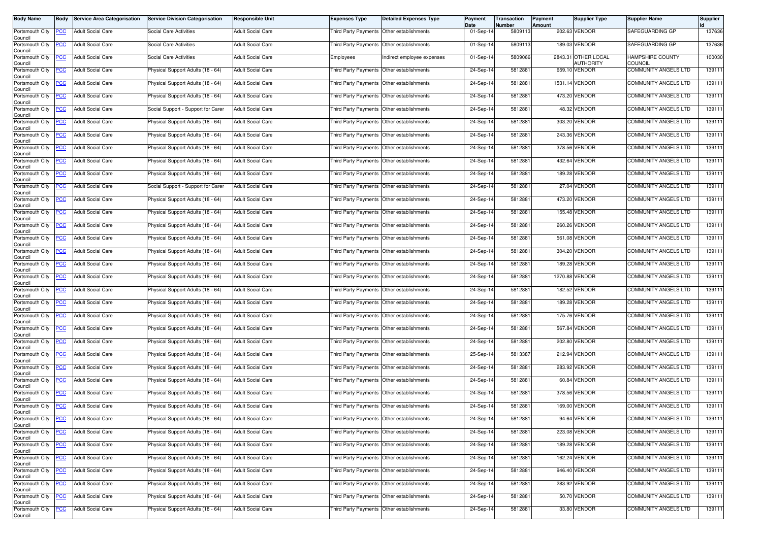| <b>Body Name</b>           | Body           | <b>Service Area Categorisation</b> | <b>Service Division Categorisation</b> | Responsible Unit         | <b>Expenses Type</b>                        | <b>Detailed Expenses Type</b>             | Payment<br>Date | Transaction<br>Number | Payment<br>Amount | Supplier Type                           | <b>Supplier Name</b>               | Supplier |
|----------------------------|----------------|------------------------------------|----------------------------------------|--------------------------|---------------------------------------------|-------------------------------------------|-----------------|-----------------------|-------------------|-----------------------------------------|------------------------------------|----------|
| Portsmouth City<br>Council | <u>PCC</u>     | <b>Adult Social Care</b>           | <b>Social Care Activities</b>          | <b>Adult Social Care</b> | Third Party Payments Other establishments   |                                           | 01-Sep-14       | 5809113               |                   | 202.63 VENDOR                           | SAFEGUARDING GP                    | 137636   |
| Portsmouth City<br>Council | <u>'CC</u>     | <b>Adult Social Care</b>           | Social Care Activities                 | <b>Adult Social Care</b> |                                             | Third Party Payments Other establishments | 01-Sep-14       | 5809113               |                   | 189.03 VENDOR                           | SAFEGUARDING GP                    | 137636   |
| Portsmouth City<br>Council | <u>'СС</u>     | <b>Adult Social Care</b>           | Social Care Activities                 | <b>Adult Social Care</b> | Employees                                   | Indirect employee expenses                | 01-Sep-14       | 5809066               |                   | 2843.31 OTHER LOCAL<br><b>AUTHORITY</b> | HAMPSHIRE COUNTY<br><b>COUNCIL</b> | 100030   |
| Portsmouth City<br>Council | <u>PCC</u>     | <b>Adult Social Care</b>           | Physical Support Adults (18 - 64)      | <b>Adult Social Care</b> | Third Party Payments                        | Other establishments                      | 24-Sep-14       | 5812881               |                   | 659.10 VENDOR                           | <b>COMMUNITY ANGELS LTD</b>        | 139111   |
| Portsmouth City<br>Council | <b>CC</b>      | <b>Adult Social Care</b>           | Physical Support Adults (18 - 64)      | <b>Adult Social Care</b> | Third Party Payments                        | Other establishments                      | 24-Sep-14       | 5812881               | 1531.14           | <b>VENDOR</b>                           | COMMUNITY ANGELS LTD               | 139111   |
| Portsmouth City<br>Council | <u>PCC</u>     | <b>Adult Social Care</b>           | Physical Support Adults (18 - 64)      | <b>Adult Social Care</b> | Third Party Payments Other establishments   |                                           | 24-Sep-14       | 5812881               |                   | 473.20 VENDOR                           | COMMUNITY ANGELS LTD               | 139111   |
| Portsmouth City<br>Council | <u>CC</u>      | <b>Adult Social Care</b>           | Social Support - Support for Carer     | <b>Adult Social Care</b> | Third Party Payments                        | Other establishments                      | 24-Sep-14       | 581288                |                   | 48.32 VENDOR                            | <b>COMMUNITY ANGELS LTD</b>        | 139111   |
| Portsmouth City<br>Council | <u>PCC</u>     | <b>Adult Social Care</b>           | Physical Support Adults (18 - 64)      | <b>Adult Social Care</b> | Third Party Payments                        | Other establishments                      | 24-Sep-14       | 581288                |                   | 303.20 VENDOR                           | COMMUNITY ANGELS LTD               | 139111   |
| Portsmouth City<br>Council | <u>'CC</u>     | <b>Adult Social Care</b>           | Physical Support Adults (18 - 64)      | <b>Adult Social Care</b> | Third Party Payments                        | Other establishments                      | 24-Sep-14       | 5812881               |                   | 243.36 VENDOR                           | COMMUNITY ANGELS LTD               | 139111   |
| Portsmouth City<br>Council | <u>CC</u>      | Adult Social Care                  | Physical Support Adults (18 - 64)      | <b>Adult Social Care</b> | Third Party Payments                        | Other establishments                      | 24-Sep-14       | 5812881               |                   | 378.56 VENDOR                           | COMMUNITY ANGELS LTD               | 139111   |
| Portsmouth City<br>Council | <u>'CC</u>     | <b>Adult Social Care</b>           | Physical Support Adults (18 - 64)      | <b>Adult Social Care</b> | Third Party Payments                        | Other establishments                      | 24-Sep-14       | 581288                | 432.64            | VENDOR                                  | <b>COMMUNITY ANGELS LTD</b>        | 139111   |
| Portsmouth City<br>Council | <u>PCC</u>     | <b>Adult Social Care</b>           | Physical Support Adults (18 - 64)      | <b>Adult Social Care</b> | Third Party Payments                        | Other establishments                      | 24-Sep-14       | 5812881               |                   | 189.28 VENDOR                           | COMMUNITY ANGELS LTD               | 139111   |
| Portsmouth City<br>Council | <u>'CC</u>     | <b>Adult Social Care</b>           | Social Support - Support for Carer     | <b>Adult Social Care</b> | Third Party Payments                        | Other establishments                      | 24-Sep-14       | 5812881               |                   | 27.04 VENDOR                            | COMMUNITY ANGELS LTD               | 139111   |
| Portsmouth City<br>Council | <u>'СС</u>     | <b>Adult Social Care</b>           | Physical Support Adults (18 - 64)      | <b>Adult Social Care</b> | Third Party Payments   Other establishments |                                           | 24-Sep-14       | 5812881               |                   | 473.20 VENDOR                           | <b>COMMUNITY ANGELS LTD</b>        | 139111   |
| Portsmouth City<br>Council | <u>'CC</u>     | Adult Social Care                  | Physical Support Adults (18 - 64)      | <b>Adult Social Care</b> | Third Party Payments                        | Other establishments                      | 24-Sep-14       | 581288                |                   | 155.48 VENDOR                           | COMMUNITY ANGELS LTD               | 139111   |
| Portsmouth City<br>Council | <u>PCC</u>     | <b>Adult Social Care</b>           | Physical Support Adults (18 - 64)      | <b>Adult Social Care</b> | Third Party Payments                        | Other establishments                      | 24-Sep-14       | 5812881               |                   | 260.26 VENDOR                           | <b>COMMUNITY ANGELS LTD</b>        | 139111   |
| Portsmouth City<br>Council | <u>'СС</u>     | Adult Social Care                  | Physical Support Adults (18 - 64)      | <b>Adult Social Care</b> | Third Party Payments                        | Other establishments                      | 24-Sep-14       | 5812881               |                   | 561.08 VENDOR                           | COMMUNITY ANGELS LTD               | 139111   |
| Portsmouth City<br>Council | <u>PCC</u>     | <b>Adult Social Care</b>           | Physical Support Adults (18 - 64)      | <b>Adult Social Care</b> | Third Party Payments Other establishments   |                                           | 24-Sep-14       | 5812881               |                   | 304.20 VENDOR                           | COMMUNITY ANGELS LTD               | 139111   |
| Portsmouth City<br>Council | <u>'CC</u>     | Adult Social Care                  | Physical Support Adults (18 - 64)      | <b>Adult Social Care</b> | Third Party Payments                        | Other establishments                      | 24-Sep-14       | 581288                |                   | 189.28 VENDOR                           | COMMUNITY ANGELS LTD               | 139111   |
| Portsmouth City<br>Council | <u>'CC</u>     | <b>Adult Social Care</b>           | Physical Support Adults (18 - 64)      | <b>Adult Social Care</b> | Third Party Payments                        | Other establishments                      | 24-Sep-14       | 5812881               |                   | 1270.88 VENDOR                          | <b>COMMUNITY ANGELS LTD</b>        | 139111   |
| Portsmouth City<br>Council | <u>PCC</u>     | Adult Social Care                  | Physical Support Adults (18 - 64)      | <b>Adult Social Care</b> | Third Party Payments                        | Other establishments                      | 24-Sep-14       | 5812881               |                   | 182.52 VENDOR                           | COMMUNITY ANGELS LTD               | 139111   |
| Portsmouth City<br>Council | <u>PCC</u>     | <b>Adult Social Care</b>           | Physical Support Adults (18 - 64)      | <b>Adult Social Care</b> | Third Party Payments Other establishments   |                                           | 24-Sep-14       | 5812881               |                   | 189.28 VENDOR                           | COMMUNITY ANGELS LTD               | 139111   |
| Portsmouth City<br>Council | PСC            | Adult Social Care                  | Physical Support Adults (18 - 64)      | <b>Adult Social Care</b> | Third Party Payments                        | Other establishments                      | 24-Sep-14       | 581288                |                   | 175.76 VENDOR                           | COMMUNITY ANGELS LTD               | 139111   |
| Portsmouth City<br>Council | <u>'CC</u>     | <b>Adult Social Care</b>           | Physical Support Adults (18 - 64)      | <b>Adult Social Care</b> | Third Party Payments                        | Other establishments                      | 24-Sep-14       | 5812881               |                   | 567.84 VENDOR                           | COMMUNITY ANGELS LTD               | 139111   |
| Portsmouth City<br>Council | сC             | <b>Adult Social Care</b>           | Physical Support Adults (18 - 64)      | <b>Adult Social Care</b> | Third Party Payments                        | Other establishments                      | 24-Sep-14       | 5812881               |                   | 202.80 VENDOR                           | COMMUNITY ANGELS LTD               | 139111   |
| Portsmouth City<br>Council | <u>PCC</u>     | <b>Adult Social Care</b>           | Physical Support Adults (18 - 64)      | <b>Adult Social Care</b> | Third Party Payments                        | Other establishments                      | 25-Sep-14       | 5813387               |                   | 212.94 VENDOR                           | COMMUNITY ANGELS LTD               | 139111   |
| Portsmouth City<br>Council | <u>PCC</u>     | <b>Adult Social Care</b>           | Physical Support Adults (18 - 64)      | <b>Adult Social Care</b> | Third Party Payments Other establishments   |                                           | 24-Sep-14       | 5812881               |                   | 283.92 VENDOR                           | <b>COMMUNITY ANGELS LTD</b>        | 139111   |
| Portsmouth City<br>Council | <u>'CC</u>     | <b>Adult Social Care</b>           | Physical Support Adults (18 - 64)      | <b>Adult Social Care</b> | Third Party Payments                        | Other establishments                      | 24-Sep-14       | 581288                | 60.84             | VENDOR                                  | COMMUNITY ANGELS LTD               | 139111   |
| Portsmouth City<br>Council | <u>PCC</u>     | <b>Adult Social Care</b>           | Physical Support Adults (18 - 64)      | <b>Adult Social Care</b> | Third Party Payments                        | Other establishments                      | 24-Sep-14       | 581288                |                   | 378.56 VENDOR                           | COMMUNITY ANGELS LTD               | 139111   |
| Portsmouth City<br>Council | <u>PCC</u>     | <b>Adult Social Care</b>           | Physical Support Adults (18 - 64)      | <b>Adult Social Care</b> | Third Party Payments Other establishments   |                                           | 24-Sep-14       | 5812881               | 169.00            | <b>VENDOR</b>                           | COMMUNITY ANGELS LTD               | 139111   |
| Portsmouth City<br>Council | <b>PCC</b>     | <b>Adult Social Care</b>           | Physical Support Adults (18 - 64)      | <b>Adult Social Care</b> | Third Party Payments Other establishments   |                                           | 24-Sep-14       | 5812881               |                   | 94.64 VENDOR                            | <b>COMMUNITY ANGELS LTD</b>        | 139111   |
| Portsmouth City<br>Council | <u>CC</u>      | <b>Adult Social Care</b>           | Physical Support Adults (18 - 64)      | Adult Social Care        | Third Party Payments Other establishments   |                                           | 24-Sep-14       | 5812881               |                   | 223.08 VENDOR                           | COMMUNITY ANGELS LTD               | 139111   |
| Portsmouth City<br>Council | <u>'CC</u>     | <b>Adult Social Care</b>           | Physical Support Adults (18 - 64)      | Adult Social Care        | Third Party Payments Other establishments   |                                           | 24-Sep-14       | 5812881               |                   | 189.28 VENDOR                           | COMMUNITY ANGELS LTD               | 139111   |
| Portsmouth City<br>Council | $\overline{C}$ | <b>Adult Social Care</b>           | Physical Support Adults (18 - 64)      | Adult Social Care        | Third Party Payments Other establishments   |                                           | 24-Sep-14       | 5812881               |                   | 162.24 VENDOR                           | <b>COMMUNITY ANGELS LTD</b>        | 139111   |
| Portsmouth City<br>Council | <u>'CC</u>     | <b>Adult Social Care</b>           | Physical Support Adults (18 - 64)      | <b>Adult Social Care</b> | Third Party Payments Other establishments   |                                           | 24-Sep-14       | 5812881               |                   | 946.40 VENDOR                           | <b>COMMUNITY ANGELS LTD</b>        | 139111   |
| Portsmouth City<br>Council | <u>'CC</u>     | <b>Adult Social Care</b>           | Physical Support Adults (18 - 64)      | Adult Social Care        |                                             | Third Party Payments Other establishments | 24-Sep-14       | 5812881               |                   | 283.92 VENDOR                           | COMMUNITY ANGELS LTD               | 139111   |
| Portsmouth City<br>Council | <u>PCC</u>     | <b>Adult Social Care</b>           | Physical Support Adults (18 - 64)      | <b>Adult Social Care</b> | Third Party Payments Other establishments   |                                           | 24-Sep-14       | 5812881               |                   | 50.70 VENDOR                            | COMMUNITY ANGELS LTD               | 139111   |
| Portsmouth City<br>Council | <u>'CC</u>     | <b>Adult Social Care</b>           | Physical Support Adults (18 - 64)      | Adult Social Care        | Third Party Payments Other establishments   |                                           | 24-Sep-14       | 5812881               |                   | 33.80 VENDOR                            | COMMUNITY ANGELS LTD               | 139111   |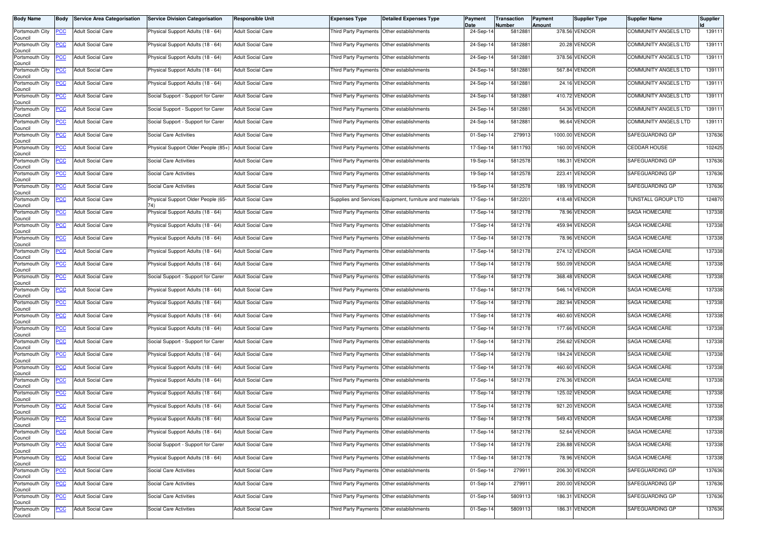| <b>Body Name</b>                              | <b>Body</b> | <b>Service Area Categorisation</b>                   | <b>Service Division Categorisation</b> | <b>Responsible Unit</b>                              | <b>Expenses Type</b>                                              | <b>Detailed Expenses Type</b>                            | Payment<br>Date | Transaction<br><b>Number</b> | Payment<br>Amount | <b>Supplier Type</b>          | <b>Supplier Name</b>           | <b>Supplier</b> |
|-----------------------------------------------|-------------|------------------------------------------------------|----------------------------------------|------------------------------------------------------|-------------------------------------------------------------------|----------------------------------------------------------|-----------------|------------------------------|-------------------|-------------------------------|--------------------------------|-----------------|
| Portsmouth City<br>Council                    | <b>PCC</b>  | <b>Adult Social Care</b>                             | Physical Support Adults (18 - 64)      | <b>Adult Social Care</b>                             |                                                                   | Third Party Payments Other establishments                | 24-Sep-14       | 5812881                      |                   | 378.56 VENDOR                 | COMMUNITY ANGELS LTD           | 139111          |
| Portsmouth City<br>Council                    | <b>PCC</b>  | <b>Adult Social Care</b>                             | hysical Support Adults (18 - 64)       | <b>Adult Social Care</b>                             |                                                                   | Third Party Payments Other establishments                | 24-Sep-14       | 5812881                      |                   | 20.28 VENDOR                  | COMMUNITY ANGELS LTD           | 139111          |
| Portsmouth City<br>Council                    | <u>PCC</u>  | <b>Adult Social Care</b>                             | Physical Support Adults (18 - 64)      | <b>Adult Social Care</b>                             | Third Party Payments Other establishments                         |                                                          | 24-Sep-14       | 5812881                      |                   | 378.56 VENDOR                 | COMMUNITY ANGELS LTD           | 139111          |
| Portsmouth City<br>Council                    | <b>PCC</b>  | <b>Adult Social Care</b>                             | Physical Support Adults (18 - 64)      | <b>Adult Social Care</b>                             | Third Party Payments Other establishments                         |                                                          | 24-Sep-14       | 5812881                      |                   | 567.84 VENDOR                 | <b>COMMUNITY ANGELS LTD</b>    | 139111          |
| Portsmouth City<br>Council                    | <b>PCC</b>  | <b>Adult Social Care</b>                             | Physical Support Adults (18 - 64)      | Adult Social Care                                    |                                                                   | Third Party Payments Other establishments                | 24-Sep-14       | 5812881                      |                   | 24.16 VENDOR                  | COMMUNITY ANGELS LTD           | 139111          |
| Portsmouth City<br>Council                    | <b>PCC</b>  | <b>Adult Social Care</b>                             | Social Support - Support for Carer     | <b>Adult Social Care</b>                             | Third Party Payments Other establishments                         |                                                          | 24-Sep-14       | 5812881                      |                   | 410.72 VENDOR                 | <b>COMMUNITY ANGELS LTD</b>    | 139111          |
| Portsmouth City<br>Council                    | <u>PCC</u>  | <b>Adult Social Care</b>                             | Social Support - Support for Carer     | <b>Adult Social Care</b>                             | Third Party Payments Other establishments                         |                                                          | 24-Sep-14       | 5812881                      |                   | 54.36 VENDOR                  | COMMUNITY ANGELS LTD           | 139111          |
| Portsmouth City<br>Council                    | <b>PCC</b>  | <b>Adult Social Care</b>                             | Social Support - Support for Carer     | <b>Adult Social Care</b>                             | Third Party Payments Other establishments                         |                                                          | 24-Sep-14       | 5812881                      |                   | 96.64 VENDOR                  | <b>COMMUNITY ANGELS LTD</b>    | 139111          |
| Portsmouth City<br>Council                    | PСC         | <b>Adult Social Care</b>                             | Social Care Activities                 | Adult Social Care                                    | Third Party Payments Other establishments                         |                                                          | 01-Sep-14       | 279913                       |                   | 1000.00 VENDOR                | SAFEGUARDING GP                | 137636          |
| Portsmouth City<br>Council                    | <b>PCC</b>  | <b>Adult Social Care</b>                             | Physical Support Older People (85+)    | <b>Adult Social Care</b>                             |                                                                   | Third Party Payments Other establishments                | 17-Sep-14       | 5811793                      |                   | 160.00 VENDOR                 | <b>CEDDAR HOUSE</b>            | 102425          |
| Portsmouth City<br>Council                    | <u>PCC</u>  | <b>Adult Social Care</b>                             | Social Care Activities                 | Adult Social Care                                    | Third Party Payments Other establishments                         |                                                          | 19-Sep-14       | 5812578                      |                   | 186.31 VENDOR                 | SAFEGUARDING GP                | 137636          |
| Portsmouth City<br>Council                    | <b>PCC</b>  | <b>Adult Social Care</b>                             | Social Care Activities                 | <b>Adult Social Care</b>                             |                                                                   | Third Party Payments Other establishments                | 19-Sep-14       | 5812578                      |                   | 223.41 VENDOR                 | SAFEGUARDING GP                | 137636          |
| Portsmouth City<br>Council                    | <u>PCC</u>  | <b>Adult Social Care</b>                             | Social Care Activities                 | Adult Social Care                                    | Third Party Payments Other establishments                         |                                                          | 19-Sep-14       | 5812578                      |                   | 189.19 VENDOR                 | SAFEGUARDING GP                | 137636          |
| Portsmouth City<br>Council                    | <b>PCC</b>  | <b>Adult Social Care</b>                             | Physical Support Older People (65-     | <b>Adult Social Care</b>                             |                                                                   | Supplies and Services Equipment, furniture and materials | 17-Sep-14       | 5812201                      |                   | 418.48 VENDOR                 | TUNSTALL GROUP LTD             | 124870          |
| Portsmouth City<br>Council                    | <b>PCC</b>  | <b>Adult Social Care</b>                             | Physical Support Adults (18 - 64)      | <b>Adult Social Care</b>                             |                                                                   | Third Party Payments Other establishments                | 17-Sep-14       | 5812178                      |                   | 78.96 VENDOR                  | SAGA HOMECARE                  | 137338          |
| Portsmouth City<br>Council                    | <b>PCC</b>  | <b>Adult Social Care</b>                             | Physical Support Adults (18 - 64)      | <b>Adult Social Care</b>                             | Third Party Payments Other establishments                         |                                                          | 17-Sep-14       | 5812178                      |                   | 459.94 VENDOR                 | SAGA HOMECARE                  | 137338          |
| Portsmouth City<br>Council                    | <b>PCC</b>  | <b>Adult Social Care</b>                             | Physical Support Adults (18 - 64)      | <b>Adult Social Care</b>                             | Third Party Payments                                              | Other establishments                                     | 17-Sep-14       | 5812178                      |                   | 78.96 VENDOR                  | SAGA HOMECARE                  | 137338          |
| Portsmouth City<br>Council                    | <b>PCC</b>  | <b>Adult Social Care</b>                             | Physical Support Adults (18 - 64)      | <b>Adult Social Care</b>                             | Third Party Payments Other establishments                         |                                                          | 17-Sep-14       | 5812178                      |                   | 274.12 VENDOR                 | <b>SAGA HOMECARE</b>           | 137338          |
| Portsmouth City<br>Council                    | <b>PCC</b>  | <b>Adult Social Care</b>                             | Physical Support Adults (18 - 64)      | <b>Adult Social Care</b>                             | Third Party Payments Other establishments                         |                                                          | 17-Sep-14       | 5812178                      |                   | 550.09 VENDOR                 | SAGA HOMECARE                  | 137338          |
| Portsmouth City<br>Council                    | <b>PCC</b>  | <b>Adult Social Care</b>                             | Social Support - Support for Carer     | <b>Adult Social Care</b>                             | Third Party Payments Other establishments                         |                                                          | 17-Sep-14       | 5812178                      |                   | 368.48 VENDOR                 | <b>SAGA HOMECARE</b>           | 137338          |
| Portsmouth City<br>Council                    | <u>PCC</u>  | Adult Social Care                                    | Physical Support Adults (18 - 64)      | <b>Adult Social Care</b>                             |                                                                   | Third Party Payments Other establishments                | 17-Sep-14       | 5812178                      |                   | 546.14 VENDOR                 | SAGA HOMECARE                  | 137338          |
| Portsmouth City<br>Council                    | <b>PCC</b>  | <b>Adult Social Care</b>                             | Physical Support Adults (18 - 64)      | <b>Adult Social Care</b>                             | Third Party Payments Other establishments                         |                                                          | 17-Sep-14       | 5812178                      |                   | 282.94 VENDOR                 | <b>SAGA HOMECARE</b>           | 137338          |
| Portsmouth City<br>Council                    | <b>PCC</b>  | <b>Adult Social Care</b>                             | Physical Support Adults (18 - 64)      | <b>Adult Social Care</b>                             |                                                                   | Third Party Payments Other establishments                | 17-Sep-14       | 5812178                      |                   | 460.60 VENDOR                 | SAGA HOMECARE                  | 137338          |
| Portsmouth City<br>Council                    | <u>PCC</u>  | <b>Adult Social Care</b>                             | Physical Support Adults (18 - 64)      | <b>Adult Social Care</b>                             | Third Party Payments Other establishments                         |                                                          | 17-Sep-14       | 5812178                      |                   | 177.66 VENDOR                 | SAGA HOMECARE                  | 137338          |
| Portsmouth City<br>Council                    | PCC         | <b>Adult Social Care</b>                             | Social Support - Support for Carer     | <b>Adult Social Care</b>                             |                                                                   | Third Party Payments Other establishments                | 17-Sep-14       | 5812178                      |                   | 256.62 VENDOR                 | SAGA HOMECARE                  | 137338          |
| Portsmouth City<br>Council                    | <u>PCC</u>  | Adult Social Care                                    | Physical Support Adults (18 - 64)      | <b>Adult Social Care</b>                             |                                                                   | Third Party Payments Other establishments                | 17-Sep-14       | 5812178                      |                   | 184.24 VENDOR                 | SAGA HOMECARE                  | 137338          |
| Portsmouth City<br>Council                    | <b>PCC</b>  | <b>Adult Social Care</b>                             | Physical Support Adults (18 - 64)      | <b>Adult Social Care</b>                             | Third Party Payments Other establishments                         |                                                          | 17-Sep-14       | 5812178                      |                   | 460.60 VENDOR                 | <b>SAGA HOMECARE</b>           | 137338          |
| Portsmouth City<br>Council                    | <b>PCC</b>  | <b>Adult Social Care</b>                             | Physical Support Adults (18 - 64)      | Adult Social Care                                    | Third Party Payments                                              | Other establishments                                     | 17-Sep-14       | 5812178                      |                   | 276.36 VENDOR                 | SAGA HOMECARE                  | 137338          |
| Portsmouth City<br>Council                    | <b>PCC</b>  | <b>Adult Social Care</b>                             | Physical Support Adults (18 - 64)      | <b>Adult Social Care</b>                             | Third Party Payments Other establishments                         |                                                          | 17-Sep-14       | 5812178                      |                   | 125.02 VENDOR                 | SAGA HOMECARE                  | 137338          |
| Portsmouth City<br>Council                    | <b>PCC</b>  | <b>Adult Social Care</b>                             | Physical Support Adults (18 - 64)      | <b>Adult Social Care</b>                             | Third Party Payments Other establishments                         |                                                          | 17-Sep-14       | 5812178                      |                   | 921.20 VENDOR                 | SAGA HOMECARE                  | 137338          |
| Council                                       |             | Portsmouth City PCC Adult Social Care                | Physical Support Adults (18 - 64)      | <b>Adult Social Care</b>                             | Third Party Payments Other establishments                         |                                                          | 17-Sep-14       | 5812178                      |                   | 549.43 VENDOR                 | SAGA HOMECARE                  | 137338          |
| Portsmouth City<br>Council                    | <u>PCC</u>  | <b>Adult Social Care</b>                             | Physical Support Adults (18 - 64)      | <b>Adult Social Care</b>                             | Third Party Payments Other establishments                         |                                                          | 17-Sep-14       | 5812178                      |                   | 52.64 VENDOR                  | SAGA HOMECARE                  | 137338          |
| Portsmouth City<br>Council<br>Portsmouth City | <b>PCC</b>  | <b>Adult Social Care</b><br><b>Adult Social Care</b> | Social Support - Support for Carer     | <b>Adult Social Care</b><br><b>Adult Social Care</b> | Third Party Payments<br>Third Party Payments Other establishments | Other establishments                                     | 17-Sep-14       | 5812178                      |                   | 236.88 VENDOR<br>78.96 VENDOR | SAGA HOMECARE<br>SAGA HOMECARE | 137338          |
| Council                                       | <u>PCC</u>  |                                                      | Physical Support Adults (18 - 64)      |                                                      |                                                                   |                                                          | 17-Sep-14       | 5812178                      |                   |                               |                                | 137338          |
| Portsmouth City<br>Council                    | <b>PCC</b>  | <b>Adult Social Care</b>                             | Social Care Activities                 | <b>Adult Social Care</b>                             | Third Party Payments Other establishments                         |                                                          | 01-Sep-14       | 279911                       |                   | 206.30 VENDOR                 | SAFEGUARDING GP                | 137636          |
| Portsmouth City<br>Council                    | <b>PCC</b>  | <b>Adult Social Care</b>                             | Social Care Activities                 | Adult Social Care                                    |                                                                   | Third Party Payments Other establishments                | 01-Sep-14       | 279911                       |                   | 200.00 VENDOR                 | SAFEGUARDING GP                | 137636          |
| Portsmouth City<br>Council                    | <b>PCC</b>  | <b>Adult Social Care</b>                             | Social Care Activities                 | <b>Adult Social Care</b>                             | Third Party Payments Other establishments                         |                                                          | 01-Sep-14       | 5809113                      |                   | 186.31 VENDOR                 | SAFEGUARDING GP                | 137636          |
| Portsmouth City<br>Council                    | <b>PCC</b>  | <b>Adult Social Care</b>                             | Social Care Activities                 | <b>Adult Social Care</b>                             |                                                                   | Third Party Payments Other establishments                | 01-Sep-14       | 5809113                      |                   | 186.31 VENDOR                 | SAFEGUARDING GP                | 137636          |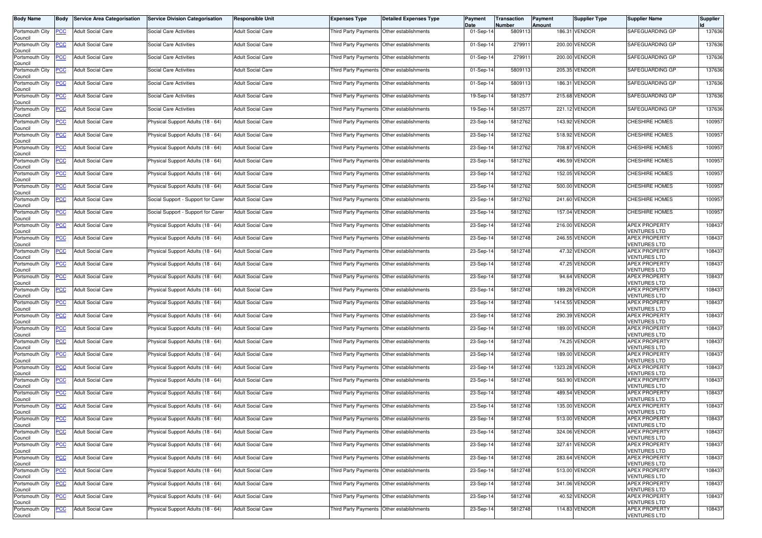| <b>Body Name</b>           | Body           | <b>Service Area Categorisation</b> | <b>Service Division Categorisation</b> | <b>Responsible Unit</b>  | <b>Expenses Type</b>                      | <b>Detailed Expenses Type</b>             | Payment<br>Date | Transaction<br>Number | Payment<br><b>Amount</b> | <b>Supplier Type</b> | <b>Supplier Name</b>                        | <b>Supplier</b> |
|----------------------------|----------------|------------------------------------|----------------------------------------|--------------------------|-------------------------------------------|-------------------------------------------|-----------------|-----------------------|--------------------------|----------------------|---------------------------------------------|-----------------|
| Portsmouth City<br>Council | $\overline{C}$ | <b>Adult Social Care</b>           | Social Care Activities                 | <b>Adult Social Care</b> | Third Party Payments Other establishments |                                           | 01-Sep-14       | 5809113               |                          | 186.31 VENDOR        | SAFEGUARDING GP                             | 137636          |
| Portsmouth City<br>Council | <u>CC</u>      | <b>Adult Social Care</b>           | Social Care Activities                 | <b>Adult Social Care</b> |                                           | Third Party Payments Other establishments | $01-Sep-1$      | 27991                 |                          | 200.00 VENDOR        | SAFEGUARDING GP                             | 137636          |
| Portsmouth City<br>Council | <u>'CC</u>     | <b>Adult Social Care</b>           | Social Care Activities                 | <b>Adult Social Care</b> | Third Party Payments Other establishments |                                           | 01-Sep-14       | 279911                |                          | 200.00 VENDOR        | SAFEGUARDING GP                             | 137636          |
| Portsmouth City<br>Council | <u>PCC</u>     | <b>Adult Social Care</b>           | Social Care Activities                 | <b>Adult Social Care</b> | <b>Third Party Payments</b>               | Other establishments                      | 01-Sep-14       | 5809113               |                          | 205.35 VENDOR        | SAFEGUARDING GP                             | 137636          |
| Portsmouth City<br>Council | <b>CC</b>      | <b>Adult Social Care</b>           | Social Care Activities                 | <b>Adult Social Care</b> | Third Party Payments Other establishments |                                           | 01-Sep-14       | 5809113               |                          | 186.31 VENDOR        | SAFEGUARDING GP                             | 137636          |
| Portsmouth City<br>Council | <u>'CC</u>     | <b>Adult Social Care</b>           | Social Care Activities                 | <b>Adult Social Care</b> | Third Party Payments Other establishments |                                           | 19-Sep-14       | 5812577               |                          | 215.68 VENDOR        | SAFEGUARDING GP                             | 137636          |
| Portsmouth City<br>Council | <u>CC</u>      | <b>Adult Social Care</b>           | Social Care Activities                 | <b>Adult Social Care</b> | Third Party Payments                      | Other establishments                      | 19-Sep-14       | 581257                |                          | 221.12 VENDOR        | SAFEGUARDING GP                             | 137636          |
| Portsmouth City<br>Council | <u>PCC</u>     | <b>Adult Social Care</b>           | Physical Support Adults (18 - 64)      | <b>Adult Social Care</b> | Third Party Payments                      | Other establishments                      | 23-Sep-14       | 5812762               |                          | 143.92 VENDOR        | <b>CHESHIRE HOMES</b>                       | 100957          |
| Portsmouth City<br>Council | сC             | <b>Adult Social Care</b>           | Physical Support Adults (18 - 64)      | <b>Adult Social Care</b> | Third Party Payments                      | Other establishments                      | 23-Sep-14       | 5812762               |                          | 518.92 VENDOR        | <b>CHESHIRE HOMES</b>                       | 100957          |
| Portsmouth City<br>Council | <u>PCC</u>     | <b>Adult Social Care</b>           | Physical Support Adults (18 - 64)      | <b>Adult Social Care</b> |                                           | Third Party Payments Other establishments | 23-Sep-14       | 5812762               |                          | 708.87 VENDOR        | <b>CHESHIRE HOMES</b>                       | 100957          |
| Portsmouth City<br>Council | <u>'CC</u>     | <b>Adult Social Care</b>           | Physical Support Adults (18 - 64)      | <b>Adult Social Care</b> | Third Party Payments Other establishments |                                           | 23-Sep-14       | 5812762               |                          | 496.59 VENDOR        | <b>CHESHIRE HOMES</b>                       | 100957          |
| Portsmouth City<br>Council | <u>PCC</u>     | <b>Adult Social Care</b>           | Physical Support Adults (18 - 64)      | <b>Adult Social Care</b> | Third Party Payments Other establishments |                                           | 23-Sep-14       | 5812762               |                          | 152.05 VENDOR        | <b>CHESHIRE HOMES</b>                       | 100957          |
| Portsmouth City<br>Council | <u>CC</u>      | <b>Adult Social Care</b>           | Physical Support Adults (18 - 64)      | <b>Adult Social Care</b> | Third Party Payments Other establishments |                                           | 23-Sep-14       | 5812762               |                          | 500.00 VENDOR        | CHESHIRE HOMES                              | 100957          |
| Portsmouth City<br>Council | <u>'CC</u>     | <b>Adult Social Care</b>           | Social Support - Support for Carer     | <b>Adult Social Care</b> | Third Party Payments Other establishments |                                           | 23-Sep-14       | 5812762               |                          | 241.60 VENDOR        | <b>CHESHIRE HOMES</b>                       | 100957          |
| Portsmouth City<br>Council | <u>'CC</u>     | <b>Adult Social Care</b>           | Social Support - Support for Carer     | <b>Adult Social Care</b> |                                           | Third Party Payments Other establishments | 23-Sep-14       | 5812762               |                          | 157.04 VENDOR        | <b>CHESHIRE HOMES</b>                       | 100957          |
| Portsmouth City<br>Council | <u>PCC</u>     | <b>Adult Social Care</b>           | Physical Support Adults (18 - 64)      | <b>Adult Social Care</b> | Third Party Payments Other establishments |                                           | 23-Sep-14       | 5812748               |                          | 216.00 VENDOR        | <b>APEX PROPERTY</b><br><b>VENTURES LTD</b> | 108437          |
| Portsmouth City<br>Council | <u>'CC</u>     | <b>Adult Social Care</b>           | Physical Support Adults (18 - 64)      | <b>Adult Social Care</b> | Third Party Payments                      | Other establishments                      | 23-Sep-14       | 5812748               |                          | 246.55 VENDOR        | <b>APEX PROPERTY</b><br><b>VENTURES LTD</b> | 108437          |
| Portsmouth City<br>Council | <u>PCC</u>     | <b>Adult Social Care</b>           | Physical Support Adults (18 - 64)      | <b>Adult Social Care</b> | Third Party Payments Other establishments |                                           | 23-Sep-14       | 5812748               |                          | 47.32 VENDOR         | <b>APEX PROPERTY</b><br><b>VENTURES LTD</b> | 108437          |
| Portsmouth City<br>Council | <u>'CC</u>     | <b>Adult Social Care</b>           | Physical Support Adults (18 - 64)      | <b>Adult Social Care</b> | Third Party Payments Other establishments |                                           | 23-Sep-14       | 5812748               |                          | 47.25 VENDOR         | <b>APEX PROPERTY</b><br><b>VENTURES LTD</b> | 108437          |
| Portsmouth City<br>Council | <u>PCC</u>     | <b>Adult Social Care</b>           | Physical Support Adults (18 - 64)      | <b>Adult Social Care</b> | Third Party Payments Other establishments |                                           | 23-Sep-14       | 5812748               |                          | 94.64 VENDOR         | <b>APEX PROPERTY</b><br><b>VENTURES LTD</b> | 108437          |
| Portsmouth City<br>Council | <u>PCC</u>     | Adult Social Care                  | Physical Support Adults (18 - 64)      | <b>Adult Social Care</b> | Third Party Payments                      | Other establishments                      | 23-Sep-14       | 5812748               |                          | 189.28 VENDOR        | <b>APEX PROPERTY</b><br><b>VENTURES LTD</b> | 108437          |
| Portsmouth City<br>Council | <u>PCC</u>     | <b>Adult Social Care</b>           | Physical Support Adults (18 - 64)      | <b>Adult Social Care</b> | Third Party Payments Other establishments |                                           | 23-Sep-14       | 5812748               |                          | 1414.55 VENDOR       | <b>APEX PROPERTY</b><br><b>VENTURES LTD</b> | 108437          |
| Portsmouth City<br>Council | PСC            | <b>Adult Social Care</b>           | Physical Support Adults (18 - 64)      | <b>Adult Social Care</b> |                                           | Third Party Payments Other establishments | 23-Sep-14       | 5812748               |                          | 290.39 VENDOR        | <b>APEX PROPERTY</b><br><b>VENTURES LTD</b> | 108437          |
| Portsmouth City<br>Council | <u>'CC</u>     | <b>Adult Social Care</b>           | Physical Support Adults (18 - 64)      | <b>Adult Social Care</b> | Third Party Payments Other establishments |                                           | 23-Sep-14       | 5812748               |                          | 189.00 VENDOR        | <b>APEX PROPERTY</b><br><b>VENTURES LTD</b> | 108437          |
| Portsmouth City<br>Council | сC             | <b>Adult Social Care</b>           | Physical Support Adults (18 - 64)      | <b>Adult Social Care</b> | Third Party Payments                      | Other establishments                      | 23-Sep-14       | 5812748               |                          | 74.25 VENDOR         | <b>APEX PROPERTY</b><br><b>VENTURES LTD</b> | 108437          |
| Portsmouth City<br>Council | <u>PCC</u>     | <b>Adult Social Care</b>           | Physical Support Adults (18 - 64)      | <b>Adult Social Care</b> | Third Party Payments Other establishments |                                           | 23-Sep-14       | 5812748               |                          | 189.00 VENDOR        | <b>APEX PROPERTY</b><br><b>VENTURES LTD</b> | 108437          |
| Portsmouth City<br>Council | <u>PCC</u>     | <b>Adult Social Care</b>           | Physical Support Adults (18 - 64)      | <b>Adult Social Care</b> | Third Party Payments Other establishments |                                           | 23-Sep-14       | 5812748               |                          | 1323.28 VENDOR       | <b>APEX PROPERTY</b><br><b>VENTURES LTD</b> | 108437          |
| Portsmouth City<br>Council | <u>CC</u>      | <b>Adult Social Care</b>           | Physical Support Adults (18 - 64)      | <b>Adult Social Care</b> | Third Party Payments                      | Other establishments                      | 23-Sep-14       | 5812748               |                          | 563.90 VENDOR        | <b>APEX PROPERTY</b><br><b>VENTURES LTD</b> | 108437          |
| Portsmouth City<br>Council | <u>PCC</u>     | <b>Adult Social Care</b>           | Physical Support Adults (18 - 64)      | <b>Adult Social Care</b> | Third Party Payments Other establishments |                                           | 23-Sep-14       | 5812748               |                          | 489.54 VENDOR        | <b>APEX PROPERTY</b><br><b>VENTURES LTD</b> | 108437          |
| Portsmouth City<br>Council | $\overline{C}$ | <b>Adult Social Care</b>           | Physical Support Adults (18 - 64)      | <b>Adult Social Care</b> | Third Party Payments Other establishments |                                           | 23-Sep-14       | 5812748               |                          | 135.00 VENDOR        | <b>APEX PROPERTY</b><br><b>VENTURES LTD</b> | 108437          |
| Portsmouth City<br>Council |                | <b>PCC</b> Adult Social Care       | Physical Support Adults (18 - 64)      | <b>Adult Social Care</b> | Third Party Payments Other establishments |                                           | 23-Sep-14       | 5812748               |                          | 513.00 VENDOR        | <b>APEX PROPERTY</b><br><b>VENTURES LTD</b> | 108437          |
| Portsmouth City<br>Council | <u>CC</u>      | <b>Adult Social Care</b>           | Physical Support Adults (18 - 64)      | <b>Adult Social Care</b> | Third Party Payments Other establishments |                                           | 23-Sep-14       | 5812748               |                          | 324.06 VENDOR        | <b>APEX PROPERTY</b><br><b>VENTURES LTD</b> | 108437          |
| Portsmouth City<br>Council | <u>'CC</u>     | <b>Adult Social Care</b>           | Physical Support Adults (18 - 64)      | <b>Adult Social Care</b> | Third Party Payments                      | Other establishments                      | 23-Sep-14       | 5812748               |                          | 327.61 VENDOR        | <b>APEX PROPERTY</b><br><b>VENTURES LTD</b> | 108437          |
| Portsmouth City<br>Council | <u>PCC</u>     | <b>Adult Social Care</b>           | Physical Support Adults (18 - 64)      | <b>Adult Social Care</b> |                                           | Third Party Payments Other establishments | 23-Sep-14       | 5812748               |                          | 283.64 VENDOR        | <b>APEX PROPERTY</b><br><b>VENTURES LTD</b> | 108437          |
| Portsmouth City<br>Council | <u>PCC</u>     | <b>Adult Social Care</b>           | Physical Support Adults (18 - 64)      | <b>Adult Social Care</b> | Third Party Payments Other establishments |                                           | 23-Sep-14       | 5812748               |                          | 513.00 VENDOR        | <b>APEX PROPERTY</b><br><b>VENTURES LTD</b> | 108437          |
| Portsmouth City<br>Council | <u>CC</u>      | <b>Adult Social Care</b>           | Physical Support Adults (18 - 64)      | <b>Adult Social Care</b> |                                           | Third Party Payments Other establishments | 23-Sep-14       | 5812748               |                          | 341.06 VENDOR        | <b>APEX PROPERTY</b><br><b>VENTURES LTD</b> | 108437          |
| Portsmouth City<br>Council | <u>PCC</u>     | <b>Adult Social Care</b>           | Physical Support Adults (18 - 64)      | <b>Adult Social Care</b> | Third Party Payments                      | Other establishments                      | 23-Sep-14       | 5812748               |                          | 40.52 VENDOR         | <b>APEX PROPERTY</b><br><b>VENTURES LTD</b> | 108437          |
| Portsmouth City<br>Council | <u>'CC</u>     | <b>Adult Social Care</b>           | Physical Support Adults (18 - 64)      | <b>Adult Social Care</b> |                                           | Third Party Payments Other establishments | 23-Sep-14       | 5812748               |                          | 114.83 VENDOR        | <b>APEX PROPERTY</b><br><b>VENTURES LTD</b> | 108437          |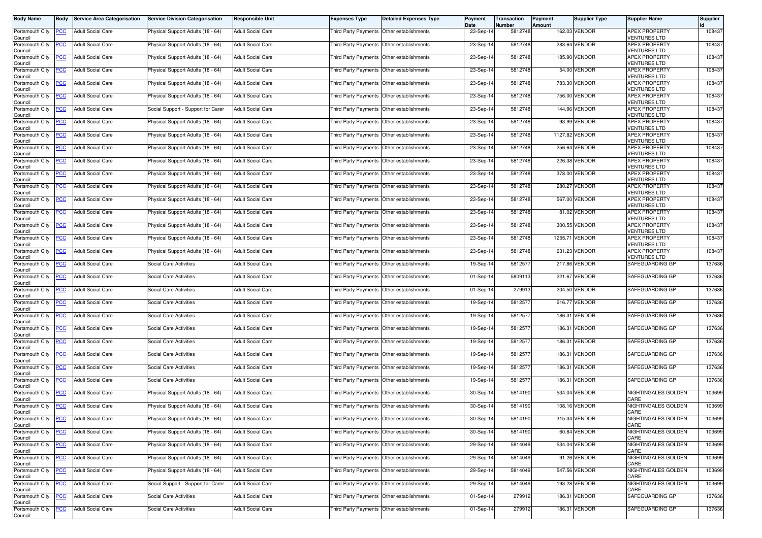| <b>Body Name</b>                                  | Body       | <b>Service Area Categorisation</b> | <b>Service Division Categorisation</b> | <b>Responsible Unit</b>  | <b>Expenses Type</b>                        | <b>Detailed Expenses Type</b>             | Payment<br>Date | Transaction<br>Number | Payment<br><b>Amount</b> | <b>Supplier Type</b> | <b>Supplier Name</b>                        | <b>Supplier</b> |
|---------------------------------------------------|------------|------------------------------------|----------------------------------------|--------------------------|---------------------------------------------|-------------------------------------------|-----------------|-----------------------|--------------------------|----------------------|---------------------------------------------|-----------------|
| Portsmouth City<br>Council                        | <b>PCC</b> | <b>Adult Social Care</b>           | Physical Support Adults (18 - 64)      | <b>Adult Social Care</b> | Third Party Payments Other establishments   |                                           | 23-Sep-14       | 5812748               |                          | 162.03 VENDOR        | <b>APEX PROPERTY</b><br><b>VENTURES LTD</b> | 108437          |
| Portsmouth City<br>Council                        | <b>PCC</b> | <b>Adult Social Care</b>           | Physical Support Adults (18 - 64)      | <b>Adult Social Care</b> | Third Party Payments Other establishments   |                                           | 23-Sep-14       | 5812748               |                          | 283.64 VENDOR        | <b>APEX PROPERTY</b><br><b>VENTURES LTD</b> | 108437          |
| Portsmouth City<br>Council                        | <u>PCC</u> | <b>Adult Social Care</b>           | Physical Support Adults (18 - 64)      | <b>Adult Social Care</b> | Third Party Payments Other establishments   |                                           | 23-Sep-14       | 5812748               |                          | 185.90 VENDOR        | <b>APEX PROPERTY</b><br><b>VENTURES LTD</b> | 108437          |
| Portsmouth City<br>Council                        | <u>PCC</u> | <b>Adult Social Care</b>           | Physical Support Adults (18 - 64)      | <b>Adult Social Care</b> | Third Party Payments Other establishments   |                                           | 23-Sep-14       | 5812748               |                          | 54.00 VENDOR         | <b>APEX PROPERTY</b><br><b>VENTURES LTD</b> | 108437          |
| Portsmouth City<br>Council                        | <b>PCC</b> | <b>Adult Social Care</b>           | Physical Support Adults (18 - 64)      | <b>Adult Social Care</b> | Third Party Payments Other establishments   |                                           | 23-Sep-14       | 5812748               |                          | 783.30 VENDOR        | <b>APEX PROPERTY</b><br><b>VENTURES LTD</b> | 108437          |
| Portsmouth City<br>Council                        | <b>PCC</b> | <b>Adult Social Care</b>           | Physical Support Adults (18 - 64)      | <b>Adult Social Care</b> | Third Party Payments   Other establishments |                                           | 23-Sep-14       | 5812748               |                          | 756.00 VENDOR        | <b>APEX PROPERTY</b><br><b>VENTURES LTD</b> | 108437          |
| Portsmouth City<br>Council                        | <u>PCC</u> | <b>Adult Social Care</b>           | Social Support - Support for Carer     | <b>Adult Social Care</b> | Third Party Payments                        | Other establishments                      | 23-Sep-14       | 5812748               |                          | 144.96 VENDOR        | <b>APEX PROPERTY</b><br><b>VENTURES LTD</b> | 108437          |
| Portsmouth City<br>Council                        | <u>PCC</u> | <b>Adult Social Care</b>           | Physical Support Adults (18 - 64)      | <b>Adult Social Care</b> | Third Party Payments Other establishments   |                                           | 23-Sep-14       | 5812748               |                          | 93.99 VENDOR         | <b>APEX PROPERTY</b><br><b>/ENTURES LTD</b> | 108437          |
| Portsmouth City<br>Council                        | <b>PCC</b> | <b>Adult Social Care</b>           | Physical Support Adults (18 - 64)      | <b>Adult Social Care</b> | Third Party Payments Other establishments   |                                           | 23-Sep-14       | 5812748               |                          | 1127.82 VENDOR       | <b>APEX PROPERTY</b><br><b>VENTURES LTD</b> | 108437          |
| Portsmouth City<br>Council                        | <u>PCC</u> | <b>Adult Social Care</b>           | Physical Support Adults (18 - 64)      | <b>Adult Social Care</b> |                                             | Third Party Payments Other establishments | 23-Sep-14       | 5812748               |                          | 256.64 VENDOR        | <b>APEX PROPERTY</b><br><b>VENTURES LTD</b> | 108437          |
| Portsmouth City<br>Council                        | <b>PCC</b> | <b>Adult Social Care</b>           | Physical Support Adults (18 - 64)      | <b>Adult Social Care</b> | Third Party Payments Other establishments   |                                           | 23-Sep-14       | 5812748               |                          | 226.38 VENDOR        | <b>APEX PROPERTY</b><br><b>VENTURES LTD</b> | 108437          |
| Portsmouth City<br>Council                        | <b>PCC</b> | <b>Adult Social Care</b>           | Physical Support Adults (18 - 64)      | <b>Adult Social Care</b> |                                             | Third Party Payments Other establishments | 23-Sep-14       | 5812748               |                          | 378.00 VENDOR        | <b>APEX PROPERTY</b><br><b>VENTURES LTD</b> | 108437          |
| Portsmouth City<br>Council                        | <u>PCC</u> | <b>Adult Social Care</b>           | Physical Support Adults (18 - 64)      | <b>Adult Social Care</b> |                                             | Third Party Payments Other establishments | 23-Sep-14       | 5812748               |                          | 280.27 VENDOR        | <b>APEX PROPERTY</b><br><b>VENTURES LTD</b> | 108437          |
| Portsmouth City<br>Council                        | <b>PCC</b> | <b>Adult Social Care</b>           | Physical Support Adults (18 - 64)      | <b>Adult Social Care</b> | Third Party Payments Other establishments   |                                           | 23-Sep-14       | 5812748               |                          | 567.00 VENDOR        | <b>APEX PROPERTY</b><br><b>VENTURES LTD</b> | 108437          |
| Portsmouth City<br>Council                        | PCC        | <b>Adult Social Care</b>           | Physical Support Adults (18 - 64)      | <b>Adult Social Care</b> | Third Party Payments Other establishments   |                                           | 23-Sep-14       | 5812748               |                          | 81.02 VENDOR         | <b>APEX PROPERTY</b><br><b>VENTURES LTD</b> | 108437          |
| Portsmouth City<br>Council                        | <b>PCC</b> | <b>Adult Social Care</b>           | Physical Support Adults (18 - 64)      | <b>Adult Social Care</b> | Third Party Payments                        | Other establishments                      | 23-Sep-14       | 5812748               |                          | 300.55 VENDOR        | <b>APEX PROPERTY</b><br><b>VENTURES LTD</b> | 108437          |
| Portsmouth City<br>Council                        | <u>'CC</u> | <b>Adult Social Care</b>           | Physical Support Adults (18 - 64)      | <b>Adult Social Care</b> | Third Party Payments Other establishments   |                                           | 23-Sep-14       | 5812748               |                          | 1255.71 VENDOR       | <b>APEX PROPERTY</b><br><b>VENTURES LTD</b> | 108437          |
| Portsmouth City<br>Council                        | <b>PCC</b> | <b>Adult Social Care</b>           | Physical Support Adults (18 - 64)      | <b>Adult Social Care</b> | Third Party Payments Other establishments   |                                           | 23-Sep-14       | 5812748               |                          | 631.23 VENDOR        | <b>APEX PROPERTY</b><br><b>VENTURES LTD</b> | 108437          |
| Portsmouth City<br>Council                        | <u>PCC</u> | <b>Adult Social Care</b>           | Social Care Activities                 | <b>Adult Social Care</b> | Third Party Payments Other establishments   |                                           | 19-Sep-14       | 5812577               |                          | 217.86 VENDOR        | SAFEGUARDING GP                             | 137636          |
| Portsmouth City<br>Council                        | <b>PCC</b> | <b>Adult Social Care</b>           | <b>Social Care Activities</b>          | <b>Adult Social Care</b> | Third Party Payments                        | Other establishments                      | 01-Sep-14       | 5809113               |                          | 221.67 VENDOR        | SAFEGUARDING GP                             | 137636          |
| Portsmouth City<br>Council                        | <u>PCC</u> | <b>Adult Social Care</b>           | <b>Social Care Activities</b>          | <b>Adult Social Care</b> | Third Party Payments Other establishments   |                                           | 01-Sep-14       | 279913                |                          | 204.50 VENDOR        | SAFEGUARDING GP                             | 137636          |
| Portsmouth City<br>Council                        | <b>PCC</b> | <b>Adult Social Care</b>           | Social Care Activities                 | <b>Adult Social Care</b> | Third Party Payments Other establishments   |                                           | 19-Sep-14       | 5812577               |                          | 216.77 VENDOR        | SAFEGUARDING GP                             | 137636          |
| Portsmouth City<br>Council                        | <b>PCC</b> | <b>Adult Social Care</b>           | Social Care Activities                 | <b>Adult Social Care</b> | Third Party Payments                        | Other establishments                      | 19-Sep-14       | 5812577               |                          | 186.31 VENDOR        | SAFEGUARDING GP                             | 137636          |
| Portsmouth City<br>Council                        | <b>PCC</b> | <b>Adult Social Care</b>           | Social Care Activities                 | <b>Adult Social Care</b> | Third Party Payments Other establishments   |                                           | 19-Sep-14       | 5812577               |                          | 186.31 VENDOR        | SAFEGUARDING GP                             | 137636          |
| Portsmouth City<br>Council                        | PCC.       | <b>Adult Social Care</b>           | <b>Social Care Activities</b>          | <b>Adult Social Care</b> | Third Party Payments Other establishments   |                                           | 19-Sep-14       | 5812577               |                          | 186.31 VENDOR        | SAFEGUARDING GP                             | 137636          |
| Portsmouth City<br>Council                        | <b>PCC</b> | <b>Adult Social Care</b>           | Social Care Activities                 | <b>Adult Social Care</b> |                                             | Third Party Payments Other establishments | 19-Sep-14       | 5812577               |                          | 186.31 VENDOR        | SAFEGUARDING GP                             | 137636          |
| Portsmouth City<br>Council                        | <b>PCC</b> | <b>Adult Social Care</b>           | Social Care Activities                 | <b>Adult Social Care</b> | Third Party Payments Other establishments   |                                           | 19-Sep-14       | 5812577               |                          | 186.31 VENDOR        | SAFEGUARDING GP                             | 137636          |
| Portsmouth City<br>Council                        | <u>PCC</u> | <b>Adult Social Care</b>           | Social Care Activities                 | <b>Adult Social Care</b> | Third Party Payments                        | Other establishments                      | 19-Sep-14       | 5812577               |                          | 186.31 VENDOR        | SAFEGUARDING GP                             | 137636          |
| Portsmouth City<br>Council                        | <u>PCC</u> | <b>Adult Social Care</b>           | Physical Support Adults (18 - 64)      | <b>Adult Social Care</b> | Third Party Payments Other establishments   |                                           | 30-Sep-14       | 5814190               |                          | 534.04 VENDOR        | NIGHTINGALES GOLDEN<br>CARE                 | 103699          |
| Portsmouth City<br>Council                        | <b>PCC</b> | <b>Adult Social Care</b>           | Physical Support Adults (18 - 64)      | <b>Adult Social Care</b> | Third Party Payments Other establishments   |                                           | 30-Sep-14       | 5814190               |                          | 108.16 VENDOR        | NIGHTINGALES GOLDEN<br>CARE                 | 103699          |
| Portsmouth City PCC<br>Council<br>Portsmouth City |            | <b>Adult Social Care</b>           | Physical Support Adults (18 - 64)      | <b>Adult Social Care</b> | Third Party Payments Other establishments   |                                           | 30-Sep-14       | 5814190               |                          | 315.34 VENDOR        | NIGHTINGALES GOLDEN<br>CARE                 | 103699          |
| Council                                           | <u>PCC</u> | <b>Adult Social Care</b>           | Physical Support Adults (18 - 64)      | <b>Adult Social Care</b> | Third Party Payments Other establishments   |                                           | 30-Sep-14       | 5814190               |                          | 60.84 VENDOR         | NIGHTINGALES GOLDEN<br>CARE                 | 103699          |
| Portsmouth City<br>Council                        | <b>PCC</b> | <b>Adult Social Care</b>           | Physical Support Adults (18 - 64)      | <b>Adult Social Care</b> | Third Party Payments Other establishments   |                                           | 29-Sep-14       | 5814049               |                          | 534.04 VENDOR        | NIGHTINGALES GOLDEN<br>CARE                 | 103699          |
| Portsmouth City<br>Council                        | <b>PCC</b> | <b>Adult Social Care</b>           | Physical Support Adults (18 - 64)      | <b>Adult Social Care</b> | Third Party Payments Other establishments   |                                           | 29-Sep-14       | 5814049               |                          | 91.26 VENDOR         | NIGHTINGALES GOLDEN<br>CARE                 | 103699          |
| Portsmouth City<br>Council                        | <b>PCC</b> | <b>Adult Social Care</b>           | Physical Support Adults (18 - 64)      | <b>Adult Social Care</b> | Third Party Payments Other establishments   |                                           | 29-Sep-14       | 5814049               |                          | 547.56 VENDOR        | NIGHTINGALES GOLDEN<br>CARE                 | 103699          |
| Portsmouth City<br>Council                        | <u>PCC</u> | <b>Adult Social Care</b>           | Social Support - Support for Carer     | Adult Social Care        |                                             | Third Party Payments Other establishments | 29-Sep-14       | 5814049               |                          | 193.28 VENDOR        | NIGHTINGALES GOLDEN<br>CARE                 | 103699          |
| Portsmouth City<br>Council                        | <b>PCC</b> | <b>Adult Social Care</b>           | Social Care Activities                 | <b>Adult Social Care</b> | Third Party Payments Other establishments   |                                           | 01-Sep-14       | 279912                |                          | 186.31 VENDOR        | SAFEGUARDING GP                             | 137636          |
| Portsmouth City<br>Council                        | <b>PCC</b> | <b>Adult Social Care</b>           | Social Care Activities                 | Adult Social Care        | Third Party Payments Other establishments   |                                           | 01-Sep-14       | 279912                |                          | 186.31 VENDOR        | SAFEGUARDING GP                             | 137636          |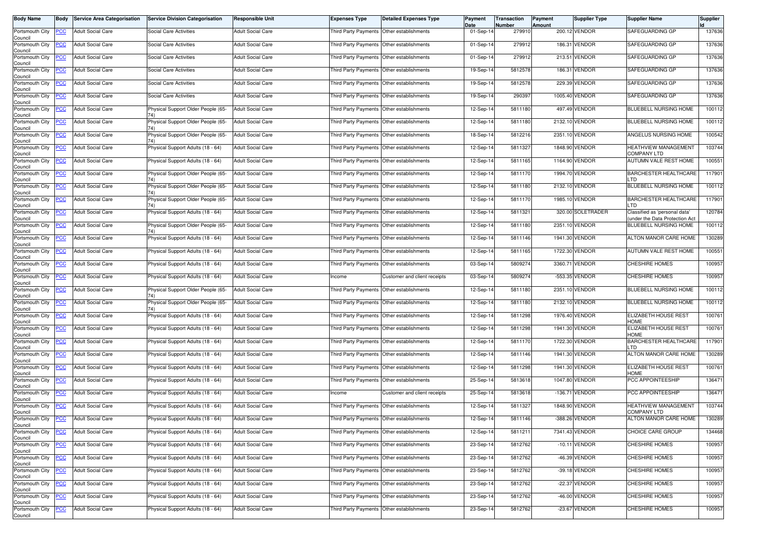| Body Name                             | Body       | <b>Service Area Categorisation</b> | <b>Service Division Categorisation</b>    | <b>Responsible Unit</b>  | <b>Expenses Type</b>                      | <b>Detailed Expenses Type</b>             | Payment<br>Date | Transaction<br>Number | Payment<br>Amount | Supplier Type     | <b>Supplier Name</b>                                           | Supplier |
|---------------------------------------|------------|------------------------------------|-------------------------------------------|--------------------------|-------------------------------------------|-------------------------------------------|-----------------|-----------------------|-------------------|-------------------|----------------------------------------------------------------|----------|
| Portsmouth City<br>Council            | <u>PCC</u> | <b>Adult Social Care</b>           | Social Care Activities                    | <b>Adult Social Care</b> | Third Party Payments Other establishments |                                           | 01-Sep-14       | 279910                |                   | 200.12 VENDOR     | SAFEGUARDING GP                                                | 137636   |
| Portsmouth City<br>Council            | <u>'CC</u> | Adult Social Care                  | Social Care Activities                    | <b>Adult Social Care</b> | Third Party Payments                      | Other establishments                      | 01-Sep-14       | 279912                |                   | 186.31 VENDOR     | SAFEGUARDING GP                                                | 137636   |
| Portsmouth City<br>Council            | <u>PCC</u> | <b>Adult Social Care</b>           | Social Care Activities                    | <b>Adult Social Care</b> | Third Party Payments Other establishments |                                           | 01-Sep-14       | 279912                | 213.51            | VENDOR            | SAFEGUARDING GP                                                | 137636   |
| Portsmouth City<br>Council            | <u>'CC</u> | <b>Adult Social Care</b>           | Social Care Activities                    | <b>Adult Social Care</b> | Third Party Payments                      | Other establishments                      | 19-Sep-14       | 5812578               | 186.31            | VENDOR            | SAFEGUARDING GP                                                | 137636   |
| Portsmouth City<br>Council            | <b>PCC</b> | <b>Adult Social Care</b>           | Social Care Activities                    | <b>Adult Social Care</b> | Third Party Payments Other establishments |                                           | 19-Sep-14       | 5812578               |                   | 229.39 VENDOR     | SAFEGUARDING GP                                                | 137636   |
| Portsmouth City                       | <u>'CC</u> | Adult Social Care                  | Social Care Activities                    | <b>Adult Social Care</b> | Third Party Payments Other establishments |                                           | 19-Sep-14       | 29039                 |                   | 1005.40 VENDOR    | SAFEGUARDING GP                                                | 137636   |
| Council<br>Portsmouth City<br>Council | <u>'CC</u> | <b>Adult Social Care</b>           | Physical Support Older People (65-        | <b>Adult Social Care</b> | Third Party Payments                      | Other establishments                      | 12-Sep-14       | 5811180               |                   | 497.49 VENDOR     | BLUEBELL NURSING HOME                                          | 100112   |
| Portsmouth City<br>Council            | <u>'CC</u> | <b>Adult Social Care</b>           | Physical Support Older People (65-<br>74) | <b>Adult Social Care</b> | Third Party Payments                      | Other establishments                      | 12-Sep-14       | 5811180               |                   | 2132.10 VENDOR    | BLUEBELL NURSING HOME                                          | 100112   |
| Portsmouth City<br>Council            | <u>PCC</u> | <b>Adult Social Care</b>           | Physical Support Older People (65-        | <b>Adult Social Care</b> | Third Party Payments Other establishments |                                           | 18-Sep-14       | 5812216               |                   | 2351.10 VENDOR    | ANGELUS NURSING HOME                                           | 100542   |
| Portsmouth City<br>Council            | <u>CC</u>  | Adult Social Care                  | Physical Support Adults (18 - 64)         | <b>Adult Social Care</b> | Third Party Payments                      | Other establishments                      | 12-Sep-14       | 5811327               |                   | 1848.90 VENDOR    | HEATHVIEW MANAGEMENT<br><b>COMPANY LTD</b>                     | 103744   |
| Portsmouth City<br>Council            | <u>PCC</u> | <b>Adult Social Care</b>           | Physical Support Adults (18 - 64)         | <b>Adult Social Care</b> | Third Party Payments                      | Other establishments                      | 12-Sep-14       | 5811165               |                   | 1164.90 VENDOR    | AUTUMN VALE REST HOME                                          | 100551   |
| Portsmouth City<br>Council            | °СС        | <b>Adult Social Care</b>           | Physical Support Older People (65-        | <b>Adult Social Care</b> | Third Party Payments                      | Other establishments                      | 12-Sep-14       | 5811170               |                   | 1994.70 VENDOR    | <b>BARCHESTER HEALTHCARE</b><br>_TD                            | 117901   |
| Portsmouth City<br>Council            | <u>PCC</u> | <b>Adult Social Care</b>           | Physical Support Older People (65-<br>74) | <b>Adult Social Care</b> |                                           | Third Party Payments Other establishments | 12-Sep-14       | 5811180               |                   | 2132.10 VENDOR    | BLUEBELL NURSING HOME                                          | 100112   |
| Portsmouth City<br>Council            | <u>PCC</u> | <b>Adult Social Care</b>           | Physical Support Older People (65-<br>74) | Adult Social Care        | Third Party Payments Other establishments |                                           | 12-Sep-14       | 5811170               |                   | 1985.10 VENDOR    | <b>BARCHESTER HEALTHCARE</b><br>_TD                            | 117901   |
| Portsmouth City<br>Council            | <u>'CC</u> | <b>Adult Social Care</b>           | Physical Support Adults (18 - 64)         | <b>Adult Social Care</b> | Third Party Payments                      | Other establishments                      | 12-Sep-14       | 5811321               |                   | 320.00 SOLETRADER | Classified as 'personal data'<br>under the Data Protection Act | 120784   |
| Portsmouth City<br>Council            | <u>PCC</u> | <b>Adult Social Care</b>           | Physical Support Older People (65-        | <b>Adult Social Care</b> | Third Party Payments                      | Other establishments                      | 12-Sep-14       | 5811180               |                   | 2351.10 VENDOR    | <b>BLUEBELL NURSING HOME</b>                                   | 100112   |
| Portsmouth City<br>Council            | <u>'CC</u> | <b>Adult Social Care</b>           | Physical Support Adults (18 - 64)         | <b>Adult Social Care</b> | Third Party Payments                      | Other establishments                      | 12-Sep-14       | 5811146               |                   | 1941.30 VENDOR    | ALTON MANOR CARE HOME                                          | 130289   |
| Portsmouth City<br>Council            | <b>CC</b>  | <b>Adult Social Care</b>           | Physical Support Adults (18 - 64)         | <b>Adult Social Care</b> | Third Party Payments Other establishments |                                           | 12-Sep-14       | 5811165               |                   | 1722.30 VENDOR    | AUTUMN VALE REST HOME                                          | 100551   |
| Portsmouth City<br>Council            | <u>'CC</u> | <b>Adult Social Care</b>           | Physical Support Adults (18 - 64)         | Adult Social Care        | Third Party Payments                      | Other establishments                      | 03-Sep-14       | 580927                | 3360.7            | VENDOR            | CHESHIRE HOMES                                                 | 100957   |
| Portsmouth City<br>Council            | <u>'CC</u> | <b>Adult Social Care</b>           | Physical Support Adults (18 - 64)         | <b>Adult Social Care</b> | Income                                    | Customer and client receipts              | 03-Sep-14       | 580927                |                   | -553.35 VENDOR    | CHESHIRE HOMES                                                 | 100957   |
| Portsmouth City<br>Council            | <u>CC</u>  | <b>Adult Social Care</b>           | Physical Support Older People (65-<br>74) | <b>Adult Social Care</b> | Third Party Payments Other establishments |                                           | 12-Sep-14       | 5811180               |                   | 2351.10 VENDOR    | BLUEBELL NURSING HOME                                          | 100112   |
| Portsmouth City<br>Council            | <u>PCC</u> | <b>Adult Social Care</b>           | Physical Support Older People (65-        | <b>Adult Social Care</b> | Third Party Payments Other establishments |                                           | 12-Sep-14       | 5811180               |                   | 2132.10 VENDOR    | BLUEBELL NURSING HOME                                          | 100112   |
| Portsmouth City<br>Council            | <u>CC</u>  | <b>Adult Social Care</b>           | Physical Support Adults (18 - 64)         | Adult Social Care        | Third Party Payments                      | Other establishments                      | 12-Sep-14       | 5811298               |                   | 1976.40 VENDOR    | ELIZABETH HOUSE REST<br>HOME                                   | 100761   |
| Portsmouth City<br>Council            | <u>PCC</u> | <b>Adult Social Care</b>           | Physical Support Adults (18 - 64)         | <b>Adult Social Care</b> | Third Party Payments Other establishments |                                           | 12-Sep-14       | 5811298               |                   | 1941.30 VENDOR    | ELIZABETH HOUSE REST<br>HOME                                   | 100761   |
| Portsmouth City<br>Council            | <u>PCC</u> | <b>Adult Social Care</b>           | Physical Support Adults (18 - 64)         | <b>Adult Social Care</b> | Third Party Payments Other establishments |                                           | 12-Sep-14       | 5811170               |                   | 1722.30 VENDOR    | <b>BARCHESTER HEALTHCARE</b><br>LTD                            | 117901   |
| Portsmouth City<br>Council            | <u>PCC</u> | <b>Adult Social Care</b>           | Physical Support Adults (18 - 64)         | <b>Adult Social Care</b> |                                           | Third Party Payments Other establishments | 12-Sep-14       | 5811146               |                   | 1941.30 VENDOR    | ALTON MANOR CARE HOME                                          | 130289   |
| Portsmouth City<br>Council            | <u>'CC</u> | <b>Adult Social Care</b>           | Physical Support Adults (18 - 64)         | <b>Adult Social Care</b> | Third Party Payments                      | Other establishments                      | 12-Sep-14       | 5811298               |                   | 1941.30 VENDOR    | ELIZABETH HOUSE REST<br>HOME                                   | 100761   |
| Portsmouth City<br>Council            | <u>'CC</u> | <b>Adult Social Care</b>           | Physical Support Adults (18 - 64)         | <b>Adult Social Care</b> | Third Party Payments                      | Other establishments                      | 25-Sep-14       | 5813618               |                   | 1047.80 VENDOR    | PCC APPOINTEESHIP                                              | 136471   |
| Portsmouth City<br>Council            | <u>PCC</u> | <b>Adult Social Care</b>           | Physical Support Adults (18 - 64)         | Adult Social Care        | Income                                    | Customer and client receipts              | 25-Sep-14       | 5813618               | $-136.71$         | VENDOR            | PCC APPOINTEESHIP                                              | 136471   |
| Portsmouth City<br>Council            | <u>PCC</u> | <b>Adult Social Care</b>           | Physical Support Adults (18 - 64)         | <b>Adult Social Care</b> | Third Party Payments Other establishments |                                           | 12-Sep-14       | 5811327               |                   | 1848.90 VENDOR    | HEATHVIEW MANAGEMENT<br><b>COMPANY LTD</b>                     | 103744   |
| Portsmouth City<br>Council            | <b>PCC</b> | <b>Adult Social Care</b>           | Physical Support Adults (18 - 64)         | <b>Adult Social Care</b> | Third Party Payments Other establishments |                                           | 12-Sep-14       | 5811146               |                   | -388.26 VENDOR    | ALTON MANOR CARE HOME                                          | 130289   |
| Portsmouth City<br>Council            | <u>PCC</u> | <b>Adult Social Care</b>           | Physical Support Adults (18 - 64)         | Adult Social Care        | Third Party Payments Other establishments |                                           | 12-Sep-14       | 5811211               |                   | 7341.43 VENDOR    | CHOICE CARE GROUP                                              | 134468   |
| Portsmouth City<br>Council            | <u>CC</u>  | <b>Adult Social Care</b>           | Physical Support Adults (18 - 64)         | Adult Social Care        | Third Party Payments Other establishments |                                           | 23-Sep-14       | 5812762               |                   | $-10.11$ VENDOR   | CHESHIRE HOMES                                                 | 100957   |
| Portsmouth City<br>Council            | <u>PCC</u> | <b>Adult Social Care</b>           | Physical Support Adults (18 - 64)         | Adult Social Care        | Third Party Payments Other establishments |                                           | 23-Sep-14       | 5812762               |                   | -46.39 VENDOR     | CHESHIRE HOMES                                                 | 100957   |
| Portsmouth City<br>Council            | <u>PCC</u> | <b>Adult Social Care</b>           | Physical Support Adults (18 - 64)         | <b>Adult Social Care</b> | Third Party Payments Other establishments |                                           | 23-Sep-14       | 5812762               |                   | -39.18 VENDOR     | CHESHIRE HOMES                                                 | 100957   |
| Portsmouth City<br>Council            | <u>'CC</u> | <b>Adult Social Care</b>           | Physical Support Adults (18 - 64)         | Adult Social Care        | Third Party Payments                      | Other establishments                      | 23-Sep-14       | 5812762               |                   | -22.37 VENDOR     | <b>CHESHIRE HOMES</b>                                          | 100957   |
| Portsmouth City<br>Council            | <u>PCC</u> | <b>Adult Social Care</b>           | Physical Support Adults (18 - 64)         | Adult Social Care        | Third Party Payments                      | Other establishments                      | 23-Sep-14       | 5812762               |                   | -46.00 VENDOR     | CHESHIRE HOMES                                                 | 100957   |
| Portsmouth City<br>Council            | <u>'CC</u> | <b>Adult Social Care</b>           | Physical Support Adults (18 - 64)         | <b>Adult Social Care</b> | Third Party Payments Other establishments |                                           | 23-Sep-14       | 5812762               |                   | -23.67 VENDOR     | CHESHIRE HOMES                                                 | 100957   |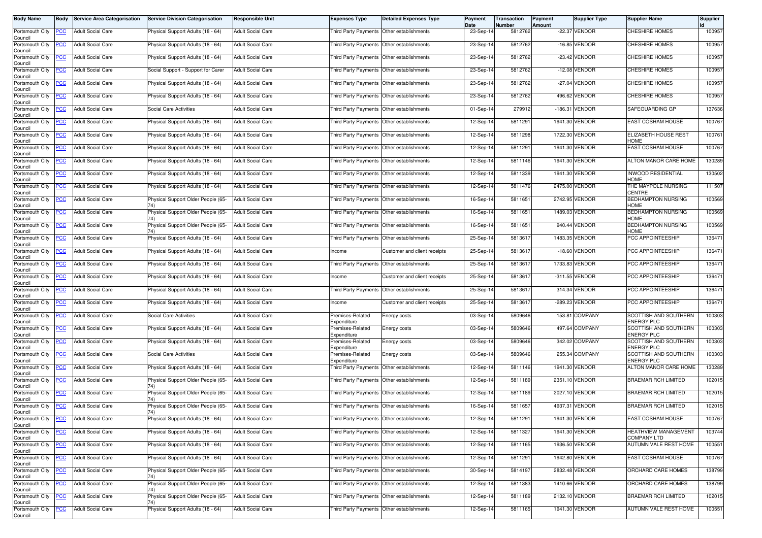| <b>Body Name</b>                                 | <b>Body</b>    | <b>Service Area Categorisation</b> | <b>Service Division Categorisation</b>    | <b>Responsible Unit</b>  | <b>Expenses Type</b>                      | <b>Detailed Expenses Type</b>             | Payment<br>Date | Transaction<br>Number | Payment<br>Amount | <b>Supplier Type</b> | <b>Supplier Name</b>                       | Supplier |
|--------------------------------------------------|----------------|------------------------------------|-------------------------------------------|--------------------------|-------------------------------------------|-------------------------------------------|-----------------|-----------------------|-------------------|----------------------|--------------------------------------------|----------|
| Portsmouth City<br>Council                       | <b>PCC</b>     | <b>Adult Social Care</b>           | Physical Support Adults (18 - 64)         | <b>Adult Social Care</b> |                                           | Third Party Payments Other establishments | 23-Sep-14       | 5812762               |                   | -22.37 VENDOR        | <b>CHESHIRE HOMES</b>                      | 100957   |
| Portsmouth City<br>Council                       | <u>PCC</u>     | <b>Adult Social Care</b>           | Physical Support Adults (18 - 64)         | <b>Adult Social Care</b> |                                           | Third Party Payments Other establishments | 23-Sep-14       | 5812762               |                   | -16.85 VENDOR        | <b>CHESHIRE HOMES</b>                      | 100957   |
| Portsmouth City<br>Council                       | <u>PCC</u>     | <b>Adult Social Care</b>           | Physical Support Adults (18 - 64)         | <b>Adult Social Care</b> | Third Party Payments Other establishments |                                           | 23-Sep-14       | 5812762               |                   | -23.42 VENDOR        | <b>CHESHIRE HOMES</b>                      | 100957   |
| Portsmouth City<br>Council                       | <b>PCC</b>     | <b>Adult Social Care</b>           | Social Support - Support for Carer        | <b>Adult Social Care</b> | <b>Third Party Payments</b>               | Other establishments                      | 23-Sep-14       | 5812762               |                   | -12.08 VENDOR        | <b>CHESHIRE HOMES</b>                      | 100957   |
| Portsmouth City<br>Council                       | <u>CC</u>      | <b>Adult Social Care</b>           | Physical Support Adults (18 - 64)         | <b>Adult Social Care</b> | Third Party Payments                      | Other establishments                      | 23-Sep-14       | 5812762               |                   | -27.04 VENDOR        | <b>CHESHIRE HOMES</b>                      | 100957   |
| Portsmouth City<br>Council                       | <b>PCC</b>     | <b>Adult Social Care</b>           | Physical Support Adults (18 - 64)         | <b>Adult Social Care</b> | Third Party Payments Other establishments |                                           | 23-Sep-14       | 5812762               |                   | 496.62 VENDOR        | <b>CHESHIRE HOMES</b>                      | 100957   |
| Portsmouth City<br>Council                       | <b>PCC</b>     | <b>Adult Social Care</b>           | Social Care Activities                    | <b>Adult Social Care</b> | Third Party Payments Other establishments |                                           | 01-Sep-14       | 279912                | $-186.31$         | VENDOR               | SAFEGUARDING GP                            | 137636   |
| Portsmouth City<br>Council                       | <u>PCC</u>     | <b>Adult Social Care</b>           | Physical Support Adults (18 - 64)         | <b>Adult Social Care</b> | <b>Third Party Payments</b>               | Other establishments                      | 12-Sep-14       | 5811291               |                   | 1941.30 VENDOR       | EAST COSHAM HOUSE                          | 100767   |
| Portsmouth City<br>Council                       | PСC            | <b>Adult Social Care</b>           | Physical Support Adults (18 - 64)         | <b>Adult Social Care</b> |                                           | Third Party Payments Other establishments | 12-Sep-14       | 5811298               | 1722.30           | <b>VENDOR</b>        | <b>ELIZABETH HOUSE REST</b><br>HOME        | 100761   |
| Portsmouth City<br>Council                       | <b>PCC</b>     | <b>Adult Social Care</b>           | Physical Support Adults (18 - 64)         | <b>Adult Social Care</b> |                                           | Third Party Payments Other establishments | 12-Sep-14       | 5811291               |                   | 1941.30 VENDOR       | EAST COSHAM HOUSE                          | 100767   |
| Portsmouth City<br>Council                       | PСC            | <b>Adult Social Care</b>           | Physical Support Adults (18 - 64)         | <b>Adult Social Care</b> | Third Party Payments Other establishments |                                           | 12-Sep-14       | 5811146               |                   | 1941.30 VENDOR       | ALTON MANOR CARE HOME                      | 130289   |
| Portsmouth City<br>Council                       | <b>PCC</b>     | <b>Adult Social Care</b>           | Physical Support Adults (18 - 64)         | <b>Adult Social Care</b> | Third Party Payments Other establishments |                                           | 12-Sep-14       | 5811339               |                   | 1941.30 VENDOR       | <b>INWOOD RESIDENTIAL</b><br><b>HOME</b>   | 130502   |
| Portsmouth City<br>Council                       | <u>PCC</u>     | <b>Adult Social Care</b>           | Physical Support Adults (18 - 64)         | <b>Adult Social Care</b> |                                           | Third Party Payments Other establishments | 12-Sep-14       | 5811476               |                   | 2475.00 VENDOR       | THE MAYPOLE NURSING<br>CENTRE              | 111507   |
| Portsmouth City<br>Council                       | <b>PCC</b>     | <b>Adult Social Care</b>           | Physical Support Older People (65-<br>74) | <b>Adult Social Care</b> | Third Party Payments Other establishments |                                           | 16-Sep-14       | 5811651               |                   | 2742.95 VENDOR       | <b>BEDHAMPTON NURSING</b><br><b>HOME</b>   | 100569   |
| Portsmouth City<br>Council                       | <u>PCC</u>     | <b>Adult Social Care</b>           | Physical Support Older People (65-        | <b>Adult Social Care</b> |                                           | Third Party Payments Other establishments | 16-Sep-14       | 5811651               |                   | 1489.03 VENDOR       | <b>BEDHAMPTON NURSING</b><br>HOME          | 100569   |
| Portsmouth City<br>Council                       | <u>PCC</u>     | <b>Adult Social Care</b>           | Physical Support Older People (65-        | <b>Adult Social Care</b> | Third Party Payments                      | Other establishments                      | 16-Sep-14       | 5811651               |                   | 940.44 VENDOR        | <b>BEDHAMPTON NURSING</b><br><b>HOME</b>   | 100569   |
| Portsmouth City<br>Council                       | <u>PCC</u>     | <b>Adult Social Care</b>           | Physical Support Adults (18 - 64)         | <b>Adult Social Care</b> | Third Party Payments                      | Other establishments                      | 25-Sep-14       | 5813617               |                   | 1483.35 VENDOR       | PCC APPOINTEESHIP                          | 136471   |
| Portsmouth City<br>Council                       | <b>PCC</b>     | <b>Adult Social Care</b>           | Physical Support Adults (18 - 64)         | <b>Adult Social Care</b> | ncome                                     | Customer and client receipts              | 25-Sep-14       | 5813617               |                   | -18.60 VENDOR        | PCC APPOINTEESHIP                          | 136471   |
| Portsmouth City<br>Council                       | <u>PCC</u>     | <b>Adult Social Care</b>           | Physical Support Adults (18 - 64)         | <b>Adult Social Care</b> | Third Party Payments Other establishments |                                           | 25-Sep-14       | 581361                |                   | 1733.83 VENDOR       | PCC APPOINTEESHIP                          | 136471   |
| Portsmouth City<br>Council                       | <b>PCC</b>     | <b>Adult Social Care</b>           | Physical Support Adults (18 - 64)         | <b>Adult Social Care</b> | Income                                    | Customer and client receipts              | 25-Sep-14       | 581361                |                   | -311.55 VENDOR       | PCC APPOINTEESHIP                          | 136471   |
| Portsmouth City<br>Council                       | <u>PCC</u>     | <b>Adult Social Care</b>           | Physical Support Adults (18 - 64)         | <b>Adult Social Care</b> | Third Party Payments                      | Other establishments                      | 25-Sep-14       | 581361                | 314.34            | <b>VENDOR</b>        | PCC APPOINTEESHIP                          | 136471   |
| Portsmouth City<br>Council                       | <u>PCC</u>     | <b>Adult Social Care</b>           | Physical Support Adults (18 - 64)         | <b>Adult Social Care</b> | ncome                                     | Customer and client receipts              | 25-Sep-14       | 5813617               |                   | -289.23 VENDOR       | PCC APPOINTEESHIP                          | 136471   |
| Portsmouth City<br>Council                       | <u>PCC</u>     | <b>Adult Social Care</b>           | Social Care Activities                    | <b>Adult Social Care</b> | Premises-Related<br>Expenditure           | Energy costs                              | 03-Sep-14       | 5809646               | 153.81            | <b>COMPANY</b>       | SCOTTISH AND SOUTHERN<br><b>ENERGY PLC</b> | 100303   |
| Portsmouth City<br>Council                       | <u>PCC</u>     | <b>Adult Social Care</b>           | Physical Support Adults (18 - 64)         | <b>Adult Social Care</b> | Premises-Related<br>Expenditure           | Energy costs                              | 03-Sep-14       | 5809646               |                   | 497.64 COMPANY       | SCOTTISH AND SOUTHERN<br><b>ENERGY PLC</b> | 100303   |
| Portsmouth City<br>Council                       | PСC            | <b>Adult Social Care</b>           | Physical Support Adults (18 - 64)         | <b>Adult Social Care</b> | Premises-Related<br>Expenditure           | Energy costs                              | 03-Sep-14       | 5809646               |                   | 342.02 COMPANY       | SCOTTISH AND SOUTHERN<br><b>ENERGY PLC</b> | 100303   |
| Portsmouth City<br>Council                       | <u>PCC</u>     | Adult Social Care                  | Social Care Activities                    | <b>Adult Social Care</b> | Premises-Related<br>Expenditure           | Energy costs                              | 03-Sep-14       | 5809646               |                   | 255.34 COMPANY       | SCOTTISH AND SOUTHERN<br><b>ENERGY PLC</b> | 100303   |
| Portsmouth City<br>Council                       | <b>PCC</b>     | <b>Adult Social Care</b>           | Physical Support Adults (18 - 64)         | <b>Adult Social Care</b> |                                           | Third Party Payments Other establishments | 12-Sep-14       | 5811146               |                   | 1941.30 VENDOR       | ALTON MANOR CARE HOME                      | 130289   |
| Portsmouth City<br>Council                       | <b>PCC</b>     | <b>Adult Social Care</b>           | Physical Support Older People (65-        | <b>Adult Social Care</b> | Third Party Payments                      | Other establishments                      | 12-Sep-14       | 5811189               |                   | 2351.10 VENDOR       | <b>BRAEMAR RCH LIMITED</b>                 | 102015   |
| Portsmouth City<br>Council                       | <b>PCC</b>     | <b>Adult Social Care</b>           | Physical Support Older People (65-        | <b>Adult Social Care</b> | <b>Third Party Payments</b>               | Other establishments                      | 12-Sep-14       | 5811189               |                   | 2027.10 VENDOR       | <b>BRAEMAR RCH LIMITED</b>                 | 102015   |
| Portsmouth City<br>Council                       | <b>PCC</b>     | <b>Adult Social Care</b>           | Physical Support Older People (65-<br>74) | <b>Adult Social Care</b> | Third Party Payments Other establishments |                                           | 16-Sep-14       | 5811657               | 4937.31           | VENDOR               | <b>BRAEMAR RCH LIMITED</b>                 | 102015   |
| Portsmouth City PCC Adult Social Care<br>Council |                |                                    | Physical Support Adults (18 - 64)         | <b>Adult Social Care</b> | Third Party Payments Other establishments |                                           | 12-Sep-14       | 5811291               |                   | 1941.30 VENDOR       | EAST COSHAM HOUSE                          | 100767   |
| Portsmouth City<br>Council                       | <u>PCC</u>     | <b>Adult Social Care</b>           | Physical Support Adults (18 - 64)         | <b>Adult Social Care</b> | Third Party Payments Other establishments |                                           | 12-Sep-14       | 5811327               |                   | 1941.30 VENDOR       | HEATHVIEW MANAGEMENT<br><b>COMPANY LTD</b> | 103744   |
| Portsmouth City<br>Council                       | <b>PCC</b>     | <b>Adult Social Care</b>           | Physical Support Adults (18 - 64)         | <b>Adult Social Care</b> | Third Party Payments Other establishments |                                           | 12-Sep-14       | 5811165               |                   | 1936.50 VENDOR       | <b>AUTUMN VALE REST HOME</b>               | 100551   |
| Portsmouth City<br>Council                       | $\overline{C}$ | <b>Adult Social Care</b>           | Physical Support Adults (18 - 64)         | <b>Adult Social Care</b> |                                           | Third Party Payments Other establishments | 12-Sep-14       | 5811291               |                   | 1942.80 VENDOR       | EAST COSHAM HOUSE                          | 100767   |
| Portsmouth City<br>Council                       | <b>PCC</b>     | <b>Adult Social Care</b>           | Physical Support Older People (65-<br>74) | <b>Adult Social Care</b> | Third Party Payments Other establishments |                                           | 30-Sep-14       | 5814197               |                   | 2832.48 VENDOR       | ORCHARD CARE HOMES                         | 138799   |
| Portsmouth City<br>Council                       | <u>PCC</u>     | <b>Adult Social Care</b>           | Physical Support Older People (65-<br>'4) | <b>Adult Social Care</b> |                                           | hird Party Payments Other establishments  | 12-Sep-14       | 5811383               |                   | 1410.66 VENDOR       | ORCHARD CARE HOMES                         | 138799   |
| Portsmouth City<br>Council                       | <b>PCC</b>     | <b>Adult Social Care</b>           | Physical Support Older People (65-<br>74) | <b>Adult Social Care</b> | <b>Third Party Payments</b>               | Other establishments                      | 12-Sep-14       | 5811189               |                   | 2132.10 VENDOR       | <b>BRAEMAR RCH LIMITED</b>                 | 102015   |
| Portsmouth City<br>Council                       | <b>PCC</b>     | <b>Adult Social Care</b>           | Physical Support Adults (18 - 64)         | <b>Adult Social Care</b> | Third Party Payments Other establishments |                                           | 12-Sep-14       | 5811165               |                   | 1941.30 VENDOR       | AUTUMN VALE REST HOME                      | 100551   |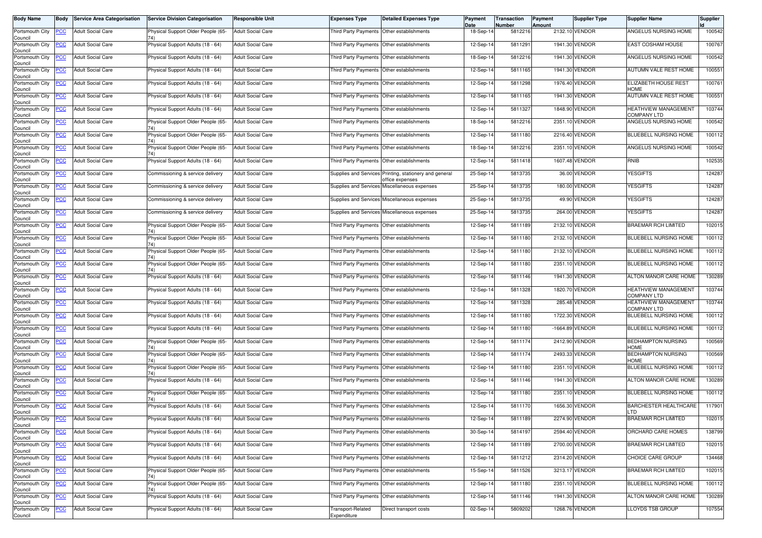| <b>Body Name</b>               | Body             | <b>Service Area Categorisation</b> | <b>Service Division Categorisation</b>    | <b>Responsible Unit</b>  | <b>Expenses Type</b>                        | <b>Detailed Expenses Type</b>                                             | Payment<br>Date | <b>Transaction</b><br>Number | Payment<br>Amount | <b>Supplier Type</b> | <b>Supplier Name</b>                              | <b>Supplier</b> |
|--------------------------------|------------------|------------------------------------|-------------------------------------------|--------------------------|---------------------------------------------|---------------------------------------------------------------------------|-----------------|------------------------------|-------------------|----------------------|---------------------------------------------------|-----------------|
| Portsmouth City<br>Council     | <u>PCC</u>       | <b>Adult Social Care</b>           | Physical Support Older People (65-        | <b>Adult Social Care</b> |                                             | Third Party Payments Other establishments                                 | 18-Sep-14       | 5812216                      |                   | 2132.10 VENDOR       | ANGELUS NURSING HOME                              | 100542          |
| Portsmouth City<br>Council     | <u>PCC</u>       | <b>Adult Social Care</b>           | Physical Support Adults (18 - 64)         | <b>Adult Social Care</b> |                                             | Third Party Payments Other establishments                                 | 12-Sep-14       | 5811291                      |                   | 1941.30 VENDOR       | EAST COSHAM HOUSE                                 | 100767          |
| Portsmouth City<br>Council     | <u>PCC</u>       | <b>Adult Social Care</b>           | Physical Support Adults (18 - 64)         | <b>Adult Social Care</b> | Third Party Payments Other establishments   |                                                                           | 18-Sep-14       | 5812216                      |                   | 1941.30 VENDOR       | ANGELUS NURSING HOME                              | 100542          |
| Portsmouth City<br>Council     | <u>PCC</u>       | <b>Adult Social Care</b>           | Physical Support Adults (18 - 64)         | Adult Social Care        | Third Party Payments                        | Other establishments                                                      | 12-Sep-14       | 5811165                      |                   | 1941.30 VENDOR       | AUTUMN VALE REST HOME                             | 100551          |
| Portsmouth City<br>Council     | <u>PCC</u>       | <b>Adult Social Care</b>           | Physical Support Adults (18 - 64)         | <b>Adult Social Care</b> |                                             | Third Party Payments Other establishments                                 | 12-Sep-14       | 5811298                      |                   | 1976.40 VENDOR       | ELIZABETH HOUSE REST<br>HOME                      | 100761          |
| Portsmouth City<br>Council     | <u>PCC</u>       | <b>Adult Social Care</b>           | Physical Support Adults (18 - 64)         | <b>Adult Social Care</b> | Third Party Payments Other establishments   |                                                                           | 12-Sep-14       | 5811165                      |                   | 1941.30 VENDOR       | AUTUMN VALE REST HOME                             | 100551          |
| Portsmouth City<br>Council     | ∍CC              | <b>Adult Social Care</b>           | Physical Support Adults (18 - 64)         | <b>Adult Social Care</b> |                                             | Third Party Payments Other establishments                                 | 12-Sep-14       | 5811327                      |                   | 1848.90 VENDOR       | HEATHVIEW MANAGEMENT<br><b>COMPANY LTD</b>        | 103744          |
| Portsmouth City<br>Council     | <u>PCC</u>       | <b>Adult Social Care</b>           | Physical Support Older People (65-<br>74) | <b>Adult Social Care</b> | Third Party Payments                        | Other establishments                                                      | 18-Sep-14       | 5812216                      |                   | 2351.10 VENDOR       | ANGELUS NURSING HOME                              | 100542          |
| Portsmouth City<br>Council     | PСC              | <b>Adult Social Care</b>           | Physical Support Older People (65-<br>74) | <b>Adult Social Care</b> |                                             | Third Party Payments Other establishments                                 | 12-Sep-14       | 5811180                      |                   | 2216.40 VENDOR       | BLUEBELL NURSING HOME                             | 100112          |
| Portsmouth City<br>Council     | <u>PCC</u>       | <b>Adult Social Care</b>           | Physical Support Older People (65-<br>74) | <b>Adult Social Care</b> |                                             | Third Party Payments Other establishments                                 | 18-Sep-14       | 5812216                      |                   | 2351.10 VENDOR       | ANGELUS NURSING HOME                              | 100542          |
| Portsmouth City<br>Council     | PСC              | <b>Adult Social Care</b>           | Physical Support Adults (18 - 64)         | <b>Adult Social Care</b> | Third Party Payments Other establishments   |                                                                           | 12-Sep-14       | 5811418                      |                   | 1607.48 VENDOR       | RNIB                                              | 102535          |
| Portsmouth City<br>Council     | <u>PCC</u>       | <b>Adult Social Care</b>           | Commissioning & service delivery          | Adult Social Care        |                                             | Supplies and Services Printing, stationery and general<br>office expenses | 25-Sep-14       | 5813735                      |                   | 36.00 VENDOR         | <b>YESGIFTS</b>                                   | 124287          |
| Portsmouth City<br>Council     | <u>PCC</u>       | <b>Adult Social Care</b>           | Commissioning & service delivery          | <b>Adult Social Care</b> |                                             | Supplies and Services Miscellaneous expenses                              | 25-Sep-14       | 5813735                      |                   | 180.00 VENDOR        | <b>YESGIFTS</b>                                   | 124287          |
| Portsmouth City<br>Council     | <u>PCC</u>       | <b>Adult Social Care</b>           | Commissioning & service delivery          | <b>Adult Social Care</b> |                                             | Supplies and Services Miscellaneous expenses                              | 25-Sep-14       | 5813735                      |                   | 49.90 VENDOR         | <b>YESGIFTS</b>                                   | 124287          |
| Portsmouth City<br>Council     | <u>PCC</u>       | <b>Adult Social Care</b>           | Commissioning & service delivery          | <b>Adult Social Care</b> |                                             | Supplies and Services Miscellaneous expenses                              | 25-Sep-14       | 5813735                      |                   | 264.00 VENDOR        | <b>YESGIFTS</b>                                   | 124287          |
| Portsmouth City<br>Council     | <u>PCC</u>       | <b>Adult Social Care</b>           | Physical Support Older People (65-        | <b>Adult Social Care</b> | Third Party Payments Other establishments   |                                                                           | 12-Sep-14       | 5811189                      |                   | 2132.10 VENDOR       | BRAEMAR RCH LIMITED                               | 102015          |
| Portsmouth City<br>Council     | <u>PCC</u>       | <b>Adult Social Care</b>           | Physical Support Older People (65-        | <b>Adult Social Care</b> |                                             | Third Party Payments Other establishments                                 | 12-Sep-14       | 5811180                      |                   | 2132.10 VENDOR       | BLUEBELL NURSING HOME                             | 100112          |
| Portsmouth City<br>Council     | <u>PCC</u>       | <b>Adult Social Care</b>           | Physical Support Older People (65-<br>74) | <b>Adult Social Care</b> |                                             | Third Party Payments Other establishments                                 | 12-Sep-14       | 5811180                      |                   | 2132.10 VENDOR       | <b>BLUEBELL NURSING HOME</b>                      | 100112          |
| Portsmouth City<br>Council     | <u>PCC</u>       | <b>Adult Social Care</b>           | Physical Support Older People (65-        | <b>Adult Social Care</b> | Third Party Payments   Other establishments |                                                                           | 12-Sep-14       | 5811180                      |                   | 2351.10 VENDOR       | BLUEBELL NURSING HOME                             | 100112          |
| Portsmouth City<br>Council     | <u>PCC</u>       | <b>Adult Social Care</b>           | Physical Support Adults (18 - 64)         | <b>Adult Social Care</b> |                                             | Third Party Payments Other establishments                                 | 12-Sep-14       | 5811146                      |                   | 1941.30 VENDOR       | <b>ALTON MANOR CARE HOME</b>                      | 130289          |
| Portsmouth City<br>Council     | <u>PCC</u>       | <b>Adult Social Care</b>           | Physical Support Adults (18 - 64)         | <b>Adult Social Care</b> |                                             | Third Party Payments Other establishments                                 | 12-Sep-14       | 5811328                      |                   | 1820.70 VENDOR       | <b>HEATHVIEW MANAGEMENT</b><br><b>COMPANY LTD</b> | 103744          |
| Portsmouth City<br>Council     | <u>PCC</u>       | <b>Adult Social Care</b>           | Physical Support Adults (18 - 64)         | <b>Adult Social Care</b> | Third Party Payments Other establishments   |                                                                           | 12-Sep-14       | 5811328                      |                   | 285.48 VENDOR        | HEATHVIEW MANAGEMENT<br>COMPANY LTD               | 103744          |
| Portsmouth City<br>Council     | <u>PCC</u>       | <b>Adult Social Care</b>           | Physical Support Adults (18 - 64)         | Adult Social Care        |                                             | Third Party Payments Other establishments                                 | 12-Sep-14       | 5811180                      |                   | 1722.30 VENDOR       | BLUEBELL NURSING HOME                             | 100112          |
| Portsmouth City<br>Council     | <u>PCC</u>       | <b>Adult Social Care</b>           | Physical Support Adults (18 - 64)         | <b>Adult Social Care</b> | Third Party Payments Other establishments   |                                                                           | 12-Sep-14       | 5811180                      |                   | -1664.89 VENDOR      | BLUEBELL NURSING HOME                             | 100112          |
| Portsmouth City<br>Council     | ∍сс              | <b>Adult Social Care</b>           | Physical Support Older People (65-<br>74) | Adult Social Care        |                                             | Third Party Payments Other establishments                                 | 12-Sep-14       | 5811174                      |                   | 2412.90 VENDOR       | <b>BEDHAMPTON NURSING</b><br><b>HOME</b>          | 100569          |
| Portsmouth City<br>Council     | <u>PCC</u>       | <b>Adult Social Care</b>           | Physical Support Older People (65-<br>74) | Adult Social Care        |                                             | Third Party Payments Other establishments                                 | 12-Sep-14       | 5811174                      |                   | 2493.33 VENDOR       | <b>BEDHAMPTON NURSING</b><br>HOME                 | 100569          |
| Portsmouth City<br>Council     | <u>PCC</u>       | <b>Adult Social Care</b>           | Physical Support Older People (65-        | <b>Adult Social Care</b> | Third Party Payments Other establishments   |                                                                           | 12-Sep-14       | 5811180                      |                   | 2351.10 VENDOR       | <b>BLUEBELL NURSING HOME</b>                      | 100112          |
| Portsmouth City<br>Council     | <u>PCC</u>       | <b>Adult Social Care</b>           | Physical Support Adults (18 - 64)         | <b>Adult Social Care</b> |                                             | Third Party Payments Other establishments                                 | 12-Sep-14       | 5811146                      |                   | 1941.30 VENDOR       | ALTON MANOR CARE HOME                             | 130289          |
| Portsmouth City<br>Council     | <u>PCC</u>       | <b>Adult Social Care</b>           | Physical Support Older People (65-<br>74) | <b>Adult Social Care</b> | Third Party Payments Other establishments   |                                                                           | 12-Sep-14       | 5811180                      |                   | 2351.10 VENDOR       | <b>BLUEBELL NURSING HOME</b>                      | 100112          |
| Portsmouth City<br>Council     | <b>PCC</b>       | <b>Adult Social Care</b>           | Physical Support Adults (18 - 64)         | <b>Adult Social Care</b> | Third Party Payments Other establishments   |                                                                           | 12-Sep-14       | 5811170                      |                   | 1656.30 VENDOR       | <b>BARCHESTER HEALTHCARE</b><br>LTD               | 117901          |
| Portsmouth City PCC<br>Council |                  | <b>Adult Social Care</b>           | Physical Support Adults (18 - 64)         | <b>Adult Social Care</b> | Third Party Payments Other establishments   |                                                                           | 12-Sep-14       | 5811189                      |                   | 2274.90 VENDOR       | <b>BRAEMAR RCH LIMITED</b>                        | 102015          |
| Portsmouth City<br>Council     | <u>PCC</u>       | <b>Adult Social Care</b>           | Physical Support Adults (18 - 64)         | <b>Adult Social Care</b> | Third Party Payments Other establishments   |                                                                           | 30-Sep-14       | 5814197                      |                   | 2594.40 VENDOR       | ORCHARD CARE HOMES                                | 138799          |
| Portsmouth City<br>Council     | <u>PCC</u>       | <b>Adult Social Care</b>           | Physical Support Adults (18 - 64)         | Adult Social Care        | Third Party Payments                        | Other establishments                                                      | 12-Sep-14       | 5811189                      |                   | 2700.00 VENDOR       | <b>BRAEMAR RCH LIMITED</b>                        | 102015          |
| Portsmouth City<br>Council     | $\overline{PCC}$ | <b>Adult Social Care</b>           | Physical Support Adults (18 - 64)         | <b>Adult Social Care</b> |                                             | Third Party Payments Other establishments                                 | 12-Sep-14       | 5811212                      |                   | 2314.20 VENDOR       | CHOICE CARE GROUP                                 | 134468          |
| Portsmouth City<br>Council     | <u>PCC</u>       | <b>Adult Social Care</b>           | Physical Support Older People (65-<br>74) | <b>Adult Social Care</b> | Third Party Payments Other establishments   |                                                                           | 15-Sep-14       | 5811526                      |                   | 3213.17 VENDOR       | <b>BRAEMAR RCH LIMITED</b>                        | 102015          |
| Portsmouth City<br>Council     | <u>PCC</u>       | <b>Adult Social Care</b>           | Physical Support Older People (65-<br>74) | Adult Social Care        |                                             | Third Party Payments Other establishments                                 | 12-Sep-14       | 5811180                      |                   | 2351.10 VENDOR       | BLUEBELL NURSING HOME                             | 100112          |
| Portsmouth City<br>Council     | <u>PCC</u>       | Adult Social Care                  | Physical Support Adults (18 - 64)         | <b>Adult Social Care</b> | <b>Third Party Payments</b>                 | Other establishments                                                      | 12-Sep-14       | 5811146                      |                   | 1941.30 VENDOR       | <b>ALTON MANOR CARE HOME</b>                      | 130289          |
| Portsmouth City<br>Council     | $\overline{C}$   | <b>Adult Social Care</b>           | Physical Support Adults (18 - 64)         | <b>Adult Social Care</b> | Transport-Related<br>Expenditure            | Direct transport costs                                                    | 02-Sep-14       | 5809202                      |                   | 1268.76 VENDOR       | <b>LLOYDS TSB GROUP</b>                           | 107554          |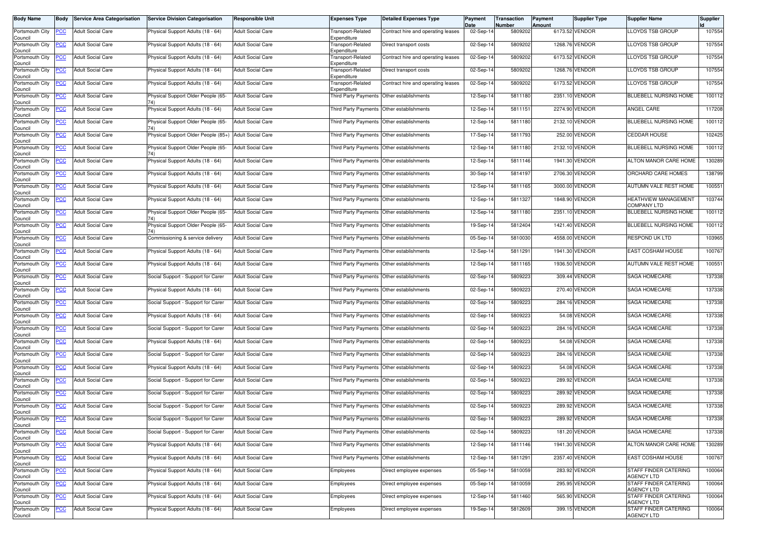| <b>Body Name</b>               | <b>Body</b> | <b>Service Area Categorisation</b> | <b>Service Division Categorisation</b> | Responsible Unit         | <b>Expenses Type</b>                      | <b>Detailed Expenses Type</b>             | Payment<br>Date | Transaction<br><b>Number</b> | Payment<br>Amount | <b>Supplier Type</b> | <b>Supplier Name</b>                       | <b>Supplier</b> |
|--------------------------------|-------------|------------------------------------|----------------------------------------|--------------------------|-------------------------------------------|-------------------------------------------|-----------------|------------------------------|-------------------|----------------------|--------------------------------------------|-----------------|
| Portsmouth City<br>Council     | PCC         | <b>Adult Social Care</b>           | Physical Support Adults (18 - 64)      | <b>Adult Social Care</b> | Transport-Related<br>Expenditure          | Contract hire and operating leases        | 02-Sep-14       | 5809202                      |                   | 6173.52 VENDOR       | <b>LLOYDS TSB GROUP</b>                    | 107554          |
| Portsmouth City<br>Council     | <u>PCC</u>  | <b>Adult Social Care</b>           | Physical Support Adults (18 - 64)      | <b>Adult Social Care</b> | Transport-Related<br>Expenditure          | Direct transport costs                    | 02-Sep-1        | 5809202                      |                   | 1268.76 VENDOR       | <b>LLOYDS TSB GROUP</b>                    | 107554          |
| Portsmouth City<br>Council     | <u>PCC</u>  | <b>Adult Social Care</b>           | Physical Support Adults (18 - 64)      | Adult Social Care        | Fransport-Related<br>Expenditure          | Contract hire and operating leases        | 02-Sep-14       | 5809202                      |                   | 6173.52 VENDOR       | LLOYDS TSB GROUP                           | 107554          |
| Portsmouth City<br>Council     | <b>PCC</b>  | <b>Adult Social Care</b>           | Physical Support Adults (18 - 64)      | <b>Adult Social Care</b> | <b>Transport-Related</b><br>Expenditure   | Direct transport costs                    | 02-Sep-14       | 5809202                      |                   | 1268.76 VENDOR       | LLOYDS TSB GROUP                           | 107554          |
| Portsmouth City<br>Council     | <b>PCC</b>  | <b>Adult Social Care</b>           | Physical Support Adults (18 - 64)      | <b>Adult Social Care</b> | Transport-Related<br>Expenditure          | Contract hire and operating leases        | 02-Sep-14       | 5809202                      |                   | 6173.52 VENDOR       | LOYDS TSB GROUP                            | 107554          |
| Portsmouth City<br>Council     | <b>PCC</b>  | <b>Adult Social Care</b>           | Physical Support Older People (65-     | <b>Adult Social Care</b> |                                           | Third Party Payments Other establishments | 12-Sep-14       | 5811180                      |                   | 2351.10 VENDOR       | BLUEBELL NURSING HOME                      | 100112          |
| Portsmouth City<br>Council     | <b>PCC</b>  | <b>Adult Social Care</b>           | Physical Support Adults (18 - 64)      | <b>Adult Social Care</b> | Third Party Payments                      | Other establishments                      | 12-Sep-14       | 5811151                      |                   | 2274.90 VENDOR       | ANGEL CARE                                 | 117208          |
| Portsmouth City<br>Council     | <b>PCC</b>  | <b>Adult Social Care</b>           | Physical Support Older People (65-     | <b>Adult Social Care</b> | <b>Third Party Payments</b>               | Other establishments                      | 12-Sep-14       | 5811180                      |                   | 2132.10 VENDOR       | <b>BLUEBELL NURSING HOME</b>               | 100112          |
| Portsmouth City<br>Council     | сC          | <b>Adult Social Care</b>           | Physical Support Older People (85+)    | <b>Adult Social Care</b> | Third Party Payments                      | Other establishments                      | 17-Sep-14       | 5811793                      |                   | 252.00 VENDOR        | <b>CEDDAR HOUSE</b>                        | 102425          |
| Portsmouth City<br>Council     | <b>PCC</b>  | <b>Adult Social Care</b>           | Physical Support Older People (65-     | <b>Adult Social Care</b> |                                           | Third Party Payments Other establishments | 12-Sep-14       | 5811180                      |                   | 2132.10 VENDOR       | BLUEBELL NURSING HOME                      | 100112          |
| Portsmouth City<br>Council     | <u>PCC</u>  | <b>Adult Social Care</b>           | Physical Support Adults (18 - 64)      | <b>Adult Social Care</b> | Third Party Payments                      | Other establishments                      | 12-Sep-14       | 5811146                      |                   | 1941.30 VENDOR       | ALTON MANOR CARE HOME                      | 130289          |
| Portsmouth City<br>Council     | <b>PCC</b>  | <b>Adult Social Care</b>           | Physical Support Adults (18 - 64)      | <b>Adult Social Care</b> | Third Party Payments                      | Other establishments                      | 30-Sep-14       | 5814197                      |                   | 2706.30 VENDOR       | ORCHARD CARE HOMES                         | 138799          |
| Portsmouth City<br>Council     | <u>PCC</u>  | <b>Adult Social Care</b>           | Physical Support Adults (18 - 64)      | <b>Adult Social Care</b> |                                           | Third Party Payments Other establishments | 12-Sep-14       | 5811165                      |                   | 3000.00 VENDOR       | AUTUMN VALE REST HOME                      | 100551          |
| Portsmouth City<br>Council     | <b>PCC</b>  | <b>Adult Social Care</b>           | Physical Support Adults (18 - 64)      | <b>Adult Social Care</b> |                                           | Third Party Payments Other establishments | 12-Sep-14       | 5811327                      |                   | 1848.90 VENDOR       | <b>HEATHVIEW MANAGEMENT</b><br>COMPANY LTD | 103744          |
| Portsmouth City<br>Council     | <u>PCC</u>  | <b>Adult Social Care</b>           | Physical Support Older People (65-     | <b>Adult Social Care</b> | Third Party Payments                      | Other establishments                      | 12-Sep-14       | 5811180                      |                   | 2351.10 VENDOR       | BLUEBELL NURSING HOME                      | 100112          |
| Portsmouth City<br>Council     | <b>PCC</b>  | <b>Adult Social Care</b>           | Physical Support Older People (65-     | <b>Adult Social Care</b> | Third Party Payments Other establishments |                                           | 19-Sep-14       | 5812404                      |                   | 1421.40 VENDOR       | BLUEBELL NURSING HOME                      | 100112          |
| Portsmouth City<br>Council     | <u>PCC</u>  | <b>Adult Social Care</b>           | Commissioning & service delivery       | <b>Adult Social Care</b> | Third Party Payments                      | Other establishments                      | 05-Sep-14       | 5810030                      |                   | 4558.00 VENDOR       | RESPOND UK LTD                             | 103965          |
| Portsmouth City<br>Council     | <b>PCC</b>  | <b>Adult Social Care</b>           | Physical Support Adults (18 - 64)      | <b>Adult Social Care</b> |                                           | Third Party Payments Other establishments | 12-Sep-14       | 5811291                      |                   | 1941.30 VENDOR       | EAST COSHAM HOUSE                          | 100767          |
| Portsmouth City<br>Council     | <b>PCC</b>  | <b>Adult Social Care</b>           | Physical Support Adults (18 - 64)      | <b>Adult Social Care</b> | Third Party Payments                      | Other establishments                      | 12-Sep-1        | 5811165                      |                   | 1936.50 VENDOR       | AUTUMN VALE REST HOME                      | 100551          |
| Portsmouth City<br>Council     | <b>PCC</b>  | <b>Adult Social Care</b>           | Social Support - Support for Carer     | <b>Adult Social Care</b> | Third Party Payments                      | Other establishments                      | 02-Sep-14       | 5809223                      |                   | 309.44 VENDOR        | SAGA HOMECARE                              | 137338          |
| Portsmouth City<br>Council     |             | Adult Social Care                  | Physical Support Adults (18 - 64)      | Adult Social Care        | Third Party Payments                      | Other establishments                      | 02-Sep-14       | 5809223                      |                   | 270.40 VENDOR        | SAGA HOMECARE                              | 137338          |
| Portsmouth City<br>Council     | <b>PCC</b>  | <b>Adult Social Care</b>           | Social Support - Support for Carer     | <b>Adult Social Care</b> | Third Party Payments Other establishments |                                           | 02-Sep-14       | 5809223                      |                   | 284.16 VENDOR        | <b>SAGA HOMECARE</b>                       | 137338          |
| Portsmouth City<br>Council     | PCC         | <b>Adult Social Care</b>           | Physical Support Adults (18 - 64)      | <b>Adult Social Care</b> | Third Party Payments                      | Other establishments                      | 02-Sep-14       | 5809223                      |                   | 54.08 VENDOR         | SAGA HOMECARE                              | 137338          |
| Portsmouth City<br>Council     |             | <b>Adult Social Care</b>           | Social Support - Support for Carer     | <b>Adult Social Care</b> |                                           | Third Party Payments Other establishments | 02-Sep-14       | 5809223                      |                   | 284.16 VENDOR        | SAGA HOMECARE                              | 137338          |
| Portsmouth City<br>Council     | PСC         | <b>Adult Social Care</b>           | Physical Support Adults (18 - 64)      | <b>Adult Social Care</b> | Third Party Payments                      | Other establishments                      | 02-Sep-14       | 5809223                      |                   | 54.08 VENDOR         | SAGA HOMECARE                              | 137338          |
| Portsmouth City<br>Council     | <u>PCC</u>  | <b>Adult Social Care</b>           | Social Support - Support for Carer     | Adult Social Care        |                                           | Third Party Payments Other establishments | 02-Sep-14       | 5809223                      |                   | 284.16 VENDOR        | SAGA HOMECARE                              | 137338          |
| Portsmouth City<br>Council     | <b>PCC</b>  | <b>Adult Social Care</b>           | Physical Support Adults (18 - 64)      | <b>Adult Social Care</b> |                                           | Third Party Payments Other establishments | 02-Sep-14       | 5809223                      |                   | 54.08 VENDOR         | <b>SAGA HOMECARE</b>                       | 137338          |
| Portsmouth City<br>Council     | <b>PCC</b>  | <b>Adult Social Care</b>           | Social Support - Support for Carer     | Adult Social Care        | <b>Third Party Payments</b>               | Other establishments                      | 02-Sep-14       | 5809223                      |                   | 289.92 VENDOR        | SAGA HOMECARE                              | 137338          |
| Portsmouth City<br>Council     | <b>PCC</b>  | <b>Adult Social Care</b>           | Social Support - Support for Carer     | <b>Adult Social Care</b> | Third Party Payments                      | Other establishments                      | 02-Sep-14       | 580922                       |                   | 289.92 VENDOR        | SAGA HOMECARE                              | 137338          |
| Portsmouth City<br>Council     | <b>PCC</b>  | <b>Adult Social Care</b>           | Social Support - Support for Carer     | <b>Adult Social Care</b> |                                           | Third Party Payments Other establishments | 02-Sep-14       | 5809223                      |                   | 289.92 VENDOR        | SAGA HOMECARE                              | 137338          |
| Portsmouth City PCC<br>Council |             | <b>Adult Social Care</b>           | Social Support - Support for Carer     | <b>Adult Social Care</b> | Third Party Payments Other establishments |                                           | 02-Sep-14       | 5809223                      |                   | 289.92 VENDOR        | <b>SAGA HOMECARE</b>                       | 137338          |
| Portsmouth City<br>Council     | <u>PCC</u>  | <b>Adult Social Care</b>           | Social Support - Support for Carer     | <b>Adult Social Care</b> | Third Party Payments Other establishments |                                           | 02-Sep-14       | 5809223                      |                   | 181.20 VENDOR        | SAGA HOMECARE                              | 137338          |
| Portsmouth City<br>Council     | <b>PCC</b>  | <b>Adult Social Care</b>           | Physical Support Adults (18 - 64)      | <b>Adult Social Care</b> | Third Party Payments                      | Other establishments                      | 12-Sep-14       | 5811146                      |                   | 1941.30 VENDOR       | ALTON MANOR CARE HOME                      | 130289          |
| Portsmouth City<br>Council     | <u>PCC</u>  | <b>Adult Social Care</b>           | Physical Support Adults (18 - 64)      | Adult Social Care        | Third Party Payments                      | Other establishments                      | 12-Sep-14       | 5811291                      |                   | 2357.40 VENDOR       | EAST COSHAM HOUSE                          | 100767          |
| Portsmouth City<br>Council     | <b>PCC</b>  | <b>Adult Social Care</b>           | Physical Support Adults (18 - 64)      | <b>Adult Social Care</b> | Employees                                 | Direct employee expenses                  | 05-Sep-14       | 5810059                      |                   | 283.92 VENDOR        | STAFF FINDER CATERING<br><b>AGENCY LTD</b> | 100064          |
| Portsmouth City<br>Council     | <b>PCC</b>  | <b>Adult Social Care</b>           | Physical Support Adults (18 - 64)      | <b>Adult Social Care</b> | Employees                                 | Direct employee expenses                  | 05-Sep-14       | 5810059                      |                   | 295.95 VENDOR        | STAFF FINDER CATERING<br><b>AGENCY LTD</b> | 100064          |
| Portsmouth City<br>Council     | <b>PCC</b>  | <b>Adult Social Care</b>           | Physical Support Adults (18 - 64)      | <b>Adult Social Care</b> | Employees                                 | Direct employee expenses                  | 12-Sep-14       | 5811460                      |                   | 565.90 VENDOR        | STAFF FINDER CATERING<br><b>AGENCY LTD</b> | 100064          |
| Portsmouth City<br>Council     | <b>PCC</b>  | <b>Adult Social Care</b>           | Physical Support Adults (18 - 64)      | <b>Adult Social Care</b> | Employees                                 | Direct employee expenses                  | 19-Sep-14       | 5812609                      |                   | 399.15 VENDOR        | STAFF FINDER CATERING<br><b>AGENCY LTD</b> | 100064          |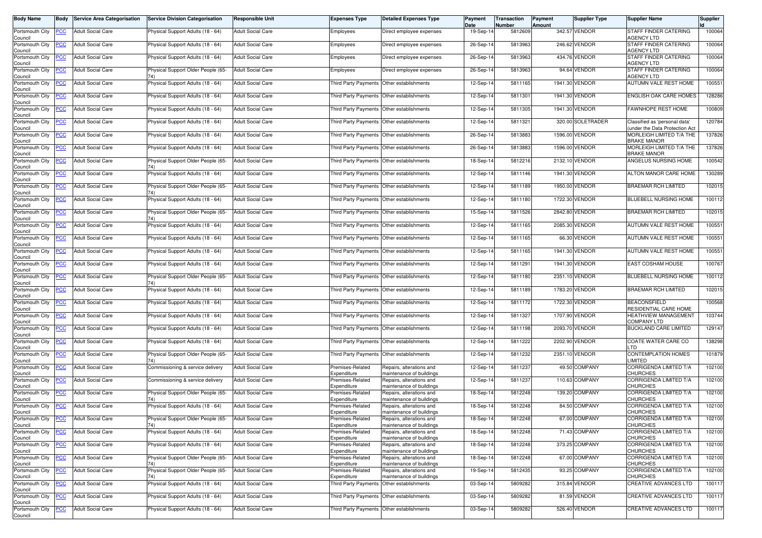| <b>Body Name</b>               | Body           | <b>Service Area Categorisation</b> | <b>Service Division Categorisation</b>    | <b>Responsible Unit</b>  | <b>Expenses Type</b>                      | <b>Detailed Expenses Type</b>                        | Payment<br>Date | Transaction<br>Number | Payment<br><b>Amount</b> | Supplier Type     | <b>Supplier Name</b>                                           | Supplier |
|--------------------------------|----------------|------------------------------------|-------------------------------------------|--------------------------|-------------------------------------------|------------------------------------------------------|-----------------|-----------------------|--------------------------|-------------------|----------------------------------------------------------------|----------|
| Portsmouth City<br>Council     | <b>PCC</b>     | <b>Adult Social Care</b>           | Physical Support Adults (18 - 64)         | <b>Adult Social Care</b> | Employees                                 | Direct employee expenses                             | 19-Sep-14       | 5812609               |                          | 342.57 VENDOR     | STAFF FINDER CATERING<br><b>AGENCY LTD</b>                     | 100064   |
| Portsmouth City<br>Council     | <u>PCC</u>     | <b>Adult Social Care</b>           | Physical Support Adults (18 - 64)         | <b>Adult Social Care</b> | Employees                                 | Direct employee expenses                             | 26-Sep-14       | 5813963               |                          | 246.62 VENDOR     | STAFF FINDER CATERING<br><b>AGENCY LTD</b>                     | 100064   |
| Portsmouth City<br>Council     | <b>PCC</b>     | <b>Adult Social Care</b>           | Physical Support Adults (18 - 64)         | <b>Adult Social Care</b> | Employees                                 | Direct employee expenses                             | 26-Sep-14       | 5813963               |                          | 434.76 VENDOR     | STAFF FINDER CATERING<br><b>AGENCY LTD</b>                     | 100064   |
| Portsmouth City<br>Council     | <u>PCC</u>     | <b>Adult Social Care</b>           | Physical Support Older People (65-        | <b>Adult Social Care</b> | Employees                                 | Direct employee expenses                             | 26-Sep-14       | 5813963               | 94.64                    | <b>VENDOR</b>     | STAFF FINDER CATERING<br><b>AGENCY LTD</b>                     | 100064   |
| Portsmouth City<br>Council     | <u>PCC</u>     | <b>Adult Social Care</b>           | Physical Support Adults (18 - 64)         | <b>Adult Social Care</b> |                                           | Third Party Payments Other establishments            | 12-Sep-14       | 5811165               |                          | 1941.30 VENDOR    | AUTUMN VALE REST HOME                                          | 100551   |
| Portsmouth City<br>Council     | <b>PCC</b>     | <b>Adult Social Care</b>           | Physical Support Adults (18 - 64)         | <b>Adult Social Care</b> | <b>Third Party Payments</b>               | Other establishments                                 | 12-Sep-14       | 5811301               |                          | 1941.30 VENDOR    | <b>ENGLISH OAK CARE HOMES</b>                                  | 128286   |
| Portsmouth City<br>Council     | <b>PCC</b>     | <b>Adult Social Care</b>           | Physical Support Adults (18 - 64)         | <b>Adult Social Care</b> | <b>Third Party Payments</b>               | Other establishments                                 | 12-Sep-14       | 5811305               |                          | 1941.30 VENDOR    | <b>FAWNHOPE REST HOME</b>                                      | 100809   |
| Portsmouth City<br>Council     | <u>PCC</u>     | <b>Adult Social Care</b>           | Physical Support Adults (18 - 64)         | <b>Adult Social Care</b> | <b>Third Party Payments</b>               | Other establishments                                 | 12-Sep-14       | 5811321               |                          | 320.00 SOLETRADER | Classified as 'personal data'<br>under the Data Protection Act | 120784   |
| Portsmouth City<br>Council     | PCC            | <b>Adult Social Care</b>           | Physical Support Adults (18 - 64)         | <b>Adult Social Care</b> | Third Party Payments Other establishments |                                                      | 26-Sep-14       | 5813883               |                          | 1596.00 VENDOR    | MORLEIGH LIMITED T/A THE<br><b>BRAKE MANOR</b>                 | 137826   |
| Portsmouth City<br>Council     | PCC            | <b>Adult Social Care</b>           | Physical Support Adults (18 - 64)         | <b>Adult Social Care</b> | Third Party Payments                      | Other establishments                                 | 26-Sep-14       | 5813883               |                          | 1596.00 VENDOR    | MORLEIGH LIMITED T/A THE<br><b>BRAKE MANOR</b>                 | 137826   |
| Portsmouth City<br>Council     | <u>PCC</u>     | <b>Adult Social Care</b>           | Physical Support Older People (65-        | <b>Adult Social Care</b> | Third Party Payments                      | Other establishments                                 | 18-Sep-14       | 5812216               |                          | 2132.10 VENDOR    | ANGELUS NURSING HOME                                           | 100542   |
| Portsmouth City<br>Council     | PСC            | <b>Adult Social Care</b>           | Physical Support Adults (18 - 64)         | <b>Adult Social Care</b> | <b>Third Party Payments</b>               | Other establishments                                 | 12-Sep-14       | 5811146               |                          | 1941.30 VENDOR    | ALTON MANOR CARE HOME                                          | 130289   |
| Portsmouth City<br>Council     | $\overline{C}$ | <b>Adult Social Care</b>           | Physical Support Older People (65-<br>74) | <b>Adult Social Care</b> |                                           | Third Party Payments Other establishments            | 12-Sep-14       | 5811189               |                          | 1950.00 VENDOR    | <b>BRAEMAR RCH LIMITED</b>                                     | 102015   |
| Portsmouth City<br>Council     | <b>PCC</b>     | <b>Adult Social Care</b>           | Physical Support Adults (18 - 64)         | <b>Adult Social Care</b> |                                           | Third Party Payments Other establishments            | 12-Sep-14       | 5811180               |                          | 1722.30 VENDOR    | BLUEBELL NURSING HOME                                          | 100112   |
| Portsmouth City<br>Council     | <u>PCC</u>     | <b>Adult Social Care</b>           | Physical Support Older People (65-        | <b>Adult Social Care</b> | Third Party Payments                      | Other establishments                                 | 15-Sep-14       | 5811526               |                          | 2842.80 VENDOR    | <b>BRAEMAR RCH LIMITED</b>                                     | 102015   |
| Portsmouth City<br>Council     | <b>PCC</b>     | <b>Adult Social Care</b>           | Physical Support Adults (18 - 64)         | <b>Adult Social Care</b> | <b>Third Party Payments</b>               | Other establishments                                 | 12-Sep-14       | 5811165               |                          | 2085.30 VENDOR    | AUTUMN VALE REST HOME                                          | 100551   |
| Portsmouth City<br>Council     | <u>PCC</u>     | <b>Adult Social Care</b>           | Physical Support Adults (18 - 64)         | <b>Adult Social Care</b> | Third Party Payments                      | Other establishments                                 | 12-Sep-14       | 5811165               |                          | 66.30 VENDOR      | AUTUMN VALE REST HOME                                          | 100551   |
| Portsmouth City<br>Council     | <u>PCC</u>     | <b>Adult Social Care</b>           | Physical Support Adults (18 - 64)         | <b>Adult Social Care</b> | Third Party Payments                      | Other establishments                                 | 12-Sep-14       | 5811165               |                          | 1941.30 VENDOR    | <b>AUTUMN VALE REST HOME</b>                                   | 100551   |
| Portsmouth City<br>Council     | <b>PCC</b>     | <b>Adult Social Care</b>           | Physical Support Adults (18 - 64)         | <b>Adult Social Care</b> | Third Party Payments                      | Other establishments                                 | 12-Sep-14       | 5811291               |                          | 1941.30 VENDOR    | <b>EAST COSHAM HOUSE</b>                                       | 100767   |
| Portsmouth City<br>Council     | <b>PCC</b>     | <b>Adult Social Care</b>           | Physical Support Older People (65-        | <b>Adult Social Care</b> | <b>Third Party Payments</b>               | Other establishments                                 | 12-Sep-14       | 5811180               |                          | 2351.10 VENDOR    | BLUEBELL NURSING HOME                                          | 100112   |
| Portsmouth City<br>Council     | <u>CC</u>      | <b>Adult Social Care</b>           | Physical Support Adults (18 - 64)         | <b>Adult Social Care</b> | <b>Third Party Payments</b>               | Other establishments                                 | 12-Sep-14       | 5811189               |                          | 1783.20 VENDOR    | <b>BRAEMAR RCH LIMITED</b>                                     | 102015   |
| Portsmouth City<br>Council     | <b>PCC</b>     | <b>Adult Social Care</b>           | Physical Support Adults (18 - 64)         | <b>Adult Social Care</b> | Third Party Payments Other establishments |                                                      | 12-Sep-14       | 5811172               |                          | 1722.30 VENDOR    | <b>BEACONSFIELD</b><br>RESIDENTIAL CARE HOME                   | 100568   |
| Portsmouth City<br>Council     | <u>PCC</u>     | <b>Adult Social Care</b>           | Physical Support Adults (18 - 64)         | <b>Adult Social Care</b> | Third Party Payments                      | Other establishments                                 | 12-Sep-14       | 5811327               |                          | 1707.90 VENDOR    | <b>HEATHVIEW MANAGEMENT</b><br><b>COMPANY LTD</b>              | 103744   |
| Portsmouth City<br>Council     | <b>PCC</b>     | <b>Adult Social Care</b>           | Physical Support Adults (18 - 64)         | <b>Adult Social Care</b> | Third Party Payments                      | Other establishments                                 | 12-Sep-14       | 5811198               |                          | 2093.70 VENDOR    | <b>BUCKLAND CARE LIMITED</b>                                   | 129147   |
| Portsmouth City<br>Council     | PCC.           | <b>Adult Social Care</b>           | Physical Support Adults (18 - 64)         | <b>Adult Social Care</b> | Third Party Payments Other establishments |                                                      | 12-Sep-14       | 5811222               |                          | 2202.90 VENDOR    | COATE WATER CARE CO<br>LTD                                     | 138298   |
| Portsmouth City<br>Council     | <b>PCC</b>     | <b>Adult Social Care</b>           | Physical Support Older People (65-        | <b>Adult Social Care</b> |                                           | Third Party Payments Other establishments            | 12-Sep-14       | 5811232               |                          | 2351.10 VENDOR    | <b>CONTEMPLATION HOMES</b><br><b>IMITED</b>                    | 101879   |
| Portsmouth City<br>Council     | <b>PCC</b>     | <b>Adult Social Care</b>           | Commissioning & service delivery          | <b>Adult Social Care</b> | Premises-Related<br>Expenditure           | Repairs, alterations and<br>maintenance of buildings | 12-Sep-14       | 5811237               |                          | 49.50 COMPANY     | CORRIGENDA LIMITED T/A<br><b>CHURCHES</b>                      | 102100   |
| Portsmouth City<br>Council     | <b>PCC</b>     | <b>Adult Social Care</b>           | Commissioning & service delivery          | <b>Adult Social Care</b> | Premises-Related<br>Expenditure           | Repairs, alterations and<br>maintenance of buildings | 12-Sep-14       | 5811237               |                          | 110.63 COMPANY    | <b>CORRIGENDA LIMITED T/A</b><br><b>CHURCHES</b>               | 102100   |
| Portsmouth City<br>Council     | <u>PCC</u>     | Adult Social Care                  | Physical Support Older People (65-        | <b>Adult Social Care</b> | Premises-Related<br>Expenditure           | Repairs, alterations and<br>maintenance of buildings | 18-Sep-14       | 5812248               |                          | 139.20 COMPANY    | CORRIGENDA LIMITED T/A<br><b>CHURCHES</b>                      | 102100   |
| Portsmouth City<br>Council     | <b>PCC</b>     | <b>Adult Social Care</b>           | Physical Support Adults (18 - 64)         | <b>Adult Social Care</b> | Premises-Related<br>Expenditure           | Repairs, alterations and<br>maintenance of buildings | 18-Sep-14       | 5812248               |                          | 84.50 COMPANY     | CORRIGENDA LIMITED T/A<br><b>CHURCHES</b>                      | 102100   |
| Portsmouth City PCC<br>Council |                | <b>Adult Social Care</b>           | Physical Support Older People (65-<br>74) | <b>Adult Social Care</b> | Premises-Related<br>Expenditure           | Repairs, alterations and<br>maintenance of buildings | 18-Sep-14       | 5812248               |                          | 67.00 COMPANY     | CORRIGENDA LIMITED T/A<br><b>CHURCHES</b>                      | 102100   |
| Portsmouth City<br>Council     | <u>PCC</u>     | <b>Adult Social Care</b>           | Physical Support Adults (18 - 64)         | <b>Adult Social Care</b> | Premises-Related<br>Expenditure           | Repairs, alterations and<br>maintenance of buildings | 18-Sep-14       | 5812248               |                          | 71.43 COMPANY     | CORRIGENDA LIMITED T/A<br><b>CHURCHES</b>                      | 102100   |
| Portsmouth City<br>Council     | <b>PCC</b>     | <b>Adult Social Care</b>           | Physical Support Adults (18 - 64)         | <b>Adult Social Care</b> | Premises-Related<br>Expenditure           | Repairs, alterations and<br>maintenance of buildings | 18-Sep-14       | 5812248               |                          | 373.25 COMPANY    | CORRIGENDA LIMITED T/A<br><b>CHURCHES</b>                      | 102100   |
| Portsmouth City<br>Council     | <b>PCC</b>     | <b>Adult Social Care</b>           | Physical Support Older People (65-<br>74) | <b>Adult Social Care</b> | Premises-Related<br>Expenditure           | Repairs, alterations and<br>maintenance of buildings | 18-Sep-14       | 5812248               |                          | 67.00 COMPANY     | CORRIGENDA LIMITED T/A<br><b>CHURCHES</b>                      | 102100   |
| Portsmouth City<br>Council     | <b>PCC</b>     | <b>Adult Social Care</b>           | Physical Support Older People (65-<br>74) | <b>Adult Social Care</b> | Premises-Related<br>Expenditure           | Repairs, alterations and<br>maintenance of buildings | 19-Sep-14       | 5812435               |                          | 93.25 COMPANY     | CORRIGENDA LIMITED T/A<br><b>CHURCHES</b>                      | 102100   |
| Portsmouth City<br>Council     | <b>PCC</b>     | <b>Adult Social Care</b>           | Physical Support Adults (18 - 64)         | <b>Adult Social Care</b> | <b>Third Party Payments</b>               | Other establishments                                 | 03-Sep-14       | 5809282               |                          | 315.84 VENDOR     | <b>CREATIVE ADVANCES LTD</b>                                   | 100117   |
| Portsmouth City<br>Council     | <u>PCC</u>     | <b>Adult Social Care</b>           | Physical Support Adults (18 - 64)         | <b>Adult Social Care</b> | Third Party Payments                      | Other establishments                                 | 03-Sep-14       | 5809282               |                          | 81.59 VENDOR      | CREATIVE ADVANCES LTD                                          | 100117   |
| Portsmouth City<br>Council     | <b>CC</b>      | <b>Adult Social Care</b>           | Physical Support Adults (18 - 64)         | <b>Adult Social Care</b> | Third Party Payments                      | Other establishments                                 | 03-Sep-14       | 5809282               |                          | 526.40 VENDOR     | CREATIVE ADVANCES LTD                                          | 100117   |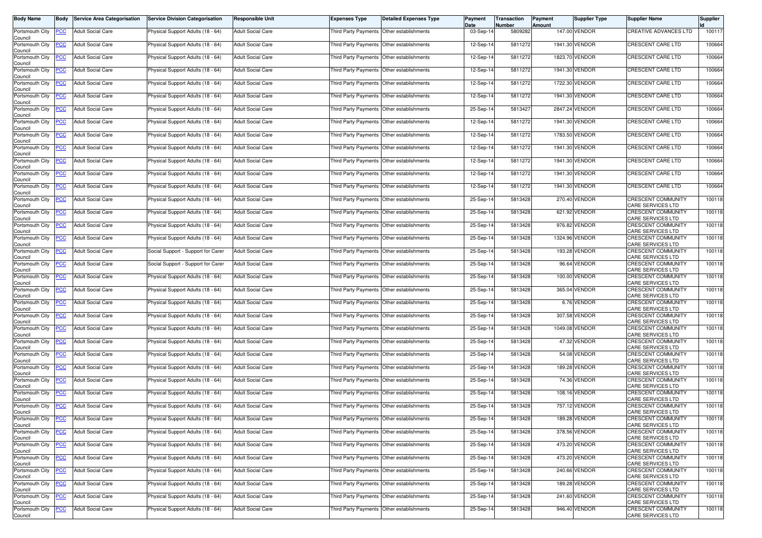| <b>Body Name</b>                                        | <b>Body</b>    | <b>Service Area Categorisation</b> | <b>Service Division Categorisation</b> | <b>Responsible Unit</b>  | <b>Expenses Type</b>                        | <b>Detailed Expenses Type</b> | Payment<br>Date | Transaction<br><b>Number</b> | Payment<br>Amount | <b>Supplier Type</b> | <b>Supplier Name</b>                                  | <b>Supplier</b> |
|---------------------------------------------------------|----------------|------------------------------------|----------------------------------------|--------------------------|---------------------------------------------|-------------------------------|-----------------|------------------------------|-------------------|----------------------|-------------------------------------------------------|-----------------|
| Portsmouth City<br>Council                              | <b>PCC</b>     | <b>Adult Social Care</b>           | Physical Support Adults (18 - 64)      | <b>Adult Social Care</b> | Third Party Payments Other establishments   |                               | 03-Sep-14       | 5809282                      |                   | 147.00 VENDOR        | <b>CREATIVE ADVANCES LTD</b>                          | 100117          |
| Portsmouth City<br>Council                              | <b>PCC</b>     | Adult Social Care                  | Physical Support Adults (18 - 64)      | <b>Adult Social Care</b> | Third Party Payments Other establishments   |                               | 12-Sep-1        | 5811272                      |                   | 1941.30 VENDOR       | CRESCENT CARE LTD                                     | 100664          |
| Portsmouth City                                         | <u>PCC</u>     | <b>Adult Social Care</b>           | Physical Support Adults (18 - 64)      | <b>Adult Social Care</b> | Third Party Payments Other establishments   |                               | 12-Sep-14       | 5811272                      |                   | 1823.70 VENDOR       | CRESCENT CARE LTD                                     | 100664          |
| Council<br>Portsmouth City<br>Council                   | <b>PCC</b>     | <b>Adult Social Care</b>           | Physical Support Adults (18 - 64)      | <b>Adult Social Care</b> | Third Party Payments                        | Other establishments          | 12-Sep-14       | 5811272                      |                   | 1941.30 VENDOR       | CRESCENT CARE LTD                                     | 100664          |
| Portsmouth City<br>Council                              | <u>PCC</u>     | <b>Adult Social Care</b>           | Physical Support Adults (18 - 64)      | <b>Adult Social Care</b> | Third Party Payments Other establishments   |                               | 12-Sep-14       | 5811272                      |                   | 1722.30 VENDOR       | CRESCENT CARE LTD                                     | 100664          |
| Portsmouth City<br>Council                              | <b>PCC</b>     | <b>Adult Social Care</b>           | Physical Support Adults (18 - 64)      | <b>Adult Social Care</b> | Third Party Payments   Other establishments |                               | 12-Sep-14       | 5811272                      |                   | 1941.30 VENDOR       | <b>CRESCENT CARE LTD</b>                              | 100664          |
| Portsmouth City<br>Council                              | <b>PCC</b>     | <b>Adult Social Care</b>           | Physical Support Adults (18 - 64)      | <b>Adult Social Care</b> | Third Party Payments                        | Other establishments          | 25-Sep-14       | 5813427                      |                   | 2847.24 VENDOR       | CRESCENT CARE LTD                                     | 100664          |
| Portsmouth City<br>Council                              | <b>PCC</b>     | <b>Adult Social Care</b>           | Physical Support Adults (18 - 64)      | <b>Adult Social Care</b> | Third Party Payments                        | Other establishments          | 12-Sep-14       | 5811272                      |                   | 1941.30 VENDOR       | CRESCENT CARE LTD                                     | 100664          |
| Portsmouth City<br>Council                              | PСC            | <b>Adult Social Care</b>           | Physical Support Adults (18 - 64)      | <b>Adult Social Care</b> | Third Party Payments                        | Other establishments          | 12-Sep-14       | 5811272                      |                   | 1783.50 VENDOR       | CRESCENT CARE LTD                                     | 100664          |
| Portsmouth City<br>Council                              | <b>PCC</b>     | Adult Social Care                  | Physical Support Adults (18 - 64)      | <b>Adult Social Care</b> | Third Party Payments Other establishments   |                               | 12-Sep-14       | 5811272                      |                   | 1941.30 VENDOR       | CRESCENT CARE LTD                                     | 100664          |
| Portsmouth City<br>Council                              | PСC            | <b>Adult Social Care</b>           | Physical Support Adults (18 - 64)      | <b>Adult Social Care</b> | Third Party Payments Other establishments   |                               | 12-Sep-14       | 5811272                      |                   | 1941.30 VENDOR       | CRESCENT CARE LTD                                     | 100664          |
| Portsmouth City<br>Council                              | <b>PCC</b>     | <b>Adult Social Care</b>           | Physical Support Adults (18 - 64)      | <b>Adult Social Care</b> | Third Party Payments Other establishments   |                               | 12-Sep-14       | 5811272                      |                   | 1941.30 VENDOR       | CRESCENT CARE LTD                                     | 100664          |
| Portsmouth City<br>Council                              | <u>PCC</u>     | <b>Adult Social Care</b>           | Physical Support Adults (18 - 64)      | <b>Adult Social Care</b> | Third Party Payments Other establishments   |                               | 12-Sep-14       | 5811272                      |                   | 1941.30 VENDOR       | CRESCENT CARE LTD                                     | 100664          |
| Portsmouth City<br>Council                              | <u>PCC</u>     | <b>Adult Social Care</b>           | Physical Support Adults (18 - 64)      | <b>Adult Social Care</b> | Third Party Payments Other establishments   |                               | 25-Sep-14       | 5813428                      |                   | 270.40 VENDOR        | <b>CRESCENT COMMUNITY</b><br><b>CARE SERVICES LTD</b> | 100118          |
| Portsmouth City<br>Council                              | <u>PCC</u>     | <b>Adult Social Care</b>           | Physical Support Adults (18 - 64)      | <b>Adult Social Care</b> | Third Party Payments Other establishments   |                               | 25-Sep-14       | 5813428                      |                   | 621.92 VENDOR        | <b>CRESCENT COMMUNITY</b><br>CARE SERVICES LTD        | 100118          |
| Portsmouth City<br>Council                              | <b>PCC</b>     | <b>Adult Social Care</b>           | Physical Support Adults (18 - 64)      | <b>Adult Social Care</b> | Third Party Payments Other establishments   |                               | 25-Sep-14       | 5813428                      |                   | 976.82 VENDOR        | <b>CRESCENT COMMUNITY</b><br>CARE SERVICES LTD        | 100118          |
| Portsmouth City<br>Council                              | <u>PCC</u>     | <b>Adult Social Care</b>           | Physical Support Adults (18 - 64)      | <b>Adult Social Care</b> | Third Party Payments                        | Other establishments          | 25-Sep-14       | 5813428                      |                   | 1324.96 VENDOR       | <b>CRESCENT COMMUNITY</b><br>CARE SERVICES LTD        | 100118          |
| Portsmouth City<br>Council                              | <u>PCC</u>     | <b>Adult Social Care</b>           | Social Support - Support for Carer     | <b>Adult Social Care</b> | Third Party Payments Other establishments   |                               | 25-Sep-14       | 5813428                      |                   | 193.28 VENDOR        | <b>CRESCENT COMMUNITY</b><br>CARE SERVICES LTD        | 100118          |
| Portsmouth City<br>Council                              | <u>PCC</u>     | <b>Adult Social Care</b>           | Social Support - Support for Carer     | <b>Adult Social Care</b> | Third Party Payments Other establishments   |                               | 25-Sep-1        | 5813428                      |                   | 96.64 VENDOR         | CRESCENT COMMUNITY<br>CARE SERVICES LTD               | 100118          |
| Portsmouth City<br>Council                              | <b>PCC</b>     | <b>Adult Social Care</b>           | Physical Support Adults (18 - 64)      | <b>Adult Social Care</b> | Third Party Payments Other establishments   |                               | 25-Sep-14       | 5813428                      |                   | 100.00 VENDOR        | CRESCENT COMMUNITY<br>CARE SERVICES LTD               | 100118          |
| Portsmouth City<br>Council                              | PCC.           | Adult Social Care                  | Physical Support Adults (18 - 64)      | <b>Adult Social Care</b> | Third Party Payments                        | Other establishments          | 25-Sep-14       | 5813428                      |                   | 365.04 VENDOR        | CRESCENT COMMUNITY<br>CARE SERVICES LTD               | 100118          |
| Portsmouth City<br>Council                              | <b>PCC</b>     | <b>Adult Social Care</b>           | Physical Support Adults (18 - 64)      | <b>Adult Social Care</b> | Third Party Payments Other establishments   |                               | 25-Sep-14       | 5813428                      |                   | 6.76 VENDOR          | <b>CRESCENT COMMUNITY</b><br>CARE SERVICES LTD        | 100118          |
| Portsmouth City<br>Council                              | PCC            | Adult Social Care                  | Physical Support Adults (18 - 64)      | <b>Adult Social Care</b> | Third Party Payments Other establishments   |                               | 25-Sep-14       | 5813428                      |                   | 307.58 VENDOR        | CRESCENT COMMUNITY<br><b>CARE SERVICES LTD</b>        | 100118          |
| Portsmouth City<br>Council                              |                | <b>Adult Social Care</b>           | Physical Support Adults (18 - 64)      | <b>Adult Social Care</b> | Third Party Payments Other establishments   |                               | 25-Sep-14       | 5813428                      |                   | 1049.08 VENDOR       | <b>CRESCENT COMMUNITY</b><br>CARE SERVICES LTD        | 100118          |
| Portsmouth City<br>Council                              | PCC.           | <b>Adult Social Care</b>           | Physical Support Adults (18 - 64)      | <b>Adult Social Care</b> | Third Party Payments   Other establishments |                               | 25-Sep-14       | 5813428                      |                   | 47.32 VENDOR         | CRESCENT COMMUNITY<br><b>CARE SERVICES LTD</b>        | 100118          |
| Portsmouth City<br>Council                              | <u>PCC</u>     | Adult Social Care                  | Physical Support Adults (18 - 64)      | <b>Adult Social Care</b> | Third Party Payments Other establishments   |                               | 25-Sep-14       | 5813428                      |                   | 54.08 VENDOR         | <b>CRESCENT COMMUNITY</b><br>CARE SERVICES LTD        | 100118          |
| Portsmouth City<br>Council                              | <b>PCC</b>     | <b>Adult Social Care</b>           | Physical Support Adults (18 - 64)      | <b>Adult Social Care</b> | Third Party Payments Other establishments   |                               | 25-Sep-14       | 5813428                      |                   | 189.28 VENDOR        | <b>CRESCENT COMMUNITY</b><br>CARE SERVICES LTD        | 100118          |
| Portsmouth City<br>Council                              | <b>PCC</b>     | <b>Adult Social Care</b>           | Physical Support Adults (18 - 64)      | <b>Adult Social Care</b> | Third Party Payments                        | Other establishments          | 25-Sep-14       | 5813428                      |                   | 74.36 VENDOR         | CRESCENT COMMUNITY<br>CARE SERVICES LTD               | 100118          |
| Portsmouth City<br>Council                              | <b>PCC</b>     | <b>Adult Social Care</b>           | Physical Support Adults (18 - 64)      | <b>Adult Social Care</b> | Third Party Payments Other establishments   |                               | 25-Sep-14       | 5813428                      |                   | 108.16 VENDOR        | <b>CRESCENT COMMUNITY</b><br>CARE SERVICES LTD        | 100118          |
| Portsmouth City<br>Council                              | <b>PCC</b>     | <b>Adult Social Care</b>           | Physical Support Adults (18 - 64)      | <b>Adult Social Care</b> | Third Party Payments Other establishments   |                               | 25-Sep-14       | 5813428                      |                   | 757.12 VENDOR        | CRESCENT COMMUNITY<br>CARE SERVICES LTD               | 100118          |
| Portsmouth City <b>PCC</b> Adult Social Care<br>Council |                |                                    | Physical Support Adults (18 - 64)      | <b>Adult Social Care</b> | Third Party Payments Other establishments   |                               | 25-Sep-14       | 5813428                      |                   | 189.28 VENDOR        | <b>CRESCENT COMMUNITY</b><br>CARE SERVICES LTD        | 100118          |
| Portsmouth City<br>Council                              | <u>PCC</u>     | <b>Adult Social Care</b>           | Physical Support Adults (18 - 64)      | <b>Adult Social Care</b> | Third Party Payments Other establishments   |                               | 25-Sep-14       | 5813428                      |                   | 378.56 VENDOR        | <b>CRESCENT COMMUNITY</b><br>CARE SERVICES LTD        | 100118          |
| Portsmouth City<br>Council                              | <b>PCC</b>     | <b>Adult Social Care</b>           | Physical Support Adults (18 - 64)      | <b>Adult Social Care</b> | Third Party Payments                        | Other establishments          | 25-Sep-14       | 5813428                      |                   | 473.20 VENDOR        | <b>CRESCENT COMMUNITY</b><br>CARE SERVICES LTD        | 100118          |
| Portsmouth City<br>Council                              | $\overline{C}$ | <b>Adult Social Care</b>           | Physical Support Adults (18 - 64)      | Adult Social Care        | Third Party Payments Other establishments   |                               | 25-Sep-14       | 5813428                      |                   | 473.20 VENDOR        | CRESCENT COMMUNITY<br><b>CARE SERVICES LTD</b>        | 100118          |
| Portsmouth City<br>Council                              | <b>PCC</b>     | <b>Adult Social Care</b>           | Physical Support Adults (18 - 64)      | <b>Adult Social Care</b> | Third Party Payments Other establishments   |                               | 25-Sep-14       | 5813428                      |                   | 240.66 VENDOR        | CRESCENT COMMUNITY<br>CARE SERVICES LTD               | 100118          |
| Portsmouth City<br>Council                              | <b>PCC</b>     | <b>Adult Social Care</b>           | Physical Support Adults (18 - 64)      | <b>Adult Social Care</b> | Third Party Payments Other establishments   |                               | 25-Sep-14       | 5813428                      |                   | 189.28 VENDOR        | CRESCENT COMMUNITY<br>CARE SERVICES LTD               | 100118          |
| Portsmouth City<br>Council                              | <b>PCC</b>     | <b>Adult Social Care</b>           | Physical Support Adults (18 - 64)      | <b>Adult Social Care</b> | Third Party Payments Other establishments   |                               | 25-Sep-14       | 5813428                      |                   | 241.60 VENDOR        | <b>CRESCENT COMMUNITY</b><br>CARE SERVICES LTD        | 100118          |
| Portsmouth City<br>Council                              | $\overline{C}$ | <b>Adult Social Care</b>           | Physical Support Adults (18 - 64)      | <b>Adult Social Care</b> | Third Party Payments Other establishments   |                               | 25-Sep-14       | 5813428                      |                   | 946.40 VENDOR        | <b>CRESCENT COMMUNITY</b><br><b>CARE SERVICES LTD</b> | 100118          |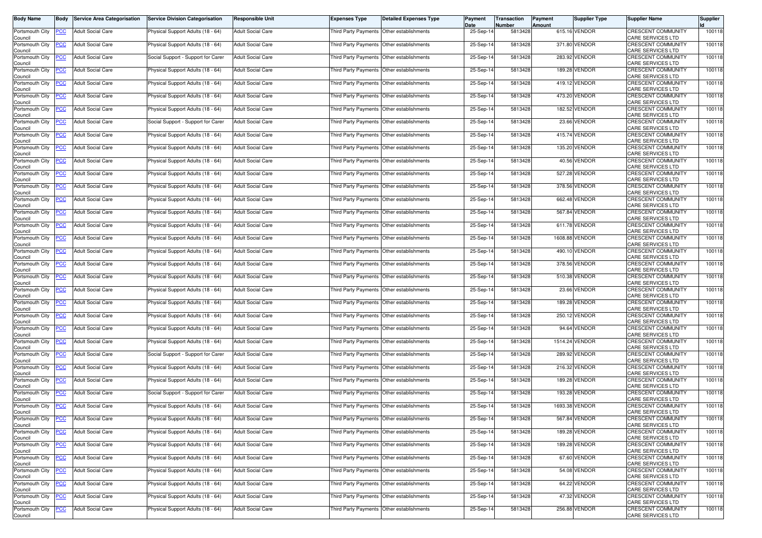| Body Name                  | Body           | <b>Service Area Categorisation</b> | <b>Service Division Categorisation</b> | <b>Responsible Unit</b>  | <b>Expenses Type</b>                        | <b>Detailed Expenses Type</b> | Payment<br>Date | Transaction<br>Number | Payment<br>Amount | Supplier Type  | <b>Supplier Name</b>                                  | Supplier |
|----------------------------|----------------|------------------------------------|----------------------------------------|--------------------------|---------------------------------------------|-------------------------------|-----------------|-----------------------|-------------------|----------------|-------------------------------------------------------|----------|
| Portsmouth City<br>Council | <u>PCC</u>     | <b>Adult Social Care</b>           | Physical Support Adults (18 - 64)      | <b>Adult Social Care</b> | Third Party Payments Other establishments   |                               | 25-Sep-14       | 5813428               |                   | 615.16 VENDOR  | <b>CRESCENT COMMUNITY</b><br>CARE SERVICES LTD        | 100118   |
| Portsmouth City<br>Council | <u>'CC</u>     | Adult Social Care                  | Physical Support Adults (18 - 64)      | <b>Adult Social Care</b> | Third Party Payments                        | Other establishments          | 25-Sep-14       | 5813428               |                   | 371.80 VENDOR  | CRESCENT COMMUNITY<br>CARE SERVICES LTD               | 100118   |
| Portsmouth City<br>Council | <u>'СС</u>     | <b>Adult Social Care</b>           | Social Support - Support for Carer     | <b>Adult Social Care</b> | Third Party Payments Other establishments   |                               | 25-Sep-14       | 5813428               |                   | 283.92 VENDOR  | <b>CRESCENT COMMUNITY</b><br>CARE SERVICES LTD        | 100118   |
| Portsmouth City<br>Council | <u>'CC</u>     | <b>Adult Social Care</b>           | Physical Support Adults (18 - 64)      | <b>Adult Social Care</b> | Third Party Payments                        | Other establishments          | 25-Sep-14       | 5813428               |                   | 189.28 VENDOR  | CRESCENT COMMUNITY<br><b>CARE SERVICES LTD</b>        | 100118   |
| Portsmouth City<br>Council | <u>PCC</u>     | <b>Adult Social Care</b>           | Physical Support Adults (18 - 64)      | <b>Adult Social Care</b> | Third Party Payments Other establishments   |                               | 25-Sep-14       | 5813428               |                   | 419.12 VENDOR  | CRESCENT COMMUNITY<br>CARE SERVICES LTD               | 100118   |
| Portsmouth City<br>Council | <u>'CC</u>     | <b>Adult Social Care</b>           | Physical Support Adults (18 - 64)      | <b>Adult Social Care</b> | Third Party Payments                        | Other establishments          | 25-Sep-14       | 5813428               |                   | 473.20 VENDOR  | CRESCENT COMMUNITY<br>CARE SERVICES LTD               | 100118   |
| Portsmouth City<br>Council | <u>'CC</u>     | <b>Adult Social Care</b>           | Physical Support Adults (18 - 64)      | <b>Adult Social Care</b> | Third Party Payments                        | Other establishments          | 25-Sep-14       | 5813428               |                   | 182.52 VENDOR  | CRESCENT COMMUNITY<br>CARE SERVICES LTD               | 100118   |
| Portsmouth City<br>Council | <u>'CC</u>     | <b>Adult Social Care</b>           | Social Support - Support for Carer     | <b>Adult Social Care</b> | Third Party Payments                        | Other establishments          | 25-Sep-14       | 5813428               |                   | 23.66 VENDOR   | CRESCENT COMMUNITY<br>CARE SERVICES LTD               | 100118   |
| Portsmouth City<br>Council | <u>PCC</u>     | <b>Adult Social Care</b>           | Physical Support Adults (18 - 64)      | <b>Adult Social Care</b> | Third Party Payments   Other establishments |                               | 25-Sep-14       | 5813428               |                   | 415.74 VENDOR  | <b>CRESCENT COMMUNITY</b><br>CARE SERVICES LTD        | 100118   |
| Portsmouth City<br>Council | <u>'CC</u>     | Adult Social Care                  | Physical Support Adults (18 - 64)      | <b>Adult Social Care</b> | Third Party Payments                        | Other establishments          | 25-Sep-14       | 5813428               |                   | 135.20 VENDOR  | CRESCENT COMMUNITY<br><b>CARE SERVICES LTD</b>        | 100118   |
| Portsmouth City<br>Council | <u>PCC</u>     | <b>Adult Social Care</b>           | Physical Support Adults (18 - 64)      | <b>Adult Social Care</b> | Third Party Payments                        | Other establishments          | 25-Sep-14       | 5813428               |                   | 40.56 VENDOR   | CRESCENT COMMUNITY<br><b>CARE SERVICES LTD</b>        | 100118   |
| Portsmouth City<br>Council | сC             | <b>Adult Social Care</b>           | Physical Support Adults (18 - 64)      | <b>Adult Social Care</b> | Third Party Payments                        | Other establishments          | 25-Sep-14       | 5813428               |                   | 527.28 VENDOR  | <b>CRESCENT COMMUNITY</b><br>CARE SERVICES LTD        | 100118   |
| Portsmouth City<br>Council | <u>'CC</u>     | <b>Adult Social Care</b>           | Physical Support Adults (18 - 64)      | <b>Adult Social Care</b> | Third Party Payments                        | Other establishments          | 25-Sep-14       | 5813428               |                   | 378.56 VENDOR  | <b>CRESCENT COMMUNITY</b><br>CARE SERVICES LTD        | 100118   |
| Portsmouth City<br>Council | <u>'CC</u>     | <b>Adult Social Care</b>           | Physical Support Adults (18 - 64)      | <b>Adult Social Care</b> | Third Party Payments   Other establishments |                               | 25-Sep-14       | 5813428               |                   | 662.48 VENDOR  | CRESCENT COMMUNITY<br>CARE SERVICES LTD               | 100118   |
| Portsmouth City<br>Council | <u>'CC</u>     | <b>Adult Social Care</b>           | Physical Support Adults (18 - 64)      | <b>Adult Social Care</b> | Third Party Payments                        | Other establishments          | 25-Sep-14       | 5813428               |                   | 567.84 VENDOR  | <b>CRESCENT COMMUNITY</b><br>CARE SERVICES LTD        | 100118   |
| Portsmouth City<br>Council | <u>CC</u>      | <b>Adult Social Care</b>           | Physical Support Adults (18 - 64)      | <b>Adult Social Care</b> | <b>Third Party Payments</b>                 | Other establishments          | 25-Sep-14       | 5813428               |                   | 611.78 VENDOR  | CRESCENT COMMUNITY<br>CARE SERVICES LTD               | 100118   |
| Portsmouth City<br>Council | <u>'CC</u>     | <b>Adult Social Care</b>           | Physical Support Adults (18 - 64)      | <b>Adult Social Care</b> | Third Party Payments                        | Other establishments          | 25-Sep-14       | 5813428               | 1608.88           | <b>VENDOR</b>  | <b>CRESCENT COMMUNITY</b><br>CARE SERVICES LTD        | 100118   |
| Portsmouth City<br>Council | <u>CC</u>      | <b>Adult Social Care</b>           | Physical Support Adults (18 - 64)      | <b>Adult Social Care</b> | Third Party Payments Other establishments   |                               | $25-Sep-14$     | 5813428               |                   | 490.10 VENDOR  | CRESCENT COMMUNITY<br>CARE SERVICES LTD               | 100118   |
| Portsmouth City<br>Council | <u>'CC</u>     | <b>Adult Social Care</b>           | Physical Support Adults (18 - 64)      | <b>Adult Social Care</b> | Third Party Payments                        | Other establishments          | 25-Sep-14       | 5813428               |                   | 378.56 VENDOR  | <b>CRESCENT COMMUNITY</b><br><b>CARE SERVICES LTD</b> | 100118   |
| Portsmouth City<br>Council | <u>'CC</u>     | <b>Adult Social Care</b>           | Physical Support Adults (18 - 64)      | <b>Adult Social Care</b> | Third Party Payments                        | Other establishments          | 25-Sep-14       | 5813428               |                   | 510.38 VENDOR  | <b>CRESCENT COMMUNITY</b><br>CARE SERVICES LTD        | 100118   |
| Portsmouth City<br>Council | <u>'CC</u>     | <b>Adult Social Care</b>           | Physical Support Adults (18 - 64)      | <b>Adult Social Care</b> | Third Party Payments                        | Other establishments          | 25-Sep-14       | 5813428               |                   | 23.66 VENDOR   | <b>CRESCENT COMMUNITY</b><br>CARE SERVICES LTD        | 100118   |
| Portsmouth City<br>Council | <u>'СС</u>     | <b>Adult Social Care</b>           | Physical Support Adults (18 - 64)      | <b>Adult Social Care</b> | Third Party Payments   Other establishments |                               | 25-Sep-14       | 5813428               |                   | 189.28 VENDOR  | <b>CRESCENT COMMUNITY</b><br>CARE SERVICES LTD        | 100118   |
| Portsmouth City<br>Council | <u>CC</u>      | <b>Adult Social Care</b>           | Physical Support Adults (18 - 64)      | <b>Adult Social Care</b> | Third Party Payments                        | Other establishments          | 25-Sep-14       | 5813428               |                   | 250.12 VENDOR  | CRESCENT COMMUNITY<br>CARE SERVICES LTD               | 100118   |
| Portsmouth City<br>Council | <u>'СС</u>     | <b>Adult Social Care</b>           | Physical Support Adults (18 - 64)      | <b>Adult Social Care</b> | Third Party Payments Other establishments   |                               | 25-Sep-14       | 5813428               |                   | 94.64 VENDOR   | <b>CRESCENT COMMUNITY</b><br>CARE SERVICES LTD        | 100118   |
| Portsmouth City<br>Council | <u>'СС</u>     | <b>Adult Social Care</b>           | Physical Support Adults (18 - 64)      | <b>Adult Social Care</b> | Third Party Payments Other establishments   |                               | 25-Sep-14       | 5813428               | 1514.24           | <b>VENDOR</b>  | <b>CRESCENT COMMUNITY</b><br>CARE SERVICES LTD        | 100118   |
| Portsmouth City<br>Council | <u>PCC</u>     | <b>Adult Social Care</b>           | Social Support - Support for Carer     | <b>Adult Social Care</b> | Third Party Payments Other establishments   |                               | 25-Sep-14       | 5813428               |                   | 289.92 VENDOR  | CRESCENT COMMUNITY<br>CARE SERVICES LTD               | 100118   |
| Portsmouth City<br>Council | <u>'CC</u>     | <b>Adult Social Care</b>           | Physical Support Adults (18 - 64)      | <b>Adult Social Care</b> | Third Party Payments                        | Other establishments          | 25-Sep-14       | 5813428               |                   | 216.32 VENDOR  | <b>CRESCENT COMMUNITY</b><br>CARE SERVICES LTD        | 100118   |
| Portsmouth City<br>Council | <u>'CC</u>     | <b>Adult Social Care</b>           | Physical Support Adults (18 - 64)      | <b>Adult Social Care</b> | Third Party Payments                        | Other establishments          | 25-Sep-14       | 5813428               |                   | 189.28 VENDOR  | <b>CRESCENT COMMUNITY</b><br>CARE SERVICES LTD        | 100118   |
| Portsmouth City<br>Council | <u>CC</u>      | <b>Adult Social Care</b>           | Social Support - Support for Carer     | <b>Adult Social Care</b> | Third Party Payments                        | Other establishments          | 25-Sep-14       | 5813428               |                   | 193.28 VENDOR  | CRESCENT COMMUNITY<br>CARE SERVICES LTD               | 100118   |
| Portsmouth City<br>Council | <b>PCC</b>     | <b>Adult Social Care</b>           | Physical Support Adults (18 - 64)      | <b>Adult Social Care</b> | Third Party Payments Other establishments   |                               | 25-Sep-14       | 5813428               |                   | 1693.38 VENDOR | <b>CRESCENT COMMUNITY</b><br>CARE SERVICES LTD        | 100118   |
| Portsmouth City<br>Council | <b>CC</b>      | <b>Adult Social Care</b>           | Physical Support Adults (18 - 64)      | Adult Social Care        | Third Party Payments Other establishments   |                               | 25-Sep-14       | 5813428               |                   | 567.84 VENDOR  | <b>CRESCENT COMMUNITY</b><br><b>CARE SERVICES LTD</b> | 100118   |
| Portsmouth City<br>Council | <u>PCC</u>     | <b>Adult Social Care</b>           | Physical Support Adults (18 - 64)      | <b>Adult Social Care</b> | Third Party Payments Other establishments   |                               | 25-Sep-14       | 5813428               |                   | 189.28 VENDOR  | <b>CRESCENT COMMUNITY</b><br>CARE SERVICES LTD        | 100118   |
| Portsmouth City<br>Council | $\overline{C}$ | <b>Adult Social Care</b>           | Physical Support Adults (18 - 64)      | Adult Social Care        | Third Party Payments Other establishments   |                               | 25-Sep-14       | 5813428               |                   | 189.28 VENDOR  | <b>CRESCENT COMMUNITY</b><br>CARE SERVICES LTD        | 100118   |
| Portsmouth City<br>Council | <u>PCC</u>     | <b>Adult Social Care</b>           | Physical Support Adults (18 - 64)      | <b>Adult Social Care</b> | Third Party Payments Other establishments   |                               | 25-Sep-14       | 5813428               |                   | 67.60 VENDOR   | <b>CRESCENT COMMUNITY</b><br><b>CARE SERVICES LTD</b> | 100118   |
| Portsmouth City<br>Council | <u>PCC</u>     | <b>Adult Social Care</b>           | Physical Support Adults (18 - 64)      | <b>Adult Social Care</b> | Third Party Payments Other establishments   |                               | 25-Sep-14       | 5813428               |                   | 54.08 VENDOR   | CRESCENT COMMUNITY<br>CARE SERVICES LTD               | 100118   |
| Portsmouth City<br>Council | <u>'CC</u>     | <b>Adult Social Care</b>           | Physical Support Adults (18 - 64)      | Adult Social Care        | <b>Third Party Payments</b>                 | Other establishments          | 25-Sep-14       | 5813428               |                   | 64.22 VENDOR   | CRESCENT COMMUNITY<br><b>CARE SERVICES LTD</b>        | 100118   |
| Portsmouth City<br>Council | <u>PCC</u>     | <b>Adult Social Care</b>           | Physical Support Adults (18 - 64)      | Adult Social Care        | Third Party Payments                        | Other establishments          | 25-Sep-14       | 5813428               |                   | 47.32 VENDOR   | <b>CRESCENT COMMUNITY</b><br>CARE SERVICES LTD        | 100118   |
| Portsmouth City<br>Council | <u>'CC</u>     | <b>Adult Social Care</b>           | Physical Support Adults (18 - 64)      | <b>Adult Social Care</b> | Third Party Payments Other establishments   |                               | 25-Sep-14       | 5813428               |                   | 256.88 VENDOR  | <b>CRESCENT COMMUNITY</b><br><b>CARE SERVICES LTD</b> | 100118   |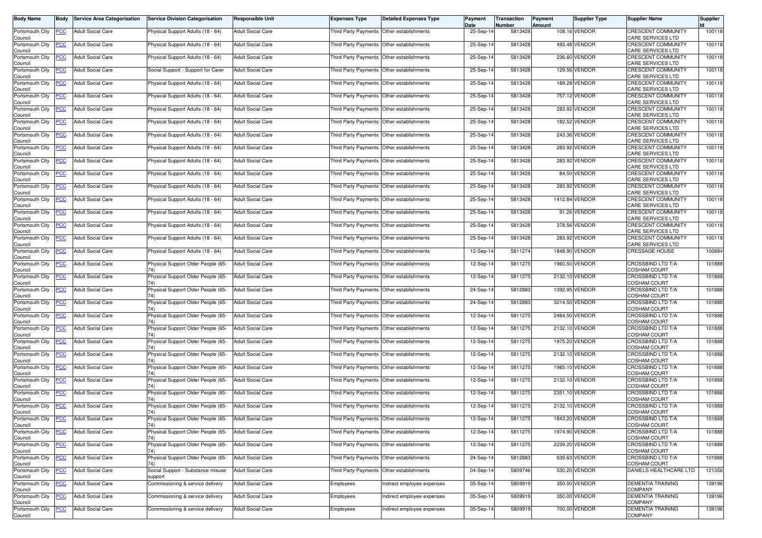| Body Name                  | Body        | <b>Service Area Categorisation</b> | <b>Service Division Categorisation</b>       | <b>Responsible Unit</b>  | <b>Expenses Type</b>                        | <b>Detailed Expenses Type</b> | Payment<br>Date | Transaction<br>Number | Payment<br>Amount | Supplier Type  | <b>Supplier Name</b>                                  | Supplier |
|----------------------------|-------------|------------------------------------|----------------------------------------------|--------------------------|---------------------------------------------|-------------------------------|-----------------|-----------------------|-------------------|----------------|-------------------------------------------------------|----------|
| Portsmouth City<br>Council | <u>PCC </u> | <b>Adult Social Care</b>           | Physical Support Adults (18 - 64)            | <b>Adult Social Care</b> | Third Party Payments Other establishments   |                               | 25-Sep-14       | 5813428               |                   | 108.16 VENDOR  | <b>CRESCENT COMMUNITY</b><br>CARE SERVICES LTD        | 100118   |
| Portsmouth City<br>Council | <u>'CC</u>  | Adult Social Care                  | Physical Support Adults (18 - 64)            | <b>Adult Social Care</b> | Third Party Payments                        | Other establishments          | 25-Sep-14       | 5813428               |                   | 493.48 VENDOR  | CRESCENT COMMUNITY<br>CARE SERVICES LTD               | 100118   |
| Portsmouth City<br>Council | <u>'СС</u>  | <b>Adult Social Care</b>           | Physical Support Adults (18 - 64)            | <b>Adult Social Care</b> | Third Party Payments Other establishments   |                               | 25-Sep-14       | 5813428               |                   | 236.60 VENDOR  | <b>CRESCENT COMMUNITY</b><br>CARE SERVICES LTD        | 100118   |
| Portsmouth City<br>Council | <u>'CC</u>  | <b>Adult Social Care</b>           | Social Support - Support for Carer           | <b>Adult Social Care</b> | Third Party Payments                        | Other establishments          | 25-Sep-14       | 5813428               |                   | 129.56 VENDOR  | <b>CRESCENT COMMUNITY</b><br><b>CARE SERVICES LTD</b> | 100118   |
| Portsmouth City<br>Council | <b>CC</b>   | <b>Adult Social Care</b>           | Physical Support Adults (18 - 64)            | <b>Adult Social Care</b> | Third Party Payments Other establishments   |                               | 25-Sep-14       | 5813428               |                   | 189.28 VENDOR  | CRESCENT COMMUNITY<br>CARE SERVICES LTD               | 100118   |
| Portsmouth City<br>Council | <u>'CC</u>  | <b>Adult Social Care</b>           | Physical Support Adults (18 - 64)            | <b>Adult Social Care</b> | Third Party Payments                        | Other establishments          | 25-Sep-14       | 5813428               |                   | 757.12 VENDOR  | CRESCENT COMMUNITY<br>CARE SERVICES LTD               | 100118   |
| Portsmouth City<br>Council | <u>'CC</u>  | <b>Adult Social Care</b>           | Physical Support Adults (18 - 64)            | <b>Adult Social Care</b> | Third Party Payments                        | Other establishments          | 25-Sep-14       | 5813428               |                   | 283.92 VENDOR  | <b>CRESCENT COMMUNITY</b><br>CARE SERVICES LTD        | 100118   |
| Portsmouth City<br>Council | <u>'CC</u>  | <b>Adult Social Care</b>           | Physical Support Adults (18 - 64)            | <b>Adult Social Care</b> | Third Party Payments                        | Other establishments          | 25-Sep-14       | 5813428               |                   | 182.52 VENDOR  | CRESCENT COMMUNITY<br><b>CARE SERVICES LTD</b>        | 100118   |
| Portsmouth City<br>Council | <u>PCC</u>  | <b>Adult Social Care</b>           | Physical Support Adults (18 - 64)            | <b>Adult Social Care</b> | Third Party Payments   Other establishments |                               | 25-Sep-14       | 5813428               |                   | 243.36 VENDOR  | <b>CRESCENT COMMUNITY</b><br>CARE SERVICES LTD        | 100118   |
| Portsmouth City<br>Council | <u>'CC</u>  | Adult Social Care                  | Physical Support Adults (18 - 64)            | <b>Adult Social Care</b> | Third Party Payments                        | Other establishments          | 25-Sep-14       | 5813428               |                   | 283.92 VENDOR  | CRESCENT COMMUNITY<br><b>CARE SERVICES LTD</b>        | 100118   |
| Portsmouth City<br>Council | <u>PCC</u>  | <b>Adult Social Care</b>           | Physical Support Adults (18 - 64)            | <b>Adult Social Care</b> | Third Party Payments                        | Other establishments          | 25-Sep-14       | 5813428               |                   | 283.92 VENDOR  | CRESCENT COMMUNITY<br>CARE SERVICES LTD               | 100118   |
| Portsmouth City<br>Council | сC          | <b>Adult Social Care</b>           | Physical Support Adults (18 - 64)            | <b>Adult Social Care</b> | Third Party Payments                        | Other establishments          | 25-Sep-14       | 5813428               |                   | 84.50 VENDOR   | <b>CRESCENT COMMUNITY</b><br>CARE SERVICES LTD        | 100118   |
| Portsmouth City<br>Council | <u>'CC</u>  | <b>Adult Social Care</b>           | Physical Support Adults (18 - 64)            | <b>Adult Social Care</b> | Third Party Payments                        | Other establishments          | 25-Sep-14       | 5813428               |                   | 283.92 VENDOR  | <b>CRESCENT COMMUNITY</b><br>CARE SERVICES LTD        | 100118   |
| Portsmouth City<br>Council | <u>'CC</u>  | <b>Adult Social Care</b>           | Physical Support Adults (18 - 64)            | <b>Adult Social Care</b> | Third Party Payments   Other establishments |                               | 25-Sep-14       | 5813428               |                   | 1412.84 VENDOR | CRESCENT COMMUNITY<br><b>CARE SERVICES LTD</b>        | 100118   |
| Portsmouth City<br>Council | <u>CC</u>   | <b>Adult Social Care</b>           | Physical Support Adults (18 - 64)            | <b>Adult Social Care</b> | Third Party Payments                        | Other establishments          | 25-Sep-14       | 5813428               |                   | 91.26 VENDOR   | <b>CRESCENT COMMUNITY</b><br>CARE SERVICES LTD        | 100118   |
| Portsmouth City<br>Council | <u>PCC</u>  | <b>Adult Social Care</b>           | Physical Support Adults (18 - 64)            | <b>Adult Social Care</b> | <b>Third Party Payments</b>                 | Other establishments          | 25-Sep-14       | 5813428               |                   | 378.56 VENDOR  | CRESCENT COMMUNITY<br>CARE SERVICES LTD               | 100118   |
| Portsmouth City<br>Council | <u>'CC</u>  | <b>Adult Social Care</b>           | Physical Support Adults (18 - 64)            | <b>Adult Social Care</b> | Third Party Payments                        | Other establishments          | 25-Sep-14       | 5813428               |                   | 283.92 VENDOR  | <b>CRESCENT COMMUNITY</b><br>CARE SERVICES LTD        | 100118   |
| Portsmouth City<br>Council | <u>PCC</u>  | <b>Adult Social Care</b>           | Physical Support Adults (18 - 64)            | <b>Adult Social Care</b> | Third Party Payments Other establishments   |                               | 12-Sep-14       | 5811274               |                   | 1848.90 VENDOR | <b>CRESSAGE HOUSE</b>                                 | 100684   |
| Portsmouth City<br>Council | <u>'CC</u>  | <b>Adult Social Care</b>           | Physical Support Older People (65-           | Adult Social Care        | Third Party Payments                        | Other establishments          | 12-Sep-14       | 5811275               |                   | 1960.50 VENDOR | <b>CROSSBIND LTD T/A</b><br><b>COSHAM COURT</b>       | 101888   |
| Portsmouth City<br>Council | <u>'CC</u>  | <b>Adult Social Care</b>           | Physical Support Older People (65-           | <b>Adult Social Care</b> | Third Party Payments                        | Other establishments          | 12-Sep-14       | 5811275               |                   | 2132.10 VENDOR | <b>CROSSBIND LTD T/A</b><br><b>COSHAM COURT</b>       | 101888   |
| Portsmouth City<br>Council | <u>'CC</u>  | <b>Adult Social Care</b>           | Physical Support Older People (65-<br>74)    | <b>Adult Social Care</b> | Third Party Payments                        | Other establishments          | 24-Sep-14       | 5812883               |                   | 1392.95 VENDOR | CROSSBIND LTD T/A<br><b>COSHAM COURT</b>              | 101888   |
| Portsmouth City<br>Council | <u>'CC</u>  | <b>Adult Social Care</b>           | Physical Support Older People (65-           | <b>Adult Social Care</b> | Third Party Payments Other establishments   |                               | 24-Sep-14       | 5812883               |                   | 3214.50 VENDOR | <b>CROSSBIND LTD T/A</b><br><b>COSHAM COURT</b>       | 101888   |
| Portsmouth City<br>Council | <u>CC</u>   | <b>Adult Social Care</b>           | Physical Support Older People (65-<br>74)    | <b>Adult Social Care</b> | Third Party Payments                        | Other establishments          | 12-Sep-14       | 5811275               |                   | 2464.50 VENDOR | CROSSBIND LTD T/A<br>COSHAM COURT                     | 101888   |
| Portsmouth City<br>Council | <u>'СС</u>  | <b>Adult Social Care</b>           | Physical Support Older People (65-<br>74)    | <b>Adult Social Care</b> | Third Party Payments Other establishments   |                               | 12-Sep-14       | 5811275               |                   | 2132.10 VENDOR | <b>CROSSBIND LTD T/A</b><br><b>COSHAM COURT</b>       | 101888   |
| Portsmouth City<br>Council | <u>'СС</u>  | <b>Adult Social Care</b>           | Physical Support Older People (65-<br>74)    | <b>Adult Social Care</b> | Third Party Payments Other establishments   |                               | 12-Sep-14       | 5811275               |                   | 1975.20 VENDOR | <b>CROSSBIND LTD T/A</b><br><b>COSHAM COURT</b>       | 101888   |
| Portsmouth City<br>Council | <u>PCC</u>  | <b>Adult Social Care</b>           | Physical Support Older People (65-           | <b>Adult Social Care</b> | Third Party Payments Other establishments   |                               | 12-Sep-14       | 5811275               |                   | 2132.10 VENDOR | CROSSBIND LTD T/A<br><b>COSHAM COURT</b>              | 101888   |
| Portsmouth City<br>Council | <u>'CC</u>  | <b>Adult Social Care</b>           | Physical Support Older People (65-<br>74)    | <b>Adult Social Care</b> | Third Party Payments                        | Other establishments          | 12-Sep-14       | 5811275               |                   | 1985.10 VENDOR | CROSSBIND LTD T/A<br><b>COSHAM COURT</b>              | 101888   |
| Portsmouth City<br>Council | <u>'CC</u>  | <b>Adult Social Care</b>           | Physical Support Older People (65-           | <b>Adult Social Care</b> | Third Party Payments                        | Other establishments          | 12-Sep-14       | 5811275               |                   | 2132.10 VENDOR | <b>CROSSBIND LTD T/A</b><br><b>COSHAM COURT</b>       | 101888   |
| Portsmouth City<br>Council | <u>PCC</u>  | <b>Adult Social Care</b>           | Physical Support Older People (65-           | <b>Adult Social Care</b> | Third Party Payments                        | Other establishments          | 12-Sep-14       | 5811275               |                   | 2351.10 VENDOR | <b>CROSSBIND LTD T/A</b><br><b>COSHAM COURT</b>       | 101888   |
| Portsmouth City<br>Council | <u>PCC</u>  | <b>Adult Social Care</b>           | Physical Support Older People (65-<br>74)    | <b>Adult Social Care</b> | Third Party Payments Other establishments   |                               | 12-Sep-14       | 5811275               |                   | 2132.10 VENDOR | CROSSBIND LTD T/A<br><b>COSHAM COURT</b>              | 101888   |
| Portsmouth City<br>Council | <b>PCC</b>  | <b>Adult Social Care</b>           | Physical Support Older People (65-<br>74)    | <b>Adult Social Care</b> | Third Party Payments Other establishments   |                               | 12-Sep-14       | 5811275               |                   | 1843.20 VENDOR | CROSSBIND LTD T/A<br><b>COSHAM COURT</b>              | 101888   |
| Portsmouth City<br>Council | <u>PCC</u>  | <b>Adult Social Care</b>           | Physical Support Older People (65-<br>74)    | Adult Social Care        | Third Party Payments Other establishments   |                               | 12-Sep-14       | 5811275               |                   | 1974.90 VENDOR | CROSSBIND LTD T/A<br>COSHAM COURT                     | 101888   |
| Portsmouth City<br>Council | <u>CC</u>   | <b>Adult Social Care</b>           | Physical Support Older People (65-<br>74)    | Adult Social Care        | Third Party Payments Other establishments   |                               | 12-Sep-14       | 5811275               |                   | 2239.20 VENDOR | CROSSBIND LTD T/A<br>COSHAM COURT                     | 101888   |
| Portsmouth City<br>Council | <u>PCC</u>  | <b>Adult Social Care</b>           | Physical Support Older People (65-<br>74)    | <b>Adult Social Care</b> | Third Party Payments Other establishments   |                               | 24-Sep-14       | 5812883               |                   | 639.63 VENDOR  | CROSSBIND LTD T/A<br><b>COSHAM COURT</b>              | 101888   |
| Portsmouth City<br>Council | <u>PCC</u>  | <b>Adult Social Care</b>           | Social Support - Substance misuse<br>support | <b>Adult Social Care</b> | Third Party Payments Other establishments   |                               | 04-Sep-14       | 5809746               |                   | 530.20 VENDOR  | DANIELS HEALTHCARE LTD                                | 121356   |
| Portsmouth City<br>Council | <u>'CC</u>  | Adult Social Care                  | Commissioning & service delivery             | Adult Social Care        | Employees                                   | Indirect employee expenses    | 05-Sep-14       | 5809919               |                   | 350.00 VENDOR  | <b>DEMENTIA TRAINING</b><br>COMPANY                   | 139196   |
| Portsmouth City<br>Council | <u>PCC</u>  | <b>Adult Social Care</b>           | Commissioning & service delivery             | Adult Social Care        | Employees                                   | Indirect employee expenses    | 05-Sep-14       | 5809919               |                   | 350.00 VENDOR  | <b>DEMENTIA TRAINING</b><br><b>COMPANY</b>            | 139196   |
| Portsmouth City<br>Council | <u>CC</u>   | <b>Adult Social Care</b>           | Commissioning & service delivery             | Adult Social Care        | Employees                                   | Indirect employee expenses    | 05-Sep-14       | 5809919               |                   | 700.00 VENDOR  | <b>DEMENTIA TRAINING</b><br><b>COMPANY</b>            | 139196   |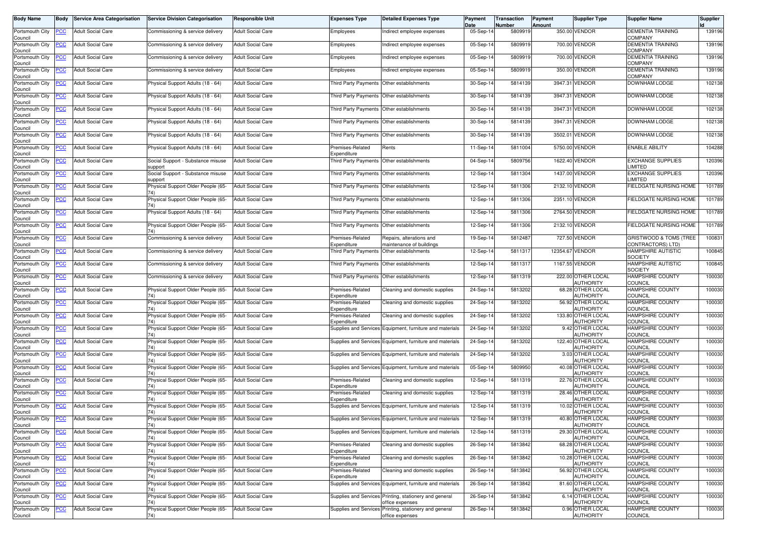| <b>Body Name</b>               | Body        | <b>Service Area Categorisation</b> | <b>Service Division Categorisation</b>                      | <b>Responsible Unit</b>  | <b>Expenses Type</b>                      | <b>Detailed Expenses Type</b>                                             | Payment<br>Date | Transaction<br>Number | Payment<br><b>Amount</b> | <b>Supplier Type</b>                  | <b>Supplier Name</b>                        | <b>Supplier</b> |
|--------------------------------|-------------|------------------------------------|-------------------------------------------------------------|--------------------------|-------------------------------------------|---------------------------------------------------------------------------|-----------------|-----------------------|--------------------------|---------------------------------------|---------------------------------------------|-----------------|
| Portsmouth City<br>Council     | <b>PCC</b>  | <b>Adult Social Care</b>           | Commissioning & service delivery                            | <b>Adult Social Care</b> | Employees                                 | Indirect employee expenses                                                | 05-Sep-14       | 5809919               |                          | 350.00 VENDOR                         | <b>DEMENTIA TRAINING</b><br><b>COMPANY</b>  | 139196          |
| Portsmouth City<br>Council     | <b>PCC</b>  | <b>Adult Social Care</b>           | Commissioning & service delivery                            | Adult Social Care        | Employees                                 | Indirect employee expenses                                                | 05-Sep-14       | 5809919               |                          | 700.00 VENDOR                         | <b>DEMENTIA TRAINING</b><br><b>COMPANY</b>  | 139196          |
| Portsmouth City<br>Council     | <b>PCC</b>  | <b>Adult Social Care</b>           | Commissioning & service delivery                            | <b>Adult Social Care</b> | Employees                                 | Indirect employee expenses                                                | 05-Sep-14       | 5809919               |                          | 700.00 VENDOR                         | <b>DEMENTIA TRAINING</b><br>COMPANY         | 139196          |
| Portsmouth City<br>Council     | <u>PCC</u>  | <b>Adult Social Care</b>           | Commissioning & service delivery                            | <b>Adult Social Care</b> | Employees                                 | Indirect employee expenses                                                | 05-Sep-14       | 5809919               |                          | 350.00 VENDOR                         | <b>DEMENTIA TRAINING</b><br><b>COMPANY</b>  | 139196          |
| Portsmouth City<br>Council     | <b>PCC</b>  | <b>Adult Social Care</b>           | Physical Support Adults (18 - 64)                           | <b>Adult Social Care</b> | Third Party Payments Other establishments |                                                                           | 30-Sep-14       | 5814139               |                          | 3947.31 VENDOR                        | DOWNHAM LODGE                               | 102138          |
| Portsmouth City<br>Council     | <b>PCC</b>  | <b>Adult Social Care</b>           | Physical Support Adults (18 - 64)                           | <b>Adult Social Care</b> | Third Party Payments Other establishments |                                                                           | 30-Sep-14       | 5814139               |                          | 3947.31 VENDOR                        | DOWNHAM LODGE                               | 102138          |
| Portsmouth City<br>Council     | <u>PCC</u>  | <b>Adult Social Care</b>           | Physical Support Adults (18 - 64)                           | <b>Adult Social Care</b> |                                           | Third Party Payments Other establishments                                 | 30-Sep-14       | 5814139               |                          | 3947.31 VENDOR                        | DOWNHAM LODGE                               | 102138          |
| Portsmouth City<br>Council     | <u>PCC</u>  | <b>Adult Social Care</b>           | Physical Support Adults (18 - 64)                           | <b>Adult Social Care</b> | Third Party Payments Other establishments |                                                                           | 30-Sep-14       | 5814139               |                          | 3947.31 VENDOR                        | <b>DOWNHAM LODGE</b>                        | 102138          |
| Portsmouth City<br>Council     | <b>PCC</b>  | <b>Adult Social Care</b>           | Physical Support Adults (18 - 64)                           | <b>Adult Social Care</b> | Third Party Payments Other establishments |                                                                           | 30-Sep-14       | 5814139               |                          | 3502.01 VENDOR                        | DOWNHAM LODGE                               | 102138          |
| Portsmouth City<br>Council     | <u>PCC</u>  | <b>Adult Social Care</b>           | Physical Support Adults (18 - 64)                           | Adult Social Care        | Premises-Related<br>Expenditure           | Rents                                                                     | 11-Sep-14       | 5811004               |                          | 5750.00 VENDOR                        | <b>ENABLE ABILITY</b>                       | 104288          |
| Portsmouth City<br>Council     | <b>PCC</b>  | <b>Adult Social Care</b>           | Social Support - Substance misuse<br>support                | <b>Adult Social Care</b> | Third Party Payments Other establishments |                                                                           | 04-Sep-14       | 5809756               |                          | 1622.40 VENDOR                        | <b>EXCHANGE SUPPLIES</b><br><b>IMITED</b>   | 120396          |
| Portsmouth City<br>Council     | <b>PCC</b>  | <b>Adult Social Care</b>           | Social Support - Substance misuse<br>support                | <b>Adult Social Care</b> |                                           | Third Party Payments Other establishments                                 | 12-Sep-14       | 5811304               |                          | 1437.00 VENDOR                        | <b>EXCHANGE SUPPLIES</b><br><b>IMITED</b>   | 120396          |
| Portsmouth City<br>Council     | <u>PCC</u>  | <b>Adult Social Care</b>           | Physical Support Older People (65-<br>74)                   | <b>Adult Social Care</b> |                                           | Third Party Payments Other establishments                                 | 12-Sep-14       | 5811306               |                          | 2132.10 VENDOR                        | FIELDGATE NURSING HOME                      | 101789          |
| Portsmouth City<br>Council     | <b>PCC</b>  | <b>Adult Social Care</b>           | Physical Support Older People (65-<br>74)                   | <b>Adult Social Care</b> | Third Party Payments Other establishments |                                                                           | 12-Sep-14       | 5811306               |                          | 2351.10 VENDOR                        | FIELDGATE NURSING HOME                      | 101789          |
| Portsmouth City<br>Council     | <u>PCC</u>  | <b>Adult Social Care</b>           | Physical Support Adults (18 - 64)                           | <b>Adult Social Care</b> |                                           | Third Party Payments Other establishments                                 | 12-Sep-14       | 5811306               |                          | 2764.50 VENDOR                        | FIELDGATE NURSING HOME                      | 101789          |
| Portsmouth City<br>Council     | <b>PCC</b>  | <b>Adult Social Care</b>           | Physical Support Older People (65-                          | Adult Social Care        | Third Party Payments Other establishments |                                                                           | 12-Sep-14       | 5811306               |                          | 2132.10 VENDOR                        | FIELDGATE NURSING HOME                      | 101789          |
| Portsmouth City<br>Council     | <u>PCC</u>  | <b>Adult Social Care</b>           | Commissioning & service delivery                            | Adult Social Care        | Premises-Related<br>Expenditure           | Repairs, alterations and<br>maintenance of buildings                      | 19-Sep-14       | 5812487               |                          | 727.50 VENDOR                         | GRISTWOOD & TOMS (TREE<br>CONTRACTORS) LTD) | 100831          |
| Portsmouth City<br>Council     | <b>PCC</b>  | <b>Adult Social Care</b>           | Commissioning & service delivery                            | Adult Social Care        | Third Party Payments Other establishments |                                                                           | 12-Sep-14       | 5811317               |                          | 12354.67 VENDOR                       | <b>HAMPSHIRE AUTISTIC</b><br><b>SOCIETY</b> | 100845          |
| Portsmouth City<br>Council     | <u>PCC</u>  | <b>Adult Social Care</b>           | Commissioning & service delivery                            | <b>Adult Social Care</b> | Third Party Payments Other establishments |                                                                           | 12-Sep-14       | 5811317               |                          | 1167.55 VENDOR                        | HAMPSHIRE AUTISTIC<br><b>SOCIETY</b>        | 100845          |
| Portsmouth City<br>Council     | PCC         | <b>Adult Social Care</b>           | Commissioning & service delivery                            | Adult Social Care        | Third Party Payments                      | Other establishments                                                      | 12-Sep-14       | 5811319               |                          | 222.00 OTHER LOCAL<br>AUTHORITY       | <b>HAMPSHIRE COUNTY</b><br><b>COUNCIL</b>   | 100030          |
| Portsmouth City<br>Council     | <u>PCC</u>  | <b>Adult Social Care</b>           | Physical Support Older People (65-<br>74)                   | <b>Adult Social Care</b> | Premises-Related<br>Expenditure           | Cleaning and domestic supplies                                            | 24-Sep-14       | 5813202               |                          | 68.28 OTHER LOCAL<br>AUTHORITY        | HAMPSHIRE COUNTY<br><b>COUNCIL</b>          | 100030          |
| Portsmouth City<br>Council     | <b>PCC</b>  | <b>Adult Social Care</b>           | Physical Support Older People (65-<br>74)                   | <b>Adult Social Care</b> | Premises-Related<br>Expenditure           | Cleaning and domestic supplies                                            | 24-Sep-14       | 5813202               |                          | 56.92 OTHER LOCAL<br>AUTHORITY        | <b>HAMPSHIRE COUNTY</b><br>COUNCIL          | 100030          |
| Portsmouth City<br>Council     | <u>PCC</u>  | <b>Adult Social Care</b>           | Physical Support Older People (65-<br>74)                   | <b>Adult Social Care</b> | Premises-Related<br>Expenditure           | Cleaning and domestic supplies                                            | 24-Sep-14       | 5813202               |                          | 133.80 OTHER LOCAL<br>AUTHORITY       | <b>HAMPSHIRE COUNTY</b><br>COUNCIL          | 100030          |
| Portsmouth City<br>Council     | <b>PCC</b>  | <b>Adult Social Care</b>           | Physical Support Older People (65-<br>74)                   | Adult Social Care        |                                           | Supplies and Services Equipment, furniture and materials                  | 24-Sep-14       | 5813202               |                          | 9.42 OTHER LOCAL<br><b>AUTHORITY</b>  | <b>HAMPSHIRE COUNTY</b><br><b>COUNCIL</b>   | 100030          |
| Portsmouth City<br>Council     | PCC         | <b>Adult Social Care</b>           | Physical Support Older People (65-                          | <b>Adult Social Care</b> |                                           | Supplies and Services Equipment, furniture and materials                  | 24-Sep-14       | 5813202               |                          | 122.40 OTHER LOCAL<br>AUTHORITY       | HAMPSHIRE COUNTY<br><b>COUNCIL</b>          | 100030          |
| Portsmouth City<br>Council     | <b>PCC</b>  | <b>Adult Social Care</b>           | Physical Support Older People (65-<br>74)                   | <b>Adult Social Care</b> |                                           | Supplies and Services Equipment, furniture and materials                  | 24-Sep-14       | 5813202               |                          | 3.03 OTHER LOCAL<br><b>NUTHORITY</b>  | <b>HAMPSHIRE COUNTY</b><br>COUNCIL          | 100030          |
| Portsmouth City<br>Council     | <b>PCC</b>  | <b>Adult Social Care</b>           | Physical Support Older People (65-<br>74)                   | <b>Adult Social Care</b> |                                           | Supplies and Services Equipment, furniture and materials                  | 05-Sep-14       | 5809950               |                          | 40.08 OTHER LOCAL<br>AUTHORITY        | HAMPSHIRE COUNTY<br>COUNCIL                 | 100030          |
| Portsmouth City<br>Council     | <u>PCC</u>  | <b>Adult Social Care</b>           | Physical Support Older People (65-                          | Adult Social Care        | Premises-Related<br>Expenditure           | Cleaning and domestic supplies                                            | 12-Sep-14       | 5811319               |                          | 22.76 OTHER LOCAL<br>AUTHORITY        | <b>HAMPSHIRE COUNTY</b><br><b>COUNCIL</b>   | 100030          |
| Portsmouth City<br>Council     | <u>PCC</u>  | <b>Adult Social Care</b>           | Physical Support Older People (65-                          | Adult Social Care        | Premises-Related<br>Expenditure           | Cleaning and domestic supplies                                            | 12-Sep-14       | 5811319               |                          | 28.46 OTHER LOCAL<br>AUTHORITY        | HAMPSHIRE COUNTY<br><b>COUNCIL</b>          | 100030          |
| Portsmouth City<br>Council     | <b>PCC</b>  | <b>Adult Social Care</b>           | Physical Support Older People (65-<br>74)                   | <b>Adult Social Care</b> |                                           | Supplies and Services Equipment, furniture and materials                  | 12-Sep-14       | 5811319               |                          | 10.02 OTHER LOCAL<br>AUTHORITY        | <b>HAMPSHIRE COUNTY</b><br><b>COUNCIL</b>   | 100030          |
| Portsmouth City PCC<br>Council |             | <b>Adult Social Care</b>           | Physical Support Older People (65- Adult Social Care<br>74) |                          |                                           | Supplies and Services Equipment, furniture and materials                  | 12-Sep-14       | 5811319               |                          | 40.80 OTHER LOCAL<br><b>AUTHORITY</b> | HAMPSHIRE COUNTY<br><b>COUNCIL</b>          | 100030          |
| Portsmouth City<br>Council     | <u>PCC</u>  | <b>Adult Social Care</b>           | Physical Support Older People (65-<br>74                    | Adult Social Care        |                                           | Supplies and Services Equipment, furniture and materials                  | 12-Sep-14       | 5811319               |                          | 29.30 OTHER LOCAL<br><b>AUTHORITY</b> | <b>HAMPSHIRE COUNTY</b><br>COUNCIL          | 100030          |
| Portsmouth City<br>Council     | PCC         | <b>Adult Social Care</b>           | Physical Support Older People (65-<br>74)                   | Adult Social Care        | Premises-Related<br>Expenditure           | Cleaning and domestic supplies                                            | 26-Sep-14       | 5813842               |                          | 68.28 OTHER LOCAL<br><b>AUTHORITY</b> | HAMPSHIRE COUNTY<br><b>COUNCIL</b>          | 100030          |
| Portsmouth City<br>Council     | <b>PCC</b>  | <b>Adult Social Care</b>           | Physical Support Older People (65-<br>74)                   | Adult Social Care        | Premises-Related<br>Expenditure           | Cleaning and domestic supplies                                            | 26-Sep-14       | 5813842               |                          | 10.28 OTHER LOCAL<br><b>AUTHORITY</b> | <b>HAMPSHIRE COUNTY</b><br><b>COUNCIL</b>   | 100030          |
| Portsmouth City<br>Council     | <b>PCC</b>  | <b>Adult Social Care</b>           | Physical Support Older People (65-<br>74)                   | <b>Adult Social Care</b> | Premises-Related<br>Expenditure           | Cleaning and domestic supplies                                            | 26-Sep-14       | 5813842               |                          | 56.92 OTHER LOCAL<br>AUTHORITY        | <b>HAMPSHIRE COUNTY</b><br>COUNCIL          | 100030          |
| Portsmouth City<br>Council     | <u>PCC </u> | <b>Adult Social Care</b>           | Physical Support Older People (65-<br>74)                   | Adult Social Care        |                                           | Supplies and Services Equipment, furniture and materials                  | 26-Sep-14       | 5813842               |                          | 81.60 OTHER LOCAL<br><b>AUTHORITY</b> | <b>HAMPSHIRE COUNTY</b><br><b>COUNCIL</b>   | 100030          |
| Portsmouth City<br>Council     | <u>PCC</u>  | <b>Adult Social Care</b>           | Physical Support Older People (65-<br>74)                   | <b>Adult Social Care</b> |                                           | Supplies and Services Printing, stationery and general<br>office expenses | 26-Sep-14       | 5813842               |                          | 6.14 OTHER LOCAL<br><b>AUTHORITY</b>  | <b>HAMPSHIRE COUNTY</b><br><b>COUNCIL</b>   | 100030          |
| Portsmouth City<br>Council     | <b>PCC</b>  | <b>Adult Social Care</b>           | Physical Support Older People (65-<br>74)                   | Adult Social Care        |                                           | Supplies and Services Printing, stationery and general<br>office expenses | 26-Sep-14       | 5813842               |                          | 0.96 OTHER LOCAL<br><b>AUTHORITY</b>  | HAMPSHIRE COUNTY<br><b>COUNCIL</b>          | 100030          |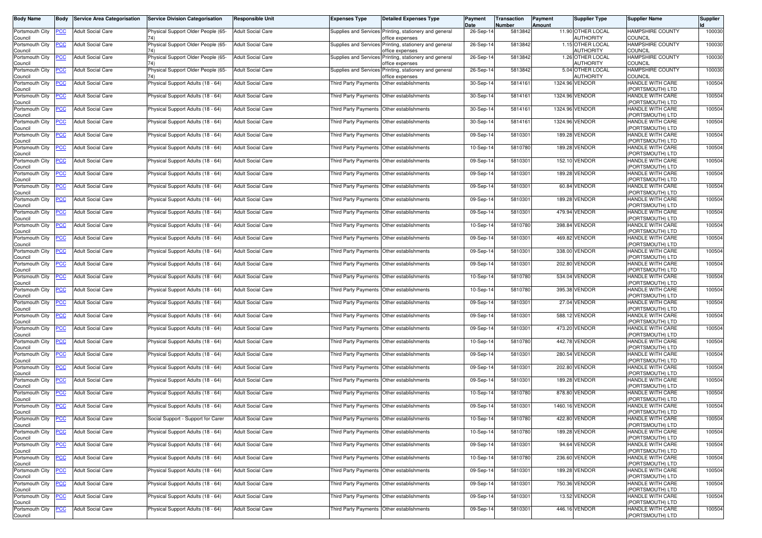| <b>Body Name</b>               | Body           | <b>Service Area Categorisation</b> | <b>Service Division Categorisation</b> | <b>Responsible Unit</b>  | <b>Expenses Type</b>                      | <b>Detailed Expenses Type</b>                                             | Payment<br>Date | Transaction<br>Number | Payment<br>Amount | <b>Supplier Type</b>                 | <b>Supplier Name</b>                        | <b>Supplier</b> |
|--------------------------------|----------------|------------------------------------|----------------------------------------|--------------------------|-------------------------------------------|---------------------------------------------------------------------------|-----------------|-----------------------|-------------------|--------------------------------------|---------------------------------------------|-----------------|
| Portsmouth City<br>Council     | <b>PCC</b>     | <b>Adult Social Care</b>           | Physical Support Older People (65-     | <b>Adult Social Care</b> |                                           | Supplies and Services Printing, stationery and general<br>office expenses | 26-Sep-14       | 5813842               |                   | 11.90 OTHER LOCAL<br>AUTHORITY       | HAMPSHIRE COUNTY<br><b>COUNCIL</b>          | 100030          |
| Portsmouth City<br>Council     | <b>PCC</b>     | <b>Adult Social Care</b>           | Physical Support Older People (65-     | <b>Adult Social Care</b> |                                           | Supplies and Services Printing, stationery and general<br>office expenses | 26-Sep-14       | 5813842               |                   | 1.15 OTHER LOCAL<br>AUTHORITY        | <b>HAMPSHIRE COUNTY</b><br>COUNCIL          | 100030          |
| Portsmouth City<br>Council     | <u>PCC</u>     | <b>Adult Social Care</b>           | Physical Support Older People (65-     | Adult Social Care        | Supplies and Services                     | Printing, stationery and general<br>office expenses                       | 26-Sep-14       | 5813842               |                   | 1.26 OTHER LOCAL<br>AUTHORITY        | HAMPSHIRE COUNTY<br><b>COUNCIL</b>          | 100030          |
| Portsmouth City<br>Council     | <b>PCC</b>     | <b>Adult Social Care</b>           | Physical Support Older People (65-     | <b>Adult Social Care</b> |                                           | Supplies and Services Printing, stationery and general<br>office expenses | 26-Sep-14       | 5813842               |                   | 5.04 OTHER LOCAL<br><b>AUTHORITY</b> | <b>HAMPSHIRE COUNTY</b><br><b>COUNCIL</b>   | 100030          |
| Portsmouth City<br>Council     | <u>PCC</u>     | <b>Adult Social Care</b>           | Physical Support Adults (18 - 64)      | Adult Social Care        |                                           | Third Party Payments Other establishments                                 | 30-Sep-14       | 5814161               |                   | 1324.96 VENDOR                       | HANDLE WITH CARE<br>(PORTSMOUTH) LTD        | 100504          |
| Portsmouth City<br>Council     | <b>PCC</b>     | <b>Adult Social Care</b>           | Physical Support Adults (18 - 64)      | <b>Adult Social Care</b> | Third Party Payments Other establishments |                                                                           | 30-Sep-14       | 5814161               |                   | 1324.96 VENDOR                       | HANDLE WITH CARE<br>(PORTSMOUTH) LTD        | 100504          |
| Portsmouth City<br>Council     | <b>PCC</b>     | <b>Adult Social Care</b>           | Physical Support Adults (18 - 64)      | <b>Adult Social Care</b> | Third Party Payments                      | Other establishments                                                      | 30-Sep-14       | 5814161               |                   | 1324.96 VENDOR                       | HANDLE WITH CARE<br>(PORTSMOUTH) LTD        | 100504          |
| Portsmouth City<br>Council     | <b>PCC</b>     | <b>Adult Social Care</b>           | Physical Support Adults (18 - 64)      | <b>Adult Social Care</b> | Third Party Payments Other establishments |                                                                           | 30-Sep-14       | 5814161               |                   | 1324.96 VENDOR                       | HANDLE WITH CARE<br>(PORTSMOUTH) LTD        | 100504          |
| Portsmouth City<br>Council     | PСC            | <b>Adult Social Care</b>           | Physical Support Adults (18 - 64)      | Adult Social Care        | Third Party Payments Other establishments |                                                                           | 09-Sep-14       | 5810301               |                   | 189.28 VENDOR                        | HANDLE WITH CARE<br>(PORTSMOUTH) LTD        | 100504          |
| Portsmouth City<br>Council     | <b>PCC</b>     | <b>Adult Social Care</b>           | Physical Support Adults (18 - 64)      | <b>Adult Social Care</b> |                                           | Third Party Payments Other establishments                                 | 10-Sep-14       | 5810780               |                   | 189.28 VENDOR                        | HANDLE WITH CARE<br>(PORTSMOUTH) LTD        | 100504          |
| Portsmouth City<br>Council     | <u>PCC</u>     | <b>Adult Social Care</b>           | Physical Support Adults (18 - 64)      | <b>Adult Social Care</b> | Third Party Payments Other establishments |                                                                           | 09-Sep-14       | 581030                |                   | 152.10 VENDOR                        | HANDLE WITH CARE<br>(PORTSMOUTH) LTD        | 100504          |
| Portsmouth City<br>Council     | <b>PCC</b>     | <b>Adult Social Care</b>           | Physical Support Adults (18 - 64)      | <b>Adult Social Care</b> |                                           | Third Party Payments Other establishments                                 | 09-Sep-14       | 5810301               |                   | 189.28 VENDOR                        | HANDLE WITH CARE<br>(PORTSMOUTH) LTD        | 100504          |
| Portsmouth City<br>Council     | <u>PCC</u>     | <b>Adult Social Care</b>           | Physical Support Adults (18 - 64)      | Adult Social Care        |                                           | Third Party Payments Other establishments                                 | 09-Sep-14       | 5810301               |                   | 60.84 VENDOR                         | HANDLE WITH CARE<br>(PORTSMOUTH) LTD        | 100504          |
| Portsmouth City<br>Council     | <u>PCC</u>     | <b>Adult Social Care</b>           | Physical Support Adults (18 - 64)      | <b>Adult Social Care</b> | Third Party Payments Other establishments |                                                                           | 09-Sep-14       | 5810301               |                   | 189.28 VENDOR                        | HANDLE WITH CARE<br>(PORTSMOUTH) LTD        | 100504          |
| Portsmouth City<br>Council     | <u>PCC</u>     | <b>Adult Social Care</b>           | Physical Support Adults (18 - 64)      | Adult Social Care        |                                           | Third Party Payments Other establishments                                 | 09-Sep-14       | 581030                |                   | 479.94 VENDOR                        | HANDLE WITH CARE<br>(PORTSMOUTH) LTD        | 100504          |
| Portsmouth City<br>Council     | <b>PCC</b>     | <b>Adult Social Care</b>           | Physical Support Adults (18 - 64)      | <b>Adult Social Care</b> | Third Party Payments Other establishments |                                                                           | 10-Sep-14       | 5810780               |                   | 398.84 VENDOR                        | <b>HANDLE WITH CARE</b><br>(PORTSMOUTH) LTD | 100504          |
| Portsmouth City<br>Council     | <u>PCC</u>     | <b>Adult Social Care</b>           | Physical Support Adults (18 - 64)      | <b>Adult Social Care</b> |                                           | Third Party Payments   Other establishments                               | 09-Sep-14       | 5810301               |                   | 469.82 VENDOR                        | HANDLE WITH CARE<br>(PORTSMOUTH) LTD        | 100504          |
| Portsmouth City<br>Council     | <u>PCC </u>    | <b>Adult Social Care</b>           | Physical Support Adults (18 - 64)      | Adult Social Care        | Third Party Payments Other establishments |                                                                           | 09-Sep-14       | 5810301               |                   | 338.00 VENDOR                        | HANDLE WITH CARE<br>(PORTSMOUTH) LTD        | 100504          |
| Portsmouth City<br>Council     | <u>PCC</u>     | <b>Adult Social Care</b>           | Physical Support Adults (18 - 64)      | <b>Adult Social Care</b> | Third Party Payments Other establishments |                                                                           | 09-Sep-14       | 5810301               |                   | 202.80 VENDOR                        | HANDLE WITH CARE<br>(PORTSMOUTH) LTD        | 100504          |
| Portsmouth City<br>Council     | <b>PCC</b>     | <b>Adult Social Care</b>           | Physical Support Adults (18 - 64)      | <b>Adult Social Care</b> | Third Party Payments Other establishments |                                                                           | 10-Sep-14       | 5810780               |                   | 534.04 VENDOR                        | HANDLE WITH CARE<br>(PORTSMOUTH) LTD        | 100504          |
| Portsmouth City<br>Council     | <u>PCC </u>    | <b>Adult Social Care</b>           | Physical Support Adults (18 - 64)      | <b>Adult Social Care</b> |                                           | Third Party Payments   Other establishments                               | 10-Sep-14       | 5810780               |                   | 395.38 VENDOR                        | HANDLE WITH CARE<br>(PORTSMOUTH) LTD        | 100504          |
| Portsmouth City<br>Council     | PCC            | <b>Adult Social Care</b>           | Physical Support Adults (18 - 64)      | Adult Social Care        | Third Party Payments Other establishments |                                                                           | 09-Sep-14       | 5810301               |                   | 27.04 VENDOR                         | HANDLE WITH CARE<br>(PORTSMOUTH) LTD        | 100504          |
| Portsmouth City<br>Council     | <b>PCC</b>     | <b>Adult Social Care</b>           | Physical Support Adults (18 - 64)      | <b>Adult Social Care</b> | Third Party Payments Other establishments |                                                                           | 09-Sep-14       | 5810301               |                   | 588.12 VENDOR                        | HANDLE WITH CARE<br>(PORTSMOUTH) LTD        | 100504          |
| Portsmouth City<br>Council     | <u>PCC</u>     | <b>Adult Social Care</b>           | Physical Support Adults (18 - 64)      | <b>Adult Social Care</b> | Third Party Payments Other establishments |                                                                           | 09-Sep-14       | 5810301               |                   | 473.20 VENDOR                        | HANDLE WITH CARE<br>(PORTSMOUTH) LTD        | 100504          |
| Portsmouth City<br>Council     | PCC            | <b>Adult Social Care</b>           | Physical Support Adults (18 - 64)      | <b>Adult Social Care</b> |                                           | Third Party Payments   Other establishments                               | 10-Sep-14       | 5810780               |                   | 442.78 VENDOR                        | HANDLE WITH CARE<br>(PORTSMOUTH) LTD        | 100504          |
| Portsmouth City<br>Council     | <u>PCC </u>    | <b>Adult Social Care</b>           | Physical Support Adults (18 - 64)      | Adult Social Care        |                                           | Third Party Payments Other establishments                                 | 09-Sep-14       | 5810301               |                   | 280.54 VENDOR                        | HANDLE WITH CARE<br>(PORTSMOUTH) LTD        | 100504          |
| Portsmouth City<br>Council     | <b>PCC</b>     | <b>Adult Social Care</b>           | Physical Support Adults (18 - 64)      | <b>Adult Social Care</b> | Third Party Payments Other establishments |                                                                           | 09-Sep-14       | 5810301               |                   | 202.80 VENDOR                        | HANDLE WITH CARE<br>(PORTSMOUTH) LTD        | 100504          |
| Portsmouth City<br>Council     | <b>PCC</b>     | <b>Adult Social Care</b>           | Physical Support Adults (18 - 64)      | Adult Social Care        | Third Party Payments                      | Other establishments                                                      | 09-Sep-14       | 5810301               |                   | 189.28 VENDOR                        | HANDLE WITH CARE<br>(PORTSMOUTH) LTD        | 100504          |
| Portsmouth City<br>Council     | <b>PCC</b>     | <b>Adult Social Care</b>           | Physical Support Adults (18 - 64)      | <b>Adult Social Care</b> | Third Party Payments Other establishments |                                                                           | 10-Sep-14       | 5810780               |                   | 878.80 VENDOR                        | HANDLE WITH CARE<br>(PORTSMOUTH) LTD        | 100504          |
| Portsmouth City<br>Council     | <b>PCC</b>     | <b>Adult Social Care</b>           | Physical Support Adults (18 - 64)      | <b>Adult Social Care</b> | Third Party Payments Other establishments |                                                                           | 09-Sep-14       | 5810301               |                   | 1460.16 VENDOR                       | HANDLE WITH CARE<br>(PORTSMOUTH) LTD        | 100504          |
| Portsmouth City PCC<br>Council |                | Adult Social Care                  | Social Support - Support for Carer     | <b>Adult Social Care</b> | Third Party Payments Other establishments |                                                                           | 10-Sep-14       | 5810780               |                   | 422.80 VENDOR                        | HANDLE WITH CARE<br>(PORTSMOUTH) LTD        | 100504          |
| Portsmouth City<br>Council     | <u>PCC</u>     | <b>Adult Social Care</b>           | Physical Support Adults (18 - 64)      | <b>Adult Social Care</b> | Third Party Payments Other establishments |                                                                           | 10-Sep-14       | 5810780               |                   | 189.28 VENDOR                        | HANDLE WITH CARE<br>(PORTSMOUTH) LTD        | 100504          |
| Portsmouth City<br>Council     | <b>PCC</b>     | <b>Adult Social Care</b>           | Physical Support Adults (18 - 64)      | Adult Social Care        | Third Party Payments Other establishments |                                                                           | 09-Sep-14       | 5810301               |                   | 94.64 VENDOR                         | <b>HANDLE WITH CARE</b><br>(PORTSMOUTH) LTD | 100504          |
| Portsmouth City<br>Council     | <u>PCC</u>     | <b>Adult Social Care</b>           | Physical Support Adults (18 - 64)      | <b>Adult Social Care</b> | Third Party Payments Other establishments |                                                                           | 10-Sep-14       | 5810780               |                   | 236.60 VENDOR                        | HANDLE WITH CARE<br>(PORTSMOUTH) LTD        | 100504          |
| Portsmouth City<br>Council     | <b>PCC</b>     | <b>Adult Social Care</b>           | Physical Support Adults (18 - 64)      | <b>Adult Social Care</b> | Third Party Payments Other establishments |                                                                           | 09-Sep-14       | 5810301               |                   | 189.28 VENDOR                        | HANDLE WITH CARE<br>(PORTSMOUTH) LTD        | 100504          |
| Portsmouth City<br>Council     | <b>PCC</b>     | <b>Adult Social Care</b>           | Physical Support Adults (18 - 64)      | Adult Social Care        | Third Party Payments Other establishments |                                                                           | 09-Sep-14       | 5810301               |                   | 750.36 VENDOR                        | HANDLE WITH CARE<br>(PORTSMOUTH) LTD        | 100504          |
| Portsmouth City<br>Council     | <b>PCC</b>     | <b>Adult Social Care</b>           | Physical Support Adults (18 - 64)      | <b>Adult Social Care</b> | Third Party Payments Other establishments |                                                                           | 09-Sep-14       | 5810301               |                   | 13.52 VENDOR                         | HANDLE WITH CARE<br>(PORTSMOUTH) LTD        | 100504          |
| Portsmouth City<br>Council     | $\overline{C}$ | <b>Adult Social Care</b>           | Physical Support Adults (18 - 64)      | Adult Social Care        | Third Party Payments Other establishments |                                                                           | 09-Sep-14       | 5810301               |                   | 446.16 VENDOR                        | HANDLE WITH CARE<br>(PORTSMOUTH) LTD        | 100504          |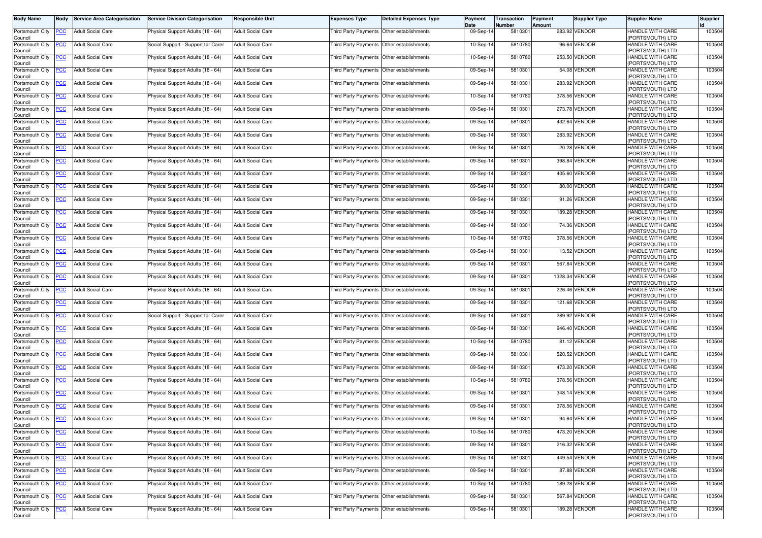| <b>Body Name</b>                      | Body           | <b>Service Area Categorisation</b> | <b>Service Division Categorisation</b> | <b>Responsible Unit</b>  | <b>Expenses Type</b>                      | <b>Detailed Expenses Type</b>               | Payment<br>Date | Transaction<br>Number | Payment<br>Amount | <b>Supplier Type</b> | <b>Supplier Name</b>                                     | <b>Supplier</b> |
|---------------------------------------|----------------|------------------------------------|----------------------------------------|--------------------------|-------------------------------------------|---------------------------------------------|-----------------|-----------------------|-------------------|----------------------|----------------------------------------------------------|-----------------|
| Portsmouth City<br>Council            | <b>PCC</b>     | <b>Adult Social Care</b>           | Physical Support Adults (18 - 64)      | <b>Adult Social Care</b> |                                           | Third Party Payments Other establishments   | 09-Sep-14       | 5810301               |                   | 283.92 VENDOR        | HANDLE WITH CARE<br>(PORTSMOUTH) LTD                     | 100504          |
| Portsmouth City<br>Council            | <b>PCC</b>     | <b>Adult Social Care</b>           | Social Support - Support for Carer     | Adult Social Care        |                                           | Third Party Payments Other establishments   | 10-Sep-14       | 5810780               |                   | 96.64 VENDOR         | HANDLE WITH CARE<br>(PORTSMOUTH) LTD                     | 100504          |
| Portsmouth City                       | <u>PCC</u>     | <b>Adult Social Care</b>           | Physical Support Adults (18 - 64)      | <b>Adult Social Care</b> |                                           | Third Party Payments Other establishments   | 10-Sep-14       | 5810780               |                   | 253.50 VENDOR        | HANDLE WITH CARE                                         | 100504          |
| Council<br>Portsmouth City<br>Council | <u>PCC</u>     | <b>Adult Social Care</b>           | Physical Support Adults (18 - 64)      | <b>Adult Social Care</b> |                                           | Third Party Payments Other establishments   | 09-Sep-14       | 5810301               |                   | 54.08 VENDOR         | (PORTSMOUTH) LTD<br>HANDLE WITH CARE<br>(PORTSMOUTH) LTD | 100504          |
| Portsmouth City                       | <u>PCC</u>     | <b>Adult Social Care</b>           | Physical Support Adults (18 - 64)      | <b>Adult Social Care</b> |                                           | Third Party Payments Other establishments   | 09-Sep-14       | 5810301               |                   | 283.92 VENDOR        | HANDLE WITH CARE<br>(PORTSMOUTH) LTD                     | 100504          |
| Council<br>Portsmouth City            | <b>PCC</b>     | <b>Adult Social Care</b>           | Physical Support Adults (18 - 64)      | <b>Adult Social Care</b> |                                           | Third Party Payments   Other establishments | 10-Sep-14       | 5810780               |                   | 378.56 VENDOR        | HANDLE WITH CARE<br>(PORTSMOUTH) LTD                     | 100504          |
| Council<br>Portsmouth City<br>Council | <u>PCC</u>     | <b>Adult Social Care</b>           | Physical Support Adults (18 - 64)      | <b>Adult Social Care</b> |                                           | Third Party Payments Other establishments   | 09-Sep-14       | 5810301               |                   | 273.78 VENDOR        | <b>HANDLE WITH CARE</b><br>(PORTSMOUTH) LTD              | 100504          |
| Portsmouth City<br>Council            | <u>PCC</u>     | <b>Adult Social Care</b>           | Physical Support Adults (18 - 64)      | <b>Adult Social Care</b> |                                           | Third Party Payments Other establishments   | 09-Sep-14       | 5810301               |                   | 432.64 VENDOR        | HANDLE WITH CARE<br>(PORTSMOUTH) LTD                     | 100504          |
| Portsmouth City<br>Council            | <b>PCC</b>     | <b>Adult Social Care</b>           | Physical Support Adults (18 - 64)      | <b>Adult Social Care</b> | Third Party Payments Other establishments |                                             | 09-Sep-14       | 5810301               |                   | 283.92 VENDOR        | HANDLE WITH CARE<br>(PORTSMOUTH) LTD                     | 100504          |
| Portsmouth City<br>Council            | <u>PCC</u>     | <b>Adult Social Care</b>           | Physical Support Adults (18 - 64)      | <b>Adult Social Care</b> |                                           | Third Party Payments   Other establishments | 09-Sep-14       | 581030                |                   | 20.28 VENDOR         | HANDLE WITH CARE<br>(PORTSMOUTH) LTD                     | 100504          |
| Portsmouth City<br>Council            | <b>PCC</b>     | <b>Adult Social Care</b>           | Physical Support Adults (18 - 64)      | <b>Adult Social Care</b> | Third Party Payments Other establishments |                                             | 09-Sep-14       | 5810301               |                   | 398.84 VENDOR        | <b>HANDLE WITH CARE</b><br>(PORTSMOUTH) LTD              | 100504          |
| Portsmouth City<br>Council            | <b>PCC</b>     | <b>Adult Social Care</b>           | Physical Support Adults (18 - 64)      | <b>Adult Social Care</b> |                                           | Third Party Payments Other establishments   | 09-Sep-14       | 5810301               |                   | 405.60 VENDOR        | HANDLE WITH CARE<br>(PORTSMOUTH) LTD                     | 100504          |
| Portsmouth City<br>Council            | <u>PCC</u>     | <b>Adult Social Care</b>           | Physical Support Adults (18 - 64)      | Adult Social Care        |                                           | Third Party Payments Other establishments   | 09-Sep-14       | 5810301               |                   | 80.00 VENDOR         | HANDLE WITH CARE<br>(PORTSMOUTH) LTD                     | 100504          |
| Portsmouth City<br>Council            | <b>PCC</b>     | <b>Adult Social Care</b>           | Physical Support Adults (18 - 64)      | <b>Adult Social Care</b> |                                           | Third Party Payments Other establishments   | 09-Sep-14       | 5810301               |                   | 91.26 VENDOR         | <b>HANDLE WITH CARE</b><br>(PORTSMOUTH) LTD              | 100504          |
| Portsmouth City<br>Council            | <u>PCC</u>     | <b>Adult Social Care</b>           | Physical Support Adults (18 - 64)      | <b>Adult Social Care</b> |                                           | Third Party Payments Other establishments   | 09-Sep-14       | 5810301               |                   | 189.28 VENDOR        | HANDLE WITH CARE<br>(PORTSMOUTH) LTD                     | 100504          |
| Portsmouth City<br>Council            | <u>PCC</u>     | <b>Adult Social Care</b>           | Physical Support Adults (18 - 64)      | Adult Social Care        |                                           | Third Party Payments Other establishments   | 09-Sep-14       | 5810301               |                   | 74.36 VENDOR         | HANDLE WITH CARE<br>(PORTSMOUTH) LTD                     | 100504          |
| Portsmouth City<br>Council            | <u>'CC</u>     | <b>Adult Social Care</b>           | Physical Support Adults (18 - 64)      | Adult Social Care        |                                           | Third Party Payments Other establishments   | 10-Sep-14       | 5810780               |                   | 378.56 VENDOR        | HANDLE WITH CARE<br>(PORTSMOUTH) LTD                     | 100504          |
| Portsmouth City<br>Council            | <b>PCC</b>     | <b>Adult Social Care</b>           | Physical Support Adults (18 - 64)      | <b>Adult Social Care</b> |                                           | Third Party Payments Other establishments   | 09-Sep-14       | 5810301               |                   | 13.52 VENDOR         | HANDLE WITH CARE<br>(PORTSMOUTH) LTD                     | 100504          |
| Portsmouth City<br>Council            | <u>PCC</u>     | <b>Adult Social Care</b>           | Physical Support Adults (18 - 64)      | <b>Adult Social Care</b> | Third Party Payments Other establishments |                                             | 09-Sep-14       | 5810301               |                   | 567.84 VENDOR        | HANDLE WITH CARE<br>(PORTSMOUTH) LTD                     | 100504          |
| Portsmouth City<br>Council            | <u>PCC </u>    | <b>Adult Social Care</b>           | Physical Support Adults (18 - 64)      | <b>Adult Social Care</b> |                                           | Third Party Payments Other establishments   | 09-Sep-14       | 5810301               |                   | 1328.34 VENDOR       | HANDLE WITH CARE<br>(PORTSMOUTH) LTD                     | 100504          |
| Portsmouth City<br>Council            | <u>PCC</u>     | <b>Adult Social Care</b>           | Physical Support Adults (18 - 64)      | Adult Social Care        |                                           | Third Party Payments Other establishments   | 09-Sep-14       | 5810301               |                   | 226.46 VENDOR        | HANDLE WITH CARE<br>(PORTSMOUTH) LTD                     | 100504          |
| Portsmouth City<br>Council            | <b>PCC</b>     | <b>Adult Social Care</b>           | Physical Support Adults (18 - 64)      | <b>Adult Social Care</b> | Third Party Payments Other establishments |                                             | 09-Sep-14       | 5810301               |                   | 121.68 VENDOR        | HANDLE WITH CARE<br>(PORTSMOUTH) LTD                     | 100504          |
| Portsmouth City<br>Council            | <u>PCC</u>     | <b>Adult Social Care</b>           | Social Support - Support for Carer     | <b>Adult Social Care</b> | Third Party Payments Other establishments |                                             | 09-Sep-14       | 5810301               |                   | 289.92 VENDOR        | HANDLE WITH CARE<br>(PORTSMOUTH) LTD                     | 100504          |
| Portsmouth City<br>Council            | <b>PCC</b>     | <b>Adult Social Care</b>           | Physical Support Adults (18 - 64)      | <b>Adult Social Care</b> |                                           | Third Party Payments Other establishments   | 09-Sep-14       | 5810301               |                   | 946.40 VENDOR        | <b>HANDLE WITH CARE</b><br>(PORTSMOUTH) LTD              | 100504          |
| Portsmouth City<br>Council            | PCC            | <b>Adult Social Care</b>           | Physical Support Adults (18 - 64)      | <b>Adult Social Care</b> |                                           | Third Party Payments Other establishments   | 10-Sep-14       | 5810780               |                   | 81.12 VENDOR         | HANDLE WITH CARE<br>(PORTSMOUTH) LTD                     | 100504          |
| Portsmouth City<br>Council            | <b>PCC</b>     | <b>Adult Social Care</b>           | Physical Support Adults (18 - 64)      | <b>Adult Social Care</b> |                                           | Third Party Payments Other establishments   | 09-Sep-14       | 5810301               |                   | 520.52 VENDOR        | HANDLE WITH CARE<br>(PORTSMOUTH) LTD                     | 100504          |
| Portsmouth City<br>Council            | <b>PCC</b>     | <b>Adult Social Care</b>           | Physical Support Adults (18 - 64)      | <b>Adult Social Care</b> | Third Party Payments Other establishments |                                             | 09-Sep-14       | 5810301               |                   | 473.20 VENDOR        | HANDLE WITH CARE<br>(PORTSMOUTH) LTD                     | 100504          |
| Portsmouth City<br>Council            | <u>PCC</u>     | <b>Adult Social Care</b>           | Physical Support Adults (18 - 64)      | Adult Social Care        | Third Party Payments Other establishments |                                             | 10-Sep-14       | 5810780               |                   | 378.56 VENDOR        | HANDLE WITH CARE<br>(PORTSMOUTH) LTD                     | 100504          |
| Portsmouth City<br>Council            | <u>PCC</u>     | <b>Adult Social Care</b>           | Physical Support Adults (18 - 64)      | <b>Adult Social Care</b> |                                           | Third Party Payments Other establishments   | 09-Sep-14       | 5810301               |                   | 348.14 VENDOR        | HANDLE WITH CARE<br>(PORTSMOUTH) LTD                     | 100504          |
| Portsmouth City<br>Council            | <b>PCC</b>     | <b>Adult Social Care</b>           | Physical Support Adults (18 - 64)      | <b>Adult Social Care</b> |                                           | Third Party Payments Other establishments   | 09-Sep-14       | 5810301               |                   | 378.56 VENDOR        | HANDLE WITH CARE<br>(PORTSMOUTH) LTD                     | 100504          |
| Portsmouth City<br>Council            | <b>PCC</b>     | <b>Adult Social Care</b>           | Physical Support Adults (18 - 64)      | <b>Adult Social Care</b> | Third Party Payments Other establishments |                                             | 09-Sep-14       | 5810301               |                   | 94.64 VENDOR         | <b>HANDLE WITH CARE</b><br>(PORTSMOUTH) LTD              | 100504          |
| Portsmouth City<br>Council            | <u>PCC</u>     | <b>Adult Social Care</b>           | Physical Support Adults (18 - 64)      | <b>Adult Social Care</b> | Third Party Payments Other establishments |                                             | 10-Sep-14       | 5810780               |                   | 473.20 VENDOR        | HANDLE WITH CARE<br>(PORTSMOUTH) LTD                     | 100504          |
| Portsmouth City<br>Council            | <b>PCC</b>     | <b>Adult Social Care</b>           | Physical Support Adults (18 - 64)      | <b>Adult Social Care</b> | Third Party Payments Other establishments |                                             | 09-Sep-14       | 5810301               |                   | 216.32 VENDOR        | HANDLE WITH CARE<br>(PORTSMOUTH) LTD                     | 100504          |
| Portsmouth City<br>Council            | <b>PCC</b>     | <b>Adult Social Care</b>           | Physical Support Adults (18 - 64)      | <b>Adult Social Care</b> |                                           | Third Party Payments Other establishments   | 09-Sep-14       | 5810301               |                   | 449.54 VENDOR        | HANDLE WITH CARE<br>(PORTSMOUTH) LTD                     | 100504          |
| Portsmouth City<br>Council            | <b>PCC</b>     | <b>Adult Social Care</b>           | Physical Support Adults (18 - 64)      | <b>Adult Social Care</b> | Third Party Payments Other establishments |                                             | 09-Sep-14       | 5810301               |                   | 87.88 VENDOR         | HANDLE WITH CARE<br>(PORTSMOUTH) LTD                     | 100504          |
| Portsmouth City<br>Council            | <u>PCC</u>     | <b>Adult Social Care</b>           | Physical Support Adults (18 - 64)      | Adult Social Care        |                                           | Third Party Payments Other establishments   | 10-Sep-14       | 5810780               |                   | 189.28 VENDOR        | HANDLE WITH CARE<br>(PORTSMOUTH) LTD                     | 100504          |
| Portsmouth City<br>Council            | <b>PCC</b>     | <b>Adult Social Care</b>           | Physical Support Adults (18 - 64)      | <b>Adult Social Care</b> |                                           | Third Party Payments Other establishments   | 09-Sep-14       | 5810301               |                   | 567.84 VENDOR        | HANDLE WITH CARE<br>(PORTSMOUTH) LTD                     | 100504          |
| Portsmouth City<br>Council            | $\overline{C}$ | <b>Adult Social Care</b>           | Physical Support Adults (18 - 64)      | Adult Social Care        | Third Party Payments Other establishments |                                             | 09-Sep-14       | 5810301               |                   | 189.28 VENDOR        | HANDLE WITH CARE<br>(PORTSMOUTH) LTD                     | 100504          |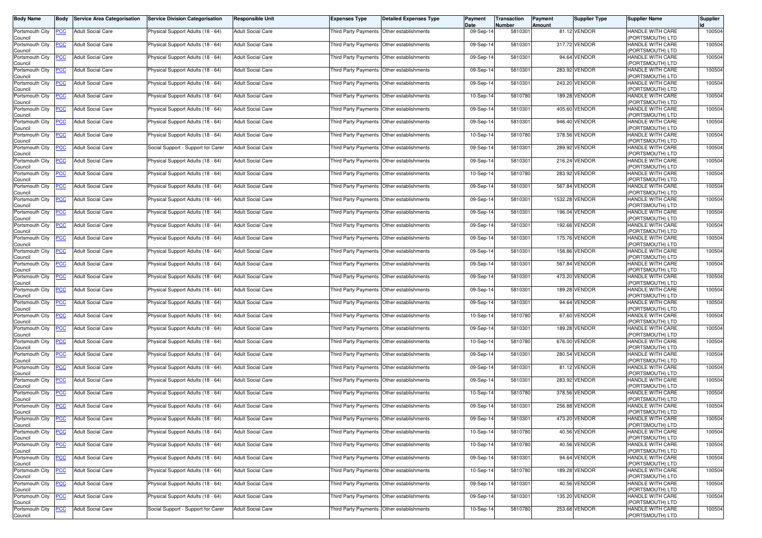| <b>Body Name</b>                      | Body           | <b>Service Area Categorisation</b> | <b>Service Division Categorisation</b> | <b>Responsible Unit</b>  | <b>Expenses Type</b>                        | <b>Detailed Expenses Type</b> | Payment<br>Date | Transaction<br>Number | Payment<br>Amount | <b>Supplier Type</b> | <b>Supplier Name</b>                                     | <b>Supplier</b> |
|---------------------------------------|----------------|------------------------------------|----------------------------------------|--------------------------|---------------------------------------------|-------------------------------|-----------------|-----------------------|-------------------|----------------------|----------------------------------------------------------|-----------------|
| Portsmouth City<br>Council            | <b>PCC</b>     | <b>Adult Social Care</b>           | Physical Support Adults (18 - 64)      | <b>Adult Social Care</b> | Third Party Payments Other establishments   |                               | 09-Sep-14       | 5810301               |                   | 81.12 VENDOR         | HANDLE WITH CARE<br>(PORTSMOUTH) LTD                     | 100504          |
| Portsmouth City<br>Council            | <b>PCC</b>     | <b>Adult Social Care</b>           | Physical Support Adults (18 - 64)      | <b>Adult Social Care</b> | Third Party Payments Other establishments   |                               | 09-Sep-14       | 5810301               |                   | 317.72 VENDOR        | HANDLE WITH CARE<br>(PORTSMOUTH) LTD                     | 100504          |
| Portsmouth City                       | <u>PCC</u>     | <b>Adult Social Care</b>           | Physical Support Adults (18 - 64)      | <b>Adult Social Care</b> | Third Party Payments Other establishments   |                               | 09-Sep-14       | 5810301               |                   | 94.64 VENDOR         | HANDLE WITH CARE                                         | 100504          |
| Council<br>Portsmouth City<br>Council | <u>PCC</u>     | <b>Adult Social Care</b>           | Physical Support Adults (18 - 64)      | <b>Adult Social Care</b> | Third Party Payments Other establishments   |                               | 09-Sep-14       | 5810301               |                   | 283.92 VENDOR        | (PORTSMOUTH) LTD<br>HANDLE WITH CARE<br>(PORTSMOUTH) LTD | 100504          |
| Portsmouth City<br>Council            | <u>PCC</u>     | <b>Adult Social Care</b>           | Physical Support Adults (18 - 64)      | <b>Adult Social Care</b> | Third Party Payments Other establishments   |                               | 09-Sep-14       | 5810301               |                   | 243.20 VENDOR        | HANDLE WITH CARE<br>(PORTSMOUTH) LTD                     | 100504          |
| Portsmouth City<br>Council            | <b>PCC</b>     | <b>Adult Social Care</b>           | Physical Support Adults (18 - 64)      | <b>Adult Social Care</b> | Third Party Payments   Other establishments |                               | 10-Sep-14       | 5810780               |                   | 189.28 VENDOR        | HANDLE WITH CARE<br>(PORTSMOUTH) LTD                     | 100504          |
| Portsmouth City<br>Council            | <u>PCC</u>     | <b>Adult Social Care</b>           | Physical Support Adults (18 - 64)      | <b>Adult Social Care</b> | Third Party Payments Other establishments   |                               | 09-Sep-14       | 5810301               |                   | 405.60 VENDOR        | <b>HANDLE WITH CARE</b><br>(PORTSMOUTH) LTD              | 100504          |
| Portsmouth City<br>Council            | <u>PCC</u>     | <b>Adult Social Care</b>           | Physical Support Adults (18 - 64)      | <b>Adult Social Care</b> | Third Party Payments Other establishments   |                               | 09-Sep-14       | 5810301               |                   | 946.40 VENDOR        | HANDLE WITH CARE<br>(PORTSMOUTH) LTD                     | 100504          |
| Portsmouth City<br>Council            | <b>PCC</b>     | <b>Adult Social Care</b>           | Physical Support Adults (18 - 64)      | <b>Adult Social Care</b> | Third Party Payments Other establishments   |                               | 10-Sep-14       | 5810780               |                   | 378.56 VENDOR        | HANDLE WITH CARE<br>(PORTSMOUTH) LTD                     | 100504          |
| Portsmouth City<br>Council            | <u>PCC</u>     | <b>Adult Social Care</b>           | Social Support - Support for Carer     | Adult Social Care        | Third Party Payments   Other establishments |                               | 09-Sep-14       | 5810301               |                   | 289.92 VENDOR        | HANDLE WITH CARE<br>(PORTSMOUTH) LTD                     | 100504          |
| Portsmouth City<br>Council            | <b>PCC</b>     | <b>Adult Social Care</b>           | Physical Support Adults (18 - 64)      | <b>Adult Social Care</b> | Third Party Payments Other establishments   |                               | 09-Sep-14       | 5810301               |                   | 216.24 VENDOR        | <b>HANDLE WITH CARE</b><br>(PORTSMOUTH) LTD              | 100504          |
| Portsmouth City<br>Council            | <b>PCC</b>     | <b>Adult Social Care</b>           | Physical Support Adults (18 - 64)      | <b>Adult Social Care</b> | Third Party Payments Other establishments   |                               | 10-Sep-14       | 5810780               |                   | 283.92 VENDOR        | HANDLE WITH CARE<br>(PORTSMOUTH) LTD                     | 100504          |
| Portsmouth City<br>Council            | <u>PCC</u>     | <b>Adult Social Care</b>           | Physical Support Adults (18 - 64)      | Adult Social Care        | Third Party Payments Other establishments   |                               | 09-Sep-14       | 5810301               |                   | 567.84 VENDOR        | HANDLE WITH CARE<br>(PORTSMOUTH) LTD                     | 100504          |
| Portsmouth City<br>Council            | <b>PCC</b>     | <b>Adult Social Care</b>           | Physical Support Adults (18 - 64)      | <b>Adult Social Care</b> | Third Party Payments Other establishments   |                               | 09-Sep-14       | 5810301               |                   | 1532.28 VENDOR       | <b>HANDLE WITH CARE</b><br>(PORTSMOUTH) LTD              | 100504          |
| Portsmouth City<br>Council            | <u>PCC</u>     | <b>Adult Social Care</b>           | Physical Support Adults (18 - 64)      | <b>Adult Social Care</b> | Third Party Payments Other establishments   |                               | 09-Sep-14       | 5810301               |                   | 196.04 VENDOR        | HANDLE WITH CARE<br>(PORTSMOUTH) LTD                     | 100504          |
| Portsmouth City<br>Council            | <u>PCC</u>     | <b>Adult Social Care</b>           | Physical Support Adults (18 - 64)      | <b>Adult Social Care</b> | Third Party Payments Other establishments   |                               | 09-Sep-14       | 5810301               |                   | 192.66 VENDOR        | HANDLE WITH CARE<br>(PORTSMOUTH) LTD                     | 100504          |
| Portsmouth City<br>Council            | <u>'CC</u>     | <b>Adult Social Care</b>           | Physical Support Adults (18 - 64)      | Adult Social Care        | Third Party Payments Other establishments   |                               | 09-Sep-14       | 5810301               |                   | 175.76 VENDOR        | HANDLE WITH CARE<br>(PORTSMOUTH) LTD                     | 100504          |
| Portsmouth City<br>Council            | <b>PCC</b>     | <b>Adult Social Care</b>           | Physical Support Adults (18 - 64)      | <b>Adult Social Care</b> | Third Party Payments Other establishments   |                               | 09-Sep-14       | 5810301               |                   | 158.86 VENDOR        | HANDLE WITH CARE<br>(PORTSMOUTH) LTD                     | 100504          |
| Portsmouth City<br>Council            | <u>PCC</u>     | <b>Adult Social Care</b>           | Physical Support Adults (18 - 64)      | <b>Adult Social Care</b> | Third Party Payments Other establishments   |                               | 09-Sep-14       | 5810301               |                   | 567.84 VENDOR        | HANDLE WITH CARE<br>(PORTSMOUTH) LTD                     | 100504          |
| Portsmouth City<br>Council            | <u>PCC </u>    | <b>Adult Social Care</b>           | Physical Support Adults (18 - 64)      | <b>Adult Social Care</b> | Third Party Payments Other establishments   |                               | 09-Sep-14       | 5810301               |                   | 473.20 VENDOR        | HANDLE WITH CARE<br>(PORTSMOUTH) LTD                     | 100504          |
| Portsmouth City<br>Council            | <u>CC</u>      | <b>Adult Social Care</b>           | Physical Support Adults (18 - 64)      | Adult Social Care        | Third Party Payments Other establishments   |                               | 09-Sep-14       | 5810301               |                   | 189.28 VENDOR        | HANDLE WITH CARE<br>(PORTSMOUTH) LTD                     | 100504          |
| Portsmouth City<br>Council            | <b>PCC</b>     | <b>Adult Social Care</b>           | Physical Support Adults (18 - 64)      | <b>Adult Social Care</b> | Third Party Payments Other establishments   |                               | 09-Sep-14       | 5810301               |                   | 94.64 VENDOR         | HANDLE WITH CARE<br>(PORTSMOUTH) LTD                     | 100504          |
| Portsmouth City<br>Council            | <b>PCC</b>     | <b>Adult Social Care</b>           | Physical Support Adults (18 - 64)      | <b>Adult Social Care</b> | Third Party Payments Other establishments   |                               | 10-Sep-14       | 5810780               |                   | 67.60 VENDOR         | HANDLE WITH CARE<br>(PORTSMOUTH) LTD                     | 100504          |
| Portsmouth City<br>Council            | <b>PCC</b>     | <b>Adult Social Care</b>           | Physical Support Adults (18 - 64)      | <b>Adult Social Care</b> | Third Party Payments Other establishments   |                               | 09-Sep-14       | 5810301               |                   | 189.28 VENDOR        | <b>HANDLE WITH CARE</b><br>(PORTSMOUTH) LTD              | 100504          |
| Portsmouth City<br>Council            | PCC            | <b>Adult Social Care</b>           | Physical Support Adults (18 - 64)      | <b>Adult Social Care</b> | Third Party Payments Other establishments   |                               | 10-Sep-14       | 5810780               |                   | 676.00 VENDOR        | HANDLE WITH CARE<br>(PORTSMOUTH) LTD                     | 100504          |
| Portsmouth City<br>Council            | <b>PCC</b>     | <b>Adult Social Care</b>           | Physical Support Adults (18 - 64)      | <b>Adult Social Care</b> | Third Party Payments Other establishments   |                               | 09-Sep-14       | 5810301               |                   | 280.54 VENDOR        | HANDLE WITH CARE<br>(PORTSMOUTH) LTD                     | 100504          |
| Portsmouth City<br>Council            | <b>PCC</b>     | <b>Adult Social Care</b>           | Physical Support Adults (18 - 64)      | <b>Adult Social Care</b> | Third Party Payments Other establishments   |                               | 09-Sep-14       | 5810301               |                   | 81.12 VENDOR         | HANDLE WITH CARE<br>(PORTSMOUTH) LTD                     | 100504          |
| Portsmouth City<br>Council            | <u>PCC</u>     | <b>Adult Social Care</b>           | Physical Support Adults (18 - 64)      | Adult Social Care        | Third Party Payments Other establishments   |                               | 09-Sep-14       | 5810301               |                   | 283.92 VENDOR        | HANDLE WITH CARE<br>(PORTSMOUTH) LTD                     | 100504          |
| Portsmouth City<br>Council            | <u>PCC </u>    | <b>Adult Social Care</b>           | Physical Support Adults (18 - 64)      | <b>Adult Social Care</b> | Third Party Payments Other establishments   |                               | 10-Sep-14       | 5810780               |                   | 378.56 VENDOR        | HANDLE WITH CARE<br>(PORTSMOUTH) LTD                     | 100504          |
| Portsmouth City<br>Council            | <b>PCC</b>     | <b>Adult Social Care</b>           | Physical Support Adults (18 - 64)      | <b>Adult Social Care</b> | Third Party Payments Other establishments   |                               | 09-Sep-14       | 5810301               |                   | 256.88 VENDOR        | HANDLE WITH CARE<br>(PORTSMOUTH) LTD                     | 100504          |
| Portsmouth City<br>Council            | <b>PCC</b>     | <b>Adult Social Care</b>           | Physical Support Adults (18 - 64)      | <b>Adult Social Care</b> | Third Party Payments Other establishments   |                               | 09-Sep-14       | 5810301               |                   | 473.20 VENDOR        | <b>HANDLE WITH CARE</b><br>(PORTSMOUTH) LTD              | 100504          |
| Portsmouth City<br>Council            | <u>PCC</u>     | <b>Adult Social Care</b>           | Physical Support Adults (18 - 64)      | <b>Adult Social Care</b> | Third Party Payments Other establishments   |                               | 10-Sep-14       | 5810780               |                   | 40.56 VENDOR         | HANDLE WITH CARE<br>(PORTSMOUTH) LTD                     | 100504          |
| Portsmouth City<br>Council            | <b>PCC</b>     | <b>Adult Social Care</b>           | Physical Support Adults (18 - 64)      | <b>Adult Social Care</b> | Third Party Payments Other establishments   |                               | 10-Sep-14       | 5810780               |                   | 40.56 VENDOR         | HANDLE WITH CARE<br>(PORTSMOUTH) LTD                     | 100504          |
| Portsmouth City<br>Council            | <b>PCC</b>     | <b>Adult Social Care</b>           | Physical Support Adults (18 - 64)      | <b>Adult Social Care</b> | Third Party Payments Other establishments   |                               | 09-Sep-14       | 5810301               |                   | 94.64 VENDOR         | HANDLE WITH CARE<br>(PORTSMOUTH) LTD                     | 100504          |
| Portsmouth City<br>Council            | <b>PCC</b>     | <b>Adult Social Care</b>           | Physical Support Adults (18 - 64)      | <b>Adult Social Care</b> | Third Party Payments Other establishments   |                               | 10-Sep-14       | 5810780               |                   | 189.28 VENDOR        | HANDLE WITH CARE<br>(PORTSMOUTH) LTD                     | 100504          |
| Portsmouth City<br>Council            | <u>PCC</u>     | <b>Adult Social Care</b>           | Physical Support Adults (18 - 64)      | Adult Social Care        | Third Party Payments Other establishments   |                               | 09-Sep-14       | 5810301               |                   | 40.56 VENDOR         | HANDLE WITH CARE<br>(PORTSMOUTH) LTD                     | 100504          |
| Portsmouth City<br>Council            | <b>PCC</b>     | <b>Adult Social Care</b>           | Physical Support Adults (18 - 64)      | <b>Adult Social Care</b> | Third Party Payments Other establishments   |                               | 09-Sep-14       | 5810301               |                   | 135.20 VENDOR        | HANDLE WITH CARE<br>(PORTSMOUTH) LTD                     | 100504          |
| Portsmouth City<br>Council            | $\overline{C}$ | <b>Adult Social Care</b>           | Social Support - Support for Carer     | Adult Social Care        | Third Party Payments Other establishments   |                               | 10-Sep-14       | 5810780               |                   | 253.68 VENDOR        | HANDLE WITH CARE<br>(PORTSMOUTH) LTD                     | 100504          |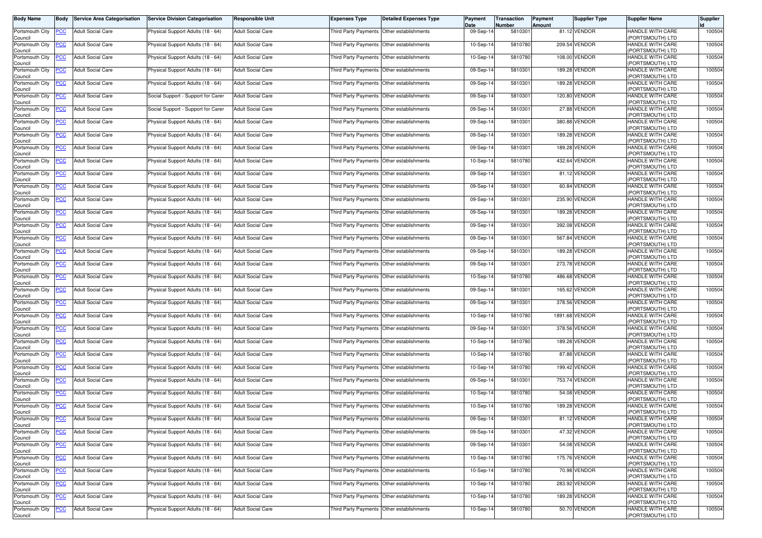| <b>Body Name</b>                              | Body                     | <b>Service Area Categorisation</b>                   | <b>Service Division Categorisation</b>                                 | <b>Responsible Unit</b>                              | <b>Expenses Type</b>                                                                   | <b>Detailed Expenses Type</b> | Payment<br>Date        | Transaction<br>Number | <b>Payment</b><br><b>Amount</b> | <b>Supplier Type</b>         | <b>Supplier Name</b>                                     | <b>Supplier</b>  |
|-----------------------------------------------|--------------------------|------------------------------------------------------|------------------------------------------------------------------------|------------------------------------------------------|----------------------------------------------------------------------------------------|-------------------------------|------------------------|-----------------------|---------------------------------|------------------------------|----------------------------------------------------------|------------------|
| Portsmouth City<br>Council                    | <u>PCC .</u>             | <b>Adult Social Care</b>                             | Physical Support Adults (18 - 64)                                      | <b>Adult Social Care</b>                             | Third Party Payments Other establishments                                              |                               | 09-Sep-14              | 5810301               |                                 | 81.12 VENDOR                 | HANDLE WITH CARE<br>(PORTSMOUTH) LTD                     | 100504           |
| Portsmouth City<br>Council                    | <u>'CC</u>               | <b>Adult Social Care</b>                             | Physical Support Adults (18 - 64)                                      | <b>Adult Social Care</b>                             | Third Party Payments Other establishments                                              |                               | $10-Sep-1$             | 5810780               |                                 | 209.54 VENDOR                | HANDLE WITH CARE<br>(PORTSMOUTH) LTD                     | 100504           |
| Portsmouth City                               | <u>'СС</u>               | <b>Adult Social Care</b>                             | Physical Support Adults (18 - 64)                                      | <b>Adult Social Care</b>                             | Third Party Payments Other establishments                                              |                               | 10-Sep-14              | 581078                |                                 | 108.00 VENDOR                | <b>HANDLE WITH CARE</b>                                  | 100504           |
| Council<br>Portsmouth City                    | <u>'CC</u>               | <b>Adult Social Care</b>                             | Physical Support Adults (18 - 64)                                      | <b>Adult Social Care</b>                             | Third Party Payments Other establishments                                              |                               | 09-Sep-14              | 5810301               |                                 | 189.28 VENDOR                | (PORTSMOUTH) LTD<br>HANDLE WITH CARE<br>(PORTSMOUTH) LTD | 100504           |
| Council<br>Portsmouth City                    | <u>PCC</u>               | <b>Adult Social Care</b>                             | Physical Support Adults (18 - 64)                                      | <b>Adult Social Care</b>                             | Third Party Payments Other establishments                                              |                               | 09-Sep-14              | 5810301               |                                 | 189.28 VENDOR                | HANDLE WITH CARE<br>(PORTSMOUTH) LTD                     | 100504           |
| Council<br>Portsmouth City<br>Council         | <u>'CC</u>               | <b>Adult Social Care</b>                             | Social Support - Support for Carer                                     | <b>Adult Social Care</b>                             | Third Party Payments   Other establishments                                            |                               | 09-Sep-14              | 581030                |                                 | 120.80 VENDOR                | HANDLE WITH CARE<br>(PORTSMOUTH) LTD                     | 100504           |
| Portsmouth City<br>Council                    | <u>'CC</u>               | <b>Adult Social Care</b>                             | Social Support - Support for Carer                                     | <b>Adult Social Care</b>                             | Third Party Payments Other establishments                                              |                               | 09-Sep-14              | 5810301               |                                 | 27.88 VENDOR                 | <b>HANDLE WITH CARE</b><br>(PORTSMOUTH) LTD              | 100504           |
| Portsmouth City<br>Council                    | <u>'CC</u>               | <b>Adult Social Care</b>                             | Physical Support Adults (18 - 64)                                      | <b>Adult Social Care</b>                             | Third Party Payments Other establishments                                              |                               | 09-Sep-14              | 5810301               |                                 | 380.88 VENDOR                | HANDLE WITH CARE<br>(PORTSMOUTH) LTD                     | 100504           |
| Portsmouth City<br>Council                    | <u>PCC</u>               | <b>Adult Social Care</b>                             | Physical Support Adults (18 - 64)                                      | <b>Adult Social Care</b>                             | Third Party Payments Other establishments                                              |                               | 09-Sep-14              | 5810301               |                                 | 189.28 VENDOR                | HANDLE WITH CARE<br>(PORTSMOUTH) LTD                     | 100504           |
| Portsmouth City<br>Council                    | <u>'CC</u>               | <b>Adult Social Care</b>                             | Physical Support Adults (18 - 64)                                      | <b>Adult Social Care</b>                             | Third Party Payments Other establishments                                              |                               | 09-Sep-1               | 581030                |                                 | 189.28 VENDOR                | HANDLE WITH CARE<br>(PORTSMOUTH) LTD                     | 100504           |
| Portsmouth City<br>Council                    | <u>PCC</u>               | <b>Adult Social Care</b>                             | Physical Support Adults (18 - 64)                                      | <b>Adult Social Care</b>                             | Third Party Payments Other establishments                                              |                               | 10-Sep-14              | 581078                |                                 | 432.64 VENDOR                | <b>HANDLE WITH CARE</b><br>(PORTSMOUTH) LTD              | 100504           |
| Portsmouth City<br>Council                    | 'CC                      | <b>Adult Social Care</b>                             | Physical Support Adults (18 - 64)                                      | <b>Adult Social Care</b>                             | Third Party Payments Other establishments                                              |                               | 09-Sep-14              | 5810301               |                                 | 81.12 VENDOR                 | HANDLE WITH CARE<br>(PORTSMOUTH) LTD                     | 100504           |
| Portsmouth City<br>Council                    | <u>'CC</u>               | <b>Adult Social Care</b>                             | Physical Support Adults (18 - 64)                                      | <b>Adult Social Care</b>                             | Third Party Payments Other establishments                                              |                               | 09-Sep-14              | 581030                |                                 | 60.84 VENDOR                 | HANDLE WITH CARE<br>(PORTSMOUTH) LTD                     | 100504           |
| Portsmouth City<br>Council                    | <u>PCC</u>               | <b>Adult Social Care</b>                             | Physical Support Adults (18 - 64)                                      | <b>Adult Social Care</b>                             | Third Party Payments Other establishments                                              |                               | 09-Sep-14              | 5810301               |                                 | 235.90 VENDOR                | <b>HANDLE WITH CARE</b><br>(PORTSMOUTH) LTD              | 100504           |
| Portsmouth City<br>Council                    | <u>'CC</u>               | <b>Adult Social Care</b>                             | Physical Support Adults (18 - 64)                                      | <b>Adult Social Care</b>                             | Third Party Payments Other establishments                                              |                               | 09-Sep-14              | 5810301               |                                 | 189.28 VENDOR                | HANDLE WITH CARE<br>(PORTSMOUTH) LTD                     | 100504           |
| Portsmouth City<br>Council                    | <u>PCC</u>               | <b>Adult Social Care</b>                             | Physical Support Adults (18 - 64)                                      | <b>Adult Social Care</b>                             | Third Party Payments                                                                   | Other establishments          | 09-Sep-14              | 581030                |                                 | 392.08 VENDOR                | HANDLE WITH CARE<br>(PORTSMOUTH) LTD                     | 100504           |
| Portsmouth City<br>Council                    | <u>'CC</u>               | <b>Adult Social Care</b>                             | Physical Support Adults (18 - 64)                                      | <b>Adult Social Care</b>                             | Third Party Payments Other establishments                                              |                               | 09-Sep-14              | 5810301               |                                 | 567.84 VENDOR                | HANDLE WITH CARE<br>(PORTSMOUTH) LTD                     | 100504           |
| Portsmouth City<br>Council                    | <u>PCC</u>               | <b>Adult Social Care</b>                             | Physical Support Adults (18 - 64)                                      | <b>Adult Social Care</b>                             | Third Party Payments Other establishments                                              |                               | 09-Sep-14              | 5810301               |                                 | 189.28 VENDOR                | <b>HANDLE WITH CARE</b><br>(PORTSMOUTH) LTD              | 100504           |
| Portsmouth City<br>Council                    | <u>'CC</u>               | <b>Adult Social Care</b>                             | Physical Support Adults (18 - 64)                                      | <b>Adult Social Care</b>                             | Third Party Payments Other establishments                                              |                               | 09-Sep-14              | 581030                |                                 | 273.78 VENDOR                | HANDLE WITH CARE<br>(PORTSMOUTH) LTD                     | 100504           |
| Portsmouth City<br>Council                    | <u>'CC</u>               | <b>Adult Social Care</b>                             | Physical Support Adults (18 - 64)                                      | <b>Adult Social Care</b>                             | Third Party Payments                                                                   | Other establishments          | 10-Sep-14              | 5810780               |                                 | 486.68 VENDOR                | HANDLE WITH CARE<br>(PORTSMOUTH) LTD                     | 100504           |
| Portsmouth City<br>Council                    | <u>'CC</u>               | <b>Adult Social Care</b>                             | Physical Support Adults (18 - 64)                                      | <b>Adult Social Care</b>                             | Third Party Payments Other establishments                                              |                               | 09-Sep-14              | 5810301               |                                 | 165.62 VENDOR                | HANDLE WITH CARE<br>(PORTSMOUTH) LTD                     | 100504           |
| Portsmouth City<br>Council                    | <u>PCC</u>               | <b>Adult Social Care</b>                             | Physical Support Adults (18 - 64)                                      | <b>Adult Social Care</b>                             | Third Party Payments Other establishments                                              |                               | 09-Sep-14              | 5810301               |                                 | 378.56 VENDOR                | HANDLE WITH CARE<br>(PORTSMOUTH) LTD                     | 100504           |
| Portsmouth City<br>Council                    | <u>'CC</u>               | <b>Adult Social Care</b>                             | Physical Support Adults (18 - 64)                                      | <b>Adult Social Care</b>                             | Third Party Payments                                                                   | Other establishments          | 10-Sep-14              | 5810780               |                                 | 1891.68 VENDOR               | HANDLE WITH CARE<br>(PORTSMOUTH) LTD                     | 100504           |
| Portsmouth City<br>Council                    | <u>'CC</u>               | <b>Adult Social Care</b>                             | Physical Support Adults (18 - 64)                                      | <b>Adult Social Care</b>                             | Third Party Payments Other establishments                                              |                               | 09-Sep-14              | 5810301               |                                 | 378.56 VENDOR                | <b>HANDLE WITH CARE</b><br>(PORTSMOUTH) LTD              | 100504           |
| Portsmouth City<br>Council                    | <u>'CC</u>               | <b>Adult Social Care</b>                             | Physical Support Adults (18 - 64)                                      | <b>Adult Social Care</b>                             | Third Party Payments Other establishments                                              |                               | 10-Sep-14              | 5810780               |                                 | 189.28 VENDOR                | HANDLE WITH CARE<br>(PORTSMOUTH) LTD                     | 100504           |
| Portsmouth City<br>Council                    | <u>PCC</u>               | <b>Adult Social Care</b>                             | Physical Support Adults (18 - 64)                                      | <b>Adult Social Care</b>                             | Third Party Payments Other establishments                                              |                               | 10-Sep-14              | 5810780               |                                 | 87.88 VENDOR                 | HANDLE WITH CARE<br>(PORTSMOUTH) LTD                     | 100504           |
| Portsmouth City<br>Council                    | <u>'CC</u>               | <b>Adult Social Care</b>                             | Physical Support Adults (18 - 64)                                      | <b>Adult Social Care</b>                             | Third Party Payments Other establishments                                              |                               | 10-Sep-14              | 5810780               |                                 | 199.42 VENDOR                | HANDLE WITH CARE<br>(PORTSMOUTH) LTD                     | 100504           |
| Portsmouth City<br>Council                    | <u>'CC</u>               | <b>Adult Social Care</b>                             | Physical Support Adults (18 - 64)                                      | <b>Adult Social Care</b>                             | Third Party Payments Other establishments                                              |                               | 09-Sep-14              | 5810301               |                                 | 753.74 VENDOR                | <b>HANDLE WITH CARE</b><br>(PORTSMOUTH) LTD              | 100504           |
| Portsmouth City<br>Council                    | <u>PCC</u>               | <b>Adult Social Care</b>                             | Physical Support Adults (18 - 64)                                      | <b>Adult Social Care</b>                             | Third Party Payments Other establishments                                              |                               | 10-Sep-14              | 5810780               |                                 | 54.08 VENDOR                 | HANDLE WITH CARE<br>(PORTSMOUTH) LTD                     | 100504           |
| Portsmouth City<br>Council                    | <u>PCC</u>               | <b>Adult Social Care</b>                             | Physical Support Adults (18 - 64)                                      | <b>Adult Social Care</b>                             | Third Party Payments Other establishments                                              |                               | 10-Sep-14              | 5810780<br>5810301    |                                 | 189.28 VENDOR                | HANDLE WITH CARE<br>(PORTSMOUTH) LTD<br>HANDLE WITH CARE | 100504           |
| Portsmouth City<br>Council                    | <b>CC</b>                | <b>Adult Social Care</b>                             | Physical Support Adults (18 - 64)<br>Physical Support Adults (18 - 64) | <b>Adult Social Care</b>                             | Third Party Payments Other establishments                                              |                               | 09-Sep-14              |                       |                                 | 81.12 VENDOR<br>47.32 VENDOR | (PORTSMOUTH) LTD<br>HANDLE WITH CARE                     | 100504<br>100504 |
| Portsmouth City<br>Council<br>Portsmouth City | <u>PCC</u>               | <b>Adult Social Care</b><br><b>Adult Social Care</b> | Physical Support Adults (18 - 64)                                      | <b>Adult Social Care</b><br><b>Adult Social Care</b> | Third Party Payments Other establishments<br>Third Party Payments Other establishments |                               | 09-Sep-14<br>09-Sep-14 | 5810301<br>5810301    |                                 | 54.08 VENDOR                 | (PORTSMOUTH) LTD<br>HANDLE WITH CARE                     | 100504           |
| Council<br>Portsmouth City                    | <u>CC</u><br><b>PCC</b>  | <b>Adult Social Care</b>                             | Physical Support Adults (18 - 64)                                      | <b>Adult Social Care</b>                             | Third Party Payments Other establishments                                              |                               | 10-Sep-14              | 5810780               |                                 | 175.76 VENDOR                | (PORTSMOUTH) LTD<br>HANDLE WITH CARE                     | 100504           |
| Council<br>Portsmouth City                    |                          | <b>Adult Social Care</b>                             | Physical Support Adults (18 - 64)                                      | <b>Adult Social Care</b>                             | Third Party Payments Other establishments                                              |                               | 10-Sep-14              | 5810780               |                                 | 70.98 VENDOR                 | (PORTSMOUTH) LTD<br>HANDLE WITH CARE                     | 100504           |
| Council<br>Portsmouth City                    | <u>PCC</u><br><u>'CC</u> | <b>Adult Social Care</b>                             | Physical Support Adults (18 - 64)                                      | <b>Adult Social Care</b>                             | Third Party Payments                                                                   | Other establishments          | 10-Sep-14              | 5810780               |                                 | 283.92 VENDOR                | (PORTSMOUTH) LTD<br><b>HANDLE WITH CARE</b>              | 100504           |
| Council<br>Portsmouth City                    | <u>PCC</u>               | <b>Adult Social Care</b>                             | Physical Support Adults (18 - 64)                                      | <b>Adult Social Care</b>                             | Third Party Payments Other establishments                                              |                               | 10-Sep-14              | 5810780               |                                 | 189.28 VENDOR                | (PORTSMOUTH) LTD<br>HANDLE WITH CARE                     | 100504           |
| Council<br>Portsmouth City                    | <u>CC</u>                | <b>Adult Social Care</b>                             | Physical Support Adults (18 - 64)                                      | <b>Adult Social Care</b>                             | Third Party Payments Other establishments                                              |                               | 10-Sep-14              | 5810780               |                                 | 50.70 VENDOR                 | (PORTSMOUTH) LTD<br>HANDLE WITH CARE                     | 100504           |
| Council                                       |                          |                                                      |                                                                        |                                                      |                                                                                        |                               |                        |                       |                                 |                              | (PORTSMOUTH) LTD                                         |                  |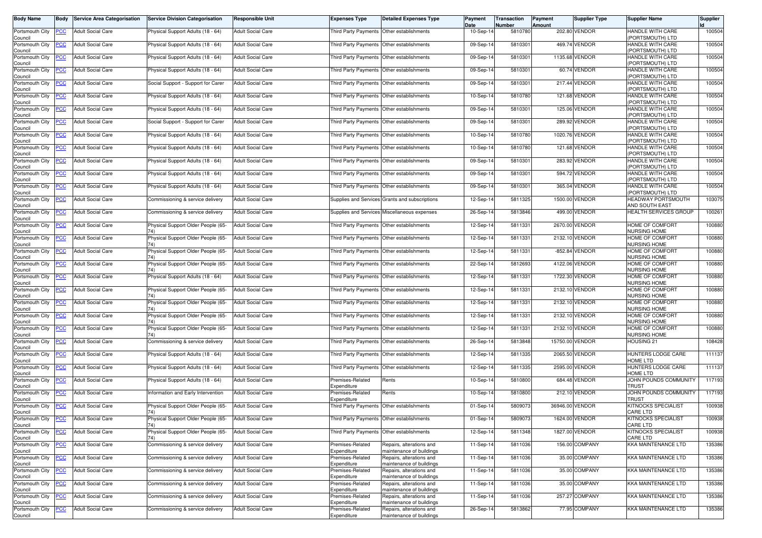| <b>Body Name</b>                              | Body                     | <b>Service Area Categorisation</b>            | <b>Service Division Categorisation</b>                                   | <b>Responsible Unit</b>                              | <b>Expenses Type</b>                                                                   | <b>Detailed Expenses Type</b>                        | Payment<br>Date        | Transaction<br>Number | <b>Payment</b><br><b>Amount</b> | <b>Supplier Type</b>             | <b>Supplier Name</b>                                      | <b>Supplier</b>  |
|-----------------------------------------------|--------------------------|-----------------------------------------------|--------------------------------------------------------------------------|------------------------------------------------------|----------------------------------------------------------------------------------------|------------------------------------------------------|------------------------|-----------------------|---------------------------------|----------------------------------|-----------------------------------------------------------|------------------|
| Portsmouth City<br>Council                    | <b>PCC</b>               | <b>Adult Social Care</b>                      | Physical Support Adults (18 - 64)                                        | <b>Adult Social Care</b>                             | Third Party Payments Other establishments                                              |                                                      | 10-Sep-14              | 5810780               |                                 | 202.80 VENDOR                    | HANDLE WITH CARE<br>PORTSMOUTH) LTD                       | 100504           |
| Portsmouth City<br>Council                    |                          | <b>Adult Social Care</b>                      | Physical Support Adults (18 - 64)                                        | <b>Adult Social Care</b>                             | Third Party Payments                                                                   | Other establishments                                 | 09-Sep-14              | 5810301               |                                 | 469.74 VENDOR                    | HANDLE WITH CARE<br>PORTSMOUTH) LTD                       | 100504           |
| Portsmouth City                               | <u>PCC</u>               | <b>Adult Social Care</b>                      | Physical Support Adults (18 - 64)                                        | <b>Adult Social Care</b>                             | Third Party Payments Other establishments                                              |                                                      | 09-Sep-14              | 5810301               |                                 | 1135.68 VENDOR                   | HANDLE WITH CARE                                          | 100504           |
| Council<br>Portsmouth City                    | <u>PCC</u>               | <b>Adult Social Care</b>                      | Physical Support Adults (18 - 64)                                        | <b>Adult Social Care</b>                             | Third Party Payments Other establishments                                              |                                                      | 09-Sep-14              | 5810301               |                                 | 60.74 VENDOR                     | PORTSMOUTH) LTD<br>HANDLE WITH CARE<br>(PORTSMOUTH) LTD   | 100504           |
| Council<br>Portsmouth City<br>Council         | <b>PCC</b>               | <b>Adult Social Care</b>                      | Social Support - Support for Carer                                       | <b>Adult Social Care</b>                             |                                                                                        | Third Party Payments Other establishments            | 09-Sep-14              | 5810301               |                                 | 217.44 VENDOR                    | HANDLE WITH CARE<br>PORTSMOUTH) LTD                       | 100504           |
| Portsmouth City<br>Council                    | <u>PCC</u>               | <b>Adult Social Care</b>                      | Physical Support Adults (18 - 64)                                        | <b>Adult Social Care</b>                             | Third Party Payments                                                                   | Other establishments                                 | 10-Sep-14              | 5810780               |                                 | 121.68 VENDOR                    | HANDLE WITH CARE<br>PORTSMOUTH) LTD                       | 100504           |
| Portsmouth City<br>Council                    | <b>PCC</b>               | <b>Adult Social Care</b>                      | Physical Support Adults (18 - 64)                                        | <b>Adult Social Care</b>                             | <b>Third Party Payments</b>                                                            | Other establishments                                 | 09-Sep-14              | 5810301               |                                 | 125.06 VENDOR                    | HANDLE WITH CARE<br>PORTSMOUTH) LTD                       | 100504           |
| Portsmouth City<br>Council                    | <b>PCC</b>               | <b>Adult Social Care</b>                      | Social Support - Support for Carer                                       | <b>Adult Social Care</b>                             | Third Party Payments Other establishments                                              |                                                      | 09-Sep-14              | 5810301               |                                 | 289.92 VENDOR                    | HANDLE WITH CARE<br>(PORTSMOUTH) LTD                      | 100504           |
| Portsmouth City<br>Council                    | <b>PCC</b>               | <b>Adult Social Care</b>                      | Physical Support Adults (18 - 64)                                        | <b>Adult Social Care</b>                             | Third Party Payments Other establishments                                              |                                                      | 10-Sep-14              | 5810780               |                                 | 1020.76 VENDOR                   | HANDLE WITH CARE<br>PORTSMOUTH) LTD                       | 100504           |
| Portsmouth City<br>Council                    | <u>PCC</u>               | <b>Adult Social Care</b>                      | Physical Support Adults (18 - 64)                                        | <b>Adult Social Care</b>                             | Third Party Payments                                                                   | Other establishments                                 | 10-Sep-14              | 5810780               |                                 | 121.68 VENDOR                    | HANDLE WITH CARE<br>PORTSMOUTH) LTD                       | 100504           |
| Portsmouth City<br>Council                    | <b>PCC</b>               | <b>Adult Social Care</b>                      | Physical Support Adults (18 - 64)                                        | <b>Adult Social Care</b>                             | Third Party Payments                                                                   | Other establishments                                 | 09-Sep-14              | 5810301               |                                 | 283.92 VENDOR                    | HANDLE WITH CARE<br>PORTSMOUTH) LTD                       | 100504           |
| Portsmouth City<br>Council                    | PCC                      | <b>Adult Social Care</b>                      | Physical Support Adults (18 - 64)                                        | <b>Adult Social Care</b>                             | Third Party Payments Other establishments                                              |                                                      | 09-Sep-14              | 5810301               |                                 | 594.72 VENDOR                    | HANDLE WITH CARE<br>PORTSMOUTH) LTD                       | 100504           |
| Portsmouth City<br>Council                    | <b>PCC</b>               | <b>Adult Social Care</b>                      | Physical Support Adults (18 - 64)                                        | <b>Adult Social Care</b>                             |                                                                                        | Third Party Payments Other establishments            | 09-Sep-14              | 5810301               |                                 | 365.04 VENDOR                    | HANDLE WITH CARE<br>PORTSMOUTH) LTD                       | 100504           |
| Portsmouth City<br>Council                    | <u>PCC</u>               | <b>Adult Social Care</b>                      | Commissioning & service delivery                                         | <b>Adult Social Care</b>                             |                                                                                        | Supplies and Services Grants and subscriptions       | 12-Sep-14              | 5811325               |                                 | 1500.00 VENDOR                   | HEADWAY PORTSMOUTH<br>AND SOUTH EAST                      | 103075           |
| Portsmouth City<br>Council                    | <b>PCC</b>               | <b>Adult Social Care</b>                      | Commissioning & service delivery                                         | <b>Adult Social Care</b>                             |                                                                                        | Supplies and Services Miscellaneous expenses         | 26-Sep-14              | 5813846               |                                 | 499.00 VENDOR                    | <b>HEALTH SERVICES GROUP</b>                              | 100261           |
| Portsmouth City<br>Council                    | <u>PCC</u>               | <b>Adult Social Care</b>                      | Physical Support Older People (65-                                       | <b>Adult Social Care</b>                             | Third Party Payments Other establishments                                              |                                                      | 12-Sep-14              | 5811331               |                                 | 2670.00 VENDOR<br>2132.10 VENDOR | HOME OF COMFORT<br><b>NURSING HOME</b>                    | 100880           |
| Portsmouth City<br>Council                    | <u>PCC</u>               | <b>Adult Social Care</b>                      | Physical Support Older People (65-                                       | <b>Adult Social Care</b>                             | Third Party Payments Other establishments                                              |                                                      | 12-Sep-14              | 5811331               |                                 | -852.84 VENDOR                   | HOME OF COMFORT<br>NURSING HOME                           | 100880           |
| Portsmouth City<br>Council                    | <b>PCC</b>               | Adult Social Care<br><b>Adult Social Care</b> | Physical Support Older People (65-<br>Physical Support Older People (65- | <b>Adult Social Care</b>                             | Third Party Payments                                                                   | Other establishments                                 | 12-Sep-14              | 5811331<br>5812693    |                                 | 4122.06 VENDOR                   | HOME OF COMFORT<br><b>NURSING HOME</b><br>HOME OF COMFORT | 100880<br>100880 |
| Portsmouth City<br>Council                    | <b>PCC</b>               |                                               |                                                                          | <b>Adult Social Care</b>                             | Third Party Payments Other establishments                                              |                                                      | 22-Sep-14              |                       |                                 | 1722.30 VENDOR                   | <b>NURSING HOME</b><br>HOME OF COMFORT                    |                  |
| Portsmouth City<br>Council<br>Portsmouth City | <b>PCC</b>               | <b>Adult Social Care</b>                      | Physical Support Adults (18 - 64)                                        | <b>Adult Social Care</b><br><b>Adult Social Care</b> | Third Party Payments                                                                   | Other establishments                                 | 12-Sep-14              | 5811331<br>5811331    |                                 | 2132.10 VENDOR                   | <b>NURSING HOME</b><br>HOME OF COMFORT                    | 100880<br>100880 |
| Council<br>Portsmouth City                    | <u>PCC</u><br><b>PCC</b> | <b>Adult Social Care</b><br>Adult Social Care | Physical Support Older People (65-<br>Physical Support Older People (65- | <b>Adult Social Care</b>                             | Third Party Payments Other establishments<br>Third Party Payments Other establishments |                                                      | 12-Sep-14<br>12-Sep-14 | 5811331               |                                 | 2132.10 VENDOR                   | <b>VURSING HOME</b><br>HOME OF COMFORT                    | 100880           |
| Council<br>Portsmouth City                    | <b>PCC</b>               | <b>Adult Social Care</b>                      | Physical Support Older People (65-                                       | <b>Adult Social Care</b>                             | Third Party Payments Other establishments                                              |                                                      | 12-Sep-14              | 5811331               |                                 | 2132.10 VENDOR                   | NURSING HOME<br>HOME OF COMFORT                           | 100880           |
| Council<br>Portsmouth City                    |                          | <b>Adult Social Care</b>                      | Physical Support Older People (65-                                       | <b>Adult Social Care</b>                             | Third Party Payments Other establishments                                              |                                                      | 12-Sep-14              | 5811331               |                                 | 2132.10 VENDOR                   | <b>NURSING HOME</b><br>HOME OF COMFORT                    | 100880           |
| Council<br>Portsmouth City                    | <u>PCC</u>               | <b>Adult Social Care</b>                      | Commissioning & service delivery                                         | <b>Adult Social Care</b>                             | Third Party Payments Other establishments                                              |                                                      | 26-Sep-14              | 5813848               |                                 | 15750.00 VENDOR                  | NURSING HOME<br><b>HOUSING 21</b>                         | 108428           |
| Council<br>Portsmouth City                    | <b>PCC</b>               | <b>Adult Social Care</b>                      | Physical Support Adults (18 - 64)                                        | <b>Adult Social Care</b>                             |                                                                                        | Third Party Payments Other establishments            | 12-Sep-14              | 5811335               |                                 | 2065.50 VENDOR                   | HUNTERS LODGE CARE                                        | 111137           |
| Council<br>Portsmouth City                    |                          | <b>Adult Social Care</b>                      | Physical Support Adults (18 - 64)                                        | <b>Adult Social Care</b>                             | Third Party Payments Other establishments                                              |                                                      | 12-Sep-14              | 5811335               |                                 | 2595.00 VENDOR                   | <b>HOME LTD</b><br>HUNTERS LODGE CARE                     | 111137           |
| Council<br>Portsmouth City                    | <u>PCC</u><br><u>PCC</u> | <b>Adult Social Care</b>                      | Physical Support Adults (18 - 64)                                        | <b>Adult Social Care</b>                             | Premises-Related                                                                       | Rents                                                | 10-Sep-14              | 5810800               |                                 | 684.48 VENDOR                    | HOME LTD<br>JOHN POUNDS COMMUNITY                         | 117193           |
| Council<br>Portsmouth City                    | <u>PCC</u>               | <b>Adult Social Care</b>                      | Information and Early Intervention                                       | Adult Social Care                                    | Expenditure<br>Premises-Related                                                        | Rents                                                | 10-Sep-14              | 5810800               |                                 | 212.10 VENDOR                    | TRUST<br>JOHN POUNDS COMMUNITY                            | 117193           |
| Council<br>Portsmouth City                    | <b>PCC</b>               | <b>Adult Social Care</b>                      | Physical Support Older People (65-                                       | <b>Adult Social Care</b>                             | Expenditure                                                                            | Third Party Payments Other establishments            | 01-Sep-14              | 5809073               |                                 | 36946.00 VENDOR                  | TRUST<br>KITNOCKS SPECIALIST                              | 100938           |
| Council<br>Portsmouth City                    | <b>PCC</b>               | <b>Adult Social Care</b>                      | Physical Support Older People (65-                                       | <b>Adult Social Care</b>                             | Third Party Payments Other establishments                                              |                                                      | 01-Sep-14              | 5809073               |                                 | 1624.00 VENDOR                   | CARE LTD<br><b>KITNOCKS SPECIALIST</b>                    | 100938           |
| Council<br>Portsmouth City                    | <b>PCC</b>               | <b>Adult Social Care</b>                      | 74)<br>Physical Support Older People (65-                                | <b>Adult Social Care</b>                             | <b>Third Party Payments</b>                                                            | Other establishments                                 | 12-Sep-14              | 5811348               |                                 | 1827.00 VENDOR                   | CARE LTD<br>KITNOCKS SPECIALIST                           | 100938           |
| Council<br>Portsmouth City                    | PСC                      | <b>Adult Social Care</b>                      | Commissioning & service delivery                                         | <b>Adult Social Care</b>                             | Premises-Related                                                                       | Repairs, alterations and                             | 11-Sep-14              | 5811036               |                                 | 156.00 COMPANY                   | CARE LTD<br>KKA MAINTENANCE LTD                           | 135386           |
| Council<br>Portsmouth City                    | <b>PCC</b>               | <b>Adult Social Care</b>                      | Commissioning & service delivery                                         | <b>Adult Social Care</b>                             | Expenditure<br>Premises-Related                                                        | maintenance of buildings<br>Repairs, alterations and | 11-Sep-14              | 5811036               |                                 | 35.00 COMPANY                    | KKA MAINTENANCE LTD                                       | 135386           |
| Council<br>Portsmouth City                    | <b>PCC</b>               | <b>Adult Social Care</b>                      | Commissioning & service delivery                                         | <b>Adult Social Care</b>                             | Expenditure<br>Premises-Related                                                        | maintenance of buildings<br>Repairs, alterations and | 11-Sep-14              | 5811036               |                                 | 35.00 COMPANY                    | <b>KKA MAINTENANCE LTD</b>                                | 135386           |
| Council<br>Portsmouth City                    | <b>PCC</b>               | <b>Adult Social Care</b>                      | Commissioning & service delivery                                         | <b>Adult Social Care</b>                             | Expenditure<br>Premises-Related                                                        | maintenance of buildings<br>Repairs, alterations and | 11-Sep-14              | 5811036               |                                 | 35.00 COMPANY                    | <b>KKA MAINTENANCE LTD</b>                                | 135386           |
| Council<br>Portsmouth City                    | <b>PCC</b>               | <b>Adult Social Care</b>                      | Commissioning & service delivery                                         | Adult Social Care                                    | Expenditure<br>Premises-Related                                                        | maintenance of buildings<br>Repairs, alterations and | 11-Sep-14              | 5811036               |                                 | 257.27 COMPANY                   | KKA MAINTENANCE LTD                                       | 135386           |
| Council<br>Portsmouth City                    | <b>PCC</b>               | <b>Adult Social Care</b>                      | Commissioning & service delivery                                         | <b>Adult Social Care</b>                             | Expenditure<br>Premises-Related                                                        | maintenance of buildings<br>Repairs, alterations and | 26-Sep-14              | 5813862               |                                 | 77.95 COMPANY                    | <b>KKA MAINTENANCE LTD</b>                                | 135386           |
| Council                                       |                          |                                               |                                                                          |                                                      | Expenditure                                                                            | maintenance of buildings                             |                        |                       |                                 |                                  |                                                           |                  |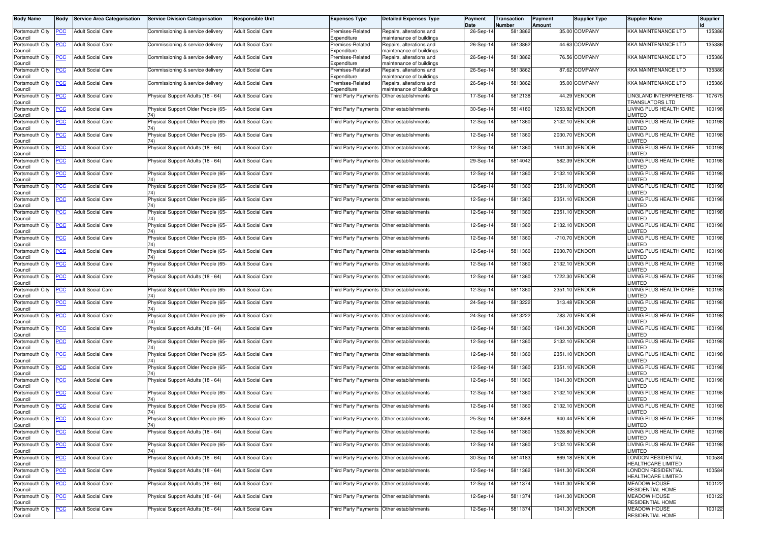| <b>Body Name</b>                      | <b>Body</b> | <b>Service Area Categorisation</b>    | <b>Service Division Categorisation</b>                      | Responsible Unit         | <b>Expenses Type</b>                           | <b>Detailed Expenses Type</b>                                                    | Payment<br>Date | Transaction<br>Number | Payment<br>Amount | <b>Supplier Type</b> | <b>Supplier Name</b>                            | <b>Supplier</b> |
|---------------------------------------|-------------|---------------------------------------|-------------------------------------------------------------|--------------------------|------------------------------------------------|----------------------------------------------------------------------------------|-----------------|-----------------------|-------------------|----------------------|-------------------------------------------------|-----------------|
| Portsmouth City                       | <b>PCC</b>  | <b>Adult Social Care</b>              | Commissioning & service delivery                            | <b>Adult Social Care</b> | Premises-Related                               | Repairs, alterations and                                                         | 26-Sep-14       | 5813862               |                   | 35.00 COMPANY        | KKA MAINTENANCE LTD                             | 135386          |
| Council<br>Portsmouth City            | <b>PCC</b>  | <b>Adult Social Care</b>              | Commissioning & service delivery                            | <b>Adult Social Care</b> | Expenditure<br>Premises-Related                | maintenance of buildings<br>Repairs, alterations and                             | 26-Sep-14       | 5813862               |                   | 44.63 COMPANY        | <b>KKA MAINTENANCE LTD</b>                      | 135386          |
| Council<br>Portsmouth City            | <b>PCC</b>  | <b>Adult Social Care</b>              | Commissioning & service delivery                            | Adult Social Care        | Expenditure<br>Premises-Related                | maintenance of buildings<br>Repairs, alterations and                             | 26-Sep-14       | 5813862               |                   | 76.56 COMPANY        | <b>KKA MAINTENANCE LTD</b>                      | 135386          |
| Council<br>Portsmouth City            | <b>PCC</b>  | <b>Adult Social Care</b>              | Commissioning & service delivery                            | <b>Adult Social Care</b> | Expenditure<br>Premises-Related                | maintenance of buildings<br>Repairs, alterations and<br>maintenance of buildings | 26-Sep-14       | 5813862               |                   | 87.62 COMPANY        | <b>KKA MAINTENANCE LTD</b>                      | 135386          |
| Council<br>Portsmouth City<br>Council | <u>PCC</u>  | <b>Adult Social Care</b>              | Commissioning & service delivery                            | <b>Adult Social Care</b> | Expenditure<br>Premises-Related<br>Expenditure | Repairs, alterations and<br>maintenance of buildings                             | 26-Sep-14       | 5813862               |                   | 35.00 COMPANY        | KKA MAINTENANCE LTD                             | 135386          |
| Portsmouth City<br>Council            | <b>PCC</b>  | <b>Adult Social Care</b>              | Physical Support Adults (18 - 64)                           | <b>Adult Social Care</b> | Third Party Payments Other establishments      |                                                                                  | 17-Sep-14       | 5812138               |                   | 44.29 VENDOR         | LINGLAND INTERPRETERS-<br>TRANSLATORS LTD       | 107675          |
| Portsmouth City<br>Council            | <u>PCC</u>  | <b>Adult Social Care</b>              | Physical Support Older People (65-                          | Adult Social Care        |                                                | Third Party Payments Other establishments                                        | 30-Sep-14       | 5814180               |                   | 1253.92 VENDOR       | LIVING PLUS HEALTH CARE<br><b>IMITED</b>        | 100198          |
| Portsmouth City<br>Council            | <b>PCC</b>  | <b>Adult Social Care</b>              | Physical Support Older People (65-                          | <b>Adult Social Care</b> |                                                | Third Party Payments Other establishments                                        | 12-Sep-14       | 5811360               |                   | 2132.10 VENDOR       | LIVING PLUS HEALTH CARE<br><b>IMITED</b>        | 100198          |
| Portsmouth City<br>Council            | <b>PCC</b>  | <b>Adult Social Care</b>              | Physical Support Older People (65-                          | Adult Social Care        |                                                | Third Party Payments Other establishments                                        | 12-Sep-14       | 5811360               |                   | 2030.70 VENDOR       | LIVING PLUS HEALTH CARE<br><b>IMITED</b>        | 100198          |
| Portsmouth City<br>Council            | <u>PCC</u>  | <b>Adult Social Care</b>              | Physical Support Adults (18 - 64)                           | <b>Adult Social Care</b> |                                                | Third Party Payments Other establishments                                        | 12-Sep-14       | 5811360               |                   | 1941.30 VENDOR       | LIVING PLUS HEALTH CARE<br><b>IMITED</b>        | 100198          |
| Portsmouth City<br>Council            | <b>PCC</b>  | <b>Adult Social Care</b>              | Physical Support Adults (18 - 64)                           | <b>Adult Social Care</b> |                                                | Third Party Payments Other establishments                                        | 29-Sep-14       | 5814042               |                   | 582.39 VENDOR        | LIVING PLUS HEALTH CARE<br><b>IMITED</b>        | 100198          |
| Portsmouth City<br>Council            | <u>PCC</u>  | <b>Adult Social Care</b>              | Physical Support Older People (65-<br>74)                   | <b>Adult Social Care</b> |                                                | Third Party Payments Other establishments                                        | 12-Sep-14       | 5811360               |                   | 2132.10 VENDOR       | LIVING PLUS HEALTH CARE<br>LIMITED              | 100198          |
| Portsmouth City<br>Council            | <u>PCC</u>  | <b>Adult Social Care</b>              | Physical Support Older People (65-                          | <b>Adult Social Care</b> |                                                | Third Party Payments Other establishments                                        | 12-Sep-14       | 5811360               |                   | 2351.10 VENDOR       | LIVING PLUS HEALTH CARE<br><b>IMITED</b>        | 100198          |
| Portsmouth City<br>Council            | <u>PCC</u>  | <b>Adult Social Care</b>              | Physical Support Older People (65-<br>74)                   | <b>Adult Social Care</b> |                                                | Third Party Payments Other establishments                                        | 12-Sep-14       | 5811360               |                   | 2351.10 VENDOR       | LIVING PLUS HEALTH CARE<br>LIMITED              | 100198          |
| Portsmouth City<br>Council            | <b>PCC</b>  | <b>Adult Social Care</b>              | Physical Support Older People (65-<br>74)                   | <b>Adult Social Care</b> |                                                | Third Party Payments Other establishments                                        | 12-Sep-14       | 5811360               |                   | 2351.10 VENDOR       | LIVING PLUS HEALTH CARE<br><b>IMITED</b>        | 100198          |
| Portsmouth City<br>Council            | <u>PCC</u>  | <b>Adult Social Care</b>              | Physical Support Older People (65-                          | <b>Adult Social Care</b> | Third Party Payments Other establishments      |                                                                                  | 12-Sep-14       | 5811360               |                   | 2132.10 VENDOR       | LIVING PLUS HEALTH CARE<br>LIMITED              | 100198          |
| Portsmouth City<br>Council            | <u>PCC</u>  | <b>Adult Social Care</b>              | Physical Support Older People (65-                          | <b>Adult Social Care</b> | Third Party Payments                           | Other establishments                                                             | 12-Sep-14       | 5811360               |                   | -710.70 VENDOR       | LIVING PLUS HEALTH CARE<br><b>IMITED</b>        | 100198          |
| Portsmouth City<br>Council            | <b>PCC</b>  | <b>Adult Social Care</b>              | Physical Support Older People (65-<br>74)                   | <b>Adult Social Care</b> |                                                | Third Party Payments Other establishments                                        | 12-Sep-14       | 5811360               |                   | 2030.70 VENDOR       | LIVING PLUS HEALTH CARE<br>LIMITED              | 100198          |
| Portsmouth City<br>Council            | <b>PCC</b>  | <b>Adult Social Care</b>              | Physical Support Older People (65-<br>74)                   | <b>Adult Social Care</b> |                                                | Third Party Payments Other establishments                                        | 12-Sep-14       | 5811360               |                   | 2132.10 VENDOR       | LIVING PLUS HEALTH CARE<br><b>IMITED</b>        | 100198          |
| Portsmouth City<br>Council            | <u>PCC</u>  | <b>Adult Social Care</b>              | Physical Support Adults (18 - 64)                           | <b>Adult Social Care</b> |                                                | Third Party Payments Other establishments                                        | 12-Sep-14       | 5811360               |                   | 1722.30 VENDOR       | LIVING PLUS HEALTH CARE<br>LIMITED              | 100198          |
| Portsmouth City<br>Council            | <u>PCC</u>  | <b>Adult Social Care</b>              | Physical Support Older People (65-                          | <b>Adult Social Care</b> | Third Party Payments Other establishments      |                                                                                  | 12-Sep-14       | 5811360               |                   | 2351.10 VENDOR       | LIVING PLUS HEALTH CARE<br><b>IMITED</b>        | 100198          |
| Portsmouth City<br>Council            | PСC         | <b>Adult Social Care</b>              | Physical Support Older People (65-                          | <b>Adult Social Care</b> |                                                | Third Party Payments Other establishments                                        | 24-Sep-14       | 5813222               |                   | 313.48 VENDOR        | LIVING PLUS HEALTH CARE<br><b>IMITED</b>        | 100198          |
| Portsmouth City<br>Council            | <b>PCC</b>  | <b>Adult Social Care</b>              | Physical Support Older People (65-<br>74)                   | <b>Adult Social Care</b> |                                                | Third Party Payments Other establishments                                        | 24-Sep-14       | 5813222               |                   | 783.70 VENDOR        | LIVING PLUS HEALTH CARE<br><b>IMITED</b>        | 100198          |
| Portsmouth City<br>Council            | <b>PCC</b>  | <b>Adult Social Care</b>              | Physical Support Adults (18 - 64)                           | Adult Social Care        |                                                | Third Party Payments Other establishments                                        | 12-Sep-14       | 5811360               |                   | 1941.30 VENDOR       | LIVING PLUS HEALTH CARE<br><b>IMITED</b>        | 100198          |
| Portsmouth City<br>Council            | <b>PCC</b>  | <b>Adult Social Care</b>              | Physical Support Older People (65-                          | Adult Social Care        |                                                | Third Party Payments Other establishments                                        | 12-Sep-14       | 5811360               |                   | 2132.10 VENDOR       | LIVING PLUS HEALTH CARE<br><b>IMITED</b>        | 100198          |
| Portsmouth City<br>Council            | <u>PCC</u>  | <b>Adult Social Care</b>              | Physical Support Older People (65-                          | <b>Adult Social Care</b> |                                                | Third Party Payments Other establishments                                        | 12-Sep-14       | 5811360               |                   | 2351.10 VENDOR       | LIVING PLUS HEALTH CARE<br><b>IMITED</b>        | 100198          |
| Portsmouth City<br>Council            | <b>PCC</b>  | <b>Adult Social Care</b>              | Physical Support Older People (65-                          | <b>Adult Social Care</b> |                                                | Third Party Payments Other establishments                                        | 12-Sep-14       | 5811360               |                   | 2351.10 VENDOR       | LIVING PLUS HEALTH CARE<br><b>IMITED</b>        | 100198          |
| Portsmouth City<br>Council            | <u>PCC</u>  | <b>Adult Social Care</b>              | Physical Support Adults (18 - 64)                           | Adult Social Care        |                                                | Third Party Payments Other establishments                                        | 12-Sep-14       | 5811360               |                   | 1941.30 VENDOR       | LIVING PLUS HEALTH CARE<br><b>IMITED</b>        | 100198          |
| Portsmouth City<br>Council            | <b>PCC</b>  | <b>Adult Social Care</b>              | Physical Support Older People (65-                          | <b>Adult Social Care</b> | Third Party Payments Other establishments      |                                                                                  | 12-Sep-14       | 5811360               |                   | 2132.10 VENDOR       | LIVING PLUS HEALTH CARE<br><b>IMITED</b>        | 100198          |
| Portsmouth City<br>Council            | <b>PCC</b>  | <b>Adult Social Care</b>              | Physical Support Older People (65-<br>74)                   | <b>Adult Social Care</b> |                                                | Third Party Payments Other establishments                                        | 12-Sep-14       | 5811360               |                   | 2132.10 VENDOR       | LIVING PLUS HEALTH CARE<br><b>IMITED</b>        | 100198          |
| Council                               |             | Portsmouth City PCC Adult Social Care | Physical Support Older People (65- Adult Social Care<br>74) |                          | Third Party Payments Other establishments      |                                                                                  | 25-Sep-14       | 5813558               |                   | 940.44 VENDOR        | LIVING PLUS HEALTH CARE<br><b>LIMITED</b>       | 100198          |
| Portsmouth City<br>Council            | <b>PCC</b>  | <b>Adult Social Care</b>              | Physical Support Adults (18 - 64)                           | <b>Adult Social Care</b> | Third Party Payments Other establishments      |                                                                                  | 12-Sep-14       | 5811360               |                   | 1528.80 VENDOR       | LIVING PLUS HEALTH CARE<br><b>IMITED</b>        | 100198          |
| Portsmouth City<br>Council            | <u>PCC</u>  | <b>Adult Social Care</b>              | Physical Support Older People (65-<br>74)                   | Adult Social Care        |                                                | Third Party Payments Other establishments                                        | 12-Sep-14       | 5811360               |                   | 2132.10 VENDOR       | LIVING PLUS HEALTH CARE<br>LIMITED              | 100198          |
| Portsmouth City<br>Council            | <u>PCC</u>  | <b>Adult Social Care</b>              | Physical Support Adults (18 - 64)                           | <b>Adult Social Care</b> |                                                | Third Party Payments Other establishments                                        | 30-Sep-14       | 5814183               |                   | 869.18 VENDOR        | LONDON RESIDENTIAL<br><b>HEALTHCARE LIMITED</b> | 100584          |
| Portsmouth City<br>Council            | <u>PCC</u>  | <b>Adult Social Care</b>              | Physical Support Adults (18 - 64)                           | <b>Adult Social Care</b> |                                                | Third Party Payments Other establishments                                        | 12-Sep-14       | 5811362               |                   | 1941.30 VENDOR       | LONDON RESIDENTIAL<br>HEALTHCARE LIMITED        | 100584          |
| Portsmouth City<br>Council            | <b>PCC</b>  | <b>Adult Social Care</b>              | Physical Support Adults (18 - 64)                           | <b>Adult Social Care</b> |                                                | Third Party Payments Other establishments                                        | 12-Sep-14       | 5811374               |                   | 1941.30 VENDOR       | <b>MEADOW HOUSE</b><br>RESIDENTIAL HOME         | 100122          |
| Portsmouth City<br>Council            | <u>PCC</u>  | <b>Adult Social Care</b>              | Physical Support Adults (18 - 64)                           | <b>Adult Social Care</b> | Third Party Payments Other establishments      |                                                                                  | 12-Sep-14       | 5811374               |                   | 1941.30 VENDOR       | <b>MEADOW HOUSE</b><br><b>RESIDENTIAL HOME</b>  | 100122          |
| Portsmouth City<br>Council            | <b>PCC</b>  | <b>Adult Social Care</b>              | Physical Support Adults (18 - 64)                           | Adult Social Care        |                                                | Third Party Payments Other establishments                                        | 12-Sep-14       | 5811374               |                   | 1941.30 VENDOR       | <b>MEADOW HOUSE</b><br>RESIDENTIAL HOME         | 100122          |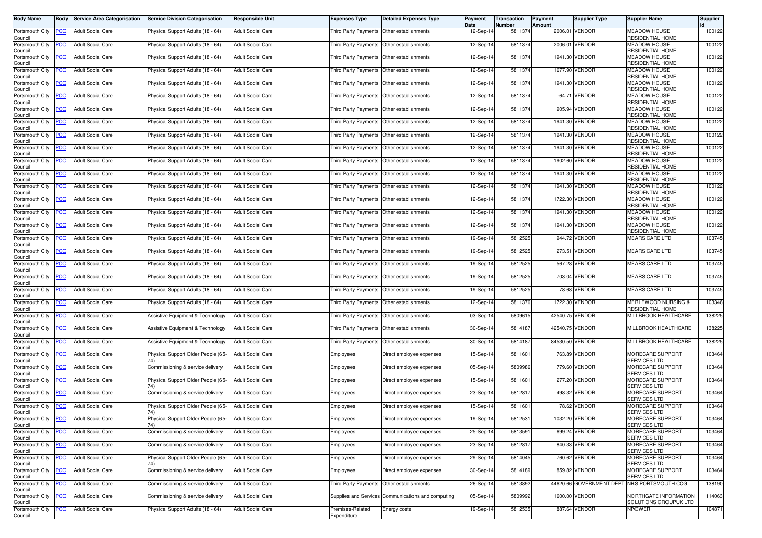| <b>Body Name</b>               | Body       | <b>Service Area Categorisation</b> | <b>Service Division Categorisation</b>    | <b>Responsible Unit</b>  | <b>Expenses Type</b>                        | <b>Detailed Expenses Type</b>                      | Payment<br>Date | Transaction<br>Number | Payment<br>Amount | Supplier Type   | <b>Supplier Name</b>                           | <b>Supplier</b> |
|--------------------------------|------------|------------------------------------|-------------------------------------------|--------------------------|---------------------------------------------|----------------------------------------------------|-----------------|-----------------------|-------------------|-----------------|------------------------------------------------|-----------------|
| Portsmouth City<br>Council     | <b>PCC</b> | <b>Adult Social Care</b>           | Physical Support Adults (18 - 64)         | <b>Adult Social Care</b> | Third Party Payments Other establishments   |                                                    | 12-Sep-14       | 5811374               |                   | 2006.01 VENDOR  | <b>MEADOW HOUSE</b><br><b>RESIDENTIAL HOME</b> | 100122          |
| Portsmouth City<br>Council     | <u>PCC</u> | <b>Adult Social Care</b>           | Physical Support Adults (18 - 64)         | <b>Adult Social Care</b> | Third Party Payments Other establishments   |                                                    | 12-Sep-14       | 5811374               |                   | 2006.01 VENDOR  | <b>MEADOW HOUSE</b><br>RESIDENTIAL HOME        | 100122          |
| Portsmouth City<br>Council     | <u>PCC</u> | <b>Adult Social Care</b>           | Physical Support Adults (18 - 64)         | <b>Adult Social Care</b> | Third Party Payments Other establishments   |                                                    | 12-Sep-14       | 5811374               |                   | 1941.30 VENDOR  | <b>MEADOW HOUSE</b><br><b>RESIDENTIAL HOME</b> | 100122          |
| Portsmouth City<br>Council     | <u>PCC</u> | <b>Adult Social Care</b>           | Physical Support Adults (18 - 64)         | <b>Adult Social Care</b> | Third Party Payments                        | Other establishments                               | 12-Sep-14       | 5811374               |                   | 1677.90 VENDOR  | <b>MEADOW HOUSE</b><br><b>RESIDENTIAL HOME</b> | 100122          |
| Portsmouth City<br>Council     | <u>PCC</u> | <b>Adult Social Care</b>           | Physical Support Adults (18 - 64)         | <b>Adult Social Care</b> | Third Party Payments Other establishments   |                                                    | 12-Sep-14       | 5811374               |                   | 1941.30 VENDOR  | <b>MEADOW HOUSE</b><br><b>RESIDENTIAL HOME</b> | 100122          |
| Portsmouth City<br>Council     | <u>PCC</u> | <b>Adult Social Care</b>           | Physical Support Adults (18 - 64)         | <b>Adult Social Care</b> | Third Party Payments   Other establishments |                                                    | 12-Sep-14       | 5811374               | $-64.71$          | <b>VENDOR</b>   | <b>MEADOW HOUSE</b><br>RESIDENTIAL HOME        | 100122          |
| Portsmouth City<br>Council     | <b>PCC</b> | <b>Adult Social Care</b>           | Physical Support Adults (18 - 64)         | <b>Adult Social Care</b> | <b>Third Party Payments</b>                 | Other establishments                               | 12-Sep-14       | 5811374               |                   | 905.94 VENDOR   | <b>MEADOW HOUSE</b><br><b>RESIDENTIAL HOME</b> | 100122          |
| Portsmouth City<br>Council     | <u>PCC</u> | <b>Adult Social Care</b>           | Physical Support Adults (18 - 64)         | <b>Adult Social Care</b> | Third Party Payments                        | Other establishments                               | 12-Sep-14       | 5811374               |                   | 1941.30 VENDOR  | <b>MEADOW HOUSE</b><br><b>RESIDENTIAL HOME</b> | 100122          |
| Portsmouth City<br>Council     | <u>PCC</u> | <b>Adult Social Care</b>           | Physical Support Adults (18 - 64)         | <b>Adult Social Care</b> | Third Party Payments Other establishments   |                                                    | 12-Sep-14       | 5811374               |                   | 1941.30 VENDOR  | <b>MEADOW HOUSE</b><br><b>RESIDENTIAL HOME</b> | 100122          |
| Portsmouth City<br>Council     | PСC        | Adult Social Care                  | Physical Support Adults (18 - 64)         | <b>Adult Social Care</b> | Third Party Payments                        | Other establishments                               | 12-Sep-14       | 5811374               |                   | 1941.30 VENDOR  | <b>MEADOW HOUSE</b><br>RESIDENTIAL HOME        | 100122          |
| Portsmouth City<br>Council     | <u>PCC</u> | <b>Adult Social Care</b>           | Physical Support Adults (18 - 64)         | <b>Adult Social Care</b> | Third Party Payments                        | Other establishments                               | 12-Sep-14       | 5811374               |                   | 1902.60 VENDOR  | <b>MEADOW HOUSE</b><br><b>RESIDENTIAL HOME</b> | 100122          |
| Portsmouth City<br>Council     | PСC        | <b>Adult Social Care</b>           | Physical Support Adults (18 - 64)         | <b>Adult Social Care</b> | Third Party Payments                        | Other establishments                               | 12-Sep-14       | 5811374               |                   | 1941.30 VENDOR  | <b>MEADOW HOUSE</b><br><b>RESIDENTIAL HOME</b> | 100122          |
| Portsmouth City<br>Council     | <u>PCC</u> | <b>Adult Social Care</b>           | Physical Support Adults (18 - 64)         | <b>Adult Social Care</b> |                                             | Third Party Payments Other establishments          | 12-Sep-14       | 5811374               |                   | 1941.30 VENDOR  | <b>MEADOW HOUSE</b><br><b>RESIDENTIAL HOME</b> | 100122          |
| Portsmouth City<br>Council     | <b>PCC</b> | <b>Adult Social Care</b>           | Physical Support Adults (18 - 64)         | <b>Adult Social Care</b> |                                             | Third Party Payments Other establishments          | 12-Sep-14       | 5811374               |                   | 1722.30 VENDOR  | <b>MEADOW HOUSE</b><br><b>RESIDENTIAL HOME</b> | 100122          |
| Portsmouth City<br>Council     | <u>PCC</u> | <b>Adult Social Care</b>           | Physical Support Adults (18 - 64)         | <b>Adult Social Care</b> | Third Party Payments                        | Other establishments                               | 12-Sep-14       | 5811374               |                   | 1941.30 VENDOR  | <b>MEADOW HOUSE</b><br>RESIDENTIAL HOME        | 100122          |
| Portsmouth City<br>Council     | <b>PCC</b> | <b>Adult Social Care</b>           | Physical Support Adults (18 - 64)         | <b>Adult Social Care</b> | <b>Third Party Payments</b>                 | Other establishments                               | 12-Sep-14       | 5811374               |                   | 1941.30 VENDOR  | <b>MEADOW HOUSE</b><br><b>RESIDENTIAL HOME</b> | 100122          |
| Portsmouth City<br>Council     | <u>PCC</u> | <b>Adult Social Care</b>           | Physical Support Adults (18 - 64)         | <b>Adult Social Care</b> | Third Party Payments Other establishments   |                                                    | 19-Sep-14       | 5812525               |                   | 944.72 VENDOR   | <b>MEARS CARE LTD</b>                          | 103745          |
| Portsmouth City<br>Council     | <u>PCC</u> | <b>Adult Social Care</b>           | Physical Support Adults (18 - 64)         | <b>Adult Social Care</b> | Third Party Payments                        | Other establishments                               | 19-Sep-14       | 5812525               |                   | 273.51 VENDOR   | <b>MEARS CARE LTD</b>                          | 103745          |
| Portsmouth City<br>Council     | <b>PCC</b> | <b>Adult Social Care</b>           | Physical Support Adults (18 - 64)         | <b>Adult Social Care</b> | Third Party Payments                        | Other establishments                               | 19-Sep-14       | 5812525               |                   | 567.28 VENDOR   | <b>MEARS CARE LTD</b>                          | 103745          |
| Portsmouth City<br>Council     | <b>PCC</b> | <b>Adult Social Care</b>           | Physical Support Adults (18 - 64)         | <b>Adult Social Care</b> | <b>Third Party Payments</b>                 | Other establishments                               | 19-Sep-14       | 5812525               |                   | 703.04 VENDOR   | <b>MEARS CARE LTD</b>                          | 103745          |
| Portsmouth City<br>Council     | <u>CC</u>  | Adult Social Care                  | Physical Support Adults (18 - 64)         | <b>Adult Social Care</b> | <b>Third Party Payments</b>                 | Other establishments                               | 19-Sep-14       | 5812525               |                   | 78.68 VENDOR    | <b>MEARS CARE LTD</b>                          | 103745          |
| Portsmouth City<br>Council     | <b>PCC</b> | <b>Adult Social Care</b>           | Physical Support Adults (18 - 64)         | <b>Adult Social Care</b> | Third Party Payments Other establishments   |                                                    | 12-Sep-14       | 5811376               |                   | 1722.30 VENDOR  | MERLEWOOD NURSING &<br><b>RESIDENTIAL HOME</b> | 103346          |
| Portsmouth City<br>Council     | <b>PCC</b> | <b>Adult Social Care</b>           | Assistive Equipment & Technology          | <b>Adult Social Care</b> | Third Party Payments                        | Other establishments                               | 03-Sep-14       | 5809615               |                   | 42540.75 VENDOR | MILLBROOK HEALTHCARE                           | 138225          |
| Portsmouth City<br>Council     | <b>PCC</b> | <b>Adult Social Care</b>           | Assistive Equipment & Technology          | <b>Adult Social Care</b> | Third Party Payments Other establishments   |                                                    | 30-Sep-14       | 5814187               |                   | 42540.75 VENDOR | MILLBROOK HEALTHCARE                           | 138225          |
| Portsmouth City<br>Council     | PCC.       | <b>Adult Social Care</b>           | Assistive Equipment & Technology          | <b>Adult Social Care</b> | Third Party Payments Other establishments   |                                                    | 30-Sep-14       | 5814187               |                   | 84530.50 VENDOR | MILLBROOK HEALTHCARE                           | 138225          |
| Portsmouth City<br>Council     | <b>PCC</b> | <b>Adult Social Care</b>           | Physical Support Older People (65-        | <b>Adult Social Care</b> | Employees                                   | Direct employee expenses                           | 15-Sep-14       | 5811601               |                   | 763.89 VENDOR   | MORECARE SUPPORT<br><b>SERVICES LTD</b>        | 103464          |
| Portsmouth City<br>Council     | <u>PCC</u> | <b>Adult Social Care</b>           | Commissioning & service delivery          | <b>Adult Social Care</b> | Employees                                   | Direct employee expenses                           | 05-Sep-14       | 5809986               |                   | 779.60 VENDOR   | MORECARE SUPPORT<br><b>SERVICES LTD</b>        | 103464          |
| Portsmouth City<br>Council     | <u>PCC</u> | <b>Adult Social Care</b>           | Physical Support Older People (65-        | <b>Adult Social Care</b> | Employees                                   | Direct employee expenses                           | 15-Sep-14       | 5811601               |                   | 277.20 VENDOR   | MORECARE SUPPORT<br><b>SERVICES LTD</b>        | 103464          |
| Portsmouth City<br>Council     | <u>PCC</u> | <b>Adult Social Care</b>           | Commissioning & service delivery          | <b>Adult Social Care</b> | Employees                                   | Direct employee expenses                           | 23-Sep-14       | 5812817               |                   | 498.32 VENDOR   | <b>MORECARE SUPPORT</b><br><b>SERVICES LTD</b> | 103464          |
| Portsmouth City<br>Council     | <b>PCC</b> | <b>Adult Social Care</b>           | Physical Support Older People (65-<br>74) | <b>Adult Social Care</b> | Employees                                   | Direct employee expenses                           | 15-Sep-14       | 5811601               |                   | 78.62 VENDOR    | MORECARE SUPPORT<br><b>SERVICES LTD</b>        | 103464          |
| Portsmouth City PCC<br>Council |            | <b>Adult Social Care</b>           | Physical Support Older People (65-<br>74) | <b>Adult Social Care</b> | Employees                                   | Direct employee expenses                           | 19-Sep-14       | 5812531               |                   | 1032.20 VENDOR  | MORECARE SUPPORT<br><b>SERVICES LTD</b>        | 103464          |
| Portsmouth City<br>Council     | <b>PCC</b> | <b>Adult Social Care</b>           | Commissioning & service delivery          | <b>Adult Social Care</b> | Employees                                   | Direct employee expenses                           | 25-Sep-14       | 5813591               |                   | 699.24 VENDOR   | MORECARE SUPPORT<br>SERVICES LTD               | 103464          |
| Portsmouth City<br>Council     | <b>PCC</b> | <b>Adult Social Care</b>           | Commissioning & service delivery          | <b>Adult Social Care</b> | Employees                                   | Direct employee expenses                           | 23-Sep-14       | 5812817               |                   | 840.33 VENDOR   | MORECARE SUPPORT<br>SERVICES LTD               | 103464          |
| Portsmouth City<br>Council     | <b>PCC</b> | <b>Adult Social Care</b>           | Physical Support Older People (65-<br>74) | <b>Adult Social Care</b> | Employees                                   | Direct employee expenses                           | 29-Sep-14       | 5814045               |                   | 760.62 VENDOR   | MORECARE SUPPORT<br>SERVICES LTD               | 103464          |
| Portsmouth City<br>Council     | <b>PCC</b> | <b>Adult Social Care</b>           | Commissioning & service delivery          | <b>Adult Social Care</b> | Employees                                   | Direct employee expenses                           | 30-Sep-14       | 5814189               |                   | 859.82 VENDOR   | MORECARE SUPPORT<br><b>SERVICES LTD</b>        | 103464          |
| Portsmouth City<br>Council     | <b>PCC</b> | <b>Adult Social Care</b>           | Commissioning & service delivery          | <b>Adult Social Care</b> | <b>Third Party Payments</b>                 | Other establishments                               | 26-Sep-14       | 5813892               |                   |                 | 44620.66 GOVERNMENT DEPT INHS PORTSMOUTH CCG   | 138190          |
| Portsmouth City<br>Council     | PCC        | <b>Adult Social Care</b>           | Commissioning & service delivery          | <b>Adult Social Care</b> |                                             | Supplies and Services Communications and computing | 05-Sep-14       | 5809992               |                   | 1600.00 VENDOR  | NORTHGATE INFORMATION<br>SOLUTIONS GROUPUK LTD | 114063          |
| Portsmouth City<br>Council     | <b>CC</b>  | <b>Adult Social Care</b>           | Physical Support Adults (18 - 64)         | <b>Adult Social Care</b> | Premises-Related<br>Expenditure             | Energy costs                                       | 19-Sep-14       | 5812535               |                   | 887.64 VENDOR   | <b>NPOWER</b>                                  | 104871          |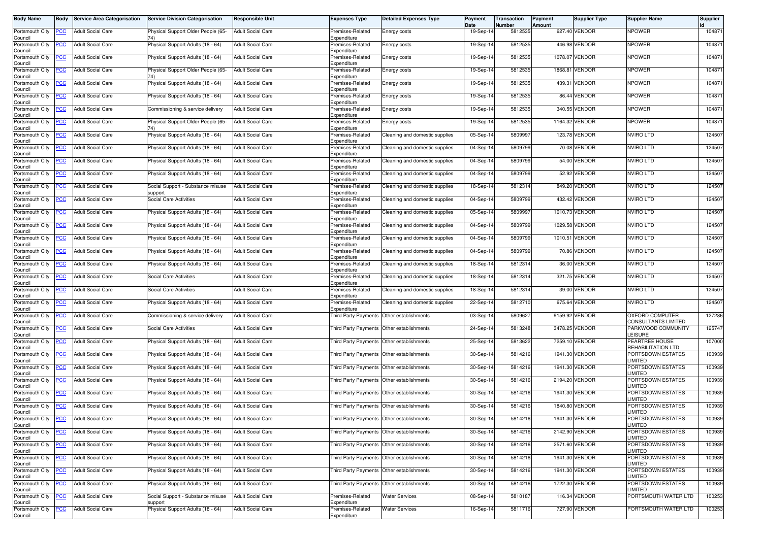| <b>Body Name</b>                                                           | <b>Body</b>    | <b>Service Area Categorisation</b> | <b>Service Division Categorisation</b>       | <b>Responsible Unit</b>  | <b>Expenses Type</b>                      | <b>Detailed Expenses Type</b>             | Payment<br>Date | Transaction<br>Number | Payment<br>Amount | Supplier Type  | <b>Supplier Name</b>                   | Supplier |
|----------------------------------------------------------------------------|----------------|------------------------------------|----------------------------------------------|--------------------------|-------------------------------------------|-------------------------------------------|-----------------|-----------------------|-------------------|----------------|----------------------------------------|----------|
| Portsmouth City<br>Council                                                 | PCC            | <b>Adult Social Care</b>           | Physical Support Older People (65-           | <b>Adult Social Care</b> | Premises-Related<br>Expenditure           | Energy costs                              | 19-Sep-14       | 5812535               |                   | 627.40 VENDOR  | <b>NPOWER</b>                          | 104871   |
| Portsmouth City<br>Council                                                 | <b>PCC</b>     | <b>Adult Social Care</b>           | Physical Support Adults (18 - 64)            | <b>Adult Social Care</b> | Premises-Related<br>Expenditure           | Energy costs                              | 19-Sep-14       | 5812535               |                   | 446.98 VENDOR  | <b>NPOWER</b>                          | 104871   |
| Portsmouth City<br>Council                                                 | <u>PCC</u>     | <b>Adult Social Care</b>           | Physical Support Adults (18 - 64)            | <b>Adult Social Care</b> | Premises-Related<br>Expenditure           | Energy costs                              | 19-Sep-14       | 5812535               | 1078.07           | VENDOR         | <b>NPOWER</b>                          | 104871   |
| Portsmouth City<br>Council                                                 | <b>PCC</b>     | <b>Adult Social Care</b>           | Physical Support Older People (65-           | <b>Adult Social Care</b> | Premises-Related<br>Expenditure           | Energy costs                              | 19-Sep-14       | 5812535               | 1868.81           | VENDOR         | <b>NPOWER</b>                          | 104871   |
| Portsmouth City<br>Council                                                 | $\overline{C}$ | <b>Adult Social Care</b>           | Physical Support Adults (18 - 64)            | <b>Adult Social Care</b> | Premises-Related<br>Expenditure           | Energy costs                              | 19-Sep-14       | 5812535               | 439.31            | VENDOR         | <b>NPOWER</b>                          | 104871   |
| Portsmouth City<br>Council                                                 | <u>PCC</u>     | <b>Adult Social Care</b>           | Physical Support Adults (18 - 64)            | <b>Adult Social Care</b> | Premises-Related<br>Expenditure           | Energy costs                              | 19-Sep-14       | 5812535               | 86.44             | VENDOR         | <b>NPOWER</b>                          | 104871   |
| Portsmouth City<br>Council                                                 | <b>PCC</b>     | <b>Adult Social Care</b>           | Commissioning & service delivery             | <b>Adult Social Care</b> | Premises-Related<br>Expenditure           | Energy costs                              | 19-Sep-14       | 5812535               |                   | 340.55 VENDOR  | <b>NPOWER</b>                          | 104871   |
| Portsmouth City<br>Council                                                 | <b>PCC</b>     | <b>Adult Social Care</b>           | Physical Support Older People (65-           | <b>Adult Social Care</b> | Premises-Related<br>Expenditure           | Energy costs                              | 19-Sep-14       | 5812535               |                   | 1164.32 VENDOR | <b>NPOWER</b>                          | 104871   |
| Portsmouth City<br>Council                                                 | PСC            | <b>Adult Social Care</b>           | Physical Support Adults (18 - 64)            | <b>Adult Social Care</b> | Premises-Related<br>Expenditure           | Cleaning and domestic supplies            | 05-Sep-14       | 5809997               |                   | 123.78 VENDOR  | <b>NVIRO LTD</b>                       | 124507   |
| Portsmouth City<br>Council                                                 | <b>PCC</b>     | <b>Adult Social Care</b>           | Physical Support Adults (18 - 64)            | <b>Adult Social Care</b> | Premises-Related<br>Expenditure           | Cleaning and domestic supplies            | 04-Sep-14       | 5809799               |                   | 70.08 VENDOR   | <b>NVIRO LTD</b>                       | 124507   |
| Portsmouth City<br>Council                                                 | <b>PCC</b>     | <b>Adult Social Care</b>           | Physical Support Adults (18 - 64)            | <b>Adult Social Care</b> | Premises-Related<br>Expenditure           | Cleaning and domestic supplies            | 04-Sep-14       | 5809799               |                   | 54.00 VENDOR   | <b>NVIRO LTD</b>                       | 124507   |
| Portsmouth City<br>Council                                                 | <u>PCC</u>     | <b>Adult Social Care</b>           | Physical Support Adults (18 - 64)            | <b>Adult Social Care</b> | Premises-Related<br>Expenditure           | Cleaning and domestic supplies            | 04-Sep-14       | 5809799               |                   | 52.92 VENDOR   | <b>NVIRO LTD</b>                       | 124507   |
| Portsmouth City<br>Council                                                 | PCC            | <b>Adult Social Care</b>           | Social Support - Substance misuse<br>support | <b>Adult Social Care</b> | Premises-Related<br>Expenditure           | Cleaning and domestic supplies            | 18-Sep-14       | 5812314               |                   | 849.20 VENDOR  | <b>NVIRO LTD</b>                       | 124507   |
| Portsmouth City<br>Council                                                 | PСC            | <b>Adult Social Care</b>           | <b>Social Care Activities</b>                | <b>Adult Social Care</b> | Premises-Related<br>Expenditure           | Cleaning and domestic supplies            | 04-Sep-14       | 5809799               |                   | 432.42 VENDOR  | <b>NVIRO LTD</b>                       | 124507   |
| Portsmouth City<br>Council                                                 | PCC            | <b>Adult Social Care</b>           | Physical Support Adults (18 - 64)            | <b>Adult Social Care</b> | Premises-Related<br>Expenditure           | Cleaning and domestic supplies            | 05-Sep-14       | 5809997               |                   | 1010.73 VENDOR | <b>NVIRO LTD</b>                       | 124507   |
| Portsmouth City<br>Council                                                 | <b>PCC</b>     | <b>Adult Social Care</b>           | Physical Support Adults (18 - 64)            | <b>Adult Social Care</b> | Premises-Related<br>Expenditure           | Cleaning and domestic supplies            | 04-Sep-14       | 5809799               | 1029.58           | VENDOR         | <b>NVIRO LTD</b>                       | 124507   |
| Portsmouth City<br>Council                                                 | <b>PCC</b>     | <b>Adult Social Care</b>           | Physical Support Adults (18 - 64)            | <b>Adult Social Care</b> | Premises-Related<br>Expenditure           | Cleaning and domestic supplies            | 04-Sep-14       | 5809799               | 1010.51           | VENDOR         | <b>NVIRO LTD</b>                       | 124507   |
| Portsmouth City<br>Council                                                 | <b>PCC</b>     | <b>Adult Social Care</b>           | Physical Support Adults (18 - 64)            | <b>Adult Social Care</b> | Premises-Related<br>Expenditure           | Cleaning and domestic supplies            | 04-Sep-14       | 5809799               |                   | 70.86 VENDOR   | <b>NVIRO LTD</b>                       | 124507   |
| Portsmouth City<br>Council                                                 | <b>PCC</b>     | <b>Adult Social Care</b>           | Physical Support Adults (18 - 64)            | <b>Adult Social Care</b> | Premises-Related<br>Expenditure           | Cleaning and domestic supplies            | 18-Sep-14       | 5812314               |                   | 36.00 VENDOR   | <b>NVIRO LTD</b>                       | 124507   |
| Portsmouth City<br>Council                                                 | PСC            | <b>Adult Social Care</b>           | <b>Social Care Activities</b>                | <b>Adult Social Care</b> | Premises-Related<br>Expenditure           | Cleaning and domestic supplies            | 18-Sep-14       | 5812314               |                   | 321.75 VENDOR  | <b>NVIRO LTD</b>                       | 124507   |
| Portsmouth City<br>Council                                                 | PCC            | <b>Adult Social Care</b>           | Social Care Activities                       | <b>Adult Social Care</b> | Premises-Related<br>Expenditure           | Cleaning and domestic supplies            | 18-Sep-14       | 5812314               |                   | 39.00 VENDOR   | <b>NVIRO LTD</b>                       | 124507   |
| Portsmouth City<br>Council                                                 | сC             | <b>Adult Social Care</b>           | Physical Support Adults (18 - 64)            | <b>Adult Social Care</b> | Premises-Related<br>Expenditure           | Cleaning and domestic supplies            | 22-Sep-14       | 5812710               | 675.64            | VENDOR         | <b>NVIRO LTD</b>                       | 124507   |
| Portsmouth City<br>Council                                                 | <b>PCC</b>     | <b>Adult Social Care</b>           | Commissioning & service delivery             | <b>Adult Social Care</b> |                                           | Third Party Payments Other establishments | 03-Sep-14       | 5809627               |                   | 9159.92 VENDOR | OXFORD COMPUTER<br>CONSULTANTS LIMITED | 127286   |
| Portsmouth City<br>Council                                                 | PСC            | <b>Adult Social Care</b>           | Social Care Activities                       | <b>Adult Social Care</b> | Third Party Payments                      | Other establishments                      | 24-Sep-14       | 5813248               |                   | 3478.25 VENDOR | PARKWOOD COMMUNITY<br>LEISURE          | 125747   |
| Portsmouth City<br>Council                                                 | <b>PCC</b>     | <b>Adult Social Care</b>           | Physical Support Adults (18 - 64)            | <b>Adult Social Care</b> | Third Party Payments Other establishments |                                           | 25-Sep-14       | 5813622               |                   | 7259.10 VENDOR | PEARTREE HOUSE<br>REHABILITATION LTD   | 107000   |
| Portsmouth City<br>Council                                                 | <u>PCC</u>     | <b>Adult Social Care</b>           | Physical Support Adults (18 - 64)            | <b>Adult Social Care</b> |                                           | Third Party Payments Other establishments | 30-Sep-14       | 5814216               |                   | 1941.30 VENDOR | PORTSDOWN ESTATES<br>LIMITED           | 100939   |
| Portsmouth City<br>Council                                                 | <b>PCC</b>     | <b>Adult Social Care</b>           | Physical Support Adults (18 - 64)            | <b>Adult Social Care</b> | Third Party Payments Other establishments |                                           | 30-Sep-14       | 5814216               |                   | 1941.30 VENDOR | PORTSDOWN ESTATES<br><b>IMITED</b>     | 100939   |
| Portsmouth City<br>Council                                                 | <b>PCC</b>     | <b>Adult Social Care</b>           | Physical Support Adults (18 - 64)            | <b>Adult Social Care</b> | Third Party Payments                      | Other establishments                      | 30-Sep-14       | 5814216               |                   | 2194.20 VENDOR | PORTSDOWN ESTATES<br><b>LIMITED</b>    | 100939   |
| Portsmouth City<br>Council                                                 | <u>PCC</u>     | <b>Adult Social Care</b>           | Physical Support Adults (18 - 64)            | <b>Adult Social Care</b> | <b>Third Party Payments</b>               | Other establishments                      | 30-Sep-14       | 5814216               |                   | 1941.30 VENDOR | PORTSDOWN ESTATES<br><b>IMITED</b>     | 100939   |
| Portsmouth City<br>Council                                                 | <b>PCC</b>     | <b>Adult Social Care</b>           | Physical Support Adults (18 - 64)            | <b>Adult Social Care</b> | Third Party Payments                      | Other establishments                      | 30-Sep-14       | 5814216               |                   | 1840.80 VENDOR | PORTSDOWN ESTATES<br><b>IMITED</b>     | 100939   |
| Portsmouth City <b>PCC</b> Adult Social Care<br>Council<br>Portsmouth City |                |                                    | Physical Support Adults (18 - 64)            | <b>Adult Social Care</b> | Third Party Payments Other establishments |                                           | 30-Sep-14       | 5814216               |                   | 1941.30 VENDOR | PORTSDOWN ESTATES<br><b>LIMITED</b>    | 100939   |
| Council                                                                    | <b>PCC</b>     | <b>Adult Social Care</b>           | Physical Support Adults (18 - 64)            | <b>Adult Social Care</b> | Third Party Payments Other establishments |                                           | 30-Sep-14       | 5814216               |                   | 2142.90 VENDOR | PORTSDOWN ESTATES<br><b>IMITED</b>     | 100939   |
| Portsmouth City<br>Council                                                 | <b>PCC</b>     | <b>Adult Social Care</b>           | Physical Support Adults (18 - 64)            | <b>Adult Social Care</b> | Third Party Payments                      | Other establishments                      | 30-Sep-14       | 5814216               |                   | 2571.60 VENDOR | PORTSDOWN ESTATES<br>LIMITED           | 100939   |
| Portsmouth City<br>Council                                                 | <u>PCC</u>     | <b>Adult Social Care</b>           | Physical Support Adults (18 - 64)            | <b>Adult Social Care</b> | Third Party Payments                      | Other establishments                      | 30-Sep-14       | 5814216               |                   | 1941.30 VENDOR | PORTSDOWN ESTATES<br>LIMITED           | 100939   |
| Portsmouth City<br>Council                                                 | <u>PCC</u>     | <b>Adult Social Care</b>           | Physical Support Adults (18 - 64)            | <b>Adult Social Care</b> |                                           | Third Party Payments Other establishments | 30-Sep-14       | 5814216               |                   | 1941.30 VENDOR | PORTSDOWN ESTATES<br>LIMITED           | 100939   |
| Portsmouth City<br>Council                                                 | <b>PCC</b>     | <b>Adult Social Care</b>           | Physical Support Adults (18 - 64)            | <b>Adult Social Care</b> |                                           | Third Party Payments Other establishments | 30-Sep-14       | 5814216               |                   | 1722.30 VENDOR | PORTSDOWN ESTATES<br><b>IMITED</b>     | 100939   |
| Portsmouth City<br>Council                                                 | <u>PCC</u>     | <b>Adult Social Care</b>           | Social Support - Substance misuse<br>support | <b>Adult Social Care</b> | Premises-Related<br>Expenditure           | <b>Water Services</b>                     | 08-Sep-14       | 5810187               |                   | 116.34 VENDOR  | PORTSMOUTH WATER LTD                   | 100253   |
| Portsmouth City<br>Council                                                 | <u>PCC</u>     | <b>Adult Social Care</b>           | Physical Support Adults (18 - 64)            | <b>Adult Social Care</b> | Premises-Related<br>Expenditure           | <b>Water Services</b>                     | 16-Sep-14       | 5811716               |                   | 727.90 VENDOR  | PORTSMOUTH WATER LTD                   | 100253   |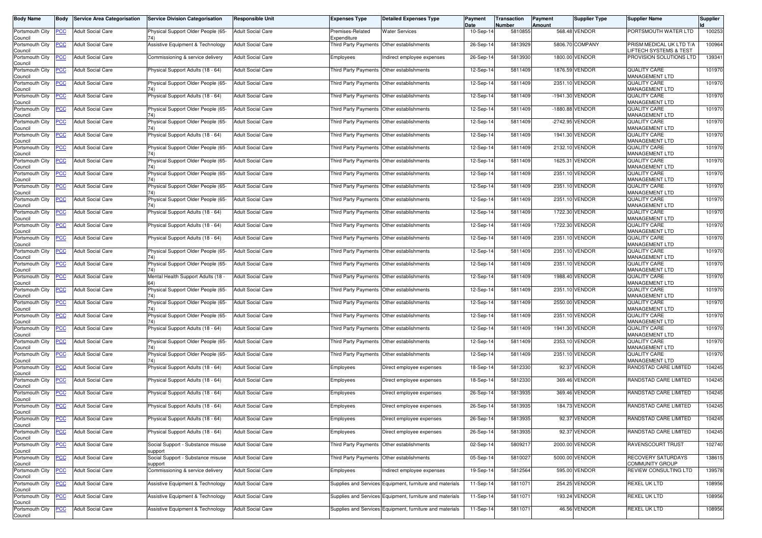| <b>Body Name</b>                                 | <b>Body</b> | <b>Service Area Categorisation</b> | <b>Service Division Categorisation</b>       | <b>Responsible Unit</b>  | <b>Expenses Type</b>                      | <b>Detailed Expenses Type</b>                            | Payment<br>Date | Transaction<br><b>Number</b> | Payment<br>Amount | Supplier Type   | <b>Supplier Name</b>                              | <b>Supplier</b> |
|--------------------------------------------------|-------------|------------------------------------|----------------------------------------------|--------------------------|-------------------------------------------|----------------------------------------------------------|-----------------|------------------------------|-------------------|-----------------|---------------------------------------------------|-----------------|
| Portsmouth City<br>Council                       | <b>PCC</b>  | <b>Adult Social Care</b>           | Physical Support Older People (65-           | <b>Adult Social Care</b> | Premises-Related<br>Expenditure           | <b>Water Services</b>                                    | 10-Sep-14       | 5810855                      |                   | 568.48 VENDOR   | PORTSMOUTH WATER LTD                              | 100253          |
| Portsmouth City<br>Council                       | <b>PCC</b>  | <b>Adult Social Care</b>           | Assistive Equipment & Technology             | <b>Adult Social Care</b> | Third Party Payments Other establishments |                                                          | 26-Sep-1        | 5813929                      |                   | 5806.70 COMPANY | PRISM MEDICAL UK LTD T/A<br>IFTECH SYSTEMS & TEST | 100964          |
| Portsmouth City<br>Council                       | <u>PCC</u>  | <b>Adult Social Care</b>           | Commissioning & service delivery             | <b>Adult Social Care</b> | Employees                                 | Indirect employee expenses                               | 26-Sep-14       | 5813930                      |                   | 1800.00 VENDOR  | PROVISION SOLUTIONS LTD                           | 139341          |
| Portsmouth City<br>Council                       | <b>PCC</b>  | <b>Adult Social Care</b>           | Physical Support Adults (18 - 64)            | <b>Adult Social Care</b> | Third Party Payments                      | Other establishments                                     | 12-Sep-14       | 5811409                      |                   | 1876.59 VENDOR  | <b>QUALITY CARE</b><br>MANAGEMENT LTD             | 101970          |
| Portsmouth City<br>Council                       | <b>PCC</b>  | <b>Adult Social Care</b>           | Physical Support Older People (65-           | <b>Adult Social Care</b> | Third Party Payments Other establishments |                                                          | 12-Sep-14       | 5811409                      |                   | 2351.10 VENDOR  | QUALITY CARE<br>MANAGEMENT LTD                    | 101970          |
| Portsmouth City<br>Council                       | <b>PCC</b>  | <b>Adult Social Care</b>           | Physical Support Adults (18 - 64)            | <b>Adult Social Care</b> | Third Party Payments Other establishments |                                                          | 12-Sep-14       | 5811409                      |                   | -1941.30 VENDOR | <b>QUALITY CARE</b><br>MANAGEMENT LTD             | 101970          |
| Portsmouth City<br>Council                       | <b>PCC</b>  | <b>Adult Social Care</b>           | Physical Support Older People (65-           | <b>Adult Social Care</b> | Third Party Payments                      | Other establishments                                     | 12-Sep-14       | 5811409                      |                   | -1880.88 VENDOR | <b>QUALITY CARE</b><br>MANAGEMENT LTD             | 101970          |
| Portsmouth City<br>Council                       | <b>PCC</b>  | <b>Adult Social Care</b>           | Physical Support Older People (65-           | <b>Adult Social Care</b> | Third Party Payments                      | Other establishments                                     | 12-Sep-14       | 5811409                      |                   | -2742.95 VENDOR | QUALITY CARE<br>MANAGEMENT LTD                    | 101970          |
| Portsmouth City<br>Council                       | PСC         | <b>Adult Social Care</b>           | Physical Support Adults (18 - 64)            | <b>Adult Social Care</b> | Third Party Payments Other establishments |                                                          | 12-Sep-14       | 5811409                      |                   | 1941.30 VENDOR  | <b>QUALITY CARE</b><br><b>MANAGEMENT LTD</b>      | 101970          |
| Portsmouth City<br>Council                       | <b>PCC</b>  | <b>Adult Social Care</b>           | Physical Support Older People (65-           | <b>Adult Social Care</b> |                                           | Third Party Payments Other establishments                | 12-Sep-14       | 5811409                      |                   | 2132.10 VENDOR  | <b>QUALITY CARE</b><br>MANAGEMENT LTD             | 101970          |
| Portsmouth City<br>Council                       | <u>PCC</u>  | <b>Adult Social Care</b>           | Physical Support Older People (65-           | <b>Adult Social Care</b> | Third Party Payments Other establishments |                                                          | 12-Sep-14       | 5811409                      |                   | 1625.31 VENDOR  | <b>QUALITY CARE</b><br>MANAGEMENT LTD             | 101970          |
| Portsmouth City<br>Council                       | <b>PCC</b>  | <b>Adult Social Care</b>           | Physical Support Older People (65-           | <b>Adult Social Care</b> | Third Party Payments Other establishments |                                                          | 12-Sep-14       | 5811409                      |                   | 2351.10 VENDOR  | <b>QUALITY CARE</b><br>MANAGEMENT LTD             | 101970          |
| Portsmouth City<br>Council                       | <u>PCC</u>  | <b>Adult Social Care</b>           | Physical Support Older People (65-           | <b>Adult Social Care</b> | Third Party Payments Other establishments |                                                          | 12-Sep-14       | 5811409                      |                   | 2351.10 VENDOR  | QUALITY CARE<br><b>MANAGEMENT LTD</b>             | 101970          |
| Portsmouth City<br>Council                       | <b>PCC</b>  | <b>Adult Social Care</b>           | Physical Support Older People (65-           | <b>Adult Social Care</b> | Third Party Payments Other establishments |                                                          | 12-Sep-14       | 5811409                      |                   | 2351.10 VENDOR  | <b>QUALITY CARE</b><br>MANAGEMENT LTD             | 101970          |
| Portsmouth City<br>Council                       | <u>PCC</u>  | <b>Adult Social Care</b>           | Physical Support Adults (18 - 64)            | <b>Adult Social Care</b> |                                           | Third Party Payments Other establishments                | 12-Sep-14       | 5811409                      |                   | 1722.30 VENDOR  | <b>QUALITY CARE</b><br>MANAGEMENT LTD             | 101970          |
| Portsmouth City<br>Council                       | <b>PCC</b>  | <b>Adult Social Care</b>           | Physical Support Adults (18 - 64)            | <b>Adult Social Care</b> | Third Party Payments Other establishments |                                                          | 12-Sep-14       | 5811409                      |                   | 1722.30 VENDOR  | QUALITY CARE<br>MANAGEMENT LTD                    | 101970          |
| Portsmouth City<br>Council                       |             | <b>Adult Social Care</b>           | Physical Support Adults (18 - 64)            | <b>Adult Social Care</b> | Third Party Payments                      | Other establishments                                     | 12-Sep-14       | 5811409                      |                   | 2351.10 VENDOR  | <b>QUALITY CARE</b><br>MANAGEMENT LTD             | 101970          |
| Portsmouth City<br>Council                       | <u>PCC</u>  | <b>Adult Social Care</b>           | Physical Support Older People (65-           | <b>Adult Social Care</b> | Third Party Payments Other establishments |                                                          | 12-Sep-14       | 5811409                      |                   | 2351.10 VENDOR  | QUALITY CARE<br>MANAGEMENT LTD                    | 101970          |
| Portsmouth City<br>Council                       | <u>PCC</u>  | <b>Adult Social Care</b>           | Physical Support Older People (65-           | <b>Adult Social Care</b> | Third Party Payments Other establishments |                                                          | 12-Sep-1        | 5811409                      |                   | 2351.10 VENDOR  | <b>QUALITY CARE</b><br>MANAGEMENT LTD             | 101970          |
| Portsmouth City<br>Council                       | <b>PCC</b>  | <b>Adult Social Care</b>           | Mental Health Support Adults (18             | <b>Adult Social Care</b> | Third Party Payments Other establishments |                                                          | 12-Sep-14       | 5811409                      |                   | 1988.40 VENDOR  | QUALITY CARE<br>MANAGEMENT LTD                    | 101970          |
| Portsmouth City<br>Council                       | <u>PCC</u>  | Adult Social Care                  | Physical Support Older People (65-           | <b>Adult Social Care</b> | Third Party Payments                      | Other establishments                                     | 12-Sep-14       | 5811409                      |                   | 2351.10 VENDOR  | <b>QUALITY CARE</b><br>MANAGEMENT LTD             | 101970          |
| Portsmouth City<br>Council                       | <b>PCC</b>  | <b>Adult Social Care</b>           | Physical Support Older People (65-           | <b>Adult Social Care</b> | Third Party Payments Other establishments |                                                          | 12-Sep-14       | 5811409                      |                   | 2550.00 VENDOR  | <b>QUALITY CARE</b><br>MANAGEMENT LTD             | 101970          |
| Portsmouth City<br>Council                       | <b>PCC</b>  | <b>Adult Social Care</b>           | Physical Support Older People (65-           | <b>Adult Social Care</b> | Third Party Payments Other establishments |                                                          | 12-Sep-14       | 5811409                      |                   | 2351.10 VENDOR  | QUALITY CARE<br>MANAGEMENT LTD                    | 101970          |
| Portsmouth City<br>Council                       | <u>PCC</u>  | <b>Adult Social Care</b>           | Physical Support Adults (18 - 64)            | <b>Adult Social Care</b> | Third Party Payments Other establishments |                                                          | 12-Sep-14       | 5811409                      |                   | 1941.30 VENDOR  | QUALITY CARE<br>MANAGEMENT LTD                    | 101970          |
| Portsmouth City<br>Council                       | PCC.        | <b>Adult Social Care</b>           | Physical Support Older People (65-           | <b>Adult Social Care</b> | Third Party Payments                      | Other establishments                                     | 12-Sep-14       | 5811409                      |                   | 2353.10 VENDOR  | QUALITY CARE<br>MANAGEMENT LTD                    | 101970          |
| Portsmouth City<br>Council                       | <u>PCC</u>  | Adult Social Care                  | Physical Support Older People (65-           | <b>Adult Social Care</b> | Third Party Payments Other establishments |                                                          | 12-Sep-14       | 5811409                      |                   | 2351.10 VENDOR  | QUALITY CARE<br>MANAGEMENT LTD                    | 101970          |
| Portsmouth City<br>Council                       | <b>PCC</b>  | <b>Adult Social Care</b>           | Physical Support Adults (18 - 64)            | <b>Adult Social Care</b> | Employees                                 | Direct employee expenses                                 | 18-Sep-14       | 5812330                      |                   | 92.37 VENDOR    | RANDSTAD CARE LIMITED                             | 104245          |
| Portsmouth City<br>Council                       | <b>PCC</b>  | <b>Adult Social Care</b>           | Physical Support Adults (18 - 64)            | <b>Adult Social Care</b> | Employees                                 | Direct employee expenses                                 | 18-Sep-14       | 5812330                      |                   | 369.46 VENDOR   | RANDSTAD CARE LIMITED                             | 104245          |
| Portsmouth City<br>Council                       | <b>PCC</b>  | <b>Adult Social Care</b>           | Physical Support Adults (18 - 64)            | <b>Adult Social Care</b> | Employees                                 | Direct employee expenses                                 | 26-Sep-14       | 5813935                      |                   | 369.46 VENDOR   | RANDSTAD CARE LIMITED                             | 104245          |
| Portsmouth City<br>Council                       | <b>PCC</b>  | <b>Adult Social Care</b>           | Physical Support Adults (18 - 64)            | <b>Adult Social Care</b> | Employees                                 | Direct employee expenses                                 | 26-Sep-14       | 5813935                      |                   | 184.73 VENDOR   | RANDSTAD CARE LIMITED                             | 104245          |
| Portsmouth City PCC Adult Social Care<br>Council |             |                                    | Physical Support Adults (18 - 64)            | <b>Adult Social Care</b> | Employees                                 | Direct employee expenses                                 | 26-Sep-14       | 5813935                      |                   | 92.37 VENDOR    | RANDSTAD CARE LIMITED                             | 104245          |
| Portsmouth City<br>Council                       | <u>PCC</u>  | <b>Adult Social Care</b>           | Physical Support Adults (18 - 64)            | <b>Adult Social Care</b> | Employees                                 | Direct employee expenses                                 | 26-Sep-14       | 5813935                      |                   | 92.37 VENDOR    | RANDSTAD CARE LIMITED                             | 104245          |
| Portsmouth City<br>Council<br>Portsmouth City    | <b>PCC</b>  | <b>Adult Social Care</b>           | Social Support - Substance misuse<br>support | <b>Adult Social Care</b> | <b>Third Party Payments</b>               | Other establishments                                     | 02-Sep-14       | 5809217                      |                   | 2000.00 VENDOR  | RAVENSCOURT TRUST                                 | 102740          |
| Council                                          | <u>PCC</u>  | <b>Adult Social Care</b>           | Social Support - Substance misuse<br>support | <b>Adult Social Care</b> | Third Party Payments                      | Other establishments                                     | 05-Sep-14       | 5810027                      |                   | 5000.00 VENDOR  | RECOVERY SATURDAYS<br>COMMUNITY GROUP             | 138615          |
| Portsmouth City<br>Council                       | <b>PCC</b>  | <b>Adult Social Care</b>           | Commissioning & service delivery             | <b>Adult Social Care</b> | Employees                                 | Indirect employee expenses                               | 19-Sep-14       | 5812564                      |                   | 595.00 VENDOR   | REVIEW CONSULTING LTD                             | 139578          |
| Portsmouth City<br>Council                       | <b>PCC</b>  | <b>Adult Social Care</b>           | Assistive Equipment & Technology             | <b>Adult Social Care</b> |                                           | Supplies and Services Equipment, furniture and materials | 11-Sep-14       | 5811071                      |                   | 254.25 VENDOR   | REXEL UK LTD                                      | 108956          |
| Portsmouth City<br>Council                       | <b>PCC</b>  | <b>Adult Social Care</b>           | Assistive Equipment & Technology             | <b>Adult Social Care</b> |                                           | Supplies and Services Equipment, furniture and materials | 11-Sep-14       | 5811071                      |                   | 193.24 VENDOR   | <b>REXEL UK LTD</b>                               | 108956          |
| Portsmouth City<br>Council                       | <b>PCC</b>  | <b>Adult Social Care</b>           | Assistive Equipment & Technology             | Adult Social Care        |                                           | Supplies and Services Equipment, furniture and materials | 11-Sep-14       | 5811071                      |                   | 46.56 VENDOR    | REXEL UK LTD                                      | 108956          |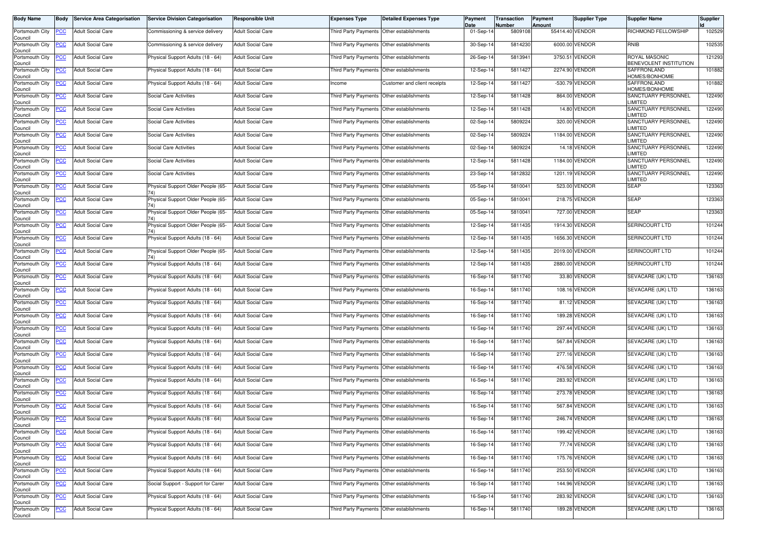| <b>Body Name</b>                                  | Body       | <b>Service Area Categorisation</b> | <b>Service Division Categorisation</b>    | <b>Responsible Unit</b>  | <b>Expenses Type</b>                      | <b>Detailed Expenses Type</b>             | Payment<br>Date | Transaction<br>Number | Payment<br><b>Amount</b> | <b>Supplier Type</b> | <b>Supplier Name</b>                           | <b>Supplier</b> |
|---------------------------------------------------|------------|------------------------------------|-------------------------------------------|--------------------------|-------------------------------------------|-------------------------------------------|-----------------|-----------------------|--------------------------|----------------------|------------------------------------------------|-----------------|
| Portsmouth City<br>Council                        | <b>PCC</b> | <b>Adult Social Care</b>           | Commissioning & service delivery          | <b>Adult Social Care</b> | Third Party Payments Other establishments |                                           | 01-Sep-14       | 5809108               | 55414.40 VENDOR          |                      | RICHMOND FELLOWSHIP                            | 102529          |
| Portsmouth City<br>Council                        | <b>PCC</b> | <b>Adult Social Care</b>           | Commissioning & service delivery          | <b>Adult Social Care</b> |                                           | Third Party Payments Other establishments | 30-Sep-14       | 5814230               |                          | 6000.00 VENDOR       | RNIB                                           | 102535          |
| Portsmouth City<br>Council                        | <b>PCC</b> | <b>Adult Social Care</b>           | Physical Support Adults (18 - 64)         | <b>Adult Social Care</b> | Third Party Payments Other establishments |                                           | 26-Sep-14       | 5813941               |                          | 3750.51 VENDOR       | <b>ROYAL MASONIC</b><br>BENEVOLENT INSTITUTION | 121293          |
| Portsmouth City<br>Council                        | <u>PCC</u> | <b>Adult Social Care</b>           | Physical Support Adults (18 - 64)         | <b>Adult Social Care</b> | Third Party Payments Other establishments |                                           | 12-Sep-14       | 5811427               |                          | 2274.90 VENDOR       | SAFFRONLAND<br><b>HOMES/BONHOMIE</b>           | 101882          |
| Portsmouth City<br>Council                        | <b>PCC</b> | <b>Adult Social Care</b>           | Physical Support Adults (18 - 64)         | <b>Adult Social Care</b> | Income                                    | Customer and client receipts              | 12-Sep-14       | 5811427               |                          | -530.79 VENDOR       | SAFFRONLAND<br>HOMES/BONHOMIE                  | 101882          |
| Portsmouth City<br>Council                        | <b>PCC</b> | <b>Adult Social Care</b>           | Social Care Activities                    | <b>Adult Social Care</b> | Third Party Payments Other establishments |                                           | 12-Sep-14       | 5811428               |                          | 864.00 VENDOR        | SANCTUARY PERSONNEL<br><b>IMITED</b>           | 122490          |
| Portsmouth City<br>Council                        | <u>PCC</u> | <b>Adult Social Care</b>           | Social Care Activities                    | <b>Adult Social Care</b> | Third Party Payments Other establishments |                                           | 12-Sep-14       | 5811428               |                          | 14.80 VENDOR         | <b>SANCTUARY PERSONNEL</b><br><b>IMITED</b>    | 122490          |
| Portsmouth City<br>Council                        | <u>PCC</u> | <b>Adult Social Care</b>           | Social Care Activities                    | <b>Adult Social Care</b> | Third Party Payments Other establishments |                                           | 02-Sep-14       | 5809224               |                          | 320.00 VENDOR        | SANCTUARY PERSONNEL<br><b>IMITED</b>           | 122490          |
| Portsmouth City<br>Council                        | <b>PCC</b> | <b>Adult Social Care</b>           | Social Care Activities                    | <b>Adult Social Care</b> | Third Party Payments Other establishments |                                           | 02-Sep-14       | 5809224               |                          | 1184.00 VENDOR       | SANCTUARY PERSONNEL<br><b>IMITED</b>           | 122490          |
| Portsmouth City<br>Council                        | <u>PCC</u> | <b>Adult Social Care</b>           | Social Care Activities                    | <b>Adult Social Care</b> |                                           | Third Party Payments Other establishments | 02-Sep-14       | 5809224               |                          | 14.18 VENDOR         | SANCTUARY PERSONNEL<br><b>IMITED</b>           | 122490          |
| Portsmouth City<br>Council                        | <b>PCC</b> | <b>Adult Social Care</b>           | <b>Social Care Activities</b>             | <b>Adult Social Care</b> | Third Party Payments Other establishments |                                           | 12-Sep-14       | 5811428               |                          | 1184.00 VENDOR       | SANCTUARY PERSONNEL<br><b>IMITED</b>           | 122490          |
| Portsmouth City<br>Council                        | <b>PCC</b> | <b>Adult Social Care</b>           | Social Care Activities                    | <b>Adult Social Care</b> |                                           | Third Party Payments Other establishments | 23-Sep-14       | 5812832               |                          | 1201.19 VENDOR       | SANCTUARY PERSONNEL<br>LIMITED                 | 122490          |
| Portsmouth City<br>Council                        | <u>PCC</u> | <b>Adult Social Care</b>           | Physical Support Older People (65-<br>74) | <b>Adult Social Care</b> |                                           | Third Party Payments Other establishments | 05-Sep-14       | 5810041               |                          | 523.00 VENDOR        | <b>SEAP</b>                                    | 123363          |
| Portsmouth City<br>Council                        | <b>PCC</b> | <b>Adult Social Care</b>           | Physical Support Older People (65-<br>74) | <b>Adult Social Care</b> | Third Party Payments Other establishments |                                           | 05-Sep-14       | 5810041               |                          | 218.75 VENDOR        | <b>SEAP</b>                                    | 123363          |
| Portsmouth City<br>Council                        | <u>PCC</u> | <b>Adult Social Care</b>           | Physical Support Older People (65-        | <b>Adult Social Care</b> | Third Party Payments Other establishments |                                           | 05-Sep-14       | 5810041               |                          | 727.00 VENDOR        | <b>SEAP</b>                                    | 123363          |
| Portsmouth City<br>Council                        | <u>PCC</u> | <b>Adult Social Care</b>           | Physical Support Older People (65-        | <b>Adult Social Care</b> | Third Party Payments                      | Other establishments                      | 12-Sep-14       | 5811435               |                          | 1914.30 VENDOR       | SERINCOURT LTD                                 | 101244          |
| Portsmouth City<br>Council                        | <u>PCC</u> | <b>Adult Social Care</b>           | Physical Support Adults (18 - 64)         | <b>Adult Social Care</b> | Third Party Payments Other establishments |                                           | 12-Sep-14       | 5811435               |                          | 1656.30 VENDOR       | SERINCOURT LTD                                 | 101244          |
| Portsmouth City<br>Council                        | <b>PCC</b> | <b>Adult Social Care</b>           | Physical Support Older People (65-        | <b>Adult Social Care</b> |                                           | Third Party Payments Other establishments | 12-Sep-14       | 5811435               |                          | 2019.00 VENDOR       | SERINCOURT LTD                                 | 101244          |
| Portsmouth City<br>Council                        | <u>PCC</u> | <b>Adult Social Care</b>           | Physical Support Adults (18 - 64)         | <b>Adult Social Care</b> | Third Party Payments Other establishments |                                           | 12-Sep-14       | 5811435               |                          | 2880.00 VENDOR       | SERINCOURT LTD                                 | 101244          |
| Portsmouth City<br>Council                        | PCC        | <b>Adult Social Care</b>           | Physical Support Adults (18 - 64)         | <b>Adult Social Care</b> | Third Party Payments                      | Other establishments                      | 16-Sep-14       | 5811740               |                          | 33.80 VENDOR         | SEVACARE (UK) LTD                              | 136163          |
| Portsmouth City<br>Council                        | <u>PCC</u> | <b>Adult Social Care</b>           | Physical Support Adults (18 - 64)         | <b>Adult Social Care</b> |                                           | Third Party Payments Other establishments | 16-Sep-14       | 5811740               |                          | 108.16 VENDOR        | SEVACARE (UK) LTD                              | 136163          |
| Portsmouth City<br>Council                        | <b>PCC</b> | <b>Adult Social Care</b>           | Physical Support Adults (18 - 64)         | <b>Adult Social Care</b> | Third Party Payments Other establishments |                                           | 16-Sep-14       | 5811740               |                          | 81.12 VENDOR         | SEVACARE (UK) LTD                              | 136163          |
| Portsmouth City<br>Council                        | <u>PCC</u> | <b>Adult Social Care</b>           | Physical Support Adults (18 - 64)         | <b>Adult Social Care</b> | Third Party Payments Other establishments |                                           | 16-Sep-14       | 5811740               |                          | 189.28 VENDOR        | SEVACARE (UK) LTD                              | 136163          |
| Portsmouth City<br>Council                        | <b>PCC</b> | <b>Adult Social Care</b>           | Physical Support Adults (18 - 64)         | <b>Adult Social Care</b> | Third Party Payments Other establishments |                                           | 16-Sep-14       | 5811740               |                          | 297.44 VENDOR        | SEVACARE (UK) LTD                              | 136163          |
| Portsmouth City<br>Council                        | PCC        | <b>Adult Social Care</b>           | Physical Support Adults (18 - 64)         | <b>Adult Social Care</b> | Third Party Payments Other establishments |                                           | 16-Sep-14       | 5811740               |                          | 567.84 VENDOR        | SEVACARE (UK) LTD                              | 136163          |
| Portsmouth City<br>Council                        | <b>PCC</b> | <b>Adult Social Care</b>           | Physical Support Adults (18 - 64)         | <b>Adult Social Care</b> |                                           | Third Party Payments Other establishments | 16-Sep-14       | 5811740               |                          | 277.16 VENDOR        | SEVACARE (UK) LTD                              | 136163          |
| Portsmouth City<br>Council                        | <b>PCC</b> | <b>Adult Social Care</b>           | Physical Support Adults (18 - 64)         | <b>Adult Social Care</b> | Third Party Payments Other establishments |                                           | 16-Sep-14       | 5811740               |                          | 476.58 VENDOR        | SEVACARE (UK) LTD                              | 136163          |
| Portsmouth City<br>Council                        | <u>PCC</u> | <b>Adult Social Care</b>           | Physical Support Adults (18 - 64)         | <b>Adult Social Care</b> | Third Party Payments Other establishments |                                           | 16-Sep-14       | 5811740               |                          | 283.92 VENDOR        | SEVACARE (UK) LTD                              | 136163          |
| Portsmouth City<br>Council                        | <u>PCC</u> | <b>Adult Social Care</b>           | Physical Support Adults (18 - 64)         | <b>Adult Social Care</b> | Third Party Payments Other establishments |                                           | 16-Sep-14       | 5811740               |                          | 273.78 VENDOR        | SEVACARE (UK) LTD                              | 136163          |
| Portsmouth City<br>Council                        | <b>PCC</b> | <b>Adult Social Care</b>           | Physical Support Adults (18 - 64)         | <b>Adult Social Care</b> | Third Party Payments Other establishments |                                           | 16-Sep-14       | 5811740               |                          | 567.84 VENDOR        | SEVACARE (UK) LTD                              | 136163          |
| Portsmouth City PCC<br>Council<br>Portsmouth City |            | <b>Adult Social Care</b>           | Physical Support Adults (18 - 64)         | <b>Adult Social Care</b> | Third Party Payments Other establishments |                                           | 16-Sep-14       | 5811740               |                          | 246.74 VENDOR        | SEVACARE (UK) LTD                              | 136163          |
| Council                                           | <u>PCC</u> | <b>Adult Social Care</b>           | Physical Support Adults (18 - 64)         | <b>Adult Social Care</b> | Third Party Payments Other establishments |                                           | 16-Sep-14       | 5811740               |                          | 199.42 VENDOR        | SEVACARE (UK) LTD                              | 136163          |
| Portsmouth City<br>Council<br>Portsmouth City     | <b>PCC</b> | <b>Adult Social Care</b>           | Physical Support Adults (18 - 64)         | <b>Adult Social Care</b> |                                           | Third Party Payments Other establishments | 16-Sep-14       | 5811740               |                          | 77.74 VENDOR         | SEVACARE (UK) LTD                              | 136163          |
| Council                                           | <b>PCC</b> | <b>Adult Social Care</b>           | Physical Support Adults (18 - 64)         | <b>Adult Social Care</b> | Third Party Payments Other establishments |                                           | 16-Sep-14       | 5811740               |                          | 175.76 VENDOR        | SEVACARE (UK) LTD                              | 136163          |
| Portsmouth City<br>Council                        | <b>PCC</b> | <b>Adult Social Care</b>           | Physical Support Adults (18 - 64)         | <b>Adult Social Care</b> | Third Party Payments Other establishments |                                           | 16-Sep-14       | 5811740               |                          | 253.50 VENDOR        | SEVACARE (UK) LTD                              | 136163          |
| Portsmouth City<br>Council                        | <u>PCC</u> | <b>Adult Social Care</b>           | Social Support - Support for Carer        | Adult Social Care        | Third Party Payments                      | Other establishments                      | 16-Sep-14       | 5811740               |                          | 144.96 VENDOR        | SEVACARE (UK) LTD                              | 136163          |
| Portsmouth City<br>Council                        | <b>PCC</b> | <b>Adult Social Care</b>           | Physical Support Adults (18 - 64)         | <b>Adult Social Care</b> | Third Party Payments                      | Other establishments                      | 16-Sep-14       | 5811740               |                          | 283.92 VENDOR        | SEVACARE (UK) LTD                              | 136163          |
| Portsmouth City<br>Council                        | <b>PCC</b> | <b>Adult Social Care</b>           | Physical Support Adults (18 - 64)         | <b>Adult Social Care</b> | Third Party Payments Other establishments |                                           | 16-Sep-14       | 5811740               |                          | 189.28 VENDOR        | SEVACARE (UK) LTD                              | 136163          |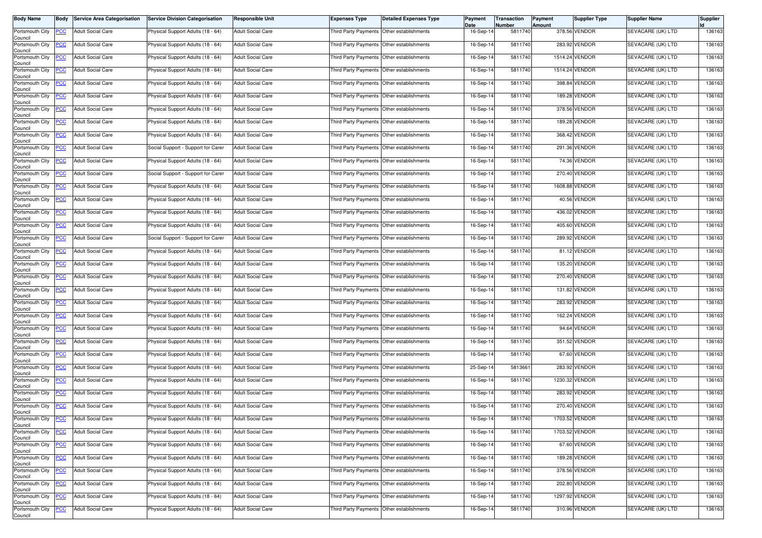| <b>Body Name</b>                                  | Body           | <b>Service Area Categorisation</b> | <b>Service Division Categorisation</b> | <b>Responsible Unit</b>  | <b>Expenses Type</b>                      | <b>Detailed Expenses Type</b> | <b>Payment</b><br>Date | Transaction<br>Number | Payment<br>Amount | <b>Supplier Type</b> | <b>Supplier Name</b> | <b>Supplier</b> |
|---------------------------------------------------|----------------|------------------------------------|----------------------------------------|--------------------------|-------------------------------------------|-------------------------------|------------------------|-----------------------|-------------------|----------------------|----------------------|-----------------|
| Portsmouth City<br>Council                        | <b>PCC</b>     | <b>Adult Social Care</b>           | Physical Support Adults (18 - 64)      | <b>Adult Social Care</b> | Third Party Payments Other establishments |                               | 16-Sep-14              | 5811740               |                   | 378.56 VENDOR        | SEVACARE (UK) LTD    | 136163          |
| Portsmouth City<br>Council                        | <b>PCC</b>     | <b>Adult Social Care</b>           | Physical Support Adults (18 - 64)      | <b>Adult Social Care</b> | Third Party Payments Other establishments |                               | 16-Sep-14              | 5811740               |                   | 283.92 VENDOR        | SEVACARE (UK) LTD    | 136163          |
| Portsmouth City<br>Council                        | <b>PCC</b>     | <b>Adult Social Care</b>           | Physical Support Adults (18 - 64)      | <b>Adult Social Care</b> | Third Party Payments Other establishments |                               | 16-Sep-14              | 5811740               |                   | 1514.24 VENDOR       | SEVACARE (UK) LTD    | 136163          |
| Portsmouth City<br>Council                        | <u>PCC</u>     | <b>Adult Social Care</b>           | Physical Support Adults (18 - 64)      | <b>Adult Social Care</b> | Third Party Payments Other establishments |                               | 16-Sep-14              | 5811740               |                   | 1514.24 VENDOR       | SEVACARE (UK) LTD    | 136163          |
| Portsmouth City<br>Council                        | <b>PCC</b>     | <b>Adult Social Care</b>           | Physical Support Adults (18 - 64)      | <b>Adult Social Care</b> | Third Party Payments Other establishments |                               | 16-Sep-14              | 5811740               |                   | 398.84 VENDOR        | SEVACARE (UK) LTD    | 136163          |
| Portsmouth City<br>Council                        | <b>PCC</b>     | <b>Adult Social Care</b>           | Physical Support Adults (18 - 64)      | <b>Adult Social Care</b> | Third Party Payments Other establishments |                               | 16-Sep-14              | 5811740               |                   | 189.28 VENDOR        | SEVACARE (UK) LTD    | 136163          |
| Portsmouth City<br>Council                        | <b>PCC</b>     | <b>Adult Social Care</b>           | Physical Support Adults (18 - 64)      | <b>Adult Social Care</b> | Third Party Payments Other establishments |                               | 16-Sep-14              | 5811740               |                   | 378.56 VENDOR        | SEVACARE (UK) LTD    | 136163          |
| Portsmouth City<br>Council                        | <u>PCC</u>     | <b>Adult Social Care</b>           | Physical Support Adults (18 - 64)      | <b>Adult Social Care</b> | Third Party Payments Other establishments |                               | 16-Sep-14              | 5811740               |                   | 189.28 VENDOR        | SEVACARE (UK) LTD    | 136163          |
| Portsmouth City<br>Council                        | <b>PCC</b>     | <b>Adult Social Care</b>           | Physical Support Adults (18 - 64)      | <b>Adult Social Care</b> | Third Party Payments Other establishments |                               | 16-Sep-14              | 5811740               |                   | 368.42 VENDOR        | SEVACARE (UK) LTD    | 136163          |
| Portsmouth City<br>Council                        | <b>PCC</b>     | <b>Adult Social Care</b>           | Social Support - Support for Carer     | <b>Adult Social Care</b> | Third Party Payments Other establishments |                               | 16-Sep-14              | 5811740               |                   | 291.36 VENDOR        | SEVACARE (UK) LTD    | 136163          |
| Portsmouth City<br>Council                        | <b>PCC</b>     | <b>Adult Social Care</b>           | Physical Support Adults (18 - 64)      | <b>Adult Social Care</b> | Third Party Payments Other establishments |                               | 16-Sep-14              | 5811740               |                   | 74.36 VENDOR         | SEVACARE (UK) LTD    | 136163          |
| Portsmouth City<br>Council                        | <b>PCC</b>     | <b>Adult Social Care</b>           | Social Support - Support for Carer     | <b>Adult Social Care</b> | Third Party Payments Other establishments |                               | 16-Sep-14              | 5811740               |                   | 270.40 VENDOR        | SEVACARE (UK) LTD    | 136163          |
| Portsmouth City<br>Council                        | <u>PCC</u>     | <b>Adult Social Care</b>           | Physical Support Adults (18 - 64)      | <b>Adult Social Care</b> | Third Party Payments Other establishments |                               | 16-Sep-14              | 5811740               |                   | 1608.88 VENDOR       | SEVACARE (UK) LTD    | 136163          |
| Portsmouth City<br>Council                        | <b>PCC</b>     | <b>Adult Social Care</b>           | Physical Support Adults (18 - 64)      | <b>Adult Social Care</b> | Third Party Payments Other establishments |                               | 16-Sep-14              | 5811740               |                   | 40.56 VENDOR         | SEVACARE (UK) LTD    | 136163          |
| Portsmouth City<br>Council                        | <b>PCC</b>     | <b>Adult Social Care</b>           | Physical Support Adults (18 - 64)      | <b>Adult Social Care</b> | Third Party Payments Other establishments |                               | 16-Sep-14              | 5811740               |                   | 436.02 VENDOR        | SEVACARE (UK) LTD    | 136163          |
| Portsmouth City<br>Council                        | <b>PCC</b>     | <b>Adult Social Care</b>           | Physical Support Adults (18 - 64)      | <b>Adult Social Care</b> | Third Party Payments Other establishments |                               | 16-Sep-14              | 5811740               |                   | 405.60 VENDOR        | SEVACARE (UK) LTD    | 136163          |
| Portsmouth City<br>Council                        | <u>PCC</u>     | <b>Adult Social Care</b>           | Social Support - Support for Carer     | Adult Social Care        | Third Party Payments Other establishments |                               | 16-Sep-14              | 5811740               |                   | 289.92 VENDOR        | SEVACARE (UK) LTD    | 136163          |
| Portsmouth City<br>Council                        | <b>PCC</b>     | <b>Adult Social Care</b>           | Physical Support Adults (18 - 64)      | <b>Adult Social Care</b> | Third Party Payments Other establishments |                               | 16-Sep-14              | 5811740               |                   | 81.12 VENDOR         | SEVACARE (UK) LTD    | 136163          |
| Portsmouth City<br>Council                        | <u>PCC</u>     | <b>Adult Social Care</b>           | Physical Support Adults (18 - 64)      | <b>Adult Social Care</b> | Third Party Payments Other establishments |                               | 16-Sep-14              | 5811740               |                   | 135.20 VENDOR        | SEVACARE (UK) LTD    | 136163          |
| Portsmouth City<br>Council                        | <b>PCC</b>     | <b>Adult Social Care</b>           | Physical Support Adults (18 - 64)      | <b>Adult Social Care</b> | Third Party Payments                      | Other establishments          | 16-Sep-14              | 5811740               |                   | 270.40 VENDOR        | SEVACARE (UK) LTD    | 136163          |
| Portsmouth City<br>Council                        | $\overline{C}$ | <b>Adult Social Care</b>           | Physical Support Adults (18 - 64)      | <b>Adult Social Care</b> | Third Party Payments Other establishments |                               | 16-Sep-14              | 5811740               |                   | 131.82 VENDOR        | SEVACARE (UK) LTD    | 136163          |
| Portsmouth City<br>Council                        | <b>PCC</b>     | <b>Adult Social Care</b>           | Physical Support Adults (18 - 64)      | <b>Adult Social Care</b> | Third Party Payments Other establishments |                               | 16-Sep-14              | 5811740               |                   | 283.92 VENDOR        | SEVACARE (UK) LTD    | 136163          |
| Portsmouth City<br>Council                        | <u>PCC</u>     | <b>Adult Social Care</b>           | Physical Support Adults (18 - 64)      | <b>Adult Social Care</b> | Third Party Payments Other establishments |                               | 16-Sep-14              | 5811740               |                   | 162.24 VENDOR        | SEVACARE (UK) LTD    | 136163          |
| Portsmouth City<br>Council                        | <b>PCC</b>     | <b>Adult Social Care</b>           | Physical Support Adults (18 - 64)      | <b>Adult Social Care</b> | Third Party Payments Other establishments |                               | 16-Sep-14              | 5811740               |                   | 94.64 VENDOR         | SEVACARE (UK) LTD    | 136163          |
| Portsmouth City<br>Council                        | <b>PCC</b>     | <b>Adult Social Care</b>           | Physical Support Adults (18 - 64)      | <b>Adult Social Care</b> | Third Party Payments Other establishments |                               | 16-Sep-14              | 5811740               |                   | 351.52 VENDOR        | SEVACARE (UK) LTD    | 136163          |
| Portsmouth City<br>Council                        | <b>PCC</b>     | <b>Adult Social Care</b>           | Physical Support Adults (18 - 64)      | <b>Adult Social Care</b> | Third Party Payments Other establishments |                               | 16-Sep-14              | 5811740               |                   | 67.60 VENDOR         | SEVACARE (UK) LTD    | 136163          |
| Portsmouth City<br>Council                        | <b>PCC</b>     | <b>Adult Social Care</b>           | Physical Support Adults (18 - 64)      | <b>Adult Social Care</b> | Third Party Payments Other establishments |                               | 25-Sep-14              | 5813661               |                   | 283.92 VENDOR        | SEVACARE (UK) LTD    | 136163          |
| Portsmouth City<br>Council                        | <b>PCC</b>     | <b>Adult Social Care</b>           | Physical Support Adults (18 - 64)      | Adult Social Care        | Third Party Payments Other establishments |                               | 16-Sep-14              | 5811740               |                   | 1230.32 VENDOR       | SEVACARE (UK) LTD    | 136163          |
| Portsmouth City<br>Council                        | <b>PCC</b>     | <b>Adult Social Care</b>           | Physical Support Adults (18 - 64)      | <b>Adult Social Care</b> | Third Party Payments Other establishments |                               | 16-Sep-14              | 5811740               |                   | 283.92 VENDOR        | SEVACARE (UK) LTD    | 136163          |
| Portsmouth City<br>Council                        | <b>PCC</b>     | <b>Adult Social Care</b>           | Physical Support Adults (18 - 64)      | <b>Adult Social Care</b> | Third Party Payments Other establishments |                               | 16-Sep-14              | 5811740               |                   | 270.40 VENDOR        | SEVACARE (UK) LTD    | 136163          |
| Portsmouth City PCC<br>Council<br>Portsmouth City |                | <b>Adult Social Care</b>           | Physical Support Adults (18 - 64)      | <b>Adult Social Care</b> | Third Party Payments Other establishments |                               | 16-Sep-14              | 5811740               |                   | 1703.52 VENDOR       | SEVACARE (UK) LTD    | 136163          |
| Council                                           | <u>PCC</u>     | <b>Adult Social Care</b>           | Physical Support Adults (18 - 64)      | <b>Adult Social Care</b> | Third Party Payments Other establishments |                               | 16-Sep-14              | 5811740               |                   | 1703.52 VENDOR       | SEVACARE (UK) LTD    | 136163          |
| Portsmouth City<br>Council<br>Portsmouth City     | <b>PCC</b>     | <b>Adult Social Care</b>           | Physical Support Adults (18 - 64)      | <b>Adult Social Care</b> | Third Party Payments Other establishments |                               | 16-Sep-14              | 5811740               |                   | 67.60 VENDOR         | SEVACARE (UK) LTD    | 136163          |
| Council                                           | <b>PCC</b>     | <b>Adult Social Care</b>           | Physical Support Adults (18 - 64)      | <b>Adult Social Care</b> | Third Party Payments Other establishments |                               | 16-Sep-14              | 5811740               |                   | 189.28 VENDOR        | SEVACARE (UK) LTD    | 136163          |
| Portsmouth City<br>Council                        | <b>PCC</b>     | <b>Adult Social Care</b>           | Physical Support Adults (18 - 64)      | <b>Adult Social Care</b> | Third Party Payments Other establishments |                               | 16-Sep-14              | 5811740               |                   | 378.56 VENDOR        | SEVACARE (UK) LTD    | 136163          |
| Portsmouth City<br>Council                        | <u>PCC</u>     | <b>Adult Social Care</b>           | Physical Support Adults (18 - 64)      | <b>Adult Social Care</b> | Third Party Payments                      | Other establishments          | 16-Sep-14              | 5811740               |                   | 202.80 VENDOR        | SEVACARE (UK) LTD    | 136163          |
| Portsmouth City<br>Council                        | <b>PCC</b>     | <b>Adult Social Care</b>           | Physical Support Adults (18 - 64)      | <b>Adult Social Care</b> | Third Party Payments                      | Other establishments          | 16-Sep-14              | 5811740               |                   | 1297.92 VENDOR       | SEVACARE (UK) LTD    | 136163          |
| Portsmouth City<br>Council                        | <b>PCC</b>     | <b>Adult Social Care</b>           | Physical Support Adults (18 - 64)      | <b>Adult Social Care</b> | Third Party Payments Other establishments |                               | 16-Sep-14              | 5811740               |                   | 310.96 VENDOR        | SEVACARE (UK) LTD    | 136163          |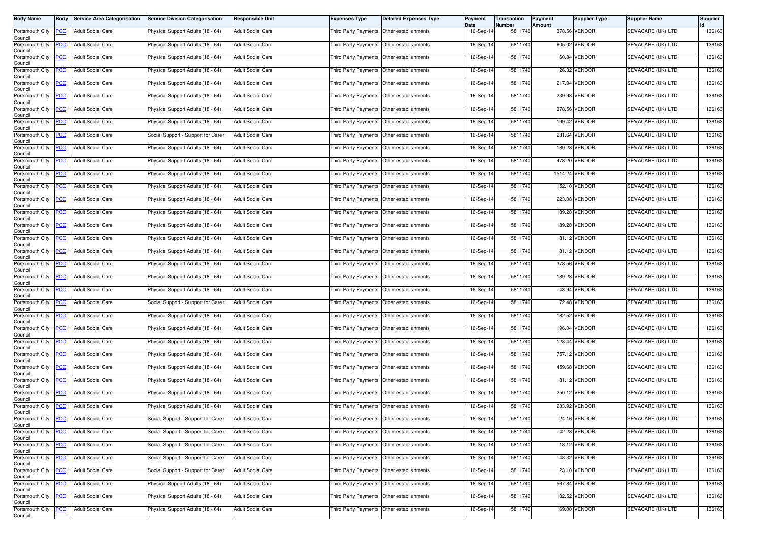| <b>Body Name</b>                                  | Body           | <b>Service Area Categorisation</b> | <b>Service Division Categorisation</b> | <b>Responsible Unit</b>  | <b>Expenses Type</b>                      | <b>Detailed Expenses Type</b>             | <b>Payment</b><br>Date | Transaction<br>Number | Payment<br><b>Amount</b> | <b>Supplier Type</b> | <b>Supplier Name</b> | <b>Supplier</b> |
|---------------------------------------------------|----------------|------------------------------------|----------------------------------------|--------------------------|-------------------------------------------|-------------------------------------------|------------------------|-----------------------|--------------------------|----------------------|----------------------|-----------------|
| Portsmouth City<br>Council                        | <b>PCC</b>     | <b>Adult Social Care</b>           | Physical Support Adults (18 - 64)      | <b>Adult Social Care</b> | Third Party Payments Other establishments |                                           | 16-Sep-14              | 5811740               |                          | 378.56 VENDOR        | SEVACARE (UK) LTD    | 136163          |
| Portsmouth City<br>Council                        | <b>PCC</b>     | <b>Adult Social Care</b>           | Physical Support Adults (18 - 64)      | <b>Adult Social Care</b> |                                           | Third Party Payments Other establishments | 16-Sep-14              | 5811740               |                          | 605.02 VENDOR        | SEVACARE (UK) LTD    | 136163          |
| Portsmouth City<br>Council                        | <b>PCC</b>     | <b>Adult Social Care</b>           | Physical Support Adults (18 - 64)      | <b>Adult Social Care</b> | Third Party Payments Other establishments |                                           | 16-Sep-14              | 5811740               |                          | 60.84 VENDOR         | SEVACARE (UK) LTD    | 136163          |
| Portsmouth City<br>Council                        | <u>PCC</u>     | <b>Adult Social Care</b>           | Physical Support Adults (18 - 64)      | <b>Adult Social Care</b> | Third Party Payments Other establishments |                                           | 16-Sep-14              | 5811740               |                          | 26.32 VENDOR         | SEVACARE (UK) LTD    | 136163          |
| Portsmouth City<br>Council                        | <b>PCC</b>     | <b>Adult Social Care</b>           | Physical Support Adults (18 - 64)      | <b>Adult Social Care</b> | Third Party Payments Other establishments |                                           | 16-Sep-14              | 5811740               |                          | 217.04 VENDOR        | SEVACARE (UK) LTD    | 136163          |
| Portsmouth City<br>Council                        | <b>PCC</b>     | <b>Adult Social Care</b>           | Physical Support Adults (18 - 64)      | <b>Adult Social Care</b> | Third Party Payments Other establishments |                                           | 16-Sep-14              | 5811740               |                          | 239.98 VENDOR        | SEVACARE (UK) LTD    | 136163          |
| Portsmouth City<br>Council                        | <u>PCC</u>     | <b>Adult Social Care</b>           | Physical Support Adults (18 - 64)      | <b>Adult Social Care</b> | Third Party Payments Other establishments |                                           | 16-Sep-14              | 5811740               |                          | 378.56 VENDOR        | SEVACARE (UK) LTD    | 136163          |
| Portsmouth City<br>Council                        | <u>PCC</u>     | <b>Adult Social Care</b>           | Physical Support Adults (18 - 64)      | <b>Adult Social Care</b> | Third Party Payments Other establishments |                                           | 16-Sep-14              | 5811740               |                          | 199.42 VENDOR        | SEVACARE (UK) LTD    | 136163          |
| Portsmouth City<br>Council                        | <b>PCC</b>     | <b>Adult Social Care</b>           | Social Support - Support for Carer     | <b>Adult Social Care</b> | Third Party Payments Other establishments |                                           | 16-Sep-14              | 5811740               |                          | 281.64 VENDOR        | SEVACARE (UK) LTD    | 136163          |
| Portsmouth City<br>Council                        | <b>PCC</b>     | <b>Adult Social Care</b>           | Physical Support Adults (18 - 64)      | <b>Adult Social Care</b> |                                           | Third Party Payments Other establishments | 16-Sep-14              | 5811740               |                          | 189.28 VENDOR        | SEVACARE (UK) LTD    | 136163          |
| Portsmouth City<br>Council                        | <b>PCC</b>     | <b>Adult Social Care</b>           | Physical Support Adults (18 - 64)      | <b>Adult Social Care</b> | Third Party Payments Other establishments |                                           | 16-Sep-14              | 5811740               |                          | 473.20 VENDOR        | SEVACARE (UK) LTD    | 136163          |
| Portsmouth City<br>Council                        | <b>PCC</b>     | <b>Adult Social Care</b>           | Physical Support Adults (18 - 64)      | <b>Adult Social Care</b> |                                           | Third Party Payments Other establishments | 16-Sep-14              | 5811740               |                          | 1514.24 VENDOR       | SEVACARE (UK) LTD    | 136163          |
| Portsmouth City<br>Council                        | <u>PCC</u>     | <b>Adult Social Care</b>           | Physical Support Adults (18 - 64)      | <b>Adult Social Care</b> |                                           | Third Party Payments Other establishments | 16-Sep-14              | 5811740               |                          | 152.10 VENDOR        | SEVACARE (UK) LTD    | 136163          |
| Portsmouth City<br>Council                        | <b>PCC</b>     | <b>Adult Social Care</b>           | Physical Support Adults (18 - 64)      | <b>Adult Social Care</b> | Third Party Payments Other establishments |                                           | 16-Sep-14              | 5811740               |                          | 223.08 VENDOR        | SEVACARE (UK) LTD    | 136163          |
| Portsmouth City<br>Council                        | <b>PCC</b>     | <b>Adult Social Care</b>           | Physical Support Adults (18 - 64)      | <b>Adult Social Care</b> | Third Party Payments Other establishments |                                           | 16-Sep-14              | 5811740               |                          | 189.28 VENDOR        | SEVACARE (UK) LTD    | 136163          |
| Portsmouth City<br>Council                        | <b>PCC</b>     | <b>Adult Social Care</b>           | Physical Support Adults (18 - 64)      | <b>Adult Social Care</b> | Third Party Payments Other establishments |                                           | 16-Sep-14              | 5811740               |                          | 189.28 VENDOR        | SEVACARE (UK) LTD    | 136163          |
| Portsmouth City<br>Council                        | <u>PCC</u>     | <b>Adult Social Care</b>           | Physical Support Adults (18 - 64)      | Adult Social Care        | Third Party Payments Other establishments |                                           | 16-Sep-14              | 5811740               |                          | 81.12 VENDOR         | SEVACARE (UK) LTD    | 136163          |
| Portsmouth City<br>Council                        | <b>PCC</b>     | <b>Adult Social Care</b>           | Physical Support Adults (18 - 64)      | <b>Adult Social Care</b> |                                           | Third Party Payments Other establishments | 16-Sep-14              | 5811740               |                          | 81.12 VENDOR         | SEVACARE (UK) LTD    | 136163          |
| Portsmouth City<br>Council                        | <u>PCC</u>     | <b>Adult Social Care</b>           | Physical Support Adults (18 - 64)      | <b>Adult Social Care</b> | Third Party Payments Other establishments |                                           | 16-Sep-14              | 5811740               |                          | 378.56 VENDOR        | SEVACARE (UK) LTD    | 136163          |
| Portsmouth City<br>Council                        | <b>PCC</b>     | <b>Adult Social Care</b>           | Physical Support Adults (18 - 64)      | <b>Adult Social Care</b> | Third Party Payments                      | Other establishments                      | 16-Sep-14              | 5811740               |                          | 189.28 VENDOR        | SEVACARE (UK) LTD    | 136163          |
| Portsmouth City<br>Council                        | $\overline{C}$ | <b>Adult Social Care</b>           | Physical Support Adults (18 - 64)      | <b>Adult Social Care</b> |                                           | Third Party Payments Other establishments | 16-Sep-14              | 5811740               |                          | 43.94 VENDOR         | SEVACARE (UK) LTD    | 136163          |
| Portsmouth City<br>Council                        | <b>PCC</b>     | <b>Adult Social Care</b>           | Social Support - Support for Carer     | <b>Adult Social Care</b> | Third Party Payments Other establishments |                                           | 16-Sep-14              | 5811740               |                          | 72.48 VENDOR         | SEVACARE (UK) LTD    | 136163          |
| Portsmouth City<br>Council                        | <u>PCC</u>     | <b>Adult Social Care</b>           | Physical Support Adults (18 - 64)      | <b>Adult Social Care</b> |                                           | Third Party Payments Other establishments | 16-Sep-14              | 5811740               |                          | 182.52 VENDOR        | SEVACARE (UK) LTD    | 136163          |
| Portsmouth City<br>Council                        | <b>PCC</b>     | <b>Adult Social Care</b>           | Physical Support Adults (18 - 64)      | <b>Adult Social Care</b> | Third Party Payments Other establishments |                                           | 16-Sep-14              | 5811740               |                          | 196.04 VENDOR        | SEVACARE (UK) LTD    | 136163          |
| Portsmouth City<br>Council                        | <b>PCC</b>     | <b>Adult Social Care</b>           | Physical Support Adults (18 - 64)      | <b>Adult Social Care</b> | Third Party Payments Other establishments |                                           | 16-Sep-14              | 5811740               |                          | 128.44 VENDOR        | SEVACARE (UK) LTD    | 136163          |
| Portsmouth City<br>Council                        | <b>PCC</b>     | <b>Adult Social Care</b>           | Physical Support Adults (18 - 64)      | <b>Adult Social Care</b> |                                           | Third Party Payments Other establishments | 16-Sep-14              | 5811740               |                          | 757.12 VENDOR        | SEVACARE (UK) LTD    | 136163          |
| Portsmouth City<br>Council                        | <b>PCC</b>     | <b>Adult Social Care</b>           | Physical Support Adults (18 - 64)      | <b>Adult Social Care</b> | Third Party Payments Other establishments |                                           | 16-Sep-14              | 5811740               |                          | 459.68 VENDOR        | SEVACARE (UK) LTD    | 136163          |
| Portsmouth City<br>Council                        | <b>PCC</b>     | <b>Adult Social Care</b>           | Physical Support Adults (18 - 64)      | Adult Social Care        | Third Party Payments Other establishments |                                           | 16-Sep-14              | 5811740               |                          | 81.12 VENDOR         | SEVACARE (UK) LTD    | 136163          |
| Portsmouth City<br>Council                        | <b>PCC</b>     | <b>Adult Social Care</b>           | Physical Support Adults (18 - 64)      | <b>Adult Social Care</b> | Third Party Payments Other establishments |                                           | 16-Sep-14              | 5811740               |                          | 250.12 VENDOR        | SEVACARE (UK) LTD    | 136163          |
| Portsmouth City<br>Council                        | <b>PCC</b>     | <b>Adult Social Care</b>           | Physical Support Adults (18 - 64)      | <b>Adult Social Care</b> | Third Party Payments Other establishments |                                           | 16-Sep-14              | 5811740               |                          | 283.92 VENDOR        | SEVACARE (UK) LTD    | 136163          |
| Portsmouth City PCC<br>Council<br>Portsmouth City |                | <b>Adult Social Care</b>           | Social Support - Support for Carer     | <b>Adult Social Care</b> | Third Party Payments Other establishments |                                           | 16-Sep-14              | 5811740               |                          | 24.16 VENDOR         | SEVACARE (UK) LTD    | 136163          |
| Council                                           | <u>PCC</u>     | <b>Adult Social Care</b>           | Social Support - Support for Carer     | <b>Adult Social Care</b> | Third Party Payments Other establishments |                                           | 16-Sep-14              | 5811740               |                          | 42.28 VENDOR         | SEVACARE (UK) LTD    | 136163          |
| Portsmouth City<br>Council<br>Portsmouth City     | <b>PCC</b>     | <b>Adult Social Care</b>           | Social Support - Support for Carer     | <b>Adult Social Care</b> |                                           | Third Party Payments Other establishments | 16-Sep-14              | 5811740               |                          | 18.12 VENDOR         | SEVACARE (UK) LTD    | 136163          |
| Council                                           | <b>PCC</b>     | <b>Adult Social Care</b>           | Social Support - Support for Carer     | <b>Adult Social Care</b> | Third Party Payments Other establishments |                                           | 16-Sep-14              | 5811740               |                          | 48.32 VENDOR         | SEVACARE (UK) LTD    | 136163          |
| Portsmouth City<br>Council                        | <b>PCC</b>     | <b>Adult Social Care</b>           | Social Support - Support for Carer     | <b>Adult Social Care</b> | Third Party Payments Other establishments |                                           | 16-Sep-14              | 5811740               |                          | 23.10 VENDOR         | SEVACARE (UK) LTD    | 136163          |
| Portsmouth City<br>Council                        | <u>PCC</u>     | <b>Adult Social Care</b>           | Physical Support Adults (18 - 64)      | <b>Adult Social Care</b> | Third Party Payments                      | Other establishments                      | 16-Sep-14              | 5811740               |                          | 567.84 VENDOR        | SEVACARE (UK) LTD    | 136163          |
| Portsmouth City<br>Council                        | <b>PCC</b>     | <b>Adult Social Care</b>           | Physical Support Adults (18 - 64)      | <b>Adult Social Care</b> | Third Party Payments                      | Other establishments                      | 16-Sep-14              | 5811740               |                          | 182.52 VENDOR        | SEVACARE (UK) LTD    | 136163          |
| Portsmouth City<br>Council                        | <b>PCC</b>     | <b>Adult Social Care</b>           | Physical Support Adults (18 - 64)      | <b>Adult Social Care</b> | Third Party Payments Other establishments |                                           | 16-Sep-14              | 5811740               |                          | 169.00 VENDOR        | SEVACARE (UK) LTD    | 136163          |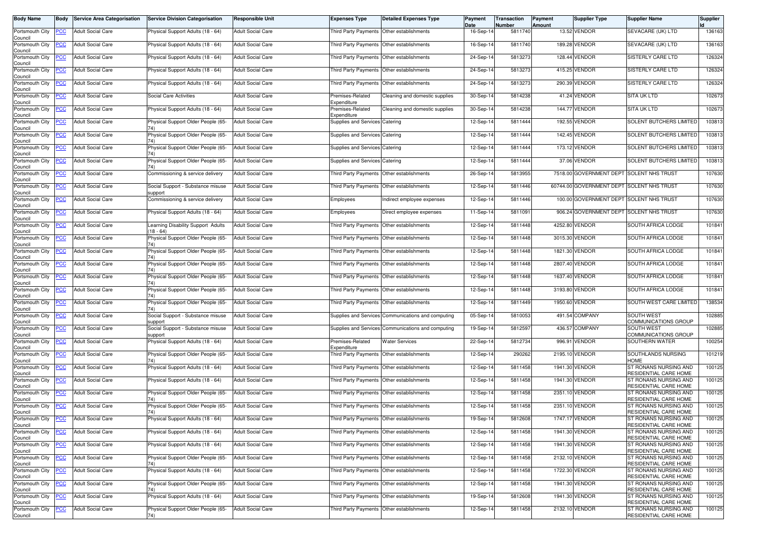| <b>Body Name</b>                                 | <b>Body</b>    | <b>Service Area Categorisation</b> | <b>Service Division Categorisation</b>         | <b>Responsible Unit</b>  | <b>Expenses Type</b>                      | <b>Detailed Expenses Type</b>                      | Payment<br>Date | Transaction<br>Number | Payment<br>Amount | Supplier Type                             | <b>Supplier Name</b>                             | Supplier |
|--------------------------------------------------|----------------|------------------------------------|------------------------------------------------|--------------------------|-------------------------------------------|----------------------------------------------------|-----------------|-----------------------|-------------------|-------------------------------------------|--------------------------------------------------|----------|
| Portsmouth City<br>Council                       | <u>PCC</u>     | <b>Adult Social Care</b>           | Physical Support Adults (18 - 64)              | <b>Adult Social Care</b> | Third Party Payments Other establishments |                                                    | 16-Sep-14       | 5811740               |                   | 13.52 VENDOR                              | SEVACARE (UK) LTD                                | 136163   |
| Portsmouth City<br>Council                       | <u>PCC</u>     | <b>Adult Social Care</b>           | Physical Support Adults (18 - 64)              | <b>Adult Social Care</b> | Third Party Payments Other establishments |                                                    | 16-Sep-14       | 5811740               |                   | 189.28 VENDOR                             | SEVACARE (UK) LTD                                | 136163   |
| Portsmouth City<br>Council                       | <u>PCC</u>     | <b>Adult Social Care</b>           | Physical Support Adults (18 - 64)              | <b>Adult Social Care</b> | Third Party Payments Other establishments |                                                    | 24-Sep-14       | 5813273               |                   | 128.44 VENDOR                             | SISTERLY CARE LTD                                | 126324   |
| Portsmouth City<br>Council                       | <b>PCC</b>     | <b>Adult Social Care</b>           | Physical Support Adults (18 - 64)              | <b>Adult Social Care</b> | <b>Third Party Payments</b>               | Other establishments                               | 24-Sep-14       | 5813273               |                   | 415.25 VENDOR                             | <b>SISTERLY CARE LTD</b>                         | 126324   |
| Portsmouth City<br>Council                       | <u>CC</u>      | <b>Adult Social Care</b>           | Physical Support Adults (18 - 64)              | <b>Adult Social Care</b> | <b>Third Party Payments</b>               | Other establishments                               | 24-Sep-14       | 5813273               |                   | 290.39 VENDOR                             | SISTERLY CARE LTD                                | 126324   |
| Portsmouth City<br>Council                       | <b>PCC</b>     | <b>Adult Social Care</b>           | Social Care Activities                         | <b>Adult Social Care</b> | Premises-Related<br>Expenditure           | Cleaning and domestic supplies                     | 30-Sep-14       | 5814238               |                   | 41.24 VENDOR                              | <b>SITA UK LTD</b>                               | 102673   |
| Portsmouth City<br>Council                       | <b>PCC</b>     | <b>Adult Social Care</b>           | Physical Support Adults (18 - 64)              | <b>Adult Social Care</b> | Premises-Related<br>Expenditure           | Cleaning and domestic supplies                     | 30-Sep-14       | 5814238               |                   | 144.77 VENDOR                             | SITA UK LTD                                      | 102673   |
| Portsmouth City<br>Council                       | <u>PCC</u>     | <b>Adult Social Care</b>           | Physical Support Older People (65-             | <b>Adult Social Care</b> | Supplies and Services Catering            |                                                    | 12-Sep-14       | 5811444               |                   | 192.55 VENDOR                             | SOLENT BUTCHERS LIMITED                          | 103813   |
| Portsmouth City<br>Council                       | сC             | <b>Adult Social Care</b>           | Physical Support Older People (65-             | <b>Adult Social Care</b> | Supplies and Services Catering            |                                                    | 12-Sep-14       | 5811444               |                   | 142.45 VENDOR                             | SOLENT BUTCHERS LIMITED                          | 103813   |
| Portsmouth City<br>Council                       | <b>PCC</b>     | Adult Social Care                  | Physical Support Older People (65-             | <b>Adult Social Care</b> | Supplies and Services Catering            |                                                    | 12-Sep-14       | 5811444               |                   | 173.12 VENDOR                             | SOLENT BUTCHERS LIMITED                          | 103813   |
| Portsmouth City<br>Council                       | <u>PCC</u>     | <b>Adult Social Care</b>           | Physical Support Older People (65-<br>74)      | <b>Adult Social Care</b> | Supplies and Services Catering            |                                                    | 12-Sep-14       | 5811444               |                   | 37.06 VENDOR                              | SOLENT BUTCHERS LIMITED                          | 103813   |
| Portsmouth City<br>Council                       | <b>PCC</b>     | <b>Adult Social Care</b>           | Commissioning & service delivery               | <b>Adult Social Care</b> | Third Party Payments Other establishments |                                                    | 26-Sep-14       | 5813955               |                   | 7518.00 GOVERNMENT DEPT SOLENT NHS TRUST  |                                                  | 107630   |
| Portsmouth City<br>Council                       |                | <b>Adult Social Care</b>           | Social Support - Substance misuse<br>support   | <b>Adult Social Care</b> | Third Party Payments Other establishments |                                                    | 12-Sep-14       | 5811446               |                   | 60744.00 GOVERNMENT DEPT SOLENT NHS TRUST |                                                  | 107630   |
| Portsmouth City<br>Council                       | <b>PCC</b>     | <b>Adult Social Care</b>           | Commissioning & service delivery               | <b>Adult Social Care</b> | Employees                                 | Indirect employee expenses                         | 12-Sep-14       | 5811446               |                   | 100.00 GOVERNMENT DEPT SOLENT NHS TRUST   |                                                  | 107630   |
| Portsmouth City<br>Council                       | <u>PCC</u>     | <b>Adult Social Care</b>           | Physical Support Adults (18 - 64)              | <b>Adult Social Care</b> | Employees                                 | Direct employee expenses                           | 11-Sep-14       | 5811091               |                   | 906.24 GOVERNMENT DEPT SOLENT NHS TRUST   |                                                  | 107630   |
| Portsmouth City<br>Council                       | <u>PCC</u>     | <b>Adult Social Care</b>           | Learning Disability Support Adults<br>18 - 64) | <b>Adult Social Care</b> | <b>Third Party Payments</b>               | Other establishments                               | 12-Sep-14       | 5811448               |                   | 4252.80 VENDOR                            | SOUTH AFRICA LODGE                               | 101841   |
| Portsmouth City<br>Council                       | <u>PCC</u>     | <b>Adult Social Care</b>           | Physical Support Older People (65-             | <b>Adult Social Care</b> | <b>Third Party Payments</b>               | Other establishments                               | 12-Sep-14       | 5811448               |                   | 3015.30 VENDOR                            | SOUTH AFRICA LODGE                               | 101841   |
| Portsmouth City<br>Council                       | <b>PCC</b>     | <b>Adult Social Care</b>           | Physical Support Older People (65-             | <b>Adult Social Care</b> | Third Party Payments Other establishments |                                                    | 12-Sep-14       | 5811448               |                   | 1821.30 VENDOR                            | SOUTH AFRICA LODGE                               | 101841   |
| Portsmouth City<br>Council                       | <u>PCC</u>     | <b>Adult Social Care</b>           | Physical Support Older People (65-             | <b>Adult Social Care</b> | Third Party Payments Other establishments |                                                    | 12-Sep-14       | 5811448               |                   | 2807.40 VENDOR                            | SOUTH AFRICA LODGE                               | 101841   |
| Portsmouth City<br>Council                       | <b>PCC</b>     | <b>Adult Social Care</b>           | Physical Support Older People (65-             | <b>Adult Social Care</b> | <b>Third Party Payments</b>               | Other establishments                               | 12-Sep-14       | 5811448               |                   | 1637.40 VENDOR                            | SOUTH AFRICA LODGE                               | 101841   |
| Portsmouth City<br>Council                       | <u>PCC</u>     | <b>Adult Social Care</b>           | Physical Support Older People (65-             | <b>Adult Social Care</b> | Third Party Payments                      | Other establishments                               | 12-Sep-14       | 5811448               |                   | 3193.80 VENDOR                            | SOUTH AFRICA LODGE                               | 101841   |
| Portsmouth City<br>Council                       | <u>PCC</u>     | <b>Adult Social Care</b>           | Physical Support Older People (65-             | <b>Adult Social Care</b> | Third Party Payments Other establishments |                                                    | 12-Sep-14       | 5811449               |                   | 1950.60 VENDOR                            | SOUTH WEST CARE LIMITED                          | 138534   |
| Portsmouth City<br>Council                       | <u>PCC</u>     | <b>Adult Social Care</b>           | Social Support - Substance misuse<br>support   | <b>Adult Social Care</b> |                                           | Supplies and Services Communications and computing | 05-Sep-14       | 5810053               |                   | 491.54 COMPANY                            | <b>SOUTH WEST</b><br><b>COMMUNICATIONS GROUP</b> | 102885   |
| Portsmouth City<br>Council                       | <u>PCC</u>     | <b>Adult Social Care</b>           | Social Support - Substance misuse<br>support   | <b>Adult Social Care</b> |                                           | Supplies and Services Communications and computing | 19-Sep-14       | 5812597               |                   | 436.57 COMPANY                            | <b>SOUTH WEST</b><br>COMMUNICATIONS GROUP        | 102885   |
| Portsmouth City<br>Council                       | PСC            | <b>Adult Social Care</b>           | Physical Support Adults (18 - 64)              | <b>Adult Social Care</b> | Premises-Related<br>Expenditure           | <b>Water Services</b>                              | 22-Sep-14       | 5812734               | 996.91            | VENDOR                                    | SOUTHERN WATER                                   | 100254   |
| Portsmouth City<br>Council                       | <u>PCC</u>     | Adult Social Care                  | Physical Support Older People (65-             | <b>Adult Social Care</b> | Third Party Payments Other establishments |                                                    | 12-Sep-14       | 290262                |                   | 2195.10 VENDOR                            | SOUTHLANDS NURSING<br><b>HOME</b>                | 101219   |
| Portsmouth City<br>Council                       | <b>PCC</b>     | <b>Adult Social Care</b>           | Physical Support Adults (18 - 64)              | <b>Adult Social Care</b> | Third Party Payments Other establishments |                                                    | 12-Sep-14       | 5811458               |                   | 1941.30 VENDOR                            | ST RONANS NURSING AND<br>RESIDENTIAL CARE HOME   | 100125   |
| Portsmouth City<br>Council                       | <b>PCC</b>     | <b>Adult Social Care</b>           | Physical Support Adults (18 - 64)              | <b>Adult Social Care</b> | Third Party Payments Other establishments |                                                    | 12-Sep-14       | 5811458               |                   | 1941.30 VENDOR                            | ST RONANS NURSING AND<br>RESIDENTIAL CARE HOME   | 100125   |
| Portsmouth City<br>Council                       | <b>PCC</b>     | <b>Adult Social Care</b>           | Physical Support Older People (65-             | <b>Adult Social Care</b> | <b>Third Party Payments</b>               | Other establishments                               | 12-Sep-14       | 5811458               |                   | 2351.10 VENDOR                            | ST RONANS NURSING AND<br>RESIDENTIAL CARE HOME   | 100125   |
| Portsmouth City<br>Council                       | <b>PCC</b>     | <b>Adult Social Care</b>           | Physical Support Older People (65-<br>74)      | <b>Adult Social Care</b> | Third Party Payments Other establishments |                                                    | 12-Sep-14       | 5811458               |                   | 2351.10 VENDOR                            | ST RONANS NURSING AND<br>RESIDENTIAL CARE HOME   | 100125   |
| Portsmouth City PCC Adult Social Care<br>Council |                |                                    | Physical Support Adults (18 - 64)              | <b>Adult Social Care</b> | Third Party Payments Other establishments |                                                    | 19-Sep-14       | 5812608               |                   | 1747.17 VENDOR                            | ST RONANS NURSING AND<br>RESIDENTIAL CARE HOME   | 100125   |
| Portsmouth City<br>Council                       | <u>PCC</u>     | <b>Adult Social Care</b>           | Physical Support Adults (18 - 64)              | <b>Adult Social Care</b> | Third Party Payments Other establishments |                                                    | 12-Sep-14       | 5811458               |                   | 1941.30 VENDOR                            | ST RONANS NURSING AND<br>RESIDENTIAL CARE HOME   | 100125   |
| Portsmouth City<br>Council                       | <b>PCC</b>     | <b>Adult Social Care</b>           | Physical Support Adults (18 - 64)              | <b>Adult Social Care</b> | Third Party Payments Other establishments |                                                    | 12-Sep-14       | 5811458               |                   | 1941.30 VENDOR                            | ST RONANS NURSING AND<br>RESIDENTIAL CARE HOME   | 100125   |
| Portsmouth City<br>Council                       | $\overline{C}$ | <b>Adult Social Care</b>           | Physical Support Older People (65-<br>74)      | <b>Adult Social Care</b> | Third Party Payments Other establishments |                                                    | 12-Sep-14       | 5811458               |                   | 2132.10 VENDOR                            | ST RONANS NURSING AND<br>RESIDENTIAL CARE HOME   | 100125   |
| Portsmouth City<br>Council                       | <b>PCC</b>     | <b>Adult Social Care</b>           | Physical Support Adults (18 - 64)              | <b>Adult Social Care</b> | Third Party Payments Other establishments |                                                    | 12-Sep-14       | 5811458               |                   | 1722.30 VENDOR                            | ST RONANS NURSING AND<br>RESIDENTIAL CARE HOME   | 100125   |
| Portsmouth City<br>Council                       | <u>PCC</u>     | <b>Adult Social Care</b>           | Physical Support Older People (65-<br>74)      | <b>Adult Social Care</b> | Third Party Payments Other establishments |                                                    | 12-Sep-14       | 5811458               |                   | 1941.30 VENDOR                            | ST RONANS NURSING AND<br>RESIDENTIAL CARE HOME   | 100125   |
| Portsmouth City<br>Council                       | <b>PCC</b>     | <b>Adult Social Care</b>           | Physical Support Adults (18 - 64)              | <b>Adult Social Care</b> | <b>Third Party Payments</b>               | Other establishments                               | 19-Sep-14       | 5812608               |                   | 1941.30 VENDOR                            | ST RONANS NURSING AND<br>RESIDENTIAL CARE HOME   | 100125   |
| Portsmouth City<br>Council                       | $\overline{C}$ | <b>Adult Social Care</b>           | Physical Support Older People (65-<br>74)      | <b>Adult Social Care</b> | Third Party Payments Other establishments |                                                    | 12-Sep-14       | 5811458               |                   | 2132.10 VENDOR                            | ST RONANS NURSING AND<br>RESIDENTIAL CARE HOME   | 100125   |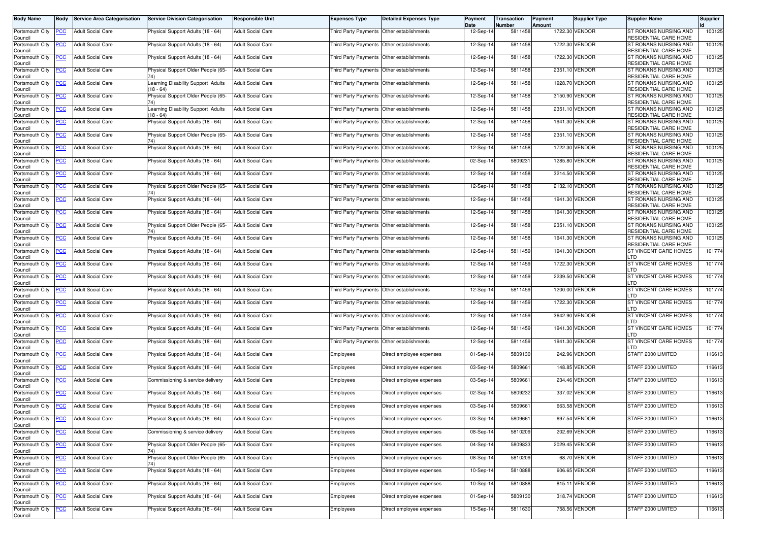| <b>Body Name</b>           | Body       | <b>Service Area Categorisation</b> | <b>Service Division Categorisation</b>          | <b>Responsible Unit</b>  | <b>Expenses Type</b>                        | <b>Detailed Expenses Type</b>             | Payment<br>Date | Transaction<br>Number | Payment<br><b>Amount</b> | Supplier Type  | <b>Supplier Name</b>                                  | Supplier |
|----------------------------|------------|------------------------------------|-------------------------------------------------|--------------------------|---------------------------------------------|-------------------------------------------|-----------------|-----------------------|--------------------------|----------------|-------------------------------------------------------|----------|
| Portsmouth City<br>Council | <b>PCC</b> | <b>Adult Social Care</b>           | Physical Support Adults (18 - 64)               | <b>Adult Social Care</b> | Third Party Payments Other establishments   |                                           | 12-Sep-14       | 5811458               |                          | 1722.30 VENDOR | ST RONANS NURSING AND<br>RESIDENTIAL CARE HOME        | 100125   |
| Portsmouth City<br>Council | <u>PCC</u> | Adult Social Care                  | Physical Support Adults (18 - 64)               | <b>Adult Social Care</b> | Third Party Payments Other establishments   |                                           | 12-Sep-14       | 5811458               |                          | 1722.30 VENDOR | ST RONANS NURSING AND<br>RESIDENTIAL CARE HOME        | 100125   |
| Portsmouth City<br>Council | <u>PCC</u> | <b>Adult Social Care</b>           | Physical Support Adults (18 - 64)               | <b>Adult Social Care</b> | Third Party Payments Other establishments   |                                           | 12-Sep-14       | 5811458               |                          | 1722.30 VENDOR | ST RONANS NURSING AND<br><b>RESIDENTIAL CARE HOME</b> | 100125   |
| Portsmouth City<br>Council | <u>PCC</u> | <b>Adult Social Care</b>           | Physical Support Older People (65-              | <b>Adult Social Care</b> | Third Party Payments Other establishments   |                                           | 12-Sep-14       | 5811458               |                          | 2351.10 VENDOR | ST RONANS NURSING AND<br>RESIDENTIAL CARE HOME        | 100125   |
| Portsmouth City<br>Council | <u>PCC</u> | <b>Adult Social Care</b>           | Learning Disability Support Adults<br>$18 - 64$ | <b>Adult Social Care</b> |                                             | Third Party Payments Other establishments | 12-Sep-14       | 5811458               |                          | 1928.70 VENDOR | ST RONANS NURSING AND<br>RESIDENTIAL CARE HOME        | 100125   |
| Portsmouth City<br>Council | <u>PCC</u> | <b>Adult Social Care</b>           | Physical Support Older People (65-              | <b>Adult Social Care</b> | Third Party Payments   Other establishments |                                           | 12-Sep-14       | 5811458               |                          | 3150.90 VENDOR | ST RONANS NURSING AND<br>RESIDENTIAL CARE HOME        | 100125   |
| Portsmouth City<br>Council | <u>PCC</u> | <b>Adult Social Care</b>           | Learning Disability Support Adults<br>18 - 64)  | <b>Adult Social Care</b> | <b>Third Party Payments</b>                 | Other establishments                      | 12-Sep-14       | 5811458               |                          | 2351.10 VENDOR | ST RONANS NURSING AND<br>RESIDENTIAL CARE HOME        | 100125   |
| Portsmouth City<br>Council | <u>PCC</u> | <b>Adult Social Care</b>           | Physical Support Adults (18 - 64)               | <b>Adult Social Care</b> | Third Party Payments                        | Other establishments                      | 12-Sep-14       | 5811458               |                          | 1941.30 VENDOR | ST RONANS NURSING AND<br>RESIDENTIAL CARE HOME        | 100125   |
| Portsmouth City<br>Council | <u>PCC</u> | <b>Adult Social Care</b>           | Physical Support Older People (65-              | <b>Adult Social Care</b> | Third Party Payments Other establishments   |                                           | 12-Sep-14       | 5811458               |                          | 2351.10 VENDOR | ST RONANS NURSING AND<br>RESIDENTIAL CARE HOME        | 100125   |
| Portsmouth City<br>Council | PСC        | Adult Social Care                  | Physical Support Adults (18 - 64)               | <b>Adult Social Care</b> | Third Party Payments   Other establishments |                                           | 12-Sep-14       | 5811458               |                          | 1722.30 VENDOR | ST RONANS NURSING AND<br>RESIDENTIAL CARE HOME        | 100125   |
| Portsmouth City<br>Council | <u>PCC</u> | <b>Adult Social Care</b>           | Physical Support Adults (18 - 64)               | <b>Adult Social Care</b> | Third Party Payments Other establishments   |                                           | 02-Sep-14       | 580923                |                          | 1285.80 VENDOR | ST RONANS NURSING AND<br>RESIDENTIAL CARE HOME        | 100125   |
| Portsmouth City<br>Council | сc         | <b>Adult Social Care</b>           | Physical Support Adults (18 - 64)               | <b>Adult Social Care</b> | Third Party Payments                        | Other establishments                      | 12-Sep-14       | 5811458               |                          | 3214.50 VENDOR | ST RONANS NURSING AND<br>RESIDENTIAL CARE HOME        | 100125   |
| Portsmouth City<br>Council | <u>PCC</u> | Adult Social Care                  | Physical Support Older People (65-              | <b>Adult Social Care</b> |                                             | Third Party Payments Other establishments | 12-Sep-14       | 5811458               |                          | 2132.10 VENDOR | ST RONANS NURSING AND<br>RESIDENTIAL CARE HOME        | 100125   |
| Portsmouth City<br>Council | <b>PCC</b> | <b>Adult Social Care</b>           | Physical Support Adults (18 - 64)               | <b>Adult Social Care</b> |                                             | Third Party Payments Other establishments | 12-Sep-14       | 5811458               |                          | 1941.30 VENDOR | ST RONANS NURSING AND<br>RESIDENTIAL CARE HOME        | 100125   |
| Portsmouth City<br>Council | <u>PCC</u> | <b>Adult Social Care</b>           | Physical Support Adults (18 - 64)               | <b>Adult Social Care</b> | Third Party Payments Other establishments   |                                           | 12-Sep-14       | 5811458               |                          | 1941.30 VENDOR | ST RONANS NURSING AND<br>RESIDENTIAL CARE HOME        | 100125   |
| Portsmouth City<br>Council | <b>PCC</b> | <b>Adult Social Care</b>           | Physical Support Older People (65-              | <b>Adult Social Care</b> | Third Party Payments                        | Other establishments                      | 12-Sep-14       | 5811458               |                          | 2351.10 VENDOR | ST RONANS NURSING AND<br><b>RESIDENTIAL CARE HOME</b> | 100125   |
| Portsmouth City<br>Council | <u>PCC</u> | <b>Adult Social Care</b>           | Physical Support Adults (18 - 64)               | <b>Adult Social Care</b> |                                             | Third Party Payments Other establishments | 12-Sep-14       | 5811458               |                          | 1941.30 VENDOR | ST RONANS NURSING AND<br>RESIDENTIAL CARE HOME        | 100125   |
| Portsmouth City<br>Council | <u>PCC</u> | <b>Adult Social Care</b>           | Physical Support Adults (18 - 64)               | <b>Adult Social Care</b> | Third Party Payments Other establishments   |                                           | 12-Sep-14       | 5811459               |                          | 1941.30 VENDOR | ST VINCENT CARE HOMES<br>_TD                          | 101774   |
| Portsmouth City<br>Council | <u>PCC</u> | <b>Adult Social Care</b>           | Physical Support Adults (18 - 64)               | <b>Adult Social Care</b> | Third Party Payments Other establishments   |                                           | 12-Sep-14       | 5811459               |                          | 1722.30 VENDOR | ST VINCENT CARE HOMES<br>LTD                          | 101774   |
| Portsmouth City<br>Council | PСC        | <b>Adult Social Care</b>           | Physical Support Adults (18 - 64)               | <b>Adult Social Care</b> | Third Party Payments                        | Other establishments                      | 12-Sep-14       | 5811459               |                          | 2239.50 VENDOR | ST VINCENT CARE HOMES<br>LTD                          | 101774   |
| Portsmouth City<br>Council | <u>CC</u>  | Adult Social Care                  | Physical Support Adults (18 - 64)               | <b>Adult Social Care</b> | Third Party Payments                        | Other establishments                      | 12-Sep-14       | 5811459               |                          | 1200.00 VENDOR | ST VINCENT CARE HOMES<br>LTD                          | 101774   |
| Portsmouth City<br>Council | <b>PCC</b> | <b>Adult Social Care</b>           | Physical Support Adults (18 - 64)               | <b>Adult Social Care</b> | Third Party Payments Other establishments   |                                           | 12-Sep-14       | 5811459               |                          | 1722.30 VENDOR | ST VINCENT CARE HOMES<br>_TD                          | 101774   |
| Portsmouth City<br>Council | <b>PCC</b> | <b>Adult Social Care</b>           | Physical Support Adults (18 - 64)               | <b>Adult Social Care</b> | Third Party Payments Other establishments   |                                           | 12-Sep-14       | 5811459               |                          | 3642.90 VENDOR | ST VINCENT CARE HOMES<br>_TD                          | 101774   |
| Portsmouth City<br>Council | <u>PCC</u> | <b>Adult Social Care</b>           | Physical Support Adults (18 - 64)               | <b>Adult Social Care</b> | Third Party Payments Other establishments   |                                           | 12-Sep-14       | 5811459               |                          | 1941.30 VENDOR | ST VINCENT CARE HOMES<br>חד ו                         | 101774   |
| Portsmouth City<br>Council | <u>PCC</u> | <b>Adult Social Care</b>           | Physical Support Adults (18 - 64)               | <b>Adult Social Care</b> | Third Party Payments Other establishments   |                                           | 12-Sep-14       | 5811459               |                          | 1941.30 VENDOR | ST VINCENT CARE HOMES<br>LTD                          | 101774   |
| Portsmouth City<br>Council | <b>PCC</b> | <b>Adult Social Care</b>           | Physical Support Adults (18 - 64)               | <b>Adult Social Care</b> | Employees                                   | Direct employee expenses                  | 01-Sep-14       | 5809130               |                          | 242.96 VENDOR  | STAFF 2000 LIMITED                                    | 116613   |
| Portsmouth City<br>Council | <u>PCC</u> | <b>Adult Social Care</b>           | Physical Support Adults (18 - 64)               | <b>Adult Social Care</b> | Employees                                   | Direct employee expenses                  | 03-Sep-14       | 5809661               |                          | 148.85 VENDOR  | STAFF 2000 LIMITED                                    | 116613   |
| Portsmouth City<br>Council | <u>PCC</u> | <b>Adult Social Care</b>           | Commissioning & service delivery                | <b>Adult Social Care</b> | Employees                                   | Direct employee expenses                  | 03-Sep-14       | 5809661               |                          | 234.46 VENDOR  | STAFF 2000 LIMITED                                    | 116613   |
| Portsmouth City<br>Council | <u>PCC</u> | <b>Adult Social Care</b>           | Physical Support Adults (18 - 64)               | <b>Adult Social Care</b> | Employees                                   | Direct employee expenses                  | 02-Sep-14       | 5809232               |                          | 337.02 VENDOR  | STAFF 2000 LIMITED                                    | 116613   |
| Portsmouth City<br>Council | <b>PCC</b> | <b>Adult Social Care</b>           | Physical Support Adults (18 - 64)               | <b>Adult Social Care</b> | Employees                                   | Direct employee expenses                  | 03-Sep-14       | 5809661               |                          | 663.58 VENDOR  | STAFF 2000 LIMITED                                    | 116613   |
| Portsmouth City<br>Council | PCC        | <b>Adult Social Care</b>           | Physical Support Adults (18 - 64)               | <b>Adult Social Care</b> | Employees                                   | Direct employee expenses                  | 03-Sep-14       | 5809661               |                          | 697.54 VENDOR  | STAFF 2000 LIMITED                                    | 116613   |
| Portsmouth City<br>Council | <u>PCC</u> | <b>Adult Social Care</b>           | Commissioning & service delivery                | <b>Adult Social Care</b> | Employees                                   | Direct employee expenses                  | 08-Sep-14       | 5810209               |                          | 202.69 VENDOR  | STAFF 2000 LIMITED                                    | 116613   |
| Portsmouth City<br>Council | <b>PCC</b> | <b>Adult Social Care</b>           | Physical Support Older People (65-<br>74)       | <b>Adult Social Care</b> | Employees                                   | Direct employee expenses                  | 04-Sep-14       | 5809833               |                          | 2029.45 VENDOR | STAFF 2000 LIMITED                                    | 116613   |
| Portsmouth City<br>Council | <b>PCC</b> | <b>Adult Social Care</b>           | Physical Support Older People (65-<br>74)       | <b>Adult Social Care</b> | Employees                                   | Direct employee expenses                  | 08-Sep-14       | 5810209               |                          | 68.70 VENDOR   | STAFF 2000 LIMITED                                    | 116613   |
| Portsmouth City<br>Council | <b>PCC</b> | <b>Adult Social Care</b>           | Physical Support Adults (18 - 64)               | <b>Adult Social Care</b> | Employees                                   | Direct employee expenses                  | 10-Sep-14       | 5810888               |                          | 606.65 VENDOR  | STAFF 2000 LIMITED                                    | 116613   |
| Portsmouth City<br>Council | <u>PCC</u> | <b>Adult Social Care</b>           | Physical Support Adults (18 - 64)               | <b>Adult Social Care</b> | Employees                                   | Direct employee expenses                  | 10-Sep-14       | 5810888               |                          | 815.11 VENDOR  | STAFF 2000 LIMITED                                    | 116613   |
| Portsmouth City<br>Council | <u>PCC</u> | <b>Adult Social Care</b>           | Physical Support Adults (18 - 64)               | <b>Adult Social Care</b> | Employees                                   | Direct employee expenses                  | 01-Sep-14       | 5809130               |                          | 318.74 VENDOR  | STAFF 2000 LIMITED                                    | 116613   |
| Portsmouth City<br>Council | <u>CC</u>  | <b>Adult Social Care</b>           | Physical Support Adults (18 - 64)               | <b>Adult Social Care</b> | Employees                                   | Direct employee expenses                  | 15-Sep-14       | 5811630               |                          | 758.56 VENDOR  | STAFF 2000 LIMITED                                    | 116613   |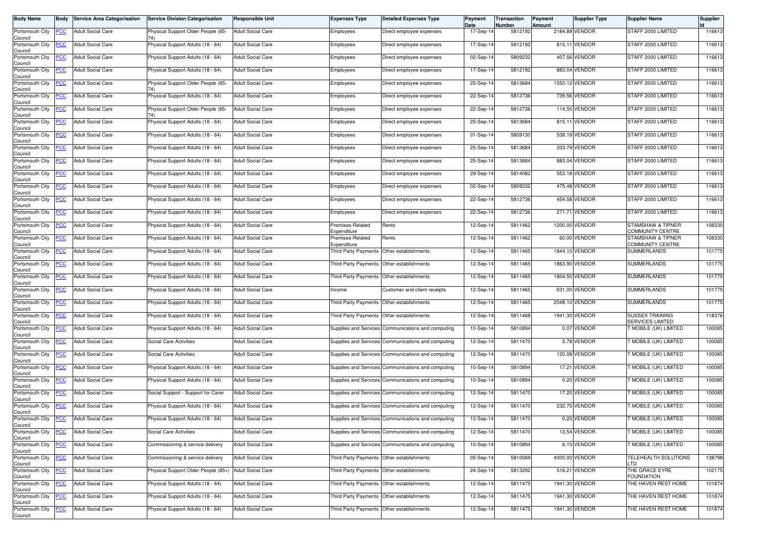| <b>Body Name</b>                                 | <b>Body</b>    | <b>Service Area Categorisation</b> | <b>Service Division Categorisation</b>                | <b>Responsible Unit</b>  | <b>Expenses Type</b>                      | <b>Detailed Expenses Type</b>                      | Payment<br>Date | Transaction<br>Number | Payment<br>Amount | Supplier Type  | <b>Supplier Name</b>                              | Supplier |
|--------------------------------------------------|----------------|------------------------------------|-------------------------------------------------------|--------------------------|-------------------------------------------|----------------------------------------------------|-----------------|-----------------------|-------------------|----------------|---------------------------------------------------|----------|
| Portsmouth City<br>Council                       | <u>PCC</u>     | <b>Adult Social Care</b>           | Physical Support Older People (65-                    | <b>Adult Social Care</b> | Employees                                 | Direct employee expenses                           | 17-Sep-14       | 5812192               |                   | 2184.89 VENDOR | STAFF 2000 LIMITED                                | 116613   |
| Portsmouth City<br>Council                       | <u>PCC</u>     | <b>Adult Social Care</b>           | Physical Support Adults (18 - 64)                     | <b>Adult Social Care</b> | Employees                                 | Direct employee expenses                           | 17-Sep-14       | 5812192               |                   | 815.11 VENDOR  | STAFF 2000 LIMITED                                | 116613   |
| Portsmouth City<br>Council                       | <u>PCC</u>     | <b>Adult Social Care</b>           | Physical Support Adults (18 - 64)                     | <b>Adult Social Care</b> | Employees                                 | Direct employee expenses                           | 02-Sep-14       | 5809232               |                   | 407.56 VENDOR  | STAFF 2000 LIMITED                                | 116613   |
| Portsmouth City<br>Council                       | <b>PCC</b>     | <b>Adult Social Care</b>           | Physical Support Adults (18 - 64)                     | <b>Adult Social Care</b> | Employees                                 | Direct employee expenses                           | 17-Sep-14       | 5812192               |                   | 883.04 VENDOR  | STAFF 2000 LIMITED                                | 116613   |
| Portsmouth City<br>Council                       | <u>CC</u>      | <b>Adult Social Care</b>           | Physical Support Older People (65-                    | Adult Social Care        | Employees                                 | Direct employee expenses                           | 25-Sep-14       | 5813684               |                   | 1550.12 VENDOR | STAFF 2000 LIMITED                                | 116613   |
| Portsmouth City<br>Council                       | <b>PCC</b>     | <b>Adult Social Care</b>           | Physical Support Adults (18 - 64)                     | <b>Adult Social Care</b> | Employees                                 | Direct employee expenses                           | 22-Sep-14       | 5812736               |                   | 739.56 VENDOR  | STAFF 2000 LIMITED                                | 116613   |
| Portsmouth City<br>Council                       | <b>PCC</b>     | <b>Adult Social Care</b>           | Physical Support Older People (65-                    | <b>Adult Social Care</b> | Employees                                 | Direct employee expenses                           | 22-Sep-14       | 5812736               |                   | 114.50 VENDOR  | STAFF 2000 LIMITED                                | 116613   |
| Portsmouth City<br>Council                       | <u>PCC</u>     | <b>Adult Social Care</b>           | Physical Support Adults (18 - 64)                     | <b>Adult Social Care</b> | Employees                                 | Direct employee expenses                           | 25-Sep-14       | 5813684               |                   | 815.11 VENDOR  | STAFF 2000 LIMITED                                | 116613   |
| Portsmouth City<br>Council                       | сC             | <b>Adult Social Care</b>           | Physical Support Adults (18 - 64)                     | <b>Adult Social Care</b> | Employees                                 | Direct employee expenses                           | 01-Sep-14       | 5809130               |                   | 538.19 VENDOR  | STAFF 2000 LIMITED                                | 116613   |
| Portsmouth City<br>Council                       | <b>PCC</b>     | <b>Adult Social Care</b>           | Physical Support Adults (18 - 64)                     | <b>Adult Social Care</b> | Employees                                 | Direct employee expenses                           | 25-Sep-14       | 5813684               |                   | 203.79 VENDOR  | STAFF 2000 LIMITED                                | 116613   |
| Portsmouth City<br>Council                       | PСC            | <b>Adult Social Care</b>           | Physical Support Adults (18 - 64)                     | <b>Adult Social Care</b> | Employees                                 | Direct employee expenses                           | 25-Sep-14       | 5813684               | 883.04            | VENDOR         | STAFF 2000 LIMITED                                | 116613   |
| Portsmouth City<br>Council                       | <b>PCC</b>     | <b>Adult Social Care</b>           | Physical Support Adults (18 - 64)                     | <b>Adult Social Care</b> | Employees                                 | Direct employee expenses                           | 29-Sep-14       | 5814082               |                   | 553.18 VENDOR  | STAFF 2000 LIMITED                                | 116613   |
| Portsmouth City<br>Council                       |                | <b>Adult Social Care</b>           | Physical Support Adults (18 - 64)                     | <b>Adult Social Care</b> | Employees                                 | Direct employee expenses                           | 02-Sep-14       | 5809232               |                   | 475.48 VENDOR  | STAFF 2000 LIMITED                                | 116613   |
| Portsmouth City<br>Council                       | <b>PCC</b>     | <b>Adult Social Care</b>           | Physical Support Adults (18 - 64)                     | <b>Adult Social Care</b> | Employees                                 | Direct employee expenses                           | 22-Sep-14       | 5812736               |                   | 454.58 VENDOR  | STAFF 2000 LIMITED                                | 116613   |
| Portsmouth City<br>Council                       | <u>PCC</u>     | <b>Adult Social Care</b>           | Physical Support Adults (18 - 64)                     | <b>Adult Social Care</b> | Employees                                 | Direct employee expenses                           | 22-Sep-14       | 5812736               |                   | 271.71 VENDOR  | STAFF 2000 LIMITED                                | 116613   |
| Portsmouth City<br>Council                       | <u>PCC</u>     | <b>Adult Social Care</b>           | Physical Support Adults (18 - 64)                     | <b>Adult Social Care</b> | Premises-Related<br>Expenditure           | Rents                                              | 12-Sep-14       | 5811462               |                   | 1200.00 VENDOR | <b>STAMSHAW &amp; TIPNER</b><br>COMMUNITY CENTRE  | 108330   |
| Portsmouth City<br>Council                       | <u>PCC</u>     | <b>Adult Social Care</b>           | Physical Support Adults (18 - 64)                     | <b>Adult Social Care</b> | Premises-Related<br>Expenditure           | Rents                                              | 12-Sep-14       | 5811462               |                   | 60.00 VENDOR   | STAMSHAW & TIPNER<br>COMMUNITY CENTRE             | 108330   |
| Portsmouth City<br>Council                       | <b>PCC</b>     | <b>Adult Social Care</b>           | Physical Support Adults (18 - 64)                     | <b>Adult Social Care</b> |                                           | Third Party Payments Other establishments          | 12-Sep-14       | 5811465               |                   | 1844.10 VENDOR | <b>SUMMERLANDS</b>                                | 101775   |
| Portsmouth City<br>Council                       | <b>PCC</b>     | <b>Adult Social Care</b>           | Physical Support Adults (18 - 64)                     | <b>Adult Social Care</b> |                                           | Third Party Payments Other establishments          | 12-Sep-14       | 5811465               |                   | 1863.90 VENDOR | <b>SUMMERLANDS</b>                                | 101775   |
| Portsmouth City<br>Council                       | <b>PCC</b>     | <b>Adult Social Care</b>           | Physical Support Adults (18 - 64)                     | <b>Adult Social Care</b> |                                           | Third Party Payments Other establishments          | 12-Sep-14       | 5811465               |                   | 1804.50 VENDOR | <b>SUMMERLANDS</b>                                | 101775   |
| Portsmouth City<br>Council                       | <u>PCC</u>     | <b>Adult Social Care</b>           | Physical Support Adults (18 - 64)                     | <b>Adult Social Care</b> | ncome                                     | Customer and client receipts                       | 12-Sep-14       | 5811465               |                   | -531.00 VENDOR | <b>SUMMERLANDS</b>                                | 101775   |
| Portsmouth City<br>Council                       | <u>PCC</u>     | <b>Adult Social Care</b>           | Physical Support Adults (18 - 64)                     | <b>Adult Social Care</b> |                                           | Third Party Payments Other establishments          | 12-Sep-14       | 5811465               |                   | 2048.10 VENDOR | <b>SUMMERLANDS</b>                                | 101775   |
| Portsmouth City<br>Council                       | <u>PCC</u>     | <b>Adult Social Care</b>           | Physical Support Adults (18 - 64)                     | <b>Adult Social Care</b> |                                           | Third Party Payments Other establishments          | 12-Sep-14       | 5811468               |                   | 1941.30 VENDOR | <b>SUSSEX TRAINING</b><br><b>SERVICES LIMITED</b> | 118376   |
| Portsmouth City<br>Council                       | <u>PCC</u>     | <b>Adult Social Care</b>           | Physical Support Adults (18 - 64)                     | <b>Adult Social Care</b> |                                           | Supplies and Services Communications and computing | 10-Sep-14       | 5810894               |                   | 0.07 VENDOR    | <b>MOBILE (UK) LIMITED</b>                        | 100085   |
| Portsmouth City<br>Council                       | PСC            | <b>Adult Social Care</b>           | Social Care Activities                                | <b>Adult Social Care</b> |                                           | Supplies and Services Communications and computing | 12-Sep-14       | 5811470               |                   | 5.78 VENDOR    | MOBILE (UK) LIMITED                               | 100085   |
| Portsmouth City<br>Council                       | <u>PCC</u>     | Adult Social Care                  | Social Care Activities                                | <b>Adult Social Care</b> |                                           | Supplies and Services Communications and computing | 12-Sep-14       | 5811470               |                   | 120.08 VENDOR  | MOBILE (UK) LIMITED                               | 100085   |
| Portsmouth City<br>Council                       | <b>PCC</b>     | <b>Adult Social Care</b>           | Physical Support Adults (18 - 64)                     | <b>Adult Social Care</b> |                                           | Supplies and Services Communications and computing | 10-Sep-14       | 5810894               |                   | 17.21 VENDOR   | T MOBILE (UK) LIMITED                             | 100085   |
| Portsmouth City<br>Council                       | <u>CC</u>      | <b>Adult Social Care</b>           | Physical Support Adults (18 - 64)                     | <b>Adult Social Care</b> |                                           | Supplies and Services Communications and computing | 10-Sep-14       | 5810894               |                   | 0.20 VENDOR    | MOBILE (UK) LIMITED                               | 100085   |
| Portsmouth City<br>Council                       | <u>PCC</u>     | <b>Adult Social Care</b>           | Social Support - Support for Carer                    | <b>Adult Social Care</b> |                                           | Supplies and Services Communications and computing | 12-Sep-14       | 5811470               |                   | 17.20 VENDOR   | <b>MOBILE (UK) LIMITED</b>                        | 100085   |
| Portsmouth City<br>Council                       | <b>PCC</b>     | <b>Adult Social Care</b>           | Physical Support Adults (18 - 64)                     | <b>Adult Social Care</b> |                                           | Supplies and Services Communications and computing | 12-Sep-14       | 5811470               |                   | 232.75 VENDOR  | MOBILE (UK) LIMITED                               | 100085   |
| Portsmouth City PCC Adult Social Care<br>Council |                |                                    | Physical Support Adults (18 - 64)                     | <b>Adult Social Care</b> |                                           | Supplies and Services Communications and computing | 12-Sep-14       | 5811470               |                   | 0.20 VENDOR    | T MOBILE (UK) LIMITED                             | 100085   |
| Portsmouth City<br>Council                       | <b>PCC</b>     | <b>Adult Social Care</b>           | Social Care Activities                                | <b>Adult Social Care</b> |                                           | Supplies and Services Communications and computing | 12-Sep-14       | 5811470               |                   | 13.54 VENDOR   | MOBILE (UK) LIMITED                               | 100085   |
| Portsmouth City                                  | <b>PCC</b>     | <b>Adult Social Care</b>           | Commissioning & service delivery                      | <b>Adult Social Care</b> |                                           | Supplies and Services Communications and computing | 10-Sep-14       | 5810894               |                   | 6.15 VENDOR    | MOBILE (UK) LIMITED                               | 100085   |
| Council<br>Portsmouth City<br>Council            | <b>PCC</b>     | <b>Adult Social Care</b>           | Commissioning & service delivery                      | <b>Adult Social Care</b> |                                           | Third Party Payments Other establishments          | 05-Sep-14       | 5810069               |                   | 4000.00 VENDOR | TELEHEALTH SOLUTIONS<br>LTD                       | 138798   |
| Portsmouth City<br>Council                       | <b>PCC</b>     | <b>Adult Social Care</b>           | Physical Support Older People (85+) Adult Social Care |                          | Third Party Payments Other establishments |                                                    | 24-Sep-14       | 5813292               |                   | 516.21 VENDOR  | THE GRACE EYRE<br><b>FOUNDATION</b>               | 102175   |
| Portsmouth City<br>Council                       | <u>PCC</u>     | <b>Adult Social Care</b>           | Physical Support Adults (18 - 64)                     | <b>Adult Social Care</b> |                                           | Third Party Payments Other establishments          | 12-Sep-14       | 5811475               |                   | 1941.30 VENDOR | THE HAVEN REST HOME                               | 101874   |
| Portsmouth City<br>Council                       | <b>PCC</b>     | <b>Adult Social Care</b>           | Physical Support Adults (18 - 64)                     | <b>Adult Social Care</b> | <b>Third Party Payments</b>               | Other establishments                               | 12-Sep-14       | 5811475               |                   | 1941.30 VENDOR | THE HAVEN REST HOME                               | 101874   |
| Portsmouth City<br>Council                       | $\overline{C}$ | <b>Adult Social Care</b>           | Physical Support Adults (18 - 64)                     | <b>Adult Social Care</b> |                                           | Third Party Payments Other establishments          | 12-Sep-14       | 5811475               |                   | 1941.30 VENDOR | THE HAVEN REST HOME                               | 101874   |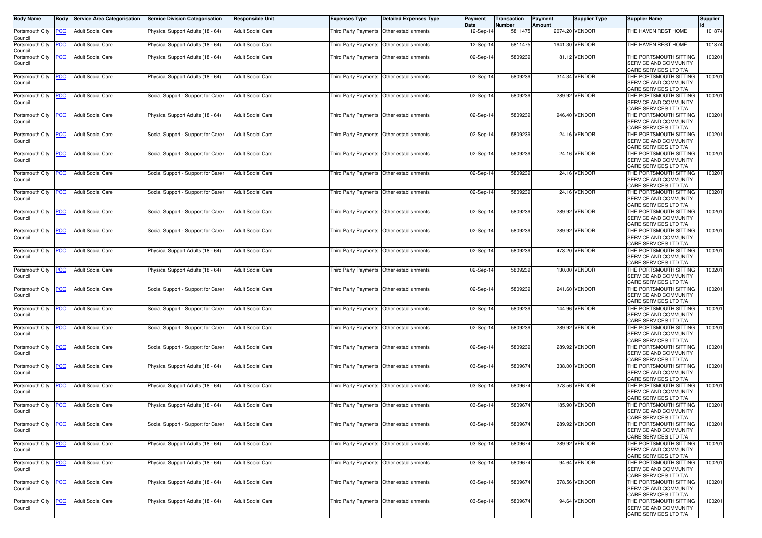| <b>Body Name</b>               | Body       | <b>Service Area Categorisation</b> | <b>Service Division Categorisation</b> | <b>Responsible Unit</b>  | <b>Expenses Type</b>                      | <b>Detailed Expenses Type</b> | <b>Payment</b><br>Date | Transaction<br>Number | <b>Payment</b><br>Amount | <b>Supplier Type</b> | <b>Supplier Name</b>                                                     | <b>Supplier</b> |
|--------------------------------|------------|------------------------------------|----------------------------------------|--------------------------|-------------------------------------------|-------------------------------|------------------------|-----------------------|--------------------------|----------------------|--------------------------------------------------------------------------|-----------------|
| Portsmouth City<br>Council     | <b>PCC</b> | <b>Adult Social Care</b>           | Physical Support Adults (18 - 64)      | <b>Adult Social Care</b> | Third Party Payments Other establishments |                               | 12-Sep-14              | 5811475               |                          | 2074.20 VENDOR       | THE HAVEN REST HOME                                                      | 101874          |
| Portsmouth City<br>Council     | <u>PCC</u> | <b>Adult Social Care</b>           | Physical Support Adults (18 - 64)      | <b>Adult Social Care</b> | Third Party Payments Other establishments |                               | 12-Sep-1               | 5811475               |                          | 1941.30 VENDOR       | THE HAVEN REST HOME                                                      | 101874          |
| Portsmouth City<br>Council     | <u>PCC</u> | <b>Adult Social Care</b>           | Physical Support Adults (18 - 64)      | <b>Adult Social Care</b> | <b>Third Party Payments</b>               | Other establishments          | 02-Sep-14              | 580923                |                          | 81.12 VENDOR         | THE PORTSMOUTH SITTING<br>SERVICE AND COMMUNITY<br>CARE SERVICES LTD T/A | 10020           |
| Portsmouth City<br>Council     | <b>PCC</b> | <b>Adult Social Care</b>           | Physical Support Adults (18 - 64)      | <b>Adult Social Care</b> | Third Party Payments Other establishments |                               | 02-Sep-14              | 5809239               |                          | 314.34 VENDOR        | THE PORTSMOUTH SITTING<br>SERVICE AND COMMUNITY<br>CARE SERVICES LTD T/A | 100201          |
| Portsmouth City<br>Council     | <u>PCC</u> | <b>Adult Social Care</b>           | Social Support - Support for Carer     | <b>Adult Social Care</b> | Third Party Payments Other establishments |                               | 02-Sep-1               | 5809239               |                          | 289.92 VENDOR        | THE PORTSMOUTH SITTING<br>SERVICE AND COMMUNITY<br>CARE SERVICES LTD T/A | 10020           |
| Portsmouth City<br>Council     | <b>PCC</b> | <b>Adult Social Care</b>           | Physical Support Adults (18 - 64)      | <b>Adult Social Care</b> | Third Party Payments Other establishments |                               | 02-Sep-1               | 5809239               |                          | 946.40 VENDOR        | THE PORTSMOUTH SITTING<br>SERVICE AND COMMUNITY<br>CARE SERVICES LTD T/A | 100201          |
| Portsmouth City<br>Council     | <b>PCC</b> | <b>Adult Social Care</b>           | Social Support - Support for Carer     | <b>Adult Social Care</b> | Third Party Payments Other establishments |                               | 02-Sep-14              | 5809239               |                          | 24.16 VENDOR         | THE PORTSMOUTH SITTING<br>SERVICE AND COMMUNITY<br>CARE SERVICES LTD T/A | 100201          |
| Portsmouth City<br>Council     | <u>PCC</u> | <b>Adult Social Care</b>           | Social Support - Support for Carer     | <b>Adult Social Care</b> | Third Party Payments Other establishments |                               | 02-Sep-1               | 5809239               |                          | 24.16 VENDOR         | THE PORTSMOUTH SITTING<br>SERVICE AND COMMUNITY<br>CARE SERVICES LTD T/A | 100201          |
| Portsmouth City<br>Council     | <b>PCC</b> | <b>Adult Social Care</b>           | Social Support - Support for Carer     | <b>Adult Social Care</b> | Third Party Payments Other establishments |                               | 02-Sep-1               | 5809239               |                          | 24.16 VENDOR         | THE PORTSMOUTH SITTING<br>SERVICE AND COMMUNITY<br>CARE SERVICES LTD T/A | 100201          |
| Portsmouth City<br>Council     | <u>PCC</u> | <b>Adult Social Care</b>           | Social Support - Support for Carer     | <b>Adult Social Care</b> | Third Party Payments                      | Other establishments          | $02-Sep-1$             | 5809239               |                          | 24.16 VENDOR         | THE PORTSMOUTH SITTING<br>SERVICE AND COMMUNITY<br>CARE SERVICES LTD T/A | 100201          |
| Portsmouth City<br>Council     | <b>PCC</b> | <b>Adult Social Care</b>           | Social Support - Support for Carer     | <b>Adult Social Care</b> | <b>Third Party Payments</b>               | Other establishments          | 02-Sep-14              | 5809239               |                          | 289.92 VENDOR        | THE PORTSMOUTH SITTING<br>SERVICE AND COMMUNITY<br>CARE SERVICES LTD T/A | 100201          |
| Portsmouth City<br>Council     | <b>PCC</b> | <b>Adult Social Care</b>           | Social Support - Support for Carer     | <b>Adult Social Care</b> | Third Party Payments                      | Other establishments          | 02-Sep-14              | 5809239               |                          | 289.92 VENDOR        | THE PORTSMOUTH SITTING<br>SERVICE AND COMMUNITY<br>CARE SERVICES LTD T/A | 100201          |
| Portsmouth City<br>Council     | <u>PCC</u> | <b>Adult Social Care</b>           | Physical Support Adults (18 - 64)      | <b>Adult Social Care</b> | Third Party Payments                      | Other establishments          | 02-Sep-1               | 5809239               |                          | 473.20 VENDOR        | THE PORTSMOUTH SITTING<br>SERVICE AND COMMUNITY<br>CARE SERVICES LTD T/A | 100201          |
| Portsmouth City<br>Council     | <b>PCC</b> | <b>Adult Social Care</b>           | Physical Support Adults (18 - 64)      | Adult Social Care        | Third Party Payments Other establishments |                               | 02-Sep-1               | 5809239               |                          | 130.00 VENDOR        | THE PORTSMOUTH SITTING<br>SERVICE AND COMMUNITY<br>CARE SERVICES LTD T/A | 10020           |
| Portsmouth City<br>Council     | <b>PCC</b> | <b>Adult Social Care</b>           | Social Support - Support for Carer     | <b>Adult Social Care</b> | Third Party Payments Other establishments |                               | 02-Sep-1               | 5809239               |                          | 241.60 VENDOR        | THE PORTSMOUTH SITTING<br>SERVICE AND COMMUNITY<br>CARE SERVICES LTD T/A | 100201          |
| Portsmouth City<br>Council     | <b>PCC</b> | <b>Adult Social Care</b>           | Social Support - Support for Carer     | <b>Adult Social Care</b> | Third Party Payments Other establishments |                               | 02-Sep-14              | 5809239               |                          | 144.96 VENDOR        | THE PORTSMOUTH SITTING<br>SERVICE AND COMMUNITY<br>CARE SERVICES LTD T/A | 100201          |
| Portsmouth City<br>Council     | <u>PCC</u> | <b>Adult Social Care</b>           | Social Support - Support for Carer     | <b>Adult Social Care</b> | Third Party Payments                      | Other establishments          | 02-Sep-1               | 5809239               |                          | 289.92 VENDOR        | THE PORTSMOUTH SITTING<br>SERVICE AND COMMUNITY<br>CARE SERVICES LTD T/A | 100201          |
| Portsmouth City<br>Council     | <b>PCC</b> | <b>Adult Social Care</b>           | Social Support - Support for Carer     | <b>Adult Social Care</b> | Third Party Payments Other establishments |                               | 02-Sep-14              | 5809239               |                          | 289.92 VENDOR        | THE PORTSMOUTH SITTING<br>SERVICE AND COMMUNITY<br>CARE SERVICES LTD T/A | 100201          |
| Portsmouth City<br>Council     | <u>PCC</u> | <b>Adult Social Care</b>           | Physical Support Adults (18 - 64)      | <b>Adult Social Care</b> | <b>Third Party Payments</b>               | Other establishments          | 03-Sep-1               | 5809674               |                          | 338.00 VENDOR        | THE PORTSMOUTH SITTING<br>SERVICE AND COMMUNITY<br>CARE SERVICES LTD T/A | 100201          |
| Portsmouth City<br>Council     | <b>PCC</b> | <b>Adult Social Care</b>           | Physical Support Adults (18 - 64)      | <b>Adult Social Care</b> | <b>Third Party Payments</b>               | Other establishments          | 03-Sep-14              | 5809674               |                          | 378.56 VENDOR        | THE PORTSMOUTH SITTING<br>SERVICE AND COMMUNITY<br>CARE SERVICES LTD T/A | 100201          |
| Portsmouth City<br>Council     | <b>PCC</b> | <b>Adult Social Care</b>           | Physical Support Adults (18 - 64)      | <b>Adult Social Care</b> | Third Party Payments Other establishments |                               | 03-Sep-14              | 5809674               |                          | 185.90 VENDOR        | THE PORTSMOUTH SITTING<br>SERVICE AND COMMUNITY<br>CARE SERVICES LTD T/A | 100201          |
| Portsmouth City PCC<br>Council |            | <b>Adult Social Care</b>           | Social Support - Support for Carer     | Adult Social Care        | Third Party Payments Other establishments |                               | 03-Sep-14              | 5809674               |                          | 289.92 VENDOR        | THE PORTSMOUTH SITTING<br>SERVICE AND COMMUNITY<br>CARE SERVICES LTD T/A | 100201          |
| Portsmouth City<br>Council     | <b>PCC</b> | <b>Adult Social Care</b>           | Physical Support Adults (18 - 64)      | <b>Adult Social Care</b> | Third Party Payments Other establishments |                               | 03-Sep-14              | 5809674               |                          | 289.92 VENDOR        | THE PORTSMOUTH SITTING<br>SERVICE AND COMMUNITY<br>CARE SERVICES LTD T/A | 100201          |
| Portsmouth City<br>Council     | <b>PCC</b> | <b>Adult Social Care</b>           | Physical Support Adults (18 - 64)      | <b>Adult Social Care</b> | Third Party Payments Other establishments |                               | 03-Sep-14              | 5809674               |                          | 94.64 VENDOR         | THE PORTSMOUTH SITTING<br>SERVICE AND COMMUNITY<br>CARE SERVICES LTD T/A | 100201          |
| Portsmouth City<br>Council     | <b>PCC</b> | <b>Adult Social Care</b>           | Physical Support Adults (18 - 64)      | <b>Adult Social Care</b> | Third Party Payments                      | Other establishments          | 03-Sep-14              | 5809674               |                          | 378.56 VENDOR        | THE PORTSMOUTH SITTING<br>SERVICE AND COMMUNITY<br>CARE SERVICES LTD T/A | 100201          |
| Portsmouth City<br>Council     | <b>PCC</b> | <b>Adult Social Care</b>           | Physical Support Adults (18 - 64)      | <b>Adult Social Care</b> | Third Party Payments                      | Other establishments          | 03-Sep-14              | 5809674               |                          | 94.64 VENDOR         | THE PORTSMOUTH SITTING<br>SERVICE AND COMMUNITY<br>CARE SERVICES LTD T/A | 100201          |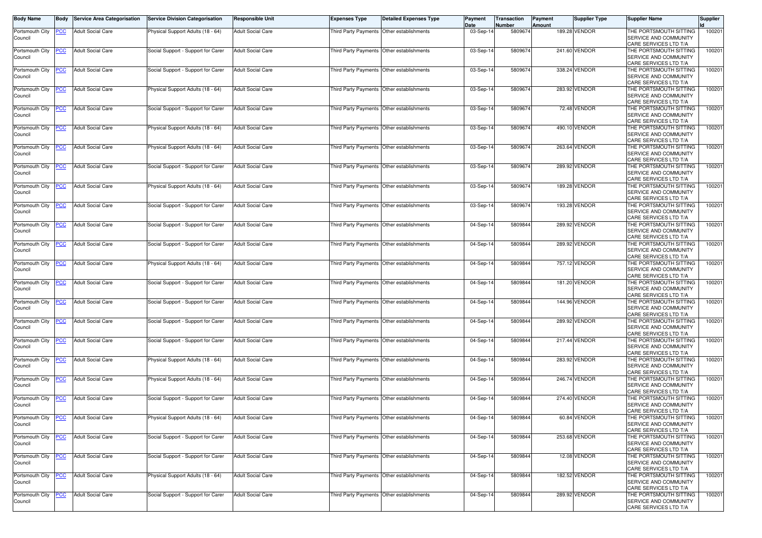| <b>Body Name</b>           | Body       | <b>Service Area Categorisation</b> | <b>Service Division Categorisation</b> | Responsible Unit         | <b>Expenses Type</b>                      | <b>Detailed Expenses Type</b> | Payment    | Transaction | Payment | Supplier Type | <b>Supplier Name</b>   | <b>Supplier</b> |
|----------------------------|------------|------------------------------------|----------------------------------------|--------------------------|-------------------------------------------|-------------------------------|------------|-------------|---------|---------------|------------------------|-----------------|
|                            |            |                                    |                                        |                          |                                           |                               | Date       | Number      | Amount  | 189.28 VENDOR | THE PORTSMOUTH SITTING | 100201          |
| Portsmouth City<br>Council | <u>PCC</u> | <b>Adult Social Care</b>           | Physical Support Adults (18 - 64)      | Adult Social Care        | Third Party Payments                      | Other establishments          | 03-Sep-1   | 5809674     |         |               | SERVICE AND COMMUNITY  |                 |
|                            |            |                                    |                                        |                          |                                           |                               |            |             |         |               | CARE SERVICES LTD T/A  |                 |
| Portsmouth City            | <b>PCC</b> | <b>Adult Social Care</b>           | Social Support - Support for Carer     | <b>Adult Social Care</b> | Third Party Payments Other establishments |                               | 03-Sep-14  | 5809674     |         | 241.60 VENDOR | THE PORTSMOUTH SITTING | 100201          |
| Council                    |            |                                    |                                        |                          |                                           |                               |            |             |         |               | SERVICE AND COMMUNITY  |                 |
|                            |            |                                    |                                        |                          |                                           |                               |            |             |         |               | CARE SERVICES LTD T/A  |                 |
| Portsmouth City            | <u>PCC</u> | <b>Adult Social Care</b>           | Social Support - Support for Carer     | <b>Adult Social Care</b> | Third Party Payments Other establishments |                               | 03-Sep-14  | 5809674     |         | 338.24 VENDOR | THE PORTSMOUTH SITTING | 100201          |
| Council                    |            |                                    |                                        |                          |                                           |                               |            |             |         |               | SERVICE AND COMMUNITY  |                 |
|                            |            |                                    |                                        |                          |                                           |                               |            |             |         |               | CARE SERVICES LTD T/A  |                 |
| Portsmouth City            | <u>PCC</u> | <b>Adult Social Care</b>           | Physical Support Adults (18 - 64)      | <b>Adult Social Care</b> | Third Party Payments Other establishments |                               | 03-Sep-1   | 5809674     |         | 283.92 VENDOR | THE PORTSMOUTH SITTING | 100201          |
| Council                    |            |                                    |                                        |                          |                                           |                               |            |             |         |               | SERVICE AND COMMUNITY  |                 |
|                            |            |                                    |                                        |                          |                                           |                               |            |             |         |               | CARE SERVICES LTD T/A  |                 |
| Portsmouth City            | <u>PCC</u> | <b>Adult Social Care</b>           | Social Support - Support for Carer     | <b>Adult Social Care</b> | Third Party Payments Other establishments |                               | 03-Sep-14  | 5809674     |         | 72.48 VENDOR  | THE PORTSMOUTH SITTING | 10020           |
| Council                    |            |                                    |                                        |                          |                                           |                               |            |             |         |               | SERVICE AND COMMUNITY  |                 |
|                            |            |                                    |                                        |                          |                                           |                               |            |             |         |               | CARE SERVICES LTD T/A  |                 |
| Portsmouth City            | <b>PCC</b> | <b>Adult Social Care</b>           | Physical Support Adults (18 - 64)      | <b>Adult Social Care</b> | Third Party Payments                      | Other establishments          | 03-Sep-1   | 5809674     |         | 490.10 VENDOR | THE PORTSMOUTH SITTING | 100201          |
| Council                    |            |                                    |                                        |                          |                                           |                               |            |             |         |               | SERVICE AND COMMUNITY  |                 |
|                            |            |                                    |                                        |                          |                                           |                               |            |             |         |               | CARE SERVICES LTD T/A  |                 |
| Portsmouth City            | <b>PCC</b> | <b>Adult Social Care</b>           | Physical Support Adults (18 - 64)      | <b>Adult Social Care</b> | Third Party Payments Other establishments |                               | 03-Sep-14  | 5809674     |         | 263.64 VENDOR | THE PORTSMOUTH SITTING | 100201          |
| Council                    |            |                                    |                                        |                          |                                           |                               |            |             |         |               | SERVICE AND COMMUNITY  |                 |
|                            |            |                                    |                                        |                          |                                           |                               |            |             |         |               | CARE SERVICES LTD T/A  |                 |
| Portsmouth City            | <b>PCC</b> | <b>Adult Social Care</b>           | Social Support - Support for Carer     | <b>Adult Social Care</b> | Third Party Payments Other establishments |                               | 03-Sep-1   | 5809674     |         | 289.92 VENDOR | THE PORTSMOUTH SITTING | 100201          |
| Council                    |            |                                    |                                        |                          |                                           |                               |            |             |         |               | SERVICE AND COMMUNITY  |                 |
|                            |            |                                    |                                        |                          |                                           |                               |            |             |         |               | CARE SERVICES LTD T/A  |                 |
| Portsmouth City            | <b>PCC</b> | <b>Adult Social Care</b>           | Physical Support Adults (18 - 64)      | <b>Adult Social Care</b> | Third Party Payments                      | Other establishments          | 03-Sep-14  | 5809674     |         | 189.28 VENDOR | THE PORTSMOUTH SITTING | 100201          |
| Council                    |            |                                    |                                        |                          |                                           |                               |            |             |         |               | SERVICE AND COMMUNITY  |                 |
|                            |            |                                    |                                        |                          |                                           |                               |            |             |         |               | CARE SERVICES LTD T/A  |                 |
| Portsmouth City            | <b>PCC</b> | <b>Adult Social Care</b>           | Social Support - Support for Carer     | <b>Adult Social Care</b> | Third Party Payments                      | Other establishments          | $03-Sep-1$ | 580967      |         | 193.28 VENDOR | THE PORTSMOUTH SITTING | 10020           |
| Council                    |            |                                    |                                        |                          |                                           |                               |            |             |         |               | SERVICE AND COMMUNITY  |                 |
|                            |            |                                    |                                        |                          |                                           |                               |            |             |         |               | CARE SERVICES LTD T/A  |                 |
| Portsmouth City            | <b>PCC</b> | <b>Adult Social Care</b>           | Social Support - Support for Carer     | <b>Adult Social Care</b> | Third Party Payments                      | Other establishments          | 04-Sep-14  | 5809844     |         | 289.92 VENDOR | THE PORTSMOUTH SITTING | 100201          |
| Council                    |            |                                    |                                        |                          |                                           |                               |            |             |         |               | SERVICE AND COMMUNITY  |                 |
|                            |            |                                    |                                        |                          |                                           |                               |            |             |         |               | CARE SERVICES LTD T/A  |                 |
| Portsmouth City            | <u>PCC</u> | <b>Adult Social Care</b>           | Social Support - Support for Carer     | <b>Adult Social Care</b> | Third Party Payments Other establishments |                               | 04-Sep-1   | 5809844     |         | 289.92 VENDOR | THE PORTSMOUTH SITTING | 10020           |
| Council                    |            |                                    |                                        |                          |                                           |                               |            |             |         |               | SERVICE AND COMMUNITY  |                 |
|                            |            |                                    |                                        |                          |                                           |                               |            |             |         |               | CARE SERVICES LTD T/A  |                 |
| Portsmouth City            | <b>PCC</b> | <b>Adult Social Care</b>           | Physical Support Adults (18 - 64)      | <b>Adult Social Care</b> | Third Party Payments                      | Other establishments          | $04-Sep-1$ | 5809844     |         | 757.12 VENDOR | THE PORTSMOUTH SITTING | 100201          |
| Council                    |            |                                    |                                        |                          |                                           |                               |            |             |         |               | SERVICE AND COMMUNITY  |                 |
|                            |            |                                    |                                        |                          |                                           |                               |            |             |         |               | CARE SERVICES LTD T/A  |                 |
| Portsmouth City            | <u>PCC</u> | <b>Adult Social Care</b>           | Social Support - Support for Carer     | Adult Social Care        | Third Party Payments Other establishments |                               | 04-Sep-1   | 5809844     |         | 181.20 VENDOR | THE PORTSMOUTH SITTING | 100201          |
| Council                    |            |                                    |                                        |                          |                                           |                               |            |             |         |               | SERVICE AND COMMUNITY  |                 |
|                            |            |                                    |                                        |                          |                                           |                               |            |             |         |               | CARE SERVICES LTD T/A  |                 |
| Portsmouth City            | <b>PCC</b> | <b>Adult Social Care</b>           | Social Support - Support for Carer     | <b>Adult Social Care</b> | Third Party Payments Other establishments |                               | 04-Sep-14  | 5809844     |         | 144.96 VENDOR | THE PORTSMOUTH SITTING | 100201          |
| Council                    |            |                                    |                                        |                          |                                           |                               |            |             |         |               | SERVICE AND COMMUNITY  |                 |
|                            |            |                                    |                                        |                          |                                           |                               |            |             |         |               | CARE SERVICES LTD T/A  |                 |
| Portsmouth City            | <b>PCC</b> | <b>Adult Social Care</b>           | Social Support - Support for Carer     | <b>Adult Social Care</b> | Third Party Payments                      | Other establishments          | 04-Sep-14  | 5809844     |         | 289.92 VENDOR | THE PORTSMOUTH SITTING | 100201          |
| Council                    |            |                                    |                                        |                          |                                           |                               |            |             |         |               | SERVICE AND COMMUNITY  |                 |
|                            |            |                                    |                                        |                          |                                           |                               |            |             |         |               | CARE SERVICES LTD T/A  |                 |
| Portsmouth City            | <b>PCC</b> | <b>Adult Social Care</b>           | Social Support - Support for Carer     | Adult Social Care        | Third Party Payments                      | Other establishments          | 04-Sep-1   | 5809844     |         | 217.44 VENDOR | THE PORTSMOUTH SITTING | 100201          |
| Council                    |            |                                    |                                        |                          |                                           |                               |            |             |         |               | SERVICE AND COMMUNITY  |                 |
|                            |            |                                    |                                        |                          |                                           |                               |            |             |         |               | CARE SERVICES LTD T/A  |                 |
| Portsmouth City            | <b>PCC</b> | <b>Adult Social Care</b>           | Physical Support Adults (18 - 64)      | <b>Adult Social Care</b> | Third Party Payments                      | Other establishments          | 04-Sep-1   | 5809844     |         | 283.92 VENDOR | THE PORTSMOUTH SITTING | 100201          |
| Council                    |            |                                    |                                        |                          |                                           |                               |            |             |         |               | SERVICE AND COMMUNITY  |                 |
|                            |            |                                    |                                        |                          |                                           |                               |            |             |         |               | CARE SERVICES LTD T/A  |                 |
| Portsmouth City            | <b>PCC</b> | <b>Adult Social Care</b>           | Physical Support Adults (18 - 64)      | Adult Social Care        | Third Party Payments Other establishments |                               | 04-Sep-14  | 5809844     |         | 246.74 VENDOR | THE PORTSMOUTH SITTING | 100201          |
| Council                    |            |                                    |                                        |                          |                                           |                               |            |             |         |               | SERVICE AND COMMUNITY  |                 |
|                            |            |                                    |                                        |                          |                                           |                               |            |             |         |               | CARE SERVICES LTD T/A  |                 |
| Portsmouth City            | <u>PCC</u> | <b>Adult Social Care</b>           | Social Support - Support for Carer     | <b>Adult Social Care</b> | Third Party Payments                      | Other establishments          | 04-Sep-14  | 5809844     |         | 274.40 VENDOR | THE PORTSMOUTH SITTING | 100201          |
| Council                    |            |                                    |                                        |                          |                                           |                               |            |             |         |               | SERVICE AND COMMUNITY  |                 |
|                            |            |                                    |                                        |                          |                                           |                               |            |             |         |               | CARE SERVICES LTD T/A  |                 |
| Portsmouth City            | <u>CC</u>  | <b>Adult Social Care</b>           | Physical Support Adults (18 - 64)      | Adult Social Care        | Third Party Payments Other establishments |                               | 04-Sep-14  | 5809844     |         | 60.84 VENDOR  | THE PORTSMOUTH SITTING | 100201          |
| Council                    |            |                                    |                                        |                          |                                           |                               |            |             |         |               | SERVICE AND COMMUNITY  |                 |
|                            |            |                                    |                                        |                          |                                           |                               |            |             |         |               | CARE SERVICES LTD T/A  |                 |
| Portsmouth City            | <b>PCC</b> | <b>Adult Social Care</b>           | Social Support - Support for Carer     | Adult Social Care        | Third Party Payments Other establishments |                               | 04-Sep-14  | 5809844     |         | 253.68 VENDOR | THE PORTSMOUTH SITTING | 100201          |
| Council                    |            |                                    |                                        |                          |                                           |                               |            |             |         |               | SERVICE AND COMMUNITY  |                 |
|                            |            |                                    |                                        |                          |                                           |                               |            |             |         |               | CARE SERVICES LTD T/A  |                 |
| Portsmouth City            | <b>PCC</b> | <b>Adult Social Care</b>           | Social Support - Support for Carer     | <b>Adult Social Care</b> | Third Party Payments Other establishments |                               | 04-Sep-14  | 5809844     |         | 12.08 VENDOR  | THE PORTSMOUTH SITTING | 100201          |
| Council                    |            |                                    |                                        |                          |                                           |                               |            |             |         |               | SERVICE AND COMMUNITY  |                 |
|                            |            |                                    |                                        |                          |                                           |                               |            |             |         |               | CARE SERVICES LTD T/A  |                 |
| Portsmouth City            | <b>PCC</b> | <b>Adult Social Care</b>           | Physical Support Adults (18 - 64)      | <b>Adult Social Care</b> | Third Party Payments Other establishments |                               | 04-Sep-14  | 5809844     |         | 182.52 VENDOR | THE PORTSMOUTH SITTING | 100201          |
| Council                    |            |                                    |                                        |                          |                                           |                               |            |             |         |               | SERVICE AND COMMUNITY  |                 |
|                            |            |                                    |                                        |                          |                                           |                               |            |             |         |               | CARE SERVICES LTD T/A  |                 |
| Portsmouth City            | <u>CC</u>  | <b>Adult Social Care</b>           | Social Support - Support for Carer     | <b>Adult Social Care</b> | Third Party Payments                      | Other establishments          | 04-Sep-14  | 5809844     |         | 289.92 VENDOR | THE PORTSMOUTH SITTING | 100201          |
| Council                    |            |                                    |                                        |                          |                                           |                               |            |             |         |               | SERVICE AND COMMUNITY  |                 |
|                            |            |                                    |                                        |                          |                                           |                               |            |             |         |               | CARE SERVICES LTD T/A  |                 |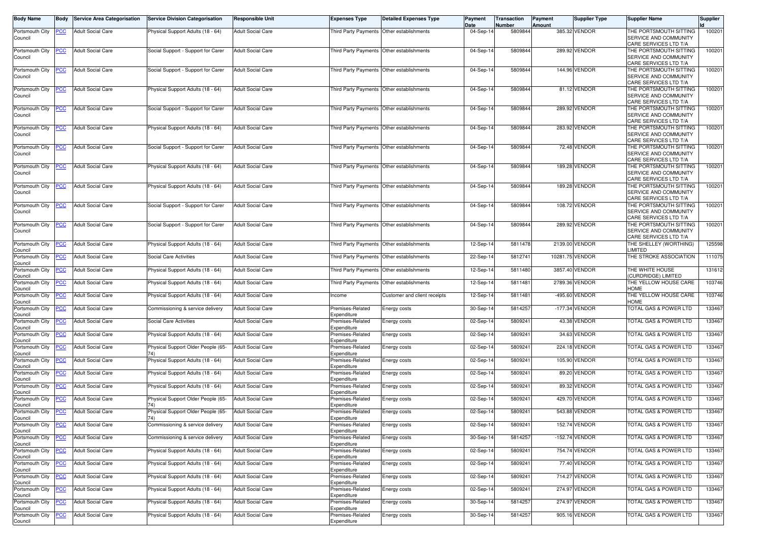| Body Name                  | Body       | <b>Service Area Categorisation</b> | <b>Service Division Categorisation</b>    | <b>Responsible Unit</b>  | <b>Expenses Type</b>                      | <b>Detailed Expenses Type</b> | Payment           | Transaction       | <b>Payment</b> | <b>Supplier Type</b> | <b>Supplier Name</b>                                                     | <b>Supplier</b> |
|----------------------------|------------|------------------------------------|-------------------------------------------|--------------------------|-------------------------------------------|-------------------------------|-------------------|-------------------|----------------|----------------------|--------------------------------------------------------------------------|-----------------|
| Portsmouth City            |            | <b>Adult Social Care</b>           | Physical Support Adults (18 - 64)         | <b>Adult Social Care</b> | Third Party Payments Other establishments |                               | Date<br>04-Sep-14 | Number<br>5809844 | Amount         | 385.32 VENDOR        | THE PORTSMOUTH SITTING                                                   | 100201          |
| Council                    | <u>CC</u>  |                                    |                                           |                          |                                           |                               |                   |                   |                |                      | SERVICE AND COMMUNITY<br>CARE SERVICES LTD T/A                           |                 |
| Portsmouth City<br>Council | <u>'СС</u> | <b>Adult Social Care</b>           | Social Support - Support for Carer        | Adult Social Care        | Third Party Payments Other establishments |                               | 04-Sep-14         | 580984            |                | 289.92 VENDOR        | THE PORTSMOUTH SITTING<br>SERVICE AND COMMUNITY<br>CARE SERVICES LTD T/A | 100201          |
| Portsmouth City<br>Council | <u>PCC</u> | <b>Adult Social Care</b>           | Social Support - Support for Carer        | <b>Adult Social Care</b> | Third Party Payments                      | Other establishments          | 04-Sep-14         | 580984            |                | 144.96 VENDOR        | THE PORTSMOUTH SITTING<br>SERVICE AND COMMUNITY<br>CARE SERVICES LTD T/A | 100201          |
| Portsmouth City<br>Council | <u>PCC</u> | <b>Adult Social Care</b>           | Physical Support Adults (18 - 64)         | Adult Social Care        | Third Party Payments Other establishments |                               | $04-Sep-1$        | 580984            |                | 81.12 VENDOR         | THE PORTSMOUTH SITTING<br>SERVICE AND COMMUNITY<br>CARE SERVICES LTD T/A | 100201          |
| Portsmouth City<br>Council | <u>PCC</u> | <b>Adult Social Care</b>           | Social Support - Support for Carer        | <b>Adult Social Care</b> | Third Party Payments Other establishments |                               | 04-Sep-14         | 5809844           |                | 289.92 VENDOR        | THE PORTSMOUTH SITTING<br>SERVICE AND COMMUNITY<br>CARE SERVICES LTD T/A | 100201          |
| Portsmouth City<br>Council | <u>'CC</u> | <b>Adult Social Care</b>           | Physical Support Adults (18 - 64)         | <b>Adult Social Care</b> | Third Party Payments                      | Other establishments          | 04-Sep-14         | 5809844           |                | 283.92 VENDOR        | THE PORTSMOUTH SITTING<br>SERVICE AND COMMUNITY<br>CARE SERVICES LTD T/A | 100201          |
| Portsmouth City<br>Council | <u>PCC</u> | <b>Adult Social Care</b>           | Social Support - Support for Carer        | Adult Social Care        | Third Party Payments                      | Other establishments          | 04-Sep-14         | 5809844           |                | 72.48 VENDOR         | THE PORTSMOUTH SITTING<br>SERVICE AND COMMUNITY<br>CARE SERVICES LTD T/A | 100201          |
| Portsmouth City<br>Council | <u>PCC</u> | <b>Adult Social Care</b>           | Physical Support Adults (18 - 64)         | <b>Adult Social Care</b> | Third Party Payments                      | Other establishments          | 04-Sep-14         | 580984            |                | 189.28 VENDOR        | THE PORTSMOUTH SITTING<br>SERVICE AND COMMUNITY<br>CARE SERVICES LTD T/A | 10020           |
| Portsmouth City<br>Council | <u>PCC</u> | <b>Adult Social Care</b>           | Physical Support Adults (18 - 64)         | <b>Adult Social Care</b> | Third Party Payments                      | Other establishments          | 04-Sep-14         | 580984            |                | 189.28 VENDOR        | THE PORTSMOUTH SITTING<br>SERVICE AND COMMUNITY<br>CARE SERVICES LTD T/A | 100201          |
| Portsmouth City<br>Council | <u>'CC</u> | <b>Adult Social Care</b>           | Social Support - Support for Carer        | <b>Adult Social Care</b> | Third Party Payments Other establishments |                               | 04-Sep-1          | 5809844           |                | 108.72 VENDOR        | THE PORTSMOUTH SITTING<br>SERVICE AND COMMUNITY<br>CARE SERVICES LTD T/A | 100201          |
| Portsmouth City<br>Council | <u>PCC</u> | <b>Adult Social Care</b>           | Social Support - Support for Carer        | <b>Adult Social Care</b> | Third Party Payments                      | Other establishments          | 04-Sep-14         | 580984            |                | 289.92 VENDOR        | THE PORTSMOUTH SITTING<br>SERVICE AND COMMUNITY<br>CARE SERVICES LTD T/A | 100201          |
| Portsmouth City<br>Council | <u>PCC</u> | <b>Adult Social Care</b>           | Physical Support Adults (18 - 64)         | <b>Adult Social Care</b> | Third Party Payments Other establishments |                               | 12-Sep-14         | 5811478           |                | 2139.00 VENDOR       | THE SHELLEY (WORTHING)<br>.IMITED                                        | 125598          |
| Portsmouth City<br>Council | <u>cc</u>  | <b>Adult Social Care</b>           | Social Care Activities                    | Adult Social Care        | Third Party Payments                      | Other establishments          | 22-Sep-14         | 5812741           |                | 10281.75 VENDOR      | THE STROKE ASSOCIATION                                                   | 111075          |
| Portsmouth City<br>Council | <u>'СС</u> | <b>Adult Social Care</b>           | Physical Support Adults (18 - 64)         | <b>Adult Social Care</b> | Third Party Payments                      | Other establishments          | 12-Sep-14         | 5811480           |                | 3857.40 VENDOR       | THE WHITE HOUSE<br>CURDRIDGE) LIMITED                                    | 131612          |
| Portsmouth City<br>Council | <u>'СС</u> | <b>Adult Social Care</b>           | Physical Support Adults (18 - 64)         | <b>Adult Social Care</b> | Third Party Payments Other establishments |                               | 12-Sep-14         | 5811481           |                | 2789.36 VENDOR       | THE YELLOW HOUSE CARE<br><b>HOME</b>                                     | 103746          |
| Portsmouth City<br>Council | <u>'CC</u> | <b>Adult Social Care</b>           | Physical Support Adults (18 - 64)         | <b>Adult Social Care</b> | ncome                                     | Customer and client receipts  | 12-Sep-14         | 5811481           |                | -495.60 VENDOR       | THE YELLOW HOUSE CARE<br>HOME                                            | 103746          |
| Portsmouth City<br>Council | <u>'СС</u> | <b>Adult Social Care</b>           | Commissioning & service delivery          | <b>Adult Social Care</b> | Premises-Related<br>Expenditure           | Energy costs                  | 30-Sep-14         | 581425            |                | -177.34 VENDOR       | TOTAL GAS & POWER LTD                                                    | 133467          |
| Portsmouth City<br>Council | <u>'СС</u> | <b>Adult Social Care</b>           | Social Care Activities                    | Adult Social Care        | Premises-Related<br>Expenditure           | Energy costs                  | 02-Sep-14         | 580924            |                | 43.38 VENDOR         | TOTAL GAS & POWER LTD                                                    | 133467          |
| Portsmouth City<br>Council | <u>'СС</u> | <b>Adult Social Care</b>           | Physical Support Adults (18 - 64)         | Adult Social Care        | Premises-Related<br>Expenditure           | Energy costs                  | 02-Sep-14         | 580924            |                | 34.63 VENDOR         | TOTAL GAS & POWER LTD                                                    | 133467          |
| Portsmouth City<br>Council | <u>CC </u> | <b>Adult Social Care</b>           | Physical Support Older People (65-        | <b>Adult Social Care</b> | Premises-Related<br>Expenditure           | Energy costs                  | 02-Sep-14         | 5809241           |                | 224.18 VENDOR        | TOTAL GAS & POWER LTD                                                    | 133467          |
| Portsmouth City<br>Council | <u>'CC</u> | Adult Social Care                  | Physical Support Adults (18 - 64)         | <b>Adult Social Care</b> | Premises-Related<br>Expenditure           | Energy costs                  | 02-Sep-14         | 580924            |                | 105.90 VENDOR        | TOTAL GAS & POWER LTD                                                    | 133467          |
| Portsmouth City<br>Council | <u>CC </u> | <b>Adult Social Care</b>           | Physical Support Adults (18 - 64)         | <b>Adult Social Care</b> | Premises-Related<br>Expenditure           | Energy costs                  | 02-Sep-14         | 580924            |                | 89.20 VENDOR         | TOTAL GAS & POWER LTD                                                    | 133467          |
| Portsmouth City<br>Council | <u>'СС</u> | <b>Adult Social Care</b>           | Physical Support Adults (18 - 64)         | <b>Adult Social Care</b> | Premises-Related<br>Expenditure           | Energy costs                  | 02-Sep-14         | 580924            |                | 89.32 VENDOR         | TOTAL GAS & POWER LTD                                                    | 133467          |
| Portsmouth City<br>Council | <u>PCC</u> | <b>Adult Social Care</b>           | Physical Support Older People (65-        | Adult Social Care        | Premises-Related<br><i>spenditure</i>     | Energy costs                  | 02-Sep-14         | 5809241           |                | 429.70 VENDOR        | TOTAL GAS & POWER LTD                                                    | 133467          |
| Portsmouth City<br>Council | PСC        | <b>Adult Social Care</b>           | Physical Support Older People (65-<br>74) | <b>Adult Social Care</b> | Premises-Related<br>Expenditure           | Energy costs                  | 02-Sep-14         | 580924            |                | 543.88 VENDOR        | TOTAL GAS & POWER LTD                                                    | 133467          |
| Portsmouth City<br>Council |            | <b>Adult Social Care</b>           | Commissioning & service delivery          | <b>Adult Social Care</b> | Premises-Related<br>Expenditure           | Energy costs                  | 02-Sep-14         | 580924            |                | 152.74 VENDOR        | TOTAL GAS & POWER LTD                                                    | 133467          |
| Portsmouth City<br>Council | PСC        | <b>Adult Social Care</b>           | Commissioning & service delivery          | <b>Adult Social Care</b> | Premises-Related<br>Expenditure           | Energy costs                  | 30-Sep-14         | 5814257           |                | -152.74 VENDOR       | <b>TOTAL GAS &amp; POWER LTD</b>                                         | 133467          |
| Portsmouth City<br>Council | PСC        | <b>Adult Social Care</b>           | Physical Support Adults (18 - 64)         | Adult Social Care        | Premises-Related<br>Expenditure           | Energy costs                  | 02-Sep-14         | 5809241           |                | 754.74 VENDOR        | TOTAL GAS & POWER LTD                                                    | 133467          |
| Portsmouth City<br>Council | <u>PCC</u> | <b>Adult Social Care</b>           | Physical Support Adults (18 - 64)         | Adult Social Care        | Premises-Related<br>Expenditure           | Energy costs                  | 02-Sep-14         | 580924            |                | 77.40 VENDOR         | TOTAL GAS & POWER LTD                                                    | 133467          |
| Portsmouth City<br>Council | <b>PCC</b> | <b>Adult Social Care</b>           | Physical Support Adults (18 - 64)         | <b>Adult Social Care</b> | Premises-Related<br>Expenditure           | Energy costs                  | 02-Sep-14         | 580924            |                | 714.27 VENDOR        | TOTAL GAS & POWER LTD                                                    | 133467          |
| Portsmouth City<br>Council | <b>CC</b>  | <b>Adult Social Care</b>           | Physical Support Adults (18 - 64)         | <b>Adult Social Care</b> | Premises-Related<br>Expenditure           | Energy costs                  | 02-Sep-14         | 5809241           |                | 274.97 VENDOR        | TOTAL GAS & POWER LTD                                                    | 133467          |
| Portsmouth City<br>Council | <u>PCC</u> | <b>Adult Social Care</b>           | Physical Support Adults (18 - 64)         | <b>Adult Social Care</b> | Premises-Related<br>Expenditure           | Energy costs                  | 30-Sep-14         | 5814257           |                | 274.97 VENDOR        | TOTAL GAS & POWER LTD                                                    | 133467          |
| Portsmouth City<br>Council | <u>PCC</u> | <b>Adult Social Care</b>           | Physical Support Adults (18 - 64)         | <b>Adult Social Care</b> | Premises-Related<br>Expenditure           | Energy costs                  | 30-Sep-14         | 581425            |                | 905.16 VENDOR        | TOTAL GAS & POWER LTD                                                    | 133467          |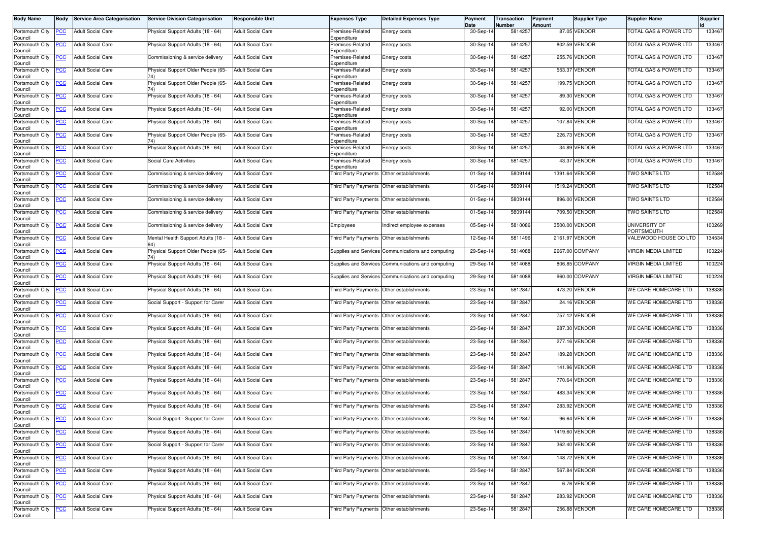| <b>Body Name</b>           | <b>Body</b> | <b>Service Area Categorisation</b>    | <b>Service Division Categorisation</b> | <b>Responsible Unit</b>  | <b>Expenses Type</b>                      | <b>Detailed Expenses Type</b>                      | Payment<br>Date | Transaction<br>Number | Payment<br>Amount | Supplier Type   | <b>Supplier Name</b>               | Supplier |
|----------------------------|-------------|---------------------------------------|----------------------------------------|--------------------------|-------------------------------------------|----------------------------------------------------|-----------------|-----------------------|-------------------|-----------------|------------------------------------|----------|
| Portsmouth City<br>Council | PCC         | <b>Adult Social Care</b>              | Physical Support Adults (18 - 64)      | <b>Adult Social Care</b> | Premises-Related<br>Expenditure           | Energy costs                                       | 30-Sep-14       | 5814257               |                   | 87.05 VENDOR    | TOTAL GAS & POWER LTD              | 133467   |
| Portsmouth City<br>Council | <b>PCC</b>  | <b>Adult Social Care</b>              | Physical Support Adults (18 - 64)      | <b>Adult Social Care</b> | Premises-Related<br>Expenditure           | Energy costs                                       | 30-Sep-14       | 5814257               |                   | 802.59 VENDOR   | <b>FOTAL GAS &amp; POWER LTD</b>   | 133467   |
| Portsmouth City<br>Council | <u>PCC</u>  | <b>Adult Social Care</b>              | Commissioning & service delivery       | <b>Adult Social Care</b> | Premises-Related<br>Expenditure           | Energy costs                                       | 30-Sep-14       | 5814257               |                   | 255.76 VENDOR   | TOTAL GAS & POWER LTD              | 133467   |
| Portsmouth City<br>Council | <b>PCC</b>  | <b>Adult Social Care</b>              | Physical Support Older People (65-     | <b>Adult Social Care</b> | Premises-Related<br>Expenditure           | Energy costs                                       | 30-Sep-14       | 5814257               | 553.37            | <b>VENDOR</b>   | <b>TOTAL GAS &amp; POWER LTD</b>   | 133467   |
| Portsmouth City<br>Council | <b>PCC</b>  | <b>Adult Social Care</b>              | Physical Support Older People (65-     | <b>Adult Social Care</b> | Premises-Related<br>Expenditure           | Energy costs                                       | 30-Sep-14       | 5814257               |                   | 199.75 VENDOR   | <b>TOTAL GAS &amp; POWER LTD</b>   | 133467   |
| Portsmouth City<br>Council | <u>PCC</u>  | <b>Adult Social Care</b>              | Physical Support Adults (18 - 64)      | <b>Adult Social Care</b> | Premises-Related<br>Expenditure           | Energy costs                                       | 30-Sep-14       | 5814257               |                   | 89.30 VENDOR    | TOTAL GAS & POWER LTD              | 133467   |
| Portsmouth City<br>Council | <b>PCC</b>  | <b>Adult Social Care</b>              | Physical Support Adults (18 - 64)      | <b>Adult Social Care</b> | Premises-Related<br>Expenditure           | Energy costs                                       | 30-Sep-14       | 5814257               |                   | 92.00 VENDOR    | <b>TOTAL GAS &amp; POWER LTD</b>   | 133467   |
| Portsmouth City<br>Council | <b>PCC</b>  | <b>Adult Social Care</b>              | Physical Support Adults (18 - 64)      | <b>Adult Social Care</b> | Premises-Related<br>Expenditure           | Energy costs                                       | 30-Sep-14       | 5814257               |                   | 107.84 VENDOR   | <b>TOTAL GAS &amp; POWER LTD</b>   | 133467   |
| Portsmouth City<br>Council | PСC         | <b>Adult Social Care</b>              | Physical Support Older People (65-     | <b>Adult Social Care</b> | Premises-Related<br>Expenditure           | Energy costs                                       | 30-Sep-14       | 5814257               | 226.73            | <b>VENDOR</b>   | TOTAL GAS & POWER LTD              | 133467   |
| Portsmouth City<br>Council | <b>PCC</b>  | <b>Adult Social Care</b>              | Physical Support Adults (18 - 64)      | <b>Adult Social Care</b> | Premises-Related<br>Expenditure           | Energy costs                                       | 30-Sep-14       | 5814257               |                   | 34.89 VENDOR    | <b>FOTAL GAS &amp; POWER LTD</b>   | 133467   |
| Portsmouth City<br>Council | <b>PCC</b>  | <b>Adult Social Care</b>              | Social Care Activities                 | <b>Adult Social Care</b> | Premises-Related<br>Expenditure           | Energy costs                                       | 30-Sep-14       | 5814257               | 43.37             | <b>VENDOR</b>   | TOTAL GAS & POWER LTD              | 133467   |
| Portsmouth City<br>Council | <u>PCC</u>  | <b>Adult Social Care</b>              | Commissioning & service delivery       | <b>Adult Social Care</b> | Third Party Payments                      | Other establishments                               | 01-Sep-14       | 5809144               |                   | 1391.64 VENDOR  | TWO SAINTS LTD                     | 102584   |
| Portsmouth City<br>Council | PCC         | <b>Adult Social Care</b>              | Commissioning & service delivery       | <b>Adult Social Care</b> | Third Party Payments                      | Other establishments                               | 01-Sep-14       | 5809144               | 1519.24           | <b>VENDOR</b>   | <b>TWO SAINTS LTD</b>              | 102584   |
| Portsmouth City<br>Council | PСC         | <b>Adult Social Care</b>              | Commissioning & service delivery       | <b>Adult Social Care</b> |                                           | Third Party Payments Other establishments          | 01-Sep-14       | 5809144               |                   | 896.00 VENDOR   | <b>TWO SAINTS LTD</b>              | 102584   |
| Portsmouth City<br>Council | PCC         | <b>Adult Social Care</b>              | Commissioning & service delivery       | <b>Adult Social Care</b> |                                           | Third Party Payments Other establishments          | 01-Sep-14       | 5809144               |                   | 709.50 VENDOR   | <b>TWO SAINTS LTD</b>              | 102584   |
| Portsmouth City<br>Council | <b>PCC</b>  | <b>Adult Social Care</b>              | Commissioning & service delivery       | <b>Adult Social Care</b> | Employees                                 | Indirect employee expenses                         | 05-Sep-14       | 5810086               | 3500.00           | VENDOR          | <b>UNIVERSITY OF</b><br>PORTSMOUTH | 100269   |
| Portsmouth City<br>Council | <b>PCC</b>  | <b>Adult Social Care</b>              | Mental Health Support Adults (18       | <b>Adult Social Care</b> | <b>Third Party Payments</b>               | Other establishments                               | 12-Sep-14       | 5811496               | 2161.97           | <b>VENDOR</b>   | VALEWOOD HOUSE CO LTD              | 134534   |
| Portsmouth City<br>Council | <b>PCC</b>  | <b>Adult Social Care</b>              | Physical Support Older People (65-     | <b>Adult Social Care</b> |                                           | Supplies and Services Communications and computing | 29-Sep-14       | 5814088               |                   | 2667.00 COMPANY | <b>VIRGIN MEDIA LIMITED</b>        | 100224   |
| Portsmouth City<br>Council | <b>PCC</b>  | <b>Adult Social Care</b>              | Physical Support Adults (18 - 64)      | <b>Adult Social Care</b> |                                           | Supplies and Services Communications and computing | 29-Sep-14       | 5814088               |                   | 806.85 COMPANY  | <b>VIRGIN MEDIA LIMITED</b>        | 100224   |
| Portsmouth City<br>Council | PСC         | <b>Adult Social Care</b>              | Physical Support Adults (18 - 64)      | <b>Adult Social Care</b> |                                           | Supplies and Services Communications and computing | 29-Sep-14       | 5814088               |                   | 960.00 COMPANY  | VIRGIN MEDIA LIMITED               | 100224   |
| Portsmouth City<br>Council | <u>PCC</u>  | <b>Adult Social Care</b>              | Physical Support Adults (18 - 64)      | <b>Adult Social Care</b> | <b>Third Party Payments</b>               | Other establishments                               | 23-Sep-14       | 5812847               |                   | 473.20 VENDOR   | WE CARE HOMECARE LTD               | 138336   |
| Portsmouth City<br>Council | сC          | <b>Adult Social Care</b>              | Social Support - Support for Carer     | <b>Adult Social Care</b> | <b>Third Party Payments</b>               | Other establishments                               | 23-Sep-14       | 5812847               |                   | 24.16 VENDOR    | WE CARE HOMECARE LTD               | 138336   |
| Portsmouth City<br>Council | <b>PCC</b>  | <b>Adult Social Care</b>              | Physical Support Adults (18 - 64)      | <b>Adult Social Care</b> |                                           | Third Party Payments Other establishments          | 23-Sep-14       | 5812847               |                   | 757.12 VENDOR   | WE CARE HOMECARE LTD               | 138336   |
| Portsmouth City<br>Council | <u>PCC</u>  | <b>Adult Social Care</b>              | Physical Support Adults (18 - 64)      | <b>Adult Social Care</b> | Third Party Payments                      | Other establishments                               | 23-Sep-14       | 581284                | 287.30            | <b>VENDOR</b>   | WE CARE HOMECARE LTD               | 138336   |
| Portsmouth City<br>Council | <b>PCC</b>  | <b>Adult Social Care</b>              | Physical Support Adults (18 - 64)      | <b>Adult Social Care</b> |                                           | Third Party Payments Other establishments          | 23-Sep-14       | 5812847               |                   | 277.16 VENDOR   | WE CARE HOMECARE LTD               | 138336   |
| Portsmouth City<br>Council | <u>PCC</u>  | <b>Adult Social Care</b>              | Physical Support Adults (18 - 64)      | <b>Adult Social Care</b> |                                           | Third Party Payments Other establishments          | 23-Sep-14       | 581284                |                   | 189.28 VENDOR   | WE CARE HOMECARE LTD               | 138336   |
| Portsmouth City<br>Council | <b>PCC</b>  | <b>Adult Social Care</b>              | Physical Support Adults (18 - 64)      | <b>Adult Social Care</b> |                                           | Third Party Payments Other establishments          | 23-Sep-14       | 5812847               |                   | 141.96 VENDOR   | WE CARE HOMECARE LTD               | 138336   |
| Portsmouth City<br>Council | <b>PCC</b>  | <b>Adult Social Care</b>              | Physical Support Adults (18 - 64)      | <b>Adult Social Care</b> | Third Party Payments                      | Other establishments                               | 23-Sep-14       | 5812847               |                   | 770.64 VENDOR   | WE CARE HOMECARE LTD               | 138336   |
| Portsmouth City<br>Council | <u>PCC</u>  | <b>Adult Social Care</b>              | Physical Support Adults (18 - 64)      | <b>Adult Social Care</b> | Third Party Payments                      | Other establishments                               | 23-Sep-14       | 5812847               | 483.34            | <b>VENDOR</b>   | WE CARE HOMECARE LTD               | 138336   |
| Portsmouth City<br>Council | <b>PCC</b>  | <b>Adult Social Care</b>              | Physical Support Adults (18 - 64)      | <b>Adult Social Care</b> | Third Party Payments                      | Other establishments                               | 23-Sep-14       | 5812847               | 283.92            | <b>VENDOR</b>   | WE CARE HOMECARE LTD               | 138336   |
| Council<br>Portsmouth City |             | Portsmouth City PCC Adult Social Care | Social Support - Support for Carer     | <b>Adult Social Care</b> | Third Party Payments Other establishments |                                                    | 23-Sep-14       | 5812847               |                   | 96.64 VENDOR    | WE CARE HOMECARE LTD               | 138336   |
| Council                    | <b>PCC</b>  | <b>Adult Social Care</b>              | Physical Support Adults (18 - 64)      | <b>Adult Social Care</b> | Third Party Payments Other establishments |                                                    | 23-Sep-14       | 5812847               |                   | 1419.60 VENDOR  | WE CARE HOMECARE LTD               | 138336   |
| Portsmouth City<br>Council | <b>PCC</b>  | <b>Adult Social Care</b>              | Social Support - Support for Carer     | <b>Adult Social Care</b> |                                           | Third Party Payments Other establishments          | 23-Sep-14       | 5812847               |                   | 362.40 VENDOR   | WE CARE HOMECARE LTD               | 138336   |
| Portsmouth City<br>Council | <u>PCC</u>  | <b>Adult Social Care</b>              | Physical Support Adults (18 - 64)      | <b>Adult Social Care</b> | Third Party Payments                      | Other establishments                               | 23-Sep-14       | 5812847               |                   | 148.72 VENDOR   | WE CARE HOMECARE LTD               | 138336   |
| Portsmouth City<br>Council | <u>PCC</u>  | <b>Adult Social Care</b>              | Physical Support Adults (18 - 64)      | <b>Adult Social Care</b> |                                           | Third Party Payments Other establishments          | 23-Sep-14       | 5812847               |                   | 567.84 VENDOR   | WE CARE HOMECARE LTD               | 138336   |
| Portsmouth City<br>Council | <b>PCC</b>  | <b>Adult Social Care</b>              | Physical Support Adults (18 - 64)      | <b>Adult Social Care</b> |                                           | Third Party Payments Other establishments          | 23-Sep-14       | 5812847               |                   | 6.76 VENDOR     | WE CARE HOMECARE LTD               | 138336   |
| Portsmouth City<br>Council | <b>PCC</b>  | <b>Adult Social Care</b>              | Physical Support Adults (18 - 64)      | <b>Adult Social Care</b> |                                           | Third Party Payments Other establishments          | 23-Sep-14       | 5812847               |                   | 283.92 VENDOR   | WE CARE HOMECARE LTD               | 138336   |
| Portsmouth City<br>Council | <b>PCC</b>  | <b>Adult Social Care</b>              | Physical Support Adults (18 - 64)      | <b>Adult Social Care</b> | Third Party Payments                      | Other establishments                               | 23-Sep-14       | 5812847               |                   | 256.88 VENDOR   | WE CARE HOMECARE LTD               | 138336   |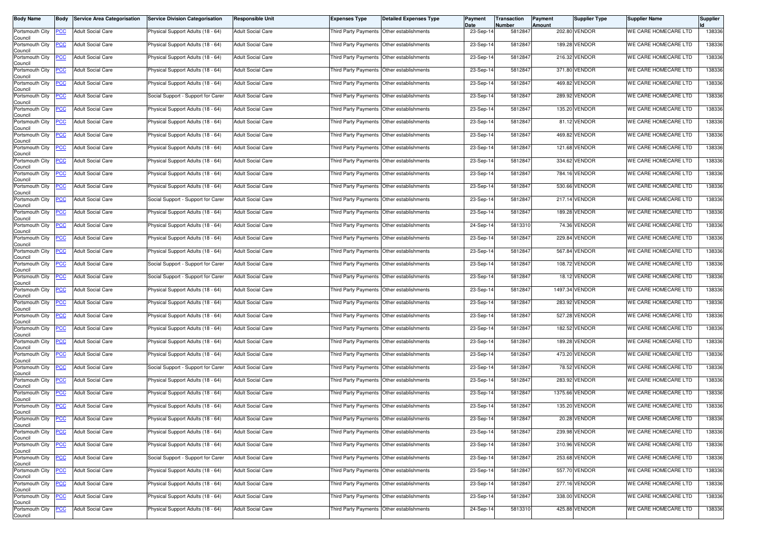| <b>Body Name</b>                                  | Body           | <b>Service Area Categorisation</b> | <b>Service Division Categorisation</b> | <b>Responsible Unit</b>  | <b>Expenses Type</b>                      | <b>Detailed Expenses Type</b>             | Payment<br>Date | Transaction<br>Number | Payment<br>Amount | Supplier Type  | <b>Supplier Name</b> | Supplier |
|---------------------------------------------------|----------------|------------------------------------|----------------------------------------|--------------------------|-------------------------------------------|-------------------------------------------|-----------------|-----------------------|-------------------|----------------|----------------------|----------|
| Portsmouth City<br>Council                        | <b>PCC</b>     | <b>Adult Social Care</b>           | Physical Support Adults (18 - 64)      | <b>Adult Social Care</b> | Third Party Payments Other establishments |                                           | 23-Sep-14       | 5812847               |                   | 202.80 VENDOR  | WE CARE HOMECARE LTD | 138336   |
| Portsmouth City<br>Council                        | <b>PCC</b>     | <b>Adult Social Care</b>           | Physical Support Adults (18 - 64)      | <b>Adult Social Care</b> | Third Party Payments Other establishments |                                           | 23-Sep-14       | 5812847               |                   | 189.28 VENDOR  | WE CARE HOMECARE LTD | 138336   |
| Portsmouth City<br>Council                        | <b>PCC</b>     | <b>Adult Social Care</b>           | Physical Support Adults (18 - 64)      | <b>Adult Social Care</b> | Third Party Payments Other establishments |                                           | 23-Sep-14       | 5812847               |                   | 216.32 VENDOR  | WE CARE HOMECARE LTD | 138336   |
| Portsmouth City<br>Council                        | <b>PCC</b>     | <b>Adult Social Care</b>           | Physical Support Adults (18 - 64)      | <b>Adult Social Care</b> | Third Party Payments Other establishments |                                           | 23-Sep-14       | 5812847               |                   | 371.80 VENDOR  | WE CARE HOMECARE LTD | 138336   |
| Portsmouth City<br>Council                        | <b>PCC</b>     | <b>Adult Social Care</b>           | Physical Support Adults (18 - 64)      | <b>Adult Social Care</b> |                                           | Third Party Payments Other establishments | 23-Sep-14       | 5812847               |                   | 469.82 VENDOR  | WE CARE HOMECARE LTD | 138336   |
| Portsmouth City<br>Council                        | <b>PCC</b>     | <b>Adult Social Care</b>           | Social Support - Support for Carer     | <b>Adult Social Care</b> | Third Party Payments Other establishments |                                           | 23-Sep-14       | 5812847               |                   | 289.92 VENDOR  | WE CARE HOMECARE LTD | 138336   |
| Portsmouth City<br>Council                        | <b>PCC</b>     | <b>Adult Social Care</b>           | Physical Support Adults (18 - 64)      | <b>Adult Social Care</b> | Third Party Payments Other establishments |                                           | 23-Sep-14       | 5812847               |                   | 135.20 VENDOR  | WE CARE HOMECARE LTD | 138336   |
| Portsmouth City<br>Council                        | <u>PCC</u>     | <b>Adult Social Care</b>           | Physical Support Adults (18 - 64)      | <b>Adult Social Care</b> | Third Party Payments                      | Other establishments                      | 23-Sep-14       | 5812847               |                   | 81.12 VENDOR   | WE CARE HOMECARE LTD | 138336   |
| Portsmouth City<br>Council                        | <b>PCC</b>     | <b>Adult Social Care</b>           | Physical Support Adults (18 - 64)      | <b>Adult Social Care</b> | Third Party Payments Other establishments |                                           | 23-Sep-14       | 5812847               |                   | 469.82 VENDOR  | WE CARE HOMECARE LTD | 138336   |
| Portsmouth City<br>Council                        | <b>PCC</b>     | <b>Adult Social Care</b>           | Physical Support Adults (18 - 64)      | <b>Adult Social Care</b> |                                           | Third Party Payments Other establishments | 23-Sep-14       | 5812847               |                   | 121.68 VENDOR  | WE CARE HOMECARE LTD | 138336   |
| Portsmouth City<br>Council                        | <b>PCC</b>     | <b>Adult Social Care</b>           | Physical Support Adults (18 - 64)      | <b>Adult Social Care</b> | Third Party Payments Other establishments |                                           | 23-Sep-14       | 5812847               |                   | 334.62 VENDOR  | WE CARE HOMECARE LTD | 138336   |
| Portsmouth City<br>Council                        | PСC            | <b>Adult Social Care</b>           | Physical Support Adults (18 - 64)      | <b>Adult Social Care</b> | Third Party Payments                      | Other establishments                      | 23-Sep-14       | 5812847               |                   | 784.16 VENDOR  | WE CARE HOMECARE LTD | 138336   |
| Portsmouth City<br>Council                        | $\overline{C}$ | <b>Adult Social Care</b>           | Physical Support Adults (18 - 64)      | <b>Adult Social Care</b> |                                           | Third Party Payments Other establishments | 23-Sep-14       | 5812847               |                   | 530.66 VENDOR  | WE CARE HOMECARE LTD | 138336   |
| Portsmouth City<br>Council                        | <b>PCC</b>     | <b>Adult Social Care</b>           | Social Support - Support for Carer     | <b>Adult Social Care</b> | Third Party Payments Other establishments |                                           | 23-Sep-14       | 5812847               |                   | 217.14 VENDOR  | WE CARE HOMECARE LTD | 138336   |
| Portsmouth City<br>Council                        | <u>PCC</u>     | <b>Adult Social Care</b>           | Physical Support Adults (18 - 64)      | <b>Adult Social Care</b> | Third Party Payments Other establishments |                                           | 23-Sep-14       | 5812847               |                   | 189.28 VENDOR  | WE CARE HOMECARE LTD | 138336   |
| Portsmouth City<br>Council                        | <b>PCC</b>     | <b>Adult Social Care</b>           | Physical Support Adults (18 - 64)      | <b>Adult Social Care</b> | Third Party Payments Other establishments |                                           | 24-Sep-14       | 5813310               |                   | 74.36 VENDOR   | WE CARE HOMECARE LTD | 138336   |
| Portsmouth City<br>Council                        | <u>PCC</u>     | <b>Adult Social Care</b>           | Physical Support Adults (18 - 64)      | <b>Adult Social Care</b> | Third Party Payments Other establishments |                                           | 23-Sep-14       | 5812847               |                   | 229.84 VENDOR  | WE CARE HOMECARE LTD | 138336   |
| Portsmouth City<br>Council                        | <b>PCC</b>     | <b>Adult Social Care</b>           | Physical Support Adults (18 - 64)      | <b>Adult Social Care</b> |                                           | Third Party Payments Other establishments | 23-Sep-14       | 5812847               |                   | 567.84 VENDOR  | WE CARE HOMECARE LTD | 138336   |
| Portsmouth City<br>Council                        | <b>PCC</b>     | <b>Adult Social Care</b>           | Social Support - Support for Carer     | <b>Adult Social Care</b> | Third Party Payments Other establishments |                                           | 23-Sep-14       | 5812847               |                   | 108.72 VENDOR  | WE CARE HOMECARE LTD | 138336   |
| Portsmouth City<br>Council                        | <b>PCC</b>     | <b>Adult Social Care</b>           | Social Support - Support for Carer     | <b>Adult Social Care</b> | Third Party Payments                      | Other establishments                      | 23-Sep-14       | 5812847               |                   | 18.12 VENDOR   | WE CARE HOMECARE LTD | 138336   |
| Portsmouth City<br>Council                        | <b>PCC</b>     | <b>Adult Social Care</b>           | Physical Support Adults (18 - 64)      | <b>Adult Social Care</b> |                                           | Third Party Payments Other establishments | 23-Sep-14       | 5812847               |                   | 1497.34 VENDOR | WE CARE HOMECARE LTD | 138336   |
| Portsmouth City<br>Council                        | <b>PCC</b>     | <b>Adult Social Care</b>           | Physical Support Adults (18 - 64)      | <b>Adult Social Care</b> | Third Party Payments Other establishments |                                           | 23-Sep-14       | 5812847               |                   | 283.92 VENDOR  | WE CARE HOMECARE LTD | 138336   |
| Portsmouth City<br>Council                        | <u>PCC</u>     | <b>Adult Social Care</b>           | Physical Support Adults (18 - 64)      | <b>Adult Social Care</b> | Third Party Payments Other establishments |                                           | 23-Sep-14       | 5812847               |                   | 527.28 VENDOR  | WE CARE HOMECARE LTD | 138336   |
| Portsmouth City<br>Council                        | <b>PCC</b>     | Adult Social Care                  | Physical Support Adults (18 - 64)      | <b>Adult Social Care</b> | Third Party Payments Other establishments |                                           | 23-Sep-14       | 5812847               |                   | 182.52 VENDOR  | WE CARE HOMECARE LTD | 138336   |
| Portsmouth City<br>Council                        | <b>PCC</b>     | <b>Adult Social Care</b>           | Physical Support Adults (18 - 64)      | <b>Adult Social Care</b> | Third Party Payments Other establishments |                                           | 23-Sep-14       | 5812847               |                   | 189.28 VENDOR  | WE CARE HOMECARE LTD | 138336   |
| Portsmouth City<br>Council                        | <b>PCC</b>     | <b>Adult Social Care</b>           | Physical Support Adults (18 - 64)      | <b>Adult Social Care</b> |                                           | Third Party Payments Other establishments | 23-Sep-14       | 5812847               |                   | 473.20 VENDOR  | WE CARE HOMECARE LTD | 138336   |
| Portsmouth City<br>Council                        | <b>PCC</b>     | <b>Adult Social Care</b>           | Social Support - Support for Carer     | <b>Adult Social Care</b> | Third Party Payments Other establishments |                                           | 23-Sep-14       | 5812847               |                   | 78.52 VENDOR   | WE CARE HOMECARE LTD | 138336   |
| Portsmouth City<br>Council                        | <b>PCC</b>     | <b>Adult Social Care</b>           | Physical Support Adults (18 - 64)      | <b>Adult Social Care</b> | Third Party Payments Other establishments |                                           | 23-Sep-14       | 5812847               |                   | 283.92 VENDOR  | WE CARE HOMECARE LTD | 138336   |
| Portsmouth City<br>Council                        | <b>PCC</b>     | <b>Adult Social Care</b>           | Physical Support Adults (18 - 64)      | <b>Adult Social Care</b> | Third Party Payments                      | Other establishments                      | 23-Sep-14       | 5812847               |                   | 1375.66 VENDOR | WE CARE HOMECARE LTD | 138336   |
| Portsmouth City<br>Council                        | <b>PCC</b>     | <b>Adult Social Care</b>           | Physical Support Adults (18 - 64)      | <b>Adult Social Care</b> | Third Party Payments Other establishments |                                           | 23-Sep-14       | 5812847               |                   | 135.20 VENDOR  | WE CARE HOMECARE LTD | 138336   |
| Portsmouth City PCC<br>Council<br>Portsmouth City |                | <b>Adult Social Care</b>           | Physical Support Adults (18 - 64)      | <b>Adult Social Care</b> | Third Party Payments Other establishments |                                           | 23-Sep-14       | 5812847               |                   | 20.28 VENDOR   | WE CARE HOMECARE LTD | 138336   |
| Council                                           | <u>PCC</u>     | <b>Adult Social Care</b>           | Physical Support Adults (18 - 64)      | <b>Adult Social Care</b> | Third Party Payments Other establishments |                                           | 23-Sep-14       | 5812847               |                   | 239.98 VENDOR  | WE CARE HOMECARE LTD | 138336   |
| Portsmouth City<br>Council                        | <b>PCC</b>     | <b>Adult Social Care</b>           | Physical Support Adults (18 - 64)      | <b>Adult Social Care</b> | Third Party Payments Other establishments |                                           | 23-Sep-14       | 5812847               |                   | 310.96 VENDOR  | WE CARE HOMECARE LTD | 138336   |
| Portsmouth City<br>Council                        | <b>PCC</b>     | <b>Adult Social Care</b>           | Social Support - Support for Carer     | <b>Adult Social Care</b> | Third Party Payments Other establishments |                                           | 23-Sep-14       | 5812847               |                   | 253.68 VENDOR  | WE CARE HOMECARE LTD | 138336   |
| Portsmouth City<br>Council                        | <b>PCC</b>     | <b>Adult Social Care</b>           | Physical Support Adults (18 - 64)      | <b>Adult Social Care</b> | Third Party Payments Other establishments |                                           | 23-Sep-14       | 5812847               |                   | 557.70 VENDOR  | WE CARE HOMECARE LTD | 138336   |
| Portsmouth City<br>Council                        | <b>PCC</b>     | <b>Adult Social Care</b>           | Physical Support Adults (18 - 64)      | <b>Adult Social Care</b> | Third Party Payments Other establishments |                                           | 23-Sep-14       | 5812847               |                   | 277.16 VENDOR  | WE CARE HOMECARE LTD | 138336   |
| Portsmouth City<br>Council                        | <b>PCC</b>     | <b>Adult Social Care</b>           | Physical Support Adults (18 - 64)      | <b>Adult Social Care</b> |                                           | Third Party Payments Other establishments | 23-Sep-14       | 5812847               |                   | 338.00 VENDOR  | WE CARE HOMECARE LTD | 138336   |
| Portsmouth City<br>Council                        | <b>PCC</b>     | <b>Adult Social Care</b>           | Physical Support Adults (18 - 64)      | <b>Adult Social Care</b> | Third Party Payments Other establishments |                                           | 24-Sep-14       | 5813310               |                   | 425.88 VENDOR  | WE CARE HOMECARE LTD | 138336   |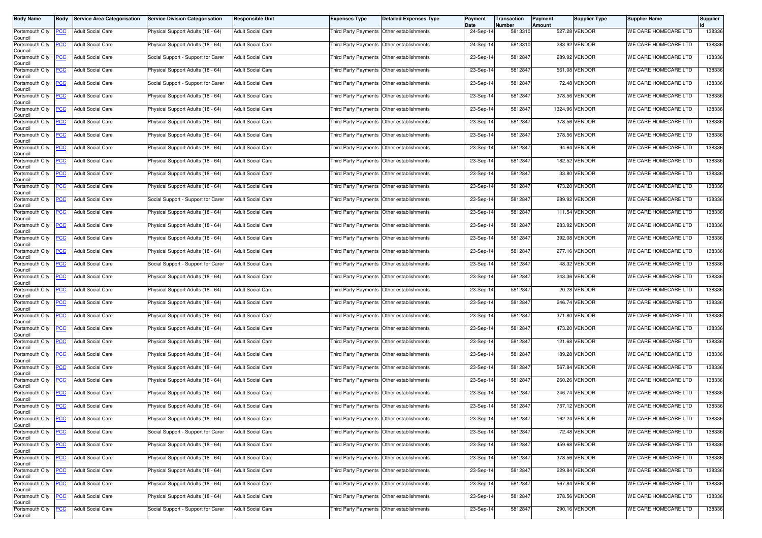| <b>Body Name</b>                                  | Body           | <b>Service Area Categorisation</b> | <b>Service Division Categorisation</b> | <b>Responsible Unit</b>  | <b>Expenses Type</b>                      | <b>Detailed Expenses Type</b>             | Payment<br>Date | Transaction<br>Number | Payment<br>Amount | Supplier Type  | <b>Supplier Name</b> | Supplier |
|---------------------------------------------------|----------------|------------------------------------|----------------------------------------|--------------------------|-------------------------------------------|-------------------------------------------|-----------------|-----------------------|-------------------|----------------|----------------------|----------|
| Portsmouth City<br>Council                        | <b>PCC</b>     | <b>Adult Social Care</b>           | Physical Support Adults (18 - 64)      | <b>Adult Social Care</b> | Third Party Payments Other establishments |                                           | 24-Sep-14       | 5813310               |                   | 527.28 VENDOR  | WE CARE HOMECARE LTD | 138336   |
| Portsmouth City<br>Council                        | <b>PCC</b>     | <b>Adult Social Care</b>           | Physical Support Adults (18 - 64)      | <b>Adult Social Care</b> | Third Party Payments Other establishments |                                           | 24-Sep-14       | 5813310               |                   | 283.92 VENDOR  | WE CARE HOMECARE LTD | 138336   |
| Portsmouth City<br>Council                        | <b>PCC</b>     | <b>Adult Social Care</b>           | Social Support - Support for Carer     | <b>Adult Social Care</b> | Third Party Payments Other establishments |                                           | 23-Sep-14       | 5812847               |                   | 289.92 VENDOR  | WE CARE HOMECARE LTD | 138336   |
| Portsmouth City<br>Council                        | <b>PCC</b>     | <b>Adult Social Care</b>           | Physical Support Adults (18 - 64)      | <b>Adult Social Care</b> | Third Party Payments Other establishments |                                           | 23-Sep-14       | 5812847               |                   | 561.08 VENDOR  | WE CARE HOMECARE LTD | 138336   |
| Portsmouth City<br>Council                        | <b>PCC</b>     | <b>Adult Social Care</b>           | Social Support - Support for Carer     | <b>Adult Social Care</b> |                                           | Third Party Payments Other establishments | 23-Sep-14       | 5812847               |                   | 72.48 VENDOR   | WE CARE HOMECARE LTD | 138336   |
| Portsmouth City<br>Council                        | <b>PCC</b>     | <b>Adult Social Care</b>           | Physical Support Adults (18 - 64)      | <b>Adult Social Care</b> | Third Party Payments Other establishments |                                           | 23-Sep-14       | 5812847               |                   | 378.56 VENDOR  | WE CARE HOMECARE LTD | 138336   |
| Portsmouth City<br>Council                        | <b>PCC</b>     | <b>Adult Social Care</b>           | Physical Support Adults (18 - 64)      | <b>Adult Social Care</b> | Third Party Payments Other establishments |                                           | 23-Sep-14       | 5812847               |                   | 1324.96 VENDOR | WE CARE HOMECARE LTD | 138336   |
| Portsmouth City<br>Council                        | <u>PCC</u>     | <b>Adult Social Care</b>           | Physical Support Adults (18 - 64)      | <b>Adult Social Care</b> | Third Party Payments                      | Other establishments                      | 23-Sep-14       | 5812847               |                   | 378.56 VENDOR  | WE CARE HOMECARE LTD | 138336   |
| Portsmouth City<br>Council                        | <b>PCC</b>     | <b>Adult Social Care</b>           | Physical Support Adults (18 - 64)      | <b>Adult Social Care</b> | Third Party Payments Other establishments |                                           | 23-Sep-14       | 5812847               |                   | 378.56 VENDOR  | WE CARE HOMECARE LTD | 138336   |
| Portsmouth City<br>Council                        | <b>PCC</b>     | <b>Adult Social Care</b>           | Physical Support Adults (18 - 64)      | <b>Adult Social Care</b> |                                           | Third Party Payments Other establishments | 23-Sep-14       | 5812847               |                   | 94.64 VENDOR   | WE CARE HOMECARE LTD | 138336   |
| Portsmouth City<br>Council                        | <b>PCC</b>     | <b>Adult Social Care</b>           | Physical Support Adults (18 - 64)      | <b>Adult Social Care</b> | Third Party Payments Other establishments |                                           | 23-Sep-14       | 5812847               |                   | 182.52 VENDOR  | WE CARE HOMECARE LTD | 138336   |
| Portsmouth City<br>Council                        | PСC            | <b>Adult Social Care</b>           | Physical Support Adults (18 - 64)      | <b>Adult Social Care</b> | Third Party Payments                      | Other establishments                      | 23-Sep-14       | 5812847               |                   | 33.80 VENDOR   | WE CARE HOMECARE LTD | 138336   |
| Portsmouth City<br>Council                        | $\overline{C}$ | <b>Adult Social Care</b>           | Physical Support Adults (18 - 64)      | <b>Adult Social Care</b> |                                           | Third Party Payments Other establishments | 23-Sep-14       | 5812847               |                   | 473.20 VENDOR  | WE CARE HOMECARE LTD | 138336   |
| Portsmouth City<br>Council                        | <b>PCC</b>     | <b>Adult Social Care</b>           | Social Support - Support for Carer     | <b>Adult Social Care</b> | Third Party Payments Other establishments |                                           | 23-Sep-14       | 5812847               |                   | 289.92 VENDOR  | WE CARE HOMECARE LTD | 138336   |
| Portsmouth City<br>Council                        | <u>PCC</u>     | <b>Adult Social Care</b>           | Physical Support Adults (18 - 64)      | <b>Adult Social Care</b> | Third Party Payments Other establishments |                                           | 23-Sep-14       | 5812847               |                   | 111.54 VENDOR  | WE CARE HOMECARE LTD | 138336   |
| Portsmouth City<br>Council                        | <b>PCC</b>     | <b>Adult Social Care</b>           | Physical Support Adults (18 - 64)      | <b>Adult Social Care</b> | Third Party Payments Other establishments |                                           | 23-Sep-14       | 5812847               |                   | 283.92 VENDOR  | WE CARE HOMECARE LTD | 138336   |
| Portsmouth City<br>Council                        | <u>PCC</u>     | <b>Adult Social Care</b>           | Physical Support Adults (18 - 64)      | <b>Adult Social Care</b> | Third Party Payments Other establishments |                                           | 23-Sep-14       | 5812847               |                   | 392.08 VENDOR  | WE CARE HOMECARE LTD | 138336   |
| Portsmouth City<br>Council                        | <b>PCC</b>     | <b>Adult Social Care</b>           | Physical Support Adults (18 - 64)      | <b>Adult Social Care</b> |                                           | Third Party Payments Other establishments | 23-Sep-14       | 5812847               |                   | 277.16 VENDOR  | WE CARE HOMECARE LTD | 138336   |
| Portsmouth City<br>Council                        | <b>PCC</b>     | <b>Adult Social Care</b>           | Social Support - Support for Carer     | <b>Adult Social Care</b> | Third Party Payments Other establishments |                                           | 23-Sep-14       | 5812847               |                   | 48.32 VENDOR   | WE CARE HOMECARE LTD | 138336   |
| Portsmouth City<br>Council                        | <b>PCC</b>     | <b>Adult Social Care</b>           | Physical Support Adults (18 - 64)      | <b>Adult Social Care</b> | Third Party Payments                      | Other establishments                      | 23-Sep-14       | 5812847               |                   | 243.36 VENDOR  | WE CARE HOMECARE LTD | 138336   |
| Portsmouth City<br>Council                        | <b>PCC</b>     | <b>Adult Social Care</b>           | Physical Support Adults (18 - 64)      | <b>Adult Social Care</b> |                                           | Third Party Payments Other establishments | 23-Sep-14       | 5812847               |                   | 20.28 VENDOR   | WE CARE HOMECARE LTD | 138336   |
| Portsmouth City<br>Council                        | <b>PCC</b>     | <b>Adult Social Care</b>           | Physical Support Adults (18 - 64)      | <b>Adult Social Care</b> | Third Party Payments Other establishments |                                           | 23-Sep-14       | 5812847               |                   | 246.74 VENDOR  | WE CARE HOMECARE LTD | 138336   |
| Portsmouth City<br>Council                        | <u>PCC</u>     | <b>Adult Social Care</b>           | Physical Support Adults (18 - 64)      | <b>Adult Social Care</b> | Third Party Payments Other establishments |                                           | 23-Sep-14       | 5812847               |                   | 371.80 VENDOR  | WE CARE HOMECARE LTD | 138336   |
| Portsmouth City<br>Council                        | <b>PCC</b>     | Adult Social Care                  | Physical Support Adults (18 - 64)      | <b>Adult Social Care</b> | Third Party Payments Other establishments |                                           | 23-Sep-14       | 5812847               |                   | 473.20 VENDOR  | WE CARE HOMECARE LTD | 138336   |
| Portsmouth City<br>Council                        | <b>PCC</b>     | <b>Adult Social Care</b>           | Physical Support Adults (18 - 64)      | <b>Adult Social Care</b> | Third Party Payments Other establishments |                                           | 23-Sep-14       | 5812847               |                   | 121.68 VENDOR  | WE CARE HOMECARE LTD | 138336   |
| Portsmouth City<br>Council                        | <b>PCC</b>     | <b>Adult Social Care</b>           | Physical Support Adults (18 - 64)      | <b>Adult Social Care</b> |                                           | Third Party Payments Other establishments | 23-Sep-14       | 5812847               |                   | 189.28 VENDOR  | WE CARE HOMECARE LTD | 138336   |
| Portsmouth City<br>Council                        | <b>PCC</b>     | <b>Adult Social Care</b>           | Physical Support Adults (18 - 64)      | <b>Adult Social Care</b> | Third Party Payments Other establishments |                                           | 23-Sep-14       | 5812847               |                   | 567.84 VENDOR  | WE CARE HOMECARE LTD | 138336   |
| Portsmouth City<br>Council                        | <b>PCC</b>     | <b>Adult Social Care</b>           | Physical Support Adults (18 - 64)      | <b>Adult Social Care</b> | Third Party Payments Other establishments |                                           | 23-Sep-14       | 5812847               |                   | 260.26 VENDOR  | WE CARE HOMECARE LTD | 138336   |
| Portsmouth City<br>Council                        | <b>PCC</b>     | <b>Adult Social Care</b>           | Physical Support Adults (18 - 64)      | <b>Adult Social Care</b> | Third Party Payments                      | Other establishments                      | 23-Sep-14       | 5812847               |                   | 246.74 VENDOR  | WE CARE HOMECARE LTD | 138336   |
| Portsmouth City<br>Council                        | <b>PCC</b>     | <b>Adult Social Care</b>           | Physical Support Adults (18 - 64)      | <b>Adult Social Care</b> | Third Party Payments Other establishments |                                           | 23-Sep-14       | 5812847               |                   | 757.12 VENDOR  | WE CARE HOMECARE LTD | 138336   |
| Portsmouth City PCC<br>Council<br>Portsmouth City |                | <b>Adult Social Care</b>           | Physical Support Adults (18 - 64)      | <b>Adult Social Care</b> | Third Party Payments Other establishments |                                           | 23-Sep-14       | 5812847               |                   | 162.24 VENDOR  | WE CARE HOMECARE LTD | 138336   |
| Council                                           | <u>PCC</u>     | <b>Adult Social Care</b>           | Social Support - Support for Carer     | <b>Adult Social Care</b> | Third Party Payments Other establishments |                                           | 23-Sep-14       | 5812847               |                   | 72.48 VENDOR   | WE CARE HOMECARE LTD | 138336   |
| Portsmouth City<br>Council                        | <b>PCC</b>     | <b>Adult Social Care</b>           | Physical Support Adults (18 - 64)      | <b>Adult Social Care</b> | Third Party Payments Other establishments |                                           | 23-Sep-14       | 5812847               |                   | 459.68 VENDOR  | WE CARE HOMECARE LTD | 138336   |
| Portsmouth City<br>Council                        | <b>PCC</b>     | <b>Adult Social Care</b>           | Physical Support Adults (18 - 64)      | <b>Adult Social Care</b> | Third Party Payments Other establishments |                                           | 23-Sep-14       | 5812847               |                   | 378.56 VENDOR  | WE CARE HOMECARE LTD | 138336   |
| Portsmouth City<br>Council                        | <b>PCC</b>     | <b>Adult Social Care</b>           | Physical Support Adults (18 - 64)      | <b>Adult Social Care</b> | Third Party Payments Other establishments |                                           | 23-Sep-14       | 5812847               |                   | 229.84 VENDOR  | WE CARE HOMECARE LTD | 138336   |
| Portsmouth City<br>Council                        | <b>PCC</b>     | <b>Adult Social Care</b>           | Physical Support Adults (18 - 64)      | <b>Adult Social Care</b> | Third Party Payments Other establishments |                                           | 23-Sep-14       | 5812847               |                   | 567.84 VENDOR  | WE CARE HOMECARE LTD | 138336   |
| Portsmouth City<br>Council                        | <b>PCC</b>     | <b>Adult Social Care</b>           | Physical Support Adults (18 - 64)      | <b>Adult Social Care</b> |                                           | Third Party Payments Other establishments | 23-Sep-14       | 5812847               |                   | 378.56 VENDOR  | WE CARE HOMECARE LTD | 138336   |
| Portsmouth City<br>Council                        | <b>PCC</b>     | <b>Adult Social Care</b>           | Social Support - Support for Carer     | <b>Adult Social Care</b> | Third Party Payments Other establishments |                                           | 23-Sep-14       | 5812847               |                   | 290.16 VENDOR  | WE CARE HOMECARE LTD | 138336   |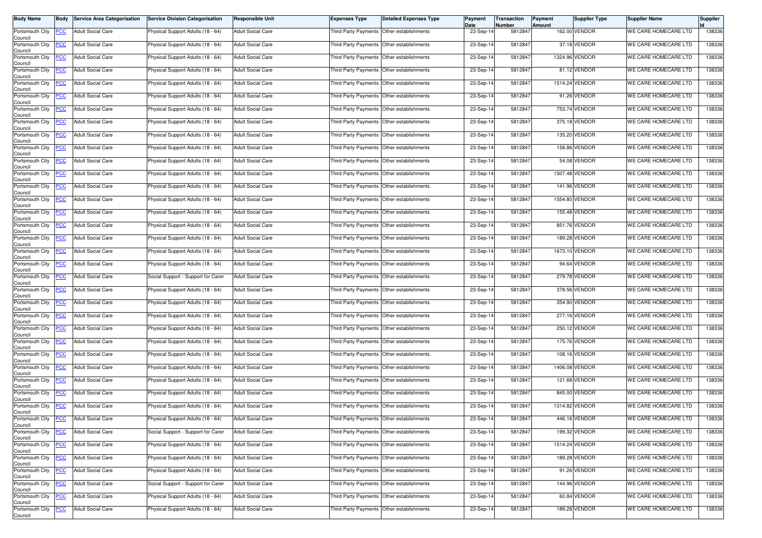| <b>Body Name</b>                                  | Body           | <b>Service Area Categorisation</b> | <b>Service Division Categorisation</b> | <b>Responsible Unit</b>  | <b>Expenses Type</b>                      | <b>Detailed Expenses Type</b> | Payment<br>Date | Transaction<br>Number | Payment<br><b>Amount</b> | Supplier Type  | <b>Supplier Name</b> | Supplier |
|---------------------------------------------------|----------------|------------------------------------|----------------------------------------|--------------------------|-------------------------------------------|-------------------------------|-----------------|-----------------------|--------------------------|----------------|----------------------|----------|
| Portsmouth City<br>Council                        | <b>PCC</b>     | <b>Adult Social Care</b>           | Physical Support Adults (18 - 64)      | <b>Adult Social Care</b> | Third Party Payments Other establishments |                               | 23-Sep-14       | 5812847               |                          | 162.00 VENDOR  | WE CARE HOMECARE LTD | 138336   |
| Portsmouth City<br>Council                        | <b>PCC</b>     | <b>Adult Social Care</b>           | Physical Support Adults (18 - 64)      | <b>Adult Social Care</b> | Third Party Payments Other establishments |                               | 23-Sep-14       | 5812847               |                          | 37.18 VENDOR   | WE CARE HOMECARE LTD | 138336   |
| Portsmouth City<br>Council                        | <b>PCC</b>     | <b>Adult Social Care</b>           | Physical Support Adults (18 - 64)      | <b>Adult Social Care</b> | Third Party Payments Other establishments |                               | 23-Sep-14       | 5812847               |                          | 1324.96 VENDOR | WE CARE HOMECARE LTD | 138336   |
| Portsmouth City<br>Council                        | <u>PCC</u>     | <b>Adult Social Care</b>           | Physical Support Adults (18 - 64)      | <b>Adult Social Care</b> | Third Party Payments Other establishments |                               | 23-Sep-14       | 5812847               |                          | 81.12 VENDOR   | WE CARE HOMECARE LTD | 138336   |
| Portsmouth City<br>Council                        | <b>PCC</b>     | <b>Adult Social Care</b>           | Physical Support Adults (18 - 64)      | <b>Adult Social Care</b> | Third Party Payments Other establishments |                               | 23-Sep-14       | 5812847               |                          | 1514.24 VENDOR | WE CARE HOMECARE LTD | 138336   |
| Portsmouth City<br>Council                        | <b>PCC</b>     | <b>Adult Social Care</b>           | Physical Support Adults (18 - 64)      | <b>Adult Social Care</b> | Third Party Payments Other establishments |                               | 23-Sep-14       | 5812847               |                          | 91.26 VENDOR   | WE CARE HOMECARE LTD | 138336   |
| Portsmouth City<br>Council                        | <b>PCC</b>     | <b>Adult Social Care</b>           | Physical Support Adults (18 - 64)      | <b>Adult Social Care</b> | Third Party Payments Other establishments |                               | 23-Sep-14       | 5812847               |                          | 753.74 VENDOR  | WE CARE HOMECARE LTD | 138336   |
| Portsmouth City<br>Council                        | <u>PCC</u>     | <b>Adult Social Care</b>           | Physical Support Adults (18 - 64)      | <b>Adult Social Care</b> | Third Party Payments                      | Other establishments          | 23-Sep-14       | 5812847               |                          | 375.18 VENDOR  | WE CARE HOMECARE LTD | 138336   |
| Portsmouth City<br>Council                        | <b>PCC</b>     | <b>Adult Social Care</b>           | Physical Support Adults (18 - 64)      | <b>Adult Social Care</b> | Third Party Payments Other establishments |                               | 23-Sep-14       | 5812847               |                          | 135.20 VENDOR  | WE CARE HOMECARE LTD | 138336   |
| Portsmouth City<br>Council                        | <b>PCC</b>     | <b>Adult Social Care</b>           | Physical Support Adults (18 - 64)      | <b>Adult Social Care</b> | Third Party Payments Other establishments |                               | 23-Sep-14       | 5812847               |                          | 158.86 VENDOR  | WE CARE HOMECARE LTD | 138336   |
| Portsmouth City<br>Council                        | <b>PCC</b>     | <b>Adult Social Care</b>           | Physical Support Adults (18 - 64)      | <b>Adult Social Care</b> | Third Party Payments Other establishments |                               | 23-Sep-14       | 5812847               |                          | 54.08 VENDOR   | WE CARE HOMECARE LTD | 138336   |
| Portsmouth City<br>Council                        | PСC            | <b>Adult Social Care</b>           | Physical Support Adults (18 - 64)      | <b>Adult Social Care</b> | Third Party Payments                      | Other establishments          | 23-Sep-14       | 5812847               |                          | 1507.48 VENDOR | WE CARE HOMECARE LTD | 138336   |
| Portsmouth City<br>Council                        | $\overline{C}$ | <b>Adult Social Care</b>           | Physical Support Adults (18 - 64)      | <b>Adult Social Care</b> | Third Party Payments Other establishments |                               | 23-Sep-14       | 5812847               |                          | 141.96 VENDOR  | WE CARE HOMECARE LTD | 138336   |
| Portsmouth City<br>Council                        | <b>PCC</b>     | <b>Adult Social Care</b>           | Physical Support Adults (18 - 64)      | <b>Adult Social Care</b> | Third Party Payments Other establishments |                               | 23-Sep-14       | 5812847               |                          | 1554.80 VENDOR | WE CARE HOMECARE LTD | 138336   |
| Portsmouth City<br>Council                        | <u>PCC</u>     | <b>Adult Social Care</b>           | Physical Support Adults (18 - 64)      | <b>Adult Social Care</b> | Third Party Payments Other establishments |                               | 23-Sep-14       | 5812847               |                          | 155.48 VENDOR  | WE CARE HOMECARE LTD | 138336   |
| Portsmouth City<br>Council                        | <b>PCC</b>     | <b>Adult Social Care</b>           | Physical Support Adults (18 - 64)      | <b>Adult Social Care</b> | Third Party Payments Other establishments |                               | 23-Sep-14       | 5812847               |                          | 851.76 VENDOR  | WE CARE HOMECARE LTD | 138336   |
| Portsmouth City<br>Council                        | <u>PCC</u>     | <b>Adult Social Care</b>           | Physical Support Adults (18 - 64)      | <b>Adult Social Care</b> | Third Party Payments Other establishments |                               | 23-Sep-14       | 5812847               |                          | 189.28 VENDOR  | WE CARE HOMECARE LTD | 138336   |
| Portsmouth City<br>Council                        | <b>PCC</b>     | <b>Adult Social Care</b>           | Physical Support Adults (18 - 64)      | <b>Adult Social Care</b> | Third Party Payments Other establishments |                               | 23-Sep-14       | 5812847               |                          | 1673.10 VENDOR | WE CARE HOMECARE LTD | 138336   |
| Portsmouth City<br>Council                        | <b>PCC</b>     | <b>Adult Social Care</b>           | Physical Support Adults (18 - 64)      | <b>Adult Social Care</b> | Third Party Payments Other establishments |                               | 23-Sep-14       | 5812847               |                          | 94.64 VENDOR   | WE CARE HOMECARE LTD | 138336   |
| Portsmouth City<br>Council                        | <b>PCC</b>     | <b>Adult Social Care</b>           | Social Support - Support for Carer     | <b>Adult Social Care</b> | Third Party Payments                      | Other establishments          | 23-Sep-14       | 5812847               |                          | 279.78 VENDOR  | WE CARE HOMECARE LTD | 138336   |
| Portsmouth City<br>Council                        | <b>PCC</b>     | <b>Adult Social Care</b>           | Physical Support Adults (18 - 64)      | <b>Adult Social Care</b> | Third Party Payments Other establishments |                               | 23-Sep-14       | 5812847               |                          | 378.56 VENDOR  | WE CARE HOMECARE LTD | 138336   |
| Portsmouth City<br>Council                        | <b>PCC</b>     | <b>Adult Social Care</b>           | Physical Support Adults (18 - 64)      | <b>Adult Social Care</b> | Third Party Payments Other establishments |                               | 23-Sep-14       | 5812847               |                          | 354.90 VENDOR  | WE CARE HOMECARE LTD | 138336   |
| Portsmouth City<br>Council                        | <u>PCC</u>     | <b>Adult Social Care</b>           | Physical Support Adults (18 - 64)      | <b>Adult Social Care</b> | Third Party Payments Other establishments |                               | 23-Sep-14       | 5812847               |                          | 277.16 VENDOR  | WE CARE HOMECARE LTD | 138336   |
| Portsmouth City<br>Council                        | <b>PCC</b>     | <b>Adult Social Care</b>           | Physical Support Adults (18 - 64)      | <b>Adult Social Care</b> | Third Party Payments Other establishments |                               | 23-Sep-14       | 5812847               |                          | 250.12 VENDOR  | WE CARE HOMECARE LTD | 138336   |
| Portsmouth City<br>Council                        | <b>PCC</b>     | <b>Adult Social Care</b>           | Physical Support Adults (18 - 64)      | <b>Adult Social Care</b> | Third Party Payments Other establishments |                               | 23-Sep-14       | 5812847               |                          | 175.76 VENDOR  | WE CARE HOMECARE LTD | 138336   |
| Portsmouth City<br>Council                        | <b>PCC</b>     | <b>Adult Social Care</b>           | Physical Support Adults (18 - 64)      | <b>Adult Social Care</b> | Third Party Payments Other establishments |                               | 23-Sep-14       | 5812847               |                          | 108.16 VENDOR  | WE CARE HOMECARE LTD | 138336   |
| Portsmouth City<br>Council                        | <b>PCC</b>     | <b>Adult Social Care</b>           | Physical Support Adults (18 - 64)      | <b>Adult Social Care</b> | Third Party Payments Other establishments |                               | 23-Sep-14       | 5812847               |                          | 1406.08 VENDOR | WE CARE HOMECARE LTD | 138336   |
| Portsmouth City<br>Council                        | <b>PCC</b>     | <b>Adult Social Care</b>           | Physical Support Adults (18 - 64)      | <b>Adult Social Care</b> | Third Party Payments Other establishments |                               | 23-Sep-14       | 5812847               |                          | 121.68 VENDOR  | WE CARE HOMECARE LTD | 138336   |
| Portsmouth City<br>Council                        | <b>PCC</b>     | Adult Social Care                  | Physical Support Adults (18 - 64)      | <b>Adult Social Care</b> | Third Party Payments                      | Other establishments          | 23-Sep-14       | 5812847               |                          | 845.00 VENDOR  | WE CARE HOMECARE LTD | 138336   |
| Portsmouth City<br>Council                        | <b>PCC</b>     | <b>Adult Social Care</b>           | Physical Support Adults (18 - 64)      | <b>Adult Social Care</b> | Third Party Payments Other establishments |                               | 23-Sep-14       | 5812847               |                          | 1314.82 VENDOR | WE CARE HOMECARE LTD | 138336   |
| Portsmouth City PCC<br>Council<br>Portsmouth City |                | <b>Adult Social Care</b>           | Physical Support Adults (18 - 64)      | <b>Adult Social Care</b> | Third Party Payments Other establishments |                               | 23-Sep-14       | 5812847               |                          | 446.16 VENDOR  | WE CARE HOMECARE LTD | 138336   |
| Council                                           | <u>PCC</u>     | <b>Adult Social Care</b>           | Social Support - Support for Carer     | <b>Adult Social Care</b> | Third Party Payments Other establishments |                               | 23-Sep-14       | 5812847               |                          | 199.32 VENDOR  | WE CARE HOMECARE LTD | 138336   |
| Portsmouth City<br>Council                        | <b>PCC</b>     | <b>Adult Social Care</b>           | Physical Support Adults (18 - 64)      | <b>Adult Social Care</b> | Third Party Payments Other establishments |                               | 23-Sep-14       | 5812847               |                          | 1514.24 VENDOR | WE CARE HOMECARE LTD | 138336   |
| Portsmouth City<br>Council                        | <b>PCC</b>     | <b>Adult Social Care</b>           | Physical Support Adults (18 - 64)      | <b>Adult Social Care</b> | Third Party Payments Other establishments |                               | 23-Sep-14       | 5812847               |                          | 189.28 VENDOR  | WE CARE HOMECARE LTD | 138336   |
| Portsmouth City<br>Council                        | <b>PCC</b>     | <b>Adult Social Care</b>           | Physical Support Adults (18 - 64)      | <b>Adult Social Care</b> | Third Party Payments Other establishments |                               | 23-Sep-14       | 5812847               |                          | 91.26 VENDOR   | WE CARE HOMECARE LTD | 138336   |
| Portsmouth City<br>Council                        | <b>PCC</b>     | <b>Adult Social Care</b>           | Social Support - Support for Carer     | <b>Adult Social Care</b> | Third Party Payments Other establishments |                               | 23-Sep-14       | 5812847               |                          | 144.96 VENDOR  | WE CARE HOMECARE LTD | 138336   |
| Portsmouth City<br>Council                        | <b>PCC</b>     | <b>Adult Social Care</b>           | Physical Support Adults (18 - 64)      | <b>Adult Social Care</b> | Third Party Payments Other establishments |                               | 23-Sep-14       | 5812847               |                          | 60.84 VENDOR   | WE CARE HOMECARE LTD | 138336   |
| Portsmouth City<br>Council                        | <b>PCC</b>     | <b>Adult Social Care</b>           | Physical Support Adults (18 - 64)      | <b>Adult Social Care</b> | Third Party Payments Other establishments |                               | 23-Sep-14       | 5812847               |                          | 189.28 VENDOR  | WE CARE HOMECARE LTD | 138336   |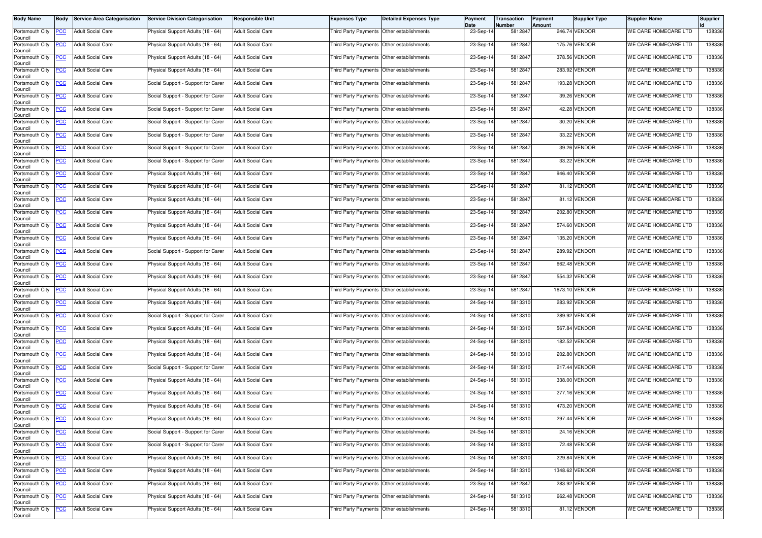| <b>Body Name</b>                                  | Body       | <b>Service Area Categorisation</b> | <b>Service Division Categorisation</b> | <b>Responsible Unit</b>  | <b>Expenses Type</b>                      | <b>Detailed Expenses Type</b> | Payment<br>Date | Transaction<br>Number | Payment<br><b>Amount</b> | Supplier Type  | <b>Supplier Name</b> | Supplier |
|---------------------------------------------------|------------|------------------------------------|----------------------------------------|--------------------------|-------------------------------------------|-------------------------------|-----------------|-----------------------|--------------------------|----------------|----------------------|----------|
| Portsmouth City<br>Council                        | <b>PCC</b> | <b>Adult Social Care</b>           | Physical Support Adults (18 - 64)      | <b>Adult Social Care</b> | Third Party Payments Other establishments |                               | 23-Sep-14       | 5812847               |                          | 246.74 VENDOR  | WE CARE HOMECARE LTD | 138336   |
| Portsmouth City<br>Council                        | <b>PCC</b> | <b>Adult Social Care</b>           | Physical Support Adults (18 - 64)      | <b>Adult Social Care</b> | Third Party Payments Other establishments |                               | 23-Sep-14       | 5812847               |                          | 175.76 VENDOR  | WE CARE HOMECARE LTD | 138336   |
| Portsmouth City<br>Council                        | <b>PCC</b> | <b>Adult Social Care</b>           | Physical Support Adults (18 - 64)      | <b>Adult Social Care</b> | Third Party Payments Other establishments |                               | 23-Sep-14       | 5812847               |                          | 378.56 VENDOR  | WE CARE HOMECARE LTD | 138336   |
| Portsmouth City<br>Council                        | <b>PCC</b> | <b>Adult Social Care</b>           | Physical Support Adults (18 - 64)      | <b>Adult Social Care</b> | Third Party Payments Other establishments |                               | 23-Sep-14       | 5812847               |                          | 283.92 VENDOR  | WE CARE HOMECARE LTD | 138336   |
| Portsmouth City<br>Council                        | <b>PCC</b> | <b>Adult Social Care</b>           | Social Support - Support for Carer     | <b>Adult Social Care</b> | Third Party Payments Other establishments |                               | 23-Sep-14       | 5812847               |                          | 193.28 VENDOR  | WE CARE HOMECARE LTD | 138336   |
| Portsmouth City<br>Council                        | <b>PCC</b> | <b>Adult Social Care</b>           | Social Support - Support for Carer     | <b>Adult Social Care</b> | Third Party Payments Other establishments |                               | 23-Sep-14       | 5812847               |                          | 39.26 VENDOR   | WE CARE HOMECARE LTD | 138336   |
| Portsmouth City<br>Council                        | <b>PCC</b> | <b>Adult Social Care</b>           | Social Support - Support for Carer     | <b>Adult Social Care</b> | Third Party Payments Other establishments |                               | 23-Sep-14       | 5812847               |                          | 42.28 VENDOR   | WE CARE HOMECARE LTD | 138336   |
| Portsmouth City<br>Council                        | <b>PCC</b> | <b>Adult Social Care</b>           | Social Support - Support for Carer     | <b>Adult Social Care</b> | Third Party Payments                      | Other establishments          | 23-Sep-14       | 5812847               |                          | 30.20 VENDOR   | WE CARE HOMECARE LTD | 138336   |
| Portsmouth City<br>Council                        | <b>PCC</b> | <b>Adult Social Care</b>           | Social Support - Support for Carer     | <b>Adult Social Care</b> | Third Party Payments Other establishments |                               | 23-Sep-14       | 5812847               |                          | 33.22 VENDOR   | WE CARE HOMECARE LTD | 138336   |
| Portsmouth City<br>Council                        | <b>PCC</b> | Adult Social Care                  | Social Support - Support for Carer     | <b>Adult Social Care</b> | Third Party Payments Other establishments |                               | 23-Sep-14       | 5812847               |                          | 39.26 VENDOR   | WE CARE HOMECARE LTD | 138336   |
| Portsmouth City<br>Council                        | <b>PCC</b> | <b>Adult Social Care</b>           | Social Support - Support for Carer     | <b>Adult Social Care</b> | Third Party Payments Other establishments |                               | 23-Sep-14       | 5812847               |                          | 33.22 VENDOR   | WE CARE HOMECARE LTD | 138336   |
| Portsmouth City<br>Council                        | PСC        | <b>Adult Social Care</b>           | Physical Support Adults (18 - 64)      | <b>Adult Social Care</b> | Third Party Payments                      | Other establishments          | 23-Sep-14       | 5812847               |                          | 946.40 VENDOR  | WE CARE HOMECARE LTD | 138336   |
| Portsmouth City<br>Council                        | <u>PCC</u> | <b>Adult Social Care</b>           | Physical Support Adults (18 - 64)      | <b>Adult Social Care</b> | Third Party Payments Other establishments |                               | 23-Sep-14       | 5812847               |                          | 81.12 VENDOR   | WE CARE HOMECARE LTD | 138336   |
| Portsmouth City<br>Council                        | <b>PCC</b> | <b>Adult Social Care</b>           | Physical Support Adults (18 - 64)      | <b>Adult Social Care</b> | Third Party Payments Other establishments |                               | 23-Sep-14       | 5812847               |                          | 81.12 VENDOR   | WE CARE HOMECARE LTD | 138336   |
| Portsmouth City<br>Council                        | <u>PCC</u> | <b>Adult Social Care</b>           | Physical Support Adults (18 - 64)      | <b>Adult Social Care</b> | Third Party Payments Other establishments |                               | 23-Sep-14       | 5812847               |                          | 202.80 VENDOR  | WE CARE HOMECARE LTD | 138336   |
| Portsmouth City<br>Council                        | <b>PCC</b> | <b>Adult Social Care</b>           | Physical Support Adults (18 - 64)      | <b>Adult Social Care</b> | Third Party Payments Other establishments |                               | 23-Sep-14       | 5812847               |                          | 574.60 VENDOR  | WE CARE HOMECARE LTD | 138336   |
| Portsmouth City<br>Council                        | <u>PCC</u> | <b>Adult Social Care</b>           | Physical Support Adults (18 - 64)      | <b>Adult Social Care</b> | Third Party Payments Other establishments |                               | 23-Sep-14       | 5812847               |                          | 135.20 VENDOR  | WE CARE HOMECARE LTD | 138336   |
| Portsmouth City<br>Council                        | <b>PCC</b> | <b>Adult Social Care</b>           | Social Support - Support for Carer     | <b>Adult Social Care</b> | Third Party Payments Other establishments |                               | 23-Sep-14       | 5812847               |                          | 289.92 VENDOR  | WE CARE HOMECARE LTD | 138336   |
| Portsmouth City<br>Council                        | <b>PCC</b> | <b>Adult Social Care</b>           | Physical Support Adults (18 - 64)      | <b>Adult Social Care</b> | Third Party Payments Other establishments |                               | 23-Sep-14       | 5812847               |                          | 662.48 VENDOR  | WE CARE HOMECARE LTD | 138336   |
| Portsmouth City<br>Council                        | <b>PCC</b> | <b>Adult Social Care</b>           | Physical Support Adults (18 - 64)      | <b>Adult Social Care</b> | Third Party Payments                      | Other establishments          | 23-Sep-14       | 5812847               |                          | 554.32 VENDOR  | WE CARE HOMECARE LTD | 138336   |
| Portsmouth City<br>Council                        | <b>PCC</b> | <b>Adult Social Care</b>           | Physical Support Adults (18 - 64)      | <b>Adult Social Care</b> | Third Party Payments Other establishments |                               | 23-Sep-14       | 5812847               |                          | 1673.10 VENDOR | WE CARE HOMECARE LTD | 138336   |
| Portsmouth City<br>Council                        | <b>PCC</b> | <b>Adult Social Care</b>           | Physical Support Adults (18 - 64)      | <b>Adult Social Care</b> | Third Party Payments Other establishments |                               | 24-Sep-14       | 5813310               |                          | 283.92 VENDOR  | WE CARE HOMECARE LTD | 138336   |
| Portsmouth City<br>Council                        | <u>PCC</u> | <b>Adult Social Care</b>           | Social Support - Support for Carer     | <b>Adult Social Care</b> | Third Party Payments Other establishments |                               | 24-Sep-14       | 5813310               |                          | 289.92 VENDOR  | WE CARE HOMECARE LTD | 138336   |
| Portsmouth City<br>Council                        | <b>PCC</b> | Adult Social Care                  | Physical Support Adults (18 - 64)      | <b>Adult Social Care</b> | Third Party Payments Other establishments |                               | 24-Sep-14       | 5813310               |                          | 567.84 VENDOR  | WE CARE HOMECARE LTD | 138336   |
| Portsmouth City<br>Council                        | <b>PCC</b> | <b>Adult Social Care</b>           | Physical Support Adults (18 - 64)      | <b>Adult Social Care</b> | Third Party Payments Other establishments |                               | 24-Sep-14       | 5813310               |                          | 182.52 VENDOR  | WE CARE HOMECARE LTD | 138336   |
| Portsmouth City<br>Council                        | <b>PCC</b> | <b>Adult Social Care</b>           | Physical Support Adults (18 - 64)      | <b>Adult Social Care</b> | Third Party Payments Other establishments |                               | 24-Sep-14       | 5813310               |                          | 202.80 VENDOR  | WE CARE HOMECARE LTD | 138336   |
| Portsmouth City<br>Council                        | <b>PCC</b> | <b>Adult Social Care</b>           | Social Support - Support for Carer     | <b>Adult Social Care</b> | Third Party Payments Other establishments |                               | 24-Sep-14       | 5813310               |                          | 217.44 VENDOR  | WE CARE HOMECARE LTD | 138336   |
| Portsmouth City<br>Council                        | <b>PCC</b> | <b>Adult Social Care</b>           | Physical Support Adults (18 - 64)      | <b>Adult Social Care</b> | Third Party Payments Other establishments |                               | 24-Sep-14       | 5813310               |                          | 338.00 VENDOR  | WE CARE HOMECARE LTD | 138336   |
| Portsmouth City<br>Council                        | <b>PCC</b> | <b>Adult Social Care</b>           | Physical Support Adults (18 - 64)      | <b>Adult Social Care</b> | Third Party Payments Other establishments |                               | 24-Sep-14       | 5813310               |                          | 277.16 VENDOR  | WE CARE HOMECARE LTD | 138336   |
| Portsmouth City<br>Council                        | <b>PCC</b> | <b>Adult Social Care</b>           | Physical Support Adults (18 - 64)      | <b>Adult Social Care</b> | Third Party Payments Other establishments |                               | 24-Sep-14       | 5813310               |                          | 473.20 VENDOR  | WE CARE HOMECARE LTD | 138336   |
| Portsmouth City PCC<br>Council<br>Portsmouth City |            | <b>Adult Social Care</b>           | Physical Support Adults (18 - 64)      | <b>Adult Social Care</b> | Third Party Payments Other establishments |                               | 24-Sep-14       | 5813310               |                          | 297.44 VENDOR  | WE CARE HOMECARE LTD | 138336   |
| Council                                           | <u>PCC</u> | <b>Adult Social Care</b>           | Social Support - Support for Carer     | <b>Adult Social Care</b> | Third Party Payments Other establishments |                               | 24-Sep-14       | 5813310               |                          | 24.16 VENDOR   | WE CARE HOMECARE LTD | 138336   |
| Portsmouth City<br>Council                        | <b>PCC</b> | <b>Adult Social Care</b>           | Social Support - Support for Carer     | <b>Adult Social Care</b> | Third Party Payments Other establishments |                               | 24-Sep-14       | 5813310               |                          | 72.48 VENDOR   | WE CARE HOMECARE LTD | 138336   |
| Portsmouth City<br>Council                        | <b>PCC</b> | <b>Adult Social Care</b>           | Physical Support Adults (18 - 64)      | <b>Adult Social Care</b> | Third Party Payments Other establishments |                               | 24-Sep-14       | 5813310               |                          | 229.84 VENDOR  | WE CARE HOMECARE LTD | 138336   |
| Portsmouth City<br>Council                        | <b>PCC</b> | <b>Adult Social Care</b>           | Physical Support Adults (18 - 64)      | <b>Adult Social Care</b> | Third Party Payments Other establishments |                               | 24-Sep-14       | 5813310               |                          | 1348.62 VENDOR | WE CARE HOMECARE LTD | 138336   |
| Portsmouth City<br>Council                        | <b>PCC</b> | <b>Adult Social Care</b>           | Physical Support Adults (18 - 64)      | <b>Adult Social Care</b> | Third Party Payments Other establishments |                               | 23-Sep-14       | 5812847               |                          | 283.92 VENDOR  | WE CARE HOMECARE LTD | 138336   |
| Portsmouth City<br>Council                        | <b>PCC</b> | <b>Adult Social Care</b>           | Physical Support Adults (18 - 64)      | <b>Adult Social Care</b> | Third Party Payments Other establishments |                               | 24-Sep-14       | 5813310               |                          | 662.48 VENDOR  | WE CARE HOMECARE LTD | 138336   |
| Portsmouth City<br>Council                        | <b>PCC</b> | <b>Adult Social Care</b>           | Physical Support Adults (18 - 64)      | <b>Adult Social Care</b> | Third Party Payments Other establishments |                               | 24-Sep-14       | 5813310               |                          | 81.12 VENDOR   | WE CARE HOMECARE LTD | 138336   |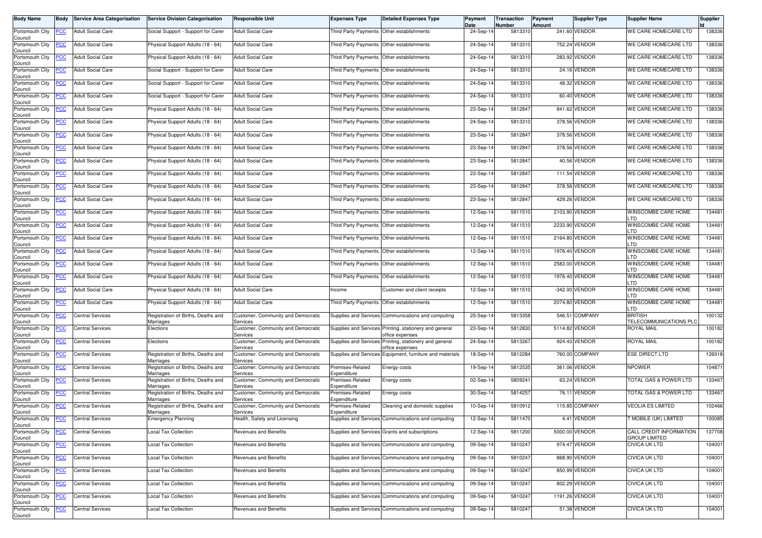| <b>Body Name</b>                              | <b>Body</b> | <b>Service Area Categorisation</b> | <b>Service Division Categorisation</b>          | <b>Responsible Unit</b>                        | <b>Expenses Type</b>                      | <b>Detailed Expenses Type</b>                                             | Payment<br>Date | Transaction<br>Number | Payment<br>Amount | Supplier Type  | <b>Supplier Name</b>                            | Supplier |
|-----------------------------------------------|-------------|------------------------------------|-------------------------------------------------|------------------------------------------------|-------------------------------------------|---------------------------------------------------------------------------|-----------------|-----------------------|-------------------|----------------|-------------------------------------------------|----------|
| Portsmouth City<br>Council                    | <b>PCC</b>  | <b>Adult Social Care</b>           | Social Support - Support for Carer              | <b>Adult Social Care</b>                       | Third Party Payments Other establishments |                                                                           | 24-Sep-14       | 5813310               |                   | 241.60 VENDOR  | WE CARE HOMECARE LTD                            | 138336   |
| Portsmouth City<br>Council                    | <u>PCC</u>  | <b>Adult Social Care</b>           | Physical Support Adults (18 - 64)               | <b>Adult Social Care</b>                       | Third Party Payments Other establishments |                                                                           | 24-Sep-14       | 5813310               |                   | 752.24 VENDOR  | WE CARE HOMECARE LTD                            | 138336   |
| Portsmouth City<br>Council                    | <u>PCC</u>  | <b>Adult Social Care</b>           | Physical Support Adults (18 - 64)               | <b>Adult Social Care</b>                       | Third Party Payments                      | Other establishments                                                      | 24-Sep-14       | 5813310               |                   | 283.92 VENDOR  | WE CARE HOMECARE LTD                            | 138336   |
| Portsmouth City<br>Council                    | <u>PCC</u>  | <b>Adult Social Care</b>           | Social Support - Support for Carer              | <b>Adult Social Care</b>                       | <b>Third Party Payments</b>               | Other establishments                                                      | 24-Sep-14       | 5813310               |                   | 24.16 VENDOR   | WE CARE HOMECARE LTD                            | 138336   |
| Portsmouth City<br>Council                    | <u>PCC</u>  | <b>Adult Social Care</b>           | Social Support - Support for Carer              | <b>Adult Social Care</b>                       |                                           | Third Party Payments Other establishments                                 | 24-Sep-14       | 5813310               |                   | 48.32 VENDOR   | WE CARE HOMECARE LTD                            | 138336   |
| Portsmouth City<br>Council                    | <b>PCC</b>  | <b>Adult Social Care</b>           | Social Support - Support for Carer              | <b>Adult Social Care</b>                       | Third Party Payments                      | Other establishments                                                      | 24-Sep-14       | 5813310               |                   | 60.40 VENDOR   | WE CARE HOMECARE LTD                            | 138336   |
| Portsmouth City<br>Council                    | <u>PCC</u>  | <b>Adult Social Care</b>           | Physical Support Adults (18 - 64)               | <b>Adult Social Care</b>                       | <b>Third Party Payments</b>               | Other establishments                                                      | 23-Sep-14       | 5812847               |                   | 841.62 VENDOR  | WE CARE HOMECARE LTD                            | 138336   |
| Portsmouth City<br>Council                    | <u>PCC</u>  | <b>Adult Social Care</b>           | Physical Support Adults (18 - 64)               | <b>Adult Social Care</b>                       | <b>Third Party Payments</b>               | Other establishments                                                      | 24-Sep-14       | 5813310               |                   | 378.56 VENDOR  | WE CARE HOMECARE LTD                            | 138336   |
| Portsmouth City<br>Council                    | PCC         | <b>Adult Social Care</b>           | Physical Support Adults (18 - 64)               | <b>Adult Social Care</b>                       | Third Party Payments Other establishments |                                                                           | 23-Sep-14       | 5812847               |                   | 378.56 VENDOR  | WE CARE HOMECARE LTD                            | 138336   |
| Portsmouth City<br>Council                    | PСC         | <b>Adult Social Care</b>           | Physical Support Adults (18 - 64)               | <b>Adult Social Care</b>                       | Third Party Payments                      | Other establishments                                                      | 23-Sep-14       | 581284                |                   | 378.56 VENDOR  | WE CARE HOMECARE LTD                            | 138336   |
| Portsmouth City<br>Council                    | <u>PCC</u>  | <b>Adult Social Care</b>           | Physical Support Adults (18 - 64)               | <b>Adult Social Care</b>                       | <b>Third Party Payments</b>               | Other establishments                                                      | 23-Sep-14       | 581284                |                   | 40.56 VENDOR   | WE CARE HOMECARE LTD                            | 138336   |
| Portsmouth City<br>Council                    | PСC         | <b>Adult Social Care</b>           | Physical Support Adults (18 - 64)               | <b>Adult Social Care</b>                       | <b>Third Party Payments</b>               | Other establishments                                                      | 23-Sep-14       | 5812847               | 111.54            | VENDOR         | WE CARE HOMECARE LTD                            | 138336   |
| Portsmouth City<br>Council                    | <u>PCC</u>  | Adult Social Care                  | Physical Support Adults (18 - 64)               | <b>Adult Social Care</b>                       |                                           | Third Party Payments Other establishments                                 | 23-Sep-14       | 5812847               |                   | 378.56 VENDOR  | WE CARE HOMECARE LTD                            | 138336   |
| Portsmouth City<br>Council                    | <b>PCC</b>  | <b>Adult Social Care</b>           | Physical Support Adults (18 - 64)               | <b>Adult Social Care</b>                       | Third Party Payments Other establishments |                                                                           | 23-Sep-14       | 5812847               |                   | 429.26 VENDOR  | WE CARE HOMECARE LTD                            | 138336   |
| Portsmouth City<br>Council                    | PСC         | <b>Adult Social Care</b>           | Physical Support Adults (18 - 64)               | <b>Adult Social Care</b>                       | <b>Third Party Payments</b>               | Other establishments                                                      | 12-Sep-14       | 5811510               |                   | 2103.90 VENDOR | WINSCOMBE CARE HOME<br>_TD                      | 134481   |
| Portsmouth City<br>Council                    | <b>PCC</b>  | <b>Adult Social Care</b>           | Physical Support Adults (18 - 64)               | <b>Adult Social Care</b>                       | <b>Third Party Payments</b>               | Other establishments                                                      | 12-Sep-14       | 5811510               |                   | 2233.90 VENDOR | WINSCOMBE CARE HOME<br>LTD                      | 134481   |
| Portsmouth City<br>Council                    | <u>PCC</u>  | <b>Adult Social Care</b>           | Physical Support Adults (18 - 64)               | <b>Adult Social Care</b>                       | Third Party Payments                      | Other establishments                                                      | 12-Sep-14       | 5811510               |                   | 2164.80 VENDOR | WINSCOMBE CARE HOME<br>LTD                      | 134481   |
| Portsmouth City<br>Council                    | <u>PCC</u>  | <b>Adult Social Care</b>           | Physical Support Adults (18 - 64)               | <b>Adult Social Care</b>                       | Third Party Payments                      | Other establishments                                                      | 12-Sep-14       | 5811510               |                   | 1976.40 VENDOR | WINSCOMBE CARE HOME<br>.TD                      | 134481   |
| Portsmouth City<br>Council                    | <b>PCC</b>  | <b>Adult Social Care</b>           | Physical Support Adults (18 - 64)               | <b>Adult Social Care</b>                       | Third Party Payments                      | Other establishments                                                      | 12-Sep-14       | 5811510               | 2583.00           | <b>VENDOR</b>  | WINSCOMBE CARE HOME<br>LTD                      | 134481   |
| Portsmouth City<br>Council                    | <b>PCC</b>  | <b>Adult Social Care</b>           | Physical Support Adults (18 - 64)               | <b>Adult Social Care</b>                       | <b>Third Party Payments</b>               | Other establishments                                                      | 12-Sep-14       | 5811510               |                   | 1976.40 VENDOR | WINSCOMBE CARE HOME<br>LTD                      | 134481   |
| Portsmouth City<br>Council                    | <u>CC</u>   | <b>Adult Social Care</b>           | Physical Support Adults (18 - 64)               | <b>Adult Social Care</b>                       | ncome                                     | Customer and client receipts                                              | 12-Sep-14       | 5811510               |                   | -342.00 VENDOR | WINSCOMBE CARE HOME<br>LTD                      | 134481   |
| Portsmouth City<br>Council                    | <b>PCC</b>  | <b>Adult Social Care</b>           | Physical Support Adults (18 - 64)               | <b>Adult Social Care</b>                       | Third Party Payments Other establishments |                                                                           | 12-Sep-14       | 5811510               |                   | 2074.80 VENDOR | WINSCOMBE CARE HOME<br>LTD                      | 134481   |
| Portsmouth City<br>Council                    | <u>CC</u>   | <b>Central Services</b>            | Registration of Births, Deaths and<br>Marriages | Customer, Community and Democratic<br>Services |                                           | Supplies and Services Communications and computing                        | 25-Sep-14       | 5813358               | 546.51            | COMPANY        | <b>BRITISH</b><br>TELECOMMUNICATIONS PLC        | 100132   |
| Portsmouth City<br>Council                    | <u>PCC</u>  | <b>Central Services</b>            | Elections                                       | Customer, Community and Democratic<br>Services |                                           | Supplies and Services Printing, stationery and general<br>office expenses | 23-Sep-14       | 5812830               |                   | 5114.82 VENDOR | <b>ROYAL MAIL</b>                               | 100182   |
| Portsmouth City<br>Council                    | PСC         | <b>Central Services</b>            | Elections                                       | Customer, Community and Democratic<br>Services | <b>Supplies and Services</b>              | Printing, stationery and general<br>office expenses                       | 24-Sep-14       | 5813267               | 924.43            | VENDOR         | <b>ROYAL MAIL</b>                               | 100182   |
| Portsmouth City<br>Council                    | <b>PCC</b>  | <b>Central Services</b>            | Registration of Births, Deaths and<br>Marriages | Customer, Community and Democratic<br>Services |                                           | Supplies and Services Equipment, furniture and materials                  | 18-Sep-14       | 5812284               |                   | 760.00 COMPANY | <b>ESE DIRECT LTD</b>                           | 139318   |
| Portsmouth City<br>Council                    | <b>PCC</b>  | <b>Central Services</b>            | Registration of Births, Deaths and<br>Marriages | Customer, Community and Democratic<br>Services | Premises-Related<br>Expenditure           | Energy costs                                                              | 19-Sep-14       | 5812535               |                   | 361.06 VENDOR  | <b>NPOWER</b>                                   | 104871   |
| Portsmouth City<br>Council                    | <u>PCC</u>  | <b>Central Services</b>            | Registration of Births, Deaths and<br>Marriages | Customer, Community and Democratic<br>Services | Premises-Related<br>Expenditure           | Energy costs                                                              | 02-Sep-14       | 5809241               |                   | 63.24 VENDOR   | TOTAL GAS & POWER LTD                           | 133467   |
| Portsmouth City<br>Council                    | <u>CC </u>  | Central Services                   | Registration of Births, Deaths and<br>Marriages | Customer, Community and Democratic<br>Services | Premises-Related<br>Expenditure           | Energy costs                                                              | 30-Sep-14       | 5814257               | 76.11             | <b>VENDOR</b>  | <b>TOTAL GAS &amp; POWER LTD</b>                | 133467   |
| Portsmouth City<br>Council                    | <b>PCC</b>  | <b>Central Services</b>            | Registration of Births, Deaths and<br>Marriages | Customer, Community and Democratic<br>Services | Premises-Related<br>Expenditure           | Cleaning and domestic supplies                                            | 10-Sep-14       | 5810912               |                   | 115.85 COMPANY | VEOLIA ES LIMITED                               | 102466   |
| Portsmouth City<br>Council<br>Portsmouth City | PCC         | <b>Central Services</b>            | <b>Emergency Planning</b>                       | Health, Safety and Licensing                   |                                           | Supplies and Services Communications and computing                        | 12-Sep-14       | 5811470               |                   | 4.41 VENDOR    | T MOBILE (UK) LIMITED                           | 100085   |
| Council                                       | <b>PCC</b>  | <b>Central Services</b>            | <b>Local Tax Collection</b>                     | Revenues and Benefits                          |                                           | Supplies and Services Grants and subscriptions                            | 12-Sep-14       | 5811200               |                   | 5000.00 VENDOR | CALL CREDIT INFORMATION<br><b>GROUP LIMITED</b> | 137708   |
| Portsmouth City<br>Council<br>Portsmouth City | <b>PCC</b>  | <b>Central Services</b>            | <b>Local Tax Collection</b>                     | Revenues and Benefits                          |                                           | Supplies and Services Communications and computing                        | 09-Sep-14       | 5810247               |                   | 974.47 VENDOR  | <b>CIVICA UK LTD</b>                            | 104001   |
| Council                                       | <b>PCC</b>  | <b>Central Services</b>            | <b>Local Tax Collection</b>                     | Revenues and Benefits                          |                                           | Supplies and Services Communications and computing                        | 09-Sep-14       | 5810247               |                   | 868.90 VENDOR  | <b>CIVICA UK LTD</b>                            | 104001   |
| Portsmouth City<br>Council                    | <b>PCC</b>  | <b>Central Services</b>            | Local Tax Collection                            | Revenues and Benefits                          |                                           | Supplies and Services Communications and computing                        | 09-Sep-14       | 5810247               |                   | 850.99 VENDOR  | <b>CIVICA UK LTD</b>                            | 104001   |
| Portsmouth City<br>Council                    | <b>PCC</b>  | <b>Central Services</b>            | <b>Local Tax Collection</b>                     | Revenues and Benefits                          |                                           | Supplies and Services Communications and computing                        | 09-Sep-14       | 5810247               |                   | 802.29 VENDOR  | <b>CIVICA UK LTD</b>                            | 104001   |
| Portsmouth City<br>Council                    | <u>PCC</u>  | <b>Central Services</b>            | <b>Local Tax Collection</b>                     | Revenues and Benefits                          |                                           | Supplies and Services Communications and computing                        | 09-Sep-14       | 5810247               |                   | 1191.26 VENDOR | <b>CIVICA UK LTD</b>                            | 104001   |
| Portsmouth City<br>Council                    | <b>PCC</b>  | <b>Central Services</b>            | <b>Local Tax Collection</b>                     | Revenues and Benefits                          |                                           | Supplies and Services Communications and computing                        | 09-Sep-14       | 5810247               |                   | 51.38 VENDOR   | <b>CIVICA UK LTD</b>                            | 104001   |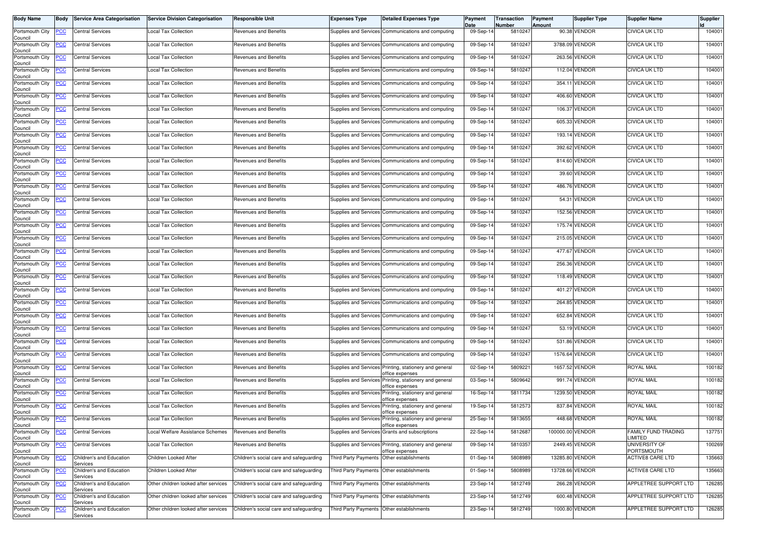| <b>Body Name</b>               | Body           | <b>Service Area Categorisation</b>   | <b>Service Division Categorisation</b> | <b>Responsible Unit</b>                 | <b>Expenses Type</b>                      | <b>Detailed Expenses Type</b>                                             | Payment<br>Date | Transaction<br>Number | Payment<br><b>Amount</b> | <b>Supplier Type</b> | <b>Supplier Name</b>                        | <b>Supplier</b> |
|--------------------------------|----------------|--------------------------------------|----------------------------------------|-----------------------------------------|-------------------------------------------|---------------------------------------------------------------------------|-----------------|-----------------------|--------------------------|----------------------|---------------------------------------------|-----------------|
| Portsmouth City<br>Council     | <b>PCC</b>     | <b>Central Services</b>              | <b>Local Tax Collection</b>            | Revenues and Benefits                   |                                           | Supplies and Services Communications and computing                        | 09-Sep-14       | 5810247               |                          | 90.38 VENDOR         | <b>CIVICA UK LTD</b>                        | 104001          |
| Portsmouth City<br>Council     | <b>PCC</b>     | <b>Central Services</b>              | <b>Local Tax Collection</b>            | Revenues and Benefits                   |                                           | Supplies and Services Communications and computing                        | 09-Sep-14       | 5810247               |                          | 3788.09 VENDOR       | <b>CIVICA UK LTD</b>                        | 104001          |
| Portsmouth City<br>Council     | <b>PCC</b>     | <b>Central Services</b>              | <b>Local Tax Collection</b>            | Revenues and Benefits                   |                                           | Supplies and Services Communications and computing                        | 09-Sep-14       | 5810247               |                          | 263.56 VENDOR        | <b>CIVICA UK LTD</b>                        | 104001          |
| Portsmouth City<br>Council     | <u>PCC</u>     | <b>Central Services</b>              | Local Tax Collection                   | Revenues and Benefits                   |                                           | Supplies and Services Communications and computing                        | 09-Sep-14       | 5810247               |                          | 112.04 VENDOR        | CIVICA UK LTD                               | 104001          |
| Portsmouth City<br>Council     | <b>PCC</b>     | <b>Central Services</b>              | <b>Local Tax Collection</b>            | Revenues and Benefits                   |                                           | Supplies and Services Communications and computing                        | 09-Sep-14       | 5810247               |                          | 354.11 VENDOR        | <b>CIVICA UK LTD</b>                        | 104001          |
| Portsmouth City<br>Council     | <b>PCC</b>     | <b>Central Services</b>              | <b>Local Tax Collection</b>            | Revenues and Benefits                   |                                           | Supplies and Services Communications and computing                        | 09-Sep-14       | 5810247               |                          | 406.60 VENDOR        | CIVICA UK LTD                               | 104001          |
| Portsmouth City<br>Council     | <u>PCC</u>     | <b>Central Services</b>              | Local Tax Collection                   | Revenues and Benefits                   |                                           | Supplies and Services Communications and computing                        | 09-Sep-14       | 5810247               |                          | 106.37 VENDOR        | CIVICA UK LTD                               | 104001          |
| Portsmouth City<br>Council     | <u>PCC</u>     | <b>Central Services</b>              | Local Tax Collection                   | Revenues and Benefits                   |                                           | Supplies and Services Communications and computing                        | 09-Sep-14       | 5810247               |                          | 605.33 VENDOR        | CIVICA UK LTD                               | 104001          |
| Portsmouth City<br>Council     | <b>PCC</b>     | <b>Central Services</b>              | <b>Local Tax Collection</b>            | Revenues and Benefits                   |                                           | Supplies and Services Communications and computing                        | 09-Sep-14       | 5810247               |                          | 193.14 VENDOR        | <b>CIVICA UK LTD</b>                        | 104001          |
| Portsmouth City<br>Council     | <u>PCC</u>     | <b>Central Services</b>              | Local Tax Collection                   | Revenues and Benefits                   |                                           | Supplies and Services Communications and computing                        | 09-Sep-1        | 5810247               |                          | 392.62 VENDOR        | <b>CIVICA UK LTD</b>                        | 104001          |
| Portsmouth City<br>Council     | <b>PCC</b>     | <b>Central Services</b>              | <b>Local Tax Collection</b>            | Revenues and Benefits                   |                                           | Supplies and Services Communications and computing                        | 09-Sep-14       | 5810247               |                          | 814.60 VENDOR        | <b>CIVICA UK LTD</b>                        | 104001          |
| Portsmouth City<br>Council     | <b>PCC</b>     | <b>Central Services</b>              | Local Tax Collection                   | Revenues and Benefits                   |                                           | Supplies and Services Communications and computing                        | 09-Sep-14       | 5810247               |                          | 39.60 VENDOR         | <b>CIVICA UK LTD</b>                        | 104001          |
| Portsmouth City<br>Council     | <u>PCC</u>     | <b>Central Services</b>              | <b>Local Tax Collection</b>            | Revenues and Benefits                   |                                           | Supplies and Services Communications and computing                        | 09-Sep-14       | 5810247               |                          | 486.76 VENDOR        | <b>CIVICA UK LTD</b>                        | 104001          |
| Portsmouth City<br>Council     | <b>PCC</b>     | <b>Central Services</b>              | <b>Local Tax Collection</b>            | Revenues and Benefits                   |                                           | Supplies and Services Communications and computing                        | 09-Sep-14       | 5810247               |                          | 54.31 VENDOR         | CIVICA UK LTD                               | 104001          |
| Portsmouth City<br>Council     | <b>PCC</b>     | <b>Central Services</b>              | <b>Local Tax Collection</b>            | Revenues and Benefits                   |                                           | Supplies and Services Communications and computing                        | 09-Sep-14       | 5810247               |                          | 152.56 VENDOR        | <b>CIVICA UK LTD</b>                        | 104001          |
| Portsmouth City<br>Council     | <b>PCC</b>     | <b>Central Services</b>              | <b>Local Tax Collection</b>            | Revenues and Benefits                   |                                           | Supplies and Services Communications and computing                        | 09-Sep-14       | 5810247               |                          | 175.74 VENDOR        | <b>CIVICA UK LTD</b>                        | 104001          |
| Portsmouth City<br>Council     | <u>PCC</u>     | <b>Central Services</b>              | <b>Local Tax Collection</b>            | Revenues and Benefits                   |                                           | Supplies and Services Communications and computing                        | 09-Sep-14       | 5810247               |                          | 215.05 VENDOR        | CIVICA UK LTD                               | 104001          |
| Portsmouth City<br>Council     | <b>PCC</b>     | <b>Central Services</b>              | Local Tax Collection                   | Revenues and Benefits                   |                                           | Supplies and Services Communications and computing                        | 09-Sep-14       | 5810247               |                          | 477.67 VENDOR        | <b>CIVICA UK LTD</b>                        | 104001          |
| Portsmouth City<br>Council     | <u>PCC</u>     | <b>Central Services</b>              | <b>Local Tax Collection</b>            | Revenues and Benefits                   |                                           | Supplies and Services Communications and computing                        | 09-Sep-14       | 5810247               |                          | 256.36 VENDOR        | CIVICA UK LTD                               | 104001          |
| Portsmouth City<br>Council     | <b>PCC</b>     | <b>Central Services</b>              | ocal Tax Collection                    | Revenues and Benefits                   |                                           | Supplies and Services Communications and computing                        | 09-Sep-14       | 5810247               |                          | 118.49 VENDOR        | <b>CIVICA UK LTD</b>                        | 104001          |
| Portsmouth City<br>Council     | $\overline{C}$ | <b>Central Services</b>              | Local Tax Collection                   | Revenues and Benefits                   |                                           | Supplies and Services Communications and computing                        | 09-Sep-14       | 5810247               |                          | 401.27 VENDOR        | CIVICA UK LTD                               | 104001          |
| Portsmouth City<br>Council     | <b>PCC</b>     | <b>Central Services</b>              | <b>Local Tax Collection</b>            | Revenues and Benefits                   |                                           | Supplies and Services Communications and computing                        | 09-Sep-14       | 5810247               |                          | 264.85 VENDOR        | <b>CIVICA UK LTD</b>                        | 104001          |
| Portsmouth City<br>Council     | <u>PCC</u>     | <b>Central Services</b>              | <b>Local Tax Collection</b>            | Revenues and Benefits                   |                                           | Supplies and Services Communications and computing                        | 09-Sep-14       | 5810247               |                          | 652.84 VENDOR        | CIVICA UK LTD                               | 104001          |
| Portsmouth City<br>Council     | <b>PCC</b>     | <b>Central Services</b>              | <b>Local Tax Collection</b>            | Revenues and Benefits                   |                                           | Supplies and Services Communications and computing                        | 09-Sep-14       | 5810247               |                          | 53.19 VENDOR         | <b>CIVICA UK LTD</b>                        | 104001          |
| Portsmouth City<br>Council     | <b>PCC</b>     | <b>Central Services</b>              | Local Tax Collection                   | Revenues and Benefits                   |                                           | Supplies and Services Communications and computing                        | 09-Sep-14       | 5810247               |                          | 531.86 VENDOR        | <b>CIVICA UK LTD</b>                        | 104001          |
| Portsmouth City<br>Council     | <b>PCC</b>     | <b>Central Services</b>              | Local Tax Collection                   | Revenues and Benefits                   |                                           | Supplies and Services Communications and computing                        | 09-Sep-14       | 5810247               |                          | 1576.64 VENDOR       | <b>CIVICA UK LTD</b>                        | 104001          |
| Portsmouth City<br>Council     | <b>PCC</b>     | <b>Central Services</b>              | Local Tax Collection                   | Revenues and Benefits                   |                                           | Supplies and Services Printing, stationery and general<br>office expenses | 02-Sep-14       | 5809221               |                          | 1657.52 VENDOR       | ROYAL MAIL                                  | 100182          |
| Portsmouth City<br>Council     | <b>PCC</b>     | <b>Central Services</b>              | <b>Local Tax Collection</b>            | Revenues and Benefits                   |                                           | Supplies and Services Printing, stationery and general<br>office expenses | 03-Sep-14       | 5809642               |                          | 991.74 VENDOR        | ROYAL MAIL                                  | 100182          |
| Portsmouth City<br>Council     | <b>PCC</b>     | <b>Central Services</b>              | Local Tax Collection                   | Revenues and Benefits                   |                                           | Supplies and Services Printing, stationery and general<br>office expenses | 16-Sep-14       | 5811734               |                          | 1239.50 VENDOR       | ROYAL MAIL                                  | 100182          |
| Portsmouth City<br>Council     | <b>PCC</b>     | <b>Central Services</b>              | Local Tax Collection                   | Revenues and Benefits                   |                                           | Supplies and Services Printing, stationery and general<br>office expenses | 19-Sep-14       | 5812573               |                          | 837.84 VENDOR        | <b>ROYAL MAIL</b>                           | 100182          |
| Portsmouth City PCC<br>Council |                | <b>Central Services</b>              | <b>Local Tax Collection</b>            | Revenues and Benefits                   |                                           | Supplies and Services Printing, stationery and general<br>office expenses | 25-Sep-14       | 5813655               |                          | 448.68 VENDOR        | <b>ROYAL MAIL</b>                           | 100182          |
| Portsmouth City<br>Council     | <u>PCC</u>     | <b>Central Services</b>              | Local Welfare Assistance Schemes       | Revenues and Benefits                   |                                           | Supplies and Services Grants and subscriptions                            | 22-Sep-14       | 5812687               | 100000.00 VENDOR         |                      | <b>FAMILY FUND TRADING</b><br><b>IMITED</b> | 137751          |
| Portsmouth City<br>Council     | <b>PCC</b>     | <b>Central Services</b>              | Local Tax Collection                   | Revenues and Benefits                   |                                           | Supplies and Services Printing, stationery and general<br>office expenses | 09-Sep-14       | 5810357               |                          | 2449.45 VENDOR       | UNIVERSITY OF<br>PORTSMOUTH                 | 100269          |
| Portsmouth City<br>Council     | <b>PCC</b>     | Children's and Education<br>Services | Children Looked After                  | Children's social care and safeguarding |                                           | Third Party Payments Other establishments                                 | 01-Sep-14       | 5808989               |                          | 13285.80 VENDOR      | <b>ACTIVE8 CARE LTD</b>                     | 135663          |
| Portsmouth City<br>Council     | PCC            | Children's and Education<br>Services | Children Looked After                  | Children's social care and safeguarding | Third Party Payments Other establishments |                                                                           | 01-Sep-14       | 5808989               |                          | 13728.66 VENDOR      | <b>ACTIVE8 CARE LTD</b>                     | 135663          |
| Portsmouth City<br>Council     | <u>PCC</u>     | Children's and Education<br>Services | Other children looked after services   | Children's social care and safeguarding | Third Party Payments                      | Other establishments                                                      | 23-Sep-14       | 5812749               |                          | 266.28 VENDOR        | APPLETREE SUPPORT LTD                       | 126285          |
| Portsmouth City<br>Council     | <b>PCC</b>     | Children's and Education<br>Services | Other children looked after services   | Children's social care and safeguarding | Third Party Payments                      | Other establishments                                                      | 23-Sep-14       | 5812749               |                          | 600.48 VENDOR        | APPLETREE SUPPORT LTD                       | 126285          |
| Portsmouth City<br>Council     | <u>PCC</u>     | Children's and Education<br>Services | Other children looked after services   | Children's social care and safeguarding | Third Party Payments Other establishments |                                                                           | 23-Sep-14       | 5812749               |                          | 1000.80 VENDOR       | APPLETREE SUPPORT LTD                       | 126285          |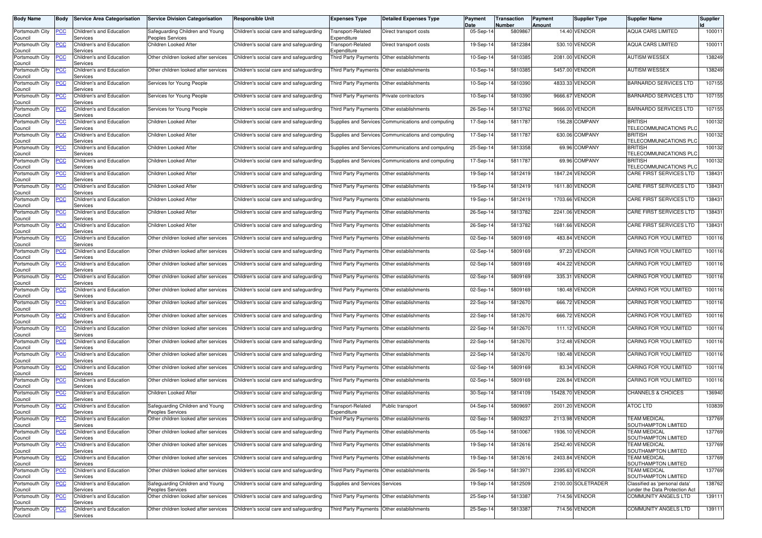| <b>Body Name</b>                      | Body       | <b>Service Area Categorisation</b>   | <b>Service Division Categorisation</b>              | Responsible Unit                        | <b>Expenses Type</b>                      | <b>Detailed Expenses Type</b>                      | Payment<br>Date | Transaction<br>Number | Payment<br>Amount | <b>Supplier Type</b> | <b>Supplier Name</b>                                           | <b>Supplier</b> |
|---------------------------------------|------------|--------------------------------------|-----------------------------------------------------|-----------------------------------------|-------------------------------------------|----------------------------------------------------|-----------------|-----------------------|-------------------|----------------------|----------------------------------------------------------------|-----------------|
| Portsmouth City<br>Council            | PСC        | Children's and Education<br>Services | Safeguarding Children and Young<br>Peoples Services | Children's social care and safeguarding | Transport-Related<br>Expenditure          | Direct transport costs                             | 05-Sep-14       | 580986                |                   | 14.40 VENDOR         | <b>AQUA CARS LIMITED</b>                                       | 100011          |
| Portsmouth City<br>Council            | <u>PCC</u> | Children's and Education<br>Services | Children Looked After                               | Children's social care and safeguarding | Transport-Related<br>Expenditure          | Direct transport costs                             | 19-Sep-14       | 5812384               |                   | 530.10 VENDOR        | <b>AQUA CARS LIMITED</b>                                       | 100011          |
| Portsmouth City                       | ∍сс        | Children's and Education<br>Services | Other children looked after services                | Children's social care and safeguarding |                                           | Third Party Payments Other establishments          | 10-Sep-14       | 5810385               |                   | 2081.00 VENDOR       | <b>AUTISM WESSEX</b>                                           | 138249          |
| Council<br>Portsmouth City            | <u>PCC</u> | Children's and Education<br>Services | Other children looked after services                | Children's social care and safeguarding | Third Party Payments                      | Other establishments                               | 10-Sep-14       | 5810385               |                   | 5457.00 VENDOR       | <b>AUTISM WESSEX</b>                                           | 138249          |
| Council<br>Portsmouth City<br>Council | <u>PCC</u> | Children's and Education<br>Services | Services for Young People                           | Children's social care and safeguarding | Third Party Payments                      | Other establishments                               | 10-Sep-14       | 5810390               |                   | 4833.33 VENDOR       | <b>BARNARDO SERVICES LTD</b>                                   | 107155          |
| Portsmouth City<br>Council            | <u>PCC</u> | Children's and Education<br>Services | Services for Young People                           | Children's social care and safeguarding | Third Party Payments Private contractors  |                                                    | 10-Sep-14       | 5810390               |                   | 9666.67 VENDOR       | <b>BARNARDO SERVICES LTD</b>                                   | 107155          |
| Portsmouth City<br>Council            | PСC        | Children's and Education<br>Services | Services for Young People                           | Children's social care and safeguarding | Third Party Payments                      | Other establishments                               | 26-Sep-1        | 5813762               |                   | 9666.00 VENDOR       | <b>BARNARDO SERVICES LTD</b>                                   | 107155          |
| Portsmouth City<br>Council            | <u>PCC</u> | Children's and Education<br>Services | Children Looked After                               | Children's social care and safeguarding |                                           | Supplies and Services Communications and computing | 17-Sep-14       | 581178                |                   | 156.28 COMPANY       | <b>BRITISH</b><br>TELECOMMUNICATIONS PLO                       | 100132          |
| Portsmouth City<br>Council            | ۲CC        | Children's and Education<br>Services | Children Looked After                               | Children's social care and safeguarding |                                           | Supplies and Services Communications and computing | 17-Sep-14       | 5811787               |                   | 630.06 COMPANY       | <b>BRITISH</b><br>TELECOMMUNICATIONS PLO                       | 100132          |
| Portsmouth City<br>Council            | PСC        | Children's and Education<br>Services | Children Looked After                               | Children's social care and safeguarding |                                           | Supplies and Services Communications and computing | 25-Sep-14       | 5813358               |                   | 69.96 COMPANY        | <b>BRITISH</b><br>TELECOMMUNICATIONS PLO                       | 100132          |
| Portsmouth City<br>Council            | ∍сс        | Children's and Education<br>Services | Children Looked After                               | Children's social care and safeguarding |                                           | Supplies and Services Communications and computing | 17-Sep-14       | 5811787               |                   | 69.96 COMPANY        | <b>BRITISH</b><br><b><i>FELECOMMUNICATIONS PLO</i></b>         | 100132          |
| Portsmouth City<br>Council            | ∍сс        | Children's and Education<br>Services | Children Looked After                               | Children's social care and safeguarding |                                           | Third Party Payments Other establishments          | 19-Sep-14       | 5812419               |                   | 1847.24 VENDOR       | CARE FIRST SERVICES LTD                                        | 138431          |
| Portsmouth City<br>Council            | PСC        | Children's and Education<br>Services | Children Looked After                               | Children's social care and safeguarding |                                           | Third Party Payments   Other establishments        | 19-Sep-14       | 5812419               |                   | 1611.80 VENDOR       | CARE FIRST SERVICES LTD                                        | 138431          |
| Portsmouth City<br>Council            | ۲CC        | Children's and Education<br>Services | Children Looked After                               | Children's social care and safeguarding |                                           | Third Party Payments Other establishments          | 19-Sep-14       | 5812419               |                   | 1703.66 VENDOR       | CARE FIRST SERVICES LTD                                        | 138431          |
| Portsmouth City<br>Council            | PСC        | Children's and Education<br>Services | Children Looked After                               | Children's social care and safeguarding |                                           | Third Party Payments Other establishments          | 26-Sep-14       | 5813782               |                   | 2241.06 VENDOR       | CARE FIRST SERVICES LTD                                        | 138431          |
| Portsmouth City<br>Council            | PСC        | Children's and Education<br>Services | Children Looked After                               | Children's social care and safeguarding | Third Party Payments Other establishments |                                                    | 26-Sep-14       | 5813782               |                   | 1681.66 VENDOR       | CARE FIRST SERVICES LTD                                        | 138431          |
| Portsmouth City<br>Council            | <u>PCC</u> | Children's and Education<br>Services | Other children looked after services                | Children's social care and safeguarding | Third Party Payments                      | Other establishments                               | 02-Sep-14       | 5809169               |                   | 483.84 VENDOR        | CARING FOR YOU LIMITED                                         | 100116          |
| Portsmouth City<br>Council            | <b>PCC</b> | Children's and Education<br>Services | Other children looked after services                | Children's social care and safeguarding |                                           | Third Party Payments Other establishments          | 02-Sep-14       | 5809169               |                   | 97.23 VENDOR         | CARING FOR YOU LIMITED                                         | 100116          |
| Portsmouth City<br>Council            | <u>PCC</u> | Children's and Education<br>Services | Other children looked after services                | Children's social care and safeguarding |                                           | Third Party Payments Other establishments          | 02-Sep-14       | 5809169               |                   | 404.22 VENDOR        | CARING FOR YOU LIMITED                                         | 100116          |
| Portsmouth City<br>Council            | PСC        | Children's and Education<br>Services | Other children looked after services                | Children's social care and safeguarding | Third Party Payments                      | Other establishments                               | 02-Sep-1        | 5809169               |                   | 335.31 VENDOR        | CARING FOR YOU LIMITED                                         | 100116          |
| Portsmouth City<br>Council            | PСC        | Children's and Education<br>Services | Other children looked after services                | Children's social care and safeguarding | <b>Third Party Payments</b>               | Other establishments                               | 02-Sep-14       | 5809169               |                   | 180.48 VENDOR        | CARING FOR YOU LIMITED                                         | 100116          |
| Portsmouth City<br>Council            | ۲CC        | Children's and Education<br>Services | Other children looked after services                | Children's social care and safeguarding |                                           | Third Party Payments Other establishments          | 22-Sep-14       | 581267                |                   | 666.72 VENDOR        | CARING FOR YOU LIMITED                                         | 100116          |
| Portsmouth City<br>Council            | <u>PCC</u> | Children's and Education<br>Services | Other children looked after services                | Children's social care and safeguarding |                                           | Third Party Payments Other establishments          | 22-Sep-14       | 5812670               |                   | 666.72 VENDOR        | CARING FOR YOU LIMITED                                         | 100116          |
| Portsmouth City<br>Council            | ∍сс        | Children's and Education<br>Services | Other children looked after services                | Children's social care and safeguarding |                                           | Third Party Payments Other establishments          | 22-Sep-14       | 581267                |                   | 111.12 VENDOR        | CARING FOR YOU LIMITED                                         | 100116          |
| Portsmouth City<br>Council            | PСC        | Children's and Education<br>Services | Other children looked after services                | Children's social care and safeguarding |                                           | Third Party Payments Other establishments          | 22-Sep-14       | 5812670               |                   | 312.48 VENDOR        | CARING FOR YOU LIMITED                                         | 100116          |
| Portsmouth City<br>Council            | ∙сс        | Children's and Education<br>Services | Other children looked after services                | Children's social care and safeguarding |                                           | Third Party Payments Other establishments          | 22-Sep-14       | 581267                |                   | 180.48 VENDOR        | CARING FOR YOU LIMITED                                         | 100116          |
| Portsmouth City<br>Council            | <u>PCC</u> | Children's and Education<br>Services | Other children looked after services                | Children's social care and safeguarding |                                           | Third Party Payments Other establishments          | 02-Sep-14       | 5809169               |                   | 83.34 VENDOR         | CARING FOR YOU LIMITED                                         | 100116          |
| Portsmouth City<br>Council            | ∍CC        | Children's and Education<br>Services | Other children looked after services                | Children's social care and safeguarding |                                           | Third Party Payments   Other establishments        | 02-Sep-14       | 5809169               |                   | 226.84 VENDOR        | CARING FOR YOU LIMITED                                         | 100116          |
| Portsmouth City<br>Council            | <u>PCC</u> | Children's and Education<br>Services | Children Looked After                               | Children's social care and safeguarding |                                           | Third Party Payments Other establishments          | 30-Sep-14       | 5814109               |                   | 15428.70 VENDOR      | <b>CHANNELS &amp; CHOICES</b>                                  | 136940          |
| Portsmouth City<br>Council            | <u>CC</u>  | Children's and Education<br>Services | Safeguarding Children and Young<br>Peoples Services | Children's social care and safeguarding | ransport-Related<br>Expenditure           | Public transport                                   | 04-Sep-14       | 5809697               |                   | 2001.20 VENDOR       | <b>ATOC LTD</b>                                                | 103839          |
| Portsmouth City<br>Council            | <b>PCC</b> | Children's and Education<br>Services | Other children looked after services                | Children's social care and safeguarding | Third Party Payments Other establishments |                                                    | 02-Sep-14       | 5809237               |                   | 2113.98 VENDOR       | <b>TEAM MEDICAL</b><br>SOUTHAMPTON LIMITED                     | 137769          |
| Portsmouth City<br>Council            | PСC        | Children's and Education<br>Services | Other children looked after services                | Children's social care and safeguarding | Third Party Payments Other establishments |                                                    | 05-Sep-14       | 5810067               |                   | 1936.10 VENDOR       | <b>TEAM MEDICAL</b><br>SOUTHAMPTON LIMITED                     | 137769          |
| Portsmouth City<br>Council            | <u>PCC</u> | Children's and Education<br>Services | Other children looked after services                | Children's social care and safeguarding |                                           | Third Party Payments Other establishments          | 19-Sep-14       | 5812616               |                   | 2542.40 VENDOR       | <b>TEAM MEDICAL</b><br>SOUTHAMPTON LIMITED                     | 137769          |
| Portsmouth City<br>Council            | PСC        | Children's and Education<br>Services | Other children looked after services                | Children's social care and safeguarding |                                           | Third Party Payments Other establishments          | 19-Sep-14       | 5812616               |                   | 2403.84 VENDOR       | <b>TEAM MEDICAL</b><br>SOUTHAMPTON LIMITED                     | 137769          |
| Portsmouth City<br>Council            | <u>PCC</u> | Children's and Education<br>Services | Other children looked after services                | Children's social care and safeguarding |                                           | Third Party Payments Other establishments          | 26-Sep-14       | 5813971               |                   | 2395.63 VENDOR       | <b><i>TEAM MEDICAL</i></b><br>SOUTHAMPTON LIMITED              | 137769          |
| Portsmouth City<br>Council            | <u>PCC</u> | Children's and Education<br>Services | Safeguarding Children and Young<br>Peoples Services | Children's social care and safeguarding | Supplies and Services Services            |                                                    | 19-Sep-14       | 5812509               |                   | 2100.00 SOLETRADER   | Classified as 'personal data'<br>under the Data Protection Act | 138762          |
| Portsmouth City<br>Council            | PСC        | Children's and Education<br>Services | Other children looked after services                | Children's social care and safeguarding |                                           | Third Party Payments Other establishments          | 25-Sep-14       | 5813387               |                   | 714.56 VENDOR        | COMMUNITY ANGELS LTD                                           | 139111          |
| Portsmouth City<br>Council            | <u>PCC</u> | Children's and Education<br>Services | Other children looked after services                | Children's social care and safeguarding |                                           | Third Party Payments Other establishments          | 25-Sep-14       | 5813387               |                   | 714.56 VENDOR        | <b>COMMUNITY ANGELS LTD</b>                                    | 139111          |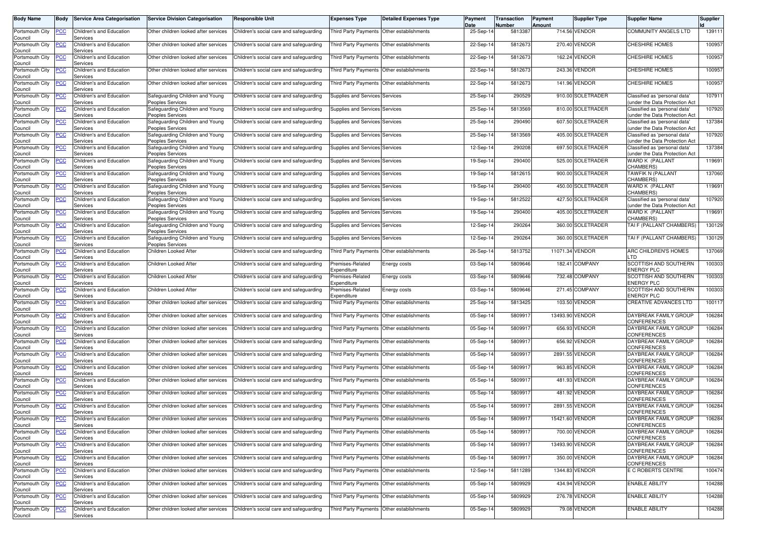| <b>Body Name</b>                      | <b>Body</b> | Service Area Categorisation                      | <b>Service Division Categorisation</b>                                  | Responsible Unit                        | <b>Expenses Type</b>                      | <b>Detailed Expenses Type</b>             | Payment<br>Date | Transaction<br><b>Number</b> | Payment<br>Amount | <b>Supplier Type</b> | <b>Supplier Name</b>                                            | Supplier |
|---------------------------------------|-------------|--------------------------------------------------|-------------------------------------------------------------------------|-----------------------------------------|-------------------------------------------|-------------------------------------------|-----------------|------------------------------|-------------------|----------------------|-----------------------------------------------------------------|----------|
| Portsmouth City<br>Council            | PСC         | Children's and Education<br>Services             | Other children looked after services                                    | Children's social care and safeguarding |                                           | Third Party Payments Other establishments | 25-Sep-14       | 5813387                      |                   | 714.56 VENDOR        | COMMUNITY ANGELS LTD                                            | 139111   |
| Portsmouth City<br>Council            | PCC         | Children's and Education<br>Services             | Other children looked after services                                    | Children's social care and safeguarding |                                           | Third Party Payments Other establishments | 22-Sep-1        | 5812673                      |                   | 270.40 VENDOR        | <b>CHESHIRE HOMES</b>                                           | 100957   |
| Portsmouth City<br>Council            | PСC         | Children's and Education<br>Services             | Other children looked after services                                    | Children's social care and safeguarding | Third Party Payments Other establishments |                                           | 22-Sep-14       | 5812673                      |                   | 162.24 VENDOR        | <b>CHESHIRE HOMES</b>                                           | 100957   |
| Portsmouth City<br>Council            | <u>PCC</u>  | Children's and Education<br>Services             | Other children looked after services                                    | Children's social care and safeguarding | Third Party Payments                      | Other establishments                      | 22-Sep-14       | 5812673                      |                   | 243.36 VENDOR        | <b>CHESHIRE HOMES</b>                                           | 100957   |
| Portsmouth City<br>Council            | PСC         | Children's and Education<br>Services             | Other children looked after services                                    | Children's social care and safeguarding |                                           | Third Party Payments Other establishments | 22-Sep-14       | 5812673                      |                   | 141.96 VENDOR        | CHESHIRE HOMES                                                  | 100957   |
| Portsmouth City<br>Council            | <u>PCC</u>  | Children's and Education<br>Services             | Safeguarding Children and Young<br>Peoples Services                     | Children's social care and safeguarding | Supplies and Services Services            |                                           | 25-Sep-14       | 290529                       |                   | 910.00 SOLETRADER    | Classified as 'personal data'<br>under the Data Protection Act  | 107911   |
| Portsmouth City<br>Council            | ∍CC         | Children's and Education<br>Services             | Safeguarding Children and Young<br>Peoples Services                     | Children's social care and safeguarding | Supplies and Services Services            |                                           | 25-Sep-14       | 5813569                      |                   | 810.00 SOLETRADER    | Classified as 'personal data'<br>under the Data Protection Act  | 107920   |
| Portsmouth City<br>Council            | <u>PCC</u>  | Children's and Education<br>Services             | Safequarding Children and Young<br>Peoples Services                     | Children's social care and safeguarding | <b>Supplies and Services Services</b>     |                                           | 25-Sep-14       | 290490                       |                   | 607.50 SOLETRADER    | Classified as 'personal data'<br>under the Data Protection Act  | 137384   |
| Portsmouth City<br>Council            | PСC         | Children's and Education<br>Services             | Safeguarding Children and Young<br>Peoples Services                     | Children's social care and safeguarding | Supplies and Services Services            |                                           | 25-Sep-14       | 5813569                      |                   | 405.00 SOLETRADER    | Classified as 'personal data'<br>under the Data Protection Act  | 107920   |
| Portsmouth City<br>Council            | <u>PCC</u>  | Children's and Education<br>Services             | Safeguarding Children and Young<br>Peoples Services                     | Children's social care and safeguarding | Supplies and Services Services            |                                           | 12-Sep-14       | 290208                       |                   | 697.50 SOLETRADER    | Classified as 'personal data'<br>under the Data Protection Act  | 137384   |
| Portsmouth City<br>Council            | PСC         | Children's and Education<br>Services             | Safeguarding Children and Young<br>Peoples Services                     | Children's social care and safeguarding | Supplies and Services Services            |                                           | 19-Sep-14       | 290400                       |                   | 525.00 SOLETRADER    | WARD K (PALLANT<br>CHAMBERS)                                    | 119691   |
| Portsmouth City<br>Council            | PСC         | Children's and Education<br>Services             | Safeguarding Children and Young<br>Peoples Services                     | Children's social care and safeguarding | <b>Supplies and Services Services</b>     |                                           | 19-Sep-14       | 5812615                      |                   | 900.00 SOLETRADER    | TAWFIK N (PALLANT<br>CHAMBERS)                                  | 137060   |
| Portsmouth City<br>Council            | <u>PCC</u>  | Children's and Education<br>Services             | Safeguarding Children and Young<br>Peoples Services                     | Children's social care and safeguarding | Supplies and Services Services            |                                           | 19-Sep-14       | 290400                       |                   | 450.00 SOLETRADER    | WARD K (PALLANT<br>CHAMBERS)                                    | 119691   |
| Portsmouth City<br>Council            | <u>PCC</u>  | Children's and Education<br>Services             | Safeguarding Children and Young<br>Peoples Services                     | Children's social care and safeguarding | Supplies and Services Services            |                                           | 19-Sep-14       | 5812522                      |                   | 427.50 SOLETRADER    | Classified as 'personal data'<br>(under the Data Protection Act | 107920   |
| Portsmouth City                       | <u>PCC</u>  | Children's and Education<br>Services             | Safeguarding Children and Young                                         | Children's social care and safeguarding | Supplies and Services Services            |                                           | 19-Sep-14       | 290400                       |                   | 405.00 SOLETRADER    | WARD K (PALLANT<br>CHAMBERS)                                    | 119691   |
| Council<br>Portsmouth City<br>Council | <u>PCC</u>  | Children's and Education                         | Peoples Services<br>Safeguarding Children and Young<br>Peoples Services | Children's social care and safeguarding | Supplies and Services Services            |                                           | 12-Sep-14       | 290264                       |                   | 360.00 SOLETRADER    | TAI F (PALLANT CHAMBERS)                                        | 130129   |
| Portsmouth City                       | <u>PCC</u>  | Services<br>Children's and Education<br>Services | Safeguarding Children and Young                                         | Children's social care and safeguarding | Supplies and Services Services            |                                           | 12-Sep-14       | 290264                       |                   | 360.00 SOLETRADER    | TAI F (PALLANT CHAMBERS)                                        | 130129   |
| Council<br>Portsmouth City            | <u>PCC</u>  | Children's and Education<br>Services             | Peoples Services<br>Children Looked After                               | Children's social care and safeguarding |                                           | Third Party Payments Other establishments | 26-Sep-14       | 5813752                      |                   | 11071.34 VENDOR      | ARC CHILDREN'S HOMES<br><b>TD</b>                               | 137069   |
| Council<br>Portsmouth City<br>Council | <u>PCC</u>  | Children's and Education<br>Services             | Children Looked After                                                   | Children's social care and safeguarding | Premises-Related<br>Expenditure           | Energy costs                              | 03-Sep-1        | 5809646                      | 182.41            | COMPANY              | <b>SCOTTISH AND SOUTHERN</b><br><b>ENERGY PLC</b>               | 100303   |
| Portsmouth City<br>Council            | PСC         | Children's and Education<br>Services             | Children Looked After                                                   | Children's social care and safeguarding | Premises-Related<br>Expenditure           | Energy costs                              | 03-Sep-14       | 5809646                      |                   | 732.48 COMPANY       | SCOTTISH AND SOUTHERN<br><b>ENERGY PLC</b>                      | 100303   |
| Portsmouth City                       | PСC         | Children's and Education<br>Services             | Children Looked After                                                   | Children's social care and safeguarding | Premises-Related                          | Energy costs                              | 03-Sep-14       | 5809646                      |                   | 271.45 COMPANY       | SCOTTISH AND SOUTHERN<br><b>ENERGY PLC</b>                      | 100303   |
| Council<br>Portsmouth City<br>Council | PСC         | Children's and Education<br>Services             | Other children looked after services                                    | Children's social care and safeguarding | Expenditure                               | Third Party Payments Other establishments | 25-Sep-14       | 5813425                      |                   | 103.50 VENDOR        | CREATIVE ADVANCES LTD                                           | 100117   |
| Portsmouth City<br>Council            | PCC         | Children's and Education<br>Services             | Other children looked after services                                    | Children's social care and safeguarding | Third Party Payments                      | Other establishments                      | 05-Sep-1        | 580991                       |                   | 13493.90 VENDOR      | DAYBREAK FAMILY GROUP<br>CONFERENCES                            | 106284   |
| Portsmouth City<br>Council            | PСC         | Children's and Education<br>Services             | Other children looked after services                                    | Children's social care and safeguarding |                                           | Third Party Payments Other establishments | 05-Sep-14       | 580991                       |                   | 656.93 VENDOR        | DAYBREAK FAMILY GROUP<br><b>CONFERENCES</b>                     | 106284   |
| Portsmouth City<br>Council            | ٥с          | Children's and Education<br>Services             | Other children looked after services                                    | Children's social care and safeguarding |                                           | Third Party Payments Other establishments | 05-Sep-14       | 580991                       |                   | 656.92 VENDOR        | DAYBREAK FAMILY GROUP<br><b>CONFERENCES</b>                     | 106284   |
| Portsmouth City<br>Council            | PСC         | Children's and Education<br>Services             | Other children looked after services                                    | Children's social care and safeguarding |                                           | Third Party Payments Other establishments | 05-Sep-14       | 5809917                      |                   | 2891.55 VENDOR       | DAYBREAK FAMILY GROUP<br><b>CONFERENCES</b>                     | 106284   |
| Portsmouth City<br>Council            | <u>PCC</u>  | Children's and Education<br>Services             | Other children looked after services                                    | Children's social care and safeguarding |                                           | Third Party Payments Other establishments | 05-Sep-14       | 5809917                      |                   | 963.85 VENDOR        | DAYBREAK FAMILY GROUP<br><b>CONFERENCES</b>                     | 106284   |
| Portsmouth City<br>Council            | PСC         | Children's and Education<br>Services             | Other children looked after services                                    | Children's social care and safeguarding | Third Party Payments                      | Other establishments                      | 05-Sep-14       | 580991                       |                   | 481.93 VENDOR        | DAYBREAK FAMILY GROUP<br>CONFERENCES                            | 106284   |
| Portsmouth City<br>Council            | <u>PCC</u>  | Children's and Education<br>Services             | Other children looked after services                                    | Children's social care and safeguarding | Third Party Payments                      | Other establishments                      | 05-Sep-14       | 580991                       |                   | 481.92 VENDOR        | DAYBREAK FAMILY GROUP<br><b>CONFERENCES</b>                     | 106284   |
| Portsmouth City<br>Council            | <u>PCC</u>  | Children's and Education<br>Services             | Other children looked after services                                    | Children's social care and safeguarding |                                           | Third Party Payments Other establishments | 05-Sep-14       | 5809917                      |                   | 2891.55 VENDOR       | DAYBREAK FAMILY GROUP<br><b>CONFERENCES</b>                     | 106284   |
| Portsmouth City<br>Council            | <b>PCC</b>  | Children's and Education<br>Services             | Other children looked after services                                    | Children's social care and safeguarding | Third Party Payments Other establishments |                                           | 05-Sep-14       | 5809917                      |                   | 15421.60 VENDOR      | DAYBREAK FAMILY GROUP<br><b>CONFERENCES</b>                     | 106284   |
| Portsmouth City<br>Council            | <u>PCC</u>  | Children's and Education<br>Services             | Other children looked after services                                    | Children's social care and safeguarding | Third Party Payments Other establishments |                                           | 05-Sep-14       | 580991                       |                   | 700.00 VENDOR        | DAYBREAK FAMILY GROUP<br><b>CONFERENCES</b>                     | 106284   |
| Portsmouth City<br>Council            | PCC         | Children's and Education<br>Services             | Other children looked after services                                    | Children's social care and safeguarding |                                           | Third Party Payments Other establishments | 05-Sep-14       | 5809917                      |                   | 13493.90 VENDOR      | DAYBREAK FAMILY GROUP<br>CONFERENCES                            | 106284   |
| Portsmouth City<br>Council            | <u>PCC</u>  | Children's and Education<br>Services             | Other children looked after services                                    | Children's social care and safeguarding |                                           | Third Party Payments Other establishments | 05-Sep-14       | 5809917                      |                   | 350.00 VENDOR        | DAYBREAK FAMILY GROUP<br>CONFERENCES                            | 106284   |
| Portsmouth City<br>Council            | PCC         | Children's and Education<br>Services             | Other children looked after services                                    | Children's social care and safeguarding | Third Party Payments Other establishments |                                           | 12-Sep-14       | 5811289                      |                   | 1344.83 VENDOR       | E C ROBERTS CENTRE                                              | 100474   |
| Portsmouth City<br>Council            | <u>PCC</u>  | Children's and Education<br>Services             | Other children looked after services                                    | Children's social care and safeguarding |                                           | Third Party Payments Other establishments | 05-Sep-14       | 5809929                      |                   | 434.94 VENDOR        | <b>ENABLE ABILITY</b>                                           | 104288   |
| Portsmouth City<br>Council            | PСC         | Children's and Education<br>Services             | Other children looked after services                                    | Children's social care and safeguarding |                                           | Third Party Payments Other establishments | 05-Sep-14       | 5809929                      |                   | 276.78 VENDOR        | <b>ENABLE ABILITY</b>                                           | 104288   |
| Portsmouth City<br>Council            | <u>PCC</u>  | Children's and Education<br>Services             | Other children looked after services                                    | Children's social care and safeguarding |                                           | Third Party Payments Other establishments | 05-Sep-14       | 5809929                      |                   | 79.08 VENDOR         | <b>ENABLE ABILITY</b>                                           | 104288   |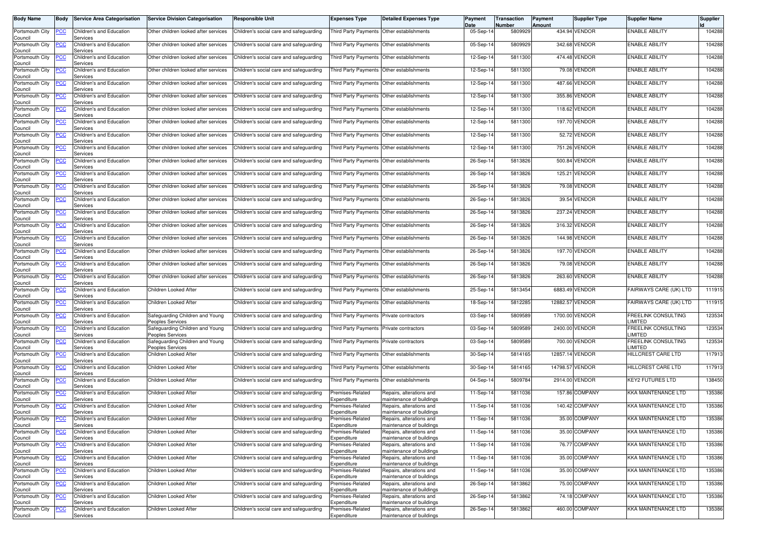| <b>Body Name</b>           | <b>Body</b> | <b>Service Area Categorisation</b>   | <b>Service Division Categorisation</b>              | <b>Responsible Unit</b>                 | <b>Expenses Type</b>                      | <b>Detailed Expenses Type</b>                        | Payment<br>Date | Transaction<br>Number | Payment<br><b>Amount</b> | <b>Supplier Type</b> | <b>Supplier Name</b>                        | <b>Supplier</b> |
|----------------------------|-------------|--------------------------------------|-----------------------------------------------------|-----------------------------------------|-------------------------------------------|------------------------------------------------------|-----------------|-----------------------|--------------------------|----------------------|---------------------------------------------|-----------------|
| Portsmouth City<br>Council | <b>PCC</b>  | Children's and Education<br>Services | Other children looked after services                | Children's social care and safeguarding | Third Party Payments Other establishments |                                                      | 05-Sep-14       | 5809929               |                          | 434.94 VENDOR        | <b>ENABLE ABILITY</b>                       | 104288          |
| Portsmouth City<br>Council | <u>PCC</u>  | Children's and Education<br>Services | Other children looked after services                | Children's social care and safeguarding | <b>Third Party Payments</b>               | Other establishments                                 | 05-Sep-14       | 5809929               |                          | 342.68 VENDOR        | <b>ENABLE ABILITY</b>                       | 104288          |
| Portsmouth City<br>Council | <b>PCC</b>  | Children's and Education<br>Services | Other children looked after services                | Children's social care and safeguarding | Third Party Payments                      | Other establishments                                 | 12-Sep-14       | 5811300               |                          | 474.48 VENDOR        | <b>ENABLE ABILITY</b>                       | 104288          |
| Portsmouth City<br>Council | <u>PCC</u>  | Children's and Education<br>Services | Other children looked after services                | Children's social care and safeguarding | <b>Third Party Payments</b>               | Other establishments                                 | 12-Sep-14       | 5811300               |                          | 79.08 VENDOR         | <b>ENABLE ABILITY</b>                       | 104288          |
| Portsmouth City<br>Council | <b>PCC</b>  | Children's and Education<br>Services | Other children looked after services                | Children's social care and safeguarding | Third Party Payments                      | Other establishments                                 | 12-Sep-14       | 5811300               |                          | 487.66 VENDOR        | <b>ENABLE ABILITY</b>                       | 104288          |
| Portsmouth City<br>Council | <b>PCC</b>  | Children's and Education<br>Services | Other children looked after services                | Children's social care and safeguarding | Third Party Payments                      | Other establishments                                 | 12-Sep-14       | 5811300               |                          | 355.86 VENDOR        | <b>ENABLE ABILITY</b>                       | 104288          |
| Portsmouth City<br>Council | <b>PCC</b>  | Children's and Education<br>Services | Other children looked after services                | Children's social care and safeguarding | Third Party Payments                      | Other establishments                                 | 12-Sep-14       | 5811300               |                          | 118.62 VENDOR        | <b>ENABLE ABILITY</b>                       | 104288          |
| Portsmouth City<br>Council | <b>CC</b>   | Children's and Education<br>Services | Other children looked after services                | Children's social care and safeguarding | <b>Third Party Payments</b>               | Other establishments                                 | 12-Sep-14       | 5811300               |                          | 197.70 VENDOR        | <b>ENABLE ABILITY</b>                       | 104288          |
| Portsmouth City<br>Council | <b>PCC</b>  | Children's and Education<br>Services | Other children looked after services                | Children's social care and safeguarding |                                           | Third Party Payments Other establishments            | 12-Sep-14       | 5811300               |                          | 52.72 VENDOR         | <b>ENABLE ABILITY</b>                       | 104288          |
| Portsmouth City<br>Council | PСC         | Children's and Education<br>Services | Other children looked after services                | Children's social care and safeguarding |                                           | Third Party Payments Other establishments            | 12-Sep-14       | 5811300               |                          | 751.26 VENDOR        | <b>ENABLE ABILITY</b>                       | 104288          |
| Portsmouth City<br>Council | PСC         | Children's and Education<br>Services | Other children looked after services                | Children's social care and safeguarding | <b>Third Party Payments</b>               | Other establishments                                 | 26-Sep-14       | 5813826               | 500.84                   | <b>VENDOR</b>        | <b>ENABLE ABILITY</b>                       | 104288          |
| Portsmouth City<br>Council | PCC         | Children's and Education<br>Services | Other children looked after services                | Children's social care and safeguarding |                                           | Third Party Payments Other establishments            | 26-Sep-14       | 5813826               |                          | 125.21 VENDOR        | <b>ENABLE ABILITY</b>                       | 104288          |
| Portsmouth City<br>Council | <b>PCC</b>  | Children's and Education<br>Services | Other children looked after services                | Children's social care and safeguarding |                                           | Third Party Payments Other establishments            | 26-Sep-14       | 5813826               |                          | 79.08 VENDOR         | <b>ENABLE ABILITY</b>                       | 104288          |
| Portsmouth City<br>Council | PСC         | Children's and Education<br>Services | Other children looked after services                | Children's social care and safeguarding | Third Party Payments Other establishments |                                                      | 26-Sep-14       | 5813826               |                          | 39.54 VENDOR         | <b>ENABLE ABILITY</b>                       | 104288          |
| Portsmouth City<br>Council | <b>PCC</b>  | Children's and Education<br>Services | Other children looked after services                | Children's social care and safeguarding | Third Party Payments Other establishments |                                                      | 26-Sep-14       | 5813826               |                          | 237.24 VENDOR        | <b>ENABLE ABILITY</b>                       | 104288          |
| Portsmouth City<br>Council | <u>PCC</u>  | Children's and Education<br>Services | Other children looked after services                | Children's social care and safeguarding | <b>Third Party Payments</b>               | Other establishments                                 | 26-Sep-14       | 5813826               |                          | 316.32 VENDOR        | <b>ENABLE ABILITY</b>                       | 104288          |
| Portsmouth City<br>Council | <b>PCC</b>  | Children's and Education<br>Services | Other children looked after services                | Children's social care and safeguarding |                                           | Third Party Payments Other establishments            | 26-Sep-14       | 5813826               |                          | 144.98 VENDOR        | <b>ENABLE ABILITY</b>                       | 104288          |
| Portsmouth City<br>Council | <b>PCC</b>  | Children's and Education<br>Services | Other children looked after services                | Children's social care and safeguarding |                                           | Third Party Payments   Other establishments          | 26-Sep-14       | 5813826               |                          | 197.70 VENDOR        | <b>ENABLE ABILITY</b>                       | 104288          |
| Portsmouth City<br>Council | <u>PCC</u>  | Children's and Education<br>Services | Other children looked after services                | Children's social care and safeguarding | <b>Third Party Payments</b>               | Other establishments                                 | 26-Sep-14       | 5813826               |                          | 79.08 VENDOR         | <b>ENABLE ABILITY</b>                       | 104288          |
| Portsmouth City<br>Council | <b>PCC</b>  | Children's and Education<br>Services | Other children looked after services                | Children's social care and safeguarding | Third Party Payments                      | Other establishments                                 | 26-Sep-14       | 5813826               |                          | 263.60 VENDOR        | <b>ENABLE ABILITY</b>                       | 104288          |
| Portsmouth City<br>Council | <b>PCC</b>  | Children's and Education<br>Services | Children Looked After                               | Children's social care and safeguarding |                                           | Third Party Payments Other establishments            | 25-Sep-14       | 5813454               |                          | 6883.49 VENDOR       | FAIRWAYS CARE (UK) LTD                      | 111915          |
| Portsmouth City<br>Council | PCC         | Children's and Education<br>Services | Children Looked After                               | Children's social care and safeguarding | Third Party Payments Other establishments |                                                      | 18-Sep-14       | 5812285               |                          | 12882.57 VENDOR      | FAIRWAYS CARE (UK) LTD                      | 111915          |
| Portsmouth City<br>Council | <b>PCC</b>  | Children's and Education<br>Services | Safeguarding Children and Young<br>Peoples Services | Children's social care and safeguarding | <b>Third Party Payments</b>               | Private contractors                                  | 03-Sep-14       | 5809589               |                          | 1700.00 VENDOR       | <b>FREELINK CONSULTING</b><br><b>IMITED</b> | 123534          |
| Portsmouth City<br>Council | PСC         | Children's and Education<br>Services | Safeguarding Children and Young<br>Peoples Services | Children's social care and safeguarding | <b>Third Party Payments</b>               | Private contractors                                  | 03-Sep-14       | 5809589               |                          | 2400.00 VENDOR       | FREELINK CONSULTING<br><b>IMITED</b>        | 123534          |
| Portsmouth City<br>Council | <u>PCC</u>  | Children's and Education<br>Services | Safeguarding Children and Young<br>Peoples Services | Children's social care and safeguarding | Third Party Payments                      | Private contractors                                  | 03-Sep-14       | 5809589               |                          | 700.00 VENDOR        | <b>FREELINK CONSULTING</b><br>LIMITED       | 123534          |
| Portsmouth City<br>Council | <b>PCC</b>  | Children's and Education<br>Services | Children Looked After                               | Children's social care and safeguarding |                                           | Third Party Payments Other establishments            | 30-Sep-14       | 5814165               |                          | 12857.14 VENDOR      | <b>HILLCREST CARE LTD</b>                   | 117913          |
| Portsmouth City<br>Council | <b>PCC</b>  | Children's and Education<br>Services | Children Looked After                               | Children's social care and safeguarding | Third Party Payments Other establishments |                                                      | 30-Sep-14       | 5814165               |                          | 14798.57 VENDOR      | HILLCREST CARE LTD                          | 117913          |
| Portsmouth City<br>Council | <u>PCC</u>  | Children's and Education<br>Services | Children Looked After                               | Children's social care and safeguarding | <b>Third Party Payments</b>               | Other establishments                                 | 04-Sep-14       | 5809784               |                          | 2914.00 VENDOR       | <b>KEY2 FUTURES LTD</b>                     | 138450          |
| Portsmouth City<br>Council | <u>PCC</u>  | Children's and Education<br>Services | Children Looked After                               | Children's social care and safeguarding | Premises-Related<br>Expenditure           | Repairs, alterations and<br>maintenance of buildings | 11-Sep-14       | 5811036               |                          | 157.86 COMPANY       | KKA MAINTENANCE LTD                         | 135386          |
| Portsmouth City<br>Council | <b>PCC</b>  | Children's and Education<br>Services | Children Looked After                               | Children's social care and safeguarding | remises-Related<br>Expenditure            | Repairs, alterations and<br>maintenance of buildings | 11-Sep-14       | 5811036               |                          | 140.42 COMPANY       | KKA MAINTENANCE LTD                         | 135386          |
| Portsmouth City<br>Council | <b>PCC</b>  | Children's and Education<br>Services | Children Looked After                               | Children's social care and safeguarding | Premises-Related<br>Expenditure           | Repairs, alterations and<br>maintenance of buildings | 11-Sep-14       | 5811036               |                          | 35.00 COMPANY        | KKA MAINTENANCE LTD                         | 135386          |
| Portsmouth City<br>Council | <u>PCC</u>  | Children's and Education<br>Services | Children Looked After                               | Children's social care and safeguarding | Premises-Related<br>Expenditure           | Repairs, alterations and<br>maintenance of buildings | 11-Sep-14       | 5811036               |                          | 35.00 COMPANY        | KKA MAINTENANCE LTD                         | 135386          |
| Portsmouth City<br>Council | сC          | Children's and Education<br>Services | Children Looked After                               | Children's social care and safeguarding | Premises-Related<br>Expenditure           | Repairs, alterations and<br>maintenance of buildings | 11-Sep-14       | 5811036               |                          | 76.77 COMPANY        | KKA MAINTENANCE LTD                         | 135386          |
| Portsmouth City<br>Council | <u>PCC</u>  | Children's and Education<br>Services | Children Looked After                               | Children's social care and safeguarding | Premises-Related<br>Expenditure           | Repairs, alterations and<br>maintenance of buildings | 11-Sep-14       | 5811036               |                          | 35.00 COMPANY        | KKA MAINTENANCE LTD                         | 135386          |
| Portsmouth City<br>Council | <u>PCC</u>  | Children's and Education<br>Services | Children Looked After                               | Children's social care and safeguarding | Premises-Related<br>Expenditure           | Repairs, alterations and<br>maintenance of buildings | 11-Sep-14       | 5811036               |                          | 35.00 COMPANY        | KKA MAINTENANCE LTD                         | 135386          |
| Portsmouth City<br>Council | <u>PCC</u>  | Children's and Education<br>Services | Children Looked After                               | Children's social care and safeguarding | Premises-Related<br>Expenditure           | Repairs, alterations and<br>maintenance of buildings | 26-Sep-14       | 5813862               |                          | 75.00 COMPANY        | KKA MAINTENANCE LTD                         | 135386          |
| Portsmouth City<br>Council | <u>PCC</u>  | Children's and Education<br>Services | Children Looked After                               | Children's social care and safeguarding | Premises-Related<br>Expenditure           | Repairs, alterations and<br>maintenance of buildings | 26-Sep-14       | 5813862               |                          | 74.18 COMPANY        | KKA MAINTENANCE LTD                         | 135386          |
| Portsmouth City<br>Council | <u>PCC</u>  | Children's and Education<br>Services | Children Looked After                               | Children's social care and safeguarding | Premises-Related<br>Expenditure           | Repairs, alterations and<br>maintenance of buildings | 26-Sep-14       | 5813862               |                          | 460.00 COMPANY       | KKA MAINTENANCE LTD                         | 135386          |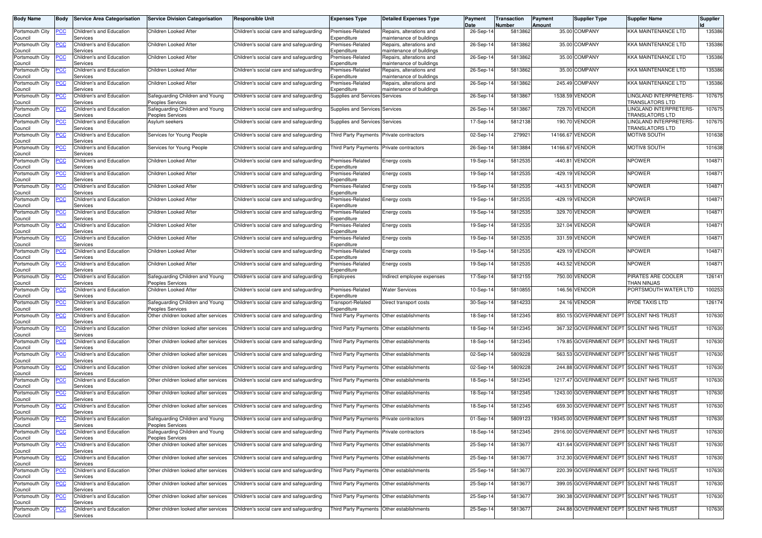| <b>Body Name</b>               | <b>Body</b> | <b>Service Area Categorisation</b>   | <b>Service Division Categorisation</b>                   | <b>Responsible Unit</b>                 | <b>Expenses Type</b>                          | <b>Detailed Expenses Type</b>                        | Payment<br>Date | Transaction<br>Number | <b>Payment</b><br>Amount | <b>Supplier Type</b>                     | <b>Supplier Name</b>                             | <b>Supplier</b> |
|--------------------------------|-------------|--------------------------------------|----------------------------------------------------------|-----------------------------------------|-----------------------------------------------|------------------------------------------------------|-----------------|-----------------------|--------------------------|------------------------------------------|--------------------------------------------------|-----------------|
| Portsmouth City                | <b>PCC</b>  | Children's and Education             | Children Looked After                                    | Children's social care and safeguarding | Premises-Related                              | Repairs, alterations and                             | 26-Sep-14       | 5813862               |                          | 35.00 COMPANY                            | <b>KKA MAINTENANCE LTD</b>                       | 135386          |
| Council<br>Portsmouth City     | <u>PCC</u>  | Services<br>Children's and Education | Children Looked After                                    | Children's social care and safeguarding | Expenditure<br>Premises-Related               | maintenance of buildings<br>Repairs, alterations and | 26-Sep-14       | 5813862               |                          | 35.00 COMPANY                            | KKA MAINTENANCE LTD                              | 135386          |
| Council                        |             | Services                             |                                                          |                                         | Expenditure                                   | maintenance of buildings                             |                 |                       |                          |                                          |                                                  |                 |
| Portsmouth City<br>Council     | PCC         | Children's and Education<br>Services | Children Looked After                                    | Children's social care and safeguarding | Premises-Related<br>Expenditure               | Repairs, alterations and<br>maintenance of buildings | 26-Sep-14       | 5813862               |                          | 35.00 COMPANY                            | <b>KKA MAINTENANCE LTD</b>                       | 135386          |
| Portsmouth City                | <b>PCC</b>  | Children's and Education             | Children Looked After                                    | Children's social care and safeguarding | Premises-Related                              | Repairs, alterations and                             | 26-Sep-14       | 5813862               |                          | 35.00 COMPANY                            | <b>KKA MAINTENANCE LTD</b>                       | 135386          |
| Council<br>Portsmouth City     | <b>PCC</b>  | Services<br>Children's and Education | Children Looked After                                    | Children's social care and safeguarding | Expenditure<br>Premises-Related               | maintenance of buildings<br>Repairs, alterations and | 26-Sep-14       | 5813862               |                          | 245.49 COMPANY                           | <b>KKA MAINTENANCE LTD</b>                       | 135386          |
| Council<br>Portsmouth City     | <u>'CC</u>  | Services<br>Children's and Education | Safeguarding Children and Young                          | Children's social care and safeguarding | Expenditure<br>Supplies and Services Services | maintenance of buildings                             | 26-Sep-14       | 5813867               |                          | 1538.59 VENDOR                           | LINGLAND INTERPRETERS-                           | 107675          |
| Council                        |             | Services                             | Peoples Services                                         |                                         |                                               |                                                      |                 |                       |                          |                                          | TRANSLATORS LTD                                  |                 |
| Portsmouth City<br>Council     | <b>PCC</b>  | Children's and Education<br>Services | Safeguarding Children and Young<br>Peoples Services      | Children's social care and safeguarding | <b>Supplies and Services Services</b>         |                                                      | 26-Sep-14       | 5813867               |                          | 729.70 VENDOR                            | LINGLAND INTERPRETERS-<br><b>TRANSLATORS LTD</b> | 107675          |
| Portsmouth City<br>Council     | ∍CC         | Children's and Education<br>Services | Asylum seekers                                           | Children's social care and safeguarding | Supplies and Services Services                |                                                      | 17-Sep-14       | 5812138               |                          | 190.70 VENDOR                            | LINGLAND INTERPRETERS-<br><b>TRANSLATORS LTD</b> | 107675          |
| Portsmouth City                | <b>PCC</b>  | Children's and Education             | Services for Young People                                | Children's social care and safeguarding | <b>Third Party Payments</b>                   | Private contractors                                  | 02-Sep-14       | 279921                | 14166.67 VENDOR          |                                          | MOTIV8 SOUTH                                     | 101638          |
| Council<br>Portsmouth City     | сC          | Services<br>Children's and Education | Services for Young People                                | Children's social care and safeguarding | Third Party Payments Private contractors      |                                                      | 26-Sep-14       | 5813884               | 14166.67 VENDOR          |                                          | MOTIV8 SOUTH                                     | 101638          |
| Council<br>Portsmouth City     | <b>PCC</b>  | Services<br>Children's and Education | Children Looked After                                    | Children's social care and safeguarding | Premises-Related                              | Energy costs                                         | 19-Sep-14       | 5812535               |                          | -440.81 VENDOR                           | <b>NPOWER</b>                                    | 104871          |
| Council                        |             | Services                             |                                                          |                                         | Expenditure                                   |                                                      |                 |                       |                          |                                          |                                                  |                 |
| Portsmouth City<br>Council     | <u>PCC</u>  | Children's and Education<br>Services | Children Looked After                                    | Children's social care and safeguarding | Premises-Related<br>Expenditure               | Energy costs                                         | 19-Sep-14       | 5812535               |                          | -429.19 VENDOR                           | <b>NPOWER</b>                                    | 104871          |
| Portsmouth City                | <b>PCC</b>  | Children's and Education<br>Services | Children Looked After                                    | Children's social care and safeguarding | Premises-Related<br>Expenditure               | Energy costs                                         | 19-Sep-14       | 5812535               |                          | -443.51 VENDOR                           | <b>NPOWER</b>                                    | 104871          |
| Council<br>Portsmouth City     | PCC         | Children's and Education             | Children Looked After                                    | Children's social care and safeguarding | Premises-Related                              | Energy costs                                         | 19-Sep-14       | 5812535               |                          | -429.19 VENDOR                           | <b>NPOWER</b>                                    | 104871          |
| Council<br>Portsmouth City     | <b>PCC</b>  | Services<br>Children's and Education | Children Looked After                                    | Children's social care and safeguarding | Expenditure<br>Premises-Related               | Energy costs                                         | 19-Sep-14       | 5812535               |                          | 329.70 VENDOR                            | <b>NPOWER</b>                                    | 104871          |
| Council                        |             | Services                             |                                                          |                                         | Expenditure                                   |                                                      |                 |                       |                          |                                          |                                                  |                 |
| Portsmouth City<br>Council     | ∍CC         | Children's and Education<br>Services | Children Looked After                                    | Children's social care and safeguarding | Premises-Related<br>Expenditure               | Energy costs                                         | 19-Sep-14       | 5812535               |                          | 321.04 VENDOR                            | <b>NPOWER</b>                                    | 104871          |
| Portsmouth City<br>Council     | <b>PCC</b>  | Children's and Education<br>Services | Children Looked After                                    | Children's social care and safeguarding | Premises-Related<br>Expenditure               | Energy costs                                         | 19-Sep-14       | 5812535               |                          | 331.59 VENDOR                            | <b>NPOWER</b>                                    | 104871          |
| Portsmouth City                | <u>PCC</u>  | Children's and Education             | Children Looked After                                    | Children's social care and safeguarding | Premises-Related                              | Energy costs                                         | 19-Sep-14       | 5812535               |                          | 429.19 VENDOR                            | <b>NPOWER</b>                                    | 104871          |
| Council<br>Portsmouth City     | <u>PCC</u>  | Services<br>Children's and Education | Children Looked After                                    | Children's social care and safeguarding | Expenditure<br>Premises-Related               | Energy costs                                         | 19-Sep-14       | 5812535               |                          | 443.52 VENDOR                            | <b>NPOWER</b>                                    | 104871          |
| Council<br>Portsmouth City     | <b>PCC</b>  | Services<br>Children's and Education | Safeguarding Children and Young                          | Children's social care and safeguarding | Expenditure<br>Employees                      | Indirect employee expenses                           | 17-Sep-14       | 5812155               |                          | 750.00 VENDOR                            | PIRATES ARE COOLER                               | 126141          |
| Council                        |             | Services                             | Peoples Services                                         |                                         |                                               |                                                      |                 |                       |                          |                                          | THAN NINJAS                                      |                 |
| Portsmouth City<br>Council     | PСC         | Children's and Education<br>Services | Children Looked After                                    | Children's social care and safeguarding | Premises-Related<br>Expenditure               | <b>Water Services</b>                                | 10-Sep-14       | 5810855               |                          | 146.56 VENDOR                            | PORTSMOUTH WATER LTD                             | 100253          |
| Portsmouth City<br>Council     | ∍сс         | Children's and Education<br>Services | Safeguarding Children and Young<br>Peoples Services      | Children's social care and safeguarding | <b>Transport-Related</b><br>Expenditure       | Direct transport costs                               | 30-Sep-14       | 5814233               |                          | 24.16 VENDOR                             | RYDE TAXIS LTD                                   | 126174          |
| Portsmouth City                | <b>PCC</b>  | Children's and Education             | Other children looked after services                     | Children's social care and safeguarding |                                               | Third Party Payments Other establishments            | 18-Sep-14       | 5812345               |                          | 850.15 GOVERNMENT DEPT SOLENT NHS TRUST  |                                                  | 107630          |
| Council<br>Portsmouth City     | <b>PCC</b>  | Services<br>Children's and Education | Other children looked after services                     | Children's social care and safeguarding |                                               | Third Party Payments Other establishments            | 18-Sep-14       | 5812345               |                          |                                          | 367.32 GOVERNMENT DEPT SOLENT NHS TRUST          | 107630          |
| Council<br>Portsmouth City     |             | Services<br>Children's and Education |                                                          |                                         |                                               | Other establishments                                 | 18-Sep-14       | 5812345               |                          | 179.85 GOVERNMENT DEPT SOLENT NHS TRUST  |                                                  | 107630          |
| Council                        | PСC         | Services                             | Other children looked after services                     | Children's social care and safeguarding | Third Party Payments                          |                                                      |                 |                       |                          |                                          |                                                  |                 |
| Portsmouth City<br>Council     | PCC         | Children's and Education<br>Services | Other children looked after services                     | Children's social care and safeguarding |                                               | Third Party Payments Other establishments            | 02-Sep-14       | 5809228               |                          | 563.53 GOVERNMENT DEPT SOLENT NHS TRUST  |                                                  | 107630          |
| Portsmouth City                | <u>PCC</u>  | Children's and Education             | Other children looked after services                     | Children's social care and safeguarding |                                               | Third Party Payments Other establishments            | 02-Sep-14       | 5809228               |                          | 244.88 GOVERNMENT DEPT SOLENT NHS TRUST  |                                                  | 107630          |
| Council<br>Portsmouth City     | <b>PCC</b>  | Services<br>Children's and Education | Other children looked after services                     | Children's social care and safeguarding |                                               | Third Party Payments Other establishments            | 18-Sep-14       | 5812345               |                          | 1217.47 GOVERNMENT DEPT SOLENT NHS TRUST |                                                  | 107630          |
| Council<br>Portsmouth City     | ∍CC         | Services<br>Children's and Education | Other children looked after services                     | Children's social care and safeguarding | Third Party Payments                          | Other establishments                                 | 18-Sep-14       | 5812345               |                          |                                          | 1243.00 GOVERNMENT DEPT SOLENT NHS TRUST         | 107630          |
| Council                        |             | Services                             |                                                          |                                         |                                               |                                                      |                 |                       |                          |                                          |                                                  |                 |
| Portsmouth City<br>Council     | <b>PCC</b>  | Children's and Education<br>Services | Other children looked after services                     | Children's social care and safeguarding |                                               | Third Party Payments Other establishments            | 18-Sep-14       | 5812345               |                          | 659.30 GOVERNMENT DEPT SOLENT NHS TRUST  |                                                  | 107630          |
| Portsmouth City PCC<br>Council |             | Children's and Education<br>Services | Safeguarding Children and Young<br>Peoples Services      | Children's social care and safeguarding | Third Party Payments Private contractors      |                                                      | 01-Sep-14       | 5809123               |                          |                                          | 19345.00 GOVERNMENT DEPT SOLENT NHS TRUST        | 107630          |
| Portsmouth City                | <b>PCC</b>  | Children's and Education             | Safeguarding Children and Young                          | Children's social care and safeguarding | Third Party Payments Private contractors      |                                                      | 18-Sep-14       | 5812345               |                          |                                          | 2916.00 GOVERNMENT DEPT SOLENT NHS TRUST         | 107630          |
| Council<br>Portsmouth City     | <u>PCC</u>  | Services<br>Children's and Education | Peoples Services<br>Other children looked after services | Children's social care and safeguarding |                                               | Third Party Payments Other establishments            | 25-Sep-14       | 5813677               |                          |                                          | 431.64 GOVERNMENT DEPT SOLENT NHS TRUST          | 107630          |
| Council<br>Portsmouth City     | <b>PCC</b>  | Services<br>Children's and Education | Other children looked after services                     | Children's social care and safeguarding |                                               | Third Party Payments Other establishments            | 25-Sep-14       | 5813677               |                          |                                          | 312.30 GOVERNMENT DEPT SOLENT NHS TRUST          | 107630          |
| Council                        |             | Services                             |                                                          |                                         |                                               |                                                      |                 |                       |                          |                                          |                                                  |                 |
| Portsmouth City<br>Council     | PCC         | Children's and Education<br>Services | Other children looked after services                     | Children's social care and safeguarding |                                               | Third Party Payments Other establishments            | 25-Sep-14       | 5813677               |                          |                                          | 220.39 GOVERNMENT DEPT SOLENT NHS TRUST          | 107630          |
| Portsmouth City                | <b>PCC</b>  | Children's and Education<br>Services | Other children looked after services                     | Children's social care and safeguarding |                                               | Third Party Payments Other establishments            | 25-Sep-14       | 5813677               |                          |                                          | 399.05 GOVERNMENT DEPT SOLENT NHS TRUST          | 107630          |
| Council<br>Portsmouth City     | <b>PCC</b>  | Children's and Education             | Other children looked after services                     | Children's social care and safeguarding |                                               | Third Party Payments Other establishments            | 25-Sep-14       | 5813677               |                          |                                          | 390.38 GOVERNMENT DEPT SOLENT NHS TRUST          | 107630          |
| Council<br>Portsmouth City     | <b>PCC</b>  | Services<br>Children's and Education | Other children looked after services                     | Children's social care and safeguarding |                                               | Third Party Payments Other establishments            | 25-Sep-14       | 5813677               |                          |                                          | 244.88 GOVERNMENT DEPT SOLENT NHS TRUST          | 107630          |
| Council                        |             | Services                             |                                                          |                                         |                                               |                                                      |                 |                       |                          |                                          |                                                  |                 |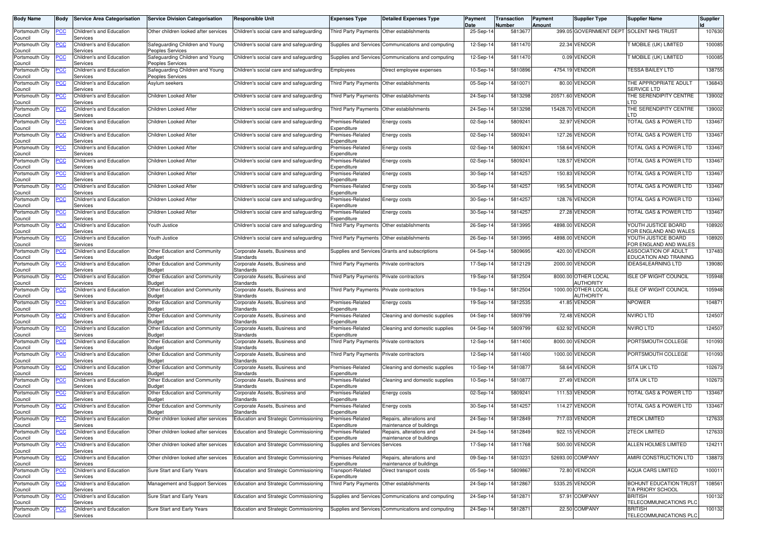| <b>Body Name</b>                              | Body       | <b>Service Area Categorisation</b>   | <b>Service Division Categorisation</b>              | Responsible Unit                             | <b>Expenses Type</b>                      | <b>Detailed Expenses Type</b>                        | Payment<br>Date | Transaction<br>Number | Payment<br>Amount | <b>Supplier Type</b>             | <b>Supplier Name</b>                           | <b>Supplier</b> |
|-----------------------------------------------|------------|--------------------------------------|-----------------------------------------------------|----------------------------------------------|-------------------------------------------|------------------------------------------------------|-----------------|-----------------------|-------------------|----------------------------------|------------------------------------------------|-----------------|
| Portsmouth City<br>Council                    | ∍сс        | Children's and Education<br>Services | Other children looked after services                | Children's social care and safeguarding      |                                           | Third Party Payments Other establishments            | 25-Sep-14       | 581367                |                   | 399.05 GOVERNMENT DEPT           | <b>SOLENT NHS TRUST</b>                        | 107630          |
| Portsmouth City<br>Council                    | <u>PCC</u> | Children's and Education<br>Services | Safeguarding Children and Young<br>Peoples Services | Children's social care and safeguarding      |                                           | Supplies and Services Communications and computing   | 12-Sep-1        | 5811470               |                   | 22.34 VENDOR                     | <b>MOBILE (UK) LIMITED</b>                     | 100085          |
| Portsmouth City                               | ∍сс        | Children's and Education<br>Services | Safeguarding Children and Young<br>Peoples Services | Children's social care and safeguarding      |                                           | Supplies and Services Communications and computing   | 12-Sep-1        | 5811470               |                   | 0.09 VENDOR                      | <b>MOBILE (UK) LIMITED</b>                     | 100085          |
| Council<br>Portsmouth City<br>Council         | <u>PCC</u> | Children's and Education<br>Services | Safeguarding Children and Young<br>Peoples Services | Children's social care and safeguarding      | Employees                                 | Direct employee expenses                             | 10-Sep-14       | 5810896               |                   | 4754.19 VENDOR                   | <b>TESSA BAILEY LTD</b>                        | 138755          |
| Portsmouth City<br>Council                    | <b>PCC</b> | Children's and Education<br>Services | Asylum seekers                                      | Children's social care and safeguarding      |                                           | Third Party Payments Other establishments            | 05-Sep-14       | 581007                |                   | 80.00 VENDOR                     | THE APPROPRIATE ADULT<br><b>SERVICE LTD</b>    | 136843          |
| Portsmouth City<br>Council                    | <b>CC</b>  | Children's and Education<br>Services | Children Looked After                               | Children's social care and safeguarding      | Third Party Payments Other establishments |                                                      | 24-Sep-14       | 5813298               | 20571.60 VENDOR   |                                  | THE SERENDIPITY CENTRE<br>_TD                  | 139002          |
| Portsmouth City<br>Council                    | PСC        | Children's and Education<br>Services | Children Looked After                               | Children's social care and safeguarding      | <b>Third Party Payments</b>               | Other establishments                                 | 24-Sep-14       | 5813298               | 15428.70 VENDOR   |                                  | THE SERENDIPITY CENTRE<br>_TD                  | 139002          |
| Portsmouth City<br>Council                    | <u>PCC</u> | Children's and Education<br>Services | Children Looked After                               | Children's social care and safeguarding      | Premises-Related<br>.xpenditure           | Energy costs                                         | 02-Sep-14       | 5809241               |                   | 32.97 VENDOR                     | TOTAL GAS & POWER LTD                          | 133467          |
| Portsmouth City<br>Council                    | ۲CC        | Children's and Education<br>Services | Children Looked After                               | Children's social care and safeguarding      | remises-Related<br>Expenditure            | Energy costs                                         | 02-Sep-14       | 5809241               |                   | 127.26 VENDOR                    | TOTAL GAS & POWER LTD                          | 133467          |
| Portsmouth City<br>Council                    | PСC        | Children's and Education<br>Services | Children Looked After                               | Children's social care and safeguarding      | remises-Related<br>xpenditure             | Energy costs                                         | 02-Sep-14       | 5809241               |                   | 158.64 VENDOR                    | TOTAL GAS & POWER LTD                          | 133467          |
| Portsmouth City<br>Council                    | ∍сс        | Children's and Education<br>Services | Children Looked After                               | Children's social care and safeguarding      | remises-Related<br><i>spenditure</i>      | Energy costs                                         | 02-Sep-14       | 5809241               |                   | 128.57 VENDOR                    | TOTAL GAS & POWER LTD                          | 133467          |
| Portsmouth City<br>Council                    | PСC        | Children's and Education<br>Services | Children Looked After                               | Children's social care and safeguarding      | remises-Related<br>xpenditure             | Energy costs                                         | 30-Sep-14       | 5814257               |                   | 150.83 VENDOR                    | TOTAL GAS & POWER LTD                          | 133467          |
| Portsmouth City<br>Council                    | ۲CC        | Children's and Education<br>Services | Children Looked After                               | Children's social care and safeguarding      | remises-Related<br><i>Expenditure</i>     | Energy costs                                         | 30-Sep-14       | 581425                |                   | 195.54 VENDOR                    | TOTAL GAS & POWER LTD                          | 133467          |
| Portsmouth City<br>Council                    | ۲CC        | Children's and Education<br>Services | Children Looked After                               | Children's social care and safeguarding      | remises-Related<br><i>spenditure</i>      | Energy costs                                         | 30-Sep-14       | 581425                |                   | 128.76 VENDOR                    | TOTAL GAS & POWER LTD                          | 133467          |
| Portsmouth City<br>Council                    | PCC        | Children's and Education<br>Services | Children Looked After                               | Children's social care and safeguarding      | remises-Related<br>Expenditure            | Energy costs                                         | 30-Sep-14       | 5814257               |                   | 27.28 VENDOR                     | TOTAL GAS & POWER LTD                          | 133467          |
| Portsmouth City<br>Council                    | PСC        | Children's and Education<br>Services | Youth Justice                                       | Children's social care and safeguarding      |                                           | Third Party Payments Other establishments            | 26-Sep-14       | 5813995               |                   | 4898.00 VENDOR                   | YOUTH JUSTICE BOARD<br>FOR ENGLAND AND WALES   | 108920          |
| Portsmouth City<br>Council                    | <u>CC</u>  | Children's and Education<br>Services | Youth Justice                                       | Children's social care and safeguarding      | <b>Third Party Payments</b>               | Other establishments                                 | 26-Sep-14       | 5813995               |                   | 4898.00 VENDOR                   | YOUTH JUSTICE BOARD<br>FOR ENGLAND AND WALES   | 108920          |
| Portsmouth City<br>Council                    | <b>PCC</b> | Children's and Education<br>Services | Other Education and Community<br><b>Budget</b>      | Corporate Assets, Business and<br>Standards  |                                           | Supplies and Services Grants and subscriptions       | 04-Sep-14       | 5809695               |                   | 420.00 VENDOR                    | ASSOCIATION OF ADULT<br>EDUCATION AND TRAINING | 137483          |
| Portsmouth City<br>Council                    | ∍CC        | Children's and Education<br>Services | Other Education and Community<br>Budget             | Corporate Assets, Business and<br>Standards  | Third Party Payments Private contractors  |                                                      | 17-Sep-14       | 5812129               |                   | 2000.00 VENDOR                   | <b>IDEAS4LEARNING LTD</b>                      | 139080          |
| Portsmouth City<br>Council                    | PСC        | Children's and Education<br>Services | Other Education and Community<br><b>Budget</b>      | Corporate Assets, Business and<br>Standards  | <b>Third Party Payments</b>               | Private contractors                                  | 19-Sep-14       | 5812504               |                   | 8000.00 OTHER LOCAL<br>AUTHORITY | <b>ISLE OF WIGHT COUNCIL</b>                   | 105948          |
| Portsmouth City<br>Council                    | ۲CC        | Children's and Education<br>Services | Other Education and Community<br>Budget             | Corporate Assets, Business and<br>Standards  | <b>Third Party Payments</b>               | Private contractors                                  | $19-Sep-1$      | 5812504               |                   | 1000.00 OTHER LOCAL<br>AUTHORITY | <b>ISLE OF WIGHT COUNCIL</b>                   | 105948          |
| Portsmouth City<br>Council                    | ۲CC        | Children's and Education<br>Services | Other Education and Community<br>Budget             | Corporate Assets, Business and<br>Standards  | Premises-Related<br><i>spenditure</i>     | Energy costs                                         | 19-Sep-14       | 5812535               |                   | 41.85 VENDOR                     | <b>NPOWER</b>                                  | 104871          |
| Portsmouth City<br>Council                    | <b>PCC</b> | Children's and Education<br>Services | Other Education and Community<br>Budget             | Corporate Assets, Business and<br>Standards  | remises-Related<br>Expenditure            | Cleaning and domestic supplies                       | 04-Sep-14       | 5809799               |                   | 72.48 VENDOR                     | <b>NVIRO LTD</b>                               | 124507          |
| Portsmouth City<br>Council                    | ∍сс        | Children's and Education<br>Services | Other Education and Community<br>Budget             | Corporate Assets, Business and<br>Standards  | remises-Related<br>Expenditure            | Cleaning and domestic supplies                       | $04-Sep-1$      | 5809799               |                   | 632.92 VENDOR                    | <b>NVIRO LTD</b>                               | 124507          |
| Portsmouth City<br>Council                    | °СС        | Children's and Education<br>Services | Other Education and Community<br><b>Budget</b>      | Corporate Assets, Business and<br>Standards  | Third Party Payments                      | Private contractors                                  | 12-Sep-14       | 5811400               |                   | 8000.00 VENDOR                   | PORTSMOUTH COLLEGE                             | 101093          |
| Portsmouth City<br>Council                    | <u>PCC</u> | Children's and Education<br>Services | Other Education and Community<br>Budget             | Corporate Assets, Business and<br>Standards  | Third Party Payments                      | Private contractors                                  | 12-Sep-14       | 5811400               |                   | 1000.00 VENDOR                   | PORTSMOUTH COLLEGE                             | 101093          |
| Portsmouth City<br>Council                    | <u>CC</u>  | Children's and Education<br>Services | Other Education and Community<br>Budget             | Corporate Assets, Business and<br>Standards  | Premises-Related<br>Expenditure           | Cleaning and domestic supplies                       | 10-Sep-14       | 5810877               |                   | 58.64 VENDOR                     | <b>SITA UK LTD</b>                             | 102673          |
| Portsmouth City<br>Council                    | PСC        | Children's and Education<br>Services | Other Education and Community<br>Budget             | Corporate Assets, Business and<br>Standards  | remises-Related<br><i>Expenditure</i>     | Cleaning and domestic supplies                       | $10-Sep-1$      | 5810877               |                   | 27.49 VENDOR                     | <b>SITA UK LTD</b>                             | 102673          |
| Portsmouth City<br>Council                    | <u>PCC</u> | Children's and Education<br>Services | Other Education and Community<br>Budget             | Corporate Assets, Business and<br>Standards  | Premises-Related<br>.xpenditure           | Energy costs                                         | 02-Sep-14       | 5809241               |                   | 111.53 VENDOR                    | TOTAL GAS & POWER LTD                          | 133467          |
| Portsmouth City<br>Council                    | <u>CC</u>  | Children's and Education<br>Services | Other Education and Community<br>Budget             | Corporate Assets, Business and<br>Standards  | Premises-Related<br>Expenditure           | Energy costs                                         | 30-Sep-14       | 5814257               |                   | 114.27 VENDOR                    | TOTAL GAS & POWER LTD                          | 133467          |
| Portsmouth City<br>Council<br>Portsmouth City | <b>PCC</b> | Children's and Education<br>Services | Other children looked after services                | Education and Strategic Commissioning        | Premises-Related<br>Expenditure           | Repairs, alterations and<br>maintenance of buildings | 24-Sep-14       | 5812849               |                   | 717.03 VENDOR                    | <b>2TECK LIMITED</b>                           | 127633          |
| Council                                       | PСC        | Children's and Education<br>Services | Other children looked after services                | <b>Education and Strategic Commissioning</b> | Premises-Related<br><i>Expenditure</i>    | Repairs, alterations and<br>maintenance of buildings | 24-Sep-14       | 5812849               |                   | 922.15 VENDOR                    | <b>2TECK LIMITED</b>                           | 127633          |
| Portsmouth City<br>Council                    | <u>PCC</u> | Children's and Education<br>Services | Other children looked after services                | <b>Education and Strategic Commissioning</b> | Supplies and Services Services            |                                                      | 17-Sep-14       | 5811768               |                   | 500.00 VENDOR                    | ALLEN HOLMES LIMITED                           | 124211          |
| Portsmouth City<br>Council                    | PСC        | Children's and Education<br>Services | Other children looked after services                | <b>Education and Strategic Commissioning</b> | Premises-Related<br>Expenditure           | Repairs, alterations and<br>maintenance of buildings | 09-Sep-14       | 5810231               |                   | 52693.00 COMPANY                 | AMIRI CONSTRUCTION LTD                         | 138873          |
| Portsmouth City<br>Council                    | <u>PCC</u> | Children's and Education<br>Services | Sure Start and Early Years                          | Education and Strategic Commissioning        | ransport-Related<br>Expenditure           | Direct transport costs                               | 05-Sep-14       | 5809867               |                   | 72.80 VENDOR                     | <b>AQUA CARS LIMITED</b>                       | 100011          |
| Portsmouth City<br>Council                    | <u>PCC</u> | Children's and Education<br>Services | Management and Support Services                     | Education and Strategic Commissioning        | Third Party Payments                      | Other establishments                                 | 24-Sep-14       | 5812867               |                   | 5335.25 VENDOR                   | BOHUNT EDUCATION TRUST<br>T/A PRIORY SCHOOL    | 108561          |
| Portsmouth City<br>Council                    | PСC        | Children's and Education<br>Services | Sure Start and Early Years                          | <b>Education and Strategic Commissioning</b> |                                           | Supplies and Services Communications and computing   | 24-Sep-14       | 5812871               |                   | 57.91 COMPANY                    | <b>BRITISH</b><br>TELECOMMUNICATIONS PLC       | 100132          |
| Portsmouth City<br>Council                    | <u>PCC</u> | Children's and Education<br>Services | Sure Start and Early Years                          | <b>Education and Strategic Commissioning</b> |                                           | Supplies and Services Communications and computing   | 24-Sep-14       | 5812871               |                   | 22.50 COMPANY                    | <b>BRITISH</b><br>TELECOMMUNICATIONS PLC       | 100132          |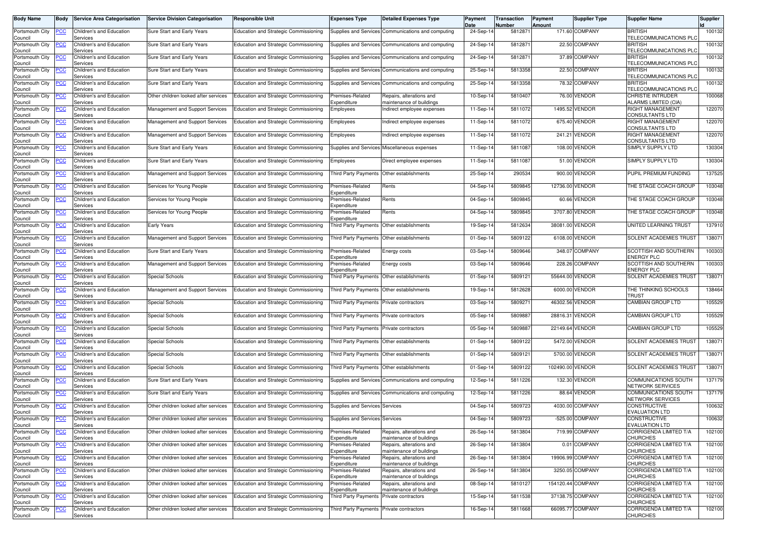| <b>Body Name</b>           | Body       | <b>Service Area Categorisation</b>   | <b>Service Division Categorisation</b> | <b>Responsible Unit</b>                                                      | <b>Expenses Type</b>                      | <b>Detailed Expenses Type</b>                        | Payment<br>Date | Transaction<br>Number | Payment<br>Amount | <b>Supplier Type</b> | <b>Supplier Name</b>                             | Supplier |
|----------------------------|------------|--------------------------------------|----------------------------------------|------------------------------------------------------------------------------|-------------------------------------------|------------------------------------------------------|-----------------|-----------------------|-------------------|----------------------|--------------------------------------------------|----------|
| Portsmouth City<br>Council | <u>PCC</u> | Children's and Education<br>Services | Sure Start and Early Years             | <b>Education and Strategic Commissioning</b>                                 |                                           | Supplies and Services Communications and computing   | 24-Sep-14       | 5812871               |                   | 171.60 COMPANY       | <b>BRITISH</b><br><b>TELECOMMUNICATIONS PLC</b>  | 100132   |
| Portsmouth City<br>Council | PCC        | Children's and Education<br>Services | Sure Start and Early Years             | <b>Education and Strategic Commissioning</b>                                 |                                           | Supplies and Services Communications and computing   | 24-Sep-14       | 581287                |                   | 22.50 COMPANY        | <b>BRITISH</b><br>TELECOMMUNICATIONS PLC         | 100132   |
| Portsmouth City<br>Council | PСC        | Children's and Education<br>Services | Sure Start and Early Years             | Education and Strategic Commissioning                                        |                                           | Supplies and Services Communications and computing   | 24-Sep-14       | 5812871               |                   | 37.89 COMPANY        | <b>BRITISH</b><br><b>TELECOMMUNICATIONS PLO</b>  | 100132   |
| Portsmouth City<br>Council | <b>PCC</b> | Children's and Education<br>Services | Sure Start and Early Years             | Education and Strategic Commissioning                                        |                                           | Supplies and Services Communications and computing   | 25-Sep-14       | 5813358               |                   | 22.50 COMPANY        | <b>BRITISH</b><br>TELECOMMUNICATIONS PLC         | 100132   |
| Portsmouth City<br>Council | <u>'CC</u> | Children's and Education<br>Services | Sure Start and Early Years             | Education and Strategic Commissioning                                        |                                           | Supplies and Services Communications and computing   | 25-Sep-14       | 5813358               |                   | 78.32 COMPANY        | <b>BRITISH</b><br><b>TELECOMMUNICATIONS PLC</b>  | 100132   |
| Portsmouth City<br>Council | <u>PCC</u> | Children's and Education<br>Services | Other children looked after services   | <b>Education and Strategic Commissioning</b>                                 | Premises-Related<br>Expenditure           | Repairs, alterations and<br>maintenance of buildings | 10-Sep-14       | 5810407               |                   | 76.00 VENDOR         | <b>CHRISTIE INTRUDER</b><br>ALARMS LIMITED (CIA) | 100068   |
| Portsmouth City<br>Council | ∍CC        | Children's and Education<br>Services | Management and Support Services        | Education and Strategic Commissioning                                        | Employees                                 | Indirect employee expenses                           | 11-Sep-14       | 5811072               |                   | 1495.52 VENDOR       | RIGHT MANAGEMENT<br><b>CONSULTANTS LTD</b>       | 122070   |
| Portsmouth City<br>Council | <u>PCC</u> | Children's and Education<br>Services | Management and Support Services        | Education and Strategic Commissioning                                        | Employees                                 | Indirect employee expenses                           | 11-Sep-14       | 5811072               |                   | 675.40 VENDOR        | RIGHT MANAGEMENT<br>CONSULTANTS LTD              | 122070   |
| Portsmouth City<br>Council | сC         | Children's and Education<br>Services | Management and Support Services        | Education and Strategic Commissioning                                        | Employees                                 | ndirect employee expenses                            | 11-Sep-14       | 5811072               |                   | 241.21 VENDOR        | RIGHT MANAGEMENT<br><b>CONSULTANTS LTD</b>       | 122070   |
| Portsmouth City<br>Council | <u>PCC</u> | Children's and Education<br>Services | Sure Start and Early Years             | Education and Strategic Commissioning                                        |                                           | Supplies and Services Miscellaneous expenses         | 11-Sep-14       | 5811087               |                   | 108.00 VENDOR        | SIMPLY SUPPLY LTD                                | 130304   |
| Portsmouth City<br>Council | PСC        | Children's and Education<br>Services | Sure Start and Early Years             | <b>Education and Strategic Commissioning</b>                                 | Employees                                 | Direct employee expenses                             | 11-Sep-14       | 5811087               |                   | 51.00 VENDOR         | SIMPLY SUPPLY LTD                                | 130304   |
| Portsmouth City<br>Council | <b>PCC</b> | Children's and Education<br>Services | Management and Support Services        | Education and Strategic Commissioning                                        | Third Party Payments                      | Other establishments                                 | 25-Sep-14       | 290534                |                   | 900.00 VENDOR        | PUPIL PREMIUM FUNDING                            | 137525   |
| Portsmouth City<br>Council | <u>PCC</u> | Children's and Education<br>Services | Services for Young People              | Education and Strategic Commissioning                                        | Premises-Related<br>Expenditure           | Rents                                                | 04-Sep-14       | 5809845               |                   | 12736.00 VENDOR      | THE STAGE COACH GROUP                            | 103048   |
| Portsmouth City<br>Council |            | Children's and Education<br>Services | Services for Young People              | Education and Strategic Commissioning                                        | Premises-Related<br>Expenditure           | Rents                                                | 04-Sep-14       | 5809845               |                   | 60.66 VENDOR         | THE STAGE COACH GROUP                            | 103048   |
| Portsmouth City<br>Council | <u>PCC</u> | Children's and Education<br>Services | Services for Young People              | Education and Strategic Commissioning                                        | Premises-Related<br>Expenditure           | Rents                                                | 04-Sep-14       | 5809845               |                   | 3707.80 VENDOR       | THE STAGE COACH GROUP                            | 103048   |
| Portsmouth City<br>Council | <u>PCC</u> | Children's and Education<br>Services | <b>Early Years</b>                     | Education and Strategic Commissioning                                        |                                           | Third Party Payments Other establishments            | 19-Sep-14       | 5812634               |                   | 38081.00 VENDOR      | UNITED LEARNING TRUST                            | 137910   |
| Portsmouth City<br>Council | <u>PCC</u> | Children's and Education<br>Services | Management and Support Services        | Education and Strategic Commissioning                                        | Third Party Payments                      | Other establishments                                 | 01-Sep-14       | 5809122               |                   | 6108.00 VENDOR       | SOLENT ACADEMIES TRUST                           | 138071   |
| Portsmouth City<br>Council | <u>PCC</u> | Children's and Education<br>Services | Sure Start and Early Years             | Education and Strategic Commissioning                                        | Premises-Related<br>Expenditure           | Energy costs                                         | 03-Sep-14       | 5809646               |                   | 348.07 COMPANY       | <b>SCOTTISH AND SOUTHERN</b><br>ENERGY PLC       | 100303   |
| Portsmouth City<br>Council | PСC        | Children's and Education<br>Services | Management and Support Services        | Education and Strategic Commissioning                                        | Premises-Related<br>Expenditure           | Energy costs                                         | 03-Sep-14       | 5809646               |                   | 228.26 COMPANY       | SCOTTISH AND SOUTHERN<br><b>ENERGY PLC</b>       | 100303   |
| Portsmouth City<br>Council | <b>PCC</b> | Children's and Education<br>Services | <b>Special Schools</b>                 | Education and Strategic Commissioning                                        |                                           | Third Party Payments Other establishments            | 01-Sep-14       | 5809121               |                   | 55644.00 VENDOR      | SOLENT ACADEMIES TRUST                           | 138071   |
| Portsmouth City<br>Council | PСC        | Children's and Education<br>Services | Management and Support Services        | Education and Strategic Commissioning                                        | Third Party Payments                      | Other establishments                                 | 19-Sep-14       | 5812628               |                   | 6000.00 VENDOR       | THE THINKING SCHOOLS<br>TRUST                    | 138464   |
| Portsmouth City<br>Council | PСC        | Children's and Education<br>Services | Special Schools                        | Education and Strategic Commissioning                                        | Third Party Payments Private contractors  |                                                      | 03-Sep-14       | 5809271               |                   | 46302.56 VENDOR      | <b>CAMBIAN GROUP LTD</b>                         | 105529   |
| Portsmouth City<br>Council | PCC        | Children's and Education<br>Services | Special Schools                        | Education and Strategic Commissioning                                        | Third Party Payments Private contractors  |                                                      | 05-Sep-14       | 580988                |                   | 28816.31 VENDOR      | CAMBIAN GROUP LTD                                | 105529   |
| Portsmouth City<br>Council | <u>PCC</u> | Children's and Education<br>Services | Special Schools                        | Education and Strategic Commissioning                                        | Third Party Payments Private contractors  |                                                      | 05-Sep-14       | 580988                |                   | 22149.64 VENDOR      | CAMBIAN GROUP LTD                                | 105529   |
| Portsmouth City<br>Council | PСC        | Children's and Education<br>Services | <b>Special Schools</b>                 | Education and Strategic Commissioning                                        |                                           | Third Party Payments   Other establishments          | 01-Sep-14       | 5809122               |                   | 5472.00 VENDOR       | SOLENT ACADEMIES TRUST                           | 138071   |
| Portsmouth City<br>Council | PСC        | Children's and Education<br>Services | Special Schools                        | Education and Strategic Commissioning                                        |                                           | Third Party Payments Other establishments            | 01-Sep-14       | 5809121               |                   | 5700.00 VENDOR       | SOLENT ACADEMIES TRUST                           | 138071   |
| Portsmouth City<br>Council | <b>PCC</b> | Children's and Education<br>Services | Special Schools                        | Education and Strategic Commissioning                                        | Third Party Payments Other establishments |                                                      | 01-Sep-14       | 5809122               | 102490.00 VENDOR  |                      | SOLENT ACADEMIES TRUST                           | 138071   |
| Portsmouth City<br>Council | <u>'CC</u> | Children's and Education<br>Services | Sure Start and Early Years             | Education and Strategic Commissioning                                        |                                           | Supplies and Services Communications and computing   | 12-Sep-14       | 5811226               |                   | 132.30 VENDOR        | COMMUNICATIONS SOUTH<br><b>NETWORK SERVICES</b>  | 137179   |
| Portsmouth City<br>Council | <u>PCC</u> | Children's and Education<br>Services | Sure Start and Early Years             | Education and Strategic Commissioning                                        |                                           | Supplies and Services Communications and computing   | 12-Sep-14       | 5811226               |                   | 88.64 VENDOR         | COMMUNICATIONS SOUTH<br>NETWORK SERVICES         | 137179   |
| Portsmouth City<br>Council | <u>PCC</u> | Children's and Education<br>Services | Other children looked after services   | <b>Education and Strategic Commissioning</b>                                 | Supplies and Services Services            |                                                      | 04-Sep-14       | 5809723               |                   | 4030.00 COMPANY      | <b>CONSTRUCTIVE</b><br><b>EVALUATION LTD</b>     | 100632   |
| Portsmouth City<br>Council | <b>PCC</b> | Children's and Education<br>Services |                                        | Other children looked after services   Education and Strategic Commissioning | Supplies and Services Services            |                                                      | 04-Sep-14       | 5809723               |                   | -525.00 COMPANY      | <b>CONSTRUCTIVE</b><br><b>EVALUATION LTD</b>     | 100632   |
| Portsmouth City<br>Council | <b>PCC</b> | Children's and Education<br>Services | Other children looked after services   | Education and Strategic Commissioning                                        | Premises-Related<br>Expenditure           | Repairs, alterations and<br>maintenance of buildings | 26-Sep-14       | 5813804               |                   | 719.99 COMPANY       | CORRIGENDA LIMITED T/A<br><b>CHURCHES</b>        | 102100   |
| Portsmouth City<br>Council | <b>PCC</b> | Children's and Education<br>Services | Other children looked after services   | Education and Strategic Commissioning                                        | Premises-Related<br>Expenditure           | Repairs, alterations and<br>maintenance of buildings | 26-Sep-14       | 5813804               |                   | 0.01 COMPANY         | CORRIGENDA LIMITED T/A<br>CHURCHES               | 102100   |
| Portsmouth City<br>Council | сC         | Children's and Education<br>Services | Other children looked after services   | Education and Strategic Commissioning                                        | Premises-Related<br>Expenditure           | Repairs, alterations and<br>maintenance of buildings | 26-Sep-14       | 5813804               |                   | 19906.99 COMPANY     | CORRIGENDA LIMITED T/A<br><b>CHURCHES</b>        | 102100   |
| Portsmouth City<br>Council | <b>PCC</b> | Children's and Education<br>Services | Other children looked after services   | <b>Education and Strategic Commissioning</b>                                 | Premises-Related<br>Expenditure           | Repairs, alterations and<br>maintenance of buildings | 26-Sep-14       | 5813804               |                   | 3250.05 COMPANY      | CORRIGENDA LIMITED T/A<br><b>CHURCHES</b>        | 102100   |
| Portsmouth City<br>Council | <u>PCC</u> | Children's and Education<br>Services | Other children looked after services   | Education and Strategic Commissioning                                        | Premises-Related<br>Expenditure           | Repairs, alterations and<br>maintenance of buildings | 08-Sep-14       | 5810127               |                   | 154120.44 COMPANY    | CORRIGENDA LIMITED T/A<br>CHURCHES               | 102100   |
| Portsmouth City<br>Council | PCC        | Children's and Education<br>Services | Other children looked after services   | Education and Strategic Commissioning                                        | <b>Third Party Payments</b>               | Private contractors                                  | 15-Sep-14       | 5811538               |                   | 37138.75 COMPANY     | CORRIGENDA LIMITED T/A<br><b>CHURCHES</b>        | 102100   |
| Portsmouth City<br>Council | <u>'CC</u> | Children's and Education<br>Services | Other children looked after services   | <b>Education and Strategic Commissioning</b>                                 | Third Party Payments Private contractors  |                                                      | 16-Sep-14       | 5811668               |                   | 66095.77 COMPANY     | <b>CORRIGENDA LIMITED T/A</b><br><b>CHURCHES</b> | 102100   |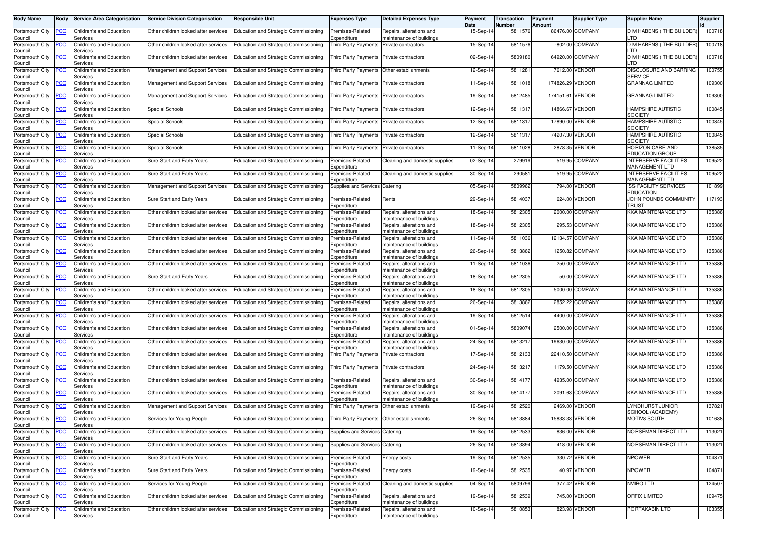| <b>Body Name</b>           | Body           | <b>Service Area Categorisation</b>   | <b>Service Division Categorisation</b> | Responsible Unit                             | <b>Expenses Type</b>                      | <b>Detailed Expenses Type</b>                        | Payment<br>Date | Transaction<br>Number | Payment<br>Amount | <b>Supplier Type</b> | <b>Supplier Name</b>                                  | Supplier |
|----------------------------|----------------|--------------------------------------|----------------------------------------|----------------------------------------------|-------------------------------------------|------------------------------------------------------|-----------------|-----------------------|-------------------|----------------------|-------------------------------------------------------|----------|
| Portsmouth City<br>Council | ∙сс            | Children's and Education<br>Services | Other children looked after services   | Education and Strategic Commissioning        | Premises-Related<br><i>spenditure</i>     | Repairs, alterations and<br>maintenance of buildings | 15-Sep-14       | 5811576               |                   | 86476.00 COMPANY     | D M HABENS (THE BUILDER)<br>LTD.                      | 100718   |
| Portsmouth City<br>Council | PСC            | Children's and Education<br>Services | Other children looked after services   | Education and Strategic Commissioning        | Third Party Payments                      | Private contractors                                  | 15-Sep-14       | 5811576               |                   | -802.00 COMPANY      | D M HABENS (THE BUILDER)<br>TD                        | 100718   |
| Portsmouth City<br>Council | ∍сс            | Children's and Education<br>Services | Other children looked after services   | Education and Strategic Commissioning        | Third Party Payments Private contractors  |                                                      | 02-Sep-14       | 5809180               |                   | 64920.00 COMPANY     | D M HABENS (THE BUILDER<br>_TD                        | 100718   |
| Portsmouth City<br>Council | ∍сс            | Children's and Education<br>Services | Management and Support Services        | Education and Strategic Commissioning        | Third Party Payments                      | Other establishments                                 | 12-Sep-14       | 5811281               |                   | 7612.00 VENDOR       | DISCLOSURE AND BARRING<br><b>SERVICE</b>              | 100755   |
| Portsmouth City<br>Council | <b>PCC</b>     | Children's and Education<br>Services | Management and Support Services        | Education and Strategic Commissioning        | Third Party Payments                      | Private contractors                                  | 11-Sep-14       | 5811018               | 174826.29 VENDOR  |                      | <b>GRANNAG LIMITED</b>                                | 109300   |
| Portsmouth City<br>Council | <u>PCC</u>     | Children's and Education<br>Services | Management and Support Services        | Education and Strategic Commissioning        | Third Party Payments Private contractors  |                                                      | 19-Sep-14       | 5812485               | 174151.61 VENDOR  |                      | <b>GRANNAG LIMITED</b>                                | 109300   |
| Portsmouth City<br>Council | ∍CC            | Children's and Education<br>Services | Special Schools                        | Education and Strategic Commissioning        | Third Party Payments                      | Private contractors                                  | 12-Sep-14       | 5811317               |                   | 14866.67 VENDOR      | HAMPSHIRE AUTISTIC<br>SOCIETY                         | 100845   |
| Portsmouth City<br>Council | <u>PCC</u>     | Children's and Education<br>Services | <b>Special Schools</b>                 | Education and Strategic Commissioning        | <b>Third Party Payments</b>               | Private contractors                                  | 12-Sep-14       | 5811317               | 17890.00 VENDOR   |                      | HAMPSHIRE AUTISTIC<br>SOCIETY                         | 100845   |
| Portsmouth City<br>Council | ٢C             | Children's and Education<br>Services | Special Schools                        | Education and Strategic Commissioning        | Third Party Payments                      | Private contractors                                  | 12-Sep-14       | 5811317               |                   | 74207.30 VENDOR      | HAMPSHIRE AUTISTIC<br><b>SOCIETY</b>                  | 100845   |
| Portsmouth City<br>Council | <u>PCC</u>     | Children's and Education<br>Services | <b>Special Schools</b>                 | Education and Strategic Commissioning        | Third Party Payments                      | Private contractors                                  | 11-Sep-14       | 5811028               |                   | 2878.35 VENDOR       | HORIZON CARE AND<br><b>EDUCATION GROUP</b>            | 138535   |
| Portsmouth City<br>Council | PСC            | Children's and Education<br>Services | Sure Start and Early Years             | Education and Strategic Commissioning        | Premises-Related<br>xpenditure            | Cleaning and domestic supplies                       | 02-Sep-14       | 279919                |                   | 519.95 COMPANY       | <b>INTERSERVE FACILITIES</b><br><b>MANAGEMENT LTD</b> | 109522   |
| Portsmouth City<br>Council | ∍сс            | Children's and Education<br>Services | Sure Start and Early Years             | Education and Strategic Commissioning        | Premises-Related<br>.xpenditure           | Cleaning and domestic supplies                       | 30-Sep-14       | 290581                |                   | 519.95 COMPANY       | <b>INTERSERVE FACILITIES</b><br>MANAGEMENT LTD        | 109522   |
| Portsmouth City<br>Council | <u>PCC</u>     | Children's and Education<br>Services | Management and Support Services        | Education and Strategic Commissioning        | Supplies and Services Catering            |                                                      | 05-Sep-14       | 5809962               |                   | 794.00 VENDOR        | <b>ISS FACILITY SERVICES</b><br><b>EDUCATION</b>      | 101899   |
| Portsmouth City<br>Council | ∙сс            | Children's and Education<br>Services | Sure Start and Early Years             | Education and Strategic Commissioning        | Premises-Related<br>Expenditure           | Rents                                                | 29-Sep-14       | 5814037               |                   | 624.00 VENDOR        | JOHN POUNDS COMMUNITY<br>TRUST                        | 117193   |
| Portsmouth City<br>Council | ∍сс            | Children's and Education<br>Services | Other children looked after services   | Education and Strategic Commissioning        | remises-Related<br>xpenditure             | Repairs, alterations and<br>maintenance of buildings | 18-Sep-14       | 5812305               |                   | 2000.00 COMPANY      | KKA MAINTENANCE LTD                                   | 135386   |
| Portsmouth City<br>Council | <u>PCC</u>     | Children's and Education<br>Services | Other children looked after services   | <b>Education and Strategic Commissioning</b> | Premises-Related<br>.xpenditure           | Repairs, alterations and<br>maintenance of buildings | 18-Sep-14       | 5812305               |                   | 295.53 COMPANY       | <b>KKA MAINTENANCE LTD</b>                            | 135386   |
| Portsmouth City<br>Council | <u>CC</u>      | Children's and Education<br>Services | Other children looked after services   | Education and Strategic Commissioning        | Premises-Related<br>Expenditure           | Repairs, alterations and<br>maintenance of buildings | 11-Sep-14       | 5811036               |                   | 12134.57 COMPANY     | KKA MAINTENANCE LTD                                   | 135386   |
| Portsmouth City<br>Council | <b>PCC</b>     | Children's and Education<br>Services | Other children looked after services   | Education and Strategic Commissioning        | remises-Related<br>Expenditure            | Repairs, alterations and<br>maintenance of buildings | 26-Sep-14       | 5813862               |                   | 1250.82 COMPANY      | <b>KKA MAINTENANCE LTD</b>                            | 135386   |
| Portsmouth City<br>Council | PСC            | Children's and Education<br>Services | Other children looked after services   | Education and Strategic Commissioning        | remises-Related<br>xpenditure             | Repairs, alterations and<br>maintenance of buildings | 11-Sep-14       | 5811036               |                   | 250.00 COMPANY       | <b>KKA MAINTENANCE LTD</b>                            | 135386   |
| Portsmouth City<br>Council | ∍сс            | Children's and Education<br>Services | Sure Start and Early Years             | Education and Strategic Commissioning        | Premises-Related<br>.xpenditure           | Repairs, alterations and<br>maintenance of buildings | 18-Sep-14       | 5812305               |                   | 50.00 COMPANY        | <b>KKA MAINTENANCE LTD</b>                            | 135386   |
| Portsmouth City<br>Council | PСC            | Children's and Education<br>Services | Other children looked after services   | Education and Strategic Commissioning        | Premises-Related<br>Expenditure           | Repairs, alterations and<br>maintenance of buildings | 18-Sep-14       | 5812305               |                   | 5000.00 COMPANY      | KKA MAINTENANCE LTD                                   | 135386   |
| Portsmouth City<br>Council | ∙сс            | Children's and Education<br>Services | Other children looked after services   | Education and Strategic Commissioning        | remises-Related<br><i>spenditure</i>      | Repairs, alterations and<br>maintenance of buildings | 26-Sep-14       | 5813862               |                   | 2852.22 COMPANY      | <b>KKA MAINTENANCE LTD</b>                            | 135386   |
| Portsmouth City<br>Council | PСC            | Children's and Education<br>Services | Other children looked after services   | Education and Strategic Commissioning        | Premises-Related<br>xpenditure            | Repairs, alterations and<br>maintenance of buildings | 19-Sep-14       | 5812514               |                   | 4400.00 COMPANY      | KKA MAINTENANCE LTD                                   | 135386   |
| Portsmouth City<br>Council | ∍сс            | Children's and Education<br>Services | Other children looked after services   | Education and Strategic Commissioning        | remises-Related<br>xpenditure             | Repairs, alterations and<br>maintenance of buildings | 01-Sep-14       | 5809074               |                   | 2500.00 COMPANY      | <b>KKA MAINTENANCE LTD</b>                            | 135386   |
| Portsmouth City<br>Council | ∍сс            | Children's and Education<br>Services | Other children looked after services   | Education and Strategic Commissioning        | remises-Related<br>Expenditure            | Repairs, alterations and<br>maintenance of buildings | 24-Sep-14       | 5813217               |                   | 19630.00 COMPANY     | KKA MAINTENANCE LTD                                   | 135386   |
| Portsmouth City<br>Council | ∙сс            | Children's and Education<br>Services | Other children looked after services   | Education and Strategic Commissioning        | Third Party Payments Private contractors  |                                                      | 17-Sep-14       | 5812133               |                   | 22410.50 COMPANY     | KKA MAINTENANCE LTD                                   | 135386   |
| Portsmouth City<br>Council | PСC            | Children's and Education<br>Services | Other children looked after services   | Education and Strategic Commissioning        | Third Party Payments Private contractors  |                                                      | 24-Sep-14       | 5813217               |                   | 1179.50 COMPANY      | <b>KKA MAINTENANCE LTD</b>                            | 135386   |
| Portsmouth City<br>Council | PСC            | Children's and Education<br>Services | Other children looked after services   | Education and Strategic Commissioning        | remises-Related<br>xpenditure             | Repairs, alterations and<br>maintenance of buildings | 30-Sep-14       | 5814177               |                   | 4935.00 COMPANY      | <b>KKA MAINTENANCE LTD</b>                            | 135386   |
| Portsmouth City<br>Council | <u>PCC</u>     | Children's and Education<br>Services | Other children looked after services   | Education and Strategic Commissioning        | Premises-Related<br>Expenditure           | Repairs, alterations and<br>maintenance of buildings | 30-Sep-14       | 5814177               |                   | 2091.63 COMPANY      | <b>KKA MAINTENANCE LTD</b>                            | 135386   |
| Portsmouth City<br>Council | <u>PCC</u>     | Children's and Education<br>Services | Management and Support Services        | <b>Education and Strategic Commissioning</b> | Third Party Payments                      | Other establishments                                 | 19-Sep-14       | 5812520               |                   | 2469.00 VENDOR       | YNDHURST JUNIOR<br>SCHOOL (ACADEMY)                   | 137821   |
| Portsmouth City<br>Council | <b>PCC</b>     | Children's and Education<br>Services | Services for Young People              | Education and Strategic Commissioning        | Third Party Payments Other establishments |                                                      | 26-Sep-14       | 5813884               |                   | 15833.33 VENDOR      | <b>MOTIV8 SOUTH</b>                                   | 101638   |
| Portsmouth City<br>Council | <b>PCC</b>     | Children's and Education<br>Services | Other children looked after services   | <b>Education and Strategic Commissioning</b> | Supplies and Services Catering            |                                                      | 19-Sep-14       | 5812533               |                   | 836.00 VENDOR        | NORSEMAN DIRECT LTD                                   | 113021   |
| Portsmouth City<br>Council | PСC            | Children's and Education<br>Services | Other children looked after services   | Education and Strategic Commissioning        | Supplies and Services Catering            |                                                      | 26-Sep-14       | 5813894               |                   | 418.00 VENDOR        | NORSEMAN DIRECT LTD                                   | 113021   |
| Portsmouth City<br>Council | $\overline{C}$ | Children's and Education<br>Services | Sure Start and Early Years             | Education and Strategic Commissioning        | remises-Related<br>Expenditure            | Energy costs                                         | 19-Sep-14       | 5812535               |                   | 330.72 VENDOR        | <b>NPOWER</b>                                         | 104871   |
| Portsmouth City<br>Council | <u>PCC</u>     | Children's and Education<br>Services | Sure Start and Early Years             | Education and Strategic Commissioning        | Premises-Related<br>Expenditure           | Energy costs                                         | 19-Sep-14       | 5812535               |                   | 40.97 VENDOR         | <b>NPOWER</b>                                         | 104871   |
| Portsmouth City<br>Council | <u>PCC</u>     | Children's and Education<br>Services | Services for Young People              | <b>Education and Strategic Commissioning</b> | Premises-Related<br>xpenditure            | Cleaning and domestic supplies                       | 04-Sep-14       | 5809799               |                   | 377.42 VENDOR        | <b>NVIRO LTD</b>                                      | 124507   |
| Portsmouth City<br>Council | <u>PCC</u>     | Children's and Education<br>Services | Other children looked after services   | <b>Education and Strategic Commissioning</b> | remises-Related<br>Expenditure            | Repairs, alterations and<br>maintenance of buildings | 19-Sep-14       | 5812539               |                   | 745.00 VENDOR        | <b>OFFIX LIMITED</b>                                  | 109475   |
| Portsmouth City<br>Council | <b>PCC</b>     | Children's and Education<br>Services | Other children looked after services   | <b>Education and Strategic Commissioning</b> | Premises-Related<br>Expenditure           | Repairs, alterations and<br>maintenance of buildings | 10-Sep-14       | 5810853               |                   | 823.98 VENDOR        | PORTAKABIN LTD                                        | 103355   |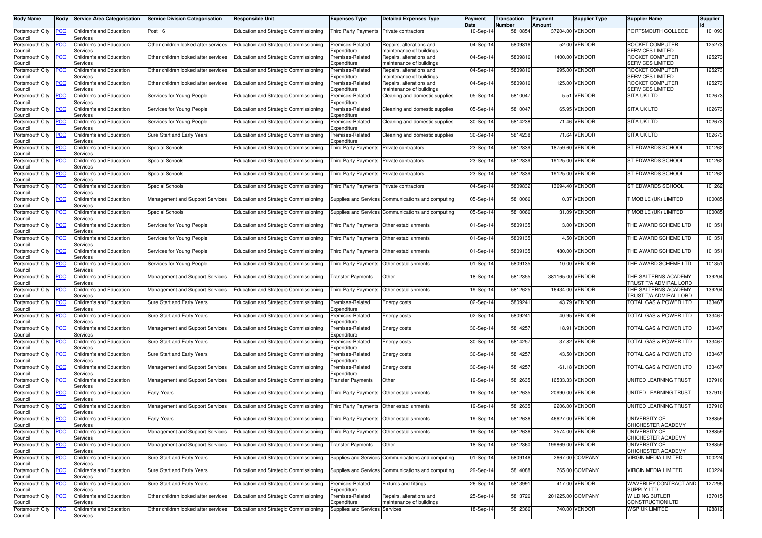| <b>Body Name</b>           | <b>Body</b> | <b>Service Area Categorisation</b>   | <b>Service Division Categorisation</b> | <b>Responsible Unit</b>                      | <b>Expenses Type</b>                      | <b>Detailed Expenses Type</b>                        | Payment<br>Date | Transaction<br>Number | Payment<br>Amount | Supplier Type     | <b>Supplier Name</b>                             | Supplier |
|----------------------------|-------------|--------------------------------------|----------------------------------------|----------------------------------------------|-------------------------------------------|------------------------------------------------------|-----------------|-----------------------|-------------------|-------------------|--------------------------------------------------|----------|
| Portsmouth City<br>Council | <b>PCC</b>  | Children's and Education<br>Services | Post 16                                | Education and Strategic Commissioning        | <b>Third Party Payments</b>               | Private contractors                                  | 10-Sep-14       | 5810854               |                   | 37204.00 VENDOR   | PORTSMOUTH COLLEGE                               | 101093   |
| Portsmouth City<br>Council | <b>PCC</b>  | Children's and Education<br>Services | Other children looked after services   | Education and Strategic Commissioning        | Premises-Related<br>Expenditure           | Repairs, alterations and<br>maintenance of buildings | 04-Sep-14       | 5809816               |                   | 52.00 VENDOR      | ROCKET COMPUTER<br><b>SERVICES LIMITED</b>       | 125273   |
| Portsmouth City<br>Council |             | Children's and Education<br>Services | Other children looked after services   | Education and Strategic Commissioning        | Premises-Related<br>Expenditure           | Repairs, alterations and<br>maintenance of buildings | 04-Sep-14       | 5809816               |                   | 1400.00 VENDOR    | ROCKET COMPUTER<br><b>SERVICES LIMITED</b>       | 125273   |
| Portsmouth City<br>Council | <u>PCC</u>  | Children's and Education<br>Services | Other children looked after services   | Education and Strategic Commissioning        | Premises-Related<br>Expenditure           | Repairs, alterations and<br>maintenance of buildings | 04-Sep-14       | 5809816               |                   | 995.00 VENDOR     | ROCKET COMPUTER<br><b>SERVICES LIMITED</b>       | 125273   |
| Portsmouth City<br>Council | <u>'CC</u>  | Children's and Education<br>Services | Other children looked after services   | Education and Strategic Commissioning        | Premises-Related<br>Expenditure           | Repairs, alterations and<br>maintenance of buildings | 04-Sep-14       | 5809816               |                   | 125.00 VENDOR     | ROCKET COMPUTER<br><b>SERVICES LIMITED</b>       | 125273   |
| Portsmouth City<br>Council | <u>PCC</u>  | Children's and Education<br>Services | Services for Young People              | Education and Strategic Commissioning        | Premises-Related<br>Expenditure           | Cleaning and domestic supplies                       | 05-Sep-14       | 5810047               |                   | 5.51 VENDOR       | <b>SITA UK LTD</b>                               | 102673   |
| Portsmouth City<br>Council | <b>PCC</b>  | Children's and Education<br>Services | Services for Young People              | Education and Strategic Commissioning        | Premises-Related<br>Expenditure           | Cleaning and domestic supplies                       | 05-Sep-14       | 5810047               |                   | 65.95 VENDOR      | <b>SITA UK LTD</b>                               | 102673   |
| Portsmouth City<br>Council | <u>PCC</u>  | Children's and Education<br>Services | Services for Young People              | Education and Strategic Commissioning        | Premises-Related<br>Expenditure           | Cleaning and domestic supplies                       | 30-Sep-14       | 5814238               |                   | 71.46 VENDOR      | <b>SITA UK LTD</b>                               | 102673   |
| Portsmouth City<br>Council | сc          | Children's and Education<br>Services | Sure Start and Early Years             | <b>Education and Strategic Commissioning</b> | Premises-Related<br>Expenditure           | Cleaning and domestic supplies                       | 30-Sep-14       | 5814238               | 71.64             | <b>VENDOR</b>     | <b>SITA UK LTD</b>                               | 102673   |
| Portsmouth City<br>Council | PСC         | Children's and Education<br>Services | Special Schools                        | Education and Strategic Commissioning        | Third Party Payments Private contractors  |                                                      | 23-Sep-14       | 5812839               |                   | 18759.60 VENDOR   | ST EDWARDS SCHOOL                                | 101262   |
| Portsmouth City<br>Council | PCC         | Children's and Education<br>Services | Special Schools                        | Education and Strategic Commissioning        | Third Party Payments                      | Private contractors                                  | 23-Sep-14       | 5812839               |                   | 19125.00 VENDOR   | ST EDWARDS SCHOOL                                | 101262   |
| Portsmouth City<br>Council | <u>PCC</u>  | Children's and Education<br>Services | Special Schools                        | Education and Strategic Commissioning        | <b>Third Party Payments</b>               | Private contractors                                  | 23-Sep-14       | 5812839               |                   | 19125.00 VENDOR   | ST EDWARDS SCHOOL                                | 101262   |
| Portsmouth City<br>Council | PСC         | Children's and Education<br>Services | Special Schools                        | Education and Strategic Commissioning        | <b>Third Party Payments</b>               | Private contractors                                  | 04-Sep-14       | 5809832               |                   | 13694.40 VENDOR   | ST EDWARDS SCHOOL                                | 101262   |
| Portsmouth City<br>Council | PСC         | Children's and Education<br>Services | Management and Support Services        | Education and Strategic Commissioning        |                                           | Supplies and Services Communications and computing   | 05-Sep-14       | 5810066               |                   | 0.37 VENDOR       | <b>MOBILE (UK) LIMITED</b>                       | 100085   |
| Portsmouth City<br>Council | PСC         | Children's and Education<br>Services | Special Schools                        | Education and Strategic Commissioning        |                                           | Supplies and Services Communications and computing   | 05-Sep-14       | 5810066               |                   | 31.09 VENDOR      | MOBILE (UK) LIMITED                              | 100085   |
| Portsmouth City<br>Council | <u>'CC</u>  | Children's and Education<br>Services | Services for Young People              | Education and Strategic Commissioning        | Third Party Payments Other establishments |                                                      | 01-Sep-14       | 5809135               |                   | 3.00 VENDOR       | THE AWARD SCHEME LTD                             | 101351   |
| Portsmouth City<br>Council | <u>PCC</u>  | Children's and Education<br>Services | Services for Young People              | Education and Strategic Commissioning        | Third Party Payments                      | Other establishments                                 | 01-Sep-14       | 5809135               |                   | 4.50 VENDOR       | THE AWARD SCHEME LTD                             | 101351   |
| Portsmouth City<br>Council | <u>'CC</u>  | Children's and Education<br>Services | Services for Young People              | Education and Strategic Commissioning        | <b>Third Party Payments</b>               | Other establishments                                 | 01-Sep-14       | 5809135               |                   | 480.00 VENDOR     | THE AWARD SCHEME LTD                             | 101351   |
| Portsmouth City<br>Council | <b>PCC</b>  | Children's and Education<br>Services | Services for Young People              | Education and Strategic Commissioning        |                                           | Third Party Payments Other establishments            | 01-Sep-14       | 5809135               |                   | 10.00 VENDOR      | THE AWARD SCHEME LTD                             | 101351   |
| Portsmouth City<br>Council | PСC         | Children's and Education<br>Services | Management and Support Services        | <b>Education and Strategic Commissioning</b> | <b>Transfer Payments</b>                  | Other                                                | 18-Sep-14       | 5812355               | 381165.00 VENDOR  |                   | THE SALTERNS ACADEMY<br>TRUST T/A ADMIRAL LORD   | 139204   |
| Portsmouth City<br>Council | PСC         | Children's and Education<br>Services | Management and Support Services        | Education and Strategic Commissioning        | <b>Third Party Payments</b>               | Other establishments                                 | 19-Sep-14       | 5812625               |                   | 16434.00 VENDOR   | THE SALTERNS ACADEMY<br>TRUST T/A ADMIRAL LORD   | 139204   |
| Portsmouth City<br>Council | сc          | Children's and Education<br>Services | Sure Start and Early Years             | Education and Strategic Commissioning        | Premises-Related<br>Expenditure           | Energy costs                                         | 02-Sep-14       | 5809241               |                   | 43.79 VENDOR      | TOTAL GAS & POWER LTD                            | 133467   |
| Portsmouth City<br>Council | <b>PCC</b>  | Children's and Education<br>Services | Sure Start and Early Years             | Education and Strategic Commissioning        | Premises-Related<br>Expenditure           | Energy costs                                         | 02-Sep-14       | 5809241               |                   | 40.95 VENDOR      | TOTAL GAS & POWER LTD                            | 133467   |
| Portsmouth City<br>Council | PСC         | Children's and Education<br>Services | <b>Management and Support Services</b> | Education and Strategic Commissioning        | Premises-Related<br>Expenditure           | Energy costs                                         | 30-Sep-14       | 5814257               | 18.91             | VENDOR            | TOTAL GAS & POWER LTD                            | 133467   |
| Portsmouth City<br>Council | <b>PCC</b>  | Children's and Education<br>Services | Sure Start and Early Years             | Education and Strategic Commissioning        | Premises-Related<br>Expenditure           | Energy costs                                         | 30-Sep-14       | 5814257               |                   | 37.82 VENDOR      | TOTAL GAS & POWER LTD                            | 133467   |
| Portsmouth City<br>Council | PСC         | Children's and Education<br>Services | Sure Start and Early Years             | Education and Strategic Commissioning        | Premises-Related<br>Expenditure           | Energy costs                                         | 30-Sep-14       | 5814257               |                   | 43.50 VENDOR      | <b>FOTAL GAS &amp; POWER LTD</b>                 | 133467   |
| Portsmouth City<br>Council | <u>PCC</u>  | Children's and Education<br>Services | Management and Support Services        | Education and Strategic Commissioning        | Premises-Related<br>Expenditure           | Energy costs                                         | 30-Sep-14       | 5814257               |                   | $-61.18$ VENDOR   | TOTAL GAS & POWER LTD                            | 133467   |
| Portsmouth City<br>Council | <b>PCC</b>  | Children's and Education<br>Services | Management and Support Services        | Education and Strategic Commissioning        | Transfer Payments                         | Other                                                | 19-Sep-14       | 5812635               |                   | 16533.33 VENDOR   | UNITED LEARNING TRUST                            | 137910   |
| Portsmouth City<br>Council | <u>PCC</u>  | Children's and Education<br>Services | <b>Early Years</b>                     | Education and Strategic Commissioning        | <b>Third Party Payments</b>               | Other establishments                                 | 19-Sep-14       | 5812635               |                   | 20990.00 VENDOR   | UNITED LEARNING TRUST                            | 137910   |
| Portsmouth City<br>Council | <u>PCC</u>  | Children's and Education<br>Services | Management and Support Services        | Education and Strategic Commissioning        | Third Party Payments                      | Other establishments                                 | 19-Sep-14       | 5812635               |                   | 2206.00 VENDOR    | UNITED LEARNING TRUST                            | 137910   |
| Portsmouth City<br>Council | <b>PCC</b>  | Children's and Education<br>Services | <b>Early Years</b>                     | Education and Strategic Commissioning        | Third Party Payments Other establishments |                                                      | 19-Sep-14       | 5812636               |                   | 46627.00 VENDOR   | UNIVERSITY OF<br>CHICHESTER ACADEMY              | 138859   |
| Portsmouth City<br>Council | <u>PCC</u>  | Children's and Education<br>Services | Management and Support Services        | Education and Strategic Commissioning        |                                           | Third Party Payments Other establishments            | 19-Sep-14       | 5812636               |                   | 2574.00 VENDOR    | UNIVERSITY OF<br>CHICHESTER ACADEMY              | 138859   |
| Portsmouth City<br>Council | <b>PCC</b>  | Children's and Education<br>Services | Management and Support Services        | Education and Strategic Commissioning        | <b>Transfer Payments</b>                  | Other                                                | 18-Sep-14       | 5812360               | 199869.00 VENDOR  |                   | UNIVERSITY OF<br>CHICHESTER ACADEMY              | 138859   |
| Portsmouth City<br>Council | PСC         | Children's and Education<br>Services | Sure Start and Early Years             | Education and Strategic Commissioning        |                                           | Supplies and Services Communications and computing   | 01-Sep-14       | 5809146               |                   | 2667.00 COMPANY   | <b>VIRGIN MEDIA LIMITED</b>                      | 100224   |
| Portsmouth City<br>Council | <u>PCC</u>  | Children's and Education<br>Services | Sure Start and Early Years             | Education and Strategic Commissioning        |                                           | Supplies and Services Communications and computing   | 29-Sep-14       | 5814088               |                   | 765.00 COMPANY    | <b>VIRGIN MEDIA LIMITED</b>                      | 100224   |
| Portsmouth City<br>Council | <b>PCC</b>  | Children's and Education<br>Services | Sure Start and Early Years             | Education and Strategic Commissioning        | Premises-Related<br>Expenditure           | Fixtures and fittings                                | 26-Sep-14       | 5813991               |                   | 417.00 VENDOR     | WAVERLEY CONTRACT AND<br><b>SUPPLY LTD</b>       | 127295   |
| Portsmouth City<br>Council | <u>PCC</u>  | Children's and Education<br>Services | Other children looked after services   | Education and Strategic Commissioning        | Premises-Related<br>Expenditure           | Repairs, alterations and<br>maintenance of buildings | 25-Sep-14       | 5813726               |                   | 201225.00 COMPANY | <b>WILDING BUTLER</b><br><b>CONSTRUCTION LTD</b> | 137015   |
| Portsmouth City<br>Council | <b>PCC</b>  | Children's and Education<br>Services | Other children looked after services   | Education and Strategic Commissioning        | Supplies and Services Services            |                                                      | 18-Sep-14       | 5812366               |                   | 740.00 VENDOR     | <b>WSP UK LIMITED</b>                            | 128812   |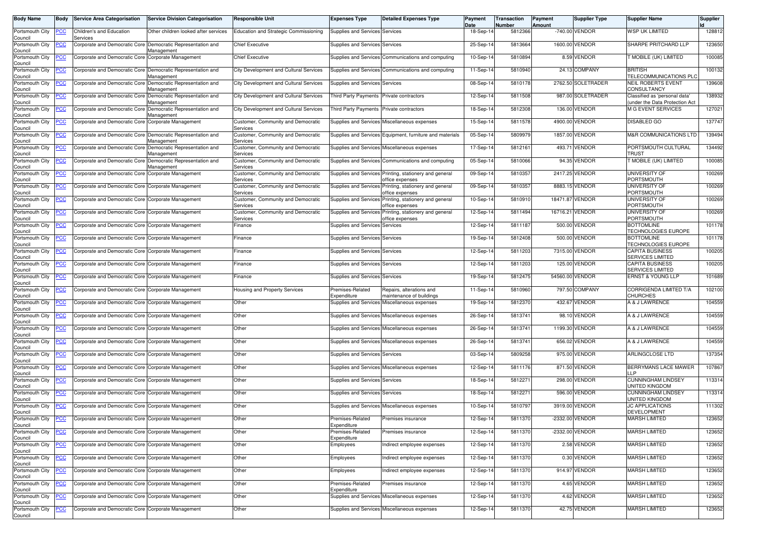| <b>Body Name</b>               | <b>Body</b>    | <b>Service Area Categorisation</b>                 | <b>Service Division Categorisation</b>                                    | <b>Responsible Unit</b>                        | <b>Expenses Type</b>                     | <b>Detailed Expenses Type</b>                                             | Payment<br>Date | <b>Transaction</b><br><b>Number</b> | Payment<br>Amount | <b>Supplier Type</b> | <b>Supplier Name</b>                                            | <b>Supplier</b> |
|--------------------------------|----------------|----------------------------------------------------|---------------------------------------------------------------------------|------------------------------------------------|------------------------------------------|---------------------------------------------------------------------------|-----------------|-------------------------------------|-------------------|----------------------|-----------------------------------------------------------------|-----------------|
| Portsmouth City<br>Council     | PСC            | Children's and Education<br>Services               | Other children looked after services                                      | Education and Strategic Commissioning          | Supplies and Services Services           |                                                                           | 18-Sep-14       | 5812366                             |                   | -740.00 VENDOR       | <b>WSP UK LIMITED</b>                                           | 128812          |
| Portsmouth City<br>Council     | <u>PCC</u>     |                                                    | Corporate and Democratic Core Democratic Representation and<br>Management | <b>Chief Executive</b>                         | Supplies and Services Services           |                                                                           | 25-Sep-14       | 5813664                             |                   | 1600.00 VENDOR       | SHARPE PRITCHARD LLP                                            | 123650          |
| Portsmouth City<br>Council     |                | Corporate and Democratic Core Corporate Management |                                                                           | <b>Chief Executive</b>                         |                                          | Supplies and Services Communications and computing                        | 10-Sep-14       | 5810894                             |                   | 8.59 VENDOR          | <b>F MOBILE (UK) LIMITED</b>                                    | 100085          |
| Portsmouth City<br>Council     | <u>PCC</u>     | Corporate and Democratic Core                      | Democratic Representation and<br>Management                               | <b>City Development and Cultural Services</b>  |                                          | Supplies and Services Communications and computing                        | 11-Sep-14       | 5810940                             |                   | 24.13 COMPANY        | <b>BRITISH</b><br>TELECOMMUNICATIONS PLC                        | 100132          |
| Portsmouth City<br>Council     | <u>PCC</u>     | Corporate and Democratic Core                      | Democratic Representation and<br>Management                               | City Development and Cultural Services         | Supplies and Services Services           |                                                                           | 08-Sep-14       | 5810178                             |                   | 2762.50 SOLETRADER   | <b>NEIL ROBERTS EVENT</b><br>CONSULTANCY                        | 139608          |
| Portsmouth City<br>Council     | <u>CC </u>     | Corporate and Democratic Core                      | Democratic Representation and<br>Management                               | City Development and Cultural Services         | Third Party Payments Private contractors |                                                                           | 12-Sep-14       | 5811508                             |                   | 987.00 SOLETRADER    | Classified as 'personal data'<br>(under the Data Protection Act | 138932          |
| Portsmouth City<br>Council     | <b>PCC</b>     | Corporate and Democratic Core                      | Democratic Representation and<br>Aanagement                               | <b>City Development and Cultural Services</b>  | Third Party Payments                     | Private contractors                                                       | 18-Sep-14       | 5812308                             |                   | 136.00 VENDOR        | <b>M G EVENT SERVICES</b>                                       | 127021          |
| Portsmouth City<br>Council     | <u>PCC</u>     | Corporate and Democratic Core                      | Corporate Management                                                      | Customer, Community and Democratic<br>Services |                                          | Supplies and Services Miscellaneous expenses                              | 15-Sep-14       | 5811578                             |                   | 4900.00 VENDOR       | <b>DISABLED GO</b>                                              | 137747          |
| Portsmouth City<br>Council     | °СС            | Corporate and Democratic Core                      | Democratic Representation and<br>Management                               | Customer, Community and Democratic<br>Services |                                          | Supplies and Services Equipment, furniture and materials                  | 05-Sep-14       | 5809979                             |                   | 1857.00 VENDOR       | <b>M&amp;R COMMUNICATIONS LTD</b>                               | 139494          |
| Portsmouth City<br>Council     | <u>PCC</u>     | Corporate and Democratic Core                      | Democratic Representation and<br>Management                               | Customer, Community and Democratic<br>Services |                                          | Supplies and Services Miscellaneous expenses                              | 17-Sep-14       | 5812161                             |                   | 493.71 VENDOR        | PORTSMOUTH CULTURAL<br>TRUST                                    | 134492          |
| Portsmouth City<br>Council     | ∙сс            | Corporate and Democratic Core                      | Democratic Representation and<br>Aanagement                               | Customer, Community and Democratic<br>Services |                                          | Supplies and Services Communications and computing                        | 05-Sep-14       | 5810066                             |                   | 94.35 VENDOR         | <b>F MOBILE (UK) LIMITED</b>                                    | 100085          |
| Portsmouth City<br>Council     | <u>CC </u>     | Corporate and Democratic Core                      | Corporate Management                                                      | Customer, Community and Democratic<br>Services |                                          | Supplies and Services Printing, stationery and general<br>office expenses | 09-Sep-14       | 5810357                             |                   | 2417.25 VENDOR       | UNIVERSITY OF<br>PORTSMOUTH                                     | 100269          |
| Portsmouth City<br>Council     | ∙сс            | Corporate and Democratic Core                      | Corporate Management                                                      | Customer, Community and Democratic<br>Services | <b>Supplies and Services</b>             | Printing, stationery and general<br>office expenses                       | 09-Sep-14       | 5810357                             |                   | 8883.15 VENDOR       | UNIVERSITY OF<br>PORTSMOUTH                                     | 100269          |
| Portsmouth City<br>Council     | <u>PCC</u>     | Corporate and Democratic Core                      | Corporate Management                                                      | Customer, Community and Democratic<br>Services | <b>Supplies and Services</b>             | Printing, stationery and general<br>office expenses                       | 10-Sep-14       | 5810910                             |                   | 18471.87 VENDOR      | UNIVERSITY OF<br>PORTSMOUTH                                     | 100269          |
| Portsmouth City<br>Council     | <u>PCC</u>     | Corporate and Democratic Core                      | Corporate Management                                                      | Customer, Community and Democratic<br>Services | <b>Supplies and Services</b>             | Printing, stationery and general<br>office expenses                       | 12-Sep-14       | 5811494                             |                   | 16716.21 VENDOR      | <b>UNIVERSITY OF</b><br>PORTSMOUTH                              | 100269          |
| Portsmouth City<br>Council     | <u>CC</u>      | Corporate and Democratic Core                      | Corporate Management                                                      | Finance                                        | <b>Supplies and Services Services</b>    |                                                                           | 12-Sep-14       | 5811187                             |                   | 500.00 VENDOR        | <b>BOTTOMLINE</b><br>TECHNOLOGIES EUROPE                        | 101178          |
| Portsmouth City<br>Council     | <u>PCC</u>     | Corporate and Democratic Core                      | Corporate Management                                                      | Finance                                        | <b>Supplies and Services Services</b>    |                                                                           | 19-Sep-14       | 5812408                             |                   | 500.00 VENDOR        | <b>BOTTOMLINE</b><br>TECHNOLOGIES EUROPE                        | 101178          |
| Portsmouth City<br>Council     | <u>PCC</u>     | Corporate and Democratic Core                      | Corporate Management                                                      | -inance                                        | <b>Supplies and Services Services</b>    |                                                                           | 12-Sep-14       | 5811203                             |                   | 7315.00 VENDOR       | <b>CAPITA BUSINESS</b><br><b>SERVICES LIMITED</b>               | 100205          |
| Portsmouth City<br>Council     | <u>CC </u>     | Corporate and Democratic Core                      | Corporate Management                                                      | Finance                                        | Supplies and Services Services           |                                                                           | 12-Sep-14       | 5811203                             |                   | 125.00 VENDOR        | <b>CAPITA BUSINESS</b><br><b>SERVICES LIMITED</b>               | 100205          |
| Portsmouth City<br>Council     | <u>PCC</u>     | Corporate and Democratic Core                      | Corporate Management                                                      | Finance                                        | Supplies and Services Services           |                                                                           | 19-Sep-14       | 5812475                             |                   | 54560.00 VENDOR      | <b>ERNST &amp; YOUNG LLP</b>                                    | 101689          |
| Portsmouth City<br>Council     | <u>PCC</u>     | Corporate and Democratic Core                      | Corporate Management                                                      | Housing and Property Services                  | Premises-Related<br>Expenditure          | Repairs, alterations and<br>maintenance of buildings                      | 11-Sep-14       | 5810960                             |                   | 797.50 COMPANY       | CORRIGENDA LIMITED T/A<br>CHURCHES                              | 102100          |
| Portsmouth City<br>Council     | <u>PCC</u>     | Corporate and Democratic Core                      | Corporate Management                                                      | Other                                          |                                          | Supplies and Services Miscellaneous expenses                              | 19-Sep-14       | 5812370                             |                   | 432.67 VENDOR        | A & J LAWRENCE                                                  | 104559          |
| Portsmouth City<br>Council     | <u>PCC</u>     | Corporate and Democratic Core                      | Corporate Management                                                      | Other                                          |                                          | Supplies and Services Miscellaneous expenses                              | 26-Sep-14       | 5813741                             |                   | 98.10 VENDOR         | A & J LAWRENCE                                                  | 104559          |
| Portsmouth City<br>Council     | <u>CC </u>     | Corporate and Democratic Core Corporate Management |                                                                           | Other                                          |                                          | Supplies and Services Miscellaneous expenses                              | 26-Sep-14       | 5813741                             |                   | 1199.30 VENDOR       | A & J LAWRENCE                                                  | 104559          |
| Portsmouth City<br>Council     | <u>PCC </u>    | Corporate and Democratic Core                      | Corporate Management                                                      | Other                                          |                                          | Supplies and Services Miscellaneous expenses                              | 26-Sep-14       | 5813741                             |                   | 656.02 VENDOR        | A & J LAWRENCE                                                  | 104559          |
| Portsmouth City<br>Council     | <u>PCC </u>    | Corporate and Democratic Core                      | Corporate Management                                                      | Other                                          | Supplies and Services Services           |                                                                           | 03-Sep-14       | 5809258                             |                   | 975.00 VENDOR        | ARLINGCLOSE LTD                                                 | 137354          |
| Portsmouth City<br>Council     | <u>PCC</u>     | Corporate and Democratic Core                      | Corporate Management                                                      | Other                                          |                                          | Supplies and Services Miscellaneous expenses                              | 12-Sep-14       | 5811176                             |                   | 871.50 VENDOR        | BERRYMANS LACE MAWER<br>I I P                                   | 107867          |
| Portsmouth City<br>Council     | $\overline{C}$ | Corporate and Democratic Core                      | Corporate Management                                                      | Other                                          | Supplies and Services Services           |                                                                           | 18-Sep-14       | 5812271                             |                   | 298.00 VENDOR        | <b>CUNNINGHAM LINDSEY</b><br>UNITED KINGDOM                     | 113314          |
| Portsmouth City<br>Council     | <u>PCC</u>     | Corporate and Democratic Core                      | Corporate Management                                                      | Other                                          | Supplies and Services Services           |                                                                           | 18-Sep-14       | 581227                              |                   | 596.00 VENDOR        | <b>CUNNINGHAM LINDSEY</b><br>UNITED KINGDOM                     | 113314          |
| Portsmouth City<br>Council     | <u>PCC</u>     | Corporate and Democratic Core                      | Corporate Management                                                      | Other                                          |                                          | Supplies and Services Miscellaneous expenses                              | 10-Sep-14       | 5810797                             |                   | 3919.00 VENDOR       | JC APPLICATIONS<br><b>DEVELOPMENT</b>                           | 111302          |
| Portsmouth City PCC<br>Council |                | Corporate and Democratic Core Corporate Management |                                                                           | Other                                          | Premises-Related<br>Expenditure          | Premises insurance                                                        | 12-Sep-14       | 5811370                             |                   | -2332.00 VENDOR      | <b>MARSH LIMITED</b>                                            | 123652          |
| Portsmouth City<br>Council     | <b>PCC</b>     | Corporate and Democratic Core Corporate Management |                                                                           | Other                                          | Premises-Related<br>Expenditure          | Premises insurance                                                        | 12-Sep-14       | 5811370                             |                   | -2332.00 VENDOR      | <b>MARSH LIMITED</b>                                            | 123652          |
| Portsmouth City<br>Council     | <u>PCC</u>     | Corporate and Democratic Core                      | Corporate Management                                                      | Other                                          | Employees                                | Indirect employee expenses                                                | 12-Sep-14       | 5811370                             |                   | 2.58 VENDOR          | <b>MARSH LIMITED</b>                                            | 123652          |
| Portsmouth City<br>Council     | <u>PCC</u>     | Corporate and Democratic Core                      | Corporate Management                                                      | Other                                          | Employees                                | Indirect employee expenses                                                | 12-Sep-14       | 5811370                             |                   | 0.30 VENDOR          | <b>MARSH LIMITED</b>                                            | 123652          |
| Portsmouth City<br>Council     | <u>PCC</u>     | Corporate and Democratic Core Corporate Management |                                                                           | Other                                          | Employees                                | ndirect employee expenses                                                 | 12-Sep-14       | 5811370                             |                   | 914.97 VENDOR        | <b>MARSH LIMITED</b>                                            | 123652          |
| Portsmouth City<br>Council     | <u>PCC</u>     | Corporate and Democratic Core Corporate Management |                                                                           | Other                                          | Premises-Related<br>Expenditure          | Premises insurance                                                        | 12-Sep-14       | 5811370                             |                   | 4.65 VENDOR          | <b>MARSH LIMITED</b>                                            | 123652          |
| Portsmouth City<br>Council     | <u>PCC</u>     | Corporate and Democratic Core Corporate Management |                                                                           | Other                                          |                                          | Supplies and Services Miscellaneous expenses                              | 12-Sep-14       | 5811370                             |                   | 4.62 VENDOR          | <b>MARSH LIMITED</b>                                            | 123652          |
| Portsmouth City<br>Council     | <u>PCC</u>     | Corporate and Democratic Core                      | Corporate Management                                                      | Other                                          |                                          | Supplies and Services Miscellaneous expenses                              | 12-Sep-14       | 5811370                             |                   | 42.75 VENDOR         | <b>MARSH LIMITED</b>                                            | 123652          |
|                                |                |                                                    |                                                                           |                                                |                                          |                                                                           |                 |                                     |                   |                      |                                                                 |                 |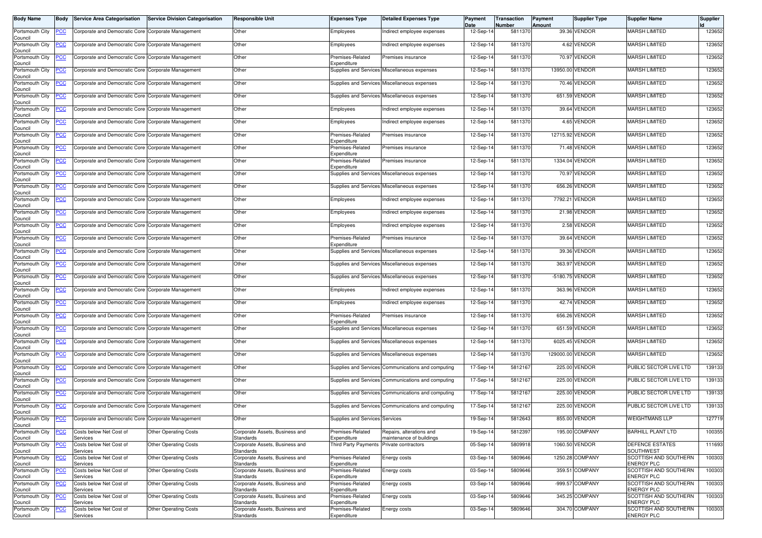| <b>Body Name</b>           | Body           | <b>Service Area Categorisation</b>                 | <b>Service Division Categorisation</b> | Responsible Unit                            | <b>Expenses Type</b>            | <b>Detailed Expenses Type</b>                        | Payment<br>Date | Transaction<br>Number | Payment<br>Amount | <b>Supplier Type</b> | <b>Supplier Name</b>                              | Supplier |
|----------------------------|----------------|----------------------------------------------------|----------------------------------------|---------------------------------------------|---------------------------------|------------------------------------------------------|-----------------|-----------------------|-------------------|----------------------|---------------------------------------------------|----------|
| Portsmouth City<br>Council | <u>PCC</u>     | Corporate and Democratic Core Corporate Management |                                        | Other                                       | Employees                       | Indirect employee expenses                           | 12-Sep-14       | 5811370               |                   | 39.36 VENDOR         | MARSH LIMITED                                     | 123652   |
| Portsmouth City<br>Council | <u>PCC</u>     | Corporate and Democratic Core Corporate Management |                                        | Other                                       | Employees                       | Indirect employee expenses                           | 12-Sep-14       | 5811370               |                   | 4.62 VENDOR          | <b>MARSH LIMITED</b>                              | 123652   |
| Portsmouth City            |                | Corporate and Democratic Core Corporate Management |                                        | Other                                       | Premises-Related<br>Expenditure | Premises insurance                                   | 12-Sep-14       | 5811370               |                   | 70.97 VENDOR         | <b>MARSH LIMITED</b>                              | 123652   |
| Council<br>Portsmouth City | <u>PCC</u>     | Corporate and Democratic Core Corporate Management |                                        | Other                                       |                                 | Supplies and Services Miscellaneous expenses         | 12-Sep-14       | 5811370               |                   | 13950.00 VENDOR      | <b>MARSH LIMITED</b>                              | 123652   |
| Council<br>Portsmouth City | <b>PCC</b>     | Corporate and Democratic Core Corporate Management |                                        | Other                                       |                                 | Supplies and Services Miscellaneous expenses         | 12-Sep-14       | 5811370               |                   | 70.46 VENDOR         | <b>MARSH LIMITED</b>                              | 123652   |
| Council<br>Portsmouth City | <u>PCC</u>     | Corporate and Democratic Core Corporate Management |                                        | Other                                       |                                 | Supplies and Services Miscellaneous expenses         | 12-Sep-14       | 5811370               |                   | 651.59 VENDOR        | <b>MARSH LIMITED</b>                              | 123652   |
| Council<br>Portsmouth City | <u>PCC</u>     | Corporate and Democratic Core Corporate Management |                                        | Other                                       | Employees                       | Indirect employee expenses                           | 12-Sep-14       | 5811370               |                   | 39.64 VENDOR         | <b>MARSH LIMITED</b>                              | 123652   |
| Council<br>Portsmouth City | <u>PCC</u>     | Corporate and Democratic Core Corporate Management |                                        | Other                                       | Employees                       | Indirect employee expenses                           | 12-Sep-14       | 5811370               |                   | 4.65 VENDOR          | <b>MARSH LIMITED</b>                              | 123652   |
| Council<br>Portsmouth City | ۲CC            | Corporate and Democratic Core Corporate Management |                                        | Other                                       | Premises-Related                | Premises insurance                                   | 12-Sep-14       | 5811370               |                   | 12715.92 VENDOR      | <b>MARSH LIMITED</b>                              | 123652   |
| Council<br>Portsmouth City | <u>PCC</u>     | Corporate and Democratic Core Corporate Management |                                        | Other                                       | Expenditure<br>Premises-Related | Premises insurance                                   | 12-Sep-14       | 5811370               |                   | 71.48 VENDOR         | <b>MARSH LIMITED</b>                              | 123652   |
| Council<br>Portsmouth City | <u>PCC</u>     | Corporate and Democratic Core Corporate Management |                                        | Other                                       | Expenditure<br>Premises-Related | Premises insurance                                   | 12-Sep-14       | 5811370               |                   | 1334.04 VENDOR       | <b>MARSH LIMITED</b>                              | 123652   |
| Council<br>Portsmouth City | <u>PCC </u>    | Corporate and Democratic Core Corporate Management |                                        | Other                                       | Expenditure                     | Supplies and Services Miscellaneous expenses         | 12-Sep-14       | 5811370               |                   | 70.97 VENDOR         | <b>MARSH LIMITED</b>                              | 123652   |
| Council<br>Portsmouth City | <u>PCC</u>     | Corporate and Democratic Core Corporate Management |                                        | Other                                       |                                 | Supplies and Services Miscellaneous expenses         | 12-Sep-14       | 5811370               |                   | 656.26 VENDOR        | <b>MARSH LIMITED</b>                              | 123652   |
| Council<br>Portsmouth City |                | Corporate and Democratic Core Corporate Management |                                        | Other                                       | Employees                       | Indirect employee expenses                           | 12-Sep-14       | 5811370               | 7792.21           | VENDOR               | <b>MARSH LIMITED</b>                              | 123652   |
| Council<br>Portsmouth City | <u>PCC</u>     | Corporate and Democratic Core Corporate Management |                                        | Other                                       | Employees                       | Indirect employee expenses                           | 12-Sep-14       | 5811370               |                   | 21.98 VENDOR         | <b>MARSH LIMITED</b>                              | 123652   |
| Council<br>Portsmouth City | <u>PCC</u>     | Corporate and Democratic Core Corporate Management |                                        | Other                                       | Employees                       | Indirect employee expenses                           | 12-Sep-14       | 5811370               |                   | 2.58 VENDOR          | <b>MARSH LIMITED</b>                              | 123652   |
| Council<br>Portsmouth City | <u>CC</u>      | Corporate and Democratic Core Corporate Management |                                        | Other                                       | Premises-Related                | Premises insurance                                   | 12-Sep-14       | 5811370               |                   | 39.64 VENDOR         | <b>MARSH LIMITED</b>                              | 123652   |
| Council<br>Portsmouth City | <u>PCC</u>     | Corporate and Democratic Core Corporate Management |                                        | Other                                       | Expenditure                     | Supplies and Services Miscellaneous expenses         | 12-Sep-14       | 5811370               |                   | 39.36 VENDOR         | <b>MARSH LIMITED</b>                              | 123652   |
| Council<br>Portsmouth City |                |                                                    |                                        | Other                                       |                                 |                                                      | 12-Sep-14       | 5811370               |                   | 363.97 VENDOR        | <b>MARSH LIMITED</b>                              | 123652   |
| Council                    | <u>PCC</u>     | Corporate and Democratic Core Corporate Management |                                        |                                             |                                 | Supplies and Services Miscellaneous expenses         |                 |                       |                   |                      | <b>MARSH LIMITED</b>                              |          |
| Portsmouth City<br>Council | <u>PCC</u>     | Corporate and Democratic Core Corporate Management |                                        | Other                                       |                                 | Supplies and Services Miscellaneous expenses         | 12-Sep-14       | 5811370               |                   | -5180.75 VENDOR      |                                                   | 123652   |
| Portsmouth City<br>Council | <u>PCC</u>     | Corporate and Democratic Core Corporate Management |                                        | Other                                       | Employees                       | Indirect employee expenses                           | 12-Sep-14       | 5811370               |                   | 363.96 VENDOR        | <b>MARSH LIMITED</b>                              | 123652   |
| Portsmouth City<br>Council | <u>PCC</u>     | Corporate and Democratic Core Corporate Management |                                        | Other                                       | Employees                       | Indirect employee expenses                           | 12-Sep-14       | 5811370               |                   | 42.74 VENDOR         | <b>MARSH LIMITED</b>                              | 123652   |
| Portsmouth City<br>Council | <u>PCC</u>     | Corporate and Democratic Core Corporate Management |                                        | Other                                       | Premises-Related<br>Expenditure | Premises insurance                                   | 12-Sep-14       | 5811370               |                   | 656.26 VENDOR        | <b>MARSH LIMITED</b>                              | 123652   |
| Portsmouth City<br>Council | <u>PCC</u>     | Corporate and Democratic Core Corporate Management |                                        | Other                                       |                                 | Supplies and Services Miscellaneous expenses         | 12-Sep-14       | 5811370               |                   | 651.59 VENDOR        | <b>MARSH LIMITED</b>                              | 123652   |
| Portsmouth City<br>Council | ∍сс            | Corporate and Democratic Core                      | Corporate Management                   | Other                                       |                                 | Supplies and Services Miscellaneous expenses         | 12-Sep-14       | 5811370               |                   | 6025.45 VENDOR       | <b>MARSH LIMITED</b>                              | 123652   |
| Portsmouth City<br>Council | <u>PCC</u>     | Corporate and Democratic Core Corporate Management |                                        | Other                                       |                                 | Supplies and Services Miscellaneous expenses         | 12-Sep-14       | 5811370               | 129000.00 VENDOR  |                      | <b>MARSH LIMITED</b>                              | 123652   |
| Portsmouth City<br>Council | <u>PCC</u>     | Corporate and Democratic Core Corporate Management |                                        | Other                                       |                                 | Supplies and Services Communications and computing   | 17-Sep-14       | 5812167               |                   | 225.00 VENDOR        | PUBLIC SECTOR LIVE LTD                            | 139133   |
| Portsmouth City<br>Council | <u>PCC</u>     | Corporate and Democratic Core Corporate Management |                                        | Other                                       |                                 | Supplies and Services Communications and computing   | 17-Sep-14       | 5812167               |                   | 225.00 VENDOR        | PUBLIC SECTOR LIVE LTD                            | 139133   |
| Portsmouth City<br>Council | <u>PCC</u>     | Corporate and Democratic Core Corporate Management |                                        | Other                                       |                                 | Supplies and Services Communications and computing   | 17-Sep-14       | 5812167               |                   | 225.00 VENDOR        | PUBLIC SECTOR LIVE LTD                            | 139133   |
| Portsmouth City<br>Council | <u>PCC</u>     | Corporate and Democratic Core Corporate Management |                                        | Other                                       |                                 | Supplies and Services Communications and computing   | 17-Sep-14       | 5812167               |                   | 225.00 VENDOR        | PUBLIC SECTOR LIVE LTD                            | 139133   |
| Portsmouth City<br>Council | <b>PCC</b>     | Corporate and Democratic Core Corporate Management |                                        | Other                                       | Supplies and Services Services  |                                                      | 19-Sep-14       | 5812643               |                   | 855.00 VENDOR        | <b>WEIGHTMANS LLP</b>                             | 127719   |
| Portsmouth City<br>Council | PСC            | Costs below Net Cost of<br>Services                | <b>Other Operating Costs</b>           | Corporate Assets, Business and<br>Standards | Premises-Related<br>Expenditure | Repairs, alterations and<br>maintenance of buildings | 19-Sep-14       | 5812397               |                   | 195.00 COMPANY       | <b>BARHILL PLANT LTD</b>                          | 100355   |
| Portsmouth City<br>Council | <u>PCC</u>     | Costs below Net Cost of<br>Services                | <b>Other Operating Costs</b>           | Corporate Assets, Business and<br>Standards | <b>Third Party Payments</b>     | Private contractors                                  | 05-Sep-14       | 5809918               |                   | 1060.50 VENDOR       | DEFENCE ESTATES<br>SOUTHWEST                      | 111693   |
| Portsmouth City<br>Council | $\overline{C}$ | Costs below Net Cost of<br>Services                | <b>Other Operating Costs</b>           | Corporate Assets, Business and<br>Standards | Premises-Related<br>Expenditure | Energy costs                                         | 03-Sep-14       | 5809646               |                   | 1250.28 COMPANY      | SCOTTISH AND SOUTHERN<br><b>ENERGY PLC</b>        | 100303   |
| Portsmouth City<br>Council | <u>PCC</u>     | Costs below Net Cost of<br>Services                | <b>Other Operating Costs</b>           | Corporate Assets, Business and<br>Standards | Premises-Related<br>Expenditure | Energy costs                                         | 03-Sep-14       | 5809646               |                   | 359.51 COMPANY       | SCOTTISH AND SOUTHERN<br><b>ENERGY PLC</b>        | 100303   |
| Portsmouth City<br>Council | <u>PCC</u>     | Costs below Net Cost of<br>Services                | <b>Other Operating Costs</b>           | Corporate Assets, Business and<br>Standards | Premises-Related<br>Expenditure | Energy costs                                         | 03-Sep-14       | 5809646               |                   | -999.57 COMPANY      | <b>SCOTTISH AND SOUTHERN</b><br><b>ENERGY PLC</b> | 100303   |
| Portsmouth City            | PСC            | Costs below Net Cost of                            | <b>Other Operating Costs</b>           | Corporate Assets, Business and              | Premises-Related                | Energy costs                                         | 03-Sep-14       | 5809646               |                   | 345.25 COMPANY       | SCOTTISH AND SOUTHERN<br><b>ENERGY PLC</b>        | 100303   |
| Council<br>Portsmouth City | $\overline{C}$ | Services<br>Costs below Net Cost of                | <b>Other Operating Costs</b>           | Standards<br>Corporate Assets, Business and | Expenditure<br>Premises-Related | Energy costs                                         | 03-Sep-14       | 5809646               |                   | 304.70 COMPANY       | SCOTTISH AND SOUTHERN                             | 100303   |
| Council                    |                | Services                                           |                                        | Standards                                   | Expenditure                     |                                                      |                 |                       |                   |                      | <b>ENERGY PLC</b>                                 |          |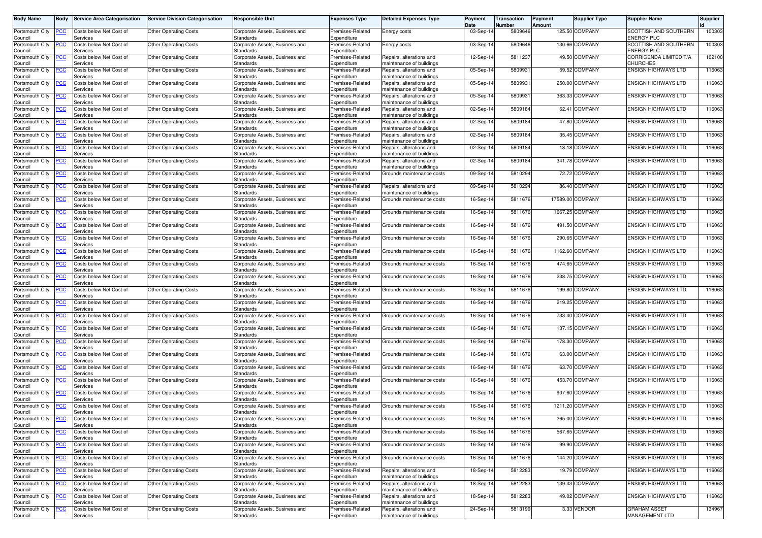| <b>Body Name</b>           | Body       | <b>Service Area Categorisation</b>  | <b>Service Division Categorisation</b> | <b>Responsible Unit</b>                            | <b>Expenses Type</b>            | <b>Detailed Expenses Type</b>                        | Payment<br>Date | Transaction<br>Number | Payment<br>Amount | Supplier Type    | <b>Supplier Name</b>                       | Supplier |
|----------------------------|------------|-------------------------------------|----------------------------------------|----------------------------------------------------|---------------------------------|------------------------------------------------------|-----------------|-----------------------|-------------------|------------------|--------------------------------------------|----------|
| Portsmouth City<br>Council | PСC        | Costs below Net Cost of<br>Services | <b>Other Operating Costs</b>           | Corporate Assets, Business and<br><b>Standards</b> | Premises-Related<br>Expenditure | Energy costs                                         | 03-Sep-14       | 5809646               |                   | 125.50 COMPANY   | SCOTTISH AND SOUTHERN<br><b>ENERGY PLC</b> | 100303   |
| Portsmouth City<br>Council | <u>PCC</u> | Costs below Net Cost of<br>Services | <b>Other Operating Costs</b>           | Corporate Assets, Business and<br>Standards        | Premises-Related<br>Expenditure | Energy costs                                         | 03-Sep-14       | 5809646               |                   | 130.66 COMPANY   | SCOTTISH AND SOUTHERN<br>ENERGY PLC        | 100303   |
| Portsmouth City            | ∍сс        | Costs below Net Cost of             | <b>Other Operating Costs</b>           | Corporate Assets, Business and                     | Premises-Related                | Repairs, alterations and                             | 12-Sep-1        | 581123                |                   | 49.50 COMPANY    | CORRIGENDA LIMITED T/A                     | 102100   |
| Council<br>Portsmouth City | <u>PCC</u> | Services<br>Costs below Net Cost of | <b>Other Operating Costs</b>           | Standards<br>Corporate Assets, Business and        | Expenditure<br>Premises-Related | maintenance of buildings<br>Repairs, alterations and | 05-Sep-14       | 580993                |                   | 59.52 COMPANY    | CHURCHES<br><b>ENSIGN HIGHWAYS LTD</b>     | 116063   |
| Council<br>Portsmouth City | PСC        | Services<br>Costs below Net Cost of | <b>Other Operating Costs</b>           | Standards<br>Corporate Assets, Business and        | Expenditure<br>Premises-Related | maintenance of buildings<br>Repairs, alterations and | 05-Sep-14       | 580993                |                   | 250.00 COMPANY   | ENSIGN HIGHWAYS LTD                        | 116063   |
| Council<br>Portsmouth City | <u>PCC</u> | Services<br>Costs below Net Cost of | <b>Other Operating Costs</b>           | Standards<br>Corporate Assets, Business and        | Expenditure<br>Premises-Related | maintenance of buildings<br>Repairs, alterations and | 05-Sep-14       | 580993                |                   | 363.33 COMPANY   | <b>ENSIGN HIGHWAYS LTD</b>                 | 116063   |
| Council<br>Portsmouth City | PСC        | Services<br>Costs below Net Cost of | <b>Other Operating Costs</b>           | Standards<br>Corporate Assets, Business and        | Expenditure<br>Premises-Related | maintenance of buildings<br>Repairs, alterations and | 02-Sep-1        | 5809184               | 62.41             | <b>COMPANY</b>   | ENSIGN HIGHWAYS LTD                        | 116063   |
| Council<br>Portsmouth City | <u>PCC</u> | Services<br>Costs below Net Cost of | <b>Other Operating Costs</b>           | Standards<br>Corporate Assets, Business and        | Expenditure<br>Premises-Related | maintenance of buildings<br>Repairs, alterations and | 02-Sep-14       | 5809184               |                   | 47.80 COMPANY    | <b>ENSIGN HIGHWAYS LTD</b>                 | 116063   |
| Council<br>Portsmouth City |            | Services                            |                                        | Standards                                          | Expenditure                     | maintenance of buildings                             |                 | 5809184               |                   | 35.45 COMPANY    | ENSIGN HIGHWAYS LTD                        |          |
| Council                    | ۲CC        | Costs below Net Cost of<br>Services | <b>Other Operating Costs</b>           | Corporate Assets, Business and<br>Standards        | Premises-Related<br>Expenditure | Repairs, alterations and<br>maintenance of buildings | 02-Sep-14       |                       |                   |                  |                                            | 116063   |
| Portsmouth City<br>Council | <b>PCC</b> | Costs below Net Cost of<br>Services | <b>Other Operating Costs</b>           | Corporate Assets, Business and<br>Standards        | Premises-Related<br>Expenditure | Repairs, alterations and<br>maintenance of buildings | 02-Sep-14       | 5809184               |                   | 18.18 COMPANY    | <b>ENSIGN HIGHWAYS LTD</b>                 | 116063   |
| Portsmouth City<br>Council | PСC        | Costs below Net Cost of<br>Services | <b>Other Operating Costs</b>           | Corporate Assets, Business and<br>Standards        | Premises-Related<br>Expenditure | Repairs, alterations and<br>maintenance of buildings | 02-Sep-1        | 5809184               |                   | 341.78 COMPANY   | <b>ENSIGN HIGHWAYS LTD</b>                 | 116063   |
| Portsmouth City<br>Council | ۲CC        | Costs below Net Cost of<br>Services | <b>Other Operating Costs</b>           | Corporate Assets, Business and<br>Standards        | Premises-Related<br>Expenditure | Grounds maintenance costs                            | 09-Sep-14       | 5810294               |                   | 72.72 COMPANY    | <b>ENSIGN HIGHWAYS LTD</b>                 | 116063   |
| Portsmouth City<br>Council | PСC        | Costs below Net Cost of<br>Services | <b>Other Operating Costs</b>           | Corporate Assets, Business and<br>Standards        | Premises-Related<br>Expenditure | Repairs, alterations and<br>maintenance of buildings | 09-Sep-1        | 5810294               |                   | 86.40 COMPANY    | <b>ENSIGN HIGHWAYS LTD</b>                 | 116063   |
| Portsmouth City            | ۲CC        | Costs below Net Cost of             | <b>Other Operating Costs</b>           | Corporate Assets, Business and<br>Standards        | Premises-Related<br>Expenditure | Grounds maintenance costs                            | 16-Sep-14       | 5811676               |                   | 17589.00 COMPANY | <b>ENSIGN HIGHWAYS LTD</b>                 | 116063   |
| Council<br>Portsmouth City | PСC        | Services<br>Costs below Net Cost of | <b>Other Operating Costs</b>           | Corporate Assets, Business and                     | Premises-Related                | Grounds maintenance costs                            | $16-Sep-1$      | 5811676               |                   | 1667.25 COMPANY  | ENSIGN HIGHWAYS LTD                        | 116063   |
| Council<br>Portsmouth City | PСC        | Services<br>Costs below Net Cost of | <b>Other Operating Costs</b>           | Standards<br>Corporate Assets, Business and        | Expenditure<br>Premises-Related | Grounds maintenance costs                            | 16-Sep-14       | 5811676               |                   | 491.50 COMPANY   | <b>ENSIGN HIGHWAYS LTD</b>                 | 116063   |
| Council<br>Portsmouth City | <u>PCC</u> | Services<br>Costs below Net Cost of | <b>Other Operating Costs</b>           | Standards<br>Corporate Assets, Business and        | Expenditure<br>Premises-Related | Grounds maintenance costs                            | 16-Sep-14       | 5811676               |                   | 290.65 COMPANY   | <b>ENSIGN HIGHWAYS LTD</b>                 | 116063   |
| Council<br>Portsmouth City | <b>PCC</b> | Services<br>Costs below Net Cost of | <b>Other Operating Costs</b>           | Standards<br>Corporate Assets, Business and        | Expenditure<br>Premises-Related | Grounds maintenance costs                            | 16-Sep-14       | 5811676               |                   | 1162.60 COMPANY  | <b>ENSIGN HIGHWAYS LTD</b>                 | 116063   |
| Council<br>Portsmouth City | <u>PCC</u> | Services<br>Costs below Net Cost of | <b>Other Operating Costs</b>           | Standards<br>Corporate Assets, Business and        | Expenditure<br>Premises-Related | Grounds maintenance costs                            | 16-Sep-14       | 5811676               |                   | 474.65 COMPANY   | <b>ENSIGN HIGHWAYS LTD</b>                 | 116063   |
| Council<br>Portsmouth City | PСC        | Services<br>Costs below Net Cost of | <b>Other Operating Costs</b>           | Standards<br>Corporate Assets, Business and        | Expenditure<br>Premises-Related | Grounds maintenance costs                            | $16-Sep-1$      | 5811676               |                   | 238.75 COMPANY   | <b>ENSIGN HIGHWAYS LTD</b>                 | 116063   |
| Council                    |            | Services                            |                                        | Standards                                          | Expenditure                     |                                                      |                 |                       |                   | 199.80 COMPANY   |                                            |          |
| Portsmouth City<br>Council | PСC        | Costs below Net Cost of<br>Services | <b>Other Operating Costs</b>           | Corporate Assets, Business and<br>Standards        | Premises-Related<br>Expenditure | Grounds maintenance costs                            | $16-Sep-1$      | 5811676               |                   |                  | <b>ENSIGN HIGHWAYS LTD</b>                 | 116063   |
| Portsmouth City<br>Council | ۲CC        | Costs below Net Cost of<br>Services | <b>Other Operating Costs</b>           | Corporate Assets, Business and<br>Standards        | Premises-Related<br>Expenditure | Grounds maintenance costs                            | 16-Sep-14       | 5811676               |                   | 219.25 COMPANY   | <b>ENSIGN HIGHWAYS LTD</b>                 | 116063   |
| Portsmouth City<br>Council | <u>PCC</u> | Costs below Net Cost of<br>Services | <b>Other Operating Costs</b>           | Corporate Assets, Business and<br>Standards        | Premises-Related<br>Expenditure | Grounds maintenance costs                            | 16-Sep-14       | 5811676               |                   | 733.40 COMPANY   | <b>ENSIGN HIGHWAYS LTD</b>                 | 116063   |
| Portsmouth City<br>Council | ∍сс        | Costs below Net Cost of<br>Services | <b>Other Operating Costs</b>           | Corporate Assets, Business and<br>Standards        | Premises-Related<br>Expenditure | Grounds maintenance costs                            | 16-Sep-1        | 5811676               |                   | 137.15 COMPANY   | <b>ENSIGN HIGHWAYS LTD</b>                 | 116063   |
| Portsmouth City<br>Council | PСC        | Costs below Net Cost of<br>Services | <b>Other Operating Costs</b>           | Corporate Assets, Business and<br>Standards        | Premises-Related<br>Expenditure | Grounds maintenance costs                            | 16-Sep-14       | 5811676               |                   | 178.30 COMPANY   | <b>ENSIGN HIGHWAYS LTD</b>                 | 116063   |
| Portsmouth City<br>Council | <u>PCC</u> | Costs below Net Cost of<br>Services | <b>Other Operating Costs</b>           | Corporate Assets, Business and<br>Standards        | Premises-Related<br>Expenditure | Grounds maintenance costs                            | 16-Sep-14       | 5811676               |                   | 63.00 COMPANY    | ENSIGN HIGHWAYS LTD                        | 116063   |
| Portsmouth City            | <u>PCC</u> | Costs below Net Cost of             | <b>Other Operating Costs</b>           | Corporate Assets, Business and                     | Premises-Related                | Grounds maintenance costs                            | 16-Sep-14       | 5811676               |                   | 63.70 COMPANY    | <b>ENSIGN HIGHWAYS LTD</b>                 | 116063   |
| Council<br>Portsmouth City | ∍CC        | Services<br>Costs below Net Cost of | <b>Other Operating Costs</b>           | Standards<br>Corporate Assets, Business and        | Expenditure<br>Premises-Related | Grounds maintenance costs                            | 16-Sep-1        | 5811676               |                   | 453.70 COMPANY   | ENSIGN HIGHWAYS LTD                        | 116063   |
| Council<br>Portsmouth City | <u>PCC</u> | Services<br>Costs below Net Cost of | <b>Other Operating Costs</b>           | Standards<br>Corporate Assets, Business and        | Expenditure<br>Premises-Related | Grounds maintenance costs                            | 16-Sep-14       | 5811676               |                   | 907.60 COMPANY   | <b>ENSIGN HIGHWAYS LTD</b>                 | 116063   |
| Council<br>Portsmouth City | <u>PCC</u> | Services<br>Costs below Net Cost of | <b>Other Operating Costs</b>           | Standards<br>Corporate Assets, Business and        | Expenditure<br>Premises-Related | Grounds maintenance costs                            | 16-Sep-14       | 5811676               |                   | 1211.20 COMPANY  | ENSIGN HIGHWAYS LTD                        | 116063   |
| Council<br>Portsmouth City | <b>PCC</b> | Services<br>Costs below Net Cost of | <b>Other Operating Costs</b>           | Standards<br>Corporate Assets, Business and        | Expenditure<br>Premises-Related | Grounds maintenance costs                            | 16-Sep-14       | 5811676               |                   | 265.00 COMPANY   | <b>ENSIGN HIGHWAYS LTD</b>                 | 116063   |
| Council<br>Portsmouth City | PCC        | Services<br>Costs below Net Cost of | <b>Other Operating Costs</b>           | Standards<br>Corporate Assets, Business and        | Expenditure<br>Premises-Related | Grounds maintenance costs                            | 16-Sep-14       | 5811676               |                   | 567.65 COMPANY   | <b>ENSIGN HIGHWAYS LTD</b>                 | 116063   |
| Council<br>Portsmouth City | <u>PCC</u> | Services<br>Costs below Net Cost of | <b>Other Operating Costs</b>           | Standards<br>Corporate Assets, Business and        | Expenditure<br>Premises-Related | Grounds maintenance costs                            | 16-Sep-14       | 5811676               |                   | 99.90 COMPANY    | <b>ENSIGN HIGHWAYS LTD</b>                 | 116063   |
| Council<br>Portsmouth City |            | Services                            |                                        | Standards<br>Corporate Assets, Business and        | Expenditure                     | Grounds maintenance costs                            | 16-Sep-14       | 5811676               |                   | 144.20 COMPANY   | <b>ENSIGN HIGHWAYS LTD</b>                 | 116063   |
| Council                    | PСC        | Costs below Net Cost of<br>Services | <b>Other Operating Costs</b>           | Standards                                          | Premises-Related<br>Expenditure |                                                      |                 |                       |                   |                  |                                            |          |
| Portsmouth City<br>Council | <u>PCC</u> | Costs below Net Cost of<br>Services | <b>Other Operating Costs</b>           | Corporate Assets, Business and<br>Standards        | Premises-Related<br>Expenditure | Repairs, alterations and<br>maintenance of buildings | 18-Sep-14       | 5812283               |                   | 19.79 COMPANY    | <b>ENSIGN HIGHWAYS LTD</b>                 | 116063   |
| Portsmouth City<br>Council | <u>PCC</u> | Costs below Net Cost of<br>Services | <b>Other Operating Costs</b>           | Corporate Assets, Business and<br>Standards        | Premises-Related<br>Expenditure | Repairs, alterations and<br>maintenance of buildings | 18-Sep-14       | 5812283               |                   | 139.43 COMPANY   | ENSIGN HIGHWAYS LTD                        | 116063   |
| Portsmouth City<br>Council | PСC        | Costs below Net Cost of<br>Services | <b>Other Operating Costs</b>           | Corporate Assets, Business and<br>Standards        | Premises-Related<br>Expenditure | Repairs, alterations and<br>naintenance of buildings | 18-Sep-14       | 5812283               |                   | 49.02 COMPANY    | <b>ENSIGN HIGHWAYS LTD</b>                 | 116063   |
| Portsmouth City<br>Council | <u>PCC</u> | Costs below Net Cost of<br>Services | <b>Other Operating Costs</b>           | Corporate Assets, Business and<br>Standards        | Premises-Related<br>Expenditure | Repairs, alterations and<br>maintenance of buildings | 24-Sep-14       | 5813199               |                   | 3.33 VENDOR      | <b>GRAHAM ASSET</b><br>MANAGEMENT LTD      | 134967   |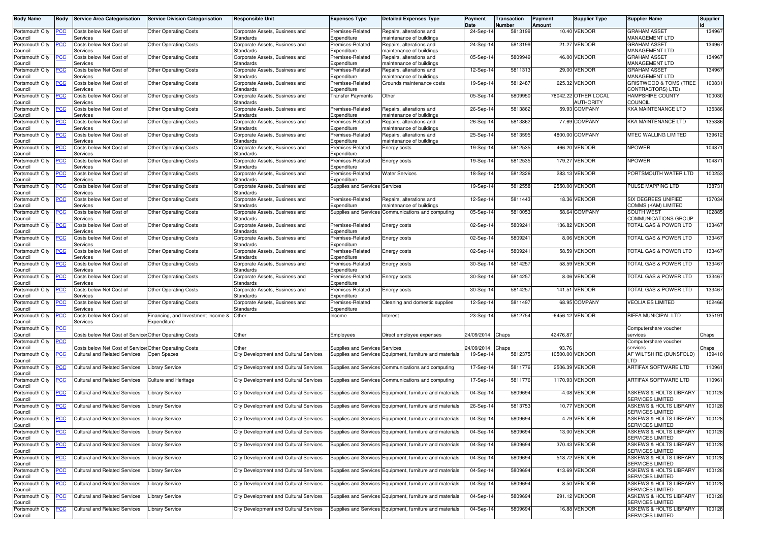| <b>Body Name</b>                      | <b>Body</b>    | <b>Service Area Categorisation</b>                     | <b>Service Division Categorisation</b> | Responsible Unit                            | <b>Expenses Type</b>            | <b>Detailed Expenses Type</b>                            | Payment<br>Date | Transaction<br>Number | Payment<br>Amount | <b>Supplier Type</b>              | <b>Supplier Name</b>                                         | Supplier |
|---------------------------------------|----------------|--------------------------------------------------------|----------------------------------------|---------------------------------------------|---------------------------------|----------------------------------------------------------|-----------------|-----------------------|-------------------|-----------------------------------|--------------------------------------------------------------|----------|
| Portsmouth City                       | ∍сс            | Costs below Net Cost of                                | <b>Other Operating Costs</b>           | Corporate Assets, Business and              | Premises-Related                | Repairs, alterations and                                 | 24-Sep-14       | 5813199               |                   | 10.40 VENDOR                      | <b>GRAHAM ASSET</b>                                          | 134967   |
| Council<br>Portsmouth City            | <u>PCC</u>     | Services<br>Costs below Net Cost of                    | <b>Other Operating Costs</b>           | Standards<br>Corporate Assets, Business and | Expenditure<br>Premises-Related | maintenance of buildings<br>Repairs, alterations and     | 24-Sep-14       | 5813199               |                   | 21.27 VENDOR                      | MANAGEMENT LTD<br><b>GRAHAM ASSET</b>                        | 134967   |
| Council<br>Portsmouth City            | PСC            | Services<br>Costs below Net Cost of                    | <b>Other Operating Costs</b>           | Standards<br>Corporate Assets, Business and | Expenditure<br>Premises-Related | maintenance of buildings<br>Repairs, alterations and     | 05-Sep-14       | 5809949               |                   | 46.00 VENDOR                      | MANAGEMENT LTD<br><b>GRAHAM ASSET</b>                        | 134967   |
| Council                               |                | Services                                               |                                        | Standards                                   | Expenditure                     | naintenance of buildings                                 |                 |                       |                   |                                   | <b>MANAGEMENT LTD</b>                                        |          |
| Portsmouth City<br>Council            | PСC            | Costs below Net Cost of<br>Services                    | <b>Other Operating Costs</b>           | Corporate Assets, Business and<br>Standards | Premises-Related<br>Expenditure | Repairs, alterations and<br>naintenance of buildings     | 12-Sep-14       | 5811313               |                   | 29.00 VENDOR                      | <b>GRAHAM ASSET</b><br>MANAGEMENT LTD                        | 134967   |
| Portsmouth City<br>Council            | <u>PCC</u>     | Costs below Net Cost of<br>Services                    | <b>Other Operating Costs</b>           | Corporate Assets, Business and<br>Standards | Premises-Related<br>Expenditure | Grounds maintenance costs                                | 19-Sep-14       | 5812487               |                   | 625.32 VENDOR                     | GRISTWOOD & TOMS (TREE<br>CONTRACTORS) LTD)                  | 100831   |
| Portsmouth City<br>Council            | PСC            | Costs below Net Cost of<br>Services                    | <b>Other Operating Costs</b>           | Corporate Assets, Business and<br>Standards | ransfer Payments                | Other                                                    | 05-Sep-14       | 5809950               |                   | 78042.22 OTHER LOCAL<br>AUTHORITY | <b>HAMPSHIRE COUNTY</b><br><b>COUNCIL</b>                    | 100030   |
| Portsmouth City<br>Council            | <u>PCC</u>     | Costs below Net Cost of<br>Services                    | <b>Other Operating Costs</b>           | Corporate Assets, Business and<br>Standards | Premises-Related<br>Expenditure | Repairs, alterations and<br>maintenance of buildings     | 26-Sep-14       | 5813862               |                   | 59.93 COMPANY                     | <b>KKA MAINTENANCE LTD</b>                                   | 135386   |
| Portsmouth City<br>Council            | PСC            | Costs below Net Cost of<br>Services                    | <b>Other Operating Costs</b>           | Corporate Assets, Business and<br>Standards | Premises-Related<br>Expenditure | Repairs, alterations and<br>naintenance of buildings     | 26-Sep-14       | 5813862               |                   | 77.69 COMPANY                     | KKA MAINTENANCE LTD                                          | 135386   |
| Portsmouth City<br>Council            | PСC            | Costs below Net Cost of<br>Services                    | <b>Other Operating Costs</b>           | Corporate Assets, Business and<br>Standards | Premises-Related<br>Expenditure | Repairs, alterations and<br>maintenance of buildings     | 25-Sep-14       | 5813595               |                   | 4800.00 COMPANY                   | <b>MTEC WALLING LIMITED</b>                                  | 139612   |
| Portsmouth City                       | <u>PCC</u>     | Costs below Net Cost of                                | <b>Other Operating Costs</b>           | Corporate Assets, Business and              | Premises-Related                | Energy costs                                             | 19-Sep-14       | 5812535               |                   | 466.20 VENDOR                     | NPOWER                                                       | 104871   |
| Council<br>Portsmouth City            | PСC            | Services<br>Costs below Net Cost of                    | <b>Other Operating Costs</b>           | Standards<br>Corporate Assets, Business and | Expenditure<br>Premises-Related | Energy costs                                             | 19-Sep-14       | 5812535               |                   | 179.27 VENDOR                     | <b>NPOWER</b>                                                | 104871   |
| Council<br>Portsmouth City            | <u>PCC</u>     | Services<br>Costs below Net Cost of                    | <b>Other Operating Costs</b>           | Standards<br>Corporate Assets, Business and | Expenditure<br>Premises-Related | <b>Water Services</b>                                    | 18-Sep-14       | 5812326               |                   | 283.13 VENDOR                     | PORTSMOUTH WATER LTD                                         | 100253   |
| Council                               |                | Services                                               |                                        | Standards                                   | Expenditure                     |                                                          |                 |                       |                   |                                   |                                                              |          |
| Portsmouth City<br>Council            | PСC            | Costs below Net Cost of<br>Services                    | <b>Other Operating Costs</b>           | Corporate Assets, Business and<br>Standards | Supplies and Services Services  |                                                          | 19-Sep-14       | 5812558               |                   | 2550.00 VENDOR                    | PULSE MAPPING LTD                                            | 138731   |
| Portsmouth City<br>Council            | ٥с             | Costs below Net Cost of<br>Services                    | <b>Other Operating Costs</b>           | Corporate Assets, Business and<br>Standards | Premises-Related<br>Expenditure | Repairs, alterations and<br>maintenance of buildings     | 12-Sep-14       | 5811443               |                   | 18.36 VENDOR                      | SIX DEGREES UNIFIED<br>COMMS (KAM) LIMITED                   | 137034   |
| Portsmouth City<br>Council            | <u>PCC </u>    | Costs below Net Cost of<br>Services                    | <b>Other Operating Costs</b>           | Corporate Assets, Business and<br>Standards |                                 | Supplies and Services Communications and computing       | 05-Sep-14       | 5810053               |                   | 58.64 COMPANY                     | <b>SOUTH WEST</b><br>COMMUNICATIONS GROUP                    | 102885   |
| Portsmouth City<br>Council            | PСC            | Costs below Net Cost of<br>Services                    | <b>Other Operating Costs</b>           | Corporate Assets, Business and<br>Standards | Premises-Related<br>Expenditure | Energy costs                                             | 02-Sep-14       | 580924                |                   | 136.82 VENDOR                     | TOTAL GAS & POWER LTD                                        | 133467   |
| Portsmouth City<br>Council            | <u>PCC</u>     | Costs below Net Cost of<br>Services                    | <b>Other Operating Costs</b>           | Corporate Assets, Business and<br>Standards | Premises-Related<br>Expenditure | Energy costs                                             | 02-Sep-14       | 5809241               |                   | 8.06 VENDOR                       | <b>FOTAL GAS &amp; POWER LTD</b>                             | 133467   |
| Portsmouth City<br>Council            | <b>PCC</b>     | Costs below Net Cost of<br>Services                    | <b>Other Operating Costs</b>           | Corporate Assets, Business and<br>Standards | Premises-Related<br>Expenditure | Energy costs                                             | 02-Sep-14       | 5809241               |                   | 58.59 VENDOR                      | <b>FOTAL GAS &amp; POWER LTD</b>                             | 133467   |
| Portsmouth City<br>Council            | <b>PCC</b>     | Costs below Net Cost of<br>Services                    | <b>Other Operating Costs</b>           | Corporate Assets, Business and<br>Standards | Premises-Related<br>Expenditure | Energy costs                                             | 30-Sep-14       | 5814257               |                   | 58.59 VENDOR                      | <b>FOTAL GAS &amp; POWER LTD</b>                             | 133467   |
| Portsmouth City<br>Council            | <u>PCC</u>     | Costs below Net Cost of<br>Services                    | <b>Other Operating Costs</b>           | Corporate Assets, Business and<br>Standards | Premises-Related<br>Expenditure | Energy costs                                             | 30-Sep-1        | 5814257               |                   | 8.06 VENDOR                       | <b>FOTAL GAS &amp; POWER LTD</b>                             | 133467   |
| Portsmouth City                       | PСC            | Costs below Net Cost of                                | <b>Other Operating Costs</b>           | Corporate Assets, Business and              | Premises-Related                | Energy costs                                             | 30-Sep-14       | 5814257               |                   | 141.51 VENDOR                     | <b>FOTAL GAS &amp; POWER LTD</b>                             | 133467   |
| Council<br>Portsmouth City            | PСC            | Services<br>Costs below Net Cost of                    | <b>Other Operating Costs</b>           | Standards<br>Corporate Assets, Business and | Expenditure<br>Premises-Related | Cleaning and domestic supplies                           | 12-Sep-14       | 5811497               |                   | 68.95 COMPANY                     | VEOLIA ES LIMITED                                            | 102466   |
| Council<br>Portsmouth City            | <u>PCC</u>     | Services<br>Costs below Net Cost of                    | Financing, and Investment Income &     | <b>Standards</b><br>Other                   | Expenditure<br>Income           | Interest                                                 | 23-Sep-14       | 5812754               |                   | -6456.12 VENDOR                   | BIFFA MUNICIPAL LTD                                          | 135191   |
| Council<br>Portsmouth City            | <b>PCC</b>     | Services                                               | Expenditure                            |                                             |                                 |                                                          |                 |                       |                   |                                   |                                                              |          |
| Council                               |                | Costs below Net Cost of Service: Other Operating Costs |                                        | Other                                       | Employees                       | Direct employee expenses                                 | 24/09/2014      | Chaps                 | 42476.87          |                                   | Computershare voucher<br>services                            | Chaps    |
| Portsmouth City<br>Council            | <u>PCC</u>     | Costs below Net Cost of Service: Other Operating Costs |                                        | Other                                       | Supplies and Services Services  |                                                          | 24/09/2014      | Chaps                 | 93.76             |                                   | Computershare voucher<br>services                            | haps     |
| Portsmouth City<br>Council            | PСC            | <b>Cultural and Related Services</b>                   | Open Spaces                            | City Development and Cultural Services      |                                 | Supplies and Services Equipment, furniture and materials | $19-Sep-1$      | 5812375               | 10500.00          | <b>/ENDOR</b>                     | AF WILTSHIRE (DUNSFOLD)<br>_TD                               | 139410   |
| Portsmouth City<br>Council            | PСC            | <b>Cultural and Related Services</b>                   | Library Service                        | City Development and Cultural Services      |                                 | Supplies and Services Communications and computing       | 17-Sep-14       | 5811776               |                   | 2506.39 VENDOR                    | ARTIFAX SOFTWARE LTD                                         | 110961   |
| Portsmouth City<br>Council            | <u>PCC</u>     | <b>Cultural and Related Services</b>                   | Culture and Heritage                   | City Development and Cultural Services      |                                 | Supplies and Services Communications and computing       | 17-Sep-14       | 5811776               |                   | 1170.93 VENDOR                    | ARTIFAX SOFTWARE LTD                                         | 110961   |
| Portsmouth City<br>Council            | PСC            | <b>Cultural and Related Services</b>                   | Library Service                        | City Development and Cultural Services      |                                 | Supplies and Services Equipment, furniture and materials | $04-Sep-1$      | 5809694               |                   | -4.08 VENDOR                      | <b>ASKEWS &amp; HOLTS LIBRARY</b><br><b>SERVICES LIMITED</b> | 100128   |
| Portsmouth City<br>Council            | <u>PCC</u>     | <b>Cultural and Related Services</b>                   | Library Service                        | City Development and Cultural Services      |                                 | Supplies and Services Equipment, furniture and materials | 26-Sep-14       | 5813753               |                   | 10.77 VENDOR                      | <b>ASKEWS &amp; HOLTS LIBRARY</b><br>SERVICES LIMITED        | 100128   |
| Portsmouth City PCC<br>Council        |                | <b>Cultural and Related Services</b>                   | <b>Library Service</b>                 | City Development and Cultural Services      |                                 | Supplies and Services Equipment, furniture and materials | 04-Sep-14       | 5809694               |                   | 4.79 VENDOR                       | ASKEWS & HOLTS LIBRARY<br><b>SERVICES LIMITED</b>            | 100128   |
| Portsmouth City<br>Council            | PСC            | Cultural and Related Services                          | <b>Library Service</b>                 | City Development and Cultural Services      |                                 | Supplies and Services Equipment, furniture and materials | 04-Sep-14       | 5809694               |                   | 13.00 VENDOR                      | ASKEWS & HOLTS LIBRARY<br><b>SERVICES LIMITED</b>            | 100128   |
| Portsmouth City<br>Council            | <u>PCC</u>     | <b>Cultural and Related Services</b>                   | Library Service                        | City Development and Cultural Services      |                                 | Supplies and Services Equipment, furniture and materials | 04-Sep-14       | 5809694               |                   | 370.43 VENDOR                     | ASKEWS & HOLTS LIBRARY<br>SERVICES LIMITED                   | 100128   |
| Portsmouth City                       | <u>PCC</u>     | <b>Cultural and Related Services</b>                   | Library Service                        | City Development and Cultural Services      |                                 | Supplies and Services Equipment, furniture and materials | 04-Sep-14       | 5809694               |                   | 518.72 VENDOR                     | <b>ASKEWS &amp; HOLTS LIBRARY</b><br><b>SERVICES LIMITED</b> | 100128   |
| Council<br>Portsmouth City<br>Council | PСC            | Cultural and Related Services                          | Library Service                        | City Development and Cultural Services      |                                 | Supplies and Services Equipment, furniture and materials | 04-Sep-14       | 5809694               |                   | 413.69 VENDOR                     | ASKEWS & HOLTS LIBRARY<br>SERVICES LIMITED                   | 100128   |
| Portsmouth City<br>Council            | $\overline{C}$ | Cultural and Related Services                          | Library Service                        | City Development and Cultural Services      |                                 | Supplies and Services Equipment, furniture and materials | 04-Sep-14       | 5809694               |                   | 8.50 VENDOR                       | <b>ASKEWS &amp; HOLTS LIBRARY</b><br>SERVICES LIMITED        | 100128   |
| Portsmouth City<br>Council            | <u>PCC</u>     | <b>Cultural and Related Services</b>                   | Library Service                        | City Development and Cultural Services      |                                 | Supplies and Services Equipment, furniture and materials | 04-Sep-14       | 5809694               |                   | 291.12 VENDOR                     | ASKEWS & HOLTS LIBRARY<br><b>SERVICES LIMITED</b>            | 100128   |
| Portsmouth City<br>Council            | <u>PCC</u>     | <b>Cultural and Related Services</b>                   | Library Service                        | City Development and Cultural Services      |                                 | Supplies and Services Equipment, furniture and materials | 04-Sep-14       | 5809694               |                   | 16.88 VENDOR                      | ASKEWS & HOLTS LIBRARY<br><b>SERVICES LIMITED</b>            | 100128   |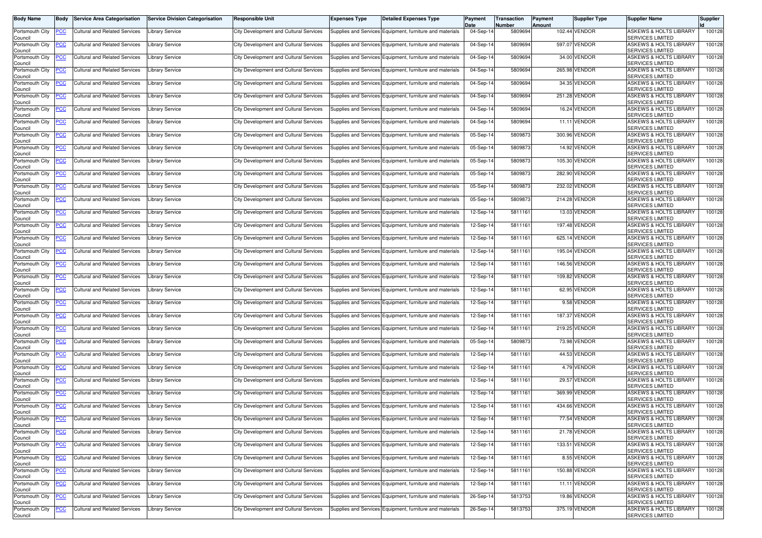| <b>Body Name</b>           | <b>Body</b>    | <b>Service Area Categorisation</b>       | <b>Service Division Categorisation</b> | <b>Responsible Unit</b>                       | <b>Expenses Type</b> | <b>Detailed Expenses Type</b>                            | Payment<br>Date | Transaction<br>Number | Payment<br>Amount | <b>Supplier Type</b> | <b>Supplier Name</b>                                         | <b>Supplier</b> |
|----------------------------|----------------|------------------------------------------|----------------------------------------|-----------------------------------------------|----------------------|----------------------------------------------------------|-----------------|-----------------------|-------------------|----------------------|--------------------------------------------------------------|-----------------|
| Portsmouth City<br>Council | PCC            | <b>Cultural and Related Services</b>     | <b>Library Service</b>                 | City Development and Cultural Services        |                      | Supplies and Services Equipment, furniture and materials | 04-Sep-14       | 5809694               |                   | 102.44 VENDOR        | <b>ASKEWS &amp; HOLTS LIBRARY</b><br><b>SERVICES LIMITED</b> | 100128          |
| Portsmouth City<br>Council | <u>PCC</u>     | Cultural and Related Services            | <b>Library Service</b>                 | <b>City Development and Cultural Services</b> |                      | Supplies and Services Equipment, furniture and materials | 04-Sep-1        | 5809694               |                   | 597.07 VENDOR        | <b>ASKEWS &amp; HOLTS LIBRARY</b><br><b>SERVICES LIMITED</b> | 100128          |
| Portsmouth City<br>Council |                | <b>Cultural and Related Services</b>     | Library Service                        | <b>City Development and Cultural Services</b> |                      | Supplies and Services Equipment, furniture and materials | $04-Sep-1$      | 5809694               |                   | 34.00 VENDOR         | <b>ASKEWS &amp; HOLTS LIBRARY</b><br><b>SERVICES LIMITED</b> | 100128          |
| Portsmouth City<br>Council | <u>PCC</u>     | <b>Cultural and Related Services</b>     | Library Service                        | City Development and Cultural Services        |                      | Supplies and Services Equipment, furniture and materials | 04-Sep-14       | 5809694               |                   | 265.98 VENDOR        | <b>ASKEWS &amp; HOLTS LIBRARY</b><br><b>SERVICES LIMITED</b> | 100128          |
| Portsmouth City<br>Council | <u>PCC</u>     | Cultural and Related Services            | Library Service                        | City Development and Cultural Services        |                      | Supplies and Services Equipment, furniture and materials | 04-Sep-14       | 5809694               |                   | 34.35 VENDOR         | <b>ASKEWS &amp; HOLTS LIBRARY</b><br><b>SERVICES LIMITED</b> | 100128          |
| Portsmouth City<br>Council |                | <b>Cultural and Related Services</b>     | <b>Library Service</b>                 | City Development and Cultural Services        |                      | Supplies and Services Equipment, furniture and materials | 04-Sep-14       | 5809694               |                   | 251.28 VENDOR        | ASKEWS & HOLTS LIBRARY<br><b>SERVICES LIMITED</b>            | 100128          |
| Portsmouth City<br>Council | <u>PCC</u>     | <b>Cultural and Related Services</b>     | Library Service                        | City Development and Cultural Services        |                      | Supplies and Services Equipment, furniture and materials | $04-Sep-1$      | 5809694               |                   | 16.24 VENDOR         | <b>ASKEWS &amp; HOLTS LIBRARY</b><br><b>SERVICES LIMITED</b> | 100128          |
| Portsmouth City<br>Council | <u>PCC</u>     | <b>Cultural and Related Services</b>     | <b>Library Service</b>                 | <b>City Development and Cultural Services</b> |                      | Supplies and Services Equipment, furniture and materials | 04-Sep-14       | 5809694               |                   | 11.11 VENDOR         | <b>ASKEWS &amp; HOLTS LIBRARY</b><br><b>SERVICES LIMITED</b> | 100128          |
| Portsmouth City<br>Council | PСC            | Cultural and Related Services            | Library Service                        | <b>City Development and Cultural Services</b> |                      | Supplies and Services Equipment, furniture and materials | 05-Sep-14       | 580987                |                   | 300.96 VENDOR        | <b>ASKEWS &amp; HOLTS LIBRARY</b><br><b>SERVICES LIMITED</b> | 100128          |
| Portsmouth City<br>Council | <u>PCC</u>     | <b>Cultural and Related Services</b>     | Library Service                        | City Development and Cultural Services        |                      | Supplies and Services Equipment, furniture and materials | $05-Sep-1$      | 5809873               |                   | 14.92 VENDOR         | <b>ASKEWS &amp; HOLTS LIBRARY</b><br><b>SERVICES LIMITED</b> | 100128          |
| Portsmouth City<br>Council |                | Cultural and Related Services            | <b>Library Service</b>                 | City Development and Cultural Services        |                      | Supplies and Services Equipment, furniture and materials | $05-Sep-1$      | 580987                |                   | 105.30 VENDOR        | <b>ASKEWS &amp; HOLTS LIBRARY</b><br><b>SERVICES LIMITED</b> | 100128          |
| Portsmouth City<br>Council | PСC            | <b>Cultural and Related Services</b>     | <b>Library Service</b>                 | City Development and Cultural Services        |                      | Supplies and Services Equipment, furniture and materials | 05-Sep-14       | 580987                |                   | 282.90 VENDOR        | <b>ASKEWS &amp; HOLTS LIBRARY</b><br><b>SERVICES LIMITED</b> | 100128          |
| Portsmouth City<br>Council |                | <b>Cultural and Related Services</b>     | Library Service                        | City Development and Cultural Services        |                      | Supplies and Services Equipment, furniture and materials | 05-Sep-14       | 580987                |                   | 232.02 VENDOR        | <b>ASKEWS &amp; HOLTS LIBRARY</b><br><b>SERVICES LIMITED</b> | 100128          |
| Portsmouth City<br>Council | <u>PCC</u>     | <b>Cultural and Related Services</b>     | Library Service                        | City Development and Cultural Services        |                      | Supplies and Services Equipment, furniture and materials | 05-Sep-14       | 5809873               |                   | 214.28 VENDOR        | ASKEWS & HOLTS LIBRARY<br><b>SERVICES LIMITED</b>            | 100128          |
| Portsmouth City<br>Council | <u>PCC</u>     | <b>Cultural and Related Services</b>     | <b>Library Service</b>                 | <b>City Development and Cultural Services</b> |                      | Supplies and Services Equipment, furniture and materials | 12-Sep-1        | 5811161               |                   | 13.03 VENDOR         | <b>ASKEWS &amp; HOLTS LIBRARY</b><br><b>SERVICES LIMITED</b> | 100128          |
| Portsmouth City<br>Council | <u>PCC</u>     | Cultural and Related Services            | <b>Library Service</b>                 | City Development and Cultural Services        |                      | Supplies and Services Equipment, furniture and materials | 12-Sep-14       | 5811161               |                   | 197.48 VENDOR        | <b>ASKEWS &amp; HOLTS LIBRARY</b><br><b>SERVICES LIMITED</b> | 100128          |
| Portsmouth City<br>Council |                | <b>Cultural and Related Services</b>     | Library Service                        | City Development and Cultural Services        |                      | Supplies and Services Equipment, furniture and materials | 12-Sep-14       | 5811161               |                   | 625.14 VENDOR        | <b>ASKEWS &amp; HOLTS LIBRARY</b><br><b>SERVICES LIMITED</b> | 100128          |
| Portsmouth City<br>Council | <u>PCC</u>     | <b>Cultural and Related Services</b>     | <b>Library Service</b>                 | City Development and Cultural Services        |                      | Supplies and Services Equipment, furniture and materials | 12-Sep-14       | 5811161               |                   | 195.04 VENDOR        | <b>ASKEWS &amp; HOLTS LIBRARY</b><br>SERVICES LIMITED        | 100128          |
| Portsmouth City<br>Council |                | <b>Cultural and Related Services</b>     | <b>Library Service</b>                 | City Development and Cultural Services        |                      | Supplies and Services Equipment, furniture and materials | 12-Sep-1        | 5811161               |                   | 146.56 VENDOR        | <b>ASKEWS &amp; HOLTS LIBRARY</b><br><b>SERVICES LIMITED</b> | 100128          |
| Portsmouth City<br>Council | <u>PCC</u>     | <b>Cultural and Related Services</b>     | Library Service                        | City Development and Cultural Services        |                      | Supplies and Services Equipment, furniture and materials | 12-Sep-14       | 5811161               |                   | 109.82 VENDOR        | <b>ASKEWS &amp; HOLTS LIBRARY</b><br><b>SERVICES LIMITED</b> | 100128          |
| Portsmouth City<br>Council | PCC            | <b>Cultural and Related Services</b>     | Library Service                        | City Development and Cultural Services        |                      | Supplies and Services Equipment, furniture and materials | 12-Sep-14       | 5811161               |                   | 62.95 VENDOR         | <b>ASKEWS &amp; HOLTS LIBRARY</b><br><b>SERVICES LIMITED</b> | 100128          |
| Portsmouth City<br>Council | PCC            | <b>Cultural and Related Services</b>     | <b>Library Service</b>                 | City Development and Cultural Services        |                      | Supplies and Services Equipment, furniture and materials | 12-Sep-14       | 5811161               |                   | 9.58 VENDOR          | <b>ASKEWS &amp; HOLTS LIBRARY</b><br>SERVICES LIMITED        | 100128          |
| Portsmouth City<br>Council | <u>PCC</u>     | <b>Cultural and Related Services</b>     | Library Service                        | City Development and Cultural Services        |                      | Supplies and Services Equipment, furniture and materials | 12-Sep-1        | 5811161               |                   | 187.37 VENDOR        | <b>ASKEWS &amp; HOLTS LIBRARY</b><br><b>SERVICES LIMITED</b> | 100128          |
| Portsmouth City<br>Council |                | <b>Cultural and Related Services</b>     | Library Service                        | <b>City Development and Cultural Services</b> |                      | Supplies and Services Equipment, furniture and materials | 12-Sep-14       | 5811161               |                   | 219.25 VENDOR        | <b>ASKEWS &amp; HOLTS LIBRARY</b><br><b>SERVICES LIMITED</b> | 100128          |
| Portsmouth City<br>Council | PCC            | <b>Cultural and Related Services</b>     | Library Service                        | City Development and Cultural Services        |                      | Supplies and Services Equipment, furniture and materials | 05-Sep-14       | 5809873               |                   | 73.98 VENDOR         | <b>ASKEWS &amp; HOLTS LIBRARY</b><br><b>SERVICES LIMITED</b> | 100128          |
| Portsmouth City<br>Council | <u>PCC</u>     | <b>Cultural and Related Services</b>     | Library Service                        | City Development and Cultural Services        |                      | Supplies and Services Equipment, furniture and materials | 12-Sep-14       | 5811161               |                   | 44.53 VENDOR         | <b>ASKEWS &amp; HOLTS LIBRARY</b><br><b>SERVICES LIMITED</b> | 100128          |
| Portsmouth City<br>Council |                | <b>Cultural and Related Services</b>     | Library Service                        | <b>City Development and Cultural Services</b> |                      | Supplies and Services Equipment, furniture and materials | 12-Sep-14       | 5811161               |                   | 4.79 VENDOR          | <b>ASKEWS &amp; HOLTS LIBRARY</b><br><b>SERVICES LIMITED</b> | 100128          |
| Portsmouth City<br>Council | <u>PCC</u>     | <b>Cultural and Related Services</b>     | Library Service                        | City Development and Cultural Services        |                      | Supplies and Services Equipment, furniture and materials | 12-Sep-14       | 5811161               |                   | 29.57 VENDOR         | <b>ASKEWS &amp; HOLTS LIBRARY</b><br>SERVICES LIMITED        | 100128          |
| Portsmouth City<br>Council | <u>PCC</u>     | <b>Cultural and Related Services</b>     | <b>Library Service</b>                 | <b>City Development and Cultural Services</b> |                      | Supplies and Services Equipment, furniture and materials | 12-Sep-14       | 5811161               |                   | 369.99 VENDOR        | <b>ASKEWS &amp; HOLTS LIBRARY</b><br><b>SERVICES LIMITED</b> | 100128          |
| Portsmouth City<br>Council | <u>PCC</u>     | Cultural and Related Services            | Library Service                        | City Development and Cultural Services        |                      | Supplies and Services Equipment, furniture and materials | 12-Sep-14       | 5811161               |                   | 434.66 VENDOR        | <b>ASKEWS &amp; HOLTS LIBRARY</b><br><b>SERVICES LIMITED</b> | 100128          |
| Portsmouth City<br>Council |                | <b>PCC</b> Cultural and Related Services | <b>Library Service</b>                 | City Development and Cultural Services        |                      | Supplies and Services Equipment, furniture and materials | 12-Sep-14       | 5811161               |                   | 77.54 VENDOR         | ASKEWS & HOLTS LIBRARY<br><b>SERVICES LIMITED</b>            | 100128          |
| Portsmouth City<br>Council | <u>PCC</u>     | <b>Cultural and Related Services</b>     | <b>Library Service</b>                 | City Development and Cultural Services        |                      | Supplies and Services Equipment, furniture and materials | 12-Sep-14       | 5811161               |                   | 21.78 VENDOR         | <b>ASKEWS &amp; HOLTS LIBRARY</b><br><b>SERVICES LIMITED</b> | 100128          |
| Portsmouth City<br>Council | <u>PCC</u>     | Cultural and Related Services            | Library Service                        | City Development and Cultural Services        |                      | Supplies and Services Equipment, furniture and materials | 12-Sep-14       | 5811161               |                   | 133.51 VENDOR        | <b>ASKEWS &amp; HOLTS LIBRARY</b><br><b>SERVICES LIMITED</b> | 100128          |
| Portsmouth City<br>Council | $\overline{C}$ | Cultural and Related Services            | Library Service                        | City Development and Cultural Services        |                      | Supplies and Services Equipment, furniture and materials | 12-Sep-14       | 5811161               |                   | 8.55 VENDOR          | ASKEWS & HOLTS LIBRARY<br><b>SERVICES LIMITED</b>            | 100128          |
| Portsmouth City<br>Council | <u>PCC</u>     | <b>Cultural and Related Services</b>     | <b>Library Service</b>                 | City Development and Cultural Services        |                      | Supplies and Services Equipment, furniture and materials | 12-Sep-14       | 5811161               |                   | 150.88 VENDOR        | ASKEWS & HOLTS LIBRARY<br><b>SERVICES LIMITED</b>            | 100128          |
| Portsmouth City<br>Council | <u>PCC</u>     | <b>Cultural and Related Services</b>     | <b>Library Service</b>                 | City Development and Cultural Services        |                      | Supplies and Services Equipment, furniture and materials | 12-Sep-14       | 5811161               |                   | 11.11 VENDOR         | ASKEWS & HOLTS LIBRARY<br><b>SERVICES LIMITED</b>            | 100128          |
| Portsmouth City<br>Council | <u>PCC</u>     | Cultural and Related Services            | <b>Library Service</b>                 | City Development and Cultural Services        |                      | Supplies and Services Equipment, furniture and materials | 26-Sep-14       | 5813753               |                   | 19.86 VENDOR         | ASKEWS & HOLTS LIBRARY<br><b>SERVICES LIMITED</b>            | 100128          |
| Portsmouth City<br>Council | <b>PCC</b>     | Cultural and Related Services            | <b>Library Service</b>                 | City Development and Cultural Services        |                      | Supplies and Services Equipment, furniture and materials | 26-Sep-14       | 5813753               |                   | 375.19 VENDOR        | ASKEWS & HOLTS LIBRARY<br><b>SERVICES LIMITED</b>            | 100128          |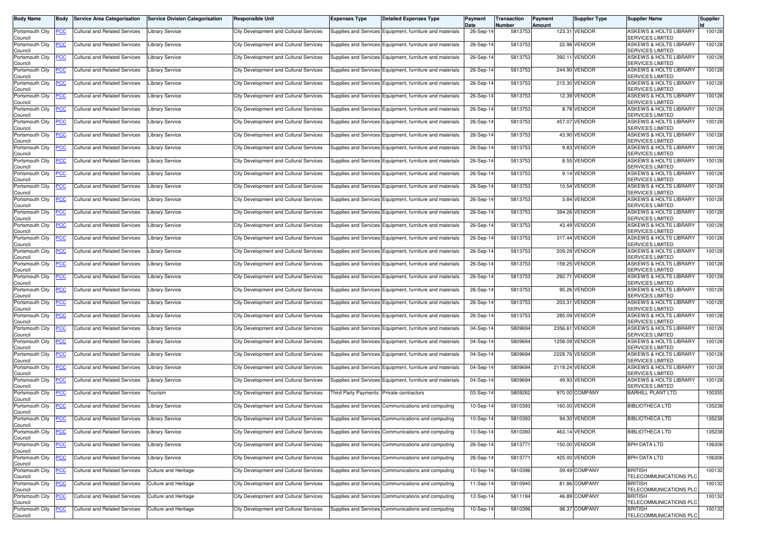| <b>Body Name</b>           | <b>Body</b> | <b>Service Area Categorisation</b>       | <b>Service Division Categorisation</b> | <b>Responsible Unit</b>                       | <b>Expenses Type</b>                     | <b>Detailed Expenses Type</b>                            | Payment<br>Date | Transaction<br>Number | Payment<br>Amount | <b>Supplier Type</b> | <b>Supplier Name</b>                                         | <b>Supplier</b> |
|----------------------------|-------------|------------------------------------------|----------------------------------------|-----------------------------------------------|------------------------------------------|----------------------------------------------------------|-----------------|-----------------------|-------------------|----------------------|--------------------------------------------------------------|-----------------|
| Portsmouth City<br>Council | PCC         | Cultural and Related Services            | <b>Library Service</b>                 | City Development and Cultural Services        |                                          | Supplies and Services Equipment, furniture and materials | 26-Sep-14       | 5813753               |                   | 123.31 VENDOR        | <b>ASKEWS &amp; HOLTS LIBRARY</b><br><b>SERVICES LIMITED</b> | 100128          |
| Portsmouth City<br>Council | <u>PCC</u>  | Cultural and Related Services            | <b>Library Service</b>                 | City Development and Cultural Services        |                                          | Supplies and Services Equipment, furniture and materials | 26-Sep-1        | 5813753               |                   | 22.96 VENDOR         | <b>ASKEWS &amp; HOLTS LIBRARY</b><br><b>SERVICES LIMITED</b> | 100128          |
| Portsmouth City<br>Council |             | Cultural and Related Services            | Library Service                        | <b>City Development and Cultural Services</b> |                                          | Supplies and Services Equipment, furniture and materials | 26-Sep-1        | 5813753               |                   | 392.11 VENDOR        | <b>ASKEWS &amp; HOLTS LIBRARY</b><br><b>SERVICES LIMITED</b> | 100128          |
| Portsmouth City<br>Council | <u>PCC</u>  | <b>Cultural and Related Services</b>     | Library Service                        | City Development and Cultural Services        |                                          | Supplies and Services Equipment, furniture and materials | 26-Sep-14       | 5813753               |                   | 244.90 VENDOR        | <b>ASKEWS &amp; HOLTS LIBRARY</b><br><b>SERVICES LIMITED</b> | 100128          |
| Portsmouth City<br>Council | <u>PCC</u>  | Cultural and Related Services            | Library Service                        | City Development and Cultural Services        |                                          | Supplies and Services Equipment, furniture and materials | 26-Sep-14       | 5813753               |                   | 215.30 VENDOR        | <b>ASKEWS &amp; HOLTS LIBRARY</b><br><b>SERVICES LIMITED</b> | 100128          |
| Portsmouth City<br>Council |             | <b>Cultural and Related Services</b>     | <b>Library Service</b>                 | City Development and Cultural Services        |                                          | Supplies and Services Equipment, furniture and materials | 26-Sep-14       | 5813753               |                   | 12.39 VENDOR         | ASKEWS & HOLTS LIBRARY<br><b>SERVICES LIMITED</b>            | 100128          |
| Portsmouth City<br>Council | <u>PCC</u>  | <b>Cultural and Related Services</b>     | Library Service                        | City Development and Cultural Services        |                                          | Supplies and Services Equipment, furniture and materials | 26-Sep-1        | 5813753               |                   | 8.78 VENDOR          | <b>ASKEWS &amp; HOLTS LIBRARY</b><br><b>SERVICES LIMITED</b> | 100128          |
| Portsmouth City<br>Council | <u>PCC</u>  | <b>Cultural and Related Services</b>     | <b>Library Service</b>                 | <b>City Development and Cultural Services</b> |                                          | Supplies and Services Equipment, furniture and materials | 26-Sep-14       | 5813753               |                   | 457.07 VENDOR        | <b>ASKEWS &amp; HOLTS LIBRARY</b><br><b>SERVICES LIMITED</b> | 100128          |
| Portsmouth City<br>Council | PСC         | Cultural and Related Services            | Library Service                        | <b>City Development and Cultural Services</b> |                                          | Supplies and Services Equipment, furniture and materials | 26-Sep-14       | 5813753               |                   | 43.90 VENDOR         | <b>ASKEWS &amp; HOLTS LIBRARY</b><br><b>SERVICES LIMITED</b> | 100128          |
| Portsmouth City<br>Council | <u>PCC</u>  | <b>Cultural and Related Services</b>     | Library Service                        | City Development and Cultural Services        |                                          | Supplies and Services Equipment, furniture and materials | 26-Sep-1        | 5813753               |                   | 9.83 VENDOR          | <b>ASKEWS &amp; HOLTS LIBRARY</b><br><b>SERVICES LIMITED</b> | 100128          |
| Portsmouth City<br>Council |             | Cultural and Related Services            | <b>Library Service</b>                 | City Development and Cultural Services        |                                          | Supplies and Services Equipment, furniture and materials | 26-Sep-1        | 5813753               |                   | 8.55 VENDOR          | <b>ASKEWS &amp; HOLTS LIBRARY</b><br><b>SERVICES LIMITED</b> | 100128          |
| Portsmouth City<br>Council | PСC         | <b>Cultural and Related Services</b>     | <b>Library Service</b>                 | City Development and Cultural Services        |                                          | Supplies and Services Equipment, furniture and materials | 26-Sep-14       | 5813753               |                   | 9.14 VENDOR          | <b>ASKEWS &amp; HOLTS LIBRARY</b><br><b>SERVICES LIMITED</b> | 100128          |
| Portsmouth City<br>Council |             | <b>Cultural and Related Services</b>     | Library Service                        | <b>City Development and Cultural Services</b> |                                          | Supplies and Services Equipment, furniture and materials | 26-Sep-14       | 5813753               |                   | 10.54 VENDOR         | <b>ASKEWS &amp; HOLTS LIBRARY</b><br><b>SERVICES LIMITED</b> | 100128          |
| Portsmouth City<br>Council | <u>PCC</u>  | <b>Cultural and Related Services</b>     | Library Service                        | <b>City Development and Cultural Services</b> |                                          | Supplies and Services Equipment, furniture and materials | 26-Sep-14       | 5813753               |                   | 3.84 VENDOR          | ASKEWS & HOLTS LIBRARY<br><b>SERVICES LIMITED</b>            | 100128          |
| Portsmouth City<br>Council | <u>PCC</u>  | <b>Cultural and Related Services</b>     | <b>Library Service</b>                 | <b>City Development and Cultural Services</b> |                                          | Supplies and Services Equipment, furniture and materials | 26-Sep-1        | 5813753               |                   | 394.26 VENDOR        | <b>ASKEWS &amp; HOLTS LIBRARY</b><br><b>SERVICES LIMITED</b> | 100128          |
| Portsmouth City<br>Council | <u>PCC</u>  | Cultural and Related Services            | <b>Library Service</b>                 | <b>City Development and Cultural Services</b> |                                          | Supplies and Services Equipment, furniture and materials | 26-Sep-14       | 5813753               |                   | 43.49 VENDOR         | <b>ASKEWS &amp; HOLTS LIBRARY</b><br><b>SERVICES LIMITED</b> | 100128          |
| Portsmouth City<br>Council |             | <b>Cultural and Related Services</b>     | Library Service                        | <b>City Development and Cultural Services</b> |                                          | Supplies and Services Equipment, furniture and materials | 26-Sep-14       | 5813753               |                   | 317.44 VENDOR        | <b>ASKEWS &amp; HOLTS LIBRARY</b><br><b>SERVICES LIMITED</b> | 100128          |
| Portsmouth City<br>Council | <u>PCC</u>  | <b>Cultural and Related Services</b>     | <b>Library Service</b>                 | City Development and Cultural Services        |                                          | Supplies and Services Equipment, furniture and materials | 26-Sep-14       | 5813753               |                   | 209.29 VENDOR        | <b>ASKEWS &amp; HOLTS LIBRARY</b><br>SERVICES LIMITED        | 100128          |
| Portsmouth City<br>Council |             | <b>Cultural and Related Services</b>     | <b>Library Service</b>                 | City Development and Cultural Services        |                                          | Supplies and Services Equipment, furniture and materials | 26-Sep-1        | 5813753               |                   | 159.25 VENDOR        | <b>ASKEWS &amp; HOLTS LIBRARY</b><br><b>SERVICES LIMITED</b> | 100128          |
| Portsmouth City<br>Council | <u>PCC</u>  | <b>Cultural and Related Services</b>     | Library Service                        | <b>City Development and Cultural Services</b> |                                          | Supplies and Services Equipment, furniture and materials | 26-Sep-14       | 5813753               |                   | 292.71 VENDOR        | <b>ASKEWS &amp; HOLTS LIBRARY</b><br><b>SERVICES LIMITED</b> | 100128          |
| Portsmouth City<br>Council | PCC         | <b>Cultural and Related Services</b>     | Library Service                        | City Development and Cultural Services        |                                          | Supplies and Services Equipment, furniture and materials | 26-Sep-14       | 5813753               |                   | 95.26 VENDOR         | <b>ASKEWS &amp; HOLTS LIBRARY</b><br><b>SERVICES LIMITED</b> | 100128          |
| Portsmouth City<br>Council | PCC         | <b>Cultural and Related Services</b>     | <b>Library Service</b>                 | City Development and Cultural Services        |                                          | Supplies and Services Equipment, furniture and materials | 26-Sep-14       | 5813753               |                   | 203.31 VENDOR        | <b>ASKEWS &amp; HOLTS LIBRARY</b><br><b>SERVICES LIMITED</b> | 100128          |
| Portsmouth City<br>Council | PCC         | <b>Cultural and Related Services</b>     | Library Service                        | <b>City Development and Cultural Services</b> |                                          | Supplies and Services Equipment, furniture and materials | 26-Sep-1        | 5813753               |                   | 285.09 VENDOR        | <b>ASKEWS &amp; HOLTS LIBRARY</b><br><b>SERVICES LIMITED</b> | 100128          |
| Portsmouth City<br>Council |             | <b>Cultural and Related Services</b>     | Library Service                        | <b>City Development and Cultural Services</b> |                                          | Supplies and Services Equipment, furniture and materials | 04-Sep-14       | 5809694               |                   | 2356.61 VENDOR       | <b>ASKEWS &amp; HOLTS LIBRARY</b><br><b>SERVICES LIMITED</b> | 100128          |
| Portsmouth City<br>Council | PCC         | <b>Cultural and Related Services</b>     | Library Service                        | City Development and Cultural Services        |                                          | Supplies and Services Equipment, furniture and materials | 04-Sep-14       | 5809694               |                   | 1258.09 VENDOR       | <b>ASKEWS &amp; HOLTS LIBRARY</b><br><b>SERVICES LIMITED</b> | 100128          |
| Portsmouth City<br>Council | <u>PCC</u>  | <b>Cultural and Related Services</b>     | <b>Library Service</b>                 | City Development and Cultural Services        |                                          | Supplies and Services Equipment, furniture and materials | 04-Sep-14       | 5809694               |                   | 2228.76 VENDOR       | <b>ASKEWS &amp; HOLTS LIBRARY</b><br><b>SERVICES LIMITED</b> | 100128          |
| Portsmouth City<br>Council |             | <b>Cultural and Related Services</b>     | Library Service                        | <b>City Development and Cultural Services</b> |                                          | Supplies and Services Equipment, furniture and materials | 04-Sep-14       | 5809694               |                   | 2119.24 VENDOR       | <b>ASKEWS &amp; HOLTS LIBRARY</b><br><b>SERVICES LIMITED</b> | 100128          |
| Portsmouth City<br>Council | <u>PCC</u>  | <b>Cultural and Related Services</b>     | Library Service                        | City Development and Cultural Services        |                                          | Supplies and Services Equipment, furniture and materials | $04-Sep-1$      | 5809694               |                   | 49.93 VENDOR         | <b>ASKEWS &amp; HOLTS LIBRARY</b><br>SERVICES LIMITED        | 100128          |
| Portsmouth City<br>Council | <u>PCC</u>  | <b>Cultural and Related Services</b>     | Tourism                                | <b>City Development and Cultural Services</b> | Third Party Payments Private contractors |                                                          | 03-Sep-14       | 5809262               |                   | 970.00 COMPANY       | <b>BARHILL PLANT LTD</b>                                     | 100355          |
| Portsmouth City<br>Council | <u>PCC</u>  | <b>Cultural and Related Services</b>     | Library Service                        | City Development and Cultural Services        |                                          | Supplies and Services Communications and computing       | 10-Sep-14       | 5810393               |                   | 160.00 VENDOR        | <b>BIBLIOTHECA LTD</b>                                       | 135238          |
| Portsmouth City<br>Council |             | <b>PCC</b> Cultural and Related Services | <b>Library Service</b>                 | City Development and Cultural Services        |                                          | Supplies and Services Communications and computing       | 10-Sep-14       | 5810393               |                   | 94.30 VENDOR         | <b>BIBLIOTHECA LTD</b>                                       | 135238          |
| Portsmouth City<br>Council |             | <b>Cultural and Related Services</b>     | <b>Library Service</b>                 | City Development and Cultural Services        |                                          | Supplies and Services Communications and computing       | $10-Sep-1$      | 5810393               |                   | 463.14 VENDOR        | <b>BIBLIOTHECA LTD</b>                                       | 135238          |
| Portsmouth City<br>Council | <u>PCC</u>  | <b>Cultural and Related Services</b>     | <b>Library Service</b>                 | City Development and Cultural Services        |                                          | Supplies and Services Communications and computing       | 26-Sep-14       | 5813771               |                   | 150.00 VENDOR        | BPH DATA LTD                                                 | 106306          |
| Portsmouth City<br>Council | <u>PCC</u>  | Cultural and Related Services            | Library Service                        | City Development and Cultural Services        |                                          | Supplies and Services Communications and computing       | 26-Sep-14       | 5813771               |                   | 425.00 VENDOR        | BPH DATA LTD                                                 | 106306          |
| Portsmouth City<br>Council | <u>PCC</u>  | Cultural and Related Services            | Culture and Heritage                   | City Development and Cultural Services        |                                          | Supplies and Services Communications and computing       | 10-Sep-14       | 5810396               |                   | 59.49 COMPANY        | <b>BRITISH</b><br>TELECOMMUNICATIONS PLC                     | 100132          |
| Portsmouth City<br>Council | <u>PCC</u>  | Cultural and Related Services            | <b>Culture and Heritage</b>            | City Development and Cultural Services        |                                          | Supplies and Services Communications and computing       | 11-Sep-14       | 5810940               |                   | 81.86 COMPANY        | <b>BRITISH</b><br>TELECOMMUNICATIONS PLC                     | 100132          |
| Portsmouth City<br>Council | <u>PCC</u>  | <b>Cultural and Related Services</b>     | <b>Culture and Heritage</b>            | City Development and Cultural Services        |                                          | Supplies and Services Communications and computing       | 12-Sep-14       | 5811194               |                   | 46.89 COMPANY        | <b>BRITISH</b><br>TELECOMMUNICATIONS PLO                     | 100132          |
| Portsmouth City<br>Council | <b>PCC</b>  | <b>Cultural and Related Services</b>     | Culture and Heritage                   | City Development and Cultural Services        |                                          | Supplies and Services Communications and computing       | 10-Sep-14       | 5810396               |                   | 98.37 COMPANY        | <b>BRITISH</b><br>TELECOMMUNICATIONS PLC                     | 100132          |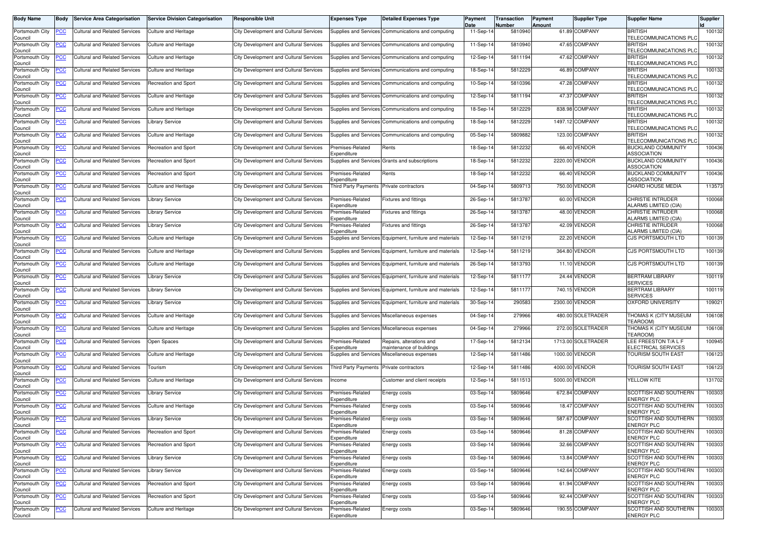| <b>Body Name</b>                      | <b>Body</b>    | <b>Service Area Categorisation</b>       | <b>Service Division Categorisation</b> | <b>Responsible Unit</b>                       | <b>Expenses Type</b>                                    | <b>Detailed Expenses Type</b>                                            | Payment<br>Date | Transaction<br>Number | Payment<br>Amount | <b>Supplier Type</b> | <b>Supplier Name</b>                                    | <b>Supplier</b> |
|---------------------------------------|----------------|------------------------------------------|----------------------------------------|-----------------------------------------------|---------------------------------------------------------|--------------------------------------------------------------------------|-----------------|-----------------------|-------------------|----------------------|---------------------------------------------------------|-----------------|
| Portsmouth City<br>Council            | PCC            | Cultural and Related Services            | <b>Culture and Heritage</b>            | City Development and Cultural Services        |                                                         | Supplies and Services Communications and computing                       | 11-Sep-14       | 5810940               |                   | 61.89 COMPANY        | <b>BRITISH</b><br>TELECOMMUNICATIONS PLC                | 100132          |
| Portsmouth City<br>Council            | PCC            | <b>Cultural and Related Services</b>     | Culture and Heritage                   | City Development and Cultural Services        |                                                         | Supplies and Services Communications and computing                       | $11-Sep-1$      | 5810940               |                   | 47.65 COMPANY        | <b>BRITISH</b><br><b><i>TELECOMMUNICATIONS PLC</i></b>  | 100132          |
| Portsmouth City<br>Council            | <u>PCC</u>     | <b>Cultural and Related Services</b>     | <b>Culture and Heritage</b>            | <b>City Development and Cultural Services</b> |                                                         | Supplies and Services Communications and computing                       | 12-Sep-14       | 5811194               |                   | 47.62 COMPANY        | <b>BRITISH</b><br>TELECOMMUNICATIONS PLO                | 100132          |
| Portsmouth City<br>Council            | <u>PCC</u>     | <b>Cultural and Related Services</b>     | <b>Culture and Heritage</b>            | <b>City Development and Cultural Services</b> |                                                         | Supplies and Services Communications and computing                       | 18-Sep-14       | 5812229               |                   | 46.89 COMPANY        | <b>BRITISH</b><br>TELECOMMUNICATIONS PLO                | 100132          |
| Portsmouth City<br>Council            | <b>PCC</b>     | <b>Cultural and Related Services</b>     | Recreation and Sport                   | City Development and Cultural Services        |                                                         | Supplies and Services Communications and computing                       | 10-Sep-14       | 5810396               |                   | 47.28 COMPANY        | <b>BRITISH</b><br>TELECOMMUNICATIONS PLC                | 100132          |
| Portsmouth City<br>Council            |                | <b>Cultural and Related Services</b>     | <b>Culture and Heritage</b>            | <b>City Development and Cultural Services</b> |                                                         | Supplies and Services Communications and computing                       | 12-Sep-14       | 5811194               |                   | 47.37 COMPANY        | <b>BRITISH</b><br>TELECOMMUNICATIONS PLO                | 100132          |
| Portsmouth City<br>Council            | <b>PCC</b>     | <b>Cultural and Related Services</b>     | <b>Culture and Heritage</b>            | City Development and Cultural Services        |                                                         | Supplies and Services Communications and computing                       | 18-Sep-14       | 5812229               |                   | 838.98 COMPANY       | <b>BRITISH</b><br>TELECOMMUNICATIONS PLO                | 100132          |
| Portsmouth City<br>Council            | <u>PCC</u>     | <b>Cultural and Related Services</b>     | <b>Library Service</b>                 | <b>City Development and Cultural Services</b> |                                                         | Supplies and Services Communications and computing                       | 18-Sep-14       | 5812229               |                   | 1497.12 COMPANY      | <b>BRITISH</b><br>TELECOMMUNICATIONS PLO                | 100132          |
| Portsmouth City<br>Council            | PСC            | Cultural and Related Services            | Culture and Heritage                   | City Development and Cultural Services        |                                                         | Supplies and Services Communications and computing                       | 05-Sep-14       | 5809882               |                   | 123.00 COMPANY       | <b>BRITISH</b><br>TELECOMMUNICATIONS PLO                | 100132          |
| Portsmouth City                       | <u>PCC</u>     | <b>Cultural and Related Services</b>     | Recreation and Sport                   | City Development and Cultural Services        | Premises-Related<br>Expenditure                         | Rents                                                                    | 18-Sep-14       | 5812232               |                   | 66.40 VENDOR         | <b>BUCKLAND COMMUNITY</b><br>ASSOCIATION                | 100436          |
| Council<br>Portsmouth City            |                | Cultural and Related Services            | <b>Recreation and Sport</b>            | City Development and Cultural Services        |                                                         | Supplies and Services Grants and subscriptions                           | 18-Sep-14       | 5812232               |                   | 2220.00 VENDOR       | <b>BUCKLAND COMMUNITY</b><br><b>ASSOCIATION</b>         | 100436          |
| Council<br>Portsmouth City            | <u>PCC</u>     | <b>Cultural and Related Services</b>     | <b>Recreation and Sport</b>            | City Development and Cultural Services        | Premises-Related                                        | Rents                                                                    | 18-Sep-14       | 5812232               |                   | 66.40 VENDOR         | <b>BUCKLAND COMMUNITY</b><br>ASSOCIATION                | 100436          |
| Council<br>Portsmouth City            | <u>PCC</u>     | <b>Cultural and Related Services</b>     | Culture and Heritage                   | City Development and Cultural Services        | Expenditure<br>Third Party Payments Private contractors |                                                                          | 04-Sep-14       | 5809713               |                   | 750.00 VENDOR        | CHARD HOUSE MEDIA                                       | 113573          |
| Council<br>Portsmouth City            | <u>PCC</u>     | Cultural and Related Services            | <b>Library Service</b>                 | <b>City Development and Cultural Services</b> | Premises-Related                                        | Fixtures and fittings                                                    | 26-Sep-14       | 5813787               |                   | 60.00 VENDOR         | <b>CHRISTIE INTRUDER</b><br><b>ALARMS LIMITED (CIA)</b> | 100068          |
| Council<br>Portsmouth City            | <u>PCC</u>     | <b>Cultural and Related Services</b>     | <b>Library Service</b>                 | City Development and Cultural Services        | Expenditure<br>Premises-Related                         | <b>Fixtures and fittings</b>                                             | 26-Sep-14       | 5813787               |                   | 48.00 VENDOR         | CHRISTIE INTRUDER<br><b>ALARMS LIMITED (CIA)</b>        | 100068          |
| Council<br>Portsmouth City            | <u>PCC</u>     | <b>Cultural and Related Services</b>     | <b>Library Service</b>                 | City Development and Cultural Services        | Expenditure<br>Premises-Related                         | Fixtures and fittings                                                    | 26-Sep-14       | 5813787               |                   | 42.09 VENDOR         | CHRISTIE INTRUDER                                       | 100068          |
| Council<br>Portsmouth City            | <u>PCC</u>     | <b>Cultural and Related Services</b>     | Culture and Heritage                   | City Development and Cultural Services        | Expenditure                                             | Supplies and Services Equipment, furniture and materials                 | 12-Sep-14       | 5811219               |                   | 22.20 VENDOR         | <b>ALARMS LIMITED (CIA)</b><br>CJS PORTSMOUTH LTD       | 100139          |
| Council<br>Portsmouth City            | <u>PCC</u>     | <b>Cultural and Related Services</b>     | Culture and Heritage                   | City Development and Cultural Services        |                                                         | Supplies and Services Equipment, furniture and materials                 | 12-Sep-14       | 5811219               |                   | 364.80 VENDOR        | CJS PORTSMOUTH LTD                                      | 100139          |
| Council<br>Portsmouth City            |                | <b>Cultural and Related Services</b>     | Culture and Heritage                   | City Development and Cultural Services        |                                                         | Supplies and Services Equipment, furniture and materials                 | 26-Sep-1        | 5813793               |                   | 11.10 VENDOR         | CJS PORTSMOUTH LTD                                      | 100139          |
| Council<br>Portsmouth City            | <u>PCC</u>     | <b>Cultural and Related Services</b>     | <b>Library Service</b>                 | City Development and Cultural Services        |                                                         | Supplies and Services Equipment, furniture and materials                 | 12-Sep-14       | 5811177               |                   | 24.44 VENDOR         | <b>BERTRAM LIBRARY</b>                                  | 100119          |
| Council<br>Portsmouth City            | <u>PCC</u>     | <b>Cultural and Related Services</b>     | Library Service                        | <b>City Development and Cultural Services</b> |                                                         | Supplies and Services Equipment, furniture and materials                 | 12-Sep-14       | 5811177               |                   | 740.15 VENDOR        | <b>SERVICES</b><br><b>BERTRAM LIBRARY</b>               | 100119          |
| Council<br>Portsmouth City            | PCC            | <b>Cultural and Related Services</b>     | <b>Library Service</b>                 | <b>City Development and Cultural Services</b> |                                                         | Supplies and Services Equipment, furniture and materials                 | 30-Sep-14       | 290583                |                   | 2300.00 VENDOR       | <b>SERVICES</b><br>OXFORD UNIVERSITY                    | 109021          |
| Council<br>Portsmouth City            | PCC            | <b>Cultural and Related Services</b>     | Culture and Heritage                   | City Development and Cultural Services        |                                                         | Supplies and Services Miscellaneous expenses                             | 04-Sep-14       | 279966                |                   | 480.00 SOLETRADER    | THOMAS K (CITY MUSEUM                                   | 106108          |
| Council<br>Portsmouth City            |                | <b>Cultural and Related Services</b>     | <b>Culture and Heritage</b>            | <b>City Development and Cultural Services</b> |                                                         | Supplies and Services Miscellaneous expenses                             | 04-Sep-14       | 279966                |                   | 272.00 SOLETRADER    | <b>TEAROOM</b><br><b>HOMAS K (CITY MUSEUM</b>           | 106108          |
| Council<br>Portsmouth City            | PCC            | <b>Cultural and Related Services</b>     | Open Spaces                            | City Development and Cultural Services        | Premises-Related                                        | Repairs, alterations and                                                 | 17-Sep-14       | 5812134               |                   | 1713.00 SOLETRADER   | TEAROOM)<br>LEE FREESTON T/A L F                        | 100945          |
| Council<br>Portsmouth City            | <u>PCC</u>     | <b>Cultural and Related Services</b>     | <b>Culture and Heritage</b>            | City Development and Cultural Services        | Expenditure                                             | maintenance of buildings<br>Supplies and Services Miscellaneous expenses | 12-Sep-14       | 5811486               |                   | 1000.00 VENDOR       | ELECTRICAL SERVICES<br><b><i>FOURISM SOUTH EAST</i></b> | 106123          |
| Council<br>Portsmouth City<br>Council | <u>PCC</u>     | <b>Cultural and Related Services</b>     | Tourism                                | <b>City Development and Cultural Services</b> | Third Party Payments Private contractors                |                                                                          | 12-Sep-14       | 5811486               |                   | 4000.00 VENDOR       | TOURISM SOUTH EAST                                      | 106123          |
| Portsmouth City<br>Council            | <b>PCC</b>     | <b>Cultural and Related Services</b>     | Culture and Heritage                   | City Development and Cultural Services        | Income                                                  | Customer and client receipts                                             | 12-Sep-14       | 5811513               |                   | 5000.00 VENDOR       | YELLOW KITE                                             | 131702          |
| Portsmouth City<br>Council            | <u>PCC</u>     | <b>Cultural and Related Services</b>     | <b>Library Service</b>                 | <b>City Development and Cultural Services</b> | Premises-Related<br>Expenditure                         | Energy costs                                                             | 03-Sep-14       | 5809646               |                   | 672.84 COMPANY       | SCOTTISH AND SOUTHERN<br><b>ENERGY PLC</b>              | 100303          |
| Portsmouth City<br>Council            | <b>PCC</b>     | Cultural and Related Services            | <b>Culture and Heritage</b>            | <b>City Development and Cultural Services</b> | Premises-Related<br>Expenditure                         | Energy costs                                                             | 03-Sep-14       | 5809646               |                   | 18.47 COMPANY        | SCOTTISH AND SOUTHERN<br><b>ENERGY PLC</b>              | 100303          |
| Portsmouth City<br>Council            |                | <b>PCC</b> Cultural and Related Services | Library Service                        | City Development and Cultural Services        | Premises-Related<br>Expenditure                         | Energy costs                                                             | 03-Sep-14       | 5809646               |                   | 587.67 COMPANY       | SCOTTISH AND SOUTHERN<br><b>ENERGY PLC</b>              | 100303          |
| Portsmouth City<br>Council            |                | <b>Cultural and Related Services</b>     | <b>Recreation and Sport</b>            | City Development and Cultural Services        | Premises-Related<br>Expenditure                         | Energy costs                                                             | 03-Sep-14       | 5809646               |                   | 81.28 COMPANY        | SCOTTISH AND SOUTHERN<br>ENERGY PLC                     | 100303          |
| Portsmouth City<br>Council            | <u>PCC</u>     | <b>Cultural and Related Services</b>     | Recreation and Sport                   | City Development and Cultural Services        | Premises-Related<br>Expenditure                         | Energy costs                                                             | 03-Sep-14       | 5809646               |                   | 32.66 COMPANY        | SCOTTISH AND SOUTHERN<br><b>ENERGY PLC</b>              | 100303          |
| Portsmouth City<br>Council            | $\overline{C}$ | <b>Cultural and Related Services</b>     | Library Service                        | City Development and Cultural Services        | Premises-Related<br>Expenditure                         | Energy costs                                                             | 03-Sep-14       | 5809646               |                   | 13.84 COMPANY        | SCOTTISH AND SOUTHERN<br><b>ENERGY PLC</b>              | 100303          |
| Portsmouth City<br>Council            | <u>PCC</u>     | <b>Cultural and Related Services</b>     | <b>Library Service</b>                 | City Development and Cultural Services        | Premises-Related<br>Expenditure                         | Energy costs                                                             | 03-Sep-14       | 5809646               |                   | 142.64 COMPANY       | SCOTTISH AND SOUTHERN<br><b>ENERGY PLC</b>              | 100303          |
| Portsmouth City<br>Council            | <u>PCC </u>    | Cultural and Related Services            | Recreation and Sport                   | City Development and Cultural Services        | Premises-Related<br>Expenditure                         | Energy costs                                                             | 03-Sep-14       | 5809646               |                   | 61.94 COMPANY        | SCOTTISH AND SOUTHERN<br>ENERGY PLC                     | 100303          |
| Portsmouth City                       | <u>PCC</u>     | <b>Cultural and Related Services</b>     | Recreation and Sport                   | City Development and Cultural Services        | Premises-Related<br>Expenditure                         | Energy costs                                                             | 03-Sep-14       | 5809646               |                   | 92.44 COMPANY        | SCOTTISH AND SOUTHERN<br><b>ENERGY PLC</b>              | 100303          |
| Council<br>Portsmouth City<br>Council | $\overline{C}$ | <b>Cultural and Related Services</b>     | Culture and Heritage                   | City Development and Cultural Services        | Premises-Related<br>Expenditure                         | Energy costs                                                             | 03-Sep-14       | 5809646               |                   | 190.55 COMPANY       | SCOTTISH AND SOUTHERN<br><b>ENERGY PLC</b>              | 100303          |
|                                       |                |                                          |                                        |                                               |                                                         |                                                                          |                 |                       |                   |                      |                                                         |                 |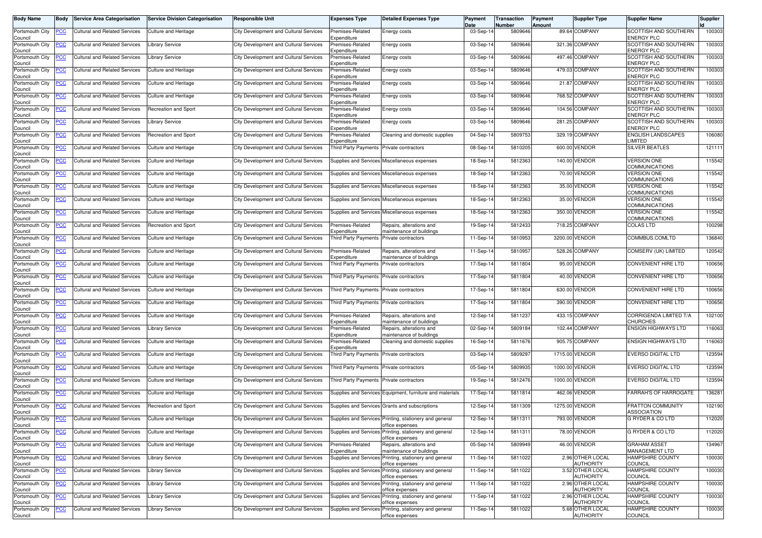| <b>Body Name</b>           | <b>Body</b> | <b>Service Area Categorisation</b>                                            | <b>Service Division Categorisation</b> | <b>Responsible Unit</b>                       | <b>Expenses Type</b>                     | <b>Detailed Expenses Type</b>                                             | Payment<br>Date | Transaction<br>Number | Payment<br>Amount | <b>Supplier Type</b>                 | <b>Supplier Name</b>                           | <b>Supplier</b> |
|----------------------------|-------------|-------------------------------------------------------------------------------|----------------------------------------|-----------------------------------------------|------------------------------------------|---------------------------------------------------------------------------|-----------------|-----------------------|-------------------|--------------------------------------|------------------------------------------------|-----------------|
| Portsmouth City<br>Council | <u>PCC</u>  | <b>Cultural and Related Services</b>                                          | Culture and Heritage                   | City Development and Cultural Services        | Premises-Related<br>Expenditure          | Energy costs                                                              | 03-Sep-14       | 5809646               |                   | 89.64 COMPANY                        | SCOTTISH AND SOUTHERN<br><b>ENERGY PLC</b>     | 100303          |
| Portsmouth City<br>Council | <u>PCC</u>  | <b>Cultural and Related Services</b>                                          | <b>Library Service</b>                 | City Development and Cultural Services        | Premises-Related<br>Expenditure          | Energy costs                                                              | 03-Sep-14       | 5809646               |                   | 321.36 COMPANY                       | SCOTTISH AND SOUTHERN<br><b>ENERGY PLC</b>     | 100303          |
| Portsmouth City<br>Council | <u>PCC</u>  | <b>Cultural and Related Services</b>                                          | Library Service                        | <b>City Development and Cultural Services</b> | Premises-Related<br>Expenditure          | Energy costs                                                              | 03-Sep-14       | 5809646               |                   | 497.46 COMPANY                       | SCOTTISH AND SOUTHERN<br><b>ENERGY PLC</b>     | 100303          |
| Portsmouth City<br>Council | <u>PCC</u>  | <b>Cultural and Related Services</b>                                          | Culture and Heritage                   | <b>City Development and Cultural Services</b> | Premises-Related<br>Expenditure          | Energy costs                                                              | 03-Sep-14       | 5809646               |                   | 479.03 COMPANY                       | SCOTTISH AND SOUTHERN<br><b>ENERGY PLC</b>     | 100303          |
| Portsmouth City<br>Council | <u>PCC</u>  | <b>Cultural and Related Services</b>                                          | Culture and Heritage                   | City Development and Cultural Services        | Premises-Related<br>Expenditure          | Energy costs                                                              | 03-Sep-14       | 5809646               |                   | 21.87 COMPANY                        | SCOTTISH AND SOUTHERN<br><b>ENERGY PLC</b>     | 100303          |
| Portsmouth City<br>Council | <u>PCC</u>  | <b>Cultural and Related Services</b>                                          | Culture and Heritage                   | City Development and Cultural Services        | Premises-Related<br>Expenditure          | Energy costs                                                              | 03-Sep-14       | 5809646               |                   | 768.52 COMPANY                       | SCOTTISH AND SOUTHERN<br><b>ENERGY PLC</b>     | 100303          |
| Portsmouth City<br>Council | <u>PCC</u>  | <b>Cultural and Related Services</b>                                          | Recreation and Sport                   | City Development and Cultural Services        | Premises-Related<br>Expenditure          | Energy costs                                                              | $03-Sep-1$      | 5809646               |                   | 104.56 COMPANY                       | SCOTTISH AND SOUTHERN<br><b>ENERGY PLC</b>     | 100303          |
| Portsmouth City<br>Council | <u>PCC</u>  | Cultural and Related Services                                                 | Library Service                        | City Development and Cultural Services        | Premises-Related<br>Expenditure          | Energy costs                                                              | 03-Sep-14       | 5809646               |                   | 281.25 COMPANY                       | SCOTTISH AND SOUTHERN<br><b>ENERGY PLC</b>     | 100303          |
| Portsmouth City<br>Council | PCC         | <b>Cultural and Related Services</b>                                          | Recreation and Sport                   | City Development and Cultural Services        | Premises-Related<br>Expenditure          | Cleaning and domestic supplies                                            | 04-Sep-14       | 5809753               |                   | 329.19 COMPANY                       | <b>ENGLISH LANDSCAPES</b><br>LIMITED           | 106080          |
| Portsmouth City<br>Council | <u>PCC</u>  | <b>Cultural and Related Services</b>                                          | <b>Culture and Heritage</b>            | City Development and Cultural Services        | Third Party Payments Private contractors |                                                                           | 08-Sep-14       | 5810205               |                   | 600.00 VENDOR                        | <b>SILVER BEATLES</b>                          | 121111          |
| Portsmouth City<br>Council | PCC         | <b>Cultural and Related Services</b>                                          | Culture and Heritage                   | City Development and Cultural Services        |                                          | Supplies and Services Miscellaneous expenses                              | 18-Sep-14       | 5812363               |                   | 140.00 VENDOR                        | <b>VERSION ONE</b><br>COMMUNICATIONS           | 115542          |
| Portsmouth City<br>Council | <u>PCC</u>  | <b>Cultural and Related Services</b>                                          | Culture and Heritage                   | <b>City Development and Cultural Services</b> |                                          | Supplies and Services Miscellaneous expenses                              | 18-Sep-14       | 5812363               |                   | 70.00 VENDOR                         | <b>VERSION ONE</b><br><b>COMMUNICATIONS</b>    | 115542          |
| Portsmouth City<br>Council | PCC         | <b>Cultural and Related Services</b>                                          | Culture and Heritage                   | City Development and Cultural Services        |                                          | Supplies and Services Miscellaneous expenses                              | 18-Sep-14       | 5812363               |                   | 35.00 VENDOR                         | <b>VERSION ONE</b><br><b>COMMUNICATIONS</b>    | 115542          |
| Portsmouth City<br>Council | PCC         | <b>Cultural and Related Services</b>                                          | <b>Culture and Heritage</b>            | <b>City Development and Cultural Services</b> |                                          | Supplies and Services Miscellaneous expenses                              | 18-Sep-14       | 5812363               |                   | 35.00 VENDOR                         | <b>VERSION ONE</b><br><b>COMMUNICATIONS</b>    | 115542          |
| Portsmouth City<br>Council | <u>PCC</u>  | <b>Cultural and Related Services</b>                                          | Culture and Heritage                   | City Development and Cultural Services        |                                          | Supplies and Services Miscellaneous expenses                              | 18-Sep-14       | 5812363               |                   | 350.00 VENDOR                        | <b>VERSION ONE</b><br><b>COMMUNICATIONS</b>    | 115542          |
| Portsmouth City<br>Council | <u>PCC</u>  | <b>Cultural and Related Services</b>                                          | <b>Recreation and Sport</b>            | City Development and Cultural Services        | Premises-Related<br>Expenditure          | Repairs, alterations and<br>maintenance of buildings                      | 19-Sep-14       | 5812433               |                   | 718.25 COMPANY                       | <b>COLAS LTD</b>                               | 100298          |
| Portsmouth City<br>Council | <u>PCC</u>  | <b>Cultural and Related Services</b>                                          | <b>Culture and Heritage</b>            | <b>City Development and Cultural Services</b> | <b>Third Party Payments</b>              | Private contractors                                                       | 11-Sep-14       | 5810953               |                   | 3200.00 VENDOR                       | COMMBUS.COMLTD                                 | 136840          |
| Portsmouth City<br>Council | <u>PCC</u>  | <b>Cultural and Related Services</b>                                          | Culture and Heritage                   | City Development and Cultural Services        | Premises-Related<br>Expenditure          | Repairs, alterations and<br>maintenance of buildings                      | 11-Sep-14       | 5810957               |                   | 528.26 COMPANY                       | COMSERV (UK) LIMITED                           | 120542          |
| Portsmouth City<br>Council | <u>PCC</u>  | <b>Cultural and Related Services</b>                                          | <b>Culture and Heritage</b>            | City Development and Cultural Services        | <b>Third Party Payments</b>              | Private contractors                                                       | 17-Sep-14       | 5811804               |                   | 95.00 VENDOR                         | <b>CONVENIENT HIRE LTD</b>                     | 100656          |
| Portsmouth City<br>Council | <u>PCC</u>  | <b>Cultural and Related Services</b>                                          | Culture and Heritage                   | <b>City Development and Cultural Services</b> | <b>Third Party Payments</b>              | Private contractors                                                       | 17-Sep-1        | 5811804               |                   | 40.00 VENDOR                         | CONVENIENT HIRE LTD                            | 100656          |
| Portsmouth City<br>Council | <u>PCC</u>  | <b>Cultural and Related Services</b>                                          | <b>Culture and Heritage</b>            | City Development and Cultural Services        | <b>Third Party Payments</b>              | Private contractors                                                       | 17-Sep-14       | 5811804               |                   | 630.00 VENDOR                        | <b>CONVENIENT HIRE LTD</b>                     | 100656          |
| Portsmouth City<br>Council | PСC         | <b>Cultural and Related Services</b>                                          | <b>Culture and Heritage</b>            | City Development and Cultural Services        | Third Party Payments Private contractors |                                                                           | 17-Sep-14       | 5811804               |                   | 390.00 VENDOR                        | CONVENIENT HIRE LTD                            | 100656          |
| Portsmouth City<br>Council | <u>PCC</u>  | <b>Cultural and Related Services</b>                                          | Culture and Heritage                   | City Development and Cultural Services        | Premises-Related<br>Expenditure          | Repairs, alterations and<br>maintenance of buildings                      | 12-Sep-14       | 5811237               |                   | 433.15 COMPANY                       | <b>CORRIGENDA LIMITED T/A</b><br>CHURCHES      | 102100          |
| Portsmouth City<br>Council | <u>PCC</u>  | <b>Cultural and Related Services</b>                                          | <b>Library Service</b>                 | <b>City Development and Cultural Services</b> | Premises-Related<br>Expenditure          | Repairs, alterations and<br>maintenance of buildings                      | 02-Sep-14       | 5809184               |                   | 102.44 COMPANY                       | <b>ENSIGN HIGHWAYS LTD</b>                     | 116063          |
| Portsmouth City<br>Council | PCC         | <b>Cultural and Related Services</b>                                          | <b>Culture and Heritage</b>            | City Development and Cultural Services        | Premises-Related<br>Expenditure          | Cleaning and domestic supplies                                            | 16-Sep-14       | 5811676               |                   | 905.75 COMPANY                       | <b>ENSIGN HIGHWAYS LTD</b>                     | 116063          |
| Portsmouth City<br>Council | <u>PCC</u>  | <b>Cultural and Related Services</b>                                          | <b>Culture and Heritage</b>            | City Development and Cultural Services        | Third Party Payments Private contractors |                                                                           | 03-Sep-14       | 580929                |                   | 1715.00 VENDOR                       | EVERSO DIGITAL LTD                             | 123594          |
| Portsmouth City<br>Council | <u>PCC</u>  | <b>Cultural and Related Services</b>                                          | <b>Culture and Heritage</b>            | City Development and Cultural Services        | Third Party Payments Private contractors |                                                                           | 05-Sep-14       | 5809935               |                   | 1000.00 VENDOR                       | <b>EVERSO DIGITAL LTD</b>                      | 123594          |
| Portsmouth City<br>Council | <u>PCC</u>  | <b>Cultural and Related Services</b>                                          | Culture and Heritage                   | City Development and Cultural Services        | Third Party Payments Private contractors |                                                                           | 19-Sep-1        | 5812476               |                   | 1000.00 VENDOR                       | <b>EVERSO DIGITAL LTD</b>                      | 123594          |
| Portsmouth City<br>Council | <u>PCC</u>  | Cultural and Related Services                                                 | <b>Culture and Heritage</b>            | <b>City Development and Cultural Services</b> |                                          | Supplies and Services Equipment, furniture and materials                  | 17-Sep-14       | 5811814               |                   | 462.06 VENDOR                        | <b>FARRAH'S OF HARROGATE</b>                   | 136281          |
| Portsmouth City<br>Council | <b>PCC</b>  | <b>Cultural and Related Services</b>                                          | Recreation and Sport                   | City Development and Cultural Services        |                                          | Supplies and Services Grants and subscriptions                            | 12-Sep-14       | 5811309               |                   | 1275.00 VENDOR                       | <b>FRATTON COMMUNITY</b><br><b>ASSOCIATION</b> | 102190          |
| Council                    |             | Portsmouth City <b>PCC</b> Cultural and Related Services Culture and Heritage |                                        | City Development and Cultural Services        |                                          | Supplies and Services Printing, stationery and general<br>office expenses | 12-Sep-14       | 5811311               |                   | 793.00 VENDOR                        | G RYDER & CO LTD                               | 112020          |
| Portsmouth City<br>Council | PCC         | <b>Cultural and Related Services</b>                                          | Culture and Heritage                   | City Development and Cultural Services        | Supplies and Services                    | Printing, stationery and general<br>office expenses                       | 12-Sep-14       | 5811311               |                   | 78.00 VENDOR                         | <b>G RYDER &amp; CO LTD</b>                    | 112020          |
| Portsmouth City<br>Council | <u>PCC</u>  | <b>Cultural and Related Services</b>                                          | <b>Culture and Heritage</b>            | City Development and Cultural Services        | Premises-Related<br>Expenditure          | Repairs, alterations and<br>maintenance of buildings                      | 05-Sep-14       | 5809949               |                   | 46.00 VENDOR                         | <b>GRAHAM ASSET</b><br><b>MANAGEMENT LTD</b>   | 134967          |
| Portsmouth City<br>Council | <u>PCC</u>  | <b>Cultural and Related Services</b>                                          | Library Service                        | City Development and Cultural Services        |                                          | Supplies and Services Printing, stationery and general<br>office expenses | 11-Sep-14       | 5811022               |                   | 2.96 OTHER LOCAL<br><b>AUTHORITY</b> | <b>HAMPSHIRE COUNTY</b><br><b>COUNCIL</b>      | 100030          |
| Portsmouth City<br>Council | PCC         | <b>Cultural and Related Services</b>                                          | <b>Library Service</b>                 | City Development and Cultural Services        |                                          | Supplies and Services Printing, stationery and general<br>office expenses | 11-Sep-14       | 5811022               |                   | 3.52 OTHER LOCAL<br><b>AUTHORITY</b> | <b>HAMPSHIRE COUNTY</b><br><b>COUNCIL</b>      | 100030          |
| Portsmouth City<br>Council | <u>PCC</u>  | Cultural and Related Services                                                 | <b>Library Service</b>                 | City Development and Cultural Services        |                                          | Supplies and Services Printing, stationery and general<br>office expenses | 11-Sep-14       | 5811022               |                   | 2.96 OTHER LOCAL<br>AUTHORITY        | <b>HAMPSHIRE COUNTY</b><br>COUNCIL             | 100030          |
| Portsmouth City<br>Council |             | <b>Cultural and Related Services</b>                                          | <b>Library Service</b>                 | City Development and Cultural Services        | Supplies and Services                    | Printing, stationery and general<br>office expenses                       | 11-Sep-14       | 5811022               |                   | 2.96 OTHER LOCAL<br><b>AUTHORITY</b> | <b>HAMPSHIRE COUNTY</b><br><b>COUNCIL</b>      | 100030          |
| Portsmouth City<br>Council | <u>PCC</u>  | <b>Cultural and Related Services</b>                                          | <b>Library Service</b>                 | City Development and Cultural Services        |                                          | Supplies and Services Printing, stationery and general<br>office expenses | 11-Sep-14       | 5811022               |                   | 5.68 OTHER LOCAL<br><b>AUTHORITY</b> | <b>HAMPSHIRE COUNTY</b><br><b>COUNCIL</b>      | 100030          |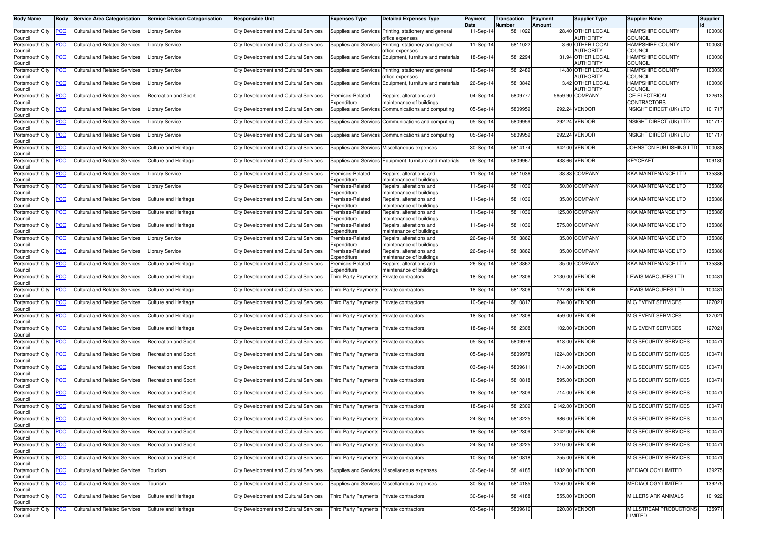| <b>Body Name</b>                      | <b>Body</b> | <b>Service Area Categorisation</b>                                            | <b>Service Division Categorisation</b> | <b>Responsible Unit</b>                       | <b>Expenses Type</b>                     | <b>Detailed Expenses Type</b>                                             | Payment<br>Date | Transaction<br>Number | Payment<br>Amount | <b>Supplier Type</b>                  | <b>Supplier Name</b>                        | Supplier |
|---------------------------------------|-------------|-------------------------------------------------------------------------------|----------------------------------------|-----------------------------------------------|------------------------------------------|---------------------------------------------------------------------------|-----------------|-----------------------|-------------------|---------------------------------------|---------------------------------------------|----------|
| Portsmouth City<br>Council            | <u>PCC</u>  | <b>Cultural and Related Services</b>                                          | <b>Library Service</b>                 | City Development and Cultural Services        |                                          | Supplies and Services Printing, stationery and general<br>office expenses | 11-Sep-14       | 5811022               |                   | 28.40 OTHER LOCAL<br><b>AUTHORITY</b> | HAMPSHIRE COUNTY<br>COUNCIL                 | 100030   |
| Portsmouth City<br>Council            | <u>PCC</u>  | <b>Cultural and Related Services</b>                                          | <b>Library Service</b>                 | <b>City Development and Cultural Services</b> |                                          | Supplies and Services Printing, stationery and general<br>office expenses | 11-Sep-14       | 5811022               |                   | 3.60 OTHER LOCAL<br><b>AUTHORITY</b>  | HAMPSHIRE COUNTY<br><b>COUNCIL</b>          | 100030   |
| Portsmouth City                       | <u>PCC</u>  | Cultural and Related Services                                                 | <b>Library Service</b>                 | <b>City Development and Cultural Services</b> | Supplies and Services                    | Equipment, furniture and materials                                        | 18-Sep-14       | 5812294               |                   | 31.94 OTHER LOCAL<br><b>AUTHORITY</b> | HAMPSHIRE COUNTY<br>COUNCIL                 | 100030   |
| Council<br>Portsmouth City<br>Council | <u>PCC</u>  | <b>Cultural and Related Services</b>                                          | Library Service                        | City Development and Cultural Services        |                                          | Supplies and Services Printing, stationery and general<br>office expenses | 19-Sep-14       | 5812489               |                   | 14.80 OTHER LOCAL<br><b>AUTHORITY</b> | <b>HAMPSHIRE COUNTY</b><br><b>COUNCIL</b>   | 100030   |
| Portsmouth City<br>Council            | <u>PCC</u>  | <b>Cultural and Related Services</b>                                          | Library Service                        | City Development and Cultural Services        | Supplies and Services                    | Equipment, furniture and materials                                        | 26-Sep-14       | 5813842               |                   | 3.42 OTHER LOCAL<br><b>AUTHORITY</b>  | HAMPSHIRE COUNTY<br><b>COUNCIL</b>          | 100030   |
| Portsmouth City<br>Council            | <u>PCC</u>  | <b>Cultural and Related Services</b>                                          | Recreation and Sport                   | City Development and Cultural Services        | Premises-Related<br>Expenditure          | Repairs, alterations and<br>maintenance of buildings                      | 04-Sep-14       | 5809777               |                   | 5659.90 COMPANY                       | <b>ICE ELECTRICAL</b><br><b>CONTRACTORS</b> | 122613   |
| Portsmouth City<br>Council            | <u>PCC</u>  | <b>Cultural and Related Services</b>                                          | ibrary Service                         | <b>City Development and Cultural Services</b> | Supplies and Services                    | Communications and computing                                              | 05-Sep-14       | 5809959               |                   | 292.24 VENDOR                         | INSIGHT DIRECT (UK) LTD                     | 101717   |
| Portsmouth City<br>Council            | <u>PCC</u>  | <b>Cultural and Related Services</b>                                          | <b>Library Service</b>                 | City Development and Cultural Services        | Supplies and Services                    | Communications and computing                                              | 05-Sep-14       | 5809959               | 292.24            | <b>VENDOR</b>                         | INSIGHT DIRECT (UK) LTD                     | 101717   |
| Portsmouth City<br>Council            | PCC         | <b>Cultural and Related Services</b>                                          | Library Service                        | City Development and Cultural Services        | <b>Supplies and Services</b>             | Communications and computing                                              | 05-Sep-14       | 5809959               | 292.24            | VENDOR                                | INSIGHT DIRECT (UK) LTD                     | 101717   |
| Portsmouth City<br>Council            | <u>PCC</u>  | <b>Cultural and Related Services</b>                                          | Culture and Heritage                   | City Development and Cultural Services        |                                          | Supplies and Services Miscellaneous expenses                              | 30-Sep-14       | 5814174               |                   | 942.00 VENDOR                         | JOHNSTON PUBLISHING LTD                     | 100088   |
| Portsmouth City<br>Council            | <u>PCC</u>  | Cultural and Related Services                                                 | <b>Culture and Heritage</b>            | <b>City Development and Cultural Services</b> |                                          | Supplies and Services Equipment, furniture and materials                  | 05-Sep-14       | 580996                |                   | 438.66 VENDOR                         | <b>KEYCRAFT</b>                             | 109180   |
| Portsmouth City<br>Council            | <u>PCC</u>  | <b>Cultural and Related Services</b>                                          | Library Service                        | City Development and Cultural Services        | Premises-Related<br>Expenditure          | Repairs, alterations and<br>naintenance of buildings                      | 11-Sep-14       | 5811036               |                   | 38.83 COMPANY                         | KKA MAINTENANCE LTD                         | 135386   |
| Portsmouth City<br>Council            | <u>PCC</u>  | Cultural and Related Services                                                 | Library Service                        | <b>City Development and Cultural Services</b> | Premises-Related<br>Expenditure          | Repairs, alterations and<br>naintenance of buildings                      | 11-Sep-14       | 5811036               |                   | 50.00 COMPANY                         | KKA MAINTENANCE LTD                         | 135386   |
| Portsmouth City<br>Council            |             | <b>Cultural and Related Services</b>                                          | <b>Culture and Heritage</b>            | <b>City Development and Cultural Services</b> | Premises-Related<br>Expenditure          | Repairs, alterations and<br>naintenance of buildings                      | 11-Sep-14       | 5811036               |                   | 35.00 COMPANY                         | KKA MAINTENANCE LTD                         | 135386   |
| Portsmouth City<br>Council            | <u>PCC</u>  | <b>Cultural and Related Services</b>                                          | <b>Culture and Heritage</b>            | City Development and Cultural Services        | Premises-Related<br>Expenditure          | Repairs, alterations and<br>maintenance of buildings                      | 11-Sep-14       | 5811036               |                   | 125.00 COMPANY                        | KKA MAINTENANCE LTD                         | 135386   |
| Portsmouth City<br>Council            | <u>PCC</u>  | <b>Cultural and Related Services</b>                                          | <b>Culture and Heritage</b>            | City Development and Cultural Services        | Premises-Related<br>Expenditure          | Repairs, alterations and<br>naintenance of buildings                      | 11-Sep-14       | 5811036               |                   | 575.00 COMPANY                        | KKA MAINTENANCE LTD                         | 135386   |
| Portsmouth City<br>Council            | <u>PCC</u>  | Cultural and Related Services                                                 | ibrary Service                         | City Development and Cultural Services        | Premises-Related<br>Expenditure          | Repairs, alterations and<br>naintenance of buildings                      | 26-Sep-14       | 5813862               |                   | 35.00 COMPANY                         | KKA MAINTENANCE LTD                         | 135386   |
| Portsmouth City<br>Council            | <b>PCC</b>  | <b>Cultural and Related Services</b>                                          | Library Service                        | City Development and Cultural Services        | Premises-Related<br>Expenditure          | Repairs, alterations and<br>maintenance of buildings                      | 26-Sep-14       | 5813862               |                   | 35.00 COMPANY                         | KKA MAINTENANCE LTD                         | 135386   |
| Portsmouth City<br>Council            | <u>PCC</u>  | Cultural and Related Services                                                 | Culture and Heritage                   | <b>City Development and Cultural Services</b> | Premises-Related<br>Expenditure          | Repairs, alterations and<br>naintenance of buildings                      | 26-Sep-14       | 5813862               |                   | 35.00 COMPANY                         | KKA MAINTENANCE LTD                         | 135386   |
| Portsmouth City<br>Council            | <u>PCC</u>  | <b>Cultural and Related Services</b>                                          | Culture and Heritage                   | City Development and Cultural Services        | <b>Third Party Payments</b>              | Private contractors                                                       | 18-Sep-14       | 5812306               | 2130.00           | <b>VENDOR</b>                         | LEWIS MARQUEES LTD                          | 100481   |
| Portsmouth City<br>Council            | <u>PCC</u>  | <b>Cultural and Related Services</b>                                          | <b>Culture and Heritage</b>            | City Development and Cultural Services        | <b>Third Party Payments</b>              | Private contractors                                                       | 18-Sep-14       | 5812306               |                   | 127.80 VENDOR                         | LEWIS MARQUEES LTD                          | 100481   |
| Portsmouth City<br>Council            | PСC         | <b>Cultural and Related Services</b>                                          | <b>Culture and Heritage</b>            | City Development and Cultural Services        | Third Party Payments                     | Private contractors                                                       | 10-Sep-14       | 5810817               |                   | 204.00 VENDOR                         | M G EVENT SERVICES                          | 127021   |
| Portsmouth City<br>Council            | <u>PCC</u>  | <b>Cultural and Related Services</b>                                          | <b>Culture and Heritage</b>            | City Development and Cultural Services        | Third Party Payments                     | Private contractors                                                       | 18-Sep-14       | 5812308               |                   | 459.00 VENDOR                         | <b>M G EVENT SERVICES</b>                   | 127021   |
| Portsmouth City<br>Council            | <u>PCC</u>  | <b>Cultural and Related Services</b>                                          | Culture and Heritage                   | City Development and Cultural Services        | <b>Third Party Payments</b>              | Private contractors                                                       | 18-Sep-14       | 5812308               |                   | 102.00 VENDOR                         | M G EVENT SERVICES                          | 127021   |
| Portsmouth City<br>Council            | <u>PCC</u>  | <b>Cultural and Related Services</b>                                          | Recreation and Sport                   | City Development and Cultural Services        | <b>Third Party Payments</b>              | Private contractors                                                       | 05-Sep-14       | 580997                |                   | 918.00 VENDOR                         | M G SECURITY SERVICES                       | 100471   |
| Portsmouth City<br>Council            | <u>PCC</u>  | <b>Cultural and Related Services</b>                                          | Recreation and Sport                   | City Development and Cultural Services        | Third Party Payments                     | Private contractors                                                       | 05-Sep-14       | 5809978               | 1224.00           | <b>VENDOR</b>                         | <b>M G SECURITY SERVICES</b>                | 100471   |
| Portsmouth City<br>Council            | <u>PCC</u>  | <b>Cultural and Related Services</b>                                          | Recreation and Sport                   | City Development and Cultural Services        | Third Party Payments Private contractors |                                                                           | 03-Sep-14       | 5809611               |                   | 714.00 VENDOR                         | <b>M G SECURITY SERVICES</b>                | 100471   |
| Portsmouth City<br>Council            | <u>PCC</u>  | Cultural and Related Services                                                 | Recreation and Sport                   | <b>City Development and Cultural Services</b> | Third Party Payments                     | Private contractors                                                       | 10-Sep-14       | 5810818               |                   | 595.00 VENDOR                         | M G SECURITY SERVICES                       | 100471   |
| Portsmouth City<br>Council            | <u>PCC</u>  | Cultural and Related Services                                                 | Recreation and Sport                   | <b>City Development and Cultural Services</b> | <b>Third Party Payments</b>              | Private contractors                                                       | 18-Sep-14       | 5812309               |                   | 714.00 VENDOR                         | <b>M G SECURITY SERVICES</b>                | 100471   |
| Portsmouth City<br>Council            | <u>PCC</u>  | Cultural and Related Services                                                 | Recreation and Sport                   | City Development and Cultural Services        | <b>Third Party Payments</b>              | Private contractors                                                       | 18-Sep-14       | 5812309               | 2142.00           | <b>VENDOR</b>                         | <b>M G SECURITY SERVICES</b>                | 100471   |
| Council                               |             | Portsmouth City <b>PCC</b> Cultural and Related Services Recreation and Sport |                                        | City Development and Cultural Services        | Third Party Payments Private contractors |                                                                           | 24-Sep-14       | 5813225               |                   | 986.00 VENDOR                         | M G SECURITY SERVICES                       | 100471   |
| Portsmouth City<br>Council            | <u>PCC</u>  | <b>Cultural and Related Services</b>                                          | Recreation and Sport                   | City Development and Cultural Services        | Third Party Payments Private contractors |                                                                           | 18-Sep-14       | 5812309               |                   | 2142.00 VENDOR                        | M G SECURITY SERVICES                       | 100471   |
| Portsmouth City<br>Council            | <u>PCC</u>  | <b>Cultural and Related Services</b>                                          | Recreation and Sport                   | City Development and Cultural Services        | Third Party Payments                     | Private contractors                                                       | 24-Sep-14       | 5813225               |                   | 2210.00 VENDOR                        | M G SECURITY SERVICES                       | 100471   |
| Portsmouth City<br>Council            | <u>PCC</u>  | <b>Cultural and Related Services</b>                                          | <b>Recreation and Sport</b>            | City Development and Cultural Services        | <b>Third Party Payments</b>              | Private contractors                                                       | 10-Sep-14       | 5810818               |                   | 255.00 VENDOR                         | M G SECURITY SERVICES                       | 100471   |
| Portsmouth City<br>Council            | <u>PCC</u>  | Cultural and Related Services                                                 | Tourism                                | City Development and Cultural Services        |                                          | Supplies and Services Miscellaneous expenses                              | 30-Sep-14       | 5814185               |                   | 1432.00 VENDOR                        | <b>MEDIAOLOGY LIMITED</b>                   | 139275   |
| Portsmouth City<br>Council            | <u>PCC</u>  | <b>Cultural and Related Services</b>                                          | Tourism                                | City Development and Cultural Services        |                                          | Supplies and Services Miscellaneous expenses                              | 30-Sep-14       | 5814185               |                   | 1250.00 VENDOR                        | MEDIAOLOGY LIMITED                          | 139275   |
| Portsmouth City<br>Council            | <u>PCC</u>  | <b>Cultural and Related Services</b>                                          | <b>Culture and Heritage</b>            | City Development and Cultural Services        | Third Party Payments                     | Private contractors                                                       | 30-Sep-14       | 5814188               |                   | 555.00 VENDOR                         | MILLERS ARK ANIMALS                         | 101922   |
| Portsmouth City<br>Council            | <u>PCC</u>  | Cultural and Related Services                                                 | <b>Culture and Heritage</b>            | City Development and Cultural Services        | <b>Third Party Payments</b>              | Private contractors                                                       | 03-Sep-14       | 5809616               |                   | 620.00 VENDOR                         | MILLSTREAM PRODUCTIONS<br>LIMITED           | 135971   |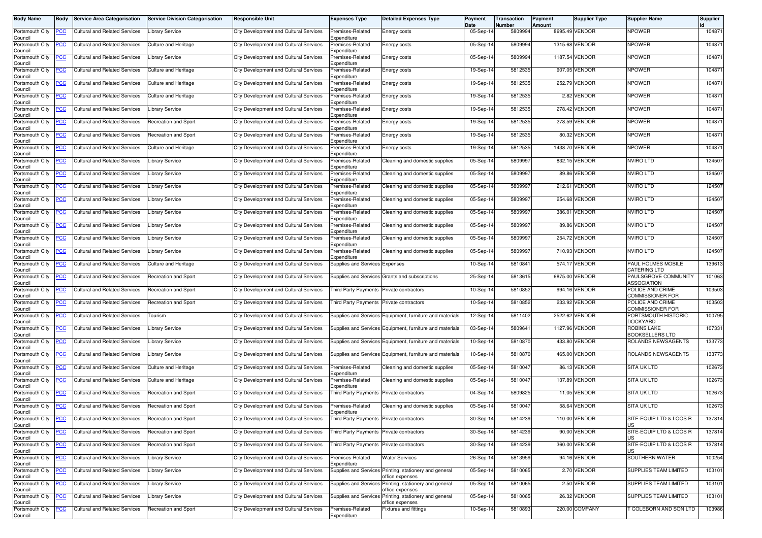| <b>Body Name</b>           | <b>Body</b>    | <b>Service Area Categorisation</b>                                            | <b>Service Division Categorisation</b> | <b>Responsible Unit</b>                       | <b>Expenses Type</b>                     | <b>Detailed Expenses Type</b>                            | Payment<br>Date | Transaction<br>Number | Payment<br>Amount | Supplier Type  | <b>Supplier Name</b>                         | Supplier |
|----------------------------|----------------|-------------------------------------------------------------------------------|----------------------------------------|-----------------------------------------------|------------------------------------------|----------------------------------------------------------|-----------------|-----------------------|-------------------|----------------|----------------------------------------------|----------|
| Portsmouth City<br>Council |                | Cultural and Related Services                                                 | Library Service                        | City Development and Cultural Services        | Premises-Related<br>Expenditure          | Energy costs                                             | 05-Sep-14       | 5809994               |                   | 8695.49 VENDOR | <b>NPOWER</b>                                | 104871   |
| Portsmouth City<br>Council | <u>PCC</u>     | <b>Cultural and Related Services</b>                                          | <b>Culture and Heritage</b>            | City Development and Cultural Services        | Premises-Related<br>Expenditure          | Energy costs                                             | 05-Sep-14       | 5809994               |                   | 1315.68 VENDOR | <b>NPOWER</b>                                | 104871   |
| Portsmouth City<br>Council |                | Cultural and Related Services                                                 | <b>Library Service</b>                 | City Development and Cultural Services        | Premises-Related<br>Expenditure          | Energy costs                                             | 05-Sep-14       | 5809994               | 1187.54           | VENDOR         | <b>NPOWER</b>                                | 104871   |
| Portsmouth City<br>Council | <u>PCC</u>     | <b>Cultural and Related Services</b>                                          | Culture and Heritage                   | City Development and Cultural Services        | Premises-Related<br>Expenditure          | Energy costs                                             | 19-Sep-14       | 5812535               |                   | 907.05 VENDOR  | <b>NPOWER</b>                                | 104871   |
| Portsmouth City<br>Council | <u>PCC</u>     | <b>Cultural and Related Services</b>                                          | Culture and Heritage                   | City Development and Cultural Services        | Premises-Related<br>Expenditure          | Energy costs                                             | 19-Sep-14       | 5812535               | 252.79            | <b>VENDOR</b>  | <b>NPOWER</b>                                | 104871   |
| Portsmouth City<br>Council | <u>PCC</u>     | <b>Cultural and Related Services</b>                                          | <b>Culture and Heritage</b>            | City Development and Cultural Services        | Premises-Related<br>Expenditure          | Energy costs                                             | 19-Sep-14       | 5812535               |                   | 2.82 VENDOR    | <b>NPOWER</b>                                | 104871   |
| Portsmouth City<br>Council | <u>PCC</u>     | <b>Cultural and Related Services</b>                                          | ibrary Service                         | <b>City Development and Cultural Services</b> | Premises-Related<br>Expenditure          | Energy costs                                             | 19-Sep-14       | 5812535               |                   | 278.42 VENDOR  | <b>NPOWER</b>                                | 104871   |
| Portsmouth City<br>Council | <u>PCC</u>     | <b>Cultural and Related Services</b>                                          | Recreation and Sport                   | City Development and Cultural Services        | Premises-Related<br>Expenditure          | Energy costs                                             | 19-Sep-14       | 5812535               |                   | 278.59 VENDOR  | <b>NPOWER</b>                                | 104871   |
| Portsmouth City<br>Council | PCC            | <b>Cultural and Related Services</b>                                          | Recreation and Sport                   | <b>City Development and Cultural Services</b> | Premises-Related<br>Expenditure          | Energy costs                                             | 19-Sep-14       | 5812535               | 80.32             | <b>VENDOR</b>  | <b>NPOWER</b>                                | 104871   |
| Portsmouth City<br>Council | <u>PCC</u>     | <b>Cultural and Related Services</b>                                          | Culture and Heritage                   | City Development and Cultural Services        | Premises-Related<br>Expenditure          | Energy costs                                             | 19-Sep-14       | 5812535               |                   | 1438.70 VENDOR | <b>NPOWER</b>                                | 104871   |
| Portsmouth City<br>Council | <u>PCC</u>     | Cultural and Related Services                                                 | Library Service                        | <b>City Development and Cultural Services</b> | Premises-Related<br>Expenditure          | Cleaning and domestic supplies                           | 05-Sep-14       | 580999                |                   | 832.15 VENDOR  | <b>NVIRO LTD</b>                             | 124507   |
| Portsmouth City<br>Council | <u>PCC</u>     | <b>Cultural and Related Services</b>                                          | Library Service                        | City Development and Cultural Services        | Premises-Related<br>Expenditure          | Cleaning and domestic supplies                           | 05-Sep-14       | 580999                |                   | 89.86 VENDOR   | <b>NVIRO LTD</b>                             | 124507   |
| Portsmouth City<br>Council | <u>PCC</u>     | Cultural and Related Services                                                 | Library Service                        | <b>City Development and Cultural Services</b> | Premises-Related<br>Expenditure          | Cleaning and domestic supplies                           | 05-Sep-14       | 580999                | 212.61            | <b>VENDOR</b>  | <b>NVIRO LTD</b>                             | 124507   |
| Portsmouth City<br>Council |                | <b>Cultural and Related Services</b>                                          | ibrary Service                         | <b>City Development and Cultural Services</b> | Premises-Related<br>Expenditure          | Cleaning and domestic supplies                           | 05-Sep-14       | 580999                | 254.68            | VENDOR         | NVIRO LTD                                    | 124507   |
| Portsmouth City<br>Council | <u>PCC</u>     | Cultural and Related Services                                                 | <b>Library Service</b>                 | City Development and Cultural Services        | Premises-Related<br>Expenditure          | Cleaning and domestic supplies                           | 05-Sep-14       | 580999                |                   | 386.01 VENDOR  | <b>NVIRO LTD</b>                             | 124507   |
| Portsmouth City<br>Council | <u>PCC</u>     | Cultural and Related Services                                                 | Library Service                        | City Development and Cultural Services        | Premises-Related<br>Expenditure          | Cleaning and domestic supplies                           | 05-Sep-14       | 580999                | 89.86             | <b>VENDOR</b>  | NVIRO LTD                                    | 124507   |
| Portsmouth City<br>Council | <u>PCC</u>     | Cultural and Related Services                                                 | ibrary Service                         | City Development and Cultural Services        | Premises-Related<br>Expenditure          | Cleaning and domestic supplies                           | 05-Sep-14       | 580999                |                   | 254.72 VENDOR  | NVIRO LTD                                    | 124507   |
| Portsmouth City<br>Council | <b>PCC</b>     | <b>Cultural and Related Services</b>                                          | Library Service                        | City Development and Cultural Services        | Premises-Related<br>Expenditure          | Cleaning and domestic supplies                           | 05-Sep-14       | 5809997               | 710.93            | <b>VENDOR</b>  | <b>NVIRO LTD</b>                             | 124507   |
| Portsmouth City<br>Council | <u>PCC</u>     | <b>Cultural and Related Services</b>                                          | <b>Culture and Heritage</b>            | City Development and Cultural Services        | Supplies and Services Expenses           |                                                          | 10-Sep-14       | 581084                | 574.17            | <b>VENDOR</b>  | PAUL HOLMES MOBILE<br><b>CATERING LTD</b>    | 139613   |
| Portsmouth City<br>Council | <u>PCC</u>     | <b>Cultural and Related Services</b>                                          | <b>Recreation and Sport</b>            | City Development and Cultural Services        | <b>Supplies and Services</b>             | Grants and subscriptions                                 | 25-Sep-14       | 5813615               | 6875.00           | VENDOR         | PAULSGROVE COMMUNITY<br><b>ASSOCIATION</b>   | 101063   |
| Portsmouth City<br>Council | <u>PCC</u>     | <b>Cultural and Related Services</b>                                          | Recreation and Sport                   | City Development and Cultural Services        | <b>Third Party Payments</b>              | Private contractors                                      | 10-Sep-14       | 5810852               | 994.16            | <b>VENDOR</b>  | POLICE AND CRIME<br><b>COMMISSIONER FOR</b>  | 103503   |
| Portsmouth City<br>Council | PСC            | <b>Cultural and Related Services</b>                                          | Recreation and Sport                   | City Development and Cultural Services        | Third Party Payments                     | Private contractors                                      | 10-Sep-14       | 5810852               | 233.92            | <b>VENDOR</b>  | POLICE AND CRIME<br><b>COMMISSIONER FOR</b>  | 103503   |
| Portsmouth City<br>Council | <u>PCC</u>     | <b>Cultural and Related Services</b>                                          | Tourism                                | City Development and Cultural Services        |                                          | Supplies and Services Equipment, furniture and materials | 12-Sep-14       | 5811402               |                   | 2522.62 VENDOR | PORTSMOUTH HISTORIC<br><b>DOCKYARD</b>       | 100795   |
| Portsmouth City<br>Council |                | <b>Cultural and Related Services</b>                                          | <b>Library Service</b>                 | City Development and Cultural Services        | Supplies and Services                    | Equipment, furniture and materials                       | 03-Sep-14       | 580964                | 1127.96           | <b>VENDOR</b>  | <b>ROBINS LAKE</b><br><b>BOOKSELLERS LTD</b> | 107331   |
| Portsmouth City<br>Council | <u>PCC</u>     | <b>Cultural and Related Services</b>                                          | Library Service                        | City Development and Cultural Services        | Supplies and Services                    | Equipment, furniture and materials                       | 10-Sep-14       | 581087                |                   | 433.80 VENDOR  | ROLANDS NEWSAGENTS                           | 133773   |
| Portsmouth City<br>Council | <u>PCC</u>     | <b>Cultural and Related Services</b>                                          | ibrary Service                         | City Development and Cultural Services        |                                          | Supplies and Services Equipment, furniture and materials | 10-Sep-14       | 581087                | 465.00            | <b>VENDOR</b>  | ROLANDS NEWSAGENTS                           | 133773   |
| Portsmouth City<br>Council | <u>PCC</u>     | <b>Cultural and Related Services</b>                                          | Culture and Heritage                   | City Development and Cultural Services        | Premises-Related<br>Expenditure          | Cleaning and domestic supplies                           | 05-Sep-14       | 581004                |                   | 86.13 VENDOR   | <b>SITA UK LTD</b>                           | 102673   |
| Portsmouth City<br>Council | <b>PCC</b>     | <b>Cultural and Related Services</b>                                          | Culture and Heritage                   | <b>City Development and Cultural Services</b> | Premises-Related<br>Expenditure          | Cleaning and domestic supplies                           | 05-Sep-14       | 581004                |                   | 137.89 VENDOR  | SITA UK LTD                                  | 102673   |
| Portsmouth City<br>Council | <u>PCC</u>     | <b>Cultural and Related Services</b>                                          | Recreation and Sport                   | <b>City Development and Cultural Services</b> | Third Party Payments                     | Private contractors                                      | 04-Sep-14       | 580982                |                   | 11.05 VENDOR   | <b>SITA UK LTD</b>                           | 102673   |
| Portsmouth City<br>Council | <u>PCC</u>     | <b>Cultural and Related Services</b>                                          | Recreation and Sport                   | <b>City Development and Cultural Services</b> | Premises-Related<br>Expenditure          | Cleaning and domestic supplies                           | 05-Sep-14       | 5810047               | 58.64             | <b>/ENDOR</b>  | SITA UK LTD                                  | 102673   |
| Council                    |                | Portsmouth City <b>PCC</b> Cultural and Related Services Recreation and Sport |                                        | City Development and Cultural Services        | Third Party Payments Private contractors |                                                          | 30-Sep-14       | 5814239               |                   | 110.00 VENDOR  | SITE-EQUIP LTD & LOOS R<br><b>US</b>         | 137814   |
| Portsmouth City<br>Council | PCC            | <b>Cultural and Related Services</b>                                          | Recreation and Sport                   | City Development and Cultural Services        | Third Party Payments                     | Private contractors                                      | 30-Sep-14       | 5814239               |                   | 90.00 VENDOR   | SITE-EQUIP LTD & LOOS R                      | 137814   |
| Portsmouth City<br>Council | <u>PCC</u>     | <b>Cultural and Related Services</b>                                          | <b>Recreation and Sport</b>            | City Development and Cultural Services        | <b>Third Party Payments</b>              | Private contractors                                      | 30-Sep-14       | 5814239               |                   | 360.00 VENDOR  | SITE-EQUIP LTD & LOOS R                      | 137814   |
| Portsmouth City<br>Council | <u>PCC</u>     | <b>Cultural and Related Services</b>                                          | <b>Library Service</b>                 | City Development and Cultural Services        | Premises-Related<br>Expenditure          | <b>Water Services</b>                                    | 26-Sep-14       | 5813959               |                   | 94.16 VENDOR   | SOUTHERN WATER                               | 100254   |
| Portsmouth City<br>Council | <u>PCC</u>     | Cultural and Related Services                                                 | <b>Library Service</b>                 | City Development and Cultural Services        | Supplies and Services                    | Printing, stationery and general<br>office expenses      | 05-Sep-14       | 5810065               |                   | 2.70 VENDOR    | <b>SUPPLIES TEAM LIMITED</b>                 | 103101   |
| Portsmouth City<br>Council | $\overline{C}$ | <b>Cultural and Related Services</b>                                          | <b>Library Service</b>                 | City Development and Cultural Services        | <b>Supplies and Services</b>             | Printing, stationery and general<br>office expenses      | 05-Sep-14       | 5810065               |                   | 2.50 VENDOR    | SUPPLIES TEAM LIMITED                        | 103101   |
| Portsmouth City<br>Council | <u>PCC</u>     | Cultural and Related Services                                                 | <b>Library Service</b>                 | City Development and Cultural Services        | Supplies and Services                    | Printing, stationery and general<br>office expenses      | 05-Sep-14       | 5810065               |                   | 26.32 VENDOR   | SUPPLIES TEAM LIMITED                        | 103101   |
| Portsmouth City<br>Council | <u>PCC</u>     | <b>Cultural and Related Services</b>                                          | Recreation and Sport                   | City Development and Cultural Services        | Premises-Related<br>Expenditure          | Fixtures and fittings                                    | 10-Sep-14       | 5810893               |                   | 220.00 COMPANY | COLEBORN AND SON LTD                         | 103986   |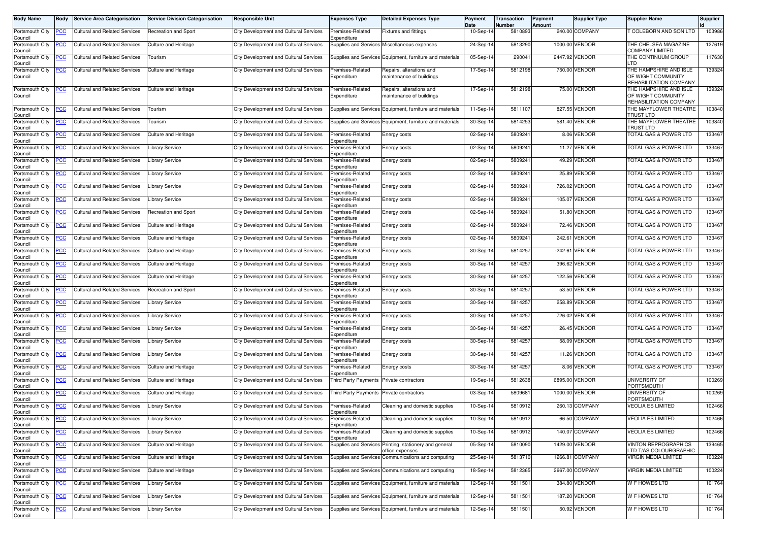| <b>Body Name</b>           | <b>Body</b> | <b>Service Area Categorisation</b>                                      | <b>Service Division Categorisation</b> | <b>Responsible Unit</b>                       | <b>Expenses Type</b>            | <b>Detailed Expenses Type</b>                                             | Payment<br>Date | Transaction<br>Number | Payment<br>Amount | Supplier Type   | <b>Supplier Name</b>                                                   | Supplier |
|----------------------------|-------------|-------------------------------------------------------------------------|----------------------------------------|-----------------------------------------------|---------------------------------|---------------------------------------------------------------------------|-----------------|-----------------------|-------------------|-----------------|------------------------------------------------------------------------|----------|
| Portsmouth City<br>Council |             | <b>Cultural and Related Services</b>                                    | Recreation and Sport                   | <b>City Development and Cultural Services</b> | Premises-Related<br>Expenditure | <b>Fixtures and fittings</b>                                              | 10-Sep-14       | 5810893               |                   | 240.00 COMPANY  | COLEBORN AND SON LTD                                                   | 103986   |
| Portsmouth City<br>Council | <u>PCC</u>  | <b>Cultural and Related Services</b>                                    | <b>Culture and Heritage</b>            | City Development and Cultural Services        |                                 | Supplies and Services Miscellaneous expenses                              | 24-Sep-14       | 5813290               |                   | 1000.00 VENDOR  | THE CHELSEA MAGAZINE<br><b>COMPANY LIMITED</b>                         | 127619   |
| Portsmouth City<br>Council |             | <b>Cultural and Related Services</b>                                    | Tourism                                | <b>City Development and Cultural Services</b> |                                 | Supplies and Services Equipment, furniture and materials                  | 05-Sep-14       | 29004                 |                   | 2447.92 VENDOR  | THE CONTINUUM GROUP<br>_TD                                             | 117630   |
| Portsmouth City<br>Council | <u>PCC</u>  | Cultural and Related Services                                           | <b>Culture and Heritage</b>            | City Development and Cultural Services        | Premises-Related<br>Expenditure | Repairs, alterations and<br>maintenance of buildings                      | 17-Sep-14       | 5812198               |                   | 750.00 VENDOR   | THE HAMPSHIRE AND ISLE<br>OF WIGHT COMMUNITY<br>REHABILITATION COMPANY | 139324   |
| Portsmouth City<br>Council | <u>PCC</u>  | <b>Cultural and Related Services</b>                                    | <b>Culture and Heritage</b>            | City Development and Cultural Services        | Premises-Related<br>Expenditure | Repairs, alterations and<br>naintenance of buildings                      | 17-Sep-14       | 5812198               |                   | 75.00 VENDOR    | THE HAMPSHIRE AND ISLE<br>OF WIGHT COMMUNITY<br>REHABILITATION COMPANY | 139324   |
| Portsmouth City<br>Council |             | <b>Cultural and Related Services</b>                                    | Fourism                                | City Development and Cultural Services        |                                 | Supplies and Services Equipment, furniture and materials                  | 11-Sep-14       | 581110                |                   | 827.55 VENDOR   | THE MAYFLOWER THEATRE<br><b>TRUST LTD</b>                              | 103840   |
| Portsmouth City<br>Council | <u>PCC</u>  | <b>Cultural and Related Services</b>                                    | Tourism                                | City Development and Cultural Services        | Supplies and Services           | Equipment, furniture and materials                                        | 30-Sep-14       | 5814253               |                   | 581.40 VENDOR   | THE MAYFLOWER THEATRE<br><b>TRUST LTD</b>                              | 103840   |
| Portsmouth City<br>Council | <u>PCC</u>  | <b>Cultural and Related Services</b>                                    | <b>Culture and Heritage</b>            | <b>City Development and Cultural Services</b> | Premises-Related<br>Expenditure | Energy costs                                                              | 02-Sep-14       | 580924                |                   | 8.06 VENDOR     | <b>TOTAL GAS &amp; POWER LTD</b>                                       | 133467   |
| Portsmouth City<br>Council | <u>PCC</u>  | <b>Cultural and Related Services</b>                                    | ibrary Service                         | City Development and Cultural Services        | Premises-Related<br>Expenditure | Energy costs                                                              | 02-Sep-14       | 580924                |                   | 11.27 VENDOR    | <b>FOTAL GAS &amp; POWER LTD</b>                                       | 133467   |
| Portsmouth City<br>Council |             | Cultural and Related Services                                           | Library Service                        | <b>City Development and Cultural Services</b> | Premises-Related<br>Expenditure | Energy costs                                                              | 02-Sep-14       | 580924                |                   | 49.29 VENDOR    | TOTAL GAS & POWER LTD                                                  | 133467   |
| Portsmouth City<br>Council | <u>PCC</u>  | <b>Cultural and Related Services</b>                                    | Library Service                        | City Development and Cultural Services        | Premises-Related<br>Expenditure | Energy costs                                                              | 02-Sep-14       | 580924                |                   | 25.89 VENDOR    | TOTAL GAS & POWER LTD                                                  | 133467   |
| Portsmouth City<br>Council | <u>PCC</u>  | Cultural and Related Services                                           | Library Service                        | City Development and Cultural Services        | Premises-Related<br>Expenditure | Energy costs                                                              | 02-Sep-14       | 580924                | 726.02            | <b>VENDOR</b>   | <b>FOTAL GAS &amp; POWER LTD</b>                                       | 133467   |
| Portsmouth City<br>Council | <u>PCC</u>  | <b>Cultural and Related Services</b>                                    | <b>Library Service</b>                 | City Development and Cultural Services        | Premises-Related<br>Expenditure | Energy costs                                                              | 02-Sep-14       | 5809241               | 105.07            | <b>VENDOR</b>   | <b>TOTAL GAS &amp; POWER LTD</b>                                       | 133467   |
| Portsmouth City<br>Council | <u>PCC</u>  | <b>Cultural and Related Services</b>                                    | Recreation and Sport                   | City Development and Cultural Services        | Premises-Related<br>Expenditure | Energy costs                                                              | 02-Sep-14       | 580924                |                   | 51.80 VENDOR    | <b>TOTAL GAS &amp; POWER LTD</b>                                       | 133467   |
| Portsmouth City<br>Council |             | <b>Cultural and Related Services</b>                                    | <b>Culture and Heritage</b>            | City Development and Cultural Services        | Premises-Related<br>Expenditure | Energy costs                                                              | 02-Sep-14       | 580924                |                   | 72.46 VENDOR    | TOTAL GAS & POWER LTD                                                  | 133467   |
| Portsmouth City<br>Council | PСC         | Cultural and Related Services                                           | Culture and Heritage                   | City Development and Cultural Services        | Premises-Related<br>Expenditure | Energy costs                                                              | 02-Sep-14       | 580924                | 242.61            | VENDOR          | TOTAL GAS & POWER LTD                                                  | 133467   |
| Portsmouth City<br>Council | <u>PCC</u>  | <b>Cultural and Related Services</b>                                    | Culture and Heritage                   | City Development and Cultural Services        | Premises-Related<br>Expenditure | Energy costs                                                              | 30-Sep-14       | 5814257               |                   | -242.61 VENDOR  | <b>FOTAL GAS &amp; POWER LTD</b>                                       | 133467   |
| Portsmouth City<br>Council | <u>PCC</u>  | <b>Cultural and Related Services</b>                                    | <b>Culture and Heritage</b>            | <b>City Development and Cultural Services</b> | Premises-Related<br>Expenditure | Energy costs                                                              | 30-Sep-14       | 5814257               |                   | 396.62 VENDOR   | TOTAL GAS & POWER LTD                                                  | 133467   |
| Portsmouth City<br>Council | <b>PCC</b>  | <b>Cultural and Related Services</b>                                    | Culture and Heritage                   | City Development and Cultural Services        | Premises-Related<br>Expenditure | Energy costs                                                              | 30-Sep-14       | 581425                |                   | 122.56 VENDOR   | <b>TOTAL GAS &amp; POWER LTD</b>                                       | 133467   |
| Portsmouth City<br>Council | <u>PCC</u>  | <b>Cultural and Related Services</b>                                    | Recreation and Sport                   | City Development and Cultural Services        | Premises-Related<br>Expenditure | Energy costs                                                              | 30-Sep-14       | 581425                |                   | 53.50 VENDOR    | TOTAL GAS & POWER LTD                                                  | 133467   |
| Portsmouth City<br>Council | <u>PCC</u>  | <b>Cultural and Related Services</b>                                    | <b>Library Service</b>                 | City Development and Cultural Services        | Premises-Related<br>Expenditure | Energy costs                                                              | 30-Sep-14       | 5814257               | 258.89            | <b>VENDOR</b>   | TOTAL GAS & POWER LTD                                                  | 133467   |
| Portsmouth City<br>Council | <u>PCC</u>  | Cultural and Related Services                                           | Library Service                        | City Development and Cultural Services        | Premises-Related<br>Expenditure | Energy costs                                                              | 30-Sep-14       | 5814257               |                   | 726.02 VENDOR   | TOTAL GAS & POWER LTD                                                  | 133467   |
| Portsmouth City<br>Council | <u>PCC</u>  | <b>Cultural and Related Services</b>                                    | Library Service                        | City Development and Cultural Services        | Premises-Related<br>Expenditure | Energy costs                                                              | 30-Sep-14       | 581425                |                   | 26.45 VENDOR    | TOTAL GAS & POWER LTD                                                  | 133467   |
| Portsmouth City<br>Council | <u>PCC</u>  | <b>Cultural and Related Services</b>                                    | Library Service                        | City Development and Cultural Services        | Premises-Related<br>Expenditure | Energy costs                                                              | 30-Sep-14       | 581425                |                   | 58.09 VENDOR    | TOTAL GAS & POWER LTD                                                  | 133467   |
| Portsmouth City<br>Council | <u>PCC</u>  | <b>Cultural and Related Services</b>                                    | Library Service                        | City Development and Cultural Services        | Premises-Related<br>Expenditure | Energy costs                                                              | 30-Sep-14       | 5814257               |                   | 11.26 VENDOR    | <b>FOTAL GAS &amp; POWER LTD</b>                                       | 133467   |
| Portsmouth City<br>Council |             | Cultural and Related Services                                           | Culture and Heritage                   | <b>City Development and Cultural Services</b> | Premises-Related<br>Expenditure | Energy costs                                                              | 30-Sep-14       | 581425                |                   | 8.06 VENDOR     | TOTAL GAS & POWER LTD                                                  | 133467   |
| Portsmouth City<br>Council | <u>PCC</u>  | <b>Cultural and Related Services</b>                                    | Culture and Heritage                   | City Development and Cultural Services        | Third Party Payments            | Private contractors                                                       | 19-Sep-14       | 5812638               |                   | 6895.00 VENDOR  | UNIVERSITY OF<br>PORTSMOUTH                                            | 100269   |
| Portsmouth City<br>Council | <u>PCC </u> | <b>Cultural and Related Services</b>                                    | <b>Culture and Heritage</b>            | City Development and Cultural Services        | Third Party Payments            | Private contractors                                                       | 03-Sep-14       | 580968                |                   | 1000.00 VENDOR  | <b>UNIVERSITY OF</b><br>PORTSMOUTH                                     | 100269   |
| Portsmouth City<br>Council | <u>PCC</u>  | <b>Cultural and Related Services</b>                                    | Library Service                        | <b>City Development and Cultural Services</b> | Premises-Related<br>Expenditure | Cleaning and domestic supplies                                            | 10-Sep-14       | 5810912               |                   | 260.13 COMPANY  | <b>VEOLIA ES LIMITED</b>                                               | 102466   |
| Council                    |             | Portsmouth City   PCC   Cultural and Related Services   Library Service |                                        | City Development and Cultural Services        | Premises-Related<br>Expenditure | Cleaning and domestic supplies                                            | 10-Sep-14       | 5810912               |                   | 66.50 COMPANY   | <b>VEOLIA ES LIMITED</b>                                               | 102466   |
| Portsmouth City<br>Council | <u>PCC</u>  | <b>Cultural and Related Services</b>                                    | <b>Library Service</b>                 | City Development and Cultural Services        | Premises-Related<br>Expenditure | Cleaning and domestic supplies                                            | 10-Sep-14       | 5810912               |                   | 140.07 COMPANY  | <b>VEOLIA ES LIMITED</b>                                               | 102466   |
| Portsmouth City<br>Council | <u>PCC</u>  | <b>Cultural and Related Services</b>                                    | <b>Culture and Heritage</b>            | City Development and Cultural Services        |                                 | Supplies and Services Printing, stationery and general<br>office expenses | 05-Sep-14       | 5810090               |                   | 1429.00 VENDOR  | <b>VINTON REPROGRAPHICS</b><br>LTD T/AS COLOURGRAPHIC                  | 139465   |
| Portsmouth City<br>Council | <u>PCC</u>  | <b>Cultural and Related Services</b>                                    | <b>Culture and Heritage</b>            | City Development and Cultural Services        | Supplies and Services           | Communications and computing                                              | 25-Sep-14       | 5813710               |                   | 1266.81 COMPANY | VIRGIN MEDIA LIMITED                                                   | 100224   |
| Portsmouth City<br>Council | <u>PCC</u>  | <b>Cultural and Related Services</b>                                    | Culture and Heritage                   | City Development and Cultural Services        |                                 | Supplies and Services Communications and computing                        | 18-Sep-14       | 5812365               |                   | 2667.00 COMPANY | VIRGIN MEDIA LIMITED                                                   | 100224   |
| Portsmouth City<br>Council | <u>PCC</u>  | <b>Cultural and Related Services</b>                                    | Library Service                        | City Development and Cultural Services        |                                 | Supplies and Services Equipment, furniture and materials                  | 12-Sep-14       | 5811501               |                   | 384.80 VENDOR   | W F HOWES LTD                                                          | 101764   |
| Portsmouth City<br>Council | <u>PCC</u>  | <b>Cultural and Related Services</b>                                    | Library Service                        | City Development and Cultural Services        |                                 | Supplies and Services Equipment, furniture and materials                  | 12-Sep-14       | 5811501               |                   | 187.20 VENDOR   | W F HOWES LTD                                                          | 101764   |
| Portsmouth City<br>Council | <b>PCC</b>  | <b>Cultural and Related Services</b>                                    | <b>Library Service</b>                 | City Development and Cultural Services        |                                 | Supplies and Services Equipment, furniture and materials                  | 12-Sep-14       | 5811501               |                   | 50.92 VENDOR    | W F HOWES LTD                                                          | 101764   |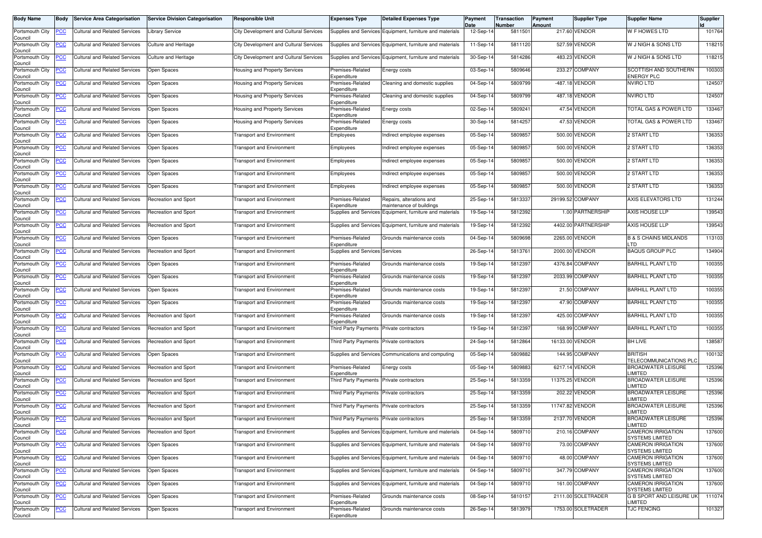| <b>Body Name</b>           | Body           | <b>Service Area Categorisation</b>                       | <b>Service Division Categorisation</b> | <b>Responsible Unit</b>                       | <b>Expenses Type</b>                     | <b>Detailed Expenses Type</b>                            | Payment<br>Date | <b>Transaction</b><br>Number | Payment<br>Amount | <b>Supplier Type</b> | <b>Supplier Name</b>                                | <b>Supplier</b> |
|----------------------------|----------------|----------------------------------------------------------|----------------------------------------|-----------------------------------------------|------------------------------------------|----------------------------------------------------------|-----------------|------------------------------|-------------------|----------------------|-----------------------------------------------------|-----------------|
| Portsmouth City<br>Council | <u>'СС</u>     | <b>Cultural and Related Services</b>                     | Library Service                        | City Development and Cultural Services        |                                          | Supplies and Services Equipment, furniture and materials | 12-Sep-14       | 5811501                      |                   | 217.60 VENDOR        | W F HOWES LTD                                       | 101764          |
| Portsmouth City<br>Council | <u>CC</u>      | <b>Cultural and Related Services</b>                     | <b>Culture and Heritage</b>            | <b>City Development and Cultural Services</b> |                                          | Supplies and Services Equipment, furniture and materials | $11-Sep-1$      | 5811120                      |                   | 527.59 VENDOR        | W J NIGH & SONS LTD                                 | 118215          |
| Portsmouth City<br>Council | <u>'СС</u>     | <b>Cultural and Related Services</b>                     | <b>Culture and Heritage</b>            | City Development and Cultural Services        |                                          | Supplies and Services Equipment, furniture and materials | 30-Sep-1        | 5814286                      |                   | 483.23 VENDOR        | W J NIGH & SONS LTD                                 | 118215          |
| Portsmouth City<br>Council | <u>'CC</u>     | <b>Cultural and Related Services</b>                     | Open Spaces                            | <b>Housing and Property Services</b>          | Premises-Related<br>Expenditure          | Energy costs                                             | 03-Sep-14       | 5809646                      |                   | 233.27 COMPANY       | SCOTTISH AND SOUTHERN<br><b>ENERGY PLC</b>          | 100303          |
| Portsmouth City<br>Council | <u>'CC</u>     | <b>Cultural and Related Services</b>                     | Open Spaces                            | Housing and Property Services                 | Premises-Related<br>Expenditure          | Cleaning and domestic supplies                           | 04-Sep-14       | 5809799                      |                   | -487.18 VENDOR       | <b>NVIRO LTD</b>                                    | 124507          |
| Portsmouth City<br>Council | <u>'CC</u>     | <b>Cultural and Related Services</b>                     | Open Spaces                            | Housing and Property Services                 | Premises-Related<br>Expenditure          | Cleaning and domestic supplies                           | 04-Sep-14       | 5809799                      |                   | 487.18 VENDOR        | <b>NVIRO LTD</b>                                    | 124507          |
| Portsmouth City<br>Council | <u>CC</u>      | <b>Cultural and Related Services</b>                     | Open Spaces                            | <b>Housing and Property Services</b>          | Premises-Related<br>Expenditure          | Energy costs                                             | 02-Sep-1        | 580924                       |                   | 47.54 VENDOR         | TOTAL GAS & POWER LTD                               | 133467          |
| Portsmouth City<br>Council | <u>'CC</u>     | <b>Cultural and Related Services</b>                     | Open Spaces                            | <b>Housing and Property Services</b>          | Premises-Related<br>Expenditure          | Energy costs                                             | 30-Sep-14       | 581425                       |                   | 47.53 VENDOR         | <b>TOTAL GAS &amp; POWER LTD</b>                    | 133467          |
| Portsmouth City<br>Council | сC             | <b>Cultural and Related Services</b>                     | Open Spaces                            | <b>Fransport and Environment</b>              | Employees                                | Indirect employee expenses                               | 05-Sep-14       | 580985                       |                   | 500.00 VENDOR        | <b>2 START LTD</b>                                  | 136353          |
| Portsmouth City<br>Council | <u>CC</u>      | <b>Cultural and Related Services</b>                     | Open Spaces                            | <b>Transport and Environment</b>              | Employees                                | Indirect employee expenses                               | 05-Sep-14       | 580985                       |                   | 500.00 VENDOR        | 2 START LTD                                         | 136353          |
| Portsmouth City<br>Council | <u>'СС</u>     | <b>Cultural and Related Services</b>                     | Open Spaces                            | <b>Transport and Environment</b>              | Employees                                | Indirect employee expenses                               | 05-Sep-14       | 580985                       |                   | 500.00 VENDOR        | 2 START LTD                                         | 136353          |
| Portsmouth City<br>Council | <u>'CC</u>     | <b>Cultural and Related Services</b>                     | Open Spaces                            | <b>Transport and Environment</b>              | Employees                                | Indirect employee expenses                               | 05-Sep-14       | 5809857                      |                   | 500.00 VENDOR        | <b>2 START LTD</b>                                  | 136353          |
| Portsmouth City<br>Council | <u>'СС</u>     | <b>Cultural and Related Services</b>                     | Open Spaces                            | <b>Fransport and Environment</b>              | Employees                                | Indirect employee expenses                               | 05-Sep-14       | 580985                       |                   | 500.00 VENDOR        | <b>2 START LTD</b>                                  | 136353          |
| Portsmouth City<br>Council | <u>'СС</u>     | <b>Cultural and Related Services</b>                     | Recreation and Sport                   | <b>Fransport and Environment</b>              | Premises-Related<br>Expenditure          | Repairs, alterations and<br>maintenance of buildings     | 25-Sep-14       | 581333                       |                   | 29199.52 COMPANY     | AXIS ELEVATORS LTD                                  | 131244          |
| Portsmouth City<br>Council | <u>PCC</u>     | <b>Cultural and Related Services</b>                     | <b>Recreation and Sport</b>            | Transport and Environment                     |                                          | Supplies and Services Equipment, furniture and materials | 19-Sep-14       | 5812392                      |                   | 1.00 PARTNERSHIP     | <b>AXIS HOUSE LLP</b>                               | 139543          |
| Portsmouth City<br>Council | <u>'CC</u>     | <b>Cultural and Related Services</b>                     | <b>Recreation and Sport</b>            | <b>Transport and Environment</b>              |                                          | Supplies and Services Equipment, furniture and materials | 19-Sep-14       | 5812392                      |                   | 4402.00 PARTNERSHIP  | AXIS HOUSE LLP                                      | 139543          |
| Portsmouth City<br>Council | <u>'СС</u>     | <b>Cultural and Related Services</b>                     | Open Spaces                            | <b>Fransport and Environment</b>              | Premises-Related<br>Expenditure          | Grounds maintenance costs                                | 04-Sep-14       | 5809698                      |                   | 2265.00 VENDOR       | <b>B &amp; S CHAINS MIDLANDS</b><br>TD              | 113103          |
| Portsmouth City<br>Council | <u>'CC</u>     | <b>Cultural and Related Services</b>                     | <b>Recreation and Sport</b>            | <b>Transport and Environment</b>              | Supplies and Services Services           |                                                          | 26-Sep-14       | 5813761                      | 2000.00           | <b><i>VENDOR</i></b> | <b>BAQUS GROUP PLC</b>                              | 134904          |
| Portsmouth City<br>Council | <u>PCC</u>     | <b>Cultural and Related Services</b>                     | Open Spaces                            | <b>Transport and Environment</b>              | Premises-Related<br>Expenditure          | Grounds maintenance costs                                | 19-Sep-14       | 5812397                      |                   | 4376.84 COMPANY      | <b>BARHILL PLANT LTD</b>                            | 100355          |
| Portsmouth City<br>Council | <u>CC</u>      | <b>Cultural and Related Services</b>                     | Open Spaces                            | <b>Fransport and Environment</b>              | Premises-Related<br>Expenditure          | Grounds maintenance costs                                | 19-Sep-14       | 5812397                      |                   | 2033.99 COMPANY      | <b>BARHILL PLANT LTD</b>                            | 100355          |
| Portsmouth City<br>Council | <u>'СС</u>     | <b>Cultural and Related Services</b>                     | Open Spaces                            | <b>Fransport and Environment</b>              | Premises-Related<br>Expenditure          | Grounds maintenance costs                                | 19-Sep-14       | 581239                       |                   | 21.50 COMPANY        | <b>BARHILL PLANT LTD</b>                            | 100355          |
| Portsmouth City<br>Council | <u>cc</u>      | <b>Cultural and Related Services</b>                     | Open Spaces                            | <b>Transport and Environment</b>              | Premises-Related<br>Expenditure          | Grounds maintenance costs                                | 19-Sep-14       | 5812397                      |                   | 47.90 COMPANY        | <b>BARHILL PLANT LTD</b>                            | 100355          |
| Portsmouth City<br>Council | <u>'CC</u>     | <b>Cultural and Related Services</b>                     | Recreation and Sport                   | <b>Transport and Environment</b>              | Premises-Related<br>Expenditure          | Grounds maintenance costs                                | 19-Sep-14       | 5812397                      |                   | 425.00 COMPANY       | <b>BARHILL PLANT LTD</b>                            | 100355          |
| Portsmouth City<br>Council | <u>'СС</u>     | <b>Cultural and Related Services</b>                     | <b>Recreation and Sport</b>            | Fransport and Environment                     | Third Party Payments                     | Private contractors                                      | 19-Sep-1        | 581239                       |                   | 168.99 COMPANY       | <b>BARHILL PLANT LTD</b>                            | 100355          |
| Portsmouth City<br>Council | <u>'СС</u>     | <b>Cultural and Related Services</b>                     | Recreation and Sport                   | ransport and Environment                      | Third Party Payments                     | Private contractors                                      | 24-Sep-14       | 5812864                      |                   | 16133.00 VENDOR      | <b>BH LIVE</b>                                      | 138587          |
| Portsmouth City<br>Council | <u>PCC</u>     | <b>Cultural and Related Services</b>                     | Open Spaces                            | <b>Fransport and Environment</b>              |                                          | Supplies and Services Communications and computing       | 05-Sep-14       | 5809882                      |                   | 144.95 COMPANY       | <b>BRITISH</b><br>TELECOMMUNICATIONS PLO            | 100132          |
| Portsmouth City<br>Council | <u>'CC</u>     | <b>Cultural and Related Services</b>                     | Recreation and Sport                   | <b>Transport and Environment</b>              | Premises-Related<br>Expenditure          | Energy costs                                             | 05-Sep-14       | 5809883                      |                   | 6217.14 VENDOR       | <b>BROADWATER LEISURE</b><br>LIMITED                | 125396          |
| Portsmouth City<br>Council | <u>CC</u>      | <b>Cultural and Related Services</b>                     | Recreation and Sport                   | <b>Transport and Environment</b>              | Third Party Payments Private contractors |                                                          | 25-Sep-1        | 5813359                      |                   | 11375.25 VENDOR      | <b>BROADWATER LEISURE</b><br><b>IMITED</b>          | 125396          |
| Portsmouth City<br>Council | <u>'CC</u>     | <b>Cultural and Related Services</b>                     | Recreation and Sport                   | <b>Transport and Environment</b>              | <b>Third Party Payments</b>              | Private contractors                                      | 25-Sep-14       | 5813359                      |                   | 202.22 VENDOR        | <b>BROADWATER LEISURE</b><br><b>IMITED</b>          | 125396          |
| Portsmouth City<br>Council | <u>'СС</u>     | <b>Cultural and Related Services</b>                     | <b>Recreation and Sport</b>            | <b>Fransport and Environment</b>              | Third Party Payments Private contractors |                                                          | 25-Sep-14       | 5813359                      |                   | 11747.82 VENDOR      | <b>BROADWATER LEISURE</b><br>LIMITED                | 125396          |
| Council                    |                | Portsmouth City <b>PCC</b> Cultural and Related Services | Recreation and Sport                   | <b>Transport and Environment</b>              | Third Party Payments Private contractors |                                                          | 25-Sep-14       | 5813359                      |                   | 2137.70 VENDOR       | <b>BROADWATER LEISURE</b><br>LIMITED                | 125396          |
| Portsmouth City<br>Council | сC             | Cultural and Related Services                            | Recreation and Sport                   | <b>Transport and Environment</b>              |                                          | Supplies and Services Equipment, furniture and materials | 04-Sep-14       | 5809710                      |                   | 210.16 COMPANY       | <b>CAMERON IRRIGATION</b><br><b>SYSTEMS LIMITED</b> | 137600          |
| Portsmouth City<br>Council | <u>'CC</u>     | <b>Cultural and Related Services</b>                     | Open Spaces                            | <b>Transport and Environment</b>              |                                          | Supplies and Services Equipment, furniture and materials | 04-Sep-14       | 5809710                      |                   | 73.00 COMPANY        | <b>CAMERON IRRIGATION</b><br><b>SYSTEMS LIMITED</b> | 137600          |
| Portsmouth City<br>Council | $\overline{C}$ | <b>Cultural and Related Services</b>                     | Open Spaces                            | <b>Transport and Environment</b>              |                                          | Supplies and Services Equipment, furniture and materials | 04-Sep-14       | 5809710                      |                   | 48.00 COMPANY        | <b>CAMERON IRRIGATION</b><br><b>SYSTEMS LIMITED</b> | 137600          |
| Portsmouth City<br>Council | <u>CC</u>      | <b>Cultural and Related Services</b>                     | Open Spaces                            | <b>Transport and Environment</b>              |                                          | Supplies and Services Equipment, furniture and materials | 04-Sep-14       | 5809710                      |                   | 347.79 COMPANY       | <b>CAMERON IRRIGATION</b><br><b>SYSTEMS LIMITED</b> | 137600          |
| Portsmouth City<br>Council | <u>CC</u>      | <b>Cultural and Related Services</b>                     | Open Spaces                            | <b>Transport and Environment</b>              |                                          | Supplies and Services Equipment, furniture and materials | 04-Sep-14       | 5809710                      |                   | 161.00 COMPANY       | <b>CAMERON IRRIGATION</b><br><b>SYSTEMS LIMITED</b> | 137600          |
| Portsmouth City<br>Council | <u>'CC</u>     | <b>Cultural and Related Services</b>                     | Open Spaces                            | <b>Transport and Environment</b>              | Premises-Related<br>Expenditure          | Grounds maintenance costs                                | 08-Sep-14       | 5810157                      |                   | 2111.00 SOLETRADER   | <b>G B SPORT AND LEISURE UK</b><br>LIMITED          | 111074          |
| Portsmouth City<br>Council | <b>CC</b>      | <b>Cultural and Related Services</b>                     | Open Spaces                            | <b>Fransport and Environment</b>              | Premises-Related<br>Expenditure          | Grounds maintenance costs                                | 26-Sep-14       | 5813979                      |                   | 1753.00 SOLETRADER   | <b>TJC FENCING</b>                                  | 101327          |
|                            |                |                                                          |                                        |                                               |                                          |                                                          |                 |                              |                   |                      |                                                     |                 |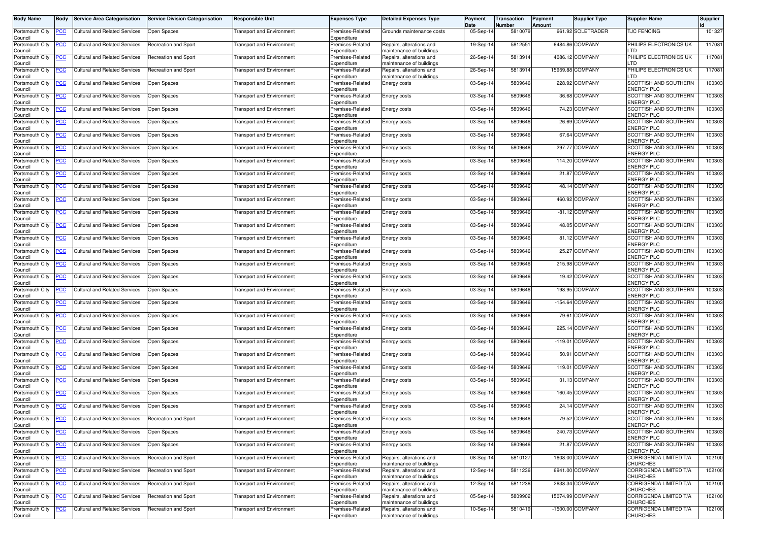| <b>Body Name</b>           | <b>Body</b> | <b>Service Area Categorisation</b>                       | <b>Service Division Categorisation</b> | <b>Responsible Unit</b>          | <b>Expenses Type</b>            | <b>Detailed Expenses Type</b>                        | Payment<br>Date | Transaction<br>Number | Payment<br>Amount | Supplier Type     | <b>Supplier Name</b>                             | <b>Supplier</b> |
|----------------------------|-------------|----------------------------------------------------------|----------------------------------------|----------------------------------|---------------------------------|------------------------------------------------------|-----------------|-----------------------|-------------------|-------------------|--------------------------------------------------|-----------------|
| Portsmouth City<br>Council |             | <b>Cultural and Related Services</b>                     | Open Spaces                            | <b>Transport and Environment</b> | Premises-Related<br>Expenditure | Grounds maintenance costs                            | 05-Sep-14       | 5810079               |                   | 661.92 SOLETRADER | <b><i>FENCING</i></b>                            | 101327          |
| Portsmouth City<br>Council | <u>PCC</u>  | <b>Cultural and Related Services</b>                     | Recreation and Sport                   | <b>Transport and Environment</b> | Premises-Related<br>Expenditure | Repairs, alterations and<br>maintenance of buildings | 19-Sep-14       | 5812551               |                   | 6484.86 COMPANY   | PHILIPS ELECTRONICS UK<br>тn                     | 117081          |
| Portsmouth City<br>Council |             | Cultural and Related Services                            | <b>Recreation and Sport</b>            | <b>Transport and Environment</b> | Premises-Related<br>Expenditure | Repairs, alterations and<br>maintenance of buildings | 26-Sep-14       | 5813914               |                   | 4086.12 COMPANY   | PHILIPS ELECTRONICS UK<br>тn                     | 117081          |
| Portsmouth City<br>Council | <u>PCC</u>  | Cultural and Related Services                            | Recreation and Sport                   | <b>Transport and Environment</b> | Premises-Related<br>Expenditure | Repairs, alterations and<br>maintenance of buildings | 26-Sep-14       | 5813914               | 15959.88          | <b>COMPANY</b>    | PHILIPS ELECTRONICS UK<br>тn                     | 117081          |
| Portsmouth City<br>Council | <u>PCC</u>  | <b>Cultural and Related Services</b>                     | Open Spaces                            | <b>Transport and Environment</b> | Premises-Related<br>Expenditure | Energy costs                                         | 03-Sep-14       | 5809646               | 228.92            | COMPANY           | SCOTTISH AND SOUTHERN<br>ENERGY PLC              | 100303          |
| Portsmouth City<br>Council | <u>PCC</u>  | <b>Cultural and Related Services</b>                     | Open Spaces                            | <b>Transport and Environment</b> | Premises-Related<br>Expenditure | Energy costs                                         | 03-Sep-14       | 5809646               |                   | 36.68 COMPANY     | SCOTTISH AND SOUTHERN<br>ENERGY PLC              | 100303          |
| Portsmouth City<br>Council | <u>PCC</u>  | <b>Cultural and Related Services</b>                     | Open Spaces                            | <b>Transport and Environment</b> | Premises-Related<br>Expenditure | Energy costs                                         | 03-Sep-14       | 5809646               |                   | 74.23 COMPANY     | SCOTTISH AND SOUTHERN<br><b>ENERGY PLC</b>       | 100303          |
| Portsmouth City<br>Council | <u>PCC</u>  | <b>Cultural and Related Services</b>                     | Open Spaces                            | <b>Transport and Environment</b> | Premises-Related<br>Expenditure | Energy costs                                         | 03-Sep-14       | 5809646               |                   | 26.69 COMPANY     | SCOTTISH AND SOUTHERN<br>ENERGY PLC              | 100303          |
| Portsmouth City<br>Council | PСC         | <b>Cultural and Related Services</b>                     | Open Spaces                            | <b>Transport and Environment</b> | Premises-Related<br>Expenditure | Energy costs                                         | 03-Sep-14       | 5809646               |                   | 67.64 COMPANY     | SCOTTISH AND SOUTHERN<br>ENERGY PLC              | 100303          |
| Portsmouth City<br>Council | <u>PCC</u>  | <b>Cultural and Related Services</b>                     | Open Spaces                            | <b>Transport and Environment</b> | Premises-Related<br>Expenditure | Energy costs                                         | 03-Sep-14       | 5809646               | 297.77            | COMPANY           | SCOTTISH AND SOUTHERN<br>ENERGY PLC              | 100303          |
| Portsmouth City<br>Council | PCC.        | <b>Cultural and Related Services</b>                     | Open Spaces                            | <b>Transport and Environment</b> | Premises-Related<br>Expenditure | Energy costs                                         | 03-Sep-14       | 5809646               |                   | 114.20 COMPANY    | SCOTTISH AND SOUTHERN<br>ENERGY PLC              | 100303          |
| Portsmouth City<br>Council | <u>PCC</u>  | <b>Cultural and Related Services</b>                     | Open Spaces                            | <b>Fransport and Environment</b> | Premises-Related<br>Expenditure | Energy costs                                         | 03-Sep-14       | 5809646               |                   | 21.87 COMPANY     | SCOTTISH AND SOUTHERN<br>ENERGY PLC              | 100303          |
| Portsmouth City<br>Council | <u>PCC</u>  | Cultural and Related Services                            | Open Spaces                            | <b>Transport and Environment</b> | Premises-Related<br>Expenditure | Energy costs                                         | 03-Sep-14       | 5809646               |                   | 48.14 COMPANY     | SCOTTISH AND SOUTHERN<br><b>ENERGY PLC</b>       | 100303          |
| Portsmouth City<br>Council | <u>PCC</u>  | <b>Cultural and Related Services</b>                     | Open Spaces                            | <b>Transport and Environment</b> | Premises-Related<br>Expenditure | Energy costs                                         | 03-Sep-14       | 5809646               |                   | 460.92 COMPANY    | SCOTTISH AND SOUTHERN<br><b>ENERGY PLC</b>       | 100303          |
| Portsmouth City<br>Council | <u>PCC</u>  | <b>Cultural and Related Services</b>                     | Open Spaces                            | <b>Transport and Environment</b> | Premises-Related<br>Expenditure | Energy costs                                         | 03-Sep-14       | 5809646               |                   | -81.12 COMPANY    | <b>SCOTTISH AND SOUTHERN</b><br>ENERGY PLC       | 100303          |
| Portsmouth City<br>Council | <u>PCC</u>  | <b>Cultural and Related Services</b>                     | Open Spaces                            | <b>Transport and Environment</b> | Premises-Related<br>Expenditure | Energy costs                                         | 03-Sep-14       | 5809646               |                   | 48.05 COMPANY     | SCOTTISH AND SOUTHERN<br>ENERGY PLC              | 100303          |
| Portsmouth City<br>Council | <u>PCC</u>  | Cultural and Related Services                            | Open Spaces                            | <b>Transport and Environment</b> | Premises-Related<br>Expenditure | Energy costs                                         | 03-Sep-14       | 5809646               |                   | 81.12 COMPANY     | SCOTTISH AND SOUTHERN<br><b>ENERGY PLC</b>       | 100303          |
| Portsmouth City<br>Council | <b>PCC</b>  | <b>Cultural and Related Services</b>                     | <b>Open Spaces</b>                     | <b>Transport and Environment</b> | Premises-Related<br>Expenditure | Energy costs                                         | 03-Sep-14       | 5809646               | 25.27             | COMPANY           | SCOTTISH AND SOUTHERN<br><b>ENERGY PLC</b>       | 100303          |
| Portsmouth City<br>Council | <u>PCC</u>  | <b>Cultural and Related Services</b>                     | Open Spaces                            | <b>Transport and Environment</b> | Premises-Related<br>Expenditure | Energy costs                                         | 03-Sep-14       | 5809646               |                   | 215.98 COMPANY    | SCOTTISH AND SOUTHERN<br>ENERGY PLC              | 100303          |
| Portsmouth City<br>Council | <u>PCC</u>  | <b>Cultural and Related Services</b>                     | Open Spaces                            | <b>Transport and Environment</b> | Premises-Related<br>Expenditure | Energy costs                                         | 03-Sep-14       | 5809646               |                   | 19.42 COMPANY     | SCOTTISH AND SOUTHERN<br>ENERGY PLC              | 100303          |
| Portsmouth City<br>Council | <u>PCC</u>  | <b>Cultural and Related Services</b>                     | Open Spaces                            | <b>Transport and Environment</b> | Premises-Related<br>Expenditure | Energy costs                                         | 03-Sep-14       | 5809646               |                   | 198.95 COMPANY    | SCOTTISH AND SOUTHERN<br>ENERGY PLC              | 100303          |
| Portsmouth City<br>Council | PСC         | <b>Cultural and Related Services</b>                     | Open Spaces                            | <b>Transport and Environment</b> | Premises-Related<br>Expenditure | Energy costs                                         | 03-Sep-14       | 5809646               |                   | -154.64 COMPANY   | SCOTTISH AND SOUTHERN<br>ENERGY PLC              | 100303          |
| Portsmouth City<br>Council | <u>PCC</u>  | <b>Cultural and Related Services</b>                     | Open Spaces                            | <b>Transport and Environment</b> | Premises-Related<br>Expenditure | Energy costs                                         | 03-Sep-14       | 5809646               |                   | 79.61 COMPANY     | SCOTTISH AND SOUTHERN<br>ENERGY PLC              | 100303          |
| Portsmouth City<br>Council |             | <b>Cultural and Related Services</b>                     | Open Spaces                            | <b>Transport and Environment</b> | Premises-Related<br>Expenditure | Energy costs                                         | 03-Sep-14       | 5809646               | 225.1             | <b>COMPANY</b>    | SCOTTISH AND SOUTHERN<br>ENERGY PLC              | 100303          |
| Portsmouth City<br>Council | <u>PCC</u>  | <b>Cultural and Related Services</b>                     | Open Spaces                            | <b>Transport and Environment</b> | Premises-Related<br>Expenditure | Energy costs                                         | 03-Sep-14       | 5809646               | $-119.01$         | COMPANY           | SCOTTISH AND SOUTHERN<br>ENERGY PLC              | 100303          |
| Portsmouth City<br>Council | <u>PCC</u>  | <b>Cultural and Related Services</b>                     | Open Spaces                            | <b>Transport and Environment</b> | Premises-Related<br>Expenditure | Energy costs                                         | 03-Sep-14       | 5809646               | 50.91             | COMPANY           | SCOTTISH AND SOUTHERN<br>ENERGY PLC              | 100303          |
| Portsmouth City<br>Council | <u>PCC</u>  | <b>Cultural and Related Services</b>                     | Open Spaces                            | <b>Transport and Environment</b> | Premises-Related<br>Expenditure | Energy costs                                         | 03-Sep-14       | 5809646               | 119.01            | COMPANY           | SCOTTISH AND SOUTHERN<br>ENERGY PLC              | 100303          |
| Portsmouth City<br>Council | <u>PCC</u>  | <b>Cultural and Related Services</b>                     | Open Spaces                            | <b>Transport and Environment</b> | Premises-Related<br>Expenditure | Energy costs                                         | 03-Sep-14       | 5809646               |                   | 31.13 COMPANY     | SCOTTISH AND SOUTHERN<br>ENERGY PLC              | 100303          |
| Portsmouth City<br>Council | <u>PCC</u>  | <b>Cultural and Related Services</b>                     | Open Spaces                            | <b>Transport and Environment</b> | Premises-Related<br>Expenditure | Energy costs                                         | 03-Sep-14       | 5809646               |                   | 160.45 COMPANY    | SCOTTISH AND SOUTHERN<br>ENERGY PLC              | 100303          |
| Portsmouth City<br>Council | <u>PCC</u>  | <b>Cultural and Related Services</b>                     | Open Spaces                            | <b>Transport and Environment</b> | Premises-Related<br>Expenditure | Energy costs                                         | 03-Sep-14       | 5809646               |                   | 24.14 COMPANY     | SCOTTISH AND SOUTHERN<br><b>ENERGY PLC</b>       | 100303          |
| Council                    |             | Portsmouth City <b>PCC</b> Cultural and Related Services | Recreation and Sport                   | <b>Transport and Environment</b> | Premises-Related<br>Expenditure | Energy costs                                         | 03-Sep-14       | 5809646               |                   | 79.52 COMPANY     | SCOTTISH AND SOUTHERN<br><b>ENERGY PLC</b>       | 100303          |
| Portsmouth City<br>Council | PCC         | <b>Cultural and Related Services</b>                     | Open Spaces                            | <b>Transport and Environment</b> | Premises-Related<br>Expenditure | Energy costs                                         | 03-Sep-14       | 5809646               |                   | 240.73 COMPANY    | SCOTTISH AND SOUTHERN<br><b>ENERGY PLC</b>       | 100303          |
| Portsmouth City<br>Council | <u>PCC</u>  | <b>Cultural and Related Services</b>                     | Open Spaces                            | <b>Transport and Environment</b> | Premises-Related<br>Expenditure | Energy costs                                         | 03-Sep-14       | 5809646               |                   | 21.87 COMPANY     | SCOTTISH AND SOUTHERN<br>ENERGY PLC              | 100303          |
| Portsmouth City<br>Council | <u>PCC</u>  | <b>Cultural and Related Services</b>                     | <b>Recreation and Sport</b>            | <b>Transport and Environment</b> | Premises-Related<br>Expenditure | Repairs, alterations and<br>maintenance of buildings | 08-Sep-14       | 5810127               |                   | 1608.00 COMPANY   | CORRIGENDA LIMITED T/A<br><b>CHURCHES</b>        | 102100          |
| Portsmouth City<br>Council | <u>PCC</u>  | <b>Cultural and Related Services</b>                     | Recreation and Sport                   | <b>Transport and Environment</b> | Premises-Related<br>Expenditure | Repairs, alterations and<br>maintenance of buildings | 12-Sep-14       | 5811236               |                   | 6941.00 COMPANY   | CORRIGENDA LIMITED T/A<br><b>CHURCHES</b>        | 102100          |
| Portsmouth City<br>Council | <u>PCC</u>  | <b>Cultural and Related Services</b>                     | Recreation and Sport                   | <b>Transport and Environment</b> | Premises-Related<br>Expenditure | Repairs, alterations and<br>maintenance of buildings | 12-Sep-14       | 5811236               |                   | 2638.34 COMPANY   | CORRIGENDA LIMITED T/A<br>CHURCHES               | 102100          |
| Portsmouth City<br>Council | <u>PCC</u>  | <b>Cultural and Related Services</b>                     | <b>Recreation and Sport</b>            | <b>Transport and Environment</b> | Premises-Related<br>Expenditure | Repairs, alterations and<br>maintenance of buildings | 05-Sep-14       | 5809902               |                   | 15074.99 COMPANY  | CORRIGENDA LIMITED T/A<br>CHURCHES               | 102100          |
| Portsmouth City<br>Council | <u>PCC</u>  | <b>Cultural and Related Services</b>                     | Recreation and Sport                   | <b>Transport and Environment</b> | Premises-Related<br>Expenditure | Repairs, alterations and<br>maintenance of buildings | 10-Sep-14       | 5810419               |                   | -1500.00 COMPANY  | <b>CORRIGENDA LIMITED T/A</b><br><b>CHURCHES</b> | 102100          |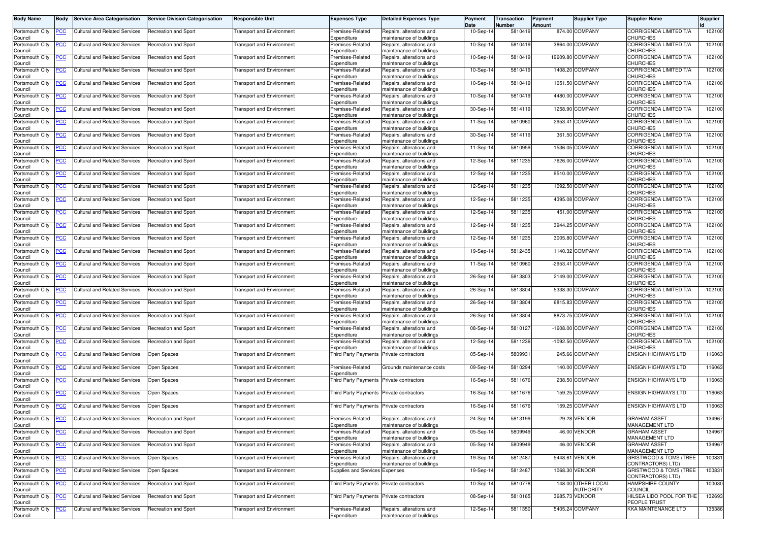| <b>Body Name</b>               | Body           | <b>Service Area Categorisation</b>   | <b>Service Division Categorisation</b> | <b>Responsible Unit</b>          | <b>Expenses Type</b>                | <b>Detailed Expenses Type</b>                        | Payment<br>Date | Transaction<br>Number | Payment<br>Amount | <b>Supplier Type</b>                   | <b>Supplier Name</b>                         | <b>Supplier</b> |
|--------------------------------|----------------|--------------------------------------|----------------------------------------|----------------------------------|-------------------------------------|------------------------------------------------------|-----------------|-----------------------|-------------------|----------------------------------------|----------------------------------------------|-----------------|
| Portsmouth City<br>Council     | <u>'СС</u>     | <b>Cultural and Related Services</b> | Recreation and Sport                   | ransport and Environment         | Premises-Related<br>Expenditure     | Repairs, alterations and<br>maintenance of buildings | 10-Sep-14       | 5810419               |                   | 874.00 COMPANY                         | CORRIGENDA LIMITED T/A<br>CHURCHES           | 102100          |
| Portsmouth City                | <u>CC</u>      | <b>Cultural and Related Services</b> | <b>Recreation and Sport</b>            | ransport and Environment         | Premises-Related<br>Expenditure     | Repairs, alterations and                             | 10-Sep-14       | 5810419               |                   | 3864.00 COMPANY                        | CORRIGENDA LIMITED T/A<br>CHURCHES           | 102100          |
| Council<br>Portsmouth City     | <u>'СС</u>     | <b>Cultural and Related Services</b> | Recreation and Sport                   | Transport and Environment        | Premises-Related                    | maintenance of buildings<br>Repairs, alterations and | 10-Sep-14       | 5810419               |                   | 19609.80 COMPANY                       | CORRIGENDA LIMITED T/A                       | 102100          |
| Council<br>Portsmouth City     | <u>'CC</u>     | <b>Cultural and Related Services</b> | Recreation and Sport                   | <b>Fransport and Environment</b> | Expenditure<br>Premises-Related     | maintenance of buildings<br>Repairs, alterations and | 10-Sep-14       | 5810419               |                   | 1408.20 COMPANY                        | CHURCHES<br><b>CORRIGENDA LIMITED T/A</b>    | 102100          |
| Council<br>Portsmouth City     | <u>'CC</u>     | <b>Cultural and Related Services</b> | Recreation and Sport                   | <b>Fransport and Environment</b> | Expenditure<br>Premises-Related     | maintenance of buildings<br>Repairs, alterations and | 10-Sep-14       | 5810419               |                   | 1051.50 COMPANY                        | CHURCHES<br>CORRIGENDA LIMITED T/A           | 102100          |
| Council<br>Portsmouth City     | <u>'CC</u>     | <b>Cultural and Related Services</b> | Recreation and Sport                   | <b>Transport and Environment</b> | Expenditure<br>Premises-Related     | maintenance of buildings<br>Repairs, alterations and | 10-Sep-14       | 5810419               |                   | 4480.00 COMPANY                        | CHURCHES<br>CORRIGENDA LIMITED T/A           | 102100          |
| Council<br>Portsmouth City     | <u>CC</u>      | <b>Cultural and Related Services</b> | Recreation and Sport                   | Fransport and Environment        | Expenditure<br>Premises-Related     | maintenance of buildings<br>Repairs, alterations and | 30-Sep-14       | 5814119               |                   | 1258.90 COMPANY                        | CHURCHES<br>CORRIGENDA LIMITED T/A           | 102100          |
| Council<br>Portsmouth City     | <u>'CC</u>     | <b>Cultural and Related Services</b> | Recreation and Sport                   | <b>Transport and Environment</b> | Expenditure<br>Premises-Related     | maintenance of buildings<br>Repairs, alterations and | 11-Sep-14       | 5810960               | 2953.41           | <b>COMPANY</b>                         | CHURCHES<br>CORRIGENDA LIMITED T/A           | 102100          |
| Council<br>Portsmouth City     |                |                                      |                                        | ransport and Environment         | Expenditure<br>Premises-Related     | maintenance of buildings<br>Repairs, alterations and |                 | 5814119               |                   | 361.50 COMPANY                         | CHURCHES<br>CORRIGENDA LIMITED T/A           | 102100          |
| Council                        | сC             | <b>Cultural and Related Services</b> | Recreation and Sport                   |                                  | Expenditure                         | maintenance of buildings                             | 30-Sep-14       |                       |                   |                                        | CHURCHES                                     |                 |
| Portsmouth City<br>Council     | <u>'CC</u>     | <b>Cultural and Related Services</b> | Recreation and Sport                   | <b>Fransport and Environment</b> | Premises-Related<br>Expenditure     | Repairs, alterations and<br>maintenance of buildings | 11-Sep-14       | 5810959               |                   | 1536.05 COMPANY                        | CORRIGENDA LIMITED T/A<br><b>CHURCHES</b>    | 102100          |
| Portsmouth City<br>Council     | сC             | <b>Cultural and Related Services</b> | Recreation and Sport                   | Fransport and Environment        | Premises-Related<br>Expenditure     | Repairs, alterations and<br>maintenance of buildings | 12-Sep-14       | 5811235               |                   | 7626.00 COMPANY                        | CORRIGENDA LIMITED T/A<br>CHURCHES           | 102100          |
| Portsmouth City<br>Council     | <u>'CC</u>     | <b>Cultural and Related Services</b> | Recreation and Sport                   | <b>Fransport and Environment</b> | Premises-Related<br>Expenditure     | Repairs, alterations and<br>maintenance of buildings | 12-Sep-14       | 5811235               |                   | 9510.00 COMPANY                        | CORRIGENDA LIMITED T/A<br>CHURCHES           | 102100          |
| Portsmouth City<br>Council     | <u>'СС</u>     | <b>Cultural and Related Services</b> | Recreation and Sport                   | ransport and Environment         | Premises-Related<br>Expenditure     | Repairs, alterations and<br>maintenance of buildings | 12-Sep-14       | 5811235               |                   | 1092.50 COMPANY                        | CORRIGENDA LIMITED T/A<br>CHURCHES           | 102100          |
| Portsmouth City<br>Council     | <u>'СС</u>     | <b>Cultural and Related Services</b> | Recreation and Sport                   | ransport and Environment         | Premises-Related<br>Expenditure     | Repairs, alterations and<br>maintenance of buildings | 12-Sep-14       | 5811235               |                   | 4395.08 COMPANY                        | CORRIGENDA LIMITED T/A<br>CHURCHES           | 102100          |
| Portsmouth City                | <u>PCC</u>     | Cultural and Related Services        | Recreation and Sport                   | Transport and Environment        | Premises-Related                    | Repairs, alterations and                             | 12-Sep-14       | 5811235               |                   | 451.00 COMPANY                         | CORRIGENDA LIMITED T/A                       | 102100          |
| Council<br>Portsmouth City     | <u>'CC</u>     | <b>Cultural and Related Services</b> | <b>Recreation and Sport</b>            | <b>Fransport and Environment</b> | Expenditure<br>Premises-Related     | maintenance of buildings<br>Repairs, alterations and | 12-Sep-14       | 5811235               |                   | 3944.25 COMPANY                        | CHURCHES<br>CORRIGENDA LIMITED T/A           | 102100          |
| Council<br>Portsmouth City     | <u>CC</u>      | <b>Cultural and Related Services</b> | <b>Recreation and Sport</b>            | ransport and Environment         | Expenditure<br>Premises-Related     | maintenance of buildings<br>Repairs, alterations and | 12-Sep-14       | 5811235               |                   | 3005.80 COMPANY                        | CHURCHES<br>CORRIGENDA LIMITED T/A           | 102100          |
| Council<br>Portsmouth City     | <u>'CC</u>     | <b>Cultural and Related Services</b> | Recreation and Sport                   | <b>Fransport and Environment</b> | Expenditure<br>Premises-Related     | maintenance of buildings<br>Repairs, alterations and | 19-Sep-14       | 5812435               |                   | 1140.32 COMPANY                        | CHURCHES<br>CORRIGENDA LIMITED T/A           | 102100          |
| Council<br>Portsmouth City     | <b>CC</b>      | <b>Cultural and Related Services</b> | Recreation and Sport                   | <b>Transport and Environment</b> | Expenditure<br>Premises-Related     | maintenance of buildings<br>Repairs, alterations and | 11-Sep-14       | 5810960               |                   | -2953.41 COMPANY                       | CHURCHES<br>CORRIGENDA LIMITED T/A           | 102100          |
| Council<br>Portsmouth City     | <u>CC</u>      | <b>Cultural and Related Services</b> | Recreation and Sport                   | ransport and Environment         | Expenditure<br>Premises-Related     | maintenance of buildings<br>Repairs, alterations and | 26-Sep-14       | 5813803               |                   | 2149.00 COMPANY                        | CHURCHES<br>CORRIGENDA LIMITED T/A           | 102100          |
| Council                        |                |                                      |                                        |                                  | Expenditure                         | maintenance of buildings                             |                 | 5813804               |                   | 5338.30 COMPANY                        | CHURCHES<br>CORRIGENDA LIMITED T/A           | 102100          |
| Portsmouth City<br>Council     | <u>'CC</u>     | <b>Cultural and Related Services</b> | Recreation and Sport                   | <b>Fransport and Environment</b> | Premises-Related<br>Expenditure     | Repairs, alterations and<br>maintenance of buildings | 26-Sep-14       |                       |                   |                                        | CHURCHES                                     |                 |
| Portsmouth City<br>Council     | CС             | <b>Cultural and Related Services</b> | <b>Recreation and Sport</b>            | <b>Fransport and Environment</b> | Premises-Related<br>Expenditure     | Repairs, alterations and<br>maintenance of buildings | 26-Sep-14       | 5813804               |                   | 6815.83 COMPANY                        | CORRIGENDA LIMITED T/A<br>CHURCHES           | 102100          |
| Portsmouth City<br>Council     | <u>'CC</u>     | <b>Cultural and Related Services</b> | Recreation and Sport                   | <b>Fransport and Environment</b> | Premises-Related<br>Expenditure     | Repairs, alterations and<br>maintenance of buildings | 26-Sep-14       | 5813804               |                   | 8873.75 COMPANY                        | CORRIGENDA LIMITED T/A<br>CHURCHES           | 102100          |
| Portsmouth City<br>Council     | <u>'СС</u>     | <b>Cultural and Related Services</b> | Recreation and Sport                   | Fransport and Environment        | Premises-Related<br>Expenditure     | Repairs, alterations and<br>maintenance of buildings | 08-Sep-14       | 5810127               |                   | -1608.00 COMPANY                       | CORRIGENDA LIMITED T/A<br>CHURCHES           | 102100          |
| Portsmouth City<br>Council     | <u>cc</u>      | <b>Cultural and Related Services</b> | Recreation and Sport                   | ransport and Environment         | Premises-Related<br>Expenditure     | Repairs, alterations and<br>maintenance of buildings | 12-Sep-14       | 5811236               |                   | -1092.50 COMPANY                       | CORRIGENDA LIMITED T/A<br>CHURCHES           | 102100          |
| Portsmouth City<br>Council     | <u>PCC</u>     | <b>Cultural and Related Services</b> | Open Spaces                            | <b>Fransport and Environment</b> | <b>Third Party Payments</b>         | Private contractors                                  | 05-Sep-14       | 5809931               |                   | 245.66 COMPANY                         | <b>ENSIGN HIGHWAYS LTD</b>                   | 116063          |
| Portsmouth City                | <u>'CC</u>     | <b>Cultural and Related Services</b> | Open Spaces                            | <b>Transport and Environment</b> | Premises-Related                    | Grounds maintenance costs                            | 09-Sep-14       | 5810294               |                   | 140.00 COMPANY                         | <b>ENSIGN HIGHWAYS LTD</b>                   | 116063          |
| Council<br>Portsmouth City     | <u>CC</u>      | <b>Cultural and Related Services</b> | <b>Open Spaces</b>                     | Fransport and Environment        | Expenditure<br>Third Party Payments | Private contractors                                  | $16-Sep-1$      | 5811676               |                   | 238.50 COMPANY                         | <b>ENSIGN HIGHWAYS LTD</b>                   | 116063          |
| Council<br>Portsmouth City     | <u>'СС</u>     | <b>Cultural and Related Services</b> | Open Spaces                            | Fransport and Environment        | <b>Third Party Payments</b>         | Private contractors                                  | 16-Sep-14       | 5811676               |                   | 159.25 COMPANY                         | <b>ENSIGN HIGHWAYS LTD</b>                   | 116063          |
| Council<br>Portsmouth City     | <u>CC </u>     | <b>Cultural and Related Services</b> | Open Spaces                            | Fransport and Environment        | Third Party Payments                | Private contractors                                  | 16-Sep-14       | 5811676               |                   | 159.25 COMPANY                         | <b>ENSIGN HIGHWAYS LTD</b>                   | 116063          |
| Council<br>Portsmouth City PCC |                | <b>Cultural and Related Services</b> | <b>Recreation and Sport</b>            | <b>Transport and Environment</b> | Premises-Related                    | Repairs, alterations and                             | 24-Sep-14       | 5813199               |                   | 29.28 VENDOR                           | <b>GRAHAM ASSET</b>                          | 134967          |
| Council<br>Portsmouth City     | PСC            | <b>Cultural and Related Services</b> | <b>Recreation and Sport</b>            | <b>Transport and Environment</b> | Expenditure<br>Premises-Related     | maintenance of buildings<br>Repairs, alterations and | 05-Sep-14       | 5809949               |                   | 46.00 VENDOR                           | <b>MANAGEMENT LTD</b><br><b>GRAHAM ASSET</b> | 134967          |
| Council<br>Portsmouth City     | <u>'CC</u>     | <b>Cultural and Related Services</b> | Recreation and Sport                   | <b>Transport and Environment</b> | Expenditure<br>Premises-Related     | maintenance of buildings<br>Repairs, alterations and | 05-Sep-14       | 5809949               |                   | 46.00 VENDOR                           | MANAGEMENT LTD<br><b>GRAHAM ASSET</b>        | 134967          |
| Council                        |                |                                      |                                        |                                  | Expenditure                         | maintenance of buildings                             |                 | 5812487               |                   | 5448.61 VENDOR                         | MANAGEMENT LTD<br>GRISTWOOD & TOMS (TREE     |                 |
| Portsmouth City<br>Council     | $\overline{C}$ | <b>Cultural and Related Services</b> | Open Spaces                            | <b>Transport and Environment</b> | Premises-Related<br>Expenditure     | Repairs, alterations and<br>maintenance of buildings | 19-Sep-14       |                       |                   |                                        | CONTRACTORS) LTD)                            | 100831          |
| Portsmouth City<br>Council     | <u>'CC</u>     | <b>Cultural and Related Services</b> | Open Spaces                            | <b>Transport and Environment</b> | Supplies and Services Expenses      |                                                      | 19-Sep-14       | 5812487               |                   | 1068.30 VENDOR                         | GRISTWOOD & TOMS (TREE<br>CONTRACTORS) LTD)  | 100831          |
| Portsmouth City<br>Council     | <u>CC</u>      | <b>Cultural and Related Services</b> | Recreation and Sport                   | <b>Transport and Environment</b> | Third Party Payments                | Private contractors                                  | 10-Sep-14       | 5810778               |                   | 148.00 OTHER LOCAL<br><b>AUTHORITY</b> | <b>HAMPSHIRE COUNTY</b><br>COUNCIL           | 100030          |
| Portsmouth City<br>Council     | <u>'CC</u>     | <b>Cultural and Related Services</b> | <b>Recreation and Sport</b>            | <b>Transport and Environment</b> | <b>Third Party Payments</b>         | Private contractors                                  | 08-Sep-14       | 5810165               |                   | 3685.73 VENDOR                         | HILSEA LIDO POOL FOR THE<br>PEOPLE TRUST     | 132693          |
| Portsmouth City<br>Council     | <u>'CC</u>     | <b>Cultural and Related Services</b> | Recreation and Sport                   | <b>Transport and Environment</b> | Premises-Related<br>Expenditure     | Repairs, alterations and<br>maintenance of buildings | 12-Sep-14       | 5811350               |                   | 5405.24 COMPANY                        | KKA MAINTENANCE LTD                          | 135386          |
|                                |                |                                      |                                        |                                  |                                     |                                                      |                 |                       |                   |                                        |                                              |                 |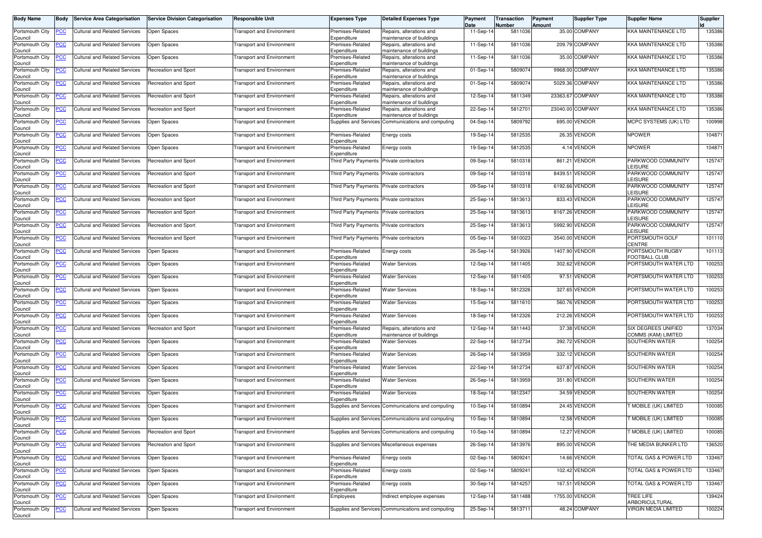| <b>Body Name</b>           | Body       | <b>Service Area Categorisation</b>                       | <b>Service Division Categorisation</b> | <b>Responsible Unit</b>          | <b>Expenses Type</b>                     | <b>Detailed Expenses Type</b>                        | Payment<br>Date | Transaction<br>Number | Payment<br>Amount | Supplier Type    | <b>Supplier Name</b>                       | Supplier |
|----------------------------|------------|----------------------------------------------------------|----------------------------------------|----------------------------------|------------------------------------------|------------------------------------------------------|-----------------|-----------------------|-------------------|------------------|--------------------------------------------|----------|
| Portsmouth City<br>Council | <u>'СС</u> | <b>Cultural and Related Services</b>                     | Open Spaces                            | <b>Transport and Environment</b> | Premises-Related<br>Expenditure          | Repairs, alterations and<br>maintenance of buildings | 11-Sep-14       | 5811036               |                   | 35.00 COMPANY    | KKA MAINTENANCE LTD                        | 135386   |
| Portsmouth City<br>Council | <u>'CC</u> | <b>Cultural and Related Services</b>                     | Open Spaces                            | <b>Transport and Environment</b> | Premises-Related<br>Expenditure          | Repairs, alterations and<br>maintenance of buildings | 11-Sep-14       | 5811036               |                   | 209.79 COMPANY   | KKA MAINTENANCE LTD                        | 135386   |
| Portsmouth City<br>Council | <u>'СС</u> | <b>Cultural and Related Services</b>                     | Open Spaces                            | <b>Transport and Environment</b> | Premises-Related<br>Expenditure          | Repairs, alterations and<br>maintenance of buildings | 11-Sep-14       | 5811036               |                   | 35.00 COMPANY    | KKA MAINTENANCE LTD                        | 135386   |
| Portsmouth City<br>Council | <u>'CC</u> | <b>Cultural and Related Services</b>                     | Recreation and Sport                   | <b>Transport and Environment</b> | Premises-Related<br>Expenditure          | Repairs, alterations and<br>maintenance of buildings | 01-Sep-14       | 580907                |                   | 9968.00 COMPANY  | KKA MAINTENANCE LTD                        | 135386   |
| Portsmouth City<br>Council | <u>'CC</u> | <b>Cultural and Related Services</b>                     | Recreation and Sport                   | <b>Transport and Environment</b> | Premises-Related<br>Expenditure          | Repairs, alterations and<br>maintenance of buildings | 01-Sep-14       | 580907                |                   | 5029.36 COMPANY  | KKA MAINTENANCE LTD                        | 135386   |
| Portsmouth City<br>Council | <u>'CC</u> | <b>Cultural and Related Services</b>                     | Recreation and Sport                   | <b>Transport and Environment</b> | Premises-Related<br>Expenditure          | Repairs, alterations and<br>maintenance of buildings | 12-Sep-14       | 5811349               |                   | 23363.67 COMPANY | KKA MAINTENANCE LTD                        | 135386   |
| Portsmouth City<br>Council | <u>CC</u>  | <b>Cultural and Related Services</b>                     | Recreation and Sport                   | <b>Transport and Environment</b> | Premises-Related<br>Expenditure          | Repairs, alterations and<br>maintenance of buildings | 22-Sep-14       | 581270                |                   | 23040.00 COMPANY | KKA MAINTENANCE LTD                        | 135386   |
| Portsmouth City<br>Council | <u>'CC</u> | <b>Cultural and Related Services</b>                     | Open Spaces                            | <b>Transport and Environment</b> |                                          | Supplies and Services Communications and computing   | 04-Sep-14       | 5809792               | 695.00            | <b>VENDOR</b>    | MCPC SYSTEMS (UK) LTD                      | 100998   |
| Portsmouth City<br>Council | сC         | <b>Cultural and Related Services</b>                     | Open Spaces                            | <b>Transport and Environment</b> | Premises-Related<br>Expenditure          | Energy costs                                         | 19-Sep-14       | 5812535               |                   | 26.35 VENDOR     | <b>NPOWER</b>                              | 104871   |
| Portsmouth City<br>Council | <u>'CC</u> | <b>Cultural and Related Services</b>                     | Open Spaces                            | <b>Transport and Environment</b> | Premises-Related<br>Expenditure          | Energy costs                                         | 19-Sep-14       | 5812535               |                   | 4.14 VENDOR      | <b>NPOWER</b>                              | 104871   |
| Portsmouth City<br>Council | сC         | <b>Cultural and Related Services</b>                     | <b>Recreation and Sport</b>            | <b>Transport and Environment</b> | Third Party Payments Private contractors |                                                      | 09-Sep-14       | 5810318               | 861.21            | VENDOR           | PARKWOOD COMMUNITY<br><b>LEISURE</b>       | 125747   |
| Portsmouth City<br>Council | <u>'CC</u> | <b>Cultural and Related Services</b>                     | Recreation and Sport                   | <b>Transport and Environment</b> | <b>Third Party Payments</b>              | Private contractors                                  | 09-Sep-14       | 5810318               | 8439.51           | <b>VENDOR</b>    | PARKWOOD COMMUNITY<br><b>LEISURE</b>       | 125747   |
| Portsmouth City<br>Council | <u>'CC</u> | Cultural and Related Services                            | Recreation and Sport                   | <b>Transport and Environment</b> | <b>Third Party Payments</b>              | Private contractors                                  | 09-Sep-14       | 5810318               |                   | 6192.66 VENDOR   | PARKWOOD COMMUNITY<br><b>EISURE</b>        | 125747   |
| ortsmouth City<br>Council  | <u>'СС</u> | <b>Cultural and Related Services</b>                     | Recreation and Sport                   | <b>Transport and Environment</b> | <b>Third Party Payments</b>              | Private contractors                                  | 25-Sep-14       | 5813613               | 833.43            | VENDOR           | PARKWOOD COMMUNITY<br>LEISURE              | 125747   |
| Portsmouth City<br>Council | <u>PCC</u> | <b>Cultural and Related Services</b>                     | <b>Recreation and Sport</b>            | Transport and Environment        | Third Party Payments Private contractors |                                                      | 25-Sep-14       | 5813613               |                   | 8167.26 VENDOR   | PARKWOOD COMMUNITY<br><b>LEISURE</b>       | 125747   |
| Portsmouth City<br>Council | <u>'CC</u> | <b>Cultural and Related Services</b>                     | <b>Recreation and Sport</b>            | <b>Transport and Environment</b> | Third Party Payments                     | Private contractors                                  | 25-Sep-14       | 5813613               | 5992.90           | VENDOR           | PARKWOOD COMMUNITY<br><b>LEISURE</b>       | 125747   |
| Portsmouth City<br>Council | <u>CC</u>  | Cultural and Related Services                            | <b>Recreation and Sport</b>            | <b>Transport and Environment</b> | Third Party Payments                     | Private contractors                                  | 05-Sep-14       | 5810023               | 3540.00           | <b>VENDOR</b>    | PORTSMOUTH GOLF<br>CENTRE                  | 101110   |
| Portsmouth City<br>Council | <u>'CC</u> | <b>Cultural and Related Services</b>                     | Open Spaces                            | <b>Transport and Environment</b> | Premises-Related<br>Expenditure          | Energy costs                                         | 26-Sep-14       | 5813926               |                   | 1407.90 VENDOR   | PORTSMOUTH RUGBY<br>FOOTBALL CLUB          | 101113   |
| Portsmouth City<br>Council | <u>'CC</u> | <b>Cultural and Related Services</b>                     | Open Spaces                            | <b>Transport and Environment</b> | Premises-Related<br>Expenditure          | <b>Water Services</b>                                | 12-Sep-14       | 5811405               |                   | 302.62 VENDOR    | PORTSMOUTH WATER LTD                       | 100253   |
| Portsmouth City<br>Council | <u>CC</u>  | <b>Cultural and Related Services</b>                     | Open Spaces                            | <b>Transport and Environment</b> | Premises-Related<br>Expenditure          | <b>Water Services</b>                                | 12-Sep-14       | 5811405               | 97.51             | VENDOR           | PORTSMOUTH WATER LTD                       | 100253   |
| Portsmouth City<br>Council | <u>'CC</u> | Cultural and Related Services                            | Open Spaces                            | <b>Transport and Environment</b> | Premises-Related<br>Expenditure          | <b>Water Services</b>                                | 18-Sep-14       | 5812326               | 327.65            | <b>VENDOR</b>    | PORTSMOUTH WATER LTD                       | 100253   |
| Portsmouth City<br>Council | сC         | <b>Cultural and Related Services</b>                     | Open Spaces                            | <b>Transport and Environment</b> | Premises-Related<br>Expenditure          | <b>Water Services</b>                                | 15-Sep-14       | 5811610               | 560.76            | <b>VENDOR</b>    | PORTSMOUTH WATER LTD                       | 100253   |
| Portsmouth City<br>Council | <u>'CC</u> | Cultural and Related Services                            | Open Spaces                            | <b>Transport and Environment</b> | Premises-Related<br>Expenditure          | <b>Water Services</b>                                | 18-Sep-14       | 5812326               |                   | 212.26 VENDOR    | PORTSMOUTH WATER LTD                       | 100253   |
| Portsmouth City<br>Council | <u>'СС</u> | <b>Cultural and Related Services</b>                     | Recreation and Sport                   | <b>Transport and Environment</b> | Premises-Related<br>Expenditure          | Repairs, alterations and<br>maintenance of buildings | 12-Sep-14       | 5811443               | 37.38             | VENDOR           | SIX DEGREES UNIFIED<br>COMMS (KAM) LIMITED | 137034   |
| Portsmouth City<br>Council | <u>cc</u>  | <b>Cultural and Related Services</b>                     | Open Spaces                            | <b>Fransport and Environment</b> | Premises-Related<br>Expenditure          | <b>Water Services</b>                                | 22-Sep-14       | 5812734               |                   | 392.72 VENDOR    | SOUTHERN WATER                             | 100254   |
| Portsmouth City<br>Council | <u>PCC</u> | <b>Cultural and Related Services</b>                     | Open Spaces                            | <b>Fransport and Environment</b> | Premises-Related<br>Expenditure          | <b>Water Services</b>                                | 26-Sep-14       | 5813959               |                   | 332.12 VENDOR    | SOUTHERN WATER                             | 100254   |
| Portsmouth City<br>Council | <u>'CC</u> | <b>Cultural and Related Services</b>                     | Open Spaces                            | <b>Transport and Environment</b> | Premises-Related<br>Expenditure          | <b>Water Services</b>                                | 22-Sep-14       | 5812734               | 637.87            | VENDOR           | SOUTHERN WATER                             | 100254   |
| Portsmouth City<br>Council | <u>CC</u>  | <b>Cultural and Related Services</b>                     | Open Spaces                            | <b>Transport and Environment</b> | Premises-Related<br>Expenditure          | <b>Water Services</b>                                | 26-Sep-14       | 5813959               |                   | 351.80 VENDOR    | SOUTHERN WATER                             | 100254   |
| Portsmouth City<br>Council | <u>'CC</u> | <b>Cultural and Related Services</b>                     | Open Spaces                            | <b>Fransport and Environment</b> | Premises-Related<br>Expenditure          | <b>Water Services</b>                                | 18-Sep-14       | 581234                |                   | 34.59 VENDOR     | SOUTHERN WATER                             | 100254   |
| Portsmouth City<br>Council | <u>'СС</u> | <b>Cultural and Related Services</b>                     | Open Spaces                            | <b>Transport and Environment</b> |                                          | Supplies and Services Communications and computing   | 10-Sep-14       | 5810894               |                   | 24.45 VENDOR     | MOBILE (UK) LIMITED                        | 100085   |
| Council                    |            | Portsmouth City <b>PCC</b> Cultural and Related Services | Open Spaces                            | <b>Transport and Environment</b> |                                          | Supplies and Services Communications and computing   | 10-Sep-14       | 5810894               |                   | 12.58 VENDOR     | T MOBILE (UK) LIMITED                      | 100085   |
| Portsmouth City<br>Council | <u>CC</u>  | <b>Cultural and Related Services</b>                     | <b>Recreation and Sport</b>            | <b>Transport and Environment</b> |                                          | Supplies and Services Communications and computing   | 10-Sep-14       | 5810894               |                   | 12.27 VENDOR     | <b>MOBILE (UK) LIMITED</b>                 | 100085   |
| Portsmouth City<br>Council | <u>'CC</u> | <b>Cultural and Related Services</b>                     | Recreation and Sport                   | <b>Transport and Environment</b> |                                          | Supplies and Services Miscellaneous expenses         | 26-Sep-14       | 5813976               |                   | 895.00 VENDOR    | THE MEDIA BUNKER LTD                       | 136520   |
| Portsmouth City<br>Council | <b>CC</b>  | <b>Cultural and Related Services</b>                     | Open Spaces                            | <b>Transport and Environment</b> | Premises-Related<br>Expenditure          | Energy costs                                         | 02-Sep-14       | 5809241               |                   | 14.66 VENDOR     | TOTAL GAS & POWER LTD                      | 133467   |
| Portsmouth City<br>Council | <u>'CC</u> | <b>Cultural and Related Services</b>                     | Open Spaces                            | <b>Transport and Environment</b> | Premises-Related<br>Expenditure          | Energy costs                                         | 02-Sep-14       | 5809241               |                   | 102.42 VENDOR    | TOTAL GAS & POWER LTD                      | 133467   |
| Portsmouth City<br>Council | <u>CC</u>  | <b>Cultural and Related Services</b>                     | Open Spaces                            | <b>Transport and Environment</b> | Premises-Related<br>Expenditure          | Energy costs                                         | 30-Sep-14       | 5814257               |                   | 167.51 VENDOR    | TOTAL GAS & POWER LTD                      | 133467   |
| Portsmouth City<br>Council | <u>'CC</u> | <b>Cultural and Related Services</b>                     | Open Spaces                            | <b>Transport and Environment</b> | Employees                                | Indirect employee expenses                           | 12-Sep-14       | 5811488               |                   | 1755.00 VENDOR   | TREE LIFE<br>ARBORICULTURAL                | 139424   |
| Portsmouth City<br>Council | <b>CC</b>  | <b>Cultural and Related Services</b>                     | Open Spaces                            | <b>Transport and Environment</b> |                                          | Supplies and Services Communications and computing   | 25-Sep-14       | 5813711               |                   | 48.24 COMPANY    | <b>VIRGIN MEDIA LIMITED</b>                | 100224   |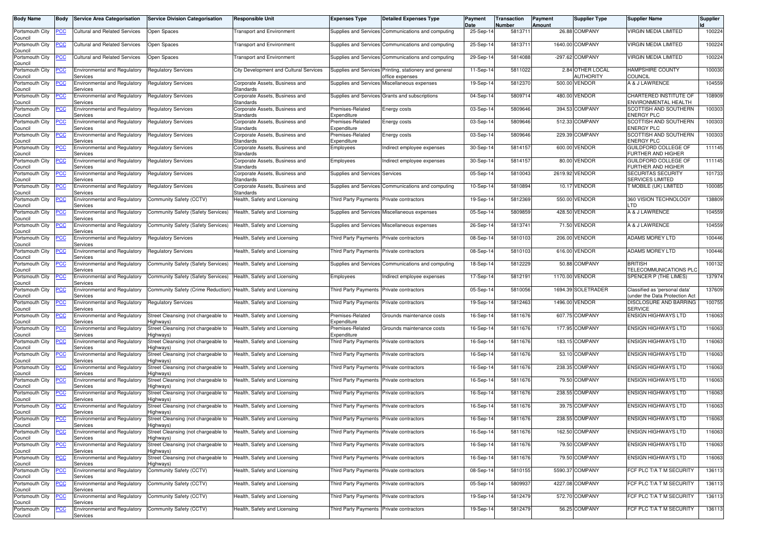| <b>Body Name</b>                      | Body       | <b>Service Area Categorisation</b>              | <b>Service Division Categorisation</b>                                        | <b>Responsible Unit</b>                     | <b>Expenses Type</b>                     | <b>Detailed Expenses Type</b>                                             | Payment<br>Date | Transaction<br>Number | Payment<br>Amount | <b>Supplier Type</b>          | <b>Supplier Name</b>                                           | <b>Supplier</b> |
|---------------------------------------|------------|-------------------------------------------------|-------------------------------------------------------------------------------|---------------------------------------------|------------------------------------------|---------------------------------------------------------------------------|-----------------|-----------------------|-------------------|-------------------------------|----------------------------------------------------------------|-----------------|
| Portsmouth City<br>Council            | 'CC        | <b>Cultural and Related Services</b>            | Open Spaces                                                                   | <b>Transport and Environment</b>            |                                          | Supplies and Services Communications and computing                        | 25-Sep-14       | 5813711               |                   | 26.88 COMPANY                 | <b>VIRGIN MEDIA LIMITED</b>                                    | 100224          |
| Portsmouth City<br>Council            | <u>'CC</u> | Cultural and Related Services                   | Open Spaces                                                                   | <b>Fransport and Environment</b>            |                                          | Supplies and Services Communications and computing                        | 25-Sep-14       | 5813711               |                   | 1640.00 COMPANY               | VIRGIN MEDIA LIMITED                                           | 100224          |
| Portsmouth City                       | сC         | <b>Cultural and Related Services</b>            | Open Spaces                                                                   | <b>Transport and Environment</b>            |                                          | Supplies and Services Communications and computing                        | 29-Sep-14       | 5814088               |                   | -297.62 COMPANY               | <b>VIRGIN MEDIA LIMITED</b>                                    | 100224          |
| Council<br>Portsmouth City<br>Council | <u>'CC</u> | <b>Environmental and Regulatory</b><br>Services | <b>Regulatory Services</b>                                                    | City Development and Cultural Services      |                                          | Supplies and Services Printing, stationery and general<br>office expenses | $11-Sep-1$      | 5811022               |                   | 2.84 OTHER LOCAL<br>AUTHORITY | <b>HAMPSHIRE COUNTY</b><br><b>COUNCIL</b>                      | 100030          |
| Portsmouth City<br>Council            | <u>CC </u> | <b>Environmental and Regulatory</b><br>Services | <b>Regulatory Services</b>                                                    | Corporate Assets, Business and<br>Standards |                                          | Supplies and Services Miscellaneous expenses                              | 19-Sep-14       | 581237                |                   | 500.00 VENDOR                 | A & J LAWRENCE                                                 | 104559          |
| Portsmouth City<br>Council            |            | Environmental and Regulatory<br>Services        | <b>Regulatory Services</b>                                                    | Corporate Assets, Business and<br>Standards |                                          | Supplies and Services Grants and subscriptions                            | 04-Sep-14       | 5809714               |                   | 480.00 VENDOR                 | CHARTERED INSTITUTE OF<br>ENVIRONMENTAL HEALTH                 | 108909          |
| Portsmouth City<br>Council            | <u>'CC</u> | <b>Environmental and Regulatory</b><br>Services | <b>Regulatory Services</b>                                                    | Corporate Assets, Business and<br>Standards | Premises-Related<br>Expenditure          | Energy costs                                                              | 03-Sep-14       | 5809646               |                   | 394.53 COMPANY                | SCOTTISH AND SOUTHERN<br><b>ENERGY PLC</b>                     | 100303          |
| Portsmouth City<br>Council            | <u>CC</u>  | <b>Environmental and Regulatory</b><br>Services | <b>Regulatory Services</b>                                                    | Corporate Assets, Business and<br>Standards | Premises-Related<br>Expenditure          | Energy costs                                                              | 03-Sep-1        | 5809646               |                   | 512.33 COMPANY                | SCOTTISH AND SOUTHERN<br><b>ENERGY PLC</b>                     | 100303          |
| Portsmouth City<br>Council            | сc         | <b>Environmental and Regulatory</b><br>Services | <b>Regulatory Services</b>                                                    | Corporate Assets, Business and<br>Standards | Premises-Related<br>Expenditure          | Energy costs                                                              | 03-Sep-14       | 5809646               |                   | 229.39 COMPANY                | <b>SCOTTISH AND SOUTHERN</b><br><b>ENERGY PLC</b>              | 100303          |
| Portsmouth City<br>Council            | <u>cc</u>  | Environmental and Regulatory<br>Services        | Regulatory Services                                                           | Corporate Assets, Business and<br>Standards | Employees                                | Indirect employee expenses                                                | 30-Sep-14       | 5814157               | 600.00            | <b><i>VENDOR</i></b>          | <b>GUILDFORD COLLEGE OF</b><br>FURTHER AND HIGHER              | 111145          |
| Portsmouth City<br>Council            | <u>'СС</u> | Environmental and Regulatory<br>Services        | <b>Regulatory Services</b>                                                    | Corporate Assets, Business and<br>Standards | Employees                                | Indirect employee expenses                                                | 30-Sep-14       | 5814157               |                   | 80.00 VENDOR                  | <b>GUILDFORD COLLEGE OF</b><br>FURTHER AND HIGHER              | 111145          |
| Portsmouth City<br>Council            | <u>'СС</u> | <b>Environmental and Regulatory</b><br>Services | <b>Regulatory Services</b>                                                    | Corporate Assets, Business and<br>Standards | Supplies and Services Services           |                                                                           | 05-Sep-14       | 5810043               |                   | 2619.92 VENDOR                | <b>SECURITAS SECURITY</b><br>SERVICES LIMITED                  | 101733          |
| Portsmouth City<br>Council            | <u>'СС</u> | <b>Environmental and Regulatory</b><br>Services | <b>Regulatory Services</b>                                                    | Corporate Assets, Business and<br>Standards |                                          | Supplies and Services Communications and computing                        | 10-Sep-14       | 5810894               |                   | 10.17 VENDOR                  | T MOBILE (UK) LIMITED                                          | 100085          |
| Portsmouth City<br>Council            | ၒၒ         | <b>Environmental and Regulatory</b><br>Services | Community Safety (CCTV)                                                       | Health, Safety and Licensing                | Third Party Payments Private contractors |                                                                           | 19-Sep-14       | 5812369               |                   | 550.00 VENDOR                 | 360 VISION TECHNOLOGY<br>_TD                                   | 138809          |
| Portsmouth City<br>Council            | <u>'СС</u> | <b>Environmental and Regulatory</b><br>Services | Community Safety (Safety Services)                                            | Health, Safety and Licensing                |                                          | Supplies and Services Miscellaneous expenses                              | 05-Sep-14       | 5809859               |                   | 428.50 VENDOR                 | A & J LAWRENCE                                                 | 104559          |
| Portsmouth City<br>Council            | <u>cc</u>  | <b>Environmental and Regulatory</b><br>Services | Community Safety (Safety Services)                                            | Health, Safety and Licensing                |                                          | Supplies and Services Miscellaneous expenses                              | 26-Sep-14       | 5813741               |                   | 71.50 VENDOR                  | A & J LAWRENCE                                                 | 104559          |
| Portsmouth City<br>Council            | <u>'СС</u> | <b>Environmental and Regulatory</b><br>Services | <b>Regulatory Services</b>                                                    | Health, Safety and Licensing                | Third Party Payments Private contractors |                                                                           | 08-Sep-14       | 5810103               |                   | 206.00 VENDOR                 | <b>ADAMS MOREY LTD</b>                                         | 100446          |
| Portsmouth City<br>Council            | <u>cc</u>  | <b>Environmental and Regulatory</b><br>Services | Regulatory Services                                                           | Health, Safety and Licensing                | Third Party Payments                     | Private contractors                                                       | 08-Sep-14       | 5810103               |                   | 616.00 VENDOR                 | <b>ADAMS MOREY LTD</b>                                         | 100446          |
| Portsmouth City<br>Council            | <u>'СС</u> | <b>Environmental and Regulatory</b><br>Services | Community Safety (Safety Services)                                            | Health, Safety and Licensing                |                                          | Supplies and Services Communications and computing                        | 18-Sep-14       | 5812229               |                   | 50.88 COMPANY                 | <b>BRITISH</b><br>TELECOMMUNICATIONS PLO                       | 100132          |
| Portsmouth City<br>Council            | сC         | Environmental and Regulatory<br>Services        | Community Safety (Safety Services)                                            | Health, Safety and Licensing                | Employees                                | Indirect employee expenses                                                | 17-Sep-1        | 5812191               |                   | 1170.00 VENDOR                | <b>SPENCER P (THE LIMES)</b>                                   | 137974          |
| Portsmouth City<br>Council            | <u>'СС</u> | <b>Environmental and Regulatory</b><br>Services | Community Safety (Crime Reduction) Health, Safety and Licensing               |                                             | Third Party Payments Private contractors |                                                                           | 05-Sep-14       | 5810056               |                   | 1694.39 SOLETRADER            | Classified as 'personal data'<br>under the Data Protection Act | 137609          |
| Portsmouth City<br>Council            | CC         | <b>Environmental and Regulatory</b><br>Services | Regulatory Services                                                           | Health, Safety and Licensing                | Third Party Payments                     | Private contractors                                                       | 19-Sep-14       | 5812463               |                   | 1496.00 VENDOR                | DISCLOSURE AND BARRING<br><b>SERVICE</b>                       | 100755          |
| Portsmouth City<br>Council            | <u>'CC</u> | Environmental and Regulatory<br>Services        | Street Cleansing (not chargeable to<br>Highways)                              | Health, Safety and Licensing                | Premises-Related<br>Expenditure          | Grounds maintenance costs                                                 | 16-Sep-14       | 5811676               |                   | 607.75 COMPANY                | <b>ENSIGN HIGHWAYS LTD</b>                                     | 116063          |
| Portsmouth City<br>Council            | сC         | <b>Environmental and Regulatory</b><br>Services | Street Cleansing (not chargeable to<br>Highways)                              | Health, Safety and Licensing                | Premises-Related<br>Expenditure          | Grounds maintenance costs                                                 | 16-Sep-14       | 5811676               |                   | 177.95 COMPANY                | <b>ENSIGN HIGHWAYS LTD</b>                                     | 116063          |
| Portsmouth City<br>Council            | <u>cc</u>  | <b>Environmental and Regulatory</b><br>Services | Street Cleansing (not chargeable to<br>Highways)                              | Health, Safety and Licensing                | <b>Third Party Payments</b>              | Private contractors                                                       | 16-Sep-14       | 5811676               |                   | 183.15 COMPANY                | <b>ENSIGN HIGHWAYS LTD</b>                                     | 116063          |
| Portsmouth City<br>Council            | 'CC        | <b>Environmental and Regulatory</b><br>Services | Street Cleansing (not chargeable to<br>Highways)                              | Health, Safety and Licensing                | Third Party Payments                     | Private contractors                                                       | 16-Sep-14       | 5811676               |                   | 53.10 COMPANY                 | <b>ENSIGN HIGHWAYS LTD</b>                                     | 116063          |
| Portsmouth City<br>Council            |            | Environmental and Regulatory<br>Services        | Street Cleansing (not chargeable to<br>Highways)                              | Health, Safety and Licensing                | Third Party Payments Private contractors |                                                                           | 16-Sep-14       | 5811676               |                   | 238.35 COMPANY                | <b>ENSIGN HIGHWAYS LTD</b>                                     | 116063          |
| Portsmouth City<br>Council            | <u>'CC</u> | <b>Environmental and Regulatory</b><br>Services | Street Cleansing (not chargeable to<br>Highways)                              | Health, Safety and Licensing                | Third Party Payments Private contractors |                                                                           | 16-Sep-14       | 5811676               |                   | 79.50 COMPANY                 | <b>ENSIGN HIGHWAYS LTD</b>                                     | 116063          |
| Portsmouth City<br>Council            | <u>cc</u>  | <b>Environmental and Regulatory</b><br>Services | Street Cleansing (not chargeable to<br>Highways)                              | Health, Safety and Licensing                | Third Party Payments                     | Private contractors                                                       | $16-Sep-1$      | 5811676               |                   | 238.55 COMPANY                | <b>ENSIGN HIGHWAYS LTD</b>                                     | 116063          |
| Portsmouth City<br>Council            | <u>PCC</u> | <b>Environmental and Regulatory</b><br>Services | Street Cleansing (not chargeable to<br>Highways)                              | Health, Safety and Licensing                | Third Party Payments Private contractors |                                                                           | 16-Sep-14       | 5811676               |                   | 39.75 COMPANY                 | <b>ENSIGN HIGHWAYS LTD</b>                                     | 116063          |
| Portsmouth City<br>Council            | CC         | Environmental and Regulatory<br>Services        | Street Cleansing (not chargeable to Health, Safety and Licensing<br>Highways) |                                             | Third Party Payments Private contractors |                                                                           | 16-Sep-14       | 5811676               |                   | 238.55 COMPANY                | <b>ENSIGN HIGHWAYS LTD</b>                                     | 116063          |
| Portsmouth City<br>Council            | <u>CC</u>  | <b>Environmental and Regulatory</b><br>Services | Street Cleansing (not chargeable to<br>Highways)                              | Health, Safety and Licensing                | Third Party Payments Private contractors |                                                                           | 16-Sep-14       | 5811676               |                   | 162.50 COMPANY                | <b>ENSIGN HIGHWAYS LTD</b>                                     | 116063          |
| Portsmouth City<br>Council            | <u>cc</u>  | Environmental and Regulatory<br>Services        | Street Cleansing (not chargeable to<br>Highways)                              | Health, Safety and Licensing                | Third Party Payments                     | Private contractors                                                       | 16-Sep-14       | 5811676               |                   | 79.50 COMPANY                 | <b>ENSIGN HIGHWAYS LTD</b>                                     | 116063          |
| Portsmouth City<br>Council            | <u>'СС</u> | Environmental and Regulatory<br>Services        | Street Cleansing (not chargeable to<br>Highways)                              | Health, Safety and Licensing                | Third Party Payments                     | Private contractors                                                       | 16-Sep-14       | 5811676               |                   | 79.50 COMPANY                 | <b>ENSIGN HIGHWAYS LTD</b>                                     | 116063          |
| Portsmouth City<br>Council            | cс         | Environmental and Regulatory<br>Services        | Community Safety (CCTV)                                                       | Health, Safety and Licensing                | Third Party Payments Private contractors |                                                                           | 08-Sep-14       | 5810155               |                   | 5590.37 COMPANY               | FCF PLC T/A T M SECURITY                                       | 136113          |
| Portsmouth City<br>Council            | <u>'CC</u> | Environmental and Regulatory<br>Services        | Community Safety (CCTV)                                                       | Health, Safety and Licensing                | Third Party Payments Private contractors |                                                                           | 05-Sep-14       | 5809937               |                   | 4227.08 COMPANY               | FCF PLC T/A T M SECURITY                                       | 136113          |
| Portsmouth City<br>Council            | <u>'CC</u> | Environmental and Regulatory<br>Services        | Community Safety (CCTV)                                                       | Health, Safety and Licensing                | Third Party Payments Private contractors |                                                                           | 19-Sep-14       | 5812479               |                   | 572.70 COMPANY                | FCF PLC T/A T M SECURITY                                       | 136113          |
| Portsmouth City<br>Council            | <u>'СС</u> | Environmental and Regulatory<br>Services        | Community Safety (CCTV)                                                       | Health, Safety and Licensing                | Third Party Payments Private contractors |                                                                           | 19-Sep-14       | 5812479               |                   | 56.25 COMPANY                 | FCF PLC T/A T M SECURITY                                       | 136113          |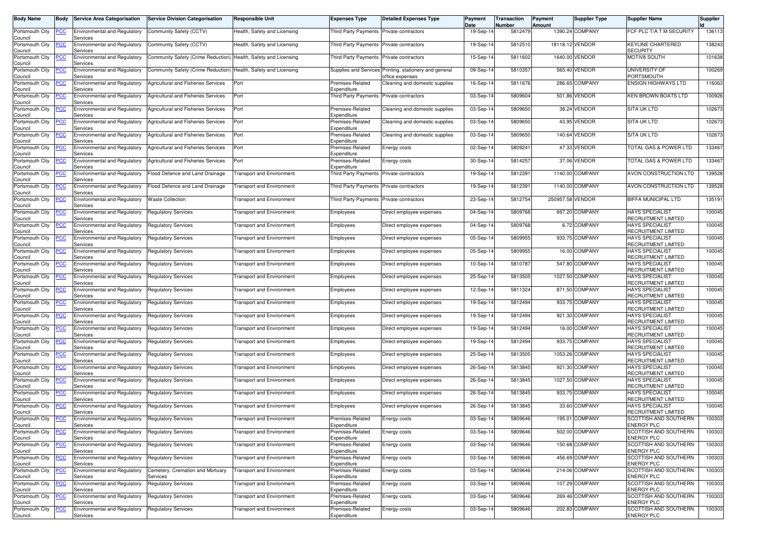| <b>Body Name</b>                              | Body       | <b>Service Area Categorisation</b>                           | <b>Service Division Categorisation</b>       | Responsible Unit                 | <b>Expenses Type</b>                     | <b>Detailed Expenses Type</b>                                             | Payment<br>Date | Transaction<br>Number | Payment<br>Amount | Supplier Type   | <b>Supplier Name</b>                                 | Supplier |
|-----------------------------------------------|------------|--------------------------------------------------------------|----------------------------------------------|----------------------------------|------------------------------------------|---------------------------------------------------------------------------|-----------------|-----------------------|-------------------|-----------------|------------------------------------------------------|----------|
| Portsmouth City<br>Council                    | <u>PCC</u> | <b>Environmental and Regulatory</b><br>Services              | Community Safety (CCTV)                      | Health, Safety and Licensing     | Third Party Payments                     | Private contractors                                                       | 19-Sep-14       | 5812479               |                   | 1390.24 COMPANY | FCF PLC T/A T M SECURITY                             | 136113   |
| Portsmouth City<br>Council                    | <u>PCC</u> | <b>Environmental and Regulatory</b><br>Services              | Community Safety (CCTV)                      | Health, Safety and Licensing     | Third Party Payments Private contractors |                                                                           | 19-Sep-14       | 5812510               |                   | 18118.12 VENDOR | <b>KEYLINE CHARTERED</b><br><b>SECURITY</b>          | 138243   |
| Portsmouth City                               | <u>PCC</u> | <b>Environmental and Regulatory</b>                          | Community Safety (Crime Reduction)           | Health, Safety and Licensing     | Third Party Payments                     | Private contractors                                                       | 15-Sep-14       | 5811602               |                   | 1640.00 VENDOR  | MOTIV8 SOUTH                                         | 101638   |
| Council<br>Portsmouth City<br>Council         | <u>PCC</u> | Services<br><b>Environmental and Regulatory</b><br>Services  | Community Safety (Crime Reduction)           | Health, Safety and Licensing     |                                          | Supplies and Services Printing, stationery and general<br>office expenses | 09-Sep-14       | 5810357               |                   | 565.40 VENDOR   | UNIVERSITY OF<br>PORTSMOUTH                          | 100269   |
| Portsmouth City<br>Council                    | <u>CC</u>  | Environmental and Regulatory<br>Services                     | Agricultural and Fisheries Services          | Port                             | Premises-Related<br>Expenditure          | Cleaning and domestic supplies                                            | 16-Sep-14       | 5811676               |                   | 286.65 COMPANY  | <b>ENSIGN HIGHWAYS LTD</b>                           | 116063   |
| Portsmouth City<br>Council                    | <u>PCC</u> | <b>Environmental and Regulatory</b><br>Services              | Agricultural and Fisheries Services          | Port                             | Third Party Payments Private contractors |                                                                           | 03-Sep-14       | 5809604               |                   | 501.86 VENDOR   | KEN BROWN BOATS LTD                                  | 100926   |
| Portsmouth City<br>Council                    | <b>PCC</b> | <b>Environmental and Regulatory</b><br>Services              | Agricultural and Fisheries Services          | Port                             | Premises-Related<br>Expenditure          | Cleaning and domestic supplies                                            | 03-Sep-1        | 5809650               |                   | 38.24 VENDOR    | <b>SITA UK LTD</b>                                   | 102673   |
| Portsmouth City<br>Council                    | <u>PCC</u> | <b>Environmental and Regulatory</b><br>Services              | Agricultural and Fisheries Services          | Port                             | Premises-Related<br>Expenditure          | Cleaning and domestic supplies                                            | 03-Sep-14       | 5809650               |                   | 43.95 VENDOR    | <b>SITA UK LTD</b>                                   | 102673   |
| Portsmouth City<br>Council                    | °СС        | <b>Environmental and Regulatory</b><br>Services              | Agricultural and Fisheries Services          | Port                             | Premises-Related<br>Expenditure          | Cleaning and domestic supplies                                            | 03-Sep-14       | 5809650               | 140.64            | <b>VENDOR</b>   | <b>SITA UK LTD</b>                                   | 102673   |
| Portsmouth City<br>Council                    | <b>PCC</b> | <b>Environmental and Regulatory</b><br>Services              | Agricultural and Fisheries Services          | Port                             | Premises-Related<br>Expenditure          | Energy costs                                                              | 02-Sep-14       | 5809241               |                   | 47.33 VENDOR    | <b>FOTAL GAS &amp; POWER LTD</b>                     | 133467   |
| Portsmouth City<br>Council                    | ∍сс        | <b>Environmental and Regulatory</b><br>Services              | Agricultural and Fisheries Services          | Port                             | Premises-Related<br>Expenditure          | Energy costs                                                              | 30-Sep-14       | 5814257               |                   | 37.06 VENDOR    | TOTAL GAS & POWER LTD                                | 133467   |
| Portsmouth City<br>Council                    | <u>PCC</u> | <b>Environmental and Regulatory</b><br>Services              | Flood Defence and Land Drainage              | <b>Transport and Environment</b> | Third Party Payments                     | Private contractors                                                       | 19-Sep-14       | 5812391               |                   | 1140.00 COMPANY | AVON CONSTRUCTION LTD                                | 139528   |
| Portsmouth City<br>Council                    | PСC        | <b>Environmental and Regulatory</b><br>Services              | Flood Defence and Land Drainage              | Transport and Environment        | Third Party Payments                     | Private contractors                                                       | 19-Sep-14       | 5812391               |                   | 1140.00 COMPANY | AVON CONSTRUCTION LTD                                | 139528   |
| Portsmouth City<br>Council                    | °СС        | <b>Environmental and Regulatory</b><br>Services              | <b>Waste Collection</b>                      | <b>Transport and Environment</b> | Third Party Payments Private contractors |                                                                           | 23-Sep-14       | 5812754               | 250957.58 VENDOR  |                 | <b>BIFFA MUNICIPAL LTD</b>                           | 135191   |
| Portsmouth City<br>Council                    |            | <b>Environmental and Regulatory</b><br>Services              | Regulatory Services                          | <b>Transport and Environment</b> | Employees                                | Direct employee expenses                                                  | 04-Sep-14       | 5809768               |                   | 697.20 COMPANY  | <b>HAYS SPECIALIST</b><br>RECRUITMENT LIMITED        | 100045   |
| Portsmouth City<br>Council                    | <u>PCC</u> | Environmental and Regulatory<br>Services                     | <b>Regulatory Services</b>                   | <b>Transport and Environment</b> | Employees                                | Direct employee expenses                                                  | 04-Sep-14       | 5809768               |                   | 6.72 COMPANY    | <b>HAYS SPECIALIST</b><br>RECRUITMENT LIMITED        | 100045   |
| Portsmouth City<br>Council                    |            | <b>Environmental and Regulatory</b><br>Services              | <b>Regulatory Services</b>                   | <b>Transport and Environment</b> | Employees                                | Direct employee expenses                                                  | 05-Sep-14       | 5809955               |                   | 933.75 COMPANY  | <b>HAYS SPECIALIST</b><br>RECRUITMENT LIMITED        | 100045   |
| Portsmouth City<br>Council                    | <b>PCC</b> | Environmental and Regulatory<br>Services                     | <b>Regulatory Services</b>                   | Transport and Environment        | Employees                                | Direct employee expenses                                                  | 05-Sep-14       | 5809955               |                   | 16.00 COMPANY   | <b>HAYS SPECIALIST</b><br>RECRUITMENT LIMITED        | 100045   |
| Portsmouth City<br>Council                    | <u>PCC</u> | Environmental and Regulatory<br>Services                     | <b>Regulatory Services</b>                   | <b>Transport and Environment</b> | Employees                                | Direct employee expenses                                                  | 10-Sep-14       | 5810787               |                   | 547.80 COMPANY  | <b>HAYS SPECIALIST</b><br><b>RECRUITMENT LIMITED</b> | 100045   |
| Portsmouth City<br>Council                    | <b>PCC</b> | <b>Environmental and Regulatory</b><br>Services              | Regulatory Services                          | <b>Transport and Environment</b> | Employees                                | Direct employee expenses                                                  | 25-Sep-14       | 5813505               |                   | 1027.50 COMPANY | <b>HAYS SPECIALIST</b><br>RECRUITMENT LIMITED        | 100045   |
| Portsmouth City<br>Council                    | ∍сс        | <b>Environmental and Regulatory</b><br>Services              | Regulatory Services                          | <b>Transport and Environment</b> | Employees                                | Direct employee expenses                                                  | 12-Sep-14       | 5811324               |                   | 871.50 COMPANY  | <b>HAYS SPECIALIST</b><br>RECRUITMENT LIMITED        | 100045   |
| Portsmouth City<br>Council                    | сc         | <b>Environmental and Regulatory</b><br>Services              | Regulatory Services                          | <b>Transport and Environment</b> | Employees                                | Direct employee expenses                                                  | 19-Sep-14       | 5812494               |                   | 933.75 COMPANY  | <b>HAYS SPECIALIST</b><br>RECRUITMENT LIMITED        | 100045   |
| Portsmouth City<br>Council                    | <u>PCC</u> | <b>Environmental and Regulatory</b><br>Services              | <b>Regulatory Services</b>                   | <b>Transport and Environment</b> | Employees                                | Direct employee expenses                                                  | 19-Sep-14       | 5812494               |                   | 921.30 COMPANY  | <b>HAYS SPECIALIST</b><br>RECRUITMENT LIMITED        | 100045   |
| Portsmouth City<br>Council                    | ∍сс        | <b>Environmental and Regulatory</b><br>Services              | Regulatory Services                          | Transport and Environment        | Employees                                | Direct employee expenses                                                  | 19-Sep-14       | 5812494               |                   | 16.00 COMPANY   | <b>HAYS SPECIALIST</b><br>RECRUITMENT LIMITED        | 100045   |
| Portsmouth City<br>Council                    | PСC        | <b>Environmental and Regulatory</b><br>Services              | Regulatory Services                          | Transport and Environment        | Employees                                | Direct employee expenses                                                  | 19-Sep-14       | 5812494               |                   | 933.75 COMPANY  | <b>HAYS SPECIALIST</b><br>RECRUITMENT LIMITED        | 100045   |
| Portsmouth City<br>Council                    | <u>PCC</u> | Environmental and Regulatory<br>Services                     | Regulatory Services                          | Transport and Environment        | Employees                                | Direct employee expenses                                                  | 25-Sep-14       | 5813505               |                   | 1053.26 COMPANY | <b>HAYS SPECIALIST</b><br>RECRUITMENT LIMITED        | 100045   |
| Portsmouth City<br>Council                    | <u>PCC</u> | <b>Environmental and Regulatory</b><br>Services              | <b>Regulatory Services</b>                   | <b>Transport and Environment</b> | Employees                                | Direct employee expenses                                                  | 26-Sep-14       | 5813845               |                   | 921.30 COMPANY  | <b>HAYS SPECIALIST</b><br>RECRUITMENT LIMITED        | 100045   |
| Portsmouth City<br>Council                    | ∍CC        | <b>Environmental and Regulatory</b><br>Services              | Regulatory Services                          | Transport and Environment        | Employees                                | Direct employee expenses                                                  | 26-Sep-14       | 5813845               |                   | 1027.50 COMPANY | <b>HAYS SPECIALIST</b><br>RECRUITMENT LIMITED        | 100045   |
| Portsmouth City<br>Council                    | <u>PCC</u> | Environmental and Regulatory<br>Services                     | <b>Regulatory Services</b>                   | Transport and Environment        | Employees                                | Direct employee expenses                                                  | 26-Sep-14       | 5813845               |                   | 933.75 COMPANY  | <b>HAYS SPECIALIST</b><br>RECRUITMENT LIMITED        | 100045   |
| Portsmouth City<br>Council                    | <u>CC</u>  | <b>Environmental and Regulatory</b><br>Services              | <b>Regulatory Services</b>                   | <b>Transport and Environment</b> | Employees                                | Direct employee expenses                                                  | 26-Sep-14       | 5813845               |                   | 33.60 COMPANY   | <b>HAYS SPECIALIST</b><br>RECRUITMENT LIMITED        | 100045   |
| Portsmouth City<br>Council<br>Portsmouth City | <b>PCC</b> | Environmental and Regulatory Regulatory Services<br>Services |                                              | <b>Transport and Environment</b> | Premises-Related<br>Expenditure          | Energy costs                                                              | 03-Sep-14       | 5809646               |                   | 195.01 COMPANY  | SCOTTISH AND SOUTHERN<br><b>ENERGY PLC</b>           | 100303   |
| Council                                       | PСC        | Environmental and Regulatory<br>Services                     | <b>Regulatory Services</b>                   | <b>Transport and Environment</b> | Premises-Related<br>Expenditure          | Energy costs                                                              | 03-Sep-14       | 5809646               |                   | 502.00 COMPANY  | SCOTTISH AND SOUTHERN<br><b>ENERGY PLC</b>           | 100303   |
| Portsmouth City<br>Council                    | <u>PCC</u> | <b>Environmental and Regulatory</b><br>Services              | <b>Regulatory Services</b>                   | <b>Transport and Environment</b> | Premises-Related<br>Expenditure          | Energy costs                                                              | 03-Sep-14       | 5809646               |                   | 150.68 COMPANY  | SCOTTISH AND SOUTHERN<br><b>ENERGY PLC</b>           | 100303   |
| Portsmouth City<br>Council                    | PСC        | Environmental and Regulatory<br>Services                     | <b>Regulatory Services</b>                   | <b>Transport and Environment</b> | Premises-Related<br>Expenditure          | Energy costs                                                              | 03-Sep-14       | 5809646               |                   | 456.69 COMPANY  | SCOTTISH AND SOUTHERN<br><b>ENERGY PLC</b>           | 100303   |
| Portsmouth City<br>Council                    | <u>PCC</u> | <b>Environmental and Regulatory</b><br>Services              | Cemetery, Cremation and Mortuary<br>Services | <b>Transport and Environment</b> | Premises-Related<br>Expenditure          | Energy costs                                                              | 03-Sep-14       | 5809646               |                   | 214.06 COMPANY  | SCOTTISH AND SOUTHERN<br><b>ENERGY PLC</b>           | 100303   |
| Portsmouth City<br>Council                    | <u>PCC</u> | <b>Environmental and Regulatory</b><br>Services              | <b>Regulatory Services</b>                   | <b>Transport and Environment</b> | Premises-Related<br>Expenditure          | Energy costs                                                              | 03-Sep-14       | 5809646               |                   | 107.29 COMPANY  | SCOTTISH AND SOUTHERN<br><b>ENERGY PLC</b>           | 100303   |
| Portsmouth City<br>Council                    | PСC        | <b>Environmental and Regulatory</b><br>Services              | <b>Regulatory Services</b>                   | <b>Transport and Environment</b> | Premises-Related<br>Expenditure          | Energy costs                                                              | 03-Sep-14       | 5809646               |                   | 269.46 COMPANY  | SCOTTISH AND SOUTHERN<br><b>ENERGY PLC</b>           | 100303   |
| Portsmouth City<br>Council                    | <u>PCC</u> | <b>Environmental and Regulatory</b><br>Services              | <b>Regulatory Services</b>                   | <b>Transport and Environment</b> | Premises-Related<br>Expenditure          | Energy costs                                                              | 03-Sep-14       | 5809646               |                   | 202.83 COMPANY  | SCOTTISH AND SOUTHERN<br><b>ENERGY PLC</b>           | 100303   |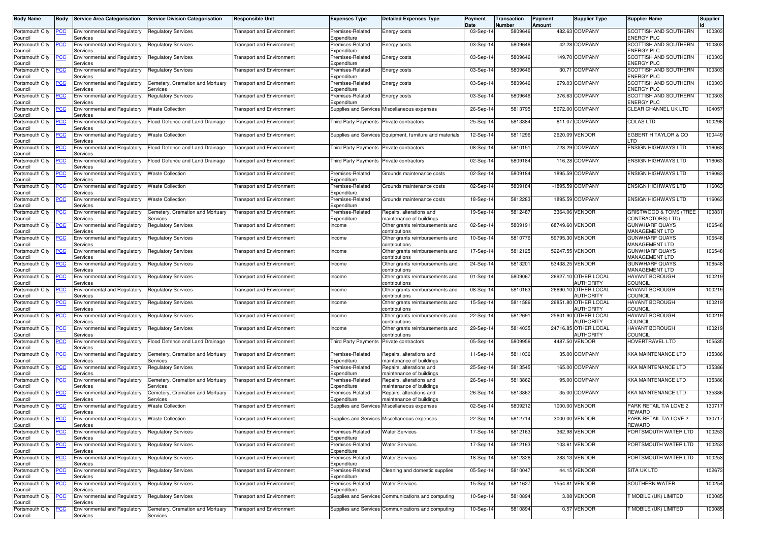| <b>Body Name</b>           | <b>Body</b> | <b>Service Area Categorisation</b>                          | <b>Service Division Categorisation</b>       | <b>Responsible Unit</b>          | <b>Expenses Type</b>                     | <b>Detailed Expenses Type</b>                            | Payment<br>Date | Transaction<br>Number | Payment<br>Amount | Supplier Type                     | <b>Supplier Name</b>                           | Supplier |
|----------------------------|-------------|-------------------------------------------------------------|----------------------------------------------|----------------------------------|------------------------------------------|----------------------------------------------------------|-----------------|-----------------------|-------------------|-----------------------------------|------------------------------------------------|----------|
| Portsmouth City<br>Council | <u>PCC</u>  | <b>Environmental and Regulatory</b><br>Services             | <b>Regulatory Services</b>                   | <b>Transport and Environment</b> | Premises-Related<br>Expenditure          | Energy costs                                             | 03-Sep-14       | 5809646               |                   | 482.63 COMPANY                    | SCOTTISH AND SOUTHERN<br><b>ENERGY PLC</b>     | 100303   |
| Portsmouth City<br>Council |             | <b>Environmental and Regulatory</b><br>Services             | <b>Regulatory Services</b>                   | Transport and Environment        | Premises-Related<br>Expenditure          | Energy costs                                             | 03-Sep-14       | 5809646               |                   | 42.28 COMPANY                     | SCOTTISH AND SOUTHERN<br><b>ENERGY PLC</b>     | 100303   |
| Portsmouth City<br>Council | <u>PCC</u>  | Environmental and Regulatory<br>Services                    | <b>Regulatory Services</b>                   | <b>Transport and Environment</b> | Premises-Related<br>Expenditure          | Energy costs                                             | 03-Sep-14       | 5809646               |                   | 149.70 COMPANY                    | SCOTTISH AND SOUTHERN<br><b>ENERGY PLC</b>     | 100303   |
| Portsmouth City<br>Council | <u>PCC</u>  | <b>Environmental and Regulatory</b><br>Services             | <b>Regulatory Services</b>                   | <b>Fransport and Environment</b> | Premises-Related<br>Expenditure          | Energy costs                                             | 03-Sep-14       | 5809646               | 30.71             | <b>COMPANY</b>                    | SCOTTISH AND SOUTHERN<br><b>ENERGY PLC</b>     | 100303   |
| Portsmouth City<br>Council | <u>CC</u>   | <b>Environmental and Regulatory</b><br>Services             | Cemetery, Cremation and Mortuary<br>Services | ransport and Environment         | Premises-Related<br>Expenditure          | Energy costs                                             | 03-Sep-14       | 5809646               |                   | 679.03 COMPANY                    | SCOTTISH AND SOUTHERN<br><b>ENERGY PLC</b>     | 100303   |
| Portsmouth City<br>Council | <b>PCC</b>  | <b>Environmental and Regulatory</b><br>Services             | <b>Regulatory Services</b>                   | <b>Transport and Environment</b> | Premises-Related<br>Expenditure          | Energy costs                                             | 03-Sep-14       | 5809646               |                   | 376.63 COMPANY                    | SCOTTISH AND SOUTHERN<br><b>ENERGY PLC</b>     | 100303   |
| Portsmouth City<br>Council | <u>PCC</u>  | <b>Environmental and Regulatory</b><br>Services             | <b>Waste Collection</b>                      | <b>Transport and Environment</b> |                                          | Supplies and Services Miscellaneous expenses             | 26-Sep-14       | 5813795               |                   | 5672.00 COMPANY                   | CLEAR CHANNEL UK LTD                           | 104057   |
| Portsmouth City<br>Council | <u>'CC</u>  | <b>Environmental and Regulatory</b><br>Services             | Flood Defence and Land Drainage              | <b>Transport and Environment</b> | <b>Third Party Payments</b>              | Private contractors                                      | 25-Sep-14       | 5813384               |                   | 611.07 COMPANY                    | <b>COLAS LTD</b>                               | 100298   |
| Portsmouth City<br>Council | CС          | Environmental and Regulatory<br>Services                    | <b>Waste Collection</b>                      | <b>Transport and Environment</b> |                                          | Supplies and Services Equipment, furniture and materials | 12-Sep-14       | 5811296               | 2620.09           | <b>VENDOR</b>                     | EGBERT H TAYLOR & CO<br>LTD                    | 100449   |
| Portsmouth City<br>Council | <b>PCC</b>  | <b>Environmental and Regulatory</b><br>Services             | Flood Defence and Land Drainage              | <b>Transport and Environment</b> | Third Party Payments Private contractors |                                                          | 08-Sep-14       | 5810151               |                   | 728.29 COMPANY                    | <b>ENSIGN HIGHWAYS LTD</b>                     | 116063   |
| Portsmouth City<br>Council | сC          | <b>Environmental and Regulatory</b><br>Services             | Flood Defence and Land Drainage              | <b>Transport and Environment</b> | <b>Third Party Payments</b>              | Private contractors                                      | 02-Sep-14       | 5809184               |                   | 116.28 COMPANY                    | <b>ENSIGN HIGHWAYS LTD</b>                     | 116063   |
| Portsmouth City<br>Council | <b>PCC</b>  | <b>Environmental and Regulatory</b><br>Services             | <b>Waste Collection</b>                      | <b>Fransport and Environment</b> | Premises-Related<br>Expenditure          | Grounds maintenance costs                                | 02-Sep-14       | 5809184               |                   | 1895.59 COMPANY                   | <b>ENSIGN HIGHWAYS LTD</b>                     | 116063   |
| Portsmouth City<br>Council | <u>PCC</u>  | <b>Environmental and Regulatory</b><br>Services             | <b>Waste Collection</b>                      | <b>Fransport and Environment</b> | Premises-Related<br>Expenditure          | Grounds maintenance costs                                | 02-Sep-14       | 5809184               |                   | -1895.59 COMPANY                  | <b>ENSIGN HIGHWAYS LTD</b>                     | 116063   |
| Portsmouth City<br>Council |             | <b>Environmental and Regulatory</b><br>Services             | <b>Waste Collection</b>                      | <b>Transport and Environment</b> | Premises-Related<br>Expenditure          | Grounds maintenance costs                                | 18-Sep-14       | 5812283               |                   | 1895.59 COMPANY                   | <b>ENSIGN HIGHWAYS LTD</b>                     | 116063   |
| Portsmouth City<br>Council | <u>PCC</u>  | Environmental and Regulatory<br>Services                    | Cemetery, Cremation and Mortuary<br>Services | <b>Fransport and Environment</b> | Premises-Related<br>Expenditure          | Repairs, alterations and<br>maintenance of buildings     | 19-Sep-14       | 5812487               |                   | 3364.06 VENDOR                    | GRISTWOOD & TOMS (TREE<br>CONTRACTORS) LTD)    | 100831   |
| Portsmouth City<br>Council | <u>CC</u>   | Environmental and Regulatory<br>Services                    | <b>Regulatory Services</b>                   | <b>Transport and Environment</b> | Income                                   | Other grants reimbursements and<br>contributions         | 02-Sep-14       | 5809191               |                   | 68749.60 VENDOR                   | <b>GUNWHARF QUAYS</b><br>MANAGEMENT LTD        | 106548   |
| Portsmouth City<br>Council | <u>'CC</u>  | <b>Environmental and Regulatory</b><br>Services             | <b>Regulatory Services</b>                   | <b>Transport and Environment</b> | Income                                   | Other grants reimbursements and<br>contributions         | 10-Sep-14       | 5810776               |                   | 59795.30 VENDOR                   | <b>GUNWHARF QUAYS</b><br><b>MANAGEMENT LTD</b> | 106548   |
| Portsmouth City<br>Council | <u>PCC</u>  | Environmental and Regulatory<br>Services                    | <b>Regulatory Services</b>                   | <b>Transport and Environment</b> | ncome                                    | Other grants reimbursements and<br>contributions         | 17-Sep-14       | 5812125               |                   | 52247.55 VENDOR                   | <b>GUNWHARF QUAYS</b><br>MANAGEMENT LTD        | 106548   |
| Portsmouth City<br>Council | <b>CC</b>   | Environmental and Regulatory<br>Services                    | <b>Regulatory Services</b>                   | <b>Transport and Environment</b> | ncome                                    | Other grants reimbursements and<br>contributions         | 24-Sep-14       | 5813201               |                   | 53438.25 VENDOR                   | <b>GUNWHARF QUAYS</b><br>MANAGEMENT LTD        | 106548   |
| Portsmouth City<br>Council | PСC         | Environmental and Regulatory<br>Services                    | <b>Regulatory Services</b>                   | <b>Transport and Environment</b> | ncome                                    | Other grants reimbursements and<br>contributions         | 01-Sep-14       | 580906                |                   | 26927.10 OTHER LOCAL<br>AUTHORITY | <b>HAVANT BOROUGH</b><br><b>COUNCIL</b>        | 100219   |
| Portsmouth City<br>Council | PСC         | Environmental and Regulatory<br>Services                    | <b>Regulatory Services</b>                   | <b>Transport and Environment</b> | Income                                   | Other grants reimbursements and<br>contributions         | 08-Sep-14       | 5810163               |                   | 26690.10 OTHER LOCAL<br>AUTHORITY | <b>HAVANT BOROUGH</b><br><b>COUNCIL</b>        | 100219   |
| Portsmouth City<br>Council | <u>PCC</u>  | <b>Environmental and Regulatory</b><br>Services             | <b>Regulatory Services</b>                   | <b>Transport and Environment</b> | ncome                                    | Other grants reimbursements and<br>contributions         | 15-Sep-14       | 5811586               |                   | 26851.80 OTHER LOCAL<br>AUTHORITY | <b>HAVANT BOROUGH</b><br><b>COUNCIL</b>        | 100219   |
| Portsmouth City<br>Council | <b>PCC</b>  | Environmental and Regulatory<br>Services                    | <b>Regulatory Services</b>                   | Transport and Environment        | ncome                                    | Other grants reimbursements and<br>contributions         | 22-Sep-14       | 5812691               |                   | 25601.90 OTHER LOCAL<br>AUTHORITY | <b>HAVANT BOROUGH</b><br><b>COUNCIL</b>        | 100219   |
| Portsmouth City<br>Council | <u>PCC</u>  | Environmental and Regulatory<br>Services                    | <b>Regulatory Services</b>                   | <b>Transport and Environment</b> | ncome                                    | Other grants reimbursements and<br>contributions         | 29-Sep-14       | 5814035               |                   | 24716.85 OTHER LOCAL<br>AUTHORITY | <b>HAVANT BOROUGH</b><br>COUNCIL               | 100219   |
| Portsmouth City<br>Council | сc          | <b>Environmental and Regulatory</b><br>Services             | Flood Defence and Land Drainage              | ransport and Environment         | Third Party Payments                     | Private contractors                                      | 05-Sep-14       | 5809956               |                   | 4487.50 VENDOR                    | HOVERTRAVEL LTD                                | 105535   |
| Portsmouth City<br>Council | <u>CC</u>   | <b>Environmental and Regulatory</b><br>Services             | Cemetery, Cremation and Mortuary<br>Services | <b>Fransport and Environment</b> | Premises-Related<br>Expenditure          | Repairs, alterations and<br>maintenance of buildings     | 11-Sep-14       | 5811036               |                   | 35.00 COMPANY                     | KKA MAINTENANCE LTD                            | 135386   |
| Portsmouth City<br>Council | <b>PCC</b>  | <b>Environmental and Regulatory</b><br>Services             | <b>Regulatory Services</b>                   | <b>Transport and Environment</b> | Premises-Related<br>Expenditure          | Repairs, alterations and<br>maintenance of buildings     | 25-Sep-14       | 5813545               |                   | 165.00 COMPANY                    | KKA MAINTENANCE LTD                            | 135386   |
| Portsmouth City<br>Council | <u>'CC</u>  | <b>Environmental and Regulatory</b><br>Services             | Cemetery, Cremation and Mortuary<br>Services | ransport and Environment         | Premises-Related<br>Expenditure          | Repairs, alterations and<br>maintenance of buildings     | 26-Sep-14       | 5813862               |                   | 95.00 COMPANY                     | KKA MAINTENANCE LTD                            | 135386   |
| Portsmouth City<br>Council | <u>PCC</u>  | <b>Environmental and Regulatory</b><br>Services             | Cemetery, Cremation and Mortuary<br>Services | <b>Transport and Environment</b> | Premises-Related<br>Expenditure          | Repairs, alterations and<br>maintenance of buildings     | $26-Sep-14$     | 5813862               |                   | 35.00 COMPANY                     | <b>KKA MAINTENANCE LTD</b>                     | 135386   |
| Portsmouth City<br>Council | <u>PCC</u>  | <b>Environmental and Regulatory</b><br>Services             | <b>Waste Collection</b>                      | <b>Fransport and Environment</b> |                                          | Supplies and Services Miscellaneous expenses             | 02-Sep-14       | 5809212               |                   | 1000.00 VENDOR                    | PARK RETAIL T/A LOVE 2<br><b>REWARD</b>        | 130717   |
| Portsmouth City<br>Council | <b>PCC</b>  | Environmental and Regulatory   Waste Collection<br>Services |                                              | <b>Transport and Environment</b> |                                          | Supplies and Services Miscellaneous expenses             | 22-Sep-14       | 5812714               |                   | 3000.00 VENDOR                    | PARK RETAIL T/A LOVE 2<br><b>REWARD</b>        | 130717   |
| Portsmouth City<br>Council | <u>CC</u>   | <b>Environmental and Regulatory</b><br>Services             | <b>Regulatory Services</b>                   | <b>Transport and Environment</b> | Premises-Related<br>Expenditure          | <b>Water Services</b>                                    | 17-Sep-14       | 5812163               |                   | 362.98 VENDOR                     | PORTSMOUTH WATER LTD                           | 100253   |
| Portsmouth City<br>Council | <b>PCC</b>  | <b>Environmental and Regulatory</b><br>Services             | <b>Regulatory Services</b>                   | <b>Transport and Environment</b> | Premises-Related<br>Expenditure          | <b>Water Services</b>                                    | 17-Sep-14       | 5812163               |                   | 103.61 VENDOR                     | PORTSMOUTH WATER LTD                           | 100253   |
| Portsmouth City<br>Council | сC          | <b>Environmental and Regulatory</b><br>Services             | <b>Regulatory Services</b>                   | <b>Transport and Environment</b> | Premises-Related<br>Expenditure          | <b>Water Services</b>                                    | 18-Sep-14       | 5812326               |                   | 283.13 VENDOR                     | PORTSMOUTH WATER LTD                           | 100253   |
| Portsmouth City<br>Council | <b>PCC</b>  | <b>Environmental and Regulatory</b><br>Services             | <b>Regulatory Services</b>                   | <b>Transport and Environment</b> | Premises-Related<br>Expenditure          | Cleaning and domestic supplies                           | 05-Sep-14       | 5810047               |                   | 44.15 VENDOR                      | <b>SITA UK LTD</b>                             | 102673   |
| Portsmouth City<br>Council | <u>PCC</u>  | Environmental and Regulatory<br>Services                    | <b>Regulatory Services</b>                   | <b>Transport and Environment</b> | Premises-Related<br>Expenditure          | <b>Water Services</b>                                    | 15-Sep-14       | 5811627               |                   | 1554.81 VENDOR                    | SOUTHERN WATER                                 | 100254   |
| Portsmouth City<br>Council | <u>PCC</u>  | Environmental and Regulatory<br>Services                    | <b>Regulatory Services</b>                   | <b>Transport and Environment</b> |                                          | Supplies and Services Communications and computing       | 10-Sep-14       | 5810894               |                   | 3.08 VENDOR                       | MOBILE (UK) LIMITED                            | 100085   |
| Portsmouth City<br>Council | <u>'CC</u>  | <b>Environmental and Regulatory</b><br>Services             | Cemetery, Cremation and Mortuary<br>Services | <b>Transport and Environment</b> |                                          | Supplies and Services Communications and computing       | 10-Sep-14       | 5810894               |                   | 0.57 VENDOR                       | MOBILE (UK) LIMITED                            | 100085   |
|                            |             |                                                             |                                              |                                  |                                          |                                                          |                 |                       |                   |                                   |                                                |          |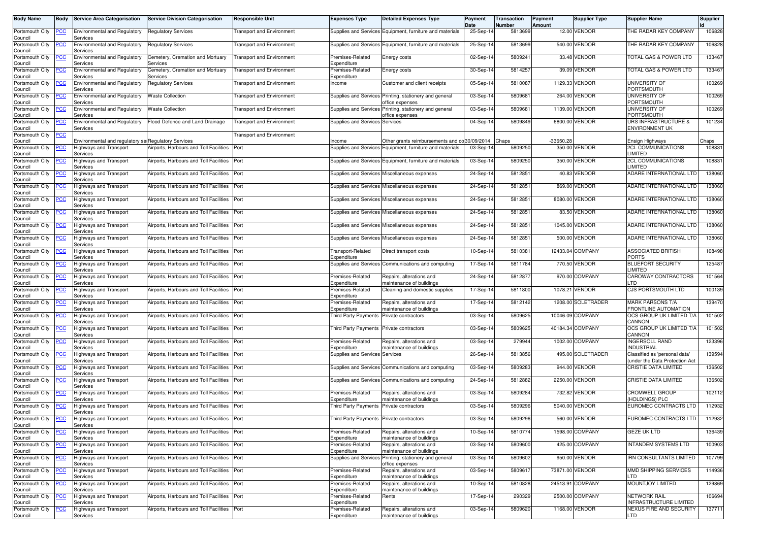| <b>Body Name</b>           | <b>Body</b> | <b>Service Area Categorisation</b>                  | <b>Service Division Categorisation</b>       | <b>Responsible Unit</b>          | <b>Expenses Type</b>                        | <b>Detailed Expenses Type</b>                                             | Payment<br>Date | Transaction<br>Number | Payment<br>Amount | <b>Supplier Type</b> | <b>Supplier Name</b>                                            | Supplier |
|----------------------------|-------------|-----------------------------------------------------|----------------------------------------------|----------------------------------|---------------------------------------------|---------------------------------------------------------------------------|-----------------|-----------------------|-------------------|----------------------|-----------------------------------------------------------------|----------|
| Portsmouth City            | <b>PCC</b>  | Environmental and Regulatory                        | <b>Regulatory Services</b>                   | <b>Transport and Environment</b> |                                             | Supplies and Services Equipment, furniture and materials                  | 25-Sep-14       | 5813699               |                   | 12.00 VENDOR         | THE RADAR KEY COMPANY                                           | 106828   |
| Council<br>Portsmouth City | <u>PCC</u>  | Services<br>Environmental and Regulatory            | <b>Regulatory Services</b>                   | <b>Transport and Environment</b> |                                             | Supplies and Services Equipment, furniture and materials                  | 25-Sep-14       | 5813699               |                   | 540.00 VENDOR        | THE RADAR KEY COMPANY                                           | 106828   |
| Council<br>Portsmouth City |             | Services<br>Environmental and Regulatory            | Cemetery, Cremation and Mortuary             | <b>Transport and Environment</b> | Premises-Related                            | Energy costs                                                              | 02-Sep-14       | 580924                |                   | 33.48 VENDOR         | TOTAL GAS & POWER LTD                                           | 133467   |
| Council<br>Portsmouth City | <u>PCC</u>  | Services<br><b>Environmental and Regulatory</b>     | Services<br>Cemetery, Cremation and Mortuary | <b>Transport and Environment</b> | Expenditure<br>Premises-Related             | Energy costs                                                              | 30-Sep-14       | 5814257               |                   | 39.09 VENDOR         | <b>TOTAL GAS &amp; POWER LTD</b>                                | 133467   |
| Council<br>Portsmouth City | <u>'CC</u>  | Services<br>Environmental and Regulatory            | Services<br><b>Regulatory Services</b>       | <b>Transport and Environment</b> | Expenditure<br>ncome                        | Customer and client receipts                                              | 05-Sep-14       | 5810087               |                   | 1129.33 VENDOR       | UNIVERSITY OF                                                   | 100269   |
| Council<br>Portsmouth City | <b>PCC</b>  | Services<br><b>Environmental and Regulatory</b>     | <b>Waste Collection</b>                      | <b>Transport and Environment</b> |                                             | Supplies and Services Printing, stationery and general                    | 03-Sep-14       | 5809681               |                   | 264.00 VENDOR        | <b>PORTSMOUTH</b><br><b>UNIVERSITY OF</b>                       | 100269   |
| Council<br>Portsmouth City |             | Services<br><b>Environmental and Regulatory</b>     | <b>Waste Collection</b>                      | <b>Transport and Environment</b> |                                             | office expenses                                                           |                 | 580968                |                   | 1139.00 VENDOR       | PORTSMOUTH<br><b>UNIVERSITY OF</b>                              | 100269   |
| Council                    | <b>PCC</b>  | Services                                            |                                              |                                  |                                             | Supplies and Services Printing, stationery and general<br>office expenses | 03-Sep-14       |                       |                   |                      | PORTSMOUTH                                                      |          |
| Portsmouth City<br>Council | <u>PCC</u>  | <b>Environmental and Regulatory</b><br>Services     | Flood Defence and Land Drainage              | <b>Transport and Environment</b> | Supplies and Services Services              |                                                                           | 04-Sep-14       | 5809849               |                   | 6800.00 VENDOR       | URS INFRASTRUCTURE &<br><b>ENVIRONMENT UK</b>                   | 101234   |
| Portsmouth City<br>Council | сC          | Environmental and regulatory se Regulatory Services |                                              | <b>Transport and Environment</b> | ncome                                       | Other grants reimbursements and co                                        | 30/09/2014      | Chaps                 | $-33650.28$       |                      | Ensign Highways                                                 | Chaps    |
| Portsmouth City<br>Council | <b>PCC</b>  | <b>Highways and Transport</b><br>Services           | Airports, Harbours and Toll Facilities       | Port                             |                                             | Supplies and Services Equipment, furniture and materials                  | 03-Sep-14       | 5809250               |                   | 350.00 VENDOR        | <b>2CL COMMUNICATIONS</b><br><b>IMITED</b>                      | 108831   |
| Portsmouth City<br>Council | <u>CC</u>   | Highways and Transport<br>Services                  | Airports, Harbours and Toll Facilities       | Port                             |                                             | Supplies and Services Equipment, furniture and materials                  | 03-Sep-14       | 5809250               |                   | 350.00 VENDOR        | <b>2CL COMMUNICATIONS</b><br>LIMITED                            | 108831   |
| Portsmouth City<br>Council | <b>PCC</b>  | <b>Highways and Transport</b><br>Services           | Airports, Harbours and Toll Facilities       | Port                             |                                             | Supplies and Services Miscellaneous expenses                              | 24-Sep-14       | 5812851               |                   | 40.83 VENDOR         | ADARE INTERNATIONAL LTD                                         | 138060   |
| Portsmouth City            | <u>PCC</u>  | Highways and Transport                              | Airports, Harbours and Toll Facilities       | Port                             |                                             | Supplies and Services Miscellaneous expenses                              | 24-Sep-14       | 5812851               |                   | 869.00 VENDOR        | ADARE INTERNATIONAL LTD                                         | 138060   |
| Council<br>Portsmouth City | <u>PCC</u>  | Services<br>Highways and Transport                  | Airports, Harbours and Toll Facilities       | Port                             |                                             | Supplies and Services Miscellaneous expenses                              | 24-Sep-14       | 5812851               |                   | 8080.00 VENDOR       | ADARE INTERNATIONAL LTD                                         | 138060   |
| Council<br>Portsmouth City | <u>PCC</u>  | Services<br><b>Highways and Transport</b>           | Airports, Harbours and Toll Facilities       | Port                             |                                             | Supplies and Services Miscellaneous expenses                              | 24-Sep-14       | 5812851               |                   | 83.50 VENDOR         | <b>ADARE INTERNATIONAL LTD</b>                                  | 138060   |
| Council<br>Portsmouth City | <u>CC</u>   | Services<br>Highways and Transport                  | Airports, Harbours and Toll Facilities       | Port                             |                                             | Supplies and Services Miscellaneous expenses                              | 24-Sep-14       | 5812851               |                   | 1045.00 VENDOR       | ADARE INTERNATIONAL LTD                                         | 138060   |
| Council<br>Portsmouth City | <u>'CC</u>  | Services<br>Highways and Transport                  | Airports, Harbours and Toll Facilities       | Port                             |                                             | Supplies and Services Miscellaneous expenses                              | 24-Sep-14       | 5812851               |                   | 500.00 VENDOR        | ADARE INTERNATIONAL LTD                                         | 138060   |
| Council<br>Portsmouth City | <u>PCC</u>  | Services<br>Highways and Transport                  | Airports, Harbours and Toll Facilities       | Port                             | Transport-Related                           | Direct transport costs                                                    | 10-Sep-14       | 5810381               |                   | 12433.04 COMPANY     | <b>ASSOCIATED BRITISH</b>                                       | 108498   |
| Council<br>Portsmouth City | <u>CC</u>   | Services<br>Highways and Transport                  | Airports, Harbours and Toll Facilities       | Port                             | Expenditure                                 | Supplies and Services Communications and computing                        | 17-Sep-14       | 5811784               |                   | 770.50 VENDOR        | <b>PORTS</b><br><b>BLUEFORT SECURITY</b>                        | 125487   |
| Council                    |             | Services                                            |                                              |                                  |                                             |                                                                           |                 |                       |                   |                      | <b>LIMITED</b>                                                  |          |
| Portsmouth City<br>Council | <b>PCC</b>  | Highways and Transport<br>Services                  | Airports, Harbours and Toll Facilities       | Port                             | Premises-Related<br>Expenditure             | Repairs, alterations and<br>maintenance of buildings                      | 24-Sep-14       | 581287                |                   | 970.00 COMPANY       | <b>CAROWAY CONTRACTORS</b><br>. TD                              | 101564   |
| Portsmouth City<br>Council | PСC         | Highways and Transport<br>Services                  | Airports, Harbours and Toll Facilities       | Port                             | Premises-Related<br>Expenditure             | Cleaning and domestic supplies                                            | 17-Sep-14       | 5811800               | 1078.21           | <b>VENDOR</b>        | CJS PORTSMOUTH LTD                                              | 100139   |
| Portsmouth City<br>Council | <u>PCC</u>  | Highways and Transport<br>Services                  | Airports, Harbours and Toll Facilities       | Port                             | Premises-Related<br>Expenditure             | Repairs, alterations and<br>maintenance of buildings                      | 17-Sep-14       | 5812142               |                   | 1208.00 SOLETRADER   | <b>MARK PARSONS T/A</b><br>FRONTLINE AUTOMATION                 | 139470   |
| Portsmouth City<br>Council | <u>PCC</u>  | Highways and Transport<br>Services                  | Airports, Harbours and Toll Facilities       | Port                             | <b>Third Party Payments</b>                 | Private contractors                                                       | 03-Sep-14       | 5809625               |                   | 10046.09 COMPANY     | OCS GROUP UK LIMITED T/A<br>CANNON                              | 101502   |
| Portsmouth City<br>Council |             | Highways and Transport<br>Services                  | Airports, Harbours and Toll Facilities       | Port                             | Third Party Payments Private contractors    |                                                                           | 03-Sep-14       | 5809625               |                   | 40184.34 COMPANY     | OCS GROUP UK LIMITED T/A<br>CANNON                              | 101502   |
| Portsmouth City<br>Council | сc          | Highways and Transport<br>Services                  | Airports, Harbours and Toll Facilities       | Port                             | Premises-Related<br>Expenditure             | Repairs, alterations and<br>maintenance of buildings                      | 03-Sep-14       | 279944                |                   | 1002.00 COMPANY      | <b>INGERSOLL RAND</b><br><b>INDUSTRIAL</b>                      | 123396   |
| Portsmouth City<br>Council | <u>CC</u>   | Highways and Transport<br>Services                  | Airports, Harbours and Toll Facilities       | Port                             | <b>Supplies and Services Services</b>       |                                                                           | 26-Sep-14       | 5813856               |                   | 495.00 SOLETRADER    | Classified as 'personal data'<br>(under the Data Protection Act | 139594   |
| Portsmouth City            | <b>PCC</b>  | Highways and Transport                              | Airports, Harbours and Toll Facilities       | Port                             |                                             | Supplies and Services Communications and computing                        | 03-Sep-14       | 5809283               |                   | 944.00 VENDOR        | <b>CRISTIE DATA LIMITED</b>                                     | 136502   |
| Council<br>Portsmouth City | <b>CC</b>   | Services<br><b>Highways and Transport</b>           | Airports, Harbours and Toll Facilities       | Port                             |                                             | Supplies and Services Communications and computing                        | 24-Sep-14       | 5812882               |                   | 2250.00 VENDOR       | <b>CRISTIE DATA LIMITED</b>                                     | 136502   |
| Council<br>Portsmouth City | <u>PCC</u>  | Services<br>Highways and Transport                  | Airports, Harbours and Toll Facilities       | Port                             | Premises-Related                            | Repairs, alterations and                                                  | 03-Sep-14       | 5809284               |                   | 732.82 VENDOR        | <b>CROMWELL GROUP</b>                                           | 102112   |
| Council<br>Portsmouth City | <u>PCC</u>  | Services<br><b>Highways and Transport</b>           | Airports, Harbours and Toll Facilities       | Port                             | Expenditure<br>Third Party Payments         | maintenance of buildings<br>Private contractors                           | 03-Sep-14       | 5809296               |                   | 5040.00 VENDOR       | (HOLDINGS) PLC<br><b>EUROMEC CONTRACTS LTD</b>                  | 112932   |
| Council<br>Portsmouth City | <b>PCC</b>  | Services<br><b>Highways and Transport</b>           | Airports, Harbours and Toll Facilities Port  |                                  | Third Party Payments Private contractors    |                                                                           | 03-Sep-14       | 5809296               |                   | 560.00 VENDOR        | EUROMEC CONTRACTS LTD                                           | 112932   |
| Council<br>Portsmouth City | <b>PCC</b>  | Services<br>Highways and Transport                  | Airports, Harbours and Toll Facilities       | Port                             | Premises-Related                            | Repairs, alterations and                                                  | 10-Sep-14       | 5810774               |                   | 1598.00 COMPANY      | <b>GEZE UK LTD</b>                                              | 136439   |
| Council<br>Portsmouth City | <b>PCC</b>  | Services<br><b>Highways and Transport</b>           | Airports, Harbours and Toll Facilities Port  |                                  | Expenditure<br>Premises-Related             | maintenance of buildings<br>Repairs, alterations and                      | 03-Sep-14       | 5809600               |                   | 425.00 COMPANY       | <b>INTANDEM SYSTEMS LTD</b>                                     | 100903   |
| Council<br>Portsmouth City |             | Services<br><b>Highways and Transport</b>           | Airports, Harbours and Toll Facilities       | Port                             | Expenditure<br><b>Supplies and Services</b> | maintenance of buildings<br>Printing, stationery and general              | 03-Sep-14       | 5809602               |                   | 950.00 VENDOR        | <b>IRN CONSULTANTS LIMITED</b>                                  | 107799   |
| Council                    | PСC         | Services                                            |                                              |                                  |                                             | office expenses                                                           |                 |                       |                   |                      |                                                                 |          |
| Portsmouth City<br>Council | <b>PCC</b>  | Highways and Transport<br>Services                  | Airports, Harbours and Toll Facilities Port  |                                  | Premises-Related<br>Expenditure             | Repairs, alterations and<br>maintenance of buildings                      | 03-Sep-14       | 5809617               |                   | 73871.00 VENDOR      | MMD SHIPPING SERVICES<br><b>TD</b>                              | 114936   |
| Portsmouth City<br>Council | <u>PCC</u>  | Highways and Transport<br>Services                  | Airports, Harbours and Toll Facilities Port  |                                  | Premises-Related<br>Expenditure             | Repairs, alterations and<br>maintenance of buildings                      | 10-Sep-14       | 5810828               |                   | 24513.91 COMPANY     | MOUNTJOY LIMITED                                                | 129869   |
| Portsmouth City<br>Council | <b>PCC</b>  | <b>Highways and Transport</b><br>Services           | Airports, Harbours and Toll Facilities Port  |                                  | Premises-Related<br>Expenditure             | Rents                                                                     | 17-Sep-14       | 290329                |                   | 2500.00 COMPANY      | <b>NETWORK RAIL</b><br>INFRASTRUCTURE LIMITED                   | 106694   |
| Portsmouth City<br>Council | <b>PCC</b>  | Highways and Transport<br>Services                  | Airports, Harbours and Toll Facilities Port  |                                  | Premises-Related<br>Expenditure             | Repairs, alterations and<br>maintenance of buildings                      | 03-Sep-14       | 5809620               |                   | 1168.00 VENDOR       | NEXUS FIRE AND SECURITY<br>LTD                                  | 137711   |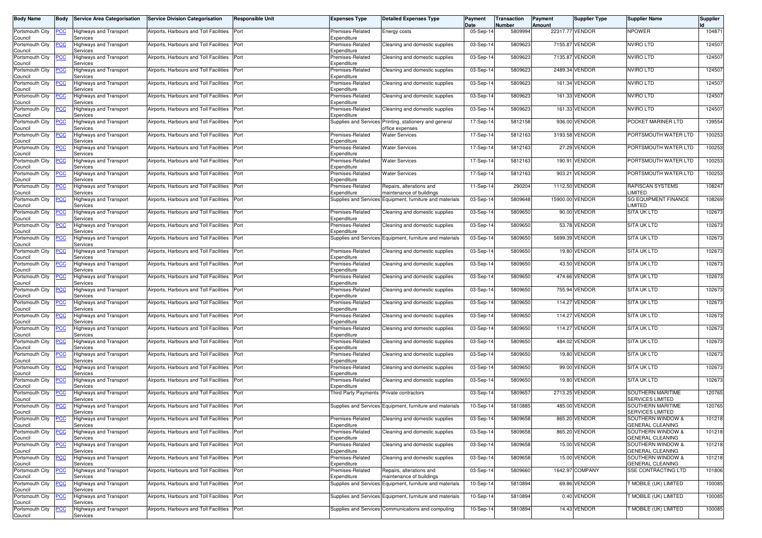| <b>Body Name</b>               | <b>Body</b> | <b>Service Area Categorisation</b>        | <b>Service Division Categorisation</b>      | <b>Responsible Unit</b> | <b>Expenses Type</b>            | <b>Detailed Expenses Type</b>                            | Payment<br>Date | Transaction<br>Number | Payment<br>Amount | Supplier Type   | <b>Supplier Name</b>                                | <b>Supplier</b> |
|--------------------------------|-------------|-------------------------------------------|---------------------------------------------|-------------------------|---------------------------------|----------------------------------------------------------|-----------------|-----------------------|-------------------|-----------------|-----------------------------------------------------|-----------------|
| Portsmouth City<br>Council     | <b>PCC</b>  | Highways and Transport<br>Services        | Airports, Harbours and Toll Facilities      | Port                    | Premises-Related<br>Expenditure | Energy costs                                             | 05-Sep-14       | 5809994               |                   | 22317.77 VENDOR | <b>NPOWER</b>                                       | 104871          |
| Portsmouth City<br>Council     | <b>PCC</b>  | <b>Highways and Transport</b><br>Services | Airports, Harbours and Toll Facilities Port |                         | Premises-Related<br>Expenditure | Cleaning and domestic supplies                           | 03-Sep-14       | 5809623               |                   | 7155.87 VENDOR  | <b>NVIRO LTD</b>                                    | 124507          |
| Portsmouth City<br>Council     |             | Highways and Transport<br>Services        | Airports, Harbours and Toll Facilities      | Port                    | Premises-Related<br>Expenditure | Cleaning and domestic supplies                           | 03-Sep-14       | 5809623               | 7135.87           | VENDOR          | <b>NVIRO LTD</b>                                    | 124507          |
| Portsmouth City<br>Council     | <b>PCC</b>  | Highways and Transport<br>Services        | Airports, Harbours and Toll Facilities      | Port                    | Premises-Related<br>Expenditure | Cleaning and domestic supplies                           | 03-Sep-14       | 5809623               | 2489.34           | VENDOR          | <b>NVIRO LTD</b>                                    | 124507          |
| Portsmouth City<br>Council     | <u>'CC</u>  | Highways and Transport<br>Services        | Airports, Harbours and Toll Facilities      | Port                    | Premises-Related<br>Expenditure | Cleaning and domestic supplies                           | 03-Sep-14       | 5809623               | 161.34            | VENDOR          | <b>NVIRO LTD</b>                                    | 124507          |
| Portsmouth City<br>Council     | <u>PCC</u>  | Highways and Transport<br>Services        | Airports, Harbours and Toll Facilities      | Port                    | Premises-Related<br>Expenditure | Cleaning and domestic supplies                           | 03-Sep-14       | 5809623               |                   | 161.33 VENDOR   | <b>NVIRO LTD</b>                                    | 124507          |
| Portsmouth City<br>Council     | <b>PCC</b>  | <b>Highways and Transport</b><br>Services | Airports, Harbours and Toll Facilities      | Port                    | Premises-Related<br>Expenditure | Cleaning and domestic supplies                           | 03-Sep-14       | 5809623               |                   | 161.33 VENDOR   | <b>NVIRO LTD</b>                                    | 124507          |
| Portsmouth City<br>Council     | <u>PCC</u>  | <b>Highways and Transport</b><br>Services | Airports, Harbours and Toll Facilities      | Port                    | <b>Supplies and Services</b>    | Printing, stationery and general<br>office expenses      | 17-Sep-14       | 5812158               |                   | 936.00 VENDOR   | POCKET MARINER LTD                                  | 139554          |
| Portsmouth City<br>Council     | сc          | <b>Highways and Transport</b><br>Services | Airports, Harbours and Toll Facilities      | Port                    | Premises-Related<br>Expenditure | <b>Water Services</b>                                    | 17-Sep-14       | 5812163               | 3193.58           | <b>VENDOR</b>   | PORTSMOUTH WATER LTD                                | 100253          |
| Portsmouth City<br>Council     |             | Highways and Transport<br>Services        | Airports, Harbours and Toll Facilities      | Port                    | Premises-Related<br>Expenditure | <b>Water Services</b>                                    | 17-Sep-14       | 5812163               |                   | 27.29 VENDOR    | PORTSMOUTH WATER LTD                                | 100253          |
| Portsmouth City<br>Council     | PCC         | lighways and Transport<br>Services        | Airports, Harbours and Toll Facilities      | Port                    | Premises-Related<br>Expenditure | <b>Water Services</b>                                    | 17-Sep-14       | 5812163               | 190.91            | VENDOR          | PORTSMOUTH WATER LTD                                | 100253          |
| Portsmouth City<br>Council     | <u>PCC</u>  | Highways and Transport<br>Services        | Airports, Harbours and Toll Facilities      | Port                    | Premises-Related<br>Expenditure | <b>Water Services</b>                                    | 17-Sep-14       | 5812163               | 903.21            | VENDOR          | PORTSMOUTH WATER LTD                                | 100253          |
| Portsmouth City<br>Council     | PСC         | Highways and Transport<br>Services        | Airports, Harbours and Toll Facilities      | Port                    | Premises-Related<br>Expenditure | Repairs, alterations and<br>maintenance of buildings     | 11-Sep-14       | 290204                |                   | 1112.50 VENDOR  | RAPISCAN SYSTEMS<br>LIMITED                         | 108247          |
| Portsmouth City<br>Council     | <u>PCC</u>  | Highways and Transport<br>Services        | Airports, Harbours and Toll Facilities      | Port                    | <b>Supplies and Services</b>    | Equipment, furniture and materials                       | 03-Sep-14       | 5809648               |                   | 15900.00 VENDOR | <b>SG EQUIPMENT FINANCE</b><br>LIMITED              | 108269          |
| Portsmouth City<br>Council     | <u>PCC</u>  | Highways and Transport<br>Services        | Airports, Harbours and Toll Facilities      | Port                    | Premises-Related<br>Expenditure | Cleaning and domestic supplies                           | 03-Sep-14       | 5809650               |                   | 90.00 VENDOR    | <b>SITA UK LTD</b>                                  | 102673          |
| Portsmouth City<br>Council     | <b>CC</b>   | Highways and Transport<br>Services        | Airports, Harbours and Toll Facilities      | Port                    | Premises-Related<br>Expenditure | Cleaning and domestic supplies                           | 03-Sep-14       | 5809650               | 53.78             | VENDOR          | SITA UK LTD                                         | 102673          |
| Portsmouth City<br>Council     | <b>PCC</b>  | Highways and Transport<br>Services        | Airports, Harbours and Toll Facilities      | Port                    | Supplies and Services           | Equipment, furniture and materials                       | 03-Sep-14       | 5809650               |                   | 5699.39 VENDOR  | <b>SITA UK LTD</b>                                  | 102673          |
| Portsmouth City<br>Council     | <u>'CC</u>  | Highways and Transport<br>Services        | Airports, Harbours and Toll Facilities      | Port                    | Premises-Related<br>Expenditure | Cleaning and domestic supplies                           | 03-Sep-14       | 5809650               |                   | 19.80 VENDOR    | SITA UK LTD                                         | 102673          |
| Portsmouth City<br>Council     | <u>PCC</u>  | Highways and Transport<br>Services        | Airports, Harbours and Toll Facilities      | Port                    | Premises-Related<br>Expenditure | Cleaning and domestic supplies                           | 03-Sep-14       | 5809650               |                   | 43.50 VENDOR    | SITA UK LTD                                         | 102673          |
| Portsmouth City<br>Council     | <u>PCC</u>  | <b>Highways and Transport</b><br>Services | Airports, Harbours and Toll Facilities      | Port                    | Premises-Related<br>Expenditure | Cleaning and domestic supplies                           | 03-Sep-14       | 5809650               |                   | 474.66 VENDOR   | SITA UK LTD                                         | 102673          |
| Portsmouth City<br>Council     | PСC         | Highways and Transport<br>Services        | Airports, Harbours and Toll Facilities      | Port                    | Premises-Related<br>Expenditure | Cleaning and domestic supplies                           | 03-Sep-14       | 5809650               | 755.94            | <b>VENDOR</b>   | SITA UK LTD                                         | 102673          |
| Portsmouth City<br>Council     | сc          | <b>Highways and Transport</b><br>Services | Airports, Harbours and Toll Facilities      | Port                    | Premises-Related<br>Expenditure | Cleaning and domestic supplies                           | 03-Sep-14       | 5809650               | 114.27            | VENDOR          | SITA UK LTD                                         | 102673          |
| Portsmouth City<br>Council     | <b>PCC</b>  | Highways and Transport<br>Services        | Airports, Harbours and Toll Facilities      | Port                    | Premises-Related<br>Expenditure | Cleaning and domestic supplies                           | 03-Sep-14       | 5809650               |                   | 114.27 VENDOR   | <b>SITA UK LTD</b>                                  | 102673          |
| Portsmouth City<br>Council     | <u>CC</u>   | Highways and Transport<br>Services        | Airports, Harbours and Toll Facilities      | Port                    | Premises-Related<br>Expenditure | Cleaning and domestic supplies                           | 03-Sep-14       | 5809650               | 114.27            | VENDOR          | <b>SITA UK LTD</b>                                  | 102673          |
| Portsmouth City<br>Council     | <b>PCC</b>  | <b>Highways and Transport</b><br>Services | Airports, Harbours and Toll Facilities      | Port                    | Premises-Related<br>Expenditure | Cleaning and domestic supplies                           | 03-Sep-14       | 5809650               |                   | 484.02 VENDOR   | <b>SITA UK LTD</b>                                  | 102673          |
| Portsmouth City<br>Council     | <u>PCC</u>  | Highways and Transport<br>Services        | Airports, Harbours and Toll Facilities      | Port                    | Premises-Related<br>Expenditure | Cleaning and domestic supplies                           | 03-Sep-14       | 5809650               |                   | 19.80 VENDOR    | <b>SITA UK LTD</b>                                  | 102673          |
| Portsmouth City<br>Council     | <b>PCC</b>  | Highways and Transport<br>Services        | Airports, Harbours and Toll Facilities      | Port                    | Premises-Related<br>Expenditure | Cleaning and domestic supplies                           | 03-Sep-14       | 5809650               |                   | 99.00 VENDOR    | <b>SITA UK LTD</b>                                  | 102673          |
| Portsmouth City<br>Council     | <b>PCC</b>  | <b>Highways and Transport</b><br>Services | Airports, Harbours and Toll Facilities      | Port                    | Premises-Related<br>Expenditure | Cleaning and domestic supplies                           | 03-Sep-14       | 5809650               |                   | 19.80 VENDOR    | <b>SITA UK LTD</b>                                  | 102673          |
| Portsmouth City<br>Council     | <u>PCC</u>  | Highways and Transport<br>Services        | Airports, Harbours and Toll Facilities      | Port                    | <b>Third Party Payments</b>     | Private contractors                                      | 03-Sep-14       | 5809657               |                   | 2713.25 VENDOR  | <b>SOUTHERN MARITIME</b><br><b>SERVICES LIMITED</b> | 120765          |
| Portsmouth City<br>Council     | <u>PCC</u>  | Highways and Transport<br>Services        | Airports, Harbours and Toll Facilities      | Port                    |                                 | Supplies and Services Equipment, furniture and materials | 10-Sep-14       | 5810885               |                   | 485.00 VENDOR   | SOUTHERN MARITIME<br>SERVICES LIMITED               | 120765          |
| Portsmouth City PCC<br>Council |             | <b>Highways and Transport</b><br>Services | Airports, Harbours and Toll Facilities Port |                         | Premises-Related<br>Expenditure | Cleaning and domestic supplies                           | 03-Sep-14       | 5809658               |                   | 865.20 VENDOR   | SOUTHERN WINDOW &<br><b>GENERAL CLEANING</b>        | 101218          |
| Portsmouth City<br>Council     | <u>PCC</u>  | <b>Highways and Transport</b><br>Services | Airports, Harbours and Toll Facilities      | Port                    | Premises-Related<br>Expenditure | Cleaning and domestic supplies                           | 03-Sep-14       | 5809658               |                   | 865.20 VENDOR   | SOUTHERN WINDOW &<br><b>GENERAL CLEANING</b>        | 101218          |
| Portsmouth City<br>Council     | <b>PCC</b>  | Highways and Transport<br>Services        | Airports, Harbours and Toll Facilities Port |                         | Premises-Related<br>Expenditure | Cleaning and domestic supplies                           | 03-Sep-14       | 5809658               |                   | 15.00 VENDOR    | SOUTHERN WINDOW &<br><b>GENERAL CLEANING</b>        | 101218          |
| Portsmouth City<br>Council     | PCC         | Highways and Transport<br>Services        | Airports, Harbours and Toll Facilities Port |                         | Premises-Related<br>Expenditure | Cleaning and domestic supplies                           | 03-Sep-14       | 5809658               |                   | 15.00 VENDOR    | SOUTHERN WINDOW &<br>GENERAL CLEANING               | 101218          |
| Portsmouth City<br>Council     | <u>PCC</u>  | Highways and Transport<br>Services        | Airports, Harbours and Toll Facilities      | Port                    | Premises-Related<br>Expenditure | Repairs, alterations and<br>maintenance of buildings     | 03-Sep-14       | 5809660               |                   | 1642.97 COMPANY | <b>SSE CONTRACTING LTD</b>                          | 101806          |
| Portsmouth City<br>Council     | <b>PCC</b>  | <b>Highways and Transport</b><br>Services | Airports, Harbours and Toll Facilities Port |                         |                                 | Supplies and Services Equipment, furniture and materials | 10-Sep-14       | 5810894               |                   | 69.86 VENDOR    | MOBILE (UK) LIMITED                                 | 100085          |
| Portsmouth City<br>Council     | <u>PCC</u>  | Highways and Transport<br>Services        | Airports, Harbours and Toll Facilities Port |                         |                                 | Supplies and Services Equipment, furniture and materials | 10-Sep-14       | 5810894               |                   | 0.40 VENDOR     | MOBILE (UK) LIMITED                                 | 100085          |
| Portsmouth City<br>Council     | <b>PCC</b>  | Highways and Transport<br>Services        | Airports, Harbours and Toll Facilities Port |                         |                                 | Supplies and Services Communications and computing       | 10-Sep-14       | 5810894               |                   | 14.43 VENDOR    | MOBILE (UK) LIMITED                                 | 100085          |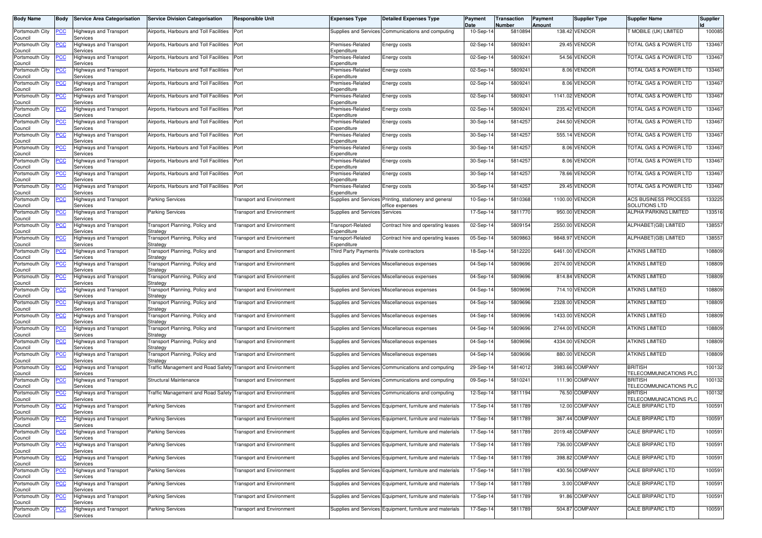| <b>Body Name</b>                              | <b>Body</b> | <b>Service Area Categorisation</b>        | <b>Service Division Categorisation</b>                              | <b>Responsible Unit</b>          | <b>Expenses Type</b>                           | <b>Detailed Expenses Type</b>                                             | Payment<br>Date | Transaction<br>Number | Payment<br>Amount | Supplier Type                  | <b>Supplier Name</b>                               | Supplier |
|-----------------------------------------------|-------------|-------------------------------------------|---------------------------------------------------------------------|----------------------------------|------------------------------------------------|---------------------------------------------------------------------------|-----------------|-----------------------|-------------------|--------------------------------|----------------------------------------------------|----------|
| Portsmouth City<br>Council                    | <b>PCC</b>  | Highways and Transport<br>Services        | Airports, Harbours and Toll Facilities                              | Port                             |                                                | Supplies and Services Communications and computing                        | 10-Sep-14       | 5810894               |                   | 138.42 VENDOR                  | MOBILE (UK) LIMITED                                | 100085   |
| Portsmouth City<br>Council                    | <b>PCC</b>  | <b>Highways and Transport</b><br>Services | Airports, Harbours and Toll Facilities Port                         |                                  | Premises-Related<br>Expenditure                | Energy costs                                                              | 02-Sep-14       | 5809241               |                   | 29.45 VENDOR                   | <b>FOTAL GAS &amp; POWER LTD</b>                   | 133467   |
| Portsmouth City                               | <u>PCC</u>  | Highways and Transport<br>Services        | Airports, Harbours and Toll Facilities                              | Port                             | Premises-Related                               | Energy costs                                                              | 02-Sep-14       | 580924                |                   | 54.56 VENDOR                   | TOTAL GAS & POWER LTD                              | 133467   |
| Council<br>Portsmouth City<br>Council         | <u>PCC</u>  | <b>Highways and Transport</b><br>Services | Airports, Harbours and Toll Facilities                              | Port                             | Expenditure<br>Premises-Related<br>Expenditure | Energy costs                                                              | 02-Sep-14       | 580924                |                   | 8.06 VENDOR                    | <b>FOTAL GAS &amp; POWER LTD</b>                   | 133467   |
| Portsmouth City<br>Council                    | <u>'CC</u>  | Highways and Transport<br>Services        | Airports, Harbours and Toll Facilities                              | Port                             | Premises-Related<br>Expenditure                | Energy costs                                                              | 02-Sep-14       | 580924                |                   | 8.06 VENDOR                    | <b>FOTAL GAS &amp; POWER LTD</b>                   | 133467   |
| Portsmouth City<br>Council                    | <u>CC</u>   | Highways and Transport<br>Services        | Airports, Harbours and Toll Facilities                              | Port                             | Premises-Related<br>Expenditure                | Energy costs                                                              | 02-Sep-14       | 5809241               |                   | 1141.02 VENDOR                 | TOTAL GAS & POWER LTD                              | 133467   |
| Portsmouth City<br>Council                    | <b>PCC</b>  | <b>Highways and Transport</b><br>Services | Airports, Harbours and Toll Facilities                              | Port                             | Premises-Related<br>Expenditure                | Energy costs                                                              | 02-Sep-14       | 580924                |                   | 235.42 VENDOR                  | <b>FOTAL GAS &amp; POWER LTD</b>                   | 133467   |
| Portsmouth City<br>Council                    | <u>PCC</u>  | Highways and Transport<br>Services        | Airports, Harbours and Toll Facilities                              | Port                             | Premises-Related<br>Expenditure                | Energy costs                                                              | 30-Sep-14       | 5814257               |                   | 244.50 VENDOR                  | TOTAL GAS & POWER LTD                              | 133467   |
| Portsmouth City<br>Council                    | сc          | Highways and Transport<br>Services        | Airports, Harbours and Toll Facilities                              | Port                             | Premises-Related<br>Expenditure                | Energy costs                                                              | 30-Sep-14       | 5814257               | 555.14            | VENDOR                         | TOTAL GAS & POWER LTD                              | 133467   |
| Portsmouth City<br>Council                    |             | Highways and Transport<br>Services        | Airports, Harbours and Toll Facilities                              | Port                             | Premises-Related<br>Expenditure                | Energy costs                                                              | 30-Sep-14       | 5814257               |                   | 8.06 VENDOR                    | <b>FOTAL GAS &amp; POWER LTD</b>                   | 133467   |
| Portsmouth City<br>Council                    | PCC         | Highways and Transport<br>Services        | Airports, Harbours and Toll Facilities                              | Port                             | Premises-Related<br>Expenditure                | Energy costs                                                              | 30-Sep-14       | 5814257               |                   | 8.06 VENDOR                    | TOTAL GAS & POWER LTD                              | 133467   |
| Portsmouth City<br>Council                    | <u>PCC</u>  | Highways and Transport<br>Services        | Airports, Harbours and Toll Facilities                              | Port                             | Premises-Related<br>Expenditure                | Energy costs                                                              | 30-Sep-14       | 5814257               |                   | 78.66 VENDOR                   | <b>FOTAL GAS &amp; POWER LTD</b>                   | 133467   |
| Portsmouth City<br>Council                    | PСC         | Highways and Transport<br>Services        | Airports, Harbours and Toll Facilities                              | Port                             | Premises-Related<br>Expenditure                | Energy costs                                                              | 30-Sep-14       | 5814257               |                   | 29.45 VENDOR                   | <b>TOTAL GAS &amp; POWER LTD</b>                   | 133467   |
| Portsmouth City<br>Council                    | <u>PCC</u>  | Highways and Transport<br>Services        | <b>Parking Services</b>                                             | <b>Transport and Environment</b> |                                                | Supplies and Services Printing, stationery and general<br>office expenses | 10-Sep-14       | 5810368               |                   | 1100.00 VENDOR                 | <b>ACS BUSINESS PROCESS</b><br>SOLUTIONS LTD       | 133225   |
| Portsmouth City<br>Council                    | <u>PCC</u>  | Highways and Transport<br>Services        | <b>Parking Services</b>                                             | <b>Transport and Environment</b> | Supplies and Services Services                 |                                                                           | 17-Sep-14       | 5811770               |                   | 950.00 VENDOR                  | <b>ALPHA PARKING LIMITED</b>                       | 133516   |
| Portsmouth City<br>Council                    | <u>'CC</u>  | Highways and Transport<br>Services        | <b>Fransport Planning, Policy and</b><br>Strategy                   | <b>Transport and Environment</b> | Transport-Related<br>Expenditure               | Contract hire and operating leases                                        | 02-Sep-14       | 5809154               | 2550.00           | VENDOR                         | ALPHABET(GB) LIMITED                               | 138557   |
| Portsmouth City<br>Council                    | <u>PCC</u>  | Highways and Transport<br>Services        | <b>Fransport Planning, Policy and</b><br>Strategy                   | <b>Transport and Environment</b> | Transport-Related<br>Expenditure               | Contract hire and operating leases                                        | 05-Sep-14       | 5809863               | 9848.97           | <b>VENDOR</b>                  | ALPHABET(GB) LIMITED                               | 138557   |
| Portsmouth City<br>Council                    | <u>'CC</u>  | Highways and Transport<br>Services        | <b>Fransport Planning, Policy and</b><br>Strategy                   | <b>Transport and Environment</b> | Third Party Payments                           | Private contractors                                                       | 18-Sep-14       | 5812220               |                   | 6461.00 VENDOR                 | <b>ATKINS LIMITED</b>                              | 108809   |
| Portsmouth City<br>Council                    | <u>PCC</u>  | Highways and Transport<br>Services        | Fransport Planning, Policy and<br>Strategy                          | <b>Transport and Environment</b> |                                                | Supplies and Services Miscellaneous expenses                              | 04-Sep-14       | 5809696               |                   | 2074.00 VENDOR                 | <b>ATKINS LIMITED</b>                              | 108809   |
| Portsmouth City<br>Council                    | <u>PCC</u>  | Highways and Transport<br>Services        | <b>Fransport Planning, Policy and</b><br>Strategy                   | <b>Transport and Environment</b> |                                                | Supplies and Services Miscellaneous expenses                              | 04-Sep-14       | 5809696               | 814.84            | VENDOR                         | <b>ATKINS LIMITED</b>                              | 108809   |
| Portsmouth City<br>Council                    | PСC         | Highways and Transport<br>Services        | <b>Fransport Planning, Policy and</b><br>Strategy                   | <b>Transport and Environment</b> |                                                | Supplies and Services Miscellaneous expenses                              | 04-Sep-14       | 5809696               |                   | 714.10 VENDOR                  | <b>ATKINS LIMITED</b>                              | 108809   |
| Portsmouth City<br>Council                    | CС          | Highways and Transport<br>Services        | <b>Fransport Planning, Policy and</b><br>Strategy                   | <b>Transport and Environment</b> |                                                | Supplies and Services Miscellaneous expenses                              | 04-Sep-14       | 5809696               | 2328.00           | <b>VENDOR</b>                  | <b>ATKINS LIMITED</b>                              | 108809   |
| Portsmouth City<br>Council                    | <b>PCC</b>  | Highways and Transport<br>Services        | <b>Fransport Planning, Policy and</b><br>Strategy                   | <b>Transport and Environment</b> |                                                | Supplies and Services Miscellaneous expenses                              | 04-Sep-14       | 5809696               |                   | 1433.00 VENDOR                 | <b>ATKINS LIMITED</b>                              | 108809   |
| Portsmouth City<br>Council                    | <u>CC</u>   | Highways and Transport<br>Services        | <b>Fransport Planning, Policy and</b><br>Strategy                   | Transport and Environment        |                                                | Supplies and Services Miscellaneous expenses                              | 04-Sep-14       | 5809696               | 2744.00           | <b>VENDOR</b>                  | <b>ATKINS LIMITED</b>                              | 108809   |
| Portsmouth City<br>Council                    | <b>PCC</b>  | Highways and Transport<br>Services        | Transport Planning, Policy and<br>Strategy                          | <b>Fransport and Environment</b> |                                                | Supplies and Services Miscellaneous expenses                              | 04-Sep-14       | 5809696               |                   | 4334.00 VENDOR                 | <b>ATKINS LIMITED</b>                              | 108809   |
| Portsmouth City<br>Council                    | <u>PCC</u>  | Highways and Transport<br>Services        | Transport Planning, Policy and<br>Strategy                          | <b>Transport and Environment</b> |                                                | Supplies and Services Miscellaneous expenses                              | 04-Sep-14       | 5809696               | 880.00            | <b>VENDOR</b>                  | <b>ATKINS LIMITED</b>                              | 108809   |
| Portsmouth City<br>Council                    | <u>PCC</u>  | <b>Highways and Transport</b><br>Services | <b>Fraffic Management and Road Safety Transport and Environment</b> |                                  |                                                | Supplies and Services Communications and computing                        | 29-Sep-14       | 5814012               |                   | 3983.66 COMPANY                | <b>BRITISH</b><br>TELECOMMUNICATIONS PLC           | 100132   |
| Portsmouth City<br>Council                    | <b>PCC</b>  | <b>Highways and Transport</b><br>Services | Structural Maintenance                                              | <b>Transport and Environment</b> |                                                | Supplies and Services Communications and computing                        | 09-Sep-14       | 581024                |                   | 111.90 COMPANY                 | <b>BRITISH</b><br>TELECOMMUNICATIONS PLC           | 100132   |
| Portsmouth City<br>Council                    | <u>PCC</u>  | Highways and Transport<br>Services        | Traffic Management and Road Safety Transport and Environment        |                                  |                                                | Supplies and Services Communications and computing                        | 12-Sep-14       | 5811194               |                   | 76.50 COMPANY                  | <b>BRITISH</b><br>TELECOMMUNICATIONS PLO           | 100132   |
| Portsmouth City<br>Council                    | <u>PCC</u>  | Highways and Transport<br>Services        | <b>Parking Services</b>                                             | <b>Fransport and Environment</b> |                                                | Supplies and Services Equipment, furniture and materials                  | 17-Sep-14       | 5811789               |                   | 12.00 COMPANY                  | <b>CALE BRIPARC LTD</b>                            | 100591   |
| Portsmouth City PCC<br>Council                |             | <b>Highways and Transport</b><br>Services | <b>Parking Services</b>                                             | <b>Transport and Environment</b> |                                                | Supplies and Services Equipment, furniture and materials                  | 17-Sep-14       | 5811789               |                   | 367.44 COMPANY                 | CALE BRIPARC LTD                                   | 100591   |
| Portsmouth City<br>Council                    | <u>PCC</u>  | <b>Highways and Transport</b><br>Services | <b>Parking Services</b>                                             | <b>Transport and Environment</b> |                                                | Supplies and Services Equipment, furniture and materials                  | 17-Sep-14       | 5811789               |                   | 2019.48 COMPANY                | CALE BRIPARC LTD                                   | 100591   |
| Portsmouth City<br>Council<br>Portsmouth City | <b>PCC</b>  | Highways and Transport<br>Services        | <b>Parking Services</b>                                             | <b>Transport and Environment</b> |                                                | Supplies and Services Equipment, furniture and materials                  | 17-Sep-14       | 5811789               |                   | 736.00 COMPANY                 | CALE BRIPARC LTD                                   | 100591   |
| Council                                       | PCC         | Highways and Transport<br>Services        | <b>Parking Services</b>                                             | <b>Transport and Environment</b> |                                                | Supplies and Services Equipment, furniture and materials                  | 17-Sep-14       | 5811789               |                   | 398.82 COMPANY                 | <b>CALE BRIPARC LTD</b><br><b>CALE BRIPARC LTD</b> | 100591   |
| Portsmouth City<br>Council                    | <u>PCC</u>  | <b>Highways and Transport</b><br>Services | <b>Parking Services</b>                                             | <b>Transport and Environment</b> |                                                | Supplies and Services Equipment, furniture and materials                  | 17-Sep-14       | 5811789               |                   | 430.56 COMPANY<br>3.00 COMPANY |                                                    | 100591   |
| Portsmouth City<br>Council                    | <b>PCC</b>  | Highways and Transport<br>Services        | <b>Parking Services</b>                                             | <b>Transport and Environment</b> |                                                | Supplies and Services Equipment, furniture and materials                  | 17-Sep-14       | 5811789               |                   |                                | <b>CALE BRIPARC LTD</b>                            | 100591   |
| Portsmouth City<br>Council                    | <u>PCC</u>  | <b>Highways and Transport</b><br>Services | <b>Parking Services</b>                                             | <b>Transport and Environment</b> |                                                | Supplies and Services Equipment, furniture and materials                  | 17-Sep-14       | 5811789               |                   | 91.86 COMPANY                  | CALE BRIPARC LTD                                   | 100591   |
| Portsmouth City<br>Council                    | <b>PCC</b>  | <b>Highways and Transport</b><br>Services | <b>Parking Services</b>                                             | <b>Transport and Environment</b> |                                                | Supplies and Services Equipment, furniture and materials                  | 17-Sep-14       | 5811789               |                   | 504.87 COMPANY                 | <b>CALE BRIPARC LTD</b>                            | 100591   |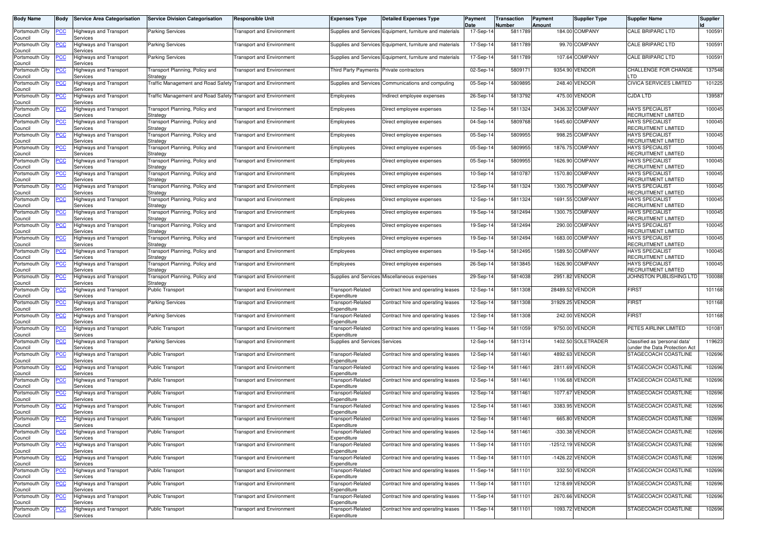| <b>Body Name</b>           | <b>Body</b> | <b>Service Area Categorisation</b>        | <b>Service Division Categorisation</b>                       | <b>Responsible Unit</b>          | <b>Expenses Type</b>             | <b>Detailed Expenses Type</b>                            | Payment<br>Date | Transaction<br>Number | Payment<br>Amount | <b>Supplier Type</b> | <b>Supplier Name</b>                                            | Supplier |
|----------------------------|-------------|-------------------------------------------|--------------------------------------------------------------|----------------------------------|----------------------------------|----------------------------------------------------------|-----------------|-----------------------|-------------------|----------------------|-----------------------------------------------------------------|----------|
| Portsmouth City<br>Council | <u>PCC</u>  | Highways and Transport<br>Services        | <b>Parking Services</b>                                      | <b>Fransport and Environment</b> |                                  | Supplies and Services Equipment, furniture and materials | 17-Sep-14       | 5811789               |                   | 184.00 COMPANY       | <b>CALE BRIPARC LTD</b>                                         | 100591   |
| Portsmouth City<br>Council | <b>PCC</b>  | Highways and Transport<br>Services        | <b>Parking Services</b>                                      | <b>Transport and Environment</b> |                                  | Supplies and Services Equipment, furniture and materials | 17-Sep-14       | 5811789               |                   | 99.70 COMPANY        | <b>CALE BRIPARC LTD</b>                                         | 100591   |
| Portsmouth City<br>Council | <u>'СС</u>  | Highways and Transport<br>Services        | Parking Services                                             | Transport and Environment        |                                  | Supplies and Services Equipment, furniture and materials | 17-Sep-14       | 5811789               |                   | 107.64 COMPANY       | <b>CALE BRIPARC LTD</b>                                         | 100591   |
| Portsmouth City<br>Council | <u>PCC</u>  | Highways and Transport<br>Services        | <b>Fransport Planning, Policy and</b><br>Strategy            | <b>Transport and Environment</b> | <b>Third Party Payments</b>      | Private contractors                                      | 02-Sep-14       | 580917                |                   | 9354.90 VENDOR       | CHALLENGE FOR CHANGE<br>. TD                                    | 137548   |
| Portsmouth City<br>Council | <u>'CC</u>  | Highways and Transport<br>Services        | Fraffic Management and Road Safety Transport and Environment |                                  |                                  | Supplies and Services Communications and computing       | 05-Sep-14       | 5809895               |                   | 248.40 VENDOR        | CIVICA SERVICES LIMITED                                         | 101225   |
| Portsmouth City<br>Council | <u>'CC</u>  | Highways and Transport<br>Services        | Fraffic Management and Road Safety Transport and Environment |                                  | Employees                        | Indirect employee expenses                               | 26-Sep-14       | 5813792               |                   | 475.00 VENDOR        | <b>CJDA LTD</b>                                                 | 139587   |
| Portsmouth City<br>Council | <u>'CC</u>  | Highways and Transport<br>Services        | ransport Planning, Policy and<br>Strategy                    | Transport and Environment        | Employees                        | Direct employee expenses                                 | 12-Sep-14       | 5811324               |                   | 3436.32 COMPANY      | <b>HAYS SPECIALIST</b><br>RECRUITMENT LIMITED                   | 100045   |
| Portsmouth City<br>Council | <u>PCC</u>  | Highways and Transport<br>Services        | <b>Fransport Planning, Policy and</b><br>Strategy            | <b>Transport and Environment</b> | Employees                        | Direct employee expenses                                 | 04-Sep-14       | 5809768               |                   | 1645.60 COMPANY      | <b>HAYS SPECIALIST</b><br>RECRUITMENT LIMITED                   | 100045   |
| Portsmouth City<br>Council | сc          | Highways and Transport<br>Services        | Fransport Planning, Policy and<br>Strategy                   | <b>Fransport and Environment</b> | Employees                        | Direct employee expenses                                 | 05-Sep-14       | 5809955               |                   | 998.25 COMPANY       | <b>HAYS SPECIALIST</b><br>RECRUITMENT LIMITED                   | 100045   |
| Portsmouth City<br>Council | PСC         | Highways and Transport<br>Services        | Transport Planning, Policy and<br>Strategy                   | <b>Transport and Environment</b> | Employees                        | Direct employee expenses                                 | 05-Sep-14       | 5809955               |                   | 1876.75 COMPANY      | <b>HAYS SPECIALIST</b><br>RECRUITMENT LIMITED                   | 100045   |
| Portsmouth City<br>Council | PСC         | lighways and Transport<br>Services        | ransport Planning, Policy and<br>Strategy                    | Transport and Environment        | Employees                        | Direct employee expenses                                 | 05-Sep-14       | 5809955               |                   | 1626.90 COMPANY      | <b>HAYS SPECIALIST</b><br>RECRUITMENT LIMITED                   | 100045   |
| Portsmouth City<br>Council | <u>CC</u>   | <b>Highways and Transport</b><br>Services | <b>Fransport Planning, Policy and</b><br>Strategy            | <b>Fransport and Environment</b> | Employees                        | Direct employee expenses                                 | 10-Sep-14       | 5810787               |                   | 1570.80 COMPANY      | <b>HAYS SPECIALIST</b><br>RECRUITMENT LIMITED                   | 100045   |
| Portsmouth City<br>Council | сc          | Highways and Transport<br>Services        | Fransport Planning, Policy and<br>Strategy                   | Transport and Environment        | Employees                        | Direct employee expenses                                 | 12-Sep-14       | 5811324               |                   | 1300.75 COMPANY      | <b>HAYS SPECIALIST</b><br>RECRUITMENT LIMITED                   | 100045   |
| Portsmouth City<br>Council | <u>PCC</u>  | Highways and Transport<br>Services        | <b>Fransport Planning, Policy and</b><br>Strategy            | <b>Transport and Environment</b> | Employees                        | Direct employee expenses                                 | 12-Sep-14       | 5811324               |                   | 1691.55 COMPANY      | <b>HAYS SPECIALIST</b><br>RECRUITMENT LIMITED                   | 100045   |
| Portsmouth City<br>Council | <u>PCC</u>  | Highways and Transport<br>Services        | <b>Fransport Planning, Policy and</b><br>Strategy            | Fransport and Environment        | Employees                        | Direct employee expenses                                 | 19-Sep-14       | 5812494               |                   | 1300.75 COMPANY      | <b>HAYS SPECIALIST</b><br>RECRUITMENT LIMITED                   | 100045   |
| Portsmouth City<br>Council | <u>'CC</u>  | Highways and Transport<br>Services        | <b>Fransport Planning, Policy and</b><br>Strategy            | <b>Transport and Environment</b> | Employees                        | Direct employee expenses                                 | 19-Sep-14       | 5812494               |                   | 290.00 COMPANY       | <b>HAYS SPECIALIST</b><br>RECRUITMENT LIMITED                   | 100045   |
| Portsmouth City<br>Council | <u>PCC</u>  | <b>Highways and Transport</b><br>Services | <b>Fransport Planning, Policy and</b><br>Strategy            | Fransport and Environment        | Employees                        | Direct employee expenses                                 | 19-Sep-14       | 5812494               |                   | 1683.00 COMPANY      | <b>HAYS SPECIALIST</b><br>RECRUITMENT LIMITED                   | 100045   |
| Portsmouth City<br>Council | <u>'CC</u>  | Highways and Transport<br>Services        | <b>Fransport Planning, Policy and</b><br>Strategy            | Fransport and Environment        | Employees                        | Direct employee expenses                                 | 19-Sep-14       | 5812495               |                   | 1589.50 COMPANY      | <b>HAYS SPECIALIST</b><br>RECRUITMENT LIMITED                   | 100045   |
| Portsmouth City<br>Council | <u>PCC</u>  | Highways and Transport<br>Services        | Fransport Planning, Policy and<br>Strategy                   | <b>Transport and Environment</b> | Employees                        | Direct employee expenses                                 | 26-Sep-14       | 5813845               |                   | 1626.90 COMPANY      | <b>HAYS SPECIALIST</b><br>RECRUITMENT LIMITED                   | 100045   |
| Portsmouth City<br>Council | <u>CC</u>   | Highways and Transport<br>Services        | <b>Fransport Planning, Policy and</b><br>Strategy            | Transport and Environment        |                                  | Supplies and Services Miscellaneous expenses             | 29-Sep-14       | 5814038               |                   | 2951.82 VENDOR       | JOHNSTON PUBLISHING LTD                                         | 100088   |
| Portsmouth City<br>Council | PСC         | Highways and Transport<br>Services        | <b>Public Transport</b>                                      | <b>Transport and Environment</b> | Fransport-Related<br>Expenditure | Contract hire and operating leases                       | 12-Sep-14       | 5811308               |                   | 28489.52 VENDOR      | <b>FIRST</b>                                                    | 101168   |
| Portsmouth City<br>Council | CС          | Highways and Transport<br>Services        | <b>Parking Services</b>                                      | <b>Transport and Environment</b> | Fransport-Related<br>Expenditure | Contract hire and operating leases                       | 12-Sep-14       | 5811308               | 31929.25          | <b>VENDOR</b>        | <b>FIRST</b>                                                    | 101168   |
| Portsmouth City<br>Council | <b>PCC</b>  | Highways and Transport<br>Services        | <b>Parking Services</b>                                      | <b>Transport and Environment</b> | Fransport-Related<br>Expenditure | Contract hire and operating leases                       | $12-Sep-14$     | 5811308               |                   | 242.00 VENDOR        | <b>FIRST</b>                                                    | 101168   |
| Portsmouth City<br>Council | <u>CC</u>   | Highways and Transport<br>Services        | <b>Public Transport</b>                                      | Fransport and Environment        | Fransport-Related<br>Expenditure | Contract hire and operating leases                       | 11-Sep-14       | 5811059               |                   | 9750.00 VENDOR       | PETES AIRLINK LIMITED                                           | 101081   |
| Portsmouth City<br>Council | <u>PCC</u>  | Highways and Transport<br>Services        | <b>Parking Services</b>                                      | <b>Fransport and Environment</b> | Supplies and Services Services   |                                                          | 12-Sep-14       | 5811314               |                   | 1402.50 SOLETRADER   | Classified as 'personal data'<br>(under the Data Protection Act | 119623   |
| Portsmouth City<br>Council |             | Highways and Transport<br>Services        | <b>Public Transport</b>                                      | Fransport and Environment        | Fransport-Related<br>Expenditure | Contract hire and operating leases                       | 12-Sep-14       | 5811461               | 4892.63           | <b>VENDOR</b>        | STAGECOACH COASTLINE                                            | 102696   |
| Portsmouth City<br>Council | <u>PCC</u>  | Highways and Transport<br>Services        | Public Transport                                             | <b>Transport and Environment</b> | Transport-Related<br>Expenditure | Contract hire and operating leases                       | 12-Sep-14       | 5811461               |                   | 2811.69 VENDOR       | STAGECOACH COASTLINE                                            | 102696   |
| Portsmouth City<br>Council | <b>PCC</b>  | Highways and Transport<br>Services        | <b>Public Transport</b>                                      | Transport and Environment        | Transport-Related<br>Expenditure | Contract hire and operating leases                       | 12-Sep-1        | 581146                |                   | 1106.68 VENDOR       | STAGECOACH COASTLINE                                            | 102696   |
| Portsmouth City<br>Council | <u>CC</u>   | Highways and Transport<br>Services        | <b>Public Transport</b>                                      | Transport and Environment        | Transport-Related<br>Expenditure | Contract hire and operating leases                       | 12-Sep-14       | 5811461               |                   | 1077.67 VENDOR       | STAGECOACH COASTLINE                                            | 102696   |
| Portsmouth City<br>Council | <u>'CC</u>  | Highways and Transport<br>Services        | <b>Public Transport</b>                                      | Fransport and Environment        | Fransport-Related<br>Expenditure | Contract hire and operating leases                       | 12-Sep-14       | 5811461               | 3383.95           | <b>VENDOR</b>        | STAGECOACH COASTLINE                                            | 102696   |
| Portsmouth City<br>Council | <b>PCC</b>  | <b>Highways and Transport</b><br>Services | <b>Public Transport</b>                                      | <b>Transport and Environment</b> | Transport-Related<br>Expenditure | Contract hire and operating leases                       | 12-Sep-14       | 5811461               |                   | 665.80 VENDOR        | STAGECOACH COASTLINE                                            | 102696   |
| Portsmouth City<br>Council | <u>PCC</u>  | Highways and Transport<br>Services        | Public Transport                                             | <b>Transport and Environment</b> | Transport-Related<br>Expenditure | Contract hire and operating leases                       | 12-Sep-14       | 5811461               |                   | -330.38 VENDOR       | STAGECOACH COASTLINE                                            | 102696   |
| Portsmouth City<br>Council | <b>PCC</b>  | <b>Highways and Transport</b><br>Services | Public Transport                                             | <b>Transport and Environment</b> | Transport-Related<br>Expenditure | Contract hire and operating leases                       | 11-Sep-14       | 5811101               | -12512.19 VENDOR  |                      | STAGECOACH COASTLINE                                            | 102696   |
| Portsmouth City<br>Council | PСC         | Highways and Transport<br>Services        | <b>Public Transport</b>                                      | <b>Transport and Environment</b> | Transport-Related<br>Expenditure | Contract hire and operating leases                       | 11-Sep-14       | 5811101               |                   | -1426.22 VENDOR      | STAGECOACH COASTLINE                                            | 102696   |
| Portsmouth City<br>Council | <u>CC</u>   | <b>Highways and Transport</b><br>Services | Public Transport                                             | <b>Transport and Environment</b> | Fransport-Related<br>Expenditure | Contract hire and operating leases                       | 11-Sep-14       | 5811101               |                   | 332.50 VENDOR        | STAGECOACH COASTLINE                                            | 102696   |
| Portsmouth City<br>Council | <b>PCC</b>  | Highways and Transport<br>Services        | <b>Public Transport</b>                                      | <b>Transport and Environment</b> | Transport-Related<br>Expenditure | Contract hire and operating leases                       | 11-Sep-14       | 5811101               |                   | 1218.69 VENDOR       | STAGECOACH COASTLINE                                            | 102696   |
| Portsmouth City<br>Council | <u>PCC</u>  | <b>Highways and Transport</b><br>Services | <b>Public Transport</b>                                      | <b>Transport and Environment</b> | Transport-Related<br>Expenditure | Contract hire and operating leases                       | 11-Sep-14       | 5811101               |                   | 2670.66 VENDOR       | STAGECOACH COASTLINE                                            | 102696   |
| Portsmouth City<br>Council | <u>PCC</u>  | <b>Highways and Transport</b><br>Services | Public Transport                                             | <b>Transport and Environment</b> | Transport-Related<br>Expenditure | Contract hire and operating leases                       | 11-Sep-14       | 5811101               |                   | 1093.72 VENDOR       | STAGECOACH COASTLINE                                            | 102696   |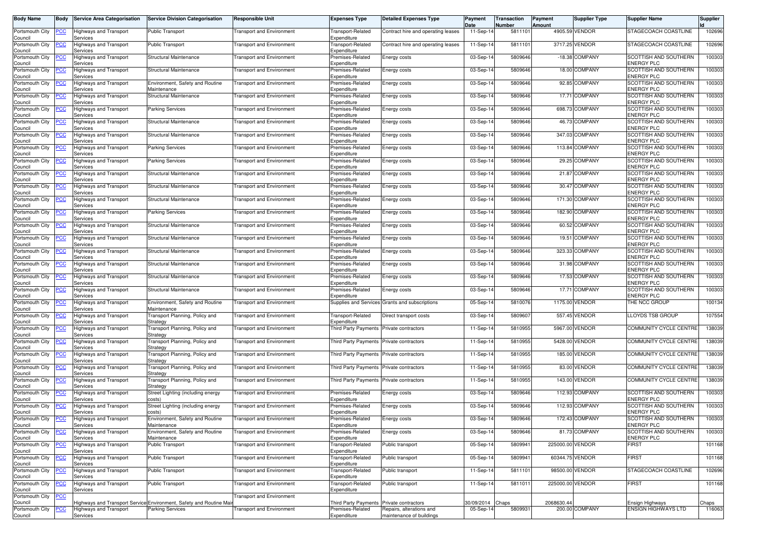| Date<br>Number                                                                                                                                                                                                                                                   | Amount           | Supplier Type   | <b>Supplier Name</b>                              | Supplier |
|------------------------------------------------------------------------------------------------------------------------------------------------------------------------------------------------------------------------------------------------------------------|------------------|-----------------|---------------------------------------------------|----------|
| Portsmouth City<br>11-Sep-14<br>5811101<br>Highways and Transport<br>Public Transport<br><b>Fransport and Environment</b><br>Fransport-Related<br>Contract hire and operating leases<br><u>PCC</u><br>Council<br>Expenditure<br>Services                         |                  | 4905.59 VENDOR  | STAGECOACH COASTLINE                              | 102696   |
| 11-Sep-14<br>581110<br>Portsmouth City<br><b>PCC</b><br>Highways and Transport<br><b>Public Transport</b><br><b>Transport and Environment</b><br>Transport-Related<br>Contract hire and operating leases<br>Expenditure<br>Council<br>Services                   |                  | 3717.25 VENDOR  | STAGECOACH COASTLINE                              | 102696   |
| Portsmouth City<br>03-Sep-14<br>5809646<br><u>PCC</u><br>Highways and Transport<br>Structural Maintenance<br>Premises-Related<br>Energy costs<br>Transport and Environment<br>Expenditure<br>Council<br>Services                                                 |                  | -18.38 COMPANY  | SCOTTISH AND SOUTHERN<br><b>ENERGY PLC</b>        | 100303   |
| Portsmouth City<br>Structural Maintenance<br>Premises-Related<br>03-Sep-14<br>5809646<br><u>PCC</u><br>Highways and Transport<br><b>Transport and Environment</b><br>Energy costs<br>Council<br>Expenditure<br>Services                                          |                  | 18.00 COMPANY   | <b>SCOTTISH AND SOUTHERN</b><br><b>ENERGY PLC</b> | 100303   |
| Portsmouth City<br>Environment, Safety and Routine<br>03-Sep-14<br>5809646<br>Highways and Transport<br><b>Transport and Environment</b><br>Premises-Related<br>Energy costs<br><u>'CC</u><br>Council<br>Services<br>Maintenance<br>Expenditure                  |                  | 92.85 COMPANY   | SCOTTISH AND SOUTHERN<br><b>ENERGY PLC</b>        | 100303   |
| Portsmouth City<br>Structural Maintenance<br>03-Sep-14<br>5809646<br>Highways and Transport<br><b>Transport and Environment</b><br>Premises-Related<br>Energy costs<br><u>'CC</u><br>Expenditure<br>Council<br>Services                                          |                  | 17.71 COMPANY   | SCOTTISH AND SOUTHERN<br><b>ENERGY PLC</b>        | 100303   |
| Portsmouth City<br>03-Sep-14<br>5809646<br><u>'CC</u><br>Highways and Transport<br><b>Parking Services</b><br>Premises-Related<br>Transport and Environment<br>Energy costs<br>Services<br>Expenditure<br>Council                                                |                  | 698.73 COMPANY  | SCOTTISH AND SOUTHERN<br><b>ENERGY PLC</b>        | 100303   |
| Portsmouth City<br>Premises-Related<br>03-Sep-14<br>5809646<br><u>PCC</u><br>Highways and Transport<br><b>Structural Maintenance</b><br><b>Transport and Environment</b><br>Energy costs<br>Expenditure<br>Council<br>Services                                   |                  | 46.73 COMPANY   | SCOTTISH AND SOUTHERN<br><b>ENERGY PLC</b>        | 100303   |
| Portsmouth City<br>03-Sep-14<br>5809646<br>Highways and Transport<br>Structural Maintenance<br><b>Fransport and Environment</b><br>Premises-Related<br>сc<br>Energy costs<br>Council<br>Services<br>Expenditure                                                  |                  | 347.03 COMPANY  | SCOTTISH AND SOUTHERN<br><b>ENERGY PLC</b>        | 100303   |
| Portsmouth City<br>03-Sep-14<br>5809646<br><u>PCC</u><br>Highways and Transport<br><b>Parking Services</b><br><b>Transport and Environment</b><br>Premises-Related<br>Energy costs<br>Expenditure<br>Council<br>Services                                         |                  | 113.84 COMPANY  | SCOTTISH AND SOUTHERN<br><b>ENERGY PLC</b>        | 100303   |
| Portsmouth City<br>03-Sep-14<br>5809646<br>PСC<br>lighways and Transport<br>Premises-Related<br>Energy costs<br><b>Parking Services</b><br>Transport and Environment<br>Expenditure<br>Council<br>Services                                                       |                  | 29.25 COMPANY   | SCOTTISH AND SOUTHERN<br><b>ENERGY PLC</b>        | 100303   |
| Portsmouth City<br>03-Sep-14<br>5809646<br><u>CC</u><br>Highways and Transport<br>Structural Maintenance<br><b>Fransport and Environment</b><br>Premises-Related<br>Energy costs<br>Expenditure<br>Council<br>Services                                           |                  | 21.87 COMPANY   | SCOTTISH AND SOUTHERN<br><b>ENERGY PLC</b>        | 100303   |
| 03-Sep-14<br>5809646<br>Portsmouth City<br>Highways and Transport<br><b>Structural Maintenance</b><br><b>Transport and Environment</b><br>Premises-Related<br>сc<br>Energy costs<br>Services<br>Expenditure<br>Council                                           |                  | 30.47 COMPANY   | SCOTTISH AND SOUTHERN<br><b>ENERGY PLC</b>        | 100303   |
| 03-Sep-14<br>5809646<br>Portsmouth City<br>Highways and Transport<br>Structural Maintenance<br><b>Transport and Environment</b><br>Premises-Related<br>Energy costs<br><u>PCC</u><br>Council<br>Expenditure<br>Services                                          |                  | 171.30 COMPANY  | SCOTTISH AND SOUTHERN<br><b>ENERGY PLC</b>        | 100303   |
| 03-Sep-14<br>5809646<br>Portsmouth City<br><u>PCC</u><br>Highways and Transport<br><b>Transport and Environment</b><br>Premises-Related<br>Parking Services<br>Energy costs<br>Expenditure<br>Council<br>Services                                                |                  | 182.90 COMPANY  | <b>SCOTTISH AND SOUTHERN</b><br><b>ENERGY PLC</b> | 100303   |
| Portsmouth City<br>Structural Maintenance<br>Premises-Related<br>03-Sep-14<br>5809646<br><u>'CC</u><br>Highways and Transport<br><b>Transport and Environment</b><br>Energy costs<br>Expenditure<br>Council<br>Services                                          |                  | 60.52 COMPANY   | SCOTTISH AND SOUTHERN<br><b>ENERGY PLC</b>        | 100303   |
| Portsmouth City<br>03-Sep-14<br>5809646<br>Highways and Transport<br>Structural Maintenance<br><b>Fransport and Environment</b><br>Premises-Related<br>Energy costs<br><u>PCC</u><br>Council<br>Services<br>Expenditure                                          | 19.51            | <b>COMPANY</b>  | SCOTTISH AND SOUTHERN<br><b>ENERGY PLC</b>        | 100303   |
| 5809646<br>Portsmouth City<br>03-Sep-14<br><u>'CC</u><br>Highways and Transport<br>Structural Maintenance<br><b>Transport and Environment</b><br>Premises-Related<br>Energy costs<br>Expenditure<br>Council<br>Services                                          |                  | 323.33 COMPANY  | SCOTTISH AND SOUTHERN<br><b>ENERGY PLC</b>        | 100303   |
| 5809646<br>03-Sep-14<br>Portsmouth City<br><u>CC</u><br>Highways and Transport<br>Structural Maintenance<br><b>Transport and Environment</b><br>Premises-Related<br>Energy costs<br>Council<br>Expenditure<br>Services                                           |                  | 31.98 COMPANY   | SCOTTISH AND SOUTHERN<br><b>ENERGY PLC</b>        | 100303   |
| Portsmouth City<br>Structural Maintenance<br>Premises-Related<br>03-Sep-14<br>5809646<br><u>CC</u><br>Highways and Transport<br><b>Transport and Environment</b><br>Energy costs<br>Council<br>Services<br>Expenditure                                           |                  | 17.53 COMPANY   | <b>SCOTTISH AND SOUTHERN</b><br><b>ENERGY PLC</b> | 100303   |
| 5809646<br>Premises-Related<br>03-Sep-14<br>Portsmouth City<br>Highways and Transport<br><b>Structural Maintenance</b><br><b>Transport and Environment</b><br>Energy costs<br>сc<br>Expenditure<br>Council<br>Services                                           |                  | 17.71 COMPANY   | SCOTTISH AND SOUTHERN<br><b>ENERGY PLC</b>        | 100303   |
| Environment, Safety and Routine<br>05-Sep-14<br>5810076<br>Portsmouth City<br>Highways and Transport<br><b>Transport and Environment</b><br>Supplies and Services Grants and subscriptions<br>CС<br>Council<br>Maintenance<br>Services                           | 1175.00          | <b>VENDOR</b>   | THE NCC GROUP                                     | 100134   |
| 03-Sep-14<br>580960<br>Portsmouth City<br><b>PCC</b><br>Highways and Transport<br><b>Fransport Planning, Policy and</b><br><b>Transport and Environment</b><br>Transport-Related<br>Direct transport costs<br>Expenditure<br>Council<br>Services<br>Strategy     |                  | 557.45 VENDOR   | LLOYDS TSB GROUP                                  | 107554   |
| Portsmouth City<br>11-Sep-14<br>5810955<br><u>CC</u><br>Highways and Transport<br><b>Fransport Planning, Policy and</b><br><b>Third Party Payments</b><br>Private contractors<br>Transport and Environment<br>Strategy<br>Council<br>Services                    | 5967.00          | VENDOR          | COMMUNITY CYCLE CENTRE                            | 138039   |
| 5810955<br>Portsmouth City<br>Highways and Transport<br>Transport Planning, Policy and<br><b>Fransport and Environment</b><br>Third Party Payments Private contractors<br>11-Sep-14<br><u>PCC</u><br>Council<br>Strategy<br>Services                             |                  | 5428.00 VENDOR  | COMMUNITY CYCLE CENTRE                            | 138039   |
| Portsmouth City<br>11-Sep-14<br>5810955<br>Highways and Transport<br>Transport Planning, Policy and<br><b>Fransport and Environment</b><br>Third Party Payments<br>Private contractors<br><u>'СС</u><br>Council<br>Services<br>Strategy                          | 185.00           | <b>VENDOR</b>   | COMMUNITY CYCLE CENTRE                            | 138039   |
| 11-Sep-14<br>5810955<br>Portsmouth City<br><u>PCC</u><br>Highways and Transport<br><b>Fransport Planning, Policy and</b><br><b>Transport and Environment</b><br>Third Party Payments Private contractors<br>Council<br>Services<br>Strategy                      |                  | 83.00 VENDOR    | COMMUNITY CYCLE CENTRE                            | 138039   |
| Portsmouth City<br><b>PCC</b><br>11-Sep-14<br>5810955<br>Highways and Transport<br><b>Fransport Planning, Policy and</b><br><b>Third Party Payments</b><br>Private contractors<br>Transport and Environment<br>Services<br>Strategy<br>Council                   |                  | 143.00 VENDOR   | COMMUNITY CYCLE CENTRE                            | 138039   |
| Portsmouth City<br>03-Sep-14<br>5809646<br><u>CC</u><br>Highways and Transport<br>Street Lighting (including energy<br>Premises-Related<br>Energy costs<br>Transport and Environment<br>Expenditure<br>Council<br>Services<br>costs)                             |                  | 112.93 COMPANY  | SCOTTISH AND SOUTHERN<br><b>ENERGY PLC</b>        | 100303   |
| 03-Sep-14<br>5809646<br>Portsmouth City<br>Highways and Transport<br>Street Lighting (including energy<br><b>Transport and Environment</b><br>Premises-Related<br>Energy costs<br><u>'CC</u><br>Council<br>Expenditure<br>Services<br>costs)                     |                  | 112.93 COMPANY  | SCOTTISH AND SOUTHERN<br><b>ENERGY PLC</b>        | 100303   |
| Portsmouth City PCC<br>5809646<br><b>Highways and Transport</b><br>Environment, Safety and Routine<br>Premises-Related<br>Energy costs<br>03-Sep-14<br><b>Transport and Environment</b><br>Council<br>Expenditure<br>Services<br>Maintenance                     |                  | 172.43 COMPANY  | SCOTTISH AND SOUTHERN<br><b>ENERGY PLC</b>        | 100303   |
| Portsmouth City<br>Environment, Safety and Routine<br>03-Sep-14<br>5809646<br><u>PCC</u><br><b>Highways and Transport</b><br><b>Transport and Environment</b><br>Premises-Related<br>Energy costs<br>Council<br>Maintenance<br>Expenditure<br>Services           |                  | 81.73 COMPANY   | SCOTTISH AND SOUTHERN<br><b>ENERGY PLC</b>        | 100303   |
| Portsmouth City<br>5809941<br>Highways and Transport<br>Public Transport<br><b>Transport and Environment</b><br>Transport-Related<br>Public transport<br>05-Sep-14<br><b>PCC</b><br>Expenditure<br>Council<br>Services                                           | 225000.00 VENDOR |                 | <b>FIRST</b>                                      | 101168   |
| Portsmouth City<br><b>Public Transport</b><br><b>Transport and Environment</b><br>Transport-Related<br>05-Sep-14<br>5809941<br>PСC<br>Highways and Transport<br>Public transport<br>Expenditure<br>Council<br>Services                                           |                  | 60344.75 VENDOR | <b>FIRST</b>                                      | 101168   |
| Portsmouth City<br>5811101<br>Highways and Transport<br>Public Transport<br><b>Transport and Environment</b><br>Fransport-Related<br>Public transport<br>11-Sep-14<br><u>PCC</u><br>Expenditure<br>Council<br>Services                                           |                  | 98500.00 VENDOR | STAGECOACH COASTLINE                              | 102696   |
| Portsmouth City<br>11-Sep-14<br>5811011<br><b>PCC</b><br><b>Highways and Transport</b><br>Public Transport<br><b>Transport and Environment</b><br>Transport-Related<br>Public transport<br>Services<br>Expenditure<br>Council                                    | 225000.00 VENDOR |                 | <b>FIRST</b>                                      | 101168   |
| Portsmouth City<br><b>PCC</b><br><b>Transport and Environment</b><br>Council<br>Highways and Transport Service Environment, Safety and Routine Ma<br><b>Third Party Payments</b><br>0/09/2014<br>Chaps<br>Private contractors                                    | 2068630.44       |                 | Ensign Highways                                   | haps     |
| Portsmouth City<br>05-Sep-14<br>5809931<br>Highways and Transport<br><b>Parking Services</b><br><b>Transport and Environment</b><br>Premises-Related<br>Repairs, alterations and<br><u>PCC</u><br>Council<br>Expenditure<br>maintenance of buildings<br>Services |                  | 200.00 COMPANY  | <b>ENSIGN HIGHWAYS LTD</b>                        | 116063   |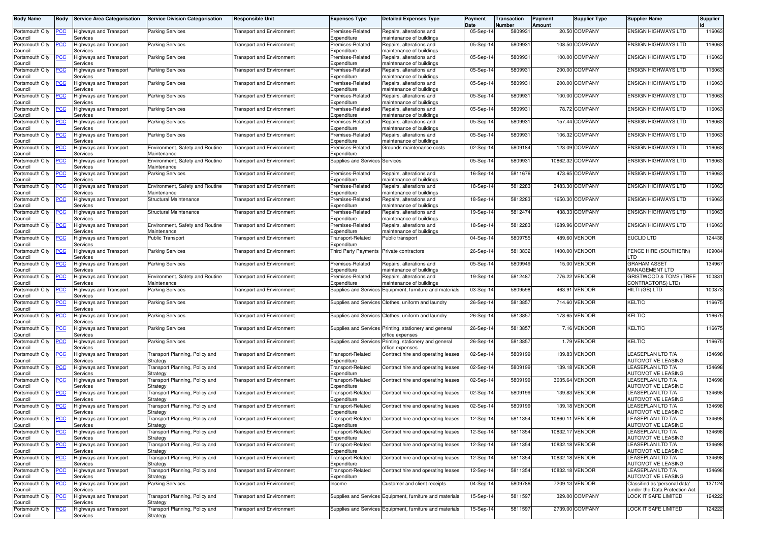| <b>Body Name</b>               | <b>Body</b> | <b>Service Area Categorisation</b>        | <b>Service Division Categorisation</b>            | <b>Responsible Unit</b>          | <b>Expenses Type</b>                       | <b>Detailed Expenses Type</b>                                             | Payment<br>Date | Transaction<br>Number | Payment<br>Amount | <b>Supplier Type</b> | <b>Supplier Name</b>                                         | <b>Supplier</b> |
|--------------------------------|-------------|-------------------------------------------|---------------------------------------------------|----------------------------------|--------------------------------------------|---------------------------------------------------------------------------|-----------------|-----------------------|-------------------|----------------------|--------------------------------------------------------------|-----------------|
| Portsmouth City                | PCC         | Highways and Transport                    | Parking Services                                  | ransport and Environment         | Premises-Related                           | Repairs, alterations and                                                  | 05-Sep-14       | 580993                |                   | 20.50 COMPANY        | ENSIGN HIGHWAYS LTD                                          | 116063          |
| Council<br>Portsmouth City     | <b>PCC</b>  | Services<br>Highways and Transport        | <b>Parking Services</b>                           | <b>Fransport and Environment</b> | Expenditure<br>Premises-Related            | maintenance of buildings<br>Repairs, alterations and                      | 05-Sep-14       | 580993                |                   | 108.50 COMPANY       | <b>ENSIGN HIGHWAYS LTD</b>                                   | 116063          |
| Council<br>Portsmouth City     | <u>CC</u>   | Services<br>Highways and Transport        | <b>Parking Services</b>                           | Transport and Environment        | Expenditure<br>Premises-Related            | maintenance of buildings<br>Repairs, alterations and                      | 05-Sep-14       | 580993                |                   | 100.00 COMPANY       | <b>ENSIGN HIGHWAYS LTD</b>                                   | 116063          |
| Council<br>Portsmouth City     | <u>PCC</u>  | Services<br>Highways and Transport        | <b>Parking Services</b>                           | <b>Fransport and Environment</b> | Expenditure<br>Premises-Related            | maintenance of buildings<br>Repairs, alterations and                      | 05-Sep-14       | 580993                |                   | 200.00 COMPANY       | <b>ENSIGN HIGHWAYS LTD</b>                                   | 116063          |
| Council<br>Portsmouth City     | <u>'CC</u>  | Services<br>Highways and Transport        | <b>Parking Services</b>                           | ransport and Environment         | Expenditure<br>Premises-Related            | maintenance of buildings<br>Repairs, alterations and                      | 05-Sep-14       | 580993                |                   | 200.00 COMPANY       | <b>ENSIGN HIGHWAYS LTD</b>                                   | 116063          |
| Council<br>Portsmouth City     | <u>CC</u>   | Services<br>Highways and Transport        | <b>Parking Services</b>                           | <b>Transport and Environment</b> | Expenditure<br>Premises-Related            | maintenance of buildings<br>Repairs, alterations and                      | 05-Sep-14       | 5809931               |                   | 100.00 COMPANY       | <b>ENSIGN HIGHWAYS LTD</b>                                   | 116063          |
| Council<br>Portsmouth City     | <b>CC</b>   | Services<br>Highways and Transport        | <b>Parking Services</b>                           |                                  | Expenditure                                | maintenance of buildings<br>Repairs, alterations and                      | 05-Sep-14       | 580993                |                   | 78.72 COMPANY        | <b>ENSIGN HIGHWAYS LTD</b>                                   | 116063          |
| Council                        |             | Services                                  |                                                   | Fransport and Environment        | Premises-Related<br>Expenditure            | maintenance of buildings                                                  |                 |                       |                   |                      |                                                              |                 |
| Portsmouth City<br>Council     | <u>PCC</u>  | Highways and Transport<br>Services        | <b>Parking Services</b>                           | <b>Fransport and Environment</b> | Premises-Related<br>Expenditure            | Repairs, alterations and<br>maintenance of buildings                      | 05-Sep-14       | 580993                |                   | 157.44 COMPANY       | <b>ENSIGN HIGHWAYS LTD</b>                                   | 116063          |
| Portsmouth City<br>Council     | сc          | Highways and Transport<br>Services        | <b>Parking Services</b>                           | ransport and Environment         | Premises-Related<br>Expenditure            | Repairs, alterations and<br>maintenance of buildings                      | 05-Sep-14       | 580993                |                   | 106.32 COMPANY       | <b>ENSIGN HIGHWAYS LTD</b>                                   | 116063          |
| Portsmouth City<br>Council     | PСC         | Highways and Transport<br>Services        | Environment, Safety and Routine<br>Maintenance    | <b>Transport and Environment</b> | Premises-Related<br>Expenditure            | Grounds maintenance costs                                                 | 02-Sep-14       | 5809184               |                   | 123.09 COMPANY       | <b>ENSIGN HIGHWAYS LTD</b>                                   | 116063          |
| Portsmouth City<br>Council     | PСC         | lighways and Transport<br>Services        | Environment, Safety and Routine<br>Maintenance    | Transport and Environment        | Supplies and Services Services             |                                                                           | 05-Sep-14       | 580993                |                   | 10862.32 COMPANY     | <b>ENSIGN HIGHWAYS LTD</b>                                   | 116063          |
| Portsmouth City<br>Council     | <u>CC</u>   | Highways and Transport<br>Services        | Parking Services                                  | <b>Fransport and Environment</b> | Premises-Related<br>Expenditure            | Repairs, alterations and<br>maintenance of buildings                      | 16-Sep-14       | 5811676               |                   | 473.65 COMPANY       | <b>ENSIGN HIGHWAYS LTD</b>                                   | 116063          |
| Portsmouth City                | сc          | Highways and Transport                    | Environment, Safety and Routine<br>Maintenance    | Transport and Environment        | Premises-Related                           | Repairs, alterations and                                                  | 18-Sep-14       | 581228                |                   | 3483.30 COMPANY      | <b>ENSIGN HIGHWAYS LTD</b>                                   | 116063          |
| Council<br>Portsmouth City     | PСC         | Services<br><b>Highways and Transport</b> | Structural Maintenance                            | <b>Transport and Environment</b> | Expenditure<br>Premises-Related            | maintenance of buildings<br>Repairs, alterations and                      | 18-Sep-14       | 5812283               |                   | 1650.30 COMPANY      | <b>ENSIGN HIGHWAYS LTD</b>                                   | 116063          |
| Council<br>Portsmouth City     | <u>PCC</u>  | Services<br>Highways and Transport        | Structural Maintenance                            | Fransport and Environment        | Expenditure<br>Premises-Related            | maintenance of buildings<br>Repairs, alterations and                      | 19-Sep-14       | 5812474               |                   | 438.33 COMPANY       | <b>ENSIGN HIGHWAYS LTD</b>                                   | 116063          |
| Council<br>Portsmouth City     | <u>'CC</u>  | Services<br>Highways and Transport        | Environment, Safety and Routine                   | <b>Transport and Environment</b> | Expenditure<br>Premises-Related            | maintenance of buildings<br>Repairs, alterations and                      | 18-Sep-14       | 581228                |                   | 1689.96 COMPANY      | <b>ENSIGN HIGHWAYS LTD</b>                                   | 116063          |
| Council<br>Portsmouth City     | <u>PCC</u>  | Services<br>Highways and Transport        | Maintenance<br><b>Public Transport</b>            | <b>Fransport and Environment</b> | Expenditure<br><b>Transport-Related</b>    | maintenance of buildings<br>Public transport                              | 04-Sep-14       | 5809755               |                   | 489.60 VENDOR        | <b>EUCLID LTD</b>                                            | 124438          |
| Council<br>Portsmouth City     | <u>'CC</u>  | Services<br>Highways and Transport        | Parking Services                                  | ransport and Environment         | Expenditure<br><b>Third Party Payments</b> | Private contractors                                                       | 26-Sep-14       | 5813832               | 1400.00           | VENDOR               | FENCE HIRE (SOUTHERN)                                        | 109084          |
| Council<br>Portsmouth City     | <u>CC</u>   | Services<br>Highways and Transport        | <b>Parking Services</b>                           | <b>Transport and Environment</b> | Premises-Related                           | Repairs, alterations and                                                  | 05-Sep-14       | 5809949               |                   | 15.00 VENDOR         | _TD<br><b>GRAHAM ASSET</b>                                   | 134967          |
| Council<br>Portsmouth City     | <u>CC</u>   | Services<br>Highways and Transport        | Environment, Safety and Routine                   | <b>Fransport and Environment</b> | Expenditure<br>Premises-Related            | maintenance of buildings<br>Repairs, alterations and                      | 19-Sep-14       | 581248                | 776.22            | <b>VENDOR</b>        | <b>MANAGEMENT LTD</b><br>GRISTWOOD & TOMS (TREE              | 10083           |
| Council                        |             | Services                                  | Maintenance                                       |                                  | Expenditure                                | maintenance of buildings                                                  |                 | 5809598               |                   | <b>VENDOR</b>        | CONTRACTORS) LTD)<br>HILTI (GB) LTD                          | 100873          |
| Portsmouth City<br>Council     | PСC         | Highways and Transport<br>Services        | Parking Services                                  | ransport and Environment         | Supplies and Services                      | Equipment, furniture and materials                                        | 03-Sep-14       |                       | 463.91            |                      |                                                              |                 |
| Portsmouth City<br>Council     | CС          | Highways and Transport<br>Services        | Parking Services                                  | <b>Fransport and Environment</b> | <b>Supplies and Services</b>               | Clothes, uniform and laundry                                              | 26-Sep-14       | 581385                | 714.60            | VENDOR               | KELTIC                                                       | 116675          |
| Portsmouth City<br>Council     | <b>PCC</b>  | Highways and Transport<br>Services        | <b>Parking Services</b>                           | <b>Transport and Environment</b> |                                            | Supplies and Services Clothes, uniform and laundry                        | 26-Sep-14       | 5813857               |                   | 178.65 VENDOR        | <b>KELTIC</b>                                                | 116675          |
| Portsmouth City<br>Council     | <u>CC</u>   | Highways and Transport<br>Services        | Parking Services                                  | Fransport and Environment        |                                            | Supplies and Services Printing, stationery and general<br>office expenses | 26-Sep-1        | 581385                |                   | 7.16 VENDOR          | KELTIC                                                       | 116675          |
| Portsmouth City<br>Council     | <u>PCC</u>  | Highways and Transport<br>Services        | Parking Services                                  | <b>Fransport and Environment</b> |                                            | Supplies and Services Printing, stationery and general<br>office expenses | 26-Sep-14       | 581385                |                   | 1.79 VENDOR          | <b>KELTIC</b>                                                | 116675          |
| Portsmouth City<br>Council     | <u>'СС</u>  | Highways and Transport<br>Services        | Transport Planning, Policy and<br>Strategy        | Fransport and Environment        | ransport-Related<br>Expenditure            | Contract hire and operating leases                                        | 02-Sep-14       | 5809199               | 139.83            | VENDOR               | LEASEPLAN LTD T/A<br>AUTOMOTIVE LEASING                      | 134698          |
| Portsmouth City<br>Council     | <u>PCC</u>  | Highways and Transport<br>Services        | Fransport Planning, Policy and<br>Strategy        | <b>Transport and Environment</b> | Transport-Related<br>Expenditure           | Contract hire and operating leases                                        | 02-Sep-14       | 5809199               |                   | 139.18 VENDOR        | <b>LEASEPLAN LTD T/A</b><br>AUTOMOTIVE LEASING               | 134698          |
| Portsmouth City<br>Council     | <b>PCC</b>  | <b>Highways and Transport</b><br>Services | <b>Fransport Planning, Policy and</b><br>Strategy | Fransport and Environment        | <b>Transport-Related</b><br>Expenditure    | Contract hire and operating leases                                        | 02-Sep-14       | 5809199               |                   | 3035.64 VENDOR       | <b>EASEPLAN LTD T/A</b><br><b>AUTOMOTIVE LEASING</b>         | 134698          |
| Portsmouth City                | <u>CC</u>   | Highways and Transport                    | Transport Planning, Policy and                    | <b>Fransport and Environment</b> | <b>Transport-Related</b>                   | Contract hire and operating leases                                        | 02-Sep-14       | 5809199               | 139.83            | VENDOR               | LEASEPLAN LTD T/A<br>AUTOMOTIVE LEASING                      | 134698          |
| Council<br>Portsmouth City     | <u>'CC</u>  | Services<br>Highways and Transport        | Strategy<br><b>Fransport Planning, Policy and</b> | <b>Fransport and Environment</b> | Expenditure<br>ransport-Related            | Contract hire and operating leases                                        | 02-Sep-14       | 5809199               |                   | 139.18 VENDOR        | <b>LEASEPLAN LTD T/A</b>                                     | 134698          |
| Council<br>Portsmouth City PCC |             | Services<br><b>Highways and Transport</b> | Strategy<br>Transport Planning, Policy and        | <b>Transport and Environment</b> | Expenditure<br>Transport-Related           | Contract hire and operating leases                                        | 12-Sep-14       | 5811354               |                   | 10860.11 VENDOR      | AUTOMOTIVE LEASING<br>LEASEPLAN LTD T/A                      | 134698          |
| Council<br>Portsmouth City     | <b>PCC</b>  | Services<br><b>Highways and Transport</b> | Strategy<br><b>Fransport Planning, Policy and</b> | <b>Transport and Environment</b> | Expenditure<br>Transport-Related           | Contract hire and operating leases                                        | 12-Sep-14       | 5811354               |                   | 10832.17 VENDOR      | <b>AUTOMOTIVE LEASING</b><br>LEASEPLAN LTD T/A               | 134698          |
| Council<br>Portsmouth City     | <b>PCC</b>  | Services<br>Highways and Transport        | Strategy<br>Transport Planning, Policy and        | <b>Fransport and Environment</b> | Expenditure<br>Transport-Related           | Contract hire and operating leases                                        | 12-Sep-14       | 5811354               |                   | 10832.18 VENDOR      | AUTOMOTIVE LEASING<br><b>LEASEPLAN LTD T/A</b>               | 134698          |
| Council<br>Portsmouth City     | PСC         | Services<br>Highways and Transport        | Strategy<br>Transport Planning, Policy and        | <b>Transport and Environment</b> | Expenditure<br>Transport-Related           | Contract hire and operating leases                                        | 12-Sep-14       | 5811354               |                   | 10832.18 VENDOR      | AUTOMOTIVE LEASING<br>LEASEPLAN LTD T/A                      | 134698          |
| Council<br>Portsmouth City     | <u>CC</u>   | Services<br><b>Highways and Transport</b> | Strategy<br>Fransport Planning, Policy and        | <b>Transport and Environment</b> | Expenditure<br>ransport-Related            | Contract hire and operating leases                                        | 12-Sep-14       | 5811354               |                   | 10832.18 VENDOR      | AUTOMOTIVE LEASING<br><b>LEASEPLAN LTD T/A</b>               | 134698          |
| Council<br>Portsmouth City     | <b>PCC</b>  | Services<br>Highways and Transport        | Strategy<br>Parking Services                      | <b>Transport and Environment</b> | Expenditure<br>Income                      | Customer and client receipts                                              | 04-Sep-14       | 5809786               |                   | 7209.13 VENDOR       | AUTOMOTIVE LEASING<br>Classified as 'personal data'          | 137124          |
| Council<br>Portsmouth City     | <u>PCC</u>  | Services<br><b>Highways and Transport</b> | Transport Planning, Policy and                    | <b>Transport and Environment</b> |                                            | Supplies and Services Equipment, furniture and materials                  | 15-Sep-14       | 5811597               |                   | 329.00 COMPANY       | under the Data Protection Act<br><b>LOCK IT SAFE LIMITED</b> | 124222          |
| Council                        |             | Services                                  | Strategy                                          |                                  |                                            |                                                                           |                 |                       |                   |                      |                                                              |                 |
| Portsmouth City<br>Council     | <u>PCC</u>  | <b>Highways and Transport</b><br>Services | Transport Planning, Policy and<br>Strategy        | <b>Fransport and Environment</b> | Supplies and Services                      | Equipment, furniture and materials                                        | 15-Sep-14       | 5811597               |                   | 2739.00 COMPANY      | LOCK IT SAFE LIMITED                                         | 124222          |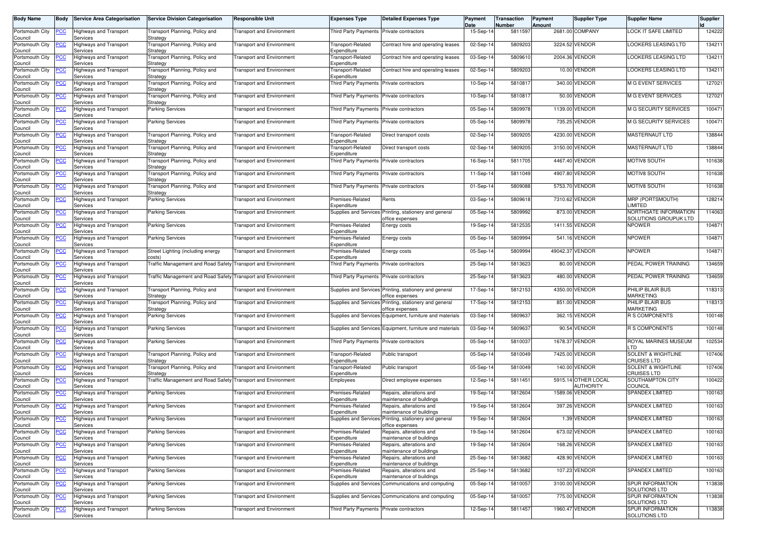| <b>Body Name</b>               | <b>Body</b> | <b>Service Area Categorisation</b>        | <b>Service Division Categorisation</b>                       | <b>Responsible Unit</b>          | <b>Expenses Type</b>                     | <b>Detailed Expenses Type</b>                                             | Payment<br>Date | Transaction<br>Number | Payment<br>Amount | Supplier Type                           | <b>Supplier Name</b>                                | Supplier |
|--------------------------------|-------------|-------------------------------------------|--------------------------------------------------------------|----------------------------------|------------------------------------------|---------------------------------------------------------------------------|-----------------|-----------------------|-------------------|-----------------------------------------|-----------------------------------------------------|----------|
| Portsmouth City<br>Council     | PCC         | Highways and Transport<br>Services        | <b>Fransport Planning, Policy and</b><br>Strategy            | <b>Fransport and Environment</b> | <b>Third Party Payments</b>              | Private contractors                                                       | 15-Sep-14       | 5811597               |                   | 2681.00 COMPANY                         | LOCK IT SAFE LIMITED                                | 124222   |
| Portsmouth City<br>Council     | <b>PCC</b>  | Highways and Transport<br>Services        | Transport Planning, Policy and<br>Strategy                   | <b>Transport and Environment</b> | Fransport-Related<br>Expenditure         | Contract hire and operating leases                                        | 02-Sep-14       | 5809203               |                   | 3224.52 VENDOR                          | LOOKERS LEASING LTD                                 | 134211   |
| Portsmouth City<br>Council     | <u>PCC</u>  | Highways and Transport<br>Services        | <b>Fransport Planning, Policy and</b><br>Strategy            | Transport and Environment        | Fransport-Related<br>Expenditure         | Contract hire and operating leases                                        | 03-Sep-14       | 5809610               |                   | 2004.36 VENDOR                          | LOOKERS LEASING LTD                                 | 134211   |
| Portsmouth City<br>Council     | <u>PCC</u>  | Highways and Transport<br>Services        | <b>Fransport Planning, Policy and</b><br>Strategy            | <b>Transport and Environment</b> | Transport-Related<br>Expenditure         | Contract hire and operating leases                                        | 02-Sep-14       | 5809203               |                   | 10.00 VENDOR                            | <b>LOOKERS LEASING LTD</b>                          | 134211   |
| Portsmouth City<br>Council     | <u>'CC</u>  | Highways and Transport<br>Services        | <b>Fransport Planning, Policy and</b><br>Strategy            | <b>Transport and Environment</b> | <b>Third Party Payments</b>              | Private contractors                                                       | 10-Sep-14       | 581081                |                   | 340.00 VENDOR                           | <b>M G EVENT SERVICES</b>                           | 127021   |
| Portsmouth City<br>Council     | <u>CC</u>   | Highways and Transport<br>Services        | <b>Fransport Planning, Policy and</b><br>Strategy            | <b>Transport and Environment</b> | Third Party Payments Private contractors |                                                                           | 10-Sep-14       | 5810817               |                   | 50.00 VENDOR                            | M G EVENT SERVICES                                  | 127021   |
| Portsmouth City<br>Council     | <b>CC</b>   | Highways and Transport<br>Services        | <b>Parking Services</b>                                      | <b>Transport and Environment</b> | <b>Third Party Payments</b>              | Private contractors                                                       | 05-Sep-14       | 5809978               |                   | 1139.00 VENDOR                          | <b>M G SECURITY SERVICES</b>                        | 100471   |
| Portsmouth City<br>Council     | <u>PCC</u>  | Highways and Transport<br>Services        | <b>Parking Services</b>                                      | <b>Transport and Environment</b> | Third Party Payments                     | Private contractors                                                       | 05-Sep-14       | 5809978               |                   | 735.25 VENDOR                           | <b>M G SECURITY SERVICES</b>                        | 100471   |
| Portsmouth City<br>Council     | сc          | Highways and Transport<br>Services        | <b>Fransport Planning, Policy and</b><br>Strategy            | <b>Fransport and Environment</b> | Fransport-Related<br>Expenditure         | Direct transport costs                                                    | 02-Sep-14       | 5809205               | 4230.00           | <b>VENDOR</b>                           | MASTERNAUT LTD                                      | 138844   |
| Portsmouth City<br>Council     | <u>PCC</u>  | Highways and Transport<br>Services        | Transport Planning, Policy and<br>Strategy                   | <b>Transport and Environment</b> | Transport-Related<br>Expenditure         | Direct transport costs                                                    | 02-Sep-14       | 5809205               |                   | 3150.00 VENDOR                          | MASTERNAUT LTD                                      | 138844   |
| Portsmouth City<br>Council     | PСC         | lighways and Transport<br>Services        | ransport Planning, Policy and<br>Strategy                    | <b>Transport and Environment</b> | <b>Third Party Payments</b>              | Private contractors                                                       | 16-Sep-14       | 5811705               |                   | 4467.40 VENDOR                          | MOTIV8 SOUTH                                        | 101638   |
| Portsmouth City<br>Council     | <u>PCC</u>  | Highways and Transport<br>Services        | <b>Fransport Planning, Policy and</b><br>Strategy            | <b>Fransport and Environment</b> | <b>Third Party Payments</b>              | Private contractors                                                       | 11-Sep-14       | 5811049               |                   | 4907.80 VENDOR                          | MOTIV8 SOUTH                                        | 101638   |
| Portsmouth City<br>Council     | PСC         | Highways and Transport<br>Services        | <b>Fransport Planning, Policy and</b><br>Strategy            | Transport and Environment        | <b>Third Party Payments</b>              | Private contractors                                                       | 01-Sep-14       | 5809088               |                   | 5753.70 VENDOR                          | MOTIV8 SOUTH                                        | 101638   |
| Portsmouth City<br>Council     | <u>PCC</u>  | Highways and Transport<br>Services        | <b>Parking Services</b>                                      | <b>Transport and Environment</b> | Premises-Related<br>Expenditure          | Rents                                                                     | 03-Sep-14       | 5809618               |                   | 7310.62 VENDOR                          | MRP (PORTSMOUTH)<br>LIMITED                         | 128214   |
| Portsmouth City<br>Council     | <u>PCC</u>  | Highways and Transport<br>Services        | <b>Parking Services</b>                                      | <b>Fransport and Environment</b> |                                          | Supplies and Services Printing, stationery and general<br>office expenses | 05-Sep-14       | 5809992               |                   | 873.00 VENDOR                           | NORTHGATE INFORMATION<br>SOLUTIONS GROUPUK LTD      | 114063   |
| Portsmouth City<br>Council     | <u>'CC</u>  | Highways and Transport<br>Services        | <b>Parking Services</b>                                      | <b>Transport and Environment</b> | Premises-Related<br>Expenditure          | Energy costs                                                              | 19-Sep-14       | 5812535               | 1411.55           | <b>VENDOR</b>                           | <b>NPOWER</b>                                       | 104871   |
| Portsmouth City<br>Council     | <u>PCC</u>  | <b>Highways and Transport</b><br>Services | Parking Services                                             | <b>Transport and Environment</b> | Premises-Related<br>Expenditure          | Energy costs                                                              | 05-Sep-14       | 5809994               |                   | 541.16 VENDOR                           | <b>NPOWER</b>                                       | 104871   |
| Portsmouth City<br>Council     | <u>'CC</u>  | Highways and Transport<br>Services        | Street Lighting (including energy<br>costs)                  | <b>Transport and Environment</b> | Premises-Related<br>Expenditure          | Energy costs                                                              | 05-Sep-14       | 5809994               | 49042.37          | VENDOR                                  | <b>NPOWER</b>                                       | 104871   |
| Portsmouth City<br>Council     | <u>PCC</u>  | Highways and Transport<br>Services        | Fraffic Management and Road Safety Transport and Environment |                                  | Third Party Payments                     | Private contractors                                                       | 25-Sep-14       | 5813623               |                   | 80.00 VENDOR                            | PEDAL POWER TRAINING                                | 134659   |
| Portsmouth City<br>Council     | <u>CC</u>   | <b>Highways and Transport</b><br>Services | Fraffic Management and Road Safety Transport and Environment |                                  | <b>Third Party Payments</b>              | Private contractors                                                       | 25-Sep-14       | 5813623               |                   | 480.00 VENDOR                           | PEDAL POWER TRAINING                                | 134659   |
| Portsmouth City<br>Council     | PСC         | Highways and Transport<br>Services        | <b>Fransport Planning, Policy and</b><br>Strategy            | <b>Fransport and Environment</b> |                                          | Supplies and Services Printing, stationery and general<br>office expenses | 17-Sep-14       | 5812153               |                   | 4350.00 VENDOR                          | PHILIP BLAIR BUS<br><b>MARKETING</b>                | 118313   |
| Portsmouth City<br>Council     | CС          | Highways and Transport<br>Services        | <b>Fransport Planning, Policy and</b><br>Strategy            | <b>Transport and Environment</b> | <b>Supplies and Services</b>             | Printing, stationery and general<br>office expenses                       | 17-Sep-14       | 5812153               |                   | 851.00 VENDOR                           | PHILIP BLAIR BUS<br>MARKETING                       | 118313   |
| Portsmouth City<br>Council     | <b>PCC</b>  | Highways and Transport<br>Services        | <b>Parking Services</b>                                      | <b>Transport and Environment</b> |                                          | Supplies and Services Equipment, furniture and materials                  | 03-Sep-14       | 580963                |                   | 362.15 VENDOR                           | R S COMPONENTS                                      | 100148   |
| Portsmouth City<br>Council     | <u>CC</u>   | Highways and Transport<br>Services        | Parking Services                                             | Fransport and Environment        |                                          | Supplies and Services Equipment, furniture and materials                  | 03-Sep-14       | 580963                | 90.54             | VENDOR                                  | R S COMPONENTS                                      | 100148   |
| Portsmouth City<br>Council     | <u>PCC</u>  | Highways and Transport<br>Services        | <b>Parking Services</b>                                      | <b>Transport and Environment</b> | Third Party Payments                     | Private contractors                                                       | 05-Sep-14       | 5810037               | 1678.37           | <b>VENDOR</b>                           | ROYAL MARINES MUSEUM<br>_TD                         | 102534   |
| Portsmouth City<br>Council     | <u>'СС</u>  | Highways and Transport<br>Services        | Transport Planning, Policy and<br>Strategy                   | <b>Transport and Environment</b> | Fransport-Related<br>Expenditure         | Public transport                                                          | 05-Sep-14       | 5810049               | 7425.00           | <b>VENDOR</b>                           | <b>SOLENT &amp; WIGHTLINE</b><br><b>CRUISES LTD</b> | 107406   |
| Portsmouth City<br>Council     | <u>PCC</u>  | Highways and Transport<br>Services        | Fransport Planning, Policy and<br>Strategy                   | <b>Transport and Environment</b> | Transport-Related<br>Expenditure         | Public transport                                                          | 05-Sep-14       | 5810049               |                   | 140.00 VENDOR                           | <b>SOLENT &amp; WIGHTLINE</b><br><b>CRUISES LTD</b> | 107406   |
| Portsmouth City<br>Council     | <b>PCC</b>  | Highways and Transport<br>Services        | Fraffic Management and Road Safety Transport and Environment |                                  | Employees                                | Direct employee expenses                                                  | 12-Sep-14       | 5811451               |                   | 5915.14 OTHER LOCAL<br><b>NUTHORITY</b> | SOUTHAMPTON CITY<br><b>COUNCIL</b>                  | 100422   |
| Portsmouth City<br>Council     | <u>CC</u>   | Highways and Transport<br>Services        | <b>Parking Services</b>                                      | <b>Transport and Environment</b> | Premises-Related<br>Expenditure          | Repairs, alterations and<br>maintenance of buildings                      | 19-Sep-14       | 5812604               |                   | 1589.06 VENDOR                          | <b>SPANDEX LIMITED</b>                              | 100163   |
| Portsmouth City<br>Council     | <u>'CC</u>  | Highways and Transport<br>Services        | <b>Parking Services</b>                                      | <b>Fransport and Environment</b> | Premises-Related<br>Expenditure          | Repairs, alterations and<br>maintenance of buildings                      | 19-Sep-14       | 5812604               |                   | 397.26 VENDOR                           | <b>SPANDEX LIMITED</b>                              | 100163   |
| Portsmouth City PCC<br>Council |             | <b>Highways and Transport</b><br>Services | <b>Parking Services</b>                                      | <b>Transport and Environment</b> |                                          | Supplies and Services Printing, stationery and general<br>office expenses | 19-Sep-14       | 5812604               |                   | 1.39 VENDOR                             | SPANDEX LIMITED                                     | 100163   |
| Portsmouth City<br>Council     | <u>PCC</u>  | <b>Highways and Transport</b><br>Services | <b>Parking Services</b>                                      | <b>Transport and Environment</b> | Premises-Related<br>Expenditure          | Repairs, alterations and<br>maintenance of buildings                      | 19-Sep-14       | 5812604               |                   | 673.02 VENDOR                           | SPANDEX LIMITED                                     | 100163   |
| Portsmouth City<br>Council     | <b>PCC</b>  | Highways and Transport<br>Services        | <b>Parking Services</b>                                      | <b>Transport and Environment</b> | Premises-Related<br>Expenditure          | Repairs, alterations and<br>maintenance of buildings                      | 19-Sep-14       | 5812604               |                   | 168.26 VENDOR                           | <b>SPANDEX LIMITED</b>                              | 100163   |
| Portsmouth City<br>Council     | PСC         | Highways and Transport<br>Services        | <b>Parking Services</b>                                      | <b>Transport and Environment</b> | Premises-Related<br>Expenditure          | Repairs, alterations and<br>maintenance of buildings                      | 25-Sep-14       | 5813682               |                   | 428.90 VENDOR                           | SPANDEX LIMITED                                     | 100163   |
| Portsmouth City<br>Council     | <u>CC</u>   | <b>Highways and Transport</b><br>Services | <b>Parking Services</b>                                      | <b>Transport and Environment</b> | Premises-Related<br>Expenditure          | Repairs, alterations and<br>maintenance of buildings                      | 25-Sep-14       | 5813682               |                   | 107.23 VENDOR                           | <b>SPANDEX LIMITED</b>                              | 100163   |
| Portsmouth City<br>Council     | <b>PCC</b>  | Highways and Transport<br>Services        | <b>Parking Services</b>                                      | <b>Transport and Environment</b> |                                          | Supplies and Services Communications and computing                        | 05-Sep-14       | 5810057               |                   | 3100.00 VENDOR                          | SPUR INFORMATION<br>SOLUTIONS LTD                   | 113838   |
| Portsmouth City<br>Council     | <u>PCC</u>  | <b>Highways and Transport</b><br>Services | <b>Parking Services</b>                                      | <b>Transport and Environment</b> |                                          | Supplies and Services Communications and computing                        | 05-Sep-14       | 5810057               |                   | 775.00 VENDOR                           | <b>SPUR INFORMATION</b><br>SOLUTIONS LTD            | 113838   |
| Portsmouth City<br>Council     | <b>PCC</b>  | Highways and Transport<br>Services        | <b>Parking Services</b>                                      | <b>Transport and Environment</b> | <b>Third Party Payments</b>              | Private contractors                                                       | 12-Sep-14       | 5811457               |                   | 1960.47 VENDOR                          | SPUR INFORMATION<br>SOLUTIONS LTD                   | 113838   |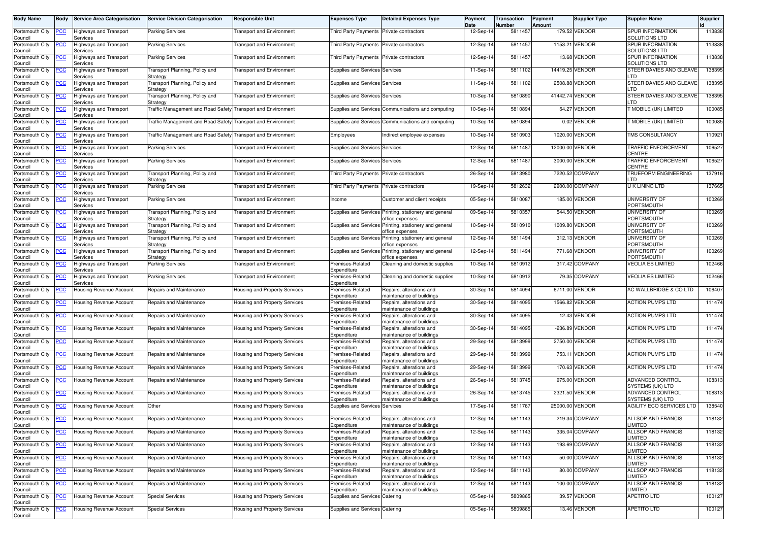| <b>Body Name</b>                      | Body       | <b>Service Area Categorisation</b>        | <b>Service Division Categorisation</b>            | <b>Responsible Unit</b>          | <b>Expenses Type</b>                     | <b>Detailed Expenses Type</b>                                             | Payment<br>Date | Transaction<br>Number | Payment<br>Amount | <b>Supplier Type</b> | <b>Supplier Name</b>                            | <b>Supplier</b> |
|---------------------------------------|------------|-------------------------------------------|---------------------------------------------------|----------------------------------|------------------------------------------|---------------------------------------------------------------------------|-----------------|-----------------------|-------------------|----------------------|-------------------------------------------------|-----------------|
| Portsmouth City<br>Council            | <b>PCC</b> | <b>Highways and Transport</b><br>Services | <b>Parking Services</b>                           | <b>Transport and Environment</b> | Third Party Payments Private contractors |                                                                           | 12-Sep-14       | 5811457               |                   | 179.52 VENDOR        | <b>SPUR INFORMATION</b><br><b>SOLUTIONS LTD</b> | 113838          |
| Portsmouth City<br>Council            | <b>PCC</b> | Highways and Transport<br>Services        | Parking Services                                  | Transport and Environment        | Third Party Payments Private contractors |                                                                           | 12-Sep-1        | 5811457               |                   | 1153.21 VENDOR       | <b>SPUR INFORMATION</b><br><b>SOLUTIONS LTD</b> | 113838          |
| Portsmouth City<br>Council            |            | Highways and Transport<br>Services        | <b>Parking Services</b>                           | <b>Transport and Environment</b> | Third Party Payments Private contractors |                                                                           | 12-Sep-14       | 581145                |                   | 13.68 VENDOR         | <b>SPUR INFORMATION</b><br><b>SOLUTIONS LTD</b> | 113838          |
| Portsmouth City<br>Council            | <u>'CC</u> | Highways and Transport<br>Services        | Fransport Planning, Policy and<br>Strategy        | <b>Transport and Environment</b> | Supplies and Services Services           |                                                                           | 11-Sep-14       | 5811102               | 14419.25 VENDOR   |                      | STEER DAVIES AND GLEAVE<br>LTD.                 | 138395          |
| Portsmouth City<br>Council            | <u>PCC</u> | Highways and Transport<br>Services        | <b>Fransport Planning, Policy and</b><br>Strategy | <b>Transport and Environment</b> | Supplies and Services Services           |                                                                           | 11-Sep-14       | 5811102               |                   | 2508.88 VENDOR       | STEER DAVIES AND GLEAVE<br>LTD.                 | 138395          |
| Portsmouth City<br>Council            | <u>PCC</u> | Highways and Transport<br>Services        | Fransport Planning, Policy and<br>Strategy        | Transport and Environment        | Supplies and Services Services           |                                                                           | 10-Sep-14       | 5810890               | 41442.74 VENDOR   |                      | STEER DAVIES AND GLEAVE<br>.TD                  | 138395          |
| Portsmouth City<br>Council            | <u>PCC</u> | Highways and Transport<br>Services        | <b>Fraffic Management and Road Safety</b>         | <b>Transport and Environment</b> |                                          | Supplies and Services Communications and computing                        | 10-Sep-14       | 5810894               |                   | 54.27 VENDOR         | <b>MOBILE (UK) LIMITED</b>                      | 100085          |
| Portsmouth City                       | <u>'CC</u> | Highways and Transport<br>Services        | <b>Fraffic Management and Road Safety</b>         | Transport and Environment        |                                          | Supplies and Services Communications and computing                        | 10-Sep-14       | 5810894               |                   | 0.02 VENDOR          | MOBILE (UK) LIMITED                             | 100085          |
| Council<br>Portsmouth City<br>Council | <u>PCC</u> | Highways and Transport<br>Services        | Traffic Management and Road Safety                | <b>Transport and Environment</b> | Employees                                | Indirect employee expenses                                                | 10-Sep-14       | 5810903               |                   | 1020.00 VENDOR       | <b>TMS CONSULTANCY</b>                          | 110921          |
| Portsmouth City<br>Council            | <u>PCC</u> | Highways and Transport<br>Services        | Parking Services                                  | Transport and Environment        | Supplies and Services Services           |                                                                           | 12-Sep-14       | 5811487               |                   | 12000.00 VENDOR      | TRAFFIC ENFORCEMENT<br>CENTRE                   | 106527          |
| Portsmouth City<br>Council            | <u>PCC</u> | Highways and Transport<br>Services        | <b>Parking Services</b>                           | <b>Transport and Environment</b> | Supplies and Services Services           |                                                                           | 12-Sep-14       | 5811487               |                   | 3000.00 VENDOR       | <b>TRAFFIC ENFORCEMENT</b><br><b>CENTRE</b>     | 106527          |
| Portsmouth City<br>Council            | ∍сс        | Highways and Transport<br>Services        | <b>Fransport Planning, Policy and</b><br>Strategy | Transport and Environment        | Third Party Payments Private contractors |                                                                           | 26-Sep-14       | 5813980               |                   | 7220.52 COMPANY      | TRUEFORM ENGINEERING<br>LTD.                    | 137916          |
| Portsmouth City<br>Council            | <u>CC</u>  | Highways and Transport<br>Services        | Parking Services                                  | <b>Transport and Environment</b> | Third Party Payments Private contractors |                                                                           | 19-Sep-14       | 5812632               |                   | 2900.00 COMPANY      | <b>UK LINING LTD</b>                            | 137665          |
| Portsmouth City<br>Council            | <b>PCC</b> | Highways and Transport<br>Services        | <b>Parking Services</b>                           | Transport and Environment        | Income                                   | Customer and client receipts                                              | 05-Sep-14       | 5810087               |                   | 185.00 VENDOR        | <b>UNIVERSITY OF</b><br>PORTSMOUTH              | 100269          |
| Portsmouth City<br>Council            | <u>PCC</u> | <b>Highways and Transport</b><br>Services | <b>Fransport Planning, Policy and</b><br>Strategy | <b>Transport and Environment</b> |                                          | Supplies and Services Printing, stationery and general<br>office expenses | 09-Sep-14       | 5810357               |                   | 544.50 VENDOR        | UNIVERSITY OF<br><b>PORTSMOUTH</b>              | 100269          |
| Portsmouth City<br>Council            | <u>PCC</u> | Highways and Transport<br>Services        | <b>Fransport Planning, Policy and</b><br>Strategy | <b>Transport and Environment</b> | Supplies and Services                    | Printing, stationery and general<br>office expenses                       | 10-Sep-14       | 5810910               |                   | 1009.80 VENDOR       | UNIVERSITY OF<br>PORTSMOUTH                     | 100269          |
| Portsmouth City<br>Council            | <u>cc</u>  | Highways and Transport<br>Services        | <b>Fransport Planning, Policy and</b><br>Strategy | <b>Transport and Environment</b> | Supplies and Services                    | Printing, stationery and general<br>office expenses                       | 12-Sep-14       | 5811494               |                   | 312.13 VENDOR        | <b>UNIVERSITY OF</b><br><b>PORTSMOUTH</b>       | 100269          |
| Portsmouth City<br>Council            | <b>PCC</b> | Highways and Transport<br>Services        | <b>Fransport Planning, Policy and</b><br>Strategy | <b>Transport and Environment</b> | Supplies and Services                    | Printing, stationery and general<br>office expenses                       | 12-Sep-14       | 5811494               |                   | 771.68 VENDOR        | <b>UNIVERSITY OF</b><br>PORTSMOUTH              | 100269          |
| Portsmouth City<br>Council            | <u>CC</u>  | Highways and Transport<br>Services        | Parking Services                                  | Transport and Environment        | Premises-Related<br>Expenditure          | Cleaning and domestic supplies                                            | 10-Sep-14       | 5810912               |                   | 317.42 COMPANY       | <b>VEOLIA ES LIMITED</b>                        | 102466          |
| Portsmouth City<br>Council            | сc         | <b>Highways and Transport</b><br>Services | Parking Services                                  | <b>Transport and Environment</b> | Premises-Related<br>Expenditure          | Cleaning and domestic supplies                                            | 10-Sep-14       | 5810912               |                   | 79.35 COMPANY        | <b>VEOLIA ES LIMITED</b>                        | 102466          |
| Portsmouth City<br>Council            | <u>CC</u>  | Housing Revenue Account                   | Repairs and Maintenance                           | Housing and Property Services    | Premises-Related<br>Expenditure          | Repairs, alterations and<br>maintenance of buildings                      | 30-Sep-14       | 5814094               |                   | 6711.00 VENDOR       | AC WALLBRIDGE & CO LTD                          | 106407          |
| Portsmouth City<br>Council            | <b>PCC</b> | Housing Revenue Account                   | Repairs and Maintenance                           | Housing and Property Services    | Premises-Related<br>Expenditure          | Repairs, alterations and<br>maintenance of buildings                      | 30-Sep-14       | 5814095               |                   | 1566.82 VENDOR       | <b>ACTION PUMPS LTD</b>                         | 111474          |
| Portsmouth City<br>Council            | <u>CC</u>  | Housing Revenue Account                   | Repairs and Maintenance                           | Housing and Property Services    | Premises-Related<br>Expenditure          | Repairs, alterations and<br>maintenance of buildings                      | 30-Sep-14       | 5814095               |                   | 12.43 VENDOR         | <b>ACTION PUMPS LTD</b>                         | 111474          |
| Portsmouth City<br>Council            | <u>PCC</u> | Housing Revenue Account                   | Repairs and Maintenance                           | Housing and Property Services    | Premises-Related<br>Expenditure          | Repairs, alterations and<br>maintenance of buildings                      | 30-Sep-14       | 5814095               |                   | -236.89 VENDOR       | <b>ACTION PUMPS LTD</b>                         | 111474          |
| Portsmouth City<br>Council            | <u>PCC</u> | Housing Revenue Account                   | Repairs and Maintenance                           | Housing and Property Services    | Premises-Related<br>Expenditure          | Repairs, alterations and<br>maintenance of buildings                      | 29-Sep-14       | 5813999               |                   | 2750.00 VENDOR       | <b>ACTION PUMPS LTD</b>                         | 111474          |
| Portsmouth City<br>Council            | <u>PCC</u> | Housing Revenue Account                   | Repairs and Maintenance                           | Housing and Property Services    | Premises-Related<br>Expenditure          | Repairs, alterations and<br>maintenance of buildings                      | 29-Sep-14       | 5813999               |                   | 753.11 VENDOR        | <b>ACTION PUMPS LTD</b>                         | 111474          |
| Portsmouth City<br>Council            | <u>PCC</u> | Housing Revenue Account                   | Repairs and Maintenance                           | Housing and Property Services    | Premises-Related<br>Expenditure          | Repairs, alterations and<br>maintenance of buildings                      | 29-Sep-14       | 5813999               |                   | 170.63 VENDOR        | <b>ACTION PUMPS LTD</b>                         | 111474          |
| Portsmouth City<br>Council            | <u>PCC</u> | <b>Housing Revenue Account</b>            | Repairs and Maintenance                           | Housing and Property Services    | Premises-Related<br>Expenditure          | Repairs, alterations and<br>maintenance of buildings                      | 26-Sep-14       | 5813745               |                   | 975.00 VENDOR        | ADVANCED CONTROL<br>SYSTEMS (UK) LTD            | 108313          |
| Portsmouth City<br>Council            | <u>CC </u> | Housing Revenue Account                   | Repairs and Maintenance                           | Housing and Property Services    | Premises-Related<br>Expenditure          | Repairs, alterations and<br>maintenance of buildings                      | 26-Sep-14       | 5813745               |                   | 2321.50 VENDOR       | ADVANCED CONTROL<br>SYSTEMS (UK) LTD            | 108313          |
| Portsmouth City<br>Council            | <b>PCC</b> | <b>Housing Revenue Account</b>            | Other                                             | Housing and Property Services    | Supplies and Services Services           |                                                                           | 17-Sep-14       | 5811767               | 25000.00 VENDOR   |                      | AGILITY ECO SERVICES LTD                        | 138540          |
| Portsmouth City<br>Council            | <b>PCC</b> | Housing Revenue Account                   | Repairs and Maintenance                           | Housing and Property Services    | Premises-Related<br>Expenditure          | Repairs, alterations and<br>maintenance of buildings                      | 12-Sep-14       | 5811143               |                   | 219.34 COMPANY       | <b>ALLSOP AND FRANCIS</b><br>LIMITED            | 118132          |
| Portsmouth City<br>Council            | <u>PCC</u> | Housing Revenue Account                   | Repairs and Maintenance                           | Housing and Property Services    | Premises-Related<br>Expenditure          | Repairs, alterations and<br>naintenance of buildings                      | 12-Sep-14       | 5811143               |                   | 335.04 COMPANY       | ALLSOP AND FRANCIS<br>LIMITED                   | 118132          |
| Portsmouth City<br>Council            | PCC        | Housing Revenue Account                   | Repairs and Maintenance                           | Housing and Property Services    | Premises-Related<br>Expenditure          | Repairs, alterations and<br>maintenance of buildings                      | 12-Sep-14       | 5811143               |                   | 193.69 COMPANY       | ALLSOP AND FRANCIS<br>LIMITED                   | 118132          |
| Portsmouth City<br>Council            | <b>PCC</b> | <b>Housing Revenue Account</b>            | Repairs and Maintenance                           | Housing and Property Services    | Premises-Related<br>Expenditure          | Repairs, alterations and<br>maintenance of buildings                      | 12-Sep-14       | 5811143               |                   | 50.00 COMPANY        | ALLSOP AND FRANCIS<br>LIMITED                   | 118132          |
| Portsmouth City<br>Council            | <u>PCC</u> | Housing Revenue Account                   | Repairs and Maintenance                           | Housing and Property Services    | Premises-Related<br>Expenditure          | Repairs, alterations and<br>maintenance of buildings                      | 12-Sep-14       | 5811143               |                   | 80.00 COMPANY        | ALLSOP AND FRANCIS<br>LIMITED                   | 118132          |
| Portsmouth City<br>Council            | <u>PCC</u> | <b>Housing Revenue Account</b>            | Repairs and Maintenance                           | Housing and Property Services    | Premises-Related<br>Expenditure          | Repairs, alterations and<br>maintenance of buildings                      | 12-Sep-14       | 5811143               |                   | 100.00 COMPANY       | ALLSOP AND FRANCIS<br>LIMITED                   | 118132          |
| Portsmouth City<br>Council            | <u>PCC</u> | <b>Housing Revenue Account</b>            | <b>Special Services</b>                           | Housing and Property Services    | Supplies and Services Catering           |                                                                           | 05-Sep-14       | 5809865               |                   | 39.57 VENDOR         | <b>APETITO LTD</b>                              | 100127          |
| Portsmouth City<br>Council            | <u>CC</u>  | Housing Revenue Account                   | <b>Special Services</b>                           | Housing and Property Services    | Supplies and Services Catering           |                                                                           | 05-Sep-14       | 5809865               |                   | 13.46 VENDOR         | APETITO LTD                                     | 100127          |
|                                       |            |                                           |                                                   |                                  |                                          |                                                                           |                 |                       |                   |                      |                                                 |                 |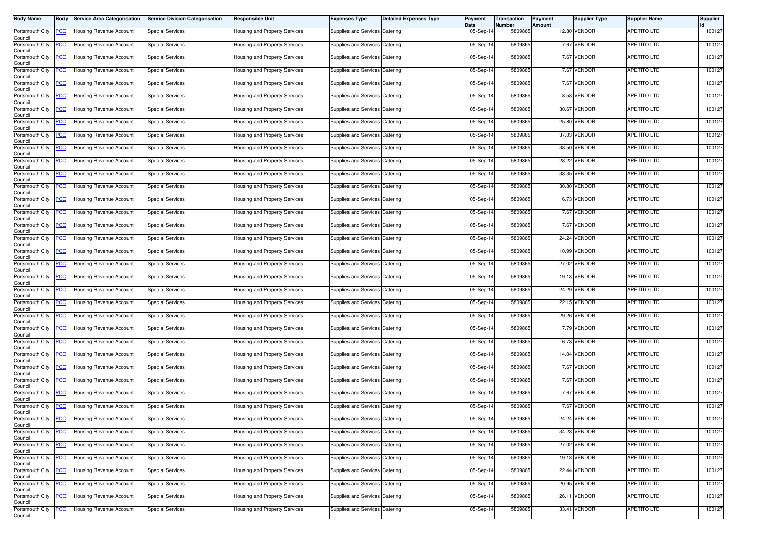| <b>Body Name</b>           | Body       | <b>Service Area Categorisation</b> | <b>Service Division Categorisation</b> | Responsible Unit                     | <b>Expenses Type</b>           | <b>Detailed Expenses Type</b> | Payment<br>Date | Transaction<br>Number | Payment<br>Amount | Supplier Type | <b>Supplier Name</b> | Supplier |
|----------------------------|------------|------------------------------------|----------------------------------------|--------------------------------------|--------------------------------|-------------------------------|-----------------|-----------------------|-------------------|---------------|----------------------|----------|
| Portsmouth City<br>Council | <u>PCC</u> | <b>Housing Revenue Account</b>     | <b>Special Services</b>                | lousing and Property Services        | Supplies and Services Catering |                               | 05-Sep-14       | 5809865               |                   | 12.80 VENDOR  | <b>APETITO LTD</b>   | 100127   |
| Portsmouth City<br>Council | <u>CC</u>  | Housing Revenue Account            | <b>Special Services</b>                | <b>Housing and Property Services</b> | Supplies and Services Catering |                               | 05-Sep-14       | 5809865               |                   | 7.67 VENDOR   | <b>APETITO LTD</b>   | 100127   |
| Portsmouth City<br>Council | <u>'CC</u> | Housing Revenue Account            | <b>Special Services</b>                | Housing and Property Services        | Supplies and Services Catering |                               | 05-Sep-14       | 5809865               |                   | 7.67 VENDOR   | <b>APETITO LTD</b>   | 100127   |
| Portsmouth City<br>Council | <u>PCC</u> | <b>Housing Revenue Account</b>     | <b>Special Services</b>                | lousing and Property Services        | Supplies and Services Catering |                               | 05-Sep-14       | 5809865               |                   | 7.67 VENDOR   | <b>APETITO LTD</b>   | 100127   |
| Portsmouth City<br>Council | <u>PCC</u> | Housing Revenue Account            | <b>Special Services</b>                | Housing and Property Services        | Supplies and Services Catering |                               | 05-Sep-14       | 5809865               |                   | 7.67 VENDOR   | APETITO LTD          | 100127   |
| Portsmouth City<br>Council | <u>'CC</u> | Housing Revenue Account            | <b>Special Services</b>                | Housing and Property Services        | Supplies and Services Catering |                               | 05-Sep-14       | 5809865               |                   | 8.53 VENDOR   | <b>APETITO LTD</b>   | 100127   |
| Portsmouth City<br>Council | <u>CC</u>  | Housing Revenue Account            | <b>Special Services</b>                | Housing and Property Services        | Supplies and Services Catering |                               | 05-Sep-14       | 5809865               |                   | 30.67 VENDOR  | <b>APETITO LTD</b>   | 100127   |
| Portsmouth City<br>Council | <u>PCC</u> | Housing Revenue Account            | <b>Special Services</b>                | Housing and Property Services        | Supplies and Services Catering |                               | 05-Sep-14       | 5809865               |                   | 25.80 VENDOR  | <b>APETITO LTD</b>   | 100127   |
| Portsmouth City<br>Council | <u>'CC</u> | <b>Housing Revenue Account</b>     | <b>Special Services</b>                | Housing and Property Services        | Supplies and Services Catering |                               | 05-Sep-14       | 5809865               |                   | 37.03 VENDOR  | <b>APETITO LTD</b>   | 100127   |
| Portsmouth City<br>Council | <u>'CC</u> | Housing Revenue Account            | <b>Special Services</b>                | Housing and Property Services        | Supplies and Services Catering |                               | 05-Sep-14       | 5809865               |                   | 38.50 VENDOR  | <b>APETITO LTD</b>   | 100127   |
| Portsmouth City<br>Council | <u>'CC</u> | Housing Revenue Account            | <b>Special Services</b>                | Housing and Property Services        | Supplies and Services Catering |                               | 05-Sep-14       | 5809865               |                   | 28.22 VENDOR  | <b>APETITO LTD</b>   | 100127   |
| Portsmouth City<br>Council | <u>'СС</u> | Housing Revenue Account            | <b>Special Services</b>                | lousing and Property Services        | Supplies and Services Catering |                               | 05-Sep-14       | 5809865               |                   | 33.35 VENDOR  | <b>APETITO LTD</b>   | 100127   |
| Portsmouth City<br>Council | <u>'CC</u> | Housing Revenue Account            | <b>Special Services</b>                | Housing and Property Services        | Supplies and Services Catering |                               | 05-Sep-14       | 5809865               |                   | 30.80 VENDOR  | <b>APETITO LTD</b>   | 100127   |
| Portsmouth City<br>Council | <u>'СС</u> | <b>Housing Revenue Account</b>     | <b>Special Services</b>                | Housing and Property Services        | Supplies and Services Catering |                               | 05-Sep-14       | 5809865               |                   | 6.73 VENDOR   | <b>APETITO LTD</b>   | 100127   |
| Portsmouth City<br>Council | <u>'CC</u> | Housing Revenue Account            | <b>Special Services</b>                | lousing and Property Services        | Supplies and Services Catering |                               | 05-Sep-14       | 5809865               |                   | 7.67 VENDOR   | <b>APETITO LTD</b>   | 100127   |
| Portsmouth City<br>Council | <u>PCC</u> | <b>Housing Revenue Account</b>     | <b>Special Services</b>                | Housing and Property Services        | Supplies and Services Catering |                               | 05-Sep-14       | 5809865               |                   | 7.67 VENDOR   | <b>APETITO LTD</b>   | 100127   |
| Portsmouth City<br>Council | <u>'СС</u> | Housing Revenue Account            | <b>Special Services</b>                | Housing and Property Services        | Supplies and Services Catering |                               | 05-Sep-14       | 5809865               |                   | 24.24 VENDOR  | <b>APETITO LTD</b>   | 100127   |
| Portsmouth City<br>Council | <u>PCC</u> | Housing Revenue Account            | <b>Special Services</b>                | Housing and Property Services        | Supplies and Services Catering |                               | 05-Sep-14       | 5809865               |                   | 10.99 VENDOR  | <b>APETITO LTD</b>   | 100127   |
| Portsmouth City<br>Council | <u>'CC</u> | Housing Revenue Account            | <b>Special Services</b>                | Housing and Property Services        | Supplies and Services Catering |                               | 05-Sep-14       | 5809865               |                   | 27.02 VENDOR  | APETITO LTD          | 100127   |
| Portsmouth City<br>Council | <u>'CC</u> | Housing Revenue Account            | <b>Special Services</b>                | lousing and Property Services        | Supplies and Services Catering |                               | 05-Sep-14       | 5809865               |                   | 19.13 VENDOR  | <b>APETITO LTD</b>   | 100127   |
| Portsmouth City<br>Council | <u>PCC</u> | Housing Revenue Account            | <b>Special Services</b>                | Housing and Property Services        | Supplies and Services Catering |                               | 05-Sep-14       | 5809865               |                   | 24.29 VENDOR  | <b>APETITO LTD</b>   | 100127   |
| Portsmouth City<br>Council | <u>PCC</u> | Housing Revenue Account            | <b>Special Services</b>                | Housing and Property Services        | Supplies and Services Catering |                               | 05-Sep-14       | 5809865               |                   | 22.15 VENDOR  | <b>APETITO LTD</b>   | 100127   |
| Portsmouth City<br>Council | <b>CC</b>  | Housing Revenue Account            | <b>Special Services</b>                | Housing and Property Services        | Supplies and Services Catering |                               | 05-Sep-14       | 5809865               |                   | 29.26 VENDOR  | <b>APETITO LTD</b>   | 100127   |
| Portsmouth City<br>Council | <u>'CC</u> | Housing Revenue Account            | <b>Special Services</b>                | Housing and Property Services        | Supplies and Services Catering |                               | 05-Sep-14       | 5809865               |                   | 7.79 VENDOR   | APETITO LTD          | 100127   |
| Portsmouth City<br>Council | <u>'СС</u> | Housing Revenue Account            | <b>Special Services</b>                | lousing and Property Services        | Supplies and Services Catering |                               | 05-Sep-14       | 5809865               |                   | 6.73 VENDOR   | <b>APETITO LTD</b>   | 100127   |
| Portsmouth City<br>Council | <u>CC</u>  | Housing Revenue Account            | <b>Special Services</b>                | Housing and Property Services        | Supplies and Services Catering |                               | 05-Sep-14       | 5809865               |                   | 14.04 VENDOR  | <b>APETITO LTD</b>   | 100127   |
| Portsmouth City<br>Council | <u>PCC</u> | Housing Revenue Account            | <b>Special Services</b>                | <b>Housing and Property Services</b> | Supplies and Services Catering |                               | 05-Sep-14       | 5809865               |                   | 7.67 VENDOR   | <b>APETITO LTD</b>   | 100127   |
| Portsmouth City<br>Council | <u>'CC</u> | Housing Revenue Account            | <b>Special Services</b>                | lousing and Property Services        | Supplies and Services Catering |                               | 05-Sep-14       | 5809865               |                   | 7.67 VENDOR   | <b>APETITO LTD</b>   | 100127   |
| Portsmouth City<br>Council | <u>PCC</u> | <b>Housing Revenue Account</b>     | <b>Special Services</b>                | <b>Housing and Property Services</b> | Supplies and Services Catering |                               | 05-Sep-14       | 5809865               |                   | 7.67 VENDOR   | <b>APETITO LTD</b>   | 100127   |
| Portsmouth City<br>Council | <u>PCC</u> | <b>Housing Revenue Account</b>     | <b>Special Services</b>                | <b>Housing and Property Services</b> | Supplies and Services Catering |                               | 05-Sep-14       | 5809865               |                   | 7.67 VENDOR   | <b>APETITO LTD</b>   | 100127   |
| Portsmouth City<br>Council | <b>PCC</b> | Housing Revenue Account            | <b>Special Services</b>                | Housing and Property Services        | Supplies and Services Catering |                               | 05-Sep-14       | 5809865               |                   | 24.24 VENDOR  | <b>APETITO LTD</b>   | 100127   |
| Portsmouth City<br>Council | <u>CC</u>  | <b>Housing Revenue Account</b>     | <b>Special Services</b>                | lousing and Property Services        | Supplies and Services Catering |                               | 05-Sep-14       | 5809865               |                   | 34.23 VENDOR  | <b>APETITO LTD</b>   | 100127   |
| Portsmouth City<br>Council | <u>'CC</u> | <b>Housing Revenue Account</b>     | <b>Special Services</b>                | lousing and Property Services        | Supplies and Services Catering |                               | 05-Sep-14       | 5809865               |                   | 27.02 VENDOR  | <b>APETITO LTD</b>   | 100127   |
| Portsmouth City<br>Council | <u>CC</u>  | Housing Revenue Account            | Special Services                       | lousing and Property Services        | Supplies and Services Catering |                               | 05-Sep-14       | 5809865               |                   | 19.13 VENDOR  | <b>APETITO LTD</b>   | 100127   |
| Portsmouth City<br>Council | <u>'CC</u> | Housing Revenue Account            | <b>Special Services</b>                | Housing and Property Services        | Supplies and Services Catering |                               | 05-Sep-14       | 5809865               |                   | 22.44 VENDOR  | <b>APETITO LTD</b>   | 100127   |
| Portsmouth City<br>Council | <u>'CC</u> | Housing Revenue Account            | <b>Special Services</b>                | lousing and Property Services        | Supplies and Services Catering |                               | 05-Sep-14       | 5809865               |                   | 20.95 VENDOR  | <b>APETITO LTD</b>   | 100127   |
| Portsmouth City<br>Council | <u>'CC</u> | <b>Housing Revenue Account</b>     | <b>Special Services</b>                | Housing and Property Services        | Supplies and Services Catering |                               | 05-Sep-14       | 5809865               |                   | 26.11 VENDOR  | <b>APETITO LTD</b>   | 100127   |
| Portsmouth City<br>Council | <u>CC</u>  | Housing Revenue Account            | <b>Special Services</b>                | lousing and Property Services        | Supplies and Services Catering |                               | 05-Sep-14       | 5809865               |                   | 33.41 VENDOR  | APETITO LTD          | 100127   |
|                            |            |                                    |                                        |                                      |                                |                               |                 |                       |                   |               |                      |          |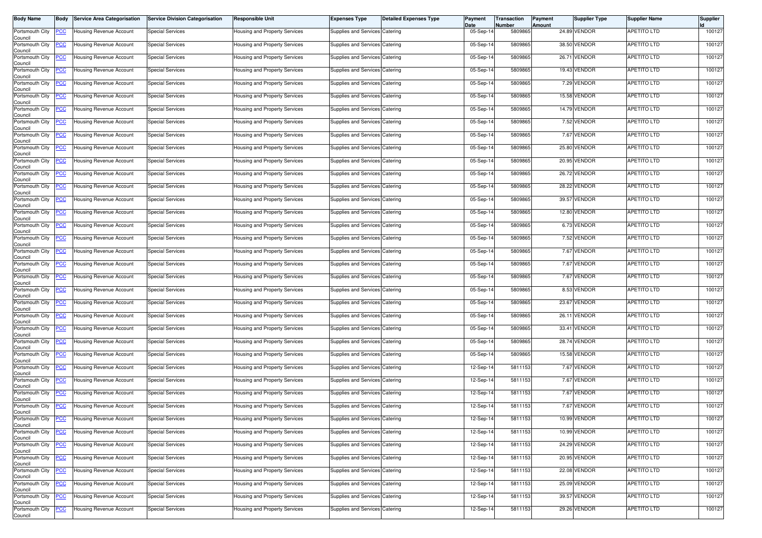| <b>Body Name</b>           | Body       | <b>Service Area Categorisation</b> | <b>Service Division Categorisation</b> | Responsible Unit                     | <b>Expenses Type</b>           | <b>Detailed Expenses Type</b> | Payment<br>Date | Transaction<br>Number | Payment<br>Amount | Supplier Type | <b>Supplier Name</b> | Supplier |
|----------------------------|------------|------------------------------------|----------------------------------------|--------------------------------------|--------------------------------|-------------------------------|-----------------|-----------------------|-------------------|---------------|----------------------|----------|
| Portsmouth City<br>Council | <u>PCC</u> | <b>Housing Revenue Account</b>     | <b>Special Services</b>                | lousing and Property Services        | Supplies and Services Catering |                               | 05-Sep-14       | 5809865               |                   | 24.89 VENDOR  | <b>APETITO LTD</b>   | 100127   |
| Portsmouth City<br>Council | <u>CC</u>  | Housing Revenue Account            | <b>Special Services</b>                | <b>Housing and Property Services</b> | Supplies and Services Catering |                               | 05-Sep-14       | 5809865               |                   | 38.50 VENDOR  | <b>APETITO LTD</b>   | 100127   |
| Portsmouth City<br>Council | <u>'СС</u> | Housing Revenue Account            | <b>Special Services</b>                | Housing and Property Services        | Supplies and Services Catering |                               | 05-Sep-14       | 5809865               |                   | 26.71 VENDOR  | <b>APETITO LTD</b>   | 100127   |
| Portsmouth City<br>Council | <u>PCC</u> | <b>Housing Revenue Account</b>     | <b>Special Services</b>                | lousing and Property Services        | Supplies and Services Catering |                               | 05-Sep-14       | 5809865               |                   | 19.43 VENDOR  | <b>APETITO LTD</b>   | 100127   |
| Portsmouth City<br>Council | <u>CC</u>  | Housing Revenue Account            | <b>Special Services</b>                | Housing and Property Services        | Supplies and Services Catering |                               | 05-Sep-14       | 5809865               |                   | 7.29 VENDOR   | <b>APETITO LTD</b>   | 100127   |
| Portsmouth City<br>Council | <u>'CC</u> | Housing Revenue Account            | <b>Special Services</b>                | Housing and Property Services        | Supplies and Services Catering |                               | 05-Sep-14       | 5809865               |                   | 15.58 VENDOR  | <b>APETITO LTD</b>   | 100127   |
| Portsmouth City<br>Council | <u>CC</u>  | Housing Revenue Account            | <b>Special Services</b>                | Housing and Property Services        | Supplies and Services Catering |                               | 05-Sep-14       | 5809865               |                   | 14.79 VENDOR  | <b>APETITO LTD</b>   | 100127   |
| Portsmouth City<br>Council | <u>PCC</u> | Housing Revenue Account            | <b>Special Services</b>                | Housing and Property Services        | Supplies and Services Catering |                               | 05-Sep-14       | 5809865               |                   | 7.52 VENDOR   | <b>APETITO LTD</b>   | 100127   |
| Portsmouth City<br>Council | <u>'CC</u> | <b>Housing Revenue Account</b>     | <b>Special Services</b>                | Housing and Property Services        | Supplies and Services Catering |                               | 05-Sep-14       | 5809865               |                   | 7.67 VENDOR   | <b>APETITO LTD</b>   | 100127   |
| Portsmouth City<br>Council | <u>'CC</u> | Housing Revenue Account            | <b>Special Services</b>                | Housing and Property Services        | Supplies and Services Catering |                               | 05-Sep-14       | 5809865               |                   | 25.80 VENDOR  | <b>APETITO LTD</b>   | 100127   |
| Portsmouth City<br>Council | <u>'CC</u> | Housing Revenue Account            | <b>Special Services</b>                | Housing and Property Services        | Supplies and Services Catering |                               | 05-Sep-14       | 5809865               |                   | 20.95 VENDOR  | <b>APETITO LTD</b>   | 100127   |
| Portsmouth City<br>Council | <u>'СС</u> | Housing Revenue Account            | <b>Special Services</b>                | lousing and Property Services        | Supplies and Services Catering |                               | 05-Sep-14       | 5809865               |                   | 26.72 VENDOR  | <b>APETITO LTD</b>   | 100127   |
| Portsmouth City<br>Council | <u>'CC</u> | Housing Revenue Account            | <b>Special Services</b>                | Housing and Property Services        | Supplies and Services Catering |                               | 05-Sep-14       | 5809865               |                   | 28.22 VENDOR  | <b>APETITO LTD</b>   | 100127   |
| Portsmouth City<br>Council | <u>'СС</u> | <b>Housing Revenue Account</b>     | <b>Special Services</b>                | Housing and Property Services        | Supplies and Services Catering |                               | 05-Sep-14       | 5809865               |                   | 39.57 VENDOR  | <b>APETITO LTD</b>   | 100127   |
| Portsmouth City<br>Council | <u>'CC</u> | Housing Revenue Account            | <b>Special Services</b>                | lousing and Property Services        | Supplies and Services Catering |                               | 05-Sep-14       | 5809865               |                   | 12.80 VENDOR  | <b>APETITO LTD</b>   | 100127   |
| Portsmouth City<br>Council | <u>PCC</u> | <b>Housing Revenue Account</b>     | <b>Special Services</b>                | Housing and Property Services        | Supplies and Services Catering |                               | 05-Sep-14       | 5809865               |                   | 6.73 VENDOR   | <b>APETITO LTD</b>   | 100127   |
| Portsmouth City<br>Council | <u>'СС</u> | <b>Housing Revenue Account</b>     | <b>Special Services</b>                | Housing and Property Services        | Supplies and Services Catering |                               | 05-Sep-14       | 5809865               |                   | 7.52 VENDOR   | <b>APETITO LTD</b>   | 100127   |
| Portsmouth City<br>Council | <u>PCC</u> | Housing Revenue Account            | <b>Special Services</b>                | Housing and Property Services        | Supplies and Services Catering |                               | 05-Sep-14       | 5809865               |                   | 7.67 VENDOR   | <b>APETITO LTD</b>   | 100127   |
| Portsmouth City<br>Council | <u>'CC</u> | Housing Revenue Account            | <b>Special Services</b>                | Housing and Property Services        | Supplies and Services Catering |                               | 05-Sep-14       | 5809865               |                   | 7.67 VENDOR   | APETITO LTD          | 100127   |
| Portsmouth City<br>Council | <u>'CC</u> | Housing Revenue Account            | <b>Special Services</b>                | lousing and Property Services        | Supplies and Services Catering |                               | 05-Sep-14       | 5809865               |                   | 7.67 VENDOR   | <b>APETITO LTD</b>   | 100127   |
| Portsmouth City<br>Council | <u>PCC</u> | Housing Revenue Account            | <b>Special Services</b>                | Housing and Property Services        | Supplies and Services Catering |                               | 05-Sep-14       | 5809865               |                   | 8.53 VENDOR   | <b>APETITO LTD</b>   | 100127   |
| Portsmouth City<br>Council | <u>PCC</u> | Housing Revenue Account            | <b>Special Services</b>                | Housing and Property Services        | Supplies and Services Catering |                               | 05-Sep-14       | 5809865               |                   | 23.67 VENDOR  | <b>APETITO LTD</b>   | 100127   |
| Portsmouth City<br>Council | <b>CC</b>  | Housing Revenue Account            | <b>Special Services</b>                | Housing and Property Services        | Supplies and Services Catering |                               | 05-Sep-14       | 5809865               |                   | 26.11 VENDOR  | APETITO LTD          | 100127   |
| Portsmouth City<br>Council | <u>'CC</u> | Housing Revenue Account            | <b>Special Services</b>                | Housing and Property Services        | Supplies and Services Catering |                               | 05-Sep-14       | 5809865               |                   | 33.41 VENDOR  | <b>APETITO LTD</b>   | 100127   |
| Portsmouth City<br>Council | <u>'СС</u> | Housing Revenue Account            | <b>Special Services</b>                | lousing and Property Services        | Supplies and Services Catering |                               | 05-Sep-14       | 5809865               | 28.74             | <b>VENDOR</b> | <b>APETITO LTD</b>   | 100127   |
| Portsmouth City<br>Council | <u>CC</u>  | Housing Revenue Account            | <b>Special Services</b>                | Housing and Property Services        | Supplies and Services Catering |                               | 05-Sep-14       | 5809865               |                   | 15.58 VENDOR  | <b>APETITO LTD</b>   | 100127   |
| Portsmouth City<br>Council | <u>PCC</u> | Housing Revenue Account            | <b>Special Services</b>                | <b>Housing and Property Services</b> | Supplies and Services Catering |                               | 12-Sep-14       | 5811153               |                   | 7.67 VENDOR   | <b>APETITO LTD</b>   | 100127   |
| Portsmouth City<br>Council | <u>'CC</u> | Housing Revenue Account            | <b>Special Services</b>                | lousing and Property Services        | Supplies and Services Catering |                               | 12-Sep-14       | 5811153               |                   | 7.67 VENDOR   | <b>APETITO LTD</b>   | 100127   |
| Portsmouth City<br>Council | <u>PCC</u> | <b>Housing Revenue Account</b>     | <b>Special Services</b>                | <b>Housing and Property Services</b> | Supplies and Services Catering |                               | 12-Sep-14       | 5811153               |                   | 7.67 VENDOR   | <b>APETITO LTD</b>   | 100127   |
| Portsmouth City<br>Council | <u>PCC</u> | <b>Housing Revenue Account</b>     | <b>Special Services</b>                | <b>Housing and Property Services</b> | Supplies and Services Catering |                               | 12-Sep-14       | 5811153               |                   | 7.67 VENDOR   | <b>APETITO LTD</b>   | 100127   |
| Portsmouth City<br>Council | <b>PCC</b> | Housing Revenue Account            | <b>Special Services</b>                | Housing and Property Services        | Supplies and Services Catering |                               | 12-Sep-14       | 5811153               |                   | 10.99 VENDOR  | <b>APETITO LTD</b>   | 100127   |
| Portsmouth City<br>Council | <u>CC</u>  | <b>Housing Revenue Account</b>     | <b>Special Services</b>                | lousing and Property Services        | Supplies and Services Catering |                               | 12-Sep-14       | 5811153               |                   | 10.99 VENDOR  | <b>APETITO LTD</b>   | 100127   |
| Portsmouth City<br>Council | <u>'CC</u> | <b>Housing Revenue Account</b>     | <b>Special Services</b>                | lousing and Property Services        | Supplies and Services Catering |                               | 12-Sep-14       | 5811153               |                   | 24.29 VENDOR  | <b>APETITO LTD</b>   | 100127   |
| Portsmouth City<br>Council | <u>CC</u>  | Housing Revenue Account            | Special Services                       | lousing and Property Services        | Supplies and Services Catering |                               | 12-Sep-14       | 5811153               |                   | 20.95 VENDOR  | <b>APETITO LTD</b>   | 100127   |
| Portsmouth City<br>Council | <u>'CC</u> | Housing Revenue Account            | <b>Special Services</b>                | Housing and Property Services        | Supplies and Services Catering |                               | 12-Sep-14       | 5811153               |                   | 22.08 VENDOR  | <b>APETITO LTD</b>   | 100127   |
| Portsmouth City<br>Council | <u>'CC</u> | Housing Revenue Account            | <b>Special Services</b>                | lousing and Property Services        | Supplies and Services Catering |                               | 12-Sep-14       | 5811153               |                   | 25.09 VENDOR  | <b>APETITO LTD</b>   | 100127   |
| Portsmouth City<br>Council | <u>'CC</u> | <b>Housing Revenue Account</b>     | <b>Special Services</b>                | Housing and Property Services        | Supplies and Services Catering |                               | 12-Sep-14       | 5811153               |                   | 39.57 VENDOR  | <b>APETITO LTD</b>   | 100127   |
| Portsmouth City<br>Council | <u>CC</u>  | Housing Revenue Account            | <b>Special Services</b>                | lousing and Property Services        | Supplies and Services Catering |                               | 12-Sep-14       | 5811153               |                   | 29.26 VENDOR  | APETITO LTD          | 100127   |
|                            |            |                                    |                                        |                                      |                                |                               |                 |                       |                   |               |                      |          |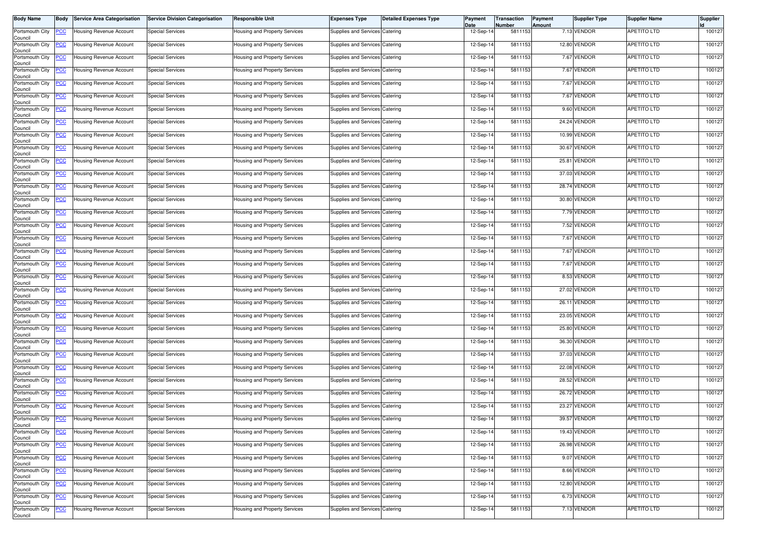| <b>Body Name</b>           | Body       | <b>Service Area Categorisation</b> | <b>Service Division Categorisation</b> | Responsible Unit                     | <b>Expenses Type</b>           | <b>Detailed Expenses Type</b> | Payment<br>Date | Transaction<br>Number | Payment<br>Amount | Supplier Type | <b>Supplier Name</b> | Supplier |
|----------------------------|------------|------------------------------------|----------------------------------------|--------------------------------------|--------------------------------|-------------------------------|-----------------|-----------------------|-------------------|---------------|----------------------|----------|
| Portsmouth City<br>Council | <u>PCC</u> | <b>Housing Revenue Account</b>     | <b>Special Services</b>                | lousing and Property Services        | Supplies and Services Catering |                               | 12-Sep-14       | 5811153               |                   | 7.13 VENDOR   | <b>APETITO LTD</b>   | 100127   |
| Portsmouth City<br>Council | <u>CC</u>  | Housing Revenue Account            | <b>Special Services</b>                | <b>Housing and Property Services</b> | Supplies and Services Catering |                               | 12-Sep-14       | 5811153               |                   | 12.80 VENDOR  | <b>APETITO LTD</b>   | 100127   |
| Portsmouth City<br>Council | <u>'CC</u> | Housing Revenue Account            | <b>Special Services</b>                | Housing and Property Services        | Supplies and Services Catering |                               | 12-Sep-14       | 5811153               |                   | 7.67 VENDOR   | <b>APETITO LTD</b>   | 100127   |
| Portsmouth City<br>Council | <u>PCC</u> | <b>Housing Revenue Account</b>     | <b>Special Services</b>                | lousing and Property Services        | Supplies and Services Catering |                               | 12-Sep-14       | 5811153               |                   | 7.67 VENDOR   | <b>APETITO LTD</b>   | 100127   |
| Portsmouth City<br>Council | <u>CC</u>  | Housing Revenue Account            | <b>Special Services</b>                | Housing and Property Services        | Supplies and Services Catering |                               | 12-Sep-14       | 5811153               |                   | 7.67 VENDOR   | APETITO LTD          | 100127   |
| Portsmouth City<br>Council | <u>'CC</u> | Housing Revenue Account            | <b>Special Services</b>                | Housing and Property Services        | Supplies and Services Catering |                               | 12-Sep-14       | 5811153               |                   | 7.67 VENDOR   | <b>APETITO LTD</b>   | 100127   |
| Portsmouth City<br>Council | <u>CC</u>  | Housing Revenue Account            | <b>Special Services</b>                | Housing and Property Services        | Supplies and Services Catering |                               | 12-Sep-14       | 5811153               |                   | 9.60 VENDOR   | <b>APETITO LTD</b>   | 100127   |
| Portsmouth City<br>Council | <u>PCC</u> | Housing Revenue Account            | <b>Special Services</b>                | Housing and Property Services        | Supplies and Services Catering |                               | 12-Sep-14       | 5811153               |                   | 24.24 VENDOR  | <b>APETITO LTD</b>   | 100127   |
| Portsmouth City<br>Council | <u>'CC</u> | <b>Housing Revenue Account</b>     | <b>Special Services</b>                | Housing and Property Services        | Supplies and Services Catering |                               | 12-Sep-14       | 5811153               |                   | 10.99 VENDOR  | <b>APETITO LTD</b>   | 100127   |
| Portsmouth City<br>Council | <u>'CC</u> | Housing Revenue Account            | <b>Special Services</b>                | Housing and Property Services        | Supplies and Services Catering |                               | 12-Sep-14       | 5811153               |                   | 30.67 VENDOR  | <b>APETITO LTD</b>   | 100127   |
| Portsmouth City<br>Council | <u>'CC</u> | Housing Revenue Account            | <b>Special Services</b>                | Housing and Property Services        | Supplies and Services Catering |                               | 12-Sep-14       | 5811153               | 25.81             | VENDOR        | <b>APETITO LTD</b>   | 100127   |
| Portsmouth City<br>Council | <u>'СС</u> | Housing Revenue Account            | <b>Special Services</b>                | lousing and Property Services        | Supplies and Services Catering |                               | 12-Sep-14       | 5811153               |                   | 37.03 VENDOR  | <b>APETITO LTD</b>   | 100127   |
| Portsmouth City<br>Council | <u>'CC</u> | Housing Revenue Account            | <b>Special Services</b>                | Housing and Property Services        | Supplies and Services Catering |                               | 12-Sep-14       | 5811153               |                   | 28.74 VENDOR  | <b>APETITO LTD</b>   | 100127   |
| Portsmouth City<br>Council | <u>'СС</u> | <b>Housing Revenue Account</b>     | <b>Special Services</b>                | Housing and Property Services        | Supplies and Services Catering |                               | 12-Sep-14       | 5811153               |                   | 30.80 VENDOR  | <b>APETITO LTD</b>   | 100127   |
| Portsmouth City<br>Council | <u>'CC</u> | Housing Revenue Account            | <b>Special Services</b>                | lousing and Property Services        | Supplies and Services Catering |                               | 12-Sep-14       | 5811153               |                   | 7.79 VENDOR   | <b>APETITO LTD</b>   | 100127   |
| Portsmouth City<br>Council | <u>PCC</u> | <b>Housing Revenue Account</b>     | <b>Special Services</b>                | Housing and Property Services        | Supplies and Services Catering |                               | 12-Sep-14       | 5811153               |                   | 7.52 VENDOR   | <b>APETITO LTD</b>   | 100127   |
| Portsmouth City<br>Council | <u>'СС</u> | Housing Revenue Account            | <b>Special Services</b>                | Housing and Property Services        | Supplies and Services Catering |                               | 12-Sep-14       | 5811153               |                   | 7.67 VENDOR   | <b>APETITO LTD</b>   | 100127   |
| Portsmouth City<br>Council | <u>PCC</u> | Housing Revenue Account            | <b>Special Services</b>                | Housing and Property Services        | Supplies and Services Catering |                               | 12-Sep-14       | 5811153               |                   | 7.67 VENDOR   | <b>APETITO LTD</b>   | 100127   |
| Portsmouth City<br>Council | <u>'CC</u> | Housing Revenue Account            | <b>Special Services</b>                | Housing and Property Services        | Supplies and Services Catering |                               | 12-Sep-14       | 5811153               |                   | 7.67 VENDOR   | APETITO LTD          | 100127   |
| Portsmouth City<br>Council | <u>'CC</u> | Housing Revenue Account            | <b>Special Services</b>                | lousing and Property Services        | Supplies and Services Catering |                               | 12-Sep-14       | 5811153               |                   | 8.53 VENDOR   | <b>APETITO LTD</b>   | 100127   |
| Portsmouth City<br>Council | <u>PCC</u> | Housing Revenue Account            | <b>Special Services</b>                | Housing and Property Services        | Supplies and Services Catering |                               | 12-Sep-14       | 5811153               |                   | 27.02 VENDOR  | <b>APETITO LTD</b>   | 100127   |
| Portsmouth City<br>Council | <u>PCC</u> | Housing Revenue Account            | <b>Special Services</b>                | Housing and Property Services        | Supplies and Services Catering |                               | 12-Sep-14       | 5811153               |                   | 26.11 VENDOR  | <b>APETITO LTD</b>   | 100127   |
| Portsmouth City<br>Council | <b>CC</b>  | Housing Revenue Account            | <b>Special Services</b>                | Housing and Property Services        | Supplies and Services Catering |                               | 12-Sep-14       | 5811153               |                   | 23.05 VENDOR  | APETITO LTD          | 100127   |
| Portsmouth City<br>Council | <u>'CC</u> | Housing Revenue Account            | <b>Special Services</b>                | Housing and Property Services        | Supplies and Services Catering |                               | 12-Sep-14       | 5811153               |                   | 25.80 VENDOR  | APETITO LTD          | 100127   |
| Portsmouth City<br>Council | <u>'СС</u> | Housing Revenue Account            | <b>Special Services</b>                | lousing and Property Services        | Supplies and Services Catering |                               | 12-Sep-14       | 5811153               |                   | 36.30 VENDOR  | <b>APETITO LTD</b>   | 100127   |
| Portsmouth City<br>Council | <u>CC</u>  | Housing Revenue Account            | <b>Special Services</b>                | Housing and Property Services        | Supplies and Services Catering |                               | 12-Sep-14       | 5811153               |                   | 37.03 VENDOR  | <b>APETITO LTD</b>   | 100127   |
| Portsmouth City<br>Council | <u>PCC</u> | Housing Revenue Account            | <b>Special Services</b>                | <b>Housing and Property Services</b> | Supplies and Services Catering |                               | 12-Sep-14       | 5811153               |                   | 22.08 VENDOR  | <b>APETITO LTD</b>   | 100127   |
| Portsmouth City<br>Council | <u>CC</u>  | Housing Revenue Account            | <b>Special Services</b>                | lousing and Property Services        | Supplies and Services Catering |                               | 12-Sep-14       | 5811153               |                   | 28.52 VENDOR  | <b>APETITO LTD</b>   | 100127   |
| Portsmouth City<br>Council | <u>PCC</u> | <b>Housing Revenue Account</b>     | <b>Special Services</b>                | Housing and Property Services        | Supplies and Services Catering |                               | 12-Sep-14       | 5811153               |                   | 26.72 VENDOR  | <b>APETITO LTD</b>   | 100127   |
| Portsmouth City<br>Council | <u>PCC</u> | <b>Housing Revenue Account</b>     | <b>Special Services</b>                | <b>Housing and Property Services</b> | Supplies and Services Catering |                               | 12-Sep-14       | 5811153               | 23.27             | <b>VENDOR</b> | <b>APETITO LTD</b>   | 100127   |
| Portsmouth City<br>Council | <b>PCC</b> | Housing Revenue Account            | <b>Special Services</b>                | Housing and Property Services        | Supplies and Services Catering |                               | 12-Sep-14       | 5811153               |                   | 39.57 VENDOR  | <b>APETITO LTD</b>   | 100127   |
| Portsmouth City<br>Council | <u>CC</u>  | <b>Housing Revenue Account</b>     | <b>Special Services</b>                | lousing and Property Services        | Supplies and Services Catering |                               | 12-Sep-14       | 5811153               |                   | 19.43 VENDOR  | <b>APETITO LTD</b>   | 100127   |
| Portsmouth City<br>Council | <u>'CC</u> | <b>Housing Revenue Account</b>     | <b>Special Services</b>                | <b>Housing and Property Services</b> | Supplies and Services Catering |                               | 12-Sep-14       | 5811153               |                   | 26.98 VENDOR  | <b>APETITO LTD</b>   | 100127   |
| Portsmouth City<br>Council | <u>CC</u>  | <b>Housing Revenue Account</b>     | Special Services                       | lousing and Property Services        | Supplies and Services Catering |                               | 12-Sep-14       | 5811153               |                   | 9.07 VENDOR   | <b>APETITO LTD</b>   | 100127   |
| Portsmouth City<br>Council | <u>'CC</u> | Housing Revenue Account            | <b>Special Services</b>                | Housing and Property Services        | Supplies and Services Catering |                               | 12-Sep-14       | 5811153               |                   | 8.66 VENDOR   | <b>APETITO LTD</b>   | 100127   |
| Portsmouth City<br>Council | <u>'CC</u> | Housing Revenue Account            | <b>Special Services</b>                | lousing and Property Services        | Supplies and Services Catering |                               | 12-Sep-14       | 5811153               |                   | 12.80 VENDOR  | <b>APETITO LTD</b>   | 100127   |
| Portsmouth City<br>Council | <u>'CC</u> | <b>Housing Revenue Account</b>     | <b>Special Services</b>                | lousing and Property Services        | Supplies and Services Catering |                               | 12-Sep-14       | 5811153               |                   | 6.73 VENDOR   | <b>APETITO LTD</b>   | 100127   |
| Portsmouth City<br>Council | <u>CC</u>  | Housing Revenue Account            | <b>Special Services</b>                | lousing and Property Services        | Supplies and Services Catering |                               | 12-Sep-14       | 5811153               |                   | 7.13 VENDOR   | <b>APETITO LTD</b>   | 100127   |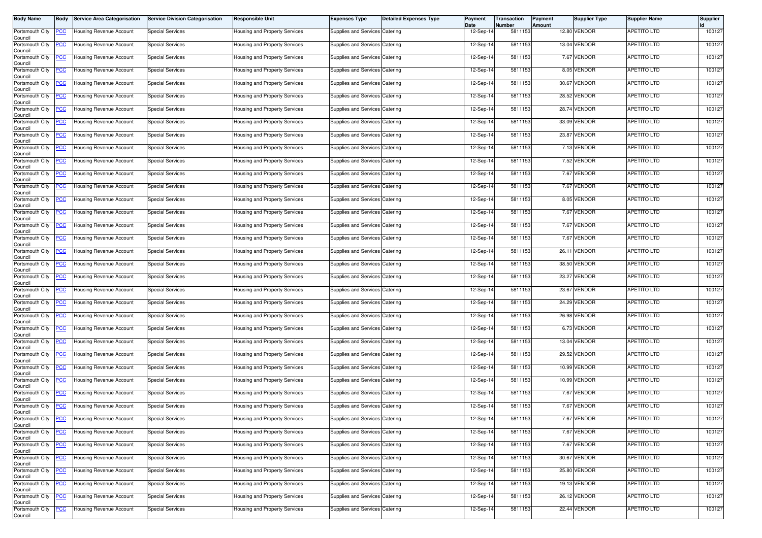| <b>Body Name</b>           | Body       | <b>Service Area Categorisation</b> | <b>Service Division Categorisation</b> | Responsible Unit                     | <b>Expenses Type</b>           | <b>Detailed Expenses Type</b> | Payment<br>Date | Transaction<br>Number | Payment<br>Amount | Supplier Type | <b>Supplier Name</b> | Supplier |
|----------------------------|------------|------------------------------------|----------------------------------------|--------------------------------------|--------------------------------|-------------------------------|-----------------|-----------------------|-------------------|---------------|----------------------|----------|
| Portsmouth City<br>Council | <u>PCC</u> | <b>Housing Revenue Account</b>     | <b>Special Services</b>                | lousing and Property Services        | Supplies and Services Catering |                               | 12-Sep-14       | 5811153               |                   | 12.80 VENDOR  | <b>APETITO LTD</b>   | 100127   |
| Portsmouth City<br>Council | <u>CC</u>  | Housing Revenue Account            | <b>Special Services</b>                | <b>Housing and Property Services</b> | Supplies and Services Catering |                               | 12-Sep-14       | 5811153               |                   | 13.04 VENDOR  | <b>APETITO LTD</b>   | 100127   |
| Portsmouth City<br>Council | <u>'CC</u> | Housing Revenue Account            | <b>Special Services</b>                | Housing and Property Services        | Supplies and Services Catering |                               | 12-Sep-14       | 5811153               |                   | 7.67 VENDOR   | <b>APETITO LTD</b>   | 100127   |
| Portsmouth City<br>Council | <u>PCC</u> | <b>Housing Revenue Account</b>     | <b>Special Services</b>                | lousing and Property Services        | Supplies and Services Catering |                               | 12-Sep-14       | 5811153               |                   | 8.05 VENDOR   | <b>APETITO LTD</b>   | 100127   |
| Portsmouth City<br>Council | <u>PCC</u> | Housing Revenue Account            | <b>Special Services</b>                | Housing and Property Services        | Supplies and Services Catering |                               | 12-Sep-14       | 5811153               |                   | 30.67 VENDOR  | APETITO LTD          | 100127   |
| Portsmouth City<br>Council | <u>'CC</u> | Housing Revenue Account            | <b>Special Services</b>                | Housing and Property Services        | Supplies and Services Catering |                               | 12-Sep-14       | 5811153               |                   | 28.52 VENDOR  | <b>APETITO LTD</b>   | 100127   |
| Portsmouth City<br>Council | <u>CC</u>  | Housing Revenue Account            | <b>Special Services</b>                | Housing and Property Services        | Supplies and Services Catering |                               | 12-Sep-14       | 5811153               |                   | 28.74 VENDOR  | <b>APETITO LTD</b>   | 100127   |
| Portsmouth City<br>Council | <u>PCC</u> | Housing Revenue Account            | <b>Special Services</b>                | Housing and Property Services        | Supplies and Services Catering |                               | 12-Sep-14       | 5811153               |                   | 33.09 VENDOR  | <b>APETITO LTD</b>   | 100127   |
| Portsmouth City<br>Council | <u>'CC</u> | <b>Housing Revenue Account</b>     | <b>Special Services</b>                | Housing and Property Services        | Supplies and Services Catering |                               | 12-Sep-14       | 5811153               |                   | 23.87 VENDOR  | <b>APETITO LTD</b>   | 100127   |
| Portsmouth City<br>Council | <u>'CC</u> | Housing Revenue Account            | <b>Special Services</b>                | Housing and Property Services        | Supplies and Services Catering |                               | 12-Sep-14       | 5811153               |                   | 7.13 VENDOR   | <b>APETITO LTD</b>   | 100127   |
| Portsmouth City<br>Council | <u>'CC</u> | Housing Revenue Account            | <b>Special Services</b>                | Housing and Property Services        | Supplies and Services Catering |                               | 12-Sep-14       | 5811153               |                   | 7.52 VENDOR   | <b>APETITO LTD</b>   | 100127   |
| Portsmouth City<br>Council | <u>'СС</u> | Housing Revenue Account            | <b>Special Services</b>                | lousing and Property Services        | Supplies and Services Catering |                               | 12-Sep-14       | 5811153               |                   | 7.67 VENDOR   | <b>APETITO LTD</b>   | 100127   |
| Portsmouth City<br>Council | <u>'CC</u> | Housing Revenue Account            | <b>Special Services</b>                | Housing and Property Services        | Supplies and Services Catering |                               | 12-Sep-14       | 5811153               |                   | 7.67 VENDOR   | <b>APETITO LTD</b>   | 100127   |
| Portsmouth City<br>Council | <u>'СС</u> | <b>Housing Revenue Account</b>     | <b>Special Services</b>                | Housing and Property Services        | Supplies and Services Catering |                               | 12-Sep-14       | 5811153               |                   | 8.05 VENDOR   | <b>APETITO LTD</b>   | 100127   |
| Portsmouth City<br>Council | <u>'CC</u> | Housing Revenue Account            | <b>Special Services</b>                | lousing and Property Services        | Supplies and Services Catering |                               | 12-Sep-14       | 5811153               |                   | 7.67 VENDOR   | <b>APETITO LTD</b>   | 100127   |
| Portsmouth City<br>Council | <u>PCC</u> | <b>Housing Revenue Account</b>     | <b>Special Services</b>                | Housing and Property Services        | Supplies and Services Catering |                               | 12-Sep-14       | 5811153               |                   | 7.67 VENDOR   | <b>APETITO LTD</b>   | 100127   |
| Portsmouth City<br>Council | <u>'СС</u> | Housing Revenue Account            | <b>Special Services</b>                | Housing and Property Services        | Supplies and Services Catering |                               | 12-Sep-14       | 5811153               |                   | 7.67 VENDOR   | <b>APETITO LTD</b>   | 100127   |
| Portsmouth City<br>Council | <u>PCC</u> | Housing Revenue Account            | <b>Special Services</b>                | Housing and Property Services        | Supplies and Services Catering |                               | 12-Sep-14       | 5811153               |                   | 26.11 VENDOR  | APETITO LTD          | 100127   |
| Portsmouth City<br>Council | <u>'CC</u> | Housing Revenue Account            | <b>Special Services</b>                | Housing and Property Services        | Supplies and Services Catering |                               | 12-Sep-14       | 5811153               |                   | 38.50 VENDOR  | APETITO LTD          | 100127   |
| Portsmouth City<br>Council | <u>'CC</u> | Housing Revenue Account            | <b>Special Services</b>                | lousing and Property Services        | Supplies and Services Catering |                               | 12-Sep-14       | 5811153               |                   | 23.27 VENDOR  | <b>APETITO LTD</b>   | 100127   |
| Portsmouth City<br>Council | <u>PCC</u> | Housing Revenue Account            | <b>Special Services</b>                | Housing and Property Services        | Supplies and Services Catering |                               | 12-Sep-14       | 5811153               |                   | 23.67 VENDOR  | <b>APETITO LTD</b>   | 100127   |
| Portsmouth City<br>Council | <u>PCC</u> | Housing Revenue Account            | <b>Special Services</b>                | Housing and Property Services        | Supplies and Services Catering |                               | 12-Sep-14       | 5811153               |                   | 24.29 VENDOR  | <b>APETITO LTD</b>   | 100127   |
| Portsmouth City<br>Council | <u>PCC</u> | Housing Revenue Account            | <b>Special Services</b>                | Housing and Property Services        | Supplies and Services Catering |                               | 12-Sep-14       | 5811153               |                   | 26.98 VENDOR  | APETITO LTD          | 100127   |
| Portsmouth City<br>Council | <u>'CC</u> | Housing Revenue Account            | <b>Special Services</b>                | Housing and Property Services        | Supplies and Services Catering |                               | 12-Sep-14       | 5811153               |                   | 6.73 VENDOR   | APETITO LTD          | 100127   |
| Portsmouth City<br>Council | <u>'СС</u> | Housing Revenue Account            | <b>Special Services</b>                | lousing and Property Services        | Supplies and Services Catering |                               | 12-Sep-14       | 5811153               | 13.04             | VENDOR        | <b>APETITO LTD</b>   | 100127   |
| Portsmouth City<br>Council | <u>PCC</u> | Housing Revenue Account            | <b>Special Services</b>                | Housing and Property Services        | Supplies and Services Catering |                               | 12-Sep-14       | 5811153               |                   | 29.52 VENDOR  | <b>APETITO LTD</b>   | 100127   |
| Portsmouth City<br>Council | <u>PCC</u> | Housing Revenue Account            | <b>Special Services</b>                | <b>Housing and Property Services</b> | Supplies and Services Catering |                               | 12-Sep-14       | 5811153               |                   | 10.99 VENDOR  | <b>APETITO LTD</b>   | 100127   |
| Portsmouth City<br>Council | <u>CC</u>  | Housing Revenue Account            | <b>Special Services</b>                | lousing and Property Services        | Supplies and Services Catering |                               | 12-Sep-14       | 5811153               |                   | 10.99 VENDOR  | <b>APETITO LTD</b>   | 100127   |
| Portsmouth City<br>Council | <u>PCC</u> | <b>Housing Revenue Account</b>     | <b>Special Services</b>                | Housing and Property Services        | Supplies and Services Catering |                               | 12-Sep-14       | 5811153               |                   | 7.67 VENDOR   | <b>APETITO LTD</b>   | 100127   |
| Portsmouth City<br>Council | <u>PCC</u> | <b>Housing Revenue Account</b>     | <b>Special Services</b>                | <b>Housing and Property Services</b> | Supplies and Services Catering |                               | 12-Sep-14       | 5811153               |                   | 7.67 VENDOR   | <b>APETITO LTD</b>   | 100127   |
| Portsmouth City<br>Council | <b>PCC</b> | Housing Revenue Account            | <b>Special Services</b>                | Housing and Property Services        | Supplies and Services Catering |                               | 12-Sep-14       | 5811153               |                   | 7.67 VENDOR   | <b>APETITO LTD</b>   | 100127   |
| Portsmouth City<br>Council | <u>CC</u>  | <b>Housing Revenue Account</b>     | <b>Special Services</b>                | lousing and Property Services        | Supplies and Services Catering |                               | 12-Sep-14       | 5811153               |                   | 7.67 VENDOR   | <b>APETITO LTD</b>   | 100127   |
| Portsmouth City<br>Council | <u>'CC</u> | <b>Housing Revenue Account</b>     | <b>Special Services</b>                | lousing and Property Services        | Supplies and Services Catering |                               | 12-Sep-14       | 5811153               |                   | 7.67 VENDOR   | <b>APETITO LTD</b>   | 100127   |
| Portsmouth City<br>Council | <u>CC</u>  | <b>Housing Revenue Account</b>     | Special Services                       | lousing and Property Services        | Supplies and Services Catering |                               | 12-Sep-14       | 5811153               |                   | 30.67 VENDOR  | <b>APETITO LTD</b>   | 100127   |
| Portsmouth City<br>Council | <u>'CC</u> | Housing Revenue Account            | <b>Special Services</b>                | Housing and Property Services        | Supplies and Services Catering |                               | 12-Sep-14       | 5811153               |                   | 25.80 VENDOR  | <b>APETITO LTD</b>   | 100127   |
| Portsmouth City<br>Council | <u>'CC</u> | Housing Revenue Account            | <b>Special Services</b>                | Housing and Property Services        | Supplies and Services Catering |                               | 12-Sep-14       | 5811153               |                   | 19.13 VENDOR  | <b>APETITO LTD</b>   | 100127   |
| Portsmouth City<br>Council | <u>'CC</u> | <b>Housing Revenue Account</b>     | <b>Special Services</b>                | Housing and Property Services        | Supplies and Services Catering |                               | 12-Sep-14       | 5811153               |                   | 26.12 VENDOR  | <b>APETITO LTD</b>   | 100127   |
| Portsmouth City<br>Council | <u>CC</u>  | Housing Revenue Account            | <b>Special Services</b>                | lousing and Property Services        | Supplies and Services Catering |                               | 12-Sep-14       | 5811153               |                   | 22.44 VENDOR  | APETITO LTD          | 100127   |
|                            |            |                                    |                                        |                                      |                                |                               |                 |                       |                   |               |                      |          |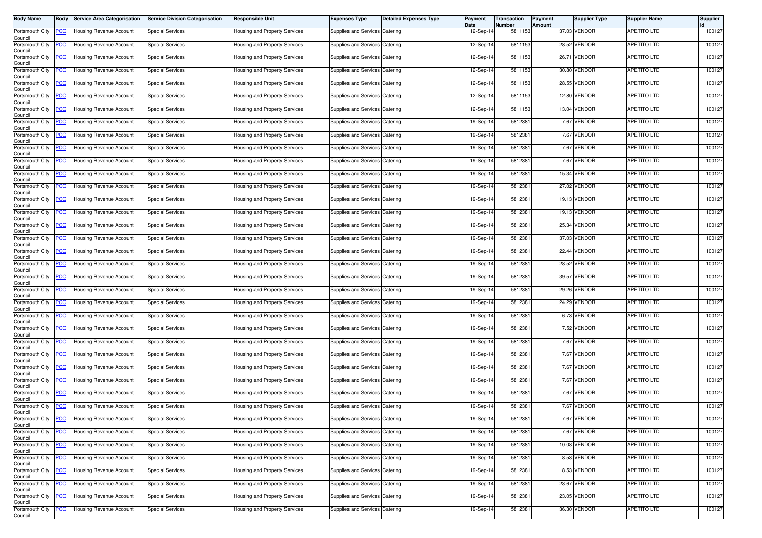| <b>Body Name</b>           | Body       | <b>Service Area Categorisation</b> | <b>Service Division Categorisation</b> | Responsible Unit                     | <b>Expenses Type</b>           | <b>Detailed Expenses Type</b> | Payment<br>Date | Transaction<br>Number | Payment<br>Amount | Supplier Type | <b>Supplier Name</b> | Supplier |
|----------------------------|------------|------------------------------------|----------------------------------------|--------------------------------------|--------------------------------|-------------------------------|-----------------|-----------------------|-------------------|---------------|----------------------|----------|
| Portsmouth City<br>Council | <u>PCC</u> | <b>Housing Revenue Account</b>     | <b>Special Services</b>                | lousing and Property Services        | Supplies and Services Catering |                               | 12-Sep-14       | 5811153               |                   | 37.03 VENDOR  | <b>APETITO LTD</b>   | 100127   |
| Portsmouth City<br>Council | <u>CC</u>  | Housing Revenue Account            | <b>Special Services</b>                | <b>Housing and Property Services</b> | Supplies and Services Catering |                               | 12-Sep-14       | 5811153               |                   | 28.52 VENDOR  | <b>APETITO LTD</b>   | 100127   |
| Portsmouth City<br>Council | <u>'CC</u> | Housing Revenue Account            | <b>Special Services</b>                | Housing and Property Services        | Supplies and Services Catering |                               | 12-Sep-14       | 5811153               |                   | 26.71 VENDOR  | <b>APETITO LTD</b>   | 100127   |
| Portsmouth City<br>Council | <u>PCC</u> | <b>Housing Revenue Account</b>     | <b>Special Services</b>                | lousing and Property Services        | Supplies and Services Catering |                               | 12-Sep-14       | 5811153               |                   | 30.80 VENDOR  | <b>APETITO LTD</b>   | 100127   |
| Portsmouth City<br>Council | <u>PCC</u> | Housing Revenue Account            | <b>Special Services</b>                | Housing and Property Services        | Supplies and Services Catering |                               | 12-Sep-14       | 5811153               |                   | 28.55 VENDOR  | APETITO LTD          | 100127   |
| Portsmouth City<br>Council | <u>'CC</u> | Housing Revenue Account            | <b>Special Services</b>                | Housing and Property Services        | Supplies and Services Catering |                               | 12-Sep-14       | 5811153               |                   | 12.80 VENDOR  | <b>APETITO LTD</b>   | 100127   |
| Portsmouth City<br>Council | <u>CC</u>  | Housing Revenue Account            | <b>Special Services</b>                | Housing and Property Services        | Supplies and Services Catering |                               | 12-Sep-14       | 5811153               |                   | 13.04 VENDOR  | <b>APETITO LTD</b>   | 100127   |
| Portsmouth City<br>Council | <u>PCC</u> | Housing Revenue Account            | <b>Special Services</b>                | Housing and Property Services        | Supplies and Services Catering |                               | 19-Sep-14       | 581238                |                   | 7.67 VENDOR   | <b>APETITO LTD</b>   | 100127   |
| Portsmouth City<br>Council | <u>'CC</u> | <b>Housing Revenue Account</b>     | <b>Special Services</b>                | Housing and Property Services        | Supplies and Services Catering |                               | 19-Sep-14       | 5812381               |                   | 7.67 VENDOR   | <b>APETITO LTD</b>   | 100127   |
| Portsmouth City<br>Council | <u>'CC</u> | Housing Revenue Account            | <b>Special Services</b>                | Housing and Property Services        | Supplies and Services Catering |                               | 19-Sep-14       | 5812381               |                   | 7.67 VENDOR   | <b>APETITO LTD</b>   | 100127   |
| Portsmouth City<br>Council | <u>'CC</u> | Housing Revenue Account            | <b>Special Services</b>                | Housing and Property Services        | Supplies and Services Catering |                               | 19-Sep-14       | 581238                |                   | 7.67 VENDOR   | <b>APETITO LTD</b>   | 100127   |
| Portsmouth City<br>Council | <u>'СС</u> | Housing Revenue Account            | <b>Special Services</b>                | lousing and Property Services        | Supplies and Services Catering |                               | 19-Sep-14       | 5812381               |                   | 15.34 VENDOR  | <b>APETITO LTD</b>   | 100127   |
| Portsmouth City<br>Council | <u>'CC</u> | Housing Revenue Account            | <b>Special Services</b>                | Housing and Property Services        | Supplies and Services Catering |                               | 19-Sep-14       | 5812381               |                   | 27.02 VENDOR  | <b>APETITO LTD</b>   | 100127   |
| Portsmouth City<br>Council | <u>'СС</u> | <b>Housing Revenue Account</b>     | <b>Special Services</b>                | Housing and Property Services        | Supplies and Services Catering |                               | 19-Sep-14       | 5812381               |                   | 19.13 VENDOR  | <b>APETITO LTD</b>   | 100127   |
| Portsmouth City<br>Council | <u>'CC</u> | Housing Revenue Account            | <b>Special Services</b>                | lousing and Property Services        | Supplies and Services Catering |                               | 19-Sep-14       | 581238                |                   | 19.13 VENDOR  | <b>APETITO LTD</b>   | 100127   |
| Portsmouth City<br>Council | <u>PCC</u> | <b>Housing Revenue Account</b>     | <b>Special Services</b>                | Housing and Property Services        | Supplies and Services Catering |                               | 19-Sep-14       | 581238                |                   | 25.34 VENDOR  | <b>APETITO LTD</b>   | 100127   |
| Portsmouth City<br>Council | <u>'СС</u> | Housing Revenue Account            | <b>Special Services</b>                | Housing and Property Services        | Supplies and Services Catering |                               | 19-Sep-14       | 5812381               |                   | 37.03 VENDOR  | <b>APETITO LTD</b>   | 100127   |
| Portsmouth City<br>Council | <u>PCC</u> | Housing Revenue Account            | <b>Special Services</b>                | Housing and Property Services        | Supplies and Services Catering |                               | 19-Sep-14       | 5812381               |                   | 22.44 VENDOR  | APETITO LTD          | 100127   |
| Portsmouth City<br>Council | <u>'CC</u> | Housing Revenue Account            | <b>Special Services</b>                | Housing and Property Services        | Supplies and Services Catering |                               | 19-Sep-14       | 581238                |                   | 28.52 VENDOR  | APETITO LTD          | 100127   |
| Portsmouth City<br>Council | <u>'CC</u> | Housing Revenue Account            | <b>Special Services</b>                | lousing and Property Services        | Supplies and Services Catering |                               | 19-Sep-14       | 5812381               |                   | 39.57 VENDOR  | <b>APETITO LTD</b>   | 100127   |
| Portsmouth City<br>Council | <u>PCC</u> | Housing Revenue Account            | <b>Special Services</b>                | Housing and Property Services        | Supplies and Services Catering |                               | 19-Sep-14       | 581238                |                   | 29.26 VENDOR  | <b>APETITO LTD</b>   | 100127   |
| Portsmouth City<br>Council | <u>PCC</u> | Housing Revenue Account            | <b>Special Services</b>                | Housing and Property Services        | Supplies and Services Catering |                               | 19-Sep-14       | 5812381               |                   | 24.29 VENDOR  | <b>APETITO LTD</b>   | 100127   |
| Portsmouth City<br>Council | <u>PCC</u> | Housing Revenue Account            | <b>Special Services</b>                | Housing and Property Services        | Supplies and Services Catering |                               | 19-Sep-14       | 581238                |                   | 6.73 VENDOR   | APETITO LTD          | 100127   |
| Portsmouth City<br>Council | <u>'CC</u> | Housing Revenue Account            | <b>Special Services</b>                | Housing and Property Services        | Supplies and Services Catering |                               | 19-Sep-14       | 5812381               |                   | 7.52 VENDOR   | APETITO LTD          | 100127   |
| Portsmouth City<br>Council | <u>'СС</u> | Housing Revenue Account            | <b>Special Services</b>                | lousing and Property Services        | Supplies and Services Catering |                               | 19-Sep-14       | 5812381               |                   | 7.67 VENDOR   | <b>APETITO LTD</b>   | 100127   |
| Portsmouth City<br>Council | <u>PCC</u> | Housing Revenue Account            | <b>Special Services</b>                | Housing and Property Services        | Supplies and Services Catering |                               | 19-Sep-14       | 5812381               |                   | 7.67 VENDOR   | <b>APETITO LTD</b>   | 100127   |
| Portsmouth City<br>Council | <u>PCC</u> | Housing Revenue Account            | <b>Special Services</b>                | <b>Housing and Property Services</b> | Supplies and Services Catering |                               | 19-Sep-14       | 5812381               |                   | 7.67 VENDOR   | <b>APETITO LTD</b>   | 100127   |
| Portsmouth City<br>Council | <u>CC</u>  | Housing Revenue Account            | <b>Special Services</b>                | lousing and Property Services        | Supplies and Services Catering |                               | 19-Sep-14       | 5812381               |                   | 7.67 VENDOR   | <b>APETITO LTD</b>   | 100127   |
| Portsmouth City<br>Council | <u>PCC</u> | <b>Housing Revenue Account</b>     | <b>Special Services</b>                | <b>Housing and Property Services</b> | Supplies and Services Catering |                               | 19-Sep-14       | 5812381               |                   | 7.67 VENDOR   | <b>APETITO LTD</b>   | 100127   |
| Portsmouth City<br>Council | <u>PCC</u> | <b>Housing Revenue Account</b>     | <b>Special Services</b>                | <b>Housing and Property Services</b> | Supplies and Services Catering |                               | 19-Sep-14       | 5812381               |                   | 7.67 VENDOR   | <b>APETITO LTD</b>   | 100127   |
| Portsmouth City<br>Council | <b>PCC</b> | Housing Revenue Account            | <b>Special Services</b>                | Housing and Property Services        | Supplies and Services Catering |                               | 19-Sep-14       | 5812381               |                   | 7.67 VENDOR   | <b>APETITO LTD</b>   | 100127   |
| Portsmouth City<br>Council | <u>CC</u>  | <b>Housing Revenue Account</b>     | <b>Special Services</b>                | lousing and Property Services        | Supplies and Services Catering |                               | 19-Sep-14       | 5812381               |                   | 7.67 VENDOR   | <b>APETITO LTD</b>   | 100127   |
| Portsmouth City<br>Council | <u>'CC</u> | <b>Housing Revenue Account</b>     | <b>Special Services</b>                | lousing and Property Services        | Supplies and Services Catering |                               | 19-Sep-14       | 5812381               |                   | 10.08 VENDOR  | <b>APETITO LTD</b>   | 100127   |
| Portsmouth City<br>Council | <u>CC</u>  | <b>Housing Revenue Account</b>     | <b>Special Services</b>                | lousing and Property Services        | Supplies and Services Catering |                               | 19-Sep-14       | 5812381               |                   | 8.53 VENDOR   | <b>APETITO LTD</b>   | 100127   |
| Portsmouth City<br>Council | <u>'CC</u> | Housing Revenue Account            | <b>Special Services</b>                | Housing and Property Services        | Supplies and Services Catering |                               | 19-Sep-14       | 5812381               |                   | 8.53 VENDOR   | <b>APETITO LTD</b>   | 100127   |
| Portsmouth City<br>Council | <u>'CC</u> | Housing Revenue Account            | <b>Special Services</b>                | Housing and Property Services        | Supplies and Services Catering |                               | 19-Sep-14       | 5812381               |                   | 23.67 VENDOR  | <b>APETITO LTD</b>   | 100127   |
| Portsmouth City<br>Council | <u>'CC</u> | <b>Housing Revenue Account</b>     | <b>Special Services</b>                | Housing and Property Services        | Supplies and Services Catering |                               | 19-Sep-14       | 5812381               |                   | 23.05 VENDOR  | <b>APETITO LTD</b>   | 100127   |
| Portsmouth City<br>Council | <u>CC</u>  | Housing Revenue Account            | <b>Special Services</b>                | lousing and Property Services        | Supplies and Services Catering |                               | 19-Sep-14       | 5812381               |                   | 36.30 VENDOR  | APETITO LTD          | 100127   |
|                            |            |                                    |                                        |                                      |                                |                               |                 |                       |                   |               |                      |          |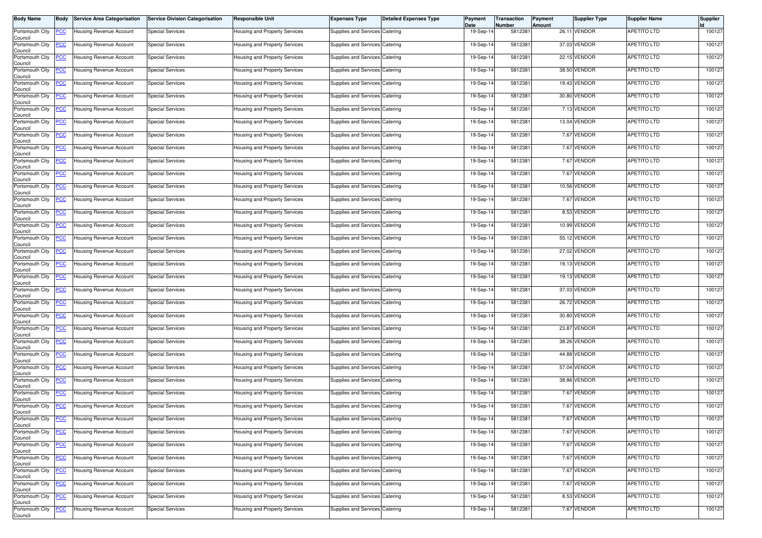| <b>Body Name</b>           | Body           | <b>Service Area Categorisation</b> | <b>Service Division Categorisation</b> | Responsible Unit                     | <b>Expenses Type</b>           | <b>Detailed Expenses Type</b> | Payment<br>Date | Transaction<br>Number | Payment<br>Amount | Supplier Type | <b>Supplier Name</b> | Supplier |
|----------------------------|----------------|------------------------------------|----------------------------------------|--------------------------------------|--------------------------------|-------------------------------|-----------------|-----------------------|-------------------|---------------|----------------------|----------|
| Portsmouth City<br>Council | <u>PCC</u>     | <b>Housing Revenue Account</b>     | <b>Special Services</b>                | lousing and Property Services        | Supplies and Services Catering |                               | 19-Sep-14       | 5812381               |                   | 26.11 VENDOR  | <b>APETITO LTD</b>   | 100127   |
| Portsmouth City<br>Council | <u>CC</u>      | Housing Revenue Account            | <b>Special Services</b>                | <b>Housing and Property Services</b> | Supplies and Services Catering |                               | 19-Sep-14       | 5812381               |                   | 37.03 VENDOR  | <b>APETITO LTD</b>   | 100127   |
| Portsmouth City<br>Council | <u>'CC</u>     | Housing Revenue Account            | <b>Special Services</b>                | Housing and Property Services        | Supplies and Services Catering |                               | 19-Sep-14       | 581238                |                   | 22.15 VENDOR  | <b>APETITO LTD</b>   | 100127   |
| Portsmouth City<br>Council | <u>PCC</u>     | <b>Housing Revenue Account</b>     | <b>Special Services</b>                | lousing and Property Services        | Supplies and Services Catering |                               | 19-Sep-14       | 5812381               |                   | 38.50 VENDOR  | <b>APETITO LTD</b>   | 100127   |
| Portsmouth City<br>Council | <u>PCC</u>     | Housing Revenue Account            | <b>Special Services</b>                | Housing and Property Services        | Supplies and Services Catering |                               | 19-Sep-14       | 5812381               |                   | 19.43 VENDOR  | APETITO LTD          | 100127   |
| Portsmouth City<br>Council | <u>'CC</u>     | Housing Revenue Account            | <b>Special Services</b>                | Housing and Property Services        | Supplies and Services Catering |                               | 19-Sep-14       | 5812381               |                   | 30.80 VENDOR  | <b>APETITO LTD</b>   | 100127   |
| Portsmouth City<br>Council | <u>CC</u>      | Housing Revenue Account            | <b>Special Services</b>                | Housing and Property Services        | Supplies and Services Catering |                               | 19-Sep-14       | 581238                |                   | 7.13 VENDOR   | <b>APETITO LTD</b>   | 100127   |
| Portsmouth City<br>Council | <u>PCC</u>     | <b>Housing Revenue Account</b>     | <b>Special Services</b>                | Housing and Property Services        | Supplies and Services Catering |                               | 19-Sep-14       | 581238                |                   | 13.04 VENDOR  | <b>APETITO LTD</b>   | 100127   |
| Portsmouth City<br>Council | <u>'CC</u>     | <b>Housing Revenue Account</b>     | <b>Special Services</b>                | Housing and Property Services        | Supplies and Services Catering |                               | 19-Sep-14       | 5812381               |                   | 7.67 VENDOR   | <b>APETITO LTD</b>   | 100127   |
| Portsmouth City<br>Council | <u>'CC</u>     | Housing Revenue Account            | <b>Special Services</b>                | Housing and Property Services        | Supplies and Services Catering |                               | 19-Sep-14       | 5812381               |                   | 7.67 VENDOR   | <b>APETITO LTD</b>   | 100127   |
| Portsmouth City<br>Council | <u>'CC</u>     | Housing Revenue Account            | <b>Special Services</b>                | Housing and Property Services        | Supplies and Services Catering |                               | 19-Sep-14       | 581238                |                   | 7.67 VENDOR   | <b>APETITO LTD</b>   | 100127   |
| Portsmouth City<br>Council | <u>'СС</u>     | Housing Revenue Account            | <b>Special Services</b>                | lousing and Property Services        | Supplies and Services Catering |                               | 19-Sep-14       | 5812381               |                   | 7.67 VENDOR   | <b>APETITO LTD</b>   | 100127   |
| Portsmouth City<br>Council | <u>'CC</u>     | Housing Revenue Account            | <b>Special Services</b>                | Housing and Property Services        | Supplies and Services Catering |                               | 19-Sep-14       | 5812381               |                   | 10.56 VENDOR  | <b>APETITO LTD</b>   | 100127   |
| Portsmouth City<br>Council | <u>'СС</u>     | Housing Revenue Account            | <b>Special Services</b>                | Housing and Property Services        | Supplies and Services Catering |                               | 19-Sep-14       | 5812381               |                   | 7.67 VENDOR   | <b>APETITO LTD</b>   | 100127   |
| Portsmouth City<br>Council | <u>'CC</u>     | Housing Revenue Account            | <b>Special Services</b>                | lousing and Property Services        | Supplies and Services Catering |                               | 19-Sep-14       | 581238                |                   | 8.53 VENDOR   | <b>APETITO LTD</b>   | 100127   |
| Portsmouth City<br>Council | <u>PCC</u>     | <b>Housing Revenue Account</b>     | <b>Special Services</b>                | Housing and Property Services        | Supplies and Services Catering |                               | 19-Sep-14       | 581238                |                   | 10.99 VENDOR  | <b>APETITO LTD</b>   | 100127   |
| Portsmouth City<br>Council | <u>'СС</u>     | Housing Revenue Account            | <b>Special Services</b>                | Housing and Property Services        | Supplies and Services Catering |                               | 19-Sep-14       | 5812381               |                   | 55.12 VENDOR  | <b>APETITO LTD</b>   | 100127   |
| Portsmouth City<br>Council | <u>PCC</u>     | Housing Revenue Account            | <b>Special Services</b>                | Housing and Property Services        | Supplies and Services Catering |                               | 19-Sep-14       | 5812381               |                   | 27.02 VENDOR  | APETITO LTD          | 100127   |
| Portsmouth City<br>Council | <u>'CC</u>     | Housing Revenue Account            | <b>Special Services</b>                | <b>Housing and Property Services</b> | Supplies and Services Catering |                               | 19-Sep-14       | 581238                |                   | 19.13 VENDOR  | APETITO LTD          | 100127   |
| Portsmouth City<br>Council | <u>'CC</u>     | <b>Housing Revenue Account</b>     | <b>Special Services</b>                | lousing and Property Services        | Supplies and Services Catering |                               | 19-Sep-14       | 5812381               |                   | 19.13 VENDOR  | <b>APETITO LTD</b>   | 100127   |
| Portsmouth City<br>Council | <u>PCC</u>     | Housing Revenue Account            | <b>Special Services</b>                | Housing and Property Services        | Supplies and Services Catering |                               | 19-Sep-14       | 581238                |                   | 37.03 VENDOR  | <b>APETITO LTD</b>   | 100127   |
| Portsmouth City<br>Council | <u>PCC</u>     | Housing Revenue Account            | <b>Special Services</b>                | Housing and Property Services        | Supplies and Services Catering |                               | 19-Sep-14       | 5812381               |                   | 26.72 VENDOR  | <b>APETITO LTD</b>   | 100127   |
| Portsmouth City<br>Council | <b>CC</b>      | Housing Revenue Account            | <b>Special Services</b>                | Housing and Property Services        | Supplies and Services Catering |                               | 19-Sep-14       | 581238                |                   | 30.80 VENDOR  | APETITO LTD          | 100127   |
| Portsmouth City<br>Council | <u>'CC</u>     | Housing Revenue Account            | <b>Special Services</b>                | Housing and Property Services        | Supplies and Services Catering |                               | 19-Sep-14       | 5812381               |                   | 23.87 VENDOR  | APETITO LTD          | 100127   |
| Portsmouth City<br>Council | <u>'СС</u>     | Housing Revenue Account            | <b>Special Services</b>                | lousing and Property Services        | Supplies and Services Catering |                               | 19-Sep-14       | 5812381               |                   | 38.26 VENDOR  | <b>APETITO LTD</b>   | 100127   |
| Portsmouth City<br>Council | <u>PCC</u>     | Housing Revenue Account            | <b>Special Services</b>                | Housing and Property Services        | Supplies and Services Catering |                               | 19-Sep-14       | 5812381               |                   | 44.88 VENDOR  | <b>APETITO LTD</b>   | 100127   |
| Portsmouth City<br>Council | <u>PCC</u>     | Housing Revenue Account            | <b>Special Services</b>                | <b>Housing and Property Services</b> | Supplies and Services Catering |                               | 19-Sep-14       | 5812381               |                   | 57.04 VENDOR  | <b>APETITO LTD</b>   | 100127   |
| Portsmouth City<br>Council | <u>'CC</u>     | Housing Revenue Account            | <b>Special Services</b>                | lousing and Property Services        | Supplies and Services Catering |                               | 19-Sep-14       | 5812381               |                   | 38.86 VENDOR  | <b>APETITO LTD</b>   | 100127   |
| Portsmouth City<br>Council | <u>PCC</u>     | <b>Housing Revenue Account</b>     | <b>Special Services</b>                | <b>Housing and Property Services</b> | Supplies and Services Catering |                               | 19-Sep-14       | 5812381               |                   | 7.67 VENDOR   | <b>APETITO LTD</b>   | 100127   |
| Portsmouth City<br>Council | <u>PCC</u>     | <b>Housing Revenue Account</b>     | <b>Special Services</b>                | <b>Housing and Property Services</b> | Supplies and Services Catering |                               | 19-Sep-14       | 5812381               |                   | 7.67 VENDOR   | <b>APETITO LTD</b>   | 100127   |
| Portsmouth City<br>Council | <b>PCC</b>     | Housing Revenue Account            | <b>Special Services</b>                | Housing and Property Services        | Supplies and Services Catering |                               | 19-Sep-14       | 5812381               |                   | 7.67 VENDOR   | <b>APETITO LTD</b>   | 100127   |
| Portsmouth City<br>Council | <u>CC</u>      | <b>Housing Revenue Account</b>     | <b>Special Services</b>                | lousing and Property Services        | Supplies and Services Catering |                               | 19-Sep-14       | 5812381               |                   | 7.67 VENDOR   | <b>APETITO LTD</b>   | 100127   |
| Portsmouth City<br>Council | <u>'CC</u>     | <b>Housing Revenue Account</b>     | <b>Special Services</b>                | lousing and Property Services        | Supplies and Services Catering |                               | 19-Sep-14       | 5812381               |                   | 7.67 VENDOR   | <b>APETITO LTD</b>   | 100127   |
| Portsmouth City<br>Council | $\overline{C}$ | <b>Housing Revenue Account</b>     | Special Services                       | Housing and Property Services        | Supplies and Services Catering |                               | 19-Sep-14       | 5812381               |                   | 7.67 VENDOR   | <b>APETITO LTD</b>   | 100127   |
| Portsmouth City<br>Council | <u>'CC</u>     | Housing Revenue Account            | <b>Special Services</b>                | Housing and Property Services        | Supplies and Services Catering |                               | 19-Sep-14       | 5812381               |                   | 7.67 VENDOR   | <b>APETITO LTD</b>   | 100127   |
| Portsmouth City<br>Council | <u>'CC</u>     | Housing Revenue Account            | <b>Special Services</b>                | Housing and Property Services        | Supplies and Services Catering |                               | 19-Sep-14       | 5812381               |                   | 7.67 VENDOR   | <b>APETITO LTD</b>   | 100127   |
| Portsmouth City<br>Council | <u>'CC</u>     | <b>Housing Revenue Account</b>     | <b>Special Services</b>                | lousing and Property Services        | Supplies and Services Catering |                               | 19-Sep-14       | 5812381               |                   | 8.53 VENDOR   | <b>APETITO LTD</b>   | 100127   |
| Portsmouth City<br>Council | <u>CC</u>      | Housing Revenue Account            | <b>Special Services</b>                | lousing and Property Services        | Supplies and Services Catering |                               | 19-Sep-14       | 5812381               |                   | 7.67 VENDOR   | APETITO LTD          | 100127   |
|                            |                |                                    |                                        |                                      |                                |                               |                 |                       |                   |               |                      |          |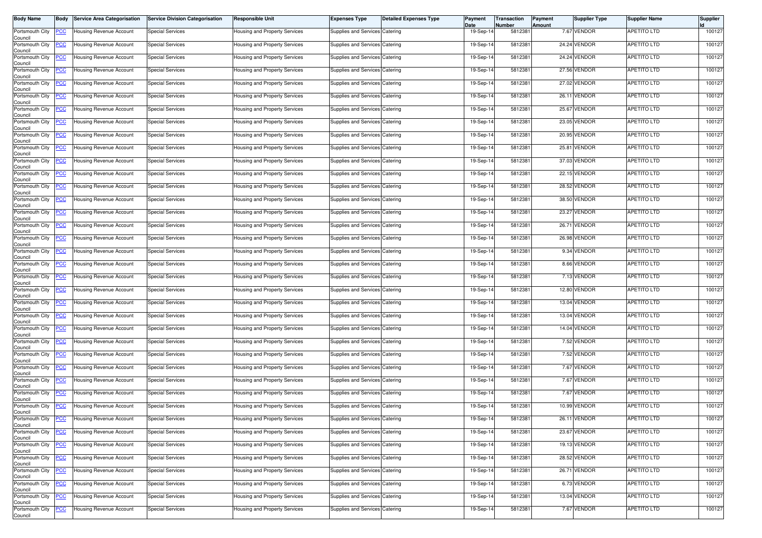| <b>Body Name</b>                      | Body       | <b>Service Area Categorisation</b> | <b>Service Division Categorisation</b> | Responsible Unit                     | <b>Expenses Type</b>           | <b>Detailed Expenses Type</b> | Payment<br>Date | Transaction<br>Number | Payment<br>Amount | Supplier Type | <b>Supplier Name</b> | Supplier |
|---------------------------------------|------------|------------------------------------|----------------------------------------|--------------------------------------|--------------------------------|-------------------------------|-----------------|-----------------------|-------------------|---------------|----------------------|----------|
| Portsmouth City<br>Council            | <u>PCC</u> | <b>Housing Revenue Account</b>     | <b>Special Services</b>                | lousing and Property Services        | Supplies and Services Catering |                               | 19-Sep-14       | 5812381               |                   | 7.67 VENDOR   | <b>APETITO LTD</b>   | 100127   |
| Portsmouth City<br>Council            | <u>CC</u>  | Housing Revenue Account            | <b>Special Services</b>                | <b>Housing and Property Services</b> | Supplies and Services Catering |                               | 19-Sep-14       | 5812381               |                   | 24.24 VENDOR  | <b>APETITO LTD</b>   | 100127   |
| Portsmouth City<br>Council            | <u>'CC</u> | Housing Revenue Account            | <b>Special Services</b>                | Housing and Property Services        | Supplies and Services Catering |                               | 19-Sep-14       | 581238                |                   | 24.24 VENDOR  | <b>APETITO LTD</b>   | 100127   |
| Portsmouth City<br>Council            | <u>PCC</u> | <b>Housing Revenue Account</b>     | <b>Special Services</b>                | lousing and Property Services        | Supplies and Services Catering |                               | 19-Sep-14       | 5812381               |                   | 27.56 VENDOR  | <b>APETITO LTD</b>   | 100127   |
| Portsmouth City<br>Council            | <u>CC</u>  | Housing Revenue Account            | <b>Special Services</b>                | Housing and Property Services        | Supplies and Services Catering |                               | 19-Sep-14       | 5812381               |                   | 27.02 VENDOR  | APETITO LTD          | 100127   |
| Portsmouth City<br>Council            | <u>'CC</u> | Housing Revenue Account            | <b>Special Services</b>                | Housing and Property Services        | Supplies and Services Catering |                               | 19-Sep-14       | 5812381               |                   | 26.11 VENDOR  | <b>APETITO LTD</b>   | 100127   |
| Portsmouth City<br>Council            | <u>CC</u>  | Housing Revenue Account            | <b>Special Services</b>                | Housing and Property Services        | Supplies and Services Catering |                               | 19-Sep-14       | 581238                |                   | 25.67 VENDOR  | <b>APETITO LTD</b>   | 100127   |
| Portsmouth City<br>Council            | <u>PCC</u> | Housing Revenue Account            | <b>Special Services</b>                | Housing and Property Services        | Supplies and Services Catering |                               | 19-Sep-14       | 581238                |                   | 23.05 VENDOR  | <b>APETITO LTD</b>   | 100127   |
| Portsmouth City<br>Council            | <u>'CC</u> | <b>Housing Revenue Account</b>     | <b>Special Services</b>                | Housing and Property Services        | Supplies and Services Catering |                               | 19-Sep-14       | 5812381               |                   | 20.95 VENDOR  | <b>APETITO LTD</b>   | 100127   |
| Portsmouth City<br>Council            | <u>'CC</u> | Housing Revenue Account            | <b>Special Services</b>                | Housing and Property Services        | Supplies and Services Catering |                               | 19-Sep-14       | 581238                |                   | 25.81 VENDOR  | <b>APETITO LTD</b>   | 100127   |
| Portsmouth City<br>Council            | <u>'CC</u> | Housing Revenue Account            | <b>Special Services</b>                | Housing and Property Services        | Supplies and Services Catering |                               | 19-Sep-14       | 581238                |                   | 37.03 VENDOR  | <b>APETITO LTD</b>   | 100127   |
| Portsmouth City<br>Council            | <u>'СС</u> | Housing Revenue Account            | <b>Special Services</b>                | lousing and Property Services        | Supplies and Services Catering |                               | 19-Sep-14       | 5812381               |                   | 22.15 VENDOR  | <b>APETITO LTD</b>   | 100127   |
| Portsmouth City<br>Council            | <u>'CC</u> | Housing Revenue Account            | <b>Special Services</b>                | Housing and Property Services        | Supplies and Services Catering |                               | 19-Sep-14       | 5812381               |                   | 28.52 VENDOR  | <b>APETITO LTD</b>   | 100127   |
| Portsmouth City<br>Council            | <u>'СС</u> | <b>Housing Revenue Account</b>     | <b>Special Services</b>                | Housing and Property Services        | Supplies and Services Catering |                               | 19-Sep-14       | 5812381               |                   | 38.50 VENDOR  | <b>APETITO LTD</b>   | 100127   |
| Portsmouth City<br>Council            | <u>'CC</u> | Housing Revenue Account            | <b>Special Services</b>                | lousing and Property Services        | Supplies and Services Catering |                               | 19-Sep-14       | 581238                |                   | 23.27 VENDOR  | <b>APETITO LTD</b>   | 100127   |
| Portsmouth City<br>Council            | <u>PCC</u> | <b>Housing Revenue Account</b>     | <b>Special Services</b>                | Housing and Property Services        | Supplies and Services Catering |                               | 19-Sep-14       | 581238                |                   | 26.71 VENDOR  | <b>APETITO LTD</b>   | 100127   |
| Portsmouth City<br>Council            | <u>'СС</u> | Housing Revenue Account            | <b>Special Services</b>                | Housing and Property Services        | Supplies and Services Catering |                               | 19-Sep-14       | 5812381               |                   | 26.98 VENDOR  | <b>APETITO LTD</b>   | 100127   |
| Portsmouth City<br>Council            | <u>PCC</u> | Housing Revenue Account            | <b>Special Services</b>                | Housing and Property Services        | Supplies and Services Catering |                               | 19-Sep-14       | 5812381               |                   | 9.34 VENDOR   | <b>APETITO LTD</b>   | 100127   |
| Portsmouth City<br>Council            | <u>'CC</u> | Housing Revenue Account            | <b>Special Services</b>                | Housing and Property Services        | Supplies and Services Catering |                               | 19-Sep-14       | 581238                |                   | 8.66 VENDOR   | APETITO LTD          | 100127   |
| Portsmouth City<br>Council            | <u>'CC</u> | Housing Revenue Account            | <b>Special Services</b>                | lousing and Property Services        | Supplies and Services Catering |                               | 19-Sep-14       | 5812381               |                   | 7.13 VENDOR   | <b>APETITO LTD</b>   | 100127   |
| Portsmouth City<br>Council            | <u>PCC</u> | Housing Revenue Account            | <b>Special Services</b>                | Housing and Property Services        | Supplies and Services Catering |                               | 19-Sep-14       | 581238                |                   | 12.80 VENDOR  | <b>APETITO LTD</b>   | 100127   |
| Portsmouth City<br>Council            | <u>PCC</u> | Housing Revenue Account            | <b>Special Services</b>                | Housing and Property Services        | Supplies and Services Catering |                               | 19-Sep-14       | 5812381               |                   | 13.04 VENDOR  | <b>APETITO LTD</b>   | 100127   |
| Portsmouth City<br>Council            | <b>CC</b>  | Housing Revenue Account            | <b>Special Services</b>                | Housing and Property Services        | Supplies and Services Catering |                               | 19-Sep-14       | 581238                |                   | 13.04 VENDOR  | APETITO LTD          | 100127   |
| Portsmouth City<br>Council            | <u>'CC</u> | Housing Revenue Account            | <b>Special Services</b>                | Housing and Property Services        | Supplies and Services Catering |                               | 19-Sep-14       | 5812381               |                   | 14.04 VENDOR  | APETITO LTD          | 100127   |
| Portsmouth City<br>Council            | <u>'СС</u> | Housing Revenue Account            | <b>Special Services</b>                | lousing and Property Services        | Supplies and Services Catering |                               | 19-Sep-14       | 5812381               |                   | 7.52 VENDOR   | <b>APETITO LTD</b>   | 100127   |
| Portsmouth City<br>Council            | <u>CC</u>  | Housing Revenue Account            | <b>Special Services</b>                | Housing and Property Services        | Supplies and Services Catering |                               | 19-Sep-14       | 5812381               |                   | 7.52 VENDOR   | <b>APETITO LTD</b>   | 100127   |
| Portsmouth City<br>Council            | <u>PCC</u> | Housing Revenue Account            | <b>Special Services</b>                | <b>Housing and Property Services</b> | Supplies and Services Catering |                               | 19-Sep-14       | 5812381               |                   | 7.67 VENDOR   | <b>APETITO LTD</b>   | 100127   |
| Portsmouth City<br>Council            | <u>'CC</u> | Housing Revenue Account            | <b>Special Services</b>                | lousing and Property Services        | Supplies and Services Catering |                               | 19-Sep-14       | 5812381               |                   | 7.67 VENDOR   | <b>APETITO LTD</b>   | 100127   |
| Portsmouth City<br>Council            | <u>PCC</u> | <b>Housing Revenue Account</b>     | <b>Special Services</b>                | Housing and Property Services        | Supplies and Services Catering |                               | 19-Sep-14       | 581238                |                   | 7.67 VENDOR   | <b>APETITO LTD</b>   | 100127   |
| Portsmouth City<br>Council            | <u>PCC</u> | <b>Housing Revenue Account</b>     | <b>Special Services</b>                | <b>Housing and Property Services</b> | Supplies and Services Catering |                               | 19-Sep-14       | 5812381               |                   | 10.99 VENDOR  | <b>APETITO LTD</b>   | 100127   |
| Portsmouth City<br>Council            | <b>PCC</b> | Housing Revenue Account            | <b>Special Services</b>                | Housing and Property Services        | Supplies and Services Catering |                               | 19-Sep-14       | 5812381               |                   | 26.11 VENDOR  | <b>APETITO LTD</b>   | 100127   |
| Portsmouth City<br>Council            | <u>CC</u>  | <b>Housing Revenue Account</b>     | <b>Special Services</b>                | lousing and Property Services        | Supplies and Services Catering |                               | 19-Sep-14       | 5812381               |                   | 23.67 VENDOR  | <b>APETITO LTD</b>   | 100127   |
| Portsmouth City<br>Council            | <u>'CC</u> | <b>Housing Revenue Account</b>     | <b>Special Services</b>                | lousing and Property Services        | Supplies and Services Catering |                               | 19-Sep-14       | 5812381               |                   | 19.13 VENDOR  | <b>APETITO LTD</b>   | 100127   |
| Portsmouth City                       | <u>CC</u>  | <b>Housing Revenue Account</b>     | Special Services                       | lousing and Property Services        | Supplies and Services Catering |                               | 19-Sep-14       | 5812381               |                   | 28.52 VENDOR  | <b>APETITO LTD</b>   | 100127   |
| Council<br>Portsmouth City<br>Council | <u>'CC</u> | Housing Revenue Account            | <b>Special Services</b>                | Housing and Property Services        | Supplies and Services Catering |                               | 19-Sep-14       | 5812381               |                   | 26.71 VENDOR  | <b>APETITO LTD</b>   | 100127   |
| Portsmouth City                       | <u>'CC</u> | Housing Revenue Account            | <b>Special Services</b>                | Housing and Property Services        | Supplies and Services Catering |                               | 19-Sep-14       | 5812381               |                   | 6.73 VENDOR   | <b>APETITO LTD</b>   | 100127   |
| Council<br>Portsmouth City            | <u>'CC</u> | <b>Housing Revenue Account</b>     | <b>Special Services</b>                | Housing and Property Services        | Supplies and Services Catering |                               | 19-Sep-14       | 5812381               |                   | 13.04 VENDOR  | <b>APETITO LTD</b>   | 100127   |
| Council<br>Portsmouth City            | <u>CC</u>  | Housing Revenue Account            | <b>Special Services</b>                | lousing and Property Services        | Supplies and Services Catering |                               | 19-Sep-14       | 5812381               |                   | 7.67 VENDOR   | APETITO LTD          | 100127   |
| Council                               |            |                                    |                                        |                                      |                                |                               |                 |                       |                   |               |                      |          |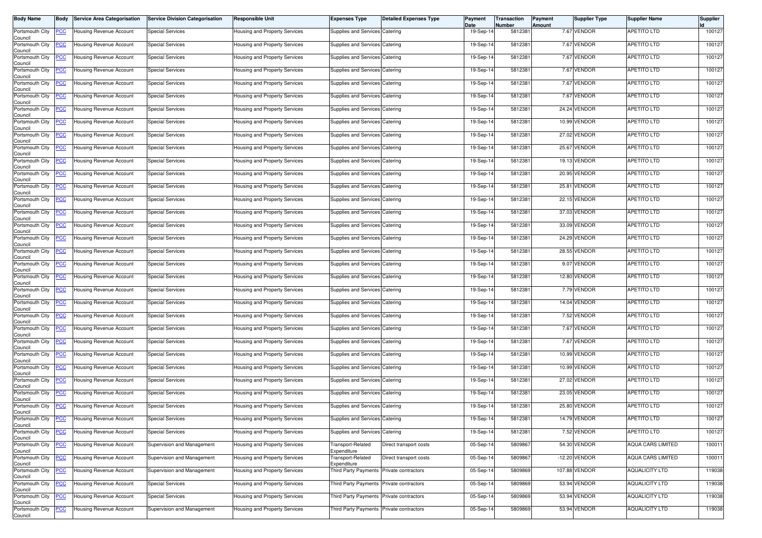| <b>Body Name</b>           | Body       | <b>Service Area Categorisation</b> | <b>Service Division Categorisation</b> | Responsible Unit                     | <b>Expenses Type</b>                     | <b>Detailed Expenses Type</b> | Payment<br>Date | Transaction<br>Number | Payment<br>Amount | Supplier Type   | <b>Supplier Name</b>     | Supplier |
|----------------------------|------------|------------------------------------|----------------------------------------|--------------------------------------|------------------------------------------|-------------------------------|-----------------|-----------------------|-------------------|-----------------|--------------------------|----------|
| Portsmouth City<br>Council | <u>PCC</u> | <b>Housing Revenue Account</b>     | <b>Special Services</b>                | lousing and Property Services        | Supplies and Services Catering           |                               | 19-Sep-14       | 5812381               |                   | 7.67 VENDOR     | <b>APETITO LTD</b>       | 100127   |
| Portsmouth City<br>Council | <u>CC</u>  | Housing Revenue Account            | <b>Special Services</b>                | <b>Housing and Property Services</b> | Supplies and Services Catering           |                               | 19-Sep-14       | 5812381               |                   | 7.67 VENDOR     | <b>APETITO LTD</b>       | 100127   |
| Portsmouth City<br>Council | <u>'CC</u> | Housing Revenue Account            | <b>Special Services</b>                | Housing and Property Services        | Supplies and Services Catering           |                               | 19-Sep-14       | 581238                |                   | 7.67 VENDOR     | <b>APETITO LTD</b>       | 100127   |
| Portsmouth City<br>Council | <u>PCC</u> | <b>Housing Revenue Account</b>     | <b>Special Services</b>                | lousing and Property Services        | Supplies and Services Catering           |                               | 19-Sep-14       | 5812381               |                   | 7.67 VENDOR     | <b>APETITO LTD</b>       | 100127   |
| Portsmouth City<br>Council | <u>CC</u>  | Housing Revenue Account            | <b>Special Services</b>                | Housing and Property Services        | Supplies and Services Catering           |                               | 19-Sep-14       | 5812381               |                   | 7.67 VENDOR     | APETITO LTD              | 100127   |
| Portsmouth City<br>Council | <u>'CC</u> | Housing Revenue Account            | <b>Special Services</b>                | Housing and Property Services        | Supplies and Services Catering           |                               | 19-Sep-14       | 5812381               |                   | 7.67 VENDOR     | <b>APETITO LTD</b>       | 100127   |
| Portsmouth City<br>Council | <u>CC</u>  | Housing Revenue Account            | <b>Special Services</b>                | Housing and Property Services        | Supplies and Services Catering           |                               | 19-Sep-14       | 581238                |                   | 24.24 VENDOR    | <b>APETITO LTD</b>       | 100127   |
| Portsmouth City<br>Council | <u>PCC</u> | Housing Revenue Account            | <b>Special Services</b>                | Housing and Property Services        | Supplies and Services Catering           |                               | 19-Sep-14       | 581238                |                   | 10.99 VENDOR    | <b>APETITO LTD</b>       | 100127   |
| Portsmouth City<br>Council | <u>'CC</u> | <b>Housing Revenue Account</b>     | <b>Special Services</b>                | Housing and Property Services        | Supplies and Services Catering           |                               | 19-Sep-14       | 5812381               |                   | 27.02 VENDOR    | <b>APETITO LTD</b>       | 100127   |
| Portsmouth City<br>Council | <u>'CC</u> | Housing Revenue Account            | <b>Special Services</b>                | Housing and Property Services        | Supplies and Services Catering           |                               | 19-Sep-14       | 581238                |                   | 25.67 VENDOR    | <b>APETITO LTD</b>       | 100127   |
| Portsmouth City<br>Council | <u>'CC</u> | Housing Revenue Account            | <b>Special Services</b>                | Housing and Property Services        | Supplies and Services Catering           |                               | 19-Sep-14       | 581238                |                   | 19.13 VENDOR    | <b>APETITO LTD</b>       | 100127   |
| Portsmouth City<br>Council | <u>'СС</u> | Housing Revenue Account            | <b>Special Services</b>                | lousing and Property Services        | Supplies and Services Catering           |                               | 19-Sep-14       | 5812381               |                   | 20.95 VENDOR    | <b>APETITO LTD</b>       | 100127   |
| Portsmouth City<br>Council | <u>'CC</u> | Housing Revenue Account            | <b>Special Services</b>                | Housing and Property Services        | Supplies and Services Catering           |                               | 19-Sep-14       | 5812381               |                   | 25.81 VENDOR    | <b>APETITO LTD</b>       | 100127   |
| Portsmouth City<br>Council | <u>'СС</u> | <b>Housing Revenue Account</b>     | <b>Special Services</b>                | Housing and Property Services        | Supplies and Services Catering           |                               | 19-Sep-14       | 5812381               |                   | 22.15 VENDOR    | <b>APETITO LTD</b>       | 100127   |
| Portsmouth City<br>Council | <u>'CC</u> | Housing Revenue Account            | <b>Special Services</b>                | lousing and Property Services        | Supplies and Services Catering           |                               | 19-Sep-14       | 581238                |                   | 37.03 VENDOR    | <b>APETITO LTD</b>       | 100127   |
| Portsmouth City<br>Council | <u>PCC</u> | <b>Housing Revenue Account</b>     | <b>Special Services</b>                | Housing and Property Services        | Supplies and Services Catering           |                               | 19-Sep-14       | 581238                |                   | 33.09 VENDOR    | <b>APETITO LTD</b>       | 100127   |
| Portsmouth City<br>Council | <u>'СС</u> | Housing Revenue Account            | <b>Special Services</b>                | Housing and Property Services        | Supplies and Services Catering           |                               | 19-Sep-14       | 5812381               |                   | 24.29 VENDOR    | <b>APETITO LTD</b>       | 100127   |
| Portsmouth City<br>Council | <u>PCC</u> | Housing Revenue Account            | <b>Special Services</b>                | Housing and Property Services        | Supplies and Services Catering           |                               | 19-Sep-14       | 5812381               |                   | 28.55 VENDOR    | <b>APETITO LTD</b>       | 100127   |
| Portsmouth City<br>Council | <u>'CC</u> | Housing Revenue Account            | <b>Special Services</b>                | Housing and Property Services        | Supplies and Services Catering           |                               | 19-Sep-14       | 581238                |                   | 9.07 VENDOR     | APETITO LTD              | 100127   |
| Portsmouth City<br>Council | <u>'CC</u> | Housing Revenue Account            | <b>Special Services</b>                | lousing and Property Services        | Supplies and Services Catering           |                               | 19-Sep-14       | 5812381               |                   | 12.80 VENDOR    | <b>APETITO LTD</b>       | 100127   |
| Portsmouth City<br>Council | <u>PCC</u> | Housing Revenue Account            | <b>Special Services</b>                | Housing and Property Services        | Supplies and Services Catering           |                               | 19-Sep-14       | 581238                |                   | 7.79 VENDOR     | <b>APETITO LTD</b>       | 100127   |
| Portsmouth City<br>Council | <u>PCC</u> | Housing Revenue Account            | <b>Special Services</b>                | Housing and Property Services        | Supplies and Services Catering           |                               | 19-Sep-14       | 5812381               |                   | 14.04 VENDOR    | <b>APETITO LTD</b>       | 100127   |
| Portsmouth City<br>Council | <b>CC</b>  | Housing Revenue Account            | <b>Special Services</b>                | Housing and Property Services        | Supplies and Services Catering           |                               | 19-Sep-14       | 581238                |                   | 7.52 VENDOR     | APETITO LTD              | 100127   |
| Portsmouth City<br>Council | <u>'CC</u> | Housing Revenue Account            | <b>Special Services</b>                | Housing and Property Services        | Supplies and Services Catering           |                               | 19-Sep-14       | 5812381               |                   | 7.67 VENDOR     | APETITO LTD              | 100127   |
| Portsmouth City<br>Council | <u>'СС</u> | Housing Revenue Account            | <b>Special Services</b>                | lousing and Property Services        | Supplies and Services Catering           |                               | 19-Sep-14       | 5812381               |                   | 7.67 VENDOR     | <b>APETITO LTD</b>       | 100127   |
| Portsmouth City<br>Council | <u>CC</u>  | Housing Revenue Account            | <b>Special Services</b>                | Housing and Property Services        | Supplies and Services Catering           |                               | 19-Sep-14       | 5812381               |                   | 10.99 VENDOR    | <b>APETITO LTD</b>       | 100127   |
| Portsmouth City<br>Council | <u>PCC</u> | Housing Revenue Account            | <b>Special Services</b>                | <b>Housing and Property Services</b> | Supplies and Services Catering           |                               | 19-Sep-14       | 5812381               |                   | 10.99 VENDOR    | <b>APETITO LTD</b>       | 100127   |
| Portsmouth City<br>Council | <u>'CC</u> | Housing Revenue Account            | <b>Special Services</b>                | lousing and Property Services        | Supplies and Services Catering           |                               | 19-Sep-14       | 5812381               |                   | 27.02 VENDOR    | <b>APETITO LTD</b>       | 100127   |
| Portsmouth City<br>Council | <u>PCC</u> | <b>Housing Revenue Account</b>     | <b>Special Services</b>                | Housing and Property Services        | Supplies and Services Catering           |                               | 19-Sep-14       | 581238                |                   | 23.05 VENDOR    | <b>APETITO LTD</b>       | 100127   |
| Portsmouth City<br>Council | <u>PCC</u> | <b>Housing Revenue Account</b>     | <b>Special Services</b>                | <b>Housing and Property Services</b> | Supplies and Services Catering           |                               | 19-Sep-14       | 5812381               |                   | 25.80 VENDOR    | <b>APETITO LTD</b>       | 100127   |
| Portsmouth City<br>Council | <b>PCC</b> | Housing Revenue Account            | <b>Special Services</b>                | Housing and Property Services        | Supplies and Services Catering           |                               | 19-Sep-14       | 5812381               |                   | 14.79 VENDOR    | <b>APETITO LTD</b>       | 100127   |
| Portsmouth City<br>Council | <u>CC</u>  | <b>Housing Revenue Account</b>     | <b>Special Services</b>                | lousing and Property Services        | Supplies and Services Catering           |                               | 19-Sep-14       | 5812381               |                   | 7.52 VENDOR     | <b>APETITO LTD</b>       | 100127   |
| Portsmouth City<br>Council | <u>'CC</u> | <b>Housing Revenue Account</b>     | Supervision and Management             | <b>Housing and Property Services</b> | Transport-Related<br>Expenditure         | Direct transport costs        | 05-Sep-14       | 5809867               |                   | 54.30 VENDOR    | <b>AQUA CARS LIMITED</b> | 100011   |
| Portsmouth City<br>Council | <u>CC</u>  | Housing Revenue Account            | Supervision and Management             | Housing and Property Services        | Transport-Related<br>Expenditure         | Direct transport costs        | 05-Sep-14       | 5809867               |                   | $-12.20$ VENDOR | <b>AQUA CARS LIMITED</b> | 100011   |
| Portsmouth City<br>Council | <u>'CC</u> | Housing Revenue Account            | Supervision and Management             | Housing and Property Services        | Third Party Payments Private contractors |                               | 05-Sep-14       | 5809869               |                   | 107.88 VENDOR   | <b>AQUALICITY LTD</b>    | 119038   |
| Portsmouth City<br>Council | <u>'CC</u> | Housing Revenue Account            | <b>Special Services</b>                | lousing and Property Services        | Third Party Payments                     | Private contractors           | 05-Sep-14       | 5809869               |                   | 53.94 VENDOR    | <b>AQUALICITY LTD</b>    | 119038   |
| Portsmouth City<br>Council | <u>'CC</u> | Housing Revenue Account            | <b>Special Services</b>                | Housing and Property Services        | <b>Third Party Payments</b>              | Private contractors           | 05-Sep-14       | 5809869               |                   | 53.94 VENDOR    | <b>AQUALICITY LTD</b>    | 119038   |
| Portsmouth City<br>Council | <u>CC</u>  | Housing Revenue Account            | Supervision and Management             | lousing and Property Services        | Third Party Payments                     | Private contractors           | 05-Sep-14       | 5809869               |                   | 53.94 VENDOR    | <b>AQUALICITY LTD</b>    | 119038   |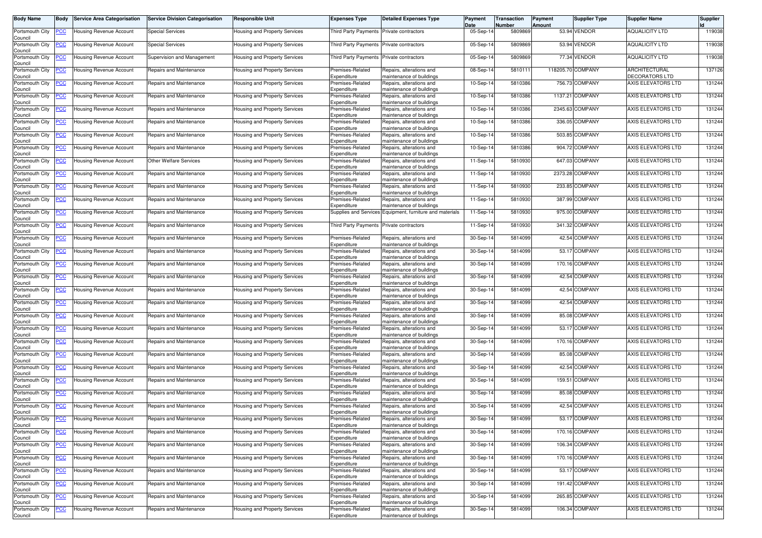| Body Name                  | Body           | <b>Service Area Categorisation</b> | <b>Service Division Categorisation</b> | <b>Responsible Unit</b>              | <b>Expenses Type</b>                     | <b>Detailed Expenses Type</b>                                                        | Payment<br>Date | Transaction<br>Number | Payment<br>Amount | <b>Supplier Type</b> | <b>Supplier Name</b>            | <b>Supplier</b> |
|----------------------------|----------------|------------------------------------|----------------------------------------|--------------------------------------|------------------------------------------|--------------------------------------------------------------------------------------|-----------------|-----------------------|-------------------|----------------------|---------------------------------|-----------------|
| Portsmouth City            | <u>'CC</u>     | Housing Revenue Account            | <b>Special Services</b>                | Housing and Property Services        | Third Party Payments                     | Private contractors                                                                  | 05-Sep-14       | 5809869               |                   | 53.94 VENDOR         | <b>AQUALICITY LTD</b>           | 119038          |
| Council<br>Portsmouth City | <u>'CC</u>     | <b>Housing Revenue Account</b>     | <b>Special Services</b>                | Housing and Property Services        | Third Party Payments Private contractors |                                                                                      | 05-Sep-14       | 5809869               |                   | 53.94 VENDOR         | <b>AQUALICITY LTD</b>           | 119038          |
| Council<br>Portsmouth City | <u>'CC</u>     | Housing Revenue Account            | Supervision and Management             | Housing and Property Services        | Third Party Payments                     | Private contractors                                                                  | 05-Sep-14       | 5809869               |                   | 77.34 VENDOR         | <b>AQUALICITY LTD</b>           | 119038          |
| Council<br>Portsmouth City | <u>'CC</u>     | Housing Revenue Account            | Repairs and Maintenance                | Housing and Property Services        | Premises-Related                         | Repairs, alterations and                                                             | 08-Sep-14       | 5810111               |                   | 118205.70 COMPANY    | ARCHITECTURAL<br>DECORATORS LTD | 137126          |
| Council<br>Portsmouth City | <u>'CC</u>     | Housing Revenue Account            | Repairs and Maintenance                | Housing and Property Services        | Expenditure<br>Premises-Related          | maintenance of buildings<br>Repairs, alterations and                                 | 10-Sep-14       | 5810386               |                   | 756.73 COMPANY       | AXIS ELEVATORS LTD              | 131244          |
| Council<br>Portsmouth City | <u>'CC</u>     | <b>Housing Revenue Account</b>     | Repairs and Maintenance                | Housing and Property Services        | Expenditure<br>Premises-Related          | maintenance of buildings<br>Repairs, alterations and                                 | 10-Sep-14       | 5810386               |                   | 1137.21 COMPANY      | AXIS ELEVATORS LTD              | 131244          |
| Council<br>Portsmouth City | <u>'CC</u>     | Housing Revenue Account            | Repairs and Maintenance                | Housing and Property Services        | Expenditure<br>Premises-Related          | maintenance of buildings<br>Repairs, alterations and                                 | $10-Sep-1$      | 5810386               |                   | 2345.63 COMPANY      | AXIS ELEVATORS LTD              | 131244          |
| Council<br>Portsmouth City | <u>'СС</u>     | Housing Revenue Account            | Repairs and Maintenance                | Housing and Property Services        | Expenditure<br>Premises-Related          | maintenance of buildings<br>Repairs, alterations and                                 | 10-Sep-14       | 5810386               |                   | 336.05 COMPANY       | AXIS ELEVATORS LTD              | 131244          |
| Council<br>Portsmouth City | <u>'CC</u>     | Housing Revenue Account            | Repairs and Maintenance                | Housing and Property Services        | Expenditure<br>Premises-Related          | maintenance of buildings<br>Repairs, alterations and                                 | 10-Sep-14       | 5810386               |                   | 503.85 COMPANY       | AXIS ELEVATORS LTD              | 131244          |
| Council<br>Portsmouth City | <u>'CC</u>     | Housing Revenue Account            | Repairs and Maintenance                | Housing and Property Services        | Expenditure<br>Premises-Related          | maintenance of buildings<br>Repairs, alterations and                                 | 10-Sep-14       | 5810386               |                   | 904.72 COMPANY       | AXIS ELEVATORS LTD              | 131244          |
| Council<br>Portsmouth City | <u>PCC</u>     | Housing Revenue Account            | <b>Other Welfare Services</b>          | Housing and Property Services        | Expenditure<br>Premises-Related          | maintenance of buildings<br>Repairs, alterations and                                 | 11-Sep-14       | 5810930               |                   | 647.03 COMPANY       | AXIS ELEVATORS LTD              | 131244          |
| Council<br>Portsmouth City | <u>'СС</u>     | Housing Revenue Account            | Repairs and Maintenance                | Housing and Property Services        | Expenditure<br>Premises-Related          | maintenance of buildings<br>Repairs, alterations and                                 | 11-Sep-14       | 5810930               |                   | 2373.28 COMPANY      | AXIS ELEVATORS LTD              | 131244          |
| Council<br>Portsmouth City | <u>'CC</u>     | Housing Revenue Account            | Repairs and Maintenance                | Housing and Property Services        | Expenditure<br>Premises-Related          | maintenance of buildings<br>Repairs, alterations and                                 | $11-Sep-1$      | 5810930               |                   | 233.85 COMPANY       | AXIS ELEVATORS LTD              | 131244          |
| Council<br>Portsmouth City | <u>'СС</u>     | Housing Revenue Account            | Repairs and Maintenance                | Housing and Property Services        | Expenditure<br>Premises-Related          | maintenance of buildings<br>Repairs, alterations and                                 | 11-Sep-14       | 5810930               |                   | 387.99 COMPANY       | <b>AXIS ELEVATORS LTD</b>       | 131244          |
| Council<br>Portsmouth City | <u>PCC </u>    | Housing Revenue Account            | Repairs and Maintenance                | Housing and Property Services        | Expenditure                              | maintenance of buildings<br>Supplies and Services Equipment, furniture and materials | 11-Sep-14       | 5810930               |                   | 975.00 COMPANY       | AXIS ELEVATORS LTD              | 131244          |
| Council<br>Portsmouth City | <u>'СС</u>     | Housing Revenue Account            | Repairs and Maintenance                | Housing and Property Services        | Third Party Payments Private contractors |                                                                                      | 11-Sep-14       | 5810930               |                   | 341.32 COMPANY       | AXIS ELEVATORS LTD              | 131244          |
| Council<br>Portsmouth City | <u>'СС</u>     | <b>Housing Revenue Account</b>     | Repairs and Maintenance                | Housing and Property Services        | Premises-Related                         | Repairs, alterations and                                                             | 30-Sep-14       | 5814099               |                   | 42.54 COMPANY        | AXIS ELEVATORS LTD              | 131244          |
| Council<br>Portsmouth City | <u>CC</u>      | Housing Revenue Account            | Repairs and Maintenance                | Housing and Property Services        | Expenditure<br>Premises-Related          | maintenance of buildings<br>Repairs, alterations and                                 | 30-Sep-14       | 5814099               |                   | 53.17 COMPANY        | AXIS ELEVATORS LTD              | 131244          |
| Council<br>Portsmouth City | <u>CC </u>     | Housing Revenue Account            | Repairs and Maintenance                | Housing and Property Services        | Expenditure<br>Premises-Related          | maintenance of buildings<br>Repairs, alterations and                                 | 30-Sep-14       | 5814099               |                   | 170.16 COMPANY       | AXIS ELEVATORS LTD              | 131244          |
| Council<br>Portsmouth City | <u>'CC</u>     | Housing Revenue Account            | Repairs and Maintenance                | Housing and Property Services        | Expenditure<br>Premises-Related          | maintenance of buildings<br>Repairs, alterations and                                 | 30-Sep-14       | 5814099               |                   | 42.54 COMPANY        | AXIS ELEVATORS LTD              | 131244          |
| Council<br>Portsmouth City | <u>'СС</u>     | Housing Revenue Account            | Repairs and Maintenance                | Housing and Property Services        | Expenditure<br>Premises-Related          | maintenance of buildings<br>Repairs, alterations and                                 | 30-Sep-14       | 5814099               |                   | 42.54 COMPANY        | AXIS ELEVATORS LTD              | 131244          |
| Council<br>Portsmouth City | <u>cc</u>      | Housing Revenue Account            | Repairs and Maintenance                | Housing and Property Services        | Expenditure<br>Premises-Related          | maintenance of buildings<br>Repairs, alterations and                                 | 30-Sep-14       | 5814099               |                   | 42.54 COMPANY        | AXIS ELEVATORS LTD              | 131244          |
| Council<br>Portsmouth City | <u>'CC</u>     | Housing Revenue Account            | Repairs and Maintenance                | Housing and Property Services        | Expenditure<br>Premises-Related          | maintenance of buildings<br>Repairs, alterations and                                 | 30-Sep-14       | 5814099               |                   | 85.08 COMPANY        | AXIS ELEVATORS LTD              | 131244          |
| Council<br>Portsmouth City | <u>'CC</u>     | Housing Revenue Account            | Repairs and Maintenance                | Housing and Property Services        | Expenditure<br>Premises-Related          | maintenance of buildings<br>Repairs, alterations and                                 | 30-Sep-14       | 5814099               |                   | 53.17 COMPANY        | AXIS ELEVATORS LTD              | 131244          |
| Council<br>Portsmouth City | <u>'СС</u>     | Housing Revenue Account            | Repairs and Maintenance                | Housing and Property Services        | Expenditure<br>Premises-Related          | maintenance of buildings<br>Repairs, alterations and                                 | 30-Sep-14       | 5814099               |                   | 170.16 COMPANY       | AXIS ELEVATORS LTD              | 131244          |
| Council                    |                |                                    |                                        |                                      | Expenditure                              | maintenance of buildings                                                             |                 | 5814099               |                   | 85.08 COMPANY        | AXIS ELEVATORS LTD              |                 |
| Portsmouth City<br>Council | <u>CC </u>     | Housing Revenue Account            | Repairs and Maintenance                | Housing and Property Services        | Premises-Related<br>Expenditure          | Repairs, alterations and<br>maintenance of buildings                                 | 30-Sep-14       |                       |                   |                      |                                 | 131244          |
| Portsmouth City<br>Council | <u>'СС</u>     | Housing Revenue Account            | Repairs and Maintenance                | Housing and Property Services        | Premises-Related<br>Expenditure          | Repairs, alterations and<br>maintenance of buildings                                 | 30-Sep-14       | 5814099               |                   | 42.54 COMPANY        | AXIS ELEVATORS LTD              | 131244          |
| Portsmouth City<br>Council | <u>'CC</u>     | Housing Revenue Account            | Repairs and Maintenance                | Housing and Property Services        | Premises-Related<br>Expenditure          | Repairs, alterations and<br>maintenance of buildings                                 | 30-Sep-14       | 5814099               |                   | 159.51 COMPANY       | AXIS ELEVATORS LTD              | 131244          |
| Portsmouth City<br>Council | <u>'СС</u>     | Housing Revenue Account            | Repairs and Maintenance                | Housing and Property Services        | Premises-Related<br>Expenditure          | Repairs, alterations and<br>maintenance of buildings                                 | 30-Sep-14       | 5814099               |                   | 85.08 COMPANY        | AXIS ELEVATORS LTD              | 131244          |
| Portsmouth City<br>Council | <u>CC </u>     | Housing Revenue Account            | Repairs and Maintenance                | Housing and Property Services        | Premises-Related<br>Expenditure          | Repairs, alterations and<br>maintenance of buildings                                 | 30-Sep-14       | 5814099               |                   | 42.54 COMPANY        | AXIS ELEVATORS LTD              | 131244          |
| Portsmouth City<br>Council | <b>PCC</b>     | <b>Housing Revenue Account</b>     | Repairs and Maintenance                | Housing and Property Services        | Premises-Related<br>Expenditure          | Repairs, alterations and<br>maintenance of buildings                                 | 30-Sep-14       | 5814099               |                   | 53.17 COMPANY        | AXIS ELEVATORS LTD              | 131244          |
| Portsmouth City<br>Council | <b>CC</b>      | Housing Revenue Account            | Repairs and Maintenance                | Housing and Property Services        | Premises-Related<br>Expenditure          | Repairs, alterations and<br>maintenance of buildings                                 | 30-Sep-14       | 5814099               |                   | 170.16 COMPANY       | AXIS ELEVATORS LTD              | 131244          |
| Portsmouth City<br>Council | <u>'CC</u>     | <b>Housing Revenue Account</b>     | Repairs and Maintenance                | Housing and Property Services        | Premises-Related<br>Expenditure          | Repairs, alterations and<br>maintenance of buildings                                 | 30-Sep-14       | 5814099               |                   | 106.34 COMPANY       | AXIS ELEVATORS LTD              | 131244          |
| Portsmouth City<br>Council | $\overline{C}$ | <b>Housing Revenue Account</b>     | Repairs and Maintenance                | <b>Housing and Property Services</b> | Premises-Related<br>Expenditure          | Repairs, alterations and<br>maintenance of buildings                                 | 30-Sep-14       | 5814099               |                   | 170.16 COMPANY       | AXIS ELEVATORS LTD              | 131244          |
| Portsmouth City<br>Council | <u>'CC</u>     | <b>Housing Revenue Account</b>     | Repairs and Maintenance                | Housing and Property Services        | Premises-Related<br>Expenditure          | Repairs, alterations and<br>maintenance of buildings                                 | 30-Sep-14       | 5814099               |                   | 53.17 COMPANY        | AXIS ELEVATORS LTD              | 131244          |
| Portsmouth City<br>Council | <u>CC</u>      | Housing Revenue Account            | Repairs and Maintenance                | Housing and Property Services        | Premises-Related<br>Expenditure          | Repairs, alterations and<br>maintenance of buildings                                 | 30-Sep-14       | 5814099               |                   | 191.42 COMPANY       | AXIS ELEVATORS LTD              | 131244          |
| Portsmouth City<br>Council | <u>'CC</u>     | <b>Housing Revenue Account</b>     | Repairs and Maintenance                | Housing and Property Services        | Premises-Related<br>Expenditure          | Repairs, alterations and<br>maintenance of buildings                                 | 30-Sep-14       | 5814099               |                   | 265.85 COMPANY       | AXIS ELEVATORS LTD              | 131244          |
| Portsmouth City<br>Council | <u>'CC</u>     | Housing Revenue Account            | Repairs and Maintenance                | Housing and Property Services        | Premises-Related<br>Expenditure          | Repairs, alterations and<br>maintenance of buildings                                 | 30-Sep-14       | 5814099               |                   | 106.34 COMPANY       | <b>AXIS ELEVATORS LTD</b>       | 131244          |
|                            |                |                                    |                                        |                                      |                                          |                                                                                      |                 |                       |                   |                      |                                 |                 |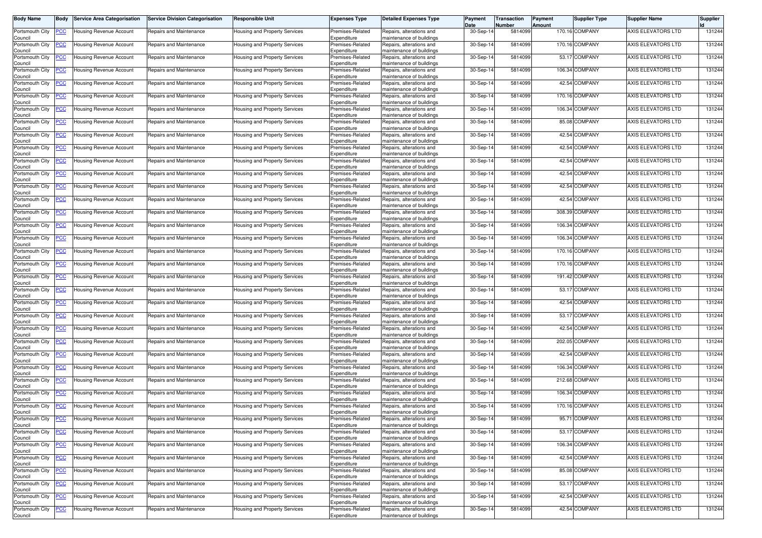| Body Name                  | <b>Body</b>    | <b>Service Area Categorisation</b> | <b>Service Division Categorisation</b> | Responsible Unit                     | <b>Expenses Type</b>            | <b>Detailed Expenses Type</b>                        | Payment<br>Date | Transaction<br>Number | Payment<br>Amount | <b>Supplier Type</b> | <b>Supplier Name</b> | <b>Supplier</b> |
|----------------------------|----------------|------------------------------------|----------------------------------------|--------------------------------------|---------------------------------|------------------------------------------------------|-----------------|-----------------------|-------------------|----------------------|----------------------|-----------------|
| Portsmouth City<br>Council | <u>PCC</u>     | Housing Revenue Account            | Repairs and Maintenance                | Housing and Property Services        | Premises-Related<br>Expenditure | Repairs, alterations and<br>maintenance of buildings | 30-Sep-14       | 5814099               |                   | 170.16 COMPANY       | AXIS ELEVATORS LTD   | 131244          |
| Portsmouth City            | <u>'CC</u>     | Housing Revenue Account            | Repairs and Maintenance                | lousing and Property Services        | Premises-Related                | Repairs, alterations and                             | 30-Sep-14       | 5814099               |                   | 170.16 COMPANY       | AXIS ELEVATORS LTD   | 131244          |
| Council<br>Portsmouth City | <u>cc</u>      | Housing Revenue Account            | Repairs and Maintenance                | Housing and Property Services        | Expenditure<br>Premises-Related | maintenance of buildings<br>Repairs, alterations and | 30-Sep-14       | 5814099               |                   | 53.17 COMPANY        | AXIS ELEVATORS LTD   | 131244          |
| Council<br>Portsmouth City | <u>CC </u>     | Housing Revenue Account            | Repairs and Maintenance                | Housing and Property Services        | Expenditure<br>Premises-Related | maintenance of buildings<br>Repairs, alterations and | 30-Sep-14       | 5814099               |                   | 106.34 COMPANY       | AXIS ELEVATORS LTD   | 131244          |
| Council<br>Portsmouth City | <u>'CC</u>     | Housing Revenue Account            | Repairs and Maintenance                | Housing and Property Services        | Expenditure<br>Premises-Related | maintenance of buildings<br>Repairs, alterations and | 30-Sep-14       | 5814099               |                   | 42.54 COMPANY        | AXIS ELEVATORS LTD   | 131244          |
| Council<br>Portsmouth City | <u>'СС</u>     | Housing Revenue Account            | Repairs and Maintenance                | Housing and Property Services        | Expenditure<br>Premises-Related | maintenance of buildings<br>Repairs, alterations and | 30-Sep-14       | 5814099               |                   | 170.16 COMPANY       | AXIS ELEVATORS LTD   | 131244          |
| Council<br>Portsmouth City | <u>'CC</u>     | Housing Revenue Account            | Repairs and Maintenance                | Housing and Property Services        | Expenditure<br>Premises-Related | maintenance of buildings<br>Repairs, alterations and | 30-Sep-14       | 5814099               |                   | 106.34 COMPANY       | AXIS ELEVATORS LTD   | 131244          |
| Council<br>Portsmouth City | <u>CC </u>     | Housing Revenue Account            | Repairs and Maintenance                | Housing and Property Services        | Expenditure<br>Premises-Related | maintenance of buildings<br>Repairs, alterations and | 30-Sep-14       | 5814099               |                   | 85.08 COMPANY        | AXIS ELEVATORS LTD   | 131244          |
| Council                    |                |                                    |                                        |                                      | Expenditure                     | maintenance of buildings                             |                 |                       |                   |                      | AXIS ELEVATORS LTD   |                 |
| Portsmouth City<br>Council | <u>cc</u>      | <b>Housing Revenue Account</b>     | Repairs and Maintenance                | Housing and Property Services        | Premises-Related<br>Expenditure | Repairs, alterations and<br>maintenance of buildings | 30-Sep-14       | 5814099               |                   | 42.54 COMPANY        |                      | 131244          |
| Portsmouth City<br>Council | <u>'CC</u>     | Housing Revenue Account            | Repairs and Maintenance                | Housing and Property Services        | Premises-Related<br>Expenditure | Repairs, alterations and<br>maintenance of buildings | 30-Sep-14       | 5814099               |                   | 42.54 COMPANY        | AXIS ELEVATORS LTD   | 131244          |
| Portsmouth City<br>Council | <u>'СС</u>     | Housing Revenue Account            | Repairs and Maintenance                | Housing and Property Services        | Premises-Related<br>Expenditure | Repairs, alterations and<br>maintenance of buildings | 30-Sep-14       | 5814099               |                   | 42.54 COMPANY        | AXIS ELEVATORS LTD   | 131244          |
| Portsmouth City<br>Council | <u>'СС</u>     | Housing Revenue Account            | Repairs and Maintenance                | Housing and Property Services        | Premises-Related<br>Expenditure | Repairs, alterations and<br>maintenance of buildings | 30-Sep-14       | 5814099               |                   | 42.54 COMPANY        | AXIS ELEVATORS LTD   | 131244          |
| Portsmouth City<br>Council | <u>'CC</u>     | Housing Revenue Account            | Repairs and Maintenance                | Housing and Property Services        | Premises-Related<br>Expenditure | Repairs, alterations and<br>maintenance of buildings | 30-Sep-14       | 5814099               |                   | 42.54 COMPANY        | AXIS ELEVATORS LTD   | 131244          |
| Portsmouth City            | <u>'СС</u>     | Housing Revenue Account            | Repairs and Maintenance                | Housing and Property Services        | Premises-Related                | Repairs, alterations and                             | 30-Sep-14       | 5814099               |                   | 42.54 COMPANY        | AXIS ELEVATORS LTD   | 131244          |
| Council<br>Portsmouth City | <u>'CC</u>     | Housing Revenue Account            | Repairs and Maintenance                | Housing and Property Services        | Expenditure<br>Premises-Related | maintenance of buildings<br>Repairs, alterations and | 30-Sep-14       | 5814099               |                   | 308.39 COMPANY       | AXIS ELEVATORS LTD   | 131244          |
| Council<br>Portsmouth City | <u>CC </u>     | Housing Revenue Account            | Repairs and Maintenance                | Housing and Property Services        | Expenditure<br>Premises-Related | maintenance of buildings<br>Repairs, alterations and | 30-Sep-14       | 5814099               |                   | 106.34 COMPANY       | AXIS ELEVATORS LTD   | 131244          |
| Council<br>Portsmouth City | <u>'СС</u>     | Housing Revenue Account            | Repairs and Maintenance                | Housing and Property Services        | Expenditure<br>Premises-Related | maintenance of buildings<br>Repairs, alterations and | 30-Sep-14       | 5814099               |                   | 106.34 COMPANY       | AXIS ELEVATORS LTD   | 131244          |
| Council<br>Portsmouth City | <u>'CC</u>     | Housing Revenue Account            | Repairs and Maintenance                | Housing and Property Services        | Expenditure<br>Premises-Related | maintenance of buildings<br>Repairs, alterations and | 30-Sep-14       | 5814099               |                   | 170.16 COMPANY       | AXIS ELEVATORS LTD   | 131244          |
| Council<br>Portsmouth City | <u>'СС</u>     | Housing Revenue Account            | Repairs and Maintenance                | Housing and Property Services        | Expenditure<br>Premises-Related | maintenance of buildings<br>Repairs, alterations and | $30-Sep-1$      | 5814099               |                   | 170.16 COMPANY       | AXIS ELEVATORS LTD   | 131244          |
| Council                    |                |                                    |                                        |                                      | Expenditure                     | maintenance of buildings                             |                 | 5814099               |                   | 191.42 COMPANY       | AXIS ELEVATORS LTD   | 131244          |
| Portsmouth City<br>Council | <u>'CC</u>     | Housing Revenue Account            | Repairs and Maintenance                | Housing and Property Services        | Premises-Related<br>Expenditure | Repairs, alterations and<br>maintenance of buildings | 30-Sep-14       |                       |                   |                      |                      |                 |
| Portsmouth City<br>Council | <u>PCC</u>     | Housing Revenue Account            | Repairs and Maintenance                | Housing and Property Services        | Premises-Related<br>Expenditure | Repairs, alterations and<br>maintenance of buildings | 30-Sep-14       | 5814099               |                   | 53.17 COMPANY        | AXIS ELEVATORS LTD   | 131244          |
| Portsmouth City<br>Council | <u>'CC</u>     | Housing Revenue Account            | Repairs and Maintenance                | Housing and Property Services        | Premises-Related<br>Expenditure | Repairs, alterations and<br>maintenance of buildings | 30-Sep-14       | 5814099               |                   | 42.54 COMPANY        | AXIS ELEVATORS LTD   | 131244          |
| Portsmouth City<br>Council | <u>PCC</u>     | Housing Revenue Account            | Repairs and Maintenance                | Housing and Property Services        | Premises-Related<br>Expenditure | Repairs, alterations and<br>maintenance of buildings | 30-Sep-14       | 5814099               |                   | 53.17 COMPANY        | AXIS ELEVATORS LTD   | 131244          |
| Portsmouth City<br>Council | <u>'СС</u>     | Housing Revenue Account            | Repairs and Maintenance                | Housing and Property Services        | Premises-Related<br>Expenditure | Repairs, alterations and<br>maintenance of buildings | 30-Sep-14       | 5814099               |                   | 42.54 COMPANY        | AXIS ELEVATORS LTD   | 131244          |
| Portsmouth City<br>Council | <u>'СС</u>     | Housing Revenue Account            | Repairs and Maintenance                | Housing and Property Services        | Premises-Related<br>Expenditure | Repairs, alterations and<br>maintenance of buildings | 30-Sep-14       | 5814099               |                   | 202.05 COMPANY       | AXIS ELEVATORS LTD   | 131244          |
| Portsmouth City            | <u>'CC</u>     | Housing Revenue Account            | Repairs and Maintenance                | Housing and Property Services        | Premises-Related                | Repairs, alterations and                             | 30-Sep-14       | 5814099               |                   | 42.54 COMPANY        | AXIS ELEVATORS LTD   | 131244          |
| Council<br>Portsmouth City | <u>CC </u>     | Housing Revenue Account            | Repairs and Maintenance                | Housing and Property Services        | Expenditure<br>Premises-Related | maintenance of buildings<br>Repairs, alterations and | 30-Sep-14       | 5814099               |                   | 106.34 COMPANY       | AXIS ELEVATORS LTD   | 131244          |
| Council<br>Portsmouth City | <u>сс</u>      | Housing Revenue Account            | Repairs and Maintenance                | Housing and Property Services        | Expenditure<br>Premises-Related | maintenance of buildings<br>Repairs, alterations and | 30-Sep-14       | 5814099               |                   | 212.68 COMPANY       | AXIS ELEVATORS LTD   | 131244          |
| Council<br>Portsmouth City | <u>CC </u>     | Housing Revenue Account            | Repairs and Maintenance                | Housing and Property Services        | Expenditure<br>Premises-Related | maintenance of buildings<br>Repairs, alterations and | 30-Sep-14       | 5814099               |                   | 106.34 COMPANY       | AXIS ELEVATORS LTD   | 131244          |
| Council<br>Portsmouth City | <u>CC </u>     | Housing Revenue Account            | Repairs and Maintenance                | Housing and Property Services        | Expenditure<br>Premises-Related | maintenance of buildings<br>Repairs, alterations and | 30-Sep-14       | 5814099               |                   | 170.16 COMPANY       | AXIS ELEVATORS LTD   | 131244          |
| Council<br>Portsmouth City | <b>CC</b>      | Housing Revenue Account            | Repairs and Maintenance                | Housing and Property Services        | Expenditure<br>Premises-Related | maintenance of buildings<br>Repairs, alterations and | 30-Sep-14       | 5814099               |                   | 95.71 COMPANY        | AXIS ELEVATORS LTD   | 131244          |
| Council<br>Portsmouth City | <u>CC</u>      | <b>Housing Revenue Account</b>     | Repairs and Maintenance                | Housing and Property Services        | Expenditure<br>Premises-Related | maintenance of buildings<br>Repairs, alterations and | 30-Sep-14       | 5814099               |                   | 53.17 COMPANY        | AXIS ELEVATORS LTD   | 131244          |
| Council                    |                |                                    |                                        |                                      | Expenditure                     | maintenance of buildings                             |                 |                       |                   |                      |                      |                 |
| Portsmouth City<br>Council | <u>'CC</u>     | <b>Housing Revenue Account</b>     | Repairs and Maintenance                | Housing and Property Services        | Premises-Related<br>Expenditure | Repairs, alterations and<br>maintenance of buildings | 30-Sep-14       | 5814099               |                   | 106.34 COMPANY       | AXIS ELEVATORS LTD   | 131244          |
| Portsmouth City<br>Council | $\overline{C}$ | Housing Revenue Account            | Repairs and Maintenance                | Housing and Property Services        | Premises-Related<br>Expenditure | Repairs, alterations and<br>maintenance of buildings | 30-Sep-14       | 5814099               |                   | 42.54 COMPANY        | AXIS ELEVATORS LTD   | 131244          |
| Portsmouth City<br>Council | <u>'CC</u>     | Housing Revenue Account            | Repairs and Maintenance                | Housing and Property Services        | Premises-Related<br>Expenditure | Repairs, alterations and<br>maintenance of buildings | 30-Sep-14       | 5814099               |                   | 85.08 COMPANY        | AXIS ELEVATORS LTD   | 131244          |
| Portsmouth City<br>Council | <u>'CC</u>     | Housing Revenue Account            | Repairs and Maintenance                | Housing and Property Services        | Premises-Related<br>Expenditure | Repairs, alterations and<br>maintenance of buildings | 30-Sep-14       | 5814099               |                   | 53.17 COMPANY        | AXIS ELEVATORS LTD   | 131244          |
| Portsmouth City<br>Council | <u>'CC</u>     | <b>Housing Revenue Account</b>     | Repairs and Maintenance                | <b>Housing and Property Services</b> | Premises-Related<br>Expenditure | Repairs, alterations and<br>maintenance of buildings | 30-Sep-14       | 5814099               |                   | 42.54 COMPANY        | AXIS ELEVATORS LTD   | 131244          |
| Portsmouth City            | <u>cc</u>      | Housing Revenue Account            | Repairs and Maintenance                | Housing and Property Services        | Premises-Related                | Repairs, alterations and                             | 30-Sep-14       | 5814099               |                   | 42.54 COMPANY        | AXIS ELEVATORS LTD   | 131244          |
| Council                    |                |                                    |                                        |                                      | Expenditure                     | maintenance of buildings                             |                 |                       |                   |                      |                      |                 |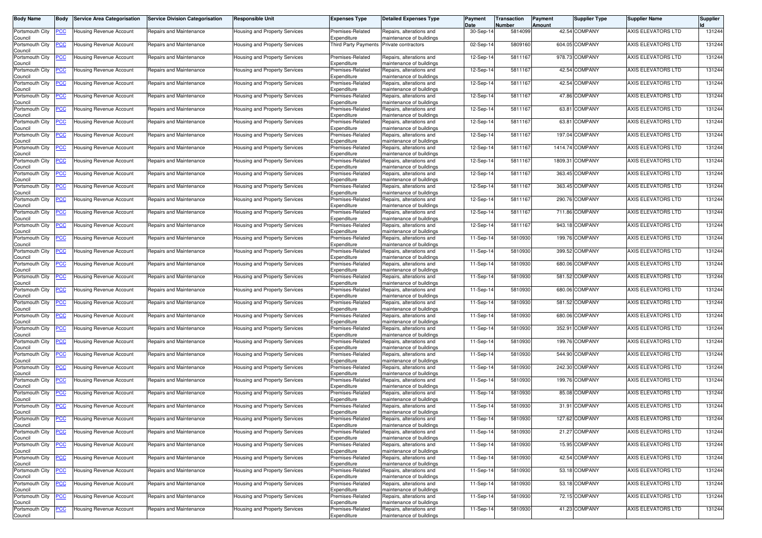| Body Name                  | Body           | <b>Service Area Categorisation</b> | <b>Service Division Categorisation</b> | <b>Responsible Unit</b>              | <b>Expenses Type</b>                | <b>Detailed Expenses Type</b>                        | Payment<br>Date | Transaction<br>Number | Payment<br>Amount | <b>Supplier Type</b> | <b>Supplier Name</b>      | <b>Supplier</b> |
|----------------------------|----------------|------------------------------------|----------------------------------------|--------------------------------------|-------------------------------------|------------------------------------------------------|-----------------|-----------------------|-------------------|----------------------|---------------------------|-----------------|
| Portsmouth City            | <u>'CC</u>     | Housing Revenue Account            | Repairs and Maintenance                | Housing and Property Services        | Premises-Related                    | Repairs, alterations and                             | 30-Sep-14       | 5814099               |                   | 42.54 COMPANY        | AXIS ELEVATORS LTD        | 131244          |
| Council<br>Portsmouth City | <u>'CC</u>     | <b>Housing Revenue Account</b>     | Repairs and Maintenance                | Housing and Property Services        | Expenditure<br>Third Party Payments | maintenance of buildings<br>Private contractors      | 02-Sep-14       | 5809160               |                   | 604.05 COMPANY       | AXIS ELEVATORS LTD        | 131244          |
| Council<br>Portsmouth City | <u>'СС</u>     | Housing Revenue Account            | Repairs and Maintenance                | Housing and Property Services        | Premises-Related                    | Repairs, alterations and                             | 12-Sep-14       | 5811167               |                   | 978.73 COMPANY       | AXIS ELEVATORS LTD        | 131244          |
| Council<br>Portsmouth City | <u>'CC</u>     | Housing Revenue Account            | Repairs and Maintenance                | Housing and Property Services        | Expenditure<br>Premises-Related     | maintenance of buildings<br>Repairs, alterations and | 12-Sep-14       | 5811167               |                   | 42.54 COMPANY        | AXIS ELEVATORS LTD        | 131244          |
| Council                    |                |                                    |                                        |                                      | Expenditure                         | maintenance of buildings                             |                 |                       |                   |                      |                           |                 |
| Portsmouth City<br>Council | <u>'CC</u>     | Housing Revenue Account            | Repairs and Maintenance                | Housing and Property Services        | Premises-Related<br>Expenditure     | Repairs, alterations and<br>maintenance of buildings | 12-Sep-14       | 5811167               |                   | 42.54 COMPANY        | AXIS ELEVATORS LTD        | 131244          |
| Portsmouth City<br>Council | <u>'CC</u>     | Housing Revenue Account            | Repairs and Maintenance                | Housing and Property Services        | Premises-Related<br>Expenditure     | Repairs, alterations and<br>maintenance of buildings | 12-Sep-14       | 5811167               |                   | 47.86 COMPANY        | AXIS ELEVATORS LTD        | 131244          |
| Portsmouth City<br>Council | <u>'CC</u>     | Housing Revenue Account            | Repairs and Maintenance                | Housing and Property Services        | Premises-Related<br>Expenditure     | Repairs, alterations and<br>maintenance of buildings | 12-Sep-1        | 5811167               |                   | 63.81 COMPANY        | AXIS ELEVATORS LTD        | 131244          |
| Portsmouth City<br>Council | <u>'СС</u>     | Housing Revenue Account            | Repairs and Maintenance                | Housing and Property Services        | Premises-Related<br>Expenditure     | Repairs, alterations and<br>maintenance of buildings | 12-Sep-14       | 5811167               |                   | 63.81 COMPANY        | AXIS ELEVATORS LTD        | 131244          |
| Portsmouth City            | <u>'CC</u>     | Housing Revenue Account            | Repairs and Maintenance                | Housing and Property Services        | Premises-Related                    | Repairs, alterations and                             | 12-Sep-14       | 5811167               |                   | 197.04 COMPANY       | AXIS ELEVATORS LTD        | 131244          |
| Council<br>Portsmouth City | <u>'CC</u>     | Housing Revenue Account            | Repairs and Maintenance                | Housing and Property Services        | Expenditure<br>Premises-Related     | maintenance of buildings<br>Repairs, alterations and | 12-Sep-14       | 5811167               |                   | 1414.74 COMPANY      | AXIS ELEVATORS LTD        | 131244          |
| Council<br>Portsmouth City | <u>PCC</u>     | Housing Revenue Account            | Repairs and Maintenance                | Housing and Property Services        | Expenditure<br>Premises-Related     | maintenance of buildings<br>Repairs, alterations and | 12-Sep-14       | 5811167               | 1809.31           | <b>COMPANY</b>       | AXIS ELEVATORS LTD        | 131244          |
| Council<br>Portsmouth City | <u>'CC</u>     | Housing Revenue Account            | Repairs and Maintenance                | Housing and Property Services        | Expenditure<br>Premises-Related     | maintenance of buildings<br>Repairs, alterations and | 12-Sep-14       | 5811167               |                   | 363.45 COMPANY       | AXIS ELEVATORS LTD        | 131244          |
| Council                    |                |                                    |                                        |                                      | Expenditure                         | maintenance of buildings                             |                 |                       |                   |                      |                           |                 |
| Portsmouth City<br>Council | <u>'CC</u>     | Housing Revenue Account            | Repairs and Maintenance                | Housing and Property Services        | Premises-Related<br>Expenditure     | Repairs, alterations and<br>maintenance of buildings | 12-Sep-14       | 5811167               |                   | 363.45 COMPANY       | AXIS ELEVATORS LTD        | 131244          |
| Portsmouth City<br>Council | <u>'СС</u>     | Housing Revenue Account            | Repairs and Maintenance                | Housing and Property Services        | Premises-Related<br>Expenditure     | Repairs, alterations and<br>maintenance of buildings | 12-Sep-14       | 5811167               |                   | 290.76 COMPANY       | <b>AXIS ELEVATORS LTD</b> | 131244          |
| Portsmouth City            | <u>PCC </u>    | Housing Revenue Account            | Repairs and Maintenance                | Housing and Property Services        | Premises-Related<br>Expenditure     | Repairs, alterations and<br>maintenance of buildings | 12-Sep-14       | 5811167               |                   | 711.86 COMPANY       | AXIS ELEVATORS LTD        | 131244          |
| Council<br>Portsmouth City | <u>'СС</u>     | Housing Revenue Account            | Repairs and Maintenance                | Housing and Property Services        | Premises-Related                    | Repairs, alterations and                             | 12-Sep-14       | 5811167               |                   | 943.18 COMPANY       | AXIS ELEVATORS LTD        | 131244          |
| Council<br>Portsmouth City | <u>'СС</u>     | <b>Housing Revenue Account</b>     | Repairs and Maintenance                | Housing and Property Services        | Expenditure<br>Premises-Related     | maintenance of buildings<br>Repairs, alterations and | 11-Sep-14       | 5810930               |                   | 199.76 COMPANY       | AXIS ELEVATORS LTD        | 131244          |
| Council<br>Portsmouth City | <u>'CC</u>     | Housing Revenue Account            | Repairs and Maintenance                | Housing and Property Services        | Expenditure<br>Premises-Related     | maintenance of buildings<br>Repairs, alterations and | 11-Sep-14       | 5810930               |                   | 399.52 COMPANY       | AXIS ELEVATORS LTD        | 131244          |
| Council<br>Portsmouth City | <u>CC </u>     | Housing Revenue Account            | Repairs and Maintenance                | Housing and Property Services        | Expenditure<br>Premises-Related     | maintenance of buildings<br>Repairs, alterations and | 11-Sep-14       | 5810930               |                   | 680.06 COMPANY       | AXIS ELEVATORS LTD        | 131244          |
| Council                    |                |                                    |                                        |                                      | Expenditure                         | maintenance of buildings                             |                 |                       |                   |                      |                           |                 |
| Portsmouth City<br>Council | <u>'CC</u>     | Housing Revenue Account            | Repairs and Maintenance                | Housing and Property Services        | Premises-Related<br>Expenditure     | Repairs, alterations and<br>maintenance of buildings | 11-Sep-14       | 5810930               |                   | 581.52 COMPANY       | AXIS ELEVATORS LTD        | 131244          |
| Portsmouth City<br>Council | <u>'СС</u>     | Housing Revenue Account            | Repairs and Maintenance                | Housing and Property Services        | Premises-Related<br>Expenditure     | Repairs, alterations and<br>maintenance of buildings | 11-Sep-14       | 5810930               |                   | 680.06 COMPANY       | AXIS ELEVATORS LTD        | 131244          |
| Portsmouth City<br>Council | <u>cc</u>      | Housing Revenue Account            | Repairs and Maintenance                | Housing and Property Services        | Premises-Related<br>Expenditure     | Repairs, alterations and<br>maintenance of buildings | 11-Sep-14       | 5810930               |                   | 581.52 COMPANY       | AXIS ELEVATORS LTD        | 131244          |
| Portsmouth City            | <u>'CC</u>     | Housing Revenue Account            | Repairs and Maintenance                | Housing and Property Services        | Premises-Related                    | Repairs, alterations and                             | 11-Sep-14       | 5810930               |                   | 680.06 COMPANY       | AXIS ELEVATORS LTD        | 131244          |
| Council<br>Portsmouth City | <u>'СС</u>     | Housing Revenue Account            | Repairs and Maintenance                | Housing and Property Services        | Expenditure<br>Premises-Related     | maintenance of buildings<br>Repairs, alterations and | 11-Sep-14       | 5810930               |                   | 352.91 COMPANY       | AXIS ELEVATORS LTD        | 131244          |
| Council<br>Portsmouth City | <u>'СС</u>     | Housing Revenue Account            | Repairs and Maintenance                | Housing and Property Services        | Expenditure<br>Premises-Related     | maintenance of buildings<br>Repairs, alterations and | 11-Sep-14       | 5810930               |                   | 199.76 COMPANY       | AXIS ELEVATORS LTD        | 131244          |
| Council<br>Portsmouth City | <u>CC </u>     | Housing Revenue Account            | Repairs and Maintenance                | Housing and Property Services        | Expenditure<br>Premises-Related     | maintenance of buildings<br>Repairs, alterations and | 11-Sep-14       | 5810930               |                   | 544.90 COMPANY       | AXIS ELEVATORS LTD        | 131244          |
| Council                    |                |                                    |                                        |                                      | Expenditure                         | maintenance of buildings                             |                 |                       |                   |                      |                           |                 |
| Portsmouth City<br>Council | <u>'СС</u>     | Housing Revenue Account            | Repairs and Maintenance                | Housing and Property Services        | Premises-Related<br>Expenditure     | Repairs, alterations and<br>maintenance of buildings | 11-Sep-14       | 5810930               |                   | 242.30 COMPANY       | AXIS ELEVATORS LTD        | 131244          |
| Portsmouth City<br>Council | <u>CC</u>      | Housing Revenue Account            | Repairs and Maintenance                | Housing and Property Services        | Premises-Related<br>Expenditure     | Repairs, alterations and<br>maintenance of buildings | $11-Sep-1$      | 5810930               |                   | 199.76 COMPANY       | AXIS ELEVATORS LTD        | 131244          |
| Portsmouth City<br>Council | <u>'СС</u>     | Housing Revenue Account            | Repairs and Maintenance                | Housing and Property Services        | Premises-Related<br>Expenditure     | Repairs, alterations and<br>maintenance of buildings | 11-Sep-14       | 5810930               |                   | 85.08 COMPANY        | AXIS ELEVATORS LTD        | 131244          |
| Portsmouth City<br>Council | <u>CC </u>     | Housing Revenue Account            | Repairs and Maintenance                | Housing and Property Services        | Premises-Related<br>Expenditure     | Repairs, alterations and<br>maintenance of buildings | 11-Sep-14       | 5810930               |                   | 31.91 COMPANY        | AXIS ELEVATORS LTD        | 131244          |
| Portsmouth City            | <b>PCC</b>     | <b>Housing Revenue Account</b>     | Repairs and Maintenance                | Housing and Property Services        | Premises-Related                    | Repairs, alterations and                             | 11-Sep-14       | 5810930               |                   | 127.62 COMPANY       | AXIS ELEVATORS LTD        | 131244          |
| Council<br>Portsmouth City | <b>CC</b>      | Housing Revenue Account            | Repairs and Maintenance                | Housing and Property Services        | Expenditure<br>Premises-Related     | maintenance of buildings<br>Repairs, alterations and | 11-Sep-14       | 5810930               |                   | 21.27 COMPANY        | AXIS ELEVATORS LTD        | 131244          |
| Council<br>Portsmouth City | <u>'CC</u>     | <b>Housing Revenue Account</b>     | Repairs and Maintenance                | Housing and Property Services        | Expenditure<br>Premises-Related     | maintenance of buildings<br>Repairs, alterations and | 11-Sep-14       | 5810930               |                   | 15.95 COMPANY        | AXIS ELEVATORS LTD        | 131244          |
| Council<br>Portsmouth City | $\overline{C}$ | <b>Housing Revenue Account</b>     | Repairs and Maintenance                | <b>Housing and Property Services</b> | Expenditure<br>Premises-Related     | maintenance of buildings<br>Repairs, alterations and | 11-Sep-14       | 5810930               |                   | 42.54 COMPANY        | AXIS ELEVATORS LTD        | 131244          |
| Council                    |                |                                    |                                        |                                      | Expenditure                         | maintenance of buildings                             |                 |                       |                   |                      |                           |                 |
| Portsmouth City<br>Council | <u>'CC</u>     | <b>Housing Revenue Account</b>     | Repairs and Maintenance                | Housing and Property Services        | Premises-Related<br>Expenditure     | Repairs, alterations and<br>maintenance of buildings | 11-Sep-14       | 5810930               |                   | 53.18 COMPANY        | AXIS ELEVATORS LTD        | 131244          |
| Portsmouth City<br>Council | <u>CC</u>      | Housing Revenue Account            | Repairs and Maintenance                | Housing and Property Services        | Premises-Related<br>Expenditure     | Repairs, alterations and<br>maintenance of buildings | 11-Sep-14       | 5810930               |                   | 53.18 COMPANY        | AXIS ELEVATORS LTD        | 131244          |
| Portsmouth City<br>Council | <u>'CC</u>     | Housing Revenue Account            | Repairs and Maintenance                | Housing and Property Services        | Premises-Related<br>Expenditure     | Repairs, alterations and<br>maintenance of buildings | 11-Sep-14       | 5810930               |                   | 72.15 COMPANY        | AXIS ELEVATORS LTD        | 131244          |
| Portsmouth City            | <u>'CC</u>     | <b>Housing Revenue Account</b>     | Repairs and Maintenance                | Housing and Property Services        | Premises-Related                    | Repairs, alterations and                             | 11-Sep-14       | 5810930               |                   | 41.23 COMPANY        | AXIS ELEVATORS LTD        | 131244          |
| Council                    |                |                                    |                                        |                                      | Expenditure                         | maintenance of buildings                             |                 |                       |                   |                      |                           |                 |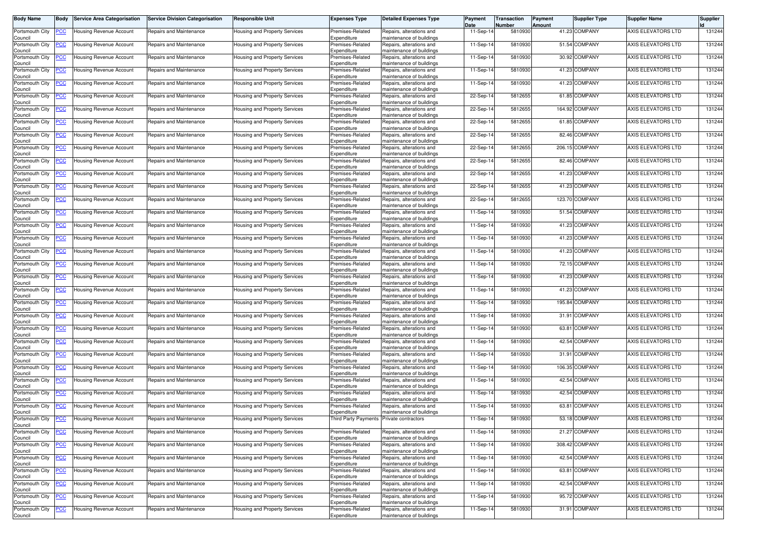| Body Name                  | Body           | <b>Service Area Categorisation</b> | <b>Service Division Categorisation</b> | <b>Responsible Unit</b>              | <b>Expenses Type</b>                     | <b>Detailed Expenses Type</b>                        | Payment<br>Date | Transaction<br>Number | Payment<br>Amount | <b>Supplier Type</b> | <b>Supplier Name</b>      | <b>Supplier</b> |
|----------------------------|----------------|------------------------------------|----------------------------------------|--------------------------------------|------------------------------------------|------------------------------------------------------|-----------------|-----------------------|-------------------|----------------------|---------------------------|-----------------|
| Portsmouth City            | <u>'CC</u>     | Housing Revenue Account            | Repairs and Maintenance                | Housing and Property Services        | Premises-Related                         | Repairs, alterations and                             | 11-Sep-14       | 5810930               |                   | 41.23 COMPANY        | AXIS ELEVATORS LTD        | 131244          |
| Council<br>Portsmouth City | <u>CC</u>      | <b>Housing Revenue Account</b>     | Repairs and Maintenance                | Housing and Property Services        | Expenditure<br>Premises-Related          | maintenance of buildings<br>Repairs, alterations and | 11-Sep-14       | 5810930               |                   | 51.54 COMPANY        | AXIS ELEVATORS LTD        | 131244          |
| Council<br>Portsmouth City | <u>'СС</u>     | Housing Revenue Account            | Repairs and Maintenance                | Housing and Property Services        | Expenditure<br>Premises-Related          | maintenance of buildings<br>Repairs, alterations and | 11-Sep-14       | 5810930               |                   | 30.92 COMPANY        | AXIS ELEVATORS LTD        | 131244          |
| Council<br>Portsmouth City | <u>'CC</u>     | Housing Revenue Account            | Repairs and Maintenance                | Housing and Property Services        | Expenditure<br>Premises-Related          | maintenance of buildings<br>Repairs, alterations and | 11-Sep-14       | 5810930               |                   | 41.23 COMPANY        | AXIS ELEVATORS LTD        | 131244          |
| Council<br>Portsmouth City | <u>'СС</u>     | Housing Revenue Account            | Repairs and Maintenance                | Housing and Property Services        | Expenditure<br>Premises-Related          | maintenance of buildings<br>Repairs, alterations and | 11-Sep-14       | 5810930               |                   | 41.23 COMPANY        | AXIS ELEVATORS LTD        | 131244          |
| Council<br>Portsmouth City | <u>'CC</u>     | Housing Revenue Account            | Repairs and Maintenance                | Housing and Property Services        | Expenditure<br>Premises-Related          | maintenance of buildings<br>Repairs, alterations and | 22-Sep-14       | 5812655               |                   | 61.85 COMPANY        | AXIS ELEVATORS LTD        | 131244          |
| Council<br>Portsmouth City | <u>'CC</u>     | Housing Revenue Account            | Repairs and Maintenance                | Housing and Property Services        | Expenditure<br>Premises-Related          | maintenance of buildings<br>Repairs, alterations and | 22-Sep-14       | 5812655               |                   | 164.92 COMPANY       | AXIS ELEVATORS LTD        | 131244          |
| Council<br>Portsmouth City | <u>'СС</u>     | Housing Revenue Account            | Repairs and Maintenance                | Housing and Property Services        | Expenditure<br>Premises-Related          | maintenance of buildings<br>Repairs, alterations and | 22-Sep-14       | 5812655               |                   | 61.85 COMPANY        | AXIS ELEVATORS LTD        | 131244          |
| Council<br>Portsmouth City |                |                                    |                                        |                                      | Expenditure<br>Premises-Related          | maintenance of buildings<br>Repairs, alterations and | 22-Sep-14       | 5812655               |                   | 82.46 COMPANY        | AXIS ELEVATORS LTD        | 131244          |
| Council                    | <u>'CC</u>     | Housing Revenue Account            | Repairs and Maintenance                | Housing and Property Services        | Expenditure                              | maintenance of buildings                             |                 |                       |                   |                      |                           |                 |
| Portsmouth City<br>Council | <u>'CC</u>     | Housing Revenue Account            | Repairs and Maintenance                | Housing and Property Services        | Premises-Related<br>Expenditure          | Repairs, alterations and<br>maintenance of buildings | 22-Sep-14       | 5812655               |                   | 206.15 COMPANY       | AXIS ELEVATORS LTD        | 131244          |
| Portsmouth City<br>Council | <u>PCC</u>     | Housing Revenue Account            | Repairs and Maintenance                | Housing and Property Services        | Premises-Related<br>Expenditure          | Repairs, alterations and<br>maintenance of buildings | 22-Sep-14       | 5812655               |                   | 82.46 COMPANY        | AXIS ELEVATORS LTD        | 131244          |
| Portsmouth City<br>Council | <u>'CC</u>     | Housing Revenue Account            | Repairs and Maintenance                | Housing and Property Services        | Premises-Related<br>Expenditure          | Repairs, alterations and<br>maintenance of buildings | 22-Sep-14       | 5812655               |                   | 41.23 COMPANY        | AXIS ELEVATORS LTD        | 131244          |
| Portsmouth City<br>Council | <u>'CC</u>     | Housing Revenue Account            | Repairs and Maintenance                | Housing and Property Services        | Premises-Related<br>Expenditure          | Repairs, alterations and<br>maintenance of buildings | 22-Sep-1        | 5812655               |                   | 41.23 COMPANY        | AXIS ELEVATORS LTD        | 131244          |
| Portsmouth City<br>Council | <u>'СС</u>     | Housing Revenue Account            | Repairs and Maintenance                | Housing and Property Services        | Premises-Related<br>Expenditure          | Repairs, alterations and<br>maintenance of buildings | 22-Sep-14       | 5812655               |                   | 123.70 COMPANY       | AXIS ELEVATORS LTD        | 131244          |
| Portsmouth City<br>Council | <u>PCC</u>     | Housing Revenue Account            | Repairs and Maintenance                | Housing and Property Services        | Premises-Related<br>Expenditure          | Repairs, alterations and<br>maintenance of buildings | 11-Sep-14       | 5810930               |                   | 51.54 COMPANY        | AXIS ELEVATORS LTD        | 131244          |
| Portsmouth City            | <u>'СС</u>     | Housing Revenue Account            | Repairs and Maintenance                | Housing and Property Services        | Premises-Related                         | Repairs, alterations and                             | 11-Sep-14       | 5810930               |                   | 41.23 COMPANY        | AXIS ELEVATORS LTD        | 131244          |
| Council<br>Portsmouth City | <u>cc</u>      | Housing Revenue Account            | Repairs and Maintenance                | Housing and Property Services        | Expenditure<br>Premises-Related          | maintenance of buildings<br>Repairs, alterations and | 11-Sep-14       | 5810930               |                   | 41.23 COMPANY        | AXIS ELEVATORS LTD        | 131244          |
| Council<br>Portsmouth City | <u>CC</u>      | Housing Revenue Account            | Repairs and Maintenance                | Housing and Property Services        | Expenditure<br>Premises-Related          | maintenance of buildings<br>Repairs, alterations and | 11-Sep-14       | 5810930               |                   | 41.23 COMPANY        | AXIS ELEVATORS LTD        | 131244          |
| Council<br>Portsmouth City | <u>CC </u>     | Housing Revenue Account            | Repairs and Maintenance                | Housing and Property Services        | Expenditure<br>Premises-Related          | maintenance of buildings<br>Repairs, alterations and | 11-Sep-14       | 5810930               |                   | 72.15 COMPANY        | AXIS ELEVATORS LTD        | 131244          |
| Council<br>Portsmouth City | <u>'CC</u>     | Housing Revenue Account            | Repairs and Maintenance                | Housing and Property Services        | Expenditure<br>Premises-Related          | maintenance of buildings<br>Repairs, alterations and | 11-Sep-14       | 5810930               |                   | 41.23 COMPANY        | AXIS ELEVATORS LTD        | 131244          |
| Council<br>Portsmouth City | <u>'СС</u>     | Housing Revenue Account            | Repairs and Maintenance                | Housing and Property Services        | Expenditure<br>Premises-Related          | maintenance of buildings<br>Repairs, alterations and | 11-Sep-14       | 5810930               |                   | 41.23 COMPANY        | AXIS ELEVATORS LTD        | 131244          |
| Council<br>Portsmouth City | <u>cc</u>      | Housing Revenue Account            | Repairs and Maintenance                | Housing and Property Services        | Expenditure<br>Premises-Related          | maintenance of buildings<br>Repairs, alterations and | 11-Sep-14       | 5810930               |                   | 195.84 COMPANY       | AXIS ELEVATORS LTD        | 131244          |
| Council                    |                |                                    |                                        |                                      | Expenditure                              | maintenance of buildings                             | 11-Sep-14       | 5810930               |                   | 31.91 COMPANY        | AXIS ELEVATORS LTD        | 131244          |
| Portsmouth City<br>Council | <u>'CC</u>     | Housing Revenue Account            | Repairs and Maintenance                | Housing and Property Services        | Premises-Related<br>Expenditure          | Repairs, alterations and<br>maintenance of buildings |                 |                       |                   |                      |                           |                 |
| Portsmouth City<br>Council | <u>'СС</u>     | Housing Revenue Account            | Repairs and Maintenance                | Housing and Property Services        | Premises-Related<br>Expenditure          | Repairs, alterations and<br>maintenance of buildings | 11-Sep-14       | 5810930               |                   | 63.81 COMPANY        | AXIS ELEVATORS LTD        | 131244          |
| Portsmouth City<br>Council | <u>'СС</u>     | Housing Revenue Account            | Repairs and Maintenance                | Housing and Property Services        | Premises-Related<br>Expenditure          | Repairs, alterations and<br>maintenance of buildings | 11-Sep-14       | 5810930               |                   | 42.54 COMPANY        | AXIS ELEVATORS LTD        | 131244          |
| Portsmouth City<br>Council | <u>CC </u>     | Housing Revenue Account            | Repairs and Maintenance                | Housing and Property Services        | Premises-Related<br>Expenditure          | Repairs, alterations and<br>maintenance of buildings | 11-Sep-14       | 5810930               |                   | 31.91 COMPANY        | AXIS ELEVATORS LTD        | 131244          |
| Portsmouth City<br>Council | <u>'СС</u>     | Housing Revenue Account            | Repairs and Maintenance                | Housing and Property Services        | Premises-Related<br>Expenditure          | Repairs, alterations and<br>maintenance of buildings | 11-Sep-14       | 5810930               |                   | 106.35 COMPANY       | AXIS ELEVATORS LTD        | 131244          |
| Portsmouth City<br>Council | <u>CC</u>      | Housing Revenue Account            | Repairs and Maintenance                | Housing and Property Services        | Premises-Related<br>Expenditure          | Repairs, alterations and<br>maintenance of buildings | $11-Sep-1$      | 5810930               |                   | 42.54 COMPANY        | AXIS ELEVATORS LTD        | 131244          |
| Portsmouth City<br>Council | <u>'СС</u>     | Housing Revenue Account            | Repairs and Maintenance                | Housing and Property Services        | Premises-Related<br>Expenditure          | Repairs, alterations and<br>maintenance of buildings | 11-Sep-14       | 5810930               |                   | 42.54 COMPANY        | AXIS ELEVATORS LTD        | 131244          |
| Portsmouth City            | <u>CC </u>     | Housing Revenue Account            | Repairs and Maintenance                | Housing and Property Services        | Premises-Related<br>Expenditure          | Repairs, alterations and<br>maintenance of buildings | 11-Sep-14       | 5810930               |                   | 63.81 COMPANY        | AXIS ELEVATORS LTD        | 131244          |
| Council<br>Portsmouth City | <b>PCC</b>     | <b>Housing Revenue Account</b>     | Repairs and Maintenance                | Housing and Property Services        | Third Party Payments Private contractors |                                                      | 11-Sep-14       | 5810930               |                   | 53.18 COMPANY        | AXIS ELEVATORS LTD        | 131244          |
| Council<br>Portsmouth City | <u>CC</u>      | Housing Revenue Account            | Repairs and Maintenance                | Housing and Property Services        | Premises-Related                         | Repairs, alterations and                             | 11-Sep-14       | 5810930               |                   | 21.27 COMPANY        | AXIS ELEVATORS LTD        | 131244          |
| Council<br>Portsmouth City | <u>'CC</u>     | <b>Housing Revenue Account</b>     | Repairs and Maintenance                | Housing and Property Services        | Expenditure<br>Premises-Related          | maintenance of buildings<br>Repairs, alterations and | 11-Sep-14       | 5810930               |                   | 308.42 COMPANY       | AXIS ELEVATORS LTD        | 131244          |
| Council<br>Portsmouth City | $\overline{C}$ | <b>Housing Revenue Account</b>     | Repairs and Maintenance                | <b>Housing and Property Services</b> | Expenditure<br>Premises-Related          | maintenance of buildings<br>Repairs, alterations and | 11-Sep-14       | 5810930               |                   | 42.54 COMPANY        | <b>AXIS ELEVATORS LTD</b> | 131244          |
| Council<br>Portsmouth City | <u>'CC</u>     | <b>Housing Revenue Account</b>     | Repairs and Maintenance                | Housing and Property Services        | Expenditure<br>Premises-Related          | maintenance of buildings<br>Repairs, alterations and | 11-Sep-14       | 5810930               |                   | 63.81 COMPANY        | AXIS ELEVATORS LTD        | 131244          |
| Council<br>Portsmouth City | <u>CC</u>      | Housing Revenue Account            | Repairs and Maintenance                | Housing and Property Services        | Expenditure<br>Premises-Related          | maintenance of buildings<br>Repairs, alterations and | 11-Sep-14       | 5810930               |                   | 42.54 COMPANY        | AXIS ELEVATORS LTD        | 131244          |
| Council<br>Portsmouth City | <u>'CC</u>     | Housing Revenue Account            | Repairs and Maintenance                | Housing and Property Services        | Expenditure<br>Premises-Related          | maintenance of buildings<br>Repairs, alterations and | 11-Sep-14       | 5810930               |                   | 95.72 COMPANY        | AXIS ELEVATORS LTD        | 131244          |
| Council                    |                |                                    |                                        |                                      | Expenditure                              | maintenance of buildings                             |                 |                       |                   |                      |                           |                 |
| Portsmouth City<br>Council | <u>'CC</u>     | <b>Housing Revenue Account</b>     | Repairs and Maintenance                | Housing and Property Services        | Premises-Related<br>Expenditure          | Repairs, alterations and<br>maintenance of buildings | 11-Sep-14       | 5810930               |                   | 31.91 COMPANY        | AXIS ELEVATORS LTD        | 131244          |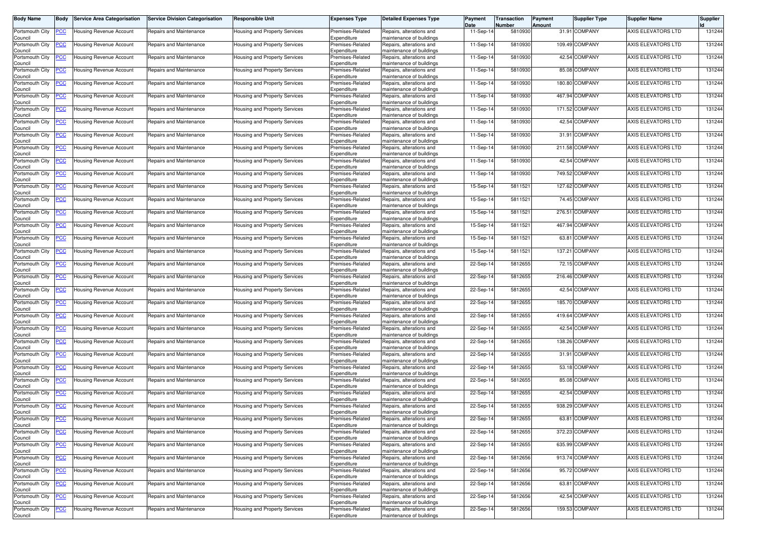| Body Name                  | Body           | <b>Service Area Categorisation</b> | <b>Service Division Categorisation</b> | <b>Responsible Unit</b>       | <b>Expenses Type</b>            | <b>Detailed Expenses Type</b>                        | Payment<br>Date | Transaction<br>Number | Payment<br>Amount | <b>Supplier Type</b> | <b>Supplier Name</b> | <b>Supplier</b> |
|----------------------------|----------------|------------------------------------|----------------------------------------|-------------------------------|---------------------------------|------------------------------------------------------|-----------------|-----------------------|-------------------|----------------------|----------------------|-----------------|
| Portsmouth City            | <u>'CC</u>     | Housing Revenue Account            | Repairs and Maintenance                | Housing and Property Services | Premises-Related                | Repairs, alterations and                             | 11-Sep-14       | 5810930               |                   | 31.91 COMPANY        | AXIS ELEVATORS LTD   | 131244          |
| Council<br>Portsmouth City | <u>'CC</u>     | Housing Revenue Account            | Repairs and Maintenance                | Housing and Property Services | Expenditure<br>Premises-Related | maintenance of buildings<br>Repairs, alterations and | 11-Sep-14       | 5810930               |                   | 109.49 COMPANY       | AXIS ELEVATORS LTD   | 131244          |
| Council<br>Portsmouth City | <u>'CC</u>     | Housing Revenue Account            | Repairs and Maintenance                | Housing and Property Services | Expenditure<br>Premises-Related | maintenance of buildings<br>Repairs, alterations and | 11-Sep-14       | 5810930               |                   | 42.54 COMPANY        | AXIS ELEVATORS LTD   | 131244          |
| Council<br>Portsmouth City | <u>'CC</u>     | Housing Revenue Account            | Repairs and Maintenance                | Housing and Property Services | Expenditure<br>Premises-Related | maintenance of buildings<br>Repairs, alterations and | 11-Sep-14       | 5810930               |                   | 85.08 COMPANY        | AXIS ELEVATORS LTD   | 131244          |
| Council<br>Portsmouth City | <u>'CC</u>     | Housing Revenue Account            | Repairs and Maintenance                | Housing and Property Services | Expenditure<br>Premises-Related | maintenance of buildings<br>Repairs, alterations and | 11-Sep-14       | 5810930               |                   | 180.80 COMPANY       | AXIS ELEVATORS LTD   | 131244          |
| Council<br>Portsmouth City | <u>'CC</u>     | Housing Revenue Account            | Repairs and Maintenance                | Housing and Property Services | Expenditure<br>Premises-Related | maintenance of buildings<br>Repairs, alterations and | 11-Sep-14       | 5810930               |                   | 467.94 COMPANY       | AXIS ELEVATORS LTD   | 131244          |
| Council<br>Portsmouth City | <u>'CC</u>     | Housing Revenue Account            | Repairs and Maintenance                | Housing and Property Services | Expenditure<br>Premises-Related | maintenance of buildings<br>Repairs, alterations and | $11-Sep-1$      | 5810930               |                   | 171.52 COMPANY       | AXIS ELEVATORS LTD   | 131244          |
| Council<br>Portsmouth City | <u>'СС</u>     | Housing Revenue Account            | Repairs and Maintenance                | Housing and Property Services | Expenditure<br>Premises-Related | maintenance of buildings<br>Repairs, alterations and | 11-Sep-14       | 5810930               |                   | 42.54 COMPANY        | AXIS ELEVATORS LTD   | 131244          |
| Council<br>Portsmouth City | <u>'CC</u>     | Housing Revenue Account            | Repairs and Maintenance                | Housing and Property Services | Expenditure<br>Premises-Related | maintenance of buildings<br>Repairs, alterations and | 11-Sep-14       | 5810930               |                   | 31.91 COMPANY        | AXIS ELEVATORS LTD   | 131244          |
| Council                    |                |                                    |                                        |                               | Expenditure                     | maintenance of buildings                             |                 | 5810930               |                   | 211.58 COMPANY       | AXIS ELEVATORS LTD   | 131244          |
| Portsmouth City<br>Council | <u>'CC</u>     | Housing Revenue Account            | Repairs and Maintenance                | Housing and Property Services | Premises-Related<br>Expenditure | Repairs, alterations and<br>maintenance of buildings | 11-Sep-14       |                       |                   |                      |                      |                 |
| Portsmouth City<br>Council | <u>PCC</u>     | Housing Revenue Account            | Repairs and Maintenance                | Housing and Property Services | Premises-Related<br>Expenditure | Repairs, alterations and<br>maintenance of buildings | 11-Sep-14       | 5810930               |                   | 42.54 COMPANY        | AXIS ELEVATORS LTD   | 131244          |
| Portsmouth City<br>Council | <u>'СС</u>     | Housing Revenue Account            | Repairs and Maintenance                | Housing and Property Services | Premises-Related<br>Expenditure | Repairs, alterations and<br>maintenance of buildings | 11-Sep-14       | 5810930               |                   | 749.52 COMPANY       | AXIS ELEVATORS LTD   | 131244          |
| Portsmouth City<br>Council | <u>'CC</u>     | Housing Revenue Account            | Repairs and Maintenance                | Housing and Property Services | Premises-Related<br>Expenditure | Repairs, alterations and<br>maintenance of buildings | $15-Sep-1$      | 5811521               |                   | 127.62 COMPANY       | AXIS ELEVATORS LTD   | 131244          |
| Portsmouth City<br>Council | <u>'СС</u>     | Housing Revenue Account            | Repairs and Maintenance                | Housing and Property Services | Premises-Related<br>Expenditure | Repairs, alterations and<br>maintenance of buildings | 15-Sep-14       | 5811521               |                   | 74.45 COMPANY        | AXIS ELEVATORS LTD   | 131244          |
| Portsmouth City<br>Council | <u>PCC </u>    | Housing Revenue Account            | Repairs and Maintenance                | Housing and Property Services | Premises-Related<br>Expenditure | Repairs, alterations and<br>maintenance of buildings | 15-Sep-14       | 5811521               |                   | 276.51 COMPANY       | AXIS ELEVATORS LTD   | 131244          |
| Portsmouth City<br>Council | <u>'СС</u>     | Housing Revenue Account            | Repairs and Maintenance                | Housing and Property Services | Premises-Related<br>Expenditure | Repairs, alterations and<br>maintenance of buildings | 15-Sep-14       | 5811521               |                   | 467.94 COMPANY       | AXIS ELEVATORS LTD   | 131244          |
| Portsmouth City            | <u>cc</u>      | Housing Revenue Account            | Repairs and Maintenance                | Housing and Property Services | Premises-Related                | Repairs, alterations and                             | 15-Sep-14       | 5811521               |                   | 63.81 COMPANY        | AXIS ELEVATORS LTD   | 131244          |
| Council<br>Portsmouth City | <u>'CC</u>     | Housing Revenue Account            | Repairs and Maintenance                | Housing and Property Services | Expenditure<br>Premises-Related | maintenance of buildings<br>Repairs, alterations and | 15-Sep-14       | 5811521               |                   | 137.21 COMPANY       | AXIS ELEVATORS LTD   | 131244          |
| Council<br>Portsmouth City | <u>CC </u>     | Housing Revenue Account            | Repairs and Maintenance                | Housing and Property Services | Expenditure<br>Premises-Related | maintenance of buildings<br>Repairs, alterations and | 22-Sep-14       | 5812655               |                   | 72.15 COMPANY        | AXIS ELEVATORS LTD   | 131244          |
| Council<br>Portsmouth City | <u>'CC</u>     | Housing Revenue Account            | Repairs and Maintenance                | Housing and Property Services | Expenditure<br>Premises-Related | maintenance of buildings<br>Repairs, alterations and | 22-Sep-14       | 5812655               |                   | 216.46 COMPANY       | AXIS ELEVATORS LTD   | 131244          |
| Council<br>Portsmouth City | <u>'СС</u>     | Housing Revenue Account            | Repairs and Maintenance                | Housing and Property Services | Expenditure<br>Premises-Related | maintenance of buildings<br>Repairs, alterations and | 22-Sep-14       | 5812655               |                   | 42.54 COMPANY        | AXIS ELEVATORS LTD   | 131244          |
| Council<br>Portsmouth City | <u>cc</u>      | Housing Revenue Account            | Repairs and Maintenance                | Housing and Property Services | Expenditure<br>Premises-Related | maintenance of buildings<br>Repairs, alterations and | 22-Sep-14       | 5812655               |                   | 185.70 COMPANY       | AXIS ELEVATORS LTD   | 131244          |
| Council<br>Portsmouth City | <u>'CC</u>     | Housing Revenue Account            | Repairs and Maintenance                | Housing and Property Services | Expenditure<br>Premises-Related | maintenance of buildings<br>Repairs, alterations and | 22-Sep-14       | 5812655               |                   | 419.64 COMPANY       | AXIS ELEVATORS LTD   | 131244          |
| Council<br>Portsmouth City | <u>'CC</u>     | Housing Revenue Account            | Repairs and Maintenance                | Housing and Property Services | Expenditure<br>Premises-Related | maintenance of buildings<br>Repairs, alterations and | 22-Sep-14       | 5812655               |                   | 42.54 COMPANY        | AXIS ELEVATORS LTD   | 131244          |
| Council<br>Portsmouth City | <u>'СС</u>     | Housing Revenue Account            | Repairs and Maintenance                | Housing and Property Services | Expenditure<br>Premises-Related | maintenance of buildings<br>Repairs, alterations and | 22-Sep-14       | 5812655               |                   | 138.26 COMPANY       | AXIS ELEVATORS LTD   | 131244          |
| Council                    |                |                                    |                                        |                               | Expenditure                     | maintenance of buildings                             |                 |                       |                   |                      |                      |                 |
| Portsmouth City<br>Council | <u>CC </u>     | Housing Revenue Account            | Repairs and Maintenance                | Housing and Property Services | Premises-Related<br>Expenditure | Repairs, alterations and<br>maintenance of buildings | 22-Sep-14       | 5812655               |                   | 31.91 COMPANY        | AXIS ELEVATORS LTD   | 131244          |
| Portsmouth City<br>Council | <u>'СС</u>     | Housing Revenue Account            | Repairs and Maintenance                | Housing and Property Services | Premises-Related<br>Expenditure | Repairs, alterations and<br>maintenance of buildings | 22-Sep-14       | 5812655               |                   | 53.18 COMPANY        | AXIS ELEVATORS LTD   | 131244          |
| Portsmouth City<br>Council | <u>'CC</u>     | Housing Revenue Account            | Repairs and Maintenance                | Housing and Property Services | Premises-Related<br>Expenditure | Repairs, alterations and<br>maintenance of buildings | 22-Sep-14       | 5812655               |                   | 85.08 COMPANY        | AXIS ELEVATORS LTD   | 131244          |
| Portsmouth City<br>Council | <u>'СС</u>     | Housing Revenue Account            | Repairs and Maintenance                | Housing and Property Services | Premises-Related<br>Expenditure | Repairs, alterations and<br>maintenance of buildings | 22-Sep-14       | 5812655               |                   | 42.54 COMPANY        | AXIS ELEVATORS LTD   | 131244          |
| Portsmouth City<br>Council | <u>CC </u>     | Housing Revenue Account            | Repairs and Maintenance                | Housing and Property Services | Premises-Related<br>Expenditure | Repairs, alterations and<br>maintenance of buildings | 22-Sep-14       | 5812655               |                   | 938.29 COMPANY       | AXIS ELEVATORS LTD   | 131244          |
| Portsmouth City<br>Council | <b>PCC</b>     | <b>Housing Revenue Account</b>     | Repairs and Maintenance                | Housing and Property Services | Premises-Related<br>Expenditure | Repairs, alterations and<br>maintenance of buildings | 22-Sep-14       | 5812655               |                   | 63.81 COMPANY        | AXIS ELEVATORS LTD   | 131244          |
| Portsmouth City<br>Council | <u>PCC</u>     | Housing Revenue Account            | <b>Repairs and Maintenance</b>         | Housing and Property Services | Premises-Related<br>Expenditure | Repairs, alterations and<br>maintenance of buildings | 22-Sep-14       | 5812655               |                   | 372.23 COMPANY       | AXIS ELEVATORS LTD   | 131244          |
| Portsmouth City            | <u>'CC</u>     | <b>Housing Revenue Account</b>     | Repairs and Maintenance                | Housing and Property Services | Premises-Related                | Repairs, alterations and                             | 22-Sep-14       | 5812655               |                   | 635.99 COMPANY       | AXIS ELEVATORS LTD   | 131244          |
| Council<br>Portsmouth City | $\overline{C}$ | <b>Housing Revenue Account</b>     | Repairs and Maintenance                | Housing and Property Services | Expenditure<br>Premises-Related | maintenance of buildings<br>Repairs, alterations and | 22-Sep-14       | 5812656               |                   | 913.74 COMPANY       | AXIS ELEVATORS LTD   | 131244          |
| Council<br>Portsmouth City | <u>'CC</u>     | <b>Housing Revenue Account</b>     | Repairs and Maintenance                | Housing and Property Services | Expenditure<br>Premises-Related | maintenance of buildings<br>Repairs, alterations and | 22-Sep-14       | 5812656               |                   | 95.72 COMPANY        | AXIS ELEVATORS LTD   | 131244          |
| Council<br>Portsmouth City | <u>CC</u>      | Housing Revenue Account            | Repairs and Maintenance                | Housing and Property Services | Expenditure<br>Premises-Related | maintenance of buildings<br>Repairs, alterations and | 22-Sep-14       | 5812656               |                   | 63.81 COMPANY        | AXIS ELEVATORS LTD   | 131244          |
| Council<br>Portsmouth City | <u>'CC</u>     | <b>Housing Revenue Account</b>     | Repairs and Maintenance                | Housing and Property Services | Expenditure<br>Premises-Related | maintenance of buildings<br>Repairs, alterations and | 22-Sep-14       | 5812656               |                   | 42.54 COMPANY        | AXIS ELEVATORS LTD   | 131244          |
| Council<br>Portsmouth City | <b>CC</b>      | <b>Housing Revenue Account</b>     | Repairs and Maintenance                | Housing and Property Services | Expenditure<br>Premises-Related | maintenance of buildings<br>Repairs, alterations and | 22-Sep-14       | 5812656               |                   | 159.53 COMPANY       | AXIS ELEVATORS LTD   | 131244          |
| Council                    |                |                                    |                                        |                               | Expenditure                     | maintenance of buildings                             |                 |                       |                   |                      |                      |                 |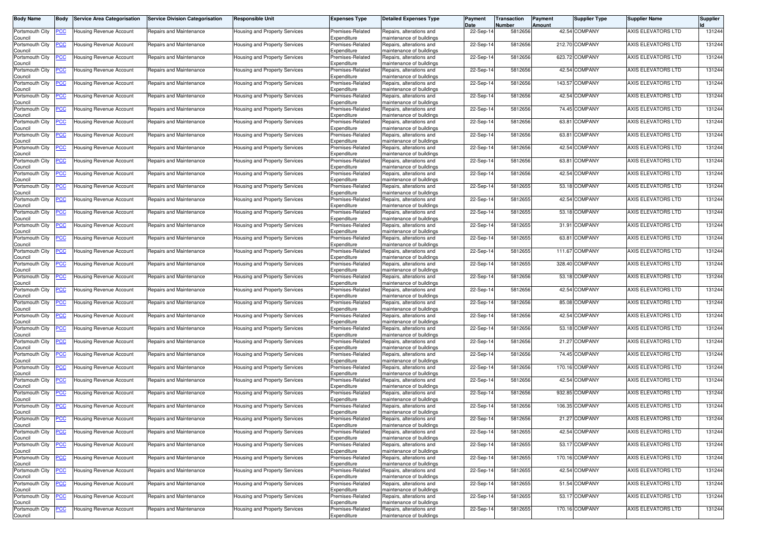| Body Name                  | Body           | <b>Service Area Categorisation</b> | <b>Service Division Categorisation</b> | <b>Responsible Unit</b>              | <b>Expenses Type</b>            | <b>Detailed Expenses Type</b>                        | Payment<br>Date | Transaction<br>Number | Payment<br>Amount | <b>Supplier Type</b> | <b>Supplier Name</b> | <b>Supplier</b> |
|----------------------------|----------------|------------------------------------|----------------------------------------|--------------------------------------|---------------------------------|------------------------------------------------------|-----------------|-----------------------|-------------------|----------------------|----------------------|-----------------|
| Portsmouth City            | <u>'CC</u>     | Housing Revenue Account            | Repairs and Maintenance                | Housing and Property Services        | Premises-Related                | Repairs, alterations and                             | 22-Sep-14       | 5812656               |                   | 42.54 COMPANY        | AXIS ELEVATORS LTD   | 131244          |
| Council<br>Portsmouth City | <u>'CC</u>     | <b>Housing Revenue Account</b>     | Repairs and Maintenance                | Housing and Property Services        | Expenditure<br>Premises-Related | maintenance of buildings<br>Repairs, alterations and | 22-Sep-14       | 5812656               |                   | 212.70 COMPANY       | AXIS ELEVATORS LTD   | 131244          |
| Council<br>Portsmouth City | <u>'СС</u>     | Housing Revenue Account            | Repairs and Maintenance                | Housing and Property Services        | Expenditure<br>Premises-Related | maintenance of buildings<br>Repairs, alterations and | 22-Sep-14       | 5812656               |                   | 623.72 COMPANY       | AXIS ELEVATORS LTD   | 131244          |
| Council                    |                |                                    |                                        |                                      | Expenditure                     | maintenance of buildings                             |                 |                       |                   |                      | AXIS ELEVATORS LTD   |                 |
| Portsmouth City<br>Council | <u>'CC</u>     | Housing Revenue Account            | Repairs and Maintenance                | Housing and Property Services        | Premises-Related<br>Expenditure | Repairs, alterations and<br>maintenance of buildings | 22-Sep-14       | 5812656               |                   | 42.54 COMPANY        |                      | 131244          |
| Portsmouth City<br>Council | <u>'CC</u>     | Housing Revenue Account            | Repairs and Maintenance                | Housing and Property Services        | Premises-Related<br>Expenditure | Repairs, alterations and<br>maintenance of buildings | 22-Sep-14       | 5812656               |                   | 143.57 COMPANY       | AXIS ELEVATORS LTD   | 131244          |
| Portsmouth City<br>Council | <u>'CC</u>     | Housing Revenue Account            | Repairs and Maintenance                | Housing and Property Services        | Premises-Related<br>Expenditure | Repairs, alterations and<br>maintenance of buildings | 22-Sep-14       | 5812656               |                   | 42.54 COMPANY        | AXIS ELEVATORS LTD   | 131244          |
| Portsmouth City            | <u>'CC</u>     | Housing Revenue Account            | Repairs and Maintenance                | lousing and Property Services        | Premises-Related                | Repairs, alterations and                             | 22-Sep-14       | 5812656               |                   | 74.45 COMPANY        | AXIS ELEVATORS LTD   | 131244          |
| Council<br>Portsmouth City | <u>'СС</u>     | Housing Revenue Account            | Repairs and Maintenance                | Housing and Property Services        | Expenditure<br>Premises-Related | maintenance of buildings<br>Repairs, alterations and | 22-Sep-14       | 5812656               |                   | 63.81 COMPANY        | AXIS ELEVATORS LTD   | 131244          |
| Council<br>Portsmouth City | <u>'CC</u>     | Housing Revenue Account            | Repairs and Maintenance                | Housing and Property Services        | Expenditure<br>Premises-Related | maintenance of buildings<br>Repairs, alterations and | 22-Sep-14       | 5812656               |                   | 63.81 COMPANY        | AXIS ELEVATORS LTD   | 131244          |
| Council<br>Portsmouth City |                |                                    | Repairs and Maintenance                |                                      | Expenditure<br>Premises-Related | maintenance of buildings<br>Repairs, alterations and | 22-Sep-14       | 5812656               |                   | 42.54 COMPANY        | AXIS ELEVATORS LTD   | 131244          |
| Council                    | <u>'CC</u>     | Housing Revenue Account            |                                        | Housing and Property Services        | Expenditure                     | maintenance of buildings                             |                 |                       |                   |                      |                      |                 |
| Portsmouth City<br>Council | <u>PCC</u>     | Housing Revenue Account            | Repairs and Maintenance                | Housing and Property Services        | Premises-Related<br>Expenditure | Repairs, alterations and<br>maintenance of buildings | 22-Sep-14       | 5812656               |                   | 63.81 COMPANY        | AXIS ELEVATORS LTD   | 131244          |
| Portsmouth City<br>Council | <u>'CC</u>     | Housing Revenue Account            | Repairs and Maintenance                | Housing and Property Services        | Premises-Related<br>Expenditure | Repairs, alterations and<br>maintenance of buildings | 22-Sep-14       | 5812656               |                   | 42.54 COMPANY        | AXIS ELEVATORS LTD   | 131244          |
| Portsmouth City            | <u>'CC</u>     | Housing Revenue Account            | Repairs and Maintenance                | Housing and Property Services        | Premises-Related                | Repairs, alterations and                             | 22-Sep-14       | 5812655               |                   | 53.18 COMPANY        | AXIS ELEVATORS LTD   | 131244          |
| Council<br>Portsmouth City | <u>'СС</u>     | Housing Revenue Account            | Repairs and Maintenance                | Housing and Property Services        | Expenditure<br>Premises-Related | maintenance of buildings<br>Repairs, alterations and | 22-Sep-14       | 5812655               |                   | 42.54 COMPANY        | AXIS ELEVATORS LTD   | 131244          |
| Council<br>Portsmouth City | <u>PCC</u>     | Housing Revenue Account            | Repairs and Maintenance                | Housing and Property Services        | Expenditure<br>Premises-Related | maintenance of buildings<br>Repairs, alterations and | 22-Sep-14       | 5812655               |                   | 53.18 COMPANY        | AXIS ELEVATORS LTD   | 131244          |
| Council                    |                |                                    |                                        |                                      | Expenditure                     | maintenance of buildings                             |                 |                       |                   | 31.91 COMPANY        |                      |                 |
| Portsmouth City<br>Council | <u>'СС</u>     | Housing Revenue Account            | Repairs and Maintenance                | Housing and Property Services        | Premises-Related<br>Expenditure | Repairs, alterations and<br>maintenance of buildings | 22-Sep-14       | 5812655               |                   |                      | AXIS ELEVATORS LTD   | 131244          |
| Portsmouth City<br>Council | <u>cc</u>      | Housing Revenue Account            | Repairs and Maintenance                | Housing and Property Services        | Premises-Related<br>Expenditure | Repairs, alterations and<br>maintenance of buildings | 22-Sep-14       | 5812655               |                   | 63.81 COMPANY        | AXIS ELEVATORS LTD   | 131244          |
| Portsmouth City<br>Council | <u>CC</u>      | Housing Revenue Account            | Repairs and Maintenance                | Housing and Property Services        | Premises-Related<br>Expenditure | Repairs, alterations and<br>maintenance of buildings | 22-Sep-14       | 5812655               |                   | 111.67 COMPANY       | AXIS ELEVATORS LTD   | 131244          |
| Portsmouth City            | <u>CC </u>     | Housing Revenue Account            | Repairs and Maintenance                | Housing and Property Services        | Premises-Related                | Repairs, alterations and                             | 22-Sep-14       | 5812655               |                   | 328.40 COMPANY       | AXIS ELEVATORS LTD   | 131244          |
| Council<br>Portsmouth City | <u>'CC</u>     | Housing Revenue Account            | Repairs and Maintenance                | Housing and Property Services        | Expenditure<br>Premises-Related | maintenance of buildings<br>Repairs, alterations and | 22-Sep-14       | 5812656               |                   | 53.18 COMPANY        | AXIS ELEVATORS LTD   | 131244          |
| Council<br>Portsmouth City | <u>'СС</u>     | Housing Revenue Account            | Repairs and Maintenance                | Housing and Property Services        | Expenditure<br>Premises-Related | maintenance of buildings<br>Repairs, alterations and | 22-Sep-14       | 5812656               |                   | 42.54 COMPANY        | AXIS ELEVATORS LTD   | 131244          |
| Council<br>Portsmouth City |                | Housing Revenue Account            | Repairs and Maintenance                |                                      | Expenditure<br>Premises-Related | maintenance of buildings                             | 22-Sep-14       | 5812656               |                   | 85.08 COMPANY        | AXIS ELEVATORS LTD   | 131244          |
| Council                    | <u>cc</u>      |                                    |                                        | Housing and Property Services        | Expenditure                     | Repairs, alterations and<br>maintenance of buildings |                 |                       |                   |                      |                      |                 |
| Portsmouth City<br>Council | <u>'CC</u>     | Housing Revenue Account            | Repairs and Maintenance                | Housing and Property Services        | Premises-Related<br>Expenditure | Repairs, alterations and<br>maintenance of buildings | 22-Sep-14       | 5812656               |                   | 42.54 COMPANY        | AXIS ELEVATORS LTD   | 131244          |
| Portsmouth City<br>Council | <u>'СС</u>     | Housing Revenue Account            | Repairs and Maintenance                | Housing and Property Services        | Premises-Related<br>Expenditure | Repairs, alterations and<br>maintenance of buildings | 22-Sep-14       | 5812656               |                   | 53.18 COMPANY        | AXIS ELEVATORS LTD   | 131244          |
| Portsmouth City            | <u>'СС</u>     | Housing Revenue Account            | Repairs and Maintenance                | Housing and Property Services        | Premises-Related                | Repairs, alterations and                             | 22-Sep-14       | 5812656               |                   | 21.27 COMPANY        | AXIS ELEVATORS LTD   | 131244          |
| Council<br>Portsmouth City | <u>CC </u>     | Housing Revenue Account            | Repairs and Maintenance                | Housing and Property Services        | Expenditure<br>Premises-Related | maintenance of buildings<br>Repairs, alterations and | 22-Sep-14       | 5812656               |                   | 74.45 COMPANY        | AXIS ELEVATORS LTD   | 131244          |
| Council<br>Portsmouth City | <u>'СС</u>     | Housing Revenue Account            | Repairs and Maintenance                | Housing and Property Services        | Expenditure<br>Premises-Related | maintenance of buildings<br>Repairs, alterations and | 22-Sep-14       | 5812656               |                   | 170.16 COMPANY       | AXIS ELEVATORS LTD   | 131244          |
| Council                    | <u>CC</u>      |                                    |                                        | Housing and Property Services        | Expenditure<br>Premises-Related | maintenance of buildings                             | 22-Sep-14       | 5812656               |                   | 42.54 COMPANY        | AXIS ELEVATORS LTD   | 131244          |
| Portsmouth City<br>Council |                | Housing Revenue Account            | Repairs and Maintenance                |                                      | Expenditure                     | Repairs, alterations and<br>maintenance of buildings |                 |                       |                   |                      |                      |                 |
| Portsmouth City<br>Council | <u>'СС</u>     | Housing Revenue Account            | Repairs and Maintenance                | Housing and Property Services        | Premises-Related<br>Expenditure | Repairs, alterations and<br>maintenance of buildings | 22-Sep-14       | 5812656               |                   | 932.85 COMPANY       | AXIS ELEVATORS LTD   | 131244          |
| Portsmouth City<br>Council | <u>CC </u>     | Housing Revenue Account            | Repairs and Maintenance                | Housing and Property Services        | Premises-Related<br>Expenditure | Repairs, alterations and<br>maintenance of buildings | 22-Sep-14       | 5812656               |                   | 106.35 COMPANY       | AXIS ELEVATORS LTD   | 131244          |
| Portsmouth City            | <b>PCC</b>     | <b>Housing Revenue Account</b>     | Repairs and Maintenance                | Housing and Property Services        | Premises-Related                | Repairs, alterations and                             | 22-Sep-14       | 5812656               |                   | 21.27 COMPANY        | AXIS ELEVATORS LTD   | 131244          |
| Council<br>Portsmouth City | <u>PCC</u>     | Housing Revenue Account            | Repairs and Maintenance                | Housing and Property Services        | Expenditure<br>Premises-Related | maintenance of buildings<br>Repairs, alterations and | 22-Sep-14       | 5812655               |                   | 42.54 COMPANY        | AXIS ELEVATORS LTD   | 131244          |
| Council<br>Portsmouth City | <u>'CC</u>     | <b>Housing Revenue Account</b>     | Repairs and Maintenance                | Housing and Property Services        | Expenditure<br>Premises-Related | maintenance of buildings<br>Repairs, alterations and | 22-Sep-14       | 5812655               |                   | 53.17 COMPANY        | AXIS ELEVATORS LTD   | 131244          |
| Council<br>Portsmouth City | $\overline{C}$ | <b>Housing Revenue Account</b>     | Repairs and Maintenance                | <b>Housing and Property Services</b> | Expenditure<br>Premises-Related | maintenance of buildings<br>Repairs, alterations and | 22-Sep-14       | 5812655               |                   | 170.16 COMPANY       | AXIS ELEVATORS LTD   | 131244          |
| Council                    |                |                                    |                                        |                                      | Expenditure                     | maintenance of buildings                             |                 |                       |                   |                      |                      |                 |
| Portsmouth City<br>Council | <u>'CC</u>     | <b>Housing Revenue Account</b>     | Repairs and Maintenance                | Housing and Property Services        | Premises-Related<br>Expenditure | Repairs, alterations and<br>maintenance of buildings | 22-Sep-14       | 5812655               |                   | 42.54 COMPANY        | AXIS ELEVATORS LTD   | 131244          |
| Portsmouth City<br>Council | <u>CC</u>      | Housing Revenue Account            | Repairs and Maintenance                | Housing and Property Services        | Premises-Related<br>Expenditure | Repairs, alterations and<br>maintenance of buildings | 22-Sep-14       | 5812655               |                   | 51.54 COMPANY        | AXIS ELEVATORS LTD   | 131244          |
| Portsmouth City            | <u>'CC</u>     | <b>Housing Revenue Account</b>     | Repairs and Maintenance                | Housing and Property Services        | Premises-Related                | Repairs, alterations and                             | 22-Sep-14       | 5812655               |                   | 53.17 COMPANY        | AXIS ELEVATORS LTD   | 131244          |
| Council<br>Portsmouth City | <u>'CC</u>     | Housing Revenue Account            | Repairs and Maintenance                | Housing and Property Services        | Expenditure<br>Premises-Related | maintenance of buildings<br>Repairs, alterations and | 22-Sep-14       | 5812655               |                   | 170.16 COMPANY       | AXIS ELEVATORS LTD   | 131244          |
| Council                    |                |                                    |                                        |                                      | Expenditure                     | maintenance of buildings                             |                 |                       |                   |                      |                      |                 |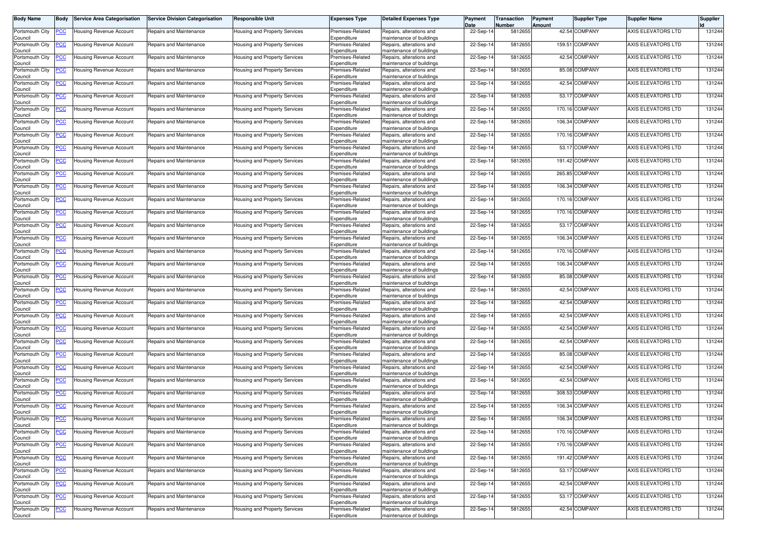| Body Name                  | Body           | <b>Service Area Categorisation</b> | <b>Service Division Categorisation</b> | <b>Responsible Unit</b>              | <b>Expenses Type</b>            | <b>Detailed Expenses Type</b>                        | Payment<br>Date | Transaction<br>Number | Payment<br>Amount | <b>Supplier Type</b> | <b>Supplier Name</b>      | <b>Supplier</b> |
|----------------------------|----------------|------------------------------------|----------------------------------------|--------------------------------------|---------------------------------|------------------------------------------------------|-----------------|-----------------------|-------------------|----------------------|---------------------------|-----------------|
| Portsmouth City            | <u>'CC</u>     | Housing Revenue Account            | Repairs and Maintenance                | Housing and Property Services        | Premises-Related                | Repairs, alterations and                             | 22-Sep-14       | 5812655               |                   | 42.54 COMPANY        | AXIS ELEVATORS LTD        | 131244          |
| Council<br>Portsmouth City | <u>'CC</u>     | <b>Housing Revenue Account</b>     | Repairs and Maintenance                | Housing and Property Services        | Expenditure<br>Premises-Related | maintenance of buildings<br>Repairs, alterations and | 22-Sep-14       | 5812655               |                   | 159.51 COMPANY       | AXIS ELEVATORS LTD        | 131244          |
| Council<br>Portsmouth City | <u>'СС</u>     | Housing Revenue Account            | Repairs and Maintenance                | Housing and Property Services        | Expenditure<br>Premises-Related | maintenance of buildings<br>Repairs, alterations and | 22-Sep-14       | 5812655               |                   | 42.54 COMPANY        | AXIS ELEVATORS LTD        | 131244          |
| Council                    |                |                                    |                                        |                                      | Expenditure                     | maintenance of buildings                             |                 |                       |                   |                      |                           |                 |
| Portsmouth City<br>Council | <u>'CC</u>     | Housing Revenue Account            | Repairs and Maintenance                | Housing and Property Services        | Premises-Related<br>Expenditure | Repairs, alterations and<br>maintenance of buildings | 22-Sep-14       | 5812655               |                   | 85.08 COMPANY        | AXIS ELEVATORS LTD        | 131244          |
| Portsmouth City<br>Council | <u>'CC</u>     | Housing Revenue Account            | Repairs and Maintenance                | Housing and Property Services        | Premises-Related<br>Expenditure | Repairs, alterations and<br>maintenance of buildings | 22-Sep-14       | 5812655               |                   | 42.54 COMPANY        | AXIS ELEVATORS LTD        | 131244          |
| Portsmouth City<br>Council | <u>'CC</u>     | Housing Revenue Account            | Repairs and Maintenance                | Housing and Property Services        | Premises-Related<br>Expenditure | Repairs, alterations and<br>maintenance of buildings | 22-Sep-14       | 5812655               |                   | 53.17 COMPANY        | AXIS ELEVATORS LTD        | 131244          |
| Portsmouth City            | <u>'CC</u>     | Housing Revenue Account            | Repairs and Maintenance                | Housing and Property Services        | Premises-Related                | Repairs, alterations and                             | 22-Sep-14       | 5812655               |                   | 170.16 COMPANY       | AXIS ELEVATORS LTD        | 131244          |
| Council<br>Portsmouth City | <u>'СС</u>     | Housing Revenue Account            | Repairs and Maintenance                | Housing and Property Services        | Expenditure<br>Premises-Related | maintenance of buildings<br>Repairs, alterations and | 22-Sep-14       | 5812655               |                   | 106.34 COMPANY       | AXIS ELEVATORS LTD        | 131244          |
| Council<br>Portsmouth City | <u>'CC</u>     | Housing Revenue Account            | Repairs and Maintenance                | Housing and Property Services        | Expenditure<br>Premises-Related | maintenance of buildings<br>Repairs, alterations and | 22-Sep-14       | 5812655               |                   | 170.16 COMPANY       | AXIS ELEVATORS LTD        | 131244          |
| Council<br>Portsmouth City |                |                                    | Repairs and Maintenance                |                                      | Expenditure<br>Premises-Related | maintenance of buildings<br>Repairs, alterations and | 22-Sep-14       | 5812655               |                   | 53.17 COMPANY        | AXIS ELEVATORS LTD        | 131244          |
| Council                    | <u>'CC</u>     | Housing Revenue Account            |                                        | Housing and Property Services        | Expenditure                     | maintenance of buildings                             |                 |                       |                   |                      |                           |                 |
| Portsmouth City<br>Council | <u>PCC</u>     | Housing Revenue Account            | Repairs and Maintenance                | Housing and Property Services        | Premises-Related<br>Expenditure | Repairs, alterations and<br>maintenance of buildings | 22-Sep-14       | 5812655               |                   | 191.42 COMPANY       | AXIS ELEVATORS LTD        | 131244          |
| Portsmouth City<br>Council | <u>'CC</u>     | Housing Revenue Account            | Repairs and Maintenance                | Housing and Property Services        | Premises-Related<br>Expenditure | Repairs, alterations and<br>maintenance of buildings | 22-Sep-14       | 5812655               |                   | 265.85 COMPANY       | AXIS ELEVATORS LTD        | 131244          |
| Portsmouth City            | <u>'CC</u>     | Housing Revenue Account            | Repairs and Maintenance                | Housing and Property Services        | Premises-Related                | Repairs, alterations and                             | 22-Sep-14       | 5812655               |                   | 106.34 COMPANY       | AXIS ELEVATORS LTD        | 131244          |
| Council<br>Portsmouth City | <u>'СС</u>     | Housing Revenue Account            | Repairs and Maintenance                | Housing and Property Services        | Expenditure<br>Premises-Related | maintenance of buildings<br>Repairs, alterations and | 22-Sep-14       | 5812655               |                   | 170.16 COMPANY       | <b>AXIS ELEVATORS LTD</b> | 131244          |
| Council<br>Portsmouth City | <u>PCC</u>     | Housing Revenue Account            | Repairs and Maintenance                | Housing and Property Services        | Expenditure<br>Premises-Related | maintenance of buildings<br>Repairs, alterations and | 22-Sep-14       | 5812655               |                   | 170.16 COMPANY       | AXIS ELEVATORS LTD        | 131244          |
| Council                    |                |                                    |                                        |                                      | Expenditure                     | maintenance of buildings                             |                 |                       |                   | 53.17 COMPANY        |                           |                 |
| Portsmouth City<br>Council | <u>'СС</u>     | Housing Revenue Account            | Repairs and Maintenance                | Housing and Property Services        | Premises-Related<br>Expenditure | Repairs, alterations and<br>maintenance of buildings | 22-Sep-14       | 5812655               |                   |                      | AXIS ELEVATORS LTD        | 131244          |
| Portsmouth City<br>Council | <u>'СС</u>     | <b>Housing Revenue Account</b>     | Repairs and Maintenance                | Housing and Property Services        | Premises-Related<br>Expenditure | Repairs, alterations and<br>maintenance of buildings | 22-Sep-14       | 5812655               |                   | 106.34 COMPANY       | AXIS ELEVATORS LTD        | 131244          |
| Portsmouth City<br>Council | <u>CC</u>      | Housing Revenue Account            | Repairs and Maintenance                | Housing and Property Services        | Premises-Related<br>Expenditure | Repairs, alterations and<br>maintenance of buildings | 22-Sep-14       | 5812655               |                   | 170.16 COMPANY       | AXIS ELEVATORS LTD        | 131244          |
| Portsmouth City            | <u>CC </u>     | Housing Revenue Account            | Repairs and Maintenance                | Housing and Property Services        | Premises-Related                | Repairs, alterations and                             | 22-Sep-14       | 5812655               |                   | 106.34 COMPANY       | AXIS ELEVATORS LTD        | 131244          |
| Council<br>Portsmouth City | <u>'CC</u>     | Housing Revenue Account            | Repairs and Maintenance                | Housing and Property Services        | Expenditure<br>Premises-Related | maintenance of buildings<br>Repairs, alterations and | 22-Sep-14       | 5812655               |                   | 85.08 COMPANY        | AXIS ELEVATORS LTD        | 131244          |
| Council<br>Portsmouth City | <u>'СС</u>     | Housing Revenue Account            | Repairs and Maintenance                | Housing and Property Services        | Expenditure<br>Premises-Related | maintenance of buildings<br>Repairs, alterations and | 22-Sep-14       | 5812655               |                   | 42.54 COMPANY        | AXIS ELEVATORS LTD        | 131244          |
| Council<br>Portsmouth City |                | Housing Revenue Account            | Repairs and Maintenance                |                                      | Expenditure<br>Premises-Related | maintenance of buildings                             | 22-Sep-14       | 5812655               |                   | 42.54 COMPANY        | AXIS ELEVATORS LTD        | 131244          |
| Council                    | <u>cc</u>      |                                    |                                        | Housing and Property Services        | Expenditure                     | Repairs, alterations and<br>maintenance of buildings |                 |                       |                   |                      |                           |                 |
| Portsmouth City<br>Council | <u>'CC</u>     | Housing Revenue Account            | Repairs and Maintenance                | Housing and Property Services        | Premises-Related<br>Expenditure | Repairs, alterations and<br>maintenance of buildings | 22-Sep-14       | 5812655               |                   | 42.54 COMPANY        | AXIS ELEVATORS LTD        | 131244          |
| Portsmouth City<br>Council | <u>'СС</u>     | Housing Revenue Account            | Repairs and Maintenance                | Housing and Property Services        | Premises-Related<br>Expenditure | Repairs, alterations and<br>maintenance of buildings | 22-Sep-14       | 5812655               |                   | 42.54 COMPANY        | AXIS ELEVATORS LTD        | 131244          |
| Portsmouth City            | <u>'СС</u>     | Housing Revenue Account            | Repairs and Maintenance                | Housing and Property Services        | Premises-Related                | Repairs, alterations and                             | 22-Sep-14       | 5812655               |                   | 42.54 COMPANY        | AXIS ELEVATORS LTD        | 131244          |
| Council<br>Portsmouth City | <u>CC </u>     | Housing Revenue Account            | Repairs and Maintenance                | Housing and Property Services        | Expenditure<br>Premises-Related | maintenance of buildings<br>Repairs, alterations and | 22-Sep-14       | 5812655               |                   | 85.08 COMPANY        | AXIS ELEVATORS LTD        | 131244          |
| Council<br>Portsmouth City | <u>'СС</u>     | Housing Revenue Account            | Repairs and Maintenance                | Housing and Property Services        | Expenditure<br>Premises-Related | maintenance of buildings<br>Repairs, alterations and | 22-Sep-14       | 5812655               |                   | 42.54 COMPANY        | AXIS ELEVATORS LTD        | 131244          |
| Council<br>Portsmouth City | <u>CC</u>      | Housing Revenue Account            | Repairs and Maintenance                |                                      | Expenditure<br>Premises-Related | maintenance of buildings<br>Repairs, alterations and | 22-Sep-14       | 5812655               |                   | 42.54 COMPANY        | AXIS ELEVATORS LTD        | 131244          |
| Council                    |                |                                    |                                        | Housing and Property Services        | Expenditure                     | maintenance of buildings                             |                 |                       |                   |                      |                           |                 |
| Portsmouth City<br>Council | <u>'СС</u>     | Housing Revenue Account            | Repairs and Maintenance                | Housing and Property Services        | Premises-Related<br>Expenditure | Repairs, alterations and<br>maintenance of buildings | 22-Sep-14       | 5812655               |                   | 308.53 COMPANY       | AXIS ELEVATORS LTD        | 131244          |
| Portsmouth City<br>Council | <u>CC </u>     | Housing Revenue Account            | Repairs and Maintenance                | Housing and Property Services        | Premises-Related<br>Expenditure | Repairs, alterations and<br>maintenance of buildings | 22-Sep-14       | 5812655               |                   | 106.34 COMPANY       | AXIS ELEVATORS LTD        | 131244          |
| Portsmouth City<br>Council |                | <b>PCC</b> Housing Revenue Account | Repairs and Maintenance                | Housing and Property Services        | Premises-Related<br>Expenditure | Repairs, alterations and<br>maintenance of buildings | 22-Sep-14       | 5812655               |                   | 106.34 COMPANY       | AXIS ELEVATORS LTD        | 131244          |
| Portsmouth City            | <b>CC</b>      | Housing Revenue Account            | Repairs and Maintenance                | Housing and Property Services        | Premises-Related                | Repairs, alterations and                             | 22-Sep-14       | 5812655               |                   | 170.16 COMPANY       | AXIS ELEVATORS LTD        | 131244          |
| Council<br>Portsmouth City | <u>'CC</u>     | <b>Housing Revenue Account</b>     | Repairs and Maintenance                | Housing and Property Services        | Expenditure<br>Premises-Related | maintenance of buildings<br>Repairs, alterations and | 22-Sep-14       | 5812655               |                   | 170.16 COMPANY       | AXIS ELEVATORS LTD        | 131244          |
| Council<br>Portsmouth City | $\overline{C}$ | <b>Housing Revenue Account</b>     | Repairs and Maintenance                | <b>Housing and Property Services</b> | Expenditure<br>Premises-Related | maintenance of buildings<br>Repairs, alterations and | 22-Sep-14       | 5812655               |                   | 191.42 COMPANY       | AXIS ELEVATORS LTD        | 131244          |
| Council                    |                |                                    |                                        |                                      | Expenditure                     | maintenance of buildings                             |                 |                       |                   |                      |                           |                 |
| Portsmouth City<br>Council | <u>'CC</u>     | <b>Housing Revenue Account</b>     | Repairs and Maintenance                | Housing and Property Services        | Premises-Related<br>Expenditure | Repairs, alterations and<br>maintenance of buildings | 22-Sep-14       | 5812655               |                   | 53.17 COMPANY        | AXIS ELEVATORS LTD        | 131244          |
| Portsmouth City<br>Council | <u>CC</u>      | Housing Revenue Account            | Repairs and Maintenance                | Housing and Property Services        | Premises-Related<br>Expenditure | Repairs, alterations and<br>maintenance of buildings | 22-Sep-14       | 5812655               |                   | 42.54 COMPANY        | AXIS ELEVATORS LTD        | 131244          |
| Portsmouth City            | <u>'CC</u>     | <b>Housing Revenue Account</b>     | Repairs and Maintenance                | Housing and Property Services        | Premises-Related<br>Expenditure | Repairs, alterations and                             | 22-Sep-14       | 5812655               |                   | 53.17 COMPANY        | AXIS ELEVATORS LTD        | 131244          |
| Council<br>Portsmouth City | <b>CC</b>      | Housing Revenue Account            | Repairs and Maintenance                | Housing and Property Services        | Premises-Related                | maintenance of buildings<br>Repairs, alterations and | 22-Sep-14       | 5812655               |                   | 42.54 COMPANY        | AXIS ELEVATORS LTD        | 131244          |
| Council                    |                |                                    |                                        |                                      | Expenditure                     | maintenance of buildings                             |                 |                       |                   |                      |                           |                 |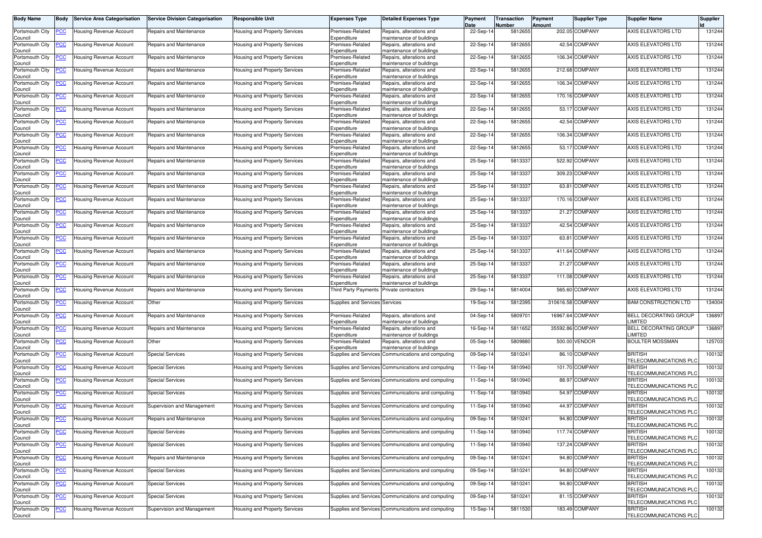| <b>Body Name</b>           | Body           | Service Area Categorisation    | <b>Service Division Categorisation</b> | <b>Responsible Unit</b>              | <b>Expenses Type</b>                 | <b>Detailed Expenses Type</b>                            | Payment<br>Date | <b>Transaction</b><br>Number | Payment<br>Amount | <b>Supplier Type</b> | <b>Supplier Name</b>                            | <b>Supplier</b> |
|----------------------------|----------------|--------------------------------|----------------------------------------|--------------------------------------|--------------------------------------|----------------------------------------------------------|-----------------|------------------------------|-------------------|----------------------|-------------------------------------------------|-----------------|
| Portsmouth City            | ∙сс            | Housing Revenue Account        | Repairs and Maintenance                | <b>Housing and Property Services</b> | Premises-Related                     | Repairs, alterations and                                 | 22-Sep-14       | 5812655                      |                   | 202.05 COMPANY       | AXIS ELEVATORS LTD                              | 131244          |
| Council<br>Portsmouth City | <u>'CC</u>     | Housing Revenue Account        | Repairs and Maintenance                | Housing and Property Services        | Expenditure<br>Premises-Related      | maintenance of buildings<br>Repairs, alterations and     | 22-Sep-14       | 5812655                      |                   | 42.54 COMPANY        | <b>AXIS ELEVATORS LTD</b>                       | 131244          |
| Council<br>Portsmouth City | <u>'СС</u>     | Housing Revenue Account        | Repairs and Maintenance                | Housing and Property Services        | Expenditure<br>Premises-Related      | maintenance of buildings<br>Repairs, alterations and     | 22-Sep-14       | 5812655                      |                   | 106.34 COMPANY       | AXIS ELEVATORS LTD                              | 131244          |
| Council<br>Portsmouth City | <u>'CC</u>     | Housing Revenue Account        | Repairs and Maintenance                | Housing and Property Services        | Expenditure<br>Premises-Related      | maintenance of buildings<br>Repairs, alterations and     | 22-Sep-14       | 5812655                      |                   | 212.68 COMPANY       | AXIS ELEVATORS LTD                              | 131244          |
| Council                    |                |                                |                                        |                                      | Expenditure                          | maintenance of buildings                                 |                 |                              |                   |                      |                                                 |                 |
| Portsmouth City<br>Council | <u>PCC</u>     | Housing Revenue Account        | Repairs and Maintenance                | Housing and Property Services        | Premises-Related<br>Expenditure      | Repairs, alterations and<br>maintenance of buildings     | 22-Sep-14       | 5812655                      |                   | 106.34 COMPANY       | AXIS ELEVATORS LTD                              | 131244          |
| Portsmouth City<br>Council | <u>cc</u>      | Housing Revenue Account        | Repairs and Maintenance                | Housing and Property Services        | Premises-Related<br>Expenditure      | Repairs, alterations and<br>maintenance of buildings     | 22-Sep-14       | 5812655                      |                   | 170.16 COMPANY       | AXIS ELEVATORS LTD                              | 131244          |
| Portsmouth City<br>Council | <u>'CC</u>     | Housing Revenue Account        | Repairs and Maintenance                | Housing and Property Services        | Premises-Related<br>Expenditure      | Repairs, alterations and<br>maintenance of buildings     | 22-Sep-14       | 5812655                      |                   | 53.17 COMPANY        | AXIS ELEVATORS LTD                              | 131244          |
| Portsmouth City<br>Council | <u>'CC</u>     | Housing Revenue Account        | Repairs and Maintenance                | Housing and Property Services        | Premises-Related<br>Expenditure      | Repairs, alterations and<br>naintenance of buildings     | 22-Sep-14       | 5812655                      |                   | 42.54 COMPANY        | AXIS ELEVATORS LTD                              | 131244          |
| Portsmouth City            | <u>'СС</u>     | <b>Housing Revenue Account</b> | Repairs and Maintenance                | Housing and Property Services        | Premises-Related                     | Repairs, alterations and                                 | 22-Sep-14       | 5812655                      |                   | 106.34 COMPANY       | AXIS ELEVATORS LTD                              | 131244          |
| Council<br>Portsmouth City | <u>CC</u>      | Housing Revenue Account        | Repairs and Maintenance                | Housing and Property Services        | Expenditure<br>Premises-Related      | maintenance of buildings<br>Repairs, alterations and     | 22-Sep-14       | 5812655                      |                   | 53.17 COMPANY        | AXIS ELEVATORS LTD                              | 131244          |
| Council<br>Portsmouth City | <u>'СС</u>     | Housing Revenue Account        | Repairs and Maintenance                | Housing and Property Services        | Expenditure<br>Premises-Related      | maintenance of buildings<br>Repairs, alterations and     | 25-Sep-14       | 581333                       |                   | 522.92 COMPANY       | AXIS ELEVATORS LTD                              | 131244          |
| Council                    |                |                                |                                        |                                      | Expenditure                          | maintenance of buildings                                 |                 |                              |                   |                      | AXIS ELEVATORS LTD                              |                 |
| Portsmouth City<br>Council | <u>'CC</u>     | Housing Revenue Account        | Repairs and Maintenance                | Housing and Property Services        | Premises-Related<br>Expenditure      | Repairs, alterations and<br>maintenance of buildings     | 25-Sep-14       | 581333                       |                   | 309.23 COMPANY       |                                                 | 131244          |
| Portsmouth City<br>Council | <u>PCC</u>     | Housing Revenue Account        | Repairs and Maintenance                | Housing and Property Services        | Premises-Related<br>Expenditure      | Repairs, alterations and<br>naintenance of buildings     | 25-Sep-14       | 581333                       |                   | 63.81 COMPANY        | AXIS ELEVATORS LTD                              | 131244          |
| Portsmouth City<br>Council | <u>CC </u>     | Housing Revenue Account        | Repairs and Maintenance                | Housing and Property Services        | Premises-Related<br>Expenditure      | Repairs, alterations and<br>maintenance of buildings     | 25-Sep-14       | 5813337                      |                   | 170.16 COMPANY       | AXIS ELEVATORS LTD                              | 131244          |
| Portsmouth City            | <u>PCC</u>     | Housing Revenue Account        | Repairs and Maintenance                | <b>Housing and Property Services</b> | Premises-Related                     | Repairs, alterations and                                 | 25-Sep-14       | 581333                       |                   | 21.27 COMPANY        | <b>AXIS ELEVATORS LTD</b>                       | 131244          |
| Council<br>Portsmouth City | <u>'СС</u>     | Housing Revenue Account        | Repairs and Maintenance                | Housing and Property Services        | Expenditure<br>Premises-Related      | maintenance of buildings<br>Repairs, alterations and     | 25-Sep-14       | 581333                       |                   | 42.54 COMPANY        | AXIS ELEVATORS LTD                              | 131244          |
| Council<br>Portsmouth City | <u>'CC</u>     | Housing Revenue Account        | Repairs and Maintenance                | Housing and Property Services        | Expenditure<br>Premises-Related      | maintenance of buildings<br>Repairs, alterations and     | 25-Sep-14       | 581333                       |                   | 63.81 COMPANY        | <b>AXIS ELEVATORS LTD</b>                       | 131244          |
| Council<br>Portsmouth City | <u>'CC</u>     | Housing Revenue Account        | Repairs and Maintenance                | Housing and Property Services        | Expenditure<br>Premises-Related      | maintenance of buildings<br>Repairs, alterations and     | 25-Sep-14       | 581333                       |                   | 411.64 COMPANY       | AXIS ELEVATORS LTD                              | 131244          |
| Council<br>Portsmouth City | <u>'СС</u>     | Housing Revenue Account        | Repairs and Maintenance                | Housing and Property Services        | Expenditure<br>Premises-Related      | maintenance of buildings<br>Repairs, alterations and     | 25-Sep-14       | 5813337                      |                   | 21.27 COMPANY        | AXIS ELEVATORS LTD                              | 131244          |
| Council                    |                |                                |                                        |                                      | Expenditure                          | maintenance of buildings                                 |                 |                              |                   |                      |                                                 |                 |
| Portsmouth City<br>Council | <b>CC</b>      | Housing Revenue Account        | Repairs and Maintenance                | Housing and Property Services        | Premises-Related<br>Expenditure      | Repairs, alterations and<br>maintenance of buildings     | 25-Sep-1        | 581333                       |                   | 111.08 COMPANY       | AXIS ELEVATORS LTD                              | 131244          |
| Portsmouth City<br>Council | <u>'СС</u>     | Housing Revenue Account        | Repairs and Maintenance                | Housing and Property Services        | Third Party Payments                 | Private contractors                                      | 29-Sep-14       | 5814004                      |                   | 565.60 COMPANY       | AXIS ELEVATORS LTD                              | 131244          |
| Portsmouth City<br>Council | <u>'CC</u>     | Housing Revenue Account        | Other                                  | Housing and Property Services        | Supplies and Services Services       |                                                          | 19-Sep-14       | 5812395                      | 310616.58 COMPANY |                      | BAM CONSTRUCTION LTD                            | 134004          |
| Portsmouth City<br>Council | <u>PCC</u>     | Housing Revenue Account        | Repairs and Maintenance                | Housing and Property Services        | Premises-Related<br>Expenditure      | Repairs, alterations and<br>maintenance of buildings     | 04-Sep-14       | 5809701                      |                   | 16967.64 COMPANY     | BELL DECORATING GROUP<br>LIMITED                | 136897          |
| Portsmouth City            | <u>'CC</u>     | Housing Revenue Account        | Repairs and Maintenance                | Housing and Property Services        | Premises-Related                     | Repairs, alterations and                                 | 16-Sep-14       | 5811652                      |                   | 35592.86 COMPANY     | <b>BELL DECORATING GROUP</b><br>LIMITED         | 136897          |
| Council<br>Portsmouth City | <u>cc</u>      | Housing Revenue Account        | Other                                  | Housing and Property Services        | Expenditure<br>Premises-Related      | maintenance of buildings<br>Repairs, alterations and     | 05-Sep-14       | 580988                       |                   | 500.00 VENDOR        | <b>BOULTER MOSSMAN</b>                          | 125703          |
| Council<br>Portsmouth City | <u>CC</u>      | Housing Revenue Account        | <b>Special Services</b>                | Housing and Property Services        | Expenditure<br>Supplies and Services | maintenance of buildings<br>Communications and computing | 09-Sep-14       | 5810241                      |                   | 86.10 COMPANY        | <b>BRITISH</b>                                  | 100132          |
| Council<br>Portsmouth City | <u>'CC</u>     | Housing Revenue Account        | <b>Special Services</b>                | <b>Housing and Property Services</b> |                                      | Supplies and Services Communications and computing       | 11-Sep-14       | 5810940                      |                   | 101.70 COMPANY       | TELECOMMUNICATIONS PLC<br><b>BRITISH</b>        | 100132          |
| Council<br>Portsmouth City | <u>CC</u>      | Housing Revenue Account        | <b>Special Services</b>                |                                      |                                      | Supplies and Services Communications and computing       | 11-Sep-14       | 5810940                      |                   | 88.97 COMPANY        | <b>TELECOMMUNICATIONS PLO</b><br><b>BRITISH</b> | 100132          |
| Council                    |                |                                |                                        | Housing and Property Services        |                                      |                                                          |                 |                              |                   |                      | TELECOMMUNICATIONS PLC                          |                 |
| Portsmouth City<br>Council | <u>CC</u>      | Housing Revenue Account        | <b>Special Services</b>                | Housing and Property Services        |                                      | Supplies and Services Communications and computing       | $11-Sep-1$      | 581094                       |                   | 54.97 COMPANY        | <b>BRITISH</b><br>TELECOMMUNICATIONS PLO        | 100132          |
| Portsmouth City<br>Council | <u>PCC</u>     | Housing Revenue Account        | Supervision and Management             | Housing and Property Services        |                                      | Supplies and Services Communications and computing       | 11-Sep-14       | 5810940                      |                   | 44.97 COMPANY        | <b>BRITISH</b><br>TELECOMMUNICATIONS PLC        | 100132          |
| Portsmouth City<br>Council | $\overline{C}$ | <b>Housing Revenue Account</b> | Repairs and Maintenance                | Housing and Property Services        |                                      | Supplies and Services Communications and computing       | 09-Sep-14       | 5810241                      |                   | 94.80 COMPANY        | <b>BRITISH</b><br>TELECOMMUNICATIONS PLC        | 100132          |
| Portsmouth City<br>Council | <u>CC</u>      | Housing Revenue Account        | <b>Special Services</b>                | Housing and Property Services        |                                      | Supplies and Services Communications and computing       | 11-Sep-14       | 5810940                      |                   | 117.74 COMPANY       | <b>BRITISH</b><br>TELECOMMUNICATIONS PLC        | 100132          |
| Portsmouth City            | <u>CC</u>      | Housing Revenue Account        | <b>Special Services</b>                | Housing and Property Services        |                                      | Supplies and Services Communications and computing       | 11-Sep-14       | 5810940                      |                   | 137.24 COMPANY       | <b>BRITISH</b>                                  | 100132          |
| Council<br>Portsmouth City | <u>PCC</u>     | <b>Housing Revenue Account</b> | Repairs and Maintenance                | Housing and Property Services        |                                      | Supplies and Services Communications and computing       | 09-Sep-14       | 5810241                      |                   | 94.80 COMPANY        | TELECOMMUNICATIONS PLC<br><b>BRITISH</b>        | 100132          |
| Council<br>Portsmouth City | <u>'СС</u>     | Housing Revenue Account        | <b>Special Services</b>                | Housing and Property Services        |                                      | Supplies and Services Communications and computing       | 09-Sep-14       | 5810241                      |                   | 94.80 COMPANY        | TELECOMMUNICATIONS PLC<br><b>BRITISH</b>        | 100132          |
| Council<br>Portsmouth City | <u>CC</u>      | Housing Revenue Account        | <b>Special Services</b>                | Housing and Property Services        |                                      | Supplies and Services Communications and computing       | 09-Sep-14       | 5810241                      |                   | 94.80 COMPANY        | TELECOMMUNICATIONS PLC<br><b>BRITISH</b>        | 100132          |
| Council<br>Portsmouth City | <u>'CC</u>     | Housing Revenue Account        | <b>Special Services</b>                | Housing and Property Services        |                                      | Supplies and Services Communications and computing       | 09-Sep-14       | 5810241                      |                   | 81.15 COMPANY        | TELECOMMUNICATIONS PLC<br><b>BRITISH</b>        | 100132          |
| Council                    |                |                                |                                        |                                      |                                      |                                                          |                 |                              |                   |                      | TELECOMMUNICATIONS PLC                          |                 |
| Portsmouth City<br>Council | <u>'CC</u>     | Housing Revenue Account        | Supervision and Management             | Housing and Property Services        |                                      | Supplies and Services Communications and computing       | 15-Sep-14       | 5811530                      |                   | 183.49 COMPANY       | <b>BRITISH</b><br>TELECOMMUNICATIONS PLC        | 100132          |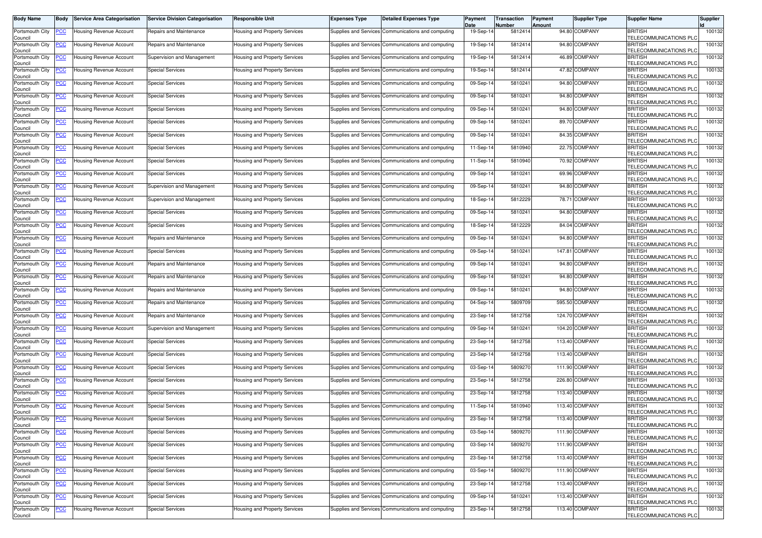| <b>Body Name</b>                      | Body           | <b>Service Area Categorisation</b> | <b>Service Division Categorisation</b> | <b>Responsible Unit</b>              | <b>Expenses Type</b>         | <b>Detailed Expenses Type</b>                      | Payment<br>Date | <b>Transaction</b><br>Number | Payment<br>Amount | <b>Supplier Type</b> | <b>Supplier Name</b>                     | <b>Supplier</b> |
|---------------------------------------|----------------|------------------------------------|----------------------------------------|--------------------------------------|------------------------------|----------------------------------------------------|-----------------|------------------------------|-------------------|----------------------|------------------------------------------|-----------------|
| Portsmouth City<br>Council            | <u>PCC</u>     | Housing Revenue Account            | Repairs and Maintenance                | Housing and Property Services        |                              | Supplies and Services Communications and computing | 19-Sep-14       | 5812414                      |                   | 94.80 COMPANY        | <b>BRITISH</b><br>TELECOMMUNICATIONS PLC | 100132          |
| Portsmouth City<br>Council            | <u>'CC</u>     | Housing Revenue Account            | Repairs and Maintenance                | Housing and Property Services        |                              | Supplies and Services Communications and computing | 19-Sep-14       | 5812414                      |                   | 94.80 COMPANY        | <b>BRITISH</b><br>TELECOMMUNICATIONS PLC | 100132          |
| Portsmouth City                       | <u>'СС</u>     | Housing Revenue Account            | Supervision and Management             | Housing and Property Services        |                              | Supplies and Services Communications and computing | 19-Sep-14       | 5812414                      |                   | 46.89 COMPANY        | <b>BRITISH</b><br>TELECOMMUNICATIONS PLC | 100132          |
| Council<br>Portsmouth City<br>Council | <u>'CC</u>     | <b>Housing Revenue Account</b>     | <b>Special Services</b>                | Housing and Property Services        |                              | Supplies and Services Communications and computing | 19-Sep-14       | 5812414                      |                   | 47.82 COMPANY        | <b>BRITISH</b><br>TELECOMMUNICATIONS PLO | 100132          |
| Portsmouth City<br>Council            | <u>PCC</u>     | Housing Revenue Account            | <b>Special Services</b>                | Housing and Property Services        |                              | Supplies and Services Communications and computing | 09-Sep-14       | 5810241                      |                   | 94.80 COMPANY        | <b>BRITISH</b><br>TELECOMMUNICATIONS PLC | 100132          |
| Portsmouth City<br>Council            | <u>'CC</u>     | Housing Revenue Account            | <b>Special Services</b>                | Housing and Property Services        |                              | Supplies and Services Communications and computing | 09-Sep-14       | 5810241                      |                   | 94.80 COMPANY        | <b>BRITISH</b><br>TELECOMMUNICATIONS PLO | 100132          |
| Portsmouth City<br>Council            | <u>'CC</u>     | -lousing Revenue Account           | <b>Special Services</b>                | Housing and Property Services        |                              | Supplies and Services Communications and computing | 09-Sep-1        | 5810241                      |                   | 94.80 COMPANY        | <b>BRITISH</b><br>TELECOMMUNICATIONS PLC | 100132          |
| Portsmouth City<br>Council            | <u>'СС</u>     | Housing Revenue Account            | <b>Special Services</b>                | <b>Housing and Property Services</b> |                              | Supplies and Services Communications and computing | 09-Sep-14       | 5810241                      |                   | 89.70 COMPANY        | <b>BRITISH</b><br>TELECOMMUNICATIONS PLO | 100132          |
| Portsmouth City<br>Council            | <u>'CC</u>     | Housing Revenue Account            | <b>Special Services</b>                | Housing and Property Services        |                              | Supplies and Services Communications and computing | 09-Sep-14       | 5810241                      |                   | 84.35 COMPANY        | <b>BRITISH</b><br>TELECOMMUNICATIONS PLO | 100132          |
| Portsmouth City<br>Council            | <u>PCC</u>     | <b>Housing Revenue Account</b>     | <b>Special Services</b>                | Housing and Property Services        |                              | Supplies and Services Communications and computing | 11-Sep-14       | 5810940                      |                   | 22.75 COMPANY        | <b>BRITISH</b><br>TELECOMMUNICATIONS PLC | 100132          |
| Portsmouth City<br>Council            | <u>PCC</u>     | Housing Revenue Account            | <b>Special Services</b>                | Housing and Property Services        |                              | Supplies and Services Communications and computing | 11-Sep-14       | 5810940                      |                   | 70.92 COMPANY        | <b>BRITISH</b><br>TELECOMMUNICATIONS PLC | 100132          |
| Portsmouth City<br>Council            | <u>'СС</u>     | Housing Revenue Account            | <b>Special Services</b>                | Housing and Property Services        |                              | Supplies and Services Communications and computing | 09-Sep-14       | 5810241                      |                   | 69.96 COMPANY        | <b>BRITISH</b><br>TELECOMMUNICATIONS PLC | 100132          |
| Portsmouth City<br>Council            | <u>'CC</u>     | Housing Revenue Account            | Supervision and Management             | <b>Housing and Property Services</b> |                              | Supplies and Services Communications and computing | 09-Sep-14       | 5810241                      |                   | 94.80 COMPANY        | <b>BRITISH</b><br>TELECOMMUNICATIONS PLC | 100132          |
| Portsmouth City<br>Council            | <u>'СС</u>     | Housing Revenue Account            | Supervision and Management             | Housing and Property Services        |                              | Supplies and Services Communications and computing | 18-Sep-14       | 5812229                      |                   | 78.71 COMPANY        | <b>BRITISH</b><br>TELECOMMUNICATIONS PLO | 100132          |
| Portsmouth City<br>Council            | <u>PCC </u>    | Housing Revenue Account            | <b>Special Services</b>                | Housing and Property Services        |                              | Supplies and Services Communications and computing | 09-Sep-14       | 5810241                      |                   | 94.80 COMPANY        | <b>BRITISH</b><br>TELECOMMUNICATIONS PLC | 100132          |
| Portsmouth City<br>Council            | <u>'СС</u>     | Housing Revenue Account            | <b>Special Services</b>                | Housing and Property Services        |                              | Supplies and Services Communications and computing | 18-Sep-14       | 5812229                      |                   | 84.04 COMPANY        | <b>BRITISH</b><br>TELECOMMUNICATIONS PLO | 100132          |
| Portsmouth City<br>Council            | <u>'СС</u>     | <b>Housing Revenue Account</b>     | Repairs and Maintenance                | Housing and Property Services        | <b>Supplies and Services</b> | Communications and computing                       | 09-Sep-14       | 5810241                      |                   | 94.80 COMPANY        | <b>BRITISH</b><br>TELECOMMUNICATIONS PLC | 100132          |
| Portsmouth City<br>Council            | <u>'CC</u>     | <b>Housing Revenue Account</b>     | <b>Special Services</b>                | <b>Housing and Property Services</b> |                              | Supplies and Services Communications and computing | 09-Sep-14       | 5810241                      |                   | 147.81 COMPANY       | <b>BRITISH</b><br>TELECOMMUNICATIONS PLO | 100132          |
| Portsmouth City<br>Council            | <u>CC </u>     | Housing Revenue Account            | Repairs and Maintenance                | Housing and Property Services        |                              | Supplies and Services Communications and computing | 09-Sep-14       | 5810241                      |                   | 94.80 COMPANY        | <b>BRITISH</b><br>TELECOMMUNICATIONS PLC | 100132          |
| Portsmouth City<br>Council            | <u>'CC</u>     | Housing Revenue Account            | Repairs and Maintenance                | Housing and Property Services        |                              | Supplies and Services Communications and computing | 09-Sep-14       | 5810241                      |                   | 94.80 COMPANY        | <b>BRITISH</b><br>TELECOMMUNICATIONS PLC | 100132          |
| Portsmouth City<br>Council            | <u>CC </u>     | Housing Revenue Account            | Repairs and Maintenance                | <b>Housing and Property Services</b> |                              | Supplies and Services Communications and computing | 09-Sep-14       | 5810241                      |                   | 94.80 COMPANY        | <b>BRITISH</b><br>TELECOMMUNICATIONS PLO | 100132          |
| Portsmouth City<br>Council            | <u>'СС</u>     | Housing Revenue Account            | Repairs and Maintenance                | Housing and Property Services        |                              | Supplies and Services Communications and computing | 04-Sep-14       | 5809709                      |                   | 595.50 COMPANY       | <b>BRITISH</b><br>TELECOMMUNICATIONS PLO | 100132          |
| Portsmouth City<br>Council            | <u>'CC</u>     | Housing Revenue Account            | Repairs and Maintenance                | Housing and Property Services        |                              | Supplies and Services Communications and computing | 23-Sep-14       | 5812758                      |                   | 124.70 COMPANY       | <b>BRITISH</b><br>TELECOMMUNICATIONS PLC | 100132          |
| Portsmouth City<br>Council            | <u>'СС</u>     | Housing Revenue Account            | Supervision and Management             | Housing and Property Services        |                              | Supplies and Services Communications and computing | 09-Sep-14       | 5810241                      |                   | 104.20 COMPANY       | <b>BRITISH</b><br>TELECOMMUNICATIONS PLO | 100132          |
| Portsmouth City<br>Council            | <u>'CC</u>     | Housing Revenue Account            | <b>Special Services</b>                | Housing and Property Services        |                              | Supplies and Services Communications and computing | 23-Sep-14       | 5812758                      |                   | 113.40 COMPANY       | <b>BRITISH</b><br>TELECOMMUNICATIONS PLO | 100132          |
| Portsmouth City<br>Council            | <u>PCC </u>    | <b>Housing Revenue Account</b>     | <b>Special Services</b>                | Housing and Property Services        |                              | Supplies and Services Communications and computing | 23-Sep-14       | 5812758                      |                   | 113.40 COMPANY       | <b>BRITISH</b><br>TELECOMMUNICATIONS PLC | 100132          |
| Portsmouth City<br>Council            | <u>CC </u>     | Housing Revenue Account            | <b>Special Services</b>                | Housing and Property Services        |                              | Supplies and Services Communications and computing | 03-Sep-14       | 5809270                      |                   | 111.90 COMPANY       | <b>BRITISH</b><br>TELECOMMUNICATIONS PLO | 100132          |
| Portsmouth City<br>Council            | <u>CC</u>      | Housing Revenue Account            | <b>Special Services</b>                | Housing and Property Services        |                              | Supplies and Services Communications and computing | 23-Sep-1        | 5812758                      |                   | 226.80 COMPANY       | <b>BRITISH</b><br>TELECOMMUNICATIONS PLC | 100132          |
| Portsmouth City<br>Council            | <u>CC </u>     | Housing Revenue Account            | <b>Special Services</b>                | Housing and Property Services        |                              | Supplies and Services Communications and computing | 23-Sep-14       | 5812758                      |                   | 113.40 COMPANY       | <b>BRITISH</b><br>TELECOMMUNICATIONS PLO | 100132          |
| Portsmouth City<br>Council            | <u>CC </u>     | Housing Revenue Account            | <b>Special Services</b>                | Housing and Property Services        |                              | Supplies and Services Communications and computing | 11-Sep-14       | 5810940                      |                   | 113.40 COMPANY       | <b>BRITISH</b><br>TELECOMMUNICATIONS PLC | 100132          |
| Portsmouth City PCC<br>Council        |                | <b>Housing Revenue Account</b>     | <b>Special Services</b>                | Housing and Property Services        |                              | Supplies and Services Communications and computing | 23-Sep-14       | 5812758                      |                   | 113.40 COMPANY       | <b>BRITISH</b><br>TELECOMMUNICATIONS PLC | 100132          |
| Portsmouth City<br>Council            | <u>CC</u>      | <b>Housing Revenue Account</b>     | <b>Special Services</b>                | Housing and Property Services        |                              | Supplies and Services Communications and computing | 03-Sep-14       | 5809270                      |                   | 111.90 COMPANY       | <b>BRITISH</b><br>TELECOMMUNICATIONS PLC | 100132          |
| Portsmouth City<br>Council            | <u>'CC</u>     | Housing Revenue Account            | <b>Special Services</b>                | Housing and Property Services        |                              | Supplies and Services Communications and computing | 03-Sep-14       | 5809270                      |                   | 111.90 COMPANY       | <b>BRITISH</b><br>TELECOMMUNICATIONS PLC | 100132          |
| Portsmouth City<br>Council            | $\overline{C}$ | Housing Revenue Account            | <b>Special Services</b>                | Housing and Property Services        |                              | Supplies and Services Communications and computing | 23-Sep-14       | 5812758                      |                   | 113.40 COMPANY       | <b>BRITISH</b><br>TELECOMMUNICATIONS PLC | 100132          |
| Portsmouth City<br>Council            | <u>'СС</u>     | Housing Revenue Account            | <b>Special Services</b>                | Housing and Property Services        |                              | Supplies and Services Communications and computing | 03-Sep-14       | 5809270                      |                   | 111.90 COMPANY       | <b>BRITISH</b><br>TELECOMMUNICATIONS PLC | 100132          |
| Portsmouth City<br>Council            | <u>CC</u>      | Housing Revenue Account            | <b>Special Services</b>                | Housing and Property Services        |                              | Supplies and Services Communications and computing | 23-Sep-14       | 5812758                      |                   | 113.40 COMPANY       | <b>BRITISH</b><br>TELECOMMUNICATIONS PLC | 100132          |
| Portsmouth City<br>Council            | <u>'CC</u>     | Housing Revenue Account            | <b>Special Services</b>                | Housing and Property Services        |                              | Supplies and Services Communications and computing | 09-Sep-14       | 5810241                      |                   | 113.40 COMPANY       | <b>BRITISH</b><br>TELECOMMUNICATIONS PLO | 100132          |
| Portsmouth City<br>Council            | <u>PCC</u>     | Housing Revenue Account            | <b>Special Services</b>                | Housing and Property Services        |                              | Supplies and Services Communications and computing | 23-Sep-14       | 5812758                      |                   | 113.40 COMPANY       | <b>BRITISH</b><br>TELECOMMUNICATIONS PLC | 100132          |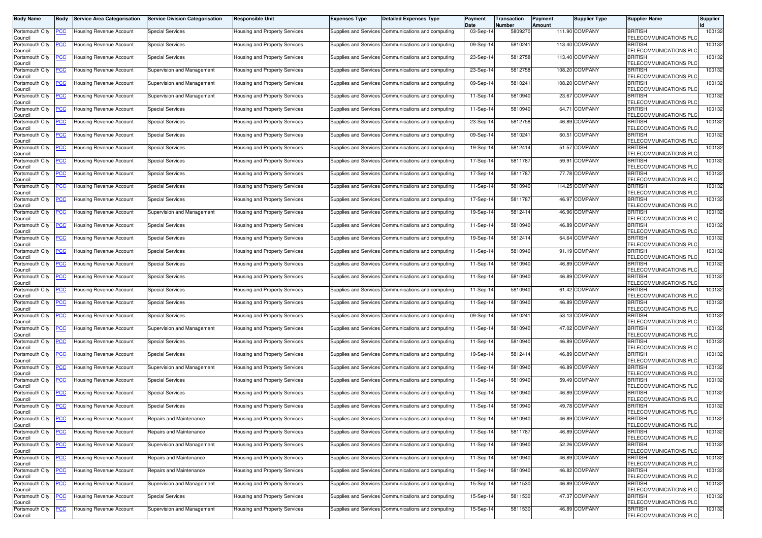| <b>Body Name</b>                      | Body           | <b>Service Area Categorisation</b> | <b>Service Division Categorisation</b> | <b>Responsible Unit</b>              | <b>Expenses Type</b>         | <b>Detailed Expenses Type</b>                      | Payment<br>Date | <b>Transaction</b><br>Number | Payment<br>Amount | <b>Supplier Type</b> | <b>Supplier Name</b>                     | <b>Supplier</b> |
|---------------------------------------|----------------|------------------------------------|----------------------------------------|--------------------------------------|------------------------------|----------------------------------------------------|-----------------|------------------------------|-------------------|----------------------|------------------------------------------|-----------------|
| Portsmouth City<br>Council            | <u>'СС</u>     | Housing Revenue Account            | <b>Special Services</b>                | Housing and Property Services        |                              | Supplies and Services Communications and computing | 03-Sep-14       | 580927                       |                   | 111.90 COMPANY       | <b>BRITISH</b><br>TELECOMMUNICATIONS PLC | 100132          |
| Portsmouth City<br>Council            | <u>'CC</u>     | Housing Revenue Account            | <b>Special Services</b>                | Housing and Property Services        |                              | Supplies and Services Communications and computing | 09-Sep-14       | 5810241                      |                   | 113.40 COMPANY       | <b>BRITISH</b><br>TELECOMMUNICATIONS PLC | 100132          |
| Portsmouth City                       | <u>'СС</u>     | Housing Revenue Account            | <b>Special Services</b>                | Housing and Property Services        |                              | Supplies and Services Communications and computing | 23-Sep-14       | 5812758                      |                   | 113.40 COMPANY       | <b>BRITISH</b><br>TELECOMMUNICATIONS PLC | 100132          |
| Council<br>Portsmouth City<br>Council | <u>'CC</u>     | Housing Revenue Account            | Supervision and Management             | Housing and Property Services        |                              | Supplies and Services Communications and computing | 23-Sep-14       | 5812758                      |                   | 108.20 COMPANY       | <b>BRITISH</b><br>TELECOMMUNICATIONS PLO | 100132          |
| Portsmouth City<br>Council            | <u>PCC</u>     | Housing Revenue Account            | Supervision and Management             | Housing and Property Services        |                              | Supplies and Services Communications and computing | 09-Sep-14       | 5810241                      |                   | 108.20 COMPANY       | <b>BRITISH</b><br>TELECOMMUNICATIONS PLC | 100132          |
| Portsmouth City<br>Council            | <u>'CC</u>     | Housing Revenue Account            | Supervision and Management             | Housing and Property Services        |                              | Supplies and Services Communications and computing | 11-Sep-14       | 5810940                      |                   | 23.67 COMPANY        | <b>BRITISH</b><br>TELECOMMUNICATIONS PLO | 100132          |
| Portsmouth City<br>Council            | <u>'CC</u>     | Housing Revenue Account            | <b>Special Services</b>                | Housing and Property Services        |                              | Supplies and Services Communications and computing | $11-Sep-1$      | 5810940                      |                   | 64.71 COMPANY        | <b>BRITISH</b><br>TELECOMMUNICATIONS PLC | 100132          |
| Portsmouth City<br>Council            | <u>'СС</u>     | Housing Revenue Account            | <b>Special Services</b>                | <b>Housing and Property Services</b> |                              | Supplies and Services Communications and computing | 23-Sep-14       | 5812758                      |                   | 46.89 COMPANY        | <b>BRITISH</b><br>TELECOMMUNICATIONS PLO | 100132          |
| Portsmouth City<br>Council            | <u>'CC</u>     | Housing Revenue Account            | <b>Special Services</b>                | Housing and Property Services        |                              | Supplies and Services Communications and computing | 09-Sep-14       | 5810241                      |                   | 60.51 COMPANY        | <b>BRITISH</b><br>TELECOMMUNICATIONS PLO | 100132          |
| Portsmouth City<br>Council            | <u>PCC</u>     | <b>Housing Revenue Account</b>     | <b>Special Services</b>                | Housing and Property Services        |                              | Supplies and Services Communications and computing | 19-Sep-14       | 5812414                      |                   | 51.57 COMPANY        | <b>BRITISH</b><br>TELECOMMUNICATIONS PLC | 100132          |
| Portsmouth City<br>Council            | <u>PCC</u>     | Housing Revenue Account            | <b>Special Services</b>                | Housing and Property Services        |                              | Supplies and Services Communications and computing | 17-Sep-14       | 5811787                      |                   | 59.91 COMPANY        | <b>BRITISH</b><br>TELECOMMUNICATIONS PLC | 100132          |
| Portsmouth City<br>Council            | <u>'CC</u>     | Housing Revenue Account            | <b>Special Services</b>                | Housing and Property Services        |                              | Supplies and Services Communications and computing | 17-Sep-14       | 5811787                      |                   | 77.78 COMPANY        | <b>BRITISH</b><br>TELECOMMUNICATIONS PLC | 100132          |
| Portsmouth City<br>Council            | <u>'СС</u>     | Housing Revenue Account            | <b>Special Services</b>                | <b>Housing and Property Services</b> |                              | Supplies and Services Communications and computing | 11-Sep-14       | 5810940                      |                   | 114.25 COMPANY       | <b>BRITISH</b><br>TELECOMMUNICATIONS PLC | 100132          |
| Portsmouth City<br>Council            | <u>'СС</u>     | Housing Revenue Account            | <b>Special Services</b>                | Housing and Property Services        |                              | Supplies and Services Communications and computing | 17-Sep-14       | 5811787                      |                   | 46.97 COMPANY        | <b>BRITISH</b><br>TELECOMMUNICATIONS PLO | 100132          |
| Portsmouth City<br>Council            | <u>PCC</u>     | Housing Revenue Account            | Supervision and Management             | Housing and Property Services        |                              | Supplies and Services Communications and computing | 19-Sep-14       | 5812414                      |                   | 46.96 COMPANY        | <b>BRITISH</b><br>TELECOMMUNICATIONS PLC | 100132          |
| Portsmouth City<br>Council            | <u>'CC</u>     | Housing Revenue Account            | <b>Special Services</b>                | Housing and Property Services        |                              | Supplies and Services Communications and computing | 11-Sep-14       | 581094                       |                   | 46.89 COMPANY        | <b>BRITISH</b><br>TELECOMMUNICATIONS PLO | 100132          |
| Portsmouth City<br>Council            | <u>'СС</u>     | <b>Housing Revenue Account</b>     | <b>Special Services</b>                | Housing and Property Services        | <b>Supplies and Services</b> | Communications and computing                       | 19-Sep-14       | 5812414                      |                   | 64.64 COMPANY        | <b>BRITISH</b><br>TELECOMMUNICATIONS PLC | 100132          |
| Portsmouth City<br>Council            | <u>'CC</u>     | <b>Housing Revenue Account</b>     | <b>Special Services</b>                | Housing and Property Services        |                              | Supplies and Services Communications and computing | 11-Sep-14       | 5810940                      |                   | 91.19 COMPANY        | <b>BRITISH</b><br>TELECOMMUNICATIONS PLO | 100132          |
| Portsmouth City<br>Council            | <u>CC </u>     | Housing Revenue Account            | <b>Special Services</b>                | Housing and Property Services        |                              | Supplies and Services Communications and computing | 11-Sep-14       | 5810940                      |                   | 46.89 COMPANY        | <b>BRITISH</b><br>TELECOMMUNICATIONS PLC | 100132          |
| Portsmouth City<br>Council            | <u>'CC</u>     | Housing Revenue Account            | <b>Special Services</b>                | Housing and Property Services        |                              | Supplies and Services Communications and computing | 11-Sep-14       | 5810940                      |                   | 46.89 COMPANY        | <b>BRITISH</b><br>TELECOMMUNICATIONS PLC | 100132          |
| Portsmouth City<br>Council            | <u>'СС</u>     | Housing Revenue Account            | <b>Special Services</b>                | <b>Housing and Property Services</b> |                              | Supplies and Services Communications and computing | 11-Sep-14       | 581094                       |                   | 61.42 COMPANY        | <b>BRITISH</b><br>TELECOMMUNICATIONS PLO | 100132          |
| Portsmouth City<br>Council            | <u>'СС</u>     | Housing Revenue Account            | <b>Special Services</b>                | Housing and Property Services        |                              | Supplies and Services Communications and computing | 11-Sep-14       | 5810940                      |                   | 46.89 COMPANY        | <b>BRITISH</b><br>TELECOMMUNICATIONS PLO | 100132          |
| Portsmouth City<br>Council            | <u>'CC</u>     | Housing Revenue Account            | <b>Special Services</b>                | Housing and Property Services        |                              | Supplies and Services Communications and computing | 09-Sep-14       | 5810241                      |                   | 53.13 COMPANY        | <b>BRITISH</b><br>TELECOMMUNICATIONS PLC | 100132          |
| Portsmouth City<br>Council            | <u>'СС</u>     | Housing Revenue Account            | Supervision and Management             | Housing and Property Services        |                              | Supplies and Services Communications and computing | 11-Sep-14       | 581094                       |                   | 47.02 COMPANY        | <b>BRITISH</b><br>TELECOMMUNICATIONS PLO | 100132          |
| Portsmouth City<br>Council            | <u>'СС</u>     | Housing Revenue Account            | <b>Special Services</b>                | Housing and Property Services        |                              | Supplies and Services Communications and computing | 11-Sep-14       | 5810940                      |                   | 46.89 COMPANY        | <b>BRITISH</b><br>TELECOMMUNICATIONS PLO | 100132          |
| Portsmouth City<br>Council            | <u>CC </u>     | <b>Housing Revenue Account</b>     | <b>Special Services</b>                | Housing and Property Services        |                              | Supplies and Services Communications and computing | 19-Sep-14       | 5812414                      |                   | 46.89 COMPANY        | <b>BRITISH</b><br>TELECOMMUNICATIONS PLC | 100132          |
| Portsmouth City<br>Council            | <u>CC </u>     | Housing Revenue Account            | Supervision and Management             | <b>Housing and Property Services</b> |                              | Supplies and Services Communications and computing | 11-Sep-14       | 5810940                      |                   | 46.89 COMPANY        | <b>BRITISH</b><br>TELECOMMUNICATIONS PLO | 100132          |
| Portsmouth City<br>Council            | <u>CC</u>      | Housing Revenue Account            | <b>Special Services</b>                | Housing and Property Services        |                              | Supplies and Services Communications and computing | $11-Sep-1$      | 5810940                      |                   | 59.49 COMPANY        | <b>BRITISH</b><br>TELECOMMUNICATIONS PLC | 100132          |
| Portsmouth City<br>Council            | <u>CC </u>     | <b>Housing Revenue Account</b>     | <b>Special Services</b>                | <b>Housing and Property Services</b> |                              | Supplies and Services Communications and computing | 11-Sep-14       | 5810940                      |                   | 46.89 COMPANY        | <b>BRITISH</b><br>TELECOMMUNICATIONS PLO | 100132          |
| Portsmouth City<br>Council            | <u>CC </u>     | <b>Housing Revenue Account</b>     | <b>Special Services</b>                | Housing and Property Services        |                              | Supplies and Services Communications and computing | 11-Sep-14       | 5810940                      |                   | 49.78 COMPANY        | <b>BRITISH</b><br>TELECOMMUNICATIONS PLC | 100132          |
| Portsmouth City PCC<br>Council        |                | <b>Housing Revenue Account</b>     | Repairs and Maintenance                | Housing and Property Services        |                              | Supplies and Services Communications and computing | 11-Sep-14       | 5810940                      |                   | 46.89 COMPANY        | <b>BRITISH</b><br>TELECOMMUNICATIONS PLC | 100132          |
| Portsmouth City<br>Council            | <u>CC</u>      | Housing Revenue Account            | Repairs and Maintenance                | Housing and Property Services        |                              | Supplies and Services Communications and computing | 17-Sep-14       | 5811787                      |                   | 46.89 COMPANY        | <b>BRITISH</b><br>TELECOMMUNICATIONS PLC | 100132          |
| Portsmouth City<br>Council            | <u>'CC</u>     | Housing Revenue Account            | Supervision and Management             | Housing and Property Services        |                              | Supplies and Services Communications and computing | 11-Sep-14       | 5810940                      |                   | 52.26 COMPANY        | <b>BRITISH</b><br>TELECOMMUNICATIONS PLC | 100132          |
| Portsmouth City<br>Council            | $\overline{C}$ | Housing Revenue Account            | Repairs and Maintenance                | Housing and Property Services        |                              | Supplies and Services Communications and computing | 11-Sep-14       | 5810940                      |                   | 46.89 COMPANY        | <b>BRITISH</b><br>TELECOMMUNICATIONS PLC | 100132          |
| Portsmouth City<br>Council            | <u>'СС</u>     | Housing Revenue Account            | Repairs and Maintenance                | Housing and Property Services        |                              | Supplies and Services Communications and computing | 11-Sep-14       | 5810940                      |                   | 46.82 COMPANY        | <b>BRITISH</b><br>TELECOMMUNICATIONS PLC | 100132          |
| Portsmouth City<br>Council            | <u>CC</u>      | Housing Revenue Account            | Supervision and Management             | Housing and Property Services        |                              | Supplies and Services Communications and computing | 15-Sep-14       | 5811530                      |                   | 46.89 COMPANY        | <b>BRITISH</b><br>TELECOMMUNICATIONS PLC | 100132          |
| Portsmouth City<br>Council            | <u>'CC</u>     | Housing Revenue Account            | <b>Special Services</b>                | Housing and Property Services        |                              | Supplies and Services Communications and computing | 15-Sep-14       | 5811530                      |                   | 47.37 COMPANY        | <b>BRITISH</b><br>TELECOMMUNICATIONS PLO | 100132          |
| Portsmouth City<br>Council            | <u>PCC</u>     | <b>Housing Revenue Account</b>     | Supervision and Management             | Housing and Property Services        |                              | Supplies and Services Communications and computing | 15-Sep-14       | 5811530                      |                   | 46.89 COMPANY        | <b>BRITISH</b><br>TELECOMMUNICATIONS PLC | 100132          |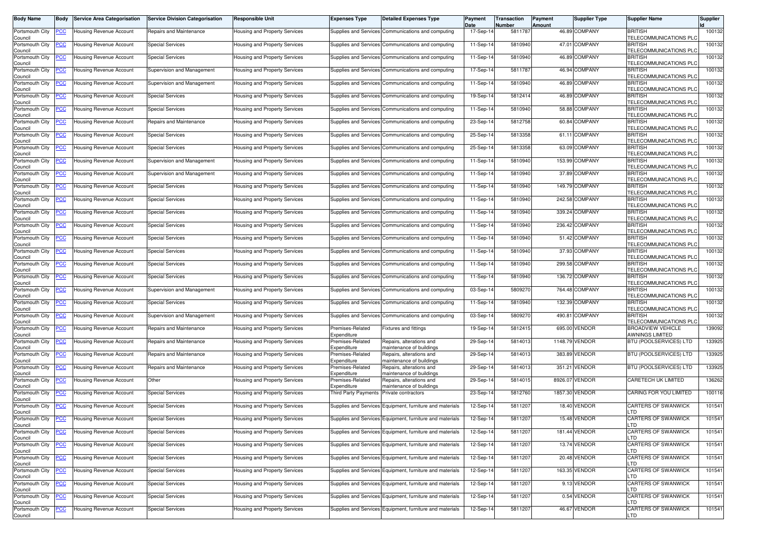| <b>Body Name</b>                      | <b>Body</b> | <b>Service Area Categorisation</b> | <b>Service Division Categorisation</b> | <b>Responsible Unit</b>              | <b>Expenses Type</b>            | <b>Detailed Expenses Type</b>                            | Payment<br>Date | Transaction<br>Number | Payment<br>Amount | <b>Supplier Type</b> | <b>Supplier Name</b>                        | Supplier |
|---------------------------------------|-------------|------------------------------------|----------------------------------------|--------------------------------------|---------------------------------|----------------------------------------------------------|-----------------|-----------------------|-------------------|----------------------|---------------------------------------------|----------|
| Portsmouth City<br>Council            | <u>PCC</u>  | Housing Revenue Account            | Repairs and Maintenance                | <b>Housing and Property Services</b> |                                 | Supplies and Services Communications and computing       | 17-Sep-14       | 5811787               |                   | 46.89 COMPANY        | <b>BRITISH</b><br>TELECOMMUNICATIONS PLC    | 100132   |
| Portsmouth City<br>Council            | <u>PCC</u>  | Housing Revenue Account            | <b>Special Services</b>                | Housing and Property Services        | Supplies and Services           | Communications and computing                             | 11-Sep-14       | 5810940               |                   | 47.01 COMPANY        | <b>BRITISH</b><br>TELECOMMUNICATIONS PLC    | 100132   |
| Portsmouth City<br>Council            | <u>PCC </u> | Housing Revenue Account            | <b>Special Services</b>                | Housing and Property Services        | Supplies and Services           | Communications and computing                             | 11-Sep-14       | 5810940               |                   | 46.89 COMPANY        | <b>BRITISH</b><br>TELECOMMUNICATIONS PLC    | 100132   |
| Portsmouth City<br>Council            | <u>PCC</u>  | Housing Revenue Account            | Supervision and Management             | <b>Housing and Property Services</b> | <b>Supplies and Services</b>    | Communications and computing                             | 17-Sep-14       | 5811787               |                   | 46.94 COMPANY        | <b>BRITISH</b><br>TELECOMMUNICATIONS PLO    | 100132   |
| Portsmouth City<br>Council            | <u>PCC</u>  | Housing Revenue Account            | Supervision and Management             | Housing and Property Services        | Supplies and Services           | Communications and computing                             | 11-Sep-14       | 5810940               |                   | 46.89 COMPANY        | <b>BRITISH</b><br>TELECOMMUNICATIONS PLO    | 100132   |
| Portsmouth City<br>Council            | <u>PCC</u>  | Housing Revenue Account            | <b>Special Services</b>                | Housing and Property Services        |                                 | Supplies and Services Communications and computing       | 19-Sep-14       | 5812414               |                   | 46.89 COMPANY        | <b>BRITISH</b><br>TELECOMMUNICATIONS PLC    | 100132   |
| Portsmouth City<br>Council            | <u>PCC</u>  | Housing Revenue Account            | Special Services                       | Housing and Property Services        | Supplies and Services           | Communications and computing                             | 11-Sep-14       | 5810940               |                   | 58.88 COMPANY        | <b>BRITISH</b><br>TELECOMMUNICATIONS PLC    | 100132   |
| Portsmouth City<br>Council            | <u>PCC</u>  | <b>Housing Revenue Account</b>     | Repairs and Maintenance                | <b>Housing and Property Services</b> | Supplies and Services           | Communications and computing                             | 23-Sep-14       | 5812758               |                   | 60.84 COMPANY        | <b>BRITISH</b><br>TELECOMMUNICATIONS PLO    | 100132   |
| Portsmouth City<br>Council            | <u>PCC</u>  | <b>Housing Revenue Account</b>     | <b>Special Services</b>                | Housing and Property Services        | Supplies and Services           | Communications and computing                             | 25-Sep-14       | 5813358               |                   | 61.11 COMPANY        | <b>BRITISH</b><br>TELECOMMUNICATIONS PLO    | 100132   |
| Portsmouth City<br>Council            | <u>PCC</u>  | Housing Revenue Account            | <b>Special Services</b>                | Housing and Property Services        |                                 | Supplies and Services Communications and computing       | 25-Sep-14       | 5813358               |                   | 63.09 COMPANY        | <b>BRITISH</b><br>TELECOMMUNICATIONS PLC    | 100132   |
| Portsmouth City<br>Council            | <u>PCC</u>  | Housing Revenue Account            | Supervision and Management             | Housing and Property Services        | Supplies and Services           | Communications and computing                             | 11-Sep-14       | 5810940               |                   | 153.99 COMPANY       | <b>BRITISH</b><br>TELECOMMUNICATIONS PLC    | 100132   |
| Portsmouth City<br>Council            | <u>PCC</u>  | Housing Revenue Account            | Supervision and Management             | <b>Housing and Property Services</b> | <b>Supplies and Services</b>    | Communications and computing                             | 11-Sep-14       | 5810940               |                   | 37.89 COMPANY        | <b>BRITISH</b><br>TELECOMMUNICATIONS PLO    | 100132   |
| Portsmouth City<br>Council            | <u>PCC</u>  | Housing Revenue Account            | <b>Special Services</b>                | <b>Housing and Property Services</b> | Supplies and Services           | Communications and computing                             | 11-Sep-14       | 5810940               |                   | 149.79 COMPANY       | <b>BRITISH</b><br>TELECOMMUNICATIONS PLO    | 100132   |
| Portsmouth City<br>Council            |             | Housing Revenue Account            | Special Services                       | Housing and Property Services        | <b>Supplies and Services</b>    | Communications and computing                             | 11-Sep-14       | 5810940               |                   | 242.58 COMPANY       | <b>BRITISH</b><br>TELECOMMUNICATIONS PLO    | 100132   |
| Portsmouth City<br>Council            | <u>PCC</u>  | Housing Revenue Account            | <b>Special Services</b>                | Housing and Property Services        | Supplies and Services           | Communications and computing                             | 11-Sep-14       | 5810940               |                   | 339.24 COMPANY       | <b>BRITISH</b><br>TELECOMMUNICATIONS PLC    | 100132   |
| Portsmouth City<br>Council            | <u>PCC</u>  | Housing Revenue Account            | <b>Special Services</b>                | Housing and Property Services        | Supplies and Services           | Communications and computing                             | 11-Sep-14       | 5810940               |                   | 236.42 COMPANY       | <b>BRITISH</b><br>TELECOMMUNICATIONS PLC    | 100132   |
| Portsmouth City<br>Council            | <u>PCC</u>  | Housing Revenue Account            | <b>Special Services</b>                | Housing and Property Services        | <b>Supplies and Services</b>    | Communications and computing                             | 11-Sep-14       | 5810940               |                   | 51.42 COMPANY        | <b>BRITISH</b><br>TELECOMMUNICATIONS PLO    | 100132   |
| Portsmouth City<br>Council            | <u>PCC</u>  | <b>Housing Revenue Account</b>     | <b>Special Services</b>                | Housing and Property Services        | Supplies and Services           | Communications and computing                             | 11-Sep-14       | 5810940               |                   | 37.93 COMPANY        | <b>BRITISH</b><br>TELECOMMUNICATIONS PLC    | 100132   |
| Portsmouth City<br>Council            | <u>PCC</u>  | <b>Housing Revenue Account</b>     | <b>Special Services</b>                | Housing and Property Services        |                                 | Supplies and Services Communications and computing       | 11-Sep-14       | 5810940               |                   | 299.58 COMPANY       | <b>BRITISH</b><br>TELECOMMUNICATIONS PLC    | 100132   |
| Portsmouth City<br>Council            | <u>PCC</u>  | Housing Revenue Account            | <b>Special Services</b>                | Housing and Property Services        | <b>Supplies and Services</b>    | Communications and computing                             | 11-Sep-14       | 5810940               |                   | 136.72 COMPANY       | <b>BRITISH</b><br>TELECOMMUNICATIONS PLO    | 100132   |
| Portsmouth City<br>Council            | <u>PCC </u> | Housing Revenue Account            | Supervision and Management             | <b>Housing and Property Services</b> | Supplies and Services           | Communications and computing                             | 03-Sep-14       | 580927                |                   | 764.48 COMPANY       | <b>BRITISH</b><br>TELECOMMUNICATIONS PLC    | 100132   |
| Portsmouth City<br>Council            | <u>PCC</u>  | Housing Revenue Account            | <b>Special Services</b>                | Housing and Property Services        | <b>Supplies and Services</b>    | Communications and computing                             | 11-Sep-14       | 5810940               |                   | 132.39 COMPANY       | <b>BRITISH</b><br>TELECOMMUNICATIONS PLO    | 100132   |
| Portsmouth City<br>Council            | <u>PCC</u>  | Housing Revenue Account            | Supervision and Management             | Housing and Property Services        | <b>Supplies and Services</b>    | Communications and computing                             | 03-Sep-14       | 5809270               |                   | 490.81 COMPANY       | BRITISH<br>TELECOMMUNICATIONS PLC           | 100132   |
| Portsmouth City<br>Council            |             | Housing Revenue Account            | Repairs and Maintenance                | Housing and Property Services        | Premises-Related<br>Expenditure | <b>Fixtures and fittings</b>                             | 19-Sep-14       | 5812415               |                   | 695.00 VENDOR        | <b>BROADVIEW VEHICLE</b><br>AWNINGS LIMITED | 139092   |
| Portsmouth City<br>Council            | <u>PCC</u>  | Housing Revenue Account            | Repairs and Maintenance                | Housing and Property Services        | Premises-Related<br>Expenditure | Repairs, alterations and<br>naintenance of buildings     | 29-Sep-14       | 5814013               |                   | 1148.79 VENDOR       | BTU (POOLSERVICES) LTD                      | 133925   |
| Portsmouth City<br>Council            | <u>PCC </u> | Housing Revenue Account            | Repairs and Maintenance                | Housing and Property Services        | Premises-Related<br>Expenditure | Repairs, alterations and<br>naintenance of buildings     | 29-Sep-14       | 5814013               | 383.89            | <b>VENDOR</b>        | BTU (POOLSERVICES) LTD                      | 133925   |
| Portsmouth City<br>Council            | <u>PCC</u>  | Housing Revenue Account            | Repairs and Maintenance                | Housing and Property Services        | Premises-Related<br>Expenditure | Repairs, alterations and<br>maintenance of buildings     | 29-Sep-14       | 5814013               |                   | 351.21 VENDOR        | BTU (POOLSERVICES) LTD                      | 133925   |
| Portsmouth City<br>Council            | <u>PCC</u>  | Housing Revenue Account            | Other                                  | Housing and Property Services        | Premises-Related<br>Expenditure | Repairs, alterations and<br>naintenance of buildings     | 29-Sep-14       | 5814015               |                   | 8926.07 VENDOR       | CARETECH UK LIMITED                         | 136262   |
| Portsmouth City<br>Council            | <u>PCC</u>  | Housing Revenue Account            | <b>Special Services</b>                | <b>Housing and Property Services</b> | <b>Third Party Payments</b>     | Private contractors                                      | 23-Sep-14       | 5812760               |                   | 1857.30 VENDOR       | CARING FOR YOU LIMITED                      | 100116   |
| Portsmouth City<br>Council            | <u>PCC</u>  | Housing Revenue Account            | <b>Special Services</b>                | Housing and Property Services        |                                 | Supplies and Services Equipment, furniture and materials | 12-Sep-14       | 5811207               |                   | 18.40 VENDOR         | CARTERS OF SWANWICK<br>LTD                  | 101541   |
| Portsmouth City <b>PCC</b><br>Council |             | <b>Housing Revenue Account</b>     | <b>Special Services</b>                | Housing and Property Services        |                                 | Supplies and Services Equipment, furniture and materials | 12-Sep-14       | 5811207               |                   | 15.48 VENDOR         | CARTERS OF SWANWICK<br>LTD                  | 101541   |
| Portsmouth City<br>Council            | <u>PCC</u>  | Housing Revenue Account            | <b>Special Services</b>                | Housing and Property Services        |                                 | Supplies and Services Equipment, furniture and materials | 12-Sep-14       | 5811207               |                   | 181.44 VENDOR        | CARTERS OF SWANWICK<br><b>TD</b>            | 101541   |
| Portsmouth City<br>Council            | <u>PCC</u>  | Housing Revenue Account            | <b>Special Services</b>                | Housing and Property Services        |                                 | Supplies and Services Equipment, furniture and materials | 12-Sep-14       | 5811207               |                   | 13.74 VENDOR         | <b>CARTERS OF SWANWICK</b><br>LTD           | 101541   |
| Portsmouth City<br>Council            | <u>PCC</u>  | Housing Revenue Account            | <b>Special Services</b>                | <b>Housing and Property Services</b> | Supplies and Services           | Equipment, furniture and materials                       | 12-Sep-14       | 5811207               |                   | 20.48 VENDOR         | CARTERS OF SWANWICK<br>LTD                  | 101541   |
| Portsmouth City<br>Council            | <u>PCC</u>  | Housing Revenue Account            | <b>Special Services</b>                | Housing and Property Services        |                                 | Supplies and Services Equipment, furniture and materials | 12-Sep-14       | 5811207               |                   | 163.35 VENDOR        | CARTERS OF SWANWICK<br>LTD                  | 101541   |
| Portsmouth City<br>Council            | <u>PCC</u>  | Housing Revenue Account            | <b>Special Services</b>                | Housing and Property Services        | <b>Supplies and Services</b>    | Equipment, furniture and materials                       | 12-Sep-14       | 5811207               |                   | 9.13 VENDOR          | CARTERS OF SWANWICK<br>_TD                  | 101541   |
| Portsmouth City<br>Council            | <u>PCC</u>  | Housing Revenue Account            | <b>Special Services</b>                | Housing and Property Services        | Supplies and Services           | Equipment, furniture and materials                       | 12-Sep-14       | 5811207               |                   | 0.54 VENDOR          | <b>CARTERS OF SWANWICK</b><br>LTD           | 101541   |
| Portsmouth City<br>Council            | <u>PCC</u>  | Housing Revenue Account            | <b>Special Services</b>                | Housing and Property Services        | <b>Supplies and Services</b>    | Equipment, furniture and materials                       | 12-Sep-14       | 5811207               |                   | 46.67 VENDOR         | <b>CARTERS OF SWANWICK</b><br>LTD           | 101541   |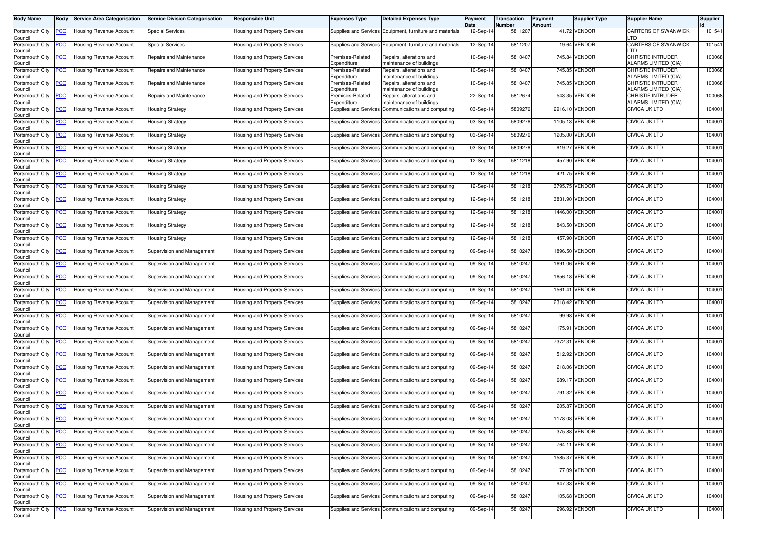| <b>Body Name</b>               | Body        | <b>Service Area Categorisation</b> | <b>Service Division Categorisation</b> | <b>Responsible Unit</b>              | <b>Expenses Type</b>            | <b>Detailed Expenses Type</b>                            | Payment<br>Date | Transaction<br>Number | Payment<br>Amount | <b>Supplier Type</b> | <b>Supplier Name</b>                             | <b>Supplier</b> |
|--------------------------------|-------------|------------------------------------|----------------------------------------|--------------------------------------|---------------------------------|----------------------------------------------------------|-----------------|-----------------------|-------------------|----------------------|--------------------------------------------------|-----------------|
| Portsmouth City<br>Council     | <b>PCC</b>  | Housing Revenue Account            | <b>Special Services</b>                | Housing and Property Services        |                                 | Supplies and Services Equipment, furniture and materials | 12-Sep-14       | 5811207               |                   | 41.72 VENDOR         | CARTERS OF SWANWICK<br>LTD                       | 101541          |
| Portsmouth City<br>Council     | <u>PCC</u>  | Housing Revenue Account            | <b>Special Services</b>                | lousing and Property Services        |                                 | Supplies and Services Equipment, furniture and materials | 12-Sep-14       | 5811207               |                   | 19.64 VENDOR         | CARTERS OF SWANWICK<br>LTD                       | 101541          |
| Portsmouth City<br>Council     | <u>PCC</u>  | Housing Revenue Account            | Repairs and Maintenance                | Housing and Property Services        | Premises-Related<br>Expenditure | Repairs, alterations and<br>maintenance of buildings     | 10-Sep-14       | 5810407               |                   | 745.84 VENDOR        | <b>CHRISTIE INTRUDER</b><br>ALARMS LIMITED (CIA) | 100068          |
| Portsmouth City<br>Council     | <u>PCC</u>  | Housing Revenue Account            | Repairs and Maintenance                | Housing and Property Services        | Premises-Related<br>Expenditure | Repairs, alterations and<br>maintenance of buildings     | 10-Sep-14       | 5810407               |                   | 745.85 VENDOR        | CHRISTIE INTRUDER<br>ALARMS LIMITED (CIA)        | 100068          |
| Portsmouth City<br>Council     | <u>PCC</u>  | Housing Revenue Account            | Repairs and Maintenance                | Housing and Property Services        | Premises-Related<br>Expenditure | Repairs, alterations and<br>maintenance of buildings     | 10-Sep-14       | 5810407               |                   | 745.85 VENDOR        | CHRISTIE INTRUDER<br>ALARMS LIMITED (CIA)        | 100068          |
| Portsmouth City<br>Council     | <u>PCC</u>  | Housing Revenue Account            | Repairs and Maintenance                | Housing and Property Services        | Premises-Related<br>Expenditure | Repairs, alterations and<br>maintenance of buildings     | 22-Sep-14       | 5812674               |                   | 543.35 VENDOR        | CHRISTIE INTRUDER<br>ALARMS LIMITED (CIA)        | 100068          |
| Portsmouth City<br>Council     | <u>PCC</u>  | Housing Revenue Account            | <b>Housing Strategy</b>                | Housing and Property Services        | <b>Supplies and Services</b>    | Communications and computing                             | 03-Sep-14       | 5809276               |                   | 2916.10 VENDOR       | CIVICA UK LTD                                    | 104001          |
| Portsmouth City<br>Council     | <u>PCC</u>  | Housing Revenue Account            | Housing Strategy                       | <b>Housing and Property Services</b> |                                 | Supplies and Services Communications and computing       | 03-Sep-14       | 5809276               |                   | 1105.13 VENDOR       | CIVICA UK LTD                                    | 104001          |
| Portsmouth City<br>Council     | <u>PCC</u>  | Housing Revenue Account            | <b>Housing Strategy</b>                | Housing and Property Services        |                                 | Supplies and Services Communications and computing       | 03-Sep-14       | 5809276               |                   | 1205.00 VENDOR       | <b>CIVICA UK LTD</b>                             | 104001          |
| Portsmouth City<br>Council     | <u>PCC</u>  | Housing Revenue Account            | Housing Strategy                       | Housing and Property Services        |                                 | Supplies and Services Communications and computing       | 03-Sep-14       | 5809276               |                   | 919.27 VENDOR        | CIVICA UK LTD                                    | 104001          |
| Portsmouth City<br>Council     | <u>PCC </u> | Housing Revenue Account            | Housing Strategy                       | Housing and Property Services        |                                 | Supplies and Services Communications and computing       | 12-Sep-14       | 5811218               |                   | 457.90 VENDOR        | <b>CIVICA UK LTD</b>                             | 104001          |
| Portsmouth City<br>Council     | <u>PCC</u>  | Housing Revenue Account            | <b>Housing Strategy</b>                | Housing and Property Services        |                                 | Supplies and Services Communications and computing       | 12-Sep-14       | 5811218               |                   | 421.75 VENDOR        | CIVICA UK LTD                                    | 104001          |
| Portsmouth City<br>Council     | <u>PCC</u>  | Housing Revenue Account            | <b>Housing Strategy</b>                | Housing and Property Services        |                                 | Supplies and Services Communications and computing       | 12-Sep-14       | 5811218               |                   | 3795.75 VENDOR       | <b>CIVICA UK LTD</b>                             | 104001          |
| Portsmouth City<br>Council     | <u>PCC</u>  | Housing Revenue Account            | Housing Strategy                       | Housing and Property Services        |                                 | Supplies and Services Communications and computing       | 12-Sep-14       | 5811218               |                   | 3831.90 VENDOR       | CIVICA UK LTD                                    | 104001          |
| Portsmouth City<br>Council     | <u>PCC</u>  | <b>Housing Revenue Account</b>     | <b>Housing Strategy</b>                | Housing and Property Services        |                                 | Supplies and Services Communications and computing       | 12-Sep-14       | 5811218               |                   | 1446.00 VENDOR       | CIVICA UK LTD                                    | 104001          |
| Portsmouth City<br>Council     | <u>PCC</u>  | Housing Revenue Account            | <b>Housing Strategy</b>                | Housing and Property Services        |                                 | Supplies and Services Communications and computing       | 12-Sep-14       | 5811218               |                   | 843.50 VENDOR        | <b>CIVICA UK LTD</b>                             | 104001          |
| Portsmouth City<br>Council     | <u>PCC</u>  | Housing Revenue Account            | Housing Strategy                       | Housing and Property Services        |                                 | Supplies and Services Communications and computing       | 12-Sep-14       | 5811218               |                   | 457.90 VENDOR        | CIVICA UK LTD                                    | 104001          |
| Portsmouth City<br>Council     | <u>PCC</u>  | Housing Revenue Account            | Supervision and Management             | Housing and Property Services        | Supplies and Services           | Communications and computing                             | 09-Sep-14       | 5810247               |                   | 1896.50 VENDOR       | CIVICA UK LTD                                    | 104001          |
| Portsmouth City<br>Council     | <u>PCC</u>  | Housing Revenue Account            | Supervision and Management             | Housing and Property Services        |                                 | Supplies and Services Communications and computing       | 09-Sep-14       | 5810247               |                   | 1691.06 VENDOR       | <b>CIVICA UK LTD</b>                             | 104001          |
| Portsmouth City<br>Council     | <u>PCC </u> | Housing Revenue Account            | Supervision and Management             | Housing and Property Services        |                                 | Supplies and Services Communications and computing       | 09-Sep-14       | 5810247               |                   | 1656.18 VENDOR       | CIVICA UK LTD                                    | 104001          |
| Portsmouth City<br>Council     | <u>PCC</u>  | Housing Revenue Account            | Supervision and Management             | Housing and Property Services        |                                 | Supplies and Services Communications and computing       | 09-Sep-14       | 5810247               |                   | 1561.41 VENDOR       | CIVICA UK LTD                                    | 104001          |
| Portsmouth City<br>Council     | PCC         | Housing Revenue Account            | Supervision and Management             | Housing and Property Services        | Supplies and Services           | Communications and computing                             | 09-Sep-14       | 5810247               |                   | 2318.42 VENDOR       | CIVICA UK LTD                                    | 104001          |
| Portsmouth City<br>Council     | <u>PCC</u>  | Housing Revenue Account            | Supervision and Management             | Housing and Property Services        |                                 | Supplies and Services Communications and computing       | 09-Sep-14       | 5810247               |                   | 99.98 VENDOR         | <b>CIVICA UK LTD</b>                             | 104001          |
| Portsmouth City<br>Council     | <u>PCC</u>  | Housing Revenue Account            | Supervision and Management             | Housing and Property Services        |                                 | Supplies and Services Communications and computing       | 09-Sep-14       | 5810247               |                   | 175.91 VENDOR        | <b>CIVICA UK LTD</b>                             | 104001          |
| Portsmouth City<br>Council     | <u>PCC</u>  | Housing Revenue Account            | Supervision and Management             | Housing and Property Services        |                                 | Supplies and Services Communications and computing       | 09-Sep-14       | 5810247               |                   | 7372.31 VENDOR       | CIVICA UK LTD                                    | 104001          |
| Portsmouth City<br>Council     | <u>PCC</u>  | Housing Revenue Account            | Supervision and Management             | Housing and Property Services        | Supplies and Services           | Communications and computing                             | 09-Sep-14       | 5810247               |                   | 512.92 VENDOR        | CIVICA UK LTD                                    | 104001          |
| Portsmouth City<br>Council     | <u>PCC</u>  | Housing Revenue Account            | Supervision and Management             | Housing and Property Services        |                                 | Supplies and Services Communications and computing       | 09-Sep-14       | 5810247               |                   | 218.06 VENDOR        | CIVICA UK LTD                                    | 104001          |
| Portsmouth City<br>Council     | <u>PCC</u>  | Housing Revenue Account            | Supervision and Management             | Housing and Property Services        |                                 | Supplies and Services Communications and computing       | 09-Sep-14       | 5810247               |                   | 689.17 VENDOR        | <b>CIVICA UK LTD</b>                             | 104001          |
| Portsmouth City<br>Council     | <u>PCC</u>  | Housing Revenue Account            | Supervision and Management             | Housing and Property Services        |                                 | Supplies and Services Communications and computing       | 09-Sep-14       | 5810247               |                   | 791.32 VENDOR        | CIVICA UK LTD                                    | 104001          |
| Portsmouth City<br>Council     | <b>PCC</b>  | Housing Revenue Account            | Supervision and Management             | Housing and Property Services        |                                 | Supplies and Services Communications and computing       | 09-Sep-14       | 5810247               |                   | 205.87 VENDOR        | <b>CIVICA UK LTD</b>                             | 104001          |
| Portsmouth City PCC<br>Council |             | <b>Housing Revenue Account</b>     | Supervision and Management             | Housing and Property Services        |                                 | Supplies and Services Communications and computing       | 09-Sep-14       | 5810247               |                   | 1178.08 VENDOR       | CIVICA UK LTD                                    | 104001          |
| Portsmouth City<br>Council     | <u>PCC</u>  | <b>Housing Revenue Account</b>     | Supervision and Management             | Housing and Property Services        |                                 | Supplies and Services Communications and computing       | 09-Sep-14       | 5810247               |                   | 375.88 VENDOR        | <b>CIVICA UK LTD</b>                             | 104001          |
| Portsmouth City<br>Council     | <u>PCC</u>  | Housing Revenue Account            | Supervision and Management             | Housing and Property Services        |                                 | Supplies and Services Communications and computing       | 09-Sep-14       | 5810247               |                   | 764.11 VENDOR        | CIVICA UK LTD                                    | 104001          |
| Portsmouth City<br>Council     | <u>PCC</u>  | <b>Housing Revenue Account</b>     | Supervision and Management             | Housing and Property Services        |                                 | Supplies and Services Communications and computing       | 09-Sep-14       | 5810247               |                   | 1585.37 VENDOR       | CIVICA UK LTD                                    | 104001          |
| Portsmouth City<br>Council     | <u>PCC</u>  | Housing Revenue Account            | Supervision and Management             | Housing and Property Services        |                                 | Supplies and Services Communications and computing       | 09-Sep-14       | 5810247               |                   | 77.09 VENDOR         | <b>CIVICA UK LTD</b>                             | 104001          |
| Portsmouth City<br>Council     | <u>PCC </u> | Housing Revenue Account            | Supervision and Management             | Housing and Property Services        |                                 | Supplies and Services Communications and computing       | 09-Sep-14       | 5810247               |                   | 947.33 VENDOR        | CIVICA UK LTD                                    | 104001          |
| Portsmouth City<br>Council     | <u>PCC</u>  | Housing Revenue Account            | Supervision and Management             | Housing and Property Services        |                                 | Supplies and Services Communications and computing       | 09-Sep-14       | 5810247               |                   | 105.68 VENDOR        | CIVICA UK LTD                                    | 104001          |
| Portsmouth City<br>Council     | <u>PCC</u>  | Housing Revenue Account            | Supervision and Management             | Housing and Property Services        |                                 | Supplies and Services Communications and computing       | 09-Sep-14       | 5810247               |                   | 296.92 VENDOR        | CIVICA UK LTD                                    | 104001          |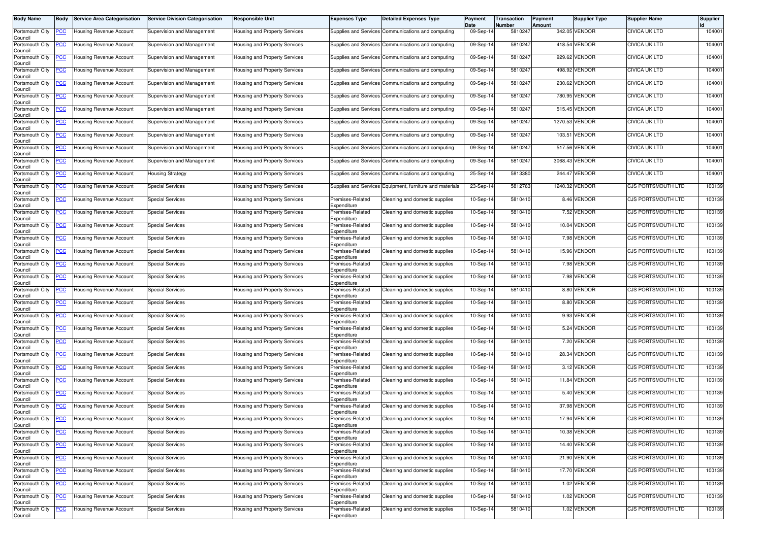| Body Name                  | Body       | <b>Service Area Categorisation</b> | Service Division Categorisation | Responsible Unit                     | <b>Expenses Type</b>            | <b>Detailed Expenses Type</b>                      | Payment<br>Date | <b>Transaction</b><br>Number | Payment<br>Amount | Supplier Type  | <b>Supplier Name</b>      | Supplier |
|----------------------------|------------|------------------------------------|---------------------------------|--------------------------------------|---------------------------------|----------------------------------------------------|-----------------|------------------------------|-------------------|----------------|---------------------------|----------|
| Portsmouth City<br>Council | <u>PCC</u> | Housing Revenue Account            | Supervision and Management      | Housing and Property Services        |                                 | Supplies and Services Communications and computing | 09-Sep-14       | 5810247                      |                   | 342.05 VENDOR  | <b>CIVICA UK LTD</b>      | 104001   |
| Portsmouth City<br>Council | <u>'CC</u> | Housing Revenue Account            | Supervision and Management      | lousing and Property Services        | <b>Supplies and Services</b>    | Communications and computing                       | 09-Sep-14       | 581024                       | 418.54            | <b>VENDOR</b>  | <b>CIVICA UK LTD</b>      | 104001   |
| Portsmouth City<br>Council | <u>cc</u>  | Housing Revenue Account            | Supervision and Management      | Housing and Property Services        | <b>Supplies and Services</b>    | Communications and computing                       | 09-Sep-14       | 581024                       | 929.62            | <b>VENDOR</b>  | <b>CIVICA UK LTD</b>      | 104001   |
| Portsmouth City<br>Council | <u>'СС</u> | Housing Revenue Account            | Supervision and Management      | lousing and Property Services        | <b>Supplies and Services</b>    | Communications and computing                       | 09-Sep-14       | 581024                       |                   | 498.92 VENDOR  | <b>CIVICA UK LTD</b>      | 104001   |
| Portsmouth City<br>Council | <u>'CC</u> | Housing Revenue Account            | Supervision and Management      | Housing and Property Services        | <b>Supplies and Services</b>    | Communications and computing                       | 09-Sep-14       | 5810247                      | 230.62            | VENDOR         | CIVICA UK LTD             | 104001   |
| Portsmouth City<br>Council | <u>'СС</u> | Housing Revenue Account            | Supervision and Management      | Housing and Property Services        |                                 | Supplies and Services Communications and computing | 09-Sep-14       | 5810247                      | 780.95            | <b>VENDOR</b>  | <b>CIVICA UK LTD</b>      | 104001   |
| Portsmouth City<br>Council | <u>'CC</u> | <b>Housing Revenue Account</b>     | Supervision and Management      | Housing and Property Services        | <b>Supplies and Services</b>    | Communications and computing                       | 09-Sep-14       | 5810247                      |                   | 515.45 VENDOR  | <b>CIVICA UK LTD</b>      | 104001   |
| Portsmouth City<br>Council | <u>CC </u> | Housing Revenue Account            | Supervision and Management      | Housing and Property Services        | <b>Supplies and Services</b>    | Communications and computing                       | 09-Sep-14       | 581024                       | 1270.53           | <b>VENDOR</b>  | <b>CIVICA UK LTD</b>      | 104001   |
| Portsmouth City<br>Council | <u>cc</u>  | Housing Revenue Account            | Supervision and Management      | Housing and Property Services        | <b>Supplies and Services</b>    | Communications and computing                       | 09-Sep-14       | 5810247                      | 103.51            | /ENDOR         | <b>CIVICA UK LTD</b>      | 104001   |
| Portsmouth City<br>Council | <u>'CC</u> | Housing Revenue Account            | Supervision and Management      | Housing and Property Services        |                                 | Supplies and Services Communications and computing | 09-Sep-14       | 581024                       |                   | 517.56 VENDOR  | <b>CIVICA UK LTD</b>      | 104001   |
| Portsmouth City<br>Council | <u>'СС</u> | Housing Revenue Account            | Supervision and Management      | Housing and Property Services        | <b>Supplies and Services</b>    | Communications and computing                       | 09-Sep-14       | 581024                       | 3068.43           | VENDOR         | <b>CIVICA UK LTD</b>      | 104001   |
| Portsmouth City<br>Council | <u>'СС</u> | Housing Revenue Account            | <b>Housing Strategy</b>         | lousing and Property Services        | Supplies and Services           | Communications and computing                       | 25-Sep-14       | 5813380                      | 244.47            | VENDOR         | <b>CIVICA UK LTD</b>      | 104001   |
| Portsmouth City<br>Council | <u>'СС</u> | Housing Revenue Account            | <b>Special Services</b>         | Housing and Property Services        | <b>Supplies and Services</b>    | Equipment, furniture and materials                 | 23-Sep-14       | 5812763                      |                   | 1240.32 VENDOR | CJS PORTSMOUTH LTD        | 100139   |
| Portsmouth City<br>Council | <u>'СС</u> | Housing Revenue Account            | <b>Special Services</b>         | Housing and Property Services        | Premises-Related<br>Expenditure | Cleaning and domestic supplies                     | 10-Sep-14       | 5810410                      |                   | 8.46 VENDOR    | CJS PORTSMOUTH LTD        | 100139   |
| Portsmouth City<br>Council | <u>'CC</u> | Housing Revenue Account            | <b>Special Services</b>         | Housing and Property Services        | Premises-Related<br>Expenditure | Cleaning and domestic supplies                     | 10-Sep-14       | 5810410                      |                   | 7.52 VENDOR    | CJS PORTSMOUTH LTD        | 100139   |
| Portsmouth City<br>Council | <u>'СС</u> | Housing Revenue Account            | <b>Special Services</b>         | <b>Housing and Property Services</b> | Premises-Related<br>Expenditure | Cleaning and domestic supplies                     | 10-Sep-14       | 5810410                      |                   | 10.04 VENDOR   | <b>CJS PORTSMOUTH LTD</b> | 100139   |
| Portsmouth City<br>Council | <u>cc</u>  | Housing Revenue Account            | <b>Special Services</b>         | Housing and Property Services        | Premises-Related<br>Expenditure | Cleaning and domestic supplies                     | 10-Sep-14       | 5810410                      |                   | 7.98 VENDOR    | <b>CJS PORTSMOUTH LTD</b> | 100139   |
| Portsmouth City<br>Council | <u>'CC</u> | Housing Revenue Account            | <b>Special Services</b>         | lousing and Property Services        | Premises-Related<br>Expenditure | Cleaning and domestic supplies                     | 10-Sep-14       | 5810410                      |                   | 15.96 VENDOR   | <b>CJS PORTSMOUTH LTD</b> | 100139   |
| Portsmouth City<br>Council | <u>'СС</u> | Housing Revenue Account            | <b>Special Services</b>         | <b>Housing and Property Services</b> | Premises-Related<br>Expenditure | Cleaning and domestic supplies                     | $10-Sep-1$      | 5810410                      |                   | 7.98 VENDOR    | CJS PORTSMOUTH LTD        | 100139   |
| Portsmouth City<br>Council | <u>'CC</u> | <b>Housing Revenue Account</b>     | <b>Special Services</b>         | Housing and Property Services        | Premises-Related<br>Expenditure | Cleaning and domestic supplies                     | 10-Sep-14       | 5810410                      |                   | 7.98 VENDOR    | <b>CJS PORTSMOUTH LTD</b> | 100139   |
| Portsmouth City<br>Council | <u>'СС</u> | Housing Revenue Account            | <b>Special Services</b>         | Housing and Property Services        | Premises-Related<br>Expenditure | Cleaning and domestic supplies                     | 10-Sep-14       | 5810410                      |                   | 8.80 VENDOR    | CJS PORTSMOUTH LTD        | 100139   |
| Portsmouth City<br>Council | <u>'СС</u> | Housing Revenue Account            | <b>Special Services</b>         | Housing and Property Services        | Premises-Related<br>Expenditure | Cleaning and domestic supplies                     | 10-Sep-14       | 5810410                      |                   | 8.80 VENDOR    | CJS PORTSMOUTH LTD        | 100139   |
| Portsmouth City<br>Council | <u>CC</u>  | Housing Revenue Account            | <b>Special Services</b>         | Housing and Property Services        | Premises-Related<br>Expenditure | Cleaning and domestic supplies                     | 10-Sep-14       | 5810410                      |                   | 9.93 VENDOR    | <b>CJS PORTSMOUTH LTD</b> | 100139   |
| Portsmouth City<br>Council | <u>'СС</u> | Housing Revenue Account            | <b>Special Services</b>         | Housing and Property Services        | Premises-Related<br>Expenditure | Cleaning and domestic supplies                     | 10-Sep-14       | 5810410                      |                   | 5.24 VENDOR    | <b>CJS PORTSMOUTH LTD</b> | 100139   |
| Portsmouth City<br>Council | <u>cc</u>  | Housing Revenue Account            | <b>Special Services</b>         | lousing and Property Services        | Premises-Related<br>Expenditure | Cleaning and domestic supplies                     | 10-Sep-14       | 5810410                      |                   | 7.20 VENDOR    | CJS PORTSMOUTH LTD        | 100139   |
| Portsmouth City<br>Council | <u>'CC</u> | Housing Revenue Account            | <b>Special Services</b>         | lousing and Property Services        | Premises-Related<br>Expenditure | Cleaning and domestic supplies                     | 10-Sep-14       | 5810410                      |                   | 28.34 VENDOR   | CJS PORTSMOUTH LTD        | 100139   |
| Portsmouth City<br>Council | <u>'СС</u> | Housing Revenue Account            | <b>Special Services</b>         | Housing and Property Services        | Premises-Related<br>Expenditure | Cleaning and domestic supplies                     | 10-Sep-14       | 5810410                      |                   | 3.12 VENDOR    | CJS PORTSMOUTH LTD        | 100139   |
| Portsmouth City<br>Council | <u>cc</u>  | Housing Revenue Account            | <b>Special Services</b>         | lousing and Property Services        | Premises-Related<br>Expenditure | Cleaning and domestic supplies                     | 10-Sep-14       | 5810410                      | 11.84             | VENDOR         | <b>CJS PORTSMOUTH LTD</b> | 100139   |
| Portsmouth City<br>Council | <u>'СС</u> | Housing Revenue Account            | <b>Special Services</b>         | Housing and Property Services        | Premises-Related<br>Expenditure | Cleaning and domestic supplies                     | 10-Sep-14       | 5810410                      |                   | 5.40 VENDOR    | <b>CJS PORTSMOUTH LTD</b> | 100139   |
| Portsmouth City<br>Council | <u>'CC</u> | Housing Revenue Account            | <b>Special Services</b>         | Housing and Property Services        | Premises-Related<br>Expenditure | Cleaning and domestic supplies                     | 10-Sep-14       | 5810410                      | 37.98             | VENDOR         | CJS PORTSMOUTH LTD        | 100139   |
| Portsmouth City<br>Council | <b>PCC</b> | <b>Housing Revenue Account</b>     | <b>Special Services</b>         | Housing and Property Services        | Premises-Related<br>Expenditure | Cleaning and domestic supplies                     | 10-Sep-14       | 5810410                      |                   | 17.94 VENDOR   | CJS PORTSMOUTH LTD        | 100139   |
| Portsmouth City<br>Council | <u>CC</u>  | <b>Housing Revenue Account</b>     | <b>Special Services</b>         | lousing and Property Services        | Premises-Related<br>Expenditure | Cleaning and domestic supplies                     | 10-Sep-14       | 5810410                      |                   | 10.38 VENDOR   | CJS PORTSMOUTH LTD        | 100139   |
| Portsmouth City<br>Council | <u>'CC</u> | <b>Housing Revenue Account</b>     | <b>Special Services</b>         | <b>Housing and Property Services</b> | Premises-Related<br>Expenditure | Cleaning and domestic supplies                     | 10-Sep-14       | 5810410                      |                   | 14.40 VENDOR   | CJS PORTSMOUTH LTD        | 100139   |
| Portsmouth City<br>Council | <u>CC</u>  | <b>Housing Revenue Account</b>     | <b>Special Services</b>         | lousing and Property Services        | Premises-Related<br>Expenditure | Cleaning and domestic supplies                     | 10-Sep-14       | 5810410                      |                   | 21.90 VENDOR   | CJS PORTSMOUTH LTD        | 100139   |
| Portsmouth City<br>Council | <u>'CC</u> | Housing Revenue Account            | <b>Special Services</b>         | Housing and Property Services        | Premises-Related<br>Expenditure | Cleaning and domestic supplies                     | 10-Sep-14       | 5810410                      |                   | 17.70 VENDOR   | CJS PORTSMOUTH LTD        | 100139   |
| Portsmouth City<br>Council | <u>'CC</u> | Housing Revenue Account            | <b>Special Services</b>         | Housing and Property Services        | Premises-Related<br>Expenditure | Cleaning and domestic supplies                     | 10-Sep-14       | 5810410                      |                   | 1.02 VENDOR    | CJS PORTSMOUTH LTD        | 100139   |
| Portsmouth City<br>Council | <u>'CC</u> | Housing Revenue Account            | <b>Special Services</b>         | Housing and Property Services        | Premises-Related<br>Expenditure | Cleaning and domestic supplies                     | 10-Sep-14       | 5810410                      |                   | 1.02 VENDOR    | CJS PORTSMOUTH LTD        | 100139   |
| Portsmouth City<br>Council | <u>cc</u>  | <b>Housing Revenue Account</b>     | <b>Special Services</b>         | lousing and Property Services        | Premises-Related<br>Expenditure | Cleaning and domestic supplies                     | 10-Sep-14       | 5810410                      |                   | 1.02 VENDOR    | <b>CJS PORTSMOUTH LTD</b> | 100139   |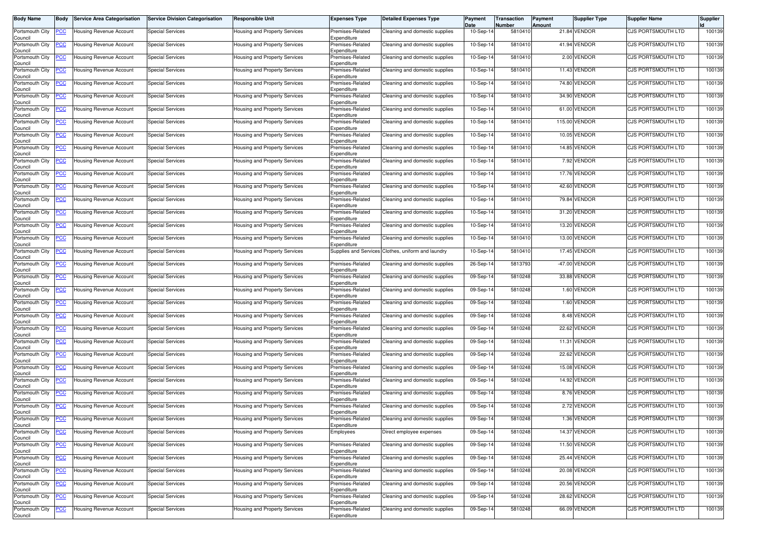| Body Name                      | <b>Body</b> | Service Area Categorisation         | <b>Service Division Categorisation</b> | <b>Responsible Unit</b>              | <b>Expenses Type</b>            | <b>Detailed Expenses Type</b>  | Payment<br>Date | Transaction<br>Number | Payment<br>Amount | Supplier Type | <b>Supplier Name</b>      | Supplier |
|--------------------------------|-------------|-------------------------------------|----------------------------------------|--------------------------------------|---------------------------------|--------------------------------|-----------------|-----------------------|-------------------|---------------|---------------------------|----------|
| Portsmouth City<br>Council     | <u>PCC</u>  | Housing Revenue Account             | <b>Special Services</b>                | <b>Housing and Property Services</b> | Premises-Related<br>Expenditure | Cleaning and domestic supplies | 10-Sep-14       | 5810410               | 21.84             | VENDOR        | CJS PORTSMOUTH LTD        | 100139   |
| Portsmouth City<br>Council     | <u>PCC</u>  | Housing Revenue Account             | <b>Special Services</b>                | Housing and Property Services        | Premises-Related<br>Expenditure | Cleaning and domestic supplies | 10-Sep-14       | 5810410               |                   | 41.94 VENDOR  | CJS PORTSMOUTH LTD        | 100139   |
| Portsmouth City<br>Council     | <u>PCC</u>  | Housing Revenue Account             | <b>Special Services</b>                | <b>Housing and Property Services</b> | Premises-Related<br>Expenditure | Cleaning and domestic supplies | $10-Sep-1$      | 5810410               |                   | 2.00 VENDOR   | CJS PORTSMOUTH LTD        | 100139   |
| Portsmouth City<br>Council     | <u>PCC</u>  | Housing Revenue Account             | <b>Special Services</b>                | Housing and Property Services        | Premises-Related<br>Expenditure | Cleaning and domestic supplies | 10-Sep-14       | 5810410               |                   | 11.43 VENDOR  | <b>CJS PORTSMOUTH LTD</b> | 100139   |
| Portsmouth City<br>Council     | <u>PCC</u>  | Housing Revenue Account             | <b>Special Services</b>                | Housing and Property Services        | Premises-Related<br>Expenditure | Cleaning and domestic supplies | 10-Sep-14       | 5810410               |                   | 74.80 VENDOR  | CJS PORTSMOUTH LTD        | 100139   |
| Portsmouth City<br>Council     | <u>PCC</u>  | Housing Revenue Account             | <b>Special Services</b>                | Housing and Property Services        | Premises-Related<br>Expenditure | Cleaning and domestic supplies | 10-Sep-14       | 5810410               |                   | 34.90 VENDOR  | <b>CJS PORTSMOUTH LTD</b> | 100139   |
| Portsmouth City<br>Council     | <u>CC</u>   | <del>l</del> ousing Revenue Account | Special Services                       | <b>Housing and Property Services</b> | Premises-Related<br>Expenditure | Cleaning and domestic supplies | $10-Sep-1$      | 5810410               |                   | 61.00 VENDOR  | CJS PORTSMOUTH LTD        | 100139   |
| Portsmouth City<br>Council     | <u>PCC</u>  | <b>Housing Revenue Account</b>      | <b>Special Services</b>                | Housing and Property Services        | Premises-Related<br>Expenditure | Cleaning and domestic supplies | 10-Sep-14       | 5810410               |                   | 115.00 VENDOR | <b>CJS PORTSMOUTH LTD</b> | 100139   |
| Portsmouth City<br>Council     | PCC.        | Housing Revenue Account             | <b>Special Services</b>                | <b>Housing and Property Services</b> | Premises-Related<br>Expenditure | Cleaning and domestic supplies | 10-Sep-14       | 5810410               | 10.05             | <b>VENDOR</b> | <b>CJS PORTSMOUTH LTD</b> | 100139   |
| Portsmouth City<br>Council     | <u>PCC</u>  | Housing Revenue Account             | <b>Special Services</b>                | Housing and Property Services        | Premises-Related<br>Expenditure | Cleaning and domestic supplies | 10-Sep-14       | 5810410               |                   | 14.85 VENDOR  | <b>CJS PORTSMOUTH LTD</b> | 100139   |
| Portsmouth City<br>Council     | <u>PCC</u>  | Housing Revenue Account             | <b>Special Services</b>                | Housing and Property Services        | Premises-Related<br>Expenditure | Cleaning and domestic supplies | $10-Sep-1$      | 581041                |                   | 7.92 VENDOR   | <b>CJS PORTSMOUTH LTD</b> | 100139   |
| Portsmouth City<br>Council     | <u>PCC</u>  | lousing Revenue Account             | <b>Special Services</b>                | Housing and Property Services        | Premises-Related<br>Expenditure | Cleaning and domestic supplies | 10-Sep-14       | 5810410               |                   | 17.76 VENDOR  | <b>CJS PORTSMOUTH LTD</b> | 100139   |
| Portsmouth City<br>Council     | <u>PCC</u>  | Housing Revenue Account             | <b>Special Services</b>                | Housing and Property Services        | Premises-Related<br>Expenditure | Cleaning and domestic supplies | 10-Sep-14       | 5810410               |                   | 42.60 VENDOR  | CJS PORTSMOUTH LTD        | 100139   |
| Portsmouth City<br>Council     | <u>'СС</u>  | Housing Revenue Account             | Special Services                       | Housing and Property Services        | Premises-Related<br>Expenditure | Cleaning and domestic supplies | 10-Sep-14       | 5810410               | 79.84             | VENDOR        | CJS PORTSMOUTH LTD        | 100139   |
| Portsmouth City<br>Council     | <u>PCC</u>  | Housing Revenue Account             | <b>Special Services</b>                | <b>Housing and Property Services</b> | Premises-Related<br>Expenditure | Cleaning and domestic supplies | 10-Sep-14       | 5810410               |                   | 31.20 VENDOR  | CJS PORTSMOUTH LTD        | 100139   |
| Portsmouth City<br>Council     | <u>PCC</u>  | Housing Revenue Account             | <b>Special Services</b>                | <b>Housing and Property Services</b> | Premises-Related<br>Expenditure | Cleaning and domestic supplies | 10-Sep-14       | 5810410               | 13.20             | <b>VENDOR</b> | <b>CJS PORTSMOUTH LTD</b> | 100139   |
| Portsmouth City<br>Council     | <u>'CC</u>  | Housing Revenue Account             | <b>Special Services</b>                | Housing and Property Services        | Premises-Related<br>Expenditure | Cleaning and domestic supplies | 10-Sep-14       | 5810410               |                   | 13.00 VENDOR  | CJS PORTSMOUTH LTD        | 100139   |
| Portsmouth City<br>Council     | <u>CC</u>   | Housing Revenue Account             | <b>Special Services</b>                | Housing and Property Services        | Supplies and Services           | Clothes, uniform and laundry   | 10-Sep-14       | 5810410               |                   | 17.45 VENDOR  | CJS PORTSMOUTH LTD        | 100139   |
| Portsmouth City<br>Council     | <u>PCC</u>  | <b>Housing Revenue Account</b>      | <b>Special Services</b>                | Housing and Property Services        | Premises-Related<br>Expenditure | Cleaning and domestic supplies | 26-Sep-14       | 5813793               |                   | -47.00 VENDOR | CJS PORTSMOUTH LTD        | 100139   |
| Portsmouth City<br>Council     | <u>CC</u>   | Housing Revenue Account             | <b>Special Services</b>                | Housing and Property Services        | Premises-Related<br>Expenditure | Cleaning and domestic supplies | 09-Sep-14       | 5810248               | 33.88             | <b>VENDOR</b> | <b>CJS PORTSMOUTH LTD</b> | 100139   |
| Portsmouth City<br>Council     | <u>PCC</u>  | Housing Revenue Account             | <b>Special Services</b>                | <b>Housing and Property Services</b> | Premises-Related<br>Expenditure | Cleaning and domestic supplies | 09-Sep-14       | 5810248               |                   | 1.60 VENDOR   | <b>CJS PORTSMOUTH LTD</b> | 100139   |
| Portsmouth City<br>Council     | <u>CC</u>   | Housing Revenue Account             | <b>Special Services</b>                | Housing and Property Services        | Premises-Related<br>Expenditure | Cleaning and domestic supplies | 09-Sep-14       | 5810248               |                   | 1.60 VENDOR   | <b>CJS PORTSMOUTH LTD</b> | 100139   |
| Portsmouth City<br>Council     | <u>PCC</u>  | Housing Revenue Account             | <b>Special Services</b>                | Housing and Property Services        | Premises-Related<br>Expenditure | Cleaning and domestic supplies | 09-Sep-14       | 5810248               |                   | 8.48 VENDOR   | <b>CJS PORTSMOUTH LTD</b> | 100139   |
| Portsmouth City<br>Council     | <u>PCC</u>  | Housing Revenue Account             | <b>Special Services</b>                | <b>Housing and Property Services</b> | Premises-Related<br>Expenditure | Cleaning and domestic supplies | 09-Sep-1        | 5810248               |                   | 22.62 VENDOR  | CJS PORTSMOUTH LTD        | 100139   |
| Portsmouth City<br>Council     | <u>PCC</u>  | Housing Revenue Account             | <b>Special Services</b>                | Housing and Property Services        | Premises-Related<br>Expenditure | Cleaning and domestic supplies | 09-Sep-14       | 5810248               | 11.31             | <b>VENDOR</b> | CJS PORTSMOUTH LTD        | 100139   |
| Portsmouth City<br>Council     | <u>PCC</u>  | Housing Revenue Account             | <b>Special Services</b>                | Housing and Property Services        | Premises-Related<br>Expenditure | Cleaning and domestic supplies | 09-Sep-14       | 5810248               | 22.62             | <b>VENDOR</b> | <b>CJS PORTSMOUTH LTD</b> | 100139   |
| Portsmouth City<br>Council     | <u>PCC</u>  | Housing Revenue Account             | <b>Special Services</b>                | Housing and Property Services        | Premises-Related<br>Expenditure | Cleaning and domestic supplies | 09-Sep-14       | 5810248               |                   | 15.08 VENDOR  | <b>CJS PORTSMOUTH LTD</b> | 100139   |
| Portsmouth City<br>Council     | <u>PCC</u>  | Jousing Revenue Account             | <b>Special Services</b>                | <b>Housing and Property Services</b> | Premises-Related<br>Expenditure | Cleaning and domestic supplies | 09-Sep-1        | 5810248               |                   | 14.92 VENDOR  | CJS PORTSMOUTH LTD        | 100139   |
| Portsmouth City<br>Council     | <u>PCC</u>  | Housing Revenue Account             | <b>Special Services</b>                | <b>Housing and Property Services</b> | Premises-Related<br>Expenditure | Cleaning and domestic supplies | 09-Sep-14       | 5810248               |                   | 8.76 VENDOR   | CJS PORTSMOUTH LTD        | 100139   |
| Portsmouth City<br>Council     | <u>PCC </u> | <b>Housing Revenue Account</b>      | Special Services                       | Housing and Property Services        | Premises-Related<br>Expenditure | Cleaning and domestic supplies | 09-Sep-14       | 5810248               |                   | 2.72 VENDOR   | <b>CJS PORTSMOUTH LTD</b> | 100139   |
| Portsmouth City PCC<br>Council |             | <b>Housing Revenue Account</b>      | <b>Special Services</b>                | Housing and Property Services        | Premises-Related<br>Expenditure | Cleaning and domestic supplies | 09-Sep-14       | 5810248               |                   | 1.36 VENDOR   | CJS PORTSMOUTH LTD        | 100139   |
| Portsmouth City<br>Council     | <u>PCC</u>  | Housing Revenue Account             | <b>Special Services</b>                | Housing and Property Services        | Employees                       | Direct employee expenses       | 09-Sep-14       | 5810248               |                   | 14.37 VENDOR  | CJS PORTSMOUTH LTD        | 100139   |
| Portsmouth City<br>Council     | <u>PCC</u>  | Housing Revenue Account             | <b>Special Services</b>                | Housing and Property Services        | Premises-Related<br>Expenditure | Cleaning and domestic supplies | 09-Sep-14       | 5810248               |                   | 11.50 VENDOR  | <b>CJS PORTSMOUTH LTD</b> | 100139   |
| Portsmouth City<br>Council     | <u>PCC</u>  | Housing Revenue Account             | <b>Special Services</b>                | Housing and Property Services        | Premises-Related<br>Expenditure | Cleaning and domestic supplies | 09-Sep-14       | 5810248               |                   | 25.44 VENDOR  | CJS PORTSMOUTH LTD        | 100139   |
| Portsmouth City<br>Council     | <u>PCC</u>  | <b>Housing Revenue Account</b>      | <b>Special Services</b>                | Housing and Property Services        | Premises-Related<br>Expenditure | Cleaning and domestic supplies | 09-Sep-14       | 5810248               |                   | 20.08 VENDOR  | CJS PORTSMOUTH LTD        | 100139   |
| Portsmouth City<br>Council     | <u>PCC</u>  | Housing Revenue Account             | <b>Special Services</b>                | Housing and Property Services        | Premises-Related<br>Expenditure | Cleaning and domestic supplies | 09-Sep-14       | 5810248               |                   | 20.56 VENDOR  | CJS PORTSMOUTH LTD        | 100139   |
| Portsmouth City<br>Council     | <u>PCC</u>  | Housing Revenue Account             | <b>Special Services</b>                | Housing and Property Services        | Premises-Related<br>Expenditure | Cleaning and domestic supplies | 09-Sep-14       | 5810248               |                   | 28.62 VENDOR  | <b>CJS PORTSMOUTH LTD</b> | 100139   |
| Portsmouth City<br>Council     | <u>PCC</u>  | Housing Revenue Account             | <b>Special Services</b>                | Housing and Property Services        | Premises-Related<br>Expenditure | Cleaning and domestic supplies | 09-Sep-14       | 5810248               |                   | 66.09 VENDOR  | CJS PORTSMOUTH LTD        | 100139   |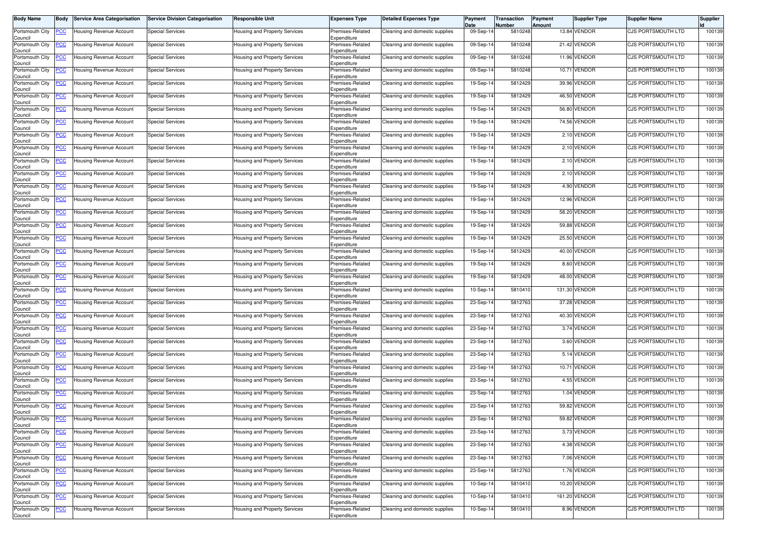| Body Name                      | <b>Body</b> | Service Area Categorisation         | <b>Service Division Categorisation</b> | <b>Responsible Unit</b>              | <b>Expenses Type</b>            | <b>Detailed Expenses Type</b>  | Payment<br>Date | Transaction<br>Number | Payment<br>Amount | Supplier Type | <b>Supplier Name</b>      | Supplier |
|--------------------------------|-------------|-------------------------------------|----------------------------------------|--------------------------------------|---------------------------------|--------------------------------|-----------------|-----------------------|-------------------|---------------|---------------------------|----------|
| Portsmouth City<br>Council     | <u>PCC</u>  | Housing Revenue Account             | <b>Special Services</b>                | Housing and Property Services        | Premises-Related<br>Expenditure | Cleaning and domestic supplies | 09-Sep-14       | 5810248               | 13.84             | VENDOR        | CJS PORTSMOUTH LTD        | 100139   |
| Portsmouth City<br>Council     | <u>PCC</u>  | Housing Revenue Account             | <b>Special Services</b>                | Housing and Property Services        | Premises-Related<br>Expenditure | Cleaning and domestic supplies | 09-Sep-14       | 5810248               |                   | 21.42 VENDOR  | CJS PORTSMOUTH LTD        | 100139   |
| Portsmouth City<br>Council     | <u>PCC</u>  | Housing Revenue Account             | <b>Special Services</b>                | <b>Housing and Property Services</b> | Premises-Related<br>Expenditure | Cleaning and domestic supplies | 09-Sep-1        | 5810248               | 11.96             | <b>VENDOR</b> | CJS PORTSMOUTH LTD        | 100139   |
| Portsmouth City<br>Council     | <u>PCC</u>  | Housing Revenue Account             | <b>Special Services</b>                | Housing and Property Services        | Premises-Related<br>Expenditure | Cleaning and domestic supplies | 09-Sep-14       | 5810248               | 10.71             | <b>VENDOR</b> | <b>CJS PORTSMOUTH LTD</b> | 100139   |
| Portsmouth City<br>Council     | <u>PCC</u>  | Housing Revenue Account             | <b>Special Services</b>                | <b>Housing and Property Services</b> | Premises-Related<br>Expenditure | Cleaning and domestic supplies | 19-Sep-14       | 5812429               | 39.96             | <b>VENDOR</b> | CJS PORTSMOUTH LTD        | 100139   |
| Portsmouth City<br>Council     | <u>PCC</u>  | Housing Revenue Account             | <b>Special Services</b>                | Housing and Property Services        | Premises-Related<br>Expenditure | Cleaning and domestic supplies | 19-Sep-14       | 5812429               |                   | 46.50 VENDOR  | <b>CJS PORTSMOUTH LTD</b> | 100139   |
| Portsmouth City<br>Council     | <u>CC</u>   | <del>l</del> ousing Revenue Account | Special Services                       | <b>Housing and Property Services</b> | Premises-Related<br>Expenditure | Cleaning and domestic supplies | 19-Sep-1        | 5812429               |                   | 56.80 VENDOR  | CJS PORTSMOUTH LTD        | 100139   |
| Portsmouth City<br>Council     | <u>PCC</u>  | Housing Revenue Account             | <b>Special Services</b>                | Housing and Property Services        | Premises-Related<br>Expenditure | Cleaning and domestic supplies | 19-Sep-14       | 5812429               |                   | 74.56 VENDOR  | <b>CJS PORTSMOUTH LTD</b> | 100139   |
| Portsmouth City<br>Council     | PCC.        | Housing Revenue Account             | <b>Special Services</b>                | <b>Housing and Property Services</b> | Premises-Related<br>Expenditure | Cleaning and domestic supplies | 19-Sep-14       | 5812429               |                   | 2.10 VENDOR   | <b>CJS PORTSMOUTH LTD</b> | 100139   |
| Portsmouth City<br>Council     | <u>PCC</u>  | Housing Revenue Account             | <b>Special Services</b>                | Housing and Property Services        | Premises-Related<br>Expenditure | Cleaning and domestic supplies | 19-Sep-14       | 5812429               |                   | 2.10 VENDOR   | <b>CJS PORTSMOUTH LTD</b> | 100139   |
| Portsmouth City<br>Council     | <u>PCC</u>  | Housing Revenue Account             | <b>Special Services</b>                | Housing and Property Services        | Premises-Related<br>Expenditure | Cleaning and domestic supplies | 19-Sep-1        | 5812429               |                   | 2.10 VENDOR   | <b>CJS PORTSMOUTH LTD</b> | 100139   |
| Portsmouth City<br>Council     | <u>PCC</u>  | lousing Revenue Account             | <b>Special Services</b>                | Housing and Property Services        | Premises-Related<br>Expenditure | Cleaning and domestic supplies | 19-Sep-14       | 5812429               |                   | 2.10 VENDOR   | <b>CJS PORTSMOUTH LTD</b> | 100139   |
| Portsmouth City<br>Council     | <u>PCC</u>  | Housing Revenue Account             | <b>Special Services</b>                | Housing and Property Services        | Premises-Related<br>Expenditure | Cleaning and domestic supplies | 19-Sep-14       | 5812429               |                   | 4.90 VENDOR   | CJS PORTSMOUTH LTD        | 100139   |
| Portsmouth City<br>Council     | <u>'СС</u>  | Housing Revenue Account             | Special Services                       | <b>Housing and Property Services</b> | Premises-Related<br>Expenditure | Cleaning and domestic supplies | 19-Sep-14       | 5812429               |                   | 12.96 VENDOR  | CJS PORTSMOUTH LTD        | 100139   |
| Portsmouth City<br>Council     | <u>PCC</u>  | Housing Revenue Account             | <b>Special Services</b>                | <b>Housing and Property Services</b> | Premises-Related<br>Expenditure | Cleaning and domestic supplies | 19-Sep-14       | 5812429               |                   | 58.20 VENDOR  | CJS PORTSMOUTH LTD        | 100139   |
| Portsmouth City<br>Council     | <u>PCC</u>  | Housing Revenue Account             | <b>Special Services</b>                | Housing and Property Services        | Premises-Related<br>Expenditure | Cleaning and domestic supplies | 19-Sep-14       | 5812429               | 59.88             | VENDOR        | <b>CJS PORTSMOUTH LTD</b> | 100139   |
| Portsmouth City<br>Council     | <u>'CC</u>  | Housing Revenue Account             | <b>Special Services</b>                | Housing and Property Services        | Premises-Related<br>Expenditure | Cleaning and domestic supplies | 19-Sep-14       | 5812429               |                   | 25.50 VENDOR  | CJS PORTSMOUTH LTD        | 100139   |
| Portsmouth City<br>Council     | <u>CC</u>   | Housing Revenue Account             | <b>Special Services</b>                | <b>Housing and Property Services</b> | Premises-Related<br>Expenditure | Cleaning and domestic supplies | 19-Sep-14       | 5812429               |                   | 40.00 VENDOR  | CJS PORTSMOUTH LTD        | 100139   |
| Portsmouth City<br>Council     | <u>PCC</u>  | <b>Housing Revenue Account</b>      | <b>Special Services</b>                | Housing and Property Services        | Premises-Related<br>Expenditure | Cleaning and domestic supplies | 19-Sep-14       | 5812429               |                   | 8.60 VENDOR   | <b>CJS PORTSMOUTH LTD</b> | 100139   |
| Portsmouth City<br>Council     | <u>CC</u>   | Housing Revenue Account             | <b>Special Services</b>                | Housing and Property Services        | Premises-Related<br>Expenditure | Cleaning and domestic supplies | 19-Sep-14       | 5812429               | 48.00             | <b>VENDOR</b> | <b>CJS PORTSMOUTH LTD</b> | 100139   |
| Portsmouth City<br>Council     | <u>PCC</u>  | Housing Revenue Account             | <b>Special Services</b>                | <b>Housing and Property Services</b> | Premises-Related<br>Expenditure | Cleaning and domestic supplies | 10-Sep-14       | 5810410               | 131.30            | <b>VENDOR</b> | CJS PORTSMOUTH LTD        | 100139   |
| Portsmouth City<br>Council     | <u>CC</u>   | Housing Revenue Account             | <b>Special Services</b>                | Housing and Property Services        | Premises-Related<br>Expenditure | Cleaning and domestic supplies | 23-Sep-14       | 5812763               | 37.28             | <b>VENDOR</b> | <b>CJS PORTSMOUTH LTD</b> | 100139   |
| Portsmouth City<br>Council     | <u>PCC</u>  | Housing Revenue Account             | <b>Special Services</b>                | Housing and Property Services        | Premises-Related<br>Expenditure | Cleaning and domestic supplies | 23-Sep-14       | 5812763               |                   | 40.30 VENDOR  | <b>CJS PORTSMOUTH LTD</b> | 100139   |
| Portsmouth City<br>Council     | <u>PCC</u>  | Housing Revenue Account             | <b>Special Services</b>                | <b>Housing and Property Services</b> | Premises-Related<br>Expenditure | Cleaning and domestic supplies | 23-Sep-14       | 5812763               |                   | 3.74 VENDOR   | CJS PORTSMOUTH LTD        | 100139   |
| Portsmouth City<br>Council     | <u>PCC</u>  | Housing Revenue Account             | <b>Special Services</b>                | Housing and Property Services        | Premises-Related<br>Expenditure | Cleaning and domestic supplies | 23-Sep-14       | 5812763               |                   | 3.60 VENDOR   | CJS PORTSMOUTH LTD        | 100139   |
| Portsmouth City<br>Council     | <u>PCC</u>  | Housing Revenue Account             | <b>Special Services</b>                | Housing and Property Services        | Premises-Related<br>Expenditure | Cleaning and domestic supplies | 23-Sep-14       | 5812763               |                   | 5.14 VENDOR   | <b>CJS PORTSMOUTH LTD</b> | 100139   |
| Portsmouth City<br>Council     | <u>PCC</u>  | Housing Revenue Account             | <b>Special Services</b>                | Housing and Property Services        | Premises-Related<br>Expenditure | Cleaning and domestic supplies | 23-Sep-14       | 5812763               |                   | 10.71 VENDOR  | <b>CJS PORTSMOUTH LTD</b> | 100139   |
| Portsmouth City<br>Council     | <u>PCC</u>  | <del>l</del> ousing Revenue Account | <b>Special Services</b>                | <b>Housing and Property Services</b> | Premises-Related<br>Expenditure | Cleaning and domestic supplies | 23-Sep-1        | 5812763               |                   | 4.55 VENDOR   | CJS PORTSMOUTH LTD        | 100139   |
| Portsmouth City<br>Council     | <u>PCC</u>  | Housing Revenue Account             | <b>Special Services</b>                | <b>Housing and Property Services</b> | Premises-Related<br>Expenditure | Cleaning and domestic supplies | 23-Sep-14       | 581276                |                   | 1.04 VENDOR   | CJS PORTSMOUTH LTD        | 100139   |
| Portsmouth City<br>Council     | <u>PCC </u> | <b>Housing Revenue Account</b>      | Special Services                       | Housing and Property Services        | Premises-Related<br>Expenditure | Cleaning and domestic supplies | 23-Sep-14       | 5812763               | 59.82             | VENDOR        | <b>CJS PORTSMOUTH LTD</b> | 100139   |
| Portsmouth City PCC<br>Council |             | <b>Housing Revenue Account</b>      | <b>Special Services</b>                | Housing and Property Services        | Premises-Related<br>Expenditure | Cleaning and domestic supplies | 23-Sep-14       | 5812763               |                   | 59.82 VENDOR  | CJS PORTSMOUTH LTD        | 100139   |
| Portsmouth City<br>Council     | <u>PCC</u>  | Housing Revenue Account             | <b>Special Services</b>                | Housing and Property Services        | Premises-Related<br>Expenditure | Cleaning and domestic supplies | 23-Sep-14       | 5812763               |                   | 3.73 VENDOR   | CJS PORTSMOUTH LTD        | 100139   |
| Portsmouth City<br>Council     | <u>PCC</u>  | Housing Revenue Account             | <b>Special Services</b>                | Housing and Property Services        | Premises-Related<br>Expenditure | Cleaning and domestic supplies | 23-Sep-14       | 5812763               |                   | 4.38 VENDOR   | CJS PORTSMOUTH LTD        | 100139   |
| Portsmouth City<br>Council     | <u>PCC</u>  | Housing Revenue Account             | <b>Special Services</b>                | Housing and Property Services        | Premises-Related<br>Expenditure | Cleaning and domestic supplies | 23-Sep-14       | 5812763               |                   | 7.06 VENDOR   | <b>CJS PORTSMOUTH LTD</b> | 100139   |
| Portsmouth City<br>Council     | <u>PCC</u>  | <b>Housing Revenue Account</b>      | <b>Special Services</b>                | Housing and Property Services        | Premises-Related<br>Expenditure | Cleaning and domestic supplies | 23-Sep-14       | 5812763               |                   | 1.76 VENDOR   | CJS PORTSMOUTH LTD        | 100139   |
| Portsmouth City<br>Council     | <u>PCC</u>  | Housing Revenue Account             | <b>Special Services</b>                | Housing and Property Services        | Premises-Related<br>Expenditure | Cleaning and domestic supplies | 10-Sep-14       | 5810410               |                   | 10.20 VENDOR  | CJS PORTSMOUTH LTD        | 100139   |
| Portsmouth City<br>Council     | <u>PCC</u>  | Housing Revenue Account             | <b>Special Services</b>                | Housing and Property Services        | Premises-Related<br>Expenditure | Cleaning and domestic supplies | 10-Sep-14       | 5810410               |                   | 161.20 VENDOR | <b>CJS PORTSMOUTH LTD</b> | 100139   |
| Portsmouth City<br>Council     | <u>PCC</u>  | Housing Revenue Account             | <b>Special Services</b>                | Housing and Property Services        | Premises-Related<br>Expenditure | Cleaning and domestic supplies | 10-Sep-14       | 5810410               |                   | 8.96 VENDOR   | CJS PORTSMOUTH LTD        | 100139   |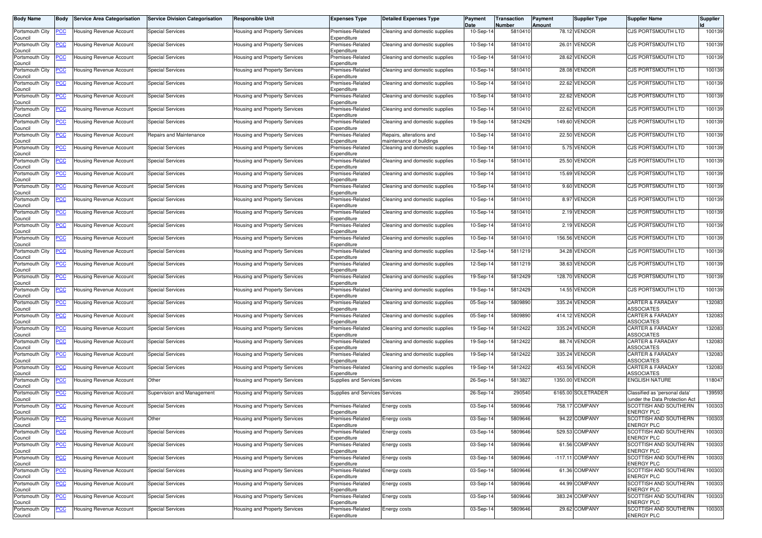| <b>Body Name</b>           | Body           | Service Area Categorisation                        | <b>Service Division Categorisation</b> | <b>Responsible Unit</b>              | <b>Expenses Type</b>            | <b>Detailed Expenses Type</b>                        | Payment<br>Date | Transaction<br>Number | Payment<br>Amount | <b>Supplier Type</b> | <b>Supplier Name</b>                                           | Supplier |
|----------------------------|----------------|----------------------------------------------------|----------------------------------------|--------------------------------------|---------------------------------|------------------------------------------------------|-----------------|-----------------------|-------------------|----------------------|----------------------------------------------------------------|----------|
| Portsmouth City<br>Council | <u>PCC</u>     | Housing Revenue Account                            | <b>Special Services</b>                | <b>Housing and Property Services</b> | Premises-Related<br>Expenditure | Cleaning and domestic supplies                       | 10-Sep-14       | 5810410               |                   | 78.12 VENDOR         | CJS PORTSMOUTH LTD                                             | 100139   |
| Portsmouth City<br>Council | <u>PCC</u>     | Housing Revenue Account                            | <b>Special Services</b>                | Housing and Property Services        | Premises-Related<br>Expenditure | Cleaning and domestic supplies                       | 10-Sep-14       | 5810410               |                   | 26.01 VENDOR         | CJS PORTSMOUTH LTD                                             | 100139   |
| Portsmouth City<br>Council | <u>PCC</u>     | Housing Revenue Account                            | <b>Special Services</b>                | <b>Housing and Property Services</b> | Premises-Related<br>Expenditure | Cleaning and domestic supplies                       | 10-Sep-14       | 5810410               |                   | 28.62 VENDOR         | CJS PORTSMOUTH LTD                                             | 100139   |
| Portsmouth City<br>Council | <u>PCC</u>     | <b>Housing Revenue Account</b>                     | <b>Special Services</b>                | Housing and Property Services        | Premises-Related<br>Expenditure | Cleaning and domestic supplies                       | 10-Sep-14       | 5810410               | 28.08             | <b>VENDOR</b>        | <b>CJS PORTSMOUTH LTD</b>                                      | 100139   |
| Portsmouth City<br>Council | <u>PCC</u>     | Housing Revenue Account                            | <b>Special Services</b>                | Housing and Property Services        | Premises-Related<br>Expenditure | Cleaning and domestic supplies                       | 10-Sep-14       | 5810410               | 22.62             | <b>VENDOR</b>        | CJS PORTSMOUTH LTD                                             | 100139   |
| Portsmouth City<br>Council | <u>PCC</u>     | Housing Revenue Account                            | <b>Special Services</b>                | Housing and Property Services        | Premises-Related<br>Expenditure | Cleaning and domestic supplies                       | 10-Sep-14       | 5810410               |                   | 22.62 VENDOR         | <b>CJS PORTSMOUTH LTD</b>                                      | 100139   |
| Portsmouth City<br>Council | <u>PCC</u>     | <del>l</del> ousing Revenue Account                | Special Services                       | <b>Housing and Property Services</b> | Premises-Related<br>Expenditure | Cleaning and domestic supplies                       | $10-Sep-1$      | 5810410               |                   | 22.62 VENDOR         | CJS PORTSMOUTH LTD                                             | 100139   |
| Portsmouth City<br>Council | <u>PCC</u>     | Housing Revenue Account                            | <b>Special Services</b>                | <b>Housing and Property Services</b> | Premises-Related<br>Expenditure | Cleaning and domestic supplies                       | 19-Sep-14       | 5812429               |                   | 149.60 VENDOR        | <b>CJS PORTSMOUTH LTD</b>                                      | 100139   |
| Portsmouth City<br>Council | PCC.           | Housing Revenue Account                            | Repairs and Maintenance                | <b>Housing and Property Services</b> | Premises-Related<br>Expenditure | Repairs, alterations and<br>maintenance of buildings | 10-Sep-14       | 5810410               |                   | 22.50 VENDOR         | <b>CJS PORTSMOUTH LTD</b>                                      | 100139   |
| Portsmouth City<br>Council | <u>PCC</u>     | Housing Revenue Account                            | <b>Special Services</b>                | Housing and Property Services        | Premises-Related<br>Expenditure | Cleaning and domestic supplies                       | 10-Sep-14       | 5810410               |                   | 5.75 VENDOR          | <b>CJS PORTSMOUTH LTD</b>                                      | 100139   |
| Portsmouth City<br>Council | <u>PCC </u>    | Housing Revenue Account                            | Special Services                       | Housing and Property Services        | Premises-Related<br>Expenditure | Cleaning and domestic supplies                       | 10-Sep-14       | 5810410               |                   | 25.50 VENDOR         | <b>CJS PORTSMOUTH LTD</b>                                      | 100139   |
| Portsmouth City<br>Council | <u>PCC</u>     | lousing Revenue Account                            | <b>Special Services</b>                | Housing and Property Services        | Premises-Related<br>Expenditure | Cleaning and domestic supplies                       | 10-Sep-14       | 5810410               |                   | 15.69 VENDOR         | <b>CJS PORTSMOUTH LTD</b>                                      | 100139   |
| Portsmouth City<br>Council | <u>PCC</u>     | Housing Revenue Account                            | <b>Special Services</b>                | Housing and Property Services        | Premises-Related<br>Expenditure | Cleaning and domestic supplies                       | 10-Sep-14       | 5810410               |                   | 9.60 VENDOR          | CJS PORTSMOUTH LTD                                             | 100139   |
| Portsmouth City<br>Council | <u>PCC</u>     | Housing Revenue Account                            | Special Services                       | Housing and Property Services        | Premises-Related<br>Expenditure | Cleaning and domestic supplies                       | 10-Sep-14       | 5810410               |                   | 8.97 VENDOR          | <b>CJS PORTSMOUTH LTD</b>                                      | 100139   |
| Portsmouth City<br>Council | <u>PCC</u>     | Housing Revenue Account                            | <b>Special Services</b>                | <b>Housing and Property Services</b> | Premises-Related<br>Expenditure | Cleaning and domestic supplies                       | 10-Sep-14       | 5810410               |                   | 2.19 VENDOR          | CJS PORTSMOUTH LTD                                             | 100139   |
| Portsmouth City<br>Council | <u>PCC</u>     | Housing Revenue Account                            | <b>Special Services</b>                | Housing and Property Services        | Premises-Related<br>Expenditure | Cleaning and domestic supplies                       | 10-Sep-14       | 5810410               |                   | 2.19 VENDOR          | <b>CJS PORTSMOUTH LTD</b>                                      | 100139   |
| Portsmouth City<br>Council | <u>'CC</u>     | Housing Revenue Account                            | <b>Special Services</b>                | Housing and Property Services        | Premises-Related<br>Expenditure | Cleaning and domestic supplies                       | 10-Sep-14       | 5810410               | 156.56            | <b>VENDOR</b>        | CJS PORTSMOUTH LTD                                             | 100139   |
| Portsmouth City<br>Council | <u>CC</u>      | Housing Revenue Account                            | <b>Special Services</b>                | Housing and Property Services        | Premises-Related<br>Expenditure | Cleaning and domestic supplies                       | 12-Sep-14       | 5811219               | 34.28             | <b>VENDOR</b>        | CJS PORTSMOUTH LTD                                             | 100139   |
| Portsmouth City<br>Council | <u>PCC</u>     | <b>Housing Revenue Account</b>                     | <b>Special Services</b>                | Housing and Property Services        | Premises-Related<br>Expenditure | Cleaning and domestic supplies                       | 12-Sep-14       | 5811219               | 38.63             | <b>VENDOR</b>        | <b>CJS PORTSMOUTH LTD</b>                                      | 100139   |
| Portsmouth City<br>Council | <u>CC</u>      | lousing Revenue Account                            | <b>Special Services</b>                | <b>Housing and Property Services</b> | Premises-Related<br>Expenditure | Cleaning and domestic supplies                       | 19-Sep-14       | 5812429               | 128.70            | <b>VENDOR</b>        | <b>CJS PORTSMOUTH LTD</b>                                      | 100139   |
| Portsmouth City<br>Council | <u>PCC</u>     | Housing Revenue Account                            | <b>Special Services</b>                | <b>Housing and Property Services</b> | Premises-Related<br>Expenditure | Cleaning and domestic supplies                       | 19-Sep-14       | 5812429               |                   | 14.55 VENDOR         | <b>CJS PORTSMOUTH LTD</b>                                      | 100139   |
| Portsmouth City<br>Council | <u>CC</u>      | Housing Revenue Account                            | <b>Special Services</b>                | Housing and Property Services        | Premises-Related<br>Expenditure | Cleaning and domestic supplies                       | 05-Sep-14       | 5809890               | 335.24            | <b>/ENDOR</b>        | <b>CARTER &amp; FARADAY</b><br><b>ASSOCIATES</b>               | 132083   |
| Portsmouth City<br>Council | <u>PCC</u>     | Housing Revenue Account                            | <b>Special Services</b>                | Housing and Property Services        | Premises-Related<br>Expenditure | Cleaning and domestic supplies                       | 05-Sep-14       | 5809890               |                   | 414.12 VENDOR        | <b>CARTER &amp; FARADAY</b><br>ASSOCIATES                      | 132083   |
| Portsmouth City<br>Council | <u>PCC</u>     | Housing Revenue Account                            | <b>Special Services</b>                | <b>Housing and Property Services</b> | Premises-Related<br>Expenditure | Cleaning and domestic supplies                       | 19-Sep-14       | 5812422               | 335.24            | <b>/ENDOR</b>        | <b>CARTER &amp; FARADAY</b><br><b>ASSOCIATES</b>               | 132083   |
| Portsmouth City<br>Council | <u>PCC</u>     | Housing Revenue Account                            | <b>Special Services</b>                | Housing and Property Services        | Premises-Related<br>Expenditure | Cleaning and domestic supplies                       | 19-Sep-14       | 5812422               | 88.74             | <b>VENDOR</b>        | <b>CARTER &amp; FARADAY</b><br><b>ASSOCIATES</b>               | 132083   |
| Portsmouth City<br>Council | <u>PCC</u>     | Housing Revenue Account                            | <b>Special Services</b>                | Housing and Property Services        | Premises-Related<br>Expenditure | Cleaning and domestic supplies                       | 19-Sep-14       | 5812422               | 335.24            | /ENDOR               | <b>CARTER &amp; FARADAY</b><br><b>ASSOCIATES</b>               | 132083   |
| Portsmouth City<br>Council | <u>PCC</u>     | Housing Revenue Account                            | <b>Special Services</b>                | Housing and Property Services        | Premises-Related<br>Expenditure | Cleaning and domestic supplies                       | 19-Sep-14       | 5812422               |                   | 453.56 VENDOR        | <b>CARTER &amp; FARADAY</b><br><b>ASSOCIATES</b>               | 132083   |
| Portsmouth City<br>Council | <u>PCC</u>     | Jousing Revenue Account                            | Other                                  | <b>Housing and Property Services</b> | Supplies and Services Services  |                                                      | 26-Sep-1        | 581382                |                   | 1350.00 VENDOR       | ENGLISH NATURE                                                 | 118047   |
| Portsmouth City<br>Council | <u>PCC</u>     | Housing Revenue Account                            | Supervision and Management             | Housing and Property Services        | Supplies and Services           | Services                                             | 26-Sep-14       | 290540                |                   | 6165.00 SOLETRADER   | Classified as 'personal data'<br>under the Data Protection Act | 139593   |
| Portsmouth City<br>Council | <u>PCC </u>    | Housing Revenue Account                            | <b>Special Services</b>                | Housing and Property Services        | Premises-Related<br>Expenditure | Energy costs                                         | 03-Sep-14       | 5809646               | 758.17            | <b>COMPANY</b>       | SCOTTISH AND SOUTHERN<br><b>ENERGY PLC</b>                     | 100303   |
| Council                    |                | Portsmouth City <b>PCC</b> Housing Revenue Account | Other                                  | Housing and Property Services        | Premises-Related<br>Expenditure | Energy costs                                         | 03-Sep-14       | 5809646               |                   | 94.22 COMPANY        | SCOTTISH AND SOUTHERN<br><b>ENERGY PLC</b>                     | 100303   |
| Portsmouth City<br>Council | <u>PCC</u>     | Housing Revenue Account                            | <b>Special Services</b>                | Housing and Property Services        | Premises-Related<br>Expenditure | Energy costs                                         | 03-Sep-14       | 5809646               |                   | 529.53 COMPANY       | SCOTTISH AND SOUTHERN<br><b>ENERGY PLC</b>                     | 100303   |
| Portsmouth City<br>Council | <u>PCC</u>     | <b>Housing Revenue Account</b>                     | <b>Special Services</b>                | Housing and Property Services        | Premises-Related<br>Expenditure | Energy costs                                         | 03-Sep-14       | 5809646               |                   | 61.56 COMPANY        | SCOTTISH AND SOUTHERN<br><b>ENERGY PLC</b>                     | 100303   |
| Portsmouth City<br>Council | <u>PCC</u>     | <b>Housing Revenue Account</b>                     | <b>Special Services</b>                | Housing and Property Services        | Premises-Related<br>Expenditure | Energy costs                                         | 03-Sep-14       | 5809646               |                   | -117.11 COMPANY      | SCOTTISH AND SOUTHERN<br><b>ENERGY PLC</b>                     | 100303   |
| Portsmouth City<br>Council | <u>PCC</u>     | Housing Revenue Account                            | <b>Special Services</b>                | Housing and Property Services        | Premises-Related<br>Expenditure | Energy costs                                         | 03-Sep-14       | 5809646               |                   | 61.36 COMPANY        | SCOTTISH AND SOUTHERN<br><b>ENERGY PLC</b>                     | 100303   |
| Portsmouth City<br>Council | $\overline{C}$ | Housing Revenue Account                            | <b>Special Services</b>                | Housing and Property Services        | Premises-Related<br>Expenditure | Energy costs                                         | 03-Sep-14       | 5809646               |                   | 44.99 COMPANY        | SCOTTISH AND SOUTHERN<br>ENERGY PLC                            | 100303   |
| Portsmouth City<br>Council | <u>PCC</u>     | Housing Revenue Account                            | <b>Special Services</b>                | Housing and Property Services        | Premises-Related<br>Expenditure | Energy costs                                         | 03-Sep-14       | 5809646               |                   | 383.24 COMPANY       | SCOTTISH AND SOUTHERN<br><b>ENERGY PLC</b>                     | 100303   |
| Portsmouth City<br>Council | <u>PCC</u>     | Housing Revenue Account                            | <b>Special Services</b>                | Housing and Property Services        | Premises-Related<br>Expenditure | Energy costs                                         | 03-Sep-14       | 5809646               |                   | 29.62 COMPANY        | SCOTTISH AND SOUTHERN<br><b>ENERGY PLC</b>                     | 100303   |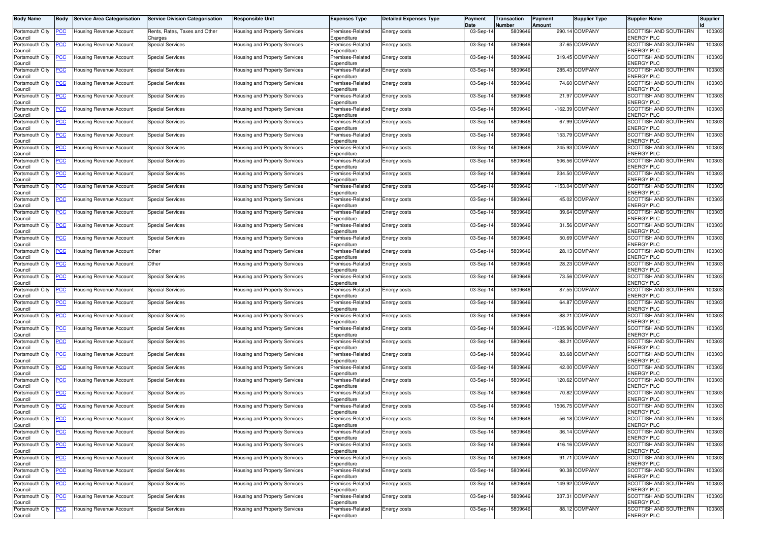| <b>Body Name</b>           | <b>Body</b>    | <b>Service Area Categorisation</b>  | <b>Service Division Categorisation</b>   | Responsible Unit                     | <b>Expenses Type</b>            | <b>Detailed Expenses Type</b> | Payment<br>Date | Transaction<br>Number | Payment<br>Amount | <b>Supplier Type</b> | <b>Supplier Name</b>                       | <b>Supplier</b> |
|----------------------------|----------------|-------------------------------------|------------------------------------------|--------------------------------------|---------------------------------|-------------------------------|-----------------|-----------------------|-------------------|----------------------|--------------------------------------------|-----------------|
| Portsmouth City<br>Council | <u>PCC </u>    | Housing Revenue Account             | Rents, Rates, Taxes and Other<br>Charges | Housing and Property Services        | Premises-Related<br>Expenditure | Energy costs                  | 03-Sep-14       | 5809646               |                   | 290.14 COMPANY       | SCOTTISH AND SOUTHERN<br><b>ENERGY PLC</b> | 100303          |
| Portsmouth City<br>Council |                | <del>l</del> ousing Revenue Account | <b>Special Services</b>                  | <b>Housing and Property Services</b> | Premises-Related<br>Expenditure | Energy costs                  | 03-Sep-14       | 5809646               |                   | 37.65 COMPANY        | SCOTTISH AND SOUTHERN<br>ENERGY PLC        | 100303          |
| Portsmouth City<br>Council |                | Housing Revenue Account             | <b>Special Services</b>                  | Housing and Property Services        | Premises-Related<br>Expenditure | Energy costs                  | 03-Sep-14       | 5809646               |                   | 319.45 COMPANY       | SCOTTISH AND SOUTHERN<br>ENERGY PLC        | 100303          |
| Portsmouth City<br>Council | <u>PCC</u>     | Housing Revenue Account             | <b>Special Services</b>                  | Housing and Property Services        | Premises-Related<br>Expenditure | Energy costs                  | 03-Sep-14       | 5809646               |                   | 285.43 COMPANY       | SCOTTISH AND SOUTHERN<br>ENERGY PLC        | 100303          |
| Portsmouth City<br>Council | <u>PCC</u>     | Housing Revenue Account             | <b>Special Services</b>                  | Housing and Property Services        | Premises-Related<br>Expenditure | Energy costs                  | 03-Sep-14       | 5809646               |                   | 74.60 COMPANY        | SCOTTISH AND SOUTHERN<br><b>ENERGY PLC</b> | 100303          |
| Portsmouth City<br>Council | <u>PCC</u>     | Housing Revenue Account             | <b>Special Services</b>                  | Housing and Property Services        | Premises-Related<br>Expenditure | Energy costs                  | 03-Sep-14       | 5809646               | 21.97             | <b>COMPANY</b>       | SCOTTISH AND SOUTHERN<br>ENERGY PLC        | 100303          |
| Portsmouth City<br>Council | <u>PCC</u>     | lousing Revenue Account             | <b>Special Services</b>                  | Housing and Property Services        | Premises-Related<br>Expenditure | Energy costs                  | 03-Sep-14       | 5809646               |                   | -162.39 COMPANY      | SCOTTISH AND SOUTHERN<br>ENERGY PLC        | 100303          |
| Portsmouth City<br>Council |                | Housing Revenue Account             | <b>Special Services</b>                  | Housing and Property Services        | Premises-Related<br>Expenditure | Energy costs                  | 03-Sep-1        | 5809646               |                   | 67.99 COMPANY        | SCOTTISH AND SOUTHERN<br>ENERGY PLC        | 100303          |
| Portsmouth City<br>Council | <u>CC</u>      | Housing Revenue Account             | <b>Special Services</b>                  | Housing and Property Services        | Premises-Related<br>Expenditure | Energy costs                  | 03-Sep-14       | 5809646               |                   | 153.79 COMPANY       | SCOTTISH AND SOUTHERN<br>ENERGY PLC        | 100303          |
| Portsmouth City<br>Council | <u>PCC</u>     | Housing Revenue Account             | <b>Special Services</b>                  | Housing and Property Services        | Premises-Related<br>Expenditure | Energy costs                  | 03-Sep-14       | 5809646               |                   | 245.93 COMPANY       | SCOTTISH AND SOUTHERN<br>ENERGY PLC        | 100303          |
| Portsmouth City<br>Council | <u>PCC</u>     | Housing Revenue Account             | <b>Special Services</b>                  | Housing and Property Services        | Premises-Related<br>Expenditure | Energy costs                  | 03-Sep-14       | 5809646               |                   | 506.56 COMPANY       | SCOTTISH AND SOUTHERN<br>ENERGY PLC        | 100303          |
| Portsmouth City<br>Council |                | Housing Revenue Account             | <b>Special Services</b>                  | Housing and Property Services        | Premises-Related<br>Expenditure | Energy costs                  | 03-Sep-14       | 5809646               |                   | 234.50 COMPANY       | SCOTTISH AND SOUTHERN<br>ENERGY PLC        | 100303          |
| Portsmouth City<br>Council | <u>PCC</u>     | Housing Revenue Account             | <b>Special Services</b>                  | Housing and Property Services        | Premises-Related<br>Expenditure | Energy costs                  | 03-Sep-14       | 5809646               | $-153.04$         | COMPANY              | SCOTTISH AND SOUTHERN<br>ENERGY PLC        | 100303          |
| Portsmouth City<br>Council | <u>PCC</u>     | Housing Revenue Account             | <b>Special Services</b>                  | Housing and Property Services        | Premises-Related<br>Expenditure | Energy costs                  | 03-Sep-14       | 5809646               |                   | 45.02 COMPANY        | SCOTTISH AND SOUTHERN<br><b>ENERGY PLC</b> | 100303          |
| Portsmouth City<br>Council |                | Housing Revenue Account             | <b>Special Services</b>                  | Housing and Property Services        | Premises-Related<br>Expenditure | Energy costs                  | 03-Sep-14       | 5809646               |                   | 39.64 COMPANY        | SCOTTISH AND SOUTHERN<br>ENERGY PLC        | 100303          |
| Portsmouth City<br>Council | <u>PCC</u>     | <b>Housing Revenue Account</b>      | <b>Special Services</b>                  | Housing and Property Services        | Premises-Related<br>Expenditure | Energy costs                  | 03-Sep-14       | 5809646               |                   | 31.56 COMPANY        | SCOTTISH AND SOUTHERN<br>ENERGY PLC        | 100303          |
| Portsmouth City<br>Council | <u>PCC</u>     | Housing Revenue Account             | <b>Special Services</b>                  | Housing and Property Services        | Premises-Related<br>Expenditure | Energy costs                  | 03-Sep-14       | 5809646               |                   | 50.69 COMPANY        | SCOTTISH AND SOUTHERN<br>ENERGY PLC        | 100303          |
| Portsmouth City<br>Council | <u>PCC</u>     | Housing Revenue Account             | Other                                    | Housing and Property Services        | Premises-Related<br>Expenditure | Energy costs                  | 03-Sep-14       | 5809646               |                   | 28.13 COMPANY        | SCOTTISH AND SOUTHERN<br>ENERGY PLC        | 100303          |
| Portsmouth City<br>Council | <u>PCC</u>     | Housing Revenue Account             | Other                                    | Housing and Property Services        | Premises-Related<br>Expenditure | Energy costs                  | 03-Sep-1        | 5809646               |                   | 28.23 COMPANY        | SCOTTISH AND SOUTHERN<br>ENERGY PLC        | 100303          |
| Portsmouth City<br>Council | <u>PCC</u>     | Housing Revenue Account             | <b>Special Services</b>                  | Housing and Property Services        | Premises-Related<br>Expenditure | Energy costs                  | 03-Sep-14       | 5809646               |                   | 73.56 COMPANY        | SCOTTISH AND SOUTHERN<br>ENERGY PLC        | 100303          |
| Portsmouth City<br>Council | <u>PCC</u>     | Housing Revenue Account             | <b>Special Services</b>                  | Housing and Property Services        | Premises-Related<br>Expenditure | Energy costs                  | 03-Sep-14       | 5809646               |                   | 87.55 COMPANY        | SCOTTISH AND SOUTHERN<br>ENERGY PLC        | 100303          |
| Portsmouth City<br>Council | <u>PCC </u>    | Housing Revenue Account             | <b>Special Services</b>                  | Housing and Property Services        | Premises-Related<br>Expenditure | Energy costs                  | 03-Sep-14       | 5809646               | 64.87             | <b>COMPANY</b>       | SCOTTISH AND SOUTHERN<br>ENERGY PLC        | 100303          |
| Portsmouth City<br>Council | <u>PCC</u>     | <del>l</del> ousing Revenue Account | <b>Special Services</b>                  | Housing and Property Services        | Premises-Related<br>Expenditure | Energy costs                  | 03-Sep-1        | 5809646               | $-88.21$          | <b>COMPANY</b>       | SCOTTISH AND SOUTHERN<br>ENERGY PLC        | 100303          |
| Portsmouth City<br>Council | <u>PCC</u>     | Housing Revenue Account             | <b>Special Services</b>                  | Housing and Property Services        | Premises-Related<br>Expenditure | Energy costs                  | 03-Sep-14       | 5809646               | $-1035.96$        | <b>COMPANY</b>       | SCOTTISH AND SOUTHERN<br>ENERGY PLC        | 100303          |
| Portsmouth City<br>Council | <u>PCC</u>     | Housing Revenue Account             | Special Services                         | Housing and Property Services        | Premises-Related<br>Expenditure | Energy costs                  | 03-Sep-14       | 5809646               | $-88.21$          | COMPANY              | SCOTTISH AND SOUTHERN<br><b>ENERGY PLC</b> | 100303          |
| Portsmouth City<br>Council | <u>PCC</u>     | Housing Revenue Account             | <b>Special Services</b>                  | Housing and Property Services        | Premises-Related<br>Expenditure | Energy costs                  | 03-Sep-14       | 5809646               |                   | 83.68 COMPANY        | SCOTTISH AND SOUTHERN<br><b>ENERGY PLC</b> | 100303          |
| Portsmouth City<br>Council | <u>PCC</u>     | Housing Revenue Account             | <b>Special Services</b>                  | Housing and Property Services        | Premises-Related<br>Expenditure | Energy costs                  | 03-Sep-14       | 5809646               |                   | 42.00 COMPANY        | SCOTTISH AND SOUTHERN<br>ENERGY PLC        | 100303          |
| Portsmouth City<br>Council | <u>PCC</u>     | lousing Revenue Account             | <b>Special Services</b>                  | <b>Housing and Property Services</b> | Premises-Related<br>Expenditure | Energy costs                  | 03-Sep-14       | 5809646               |                   | 120.62 COMPANY       | SCOTTISH AND SOUTHERN<br>ENERGY PLC        | 100303          |
| Portsmouth City<br>Council | <u>PCC</u>     | Housing Revenue Account             | <b>Special Services</b>                  | Housing and Property Services        | Premises-Related<br>Expenditure | Energy costs                  | 03-Sep-14       | 5809646               |                   | 70.82 COMPANY        | SCOTTISH AND SOUTHERN<br>ENERGY PLC        | 100303          |
| Portsmouth City<br>Council | <u>PCC</u>     | Housing Revenue Account             | <b>Special Services</b>                  | Housing and Property Services        | Premises-Related<br>Expenditure | Energy costs                  | 03-Sep-14       | 5809646               |                   | 1506.75 COMPANY      | SCOTTISH AND SOUTHERN<br><b>ENERGY PLC</b> | 100303          |
| Portsmouth City<br>Council | <b>PCC</b>     | <b>Housing Revenue Account</b>      | <b>Special Services</b>                  | Housing and Property Services        | Premises-Related<br>Expenditure | Energy costs                  | 03-Sep-14       | 5809646               |                   | 56.18 COMPANY        | SCOTTISH AND SOUTHERN<br><b>ENERGY PLC</b> | 100303          |
| Portsmouth City<br>Council |                | Housing Revenue Account             | <b>Special Services</b>                  | <b>Housing and Property Services</b> | Premises-Related<br>Expenditure | Energy costs                  | 03-Sep-14       | 5809646               |                   | 36.14 COMPANY        | SCOTTISH AND SOUTHERN<br><b>ENERGY PLC</b> | 100303          |
| Portsmouth City<br>Council | <u>PCC</u>     | Housing Revenue Account             | <b>Special Services</b>                  | Housing and Property Services        | Premises-Related<br>Expenditure | Energy costs                  | 03-Sep-14       | 5809646               |                   | 416.16 COMPANY       | SCOTTISH AND SOUTHERN<br><b>ENERGY PLC</b> | 100303          |
| Portsmouth City<br>Council | $\overline{C}$ | Housing Revenue Account             | <b>Special Services</b>                  | Housing and Property Services        | Premises-Related<br>Expenditure | Energy costs                  | 03-Sep-14       | 5809646               |                   | 91.71 COMPANY        | SCOTTISH AND SOUTHERN<br><b>ENERGY PLC</b> | 100303          |
| Portsmouth City<br>Council | <u>PCC </u>    | Housing Revenue Account             | <b>Special Services</b>                  | Housing and Property Services        | Premises-Related<br>Expenditure | Energy costs                  | 03-Sep-14       | 5809646               |                   | 90.38 COMPANY        | SCOTTISH AND SOUTHERN<br><b>ENERGY PLC</b> | 100303          |
| Portsmouth City<br>Council | <u>PCC</u>     | Housing Revenue Account             | <b>Special Services</b>                  | Housing and Property Services        | Premises-Related<br>Expenditure | Energy costs                  | 03-Sep-14       | 5809646               |                   | 149.92 COMPANY       | SCOTTISH AND SOUTHERN<br>ENERGY PLC        | 100303          |
| Portsmouth City<br>Council |                | Housing Revenue Account             | <b>Special Services</b>                  | Housing and Property Services        | Premises-Related<br>Expenditure | Energy costs                  | 03-Sep-14       | 5809646               |                   | 337.31 COMPANY       | SCOTTISH AND SOUTHERN<br><b>ENERGY PLC</b> | 100303          |
| Portsmouth City<br>Council | <u>PCC</u>     | Housing Revenue Account             | <b>Special Services</b>                  | Housing and Property Services        | Premises-Related<br>Expenditure | Energy costs                  | 03-Sep-14       | 5809646               |                   | 88.12 COMPANY        | SCOTTISH AND SOUTHERN<br><b>ENERGY PLC</b> | 100303          |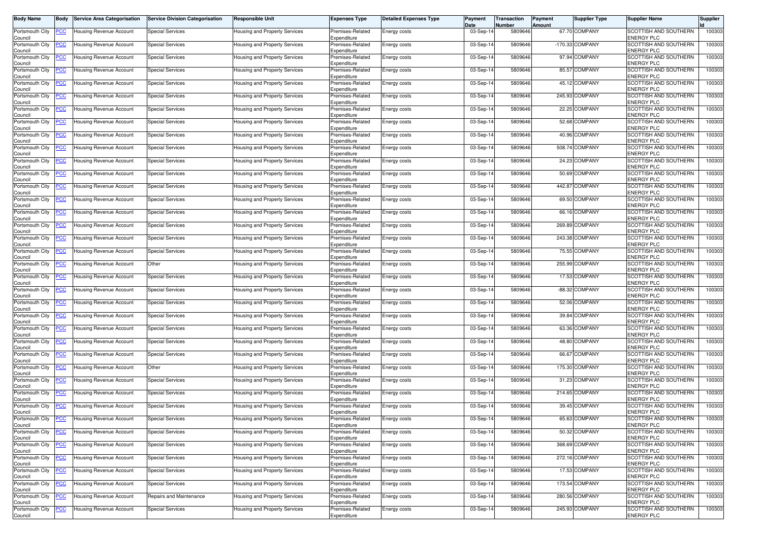| <b>Body Name</b>           | <b>Body</b>    | <b>Service Area Categorisation</b>  | <b>Service Division Categorisation</b> | Responsible Unit                     | <b>Expenses Type</b>            | <b>Detailed Expenses Type</b> | Payment<br>Date | Transaction<br>Number | Payment<br>Amount | <b>Supplier Type</b> | <b>Supplier Name</b>                              | <b>Supplier</b> |
|----------------------------|----------------|-------------------------------------|----------------------------------------|--------------------------------------|---------------------------------|-------------------------------|-----------------|-----------------------|-------------------|----------------------|---------------------------------------------------|-----------------|
| Portsmouth City<br>Council | <u>PCC</u>     | Housing Revenue Account             | <b>Special Services</b>                | Housing and Property Services        | Premises-Related<br>Expenditure | Energy costs                  | 03-Sep-14       | 5809646               |                   | 67.70 COMPANY        | SCOTTISH AND SOUTHERN<br><b>ENERGY PLC</b>        | 100303          |
| Portsmouth City<br>Council |                | <del>l</del> ousing Revenue Account | <b>Special Services</b>                | Housing and Property Services        | Premises-Related<br>Expenditure | Energy costs                  | 03-Sep-14       | 5809646               |                   | -170.33 COMPANY      | SCOTTISH AND SOUTHERN<br>ENERGY PLC               | 100303          |
| Portsmouth City<br>Council | <u>PCC</u>     | Housing Revenue Account             | <b>Special Services</b>                | Housing and Property Services        | Premises-Related<br>Expenditure | Energy costs                  | 03-Sep-14       | 5809646               |                   | 97.94 COMPANY        | SCOTTISH AND SOUTHERN<br>ENERGY PLC               | 100303          |
| Portsmouth City<br>Council | <u>PCC</u>     | Housing Revenue Account             | <b>Special Services</b>                | Housing and Property Services        | Premises-Related<br>Expenditure | Energy costs                  | 03-Sep-14       | 5809646               |                   | 85.57 COMPANY        | SCOTTISH AND SOUTHERN<br>ENERGY PLC               | 100303          |
| Portsmouth City<br>Council | <u>PCC</u>     | Housing Revenue Account             | <b>Special Services</b>                | Housing and Property Services        | Premises-Related<br>Expenditure | Energy costs                  | 03-Sep-14       | 5809646               |                   | 45.12 COMPANY        | SCOTTISH AND SOUTHERN<br>ENERGY PLC               | 100303          |
| Portsmouth City<br>Council | <u>PCC</u>     | Housing Revenue Account             | <b>Special Services</b>                | Housing and Property Services        | Premises-Related<br>Expenditure | Energy costs                  | 03-Sep-14       | 5809646               |                   | 245.93 COMPANY       | SCOTTISH AND SOUTHERN<br>ENERGY PLC               | 100303          |
| Portsmouth City<br>Council | <u>PCC</u>     | lousing Revenue Account             | <b>Special Services</b>                | Housing and Property Services        | Premises-Related<br>Expenditure | Energy costs                  | 03-Sep-14       | 5809646               |                   | 22.25 COMPANY        | SCOTTISH AND SOUTHERN<br>ENERGY PLC               | 100303          |
| Portsmouth City<br>Council |                | Housing Revenue Account             | <b>Special Services</b>                | Housing and Property Services        | Premises-Related<br>Expenditure | Energy costs                  | 03-Sep-1        | 5809646               |                   | 52.68 COMPANY        | SCOTTISH AND SOUTHERN<br>ENERGY PLC               | 100303          |
| Portsmouth City<br>Council | <u>CC</u>      | Housing Revenue Account             | <b>Special Services</b>                | Housing and Property Services        | Premises-Related<br>Expenditure | Energy costs                  | 03-Sep-14       | 5809646               |                   | 40.96 COMPANY        | SCOTTISH AND SOUTHERN<br><b>ENERGY PLC</b>        | 100303          |
| Portsmouth City<br>Council | <u>PCC</u>     | Housing Revenue Account             | <b>Special Services</b>                | Housing and Property Services        | Premises-Related<br>Expenditure | Energy costs                  | 03-Sep-14       | 5809646               |                   | 508.74 COMPANY       | SCOTTISH AND SOUTHERN<br><b>ENERGY PLC</b>        | 100303          |
| Portsmouth City<br>Council | <u>PCC</u>     | Housing Revenue Account             | <b>Special Services</b>                | Housing and Property Services        | Premises-Related<br>Expenditure | Energy costs                  | 03-Sep-14       | 5809646               |                   | 24.23 COMPANY        | SCOTTISH AND SOUTHERN<br>ENERGY PLC               | 100303          |
| Portsmouth City<br>Council |                | Housing Revenue Account             | <b>Special Services</b>                | Housing and Property Services        | Premises-Related<br>Expenditure | Energy costs                  | 03-Sep-14       | 5809646               |                   | 50.69 COMPANY        | SCOTTISH AND SOUTHERN<br><b>ENERGY PLC</b>        | 100303          |
| Portsmouth City<br>Council | <u>PCC</u>     | Housing Revenue Account             | <b>Special Services</b>                | Housing and Property Services        | Premises-Related<br>Expenditure | Energy costs                  | 03-Sep-14       | 5809646               | 442.87            | <b>COMPANY</b>       | SCOTTISH AND SOUTHERN<br>ENERGY PLC               | 100303          |
| Portsmouth City<br>Council | <u>PCC</u>     | Housing Revenue Account             | <b>Special Services</b>                | Housing and Property Services        | Premises-Related<br>Expenditure | Energy costs                  | 03-Sep-14       | 5809646               |                   | 69.50 COMPANY        | <b>SCOTTISH AND SOUTHERN</b><br><b>ENERGY PLC</b> | 100303          |
| Portsmouth City<br>Council | <u>PCC</u>     | Housing Revenue Account             | <b>Special Services</b>                | Housing and Property Services        | Premises-Related<br>Expenditure | Energy costs                  | 03-Sep-14       | 5809646               |                   | 66.16 COMPANY        | SCOTTISH AND SOUTHERN<br>ENERGY PLC               | 100303          |
| Portsmouth City<br>Council | <u>PCC</u>     | Housing Revenue Account             | <b>Special Services</b>                | Housing and Property Services        | Premises-Related<br>Expenditure | Energy costs                  | 03-Sep-14       | 5809646               |                   | 269.89 COMPANY       | SCOTTISH AND SOUTHERN<br>ENERGY PLC               | 100303          |
| Portsmouth City<br>Council | <u>PCC</u>     | Housing Revenue Account             | <b>Special Services</b>                | Housing and Property Services        | Premises-Related<br>Expenditure | Energy costs                  | 03-Sep-14       | 5809646               |                   | 243.38 COMPANY       | SCOTTISH AND SOUTHERN<br>ENERGY PLC               | 100303          |
| Portsmouth City<br>Council | <u>PCC</u>     | Housing Revenue Account             | <b>Special Services</b>                | Housing and Property Services        | Premises-Related<br>Expenditure | Energy costs                  | 03-Sep-14       | 5809646               |                   | 75.55 COMPANY        | SCOTTISH AND SOUTHERN<br>ENERGY PLC               | 100303          |
| Portsmouth City<br>Council | <u>PCC</u>     | Housing Revenue Account             | Other                                  | Housing and Property Services        | Premises-Related<br>Expenditure | Energy costs                  | 03-Sep-1        | 5809646               |                   | 255.99 COMPANY       | SCOTTISH AND SOUTHERN<br>ENERGY PLC               | 100303          |
| Portsmouth City<br>Council |                | Housing Revenue Account             | <b>Special Services</b>                | Housing and Property Services        | Premises-Related<br>Expenditure | Energy costs                  | 03-Sep-14       | 5809646               |                   | 17.53 COMPANY        | SCOTTISH AND SOUTHERN<br>ENERGY PLC               | 100303          |
| Portsmouth City<br>Council | <u>PCC</u>     | Housing Revenue Account             | <b>Special Services</b>                | Housing and Property Services        | Premises-Related<br>Expenditure | Energy costs                  | 03-Sep-14       | 5809646               | $-88.32$          | COMPANY              | SCOTTISH AND SOUTHERN<br>ENERGY PLC               | 100303          |
| Portsmouth City<br>Council | <u>PCC</u>     | Housing Revenue Account             | <b>Special Services</b>                | Housing and Property Services        | Premises-Related<br>Expenditure | Energy costs                  | 03-Sep-14       | 5809646               |                   | 52.06 COMPANY        | SCOTTISH AND SOUTHERN<br>ENERGY PLC               | 100303          |
| Portsmouth City<br>Council | <u>PCC</u>     | <del>l</del> ousing Revenue Account | <b>Special Services</b>                | Housing and Property Services        | Premises-Related<br>Expenditure | Energy costs                  | 03-Sep-14       | 5809646               |                   | 39.84 COMPANY        | SCOTTISH AND SOUTHERN<br><b>ENERGY PLC</b>        | 100303          |
| Portsmouth City<br>Council | <u>PCC</u>     | Housing Revenue Account             | <b>Special Services</b>                | Housing and Property Services        | Premises-Related<br>Expenditure | Energy costs                  | 03-Sep-14       | 5809646               |                   | 63.36 COMPANY        | SCOTTISH AND SOUTHERN<br>ENERGY PLC               | 100303          |
| Portsmouth City<br>Council | <u>PCC</u>     | Housing Revenue Account             | Special Services                       | Housing and Property Services        | Premises-Related<br>Expenditure | Energy costs                  | 03-Sep-14       | 5809646               |                   | 48.80 COMPANY        | SCOTTISH AND SOUTHERN<br>ENERGY PLC               | 100303          |
| Portsmouth City<br>Council | <u>PCC</u>     | Housing Revenue Account             | <b>Special Services</b>                | Housing and Property Services        | Premises-Related<br>Expenditure | Energy costs                  | 03-Sep-14       | 5809646               |                   | 66.67 COMPANY        | SCOTTISH AND SOUTHERN<br><b>ENERGY PLC</b>        | 100303          |
| Portsmouth City<br>Council | <u>PCC</u>     | Housing Revenue Account             | Other                                  | <b>Housing and Property Services</b> | Premises-Related<br>Expenditure | Energy costs                  | 03-Sep-14       | 5809646               |                   | 175.30 COMPANY       | SCOTTISH AND SOUTHERN<br><b>ENERGY PLC</b>        | 100303          |
| Portsmouth City<br>Council | <u>PCC</u>     | lousing Revenue Account             | <b>Special Services</b>                | Housing and Property Services        | Premises-Related<br>Expenditure | Energy costs                  | 03-Sep-14       | 5809646               |                   | 31.23 COMPANY        | SCOTTISH AND SOUTHERN<br>ENERGY PLC               | 100303          |
| Portsmouth City<br>Council | <u>PCC</u>     | <b>Housing Revenue Account</b>      | <b>Special Services</b>                | Housing and Property Services        | Premises-Related<br>Expenditure | Energy costs                  | 03-Sep-14       | 5809646               |                   | 214.65 COMPANY       | SCOTTISH AND SOUTHERN<br>ENERGY PLC               | 100303          |
| Portsmouth City<br>Council | <u>PCC</u>     | Housing Revenue Account             | <b>Special Services</b>                | Housing and Property Services        | Premises-Related<br>Expenditure | Energy costs                  | 03-Sep-14       | 5809646               |                   | 39.45 COMPANY        | SCOTTISH AND SOUTHERN<br><b>ENERGY PLC</b>        | 100303          |
| Portsmouth City<br>Council | <b>PCC</b>     | <b>Housing Revenue Account</b>      | <b>Special Services</b>                | Housing and Property Services        | Premises-Related<br>Expenditure | Energy costs                  | 03-Sep-14       | 5809646               |                   | 65.63 COMPANY        | SCOTTISH AND SOUTHERN<br><b>ENERGY PLC</b>        | 100303          |
| Portsmouth City<br>Council |                | Housing Revenue Account             | <b>Special Services</b>                | Housing and Property Services        | Premises-Related<br>Expenditure | Energy costs                  | 03-Sep-14       | 5809646               |                   | 50.32 COMPANY        | SCOTTISH AND SOUTHERN<br><b>ENERGY PLC</b>        | 100303          |
| Portsmouth City<br>Council | <u>PCC</u>     | <b>Housing Revenue Account</b>      | <b>Special Services</b>                | Housing and Property Services        | Premises-Related<br>Expenditure | Energy costs                  | 03-Sep-14       | 5809646               |                   | 368.69 COMPANY       | SCOTTISH AND SOUTHERN<br><b>ENERGY PLC</b>        | 100303          |
| Portsmouth City<br>Council | $\overline{C}$ | Housing Revenue Account             | <b>Special Services</b>                | Housing and Property Services        | Premises-Related<br>Expenditure | Energy costs                  | 03-Sep-14       | 5809646               |                   | 272.16 COMPANY       | SCOTTISH AND SOUTHERN<br><b>ENERGY PLC</b>        | 100303          |
| Portsmouth City<br>Council | <u>PCC</u>     | Housing Revenue Account             | <b>Special Services</b>                | Housing and Property Services        | Premises-Related<br>Expenditure | Energy costs                  | 03-Sep-14       | 5809646               |                   | 17.53 COMPANY        | SCOTTISH AND SOUTHERN<br><b>ENERGY PLC</b>        | 100303          |
| Portsmouth City<br>Council | <u>PCC </u>    | Housing Revenue Account             | <b>Special Services</b>                | Housing and Property Services        | Premises-Related<br>Expenditure | Energy costs                  | 03-Sep-14       | 5809646               |                   | 173.54 COMPANY       | SCOTTISH AND SOUTHERN<br>ENERGY PLC               | 100303          |
| Portsmouth City<br>Council |                | Housing Revenue Account             | Repairs and Maintenance                | Housing and Property Services        | Premises-Related<br>Expenditure | Energy costs                  | 03-Sep-14       | 5809646               |                   | 280.56 COMPANY       | SCOTTISH AND SOUTHERN<br><b>ENERGY PLC</b>        | 100303          |
| Portsmouth City<br>Council | <u>PCC</u>     | Housing Revenue Account             | <b>Special Services</b>                | Housing and Property Services        | Premises-Related<br>Expenditure | Energy costs                  | 03-Sep-14       | 5809646               |                   | 245.93 COMPANY       | SCOTTISH AND SOUTHERN<br><b>ENERGY PLC</b>        | 100303          |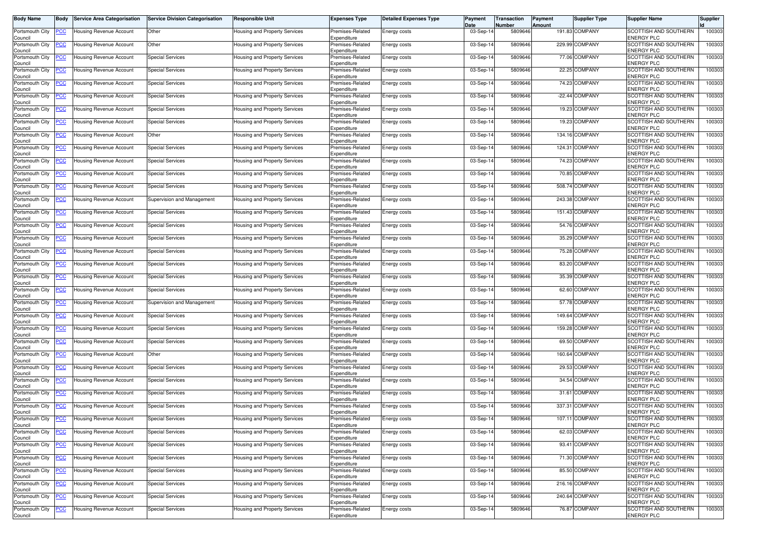| Body Name                  | Body           | <b>Service Area Categorisation</b> | <b>Service Division Categorisation</b> | <b>Responsible Unit</b>              | <b>Expenses Type</b>            | <b>Detailed Expenses Type</b> | Payment<br>Date | Transaction<br>Number | Payment<br>Amount | <b>Supplier Type</b> | <b>Supplier Name</b>                       | <b>Supplier</b> |
|----------------------------|----------------|------------------------------------|----------------------------------------|--------------------------------------|---------------------------------|-------------------------------|-----------------|-----------------------|-------------------|----------------------|--------------------------------------------|-----------------|
| Portsmouth City<br>Council | <u>PCC</u>     | Housing Revenue Account            | Other                                  | Housing and Property Services        | Premises-Related<br>Expenditure | Energy costs                  | 03-Sep-14       | 5809646               |                   | 191.83 COMPANY       | SCOTTISH AND SOUTHERN<br>ENERGY PLC        | 100303          |
| Portsmouth City<br>Council | <u>PCC</u>     | Housing Revenue Account            | Other                                  | Housing and Property Services        | Premises-Related<br>Expenditure | Energy costs                  | 03-Sep-14       | 5809646               |                   | 229.99 COMPANY       | SCOTTISH AND SOUTHERN<br><b>ENERGY PLC</b> | 100303          |
| Portsmouth City<br>Council | <u>PCC</u>     | Housing Revenue Account            | <b>Special Services</b>                | <b>Housing and Property Services</b> | Premises-Related<br>Expenditure | Energy costs                  | 03-Sep-14       | 5809646               |                   | 77.06 COMPANY        | SCOTTISH AND SOUTHERN<br>ENERGY PLC        | 100303          |
| Portsmouth City<br>Council | <u>PCC</u>     | Housing Revenue Account            | <b>Special Services</b>                | Housing and Property Services        | Premises-Related<br>Expenditure | Energy costs                  | 03-Sep-14       | 5809646               |                   | 22.25 COMPANY        | SCOTTISH AND SOUTHERN<br>ENERGY PLC        | 100303          |
| Portsmouth City<br>Council | <u>PCC</u>     | Housing Revenue Account            | <b>Special Services</b>                | Housing and Property Services        | Premises-Related<br>Expenditure | Energy costs                  | 03-Sep-14       | 5809646               |                   | 74.23 COMPANY        | SCOTTISH AND SOUTHERN<br>ENERGY PLC        | 100303          |
| Portsmouth City<br>Council | <u>PCC</u>     | Housing Revenue Account            | Special Services                       | Housing and Property Services        | Premises-Related<br>Expenditure | Energy costs                  | 03-Sep-14       | 5809646               |                   | -22.44 COMPANY       | SCOTTISH AND SOUTHERN<br>ENERGY PLC        | 100303          |
| Portsmouth City<br>Council | <u>PCC</u>     | Housing Revenue Account            | <b>Special Services</b>                | Housing and Property Services        | Premises-Related<br>Expenditure | Energy costs                  | 03-Sep-14       | 5809646               |                   | 19.23 COMPANY        | SCOTTISH AND SOUTHERN<br>ENERGY PLC        | 100303          |
| Portsmouth City<br>Council | <u>PCC</u>     | Housing Revenue Account            | <b>Special Services</b>                | Housing and Property Services        | Premises-Related<br>Expenditure | Energy costs                  | 03-Sep-14       | 5809646               |                   | 19.23 COMPANY        | SCOTTISH AND SOUTHERN<br><b>ENERGY PLC</b> | 100303          |
| Portsmouth City<br>Council | <u>PCC</u>     | Housing Revenue Account            | Other                                  | Housing and Property Services        | Premises-Related<br>Expenditure | Energy costs                  | 03-Sep-14       | 5809646               |                   | 134.16 COMPANY       | SCOTTISH AND SOUTHERN<br>ENERGY PLC        | 100303          |
| Portsmouth City<br>Council | <u>PCC</u>     | Housing Revenue Account            | <b>Special Services</b>                | Housing and Property Services        | Premises-Related<br>Expenditure | Energy costs                  | 03-Sep-1        | 5809646               | 124.31            | <b>COMPANY</b>       | SCOTTISH AND SOUTHERN<br><b>ENERGY PLC</b> | 100303          |
| Portsmouth City<br>Council |                | Housing Revenue Account            | <b>Special Services</b>                | Housing and Property Services        | Premises-Related<br>Expenditure | Energy costs                  | 03-Sep-14       | 5809646               |                   | 74.23 COMPANY        | SCOTTISH AND SOUTHERN<br>ENERGY PLC        | 100303          |
| Portsmouth City<br>Council | PCC.           | Housing Revenue Account            | <b>Special Services</b>                | Housing and Property Services        | Premises-Related<br>Expenditure | Energy costs                  | 03-Sep-14       | 5809646               |                   | 70.85 COMPANY        | SCOTTISH AND SOUTHERN<br>ENERGY PLC        | 100303          |
| Portsmouth City<br>Council | <u>PCC</u>     | Housing Revenue Account            | Special Services                       | Housing and Property Services        | Premises-Related<br>Expenditure | Energy costs                  | 03-Sep-14       | 5809646               |                   | 508.74 COMPANY       | SCOTTISH AND SOUTHERN<br>ENERGY PLC        | 100303          |
| Portsmouth City<br>Council | <u>PCC </u>    | Housing Revenue Account            | Supervision and Management             | Housing and Property Services        | Premises-Related<br>Expenditure | Energy costs                  | 03-Sep-14       | 5809646               |                   | 243.38 COMPANY       | SCOTTISH AND SOUTHERN<br>ENERGY PLC        | 100303          |
| Portsmouth City<br>Council | <u>PCC</u>     | Housing Revenue Account            | <b>Special Services</b>                | Housing and Property Services        | Premises-Related<br>Expenditure | Energy costs                  | 03-Sep-14       | 5809646               |                   | 151.43 COMPANY       | SCOTTISH AND SOUTHERN<br>ENERGY PLC        | 100303          |
| Portsmouth City<br>Council | <u>PCC</u>     | Housing Revenue Account            | <b>Special Services</b>                | Housing and Property Services        | Premises-Related<br>Expenditure | Energy costs                  | 03-Sep-14       | 5809646               |                   | 54.76 COMPANY        | SCOTTISH AND SOUTHERN<br>ENERGY PLC        | 100303          |
| Portsmouth City<br>Council | <u>PCC</u>     | Housing Revenue Account            | <b>Special Services</b>                | Housing and Property Services        | Premises-Related<br>Expenditure | Energy costs                  | 03-Sep-14       | 5809646               |                   | 35.29 COMPANY        | SCOTTISH AND SOUTHERN<br><b>ENERGY PLC</b> | 100303          |
| Portsmouth City<br>Council | <u>PCC</u>     | Housing Revenue Account            | <b>Special Services</b>                | Housing and Property Services        | Premises-Related<br>Expenditure | Energy costs                  | 03-Sep-14       | 5809646               |                   | 75.28 COMPANY        | SCOTTISH AND SOUTHERN<br>ENERGY PLC        | 100303          |
| Portsmouth City<br>Council | <u>PCC</u>     | Housing Revenue Account            | <b>Special Services</b>                | Housing and Property Services        | Premises-Related<br>Expenditure | Energy costs                  | 03-Sep-14       | 5809646               |                   | 83.20 COMPANY        | SCOTTISH AND SOUTHERN<br>ENERGY PLC        | 100303          |
| Portsmouth City<br>Council | <u>CC</u>      | <b>Housing Revenue Account</b>     | <b>Special Services</b>                | Housing and Property Services        | Premises-Related<br>Expenditure | Energy costs                  | 03-Sep-14       | 5809646               |                   | 35.39 COMPANY        | SCOTTISH AND SOUTHERN<br>ENERGY PLC        | 100303          |
| Portsmouth City<br>Council | <u>CC</u>      | Housing Revenue Account            | <b>Special Services</b>                | Housing and Property Services        | Premises-Related<br>Expenditure | Energy costs                  | 03-Sep-14       | 5809646               |                   | 62.60 COMPANY        | SCOTTISH AND SOUTHERN<br>ENERGY PLC        | 100303          |
| Portsmouth City<br>Council | <u>PCC </u>    | Housing Revenue Account            | Supervision and Management             | Housing and Property Services        | Premises-Related<br>Expenditure | Energy costs                  | 03-Sep-14       | 5809646               |                   | 57.78 COMPANY        | SCOTTISH AND SOUTHERN<br>ENERGY PLC        | 100303          |
| Portsmouth City<br>Council | <u>CC</u>      | lousing Revenue Account            | <b>Special Services</b>                | <b>Housing and Property Services</b> | Premises-Related<br>Expenditure | Energy costs                  | 03-Sep-14       | 5809646               |                   | 149.64 COMPANY       | SCOTTISH AND SOUTHERN<br>ENERGY PLC        | 100303          |
| Portsmouth City<br>Council | <u>PCC </u>    | Housing Revenue Account            | <b>Special Services</b>                | Housing and Property Services        | Premises-Related<br>Expenditure | Energy costs                  | 03-Sep-14       | 5809646               |                   | 159.28 COMPANY       | SCOTTISH AND SOUTHERN<br>ENERGY PLC        | 100303          |
| Portsmouth City<br>Council | <u>PCC</u>     | Housing Revenue Account            | <b>Special Services</b>                | Housing and Property Services        | Premises-Related<br>Expenditure | Energy costs                  | 03-Sep-14       | 5809646               |                   | 69.50 COMPANY        | SCOTTISH AND SOUTHERN<br><b>ENERGY PLC</b> | 100303          |
| Portsmouth City<br>Council | <u>PCC</u>     | Housing Revenue Account            | Other                                  | Housing and Property Services        | Premises-Related<br>Expenditure | Energy costs                  | 03-Sep-14       | 5809646               |                   | 160.64 COMPANY       | SCOTTISH AND SOUTHERN<br>ENERGY PLC        | 100303          |
| Portsmouth City<br>Council | <u>PCC</u>     | Housing Revenue Account            | <b>Special Services</b>                | Housing and Property Services        | Premises-Related<br>Expenditure | Energy costs                  | 03-Sep-1        | 5809646               |                   | 29.53 COMPANY        | SCOTTISH AND SOUTHERN<br>ENERGY PLC        | 100303          |
| Portsmouth City<br>Council | <u>PCC</u>     | Housing Revenue Account            | <b>Special Services</b>                | Housing and Property Services        | Premises-Related<br>Expenditure | Energy costs                  | 03-Sep-14       | 5809646               |                   | 34.54 COMPANY        | SCOTTISH AND SOUTHERN<br>ENERGY PLC        | 100303          |
| Portsmouth City<br>Council | <u> PCC </u>   | Housing Revenue Account            | Special Services                       | Housing and Property Services        | Premises-Related<br>Expenditure | Energy costs                  | 03-Sep-1        | 5809646               | 31.61             | COMPANY              | SCOTTISH AND SOUTHERN<br><b>ENERGY PLC</b> | 100303          |
| Portsmouth City<br>Council | <u>PCC</u>     | Housing Revenue Account            | <b>Special Services</b>                | Housing and Property Services        | Premises-Related<br>Expenditure | Energy costs                  | 03-Sep-14       | 5809646               | 337.31            | COMPANY              | SCOTTISH AND SOUTHERN<br>ENERGY PLC        | 100303          |
| Portsmouth City<br>Council | <b>PCC</b>     | <b>Housing Revenue Account</b>     | <b>Special Services</b>                | Housing and Property Services        | Premises-Related<br>Expenditure | <b>Energy costs</b>           | 03-Sep-14       | 5809646               |                   | 107.11 COMPANY       | SCOTTISH AND SOUTHERN<br><b>ENERGY PLC</b> | 100303          |
| Portsmouth City<br>Council | <u>PCC</u>     | <b>Housing Revenue Account</b>     | <b>Special Services</b>                | <b>Housing and Property Services</b> | Premises-Related<br>Expenditure | Energy costs                  | 03-Sep-14       | 5809646               |                   | 62.03 COMPANY        | SCOTTISH AND SOUTHERN<br>ENERGY PLC        | 100303          |
| Portsmouth City<br>Council | PCC            | Housing Revenue Account            | <b>Special Services</b>                | Housing and Property Services        | Premises-Related<br>Expenditure | Energy costs                  | 03-Sep-14       | 5809646               |                   | 93.41 COMPANY        | SCOTTISH AND SOUTHERN<br><b>ENERGY PLC</b> | 100303          |
| Portsmouth City<br>Council | <u>PCC</u>     | Housing Revenue Account            | <b>Special Services</b>                | Housing and Property Services        | Premises-Related<br>Expenditure | Energy costs                  | 03-Sep-14       | 5809646               |                   | 71.30 COMPANY        | SCOTTISH AND SOUTHERN<br><b>ENERGY PLC</b> | 100303          |
| Portsmouth City<br>Council |                | Housing Revenue Account            | <b>Special Services</b>                | Housing and Property Services        | Premises-Related<br>Expenditure | Energy costs                  | 03-Sep-14       | 5809646               |                   | 85.50 COMPANY        | SCOTTISH AND SOUTHERN<br><b>ENERGY PLC</b> | 100303          |
| Portsmouth City<br>Council |                | Housing Revenue Account            | <b>Special Services</b>                | Housing and Property Services        | Premises-Related<br>Expenditure | Energy costs                  | 03-Sep-14       | 5809646               |                   | 216.16 COMPANY       | SCOTTISH AND SOUTHERN<br><b>ENERGY PLC</b> | 100303          |
| Portsmouth City<br>Council | <u>PCC</u>     | <b>Housing Revenue Account</b>     | <b>Special Services</b>                | Housing and Property Services        | Premises-Related<br>Expenditure | Energy costs                  | 03-Sep-14       | 5809646               |                   | 240.64 COMPANY       | SCOTTISH AND SOUTHERN<br><b>ENERGY PLC</b> | 100303          |
| Portsmouth City<br>Council | $\overline{C}$ | <b>Housing Revenue Account</b>     | <b>Special Services</b>                | Housing and Property Services        | Premises-Related<br>Expenditure | Energy costs                  | 03-Sep-14       | 5809646               |                   | 76.87 COMPANY        | SCOTTISH AND SOUTHERN<br><b>ENERGY PLC</b> | 100303          |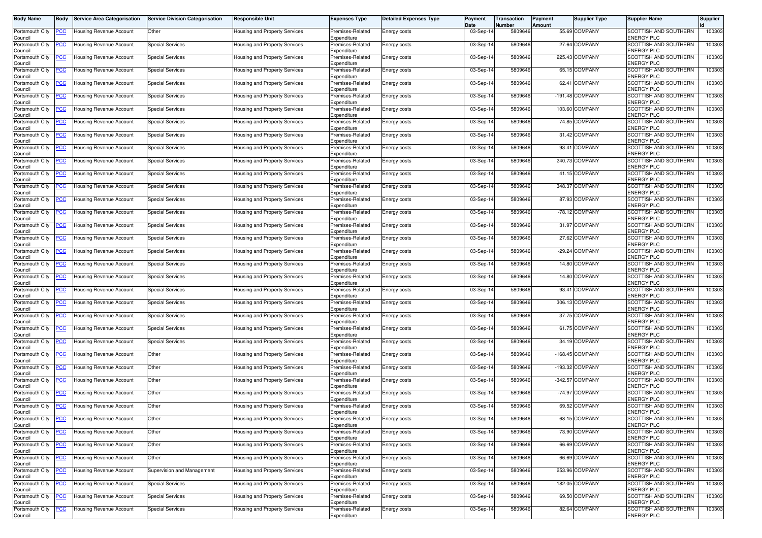| <b>Body Name</b>                      | <b>Body</b>    | <b>Service Area Categorisation</b>  | <b>Service Division Categorisation</b> | Responsible Unit                     | <b>Expenses Type</b>                           | <b>Detailed Expenses Type</b> | Payment<br>Date | Transaction<br>Number | Payment<br>Amount | <b>Supplier Type</b> | <b>Supplier Name</b>                       | <b>Supplier</b> |
|---------------------------------------|----------------|-------------------------------------|----------------------------------------|--------------------------------------|------------------------------------------------|-------------------------------|-----------------|-----------------------|-------------------|----------------------|--------------------------------------------|-----------------|
| Portsmouth City<br>Council            | <u>PCC </u>    | Housing Revenue Account             | Other                                  | Housing and Property Services        | Premises-Related<br>Expenditure                | Energy costs                  | 03-Sep-14       | 5809646               |                   | 55.69 COMPANY        | SCOTTISH AND SOUTHERN<br><b>ENERGY PLC</b> | 100303          |
| Portsmouth City<br>Council            |                | <del>l</del> ousing Revenue Account | <b>Special Services</b>                | Housing and Property Services        | Premises-Related<br>Expenditure                | Energy costs                  | 03-Sep-1        | 5809646               |                   | 27.64 COMPANY        | SCOTTISH AND SOUTHERN<br>ENERGY PLC        | 100303          |
| Portsmouth City<br>Council            | <u>PCC</u>     | Housing Revenue Account             | <b>Special Services</b>                | Housing and Property Services        | Premises-Related<br>Expenditure                | Energy costs                  | 03-Sep-14       | 5809646               |                   | 225.43 COMPANY       | SCOTTISH AND SOUTHERN<br>ENERGY PLC        | 100303          |
| Portsmouth City<br>Council            | <u>PCC</u>     | Housing Revenue Account             | <b>Special Services</b>                | Housing and Property Services        | Premises-Related<br>Expenditure                | Energy costs                  | 03-Sep-14       | 5809646               |                   | 65.15 COMPANY        | SCOTTISH AND SOUTHERN<br>ENERGY PLC        | 100303          |
| Portsmouth City<br>Council            | <u>PCC</u>     | lousing Revenue Account             | <b>Special Services</b>                | Housing and Property Services        | Premises-Related<br>Expenditure                | Energy costs                  | 03-Sep-14       | 5809646               | 62.41             | COMPANY              | SCOTTISH AND SOUTHERN<br>ENERGY PLC        | 100303          |
| Portsmouth City<br>Council            | <u>PCC</u>     | Housing Revenue Account             | <b>Special Services</b>                | Housing and Property Services        | Premises-Related<br>Expenditure                | Energy costs                  | 03-Sep-14       | 5809646               |                   | -191.48 COMPANY      | SCOTTISH AND SOUTHERN<br>ENERGY PLC        | 100303          |
| Portsmouth City<br>Council            | <u>PCC</u>     | lousing Revenue Account             | <b>Special Services</b>                | Housing and Property Services        | Premises-Related<br>Expenditure                | Energy costs                  | 03-Sep-14       | 5809646               |                   | 103.60 COMPANY       | SCOTTISH AND SOUTHERN<br>ENERGY PLC        | 100303          |
| Portsmouth City<br>Council            |                | Housing Revenue Account             | <b>Special Services</b>                | Housing and Property Services        | Premises-Related<br>Expenditure                | Energy costs                  | 03-Sep-1        | 5809646               |                   | 74.85 COMPANY        | SCOTTISH AND SOUTHERN<br>ENERGY PLC        | 100303          |
| Portsmouth City<br>Council            | <u>CC</u>      | Housing Revenue Account             | <b>Special Services</b>                | Housing and Property Services        | Premises-Related<br>Expenditure                | Energy costs                  | 03-Sep-14       | 5809646               |                   | 31.42 COMPANY        | SCOTTISH AND SOUTHERN<br>ENERGY PLC        | 100303          |
| Portsmouth City<br>Council            | <u>PCC</u>     | Housing Revenue Account             | <b>Special Services</b>                | Housing and Property Services        | Premises-Related<br>Expenditure                | Energy costs                  | 03-Sep-14       | 5809646               | 93.41             | COMPANY              | SCOTTISH AND SOUTHERN<br><b>ENERGY PLC</b> | 100303          |
| Portsmouth City<br>Council            | <u>PCC</u>     | Housing Revenue Account             | <b>Special Services</b>                | Housing and Property Services        | Premises-Related<br>Expenditure                | Energy costs                  | 03-Sep-14       | 5809646               |                   | 240.73 COMPANY       | SCOTTISH AND SOUTHERN<br>ENERGY PLC        | 100303          |
| Portsmouth City<br>Council            |                | Housing Revenue Account             | <b>Special Services</b>                | Housing and Property Services        | Premises-Related<br>Expenditure                | Energy costs                  | 03-Sep-14       | 5809646               |                   | 41.15 COMPANY        | SCOTTISH AND SOUTHERN<br><b>ENERGY PLC</b> | 100303          |
| Portsmouth City<br>Council            | <u>PCC</u>     | Housing Revenue Account             | <b>Special Services</b>                | Housing and Property Services        | Premises-Related<br>Expenditure                | Energy costs                  | 03-Sep-14       | 5809646               | 348.37            | <b>COMPANY</b>       | SCOTTISH AND SOUTHERN<br>ENERGY PLC        | 100303          |
| Portsmouth City                       | <u>PCC</u>     | Housing Revenue Account             | <b>Special Services</b>                | Housing and Property Services        | Premises-Related<br>Expenditure                | Energy costs                  | 03-Sep-14       | 5809646               |                   | 87.93 COMPANY        | SCOTTISH AND SOUTHERN<br><b>ENERGY PLC</b> | 100303          |
| Council<br>Portsmouth City            | <u>PCC</u>     | Housing Revenue Account             | <b>Special Services</b>                | Housing and Property Services        | Premises-Related<br>Expenditure                | Energy costs                  | 03-Sep-14       | 5809646               |                   | -78.12 COMPANY       | SCOTTISH AND SOUTHERN<br>ENERGY PLC        | 100303          |
| Council<br>Portsmouth City            | <u>PCC</u>     | Housing Revenue Account             | <b>Special Services</b>                | Housing and Property Services        | Premises-Related                               | Energy costs                  | 03-Sep-14       | 5809646               |                   | 31.97 COMPANY        | SCOTTISH AND SOUTHERN<br>ENERGY PLC        | 100303          |
| Council<br>Portsmouth City<br>Council | <u>PCC</u>     | Housing Revenue Account             | <b>Special Services</b>                | Housing and Property Services        | Expenditure<br>Premises-Related<br>Expenditure | Energy costs                  | 03-Sep-14       | 5809646               |                   | 27.62 COMPANY        | SCOTTISH AND SOUTHERN<br>ENERGY PLC        | 100303          |
| Portsmouth City<br>Council            | <u>PCC</u>     | Housing Revenue Account             | <b>Special Services</b>                | Housing and Property Services        | Premises-Related<br>Expenditure                | Energy costs                  | 03-Sep-14       | 5809646               |                   | -29.24 COMPANY       | SCOTTISH AND SOUTHERN<br>ENERGY PLC        | 100303          |
| Portsmouth City<br>Council            | <u>PCC</u>     | Housing Revenue Account             | <b>Special Services</b>                | Housing and Property Services        | Premises-Related<br>Expenditure                | Energy costs                  | 03-Sep-1        | 5809646               |                   | 14.80 COMPANY        | SCOTTISH AND SOUTHERN<br>ENERGY PLC        | 100303          |
| Portsmouth City<br>Council            |                | <b>Housing Revenue Account</b>      | <b>Special Services</b>                | Housing and Property Services        | Premises-Related<br>Expenditure                | Energy costs                  | 03-Sep-14       | 5809646               |                   | 14.80 COMPANY        | SCOTTISH AND SOUTHERN<br>ENERGY PLC        | 100303          |
| Portsmouth City<br>Council            | <u>PCC</u>     | Housing Revenue Account             | <b>Special Services</b>                | Housing and Property Services        | Premises-Related<br>Expenditure                | Energy costs                  | 03-Sep-14       | 5809646               | 93.41             | COMPANY              | SCOTTISH AND SOUTHERN<br>ENERGY PLC        | 100303          |
| Portsmouth City<br>Council            | <u>PCC</u>     | Housing Revenue Account             | <b>Special Services</b>                | Housing and Property Services        | Premises-Related<br>Expenditure                | Energy costs                  | 03-Sep-14       | 5809646               |                   | 306.13 COMPANY       | SCOTTISH AND SOUTHERN<br>ENERGY PLC        | 100303          |
| Portsmouth City<br>Council            | <u>PCC</u>     | <del>l</del> ousing Revenue Account | <b>Special Services</b>                | Housing and Property Services        | Premises-Related<br>Expenditure                | Energy costs                  | 03-Sep-1        | 5809646               |                   | 37.75 COMPANY        | SCOTTISH AND SOUTHERN<br><b>ENERGY PLC</b> | 100303          |
| Portsmouth City<br>Council            | <u>PCC</u>     | Housing Revenue Account             | <b>Special Services</b>                | Housing and Property Services        | Premises-Related<br>Expenditure                | Energy costs                  | 03-Sep-14       | 5809646               |                   | 61.75 COMPANY        | SCOTTISH AND SOUTHERN<br>ENERGY PLC        | 100303          |
| Portsmouth City<br>Council            | <u>PCC</u>     | Housing Revenue Account             | Special Services                       | Housing and Property Services        | Premises-Related<br>Expenditure                | Energy costs                  | 03-Sep-14       | 5809646               |                   | 34.19 COMPANY        | SCOTTISH AND SOUTHERN<br>ENERGY PLC        | 100303          |
| Portsmouth City<br>Council            | <u>PCC</u>     | Housing Revenue Account             | Other                                  | Housing and Property Services        | Premises-Related<br>Expenditure                | Energy costs                  | 03-Sep-14       | 5809646               |                   | -168.45 COMPANY      | SCOTTISH AND SOUTHERN<br><b>ENERGY PLC</b> | 100303          |
| Portsmouth City<br>Council            | <u>PCC</u>     | Housing Revenue Account             | Other                                  | <b>Housing and Property Services</b> | Premises-Related<br>Expenditure                | Energy costs                  | 03-Sep-14       | 5809646               |                   | -193.32 COMPANY      | SCOTTISH AND SOUTHERN<br>ENERGY PLC        | 100303          |
| Portsmouth City<br>Council            | <u>PCC</u>     | lousing Revenue Account             | Other                                  | Housing and Property Services        | Premises-Related<br>Expenditure                | Energy costs                  | 03-Sep-14       | 5809646               | $-342.57$         | COMPANY              | SCOTTISH AND SOUTHERN<br>ENERGY PLC        | 100303          |
| Portsmouth City<br>Council            | <u>PCC</u>     | Housing Revenue Account             | Other                                  | Housing and Property Services        | Premises-Related<br>Expenditure                | Energy costs                  | 03-Sep-14       | 5809646               |                   | -74.97 COMPANY       | SCOTTISH AND SOUTHERN<br>ENERGY PLC        | 100303          |
| Portsmouth City<br>Council            | <u>PCC</u>     | Housing Revenue Account             | Other                                  | Housing and Property Services        | Premises-Related<br>Expenditure                | Energy costs                  | 03-Sep-14       | 5809646               | 69.52             | <b>COMPANY</b>       | SCOTTISH AND SOUTHERN<br><b>ENERGY PLC</b> | 100303          |
| Portsmouth City<br>Council            | <b>PCC</b>     | <b>Housing Revenue Account</b>      | Other                                  | Housing and Property Services        | Premises-Related<br>Expenditure                | Energy costs                  | 03-Sep-14       | 5809646               |                   | 68.15 COMPANY        | SCOTTISH AND SOUTHERN<br><b>ENERGY PLC</b> | 100303          |
| Portsmouth City<br>Council            |                | <b>Housing Revenue Account</b>      | Other                                  | Housing and Property Services        | Premises-Related<br>Expenditure                | Energy costs                  | 03-Sep-14       | 5809646               |                   | 73.90 COMPANY        | SCOTTISH AND SOUTHERN<br><b>ENERGY PLC</b> | 100303          |
| Portsmouth City<br>Council            | <u>PCC</u>     | <b>Housing Revenue Account</b>      | Other                                  | Housing and Property Services        | Premises-Related<br>Expenditure                | Energy costs                  | 03-Sep-14       | 5809646               |                   | 66.69 COMPANY        | SCOTTISH AND SOUTHERN<br><b>ENERGY PLC</b> | 100303          |
| Portsmouth City<br>Council            | $\overline{C}$ | Housing Revenue Account             | Other                                  | Housing and Property Services        | Premises-Related<br>Expenditure                | Energy costs                  | 03-Sep-14       | 5809646               |                   | 66.69 COMPANY        | SCOTTISH AND SOUTHERN<br><b>ENERGY PLC</b> | 100303          |
| Portsmouth City<br>Council            | <u>PCC</u>     | Housing Revenue Account             | Supervision and Management             | Housing and Property Services        | Premises-Related<br>Expenditure                | Energy costs                  | 03-Sep-14       | 5809646               |                   | 253.96 COMPANY       | SCOTTISH AND SOUTHERN<br><b>ENERGY PLC</b> | 100303          |
| Portsmouth City<br>Council            | <u>PCC </u>    | Housing Revenue Account             | <b>Special Services</b>                | <b>Housing and Property Services</b> | Premises-Related<br>Expenditure                | Energy costs                  | 03-Sep-14       | 5809646               |                   | 182.05 COMPANY       | SCOTTISH AND SOUTHERN<br>ENERGY PLC        | 100303          |
| Portsmouth City<br>Council            |                | Housing Revenue Account             | <b>Special Services</b>                | Housing and Property Services        | Premises-Related<br>Expenditure                | Energy costs                  | 03-Sep-14       | 5809646               |                   | 69.50 COMPANY        | SCOTTISH AND SOUTHERN<br><b>ENERGY PLC</b> | 100303          |
| Portsmouth City<br>Council            | <u>PCC</u>     | Housing Revenue Account             | <b>Special Services</b>                | Housing and Property Services        | Premises-Related<br>Expenditure                | Energy costs                  | 03-Sep-14       | 5809646               |                   | 82.64 COMPANY        | SCOTTISH AND SOUTHERN<br><b>ENERGY PLC</b> | 100303          |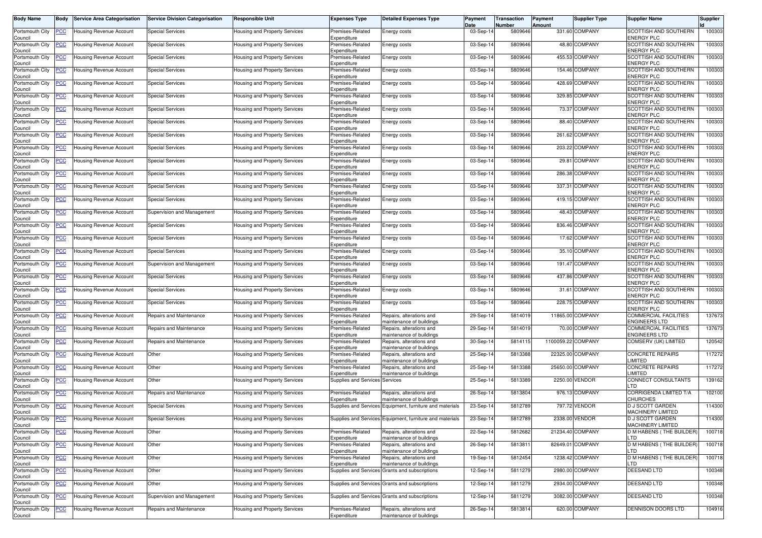| <b>Body Name</b>           | Body           | <b>Service Area Categorisation</b> | <b>Service Division Categorisation</b> | <b>Responsible Unit</b>       | <b>Expenses Type</b>            | <b>Detailed Expenses Type</b>                            | Payment<br>Date | Transaction<br>Number | Payment<br>Amount  | <b>Supplier Type</b> | <b>Supplier Name</b>                                | <b>Supplier</b> |
|----------------------------|----------------|------------------------------------|----------------------------------------|-------------------------------|---------------------------------|----------------------------------------------------------|-----------------|-----------------------|--------------------|----------------------|-----------------------------------------------------|-----------------|
| Portsmouth City<br>Council | <u>'CC</u>     | Housing Revenue Account            | <b>Special Services</b>                | Housing and Property Services | Premises-Related<br>Expenditure | Energy costs                                             | 03-Sep-14       | 5809646               |                    | 331.60 COMPANY       | SCOTTISH AND SOUTHERN<br><b>ENERGY PLC</b>          | 100303          |
| Portsmouth City<br>Council | <u>'CC</u>     | Housing Revenue Account            | <b>Special Services</b>                | Housing and Property Services | Premises-Related<br>Expenditure | Energy costs                                             | 03-Sep-1        | 5809646               |                    | 48.80 COMPANY        | SCOTTISH AND SOUTHERN<br>ENERGY PLC                 | 100303          |
| Portsmouth City<br>Council | <u>cc</u>      | Housing Revenue Account            | <b>Special Services</b>                | Housing and Property Services | Premises-Related<br>Expenditure | Energy costs                                             | 03-Sep-14       | 5809646               |                    | 455.53 COMPANY       | SCOTTISH AND SOUTHERN<br><b>ENERGY PLC</b>          | 100303          |
| Portsmouth City<br>Council | <u>'СС</u>     | Housing Revenue Account            | <b>Special Services</b>                | Housing and Property Services | Premises-Related<br>Expenditure | Energy costs                                             | 03-Sep-14       | 5809646               |                    | 154.46 COMPANY       | SCOTTISH AND SOUTHERN<br><b>ENERGY PLC</b>          | 100303          |
| Portsmouth City<br>Council | <u>'CC</u>     | Housing Revenue Account            | <b>Special Services</b>                | Housing and Property Services | Premises-Related<br>Expenditure | Energy costs                                             | 03-Sep-14       | 5809646               |                    | 428.69 COMPANY       | SCOTTISH AND SOUTHERN<br><b>ENERGY PLC</b>          | 100303          |
| Portsmouth City<br>Council | <u>'СС</u>     | Housing Revenue Account            | <b>Special Services</b>                | Housing and Property Services | Premises-Related<br>Expenditure | Energy costs                                             | 03-Sep-14       | 5809646               |                    | 329.85 COMPANY       | SCOTTISH AND SOUTHERN<br><b>ENERGY PLC</b>          | 100303          |
| Portsmouth City<br>Council | <u>CC</u>      | Housing Revenue Account            | <b>Special Services</b>                | Housing and Property Services | Premises-Related<br>Expenditure | Energy costs                                             | 03-Sep-14       | 5809646               |                    | 73.37 COMPANY        | SCOTTISH AND SOUTHERN<br><b>ENERGY PLC</b>          | 100303          |
| Portsmouth City<br>Council | <u>CC </u>     | <b>Housing Revenue Account</b>     | <b>Special Services</b>                | Housing and Property Services | Premises-Related<br>Expenditure | Energy costs                                             | 03-Sep-14       | 5809646               |                    | 88.40 COMPANY        | SCOTTISH AND SOUTHERN<br><b>ENERGY PLC</b>          | 100303          |
| Portsmouth City<br>Council | <u>cc</u>      | <b>Housing Revenue Account</b>     | <b>Special Services</b>                | Housing and Property Services | Premises-Related<br>Expenditure | Energy costs                                             | 03-Sep-14       | 5809646               |                    | 261.62 COMPANY       | SCOTTISH AND SOUTHERN<br><b>ENERGY PLC</b>          | 100303          |
| Portsmouth City<br>Council | <u>'CC</u>     | Housing Revenue Account            | <b>Special Services</b>                | Housing and Property Services | Premises-Related<br>Expenditure | Energy costs                                             | 03-Sep-14       | 5809646               |                    | 203.22 COMPANY       | SCOTTISH AND SOUTHERN<br>ENERGY PLC                 | 100303          |
| Portsmouth City<br>Council | <u>'СС</u>     | Housing Revenue Account            | <b>Special Services</b>                | Housing and Property Services | Premises-Related<br>Expenditure | Energy costs                                             | 03-Sep-14       | 5809646               |                    | 29.81 COMPANY        | SCOTTISH AND SOUTHERN<br>ENERGY PLC                 | 100303          |
| Portsmouth City<br>Council | <u>'СС</u>     | Housing Revenue Account            | <b>Special Services</b>                | Housing and Property Services | Premises-Related<br>Expenditure | Energy costs                                             | 03-Sep-14       | 5809646               |                    | 286.38 COMPANY       | SCOTTISH AND SOUTHERN<br>ENERGY PLC                 | 100303          |
| Portsmouth City<br>Council | <u>'CC</u>     | Housing Revenue Account            | <b>Special Services</b>                | Housing and Property Services | Premises-Related<br>Expenditure | Energy costs                                             | 03-Sep-14       | 5809646               | 337.31             | <b>COMPANY</b>       | SCOTTISH AND SOUTHERN<br><b>ENERGY PLC</b>          | 100303          |
| Portsmouth City<br>Council | <u>'СС</u>     | Housing Revenue Account            | <b>Special Services</b>                | Housing and Property Services | Premises-Related<br>Expenditure | Energy costs                                             | 03-Sep-14       | 5809646               |                    | 419.15 COMPANY       | SCOTTISH AND SOUTHERN<br><b>ENERGY PLC</b>          | 100303          |
| Portsmouth City<br>Council | <u>'CC</u>     | Housing Revenue Account            | Supervision and Management             | Housing and Property Services | Premises-Related<br>Expenditure | Energy costs                                             | 03-Sep-1        | 5809646               |                    | 48.43 COMPANY        | SCOTTISH AND SOUTHERN<br>ENERGY PLC                 | 100303          |
| Portsmouth City<br>Council | <u>'СС</u>     | Housing Revenue Account            | <b>Special Services</b>                | Housing and Property Services | Premises-Related<br>Expenditure | Energy costs                                             | 03-Sep-14       | 5809646               |                    | 836.46 COMPANY       | SCOTTISH AND SOUTHERN<br>ENERGY PLC                 | 100303          |
| Portsmouth City<br>Council | <u>cc</u>      | Housing Revenue Account            | <b>Special Services</b>                | Housing and Property Services | Premises-Related<br>Expenditure | Energy costs                                             | 03-Sep-14       | 5809646               |                    | 17.62 COMPANY        | SCOTTISH AND SOUTHERN<br><b>ENERGY PLC</b>          | 100303          |
| Portsmouth City<br>Council | <u>'CC</u>     | Housing Revenue Account            | <b>Special Services</b>                | Housing and Property Services | Premises-Related<br>Expenditure | Energy costs                                             | 03-Sep-14       | 5809646               |                    | 35.10 COMPANY        | SCOTTISH AND SOUTHERN<br><b>ENERGY PLC</b>          | 100303          |
| Portsmouth City<br>Council | <u>'СС</u>     | Housing Revenue Account            | Supervision and Management             | Housing and Property Services | Premises-Related<br>Expenditure | Energy costs                                             | 03-Sep-1        | 5809646               |                    | 191.47 COMPANY       | SCOTTISH AND SOUTHERN<br><b>ENERGY PLC</b>          | 100303          |
| Portsmouth City<br>Council | <u>'CC</u>     | Housing Revenue Account            | <b>Special Services</b>                | Housing and Property Services | Premises-Related<br>Expenditure | Energy costs                                             | 03-Sep-14       | 5809646               |                    | 437.86 COMPANY       | SCOTTISH AND SOUTHERN<br>ENERGY PLC                 | 100303          |
| Portsmouth City<br>Council | <u>'CC</u>     | Housing Revenue Account            | <b>Special Services</b>                | Housing and Property Services | Premises-Related<br>Expenditure | Energy costs                                             | 03-Sep-14       | 5809646               | 31.61              | COMPANY              | SCOTTISH AND SOUTHERN<br>ENERGY PLC                 | 100303          |
| Portsmouth City<br>Council | <u>'СС</u>     | Housing Revenue Account            | <b>Special Services</b>                | Housing and Property Services | Premises-Related<br>Expenditure | Energy costs                                             | 03-Sep-14       | 5809646               |                    | 228.75 COMPANY       | SCOTTISH AND SOUTHERN<br>ENERGY PLC                 | 100303          |
| Portsmouth City<br>Council | <u>'CC</u>     | Housing Revenue Account            | Repairs and Maintenance                | Housing and Property Services | Premises-Related<br>Expenditure | Repairs, alterations and<br>maintenance of buildings     | 29-Sep-14       | 5814019               |                    | 11865.00 COMPANY     | COMMERCIAL FACILITIES<br><b>ENGINEERS LTD</b>       | 137673          |
| Portsmouth City<br>Council | <u>cc</u>      | Housing Revenue Account            | Repairs and Maintenance                | Housing and Property Services | Premises-Related<br>Expenditure | Repairs, alterations and<br>maintenance of buildings     | 29-Sep-14       | 5814019               |                    | 70.00 COMPANY        | COMMERCIAL FACILITIES<br><b>ENGINEERS LTD</b>       | 137673          |
| Portsmouth City<br>Council | <u>cc</u>      | Housing Revenue Account            | Repairs and Maintenance                | Housing and Property Services | Premises-Related<br>Expenditure | Repairs, alterations and<br>maintenance of buildings     | 30-Sep-14       | 5814115               | 1100059.22 COMPANY |                      | COMSERV (UK) LIMITED                                | 120542          |
| Portsmouth City<br>Council | <u>'CC</u>     | Housing Revenue Account            | Other                                  | Housing and Property Services | Premises-Related<br>Expenditure | Repairs, alterations and<br>maintenance of buildings     | 25-Sep-14       | 5813388               |                    | 22325.00 COMPANY     | CONCRETE REPAIRS<br><b>IMITED</b>                   | 117272          |
| Portsmouth City<br>Council | <u>'CC</u>     | Housing Revenue Account            | Other                                  | Housing and Property Services | Premises-Related<br>Expenditure | Repairs, alterations and<br>maintenance of buildings     | 25-Sep-14       | 5813388               |                    | 25650.00 COMPANY     | <b>CONCRETE REPAIRS</b><br><b>IMITED</b>            | 117272          |
| Portsmouth City<br>Council | <u>сс</u>      | Housing Revenue Account            | Other                                  | Housing and Property Services | <b>Supplies and Services</b>    | Services                                                 | 25-Sep-14       | 5813389               |                    | 2250.00 VENDOR       | CONNECT CONSULTANTS<br>.TD                          | 139162          |
| Portsmouth City<br>Council | <u>'СС</u>     | Housing Revenue Account            | Repairs and Maintenance                | Housing and Property Services | Premises-Related<br>Expenditure | Repairs, alterations and<br>maintenance of buildings     | 26-Sep-14       | 5813804               |                    | 976.13 COMPANY       | CORRIGENDA LIMITED T/A<br>CHURCHES                  | 102100          |
| Portsmouth City<br>Council | <u>'CC</u>     | Housing Revenue Account            | <b>Special Services</b>                | Housing and Property Services |                                 | Supplies and Services Equipment, furniture and materials | 23-Sep-14       | 5812789               |                    | 797.72 VENDOR        | <b>D J SCOTT GARDEN</b><br><b>MACHINERY LIMITED</b> | 114300          |
| Portsmouth City<br>Council | <b>PCC</b>     | Housing Revenue Account            | <b>Special Services</b>                | Housing and Property Services |                                 | Supplies and Services Equipment, furniture and materials | 23-Sep-14       | 5812789               |                    | 2338.00 VENDOR       | <b>DJ SCOTT GARDEN</b><br>MACHINERY LIMITED         | 114300          |
| Portsmouth City<br>Council | <u>CC</u>      | <b>Housing Revenue Account</b>     | Other                                  | Housing and Property Services | Premises-Related<br>Expenditure | Repairs, alterations and<br>maintenance of buildings     | 22-Sep-14       | 5812682               |                    | 21234.40 COMPANY     | <b>D M HABENS (THE BUILDER)</b>                     | 100718          |
| Portsmouth City<br>Council | <u>'CC</u>     | <b>Housing Revenue Account</b>     | Other                                  | Housing and Property Services | Premises-Related<br>Expenditure | Repairs, alterations and<br>maintenance of buildings     | 26-Sep-14       | 5813811               |                    | 82649.01 COMPANY     | D M HABENS (THE BUILDER)<br><b>TD</b>               | 100718          |
| Portsmouth City<br>Council | $\overline{C}$ | Housing Revenue Account            | Other                                  | Housing and Property Services | Premises-Related<br>Expenditure | Repairs, alterations and<br>maintenance of buildings     | 19-Sep-14       | 5812454               |                    | 1238.42 COMPANY      | D M HABENS (THE BUILDER<br>_TD                      | 100718          |
| Portsmouth City<br>Council | <u>'CC</u>     | Housing Revenue Account            | Other                                  | Housing and Property Services |                                 | Supplies and Services Grants and subscriptions           | 12-Sep-14       | 5811279               |                    | 2980.00 COMPANY      | <b>DEESAND LTD</b>                                  | 100348          |
| Portsmouth City<br>Council | <u>'CC</u>     | Housing Revenue Account            | Other                                  | Housing and Property Services |                                 | Supplies and Services Grants and subscriptions           | 12-Sep-14       | 5811279               |                    | 2934.00 COMPANY      | <b>DEESAND LTD</b>                                  | 100348          |
| Portsmouth City<br>Council | <u>'CC</u>     | Housing Revenue Account            | Supervision and Management             | Housing and Property Services |                                 | Supplies and Services Grants and subscriptions           | 12-Sep-14       | 5811279               |                    | 3082.00 COMPANY      | DEESAND LTD                                         | 100348          |
| Portsmouth City<br>Council | <u>cc</u>      | Housing Revenue Account            | Repairs and Maintenance                | Housing and Property Services | Premises-Related<br>Expenditure | Repairs, alterations and<br>maintenance of buildings     | 26-Sep-14       | 5813814               |                    | 620.00 COMPANY       | <b>DENNISON DOORS LTD</b>                           | 104916          |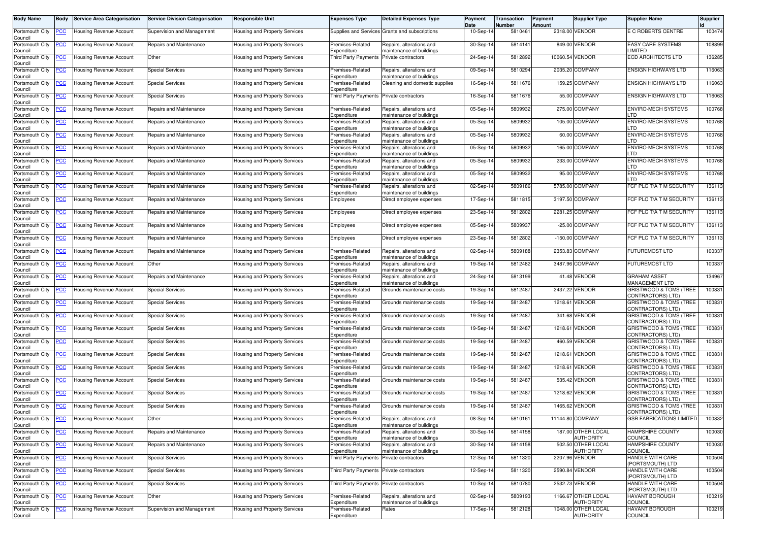| <b>Body Name</b>           | Body           | <b>Service Area Categorisation</b> | <b>Service Division Categorisation</b> | <b>Responsible Unit</b>              | <b>Expenses Type</b>                     | <b>Detailed Expenses Type</b>                        | Payment<br>Date | Transaction<br>Number | Payment<br>Amount | <b>Supplier Type</b>                    | <b>Supplier Name</b>                        | <b>Supplier</b> |
|----------------------------|----------------|------------------------------------|----------------------------------------|--------------------------------------|------------------------------------------|------------------------------------------------------|-----------------|-----------------------|-------------------|-----------------------------------------|---------------------------------------------|-----------------|
| Portsmouth City<br>Council | <u>'CC</u>     | Housing Revenue Account            | Supervision and Management             | Housing and Property Services        |                                          | Supplies and Services Grants and subscriptions       | 10-Sep-14       | 5810461               |                   | 2318.00 VENDOR                          | E C ROBERTS CENTRE                          | 100474          |
| Portsmouth City<br>Council | <u>'CC</u>     | <b>Housing Revenue Account</b>     | Repairs and Maintenance                | Housing and Property Services        | Premises-Related<br>Expenditure          | Repairs, alterations and<br>maintenance of buildings | 30-Sep-14       | 5814141               |                   | 849.00 VENDOR                           | <b>EASY CARE SYSTEMS</b><br><b>IMITED</b>   | 108899          |
| Portsmouth City<br>Council | <u>'СС</u>     | Housing Revenue Account            | Other                                  | Housing and Property Services        | Third Party Payments                     | Private contractors                                  | 24-Sep-14       | 5812892               |                   | 10060.54 VENDOR                         | <b>ECD ARCHITECTS LTD</b>                   | 136285          |
| Portsmouth City<br>Council | <u>'CC</u>     | Housing Revenue Account            | <b>Special Services</b>                | Housing and Property Services        | Premises-Related<br>Expenditure          | Repairs, alterations and<br>maintenance of buildings | 09-Sep-14       | 5810294               |                   | 2035.20 COMPANY                         | <b>ENSIGN HIGHWAYS LTD</b>                  | 116063          |
| Portsmouth City<br>Council | <u>'CC</u>     | Housing Revenue Account            | <b>Special Services</b>                | Housing and Property Services        | Premises-Related<br>Expenditure          | Cleaning and domestic supplies                       | 16-Sep-14       | 5811676               |                   | 159.25 COMPANY                          | <b>ENSIGN HIGHWAYS LTD</b>                  | 116063          |
| Portsmouth City<br>Council | <u>'CC</u>     | Housing Revenue Account            | <b>Special Services</b>                | Housing and Property Services        | Third Party Payments Private contractors |                                                      | 16-Sep-14       | 5811676               |                   | 55.00 COMPANY                           | <b>ENSIGN HIGHWAYS LTD</b>                  | 116063          |
| Portsmouth City<br>Council | <u>'CC</u>     | Housing Revenue Account            | Repairs and Maintenance                | <b>Housing and Property Services</b> | Premises-Related<br>Expenditure          | Repairs, alterations and<br>maintenance of buildings | 05-Sep-14       | 5809932               |                   | 275.00 COMPANY                          | ENVIRO-MECH SYSTEMS<br>TD                   | 100768          |
| Portsmouth City<br>Council | <u>'СС</u>     | Housing Revenue Account            | Repairs and Maintenance                | Housing and Property Services        | Premises-Related<br>Expenditure          | Repairs, alterations and<br>maintenance of buildings | 05-Sep-14       | 5809932               |                   | 105.00 COMPANY                          | <b>ENVIRO-MECH SYSTEMS</b><br>тn            | 100768          |
| Portsmouth City<br>Council | <u>'CC</u>     | Housing Revenue Account            | Repairs and Maintenance                | Housing and Property Services        | Premises-Related<br>Expenditure          | Repairs, alterations and<br>maintenance of buildings | 05-Sep-14       | 5809932               |                   | 60.00 COMPANY                           | ENVIRO-MECH SYSTEMS<br><b>TD</b>            | 100768          |
| Portsmouth City<br>Council | <u>'CC</u>     | <b>Housing Revenue Account</b>     | Repairs and Maintenance                | Housing and Property Services        | Premises-Related<br>Expenditure          | Repairs, alterations and<br>maintenance of buildings | 05-Sep-14       | 5809932               |                   | 165.00 COMPANY                          | <b>ENVIRO-MECH SYSTEMS</b><br>TD            | 100768          |
| Portsmouth City<br>Council | <u>PCC</u>     | Housing Revenue Account            | Repairs and Maintenance                | Housing and Property Services        | Premises-Related<br>Expenditure          | Repairs, alterations and<br>maintenance of buildings | 05-Sep-14       | 5809932               |                   | 233.00 COMPANY                          | <b>ENVIRO-MECH SYSTEMS</b><br>TD            | 100768          |
| Portsmouth City<br>Council | <u>'CC</u>     | Housing Revenue Account            | Repairs and Maintenance                | Housing and Property Services        | Premises-Related<br>Expenditure          | Repairs, alterations and<br>maintenance of buildings | 05-Sep-14       | 5809932               |                   | 95.00 COMPANY                           | <b>ENVIRO-MECH SYSTEMS</b><br>TD.           | 100768          |
| Portsmouth City<br>Council | <u>'CC</u>     | Housing Revenue Account            | Repairs and Maintenance                | Housing and Property Services        | Premises-Related<br>Expenditure          | Repairs, alterations and<br>maintenance of buildings | 02-Sep-14       | 5809186               |                   | 5785.00 COMPANY                         | <b>CF PLC T/A T M SECURITY</b>              | 136113          |
| Portsmouth City<br>Council | <u>'СС</u>     | Housing Revenue Account            | Repairs and Maintenance                | Housing and Property Services        | Employees                                | Direct employee expenses                             | 17-Sep-14       | 5811815               |                   | 3197.50 COMPANY                         | FCF PLC T/A T M SECURITY                    | 136113          |
| Portsmouth City<br>Council | <u>CC </u>     | Housing Revenue Account            | Repairs and Maintenance                | Housing and Property Services        | Employees                                | Direct employee expenses                             | 23-Sep-14       | 5812802               |                   | 2281.25 COMPANY                         | FCF PLC T/A T M SECURITY                    | 136113          |
| Portsmouth City<br>Council | <u>'СС</u>     | Housing Revenue Account            | Repairs and Maintenance                | Housing and Property Services        | Employees                                | Direct employee expenses                             | 05-Sep-14       | 5809937               |                   | -25.00 COMPANY                          | FCF PLC T/A T M SECURITY                    | 136113          |
| Portsmouth City<br>Council | <u>'СС</u>     | Housing Revenue Account            | Repairs and Maintenance                | Housing and Property Services        | Employees                                | Direct employee expenses                             | 23-Sep-14       | 5812802               |                   | -150.00 COMPANY                         | FCF PLC T/A T M SECURITY                    | 136113          |
| Portsmouth City<br>Council | <u>'CC</u>     | Housing Revenue Account            | Repairs and Maintenance                | Housing and Property Services        | Premises-Related<br>Expenditure          | Repairs, alterations and<br>maintenance of buildings | 02-Sep-14       | 5809188               |                   | 2353.83 COMPANY                         | <b>FUTUREMOST LTD</b>                       | 100337          |
| Portsmouth City<br>Council | <u>CC </u>     | Housing Revenue Account            | Other                                  | Housing and Property Services        | remises-Related<br>Expenditure           | Repairs, alterations and<br>maintenance of buildings | 19-Sep-14       | 5812482               |                   | 3487.96 COMPANY                         | <b>FUTUREMOST LTD</b>                       | 100337          |
| Portsmouth City<br>Council | <u>'CC</u>     | <b>Housing Revenue Account</b>     | Repairs and Maintenance                | Housing and Property Services        | Premises-Related<br>Expenditure          | Repairs, alterations and<br>maintenance of buildings | 24-Sep-14       | 5813199               |                   | 41.48 VENDOR                            | <b>GRAHAM ASSET</b><br>MANAGEMENT LTD       | 134967          |
| Portsmouth City<br>Council | <u>'СС</u>     | Housing Revenue Account            | <b>Special Services</b>                | Housing and Property Services        | Premises-Related<br>Expenditure          | Grounds maintenance costs                            | 19-Sep-14       | 5812487               |                   | 2437.22 VENDOR                          | GRISTWOOD & TOMS (TREE<br>CONTRACTORS) LTD) | 100831          |
| Portsmouth City<br>Council | <u>cc</u>      | Housing Revenue Account            | <b>Special Services</b>                | Housing and Property Services        | Premises-Related<br>Expenditure          | Grounds maintenance costs                            | 19-Sep-14       | 5812487               |                   | 1218.61 VENDOR                          | GRISTWOOD & TOMS (TREE<br>CONTRACTORS) LTD) | 100831          |
| Portsmouth City<br>Council | <u>'CC</u>     | Housing Revenue Account            | <b>Special Services</b>                | Housing and Property Services        | Premises-Related<br>Expenditure          | Grounds maintenance costs                            | 19-Sep-14       | 5812487               |                   | 341.68 VENDOR                           | GRISTWOOD & TOMS (TREE<br>CONTRACTORS) LTD) | 100831          |
| Portsmouth City<br>Council | <u>'СС</u>     | Housing Revenue Account            | <b>Special Services</b>                | Housing and Property Services        | Premises-Related<br>Expenditure          | Grounds maintenance costs                            | 19-Sep-14       | 5812487               |                   | 1218.61 VENDOR                          | GRISTWOOD & TOMS (TREE<br>CONTRACTORS) LTD) | 100831          |
| Portsmouth City<br>Council | <u>'СС</u>     | Housing Revenue Account            | <b>Special Services</b>                | Housing and Property Services        | Premises-Related<br>Expenditure          | Grounds maintenance costs                            | 19-Sep-14       | 5812487               |                   | 460.59 VENDOR                           | GRISTWOOD & TOMS (TREE<br>CONTRACTORS) LTD) | 100831          |
| Portsmouth City<br>Council | <u>CC </u>     | <b>Housing Revenue Account</b>     | <b>Special Services</b>                | Housing and Property Services        | Premises-Related<br>Expenditure          | Grounds maintenance costs                            | 19-Sep-14       | 5812487               | 1218.61           | VENDOR                                  | GRISTWOOD & TOMS (TREE<br>CONTRACTORS) LTD) | 100831          |
| Portsmouth City<br>Council | <u>'СС</u>     | Housing Revenue Account            | <b>Special Services</b>                | Housing and Property Services        | Premises-Related<br>Expenditure          | Grounds maintenance costs                            | 19-Sep-14       | 5812487               |                   | 1218.61 VENDOR                          | GRISTWOOD & TOMS (TREE<br>CONTRACTORS) LTD) | 100831          |
| Portsmouth City<br>Council | <u>CC</u>      | Housing Revenue Account            | <b>Special Services</b>                | Housing and Property Services        | Premises-Related<br>Expenditure          | Grounds maintenance costs                            | 19-Sep-1        | 5812487               |                   | 535.42 VENDOR                           | GRISTWOOD & TOMS (TREE<br>CONTRACTORS) LTD) | 100831          |
| Portsmouth City<br>Council | <u>'СС</u>     | Housing Revenue Account            | <b>Special Services</b>                | Housing and Property Services        | Premises-Related<br>Expenditure          | Grounds maintenance costs                            | 19-Sep-14       | 5812487               |                   | 1218.62 VENDOR                          | GRISTWOOD & TOMS (TREE<br>CONTRACTORS) LTD) | 100831          |
| Portsmouth City<br>Council | <u>CC </u>     | Housing Revenue Account            | <b>Special Services</b>                | Housing and Property Services        | Premises-Related<br>Expenditure          | Grounds maintenance costs                            | 19-Sep-14       | 5812487               |                   | 1465.62 VENDOR                          | GRISTWOOD & TOMS (TREE<br>CONTRACTORS) LTD) | 100831          |
| Portsmouth City<br>Council | <b>PCC</b>     | <b>Housing Revenue Account</b>     | Other                                  | Housing and Property Services        | Premises-Related<br>Expenditure          | Repairs, alterations and<br>maintenance of buildings | 08-Sep-14       | 5810161               |                   | 11144.80 COMPANY                        | <b>GSB FABRICATIONS LIMITED</b>             | 100832          |
| Portsmouth City<br>Council | <b>CC</b>      | <b>Housing Revenue Account</b>     | Repairs and Maintenance                | <b>Housing and Property Services</b> | Premises-Related<br>Expenditure          | Repairs, alterations and<br>maintenance of buildings | 30-Sep-14       | 5814158               |                   | 187.00 OTHER LOCAL<br>AUTHORITY         | HAMPSHIRE COUNTY<br>COUNCIL                 | 100030          |
| Portsmouth City<br>Council | <u>'CC</u>     | <b>Housing Revenue Account</b>     | Repairs and Maintenance                | Housing and Property Services        | Premises-Related<br>Expenditure          | Repairs, alterations and<br>maintenance of buildings | 30-Sep-14       | 5814158               |                   | 502.50 OTHER LOCAL<br><b>AUTHORITY</b>  | HAMPSHIRE COUNTY<br>COUNCIL                 | 100030          |
| Portsmouth City<br>Council | $\overline{C}$ | <b>Housing Revenue Account</b>     | <b>Special Services</b>                | Housing and Property Services        | <b>Third Party Payments</b>              | Private contractors                                  | 12-Sep-14       | 5811320               |                   | 2207.96 VENDOR                          | HANDLE WITH CARE<br>(PORTSMOUTH) LTD        | 100504          |
| Portsmouth City<br>Council | <u>CC</u>      | <b>Housing Revenue Account</b>     | <b>Special Services</b>                | Housing and Property Services        | Third Party Payments                     | Private contractors                                  | 12-Sep-14       | 5811320               |                   | 2590.84 VENDOR                          | HANDLE WITH CARE<br>(PORTSMOUTH) LTD        | 100504          |
| Portsmouth City<br>Council | <u>CC</u>      | Housing Revenue Account            | <b>Special Services</b>                | Housing and Property Services        | <b>Third Party Payments</b>              | Private contractors                                  | 10-Sep-14       | 5810780               |                   | 2532.73 VENDOR                          | HANDLE WITH CARE<br>(PORTSMOUTH) LTD        | 100504          |
| Portsmouth City<br>Council | <u>'CC</u>     | <b>Housing Revenue Account</b>     | Other                                  | Housing and Property Services        | Premises-Related<br>Expenditure          | Repairs, alterations and<br>maintenance of buildings | 02-Sep-14       | 5809193               |                   | 1166.67 OTHER LOCAL<br><b>AUTHORITY</b> | <b>HAVANT BOROUGH</b><br>COUNCIL            | 100219          |
| Portsmouth City<br>Council | <u>'CC</u>     | <b>Housing Revenue Account</b>     | Supervision and Management             | Housing and Property Services        | Premises-Related<br>Expenditure          | Rates                                                | 17-Sep-14       | 5812128               |                   | 1048.00 OTHER LOCAL<br><b>AUTHORITY</b> | <b>HAVANT BOROUGH</b><br>COUNCIL            | 100219          |
|                            |                |                                    |                                        |                                      |                                          |                                                      |                 |                       |                   |                                         |                                             |                 |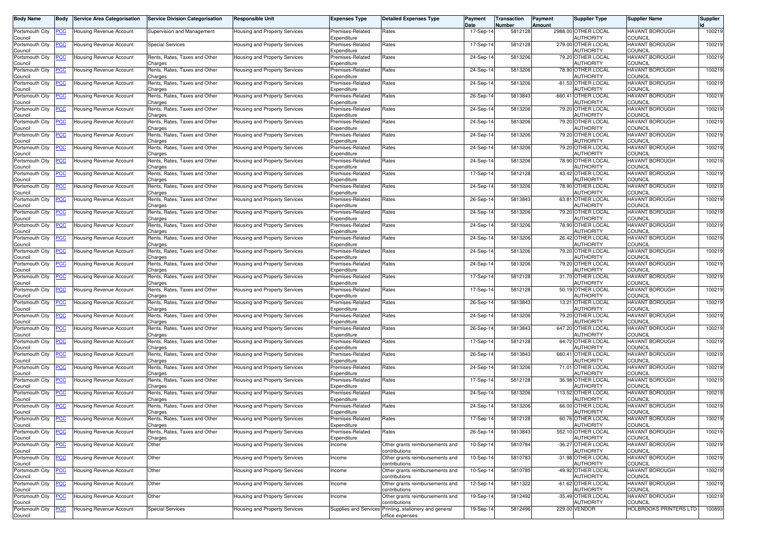| <b>Body Name</b>           | Body           | Service Area Categorisation                        | <b>Service Division Categorisation</b>   | <b>Responsible Unit</b>       | <b>Expenses Type</b>            | <b>Detailed Expenses Type</b>                                             | Payment<br>Date | Transaction<br>Number | Payment<br>Amount | <b>Supplier Type</b>                   | <b>Supplier Name</b>                    | <b>Supplier</b> |
|----------------------------|----------------|----------------------------------------------------|------------------------------------------|-------------------------------|---------------------------------|---------------------------------------------------------------------------|-----------------|-----------------------|-------------------|----------------------------------------|-----------------------------------------|-----------------|
| Portsmouth City<br>Council | <u>'CC</u>     | <b>Housing Revenue Account</b>                     | Supervision and Management               | Housing and Property Services | Premises-Related<br>Expenditure | Rates                                                                     | 17-Sep-14       | 5812128               |                   | 2988.00 OTHER LOCAL<br>AUTHORITY       | HAVANT BOROUGH<br>COUNCIL               | 100219          |
| Portsmouth City<br>Council | <u>'CC</u>     | Housing Revenue Account                            | <b>Special Services</b>                  | Housing and Property Services | Premises-Related<br>Expenditure | Rates                                                                     | 17-Sep-14       | 5812128               |                   | 279.00 OTHER LOCAL<br>AUTHORITY        | HAVANT BOROUGH<br>COUNCIL               | 100219          |
| Portsmouth City<br>Council | <u>'СС</u>     | Housing Revenue Account                            | Rents, Rates, Taxes and Other<br>Charges | Housing and Property Services | Premises-Related<br>Expenditure | Rates                                                                     | 24-Sep-14       | 5813206               |                   | 79.20 OTHER LOCAL<br>AUTHORITY         | HAVANT BOROUGH<br>COUNCIL               | 100219          |
| Portsmouth City<br>Council | <u>'CC</u>     | Housing Revenue Account                            | Rents, Rates, Taxes and Other<br>Charges | Housing and Property Services | Premises-Related<br>Expenditure | Rates                                                                     | 24-Sep-14       | 5813206               |                   | 78.90 OTHER LOCAL<br>AUTHORITY         | <b>HAVANT BOROUGH</b><br>COUNCIL        | 100219          |
| Portsmouth City<br>Council | <u>'CC</u>     | Housing Revenue Account                            | Rents, Rates, Taxes and Other<br>Charges | Housing and Property Services | Premises-Related<br>Expenditure | Rates                                                                     | 24-Sep-14       | 5813206               |                   | -81.53 OTHER LOCAL<br><b>AUTHORITY</b> | HAVANT BOROUGH<br><b>COUNCIL</b>        | 100219          |
| Portsmouth City<br>Council | <u>'CC</u>     | Housing Revenue Account                            | Rents, Rates, Taxes and Other<br>Charges | Housing and Property Services | Premises-Related<br>Expenditure | Rates                                                                     | 26-Sep-14       | 5813843               |                   | -660.41 OTHER LOCAL<br>AUTHORITY       | <b>HAVANT BOROUGH</b><br>COUNCIL        | 100219          |
| Portsmouth City<br>Council | <u>'CC</u>     | Housing Revenue Account                            | Rents, Rates, Taxes and Other<br>Charges | Housing and Property Services | Premises-Related<br>Expenditure | Rates                                                                     | 24-Sep-14       | 5813206               |                   | 79.20 OTHER LOCAL<br>AUTHORITY         | <b>HAVANT BOROUGH</b><br>COUNCIL        | 100219          |
| Portsmouth City<br>Council | <u>'СС</u>     | Housing Revenue Account                            | Rents, Rates, Taxes and Other<br>Charges | Housing and Property Services | Premises-Related<br>Expenditure | Rates                                                                     | 24-Sep-14       | 5813206               |                   | 79.20 OTHER LOCAL<br>AUTHORITY         | HAVANT BOROUGH<br>COUNCIL               | 100219          |
| Portsmouth City<br>Council | <u>'CC</u>     | Housing Revenue Account                            | Rents, Rates, Taxes and Other<br>Charges | Housing and Property Services | Premises-Related<br>Expenditure | Rates                                                                     | 24-Sep-14       | 5813206               |                   | 79.20 OTHER LOCAL<br><b>AUTHORITY</b>  | <b>HAVANT BOROUGH</b><br><b>COUNCIL</b> | 100219          |
| Portsmouth City<br>Council | <u>'CC</u>     | <b>Housing Revenue Account</b>                     | Rents, Rates, Taxes and Other<br>Charges | Housing and Property Services | Premises-Related<br>Expenditure | Rates                                                                     | 24-Sep-14       | 5813206               |                   | 79.20 OTHER LOCAL<br>AUTHORITY         | <b>HAVANT BOROUGH</b><br>COUNCIL        | 100219          |
| Portsmouth City<br>Council | <u>PCC</u>     | Housing Revenue Account                            | Rents, Rates, Taxes and Other<br>Charges | Housing and Property Services | Premises-Related<br>Expenditure | Rates                                                                     | 24-Sep-14       | 5813206               |                   | 78.90 OTHER LOCAL<br>AUTHORITY         | HAVANT BOROUGH<br><b>COUNCIL</b>        | 100219          |
| Portsmouth City<br>Council | <u>'СС</u>     | Housing Revenue Account                            | Rents, Rates, Taxes and Other<br>Charges | Housing and Property Services | Premises-Related<br>Expenditure | Rates                                                                     | 17-Sep-14       | 5812128               |                   | 43.42 OTHER LOCAL<br>AUTHORITY         | <b>HAVANT BOROUGH</b><br><b>COUNCIL</b> | 100219          |
| Portsmouth City<br>Council | <u>'CC</u>     | Housing Revenue Account                            | Rents, Rates, Taxes and Other<br>Charges | Housing and Property Services | Premises-Related<br>Expenditure | Rates                                                                     | 24-Sep-14       | 5813206               |                   | 78.90 OTHER LOCAL<br><b>AUTHORITY</b>  | <b>HAVANT BOROUGH</b><br><b>COUNCIL</b> | 100219          |
| Portsmouth City<br>Council | <u>'СС</u>     | <b>Housing Revenue Account</b>                     | Rents, Rates, Taxes and Other<br>Charges | Housing and Property Services | Premises-Related<br>Expenditure | Rates                                                                     | 26-Sep-14       | 5813843               |                   | 63.81 OTHER LOCAL<br>AUTHORITY         | <b>HAVANT BOROUGH</b><br><b>COUNCIL</b> | 100219          |
| Portsmouth City<br>Council | <u>CC </u>     | Housing Revenue Account                            | Rents, Rates, Taxes and Other<br>Charges | Housing and Property Services | Premises-Related<br>Expenditure | Rates                                                                     | 24-Sep-14       | 5813206               |                   | 79.20 OTHER LOCAL<br>AUTHORITY         | <b>HAVANT BOROUGH</b><br>COUNCIL        | 100219          |
| Portsmouth City<br>Council | <u>'СС</u>     | Housing Revenue Account                            | Rents, Rates, Taxes and Other<br>Charges | Housing and Property Services | Premises-Related<br>Expenditure | Rates                                                                     | 24-Sep-14       | 5813206               |                   | 78.90 OTHER LOCAL<br><b>AUTHORITY</b>  | HAVANT BOROUGH<br>COUNCIL               | 100219          |
| Portsmouth City<br>Council | <u>'СС</u>     | Housing Revenue Account                            | Rents, Rates, Taxes and Other<br>Charges | Housing and Property Services | Premises-Related<br>Expenditure | Rates                                                                     | 24-Sep-14       | 5813206               |                   | 26.42 OTHER LOCAL<br>AUTHORITY         | <b>HAVANT BOROUGH</b><br><b>COUNCIL</b> | 100219          |
| Portsmouth City<br>Council | <u>'CC</u>     | <b>Housing Revenue Account</b>                     | Rents, Rates, Taxes and Other<br>Charges | Housing and Property Services | Premises-Related<br>Expenditure | Rates                                                                     | 24-Sep-14       | 5813206               |                   | 79.20 OTHER LOCAL<br><b>AUTHORITY</b>  | <b>HAVANT BOROUGH</b><br><b>COUNCIL</b> | 100219          |
| Portsmouth City<br>Council | <u>CC </u>     | Housing Revenue Account                            | Rents, Rates, Taxes and Other<br>Charges | Housing and Property Services | Premises-Related<br>Expenditure | Rates                                                                     | 24-Sep-14       | 5813206               |                   | 79.20 OTHER LOCAL<br>AUTHORITY         | <b>HAVANT BOROUGH</b><br><b>COUNCIL</b> | 100219          |
| Portsmouth City<br>Council | <u>'CC</u>     | Housing Revenue Account                            | Rents, Rates, Taxes and Other<br>Charges | Housing and Property Services | Premises-Related<br>Expenditure | Rates                                                                     | 17-Sep-14       | 5812128               |                   | 31.70 OTHER LOCAL<br>AUTHORITY         | <b>HAVANT BOROUGH</b><br>COUNCIL        | 100219          |
| Portsmouth City<br>Council | <u>'СС</u>     | Housing Revenue Account                            | Rents, Rates, Taxes and Other<br>Charges | Housing and Property Services | Premises-Related<br>Expenditure | Rates                                                                     | 17-Sep-14       | 5812128               |                   | 50.19 OTHER LOCAL<br><b>AUTHORITY</b>  | HAVANT BOROUGH<br>COUNCIL               | 100219          |
| Portsmouth City<br>Council | <u>cc</u>      | Housing Revenue Account                            | Rents, Rates, Taxes and Other<br>Charges | Housing and Property Services | Premises-Related<br>Expenditure | Rates                                                                     | 26-Sep-14       | 5813843               |                   | 13.21 OTHER LOCAL<br>AUTHORITY         | HAVANT BOROUGH<br><b>COUNCIL</b>        | 100219          |
| Portsmouth City<br>Council | <u>'CC</u>     | Housing Revenue Account                            | Rents, Rates, Taxes and Other<br>Charges | Housing and Property Services | Premises-Related<br>Expenditure | Rates                                                                     | 24-Sep-14       | 5813206               |                   | 79.20 OTHER LOCAL<br>AUTHORITY         | HAVANT BOROUGH<br>COUNCIL               | 100219          |
| Portsmouth City<br>Council | <u>'СС</u>     | <b>Housing Revenue Account</b>                     | Rents, Rates, Taxes and Other<br>Charges | Housing and Property Services | Premises-Related<br>Expenditure | Rates                                                                     | 26-Sep-14       | 5813843               |                   | 647.20 OTHER LOCAL<br>AUTHORITY        | HAVANT BOROUGH<br>COUNCIL               | 100219          |
| Portsmouth City<br>Council | <u>'СС</u>     | Housing Revenue Account                            | Rents, Rates, Taxes and Other<br>Charges | Housing and Property Services | Premises-Related<br>Expenditure | Rates                                                                     | 17-Sep-14       | 5812128               |                   | 64.72 OTHER LOCAL<br><b>AUTHORITY</b>  | <b>HAVANT BOROUGH</b><br>COUNCIL        | 100219          |
| Portsmouth City<br>Council | <u>CC </u>     | <b>Housing Revenue Account</b>                     | Rents, Rates, Taxes and Other<br>Charges | Housing and Property Services | Premises-Related<br>Expenditure | Rates                                                                     | 26-Sep-14       | 5813843               |                   | 660.41 OTHER LOCAL<br><b>AUTHORITY</b> | HAVANT BOROUGH<br><b>COUNCIL</b>        | 100219          |
| Portsmouth City<br>Council | <u>'CC</u>     | Housing Revenue Account                            | Rents, Rates, Taxes and Other<br>Charges | Housing and Property Services | Premises-Related<br>Expenditure | Rates                                                                     | 24-Sep-14       | 5813206               |                   | 71.01 OTHER LOCAL<br>AUTHORITY         | HAVANT BOROUGH<br>COUNCIL               | 100219          |
| Portsmouth City<br>Council | <u>'CC</u>     | Housing Revenue Account                            | Rents, Rates, Taxes and Other<br>Charges | Housing and Property Services | Premises-Related<br>Expenditure | Rates                                                                     | 17-Sep-1        | 5812128               |                   | 36.98 OTHER LOCAL<br>AUTHORITY         | HAVANT BOROUGH<br>COUNCIL               | 100219          |
| Portsmouth City<br>Council | <u>'СС</u>     | Housing Revenue Account                            | Rents, Rates, Taxes and Other<br>Charges | Housing and Property Services | Premises-Related<br>Expenditure | Rates                                                                     | 24-Sep-14       | 5813206               |                   | 113.52 OTHER LOCAL<br>AUTHORITY        | HAVANT BOROUGH<br>COUNCIL               | 100219          |
| Portsmouth City<br>Council | <u>CC </u>     | Housing Revenue Account                            | Rents, Rates, Taxes and Other<br>Charges | Housing and Property Services | Premises-Related<br>Expenditure | Rates                                                                     | 24-Sep-14       | 5813206               |                   | 66.00 OTHER LOCAL<br><b>AUTHORITY</b>  | HAVANT BOROUGH<br><b>COUNCIL</b>        | 100219          |
| Council                    |                | Portsmouth City <b>PCC</b> Housing Revenue Account | Rents, Rates, Taxes and Other<br>Charges | Housing and Property Services | Premises-Related<br>Expenditure | Rates                                                                     | 17-Sep-14       | 5812128               |                   | 60.76 OTHER LOCAL<br><b>AUTHORITY</b>  | <b>HAVANT BOROUGH</b><br>COUNCIL        | 100219          |
| Portsmouth City<br>Council | <b>CC</b>      | <b>Housing Revenue Account</b>                     | Rents, Rates, Taxes and Other<br>Charges | Housing and Property Services | Premises-Related<br>Expenditure | Rates                                                                     | 26-Sep-14       | 5813843               |                   | 552.10 OTHER LOCAL<br>AUTHORITY        | <b>HAVANT BOROUGH</b><br>COUNCIL        | 100219          |
| Portsmouth City<br>Council | <u>'CC</u>     | Housing Revenue Account                            | Other                                    | Housing and Property Services | Income                          | Other grants reimbursements and<br>contributions                          | 10-Sep-14       | 5810784               |                   | -36.27 OTHER LOCAL<br><b>AUTHORITY</b> | <b>HAVANT BOROUGH</b><br>COUNCIL        | 100219          |
| Portsmouth City<br>Council | $\overline{C}$ | <b>Housing Revenue Account</b>                     | Other                                    | Housing and Property Services | Income                          | Other grants reimbursements and<br>contributions                          | 10-Sep-14       | 5810783               |                   | -31.98 OTHER LOCAL<br><b>AUTHORITY</b> | HAVANT BOROUGH<br>COUNCIL               | 100219          |
| Portsmouth City<br>Council | <u>CC</u>      | Housing Revenue Account                            | Other                                    | Housing and Property Services | ncome                           | Other grants reimbursements and<br>contributions                          | 10-Sep-14       | 5810785               |                   | -49.92 OTHER LOCAL<br><b>AUTHORITY</b> | HAVANT BOROUGH<br>COUNCIL               | 100219          |
| Portsmouth City<br>Council | <u>CC</u>      | Housing Revenue Account                            | Other                                    | Housing and Property Services | Income                          | Other grants reimbursements and<br>contributions                          | 12-Sep-14       | 5811322               |                   | -61.62 OTHER LOCAL<br>AUTHORITY        | HAVANT BOROUGH<br>COUNCIL               | 100219          |
| Portsmouth City<br>Council | <u>'CC</u>     | Housing Revenue Account                            | Other                                    | Housing and Property Services | Income                          | Other grants reimbursements and<br>contributions                          | 19-Sep-14       | 5812492               |                   | -35.49 OTHER LOCAL<br><b>AUTHORITY</b> | HAVANT BOROUGH<br>COUNCIL               | 100219          |
| Portsmouth City<br>Council | <u>CC</u>      | Housing Revenue Account                            | <b>Special Services</b>                  | Housing and Property Services |                                 | Supplies and Services Printing, stationery and general<br>office expenses | 19-Sep-14       | 5812496               |                   | 229.00 VENDOR                          | <b>HOLBROOKS PRINTERS LTD</b>           | 100893          |
|                            |                |                                                    |                                          |                               |                                 |                                                                           |                 |                       |                   |                                        |                                         |                 |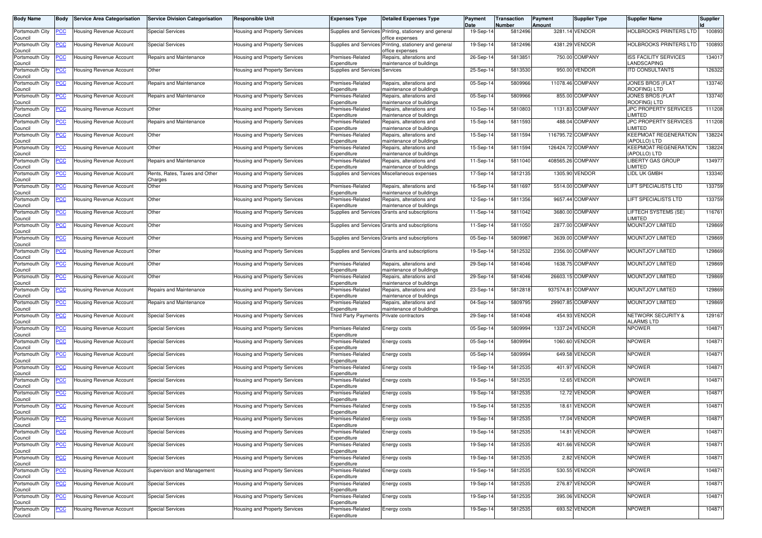| <b>Body Name</b>           | Body       | <b>Service Area Categorisation</b> | <b>Service Division Categorisation</b>   | <b>Responsible Unit</b>              | <b>Expenses Type</b>                     | <b>Detailed Expenses Type</b>                                             | Payment<br>Date | Transaction<br>Number | Payment<br>Amount | <b>Supplier Type</b> | <b>Supplier Name</b>                               | <b>Supplier</b> |
|----------------------------|------------|------------------------------------|------------------------------------------|--------------------------------------|------------------------------------------|---------------------------------------------------------------------------|-----------------|-----------------------|-------------------|----------------------|----------------------------------------------------|-----------------|
| Portsmouth City<br>Council | 'CC        | Housing Revenue Account            | <b>Special Services</b>                  | Housing and Property Services        |                                          | Supplies and Services Printing, stationery and general<br>office expenses | 19-Sep-14       | 5812496               |                   | 3281.14 VENDOR       | <b>HOLBROOKS PRINTERS LTD</b>                      | 100893          |
| Portsmouth City<br>Council | <u>'CC</u> | Jousing Revenue Account            | <b>Special Services</b>                  | Housing and Property Services        |                                          | Supplies and Services Printing, stationery and general<br>office expenses | 19-Sep-14       | 5812496               |                   | 4381.29 VENDOR       | HOLBROOKS PRINTERS LTD                             | 100893          |
| Portsmouth City<br>Council | <u>'СС</u> | Housing Revenue Account            | Repairs and Maintenance                  | Housing and Property Services        | Premises-Related<br>Expenditure          | Repairs, alterations and<br>maintenance of buildings                      | 26-Sep-14       | 5813851               |                   | 750.00 COMPANY       | <b>ISS FACILITY SERVICES</b><br>LANDSCAPING        | 134017          |
| Portsmouth City<br>Council | <u>CC</u>  | Housing Revenue Account            | Other                                    | Housing and Property Services        | Supplies and Services                    | Services                                                                  | 25-Sep-14       | 5813530               |                   | 950.00 VENDOR        | <b>ITD CONSULTANTS</b>                             | 126322          |
| Portsmouth City<br>Council | <u>CC </u> | Housing Revenue Account            | Repairs and Maintenance                  | <b>Housing and Property Services</b> | Premises-Related<br>Expenditure          | Repairs, alterations and<br>maintenance of buildings                      | 05-Sep-14       | 5809966               |                   | 11078.46 COMPANY     | JONES BROS (FLAT<br>ROOFING) LTD                   | 133740          |
| Portsmouth City<br>Council | <u>cc</u>  | Housing Revenue Account            | Repairs and Maintenance                  | Housing and Property Services        | Premises-Related<br>Expenditure          | Repairs, alterations and<br>maintenance of buildings                      | 05-Sep-14       | 5809966               |                   | 855.00 COMPANY       | JONES BROS (FLAT<br><b>ROOFING) LTD</b>            | 133740          |
| Portsmouth City<br>Council | <u>CC</u>  | <b>Housing Revenue Account</b>     | Other                                    | Housing and Property Services        | Premises-Related<br>Expenditure          | Repairs, alterations and<br>maintenance of buildings                      | 10-Sep-14       | 5810803               |                   | 1131.83 COMPANY      | JPC PROPERTY SERVICES<br><b>IMITED</b>             | 111208          |
| Portsmouth City<br>Council | <u>'CC</u> | Housing Revenue Account            | Repairs and Maintenance                  | Housing and Property Services        | Premises-Related<br>Expenditure          | Repairs, alterations and<br>naintenance of buildings                      | 15-Sep-14       | 5811593               |                   | 488.04 COMPANY       | <b>JPC PROPERTY SERVICES</b><br>LIMITED            | 111208          |
| Portsmouth City<br>Council | <u>'CC</u> | <b>Housing Revenue Account</b>     | Other                                    | Housing and Property Services        | Premises-Related<br>Expenditure          | Repairs, alterations and<br>maintenance of buildings                      | 15-Sep-14       | 5811594               |                   | 116795.72 COMPANY    | <b>KEEPMOAT REGENERATION</b><br>(APOLLO) LTD       | 138224          |
| Portsmouth City<br>Council | <u>CC</u>  | Housing Revenue Account            | Other                                    | <b>Housing and Property Services</b> | Premises-Related<br>Expenditure          | Repairs, alterations and<br>maintenance of buildings                      | 15-Sep-14       | 5811594               |                   | 126424.72 COMPANY    | <b>KEEPMOAT REGENERATION</b><br>(APOLLO) LTD       | 138224          |
| Portsmouth City<br>Council | <u>'СС</u> | Housing Revenue Account            | Repairs and Maintenance                  | Housing and Property Services        | Premises-Related<br>Expenditure          | Repairs, alterations and<br>maintenance of buildings                      | 11-Sep-14       | 5811040               | 408565.26 COMPANY |                      | <b>LIBERTY GAS GROUP</b><br><b>IMITED</b>          | 134977          |
| Portsmouth City<br>Council | <u>'СС</u> | Housing Revenue Account            | Rents, Rates, Taxes and Other<br>Charges | Housing and Property Services        | Supplies and Services                    | Miscellaneous expenses                                                    | 17-Sep-14       | 5812135               |                   | 1305.90 VENDOR       | LIDL UK GMBH                                       | 133340          |
| Portsmouth City<br>Council | <u>'СС</u> | Housing Revenue Account            | Other                                    | Housing and Property Services        | Premises-Related<br>Expenditure          | Repairs, alterations and<br>naintenance of buildings                      | 16-Sep-14       | 581169                |                   | 5514.00 COMPANY      | LIFT SPECIALISTS LTD                               | 133759          |
| Portsmouth City<br>Council | <u>'CC</u> | <b>Housing Revenue Account</b>     | Other                                    | Housing and Property Services        | Premises-Related<br>Expenditure          | Repairs, alterations and<br>maintenance of buildings                      | 12-Sep-14       | 5811356               |                   | 9657.44 COMPANY      | <b>LIFT SPECIALISTS LTD</b>                        | 133759          |
| Portsmouth City<br>Council | <u>'CC</u> | Housing Revenue Account            | Other                                    | Housing and Property Services        |                                          | Supplies and Services Grants and subscriptions                            | 11-Sep-14       | 5811042               |                   | 3680.00 COMPANY      | LIFTECH SYSTEMS (SE)<br>.IMITED                    | 116761          |
| Portsmouth City<br>Council | <u>'СС</u> | Housing Revenue Account            | Other                                    | Housing and Property Services        |                                          | Supplies and Services Grants and subscriptions                            | 11-Sep-14       | 5811050               |                   | 2877.00 COMPANY      | MOUNTJOY LIMITED                                   | 129869          |
| Portsmouth City<br>Council | <u>'CC</u> | Housing Revenue Account            | Other                                    | <b>Housing and Property Services</b> |                                          | Supplies and Services Grants and subscriptions                            | 05-Sep-14       | 580998                |                   | 3639.00 COMPANY      | <b>MOUNTJOY LIMITED</b>                            | 129869          |
| Portsmouth City<br>Council | <u>'CC</u> | Housing Revenue Account            | Other                                    | Housing and Property Services        |                                          | Supplies and Services Grants and subscriptions                            | 19-Sep-14       | 5812532               |                   | 2356.00 COMPANY      | MOUNTJOY LIMITED                                   | 129869          |
| Portsmouth City<br>Council | <u>'CC</u> | Housing Revenue Account            | Other                                    | Housing and Property Services        | Premises-Related<br>Expenditure          | Repairs, alterations and<br>maintenance of buildings                      | 29-Sep-14       | 5814046               |                   | 1638.75 COMPANY      | <b>MOUNTJOY LIMITED</b>                            | 129869          |
| Portsmouth City<br>Council | <b>CC</b>  | Jousing Revenue Account            | Other                                    | Housing and Property Services        | Premises-Related<br>Expenditure          | Repairs, alterations and<br>maintenance of buildings                      | 29-Sep-1        | 5814046               |                   | 26603.15 COMPANY     | MOUNTJOY LIMITED                                   | 129869          |
| Portsmouth City<br>Council | <u>'СС</u> | Housing Revenue Account            | Repairs and Maintenance                  | Housing and Property Services        | Premises-Related<br>Expenditure          | Repairs, alterations and<br>naintenance of buildings                      | 23-Sep-14       | 5812818               |                   | 937574.81 COMPANY    | <b>MOUNTJOY LIMITED</b>                            | 129869          |
| Portsmouth City<br>Council | <u>'СС</u> | Housing Revenue Account            | Repairs and Maintenance                  | Housing and Property Services        | Premises-Related<br>Expenditure          | Repairs, alterations and<br>maintenance of buildings                      | 04-Sep-14       | 5809795               |                   | 29907.85 COMPANY     | <b>MOUNTJOY LIMITED</b>                            | 129869          |
| Portsmouth City<br>Council | <u>CC</u>  | Housing Revenue Account            | <b>Special Services</b>                  | Housing and Property Services        | Third Party Payments Private contractors |                                                                           | 29-Sep-14       | 5814048               |                   | 454.93 VENDOR        | <b>NETWORK SECURITY &amp;</b><br><b>ALARMS LTD</b> | 129167          |
| Portsmouth City<br>Council | <u>'CC</u> | Housing Revenue Account            | <b>Special Services</b>                  | Housing and Property Services        | Premises-Related<br>Expenditure          | Energy costs                                                              | 05-Sep-14       | 5809994               |                   | 1337.24 VENDOR       | <b>NPOWER</b>                                      | 104871          |
| Portsmouth City<br>Council | <u>cc</u>  | <b>Housing Revenue Account</b>     | <b>Special Services</b>                  | Housing and Property Services        | Premises-Related<br>Expenditure          | Energy costs                                                              | 05-Sep-14       | 5809994               |                   | 1060.60 VENDOR       | <b>NPOWER</b>                                      | 104871          |
| Portsmouth City<br>Council | <u>PCC</u> | Housing Revenue Account            | <b>Special Services</b>                  | Housing and Property Services        | Premises-Related<br>Expenditure          | Energy costs                                                              | 05-Sep-14       | 5809994               |                   | 649.58 VENDOR        | <b>NPOWER</b>                                      | 104871          |
| Portsmouth City<br>Council | <u>'СС</u> | <b>Housing Revenue Account</b>     | <b>Special Services</b>                  | Housing and Property Services        | Premises-Related<br>Expenditure          | Energy costs                                                              | 19-Sep-14       | 5812535               |                   | 401.97 VENDOR        | <b>NPOWER</b>                                      | 104871          |
| Portsmouth City<br>Council | <u>CC</u>  | Housing Revenue Account            | <b>Special Services</b>                  | <b>Housing and Property Services</b> | Premises-Related<br>Expenditure          | Energy costs                                                              | 19-Sep-14       | 5812535               |                   | 12.65 VENDOR         | <b>NPOWER</b>                                      | 104871          |
| Portsmouth City<br>Council | <u>CC</u>  | Housing Revenue Account            | <b>Special Services</b>                  | <b>Housing and Property Services</b> | Premises-Related<br>Expenditure          | Energy costs                                                              | 19-Sep-1        | 5812535               |                   | 12.72 VENDOR         | <b>NPOWER</b>                                      | 104871          |
| Portsmouth City<br>Council | <u>PCC</u> | <b>Housing Revenue Account</b>     | <b>Special Services</b>                  | <b>Housing and Property Services</b> | Premises-Related<br>Expenditure          | Energy costs                                                              | 19-Sep-14       | 5812535               |                   | 18.61 VENDOR         | <b>NPOWER</b>                                      | 104871          |
| Portsmouth City<br>Council | <b>PCC</b> | Housing Revenue Account            | <b>Special Services</b>                  | Housing and Property Services        | Premises-Related<br>Expenditure          | Energy costs                                                              | 19-Sep-14       | 5812535               |                   | 17.04 VENDOR         | <b>NPOWER</b>                                      | 104871          |
| Portsmouth City<br>Council | <b>CC</b>  | Housing Revenue Account            | <b>Special Services</b>                  | Housing and Property Services        | Premises-Related<br>Expenditure          | Energy costs                                                              | 19-Sep-14       | 5812535               |                   | 14.81 VENDOR         | <b>NPOWER</b>                                      | 104871          |
| Portsmouth City<br>Council | <u>CC</u>  | <b>Housing Revenue Account</b>     | <b>Special Services</b>                  | Housing and Property Services        | Premises-Related<br>Expenditure          | Energy costs                                                              | 19-Sep-14       | 5812535               |                   | 401.66 VENDOR        | <b>NPOWER</b>                                      | 104871          |
| Portsmouth City<br>Council | <u>'CC</u> | <b>Housing Revenue Account</b>     | <b>Special Services</b>                  | Housing and Property Services        | Premises-Related<br>Expenditure          | Energy costs                                                              | 19-Sep-14       | 5812535               |                   | 2.82 VENDOR          | <b>NPOWER</b>                                      | 104871          |
| Portsmouth City<br>Council | <u>'СС</u> | <b>Housing Revenue Account</b>     | Supervision and Management               | Housing and Property Services        | Premises-Related<br>Expenditure          | Energy costs                                                              | 19-Sep-14       | 5812535               |                   | 530.55 VENDOR        | <b>NPOWER</b>                                      | 104871          |
| Portsmouth City<br>Council | <u>CC</u>  | <b>Housing Revenue Account</b>     | <b>Special Services</b>                  | Housing and Property Services        | Premises-Related<br>Expenditure          | Energy costs                                                              | 19-Sep-14       | 5812535               |                   | 276.87 VENDOR        | <b>NPOWER</b>                                      | 104871          |
| Portsmouth City<br>Council | <u>'CC</u> | Housing Revenue Account            | <b>Special Services</b>                  | Housing and Property Services        | Premises-Related<br>Expenditure          | Energy costs                                                              | 19-Sep-14       | 5812535               |                   | 395.06 VENDOR        | <b>NPOWER</b>                                      | 104871          |
| Portsmouth City<br>Council | <u>'CC</u> | <b>Housing Revenue Account</b>     | <b>Special Services</b>                  | Housing and Property Services        | Premises-Related<br>Expenditure          | Energy costs                                                              | 19-Sep-14       | 5812535               |                   | 693.52 VENDOR        | <b>NPOWER</b>                                      | 104871          |
|                            |            |                                    |                                          |                                      |                                          |                                                                           |                 |                       |                   |                      |                                                    |                 |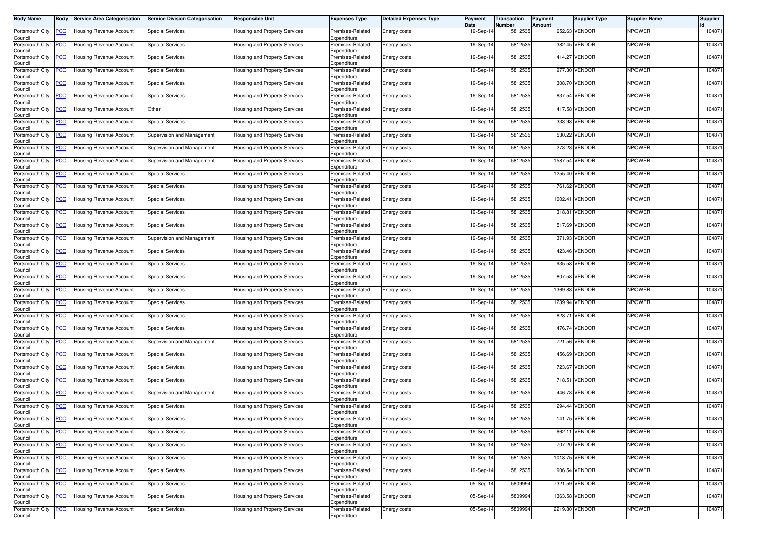| <b>Body Name</b>           | <b>Body</b>    | <b>Service Area Categorisation</b>                 | <b>Service Division Categorisation</b> | Responsible Unit                     | <b>Expenses Type</b>            | <b>Detailed Expenses Type</b> | Payment<br>Date | Transaction<br>Number | Payment<br>Amount | <b>Supplier Type</b> | <b>Supplier Name</b> | <b>Supplier</b> |
|----------------------------|----------------|----------------------------------------------------|----------------------------------------|--------------------------------------|---------------------------------|-------------------------------|-----------------|-----------------------|-------------------|----------------------|----------------------|-----------------|
| Portsmouth City<br>Council |                | Housing Revenue Account                            | <b>Special Services</b>                | Housing and Property Services        | Premises-Related<br>Expenditure | Energy costs                  | 19-Sep-14       | 5812535               |                   | 652.63 VENDOR        | <b>NPOWER</b>        | 104871          |
| Portsmouth City<br>Council | <u>PCC</u>     | Housing Revenue Account                            | <b>Special Services</b>                | <b>Housing and Property Services</b> | Premises-Related<br>Expenditure | Energy costs                  | 19-Sep-1        | 5812535               |                   | 382.45 VENDOR        | <b>NPOWER</b>        | 104871          |
| Portsmouth City<br>Council | <u>PCC</u>     | Housing Revenue Account                            | <b>Special Services</b>                | Housing and Property Services        | Premises-Related<br>Expenditure | Energy costs                  | 19-Sep-1        | 5812535               |                   | 414.27 VENDOR        | <b>NPOWER</b>        | 104871          |
| Portsmouth City<br>Council | <u>PCC</u>     | Housing Revenue Account                            | <b>Special Services</b>                | Housing and Property Services        | Premises-Related<br>Expenditure | Energy costs                  | 19-Sep-14       | 5812535               |                   | 977.30 VENDOR        | <b>NPOWER</b>        | 104871          |
| Portsmouth City<br>Council | <u>PCC</u>     | Housing Revenue Account                            | <b>Special Services</b>                | Housing and Property Services        | Premises-Related<br>Expenditure | Energy costs                  | 19-Sep-14       | 5812535               |                   | 308.70 VENDOR        | <b>NPOWER</b>        | 104871          |
| Portsmouth City<br>Council | <u>PCC</u>     | Housing Revenue Account                            | <b>Special Services</b>                | Housing and Property Services        | Premises-Related<br>Expenditure | Energy costs                  | 19-Sep-14       | 5812535               |                   | 837.54 VENDOR        | <b>NPOWER</b>        | 104871          |
| Portsmouth City<br>Council | <u>PCC</u>     | Jousing Revenue Account                            | Other                                  | Housing and Property Services        | Premises-Related<br>Expenditure | Energy costs                  | 19-Sep-1        | 5812535               |                   | 417.58 VENDOR        | <b>NPOWER</b>        | 104871          |
| Portsmouth City<br>Council | <u>PCC</u>     | Housing Revenue Account                            | <b>Special Services</b>                | <b>Housing and Property Services</b> | Premises-Related<br>Expenditure | Energy costs                  | 19-Sep-14       | 5812535               |                   | 333.93 VENDOR        | <b>NPOWER</b>        | 104871          |
| Portsmouth City<br>Council | PСC            | <b>Housing Revenue Account</b>                     | Supervision and Management             | Housing and Property Services        | Premises-Related<br>Expenditure | Energy costs                  | 19-Sep-14       | 5812535               |                   | 530.22 VENDOR        | <b>NPOWER</b>        | 104871          |
| Portsmouth City<br>Council | <u>PCC</u>     | Housing Revenue Account                            | Supervision and Management             | Housing and Property Services        | Premises-Related<br>Expenditure | Energy costs                  | 19-Sep-14       | 5812535               |                   | 273.23 VENDOR        | <b>NPOWER</b>        | 104871          |
| Portsmouth City<br>Council |                | Housing Revenue Account                            | Supervision and Management             | Housing and Property Services        | Premises-Related<br>Expenditure | Energy costs                  | 19-Sep-1        | 5812535               |                   | 1587.54 VENDOR       | <b>NPOWER</b>        | 104871          |
| Portsmouth City<br>Council | <u>PCC</u>     | lousing Revenue Account                            | <b>Special Services</b>                | lousing and Property Services        | Premises-Related<br>Expenditure | Energy costs                  | 19-Sep-14       | 5812535               |                   | 1255.40 VENDOR       | <b>NPOWER</b>        | 104871          |
| Portsmouth City<br>Council | <u>PCC</u>     | Housing Revenue Account                            | <b>Special Services</b>                | Housing and Property Services        | Premises-Related<br>Expenditure | Energy costs                  | 19-Sep-14       | 5812535               |                   | 761.62 VENDOR        | <b>NPOWER</b>        | 104871          |
| Portsmouth City<br>Council | <u>PCC</u>     | Housing Revenue Account                            | <b>Special Services</b>                | Housing and Property Services        | Premises-Related<br>Expenditure | Energy costs                  | 19-Sep-14       | 5812535               |                   | 1002.41 VENDOR       | <b>NPOWER</b>        | 104871          |
| Portsmouth City<br>Council |                | Housing Revenue Account                            | <b>Special Services</b>                | Housing and Property Services        | Premises-Related<br>Expenditure | Energy costs                  | 19-Sep-1        | 5812535               | 318.81            | <b>VENDOR</b>        | <b>NPOWER</b>        | 104871          |
| Portsmouth City<br>Council | <u>PCC</u>     | <b>Housing Revenue Account</b>                     | <b>Special Services</b>                | Housing and Property Services        | Premises-Related<br>Expenditure | Energy costs                  | 19-Sep-1        | 5812535               |                   | 517.69 VENDOR        | <b>NPOWER</b>        | 104871          |
| Portsmouth City<br>Council | <u>PCC</u>     | Housing Revenue Account                            | Supervision and Management             | Housing and Property Services        | Premises-Related<br>Expenditure | Energy costs                  | 19-Sep-14       | 5812535               |                   | 371.93 VENDOR        | <b>NPOWER</b>        | 104871          |
| Portsmouth City<br>Council | <u>PCC</u>     | lousing Revenue Account                            | <b>Special Services</b>                | Housing and Property Services        | Premises-Related<br>Expenditure | Energy costs                  | 19-Sep-14       | 5812535               |                   | 423.46 VENDOR        | <b>NPOWER</b>        | 104871          |
| Portsmouth City<br>Council | <u>PCC</u>     | <b>Housing Revenue Account</b>                     | <b>Special Services</b>                | Housing and Property Services        | Premises-Related<br>Expenditure | Energy costs                  | 19-Sep-14       | 5812535               |                   | 935.58 VENDOR        | <b>NPOWER</b>        | 104871          |
| Portsmouth City<br>Council | <u>CC</u>      | <b>Housing Revenue Account</b>                     | <b>Special Services</b>                | Housing and Property Services        | Premises-Related<br>Expenditure | Energy costs                  | 19-Sep-1        | 5812535               |                   | 807.58 VENDOR        | <b>NPOWER</b>        | 104871          |
| Portsmouth City<br>Council |                | Housing Revenue Account                            | <b>Special Services</b>                | Housing and Property Services        | Premises-Related<br>Expenditure | Energy costs                  | 19-Sep-14       | 5812535               |                   | 1369.88 VENDOR       | <b>NPOWER</b>        | 104871          |
| Portsmouth City<br>Council | <u>PCC</u>     | Housing Revenue Account                            | <b>Special Services</b>                | Housing and Property Services        | Premises-Related<br>Expenditure | Energy costs                  | 19-Sep-14       | 5812535               |                   | 1239.94 VENDOR       | <b>NPOWER</b>        | 104871          |
| Portsmouth City<br>Council | <u>PCC</u>     | lousing Revenue Account                            | <b>Special Services</b>                | Housing and Property Services        | Premises-Related<br>Expenditure | Energy costs                  | 19-Sep-1        | 5812535               |                   | 828.71 VENDOR        | <b>NPOWER</b>        | 104871          |
| Portsmouth City<br>Council | <u>PCC</u>     | Housing Revenue Account                            | <b>Special Services</b>                | Housing and Property Services        | Premises-Related<br>Expenditure | Energy costs                  | 19-Sep-1        | 5812535               |                   | 476.74 VENDOR        | <b>NPOWER</b>        | 10487           |
| Portsmouth City<br>Council | <u>PCC</u>     | Housing Revenue Account                            | Supervision and Management             | Housing and Property Services        | Premises-Related<br>Expenditure | Energy costs                  | 19-Sep-14       | 5812535               |                   | 721.56 VENDOR        | <b>NPOWER</b>        | 104871          |
| Portsmouth City<br>Council | <u>PCC</u>     | Housing Revenue Account                            | <b>Special Services</b>                | Housing and Property Services        | Premises-Related<br>Expenditure | Energy costs                  | 19-Sep-14       | 5812535               |                   | 456.69 VENDOR        | <b>NPOWER</b>        | 104871          |
| Portsmouth City<br>Council | <u>PCC</u>     | Housing Revenue Account                            | <b>Special Services</b>                | Housing and Property Services        | Premises-Related<br>Expenditure | Energy costs                  | 19-Sep-14       | 5812535               |                   | 723.67 VENDOR        | <b>NPOWER</b>        | 104871          |
| Portsmouth City<br>Council | <u>PCC</u>     | Housing Revenue Account                            | <b>Special Services</b>                | Housing and Property Services        | Premises-Related<br>Expenditure | Energy costs                  | 19-Sep-1        | 5812535               |                   | 718.51 VENDOR        | <b>NPOWER</b>        | 104871          |
| Portsmouth City<br>Council | <u>PCC</u>     | Housing Revenue Account                            | Supervision and Management             | Housing and Property Services        | Premises-Related<br>Expenditure | Energy costs                  | 19-Sep-14       | 5812535               |                   | 446.78 VENDOR        | <b>NPOWER</b>        | 104871          |
| Portsmouth City<br>Council | <u>PCC</u>     | Housing Revenue Account                            | <b>Special Services</b>                | Housing and Property Services        | Premises-Related<br>Expenditure | Energy costs                  | 19-Sep-14       | 5812535               |                   | 294.44 VENDOR        | <b>NPOWER</b>        | 104871          |
| Council                    |                | Portsmouth City <b>PCC</b> Housing Revenue Account | <b>Special Services</b>                | Housing and Property Services        | Premises-Related<br>Expenditure | Energy costs                  | 19-Sep-14       | 5812535               |                   | 141.75 VENDOR        | <b>NPOWER</b>        | 104871          |
| Portsmouth City<br>Council | <u>PCC</u>     | Housing Revenue Account                            | <b>Special Services</b>                | Housing and Property Services        | Premises-Related<br>Expenditure | Energy costs                  | 19-Sep-14       | 5812535               |                   | 662.11 VENDOR        | <b>NPOWER</b>        | 104871          |
| Portsmouth City<br>Council | <u>PCC</u>     | <b>Housing Revenue Account</b>                     | <b>Special Services</b>                | Housing and Property Services        | Premises-Related<br>Expenditure | Energy costs                  | 19-Sep-14       | 5812535               |                   | 707.20 VENDOR        | <b>NPOWER</b>        | 104871          |
| Portsmouth City<br>Council | <u>PCC</u>     | <b>Housing Revenue Account</b>                     | <b>Special Services</b>                | lousing and Property Services        | Premises-Related<br>Expenditure | Energy costs                  | 19-Sep-14       | 5812535               |                   | 1018.75 VENDOR       | <b>NPOWER</b>        | 104871          |
| Portsmouth City<br>Council | <u>PCC</u>     | Housing Revenue Account                            | <b>Special Services</b>                | Housing and Property Services        | Premises-Related<br>Expenditure | Energy costs                  | 19-Sep-14       | 5812535               |                   | 906.54 VENDOR        | <b>NPOWER</b>        | 104871          |
| Portsmouth City<br>Council | $\overline{C}$ | Housing Revenue Account                            | <b>Special Services</b>                | lousing and Property Services        | Premises-Related<br>Expenditure | Energy costs                  | 05-Sep-14       | 5809994               |                   | 7321.59 VENDOR       | <b>NPOWER</b>        | 104871          |
| Portsmouth City<br>Council |                | Housing Revenue Account                            | Special Services                       | lousing and Property Services        | Premises-Related<br>Expenditure | Energy costs                  | 05-Sep-14       | 5809994               |                   | 1363.58 VENDOR       | <b>NPOWER</b>        | 104871          |
| Portsmouth City<br>Council | <u>PCC</u>     | Housing Revenue Account                            | <b>Special Services</b>                | <b>Housing and Property Services</b> | Premises-Related<br>Expenditure | Energy costs                  | 05-Sep-14       | 5809994               |                   | 2219.80 VENDOR       | <b>NPOWER</b>        | 104871          |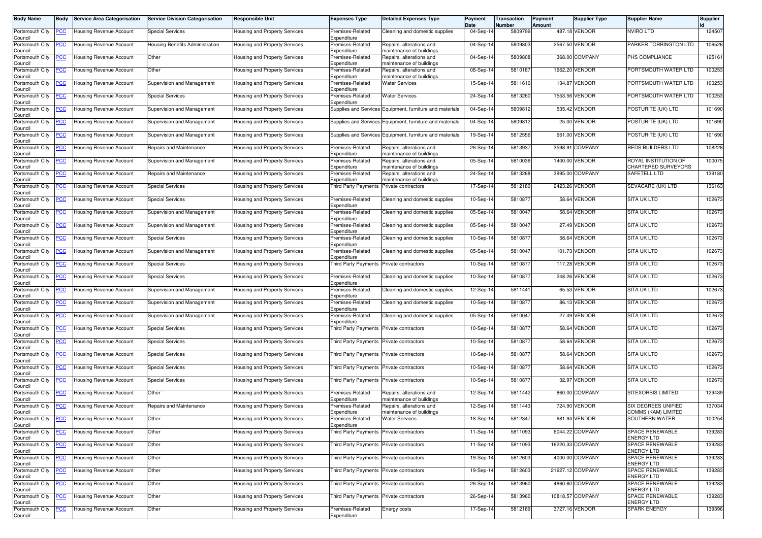| Body Name                      | Body           | <b>Service Area Categorisation</b> | <b>Service Division Categorisation</b> | <b>Responsible Unit</b>              | <b>Expenses Type</b>                     | <b>Detailed Expenses Type</b>                            | Payment<br>Date | <b>Transaction</b><br>Number | Payment<br>Amount | <b>Supplier Type</b> | <b>Supplier Name</b>                        | <b>Supplier</b> |
|--------------------------------|----------------|------------------------------------|----------------------------------------|--------------------------------------|------------------------------------------|----------------------------------------------------------|-----------------|------------------------------|-------------------|----------------------|---------------------------------------------|-----------------|
| Portsmouth City<br>Council     | <u>'СС</u>     | Housing Revenue Account            | <b>Special Services</b>                | Housing and Property Services        | Premises-Related<br>Expenditure          | Cleaning and domestic supplies                           | 04-Sep-14       | 5809799                      |                   | 487.18 VENDOR        | <b>NVIRO LTD</b>                            | 124507          |
| Portsmouth City<br>Council     | <u>'CC</u>     | <b>Housing Revenue Account</b>     | Housing Benefits Administration        | Housing and Property Services        | Premises-Related<br>Expenditure          | Repairs, alterations and<br>maintenance of buildings     | 04-Sep-14       | 580980                       |                   | 2567.50 VENDOR       | PARKER TORRINGTON LTD                       | 106526          |
| Portsmouth City<br>Council     | <u>'СС</u>     | Housing Revenue Account            | Other                                  | Housing and Property Services        | Premises-Related<br>Expenditure          | Repairs, alterations and<br>maintenance of buildings     | 04-Sep-14       | 5809808                      |                   | 368.00 COMPANY       | PHS COMPLIANCE                              | 125161          |
| Portsmouth City<br>Council     | <u>'CC</u>     | <b>Housing Revenue Account</b>     | Other                                  | Housing and Property Services        | Premises-Related<br>Expenditure          | Repairs, alterations and<br>maintenance of buildings     | 08-Sep-14       | 5810187                      |                   | 1662.20 VENDOR       | PORTSMOUTH WATER LTD                        | 100253          |
| Portsmouth City<br>Council     | <u>'CC</u>     | Housing Revenue Account            | Supervision and Management             | Housing and Property Services        | Premises-Related<br>Expenditure          | <b>Water Services</b>                                    | 15-Sep-14       | 5811610                      |                   | 134.87 VENDOR        | PORTSMOUTH WATER LTD                        | 100253          |
| Portsmouth City<br>Council     | <u>'CC</u>     | Housing Revenue Account            | <b>Special Services</b>                | Housing and Property Services        | Premises-Related<br>Expenditure          | <b>Water Services</b>                                    | 24-Sep-14       | 5813260                      |                   | 1553.56 VENDOR       | PORTSMOUTH WATER LTD                        | 100253          |
| Portsmouth City<br>Council     | <u>CC</u>      | Housing Revenue Account            | Supervision and Management             | Housing and Property Services        |                                          | Supplies and Services Equipment, furniture and materials | $04-Sep-1$      | 5809812                      |                   | 535.42 VENDOR        | POSTURITE (UK) LTD                          | 101690          |
| Portsmouth City<br>Council     | <u>'СС</u>     | Housing Revenue Account            | Supervision and Management             | Housing and Property Services        |                                          | Supplies and Services Equipment, furniture and materials | 04-Sep-14       | 580981                       |                   | 25.00 VENDOR         | POSTURITE (UK) LTD                          | 101690          |
| Portsmouth City<br>Council     | <u>'CC</u>     | <b>Housing Revenue Account</b>     | Supervision and Management             | <b>Housing and Property Services</b> |                                          | Supplies and Services Equipment, furniture and materials | 19-Sep-14       | 5812556                      |                   | 661.00 VENDOR        | POSTURITE (UK) LTD                          | 101690          |
| Portsmouth City<br>Council     | <u>'CC</u>     | Housing Revenue Account            | Repairs and Maintenance                | Housing and Property Services        | Premises-Related<br>Expenditure          | Repairs, alterations and<br>maintenance of buildings     | 26-Sep-14       | 5813937                      |                   | 3598.91 COMPANY      | REDS BUILDERS LTD                           | 108228          |
| Portsmouth City<br>Council     | <u>'СС</u>     | Housing Revenue Account            | Supervision and Management             | Housing and Property Services        | Premises-Related<br>Expenditure          | Repairs, alterations and<br>maintenance of buildings     | 05-Sep-14       | 5810036                      |                   | 1400.00 VENDOR       | ROYAL INSTITUTION OF<br>CHARTERED SURVEYORS | 100075          |
| Portsmouth City<br>Council     | <u>'CC</u>     | Housing Revenue Account            | Repairs and Maintenance                | Housing and Property Services        | Premises-Related<br>Expenditure          | Repairs, alterations and<br>maintenance of buildings     | 24-Sep-14       | 5813268                      |                   | 3995.00 COMPANY      | <b>SAFETELL LTD</b>                         | 139180          |
| Portsmouth City<br>Council     | <u>'CC</u>     | Housing Revenue Account            | <b>Special Services</b>                | Housing and Property Services        | <b>Third Party Payments</b>              | Private contractors                                      | 17-Sep-14       | 5812180                      |                   | 2423.26 VENDOR       | SEVACARE (UK) LTD                           | 136163          |
| Portsmouth City<br>Council     | <u>'СС</u>     | Housing Revenue Account            | <b>Special Services</b>                | Housing and Property Services        | Premises-Related<br>Expenditure          | Cleaning and domestic supplies                           | 10-Sep-14       | 581087                       |                   | 58.64 VENDOR         | <b>SITA UK LTD</b>                          | 102673          |
| Portsmouth City<br>Council     | <u>PCC</u>     | <b>Housing Revenue Account</b>     | Supervision and Management             | Housing and Property Services        | Premises-Related<br>Expenditure          | Cleaning and domestic supplies                           | 05-Sep-14       | 581004                       |                   | 58.64 VENDOR         | <b>SITA UK LTD</b>                          | 102673          |
| Portsmouth City<br>Council     | <u>'СС</u>     | Housing Revenue Account            | Supervision and Management             | Housing and Property Services        | Premises-Related<br>Expenditure          | Cleaning and domestic supplies                           | 05-Sep-14       | 581004                       |                   | 27.49 VENDOR         | <b>SITA UK LTD</b>                          | 102673          |
| Portsmouth City<br>Council     | <u>'СС</u>     | <b>Housing Revenue Account</b>     | <b>Special Services</b>                | Housing and Property Services        | Premises-Related<br>Expenditure          | Cleaning and domestic supplies                           | 10-Sep-14       | 5810877                      |                   | 58.64 VENDOR         | <b>SITA UK LTD</b>                          | 102673          |
| Portsmouth City<br>Council     | <u>CC</u>      | Housing Revenue Account            | Supervision and Management             | Housing and Property Services        | Premises-Related<br>Expenditure          | Cleaning and domestic supplies                           | 05-Sep-14       | 581004                       |                   | 101.73 VENDOR        | <b>SITA UK LTD</b>                          | 102673          |
| Portsmouth City<br>Council     | <u>CC </u>     | Housing Revenue Account            | <b>Special Services</b>                | Housing and Property Services        | Third Party Payments Private contractors |                                                          | 10-Sep-14       | 5810877                      |                   | 117.28 VENDOR        | <b>SITA UK LTD</b>                          | 102673          |
| Portsmouth City<br>Council     | <u>CC</u>      | Housing Revenue Account            | <b>Special Services</b>                | Housing and Property Services        | Premises-Related<br>Expenditure          | Cleaning and domestic supplies                           | 10-Sep-14       | 581087                       |                   | 248.26 VENDOR        | <b>SITA UK LTD</b>                          | 102673          |
| Portsmouth City<br>Council     | <u>'СС</u>     | Housing Revenue Account            | Supervision and Management             | <b>Housing and Property Services</b> | Premises-Related<br>Expenditure          | Cleaning and domestic supplies                           | 12-Sep-14       | 5811441                      |                   | 65.53 VENDOR         | <b>SITA UK LTD</b>                          | 102673          |
| Portsmouth City<br>Council     | <u>cc</u>      | Housing Revenue Account            | Supervision and Management             | Housing and Property Services        | Premises-Related<br>Expenditure          | Cleaning and domestic supplies                           | 10-Sep-14       | 581087                       |                   | 86.13 VENDOR         | <b>SITA UK LTD</b>                          | 102673          |
| Portsmouth City<br>Council     | <u>'CC</u>     | Housing Revenue Account            | Supervision and Management             | Housing and Property Services        | Premises-Related<br>Expenditure          | Cleaning and domestic supplies                           | 05-Sep-14       | 581004                       |                   | 27.49 VENDOR         | <b>SITA UK LTD</b>                          | 102673          |
| Portsmouth City<br>Council     | <u>'СС</u>     | Housing Revenue Account            | <b>Special Services</b>                | Housing and Property Services        | Third Party Payments Private contractors |                                                          | 10-Sep-14       | 581087                       |                   | 58.64 VENDOR         | <b>SITA UK LTD</b>                          | 102673          |
| Portsmouth City<br>Council     | <u>'СС</u>     | Housing Revenue Account            | <b>Special Services</b>                | Housing and Property Services        | Third Party Payments                     | Private contractors                                      | 10-Sep-14       | 581087                       |                   | 58.64 VENDOR         | <b>SITA UK LTD</b>                          | 102673          |
| Portsmouth City<br>Council     | <u>CC </u>     | <b>Housing Revenue Account</b>     | <b>Special Services</b>                | Housing and Property Services        | Third Party Payments Private contractors |                                                          | 10-Sep-14       | 581087                       |                   | 58.64 VENDOR         | <b>SITA UK LTD</b>                          | 102673          |
| Portsmouth City<br>Council     | <u>'СС</u>     | Housing Revenue Account            | <b>Special Services</b>                | Housing and Property Services        | Third Party Payments Private contractors |                                                          | 10-Sep-14       | 581087                       |                   | 58.64 VENDOR         | <b>SITA UK LTD</b>                          | 102673          |
| Portsmouth City<br>Council     | <u>CC</u>      | Housing Revenue Account            | <b>Special Services</b>                | Housing and Property Services        | Third Party Payments                     | Private contractors                                      | $10-Sep-1$      | 581087                       |                   | 32.97 VENDOR         | <b>SITA UK LTD</b>                          | 102673          |
| Portsmouth City<br>Council     | <u>'СС</u>     | <b>Housing Revenue Account</b>     | Other                                  | Housing and Property Services        | Premises-Related<br>Expenditure          | Repairs, alterations and<br>naintenance of buildings     | 12-Sep-14       | 5811442                      |                   | 860.00 COMPANY       | <b>SITEXORBIS LIMITED</b>                   | 129439          |
| Portsmouth City<br>Council     | <u>CC </u>     | Housing Revenue Account            | Repairs and Maintenance                | Housing and Property Services        | Premises-Related<br>Expenditure          | Repairs, alterations and<br>maintenance of buildings     | 12-Sep-14       | 5811443                      |                   | 724.90 VENDOR        | SIX DEGREES UNIFIED<br>COMMS (KAM) LIMITED  | 137034          |
| Portsmouth City PCC<br>Council |                | <b>Housing Revenue Account</b>     | Other                                  | Housing and Property Services        | Premises-Related<br>Expenditure          | <b>Water Services</b>                                    | 18-Sep-14       | 5812347                      |                   | 681.94 VENDOR        | SOUTHERN WATER                              | 100254          |
| Portsmouth City<br>Council     | <u>CC</u>      | <b>Housing Revenue Account</b>     | Other                                  | Housing and Property Services        | Third Party Payments Private contractors |                                                          | 11-Sep-14       | 5811093                      |                   | 6044.22 COMPANY      | SPACE RENEWABLE<br><b>ENERGY LTD</b>        | 139283          |
| Portsmouth City<br>Council     | <u>'CC</u>     | <b>Housing Revenue Account</b>     | Other                                  | Housing and Property Services        | Third Party Payments                     | Private contractors                                      | 11-Sep-14       | 5811093                      |                   | 16220.33 COMPANY     | <b>SPACE RENEWABLE</b><br><b>ENERGY LTD</b> | 139283          |
| Portsmouth City<br>Council     | $\overline{C}$ | <b>Housing Revenue Account</b>     | Other                                  | <b>Housing and Property Services</b> | Third Party Payments Private contractors |                                                          | 19-Sep-14       | 5812603                      |                   | 4000.00 COMPANY      | SPACE RENEWABLE<br><b>ENERGY LTD</b>        | 139283          |
| Portsmouth City<br>Council     | <u>'CC</u>     | Housing Revenue Account            | Other                                  | Housing and Property Services        | Third Party Payments Private contractors |                                                          | 19-Sep-14       | 5812603                      |                   | 21627.12 COMPANY     | <b>SPACE RENEWABLE</b><br><b>ENERGY LTD</b> | 139283          |
| Portsmouth City<br>Council     | <u>CC</u>      | Housing Revenue Account            | Other                                  | <b>Housing and Property Services</b> | Third Party Payments Private contractors |                                                          | 26-Sep-14       | 5813960                      |                   | 4860.60 COMPANY      | <b>SPACE RENEWABLE</b><br><b>ENERGY LTD</b> | 139283          |
| Portsmouth City<br>Council     | <u>'CC</u>     | <b>Housing Revenue Account</b>     | Other                                  | <b>Housing and Property Services</b> | Third Party Payments                     | Private contractors                                      | 26-Sep-14       | 5813960                      |                   | 10818.57 COMPANY     | <b>SPACE RENEWABLE</b><br><b>ENERGY LTD</b> | 139283          |
| Portsmouth City<br>Council     | <u>PCC</u>     | Housing Revenue Account            | Other                                  | Housing and Property Services        | Premises-Related<br>Expenditure          | Energy costs                                             | 17-Sep-14       | 5812189                      |                   | 3727.16 VENDOR       | <b>SPARK ENERGY</b>                         | 139396          |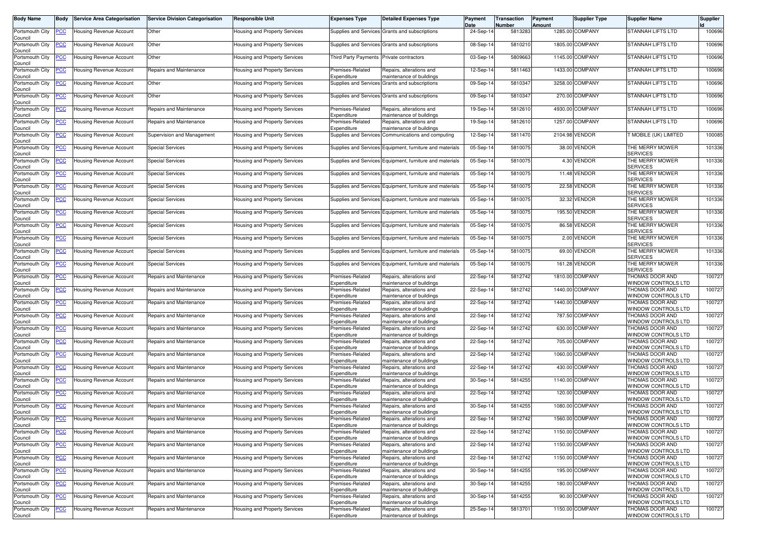| <b>Body Name</b>                      | <b>Body</b>    | <b>Service Area Categorisation</b> | <b>Service Division Categorisation</b> | <b>Responsible Unit</b>              | <b>Expenses Type</b>                     | <b>Detailed Expenses Type</b>                                              | Payment<br>Date | Transaction<br>Number | Payment<br>Amount | <b>Supplier Type</b> | <b>Supplier Name</b>                   | Supplier |
|---------------------------------------|----------------|------------------------------------|----------------------------------------|--------------------------------------|------------------------------------------|----------------------------------------------------------------------------|-----------------|-----------------------|-------------------|----------------------|----------------------------------------|----------|
| Portsmouth City<br>Council            | <u>PCC</u>     | Housing Revenue Account            | Other                                  | Housing and Property Services        |                                          | Supplies and Services Grants and subscriptions                             | 24-Sep-14       | 5813283               |                   | 1285.00 COMPANY      | STANNAH LIFTS LTD                      | 100696   |
| Portsmouth City                       | <u>'CC</u>     | Housing Revenue Account            | Other                                  | Housing and Property Services        |                                          | Supplies and Services Grants and subscriptions                             | 08-Sep-1        | 5810210               |                   | 1805.00 COMPANY      | STANNAH LIFTS LTD                      | 100696   |
| Council<br>Portsmouth City            | <u>cc</u>      | Housing Revenue Account            | Other                                  | Housing and Property Services        | Third Party Payments Private contractors |                                                                            | 03-Sep-14       | 580966                |                   | 1145.00 COMPANY      | <b>STANNAH LIFTS LTD</b>               | 100696   |
| Council<br>Portsmouth City<br>Council | <u>'СС</u>     | Housing Revenue Account            | Repairs and Maintenance                | Housing and Property Services        | Premises-Related<br>Expenditure          | Repairs, alterations and                                                   | 12-Sep-14       | 5811463               |                   | 1433.00 COMPANY      | <b>STANNAH LIFTS LTD</b>               | 100696   |
| Portsmouth City<br>Council            | <u>'CC</u>     | Housing Revenue Account            | Other                                  | Housing and Property Services        |                                          | maintenance of buildings<br>Supplies and Services Grants and subscriptions | 09-Sep-14       | 5810347               | 3258.00           | COMPANY              | STANNAH LIFTS LTD                      | 100696   |
| Portsmouth City<br>Council            | <u>'СС</u>     | Housing Revenue Account            | Other                                  | Housing and Property Services        |                                          | Supplies and Services Grants and subscriptions                             | 09-Sep-14       | 5810347               |                   | 270.00 COMPANY       | <b>STANNAH LIFTS LTD</b>               | 100696   |
| Portsmouth City<br>Council            | <u>CC</u>      | Housing Revenue Account            | Repairs and Maintenance                | Housing and Property Services        | Premises-Related<br>Expenditure          | Repairs, alterations and<br>maintenance of buildings                       | 19-Sep-14       | 5812610               |                   | 4930.00 COMPANY      | <b>STANNAH LIFTS LTD</b>               | 100696   |
| Portsmouth City<br>Council            | <u>CC </u>     | Housing Revenue Account            | Repairs and Maintenance                | <b>Housing and Property Services</b> | Premises-Related<br>Expenditure          | Repairs, alterations and<br>maintenance of buildings                       | 19-Sep-1        | 5812610               |                   | 1257.00 COMPANY      | <b>STANNAH LIFTS LTD</b>               | 100696   |
| Portsmouth City<br>Council            | <u>cc</u>      | Housing Revenue Account            | Supervision and Management             | <b>Housing and Property Services</b> | <b>Supplies and Services</b>             | Communications and computing                                               | 12-Sep-14       | 5811470               |                   | 2104.98 VENDOR       | MOBILE (UK) LIMITED                    | 100085   |
| Portsmouth City<br>Council            | <u>'CC</u>     | Housing Revenue Account            | <b>Special Services</b>                | Housing and Property Services        |                                          | Supplies and Services Equipment, furniture and materials                   | 05-Sep-14       | 5810075               |                   | 38.00 VENDOR         | THE MERRY MOWER<br><b>SERVICES</b>     | 101336   |
| Portsmouth City<br>Council            | <u>'СС</u>     | Housing Revenue Account            | <b>Special Services</b>                | Housing and Property Services        |                                          | Supplies and Services Equipment, furniture and materials                   | 05-Sep-1        | 581007                |                   | 4.30 VENDOR          | THE MERRY MOWER<br><b>SERVICES</b>     | 101336   |
| Portsmouth City<br>Council            | <u>'СС</u>     | Housing Revenue Account            | <b>Special Services</b>                | Housing and Property Services        |                                          | Supplies and Services Equipment, furniture and materials                   | 05-Sep-14       | 5810075               |                   | 11.48 VENDOR         | THE MERRY MOWER<br><b>SERVICES</b>     | 101336   |
| Portsmouth City<br>Council            | <u>'CC</u>     | Housing Revenue Account            | <b>Special Services</b>                | Housing and Property Services        |                                          | Supplies and Services Equipment, furniture and materials                   | 05-Sep-14       | 5810075               |                   | 22.58 VENDOR         | THE MERRY MOWER<br><b>SERVICES</b>     | 101336   |
| Portsmouth City<br>Council            | <u>'СС</u>     | <b>Housing Revenue Account</b>     | <b>Special Services</b>                | Housing and Property Services        |                                          | Supplies and Services Equipment, furniture and materials                   | 05-Sep-14       | 5810075               |                   | 32.32 VENDOR         | THE MERRY MOWER<br><b>SERVICES</b>     | 101336   |
| Portsmouth City<br>Council            | <u>'CC</u>     | Housing Revenue Account            | <b>Special Services</b>                | Housing and Property Services        |                                          | Supplies and Services Equipment, furniture and materials                   | 05-Sep-1        | 581007                |                   | 195.50 VENDOR        | THE MERRY MOWER<br><b>SERVICES</b>     | 101336   |
| Portsmouth City<br>Council            | <u>CC </u>     | Housing Revenue Account            | <b>Special Services</b>                | Housing and Property Services        |                                          | Supplies and Services Equipment, furniture and materials                   | 05-Sep-14       | 5810075               |                   | 86.58 VENDOR         | THE MERRY MOWER<br><b>SERVICES</b>     | 101336   |
| Portsmouth City<br>Council            | <u>cc</u>      | Housing Revenue Account            | <b>Special Services</b>                | Housing and Property Services        |                                          | Supplies and Services Equipment, furniture and materials                   | 05-Sep-14       | 5810075               |                   | 2.00 VENDOR          | THE MERRY MOWER<br><b>SERVICES</b>     | 101336   |
| Portsmouth City<br>Council            | <u>'CC</u>     | Housing Revenue Account            | <b>Special Services</b>                | Housing and Property Services        |                                          | Supplies and Services Equipment, furniture and materials                   | 05-Sep-14       | 5810075               |                   | 69.00 VENDOR         | THE MERRY MOWER<br><b>SERVICES</b>     | 101336   |
| Portsmouth City<br>Council            | <u>'СС</u>     | Housing Revenue Account            | <b>Special Services</b>                | Housing and Property Services        |                                          | Supplies and Services Equipment, furniture and materials                   | 05-Sep-14       | 5810075               |                   | 161.28 VENDOR        | THE MERRY MOWER<br><b>SERVICES</b>     | 101336   |
| Portsmouth City<br>Council            | <u>'CC</u>     | Housing Revenue Account            | Repairs and Maintenance                | <b>Housing and Property Services</b> | Premises-Related<br>Expenditure          | Repairs, alterations and<br>maintenance of buildings                       | 22-Sep-14       | 5812742               |                   | 1810.00 COMPANY      | THOMAS DOOR AND<br>WINDOW CONTROLS LTD | 100727   |
| Portsmouth City<br>Council            | <u>'CC</u>     | Housing Revenue Account            | Repairs and Maintenance                | Housing and Property Services        | Premises-Related<br>Expenditure          | Repairs, alterations and<br>maintenance of buildings                       | 22-Sep-14       | 5812742               |                   | 1440.00 COMPANY      | THOMAS DOOR AND<br>WINDOW CONTROLS LTD | 100727   |
| Portsmouth City<br>Council            | <u>'CC</u>     | Housing Revenue Account            | Repairs and Maintenance                | Housing and Property Services        | Premises-Related<br>Expenditure          | Repairs, alterations and<br>maintenance of buildings                       | 22-Sep-14       | 5812742               |                   | 1440.00 COMPANY      | THOMAS DOOR AND<br>WINDOW CONTROLS LTD | 100727   |
| Portsmouth City<br>Council            | <u>CC</u>      | Housing Revenue Account            | Repairs and Maintenance                | Housing and Property Services        | Premises-Related<br>Expenditure          | Repairs, alterations and<br>maintenance of buildings                       | 22-Sep-1        | 5812742               |                   | 787.50 COMPANY       | THOMAS DOOR AND<br>WINDOW CONTROLS LTD | 100727   |
| Portsmouth City<br>Council            | <u>cc</u>      | Housing Revenue Account            | Repairs and Maintenance                | <b>Housing and Property Services</b> | Premises-Related<br>Expenditure          | Repairs, alterations and<br>naintenance of buildings                       | 22-Sep-14       | 5812742               |                   | 630.00 COMPANY       | THOMAS DOOR AND<br>WINDOW CONTROLS LTD | 100727   |
| Portsmouth City<br>Council            | <u>'СС</u>     | Housing Revenue Account            | Repairs and Maintenance                | Housing and Property Services        | Premises-Related<br>Expenditure          | Repairs, alterations and<br>maintenance of buildings                       | 22-Sep-14       | 5812742               |                   | 705.00 COMPANY       | THOMAS DOOR AND<br>WINDOW CONTROLS LTD | 100727   |
| Portsmouth City<br>Council            | <u>'CC</u>     | Housing Revenue Account            | Repairs and Maintenance                | <b>Housing and Property Services</b> | Premises-Related<br>Expenditure          | Repairs, alterations and<br>maintenance of buildings                       | 22-Sep-14       | 5812742               |                   | 1060.00 COMPANY      | THOMAS DOOR AND<br>WINDOW CONTROLS LTD | 100727   |
| Portsmouth City<br>Council            | <u>'CC</u>     | Housing Revenue Account            | Repairs and Maintenance                | Housing and Property Services        | Premises-Related<br>Expenditure          | Repairs, alterations and<br>maintenance of buildings                       | 22-Sep-14       | 5812742               |                   | 430.00 COMPANY       | THOMAS DOOR AND<br>WINDOW CONTROLS LTD | 100727   |
| Portsmouth City<br>Council            | <u>сс</u>      | Housing Revenue Account            | Repairs and Maintenance                | Housing and Property Services        | Premises-Related<br>Expenditure          | Repairs, alterations and<br>maintenance of buildings                       | 30-Sep-14       | 5814255               |                   | 1140.00 COMPANY      | THOMAS DOOR AND<br>WINDOW CONTROLS LTD | 100727   |
| Portsmouth City<br>Council            | <u>'СС</u>     | <b>Housing Revenue Account</b>     | Repairs and Maintenance                | Housing and Property Services        | Premises-Related<br>Expenditure          | Repairs, alterations and<br>maintenance of buildings                       | 22-Sep-14       | 5812742               |                   | 120.00 COMPANY       | THOMAS DOOR AND<br>WINDOW CONTROLS LTD | 100727   |
| Portsmouth City<br>Council            | <u>'CC</u>     | Housing Revenue Account            | Repairs and Maintenance                | Housing and Property Services        | Premises-Related<br>Expenditure          | Repairs, alterations and<br>maintenance of buildings                       | 30-Sep-14       | 5814255               |                   | 1080.00 COMPANY      | THOMAS DOOR AND<br>WINDOW CONTROLS LTD | 100727   |
| Portsmouth City<br>Council            | <b>PCC</b>     | Housing Revenue Account            | Repairs and Maintenance                | Housing and Property Services        | Premises-Related<br>Expenditure          | Repairs, alterations and<br>maintenance of buildings                       | 22-Sep-14       | 5812742               |                   | 1560.00 COMPANY      | THOMAS DOOR AND<br>WINDOW CONTROLS LTD | 100727   |
| Portsmouth City<br>Council            | <u>CC</u>      | <b>Housing Revenue Account</b>     | Repairs and Maintenance                | Housing and Property Services        | Premises-Related<br>Expenditure          | Repairs, alterations and<br>maintenance of buildings                       | 22-Sep-14       | 5812742               |                   | 1150.00 COMPANY      | THOMAS DOOR AND<br>WINDOW CONTROLS LTD | 100727   |
| Portsmouth City<br>Council            | <u>'CC</u>     | <b>Housing Revenue Account</b>     | Repairs and Maintenance                | Housing and Property Services        | Premises-Related<br>Expenditure          | Repairs, alterations and<br>maintenance of buildings                       | 22-Sep-14       | 5812742               |                   | 1150.00 COMPANY      | THOMAS DOOR AND<br>WINDOW CONTROLS LTD | 100727   |
| Portsmouth City<br>Council            | $\overline{C}$ | Housing Revenue Account            | Repairs and Maintenance                | Housing and Property Services        | Premises-Related<br>Expenditure          | Repairs, alterations and<br>maintenance of buildings                       | 22-Sep-14       | 5812742               |                   | 1150.00 COMPANY      | THOMAS DOOR AND<br>WINDOW CONTROLS LTD | 100727   |
| Portsmouth City<br>Council            | <u>'CC</u>     | Housing Revenue Account            | Repairs and Maintenance                | Housing and Property Services        | Premises-Related<br>Expenditure          | Repairs, alterations and<br>maintenance of buildings                       | 30-Sep-14       | 5814255               |                   | 195.00 COMPANY       | THOMAS DOOR AND<br>WINDOW CONTROLS LTD | 100727   |
| Portsmouth City<br>Council            | <u>'CC</u>     | Housing Revenue Account            | Repairs and Maintenance                | Housing and Property Services        | Premises-Related<br>Expenditure          | Repairs, alterations and<br>maintenance of buildings                       | 30-Sep-14       | 5814255               |                   | 180.00 COMPANY       | THOMAS DOOR AND<br>WINDOW CONTROLS LTD | 100727   |
| Portsmouth City<br>Council            | <u>'CC</u>     | Housing Revenue Account            | Repairs and Maintenance                | Housing and Property Services        | Premises-Related<br>Expenditure          | Repairs, alterations and<br>maintenance of buildings                       | 30-Sep-14       | 5814255               |                   | 90.00 COMPANY        | THOMAS DOOR AND<br>WINDOW CONTROLS LTD | 100727   |
| Portsmouth City<br>Council            | <u>cc</u>      | Housing Revenue Account            | Repairs and Maintenance                | Housing and Property Services        | Premises-Related<br>Expenditure          | Repairs, alterations and<br>maintenance of buildings                       | 25-Sep-14       | 5813701               |                   | 1150.00 COMPANY      | THOMAS DOOR AND<br>WINDOW CONTROLS LTD | 100727   |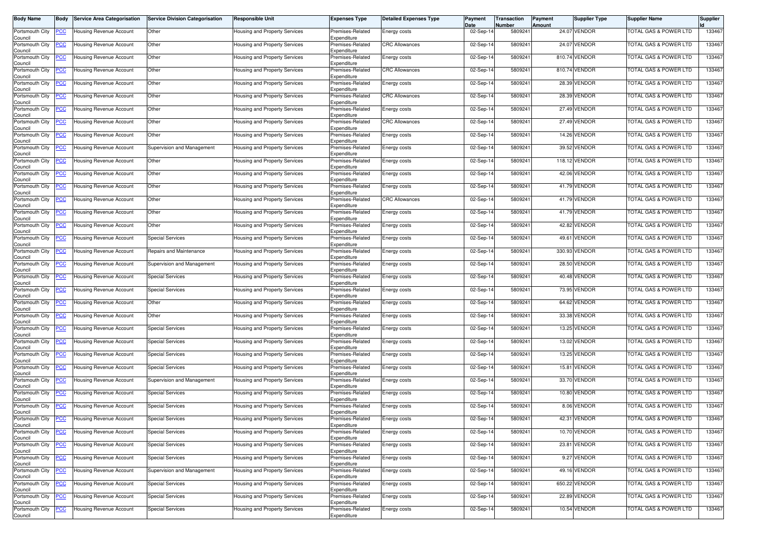| Body Name                  | Body       | <b>Service Area Categorisation</b> | <b>Service Division Categorisation</b> | <b>Responsible Unit</b>              | <b>Expenses Type</b>            | <b>Detailed Expenses Type</b> | Payment<br>Date | Transaction<br>Number | Payment<br>Amount | <b>Supplier Type</b> | <b>Supplier Name</b>             | <b>Supplier</b> |
|----------------------------|------------|------------------------------------|----------------------------------------|--------------------------------------|---------------------------------|-------------------------------|-----------------|-----------------------|-------------------|----------------------|----------------------------------|-----------------|
| Portsmouth City<br>Council | <u>'CC</u> | Housing Revenue Account            | Other                                  | Housing and Property Services        | Premises-Related<br>Expenditure | Energy costs                  | 02-Sep-14       | 5809241               |                   | 24.07 VENDOR         | <b>FOTAL GAS &amp; POWER LTD</b> | 133467          |
| Portsmouth City<br>Council | <u>'CC</u> | Housing Revenue Account            | Other                                  | Housing and Property Services        | Premises-Related<br>Expenditure | <b>CRC Allowances</b>         | 02-Sep-1        | 580924                |                   | 24.07 VENDOR         | <b>FOTAL GAS &amp; POWER LTD</b> | 133467          |
| Portsmouth City<br>Council | <u>cc</u>  | Housing Revenue Account            | Other                                  | Housing and Property Services        | Premises-Related<br>Expenditure | Energy costs                  | 02-Sep-14       | 580924                |                   | 810.74 VENDOR        | <b>FOTAL GAS &amp; POWER LTD</b> | 133467          |
| Portsmouth City<br>Council | <u>'СС</u> | <b>Housing Revenue Account</b>     | Other                                  | Housing and Property Services        | Premises-Related<br>Expenditure | <b>CRC Allowances</b>         | 02-Sep-14       | 5809241               |                   | 810.74 VENDOR        | <b>FOTAL GAS &amp; POWER LTD</b> | 133467          |
| Portsmouth City<br>Council | <u>'CC</u> | Housing Revenue Account            | Other                                  | Housing and Property Services        | Premises-Related<br>Expenditure | Energy costs                  | 02-Sep-14       | 580924                |                   | 28.39 VENDOR         | <b>FOTAL GAS &amp; POWER LTD</b> | 133467          |
| Portsmouth City<br>Council | <u>'СС</u> | Housing Revenue Account            | Other                                  | Housing and Property Services        | Premises-Related<br>Expenditure | <b>CRC Allowances</b>         | 02-Sep-14       | 5809241               |                   | 28.39 VENDOR         | TOTAL GAS & POWER LTD            | 133467          |
| Portsmouth City<br>Council | <u>сс</u>  | <b>Housing Revenue Account</b>     | Other                                  | Housing and Property Services        | Premises-Related<br>Expenditure | Energy costs                  | 02-Sep-14       | 580924                |                   | 27.49 VENDOR         | <b>FOTAL GAS &amp; POWER LTD</b> | 133467          |
| Portsmouth City<br>Council | <u>CC </u> | <b>Housing Revenue Account</b>     | Other                                  | Housing and Property Services        | Premises-Related<br>Expenditure | <b>CRC Allowances</b>         | 02-Sep-1        | 5809241               |                   | 27.49 VENDOR         | <b>FOTAL GAS &amp; POWER LTD</b> | 133467          |
| Portsmouth City<br>Council | <u>cc</u>  | Housing Revenue Account            | Other                                  | Housing and Property Services        | Premises-Related<br>Expenditure | Energy costs                  | 02-Sep-14       | 5809241               |                   | 14.26 VENDOR         | <b>FOTAL GAS &amp; POWER LTD</b> | 133467          |
| Portsmouth City<br>Council | <u>'CC</u> | Housing Revenue Account            | Supervision and Management             | Housing and Property Services        | Premises-Related<br>Expenditure | <b>Energy costs</b>           | 02-Sep-14       | 580924                |                   | 39.52 VENDOR         | <b>FOTAL GAS &amp; POWER LTD</b> | 133467          |
| Portsmouth City<br>Council | <u>'СС</u> | Housing Revenue Account            | Other                                  | Housing and Property Services        | Premises-Related<br>Expenditure | Energy costs                  | 02-Sep-14       | 580924                |                   | 118.12 VENDOR        | <b>FOTAL GAS &amp; POWER LTD</b> | 133467          |
| Portsmouth City<br>Council | <u>'СС</u> | Housing Revenue Account            | Other                                  | Housing and Property Services        | Premises-Related<br>Expenditure | Energy costs                  | 02-Sep-14       | 5809241               |                   | 42.06 VENDOR         | FOTAL GAS & POWER LTD            | 133467          |
| Portsmouth City<br>Council | <u>'СС</u> | Housing Revenue Account            | Other                                  | Housing and Property Services        | Premises-Related<br>Expenditure | Energy costs                  | 02-Sep-14       | 580924                |                   | 41.79 VENDOR         | <b>FOTAL GAS &amp; POWER LTD</b> | 133467          |
| Portsmouth City<br>Council | <u>'СС</u> | <b>Housing Revenue Account</b>     | Other                                  | Housing and Property Services        | Premises-Related<br>Expenditure | <b>CRC Allowances</b>         | 02-Sep-14       | 5809241               |                   | 41.79 VENDOR         | FOTAL GAS & POWER LTD            | 133467          |
| Portsmouth City<br>Council | <u>'CC</u> | Housing Revenue Account            | Other                                  | Housing and Property Services        | Premises-Related<br>Expenditure | Energy costs                  | 02-Sep-1        | 580924                |                   | 41.79 VENDOR         | <b>FOTAL GAS &amp; POWER LTD</b> | 133467          |
| Portsmouth City<br>Council | <u>'СС</u> | <b>Housing Revenue Account</b>     | Other                                  | Housing and Property Services        | Premises-Related<br>Expenditure | Energy costs                  | 02-Sep-14       | 580924                |                   | 42.82 VENDOR         | <b>FOTAL GAS &amp; POWER LTD</b> | 133467          |
| Portsmouth City<br>Council | <u>CC</u>  | Housing Revenue Account            | <b>Special Services</b>                | Housing and Property Services        | Premises-Related<br>Expenditure | Energy costs                  | 02-Sep-14       | 5809241               |                   | 49.61 VENDOR         | <b>FOTAL GAS &amp; POWER LTD</b> | 133467          |
| Portsmouth City<br>Council | <u>'CC</u> | Housing Revenue Account            | Repairs and Maintenance                | Housing and Property Services        | Premises-Related<br>Expenditure | <b>Energy costs</b>           | 02-Sep-14       | 5809241               |                   | 330.93 VENDOR        | <b>FOTAL GAS &amp; POWER LTD</b> | 133467          |
| Portsmouth City<br>Council | <u>cc</u>  | Housing Revenue Account            | Supervision and Management             | Housing and Property Services        | Premises-Related<br>Expenditure | Energy costs                  | 02-Sep-1        | 580924                |                   | 28.50 VENDOR         | <b>FOTAL GAS &amp; POWER LTD</b> | 133467          |
| Portsmouth City<br>Council | <u>'CC</u> | Housing Revenue Account            | <b>Special Services</b>                | Housing and Property Services        | Premises-Related<br>Expenditure | Energy costs                  | 02-Sep-14       | 5809241               |                   | 40.48 VENDOR         | <b>FOTAL GAS &amp; POWER LTD</b> | 133467          |
| Portsmouth City<br>Council | <u>'СС</u> | Housing Revenue Account            | <b>Special Services</b>                | Housing and Property Services        | Premises-Related<br>Expenditure | Energy costs                  | 02-Sep-14       | 580924                |                   | 73.95 VENDOR         | <b>FOTAL GAS &amp; POWER LTD</b> | 133467          |
| Portsmouth City<br>Council | <u>'СС</u> | Housing Revenue Account            | Other                                  | Housing and Property Services        | Premises-Related<br>Expenditure | <b>Energy costs</b>           | 02-Sep-14       | 5809241               |                   | 64.62 VENDOR         | <b>FOTAL GAS &amp; POWER LTD</b> | 133467          |
| Portsmouth City<br>Council | <u>CC</u>  | Jousing Revenue Account            | Other                                  | Housing and Property Services        | Premises-Related<br>Expenditure | Energy costs                  | 02-Sep-1        | 580924                |                   | 33.38 VENDOR         | <b>FOTAL GAS &amp; POWER LTD</b> | 133467          |
| Portsmouth City<br>Council | <u>cc</u>  | Housing Revenue Account            | <b>Special Services</b>                | Housing and Property Services        | Premises-Related<br>Expenditure | Energy costs                  | 02-Sep-14       | 5809241               |                   | 13.25 VENDOR         | <b>FOTAL GAS &amp; POWER LTD</b> | 133467          |
| Portsmouth City<br>Council | <u>cc</u>  | Housing Revenue Account            | Special Services                       | Housing and Property Services        | Premises-Related<br>Expenditure | Energy costs                  | 02-Sep-14       | 580924                |                   | 13.02 VENDOR         | FOTAL GAS & POWER LTD            | 133467          |
| Portsmouth City<br>Council | <u>'CC</u> | Housing Revenue Account            | <b>Special Services</b>                | Housing and Property Services        | Premises-Related<br>Expenditure | Energy costs                  | 02-Sep-14       | 5809241               |                   | 13.25 VENDOR         | <b>FOTAL GAS &amp; POWER LTD</b> | 133467          |
| Portsmouth City<br>Council | <u>'СС</u> | <b>Housing Revenue Account</b>     | <b>Special Services</b>                | Housing and Property Services        | Premises-Related<br>Expenditure | <b>Energy costs</b>           | 02-Sep-14       | 5809241               |                   | 15.81 VENDOR         | TOTAL GAS & POWER LTD            | 133467          |
| Portsmouth City<br>Council | <u>сс</u>  | Jousing Revenue Account            | Supervision and Management             | Housing and Property Services        | Premises-Related<br>Expenditure | Energy costs                  | 02-Sep-14       | 580924                |                   | 33.70 VENDOR         | <b>FOTAL GAS &amp; POWER LTD</b> | 133467          |
| Portsmouth City<br>Council | <u>'СС</u> | Housing Revenue Account            | <b>Special Services</b>                | Housing and Property Services        | Premises-Related<br>Expenditure | Energy costs                  | 02-Sep-1        | 5809241               |                   | 10.80 VENDOR         | <b>FOTAL GAS &amp; POWER LTD</b> | 133467          |
| Portsmouth City<br>Council | <u>'СС</u> | <b>Housing Revenue Account</b>     | <b>Special Services</b>                | Housing and Property Services        | Premises-Related<br>Expenditure | Energy costs                  | 02-Sep-14       | 5809241               |                   | 8.06 VENDOR          | <b>FOTAL GAS &amp; POWER LTD</b> | 133467          |
| Portsmouth City<br>Council | <b>PCC</b> | Housing Revenue Account            | <b>Special Services</b>                | Housing and Property Services        | Premises-Related<br>Expenditure | Energy costs                  | 02-Sep-14       | 5809241               |                   | 42.31 VENDOR         | TOTAL GAS & POWER LTD            | 133467          |
| Portsmouth City<br>Council | <u>CC</u>  | <b>Housing Revenue Account</b>     | <b>Special Services</b>                | Housing and Property Services        | Premises-Related<br>Expenditure | Energy costs                  | 02-Sep-14       | 5809241               |                   | 10.70 VENDOR         | TOTAL GAS & POWER LTD            | 133467          |
| Portsmouth City<br>Council | <u>'CC</u> | <b>Housing Revenue Account</b>     | <b>Special Services</b>                | Housing and Property Services        | Premises-Related<br>Expenditure | Energy costs                  | 02-Sep-14       | 5809241               |                   | 23.81 VENDOR         | <b>FOTAL GAS &amp; POWER LTD</b> | 133467          |
| Portsmouth City<br>Council | <u>CC</u>  | <b>Housing Revenue Account</b>     | <b>Special Services</b>                | Housing and Property Services        | Premises-Related<br>Expenditure | Energy costs                  | 02-Sep-14       | 5809241               |                   | 9.27 VENDOR          | <b>FOTAL GAS &amp; POWER LTD</b> | 133467          |
| Portsmouth City<br>Council | <u>'CC</u> | Housing Revenue Account            | Supervision and Management             | Housing and Property Services        | Premises-Related<br>Expenditure | Energy costs                  | 02-Sep-14       | 5809241               |                   | 49.16 VENDOR         | TOTAL GAS & POWER LTD            | 133467          |
| Portsmouth City<br>Council | <u>'CC</u> | Housing Revenue Account            | <b>Special Services</b>                | Housing and Property Services        | Premises-Related<br>Expenditure | Energy costs                  | 02-Sep-14       | 5809241               |                   | 650.22 VENDOR        | <b>FOTAL GAS &amp; POWER LTD</b> | 133467          |
| Portsmouth City<br>Council | <u>'CC</u> | Housing Revenue Account            | <b>Special Services</b>                | <b>Housing and Property Services</b> | Premises-Related<br>Expenditure | Energy costs                  | 02-Sep-14       | 5809241               |                   | 22.89 VENDOR         | <b>FOTAL GAS &amp; POWER LTD</b> | 133467          |
| Portsmouth City<br>Council | <u>cc</u>  | Housing Revenue Account            | <b>Special Services</b>                | Housing and Property Services        | Premises-Related<br>Expenditure | Energy costs                  | 02-Sep-14       | 5809241               |                   | 10.54 VENDOR         | <b>FOTAL GAS &amp; POWER LTD</b> | 133467          |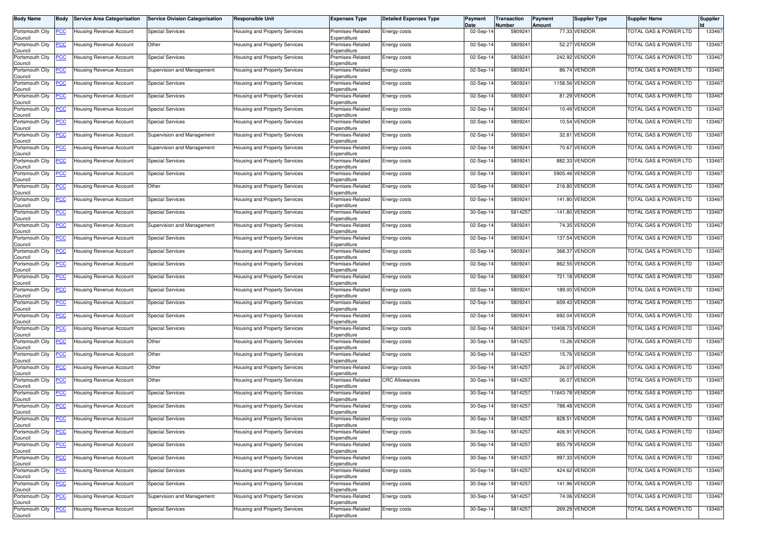| Body Name                             | <b>Body</b>    | <b>Service Area Categorisation</b>  | <b>Service Division Categorisation</b> | <b>Responsible Unit</b>              | <b>Expenses Type</b>                           | Detailed Expenses Type | Payment<br>Date | Transaction<br>Number | Payment<br>Amount | Supplier Type  | <b>Supplier Name</b>             | Supplier |
|---------------------------------------|----------------|-------------------------------------|----------------------------------------|--------------------------------------|------------------------------------------------|------------------------|-----------------|-----------------------|-------------------|----------------|----------------------------------|----------|
| Portsmouth City<br>Council            | <u>PCC</u>     | Housing Revenue Account             | <b>Special Services</b>                | Housing and Property Services        | Premises-Related<br>Expenditure                | Energy costs           | 02-Sep-14       | 5809241               |                   | 77.33 VENDOR   | <b>FOTAL GAS &amp; POWER LTD</b> | 133467   |
| Portsmouth City<br>Council            |                | Jousing Revenue Account             | Other                                  | Housing and Property Services        | Premises-Related<br>Expenditure                | Energy costs           | 02-Sep-1        | 580924                | 52.27             | <b>VENDOR</b>  | TOTAL GAS & POWER LTD            | 133467   |
| Portsmouth City<br>Council            | <u>PCC</u>     | lousing Revenue Account             | <b>Special Services</b>                | Housing and Property Services        | Premises-Related<br>Expenditure                | Energy costs           | 02-Sep-14       | 580924                | 242.92            | <b>VENDOR</b>  | <b>FOTAL GAS &amp; POWER LTD</b> | 133467   |
| Portsmouth City<br>Council            | <u>PCC</u>     | <b>Housing Revenue Account</b>      | Supervision and Management             | Housing and Property Services        | Premises-Related<br>Expenditure                | Energy costs           | 02-Sep-14       | 580924                | 86.74             | VENDOR         | TOTAL GAS & POWER LTD            | 133467   |
| Portsmouth City<br>Council            | <u>PCC</u>     | lousing Revenue Account             | <b>Special Services</b>                | <b>Housing and Property Services</b> | Premises-Related<br>Expenditure                | Energy costs           | 02-Sep-14       | 580924                | 1158.56           | VENDOR         | <b>FOTAL GAS &amp; POWER LTD</b> | 133467   |
| Portsmouth City<br>Council            | <u>PCC</u>     | Housing Revenue Account             | <b>Special Services</b>                | Housing and Property Services        | Premises-Related<br>Expenditure                | Energy costs           | 02-Sep-14       | 580924                |                   | 81.29 VENDOR   | TOTAL GAS & POWER LTD            | 133467   |
| Portsmouth City<br>Council            | <b>PCC</b>     | lousing Revenue Account             | <b>Special Services</b>                | <b>Housing and Property Services</b> | Premises-Related<br>Expenditure                | Energy costs           | 02-Sep-14       | 580924                |                   | 10.49 VENDOR   | TOTAL GAS & POWER LTD            | 133467   |
| Portsmouth City<br>Council            |                | Housing Revenue Account             | <b>Special Services</b>                | Housing and Property Services        | Premises-Related<br>Expenditure                | Energy costs           | 02-Sep-1        | 580924                | 10.54             | VENDOR         | <b>TOTAL GAS &amp; POWER LTD</b> | 133467   |
| Portsmouth City<br>Council            | <u>CC</u>      | Housing Revenue Account             | Supervision and Management             | Housing and Property Services        | Premises-Related<br>Expenditure                | Energy costs           | 02-Sep-14       | 580924                | 32.81             | /ENDOR         | <b>FOTAL GAS &amp; POWER LTD</b> | 133467   |
| Portsmouth City<br>Council            | <u>PCC</u>     | Housing Revenue Account             | Supervision and Management             | Housing and Property Services        | Premises-Related<br>Expenditure                | Energy costs           | 02-Sep-14       | 580924                | 70.67             | <b>VENDOR</b>  | <b>FOTAL GAS &amp; POWER LTD</b> | 133467   |
| Portsmouth City<br>Council            | <u>PCC</u>     | Housing Revenue Account             | <b>Special Services</b>                | <b>Housing and Property Services</b> | Premises-Related<br>Expenditure                | Energy costs           | 02-Sep-14       | 580924                | 882.33            | <b>/ENDOR</b>  | TOTAL GAS & POWER LTD            | 133467   |
| Portsmouth City<br>Council            |                | Housing Revenue Account             | <b>Special Services</b>                | Housing and Property Services        | Premises-Related<br>Expenditure                | Energy costs           | 02-Sep-14       | 580924                |                   | 5905.46 VENDOR | TOTAL GAS & POWER LTD            | 133467   |
| Portsmouth City<br>Council            | <u>PCC</u>     | Housing Revenue Account             | Other                                  | Housing and Property Services        | Premises-Related<br>Expenditure                | Energy costs           | 02-Sep-14       | 580924                | 216.80            | VENDOR         | <b>FOTAL GAS &amp; POWER LTD</b> | 133467   |
| Portsmouth City                       | <u>PCC</u>     | Housing Revenue Account             | <b>Special Services</b>                | Housing and Property Services        | Premises-Related<br>Expenditure                | Energy costs           | 02-Sep-14       | 580924                | 141.80            | <b>VENDOR</b>  | TOTAL GAS & POWER LTD            | 133467   |
| Council<br>Portsmouth City<br>Council | <u>PCC</u>     | lousing Revenue Account             | <b>Special Services</b>                | Housing and Property Services        | Premises-Related<br>Expenditure                | Energy costs           | 30-Sep-14       | 581425                | $-141.80$         | VENDOR         | <b>FOTAL GAS &amp; POWER LTD</b> | 133467   |
| Portsmouth City<br>Council            | <u>PCC</u>     | <b>Housing Revenue Account</b>      | Supervision and Management             | Housing and Property Services        | Premises-Related<br>Expenditure                | Energy costs           | 02-Sep-14       | 580924                |                   | 74.35 VENDOR   | TOTAL GAS & POWER LTD            | 133467   |
| Portsmouth City                       | <u>PCC</u>     | Housing Revenue Account             | <b>Special Services</b>                | Housing and Property Services        | Premises-Related                               | Energy costs           | 02-Sep-14       | 580924                | 137.54            | <b>/ENDOR</b>  | <b>FOTAL GAS &amp; POWER LTD</b> | 133467   |
| Council<br>Portsmouth City<br>Council | <u>PCC</u>     | Housing Revenue Account             | <b>Special Services</b>                | Housing and Property Services        | Expenditure<br>Premises-Related<br>Expenditure | Energy costs           | 02-Sep-14       | 580924                | 368.37            | <b>VENDOR</b>  | <b>FOTAL GAS &amp; POWER LTD</b> | 133467   |
| Portsmouth City<br>Council            | <u>PCC</u>     | Housing Revenue Account             | Special Services                       | <b>Housing and Property Services</b> | Premises-Related<br>Expenditure                | Energy costs           | 02-Sep-1        | 580924                | 862.55            | <b>VENDOR</b>  | TOTAL GAS & POWER LTD            | 133467   |
| Portsmouth City<br>Council            |                | Housing Revenue Account             | <b>Special Services</b>                | <b>Housing and Property Services</b> | Premises-Related<br>Expenditure                | Energy costs           | 02-Sep-14       | 580924                | 721.18            | <b>VENDOR</b>  | TOTAL GAS & POWER LTD            | 133467   |
| Portsmouth City<br>Council            | <u>PCC</u>     | Housing Revenue Account             | <b>Special Services</b>                | Housing and Property Services        | Premises-Related<br>Expenditure                | Energy costs           | 02-Sep-14       | 580924                | 189.00            | VENDOR         | <b>FOTAL GAS &amp; POWER LTD</b> | 133467   |
| Portsmouth City<br>Council            | <u>PCC</u>     | Housing Revenue Account             | <b>Special Services</b>                | Housing and Property Services        | Premises-Related<br>Expenditure                | Energy costs           | 02-Sep-14       | 580924                | 659.43            | VENDOR         | TOTAL GAS & POWER LTD            | 133467   |
| Portsmouth City<br>Council            | <u>PCC</u>     | <del>l</del> ousing Revenue Account | <b>Special Services</b>                | Housing and Property Services        | Premises-Related<br>Expenditure                | Energy costs           | 02-Sep-14       | 580924                | 692.04            | VENDOR         | TOTAL GAS & POWER LTD            | 133467   |
| Portsmouth City<br>Council            | <u>PCC</u>     | Housing Revenue Account             | <b>Special Services</b>                | <b>Housing and Property Services</b> | Premises-Related<br>Expenditure                | Energy costs           | 02-Sep-14       | 580924                | 10408.7           | VENDOR         | <b>FOTAL GAS &amp; POWER LTD</b> | 133467   |
| Portsmouth City<br>Council            | PСC            | Housing Revenue Account             | Other                                  | Housing and Property Services        | Premises-Related<br>Expenditure                | Energy costs           | 30-Sep-14       | 581425                | 15.26             | <b>VENDOR</b>  | TOTAL GAS & POWER LTD            | 133467   |
| Portsmouth City<br>Council            | <u>PCC</u>     | Housing Revenue Account             | Other                                  | Housing and Property Services        | Premises-Related<br>Expenditure                | Energy costs           | 30-Sep-14       | 581425                |                   | 15.76 VENDOR   | <b>FOTAL GAS &amp; POWER LTD</b> | 133467   |
| Portsmouth City<br>Council            |                | Housing Revenue Account             | Other                                  | Housing and Property Services        | Premises-Related<br>Expenditure                | Energy costs           | 30-Sep-14       | 581425                | 26.07             | <b>VENDOR</b>  | TOTAL GAS & POWER LTD            | 133467   |
| Portsmouth City<br>Council            | <u>PCC</u>     | lousing Revenue Account             | Other                                  | Housing and Property Services        | Premises-Related<br>Expenditure                | <b>CRC Allowances</b>  | 30-Sep-14       | 581425                | 26.07             | VENDOR         | <b>FOTAL GAS &amp; POWER LTD</b> | 133467   |
| Portsmouth City<br>Council            | <u>PCC</u>     | Housing Revenue Account             | <b>Special Services</b>                | <b>Housing and Property Services</b> | Premises-Related<br>Expenditure                | Energy costs           | 30-Sep-1        | 581425                | 11643.78          | VENDOR         | <b>TOTAL GAS &amp; POWER LTD</b> | 133467   |
| Portsmouth City<br>Council            | <u>PCC</u>     | <b>Housing Revenue Account</b>      | <b>Special Services</b>                | <b>Housing and Property Services</b> | Premises-Related<br>Expenditure                | Energy costs           | 30-Sep-14       | 581425                | 788.48            | <b>/ENDOR</b>  | <b>TOTAL GAS &amp; POWER LTD</b> | 133467   |
| Portsmouth City<br>Council            | <b>PCC</b>     | <b>Housing Revenue Account</b>      | <b>Special Services</b>                | Housing and Property Services        | Premises-Related<br>Expenditure                | Energy costs           | 30-Sep-14       | 5814257               |                   | 828.51 VENDOR  | TOTAL GAS & POWER LTD            | 133467   |
| Portsmouth City<br>Council            | <u>PCC</u>     | <b>Housing Revenue Account</b>      | <b>Special Services</b>                | Housing and Property Services        | Premises-Related<br>Expenditure                | Energy costs           | 30-Sep-14       | 5814257               | 406.91            | VENDOR         | <b>TOTAL GAS &amp; POWER LTD</b> | 133467   |
| Portsmouth City<br>Council            | <u>PCC</u>     | Housing Revenue Account             | <b>Special Services</b>                | <b>Housing and Property Services</b> | Premises-Related<br>Expenditure                | Energy costs           | 30-Sep-14       | 5814257               |                   | 855.79 VENDOR  | TOTAL GAS & POWER LTD            | 133467   |
| Portsmouth City<br>Council            | $\overline{C}$ | Housing Revenue Account             | <b>Special Services</b>                | Housing and Property Services        | Premises-Related<br>Expenditure                | Energy costs           | 30-Sep-14       | 5814257               |                   | 997.33 VENDOR  | <b>FOTAL GAS &amp; POWER LTD</b> | 133467   |
| Portsmouth City<br>Council            | <u>PCC</u>     | Housing Revenue Account             | <b>Special Services</b>                | Housing and Property Services        | Premises-Related<br>Expenditure                | Energy costs           | 30-Sep-14       | 5814257               |                   | 424.62 VENDOR  | TOTAL GAS & POWER LTD            | 133467   |
| Portsmouth City<br>Council            | <u>PCC </u>    | Housing Revenue Account             | <b>Special Services</b>                | Housing and Property Services        | Premises-Related<br>Expenditure                | Energy costs           | 30-Sep-14       | 5814257               |                   | 141.96 VENDOR  | TOTAL GAS & POWER LTD            | 133467   |
| Portsmouth City<br>Council            |                | Housing Revenue Account             | Supervision and Management             | Housing and Property Services        | Premises-Related<br>Expenditure                | Energy costs           | 30-Sep-14       | 581425                |                   | 74.06 VENDOR   | <b>FOTAL GAS &amp; POWER LTD</b> | 133467   |
| Portsmouth City<br>Council            | <u>PCC</u>     | Housing Revenue Account             | <b>Special Services</b>                | Housing and Property Services        | Premises-Related<br>Expenditure                | Energy costs           | 30-Sep-14       | 5814257               |                   | 269.29 VENDOR  | TOTAL GAS & POWER LTD            | 133467   |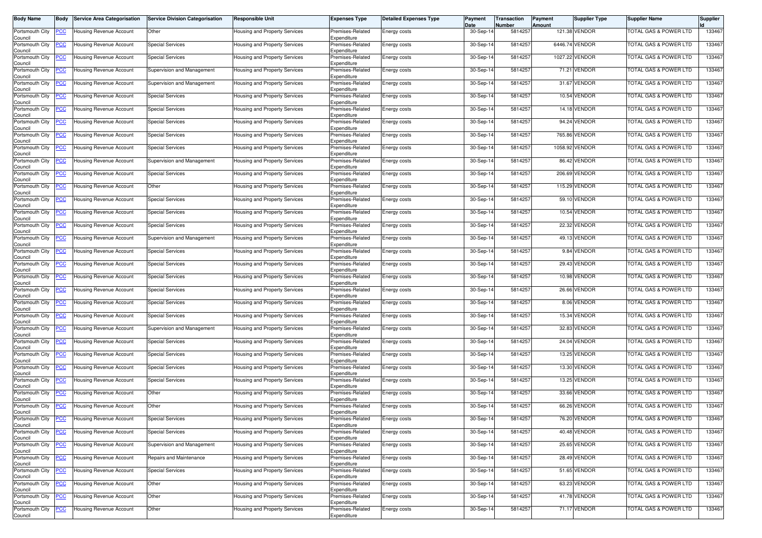| Body Name                  | Body           | <b>Service Area Categorisation</b>                 | <b>Service Division Categorisation</b> | Responsible Unit                     | <b>Expenses Type</b>            | <b>Detailed Expenses Type</b> | Payment<br>Date | Transaction<br>Number | Payment<br>Amount | Supplier Type  | <b>Supplier Name</b>             | Supplier |
|----------------------------|----------------|----------------------------------------------------|----------------------------------------|--------------------------------------|---------------------------------|-------------------------------|-----------------|-----------------------|-------------------|----------------|----------------------------------|----------|
| Portsmouth City<br>Council | <u>'СС</u>     | <b>Housing Revenue Account</b>                     | Other                                  | <b>Housing and Property Services</b> | Premises-Related<br>Expenditure | Energy costs                  | 30-Sep-14       | 5814257               |                   | 121.38 VENDOR  | TOTAL GAS & POWER LTD            | 133467   |
| Portsmouth City<br>Council | <u>'CC</u>     | <b>Housing Revenue Account</b>                     | <b>Special Services</b>                | <b>Housing and Property Services</b> | Premises-Related<br>Expenditure | Energy costs                  | 30-Sep-14       | 581425                |                   | 6446.74 VENDOR | <b>FOTAL GAS &amp; POWER LTD</b> | 133467   |
| Portsmouth City<br>Council | <u>'СС</u>     | Housing Revenue Account                            | <b>Special Services</b>                | Housing and Property Services        | Premises-Related<br>Expenditure | Energy costs                  | 30-Sep-14       | 581425                | 1027.22           | VENDOR         | <b>TOTAL GAS &amp; POWER LTD</b> | 133467   |
| Portsmouth City<br>Council | <u>'CC</u>     | Housing Revenue Account                            | Supervision and Management             | <b>Housing and Property Services</b> | Premises-Related<br>Expenditure | Energy costs                  | 30-Sep-14       | 581425                | 71.21             | VENDOR         | <b>FOTAL GAS &amp; POWER LTD</b> | 133467   |
| Portsmouth City<br>Council | <u>'CC</u>     | Housing Revenue Account                            | Supervision and Management             | Housing and Property Services        | Premises-Related<br>Expenditure | Energy costs                  | 30-Sep-14       | 581425                | 31.67             | VENDOR         | TOTAL GAS & POWER LTD            | 133467   |
| ortsmouth City?<br>Council | <u>'СС</u>     | Housing Revenue Account                            | <b>Special Services</b>                | Housing and Property Services        | Premises-Related<br>Expenditure | Energy costs                  | 30-Sep-14       | 5814257               | 10.54             | <b>VENDOR</b>  | TOTAL GAS & POWER LTD            | 133467   |
| Portsmouth City<br>Council | <u>CC</u>      | Housing Revenue Account                            | <b>Special Services</b>                | lousing and Property Services        | Premises-Related<br>Expenditure | Energy costs                  | 30-Sep-14       | 5814257               |                   | 14.18 VENDOR   | TOTAL GAS & POWER LTD            | 133467   |
| Portsmouth City<br>Council | <u>'CC</u>     | Housing Revenue Account                            | <b>Special Services</b>                | Housing and Property Services        | Premises-Related<br>Expenditure | Energy costs                  | 30-Sep-14       | 581425                | 94.24             | VENDOR         | <b>FOTAL GAS &amp; POWER LTD</b> | 133467   |
| Portsmouth City<br>Council | <u>'СС</u>     | Housing Revenue Account                            | <b>Special Services</b>                | Housing and Property Services        | Premises-Related<br>Expenditure | Energy costs                  | 30-Sep-14       | 5814257               | 765.86            | VENDOR         | TOTAL GAS & POWER LTD            | 133467   |
| Portsmouth City<br>Council | <u>'CC</u>     | Housing Revenue Account                            | <b>Special Services</b>                | lousing and Property Services        | Premises-Related<br>Expenditure | Energy costs                  | 30-Sep-14       | 5814257               |                   | 1058.92 VENDOR | <b>FOTAL GAS &amp; POWER LTD</b> | 133467   |
| Portsmouth City<br>Council | <u>'СС</u>     | Housing Revenue Account                            | Supervision and Management             | Housing and Property Services        | Premises-Related<br>Expenditure | Energy costs                  | 30-Sep-14       | 5814257               | 86.42             | <b>VENDOR</b>  | <b>TOTAL GAS &amp; POWER LTD</b> | 133467   |
| Portsmouth City<br>Council | <u>'CC</u>     | Housing Revenue Account                            | <b>Special Services</b>                | lousing and Property Services        | Premises-Related<br>Expenditure | Energy costs                  | 30-Sep-14       | 5814257               |                   | 206.69 VENDOR  | <b>FOTAL GAS &amp; POWER LTD</b> | 133467   |
| Portsmouth City<br>Council | <u>'СС</u>     | Housing Revenue Account                            | Other                                  | lousing and Property Services        | Premises-Related<br>Expenditure | Energy costs                  | 30-Sep-14       | 581425                | 115.29            | <b>VENDOR</b>  | <b>FOTAL GAS &amp; POWER LTD</b> | 133467   |
| ortsmouth City<br>Council  | <u>cc</u>      | Housing Revenue Account                            | <b>Special Services</b>                | Housing and Property Services        | Premises-Related<br>Expenditure | Energy costs                  | 30-Sep-14       | 581425                | 59.10             | <b>VENDOR</b>  | <b>FOTAL GAS &amp; POWER LTD</b> | 133467   |
| Portsmouth City<br>Council | <u>PCC</u>     | Housing Revenue Account                            | <b>Special Services</b>                | <b>Housing and Property Services</b> | Premises-Related<br>Expenditure | Energy costs                  | 30-Sep-14       | 5814257               |                   | 10.54 VENDOR   | TOTAL GAS & POWER LTD            | 133467   |
| Portsmouth City<br>Council | <u>'СС</u>     | Housing Revenue Account                            | <b>Special Services</b>                | Housing and Property Services        | Premises-Related<br>Expenditure | Energy costs                  | 30-Sep-14       | 581425                | 22.32             | <b>VENDOR</b>  | TOTAL GAS & POWER LTD            | 133467   |
| Portsmouth City<br>Council | <u>cc</u>      | <b>Housing Revenue Account</b>                     | Supervision and Management             | <b>Housing and Property Services</b> | Premises-Related<br>Expenditure | Energy costs                  | 30-Sep-14       | 581425                |                   | 49.13 VENDOR   | <b>FOTAL GAS &amp; POWER LTD</b> | 133467   |
| Portsmouth City<br>Council | <u>CC</u>      | <b>Housing Revenue Account</b>                     | <b>Special Services</b>                | Housing and Property Services        | Premises-Related<br>Expenditure | Energy costs                  | 30-Sep-14       | 581425                | 9.84              | VENDOR         | <b>TOTAL GAS &amp; POWER LTD</b> | 133467   |
| Portsmouth City<br>Council | <u>'СС</u>     | Housing Revenue Account                            | <b>Special Services</b>                | Housing and Property Services        | Premises-Related<br>Expenditure | Energy costs                  | 30-Sep-14       | 581425                |                   | 29.43 VENDOR   | TOTAL GAS & POWER LTD            | 133467   |
| Portsmouth City<br>Council | <u>CC</u>      | <b>Housing Revenue Account</b>                     | <b>Special Services</b>                | lousing and Property Services        | Premises-Related<br>Expenditure | Energy costs                  | 30-Sep-14       | 581425                | 10.98             | <b>VENDOR</b>  | <b>FOTAL GAS &amp; POWER LTD</b> | 133467   |
| Portsmouth City<br>Council | <u>'СС</u>     | Housing Revenue Account                            | <b>Special Services</b>                | Housing and Property Services        | Premises-Related<br>Expenditure | Energy costs                  | 30-Sep-14       | 581425                | 26.66             | <b>VENDOR</b>  | <b>FOTAL GAS &amp; POWER LTD</b> | 133467   |
| Portsmouth City<br>Council | <u>cc</u>      | Housing Revenue Account                            | <b>Special Services</b>                | Housing and Property Services        | Premises-Related<br>Expenditure | Energy costs                  | 30-Sep-14       | 5814257               |                   | 8.06 VENDOR    | TOTAL GAS & POWER LTD            | 133467   |
| Portsmouth City<br>Council | <u>'CC</u>     | Housing Revenue Account                            | <b>Special Services</b>                | Housing and Property Services        | Premises-Related<br>Expenditure | Energy costs                  | 30-Sep-14       | 5814257               |                   | 15.34 VENDOR   | <b>FOTAL GAS &amp; POWER LTD</b> | 133467   |
| Portsmouth City<br>Council | <u>'СС</u>     | Housing Revenue Account                            | Supervision and Management             | Housing and Property Services        | Premises-Related<br>Expenditure | Energy costs                  | 30-Sep-14       | 581425                | 32.83             | VENDOR         | TOTAL GAS & POWER LTD            | 133467   |
| Portsmouth City<br>Council | <u>cc</u>      | Housing Revenue Account                            | <b>Special Services</b>                | Housing and Property Services        | Premises-Related<br>Expenditure | Energy costs                  | 30-Sep-14       | 581425                | 24.04             | <b>VENDOR</b>  | TOTAL GAS & POWER LTD            | 133467   |
| Portsmouth City<br>Council | <u>'СС</u>     | Housing Revenue Account                            | <b>Special Services</b>                | Housing and Property Services        | Premises-Related<br>Expenditure | Energy costs                  | 30-Sep-14       | 581425                |                   | 13.25 VENDOR   | <b>FOTAL GAS &amp; POWER LTD</b> | 133467   |
| Portsmouth City<br>Council | <u>'СС</u>     | Housing Revenue Account                            | <b>Special Services</b>                | Housing and Property Services        | Premises-Related<br>Expenditure | Energy costs                  | 30-Sep-14       | 5814257               |                   | 13.30 VENDOR   | TOTAL GAS & POWER LTD            | 133467   |
| Portsmouth City<br>Council | <u>CC</u>      | Housing Revenue Account                            | <b>Special Services</b>                | <b>Housing and Property Services</b> | Premises-Related<br>Expenditure | Energy costs                  | 30-Sep-14       | 581425                |                   | 13.25 VENDOR   | TOTAL GAS & POWER LTD            | 133467   |
| Portsmouth City<br>Council | <u>'СС</u>     | Housing Revenue Account                            | Other                                  | Housing and Property Services        | Premises-Related<br>Expenditure | Energy costs                  | 30-Sep-14       | 581425                |                   | 33.66 VENDOR   | <b>TOTAL GAS &amp; POWER LTD</b> | 133467   |
| Portsmouth City<br>Council | <u>'СС</u>     | Housing Revenue Account                            | Other                                  | Housing and Property Services        | Premises-Related<br>Expenditure | Energy costs                  | 30-Sep-14       | 5814257               | 66.26             | <b>VENDOR</b>  | <b>TOTAL GAS &amp; POWER LTD</b> | 133467   |
| Council                    |                | Portsmouth City <b>PCC</b> Housing Revenue Account | <b>Special Services</b>                | Housing and Property Services        | Premises-Related<br>Expenditure | Energy costs                  | 30-Sep-14       | 5814257               |                   | 76.20 VENDOR   | TOTAL GAS & POWER LTD            | 133467   |
| Portsmouth City<br>Council | <b>CC</b>      | Housing Revenue Account                            | <b>Special Services</b>                | Housing and Property Services        | Premises-Related<br>Expenditure | Energy costs                  | 30-Sep-14       | 5814257               |                   | 40.48 VENDOR   | TOTAL GAS & POWER LTD            | 133467   |
| Portsmouth City<br>Council | <u>'CC</u>     | <b>Housing Revenue Account</b>                     | Supervision and Management             | lousing and Property Services        | Premises-Related<br>Expenditure | Energy costs                  | 30-Sep-14       | 5814257               |                   | 25.65 VENDOR   | TOTAL GAS & POWER LTD            | 133467   |
| Portsmouth City<br>Council | $\overline{C}$ | <b>Housing Revenue Account</b>                     | Repairs and Maintenance                | lousing and Property Services        | Premises-Related<br>Expenditure | Energy costs                  | 30-Sep-14       | 5814257               |                   | 28.49 VENDOR   | TOTAL GAS & POWER LTD            | 133467   |
| Portsmouth City<br>Council | <u>'CC</u>     | <b>Housing Revenue Account</b>                     | <b>Special Services</b>                | lousing and Property Services        | Premises-Related<br>Expenditure | Energy costs                  | 30-Sep-14       | 5814257               |                   | 51.65 VENDOR   | <b>TOTAL GAS &amp; POWER LTD</b> | 133467   |
| Portsmouth City<br>Council | <u>CC</u>      | Housing Revenue Account                            | Other                                  | Housing and Property Services        | Premises-Related<br>Expenditure | Energy costs                  | 30-Sep-14       | 5814257               |                   | 63.23 VENDOR   | TOTAL GAS & POWER LTD            | 133467   |
| Portsmouth City<br>Council | <u>'CC</u>     | <b>Housing Revenue Account</b>                     | Other                                  | Housing and Property Services        | Premises-Related<br>Expenditure | Energy costs                  | 30-Sep-14       | 5814257               |                   | 41.78 VENDOR   | TOTAL GAS & POWER LTD            | 133467   |
| Portsmouth City<br>Council | <u>'CC</u>     | <b>Housing Revenue Account</b>                     | Other                                  | lousing and Property Services        | Premises-Related<br>Expenditure | Energy costs                  | 30-Sep-14       | 5814257               |                   | 71.17 VENDOR   | TOTAL GAS & POWER LTD            | 133467   |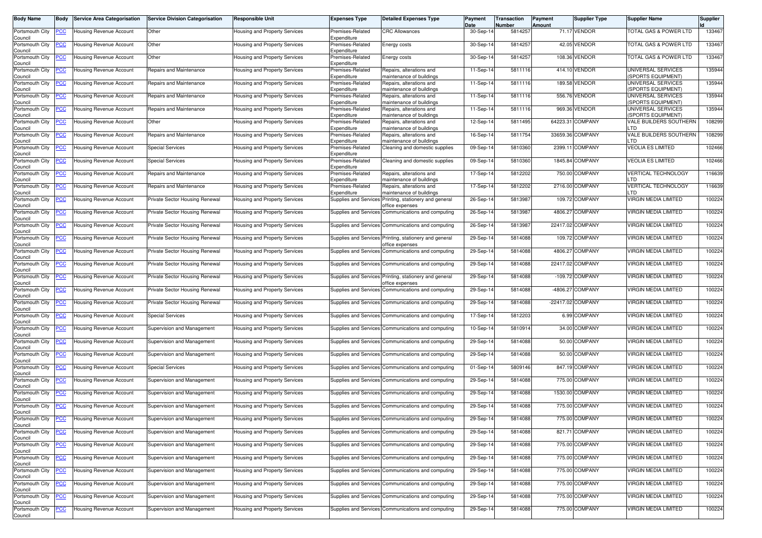| <b>Body Name</b>                      | Body           | <b>Service Area Categorisation</b> | <b>Service Division Categorisation</b> | <b>Responsible Unit</b>       | <b>Expenses Type</b>            | <b>Detailed Expenses Type</b>                                             | Payment<br>Date | Transaction<br>Number | Payment<br>Amount | <b>Supplier Type</b> | <b>Supplier Name</b>                           | <b>Supplier</b> |
|---------------------------------------|----------------|------------------------------------|----------------------------------------|-------------------------------|---------------------------------|---------------------------------------------------------------------------|-----------------|-----------------------|-------------------|----------------------|------------------------------------------------|-----------------|
| Portsmouth City<br>Council            | <u>'СС</u>     | Housing Revenue Account            | Other                                  | Housing and Property Services | Premises-Related<br>Expenditure | <b>CRC Allowances</b>                                                     | 30-Sep-14       | 5814257               |                   | 71.17 VENDOR         | <b>FOTAL GAS &amp; POWER LTD</b>               | 133467          |
| Portsmouth City<br>Council            | <u>'CC</u>     | Housing Revenue Account            | Other                                  | Housing and Property Services | Premises-Related<br>Expenditure | Energy costs                                                              | 30-Sep-14       | 5814257               |                   | 42.05 VENDOR         | FOTAL GAS & POWER LTD                          | 133467          |
| Portsmouth City<br>Council            | <u>'СС</u>     | Housing Revenue Account            | Other                                  | Housing and Property Services | Premises-Related<br>Expenditure | <b>Energy costs</b>                                                       | 30-Sep-14       | 5814257               |                   | 108.36 VENDOR        | FOTAL GAS & POWER LTD                          | 133467          |
| Portsmouth City<br>Council            | <u>'CC</u>     | Housing Revenue Account            | Repairs and Maintenance                | Housing and Property Services | Premises-Related<br>Expenditure | Repairs, alterations and<br>maintenance of buildings                      | 11-Sep-14       | 5811116               |                   | 414.10 VENDOR        | UNIVERSAL SERVICES<br><b>SPORTS EQUIPMENT)</b> | 135944          |
| Portsmouth City<br>Council            | <u>'CC</u>     | Housing Revenue Account            | Repairs and Maintenance                | Housing and Property Services | Premises-Related<br>Expenditure | Repairs, alterations and<br>maintenance of buildings                      | 11-Sep-14       | 5811116               |                   | 189.58 VENDOR        | UNIVERSAL SERVICES<br><b>SPORTS EQUIPMENT)</b> | 135944          |
| Portsmouth City<br>Council            | <u>'CC</u>     | Housing Revenue Account            | Repairs and Maintenance                | Housing and Property Services | Premises-Related<br>Expenditure | Repairs, alterations and<br>maintenance of buildings                      | 11-Sep-14       | 5811116               |                   | 556.76 VENDOR        | UNIVERSAL SERVICES<br><b>SPORTS EQUIPMENT)</b> | 135944          |
| Portsmouth City<br>Council            | <u>'CC</u>     | Housing Revenue Account            | Repairs and Maintenance                | Housing and Property Services | Premises-Related<br>Expenditure | Repairs, alterations and<br>maintenance of buildings                      | 11-Sep-14       | 5811116               |                   | 969.36 VENDOR        | UNIVERSAL SERVICES<br><b>SPORTS EQUIPMENT)</b> | 135944          |
| Portsmouth City<br>Council            | <u>'СС</u>     | Housing Revenue Account            | Other                                  | Housing and Property Services | Premises-Related<br>Expenditure | Repairs, alterations and<br>maintenance of buildings                      | 12-Sep-14       | 5811495               | 64223.31          | <b>COMPANY</b>       | VALE BUILDERS SOUTHERN<br>TD                   | 108299          |
| Portsmouth City<br>Council            | <u>'CC</u>     | Housing Revenue Account            | Repairs and Maintenance                | Housing and Property Services | Premises-Related<br>Expenditure | Repairs, alterations and<br>maintenance of buildings                      | 16-Sep-14       | 5811754               |                   | 33659.36 COMPANY     | VALE BUILDERS SOUTHERN<br>.TD                  | 108299          |
| Portsmouth City<br>Council            | <u>'CC</u>     | Housing Revenue Account            | <b>Special Services</b>                | Housing and Property Services | Premises-Related<br>Expenditure | Cleaning and domestic supplies                                            | 09-Sep-14       | 5810360               | 2399.11           | <b>COMPANY</b>       | <b>VEOLIA ES LIMITED</b>                       | 102466          |
| Portsmouth City<br>Council            | <u>'СС</u>     | Housing Revenue Account            | <b>Special Services</b>                | Housing and Property Services | Premises-Related<br>Expenditure | Cleaning and domestic supplies                                            | 09-Sep-14       | 5810360               |                   | 1845.84 COMPANY      | <b>VEOLIA ES LIMITED</b>                       | 102466          |
| Portsmouth City<br>Council            | <u>'CC</u>     | Housing Revenue Account            | Repairs and Maintenance                | Housing and Property Services | Premises-Related<br>Expenditure | Repairs, alterations and<br>maintenance of buildings                      | 17-Sep-14       | 5812202               |                   | 750.00 COMPANY       | VERTICAL TECHNOLOGY<br>.TD                     | 116639          |
| Portsmouth City                       | <u>'СС</u>     | Housing Revenue Account            | Repairs and Maintenance                | Housing and Property Services | Premises-Related<br>Expenditure | Repairs, alterations and<br>maintenance of buildings                      | 17-Sep-14       | 5812202               |                   | 2716.00 COMPANY      | <b>/ERTICAL TECHNOLOGY</b><br><b>TD</b>        | 116639          |
| Council<br>Portsmouth City            | <u>'СС</u>     | Housing Revenue Account            | Private Sector Housing Renewal         | Housing and Property Services | Supplies and Service:           | Printing, stationery and general<br>office expenses                       | 26-Sep-14       | 5813987               |                   | 109.72 COMPANY       | VIRGIN MEDIA LIMITED                           | 100224          |
| Council<br>Portsmouth City            | <u>PCC</u>     | Housing Revenue Account            | Private Sector Housing Renewal         | Housing and Property Services |                                 | Supplies and Services Communications and computing                        | 26-Sep-14       | 5813987               |                   | 4806.27 COMPANY      | VIRGIN MEDIA LIMITED                           | 100224          |
| Council<br>Portsmouth City            | <u>'СС</u>     | Housing Revenue Account            | Private Sector Housing Renewal         | Housing and Property Services |                                 | Supplies and Services Communications and computing                        | 26-Sep-14       | 5813987               |                   | 22417.02 COMPANY     | VIRGIN MEDIA LIMITED                           | 100224          |
| Council<br>Portsmouth City            | <u>'СС</u>     | Housing Revenue Account            | Private Sector Housing Renewal         | Housing and Property Services |                                 | Supplies and Services Printing, stationery and general                    | 29-Sep-14       | 5814088               |                   | 109.72 COMPANY       | <b>VIRGIN MEDIA LIMITED</b>                    | 100224          |
| Council<br>Portsmouth City            | <u>'CC</u>     | Housing Revenue Account            | Private Sector Housing Renewal         | Housing and Property Services |                                 | office expenses<br>Supplies and Services Communications and computing     | 29-Sep-14       | 5814088               |                   | 4806.27 COMPANY      | VIRGIN MEDIA LIMITED                           | 100224          |
| Council<br>Portsmouth City<br>Council | <u>CC </u>     | <b>Housing Revenue Account</b>     | Private Sector Housing Renewal         | Housing and Property Services |                                 | Supplies and Services Communications and computing                        | 29-Sep-14       | 5814088               |                   | 22417.02 COMPANY     | VIRGIN MEDIA LIMITED                           | 100224          |
| Portsmouth City<br>Council            | <u>'CC</u>     | Housing Revenue Account            | Private Sector Housing Renewal         | Housing and Property Services |                                 | Supplies and Services Printing, stationery and general<br>office expenses | 29-Sep-14       | 5814088               |                   | -109.72 COMPANY      | VIRGIN MEDIA LIMITED                           | 100224          |
| Portsmouth City<br>Council            | <u>'СС</u>     | Housing Revenue Account            | Private Sector Housing Renewal         | Housing and Property Services |                                 | Supplies and Services Communications and computing                        | 29-Sep-14       | 5814088               |                   | -4806.27 COMPANY     | VIRGIN MEDIA LIMITED                           | 100224          |
| Portsmouth City<br>Council            | <u>cc</u>      | Housing Revenue Account            | Private Sector Housing Renewal         | Housing and Property Services |                                 | Supplies and Services Communications and computing                        | 29-Sep-14       | 5814088               |                   | -22417.02 COMPANY    | VIRGIN MEDIA LIMITED                           | 100224          |
| Portsmouth City<br>Council            | <u>'CC</u>     | Housing Revenue Account            | <b>Special Services</b>                | Housing and Property Services |                                 | Supplies and Services Communications and computing                        | 17-Sep-14       | 5812203               |                   | 6.99 COMPANY         | VIRGIN MEDIA LIMITED                           | 100224          |
| Portsmouth City<br>Council            | <u>'СС</u>     | Housing Revenue Account            | Supervision and Management             | Housing and Property Services |                                 | Supplies and Services Communications and computing                        | 10-Sep-14       | 5810914               |                   | 34.00 COMPANY        | VIRGIN MEDIA LIMITED                           | 100224          |
| Portsmouth City<br>Council            | <u>'СС</u>     | Housing Revenue Account            | Supervision and Management             | Housing and Property Services |                                 | Supplies and Services Communications and computing                        | 29-Sep-14       | 5814088               |                   | 50.00 COMPANY        | VIRGIN MEDIA LIMITED                           | 100224          |
| Portsmouth City<br>Council            | <u>CC </u>     | Housing Revenue Account            | Supervision and Management             | Housing and Property Services |                                 | Supplies and Services Communications and computing                        | 29-Sep-14       | 5814088               |                   | 50.00 COMPANY        | VIRGIN MEDIA LIMITED                           | 100224          |
| Portsmouth City<br>Council            | <u>'СС</u>     | Housing Revenue Account            | <b>Special Services</b>                | Housing and Property Services |                                 | Supplies and Services Communications and computing                        | 01-Sep-14       | 5809146               |                   | 847.19 COMPANY       | <b>VIRGIN MEDIA LIMITED</b>                    | 100224          |
| Portsmouth City<br>Council            | <u>CC</u>      | Housing Revenue Account            | Supervision and Management             | Housing and Property Services |                                 | Supplies and Services Communications and computing                        | 29-Sep-1        | 5814088               |                   | 775.00 COMPANY       | VIRGIN MEDIA LIMITED                           | 100224          |
| Portsmouth City<br>Council            | <u>'СС</u>     | Housing Revenue Account            | Supervision and Management             | Housing and Property Services |                                 | Supplies and Services Communications and computing                        | 29-Sep-14       | 5814088               |                   | 1530.00 COMPANY      | VIRGIN MEDIA LIMITED                           | 100224          |
| Portsmouth City<br>Council            | <u>'СС</u>     | Housing Revenue Account            | Supervision and Management             | Housing and Property Services |                                 | Supplies and Services Communications and computing                        | 29-Sep-14       | 5814088               |                   | 775.00 COMPANY       | VIRGIN MEDIA LIMITED                           | 100224          |
| Portsmouth City<br>Council            | <b>PCC</b>     | <b>Housing Revenue Account</b>     | Supervision and Management             | Housing and Property Services |                                 | Supplies and Services Communications and computing                        | 29-Sep-14       | 5814088               |                   | 775.00 COMPANY       | <b>VIRGIN MEDIA LIMITED</b>                    | 100224          |
| Portsmouth City<br>Council            | <u>CC</u>      | <b>Housing Revenue Account</b>     | Supervision and Management             | Housing and Property Services |                                 | Supplies and Services Communications and computing                        | 29-Sep-14       | 5814088               |                   | 821.71 COMPANY       | <b>VIRGIN MEDIA LIMITED</b>                    | 100224          |
| Portsmouth City<br>Council            | <u>'CC</u>     | Housing Revenue Account            | Supervision and Management             | Housing and Property Services |                                 | Supplies and Services Communications and computing                        | 29-Sep-14       | 5814088               |                   | 775.00 COMPANY       | <b>VIRGIN MEDIA LIMITED</b>                    | 100224          |
| Portsmouth City<br>Council            | $\overline{C}$ | Housing Revenue Account            | Supervision and Management             | Housing and Property Services |                                 | Supplies and Services Communications and computing                        | 29-Sep-14       | 5814088               |                   | 775.00 COMPANY       | <b>VIRGIN MEDIA LIMITED</b>                    | 100224          |
| Portsmouth City<br>Council            | <u>'CC</u>     | <b>Housing Revenue Account</b>     | Supervision and Management             | Housing and Property Services |                                 | Supplies and Services Communications and computing                        | 29-Sep-14       | 5814088               |                   | 775.00 COMPANY       | VIRGIN MEDIA LIMITED                           | 100224          |
| Portsmouth City<br>Council            | <u>CC</u>      | Housing Revenue Account            | Supervision and Management             | Housing and Property Services |                                 | Supplies and Services Communications and computing                        | 29-Sep-14       | 5814088               |                   | 775.00 COMPANY       | VIRGIN MEDIA LIMITED                           | 100224          |
| Portsmouth City<br>Council            | <u>'CC</u>     | Housing Revenue Account            | Supervision and Management             | Housing and Property Services |                                 | Supplies and Services Communications and computing                        | 29-Sep-14       | 5814088               |                   | 775.00 COMPANY       | VIRGIN MEDIA LIMITED                           | 100224          |
| Portsmouth City<br>Council            | <u>PCC</u>     | Housing Revenue Account            | Supervision and Management             | Housing and Property Services |                                 | Supplies and Services Communications and computing                        | 29-Sep-14       | 5814088               |                   | 775.00 COMPANY       | VIRGIN MEDIA LIMITED                           | 100224          |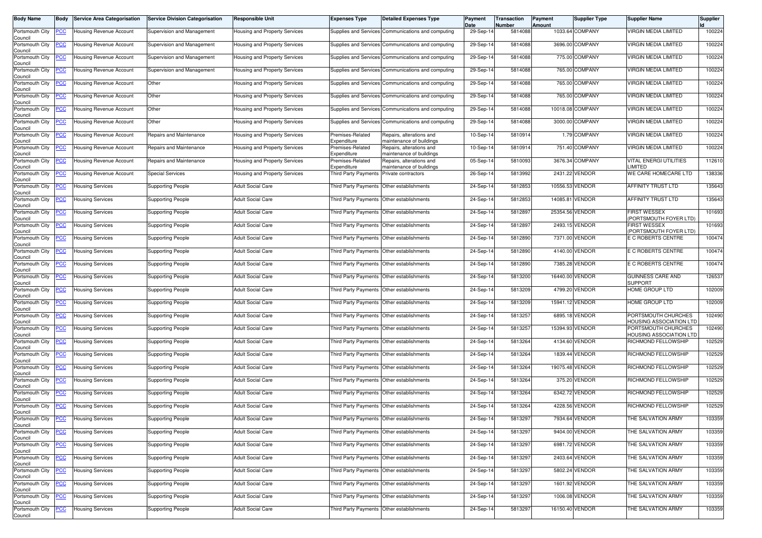| <b>Body Name</b>                              | <b>Body</b> | <b>Service Area Categorisation</b>          | <b>Service Division Categorisation</b> | <b>Responsible Unit</b>              | <b>Expenses Type</b>                      | <b>Detailed Expenses Type</b>                        | Payment<br>Date | Transaction<br>Number | Payment<br>Amount | <b>Supplier Type</b> | <b>Supplier Name</b>                           | <b>Supplier</b> |
|-----------------------------------------------|-------------|---------------------------------------------|----------------------------------------|--------------------------------------|-------------------------------------------|------------------------------------------------------|-----------------|-----------------------|-------------------|----------------------|------------------------------------------------|-----------------|
| Portsmouth City<br>Council                    | <b>PCC</b>  | Housing Revenue Account                     | Supervision and Management             | Housing and Property Services        |                                           | Supplies and Services Communications and computing   | 29-Sep-14       | 5814088               |                   | 1033.64 COMPANY      | <b>VIRGIN MEDIA LIMITED</b>                    | 100224          |
| Portsmouth City<br>Council                    | <u>PCC</u>  | Housing Revenue Account                     | Supervision and Management             | <b>Housing and Property Services</b> |                                           | Supplies and Services Communications and computing   | 29-Sep-14       | 5814088               |                   | 3696.00 COMPANY      | VIRGIN MEDIA LIMITED                           | 100224          |
| Portsmouth City<br>Council                    | <u>PCC</u>  | Housing Revenue Account                     | Supervision and Management             | Housing and Property Services        |                                           | Supplies and Services Communications and computing   | 29-Sep-14       | 5814088               |                   | 775.00 COMPANY       | <b>VIRGIN MEDIA LIMITED</b>                    | 100224          |
| Portsmouth City<br>Council                    | <u>PCC</u>  | Housing Revenue Account                     | Supervision and Management             | Housing and Property Services        |                                           | Supplies and Services Communications and computing   | 29-Sep-14       | 5814088               |                   | 765.00 COMPANY       | <b>VIRGIN MEDIA LIMITED</b>                    | 100224          |
| Portsmouth City<br>Council                    | <u>PCC</u>  | Housing Revenue Account                     | Other                                  | Housing and Property Services        |                                           | Supplies and Services Communications and computing   | 29-Sep-14       | 5814088               |                   | 765.00 COMPANY       | <b>VIRGIN MEDIA LIMITED</b>                    | 100224          |
| Portsmouth City<br>Council                    | <u>'CC</u>  | Housing Revenue Account                     | Other                                  | Housing and Property Services        |                                           | Supplies and Services Communications and computing   | 29-Sep-14       | 5814088               |                   | 765.00 COMPANY       | VIRGIN MEDIA LIMITED                           | 100224          |
| Portsmouth City<br>Council                    | <b>PCC</b>  | <b>Housing Revenue Account</b>              | Other                                  | Housing and Property Services        |                                           | Supplies and Services Communications and computing   | 29-Sep-14       | 5814088               |                   | 10018.08 COMPANY     | <b>VIRGIN MEDIA LIMITED</b>                    | 100224          |
| Portsmouth City<br>Council                    | <u>PCC</u>  | Housing Revenue Account                     | Other                                  | Housing and Property Services        |                                           | Supplies and Services Communications and computing   | 29-Sep-14       | 5814088               |                   | 3000.00 COMPANY      | <b>VIRGIN MEDIA LIMITED</b>                    | 100224          |
| Portsmouth City<br>Council                    | <u>PCC</u>  | Housing Revenue Account                     | Repairs and Maintenance                | <b>Housing and Property Services</b> | Premises-Related<br>Expenditure           | Repairs, alterations and<br>maintenance of buildings | 10-Sep-14       | 5810914               |                   | 1.79 COMPANY         | <b>VIRGIN MEDIA LIMITED</b>                    | 100224          |
| Portsmouth City<br>Council                    | <u>CC</u>   | Housing Revenue Account                     | Repairs and Maintenance                | Housing and Property Services        | Premises-Related<br>Expenditure           | Repairs, alterations and<br>maintenance of buildings | 10-Sep-14       | 5810914               |                   | 751.40 COMPANY       | VIRGIN MEDIA LIMITED                           | 100224          |
| Portsmouth City<br>Council                    | <b>PCC</b>  | Housing Revenue Account                     | Repairs and Maintenance                | Housing and Property Services        | Premises-Related<br>Expenditure           | Repairs, alterations and<br>maintenance of buildings | 05-Sep-14       | 5810093               |                   | 3676.34 COMPANY      | <b>VITAL ENERGI UTILITIES</b><br>LIMITED       | 112610          |
| Portsmouth City<br>Council                    | <u>PCC</u>  | Housing Revenue Account                     | <b>Special Services</b>                | Housing and Property Services        | Third Party Payments Private contractors  |                                                      | 26-Sep-14       | 5813992               |                   | 2431.22 VENDOR       | WE CARE HOMECARE LTD                           | 138336          |
| Portsmouth City<br>Council                    | <b>PCC</b>  | <b>Housing Services</b>                     | <b>Supporting People</b>               | <b>Adult Social Care</b>             |                                           | Third Party Payments Other establishments            | 24-Sep-14       | 5812853               | 10556.53 VENDOR   |                      | <b>AFFINITY TRUST LTD</b>                      | 135643          |
| Portsmouth City<br>Council                    | <u>PCC</u>  | <b>Housing Services</b>                     | <b>Supporting People</b>               | <b>Adult Social Care</b>             |                                           | Third Party Payments Other establishments            | 24-Sep-14       | 5812853               | 14085.81 VENDOR   |                      | AFFINITY TRUST LTD                             | 135643          |
| Portsmouth City<br>Council                    | <b>PCC</b>  | <b>Housing Services</b>                     | <b>Supporting People</b>               | <b>Adult Social Care</b>             |                                           | Third Party Payments Other establishments            | 24-Sep-14       | 5812897               | 25354.56 VENDOR   |                      | <b>FIRST WESSEX</b><br>(PORTSMOUTH FOYER LTD)  | 101693          |
| Portsmouth City<br>Council                    | <u>PCC</u>  | <b>Housing Services</b>                     | <b>Supporting People</b>               | <b>Adult Social Care</b>             |                                           | Third Party Payments Other establishments            | 24-Sep-14       | 5812897               |                   | 2493.15 VENDOR       | <b>FIRST WESSEX</b><br>PORTSMOUTH FOYER LTD)   | 101693          |
| Portsmouth City<br>Council                    | <b>PCC</b>  | <b>Housing Services</b>                     | <b>Supporting People</b>               | <b>Adult Social Care</b>             |                                           | Third Party Payments Other establishments            | 24-Sep-14       | 5812890               |                   | 7371.00 VENDOR       | E C ROBERTS CENTRE                             | 100474          |
| Portsmouth City<br>Council                    | <u>PCC </u> | <b>Housing Services</b>                     | Supporting People                      | <b>Adult Social Care</b>             |                                           | Third Party Payments Other establishments            | 24-Sep-14       | 5812890               |                   | 4140.00 VENDOR       | E C ROBERTS CENTRE                             | 100474          |
| Portsmouth City<br>Council                    | <b>PCC</b>  | <b>Housing Services</b>                     | <b>Supporting People</b>               | Adult Social Care                    | Third Party Payments Other establishments |                                                      | 24-Sep-14       | 5812890               |                   | 7385.28 VENDOR       | E C ROBERTS CENTRE                             | 100474          |
| Portsmouth City<br>Council                    | <b>PCC</b>  | <b>Housing Services</b>                     | <b>Supporting People</b>               | <b>Adult Social Care</b>             |                                           | Third Party Payments Other establishments            | 24-Sep-14       | 5813200               | 16440.00 VENDOR   |                      | <b>GUINNESS CARE AND</b><br><b>SUPPORT</b>     | 126537          |
| Portsmouth City<br>Council                    | <u>PCC</u>  | <b>Housing Services</b>                     | <b>Supporting People</b>               | <b>Adult Social Care</b>             | Third Party Payments Other establishments |                                                      | 24-Sep-14       | 5813209               |                   | 4799.20 VENDOR       | HOME GROUP LTD                                 | 102009          |
| Portsmouth City<br>Council                    | PCC.        | <b>Housing Services</b>                     | Supporting People                      | <b>Adult Social Care</b>             |                                           | Third Party Payments   Other establishments          | 24-Sep-14       | 5813209               | 15941.12 VENDOR   |                      | HOME GROUP LTD                                 | 102009          |
| Portsmouth City<br>Council                    | <b>PCC</b>  | <b>Housing Services</b>                     | <b>Supporting People</b>               | <b>Adult Social Care</b>             |                                           | Third Party Payments Other establishments            | 24-Sep-14       | 5813257               |                   | 6895.18 VENDOR       | PORTSMOUTH CHURCHES<br>HOUSING ASSOCIATION LTD | 102490          |
| Portsmouth City<br>Council                    | <b>PCC</b>  | <b>Housing Services</b>                     | Supporting People                      | <b>Adult Social Care</b>             |                                           | Third Party Payments Other establishments            | 24-Sep-14       | 5813257               | 15394.93 VENDOR   |                      | PORTSMOUTH CHURCHES<br>HOUSING ASSOCIATION LTD | 102490          |
| Portsmouth City<br>Council                    | <u>PCC</u>  | <b>Housing Services</b>                     | <b>Supporting People</b>               | <b>Adult Social Care</b>             |                                           | Third Party Payments Other establishments            | 24-Sep-14       | 5813264               |                   | 4134.60 VENDOR       | RICHMOND FELLOWSHIP                            | 102529          |
| Portsmouth City<br>Council                    | <u>PCC</u>  | <b>Housing Services</b>                     | Supporting People                      | Adult Social Care                    |                                           | Third Party Payments Other establishments            | 24-Sep-14       | 5813264               |                   | 1839.44 VENDOR       | RICHMOND FELLOWSHIP                            | 102529          |
| Portsmouth City<br>Council                    | <u>PCC</u>  | <b>Housing Services</b>                     | Supporting People                      | <b>Adult Social Care</b>             |                                           | Third Party Payments Other establishments            | 24-Sep-14       | 5813264               | 19075.48 VENDOR   |                      | RICHMOND FELLOWSHIP                            | 102529          |
| Portsmouth City<br>Council                    | <b>PCC</b>  | <b>Housing Services</b>                     | Supporting People                      | <b>Adult Social Care</b>             |                                           | Third Party Payments Other establishments            | 24-Sep-14       | 5813264               |                   | 375.20 VENDOR        | RICHMOND FELLOWSHIP                            | 102529          |
| Portsmouth City<br>Council                    | <u>PCC</u>  | <b>Housing Services</b>                     | Supporting People                      | <b>Adult Social Care</b>             | Third Party Payments Other establishments |                                                      | 24-Sep-14       | 5813264               |                   | 6342.72 VENDOR       | RICHMOND FELLOWSHIP                            | 102529          |
| Portsmouth City<br>Council                    | <b>PCC</b>  | <b>Housing Services</b>                     | <b>Supporting People</b>               | <b>Adult Social Care</b>             | Third Party Payments Other establishments |                                                      | 24-Sep-14       | 5813264               |                   | 4228.56 VENDOR       | RICHMOND FELLOWSHIP                            | 102529          |
| Council                                       |             | Portsmouth City <b>PCC</b> Housing Services | <b>Supporting People</b>               | <b>Adult Social Care</b>             | Third Party Payments Other establishments |                                                      | 24-Sep-14       | 5813297               |                   | 7934.64 VENDOR       | THE SALVATION ARMY                             | 103359          |
| Portsmouth City<br>Council<br>Portsmouth City | <b>PCC</b>  | <b>Housing Services</b>                     | <b>Supporting People</b>               | Adult Social Care                    |                                           | Third Party Payments Other establishments            | 24-Sep-14       | 5813297               |                   | 9404.00 VENDOR       | THE SALVATION ARMY                             | 103359          |
| Council                                       | <u>PCC </u> | <b>Housing Services</b>                     | <b>Supporting People</b>               | <b>Adult Social Care</b>             |                                           | Third Party Payments Other establishments            | 24-Sep-14       | 5813297               |                   | 6981.72 VENDOR       | THE SALVATION ARMY                             | 103359          |
| Portsmouth City<br>Council                    | <b>PCC</b>  | <b>Housing Services</b>                     | <b>Supporting People</b>               | Adult Social Care                    |                                           | Third Party Payments Other establishments            | 24-Sep-14       | 5813297               |                   | 2403.64 VENDOR       | THE SALVATION ARMY                             | 103359          |
| Portsmouth City<br>Council                    | <u>PCC</u>  | <b>Housing Services</b>                     | <b>Supporting People</b>               | <b>Adult Social Care</b>             |                                           | Third Party Payments Other establishments            | 24-Sep-14       | 5813297               |                   | 5802.24 VENDOR       | THE SALVATION ARMY                             | 103359          |
| Portsmouth City<br>Council<br>Portsmouth City | <b>PCC</b>  | <b>Housing Services</b>                     | <b>Supporting People</b>               | <b>Adult Social Care</b>             |                                           | Third Party Payments Other establishments            | 24-Sep-14       | 5813297               |                   | 1601.92 VENDOR       | THE SALVATION ARMY                             | 103359          |
| Council                                       | <b>PCC</b>  | <b>Housing Services</b>                     | <b>Supporting People</b>               | Adult Social Care                    |                                           | Third Party Payments Other establishments            | 24-Sep-14       | 5813297               |                   | 1006.08 VENDOR       | THE SALVATION ARMY                             | 103359          |
| Portsmouth City<br>Council                    | <b>PCC</b>  | <b>Housing Services</b>                     | <b>Supporting People</b>               | Adult Social Care                    |                                           | Third Party Payments Other establishments            | 24-Sep-14       | 5813297               | 16150.40 VENDOR   |                      | THE SALVATION ARMY                             | 103359          |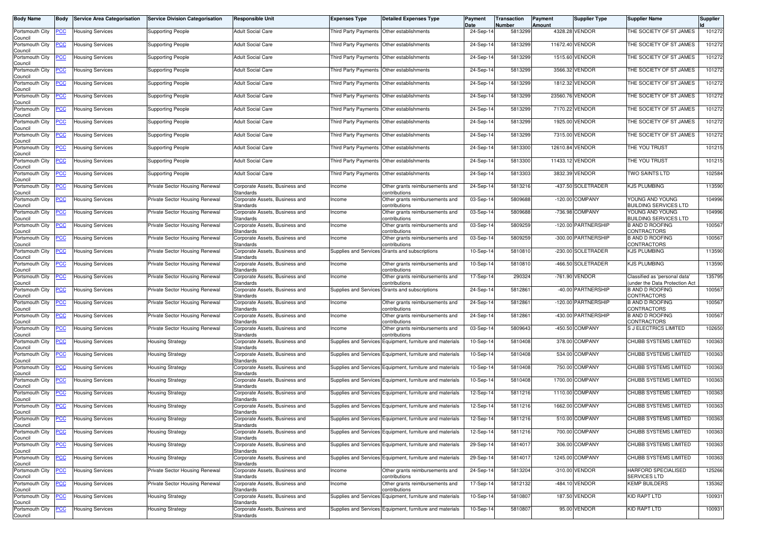| <b>Body Name</b>           | Body        | <b>Service Area Categorisation</b> | <b>Service Division Categorisation</b> | Responsible Unit                                                              | <b>Expenses Type</b>  | <b>Detailed Expenses Type</b>                            | Payment<br><b>Date</b> | Transaction<br>Number | Payment<br>Amount | <b>Supplier Type</b> | <b>Supplier Name</b>                                            | <b>Supplier</b> |
|----------------------------|-------------|------------------------------------|----------------------------------------|-------------------------------------------------------------------------------|-----------------------|----------------------------------------------------------|------------------------|-----------------------|-------------------|----------------------|-----------------------------------------------------------------|-----------------|
| Portsmouth City<br>Council | <b>PCC</b>  | <b>Housing Services</b>            | <b>Supporting People</b>               | <b>Adult Social Care</b>                                                      |                       | Third Party Payments Other establishments                | 24-Sep-14              | 5813299               |                   | 4328.28 VENDOR       | THE SOCIETY OF ST JAMES                                         | 101272          |
| Portsmouth City<br>Council | <u>PCC</u>  | <b>Housing Services</b>            | <b>Supporting People</b>               | Adult Social Care                                                             |                       | Third Party Payments Other establishments                | 24-Sep-14              | 5813299               | 11672.40 VENDOR   |                      | THE SOCIETY OF ST JAMES                                         | 101272          |
| Portsmouth City<br>Council | <u>PCC</u>  | <b>Housing Services</b>            | Supporting People                      | <b>Adult Social Care</b>                                                      |                       | Third Party Payments Other establishments                | 24-Sep-14              | 5813299               |                   | 1515.60 VENDOR       | THE SOCIETY OF ST JAMES                                         | 101272          |
| Portsmouth City<br>Council | <u>'CC</u>  | <b>Housing Services</b>            | Supporting People                      | Adult Social Care                                                             | Third Party Payments  | Other establishments                                     | 24-Sep-14              | 5813299               |                   | 3566.32 VENDOR       | THE SOCIETY OF ST JAMES                                         | 101272          |
| Portsmouth City<br>Council | <u>PCC</u>  | <b>Housing Services</b>            | <b>Supporting People</b>               | <b>Adult Social Care</b>                                                      |                       | Third Party Payments Other establishments                | 24-Sep-14              | 5813299               |                   | 1812.32 VENDOR       | THE SOCIETY OF ST JAMES                                         | 101272          |
| Portsmouth City<br>Council | <u>PCC</u>  | Housing Services                   | <b>Supporting People</b>               | <b>Adult Social Care</b>                                                      |                       | Third Party Payments Other establishments                | 24-Sep-14              | 5813299               | 23560.76 VENDOR   |                      | THE SOCIETY OF ST JAMES                                         | 101272          |
| Portsmouth City<br>Council | <u>PCC</u>  | <b>Housing Services</b>            | Supporting People                      | <b>Adult Social Care</b>                                                      | Third Party Payments  | Other establishments                                     | 24-Sep-14              | 5813299               |                   | 7170.22 VENDOR       | THE SOCIETY OF ST JAMES                                         | 101272          |
| Portsmouth City<br>Council | <u>PCC</u>  | <b>Housing Services</b>            | <b>Supporting People</b>               | <b>Adult Social Care</b>                                                      | Third Party Payments  | Other establishments                                     | 24-Sep-14              | 5813299               |                   | 1925.00 VENDOR       | THE SOCIETY OF ST JAMES                                         | 101272          |
| Portsmouth City<br>Council | <b>PCC</b>  | <b>Housing Services</b>            | <b>Supporting People</b>               | <b>Adult Social Care</b>                                                      |                       | Third Party Payments Other establishments                | 24-Sep-14              | 5813299               |                   | 7315.00 VENDOR       | THE SOCIETY OF ST JAMES                                         | 101272          |
| Portsmouth City<br>Council | <u>PCC</u>  | Housing Services                   | Supporting People                      | Adult Social Care                                                             | Third Party Payments  | Other establishments                                     | 24-Sep-14              | 5813300               | 12610.84 VENDOR   |                      | THE YOU TRUST                                                   | 101215          |
| Portsmouth City<br>Council | <u>PCC</u>  | <b>Housing Services</b>            | <b>Supporting People</b>               | <b>Adult Social Care</b>                                                      | Third Party Payments  | Other establishments                                     | 24-Sep-14              | 5813300               | 11433.12 VENDOR   |                      | THE YOU TRUST                                                   | 101215          |
| Portsmouth City<br>Council | PCC.        | <b>Housing Services</b>            | Supporting People                      | Adult Social Care                                                             |                       | Third Party Payments Other establishments                | 24-Sep-14              | 5813303               |                   | 3832.39 VENDOR       | <b>TWO SAINTS LTD</b>                                           | 102584          |
| Portsmouth City<br>Council | <u>CC</u>   | <b>Housing Services</b>            | Private Sector Housing Renewal         | Corporate Assets, Business and<br>Standards                                   | Income                | Other grants reimbursements and<br>contributions         | 24-Sep-14              | 5813216               |                   | -437.50 SOLETRADER   | <b>KJS PLUMBING</b>                                             | 113590          |
| Portsmouth City<br>Council | <b>PCC</b>  | <b>Housing Services</b>            | Private Sector Housing Renewal         | Corporate Assets, Business and<br>Standards                                   | Income                | Other grants reimbursements and<br>contributions         | 03-Sep-14              | 5809688               |                   | -120.00 COMPANY      | YOUNG AND YOUNG<br><b>BUILDING SERVICES LTD</b>                 | 104996          |
| Portsmouth City<br>Council | <u>PCC </u> | <b>Housing Services</b>            | Private Sector Housing Renewal         | Corporate Assets, Business and<br>Standards                                   | Income                | Other grants reimbursements and<br>contributions         | 03-Sep-14              | 5809688               |                   | -736.98 COMPANY      | YOUNG AND YOUNG<br><b>BUILDING SERVICES LTD</b>                 | 104996          |
| Portsmouth City<br>Council | <u>PCC</u>  | <b>Housing Services</b>            | Private Sector Housing Renewal         | Corporate Assets, Business and<br>Standards                                   | Income                | Other grants reimbursements and<br>contributions         | 03-Sep-14              | 5809259               |                   | -120.00 PARTNERSHIP  | <b>B AND D ROOFING</b><br>CONTRACTORS                           | 100567          |
| Portsmouth City<br>Council | <u>'CC</u>  | <b>Housing Services</b>            | Private Sector Housing Renewal         | Corporate Assets, Business and<br>Standards                                   | Income                | Other grants reimbursements and<br>contributions         | 03-Sep-14              | 5809259               |                   | -300.00 PARTNERSHIP  | <b>B AND D ROOFING</b><br><b>CONTRACTORS</b>                    | 100567          |
| Portsmouth City<br>Council | <b>PCC</b>  | <b>Housing Services</b>            | Private Sector Housing Renewal         | Corporate Assets, Business and<br>Standards                                   |                       | Supplies and Services Grants and subscriptions           | 10-Sep-14              | 5810810               |                   | -230.00 SOLETRADER   | <b>KJS PLUMBING</b>                                             | 113590          |
| Portsmouth City<br>Council | <u>PCC</u>  | <b>Housing Services</b>            | Private Sector Housing Renewal         | Corporate Assets, Business and<br>Standards                                   | Income                | Other grants reimbursements and<br>contributions:        | 10-Sep-14              | 5810810               |                   | -466.50 SOLETRADER   | <b>KJS PLUMBING</b>                                             | 113590          |
| Portsmouth City<br>Council | <u>CC</u>   | <b>Housing Services</b>            | Private Sector Housing Renewal         | Corporate Assets, Business and<br>Standards                                   | Income                | Other grants reimbursements and<br>contributions         | 17-Sep-14              | 290324                |                   | -761.90 VENDOR       | Classified as 'personal data'<br>(under the Data Protection Act | 135795          |
| Portsmouth City<br>Council | <u>CC</u>   | <b>Housing Services</b>            | Private Sector Housing Renewal         | Corporate Assets, Business and<br>Standards                                   |                       | Supplies and Services Grants and subscriptions           | 24-Sep-14              | 5812861               |                   | -40.00 PARTNERSHIP   | <b>B AND D ROOFING</b><br><b>CONTRACTORS</b>                    | 100567          |
| Portsmouth City<br>Council | <b>PCC</b>  | <b>Housing Services</b>            | Private Sector Housing Renewal         | Corporate Assets, Business and<br>Standards                                   | Income                | Other grants reimbursements and<br>contributions         | 24-Sep-14              | 5812861               |                   | -120.00 PARTNERSHIP  | <b>B AND D ROOFING</b><br>CONTRACTORS                           | 100567          |
| Portsmouth City<br>Council | <u>CC</u>   | <b>Housing Services</b>            | Private Sector Housing Renewal         | Corporate Assets, Business and<br>Standards                                   | Income                | Other grants reimbursements and<br>contributions         | 24-Sep-14              | 5812861               |                   | -430.00 PARTNERSHIP  | <b>B AND D ROOFING</b><br>CONTRACTORS                           | 100567          |
| Portsmouth City<br>Council | <u>PCC</u>  | <b>Housing Services</b>            | Private Sector Housing Renewal         | Corporate Assets, Business and<br>Standards                                   | Income                | Other grants reimbursements and<br>contributions         | 03-Sep-14              | 5809643               |                   | -450.50 COMPANY      | S J ELECTRICS LIMITED                                           | 102650          |
| Portsmouth City<br>Council | <u>PCC</u>  | <b>Housing Services</b>            | <b>Housing Strategy</b>                | Corporate Assets, Business and<br>Standards                                   |                       | Supplies and Services Equipment, furniture and materials | 10-Sep-14              | 5810408               |                   | 378.00 COMPANY       | CHUBB SYSTEMS LIMITED                                           | 100363          |
| Portsmouth City<br>Council | <u>PCC</u>  | <b>Housing Services</b>            | <b>Housing Strategy</b>                | Corporate Assets, Business and<br>Standards                                   |                       | Supplies and Services Equipment, furniture and materials | 10-Sep-14              | 5810408               |                   | 534.00 COMPANY       | CHUBB SYSTEMS LIMITED                                           | 100363          |
| Portsmouth City<br>Council | ∍CC         | <b>Housing Services</b>            | Housing Strategy                       | Corporate Assets, Business and<br>Standards                                   |                       | Supplies and Services Equipment, furniture and materials | 10-Sep-14              | 5810408               |                   | 750.00 COMPANY       | <b>CHUBB SYSTEMS LIMITED</b>                                    | 100363          |
| Portsmouth City<br>Council | <u>PCC</u>  | <b>Housing Services</b>            | Housing Strategy                       | Corporate Assets, Business and<br>Standards                                   |                       | Supplies and Services Equipment, furniture and materials | 10-Sep-14              | 5810408               |                   | 1700.00 COMPANY      | CHUBB SYSTEMS LIMITED                                           | 100363          |
| Portsmouth City<br>Council | <u>PCC</u>  | <b>Housing Services</b>            | Housing Strategy                       | Corporate Assets, Business and<br>Standards                                   |                       | Supplies and Services Equipment, furniture and materials | 12-Sep-14              | 5811216               |                   | 1110.00 COMPANY      | CHUBB SYSTEMS LIMITED                                           | 100363          |
| Portsmouth City<br>Council | <b>PCC</b>  | <b>Housing Services</b>            | <b>Housing Strategy</b>                | Corporate Assets, Business and<br>Standards                                   |                       | Supplies and Services Equipment, furniture and materials | 12-Sep-14              | 5811216               |                   | 1662.00 COMPANY      | CHUBB SYSTEMS LIMITED                                           | 100363          |
| Portsmouth City<br>Council | <b>PCC</b>  | <b>Housing Services</b>            | <b>Housing Strategy</b>                | Corporate Assets, Business and<br>Standards                                   |                       | Supplies and Services Equipment, furniture and materials | 12-Sep-14              | 5811216               |                   | 510.00 COMPANY       | CHUBB SYSTEMS LIMITED                                           | 100363          |
| Portsmouth City<br>Council | <u>PCC</u>  | <b>Housing Services</b>            | <b>Housing Strategy</b>                | Corporate Assets, Business and<br>Standards                                   |                       | Supplies and Services Equipment, furniture and materials | 12-Sep-14              | 5811216               |                   | 700.00 COMPANY       | <b>CHUBB SYSTEMS LIMITED</b><br><b>CHUBB SYSTEMS LIMITED</b>    | 100363          |
| Portsmouth City<br>Council | PCC         | <b>Housing Services</b>            | <b>Housing Strategy</b>                | Corporate Assets, Business and<br>Standards                                   |                       | Supplies and Services Equipment, furniture and materials | 29-Sep-14              | 5814017               |                   | 306.00 COMPANY       | <b>CHUBB SYSTEMS LIMITED</b>                                    | 100363          |
| Portsmouth City<br>Council | <b>PCC</b>  | <b>Housing Services</b>            | <b>Housing Strategy</b>                | Corporate Assets, Business and<br>Standards                                   |                       | Supplies and Services Equipment, furniture and materials | 29-Sep-14              | 5814017               |                   | 1245.00 COMPANY      |                                                                 | 100363          |
| Portsmouth City<br>Council | PCC         | <b>Housing Services</b>            | Private Sector Housing Renewal         | Corporate Assets, Business and<br>Standards                                   | Income                | Other grants reimbursements and<br>contributions         | 24-Sep-14              | 5813204               |                   | -310.00 VENDOR       | HARFORD SPECIALISED<br>SERVICES LTD                             | 125266          |
| Portsmouth City<br>Council | <u>PCC</u>  | <b>Housing Services</b>            | Private Sector Housing Renewal         | Corporate Assets, Business and<br>Standards<br>Corporate Assets, Business and | Income                | Other grants reimbursements and<br>contributions         | 17-Sep-14              | 5812132<br>5810807    |                   | -484.10 VENDOR       | <b>KEMP BUILDERS</b><br><b>KID RAPT LTD</b>                     | 135362          |
| Portsmouth City<br>Council | PCC         | <b>Housing Services</b>            | Housing Strategy                       | Standards                                                                     | Supplies and Services | Equipment, furniture and materials                       | 10-Sep-14              |                       |                   | 187.50 VENDOR        |                                                                 | 100931          |
| Portsmouth City<br>Council | <u>'CC</u>  | <b>Housing Services</b>            | <b>Housing Strategy</b>                | Corporate Assets, Business and<br>Standards                                   |                       | Supplies and Services Equipment, furniture and materials | 10-Sep-14              | 5810807               |                   | 95.00 VENDOR         | <b>KID RAPT LTD</b>                                             | 100931          |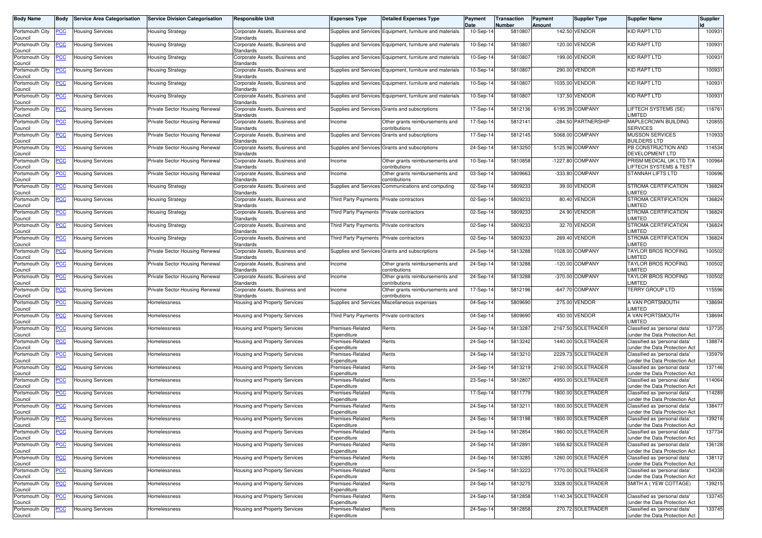| <b>Body Name</b>                                       | Body       | <b>Service Area Categorisation</b> | <b>Service Division Categorisation</b> | <b>Responsible Unit</b>                            | <b>Expenses Type</b>                     | <b>Detailed Expenses Type</b>                            | Payment<br>Date | Transaction<br>Number | Payment<br>Amount | Supplier Type       | <b>Supplier Name</b>                                            | Supplier |
|--------------------------------------------------------|------------|------------------------------------|----------------------------------------|----------------------------------------------------|------------------------------------------|----------------------------------------------------------|-----------------|-----------------------|-------------------|---------------------|-----------------------------------------------------------------|----------|
| Portsmouth City<br>Council                             | <u>PCC</u> | Housing Services                   | Housing Strategy                       | Corporate Assets, Business and<br>Standards        |                                          | Supplies and Services Equipment, furniture and materials | 10-Sep-14       | 5810807               |                   | 142.50 VENDOR       | KID RAPT LTD                                                    | 100931   |
| Portsmouth City<br>Council                             | <u>CC</u>  | <b>Housing Services</b>            | Housing Strategy                       | Corporate Assets, Business and<br>Standards        |                                          | Supplies and Services Equipment, furniture and materials | 10-Sep-14       | 581080                |                   | 120.00 VENDOR       | KID RAPT LTD                                                    | 100931   |
| Portsmouth City<br>Council                             | <u>'СС</u> | <b>Housing Services</b>            | Housing Strategy                       | Corporate Assets, Business and<br>Standards        |                                          | Supplies and Services Equipment, furniture and materials | 10-Sep-14       | 581080                | 199.00            | <b>VENDOR</b>       | KID RAPT LTD                                                    | 100931   |
| Portsmouth City<br>Council                             | <u>'CC</u> | <b>Housing Services</b>            | <b>Housing Strategy</b>                | Corporate Assets, Business and<br>Standards        |                                          | Supplies and Services Equipment, furniture and materials | 10-Sep-14       | 581080                |                   | 290.00 VENDOR       | <b>KID RAPT LTD</b>                                             | 100931   |
| Portsmouth City<br>Council                             | <u>'CC</u> | <b>Housing Services</b>            | Housing Strategy                       | Corporate Assets, Business and<br>Standards        |                                          | Supplies and Services Equipment, furniture and materials | 10-Sep-14       | 5810807               | 1035.00           | <b>VENDOR</b>       | KID RAPT LTD                                                    | 100931   |
| Portsmouth City<br>Council                             | <u>'CC</u> | <b>Housing Services</b>            | <b>Housing Strategy</b>                | Corporate Assets, Business and<br>Standards        |                                          | Supplies and Services Equipment, furniture and materials | 10-Sep-14       | 5810807               |                   | 137.50 VENDOR       | KID RAPT LTD                                                    | 100931   |
| Portsmouth City<br>Council                             | <u>CC</u>  | Housing Services                   | Private Sector Housing Renewal         | Corporate Assets, Business and<br>Standards        |                                          | Supplies and Services Grants and subscriptions           | 17-Sep-14       | 5812136               |                   | 6195.39 COMPANY     | LIFTECH SYSTEMS (SE)<br><b>LIMITED</b>                          | 116761   |
| Portsmouth City<br>Council                             | <u>'CC</u> | <b>Housing Services</b>            | Private Sector Housing Renewal         | Corporate Assets, Business and<br>Standards        | Income                                   | Other grants reimbursements and<br>contributions:        | 17-Sep-14       | 581214                |                   | -284.50 PARTNERSHIP | <b>MAPLECROWN BUILDING</b><br><b>SERVICES</b>                   | 120855   |
| Portsmouth City<br>Council                             | <u>'CC</u> | <b>Housing Services</b>            | Private Sector Housing Renewal         | Corporate Assets, Business and<br>Standards        |                                          | Supplies and Services Grants and subscriptions           | 17-Sep-14       | 5812145               |                   | 5068.00 COMPANY     | <b>MUSSON SERVICES</b><br><b>BUILDERS LTD</b>                   | 110933   |
| Portsmouth City<br>Council                             | <u>'CC</u> | <b>Housing Services</b>            | Private Sector Housing Renewal         | Corporate Assets, Business and<br>Standards        |                                          | Supplies and Services Grants and subscriptions           | 24-Sep-14       | 5813250               |                   | 5125.96 COMPANY     | PB CONSTRUCTION AND<br>DEVELOPMENT LTD                          | 114534   |
| Portsmouth City<br>Council                             | <u>'СС</u> | Housing Services                   | Private Sector Housing Renewal         | Corporate Assets, Business and<br>Standards        | Income                                   | Other grants reimbursements and<br>contributions         | 10-Sep-14       | 5810858               |                   | -1227.80 COMPANY    | PRISM MEDICAL UK LTD T/A<br>LIFTECH SYSTEMS & TEST              | 100964   |
| Portsmouth City<br>Council                             | <u>'CC</u> | <b>Housing Services</b>            | Private Sector Housing Renewal         | Corporate Assets, Business and<br>Standards        | Income                                   | Other grants reimbursements and<br>ontributions          | 03-Sep-14       | 5809663               |                   | -333.80 COMPANY     | STANNAH LIFTS LTD                                               | 100696   |
| Portsmouth City<br>Council                             | <u>'CC</u> | <b>Housing Services</b>            | Housing Strategy                       | Corporate Assets, Business and<br>Standards        | Supplies and Services                    | Communications and computing                             | 02-Sep-14       | 5809233               |                   | 39.00 VENDOR        | STROMA CERTIFICATION<br><b>IMITED</b>                           | 136824   |
| ortsmouth City<br>Council                              | <u>'СС</u> | <b>Housing Services</b>            | Housing Strategy                       | Corporate Assets, Business and<br>Standards        | Third Party Payments Private contractors |                                                          | 02-Sep-14       | 580923                |                   | 80.40 VENDOR        | STROMA CERTIFICATION<br>LIMITED                                 | 136824   |
| Portsmouth City<br>Council                             | <u>PCC</u> | <b>Housing Services</b>            | <b>Housing Strategy</b>                | Corporate Assets, Business and<br><b>Standards</b> | Third Party Payments Private contractors |                                                          | 02-Sep-14       | 5809233               |                   | 24.90 VENDOR        | STROMA CERTIFICATION<br><b>IMITED</b>                           | 136824   |
| Portsmouth City<br>Council                             | <u>'CC</u> | Housing Services                   | Housing Strategy                       | Corporate Assets, Business and<br>Standards        | Third Party Payments                     | Private contractors                                      | 02-Sep-14       | 5809233               |                   | 32.70 VENDOR        | STROMA CERTIFICATION<br>LIMITED                                 | 136824   |
| Portsmouth City<br>Council                             | <u>CC</u>  | <b>Housing Services</b>            | Housing Strategy                       | Corporate Assets, Business and<br><b>Standards</b> | <b>Third Party Payments</b>              | Private contractors                                      | 02-Sep-14       | 580923                |                   | 269.40 VENDOR       | STROMA CERTIFICATION<br><b>IMITED</b>                           | 136824   |
| Portsmouth City<br>Council                             | <u>'CC</u> | <b>Housing Services</b>            | Private Sector Housing Renewal         | Corporate Assets, Business and<br>Standards        |                                          | Supplies and Services Grants and subscriptions           | 24-Sep-14       | 5813288               |                   | 1028.00 COMPANY     | TAYLOR BROS ROOFING<br>LIMITED                                  | 100502   |
| Portsmouth City<br>Council                             | <u>'CC</u> | Housing Services                   | Private Sector Housing Renewal         | Corporate Assets, Business and<br>Standards        | Income                                   | Other grants reimbursements and<br>contributions         | 24-Sep-14       | 5813288               |                   | -120.00 COMPANY     | <b>TAYLOR BROS ROOFING</b><br><b>LIMITED</b>                    | 100502   |
| Portsmouth City<br>Council                             | <u>CC</u>  | Housing Services                   | Private Sector Housing Renewal         | Corporate Assets, Business and<br>Standards        | Income                                   | Other grants reimbursements and<br>contributions         | 24-Sep-14       | 5813288               |                   | -370.00 COMPANY     | <b>TAYLOR BROS ROOFING</b><br><b>IMITED</b>                     | 100502   |
| Portsmouth City<br>Council                             | <u>'CC</u> | <b>Housing Services</b>            | Private Sector Housing Renewal         | Corporate Assets, Business and<br>Standards        | Income                                   | Other grants reimbursements and<br>contributions         | 17-Sep-14       | 5812196               |                   | -647.70 COMPANY     | <b>TERRY GROUP LTD</b>                                          | 115596   |
| Portsmouth City<br>Council                             | <u>'CC</u> | <b>Housing Services</b>            | Homelessness                           | lousing and Property Services                      |                                          | Supplies and Services Miscellaneous expenses             | 04-Sep-14       | 5809690               |                   | 275.00 VENDOR       | A VAN PORTSMOUTH<br><b>IMITED</b>                               | 138694   |
| Portsmouth City<br>Council                             | <u>'CC</u> | Housing Services                   | Homelessness                           | Housing and Property Services                      | Third Party Payments                     | Private contractors                                      | 04-Sep-14       | 5809690               |                   | 450.00 VENDOR       | A VAN PORTSMOUTH<br><b>IMITED</b>                               | 138694   |
| Portsmouth City<br>Council                             | <u>'СС</u> | Housing Services                   | Homelessness                           | Housing and Property Services                      | Premises-Related<br>Expenditure          | Rents                                                    | 24-Sep-14       | 581328                |                   | 2167.50 SOLETRADER  | Classified as 'personal data'<br>under the Data Protection Act  | 137735   |
| Portsmouth City<br>Council                             | <u>'СС</u> | <b>Housing Services</b>            | Homelessness                           | lousing and Property Services                      | Premises-Related<br>Expenditure          | Rents                                                    | 24-Sep-14       | 5813242               |                   | 1440.00 SOLETRADER  | Classified as 'personal data'<br>under the Data Protection Act  | 138874   |
| Portsmouth City<br>Council                             | <u>PCC</u> | <b>Housing Services</b>            | Homelessness                           | Housing and Property Services                      | Premises-Related<br>Expenditure          | Rents                                                    | 24-Sep-14       | 5813210               |                   | 2229.73 SOLETRADER  | Classified as 'personal data'<br>under the Data Protection Act  | 135979   |
| Portsmouth City<br>Council                             | <u>'CC</u> | <b>Housing Services</b>            | Homelessness                           | Housing and Property Services                      | Premises-Related<br>Expenditure          | Rents                                                    | 24-Sep-14       | 5813219               |                   | 2160.00 SOLETRADER  | Classified as 'personal data'<br>under the Data Protection Act  | 137146   |
| Portsmouth City<br>Council                             | <u>CC</u>  | <b>Housing Services</b>            | Homelessness                           | Housing and Property Services                      | Premises-Related<br>Expenditure          | Rents                                                    | 23-Sep-14       | 581280                |                   | 4950.00 SOLETRADER  | Classified as 'personal data'<br>under the Data Protection Act  | 114064   |
| Portsmouth City<br>Council                             | <u>'CC</u> | Housing Services                   | Homelessness                           | Housing and Property Services                      | Premises-Related<br>Expenditure          | Rents                                                    | 17-Sep-14       | 5811779               |                   | 1800.00 SOLETRADER  | Classified as 'personal data'<br>under the Data Protection Act  | 114289   |
| Portsmouth City<br>Council                             | <u>'СС</u> | <b>Housing Services</b>            | Homelessness                           | <b>Housing and Property Services</b>               | Premises-Related<br>Expenditure          | Rents                                                    | 24-Sep-14       | 5813211               |                   | 1800.00 SOLETRADER  | Classified as 'personal data'<br>under the Data Protection Act  | 138477   |
| Portsmouth City <b>PCC</b> Housing Services<br>Council |            |                                    | Homelessness                           | Housing and Property Services                      | Premises-Related<br>Expenditure          | Rents                                                    | 24-Sep-14       | 5813198               |                   | 1800.00 SOLETRADER  | Classified as 'personal data'<br>(under the Data Protection Act | 139216   |
| Portsmouth City<br>Council                             | <b>CC</b>  | <b>Housing Services</b>            | Homelessness                           | Housing and Property Services                      | Premises-Related<br>Expenditure          | Rents                                                    | 24-Sep-14       | 5812854               |                   | 1860.00 SOLETRADER  | Classified as 'personal data'<br>(under the Data Protection Act | 137734   |
| Portsmouth City<br>Council                             | <u>'CC</u> | <b>Housing Services</b>            | Homelessness                           | Housing and Property Services                      | Premises-Related<br>Expenditure          | Rents                                                    | 24-Sep-14       | 5812891               |                   | 1656.62 SOLETRADER  | Classified as 'personal data'<br>(under the Data Protection Act | 136128   |
| Portsmouth City<br>Council                             | <b>CC</b>  | <b>Housing Services</b>            | Homelessness                           | lousing and Property Services                      | Premises-Related<br>Expenditure          | Rents                                                    | 24-Sep-14       | 5813285               |                   | 1260.00 SOLETRADER  | Classified as 'personal data'<br>(under the Data Protection Act | 138112   |
| Portsmouth City<br>Council                             | <u>'CC</u> | <b>Housing Services</b>            | Homelessness                           | lousing and Property Services                      | Premises-Related<br>Expenditure          | Rents                                                    | 24-Sep-14       | 5813223               |                   | 1770.00 SOLETRADER  | Classified as 'personal data'<br>(under the Data Protection Act | 134338   |
| Portsmouth City<br>Council                             | <u>CC</u>  | <b>Housing Services</b>            | Homelessness                           | Housing and Property Services                      | Premises-Related<br>Expenditure          | Rents                                                    | 24-Sep-14       | 5813275               |                   | 3328.00 SOLETRADER  | SMITH A (YEW COTTAGE)                                           | 139215   |
| Portsmouth City<br>Council                             | <u>'CC</u> | <b>Housing Services</b>            | Homelessness                           | lousing and Property Services                      | Premises-Related<br>Expenditure          | Rents                                                    | 24-Sep-14       | 5812858               |                   | 1140.34 SOLETRADER  | Classified as 'personal data'<br>(under the Data Protection Act | 133745   |
| Portsmouth City<br>Council                             | <u>PCC</u> | <b>Housing Services</b>            | Homelessness                           | lousing and Property Services                      | Premises-Related<br>Expenditure          | Rents                                                    | 24-Sep-14       | 5812858               |                   | 270.72 SOLETRADER   | Classified as 'personal data'<br>(under the Data Protection Act | 133745   |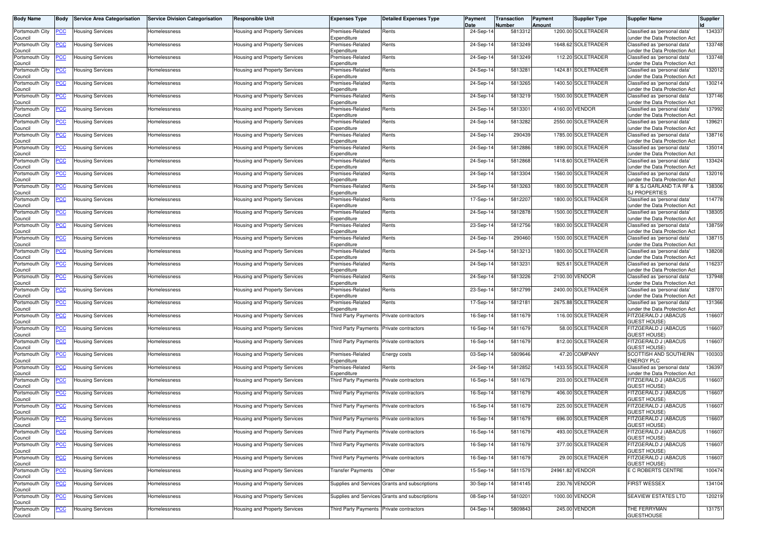| <b>Body Name</b>                                | <b>Body</b> | <b>Service Area Categorisation</b> | <b>Service Division Categorisation</b> | <b>Responsible Unit</b>              | <b>Expenses Type</b>                     | <b>Detailed Expenses Type</b>                  | Payment<br>Date | Transaction<br>Number | Payment<br>Amount | Supplier Type      | <b>Supplier Name</b>                                            | Supplier |
|-------------------------------------------------|-------------|------------------------------------|----------------------------------------|--------------------------------------|------------------------------------------|------------------------------------------------|-----------------|-----------------------|-------------------|--------------------|-----------------------------------------------------------------|----------|
| Portsmouth City<br>Council                      | <u>PCC</u>  | <b>Housing Services</b>            | Homelessness                           | Housing and Property Services        | Premises-Related<br>Expenditure          | Rents                                          | 24-Sep-14       | 5813312               |                   | 1200.00 SOLETRADER | Classified as 'personal data'<br>under the Data Protection Act  | 134337   |
| Portsmouth City<br>Council                      | <b>PCC</b>  | <b>Housing Services</b>            | Homelessness                           | Housing and Property Services        | Premises-Related<br>Expenditure          | Rents                                          | 24-Sep-14       | 5813249               |                   | 1648.62 SOLETRADER | Classified as 'personal data'<br>under the Data Protection Act  | 133748   |
| Portsmouth City<br>Council                      | <u>PCC</u>  | <b>Housing Services</b>            | Homelessness                           | Housing and Property Services        | Premises-Related<br>Expenditure          | Rents                                          | 24-Sep-14       | 5813249               |                   | 112.20 SOLETRADER  | Classified as 'personal data'<br>under the Data Protection Act  | 133748   |
| Portsmouth City<br>Council                      | <u>PCC</u>  | <b>Housing Services</b>            | Homelessness                           | <b>Housing and Property Services</b> | Premises-Related<br>Expenditure          | Rents                                          | 24-Sep-14       | 581328                | 1424.81           | SOLETRADER         | Classified as 'personal data'<br>under the Data Protection Act  | 132012   |
| Portsmouth City<br>Council                      | <u>PCC</u>  | <b>Housing Services</b>            | Homelessness                           | Housing and Property Services        | Premises-Related<br>Expenditure          | Rents                                          | 24-Sep-14       | 5813265               |                   | 1400.50 SOLETRADER | Classified as 'personal data'<br>under the Data Protection Ac   | 130214   |
| Portsmouth City<br>Council                      | <u>PCC</u>  | Housing Services                   | Homelessness                           | Housing and Property Services        | Premises-Related<br>Expenditure          | Rents                                          | 24-Sep-14       | 5813219               |                   | 1500.00 SOLETRADER | Classified as 'personal data'<br>under the Data Protection Act  | 137146   |
| Portsmouth City<br>Council                      | <u>CC</u>   | Housing Services                   | Homelessness                           | Housing and Property Services        | Premises-Related<br>Expenditure          | Rents                                          | 24-Sep-14       | 581330                |                   | 4160.00 VENDOR     | Classified as 'personal data'<br>under the Data Protection Act  | 137992   |
| Portsmouth City<br>Council                      | <u>PCC</u>  | Housing Services                   | Homelessness                           | Housing and Property Services        | Premises-Related<br>Expenditure          | Rents                                          | 24-Sep-14       | 5813282               |                   | 2550.00 SOLETRADER | Classified as 'personal data'<br>under the Data Protection Act  | 139621   |
| Portsmouth City<br>Council                      | <u>'СС</u>  | <b>Housing Services</b>            | Homelessness                           | Housing and Property Services        | Premises-Related<br>Expenditure          | Rents                                          | 24-Sep-14       | 290439                |                   | 1785.00 SOLETRADER | Classified as 'personal data'<br>under the Data Protection Act  | 138716   |
| Portsmouth City<br>Council                      | <u>PCC</u>  | <b>Housing Services</b>            | Homelessness                           | Housing and Property Services        | Premises-Related<br>Expenditure          | Rents                                          | 24-Sep-14       | 5812886               |                   | 1890.00 SOLETRADER | Classified as 'personal data'<br>under the Data Protection Act  | 135014   |
| Portsmouth City<br>Council                      | <u>PCC</u>  | Housing Services                   | Homelessness                           | Housing and Property Services        | Premises-Related<br>Expenditure          | Rents                                          | 24-Sep-14       | 5812868               |                   | 1418.60 SOLETRADER | Classified as 'personal data'<br>under the Data Protection Act  | 133424   |
| Portsmouth City<br>Council                      | <u>CC</u>   | Housing Services                   | Homelessness                           | Housing and Property Services        | Premises-Related<br>Expenditure          | Rents                                          | 24-Sep-14       | 5813304               |                   | 1560.00 SOLETRADER | Classified as 'personal data'<br>under the Data Protection Act  | 132016   |
| Portsmouth City<br>Council                      | <u>PCC</u>  | Housing Services                   | Homelessness                           | Housing and Property Services        | Premises-Related<br>Expenditure          | Rents                                          | 24-Sep-14       | 5813263               |                   | 1800.00 SOLETRADER | RF & SJ GARLAND T/A RF &<br><b>SJ PROPERTIES</b>                | 138306   |
| Portsmouth City<br>Council                      | <u>PCC</u>  | <b>Housing Services</b>            | Homelessness                           | <b>Housing and Property Services</b> | Premises-Related<br>Expenditure          | Rents                                          | 17-Sep-14       | 5812207               |                   | 1800.00 SOLETRADER | Classified as 'personal data'<br>under the Data Protection Act  | 114778   |
| Portsmouth City<br>Council                      | <u>PCC</u>  | <b>Housing Services</b>            | Homelessness                           | <b>Housing and Property Services</b> | Premises-Related<br>Expenditure          | Rents                                          | 24-Sep-14       | 5812878               |                   | 1500.00 SOLETRADER | Classified as 'personal data'<br>under the Data Protection Act  | 138305   |
| Portsmouth City<br>Council                      | <u>'CC</u>  | Housing Services                   | Homelessness                           | <b>Housing and Property Services</b> | Premises-Related<br>Expenditure          | Rents                                          | 23-Sep-14       | 5812756               |                   | 1800.00 SOLETRADER | Classified as 'personal data'<br>under the Data Protection Ac   | 138759   |
| Portsmouth City<br>Council                      |             | <b>Housing Services</b>            | Homelessness                           | Housing and Property Services        | Premises-Related<br>Expenditure          | Rents                                          | 24-Sep-14       | 290460                |                   | 1500.00 SOLETRADER | Classified as 'personal data'<br>under the Data Protection Act  | 138715   |
| Portsmouth City<br>Council                      | <u>CC</u>   | Housing Services                   | Homelessness                           | Housing and Property Services        | Premises-Related<br>Expenditure          | Rents                                          | 24-Sep-14       | 5813213               |                   | 1800.00 SOLETRADER | Classified as 'personal data'<br>under the Data Protection Act  | 138208   |
| Portsmouth City<br>Council                      | <u>PCC</u>  | <b>Housing Services</b>            | Homelessness                           | Housing and Property Services        | Premises-Related<br>Expenditure          | Rents                                          | 24-Sep-14       | 5813231               | 925.61            | <b>SOLETRADER</b>  | Classified as 'personal data'<br>under the Data Protection Act  | 116237   |
| Portsmouth City<br>Council                      | <u>CC</u>   | Housing Services                   | Homelessness                           | Housing and Property Services        | Premises-Related<br>Expenditure          | Rents                                          | 24-Sep-14       | 5813226               |                   | 2100.00 VENDOR     | Classified as 'personal data'<br>under the Data Protection Act  | 137948   |
| Portsmouth City<br>Council                      | <u>PCC</u>  | Housing Services                   | Homelessness                           | Housing and Property Services        | Premises-Related<br>Expenditure          | Rents                                          | 23-Sep-14       | 5812799               |                   | 2400.00 SOLETRADER | Classified as 'personal data'<br>under the Data Protection Act  | 128701   |
| Portsmouth City<br>Council                      | сc          | <b>Housing Services</b>            | Homelessness                           | Housing and Property Services        | Premises-Related<br>Expenditure          | Rents                                          | 17-Sep-14       | 5812181               |                   | 2675.88 SOLETRADER | Classified as 'personal data'<br>under the Data Protection Act  | 131366   |
| Portsmouth City<br>Council                      | <b>PCC</b>  | <b>Housing Services</b>            | Homelessness                           | Housing and Property Services        | Third Party Payments Private contractors |                                                | 16-Sep-14       | 5811679               |                   | 116.00 SOLETRADER  | FITZGERALD J (ABACUS<br>GUEST HOUSE)                            | 116607   |
| Portsmouth City<br>Council                      | <u>'СС</u>  | Housing Services                   | Homelessness                           | Housing and Property Services        | <b>Third Party Payments</b>              | Private contractors                            | 16-Sep-14       | 5811679               |                   | 58.00 SOLETRADER   | FITZGERALD J (ABACUS<br><b>GUEST HOUSE)</b>                     | 116607   |
| Portsmouth City<br>Council                      | <b>PCC</b>  | <b>Housing Services</b>            | Homelessness                           | Housing and Property Services        | Third Party Payments Private contractors |                                                | 16-Sep-14       | 5811679               |                   | 812.00 SOLETRADER  | FITZGERALD J (ABACUS<br><b>GUEST HOUSE)</b>                     | 116607   |
| Portsmouth City<br>Council                      | <u>PCC</u>  | <b>Housing Services</b>            | Homelessness                           | Housing and Property Services        | Premises-Related<br>Expenditure          | Energy costs                                   | 03-Sep-14       | 5809646               |                   | 47.20 COMPANY      | SCOTTISH AND SOUTHERN<br><b>ENERGY PLC</b>                      | 100303   |
| Portsmouth City<br>Council                      | <u>PCC</u>  | <b>Housing Services</b>            | Homelessness                           | Housing and Property Services        | Premises-Related<br>Expenditure          | Rents                                          | 24-Sep-14       | 5812852               |                   | 1433.55 SOLETRADER | Classified as 'personal data'<br>(under the Data Protection Act | 136397   |
| Portsmouth City<br>Council                      | <b>PCC</b>  | <b>Housing Services</b>            | Homelessness                           | <b>Housing and Property Services</b> | Third Party Payments                     | Private contractors                            | 16-Sep-1        | 5811679               |                   | 203.00 SOLETRADER  | FITZGERALD J (ABACUS<br><b>GUEST HOUSE)</b>                     | 116607   |
| Portsmouth City<br>Council                      | <u>PCC</u>  | <b>Housing Services</b>            | Homelessness                           | Housing and Property Services        | Third Party Payments                     | Private contractors                            | 16-Sep-14       | 5811679               |                   | 406.00 SOLETRADER  | FITZGERALD J (ABACUS<br><b>GUEST HOUSE)</b>                     | 116607   |
| Portsmouth City<br>Council                      | <u>PCC</u>  | <b>Housing Services</b>            | Homelessness                           | Housing and Property Services        | Third Party Payments                     | Private contractors                            | 16-Sep-14       | 5811679               |                   | 225.00 SOLETRADER  | FITZGERALD J (ABACUS<br><b>GUEST HOUSE)</b>                     | 116607   |
| Portsmouth City PCC Housing Services<br>Council |             |                                    | Homelessness                           | Housing and Property Services        | Third Party Payments Private contractors |                                                | 16-Sep-14       | 5811679               |                   | 696.00 SOLETRADER  | FITZGERALD J (ABACUS<br><b>GUEST HOUSE)</b>                     | 116607   |
| Portsmouth City<br>Council                      | <b>PCC</b>  | <b>Housing Services</b>            | Homelessness                           | <b>Housing and Property Services</b> | Third Party Payments Private contractors |                                                | 16-Sep-14       | 5811679               |                   | 493.00 SOLETRADER  | FITZGERALD J (ABACUS<br><b>GUEST HOUSE)</b>                     | 116607   |
| Portsmouth City<br>Council                      | <u>PCC</u>  | <b>Housing Services</b>            | Homelessness                           | Housing and Property Services        | <b>Third Party Payments</b>              | Private contractors                            | 16-Sep-14       | 5811679               |                   | 377.00 SOLETRADER  | FITZGERALD J (ABACUS<br><b>GUEST HOUSE)</b>                     | 116607   |
| Portsmouth City<br>Council                      | <u>PCC</u>  | <b>Housing Services</b>            | Homelessness                           | Housing and Property Services        | <b>Third Party Payments</b>              | Private contractors                            | 16-Sep-14       | 5811679               |                   | 29.00 SOLETRADER   | FITZGERALD J (ABACUS<br><b>GUEST HOUSE)</b>                     | 116607   |
| Portsmouth City<br>Council                      | <u>PCC</u>  | <b>Housing Services</b>            | Homelessness                           | Housing and Property Services        | <b>Transfer Payments</b>                 | Other                                          | 15-Sep-14       | 5811579               |                   | 24961.82 VENDOR    | E C ROBERTS CENTRE                                              | 100474   |
| Portsmouth City<br>Council                      | <b>PCC</b>  | <b>Housing Services</b>            | Homelessness                           | Housing and Property Services        |                                          | Supplies and Services Grants and subscriptions | 30-Sep-14       | 5814145               |                   | 230.76 VENDOR      | <b>FIRST WESSEX</b>                                             | 134104   |
| Portsmouth City<br>Council                      | <u>PCC</u>  | <b>Housing Services</b>            | Homelessness                           | Housing and Property Services        |                                          | Supplies and Services Grants and subscriptions | 08-Sep-14       | 5810201               |                   | 1000.00 VENDOR     | <b>SEAVIEW ESTATES LTD</b>                                      | 120219   |
| Portsmouth City<br>Council                      | <b>PCC</b>  | <b>Housing Services</b>            | Homelessness                           | Housing and Property Services        | Third Party Payments                     | Private contractors                            | 04-Sep-14       | 5809843               |                   | 245.00 VENDOR      | THE FERRYMAN<br><b>GUESTHOUSE</b>                               | 131751   |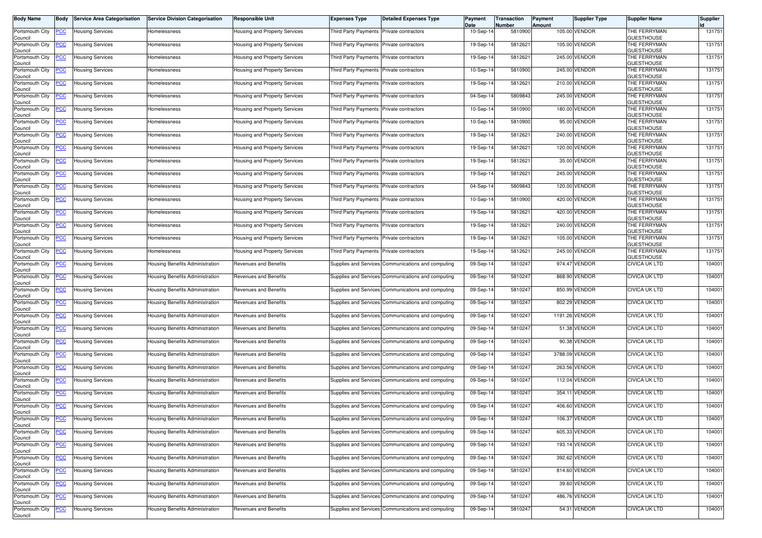| <b>Body Name</b>                              | <b>Body</b>                  | <b>Service Area Categorisation</b>                 | <b>Service Division Categorisation</b>                             | <b>Responsible Unit</b>                               | <b>Expenses Type</b>                     | <b>Detailed Expenses Type</b>                                                                            | Payment<br>Date        | Transaction<br>Number | Payment<br>Amount | <b>Supplier Type</b>           | <b>Supplier Name</b>                         | <b>Supplier</b>  |
|-----------------------------------------------|------------------------------|----------------------------------------------------|--------------------------------------------------------------------|-------------------------------------------------------|------------------------------------------|----------------------------------------------------------------------------------------------------------|------------------------|-----------------------|-------------------|--------------------------------|----------------------------------------------|------------------|
| Portsmouth City<br>Council                    | <u>PCC</u>                   | <b>Housing Services</b>                            | Homelessness                                                       | <b>Housing and Property Services</b>                  | Third Party Payments Private contractors |                                                                                                          | 10-Sep-14              | 5810900               |                   | 105.00 VENDOR                  | THE FERRYMAN<br><b>GUESTHOUSE</b>            | 131751           |
| Portsmouth City<br>Council                    | <u>PCC</u>                   | Housing Services                                   | Homelessness                                                       | Housing and Property Services                         | Third Party Payments                     | Private contractors                                                                                      | 19-Sep-1               | 5812621               |                   | 105.00 VENDOR                  | THE FERRYMAN<br><b>GUESTHOUSE</b>            | 131751           |
| Portsmouth City<br>Council                    | <u>PCC</u>                   | Housing Services                                   | Homelessness                                                       | Housing and Property Services                         | Third Party Payments                     | Private contractors                                                                                      | 19-Sep-14              | 5812621               |                   | 245.00 VENDOR                  | THE FERRYMAN<br><b>GUESTHOUSE</b>            | 131751           |
| Portsmouth City<br>Council                    | <u>PCC</u>                   | Housing Services                                   | Homelessness                                                       | Housing and Property Services                         | Third Party Payments                     | Private contractors                                                                                      | 10-Sep-14              | 5810900               |                   | 245.00 VENDOR                  | THE FERRYMAN<br><b>GUESTHOUSE</b>            | 131751           |
| Portsmouth City<br>Council                    | <u>CC</u>                    | Housing Services                                   | Homelessness                                                       | Housing and Property Services                         | Third Party Payments                     | Private contractors                                                                                      | 19-Sep-14              | 5812621               |                   | 210.00 VENDOR                  | THE FERRYMAN<br><b>GUESTHOUSE</b>            | 131751           |
| Portsmouth City<br>Council                    | <u>PCC</u>                   | Housing Services                                   | Homelessness                                                       | Housing and Property Services                         | Third Party Payments Private contractors |                                                                                                          | 04-Sep-14              | 5809843               |                   | 245.00 VENDOR                  | THE FERRYMAN<br><b>GUESTHOUSE</b>            | 131751           |
| Portsmouth City<br>Council                    | <u>PCC</u>                   | Housing Services                                   | Homelessness                                                       | Housing and Property Services                         | <b>Third Party Payments</b>              | Private contractors                                                                                      | 10-Sep-14              | 5810900               |                   | 180.00 VENDOR                  | THE FERRYMAN<br><b>GUESTHOUSE</b>            | 131751           |
| Portsmouth City<br>Council                    | <u>PCC</u>                   | Housing Services                                   | Homelessness                                                       | <b>Housing and Property Services</b>                  | <b>Third Party Payments</b>              | Private contractors                                                                                      | 10-Sep-14              | 5810900               |                   | 95.00 VENDOR                   | THE FERRYMAN<br><b>GUESTHOUSE</b>            | 131751           |
| Portsmouth City<br>Council                    | сC                           | <b>Housing Services</b>                            | Homelessness                                                       | Housing and Property Services                         | Third Party Payments                     | Private contractors                                                                                      | 19-Sep-14              | 5812621               |                   | 240.00 VENDOR                  | THE FERRYMAN<br><b>GUESTHOUSE</b>            | 131751           |
| Portsmouth City<br>Council                    | <u>PCC</u>                   | <b>Housing Services</b>                            | Homelessness                                                       | Housing and Property Services                         | Third Party Payments Private contractors |                                                                                                          | 19-Sep-14              | 5812621               |                   | 120.00 VENDOR                  | THE FERRYMAN<br><b>GUESTHOUSE</b>            | 131751           |
| Portsmouth City<br>Council                    | <u>PCC</u>                   | Housing Services                                   | Homelessness                                                       | Housing and Property Services                         | Third Party Payments                     | Private contractors                                                                                      | 19-Sep-14              | 5812621               |                   | 35.00 VENDOR                   | THE FERRYMAN<br><b>GUESTHOUSE</b>            | 131751           |
| Portsmouth City<br>Council                    | <u>PCC</u>                   | Housing Services                                   | Homelessness                                                       | Housing and Property Services                         | Third Party Payments                     | Private contractors                                                                                      | 19-Sep-14              | 5812621               |                   | 245.00 VENDOR                  | THE FERRYMAN<br><b>GUESTHOUSE</b>            | 131751           |
| Portsmouth City<br>Council                    | <u>PCC</u>                   | <b>Housing Services</b>                            | Homelessness                                                       | Housing and Property Services                         | Third Party Payments Private contractors |                                                                                                          | 04-Sep-14              | 5809843               |                   | 120.00 VENDOR                  | THE FERRYMAN<br><b>GUESTHOUSE</b>            | 131751           |
| Portsmouth City<br>Council                    | <u>PCC</u>                   | <b>Housing Services</b>                            | Homelessness                                                       | <b>Housing and Property Services</b>                  | Third Party Payments Private contractors |                                                                                                          | 10-Sep-14              | 5810900               |                   | 420.00 VENDOR                  | THE FERRYMAN<br><b>GUESTHOUSE</b>            | 131751           |
| Portsmouth City<br>Council                    |                              | Housing Services                                   | Homelessness                                                       | Housing and Property Services                         | Third Party Payments                     | Private contractors                                                                                      | 19-Sep-14              | 5812621               |                   | 420.00 VENDOR                  | THE FERRYMAN<br><b>GUESTHOUSE</b>            | 131751           |
| Portsmouth City<br>Council                    | <u>PCC</u>                   | <b>Housing Services</b>                            | Homelessness                                                       | Housing and Property Services                         | Third Party Payments Private contractors |                                                                                                          | 19-Sep-14              | 5812621               |                   | 240.00 VENDOR                  | THE FERRYMAN<br>GUESTHOUSE                   | 131751           |
| Portsmouth City<br>Council                    | <u>PCC</u>                   | Housing Services                                   | Homelessness                                                       | Housing and Property Services                         | Third Party Payments                     | Private contractors                                                                                      | 19-Sep-14              | 5812621               |                   | 105.00 VENDOR                  | THE FERRYMAN<br><b>GUESTHOUSE</b>            | 131751           |
| Portsmouth City<br>Council                    | <u>PCC</u>                   | Housing Services                                   | Homelessness                                                       | Housing and Property Services                         | Third Party Payments Private contractors |                                                                                                          | 19-Sep-14              | 5812621               |                   | 245.00 VENDOR                  | THE FERRYMAN<br>GUESTHOUSE                   | 131751           |
| Portsmouth City<br>Council                    | <u>PCC</u>                   | Housing Services                                   | Housing Benefits Administration                                    | <b>Revenues and Benefits</b>                          |                                          | Supplies and Services Communications and computing                                                       | 09-Sep-1               | 5810247               |                   | 974.47 VENDOR                  | CIVICA UK LTD                                | 104001           |
| Portsmouth City<br>Council                    | <b>PCC</b>                   | <b>Housing Services</b>                            | Housing Benefits Administration                                    | Revenues and Benefits                                 |                                          | Supplies and Services Communications and computing                                                       | 09-Sep-14              | 5810247               |                   | 868.90 VENDOR                  | <b>CIVICA UK LTD</b>                         | 104001           |
| Portsmouth City<br>Council                    | <u>PCC</u>                   | Housing Services                                   | Housing Benefits Administration                                    | Revenues and Benefits                                 |                                          | Supplies and Services Communications and computing                                                       | 09-Sep-14              | 5810247               |                   | 850.99 VENDOR                  | <b>CIVICA UK LTD</b>                         | 104001           |
| Portsmouth City<br>Council                    | <u>PCC</u>                   | Housing Services                                   | Housing Benefits Administration                                    | Revenues and Benefits                                 |                                          | Supplies and Services Communications and computing                                                       | 09-Sep-14              | 5810247               |                   | 802.29 VENDOR                  | <b>CIVICA UK LTD</b>                         | 104001           |
| Portsmouth City<br>Council                    | <u>PCC</u>                   | Housing Services                                   | Housing Benefits Administration                                    | Revenues and Benefits                                 |                                          | Supplies and Services Communications and computing                                                       | 09-Sep-1               | 5810247               |                   | 1191.26 VENDOR                 | CIVICA UK LTD                                | 104001           |
| Portsmouth City<br>Council                    | <u>PCC</u>                   | <b>Housing Services</b>                            | Housing Benefits Administration                                    | Revenues and Benefits                                 |                                          | Supplies and Services Communications and computing                                                       | 09-Sep-14              | 5810247               |                   | 51.38 VENDOR                   | <b>CIVICA UK LTD</b>                         | 104001           |
| Portsmouth City<br>Council                    | PCC.                         | Housing Services                                   | Housing Benefits Administration                                    | Revenues and Benefits                                 |                                          | Supplies and Services Communications and computing                                                       | 09-Sep-14              | 5810247               |                   | 90.38 VENDOR                   | CIVICA UK LTD                                | 104001           |
| Portsmouth City<br>Council                    | <u>PCC</u>                   | <b>Housing Services</b>                            | Housing Benefits Administration                                    | Revenues and Benefits                                 |                                          | Supplies and Services Communications and computing                                                       | 09-Sep-14              | 5810247               |                   | 3788.09 VENDOR                 | CIVICA UK LTD                                | 104001           |
| Portsmouth City<br>Council                    | <b>PCC</b>                   | Housing Services                                   | Housing Benefits Administration                                    | Revenues and Benefits                                 |                                          | Supplies and Services Communications and computing                                                       | 09-Sep-14              | 5810247               |                   | 263.56 VENDOR                  | <b>CIVICA UK LTD</b>                         | 104001           |
| Portsmouth City<br>Council                    | <u>CC</u>                    | Housing Services                                   | Housing Benefits Administration                                    | Revenues and Benefits                                 |                                          | Supplies and Services Communications and computing                                                       | 09-Sep-14              | 5810247               |                   | 112.04 VENDOR                  | <b>CIVICA UK LTD</b><br><b>CIVICA UK LTD</b> | 104001           |
| Portsmouth City<br>Council                    | <u>PCC</u>                   | <b>Housing Services</b>                            | Housing Benefits Administration                                    | Revenues and Benefits                                 |                                          | Supplies and Services Communications and computing                                                       | 09-Sep-14              | 5810247               |                   | 354.11 VENDOR<br>406.60 VENDOR |                                              | 104001           |
| Portsmouth City<br>Council                    | <u>PCC</u>                   | Housing Services                                   | Housing Benefits Administration                                    | Revenues and Benefits<br><b>Revenues and Benefits</b> |                                          | Supplies and Services Communications and computing                                                       | 09-Sep-14<br>09-Sep-14 | 5810247<br>5810247    |                   | 106.37 VENDOR                  | <b>CIVICA UK LTD</b><br><b>CIVICA UK LTD</b> | 104001           |
| Portsmouth City<br>Council<br>Portsmouth City | <b>PCC</b>                   | <b>Housing Services</b><br><b>Housing Services</b> | Housing Benefits Administration<br>Housing Benefits Administration | Revenues and Benefits                                 |                                          | Supplies and Services Communications and computing<br>Supplies and Services Communications and computing | 09-Sep-14              | 5810247               |                   | 605.33 VENDOR                  | CIVICA UK LTD                                | 104001<br>104001 |
| Council<br>Portsmouth City                    | <u>PCC</u>                   | <b>Housing Services</b>                            | Housing Benefits Administration                                    | Revenues and Benefits                                 |                                          | Supplies and Services Communications and computing                                                       | 09-Sep-14              | 5810247               |                   | 193.14 VENDOR                  | <b>CIVICA UK LTD</b>                         | 104001           |
| Council<br>Portsmouth City                    | <b>PCC</b><br>$\overline{C}$ | <b>Housing Services</b>                            | Housing Benefits Administration                                    | Revenues and Benefits                                 |                                          |                                                                                                          | 09-Sep-14              | 5810247               |                   | 392.62 VENDOR                  | CIVICA UK LTD                                | 104001           |
| Council<br>Portsmouth City                    |                              |                                                    |                                                                    | <b>Revenues and Benefits</b>                          |                                          | Supplies and Services Communications and computing                                                       |                        |                       |                   | 814.60 VENDOR                  | <b>CIVICA UK LTD</b>                         | 104001           |
| Council<br>Portsmouth City                    | <b>PCC</b><br><b>PCC</b>     | <b>Housing Services</b><br>Housing Services        | Housing Benefits Administration<br>Housing Benefits Administration | Revenues and Benefits                                 |                                          | Supplies and Services Communications and computing<br>Supplies and Services Communications and computing | 09-Sep-14<br>09-Sep-14 | 5810247<br>5810247    |                   | 39.60 VENDOR                   | <b>CIVICA UK LTD</b>                         | 104001           |
| Council<br>Portsmouth City                    | <b>PCC</b>                   | <b>Housing Services</b>                            | Housing Benefits Administration                                    | Revenues and Benefits                                 |                                          | Supplies and Services Communications and computing                                                       | 09-Sep-14              | 5810247               |                   | 486.76 VENDOR                  | <b>CIVICA UK LTD</b>                         | 104001           |
| Council<br>Portsmouth City                    | <b>PCC</b>                   |                                                    | Housing Benefits Administration                                    | Revenues and Benefits                                 |                                          | Supplies and Services Communications and computing                                                       |                        | 5810247               |                   | 54.31 VENDOR                   | CIVICA UK LTD                                | 104001           |
| Council                                       |                              | <b>Housing Services</b>                            |                                                                    |                                                       |                                          |                                                                                                          | 09-Sep-14              |                       |                   |                                |                                              |                  |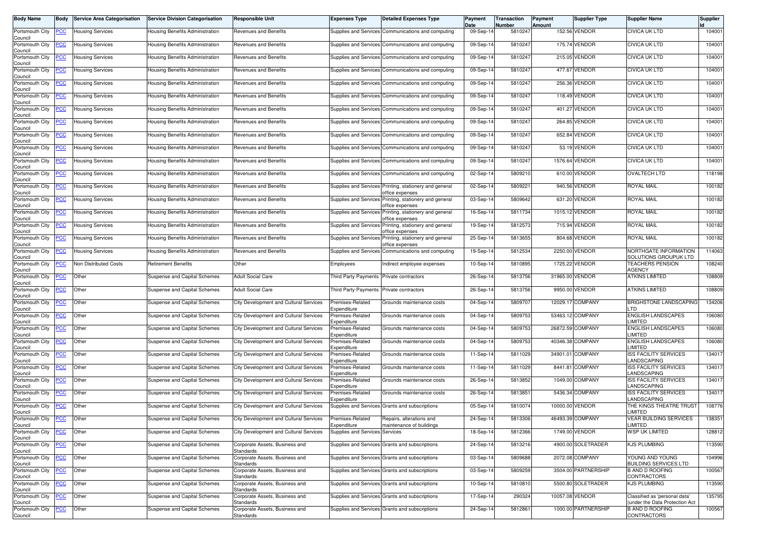| <b>Body Name</b>               | Body       | <b>Service Area Categorisation</b> | <b>Service Division Categorisation</b> | <b>Responsible Unit</b>                     | <b>Expenses Type</b>            | <b>Detailed Expenses Type</b>                                             | Payment<br>Date | Transaction<br>Number | <b>Payment</b><br><b>Amount</b> | <b>Supplier Type</b> | <b>Supplier Name</b>                                           | <b>Supplier</b> |
|--------------------------------|------------|------------------------------------|----------------------------------------|---------------------------------------------|---------------------------------|---------------------------------------------------------------------------|-----------------|-----------------------|---------------------------------|----------------------|----------------------------------------------------------------|-----------------|
| Portsmouth City<br>Council     | <b>PCC</b> | <b>Housing Services</b>            | Housing Benefits Administration        | Revenues and Benefits                       |                                 | Supplies and Services Communications and computing                        | 09-Sep-14       | 5810247               |                                 | 152.56 VENDOR        | <b>CIVICA UK LTD</b>                                           | 104001          |
| Portsmouth City<br>Council     | <b>PCC</b> | <b>Housing Services</b>            | Housing Benefits Administration        | Revenues and Benefits                       |                                 | Supplies and Services Communications and computing                        | 09-Sep-1        | 581024                |                                 | 175.74 VENDOR        | <b>CIVICA UK LTD</b>                                           | 104001          |
| Portsmouth City<br>Council     | <u>PCC</u> | <b>Housing Services</b>            | Housing Benefits Administration        | Revenues and Benefits                       |                                 | Supplies and Services Communications and computing                        | 09-Sep-1        | 5810247               |                                 | 215.05 VENDOR        | <b>CIVICA UK LTD</b>                                           | 104001          |
| Portsmouth City<br>Council     | <u>PCC</u> | <b>Housing Services</b>            | Housing Benefits Administration        | Revenues and Benefits                       |                                 | Supplies and Services Communications and computing                        | 09-Sep-14       | 5810247               |                                 | 477.67 VENDOR        | <b>CIVICA UK LTD</b>                                           | 104001          |
| Portsmouth City<br>Council     | <b>PCC</b> | <b>Housing Services</b>            | Housing Benefits Administration        | Revenues and Benefits                       |                                 | Supplies and Services Communications and computing                        | 09-Sep-14       | 5810247               |                                 | 256.36 VENDOR        | <b>CIVICA UK LTD</b>                                           | 104001          |
| Portsmouth City<br>Council     | <b>PCC</b> | Housing Services                   | Housing Benefits Administration        | Revenues and Benefits                       |                                 | Supplies and Services Communications and computing                        | 09-Sep-14       | 5810247               |                                 | 118.49 VENDOR        | <b>CIVICA UK LTD</b>                                           | 104001          |
| Portsmouth City<br>Council     | <u>PCC</u> | <b>Housing Services</b>            | Housing Benefits Administration        | Revenues and Benefits                       |                                 | Supplies and Services Communications and computing                        | 09-Sep-14       | 5810247               |                                 | 401.27 VENDOR        | <b>CIVICA UK LTD</b>                                           | 104001          |
| Portsmouth City<br>Council     | <u>PCC</u> | <b>Housing Services</b>            | Housing Benefits Administration        | Revenues and Benefits                       |                                 | Supplies and Services Communications and computing                        | 09-Sep-14       | 5810247               |                                 | 264.85 VENDOR        | <b>CIVICA UK LTD</b>                                           | 104001          |
| Portsmouth City<br>Council     | <b>PCC</b> | <b>Housing Services</b>            | Housing Benefits Administration        | Revenues and Benefits                       |                                 | Supplies and Services Communications and computing                        | 09-Sep-14       | 5810247               |                                 | 652.84 VENDOR        | <b>CIVICA UK LTD</b>                                           | 104001          |
| Portsmouth City<br>Council     | <u>PCC</u> | Housing Services                   | Housing Benefits Administration        | Revenues and Benefits                       |                                 | Supplies and Services Communications and computing                        | 09-Sep-1        | 581024                |                                 | 53.19 VENDOR         | <b>CIVICA UK LTD</b>                                           | 104001          |
| Portsmouth City<br>Council     | <b>PCC</b> | <b>Housing Services</b>            | Housing Benefits Administration        | Revenues and Benefits                       |                                 | Supplies and Services Communications and computing                        | 09-Sep-14       | 5810247               |                                 | 1576.64 VENDOR       | <b>CIVICA UK LTD</b>                                           | 104001          |
| Portsmouth City<br>Council     | PCC        | <b>Housing Services</b>            | Housing Benefits Administration        | Revenues and Benefits                       |                                 | Supplies and Services Communications and computing                        | 02-Sep-14       | 5809210               |                                 | 610.00 VENDOR        | <b>OVALTECH LTD</b>                                            | 118198          |
| Portsmouth City<br>Council     | <u>PCC</u> | <b>Housing Services</b>            | Housing Benefits Administration        | Revenues and Benefits                       |                                 | Supplies and Services Printing, stationery and general<br>office expenses | 02-Sep-14       | 5809221               |                                 | 940.56 VENDOR        | ROYAL MAIL                                                     | 100182          |
| Portsmouth City<br>Council     | <b>PCC</b> | <b>Housing Services</b>            | Housing Benefits Administration        | <b>Revenues and Benefits</b>                | Supplies and Services           | Printing, stationery and general<br>office expenses                       | 03-Sep-14       | 5809642               |                                 | 631.20 VENDOR        | ROYAL MAIL                                                     | 100182          |
| Portsmouth City<br>Council     | <u>PCC</u> | <b>Housing Services</b>            | <b>Housing Benefits Administration</b> | Revenues and Benefits                       |                                 | Supplies and Services Printing, stationery and general<br>office expenses | 16-Sep-14       | 5811734               |                                 | 1015.12 VENDOR       | ROYAL MAIL                                                     | 100182          |
| Portsmouth City<br>Council     | <u>PCC</u> | <b>Housing Services</b>            | Housing Benefits Administration        | Revenues and Benefits                       |                                 | Supplies and Services Printing, stationery and general<br>office expenses | 19-Sep-14       | 5812573               |                                 | 715.94 VENDOR        | <b>ROYAL MAIL</b>                                              | 100182          |
| Portsmouth City<br>Council     | <u>'CC</u> | <b>Housing Services</b>            | <b>Housing Benefits Administration</b> | Revenues and Benefits                       |                                 | Supplies and Services Printing, stationery and general<br>office expenses | 25-Sep-14       | 5813655               |                                 | 804.68 VENDOR        | <b>ROYAL MAIL</b>                                              | 100182          |
| Portsmouth City<br>Council     | <b>PCC</b> | <b>Housing Services</b>            | Housing Benefits Administration        | <b>Revenues and Benefits</b>                |                                 | Supplies and Services Communications and computing                        | 19-Sep-14       | 5812534               |                                 | 2250.00 VENDOR       | NORTHGATE INFORMATION<br>SOLUTIONS GROUPUK LTD                 | 114063          |
| Portsmouth City<br>Council     | <b>PCC</b> | Non Distributed Costs              | <b>Retirement Benefits</b>             | Other                                       | Employees                       | Indirect employee expenses                                                | 10-Sep-14       | 5810895               |                                 | 1725.22 VENDOR       | <b>TEACHERS PENSION</b><br>AGENCY                              | 108240          |
| Portsmouth City<br>Council     | <b>PCC</b> | Other                              | Suspense and Capital Schemes           | <b>Adult Social Care</b>                    | Third Party Payments            | Private contractors                                                       | 26-Sep-14       | 5813756               |                                 | 31965.00 VENDOR      | ATKINS LIMITED                                                 | 108809          |
| Portsmouth City<br>Council     | <u>PCC</u> | Other                              | Suspense and Capital Schemes           | <b>Adult Social Care</b>                    | <b>Third Party Payments</b>     | Private contractors                                                       | 26-Sep-14       | 5813756               |                                 | 9950.00 VENDOR       | <b>ATKINS LIMITED</b>                                          | 108809          |
| Portsmouth City<br>Council     | <b>PCC</b> | Other                              | Suspense and Capital Schemes           | City Development and Cultural Services      | Premises-Related<br>Expenditure | Grounds maintenance costs                                                 | 04-Sep-14       | 5809707               |                                 | 12029.17 COMPANY     | <b>BRIGHSTONE LANDSCAPING</b><br><b>TD</b>                     | 134206          |
| Portsmouth City<br>Council     | <u>PCC</u> | Other                              | Suspense and Capital Schemes           | City Development and Cultural Services      | Premises-Related<br>Expenditure | Grounds maintenance costs                                                 | 04-Sep-14       | 5809753               |                                 | 53463.12 COMPANY     | <b>ENGLISH LANDSCAPES</b><br><b>IMITED</b>                     | 106080          |
| Portsmouth City<br>Council     | <b>PCC</b> | Other                              | Suspense and Capital Schemes           | City Development and Cultural Services      | Premises-Related<br>Expenditure | Grounds maintenance costs                                                 | 04-Sep-14       | 5809753               |                                 | 26872.59 COMPANY     | <b>ENGLISH LANDSCAPES</b><br><b>IMITED</b>                     | 106080          |
| Portsmouth City<br>Council     | <u>PCC</u> | Other                              | Suspense and Capital Schemes           | City Development and Cultural Services      | Premises-Related<br>Expenditure | Grounds maintenance costs                                                 | 04-Sep-14       | 5809753               |                                 | 40346.38 COMPANY     | <b>ENGLISH LANDSCAPES</b><br>LIMITED                           | 106080          |
| Portsmouth City<br>Council     | <b>PCC</b> | Other                              | Suspense and Capital Schemes           | City Development and Cultural Services      | Premises-Related<br>Expenditure | Grounds maintenance costs                                                 | 11-Sep-14       | 5811029               |                                 | 34901.01 COMPANY     | <b>ISS FACILITY SERVICES</b><br><b>ANDSCAPING</b>              | 134017          |
| Portsmouth City<br>Council     | <u>PCC</u> | Other                              | Suspense and Capital Schemes           | City Development and Cultural Services      | Premises-Related<br>Expenditure | Grounds maintenance costs                                                 | 11-Sep-14       | 5811029               |                                 | 8441.81 COMPANY      | <b>ISS FACILITY SERVICES</b><br>LANDSCAPING                    | 134017          |
| Portsmouth City<br>Council     | <u>PCC</u> | Other                              | Suspense and Capital Schemes           | City Development and Cultural Services      | Premises-Related<br>Expenditure | Grounds maintenance costs                                                 | 26-Sep-14       | 5813852               |                                 | 1049.00 COMPANY      | <b>ISS FACILITY SERVICES</b><br><b>ANDSCAPING</b>              | 134017          |
| Portsmouth City<br>Council     | <u>PCC</u> | Other                              | Suspense and Capital Schemes           | City Development and Cultural Services      | Premises-Related<br>Expenditure | Grounds maintenance costs                                                 | 26-Sep-14       | 5813851               |                                 | 5436.34 COMPANY      | <b>ISS FACILITY SERVICES</b><br><b>ANDSCAPING</b>              | 134017          |
| Portsmouth City<br>Council     | <b>PCC</b> | Other                              | Suspense and Capital Schemes           | City Development and Cultural Services      |                                 | Supplies and Services Grants and subscriptions                            | 05-Sep-14       | 5810074               |                                 | 10000.00 VENDOR      | THE KINGS THEATRE TRUST<br>.IMITED                             | 108776          |
| Portsmouth City PCC<br>Council |            | Other                              | Suspense and Capital Schemes           | City Development and Cultural Services      | Premises-Related<br>Expenditure | Repairs, alterations and<br>maintenance of buildings                      | 24-Sep-14       | 5813306               |                                 | 46493.39 COMPANY     | <b>VEAR BUILDING SERVICES</b><br>LIMITED                       | 138351          |
| Portsmouth City<br>Council     | <b>PCC</b> | Other                              | Suspense and Capital Schemes           | City Development and Cultural Services      | Supplies and Services Services  |                                                                           | 18-Sep-14       | 5812366               |                                 | 1749.00 VENDOR       | WSP UK LIMITED                                                 | 128812          |
| Portsmouth City<br>Council     | <b>PCC</b> | Other                              | Suspense and Capital Schemes           | Corporate Assets, Business and<br>Standards |                                 | Supplies and Services Grants and subscriptions                            | 24-Sep-14       | 5813216               |                                 | 4900.00 SOLETRADER   | KJS PLUMBING                                                   | 113590          |
| Portsmouth City<br>Council     | <b>PCC</b> | Other                              | Suspense and Capital Schemes           | Corporate Assets, Business and<br>Standards |                                 | Supplies and Services Grants and subscriptions                            | 03-Sep-14       | 5809688               |                                 | 2072.08 COMPANY      | YOUNG AND YOUNG<br><b>BUILDING SERVICES LTD</b>                | 104996          |
| Portsmouth City<br>Council     | <b>PCC</b> | Other                              | <b>Suspense and Capital Schemes</b>    | Corporate Assets, Business and<br>Standards |                                 | Supplies and Services Grants and subscriptions                            | 03-Sep-14       | 5809259               |                                 | 3504.00 PARTNERSHIP  | <b>B AND D ROOFING</b><br>CONTRACTORS                          | 100567          |
| Portsmouth City<br>Council     | <u>PCC</u> | Other                              | Suspense and Capital Schemes           | Corporate Assets, Business and<br>Standards |                                 | Supplies and Services Grants and subscriptions                            | 10-Sep-14       | 5810810               |                                 | 5500.80 SOLETRADER   | <b>KJS PLUMBING</b>                                            | 113590          |
| Portsmouth City<br>Council     | <b>PCC</b> | Other                              | Suspense and Capital Schemes           | Corporate Assets, Business and<br>Standards |                                 | Supplies and Services Grants and subscriptions                            | 17-Sep-14       | 290324                |                                 | 10057.08 VENDOR      | Classified as 'personal data'<br>under the Data Protection Act | 135795          |
| Portsmouth City<br>Council     | <b>PCC</b> | Other                              | Suspense and Capital Schemes           | Corporate Assets, Business and<br>Standards |                                 | Supplies and Services Grants and subscriptions                            | 24-Sep-14       | 5812861               |                                 | 1000.00 PARTNERSHIP  | <b>B AND D ROOFING</b><br><b>CONTRACTORS</b>                   | 100567          |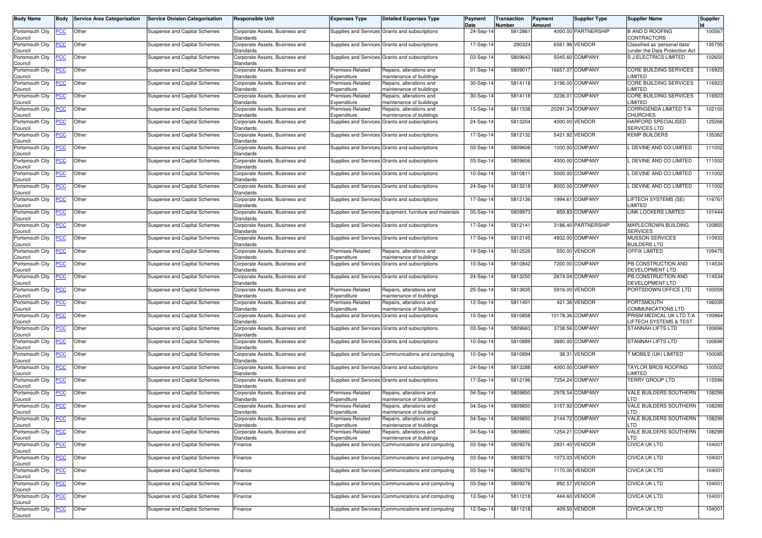| <b>Body Name</b>                      | Body           | <b>Service Area Categorisation</b> | <b>Service Division Categorisation</b> | Responsible Unit                                                | <b>Expenses Type</b>                   | <b>Detailed Expenses Type</b>                                                  | Payment<br>Date | Transaction<br>Number | Payment<br>Amount | <b>Supplier Type</b> | <b>Supplier Name</b>                                             | <b>Supplier</b> |
|---------------------------------------|----------------|------------------------------------|----------------------------------------|-----------------------------------------------------------------|----------------------------------------|--------------------------------------------------------------------------------|-----------------|-----------------------|-------------------|----------------------|------------------------------------------------------------------|-----------------|
| Portsmouth City<br>Council            | <u>PCC</u>     | Other                              | Suspense and Capital Schemes           | Corporate Assets, Business and<br>Standards                     |                                        | Supplies and Services Grants and subscriptions                                 | 24-Sep-14       | 5812861               |                   | 4000.00 PARTNERSHIP  | <b>B AND D ROOFING</b><br>CONTRACTORS                            | 100567          |
| Portsmouth City                       | <u>PCC</u>     | Other                              | Suspense and Capital Schemes           | Corporate Assets, Business and                                  |                                        | Supplies and Services Grants and subscriptions                                 | 17-Sep-14       | 290324                |                   | 6561.96 VENDOR       | Classified as 'personal data'                                    | 135795          |
| Council<br>Portsmouth City            | <u>PCC</u>     | Other                              | Suspense and Capital Schemes           | Standards<br>Corporate Assets, Business and                     |                                        | Supplies and Services Grants and subscriptions                                 | 03-Sep-1        | 5809643               |                   | 5045.60 COMPANY      | under the Data Protection Act<br><b>SJ ELECTRICS LIMITED</b>     | 102650          |
| Council<br>Portsmouth City<br>Council | <u>PCC</u>     | Other                              | Suspense and Capital Schemes           | Standards<br>Corporate Assets, Business and<br>Standards        | Premises-Related<br>Expenditure        | Repairs, alterations and<br>maintenance of buildings                           | 01-Sep-14       | 580901                |                   | 16657.07 COMPANY     | CORE BUILDING SERVICES<br><b>IMITED</b>                          | 116923          |
| Portsmouth City                       | <b>PCC</b>     | Other                              | Suspense and Capital Schemes           | Corporate Assets, Business and                                  | Premises-Related                       | Repairs, alterations and                                                       | 30-Sep-14       | 5814118               |                   | 3196.00 COMPANY      | CORE BUILDING SERVICES<br><b>IMITED</b>                          | 116923          |
| Council<br>Portsmouth City            | $\overline{C}$ | Other                              | Suspense and Capital Schemes           | Standards<br>Corporate Assets, Business and                     | Expenditure<br>Premises-Related        | maintenance of buildings<br>Repairs, alterations and                           | 30-Sep-14       | 5814118               |                   | 3236.01 COMPANY      | CORE BUILDING SERVICES                                           | 116923          |
| Council<br>Portsmouth City            | <b>PCC</b>     | Other                              | Suspense and Capital Schemes           | Standards<br>Corporate Assets, Business and                     | Expenditure<br>remises-Related         | maintenance of buildings<br>Repairs, alterations and                           | 15-Sep-14       | 5811538               |                   | 20291.34 COMPANY     | <b>IMITED</b><br>CORRIGENDA LIMITED T/A                          | 102100          |
| Council<br>Portsmouth City            | <b>PCC</b>     | Other                              | Suspense and Capital Schemes           | Standards<br>Corporate Assets, Business and                     | xpenditure                             | maintenance of buildings<br>Supplies and Services Grants and subscriptions     | 24-Sep-14       | 5813204               |                   | 4000.00 VENDOR       | CHURCHES<br>HARFORD SPECIALISED                                  | 125266          |
| Council<br>Portsmouth City            | PСC            | Other                              | Suspense and Capital Schemes           | Standards<br>Corporate Assets, Business and                     |                                        | Supplies and Services Grants and subscriptions                                 | 17-Sep-14       | 5812132               |                   | 5421.92 VENDOR       | <b>SERVICES LTD</b><br><b>KEMP BUILDERS</b>                      | 135362          |
| Council<br>Portsmouth City            | <b>PCC</b>     | Other                              | Suspense and Capital Schemes           | Standards<br>Corporate Assets, Business and                     |                                        | Supplies and Services Grants and subscriptions                                 | 03-Sep-14       | 5809606               |                   | 1000.00 COMPANY      | . DEVINE AND CO LIMITED                                          | 111002          |
| Council                               |                |                                    |                                        | Standards                                                       |                                        |                                                                                |                 |                       |                   |                      |                                                                  |                 |
| Portsmouth City<br>Council            | PСC            | Other                              | Suspense and Capital Schemes           | Corporate Assets, Business and<br>Standards                     |                                        | Supplies and Services Grants and subscriptions                                 | 03-Sep-14       | 5809606               |                   | 4000.00 COMPANY      | L DEVINE AND CO LIMITED                                          | 111002          |
| Portsmouth City<br>Council            | PСC            | Other                              | Suspense and Capital Schemes           | Corporate Assets, Business and<br>Standards                     |                                        | Supplies and Services Grants and subscriptions                                 | 10-Sep-14       | 5810811               |                   | 5000.00 COMPANY      | L DEVINE AND CO LIMITED                                          | 111002          |
| Portsmouth City<br>Council            | <b>PCC</b>     | Other                              | Suspense and Capital Schemes           | Corporate Assets, Business and<br><b>Standards</b>              |                                        | Supplies and Services Grants and subscriptions                                 | 24-Sep-14       | 5813218               |                   | 8000.00 COMPANY      | . DEVINE AND CO LIMITED                                          | 111002          |
| Portsmouth City<br>Council            | <u>PCC</u>     | Other                              | Suspense and Capital Schemes           | Corporate Assets, Business and<br>Standards                     |                                        | Supplies and Services Grants and subscriptions                                 | 17-Sep-14       | 5812136               |                   | 1994.61 COMPANY      | LIFTECH SYSTEMS (SE)<br>LIMITED                                  | 116761          |
| Portsmouth City                       | PCC            | Other                              | Suspense and Capital Schemes           | Corporate Assets, Business and                                  |                                        | Supplies and Services Equipment, furniture and materials                       | 05-Sep-14       | 5809973               |                   | 859.83 COMPANY       | <b>LINK LOCKERS LIMITED</b>                                      | 101444          |
| Council<br>Portsmouth City            | ∍CC            | Other                              | Suspense and Capital Schemes           | Standards<br>Corporate Assets, Business and                     |                                        | Supplies and Services Grants and subscriptions                                 | 17-Sep-14       | 5812141               |                   | 3186.40 PARTNERSHIP  | MAPLECROWN BUILDING                                              | 120855          |
| Council<br>Portsmouth City<br>Council | <u>CC</u>      | Other                              | <b>Suspense and Capital Schemes</b>    | Standards<br>Corporate Assets, Business and<br><b>Standards</b> |                                        | Supplies and Services Grants and subscriptions                                 | 17-Sep-14       | 5812145               |                   | 4932.00 COMPANY      | <b>SERVICES</b><br><b>MUSSON SERVICES</b><br><b>BUILDERS LTD</b> | 110933          |
| Portsmouth City                       | <b>PCC</b>     | Other                              | Suspense and Capital Schemes           | Corporate Assets, Business and                                  | Premises-Related                       | Repairs, alterations and                                                       | 19-Sep-14       | 5812539               |                   | 550.00 VENDOR        | OFFIX LIMITED                                                    | 109475          |
| Council<br>Portsmouth City            | <b>PCC</b>     | Other                              | Suspense and Capital Schemes           | Standards<br>Corporate Assets, Business and                     | Expenditure                            | maintenance of buildings<br>Supplies and Services Grants and subscriptions     | 10-Sep-14       | 5810842               |                   | 7200.00 COMPANY      | PB CONSTRUCTION AND                                              | 114534          |
| Council<br>Portsmouth City            | PСC            | Other                              | Suspense and Capital Schemes           | Standards<br>Corporate Assets, Business and                     |                                        | Supplies and Services Grants and subscriptions                                 | 24-Sep-14       | 5813250               |                   | 2674.04 COMPANY      | DEVELOPMENT LTD<br>PB CONSTRUCTION AND                           | 114534          |
| Council<br>Portsmouth City            | <u>PCC</u>     | Other                              | <b>Suspense and Capital Schemes</b>    | Standards<br>Corporate Assets, Business and                     | Premises-Related                       | Repairs, alterations and                                                       | 25-Sep-14       | 5813635               |                   | 5916.00 VENDOR       | DEVELOPMENT LTD<br>PORTSDOWN OFFICE LTD                          | 100059          |
| Council<br>Portsmouth City            | ٢C             | Other                              |                                        | Standards<br>Corporate Assets, Business and                     | Expenditure<br>Premises-Related        | maintenance of buildings<br>Repairs, alterations and                           | 12-Sep-14       | 5811401               |                   | 421.36 VENDOR        | PORTSMOUTH                                                       | 106039          |
| Council                               |                |                                    | Suspense and Capital Schemes           | Standards                                                       | Expenditure                            | maintenance of buildings                                                       |                 |                       |                   |                      | COMMUNICATIONS LTD                                               |                 |
| Portsmouth City<br>Council            | <b>PCC</b>     | Other                              | Suspense and Capital Schemes           | Corporate Assets, Business and<br>Standards                     |                                        | Supplies and Services Grants and subscriptions                                 | 10-Sep-14       | 5810858               |                   | 10178.36 COMPANY     | PRISM MEDICAL UK LTD T/A<br>IFTECH SYSTEMS & TEST.               | 100964          |
| Portsmouth City<br>Council            | <b>PCC</b>     | Other                              | Suspense and Capital Schemes           | Corporate Assets, Business and<br>Standards                     |                                        | Supplies and Services Grants and subscriptions                                 | 03-Sep-1        | 5809663               |                   | 3738.56 COMPANY      | <b>STANNAH LIFTS LTD</b>                                         | 100696          |
| Portsmouth City<br>Council            | <u>PCC</u>     | Other                              | Suspense and Capital Schemes           | Corporate Assets, Business and<br>Standards                     |                                        | Supplies and Services Grants and subscriptions                                 | 10-Sep-14       | 5810889               |                   | 3690.00 COMPANY      | <b>STANNAH LIFTS LTD</b>                                         | 100696          |
| Portsmouth City<br>Council            | <b>PCC</b>     | Other                              | Suspense and Capital Schemes           | Corporate Assets, Business and<br>Standards                     |                                        | Supplies and Services Communications and computing                             | 10-Sep-14       | 5810894               |                   | 38.31 VENDOR         | <b>MOBILE (UK) LIMITED</b>                                       | 100085          |
| Portsmouth City<br>Council            | PСC            | Other                              | Suspense and Capital Schemes           | Corporate Assets, Business and<br>Standards                     |                                        | Supplies and Services Grants and subscriptions                                 | 24-Sep-14       | 5813288               |                   | 4000.00 COMPANY      | <b>TAYLOR BROS ROOFING</b><br><b>IMITED</b>                      | 100502          |
| Portsmouth City                       | <u>PCC</u>     | Other                              | Suspense and Capital Schemes           | Corporate Assets, Business and                                  |                                        | Supplies and Services Grants and subscriptions                                 | 17-Sep-14       | 5812196               |                   | 7254.24 COMPANY      | TERRY GROUP LTD                                                  | 115596          |
| Council<br>Portsmouth City            | <u>PCC</u>     | Other                              | Suspense and Capital Schemes           | Standards<br>Corporate Assets, Business and                     | Premises-Related                       | Repairs, alterations and                                                       | 04-Sep-14       | 5809850               |                   | 2978.54 COMPANY      | VALE BUILDERS SOUTHERN                                           | 108299          |
| Council<br>Portsmouth City            | <u>PCC</u>     | Other                              | Suspense and Capital Schemes           | Standards<br>Corporate Assets, Business and                     | <i>s</i> penditure<br>Premises-Related | maintenance of buildings<br>Repairs, alterations and                           | 04-Sep-14       | 5809850               |                   | 3157.92 COMPANY      | _TD<br>VALE BUILDERS SOUTHERN                                    | 108299          |
| Council<br>Portsmouth City PCC Other  |                |                                    | Suspense and Capital Schemes           | Standards<br>Corporate Assets, Business and                     | Expenditure<br>Premises-Related        | maintenance of buildings<br>Repairs, alterations and                           | 04-Sep-14       | 5809850               |                   | 2144.72 COMPANY      | LTD.<br>VALE BUILDERS SOUTHERN                                   | 108299          |
| Council<br>Portsmouth City            | PCC            | Other                              | <b>Suspense and Capital Schemes</b>    | Standards<br>Corporate Assets, Business and                     | Expenditure<br>Premises-Related        | maintenance of buildings<br>Repairs, alterations and                           | 04-Sep-14       | 5809850               |                   | 1254.21 COMPANY      | LTD<br>VALE BUILDERS SOUTHERN                                    | 108299          |
| Council<br>Portsmouth City            | <b>PCC</b>     | Other                              | Suspense and Capital Schemes           | Standards<br>Finance                                            | Expenditure                            | maintenance of buildings<br>Supplies and Services Communications and computing | 03-Sep-14       | 5809276               |                   | 2831.40 VENDOR       | <b>TD</b><br><b>CIVICA UK LTD</b>                                | 104001          |
| Council                               |                |                                    |                                        |                                                                 |                                        |                                                                                |                 |                       |                   | 1073.03 VENDOR       | <b>CIVICA UK LTD</b>                                             |                 |
| Portsmouth City<br>Council            | $\overline{C}$ | Other                              | Suspense and Capital Schemes           | Finance                                                         |                                        | Supplies and Services Communications and computing                             | 03-Sep-14       | 5809276               |                   |                      |                                                                  | 104001          |
| Portsmouth City<br>Council            | <b>CC</b>      | Other                              | <b>Suspense and Capital Schemes</b>    | Finance                                                         |                                        | Supplies and Services Communications and computing                             | 03-Sep-14       | 5809276               |                   | 1170.00 VENDOR       | <b>CIVICA UK LTD</b>                                             | 104001          |
| Portsmouth City<br>Council            | <b>PCC</b>     | Other                              | Suspense and Capital Schemes           | Finance                                                         |                                        | Supplies and Services Communications and computing                             | 03-Sep-14       | 5809276               |                   | 892.57 VENDOR        | <b>CIVICA UK LTD</b>                                             | 104001          |
| Portsmouth City<br>Council            | <u>PCC</u>     | Other                              | Suspense and Capital Schemes           | Finance                                                         |                                        | Supplies and Services Communications and computing                             | 12-Sep-14       | 5811218               |                   | 444.60 VENDOR        | <b>CIVICA UK LTD</b>                                             | 104001          |
| Portsmouth City                       | <u>PCC</u>     | Other                              | Suspense and Capital Schemes           | Finance                                                         |                                        | Supplies and Services Communications and computing                             | 12-Sep-14       | 5811218               |                   | 409.50 VENDOR        | <b>CIVICA UK LTD</b>                                             | 104001          |
| Council                               |                |                                    |                                        |                                                                 |                                        |                                                                                |                 |                       |                   |                      |                                                                  |                 |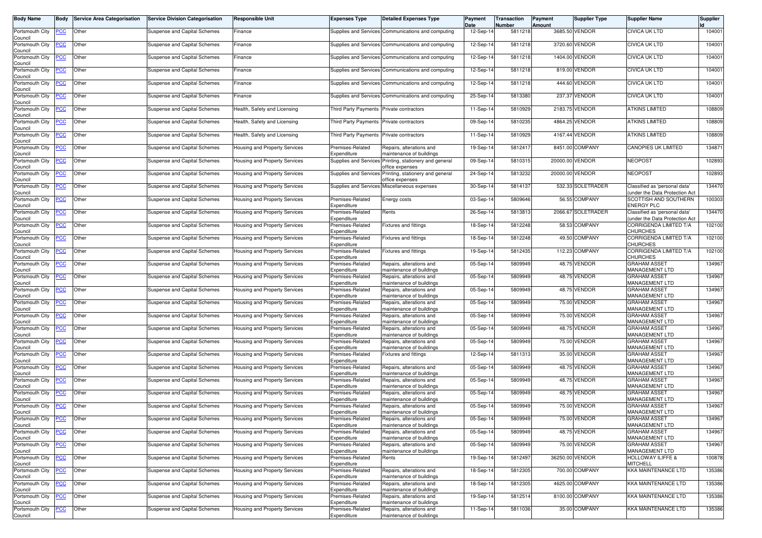| <b>Body Name</b>           | Body             | <b>Service Area Categorisation</b> | <b>Service Division Categorisation</b> | <b>Responsible Unit</b>              | <b>Expenses Type</b>                     | <b>Detailed Expenses Type</b>                                             | Payment<br>Date | Transaction<br>Number | Payment<br>Amount | <b>Supplier Type</b> | <b>Supplier Name</b>                                           | <b>Supplier</b> |
|----------------------------|------------------|------------------------------------|----------------------------------------|--------------------------------------|------------------------------------------|---------------------------------------------------------------------------|-----------------|-----------------------|-------------------|----------------------|----------------------------------------------------------------|-----------------|
| Portsmouth City<br>Council | PСC              | Other                              | Suspense and Capital Schemes           | Finance                              |                                          | Supplies and Services Communications and computing                        | 12-Sep-1        | 5811218               |                   | 3685.50 VENDOR       | <b>CIVICA UK LTD</b>                                           | 104001          |
| Portsmouth City<br>Council | <u>PCC</u>       | Other                              | Suspense and Capital Schemes           | Finance                              |                                          | Supplies and Services Communications and computing                        | 12-Sep-1        | 5811218               |                   | 3720.60 VENDOR       | <b>CIVICA UK LTD</b>                                           | 104001          |
| Portsmouth City<br>Council | <u>PCC</u>       | Other                              | Suspense and Capital Schemes           | Finance                              | Supplies and Services                    | Communications and computing                                              | 12-Sep-14       | 5811218               |                   | 1404.00 VENDOR       | <b>CIVICA UK LTD</b>                                           | 104001          |
| Portsmouth City<br>Council | <b>PCC</b>       | Other                              | Suspense and Capital Schemes           | Finance                              |                                          | Supplies and Services Communications and computing                        | 12-Sep-14       | 5811218               |                   | 819.00 VENDOR        | CIVICA UK LTD                                                  | 104001          |
| Portsmouth City<br>Council | <u>PCC</u>       | Other                              | Suspense and Capital Schemes           | Finance                              |                                          | Supplies and Services Communications and computing                        | 12-Sep-14       | 5811218               |                   | 444.60 VENDOR        | <b>CIVICA UK LTD</b>                                           | 104001          |
| Portsmouth City<br>Council | <u>PCC</u>       | Other                              | Suspense and Capital Schemes           | Finance                              |                                          | Supplies and Services Communications and computing                        | 25-Sep-14       | 5813380               |                   | 237.37 VENDOR        | <b>CIVICA UK LTD</b>                                           | 104001          |
| Portsmouth City<br>Council | <u>PCC</u>       | Other                              | Suspense and Capital Schemes           | Health, Safety and Licensing         | <b>Third Party Payments</b>              | Private contractors                                                       | 11-Sep-14       | 5810929               |                   | 2183.75 VENDOR       | <b>ATKINS LIMITED</b>                                          | 108809          |
| Portsmouth City<br>Council | <b>PCC</b>       | Other                              | Suspense and Capital Schemes           | Health, Safety and Licensing         | Third Party Payments Private contractors |                                                                           | 09-Sep-14       | 5810235               |                   | 4864.25 VENDOR       | <b>ATKINS LIMITED</b>                                          | 108809          |
| Portsmouth City<br>Council | <u>PCC</u>       | Other                              | Suspense and Capital Schemes           | Health, Safety and Licensing         | Third Party Payments Private contractors |                                                                           | 11-Sep-14       | 5810929               |                   | 4167.44 VENDOR       | <b>ATKINS LIMITED</b>                                          | 108809          |
| Portsmouth City<br>Council | <u>PCC</u>       | Other                              | Suspense and Capital Schemes           | Housing and Property Services        | Premises-Related<br>Expenditure          | Repairs, alterations and<br>naintenance of buildings                      | 19-Sep-14       | 5812417               |                   | 8451.00 COMPANY      | <b>CANOPIES UK LIMITED</b>                                     | 134871          |
| Portsmouth City<br>Council | <u>PCC</u>       | Other                              | Suspense and Capital Schemes           | Housing and Property Services        |                                          | Supplies and Services Printing, stationery and general<br>office expenses | 09-Sep-14       | 5810315               |                   | 20000.00 VENDOR      | <b>NEOPOST</b>                                                 | 102893          |
| Portsmouth City<br>Council | <u>PCC</u>       | Other                              | Suspense and Capital Schemes           | Housing and Property Services        |                                          | Supplies and Services Printing, stationery and general<br>office expenses | 24-Sep-14       | 5813232               |                   | 20000.00 VENDOR      | <b>NEOPOST</b>                                                 | 102893          |
| Portsmouth City<br>Council | <u>PCC</u>       | Other                              | Suspense and Capital Schemes           | Housing and Property Services        |                                          | Supplies and Services Miscellaneous expenses                              | 30-Sep-14       | 5814137               |                   | 532.33 SOLETRADER    | Classified as 'personal data'<br>under the Data Protection Act | 134470          |
| Portsmouth City<br>Council |                  | Other                              | Suspense and Capital Schemes           | Housing and Property Services        | Premises-Related<br>Expenditure          | Energy costs                                                              | 03-Sep-14       | 580964                |                   | 56.55 COMPANY        | SCOTTISH AND SOUTHERN<br><b>ENERGY PLC</b>                     | 100303          |
| Portsmouth City<br>Council | <u>PCC</u>       | Other                              | Suspense and Capital Schemes           | <b>Housing and Property Services</b> | Premises-Related<br>Expenditure          | Rents                                                                     | 26-Sep-14       | 5813813               |                   | 2066.67 SOLETRADER   | Classified as 'personal data'<br>under the Data Protection Act | 134470          |
| Portsmouth City<br>Council | <b>PCC</b>       | Other                              | Suspense and Capital Schemes           | Housing and Property Services        | Premises-Related<br>Expenditure          | Fixtures and fittings                                                     | 18-Sep-14       | 5812248               |                   | 58.53 COMPANY        | CORRIGENDA LIMITED T/A<br>CHURCHES                             | 102100          |
| Portsmouth City<br>Council | <u>PCC</u>       | Other                              | Suspense and Capital Schemes           | Housing and Property Services        | Premises-Related<br>Expenditure          | Fixtures and fittings                                                     | 18-Sep-14       | 5812248               |                   | 49.50 COMPANY        | CORRIGENDA LIMITED T/A<br>CHURCHES                             | 102100          |
| Portsmouth City<br>Council | <u>PCC</u>       | Other                              | Suspense and Capital Schemes           | Housing and Property Services        | Premises-Related<br>Expenditure          | Fixtures and fittings                                                     | 19-Sep-1        | 5812435               |                   | 112.23 COMPANY       | CORRIGENDA LIMITED T/A<br>CHURCHES                             | 102100          |
| Portsmouth City<br>Council | <u>PCC</u>       | Other                              | Suspense and Capital Schemes           | Housing and Property Services        | Premises-Related<br>Expenditure          | Repairs, alterations and<br>naintenance of buildings                      | 05-Sep-14       | 5809949               |                   | 48.75 VENDOR         | <b>GRAHAM ASSET</b><br>MANAGEMENT LTD                          | 134967          |
| Portsmouth City<br>Council | ∙сс              | Other                              | Suspense and Capital Schemes           | Housing and Property Services        | Premises-Related<br>Expenditure          | Repairs, alterations and<br>maintenance of buildings                      | 05-Sep-14       | 5809949               |                   | 48.75 VENDOR         | <b>GRAHAM ASSET</b><br><b>MANAGEMENT LTD</b>                   | 134967          |
| Portsmouth City<br>Council | <u>PCC</u>       | Other                              | Suspense and Capital Schemes           | Housing and Property Services        | Premises-Related<br>Expenditure          | Repairs, alterations and<br>maintenance of buildings                      | 05-Sep-14       | 5809949               |                   | 48.75 VENDOR         | <b>GRAHAM ASSET</b><br><b>MANAGEMENT LTD</b>                   | 134967          |
| Portsmouth City<br>Council | <u>PCC</u>       | Other                              | Suspense and Capital Schemes           | Housing and Property Services        | Premises-Related<br>Expenditure          | Repairs, alterations and<br>naintenance of buildings                      | 05-Sep-14       | 580994                |                   | 75.00 VENDOR         | <b>GRAHAM ASSET</b><br>MANAGEMENT LTD                          | 134967          |
| Portsmouth City<br>Council | <u>PCC</u>       | Other                              | Suspense and Capital Schemes           | Housing and Property Services        | Premises-Related<br>Expenditure          | Repairs, alterations and<br>naintenance of buildings                      | 05-Sep-14       | 5809949               |                   | 75.00 VENDOR         | <b>GRAHAM ASSET</b><br><b>MANAGEMENT LTD</b>                   | 134967          |
| Portsmouth City<br>Council | <u>PCC</u>       | Other                              | Suspense and Capital Schemes           | Housing and Property Services        | Premises-Related<br>Expenditure          | Repairs, alterations and<br>maintenance of buildings                      | 05-Sep-14       | 5809949               |                   | 48.75 VENDOR         | <b>GRAHAM ASSET</b><br>MANAGEMENT LTD                          | 134967          |
| Portsmouth City<br>Council | <u>PCC</u>       | Other                              | Suspense and Capital Schemes           | Housing and Property Services        | Premises-Related<br>Expenditure          | Repairs, alterations and<br>maintenance of buildings                      | 05-Sep-14       | 580994                |                   | 75.00 VENDOR         | <b>GRAHAM ASSET</b><br><b>MANAGEMENT LTD</b>                   | 134967          |
| Portsmouth City<br>Council | <u>PCC</u>       | Other                              | Suspense and Capital Schemes           | Housing and Property Services        | Premises-Related<br>Expenditure          | Fixtures and fittings                                                     | 12-Sep-14       | 5811313               |                   | 35.00 VENDOR         | <b>GRAHAM ASSET</b><br><b>MANAGEMENT LTD</b>                   | 134967          |
| Portsmouth City<br>Council | <u>PCC</u>       | Other                              | Suspense and Capital Schemes           | Housing and Property Services        | Premises-Related<br>Expenditure          | Repairs, alterations and<br>naintenance of buildings                      | 05-Sep-14       | 580994                |                   | 48.75 VENDOR         | <b>GRAHAM ASSET</b><br><b>MANAGEMENT LTD</b>                   | 134967          |
| Portsmouth City<br>Council | <u>PCC</u>       | Other                              | Suspense and Capital Schemes           | Housing and Property Services        | Premises-Related<br>Expenditure          | Repairs, alterations and<br>maintenance of buildings                      | 05-Sep-14       | 5809949               |                   | 48.75 VENDOR         | <b>GRAHAM ASSET</b><br><b>MANAGEMENT LTD</b>                   | 134967          |
| Portsmouth City<br>Council | <b>PCC</b>       | Other                              | Suspense and Capital Schemes           | Housing and Property Services        | Premises-Related<br>Expenditure          | Repairs, alterations and<br>maintenance of buildings                      | 05-Sep-14       | 5809949               |                   | 48.75 VENDOR         | <b>GRAHAM ASSET</b><br><b>MANAGEMENT LTD</b>                   | 134967          |
| Portsmouth City<br>Council | <b>PCC</b>       | Other                              | Suspense and Capital Schemes           | Housing and Property Services        | Premises-Related<br>Expenditure          | Repairs, alterations and<br>maintenance of buildings                      | 05-Sep-14       | 5809949               |                   | 75.00 VENDOR         | <b>GRAHAM ASSET</b><br><b>MANAGEMENT LTD</b>                   | 134967          |
| Portsmouth City<br>Council | <b>PCC</b>       | Other                              | Suspense and Capital Schemes           | Housing and Property Services        | Premises-Related<br>Expenditure          | Repairs, alterations and<br>maintenance of buildings                      | 05-Sep-14       | 5809949               |                   | 75.00 VENDOR         | <b>GRAHAM ASSET</b><br>MANAGEMENT LTD                          | 134967          |
| Portsmouth City<br>Council | <u>PCC</u>       | Other                              | Suspense and Capital Schemes           | Housing and Property Services        | Premises-Related<br>Expenditure          | Repairs, alterations and<br>maintenance of buildings                      | 05-Sep-14       | 5809949               |                   | 48.75 VENDOR         | <b>GRAHAM ASSET</b><br>MANAGEMENT LTD                          | 134967          |
| Portsmouth City<br>Council | <b>PCC</b>       | Other                              | Suspense and Capital Schemes           | Housing and Property Services        | Premises-Related<br>Expenditure          | Repairs, alterations and<br>maintenance of buildings                      | 05-Sep-14       | 5809949               |                   | 75.00 VENDOR         | <b>GRAHAM ASSET</b><br>MANAGEMENT LTD                          | 134967          |
| Portsmouth City<br>Council | $\overline{PCC}$ | Other                              | Suspense and Capital Schemes           | <b>Housing and Property Services</b> | Premises-Related<br>Expenditure          | Rents                                                                     | 19-Sep-14       | 5812497               |                   | 36250.00 VENDOR      | <b>HOLLOWAY ILIFFE &amp;</b><br><b>MITCHELL</b>                | 100878          |
| Portsmouth City<br>Council | <u>PCC</u>       | Other                              | Suspense and Capital Schemes           | Housing and Property Services        | Premises-Related<br>Expenditure          | Repairs, alterations and<br>naintenance of buildings                      | 18-Sep-14       | 5812305               |                   | 700.00 COMPANY       | <b>KKA MAINTENANCE LTD</b>                                     | 135386          |
| Portsmouth City<br>Council | <u>PCC</u>       | Other                              | Suspense and Capital Schemes           | Housing and Property Services        | Premises-Related<br>Expenditure          | Repairs, alterations and<br>maintenance of buildings                      | 18-Sep-14       | 5812305               |                   | 4625.00 COMPANY      | <b>KKA MAINTENANCE LTD</b>                                     | 135386          |
| Portsmouth City<br>Council | <b>PCC</b>       | Other                              | Suspense and Capital Schemes           | Housing and Property Services        | Premises-Related<br>Expenditure          | Repairs, alterations and<br>maintenance of buildings                      | 19-Sep-14       | 5812514               |                   | 8100.00 COMPANY      | KKA MAINTENANCE LTD                                            | 135386          |
| Portsmouth City<br>Council | <u>PCC</u>       | Other                              | Suspense and Capital Schemes           | Housing and Property Services        | Premises-Related<br>Expenditure          | Repairs, alterations and<br>maintenance of buildings                      | 11-Sep-14       | 5811036               |                   | 35.00 COMPANY        | KKA MAINTENANCE LTD                                            | 135386          |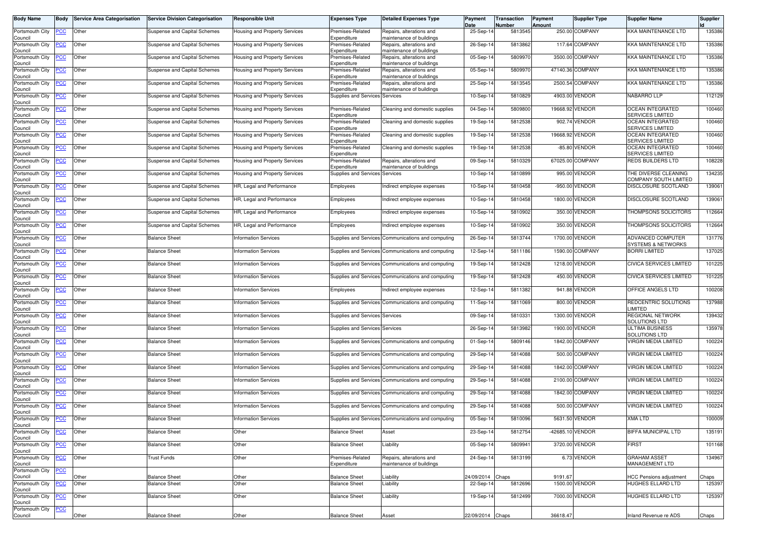| <b>Body Name</b>           | <b>Body</b> | <b>Service Area Categorisation</b> | <b>Service Division Categorisation</b>       | Responsible Unit              | <b>Expenses Type</b>                          | <b>Detailed Expenses Type</b>                        | Payment                 | Transaction       | Payment          | <b>Supplier Type</b> | <b>Supplier Name</b>                                | <b>Supplier</b> |
|----------------------------|-------------|------------------------------------|----------------------------------------------|-------------------------------|-----------------------------------------------|------------------------------------------------------|-------------------------|-------------------|------------------|----------------------|-----------------------------------------------------|-----------------|
| Portsmouth City            | PCC         | Other                              | Suspense and Capital Schemes                 | Housing and Property Services | Premises-Related                              | Repairs, alterations and                             | Date<br>25-Sep-14       | Number<br>5813545 | Amount           | 250.00 COMPANY       | <b>KKA MAINTENANCE LTD</b>                          | 135386          |
| Council<br>Portsmouth City | <b>PCC</b>  | Other                              | Suspense and Capital Schemes                 | Housing and Property Services | Expenditure<br>Premises-Related               | maintenance of buildings<br>Repairs, alterations and | 26-Sep-14               | 5813862           |                  | 117.64 COMPANY       | <b>KKA MAINTENANCE LTD</b>                          | 135386          |
| Council<br>Portsmouth City | <u>PCC</u>  | Other                              | Suspense and Capital Schemes                 | Housing and Property Services | Expenditure<br>Premises-Related               | maintenance of buildings<br>Repairs, alterations and | 05-Sep-14               | 5809970           |                  | 3500.00 COMPANY      | <b>KKA MAINTENANCE LTD</b>                          | 135386          |
| Council<br>Portsmouth City | <b>PCC</b>  | Other                              | Suspense and Capital Schemes                 | Housing and Property Services | Expenditure<br>Premises-Related               | maintenance of buildings<br>Repairs, alterations and | 05-Sep-14               | 5809970           |                  | 47140.36 COMPANY     | <b>KKA MAINTENANCE LTD</b>                          | 135386          |
| Council<br>Portsmouth City | <b>PCC</b>  | Other                              | Suspense and Capital Schemes                 | Housing and Property Services | Expenditure<br>Premises-Related               | maintenance of buildings<br>Repairs, alterations and | 25-Sep-14               | 5813545           |                  | 2500.54 COMPANY      | KKA MAINTENANCE LTD                                 | 135386          |
| Council<br>Portsmouth City | <b>PCC</b>  | Other                              | Suspense and Capital Schemes                 | Housing and Property Services | Expenditure<br>Supplies and Services Services | maintenance of buildings                             | 10-Sep-14               | 5810829           |                  | 4903.00 VENDOR       | NABARRO LLP                                         | 112129          |
| Council<br>Portsmouth City | <b>PCC</b>  | Other                              | Suspense and Capital Schemes                 | Housing and Property Services | Premises-Related                              | Cleaning and domestic supplies                       | 04-Sep-14               | 5809800           |                  | 19668.92 VENDOR      | <b>OCEAN INTEGRATED</b>                             | 100460          |
| Council<br>Portsmouth City | <u>PCC</u>  | Other                              | Suspense and Capital Schemes                 | Housing and Property Services | Expenditure<br>Premises-Related               | Cleaning and domestic supplies                       | 19-Sep-14               | 5812538           |                  | 902.74 VENDOR        | SERVICES LIMITED<br><b>OCEAN INTEGRATED</b>         | 100460          |
| Council<br>Portsmouth City | PCC         | Other                              | <b>Suspense and Capital Schemes</b>          | Housing and Property Services | Expenditure<br>Premises-Related               | Cleaning and domestic supplies                       | 19-Sep-14               | 5812538           | 19668.92 VENDOR  |                      | SERVICES LIMITED<br><b>OCEAN INTEGRATED</b>         | 100460          |
| Council<br>Portsmouth City | <u>PCC</u>  | Other                              | Suspense and Capital Schemes                 | Housing and Property Services | Expenditure<br>Premises-Related               | Cleaning and domestic supplies                       | 19-Sep-14               | 5812538           |                  | -85.80 VENDOR        | <b>SERVICES LIMITED</b><br><b>OCEAN INTEGRATED</b>  | 100460          |
| Council<br>Portsmouth City | PCC         | Other                              | Suspense and Capital Schemes                 | Housing and Property Services | Expenditure<br>Premises-Related               | Repairs, alterations and                             | 09-Sep-14               | 5810329           |                  | 67025.00 COMPANY     | SERVICES LIMITED<br>REDS BUILDERS LTD               | 108228          |
| Council<br>Portsmouth City | <u>PCC</u>  | Other                              | Suspense and Capital Schemes                 | Housing and Property Services | Expenditure<br>Supplies and Services Services | maintenance of buildings                             | 10-Sep-14               | 5810899           |                  | 995.00 VENDOR        | THE DIVERSE CLEANING                                | 134235          |
| Council                    |             |                                    |                                              |                               |                                               |                                                      |                         | 5810458           |                  | -950.00 VENDOR       | COMPANY SOUTH LIMITED<br>DISCLOSURE SCOTLAND        | 139061          |
| Portsmouth City<br>Council | <u>PCC</u>  | Other                              | <b>Suspense and Capital Schemes</b>          | HR, Legal and Performance     | Employees                                     | Indirect employee expenses                           | 10-Sep-14               |                   |                  |                      |                                                     |                 |
| Portsmouth City<br>Council | <u>PCC</u>  | Other                              | Suspense and Capital Schemes                 | HR, Legal and Performance     | Employees                                     | ndirect employee expenses                            | 10-Sep-14               | 5810458           |                  | 1800.00 VENDOR       | DISCLOSURE SCOTLAND                                 | 139061          |
| Portsmouth City<br>Council | <b>PCC</b>  | Other                              | Suspense and Capital Schemes                 | HR, Legal and Performance     | Employees                                     | Indirect employee expenses                           | 10-Sep-14               | 5810902           |                  | 350.00 VENDOR        | THOMPSONS SOLICITORS                                | 112664          |
| Portsmouth City<br>Council | ∍CC         | Other                              | Suspense and Capital Schemes                 | HR, Legal and Performance     | Employees                                     | Indirect employee expenses                           | 10-Sep-14               | 5810902           |                  | 350.00 VENDOR        | THOMPSONS SOLICITORS                                | 112664          |
| Portsmouth City<br>Council | <u>PCC</u>  | Other                              | <b>Balance Sheet</b>                         | <b>Information Services</b>   | Supplies and Services                         | Communications and computing                         | 26-Sep-14               | 5813744           |                  | 1700.00 VENDOR       | ADVANCED COMPUTER<br><b>SYSTEMS &amp; NETWORKS</b>  | 131776          |
| Portsmouth City<br>Council | <u>CC</u>   | Other                              | <b>Balance Sheet</b>                         | <b>Information Services</b>   |                                               | Supplies and Services Communications and computing   | 12-Sep-14               | 5811186           |                  | 1590.00 COMPANY      | <b>BORRI LIMITED</b>                                | 137025          |
| Portsmouth City<br>Council | <b>PCC</b>  | Other                              | <b>Balance Sheet</b>                         | <b>Information Services</b>   |                                               | Supplies and Services Communications and computing   | 19-Sep-14               | 5812428           |                  | 1218.00 VENDOR       | <b>CIVICA SERVICES LIMITED</b>                      | 101225          |
| Portsmouth City<br>Council | <u>PCC</u>  | Other                              | <b>Balance Sheet</b>                         | <b>Information Services</b>   |                                               | Supplies and Services Communications and computing   | 19-Sep-14               | 5812428           |                  | 450.00 VENDOR        | CIVICA SERVICES LIMITED                             | 101225          |
| Portsmouth City<br>Council | <u>PCC</u>  | Other                              | <b>Balance Sheet</b>                         | <b>Information Services</b>   | Employees                                     | Indirect employee expenses                           | 12-Sep-14               | 5811382           |                  | 941.88 VENDOR        | OFFICE ANGELS LTD                                   | 100208          |
| Portsmouth City<br>Council | PСC         | Other                              | <b>Balance Sheet</b>                         | <b>Information Services</b>   |                                               | Supplies and Services Communications and computing   | 11-Sep-14               | 5811069           |                  | 800.00 VENDOR        | REDCENTRIC SOLUTIONS<br><b>IMITED</b>               | 137988          |
| Portsmouth City<br>Council | <b>PCC</b>  | Other                              | <b>Balance Sheet</b>                         | <b>Information Services</b>   | Supplies and Services Services                |                                                      | 09-Sep-14               | 5810331           |                  | 1300.00 VENDOR       | REGIONAL NETWORK<br><b>SOLUTIONS LTD</b>            | 139432          |
| Portsmouth City<br>Council | <u>PCC</u>  | Other                              | <b>Balance Sheet</b>                         | <b>Information Services</b>   | Supplies and Services Services                |                                                      | 26-Sep-14               | 5813982           |                  | 1900.00 VENDOR       | <b>ULTIMA BUSINESS</b><br>SOLUTIONS LTD             | 135978          |
| Portsmouth City<br>Council | <b>PCC</b>  | Other                              | <b>Balance Sheet</b>                         | <b>Information Services</b>   |                                               | Supplies and Services Communications and computing   | 01-Sep-14               | 5809146           |                  | 1842.00 COMPANY      | <b>VIRGIN MEDIA LIMITED</b>                         | 100224          |
| Portsmouth City<br>Council | <u>PCC</u>  | Other                              | <b>Balance Sheet</b>                         | <b>Information Services</b>   |                                               | Supplies and Services Communications and computing   | 29-Sep-14               | 5814088           |                  | 500.00 COMPANY       | VIRGIN MEDIA LIMITED                                | 100224          |
| Portsmouth City<br>Council | <b>PCC</b>  | Other                              | <b>Balance Sheet</b>                         | <b>Information Services</b>   |                                               | Supplies and Services Communications and computing   | 29-Sep-14               | 5814088           |                  | 1842.00 COMPANY      | <b>VIRGIN MEDIA LIMITED</b>                         | 100224          |
| Portsmouth City<br>Council | <b>PCC</b>  | Other                              | <b>Balance Sheet</b>                         | <b>Information Services</b>   |                                               | Supplies and Services Communications and computing   | 29-Sep-14               | 5814088           |                  | 2100.00 COMPANY      | VIRGIN MEDIA LIMITED                                | 100224          |
| Portsmouth City<br>Council | <u>PCC</u>  | Other                              | <b>Balance Sheet</b>                         | <b>Information Services</b>   |                                               | Supplies and Services Communications and computing   | 29-Sep-14               | 5814088           |                  | 1842.00 COMPANY      | <b>VIRGIN MEDIA LIMITED</b>                         | 100224          |
| Portsmouth City<br>Council | <u>PCC</u>  | Other                              | <b>Balance Sheet</b>                         | <b>Information Services</b>   |                                               | Supplies and Services Communications and computing   | 29-Sep-14               | 5814088           |                  | 500.00 COMPANY       | <b>VIRGIN MEDIA LIMITED</b>                         | 100224          |
| Portsmouth City PCC Other  |             |                                    | <b>Balance Sheet</b>                         | <b>Information Services</b>   |                                               | Supplies and Services Communications and computing   | 05-Sep-14               | 5810096           |                  | 5631.50 VENDOR       | <b>XMA LTD</b>                                      | 100009          |
| Council<br>Portsmouth City | <b>PCC</b>  | Other                              | <b>Balance Sheet</b>                         | Other                         | <b>Balance Sheet</b>                          | Asset                                                | 23-Sep-14               | 5812754           | -42685.10 VENDOR |                      | <b>BIFFA MUNICIPAL LTD</b>                          | 135191          |
| Council<br>Portsmouth City | <b>PCC</b>  | Other                              | <b>Balance Sheet</b>                         | Other                         | <b>Balance Sheet</b>                          | Liability                                            | 05-Sep-14               | 5809941           |                  | 3720.00 VENDOR       | <b>FIRST</b>                                        | 101168          |
| Council<br>Portsmouth City | <b>PCC</b>  | Other                              | Trust Funds                                  | Other                         | Premises-Related                              | Repairs, alterations and                             | 24-Sep-14               | 5813199           |                  | 6.73 VENDOR          | <b>GRAHAM ASSET</b>                                 | 134967          |
| Council<br>Portsmouth City | <b>PCC</b>  |                                    |                                              |                               | Expenditure                                   | maintenance of buildings                             |                         |                   |                  |                      | <b>MANAGEMENT LTD</b>                               |                 |
| Council<br>Portsmouth City | <b>PCC</b>  | Other<br>Other                     | <b>Balance Sheet</b><br><b>Balance Sheet</b> | Other<br>Other                | <b>Balance Sheet</b><br><b>Balance Sheet</b>  | Liability<br>Liability                               | 24/09/2014<br>22-Sep-14 | Chaps<br>5812696  | 9191.67          | 1500.00 VENDOR       | <b>HCC Pensions adjustment</b><br>HUGHES ELLARD LTD | Chaps<br>125397 |
| Council<br>Portsmouth City | <b>PCC</b>  | Other                              | <b>Balance Sheet</b>                         | Other                         | <b>Balance Sheet</b>                          | Liability                                            | 19-Sep-14               | 5812499           |                  | 7000.00 VENDOR       | HUGHES ELLARD LTD                                   | 125397          |
| Council<br>Portsmouth City | <b>PCC</b>  |                                    |                                              |                               |                                               |                                                      |                         |                   |                  |                      |                                                     |                 |
| Council                    |             | Other                              | <b>Balance Sheet</b>                         | Other                         | <b>Balance Sheet</b>                          | Asset                                                | 22/09/2014 Chaps        |                   | 36618.47         |                      | Inland Revenue re ADS                               | Chaps           |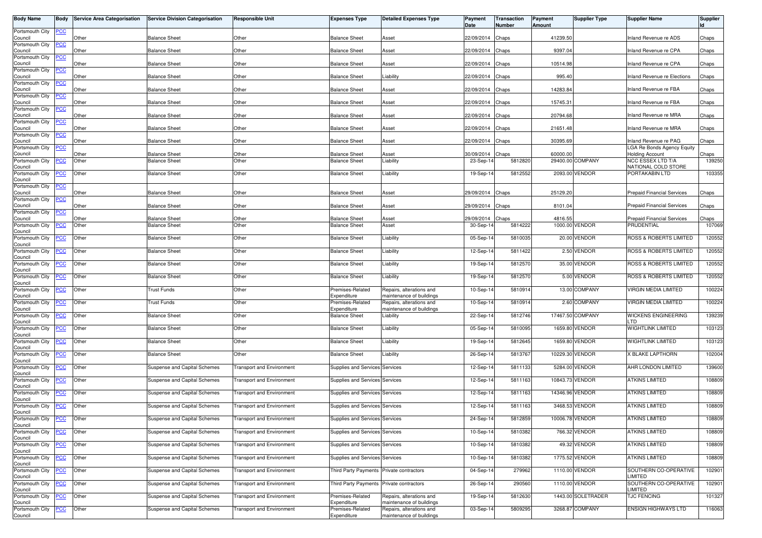| <b>Body Name</b>           | Body           | <b>Service Area Categorisation</b> | <b>Service Division Categorisation</b>       | Responsible Unit                 | <b>Expenses Type</b>                         | <b>Detailed Expenses Type</b>                        | Payment<br>Date         | <b>Transaction</b><br>Number | Payment<br><b>Amount</b> | <b>Supplier Type</b> | <b>Supplier Name</b>                        | <b>Supplier</b><br>ld |
|----------------------------|----------------|------------------------------------|----------------------------------------------|----------------------------------|----------------------------------------------|------------------------------------------------------|-------------------------|------------------------------|--------------------------|----------------------|---------------------------------------------|-----------------------|
| Portsmouth City<br>Council | <u>PCC</u>     | Other                              | <b>Balance Sheet</b>                         | Other                            | <b>Balance Sheet</b>                         | Asset                                                | 22/09/2014              | Chaps                        | 41239.50                 |                      | nland Revenue re ADS                        | Chaps                 |
| Portsmouth City<br>Council | <u>PCC</u>     | Other                              | <b>Balance Sheet</b>                         | Other                            | <b>Balance Sheet</b>                         | Asset                                                | 22/09/2014              | Chaps                        | 9397.04                  |                      | nland Revenue re CPA                        | Chaps                 |
| Portsmouth City<br>Council | <u>PCC</u>     | Other                              | <b>Balance Sheet</b>                         | Other                            | <b>Balance Sheet</b>                         | Asset                                                | 22/09/2014              | Chaps                        | 10514.98                 |                      | Inland Revenue re CPA                       | Chaps                 |
| Portsmouth City<br>Council | <u>CC</u>      | Other                              | <b>Balance Sheet</b>                         | Other                            | <b>Balance Sheet</b>                         | iability.                                            | 22/09/2014              | Chaps                        | 995.40                   |                      | nland Revenue re Elections                  | Chaps                 |
| Portsmouth City<br>Council | <b>PCC</b>     | Other                              | <b>Balance Sheet</b>                         | Other                            | <b>Balance Sheet</b>                         | Asset                                                | 22/09/2014              | Chaps                        | 14283.84                 |                      | Inland Revenue re FBA                       | Chaps                 |
| Portsmouth City<br>Council | <b>PCC</b>     | Other                              | <b>Balance Sheet</b>                         | Other                            | <b>Balance Sheet</b>                         | Asset                                                | 22/09/2014              | Chaps                        | 15745.31                 |                      | nland Revenue re FBA                        | Chaps                 |
| Portsmouth City<br>Council | <b>PCC</b>     | Other                              | <b>Balance Sheet</b>                         | Other                            | <b>Balance Sheet</b>                         | Asset                                                | 22/09/2014              | Chaps                        | 20794.68                 |                      | nland Revenue re MRA                        | Chaps                 |
| Portsmouth City<br>Council | <u>PCC</u>     | Other                              | <b>Balance Sheet</b>                         | Other                            | <b>Balance Sheet</b>                         | Asset                                                | 22/09/2014              | Chaps                        | 21651.48                 |                      | nland Revenue re MRA                        | Chaps                 |
| Portsmouth City<br>Council | <b>CC</b>      | Other                              | <b>Balance Sheet</b>                         | Other                            | <b>Balance Sheet</b>                         | Asset                                                | 22/09/2014              | Chaps                        | 30395.69                 |                      | nland Revenue re PAG                        | Chaps                 |
| Portsmouth City            | <u>PCC</u>     |                                    |                                              |                                  |                                              |                                                      |                         |                              |                          |                      | LGA Re Bonds Agency Equity                  |                       |
| Council<br>Portsmouth City | <u>PCC</u>     | Other<br>Other                     | <b>Balance Sheet</b><br><b>Balance Sheet</b> | Other<br>Other                   | <b>Balance Sheet</b><br><b>Balance Sheet</b> | Asset<br>iability.                                   | 30/09/2014<br>23-Sep-14 | Chaps<br>5812820             | 60000.00                 | 29400.00 COMPANY     | <b>Holding Account</b><br>NCC ESSEX LTD T/A | Chaps<br>139250       |
| Council<br>Portsmouth City | <u>PCC</u>     | Other                              | <b>Balance Sheet</b>                         | Other                            | <b>Balance Sheet</b>                         | Liability                                            | 19-Sep-14               | 5812552                      |                          | 2093.00 VENDOR       | NATIONAL COLD STORE<br>PORTAKABIN LTD       | 103355                |
| Council<br>Portsmouth City | <u>PCC</u>     |                                    |                                              |                                  |                                              |                                                      |                         |                              |                          |                      |                                             |                       |
| Council<br>Portsmouth City |                | Other                              | <b>Balance Sheet</b>                         | Other                            | <b>Balance Sheet</b>                         | Asset                                                | 29/09/2014              | Chaps                        | 25129.20                 |                      | <b>Prepaid Financial Services</b>           | Chaps                 |
| Council                    | <u>PCC</u>     | Other                              | <b>Balance Sheet</b>                         | Other                            | <b>Balance Sheet</b>                         | Asset                                                | 29/09/2014              | Chaps                        | 8101.04                  |                      | <b>Prepaid Financial Services</b>           | Chaps                 |
| Portsmouth City<br>Council | <u>PCC</u>     | Other                              | <b>Balance Sheet</b>                         | Other                            | <b>Balance Sheet</b>                         | Asset                                                | 29/09/2014              | Chaps                        | 4816.55                  |                      | <b>Prepaid Financial Services</b>           | Chaps                 |
| Portsmouth City<br>Council | <u>CC</u>      | Other                              | <b>Balance Sheet</b>                         | Other                            | <b>Balance Sheet</b>                         | Asset                                                | 30-Sep-14               | 5814222                      |                          | 1000.00 VENDOR       | PRUDENTIAL                                  | 10706                 |
| Portsmouth City<br>Council | <u>PCC</u>     | Other                              | <b>Balance Sheet</b>                         | Other                            | <b>Balance Sheet</b>                         | Liability                                            | 05-Sep-14               | 5810035                      |                          | 20.00 VENDOR         | ROSS & ROBERTS LIMITED                      | 120552                |
| Portsmouth City<br>Council | <b>PCC</b>     | Other                              | <b>Balance Sheet</b>                         | Other                            | <b>Balance Sheet</b>                         | Liability                                            | 12-Sep-14               | 5811422                      |                          | 2.50 VENDOR          | ROSS & ROBERTS LIMITED                      | 120552                |
| Portsmouth City<br>Council | <b>PCC</b>     | Other                              | <b>Balance Sheet</b>                         | Other                            | <b>Balance Sheet</b>                         | iability_                                            | 19-Sep-14               | 5812570                      |                          | 35.00 VENDOR         | ROSS & ROBERTS LIMITED                      | 120552                |
| Portsmouth City<br>Council | <u>PCC</u>     | Other                              | <b>Balance Sheet</b>                         | Other                            | <b>Balance Sheet</b>                         | Liability                                            | 19-Sep-14               | 581257                       |                          | 5.00 VENDOR          | ROSS & ROBERTS LIMITED                      | 120552                |
| Portsmouth City<br>Council | <b>PCC</b>     | Other                              | Trust Funds                                  | Other                            | Premises-Related<br>Expenditure              | Repairs, alterations and<br>maintenance of buildings | 10-Sep-14               | 581091                       |                          | 13.00 COMPANY        | VIRGIN MEDIA LIMITED                        | 100224                |
| Portsmouth City<br>Council | <u>PCC</u>     | Other                              | Trust Funds                                  | Other                            | Premises-Related<br>Expenditure              | Repairs, alterations and<br>naintenance of buildings | 10-Sep-14               | 581091                       |                          | 2.60 COMPANY         | VIRGIN MEDIA LIMITED                        | 100224                |
| Portsmouth City<br>Council | <u>PCC</u>     | Other                              | <b>Balance Sheet</b>                         | Other                            | <b>Balance Sheet</b>                         | iability.                                            | 22-Sep-14               | 5812746                      |                          | 17467.50 COMPANY     | WICKENS ENGINEERING<br>TD.                  | 139239                |
| Portsmouth City<br>Council | <u>CC</u>      | Other                              | <b>Balance Sheet</b>                         | Other                            | <b>Balance Sheet</b>                         | Liability                                            | 05-Sep-14               | 5810095                      |                          | 1659.80 VENDOR       | WIGHTLINK LIMITED                           | 103123                |
| Portsmouth City<br>Council | <u>PCC</u>     | Other                              | <b>Balance Sheet</b>                         | Other                            | <b>Balance Sheet</b>                         | Liability                                            | 19-Sep-14               | 5812645                      |                          | 1659.80 VENDOR       | WIGHTLINK LIMITED                           | 103123                |
| Portsmouth City<br>Council | <u>PCC</u>     | Other                              | <b>Balance Sheet</b>                         | Other                            | <b>Balance Sheet</b>                         | Liability                                            | 26-Sep-14               | 5813767                      |                          | 10229.30 VENDOR      | <b>(BLAKE LAPTHORN</b>                      | 102004                |
| Portsmouth City<br>Council | PCC            | Other                              | Suspense and Capital Schemes                 | <b>Transport and Environment</b> | Supplies and Services Services               |                                                      | 12-Sep-14               | 5811133                      |                          | 5284.00 VENDOR       | <b>AHR LONDON LIMITED</b>                   | 139600                |
| Portsmouth City<br>Council | <b>PCC</b>     | Other                              | Suspense and Capital Schemes                 | <b>Transport and Environment</b> | Supplies and Services Services               |                                                      | 12-Sep-14               | 5811163                      |                          | 10843.73 VENDOR      | ATKINS LIMITED                              | 108809                |
| Portsmouth City<br>Council | <u>PCC</u>     | Other                              | Suspense and Capital Schemes                 | <b>Transport and Environment</b> | Supplies and Services Services               |                                                      | 12-Sep-14               | 5811163                      | 14346.96 VENDOR          |                      | <b>ATKINS LIMITED</b>                       | 108809                |
| Portsmouth City<br>Council | <b>PCC</b>     | Other                              | Suspense and Capital Schemes                 | <b>Transport and Environment</b> | Supplies and Services Services               |                                                      | 12-Sep-14               | 5811163                      |                          | 3468.53 VENDOR       | <b>ATKINS LIMITED</b>                       | 108809                |
| Portsmouth City<br>Council |                | Other                              | Suspense and Capital Schemes                 | <b>Transport and Environment</b> | Supplies and Services Services               |                                                      | 24-Sep-14               | 5812859                      |                          | 10006.78 VENDOR      | <b>ATKINS LIMITED</b>                       | 108809                |
| Portsmouth City<br>Council | <b>CC</b>      | Other                              | <b>Suspense and Capital Schemes</b>          | <b>Transport and Environment</b> | Supplies and Services Services               |                                                      | 10-Sep-14               | 5810382                      |                          | 766.32 VENDOR        | ATKINS LIMITED                              | 108809                |
| Portsmouth City<br>Council | <u>PCC</u>     | Other                              | Suspense and Capital Schemes                 | <b>Transport and Environment</b> | Supplies and Services Services               |                                                      | 10-Sep-14               | 5810382                      |                          | 49.32 VENDOR         | <b>ATKINS LIMITED</b>                       | 108809                |
| Portsmouth City<br>Council | $\overline{C}$ | Other                              | Suspense and Capital Schemes                 | <b>Transport and Environment</b> | Supplies and Services Services               |                                                      | 10-Sep-14               | 5810382                      |                          | 1775.52 VENDOR       | ATKINS LIMITED                              | 108809                |
| Portsmouth City<br>Council | <u>PCC</u>     | Other                              | Suspense and Capital Schemes                 | <b>Transport and Environment</b> | <b>Third Party Payments</b>                  | Private contractors                                  | 04-Sep-14               | 279962                       |                          | 1110.00 VENDOR       | SOUTHERN CO-OPERATIVE<br>LIMITED            | 102901                |
| Portsmouth City<br>Council | <b>PCC</b>     | Other                              | Suspense and Capital Schemes                 | <b>Transport and Environment</b> | <b>Third Party Payments</b>                  | Private contractors                                  | 26-Sep-14               | 290560                       |                          | 1110.00 VENDOR       | SOUTHERN CO-OPERATIVE<br>LIMITED            | 102901                |
| Portsmouth City<br>Council | <u>PCC</u>     | Other                              | Suspense and Capital Schemes                 | <b>Transport and Environment</b> | Premises-Related<br>Expenditure              | Repairs, alterations and<br>maintenance of buildings | 19-Sep-14               | 5812630                      |                          | 1443.00 SOLETRADER   | <b>TJC FENCING</b>                          | 101327                |
| Portsmouth City<br>Council | <b>PCC</b>     | Other                              | Suspense and Capital Schemes                 | <b>Transport and Environment</b> | Premises-Related<br>Expenditure              | Repairs, alterations and<br>maintenance of buildings | 03-Sep-14               | 5809295                      |                          | 3268.87 COMPANY      | ENSIGN HIGHWAYS LTD                         | 116063                |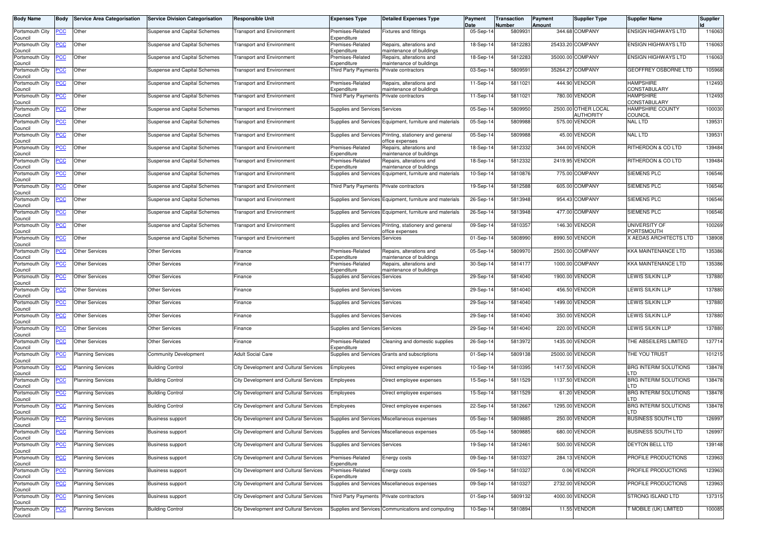| <b>Body Name</b>                      | Body           | <b>Service Area Categorisation</b> | <b>Service Division Categorisation</b> | <b>Responsible Unit</b>                | <b>Expenses Type</b>                          | <b>Detailed Expenses Type</b>                                  | Payment<br>Date | <b>Transaction</b><br>Number | Payment<br>Amount | <b>Supplier Type</b>                    | <b>Supplier Name</b>                 | <b>Supplier</b> |
|---------------------------------------|----------------|------------------------------------|----------------------------------------|----------------------------------------|-----------------------------------------------|----------------------------------------------------------------|-----------------|------------------------------|-------------------|-----------------------------------------|--------------------------------------|-----------------|
| Portsmouth City<br>Council            | <u>PCC</u>     | Other                              | Suspense and Capital Schemes           | <b>Transport and Environment</b>       | Premises-Related<br>Expenditure               | Fixtures and fittings                                          | 05-Sep-14       | 5809931                      |                   | 344.68 COMPANY                          | <b>ENSIGN HIGHWAYS LTD</b>           | 116063          |
| Portsmouth City<br>Council            | <u>CC</u>      | Other                              | Suspense and Capital Schemes           | <b>Transport and Environment</b>       | Premises-Related<br>Expenditure               | Repairs, alterations and<br>maintenance of buildings           | 18-Sep-1        | 5812283                      |                   | 25433.20 COMPANY                        | <b>ENSIGN HIGHWAYS LTD</b>           | 116063          |
| Portsmouth City<br>Council            | <u>'CC</u>     | Other                              | Suspense and Capital Schemes           | <b>Transport and Environment</b>       | Premises-Related<br>Expenditure               | Repairs, alterations and<br>naintenance of buildings           | 18-Sep-14       | 5812283                      |                   | 35000.00 COMPANY                        | <b>ENSIGN HIGHWAYS LTD</b>           | 116063          |
| Portsmouth City<br>Council            | <u>'CC</u>     | Other                              | Suspense and Capital Schemes           | <b>Transport and Environment</b>       | <b>Third Party Payments</b>                   | Private contractors                                            | 03-Sep-14       | 5809591                      |                   | 35264.27 COMPANY                        | GEOFFREY OSBORNE LTD                 | 105968          |
| Portsmouth City                       | <u>CC</u>      | Other                              | Suspense and Capital Schemes           | <b>Transport and Environment</b>       | Premises-Related<br>Expenditure               | Repairs, alterations and                                       | 11-Sep-14       | 5811021                      | 444.90            | <b>/ENDOR</b>                           | <b>HAMPSHIRE</b><br>CONSTABULARY     | 112493          |
| Council<br>Portsmouth City            | <u>'CC</u>     | Other                              | Suspense and Capital Schemes           | <b>Transport and Environment</b>       | Third Party Payments                          | maintenance of buildings<br>Private contractors                | 11-Sep-14       | 5811021                      |                   | 780.00 VENDOR                           | <b>HAMPSHIRE</b><br>CONSTABULARY     | 112493          |
| Council<br>Portsmouth City<br>Council | <u>CC</u>      | Other                              | Suspense and Capital Schemes           | <b>Transport and Environment</b>       | Supplies and Services Services                |                                                                | 05-Sep-14       | 5809950                      |                   | 2500.00 OTHER LOCAL<br><b>AUTHORITY</b> | HAMPSHIRE COUNTY<br><b>COUNCIL</b>   | 100030          |
| Portsmouth City                       | <u>PCC</u>     | Other                              | Suspense and Capital Schemes           | <b>Transport and Environment</b>       |                                               | Supplies and Services Equipment, furniture and materials       | $05-Sep-1$      | 5809988                      |                   | 575.00 VENDOR                           | <b>NAL LTD</b>                       | 139531          |
| Council<br>Portsmouth City            | <u>'CC</u>     | Other                              | Suspense and Capital Schemes           | <b>Transport and Environment</b>       |                                               | Supplies and Services Printing, stationery and general         | 05-Sep-14       | 5809988                      |                   | 45.00 VENDOR                            | <b>NAL LTD</b>                       | 139531          |
| Council<br>Portsmouth City            | <u>'CC</u>     | Other                              | Suspense and Capital Schemes           | <b>Transport and Environment</b>       | Premises-Related                              | office expenses<br>Repairs, alterations and                    | 18-Sep-14       | 5812332                      |                   | 344.00 VENDOR                           | RITHERDON & CO LTD                   | 139484          |
| Council<br>Portsmouth City            | <u>CC</u>      | Other                              | Suspense and Capital Schemes           | <b>Transport and Environment</b>       | Expenditure<br>Premises-Related               | maintenance of buildings<br>Repairs, alterations and           | 18-Sep-14       | 5812332                      |                   | 2419.95 VENDOR                          | RITHERDON & CO LTD                   | 139484          |
| Council<br>Portsmouth City            | <u>'СС</u>     | Other                              | Suspense and Capital Schemes           | <b>Transport and Environment</b>       | Expenditure<br><b>Supplies and Services</b>   | maintenance of buildings<br>Equipment, furniture and materials | 10-Sep-14       | 5810876                      |                   | 775.00 COMPANY                          | <b>SIEMENS PLC</b>                   | 106546          |
| Council<br>Portsmouth City            | <u>CC</u>      | Other                              | Suspense and Capital Schemes           | <b>Transport and Environment</b>       | Third Party Payments Private contractors      |                                                                | 19-Sep-14       | 5812588                      |                   | 605.00 COMPANY                          | SIEMENS PLC                          | 106546          |
| Council<br>Portsmouth City            | <u>'CC</u>     | Other                              | Suspense and Capital Schemes           | <b>Transport and Environment</b>       |                                               | Supplies and Services Equipment, furniture and materials       | 26-Sep-14       | 5813948                      |                   | 954.43 COMPANY                          | <b>SIEMENS PLC</b>                   | 106546          |
| Council<br>Portsmouth City            | <u>'CC</u>     | Other                              | Suspense and Capital Schemes           | <b>Transport and Environment</b>       |                                               | Supplies and Services Equipment, furniture and materials       | 26-Sep-14       | 5813948                      |                   | 477.00 COMPANY                          | <b>SIEMENS PLC</b>                   | 106546          |
| Council<br>Portsmouth City            | <u>CC</u>      | Other                              | Suspense and Capital Schemes           | <b>Transport and Environment</b>       |                                               | Supplies and Services Printing, stationery and general         | 09-Sep-14       | 581035                       |                   | 146.30 VENDOR                           | <b>UNIVERSITY OF</b>                 | 100269          |
| Council<br>Portsmouth City            | <u>'СС</u>     | Other                              | Suspense and Capital Schemes           | <b>Transport and Environment</b>       | Supplies and Services Services                | office expenses                                                | 01-Sep-14       | 5808990                      |                   | 8990.50 VENDOR                          | PORTSMOUTH<br>X AEDAS ARCHITECTS LTD | 138908          |
| Council<br>Portsmouth City            | <u>'CC</u>     | <b>Other Services</b>              | <b>Other Services</b>                  | Finance                                | Premises-Related                              | Repairs, alterations and                                       | 05-Sep-14       | 580997                       |                   | 2500.00 COMPANY                         | <b>KKA MAINTENANCE LTD</b>           | 135386          |
| Council<br>Portsmouth City            | <u>'CC</u>     | <b>Other Services</b>              | Other Services                         | Finance                                | Expenditure<br>Premises-Related               | maintenance of buildings<br>Repairs, alterations and           | 30-Sep-14       | 5814177                      |                   | 1000.00 COMPANY                         | <b>KKA MAINTENANCE LTD</b>           | 135386          |
| Council<br>Portsmouth City            | <u>'CC</u>     | <b>Other Services</b>              | <b>Other Services</b>                  | Finance                                | Expenditure<br>Supplies and Services Services | maintenance of buildings                                       | 29-Sep-14       | 5814040                      |                   | 1900.00 VENDOR                          | <b>LEWIS SILKIN LLP</b>              | 137880          |
| Council<br>Portsmouth City            | <u>'CC</u>     | Other Services                     | <b>Other Services</b>                  | Finance                                | Supplies and Services Services                |                                                                | 29-Sep-14       | 5814040                      | 456.50            | <b>/ENDOR</b>                           | LEWIS SILKIN LLP                     | 137880          |
| Council<br>Portsmouth City<br>Council | <u>'CC</u>     | <b>Other Services</b>              | <b>Other Services</b>                  | Finance                                | Supplies and Services Services                |                                                                | 29-Sep-14       | 5814040                      |                   | 1499.00 VENDOR                          | <b>LEWIS SILKIN LLP</b>              | 137880          |
| Portsmouth City<br>Council            | сC             | Other Services                     | Other Services                         | Finance                                | Supplies and Services Services                |                                                                | 29-Sep-1        | 5814040                      |                   | 350.00 VENDOR                           | LEWIS SILKIN LLP                     | 137880          |
| Portsmouth City<br>Council            | <u>'CC</u>     | Other Services                     | <b>Other Services</b>                  | Finance                                | Supplies and Services Services                |                                                                | 29-Sep-14       | 5814040                      |                   | 220.00 VENDOR                           | LEWIS SILKIN LLP                     | 137880          |
| Portsmouth City<br>Council            | сC             | <b>Other Services</b>              | Other Services                         | Finance                                | Premises-Related<br>Expenditure               | Cleaning and domestic supplies                                 | 26-Sep-14       | 5813972                      |                   | 1435.00 VENDOR                          | THE ABSEILERS LIMITED                | 137714          |
| Portsmouth City<br>Council            | <u>CC</u>      | <b>Planning Services</b>           | <b>Community Development</b>           | <b>Adult Social Care</b>               |                                               | Supplies and Services Grants and subscriptions                 | 01-Sep-14       | 5809138                      |                   | 25000.00 VENDOR                         | THE YOU TRUST                        | 101215          |
| Portsmouth City<br>Council            | <u>'CC</u>     | <b>Planning Services</b>           | <b>Building Control</b>                | City Development and Cultural Services | Employees                                     | Direct employee expenses                                       | 10-Sep-14       | 5810395                      |                   | 1417.50 VENDOR                          | <b>BRG INTERIM SOLUTIONS</b><br>. TD | 138478          |
| Portsmouth City<br>Council            | <u>сс</u>      | <b>Planning Services</b>           | <b>Building Control</b>                | City Development and Cultural Services | Employees                                     | Direct employee expenses                                       | 15-Sep-14       | 5811529                      |                   | 1137.50 VENDOR                          | <b>BRG INTERIM SOLUTIONS</b><br>_TD  | 138478          |
| Portsmouth City<br>Council            | <u>CC </u>     | <b>Planning Services</b>           | <b>Building Control</b>                | City Development and Cultural Services | Employees                                     | Direct employee expenses                                       | 15-Sep-14       | 5811529                      |                   | 61.20 VENDOR                            | <b>BRG INTERIM SOLUTIONS</b><br>. TD | 138478          |
| Portsmouth City<br>Council            | <u>PCC</u>     | <b>Planning Services</b>           | <b>Building Control</b>                | City Development and Cultural Services | Employees                                     | Direct employee expenses                                       | 22-Sep-14       | 5812667                      |                   | 1295.00 VENDOR                          | <b>BRG INTERIM SOLUTIONS</b><br>LTD  | 138478          |
| Portsmouth City<br>Council            |                | <b>PCC</b> Planning Services       | <b>Business support</b>                | City Development and Cultural Services |                                               | Supplies and Services Miscellaneous expenses                   | 05-Sep-14       | 5809885                      |                   | 250.00 VENDOR                           | <b>BUSINESS SOUTH LTD</b>            | 126997          |
| Portsmouth City<br>Council            | <u>CC</u>      | <b>Planning Services</b>           | <b>Business support</b>                | City Development and Cultural Services |                                               | Supplies and Services Miscellaneous expenses                   | 05-Sep-14       | 5809885                      |                   | 680.00 VENDOR                           | <b>BUSINESS SOUTH LTD</b>            | 126997          |
| Portsmouth City<br>Council            | <u>CC</u>      | <b>Planning Services</b>           | <b>Business support</b>                | City Development and Cultural Services | Supplies and Services Services                |                                                                | 19-Sep-14       | 5812461                      |                   | 500.00 VENDOR                           | <b>DEYTON BELL LTD</b>               | 139148          |
| Portsmouth City<br>Council            | $\overline{C}$ | <b>Planning Services</b>           | Business support                       | City Development and Cultural Services | Premises-Related<br>Expenditure               | Energy costs                                                   | 09-Sep-14       | 5810327                      |                   | 284.13 VENDOR                           | PROFILE PRODUCTIONS                  | 123963          |
| Portsmouth City<br>Council            | <u>CC</u>      | <b>Planning Services</b>           | <b>Business support</b>                | City Development and Cultural Services | Premises-Related<br>Expenditure               | Energy costs                                                   | 09-Sep-14       | 5810327                      |                   | 0.06 VENDOR                             | PROFILE PRODUCTIONS                  | 123963          |
| Portsmouth City<br>Council            | <u>'CC</u>     | <b>Planning Services</b>           | <b>Business support</b>                | City Development and Cultural Services |                                               | Supplies and Services Miscellaneous expenses                   | 09-Sep-14       | 5810327                      |                   | 2732.00 VENDOR                          | PROFILE PRODUCTIONS                  | 123963          |
| Portsmouth City<br>Council            | <u>'CC</u>     | <b>Planning Services</b>           | <b>Business support</b>                | City Development and Cultural Services | Third Party Payments                          | Private contractors                                            | 01-Sep-14       | 5809132                      |                   | 4000.00 VENDOR                          | STRONG ISLAND LTD                    | 137315          |
| Portsmouth City<br>Council            | <u>'CC</u>     | <b>Planning Services</b>           | <b>Building Control</b>                | City Development and Cultural Services |                                               | Supplies and Services Communications and computing             | 10-Sep-14       | 5810894                      |                   | 11.55 VENDOR                            | T MOBILE (UK) LIMITED                | 100085          |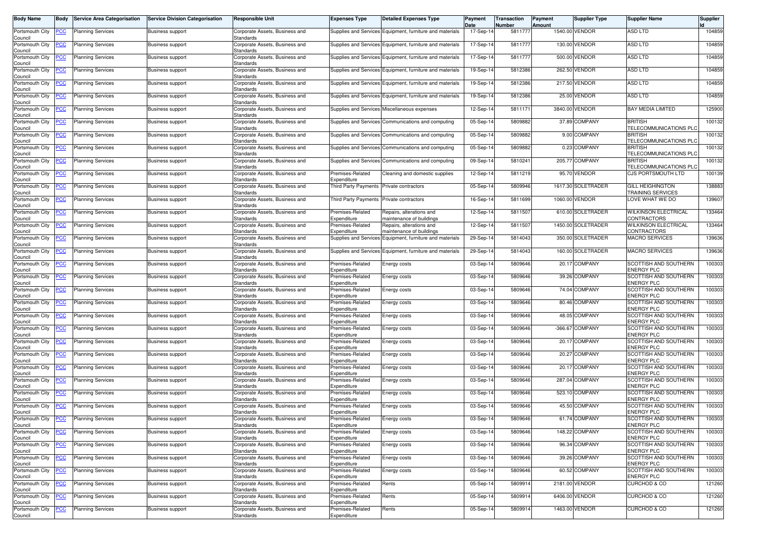| Body Name                  | Body           | <b>Service Area Categorisation</b>           | <b>Service Division Categorisation</b> | Responsible Unit                                   | <b>Expenses Type</b>            | <b>Detailed Expenses Type</b>                            | Payment<br>Date | Transaction<br>Number | Payment<br>Amount | <b>Supplier Type</b> | <b>Supplier Name</b>                         | Supplier |
|----------------------------|----------------|----------------------------------------------|----------------------------------------|----------------------------------------------------|---------------------------------|----------------------------------------------------------|-----------------|-----------------------|-------------------|----------------------|----------------------------------------------|----------|
| Portsmouth City<br>Council | <u>'СС</u>     | <b>Planning Services</b>                     | <b>Business support</b>                | Corporate Assets, Business and<br>Standards        |                                 | Supplies and Services Equipment, furniture and materials | 17-Sep-14       | 5811777               |                   | 1540.00 VENDOR       | ASD LTD                                      | 104859   |
| Portsmouth City<br>Council | <u>'CC</u>     | <b>Planning Services</b>                     | <b>Business support</b>                | Corporate Assets, Business and<br>Standards        |                                 | Supplies and Services Equipment, furniture and materials | 17-Sep-14       | 5811777               |                   | 130.00 VENDOR        | ASD LTD                                      | 104859   |
| Portsmouth City<br>Council | <u>'СС</u>     | <b>Planning Services</b>                     | <b>Business support</b>                | Corporate Assets, Business and<br>Standards        |                                 | Supplies and Services Equipment, furniture and materials | 17-Sep-1        | 5811777               | 500.00            | VENDOR               | ASD LTD                                      | 104859   |
| Portsmouth City<br>Council | <u>'CC</u>     | <b>Planning Services</b>                     | <b>Business support</b>                | Corporate Assets, Business and<br>Standards        |                                 | Supplies and Services Equipment, furniture and materials | 19-Sep-14       | 5812386               |                   | 262.50 VENDOR        | ASD LTD                                      | 104859   |
| Portsmouth City<br>Council | <u>'CC</u>     | <b>Planning Services</b>                     | <b>Business support</b>                | Corporate Assets, Business and<br>Standards        |                                 | Supplies and Services Equipment, furniture and materials | 19-Sep-14       | 5812386               | 217.50            | <b>VENDOR</b>        | <b>ASD LTD</b>                               | 104859   |
| Portsmouth City<br>Council | <u>'CC</u>     | <b>Planning Services</b>                     | <b>Business support</b>                | Corporate Assets, Business and<br>Standards        |                                 | Supplies and Services Equipment, furniture and materials | 19-Sep-14       | 5812386               |                   | 25.00 VENDOR         | ASD LTD                                      | 104859   |
| Portsmouth City<br>Council | <u>CC</u>      | Planning Services                            | Business support                       | Corporate Assets, Business and<br>Standards        | Supplies and Services           | Miscellaneous expenses                                   | 12-Sep-14       | 581117                |                   | 3840.00 VENDOR       | <b>BAY MEDIA LIMITED</b>                     | 125900   |
| Portsmouth City<br>Council | <u>'CC</u>     | <b>Planning Services</b>                     | <b>Business support</b>                | Corporate Assets, Business and<br>Standards        | <b>Supplies and Services</b>    | Communications and computing                             | 05-Sep-14       | 5809882               |                   | 37.89 COMPANY        | <b>BRITISH</b><br>TELECOMMUNICATIONS PLO     | 100132   |
| Portsmouth City<br>Council | <u>'CC</u>     | <b>Planning Services</b>                     | <b>Business support</b>                | Corporate Assets, Business and<br>Standards        | Supplies and Services           | Communications and computing                             | 05-Sep-14       | 5809882               |                   | 9.00 COMPANY         | <b>BRITISH</b><br>TELECOMMUNICATIONS PLO     | 100132   |
| Portsmouth City<br>Council | <u>CC</u>      | <b>Planning Services</b>                     | <b>Business support</b>                | Corporate Assets, Business and<br>Standards        |                                 | Supplies and Services Communications and computing       | 05-Sep-14       | 5809882               |                   | 0.23 COMPANY         | <b>BRITISH</b><br>TELECOMMUNICATIONS PLC     | 100132   |
| Portsmouth City<br>Council | <u>'СС</u>     | <b>Planning Services</b>                     | <b>Business support</b>                | Corporate Assets, Business and<br>Standards        |                                 | Supplies and Services Communications and computing       | 09-Sep-14       | 581024                |                   | 205.77 COMPANY       | <b>BRITISH</b><br>TELECOMMUNICATIONS PLC     | 100132   |
| Portsmouth City<br>Council | <u>'CC</u>     | <b>Planning Services</b>                     | <b>Business support</b>                | Corporate Assets, Business and<br>Standards        | Premises-Related<br>Expenditure | Cleaning and domestic supplies                           | 12-Sep-14       | 5811219               |                   | 95.70 VENDOR         | CJS PORTSMOUTH LTD                           | 100139   |
| Portsmouth City<br>Council | <u>'СС</u>     | <b>Planning Services</b>                     | Business support                       | Corporate Assets, Business and<br>Standards        | Third Party Payments            | Private contractors                                      | 05-Sep-14       | 5809946               |                   | 1617.30 SOLETRADER   | <b>GILL HEIGHINGTON</b><br>TRAINING SERVICES | 138883   |
| ortsmouth City<br>Council  | <u>'СС</u>     | <b>Planning Services</b>                     | Business support                       | Corporate Assets, Business and<br>Standards        | Third Party Payments            | Private contractors                                      | 16-Sep-14       | 5811699               |                   | 1060.00 VENDOR       | LOVE WHAT WE DO                              | 139607   |
| Portsmouth City<br>Council | <u>PCC</u>     | <b>Planning Services</b>                     | <b>Business support</b>                | Corporate Assets, Business and<br><b>Standards</b> | Premises-Related<br>Expenditure | Repairs, alterations and<br>maintenance of buildings     | 12-Sep-14       | 5811507               |                   | 610.00 SOLETRADER    | <b>WILKINSON ELECTRICAL</b><br>CONTRACTORS   | 133464   |
| Portsmouth City<br>Council | <u>'CC</u>     | <b>Planning Services</b>                     | <b>Business support</b>                | Corporate Assets, Business and<br>Standards        | Premises-Related<br>Expenditure | Repairs, alterations and<br>maintenance of buildings     | 12-Sep-14       | 581150                |                   | 1450.00 SOLETRADER   | <b>WILKINSON ELECTRICAL</b><br>CONTRACTORS   | 133464   |
| Portsmouth City<br>Council | <u>cc</u>      | <b>Planning Services</b>                     | Business support                       | Corporate Assets, Business and<br>Standards        | Supplies and Service:           | Equipment, furniture and materials                       | 29-Sep-14       | 5814043               |                   | 350.00 SOLETRADER    | <b>MACRO SERVICES</b>                        | 139636   |
| Portsmouth City<br>Council | <u>'CC</u>     | <b>Planning Services</b>                     | <b>Business support</b>                | Corporate Assets, Business and<br>Standards        |                                 | Supplies and Services Equipment, furniture and materials | 29-Sep-14       | 5814043               |                   | 160.00 SOLETRADER    | <b>MACRO SERVICES</b>                        | 139636   |
| Portsmouth City<br>Council | <u>'CC</u>     | <b>Planning Services</b>                     | Business support                       | Corporate Assets, Business and<br>Standards        | Premises-Related<br>Expenditure | Energy costs                                             | 03-Sep-14       | 5809646               |                   | 20.17 COMPANY        | SCOTTISH AND SOUTHERN<br><b>ENERGY PLC</b>   | 100303   |
| Portsmouth City<br>Council | <u>CC</u>      | <b>Planning Services</b>                     | <b>Business support</b>                | Corporate Assets, Business and<br>Standards        | Premises-Related<br>Expenditure | Energy costs                                             | 03-Sep-14       | 5809646               |                   | 39.26 COMPANY        | SCOTTISH AND SOUTHERN<br><b>ENERGY PLC</b>   | 100303   |
| Portsmouth City<br>Council | <u>'СС</u>     | <b>Planning Services</b>                     | <b>Business support</b>                | Corporate Assets, Business and<br>Standards        | Premises-Related<br>Expenditure | Energy costs                                             | 03-Sep-14       | 5809646               |                   | 74.04 COMPANY        | SCOTTISH AND SOUTHERN<br><b>ENERGY PLC</b>   | 100303   |
| Portsmouth City<br>Council | <u>cc</u>      | <b>Planning Services</b>                     | <b>Business support</b>                | Corporate Assets, Business and<br>Standards        | Premises-Related<br>Expenditure | Energy costs                                             | 03-Sep-14       | 5809646               |                   | 80.46 COMPANY        | SCOTTISH AND SOUTHERN<br><b>ENERGY PLC</b>   | 100303   |
| Portsmouth City<br>Council | <u>'CC</u>     | <b>Planning Services</b>                     | <b>Business support</b>                | Corporate Assets, Business and<br>Standards        | Premises-Related<br>Expenditure | <b>Energy costs</b>                                      | 03-Sep-14       | 5809646               |                   | 48.05 COMPANY        | SCOTTISH AND SOUTHERN<br><b>ENERGY PLC</b>   | 100303   |
| Portsmouth City<br>Council | <u>'СС</u>     | <b>Planning Services</b>                     | Business support                       | Corporate Assets, Business and<br>Standards        | Premises-Related<br>Expenditure | Energy costs                                             | 03-Sep-14       | 5809646               | $-366.67$         | COMPANY              | SCOTTISH AND SOUTHERN<br><b>ENERGY PLC</b>   | 100303   |
| Portsmouth City<br>Council | <u>'СС</u>     | <b>Planning Services</b>                     | <b>Business support</b>                | Corporate Assets, Business and<br>Standards        | Premises-Related<br>Expenditure | Energy costs                                             | 03-Sep-14       | 5809646               |                   | 20.17 COMPANY        | SCOTTISH AND SOUTHERN<br><b>ENERGY PLC</b>   | 100303   |
| Portsmouth City<br>Council | <u>PCC</u>     | <b>Planning Services</b>                     | <b>Business support</b>                | Corporate Assets, Business and<br>Standards        | Premises-Related<br>Expenditure | Energy costs                                             | 03-Sep-14       | 5809646               | 20.27             | <b>COMPANY</b>       | SCOTTISH AND SOUTHERN<br><b>ENERGY PLC</b>   | 100303   |
| Portsmouth City<br>Council | <u>'CC</u>     | <b>Planning Services</b>                     | <b>Business support</b>                | Corporate Assets, Business and<br>Standards        | Premises-Related<br>Expenditure | Energy costs                                             | 03-Sep-14       | 5809646               |                   | 20.17 COMPANY        | SCOTTISH AND SOUTHERN<br><b>ENERGY PLC</b>   | 100303   |
| Portsmouth City<br>Council | <u>CC</u>      | <b>Planning Services</b>                     | <b>Business support</b>                | Corporate Assets, Business and<br>Standards        | Premises-Related<br>Expenditure | Energy costs                                             | 03-Sep-14       | 5809646               |                   | 287.04 COMPANY       | SCOTTISH AND SOUTHERN<br><b>ENERGY PLC</b>   | 100303   |
| Portsmouth City<br>Council | <u>'СС</u>     | <b>Planning Services</b>                     | <b>Business support</b>                | Corporate Assets, Business and<br>Standards        | Premises-Related<br>Expenditure | Energy costs                                             | 03-Sep-14       | 5809646               |                   | 523.10 COMPANY       | SCOTTISH AND SOUTHERN<br><b>ENERGY PLC</b>   | 100303   |
| Portsmouth City<br>Council | <u>'СС</u>     | <b>Planning Services</b>                     | Business support                       | Corporate Assets, Business and<br>Standards        | Premises-Related<br>Expenditure | Energy costs                                             | 03-Sep-14       | 5809646               |                   | 45.50 COMPANY        | SCOTTISH AND SOUTHERN<br><b>ENERGY PLC</b>   | 100303   |
| Council                    |                | Portsmouth City <b>PCC</b> Planning Services | <b>Business support</b>                | Corporate Assets, Business and<br>Standards        | Premises-Related<br>Expenditure | Energy costs                                             | 03-Sep-14       | 5809646               |                   | 61.74 COMPANY        | SCOTTISH AND SOUTHERN<br><b>ENERGY PLC</b>   | 100303   |
| Portsmouth City<br>Council | <b>CC</b>      | <b>Planning Services</b>                     | <b>Business support</b>                | Corporate Assets, Business and<br>Standards        | Premises-Related<br>Expenditure | Energy costs                                             | 03-Sep-14       | 5809646               |                   | 148.22 COMPANY       | SCOTTISH AND SOUTHERN<br><b>ENERGY PLC</b>   | 100303   |
| Portsmouth City<br>Council | <u>'CC</u>     | <b>Planning Services</b>                     | <b>Business support</b>                | Corporate Assets, Business and<br><b>Standards</b> | Premises-Related<br>Expenditure | Energy costs                                             | 03-Sep-14       | 5809646               |                   | 96.34 COMPANY        | SCOTTISH AND SOUTHERN<br><b>ENERGY PLC</b>   | 100303   |
| Portsmouth City<br>Council | $\overline{C}$ | <b>Planning Services</b>                     | <b>Business support</b>                | Corporate Assets, Business and<br>Standards        | Premises-Related<br>Expenditure | Energy costs                                             | 03-Sep-14       | 5809646               |                   | 39.26 COMPANY        | SCOTTISH AND SOUTHERN<br><b>ENERGY PLC</b>   | 100303   |
| Portsmouth City<br>Council | <u>CC</u>      | <b>Planning Services</b>                     | <b>Business support</b>                | Corporate Assets, Business and<br>Standards        | Premises-Related<br>Expenditure | Energy costs                                             | 03-Sep-14       | 5809646               |                   | 60.52 COMPANY        | SCOTTISH AND SOUTHERN<br><b>ENERGY PLC</b>   | 100303   |
| Portsmouth City<br>Council | <u>CC</u>      | <b>Planning Services</b>                     | <b>Business support</b>                | Corporate Assets, Business and<br>Standards        | Premises-Related<br>Expenditure | Rents                                                    | 05-Sep-14       | 5809914               |                   | 2181.00 VENDOR       | <b>CURCHOD &amp; CO</b>                      | 121260   |
| Portsmouth City<br>Council | <u>'CC</u>     | <b>Planning Services</b>                     | <b>Business support</b>                | Corporate Assets, Business and<br>Standards        | Premises-Related<br>Expenditure | Rents                                                    | 05-Sep-14       | 5809914               |                   | 6406.00 VENDOR       | <b>CURCHOD &amp; CO</b>                      | 121260   |
| Portsmouth City<br>Council | <u>'CC</u>     | <b>Planning Services</b>                     | <b>Business support</b>                | Corporate Assets, Business and<br>Standards        | Premises-Related<br>Expenditure | Rents                                                    | 05-Sep-14       | 5809914               |                   | 1463.00 VENDOR       | CURCHOD & CO                                 | 121260   |
|                            |                |                                              |                                        |                                                    |                                 |                                                          |                 |                       |                   |                      |                                              |          |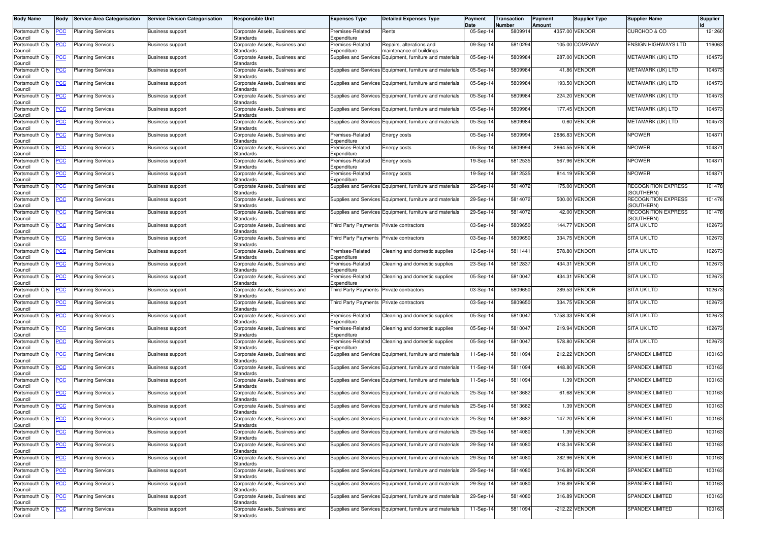| <b>Body Name</b>                      | Body           | <b>Service Area Categorisation</b>           | <b>Service Division Categorisation</b> | Responsible Unit                                   | <b>Expenses Type</b>                | <b>Detailed Expenses Type</b>                            | Payment<br>Date | Transaction<br>Number | Payment<br>Amount | <b>Supplier Type</b> | <b>Supplier Name</b>                     | Supplier |
|---------------------------------------|----------------|----------------------------------------------|----------------------------------------|----------------------------------------------------|-------------------------------------|----------------------------------------------------------|-----------------|-----------------------|-------------------|----------------------|------------------------------------------|----------|
| Portsmouth City<br>Council            | <u>'СС</u>     | <b>Planning Services</b>                     | <b>Business support</b>                | Corporate Assets, Business and<br>Standards        | Premises-Related<br>Expenditure     | Rents                                                    | 05-Sep-14       | 580991                |                   | 4357.00 VENDOR       | <b>CURCHOD &amp; CO</b>                  | 121260   |
| Portsmouth City<br>Council            | <u>CC</u>      | <b>Planning Services</b>                     | <b>Business support</b>                | Corporate Assets, Business and<br>Standards        | Premises-Related<br>Expenditure     | Repairs, alterations and<br>maintenance of buildings     | 09-Sep-14       | 5810294               |                   | 105.00 COMPANY       | <b>ENSIGN HIGHWAYS LTD</b>               | 116063   |
| Portsmouth City<br>Council            | <u>'СС</u>     | <b>Planning Services</b>                     | <b>Business support</b>                | Corporate Assets, Business and<br>Standards        |                                     | Supplies and Services Equipment, furniture and materials | 05-Sep-14       | 5809984               | 287.00            | <b>VENDOR</b>        | METAMARK (UK) LTD                        | 104573   |
| Portsmouth City<br>Council            | <u>'CC</u>     | <b>Planning Services</b>                     | <b>Business support</b>                | Corporate Assets, Business and<br>Standards        |                                     | Supplies and Services Equipment, furniture and materials | 05-Sep-14       | 5809984               |                   | 41.86 VENDOR         | METAMARK (UK) LTD                        | 104573   |
| Portsmouth City<br>Council            | <u>'CC</u>     | <b>Planning Services</b>                     | <b>Business support</b>                | Corporate Assets, Business and<br>Standards        |                                     | Supplies and Services Equipment, furniture and materials | 05-Sep-14       | 5809984               |                   | 193.50 VENDOR        | METAMARK (UK) LTD                        | 104573   |
| Portsmouth City<br>Council            | <u>'CC</u>     | <b>Planning Services</b>                     | <b>Business support</b>                | Corporate Assets, Business and<br>Standards        |                                     | Supplies and Services Equipment, furniture and materials | 05-Sep-14       | 5809984               |                   | 224.20 VENDOR        | METAMARK (UK) LTD                        | 104573   |
| Portsmouth City<br>Council            | <u>'CC</u>     | Planning Services                            | <b>Business support</b>                | Corporate Assets, Business and<br>Standards        |                                     | Supplies and Services Equipment, furniture and materials | 05-Sep-14       | 580998                |                   | 177.45 VENDOR        | METAMARK (UK) LTD                        | 104573   |
| Portsmouth City<br>Council            | <u>'CC</u>     | <b>Planning Services</b>                     | <b>Business support</b>                | Corporate Assets, Business and<br>Standards        |                                     | Supplies and Services Equipment, furniture and materials | 05-Sep-14       | 5809984               |                   | 0.60 VENDOR          | METAMARK (UK) LTD                        | 104573   |
| Portsmouth City<br>Council            | <u>'CC</u>     | <b>Planning Services</b>                     | <b>Business support</b>                | Corporate Assets, Business and<br>Standards        | Premises-Related<br>Expenditure     | Energy costs                                             | 05-Sep-14       | 5809994               | 2886.83           | VENDOR               | <b>NPOWER</b>                            | 104871   |
| Portsmouth City<br>Council            | <u>'CC</u>     | <b>Planning Services</b>                     | <b>Business support</b>                | Corporate Assets, Business and<br>Standards        | Premises-Related<br>Expenditure     | Energy costs                                             | 05-Sep-14       | 5809994               |                   | 2664.55 VENDOR       | <b>NPOWER</b>                            | 104871   |
| Portsmouth City                       | <u>'СС</u>     | <b>Planning Services</b>                     | Business support                       | Corporate Assets, Business and<br>Standards        | Premises-Related<br>Expenditure     | Energy costs                                             | 19-Sep-14       | 5812535               | 567.96            | <b>VENDOR</b>        | <b>NPOWER</b>                            | 104871   |
| Council<br>Portsmouth City<br>Council | <u>'CC</u>     | <b>Planning Services</b>                     | <b>Business support</b>                | Corporate Assets, Business and<br>Standards        | Premises-Related<br>Expenditure     | Energy costs                                             | 19-Sep-14       | 5812535               |                   | 814.19 VENDOR        | <b>NPOWER</b>                            | 104871   |
| Portsmouth City                       | <u>'СС</u>     | <b>Planning Services</b>                     | Business support                       | Corporate Assets, Business and                     |                                     | Supplies and Services Equipment, furniture and materials | 29-Sep-14       | 5814072               |                   | 175.00 VENDOR        | <b>RECOGNITION EXPRESS</b><br>SOUTHERN)  | 101478   |
| Council<br>ortsmouth City             | <u>'СС</u>     | <b>Planning Services</b>                     | <b>Business support</b>                | Standards<br>Corporate Assets, Business and        |                                     | Supplies and Services Equipment, furniture and materials | 29-Sep-14       | 5814072               |                   | 500.00 VENDOR        | <b>RECOGNITION EXPRESS</b><br>(SOUTHERN) | 101478   |
| Council<br>Portsmouth City            | <u>PCC</u>     | <b>Planning Services</b>                     | <b>Business support</b>                | Standards<br>Corporate Assets, Business and        |                                     | Supplies and Services Equipment, furniture and materials | 29-Sep-14       | 5814072               |                   | 42.00 VENDOR         | <b>RECOGNITION EXPRESS</b>               | 101478   |
| Council<br>Portsmouth City            | <u>'CC</u>     | <b>Planning Services</b>                     | Business support                       | Standards<br>Corporate Assets, Business and        | Third Party Payments                | Private contractors                                      | 03-Sep-14       | 5809650               | 144.77            | <b>VENDOR</b>        | (SOUTHERN)<br>SITA UK LTD                | 102673   |
| Council<br>Portsmouth City            | <u>cc</u>      | <b>Planning Services</b>                     | Business support                       | <b>Standards</b><br>Corporate Assets, Business and | <b>Third Party Payments</b>         | Private contractors                                      | 03-Sep-14       | 5809650               |                   | 334.75 VENDOR        | <b>SITA UK LTD</b>                       | 102673   |
| Council<br>Portsmouth City            | <u>'CC</u>     | <b>Planning Services</b>                     | <b>Business support</b>                | Standards<br>Corporate Assets, Business and        | Premises-Related                    | Cleaning and domestic supplies                           | 12-Sep-14       | 581144                | 578.80            | <b>VENDOR</b>        | SITA UK LTD                              | 102673   |
| Council<br>Portsmouth City            | <u>'CC</u>     | <b>Planning Services</b>                     | Business support                       | Standards<br>Corporate Assets, Business and        | Expenditure<br>Premises-Related     | Cleaning and domestic supplies                           | 23-Sep-14       | 5812837               | 434.31            | VENDOR               | <b>SITA UK LTD</b>                       | 102673   |
| Council<br>Portsmouth City            | <u>CC</u>      | <b>Planning Services</b>                     | <b>Business support</b>                | Standards<br>Corporate Assets, Business and        | Expenditure<br>Premises-Related     | Cleaning and domestic supplies                           | 05-Sep-14       | 5810047               | 434.31            | <b>/ENDOR</b>        | SITA UK LTD                              | 102673   |
| Council<br>Portsmouth City            | <u>'СС</u>     | <b>Planning Services</b>                     | <b>Business support</b>                | Standards<br>Corporate Assets, Business and        | Expenditure<br>Third Party Payments | Private contractors                                      | 03-Sep-14       | 5809650               | 289.53            | VENDOR               | SITA UK LTD                              | 102673   |
| Council<br>Portsmouth City            | <u>cc</u>      | <b>Planning Services</b>                     | Business support                       | Standards<br>Corporate Assets, Business and        | Third Party Payments                | Private contractors                                      | 03-Sep-14       | 5809650               | 334.75            | <b>VENDOR</b>        | <b>SITA UK LTD</b>                       | 102673   |
| Council<br>Portsmouth City            | <u>'CC</u>     | <b>Planning Services</b>                     | <b>Business support</b>                | Standards<br>Corporate Assets, Business and        | Premises-Related                    | Cleaning and domestic supplies                           | 05-Sep-14       | 581004                |                   | 1758.33 VENDOR       | <b>SITA UK LTD</b>                       | 102673   |
| Council<br>Portsmouth City            | <u>'СС</u>     | <b>Planning Services</b>                     | Business support                       | Standards<br>Corporate Assets, Business and        | Expenditure<br>Premises-Related     | Cleaning and domestic supplies                           | 05-Sep-14       | 581004                | 219.94            | <b>/ENDOR</b>        | <b>SITA UK LTD</b>                       | 102673   |
| Council<br>Portsmouth City            | <u>'СС</u>     | <b>Planning Services</b>                     | <b>Business support</b>                | <b>Standards</b><br>Corporate Assets, Business and | Expenditure<br>Premises-Related     | Cleaning and domestic supplies                           | 05-Sep-14       | 581004                |                   | 578.80 VENDOR        | <b>SITA UK LTD</b>                       | 102673   |
| Council<br>Portsmouth City            | <u>PCC</u>     | <b>Planning Services</b>                     | <b>Business support</b>                | Standards<br>Corporate Assets, Business and        | Expenditure                         | Supplies and Services Equipment, furniture and materials | 11-Sep-14       | 5811094               | 212.22            | <b>VENDOR</b>        | <b>SPANDEX LIMITED</b>                   | 100163   |
| Council<br>Portsmouth City            | <u>'CC</u>     | <b>Planning Services</b>                     | <b>Business support</b>                | Standards<br>Corporate Assets, Business and        |                                     | Supplies and Services Equipment, furniture and materials | 11-Sep-14       | 5811094               |                   | 448.80 VENDOR        | <b>SPANDEX LIMITED</b>                   | 100163   |
| Council<br>Portsmouth City            | <u>CC</u>      | <b>Planning Services</b>                     | <b>Business support</b>                | Standards<br>Corporate Assets, Business and        |                                     | Supplies and Services Equipment, furniture and materials | $11-Sep-1$      | 5811094               |                   | 1.39 VENDOR          | SPANDEX LIMITED                          | 100163   |
| Council<br>Portsmouth City            | <u>'CC</u>     | <b>Planning Services</b>                     | <b>Business support</b>                | Standards<br>Corporate Assets, Business and        |                                     | Supplies and Services Equipment, furniture and materials | 25-Sep-14       | 5813682               |                   | 61.68 VENDOR         | <b>SPANDEX LIMITED</b>                   | 100163   |
| Council<br>Portsmouth City            | <u>'СС</u>     | <b>Planning Services</b>                     | Business support                       | Standards<br>Corporate Assets, Business and        |                                     | Supplies and Services Equipment, furniture and materials | 25-Sep-14       | 5813682               |                   | 1.39 VENDOR          | <b>SPANDEX LIMITED</b>                   | 100163   |
| Council                               |                | Portsmouth City <b>PCC</b> Planning Services | <b>Business support</b>                | Standards<br>Corporate Assets, Business and        |                                     | Supplies and Services Equipment, furniture and materials | 25-Sep-14       | 5813682               |                   | 147.20 VENDOR        | SPANDEX LIMITED                          | 100163   |
| Council<br>Portsmouth City            | <b>CC</b>      | <b>Planning Services</b>                     | <b>Business support</b>                | Standards<br>Corporate Assets, Business and        |                                     | Supplies and Services Equipment, furniture and materials | 29-Sep-14       | 5814080               |                   | 1.39 VENDOR          | SPANDEX LIMITED                          | 100163   |
| Council<br>Portsmouth City            | <u>'CC</u>     | <b>Planning Services</b>                     | <b>Business support</b>                | Standards<br>Corporate Assets, Business and        |                                     | Supplies and Services Equipment, furniture and materials | 29-Sep-14       | 5814080               |                   | 418.34 VENDOR        | <b>SPANDEX LIMITED</b>                   | 100163   |
| Council<br>Portsmouth City            | $\overline{C}$ | <b>Planning Services</b>                     | <b>Business support</b>                | Standards<br>Corporate Assets, Business and        |                                     | Supplies and Services Equipment, furniture and materials | 29-Sep-14       | 5814080               |                   | 282.96 VENDOR        | SPANDEX LIMITED                          | 100163   |
| Council<br>Portsmouth City            | <u>CC</u>      | <b>Planning Services</b>                     | <b>Business support</b>                | <b>Standards</b><br>Corporate Assets, Business and |                                     | Supplies and Services Equipment, furniture and materials | 29-Sep-14       | 5814080               |                   | 316.89 VENDOR        | <b>SPANDEX LIMITED</b>                   | 100163   |
| Council<br>Portsmouth City            | <u>CC</u>      | <b>Planning Services</b>                     | <b>Business support</b>                | Standards<br>Corporate Assets, Business and        |                                     | Supplies and Services Equipment, furniture and materials | 29-Sep-14       | 5814080               |                   | 316.89 VENDOR        | SPANDEX LIMITED                          | 100163   |
| Council<br>Portsmouth City            | <u>'CC</u>     | <b>Planning Services</b>                     | <b>Business support</b>                | Standards<br>Corporate Assets, Business and        |                                     | Supplies and Services Equipment, furniture and materials | 29-Sep-14       | 5814080               |                   | 316.89 VENDOR        | <b>SPANDEX LIMITED</b>                   | 100163   |
| Council<br>Portsmouth City            | <b>CC</b>      | <b>Planning Services</b>                     | <b>Business support</b>                | Standards<br>Corporate Assets, Business and        |                                     | Supplies and Services Equipment, furniture and materials | 11-Sep-14       | 5811094               |                   | -212.22 VENDOR       | <b>SPANDEX LIMITED</b>                   | 100163   |
| Council                               |                |                                              |                                        | Standards                                          |                                     |                                                          |                 |                       |                   |                      |                                          |          |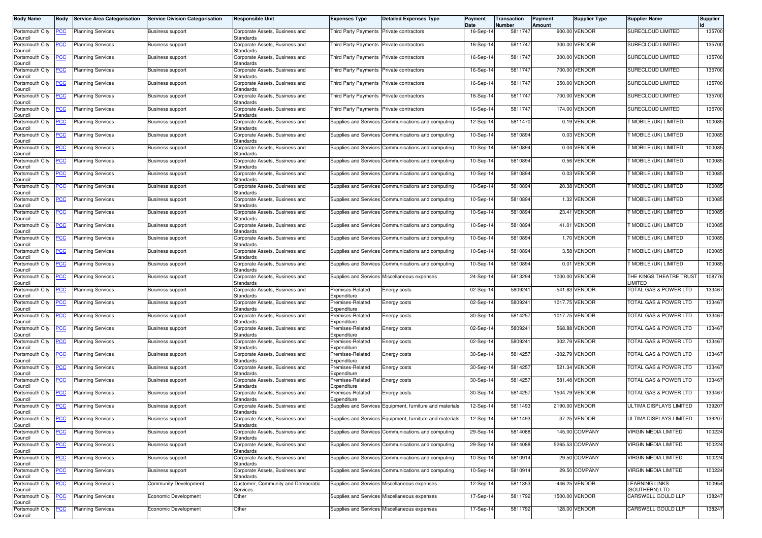| <b>Body Name</b>           | <b>Body</b> | <b>Service Area Categorisation</b> | <b>Service Division Categorisation</b> | <b>Responsible Unit</b>                        | <b>Expenses Type</b>            | <b>Detailed Expenses Type</b>                            | Payment<br>Date | Transaction<br>Number | Payment<br>Amount | Supplier Type   | <b>Supplier Name</b>               | Supplier |
|----------------------------|-------------|------------------------------------|----------------------------------------|------------------------------------------------|---------------------------------|----------------------------------------------------------|-----------------|-----------------------|-------------------|-----------------|------------------------------------|----------|
| Portsmouth City<br>Council | <u>PCC</u>  | <b>Planning Services</b>           | <b>Business support</b>                | Corporate Assets, Business and<br>Standards    | Third Party Payments            | Private contractors                                      | 16-Sep-14       | 5811747               |                   | 900.00 VENDOR   | SURECLOUD LIMITED                  | 135700   |
| Portsmouth City<br>Council | <u>PCC</u>  | <b>Planning Services</b>           | <b>Business support</b>                | Corporate Assets, Business and<br>Standards    | <b>Third Party Payments</b>     | Private contractors                                      | 16-Sep-14       | 5811747               |                   | 300.00 VENDOR   | SURECLOUD LIMITED                  | 135700   |
| Portsmouth City<br>Council | <u>PCC</u>  | <b>Planning Services</b>           | <b>Business support</b>                | Corporate Assets, Business and<br>Standards    | Third Party Payments            | Private contractors                                      | 16-Sep-14       | 5811747               |                   | 300.00 VENDOR   | SURECLOUD LIMITED                  | 135700   |
| Portsmouth City<br>Council | <u>PCC</u>  | <b>Planning Services</b>           | Business support                       | Corporate Assets, Business and<br>Standards    | Third Party Payments            | Private contractors                                      | 16-Sep-14       | 5811747               |                   | 700.00 VENDOR   | SURECLOUD LIMITED                  | 135700   |
| Portsmouth City<br>Council | <u>CC</u>   | <b>Planning Services</b>           | <b>Business support</b>                | Corporate Assets, Business and<br>Standards    | <b>Third Party Payments</b>     | Private contractors                                      | 16-Sep-14       | 5811747               | 350.00            | <b>VENDOR</b>   | SURECLOUD LIMITED                  | 135700   |
| Portsmouth City<br>Council | <b>PCC</b>  | <b>Planning Services</b>           | <b>Business support</b>                | Corporate Assets, Business and<br>Standards    | Third Party Payments            | Private contractors                                      | 16-Sep-14       | 5811747               |                   | 700.00 VENDOR   | SURECLOUD LIMITED                  | 135700   |
| Portsmouth City<br>Council | <u>CC</u>   | <b>Planning Services</b>           | Business support                       | Corporate Assets, Business and<br>Standards    | <b>Third Party Payments</b>     | Private contractors                                      | 16-Sep-14       | 5811747               |                   | 174.00 VENDOR   | SURECLOUD LIMITED                  | 135700   |
| Portsmouth City<br>Council | <u>'CC</u>  | <b>Planning Services</b>           | <b>Business support</b>                | Corporate Assets, Business and<br>Standards    | <b>Supplies and Services</b>    | Communications and computing                             | 12-Sep-14       | 5811470               |                   | 0.19 VENDOR     | MOBILE (UK) LIMITED                | 100085   |
| Portsmouth City<br>Council | сC          | <b>Planning Services</b>           | <b>Business support</b>                | Corporate Assets, Business and<br>Standards    |                                 | Supplies and Services Communications and computing       | 10-Sep-14       | 5810894               |                   | 0.03 VENDOR     | MOBILE (UK) LIMITED                | 100085   |
| Portsmouth City<br>Council | <b>PCC</b>  | <b>Planning Services</b>           | <b>Business support</b>                | Corporate Assets, Business and<br>Standards    |                                 | Supplies and Services Communications and computing       | 10-Sep-14       | 5810894               |                   | 0.04 VENDOR     | MOBILE (UK) LIMITED                | 100085   |
| Portsmouth City<br>Council | сC          | <b>Planning Services</b>           | <b>Business support</b>                | Corporate Assets, Business and<br>Standards    |                                 | Supplies and Services Communications and computing       | 10-Sep-14       | 5810894               |                   | 0.56 VENDOR     | MOBILE (UK) LIMITED                | 100085   |
| Portsmouth City<br>Council | <u>PCC</u>  | <b>Planning Services</b>           | Business support                       | Corporate Assets, Business and<br>Standards    |                                 | Supplies and Services Communications and computing       | 10-Sep-14       | 5810894               |                   | 0.03 VENDOR     | MOBILE (UK) LIMITED                | 100085   |
| Portsmouth City<br>Council | <u>'СС</u>  | <b>Planning Services</b>           | <b>Business support</b>                | Corporate Assets, Business and<br>Standards    |                                 | Supplies and Services Communications and computing       | 10-Sep-14       | 5810894               |                   | 20.38 VENDOR    | MOBILE (UK) LIMITED                | 100085   |
| Portsmouth City<br>Council | <u>PCC</u>  | <b>Planning Services</b>           | <b>Business support</b>                | Corporate Assets, Business and<br>Standards    |                                 | Supplies and Services Communications and computing       | 10-Sep-14       | 5810894               |                   | 1.32 VENDOR     | MOBILE (UK) LIMITED                | 100085   |
| Portsmouth City<br>Council | <u>PCC</u>  | <b>Planning Services</b>           | <b>Business support</b>                | Corporate Assets, Business and<br>Standards    |                                 | Supplies and Services Communications and computing       | 10-Sep-14       | 5810894               | 23.41             | VENDOR          | MOBILE (UK) LIMITED                | 100085   |
| Portsmouth City<br>Council | <u>PCC</u>  | <b>Planning Services</b>           | <b>Business support</b>                | Corporate Assets, Business and<br>Standards    |                                 | Supplies and Services Communications and computing       | 10-Sep-14       | 5810894               | 41.01             | <b>VENDOR</b>   | MOBILE (UK) LIMITED                | 100085   |
| Portsmouth City<br>Council | <u>'CC</u>  | <b>Planning Services</b>           | Business support                       | Corporate Assets, Business and<br>Standards    | <b>Supplies and Services</b>    | Communications and computing                             | 10-Sep-14       | 5810894               |                   | 1.70 VENDOR     | MOBILE (UK) LIMITED                | 100085   |
| Portsmouth City<br>Council | <u>PCC</u>  | <b>Planning Services</b>           | <b>Business support</b>                | Corporate Assets, Business and<br>Standards    |                                 | Supplies and Services Communications and computing       | 10-Sep-14       | 5810894               |                   | 3.58 VENDOR     | MOBILE (UK) LIMITED                | 100085   |
| Portsmouth City<br>Council | <u>CC</u>   | <b>Planning Services</b>           | Business support                       | Corporate Assets, Business and<br>Standards    |                                 | Supplies and Services Communications and computing       | 10-Sep-14       | 5810894               | 0.01              | VENDOR          | Г MOBILE (UK) LIMITED              | 100085   |
| Portsmouth City<br>Council |             | <b>Planning Services</b>           | <b>Business support</b>                | Corporate Assets, Business and<br>Standards    |                                 | Supplies and Services Miscellaneous expenses             | 24-Sep-14       | 5813294               | 1000.00           | <b>VENDOR</b>   | THE KINGS THEATRE TRUST<br>.IMITED | 108776   |
| Portsmouth City<br>Council | <u>PCC</u>  | <b>Planning Services</b>           | <b>Business support</b>                | Corporate Assets, Business and<br>Standards    | Premises-Related<br>Expenditure | Energy costs                                             | 02-Sep-14       | 580924                | $-541.83$         | <b>VENDOR</b>   | <b>TOTAL GAS &amp; POWER LTD</b>   | 133467   |
| Portsmouth City<br>Council | <u>PCC</u>  | <b>Planning Services</b>           | <b>Business support</b>                | Corporate Assets, Business and<br>Standards    | Premises-Related<br>Expenditure | Energy costs                                             | 02-Sep-14       | 5809241               |                   | 1017.75 VENDOR  | TOTAL GAS & POWER LTD              | 133467   |
| Portsmouth City<br>Council | <b>PCC</b>  | <b>Planning Services</b>           | <b>Business support</b>                | Corporate Assets, Business and<br>Standards    | Premises-Related<br>Expenditure | Energy costs                                             | 30-Sep-14       | 5814257               |                   | -1017.75 VENDOR | TOTAL GAS & POWER LTD              | 133467   |
| Portsmouth City<br>Council | <u>PCC</u>  | <b>Planning Services</b>           | <b>Business support</b>                | Corporate Assets, Business and<br>Standards    | Premises-Related<br>Expenditure | Energy costs                                             | 02-Sep-14       | 580924                |                   | 568.88 VENDOR   | <b>FOTAL GAS &amp; POWER LTD</b>   | 133467   |
| Portsmouth City<br>Council | сc          | <b>Planning Services</b>           | <b>Business support</b>                | Corporate Assets, Business and<br>Standards    | Premises-Related<br>Expenditure | Energy costs                                             | 02-Sep-14       | 580924                | 302.79            | <b>VENDOR</b>   | <b>FOTAL GAS &amp; POWER LTD</b>   | 133467   |
| Portsmouth City<br>Council | <u>CC</u>   | <b>Planning Services</b>           | <b>Business support</b>                | Corporate Assets, Business and<br>Standards    | Premises-Related<br>Expenditure | Energy costs                                             | 30-Sep-14       | 5814257               |                   | -302.79 VENDOR  | <b>FOTAL GAS &amp; POWER LTD</b>   | 133467   |
| Portsmouth City<br>Council | <b>PCC</b>  | <b>Planning Services</b>           | <b>Business support</b>                | Corporate Assets, Business and<br>Standards    | Premises-Related<br>Expenditure | Energy costs                                             | 30-Sep-14       | 5814257               | 521.34            | <b>VENDOR</b>   | TOTAL GAS & POWER LTD              | 133467   |
| Portsmouth City<br>Council | <u>CC</u>   | <b>Planning Services</b>           | Business support                       | Corporate Assets, Business and<br>Standards    | Premises-Related<br>Expenditure | Energy costs                                             | 30-Sep-14       | 5814257               |                   | 581.48 VENDOR   | <b>FOTAL GAS &amp; POWER LTD</b>   | 133467   |
| Portsmouth City<br>Council | <u>PCC</u>  | <b>Planning Services</b>           | <b>Business support</b>                | Corporate Assets, Business and<br>Standards    | Premises-Related<br>Expenditure | Energy costs                                             | 30-Sep-14       | 5814257               |                   | 1504.79 VENDOR  | <b>FOTAL GAS &amp; POWER LTD</b>   | 133467   |
| Portsmouth City<br>Council | <u>PCC</u>  | <b>Planning Services</b>           | Business support                       | Corporate Assets, Business and<br>Standards    |                                 | Supplies and Services Equipment, furniture and materials | 12-Sep-14       | 5811493               | 2190.00           | <b>VENDOR</b>   | ULTIMA DISPLAYS LIMITED            | 139207   |
| Portsmouth City<br>Council | PCC         | <b>Planning Services</b>           | <b>Business support</b>                | Corporate Assets, Business and<br>Standards    |                                 | Supplies and Services Equipment, furniture and materials | 12-Sep-14       | 5811493               |                   | 37.25 VENDOR    | ULTIMA DISPLAYS LIMITED            | 139207   |
| Portsmouth City<br>Council | <b>PCC</b>  | <b>Planning Services</b>           | <b>Business support</b>                | Corporate Assets, Business and<br>Standards    |                                 | Supplies and Services Communications and computing       | 29-Sep-14       | 5814088               |                   | 145.00 COMPANY  | VIRGIN MEDIA LIMITED               | 100224   |
| Portsmouth City<br>Council | <b>PCC</b>  | <b>Planning Services</b>           | <b>Business support</b>                | Corporate Assets, Business and<br>Standards    |                                 | Supplies and Services Communications and computing       | 29-Sep-14       | 5814088               |                   | 5265.53 COMPANY | <b>VIRGIN MEDIA LIMITED</b>        | 100224   |
| Portsmouth City<br>Council | <u>CC</u>   | <b>Planning Services</b>           | <b>Business support</b>                | Corporate Assets, Business and<br>Standards    |                                 | Supplies and Services Communications and computing       | 10-Sep-14       | 5810914               |                   | 29.50 COMPANY   | VIRGIN MEDIA LIMITED               | 100224   |
| Portsmouth City<br>Council | <b>PCC</b>  | <b>Planning Services</b>           | <b>Business support</b>                | Corporate Assets, Business and<br>Standards    |                                 | Supplies and Services Communications and computing       | 10-Sep-14       | 5810914               |                   | 29.50 COMPANY   | VIRGIN MEDIA LIMITED               | 100224   |
| Portsmouth City<br>Council | <b>PCC</b>  | <b>Planning Services</b>           | <b>Community Development</b>           | Customer, Community and Democratic<br>Services |                                 | Supplies and Services Miscellaneous expenses             | 12-Sep-14       | 5811353               |                   | -446.25 VENDOR  | LEARNING LINKS<br>SOUTHERN) LTD    | 100954   |
| Portsmouth City<br>Council | <u>PCC</u>  | <b>Planning Services</b>           | Economic Development                   | Other                                          |                                 | Supplies and Services Miscellaneous expenses             | 17-Sep-14       | 5811792               |                   | 1500.00 VENDOR  | CARSWELL GOULD LLP                 | 138247   |
| Portsmouth City<br>Council | <u>CC</u>   | <b>Planning Services</b>           | Economic Development                   | Other                                          |                                 | Supplies and Services Miscellaneous expenses             | 17-Sep-14       | 5811792               |                   | 128.00 VENDOR   | CARSWELL GOULD LLP                 | 138247   |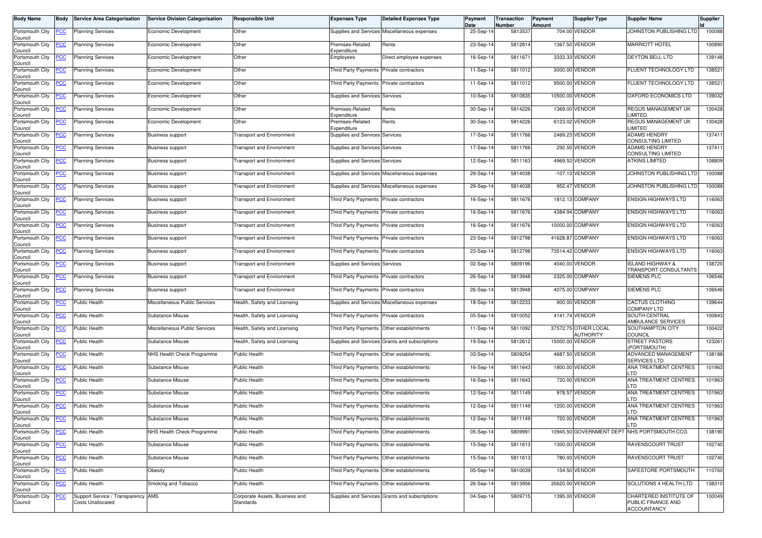| <b>Body Name</b>                      | Body       | <b>Service Area Categorisation</b>                             | <b>Service Division Categorisation</b> | <b>Responsible Unit</b>                     | <b>Expenses Type</b>                      | <b>Detailed Expenses Type</b>                  | Payment<br>Date | Transaction<br>Number | Payment<br>Amount | Supplier Type                     | <b>Supplier Name</b>                                               | Supplier |
|---------------------------------------|------------|----------------------------------------------------------------|----------------------------------------|---------------------------------------------|-------------------------------------------|------------------------------------------------|-----------------|-----------------------|-------------------|-----------------------------------|--------------------------------------------------------------------|----------|
| Portsmouth City<br>Council            | <b>PCC</b> | <b>Planning Services</b>                                       | Economic Development                   | Other                                       |                                           | Supplies and Services Miscellaneous expenses   | 25-Sep-14       | 5813537               |                   | 704.00 VENDOR                     | JOHNSTON PUBLISHING LTD                                            | 100088   |
| Portsmouth City<br>Council            |            | <b>Planning Services</b>                                       | Economic Development                   | Other                                       | Premises-Related<br>Expenditure           | Rents                                          | 23-Sep-14       | 5812814               |                   | 1367.50 VENDOR                    | <b>MARRIOTT HOTEL</b>                                              | 100890   |
| Portsmouth City<br>Council            | <u>PCC</u> | <b>Planning Services</b>                                       | Economic Development                   | Other                                       | Employees                                 | Direct employee expenses                       | 16-Sep-14       | 581167                |                   | 3333.33 VENDOR                    | <b>DEYTON BELL LTD</b>                                             | 139148   |
| Portsmouth City<br>Council            | <u>PCC</u> | <b>Planning Services</b>                                       | Economic Development                   | Other                                       | <b>Third Party Payments</b>               | Private contractors                            | 11-Sep-14       | 5811012               |                   | 3000.00 VENDOR                    | FLUENT TECHNOLOGY LTD                                              | 138521   |
| Portsmouth City<br>Council            | <u>PCC</u> | <b>Planning Services</b>                                       | Economic Development                   | Other                                       | Third Party Payments Private contractors  |                                                | 11-Sep-14       | 5811012               |                   | 9500.00 VENDOR                    | FLUENT TECHNOLOGY LTD                                              | 138521   |
| Portsmouth City<br>Council            | <u>PCC</u> | <b>Planning Services</b>                                       | Economic Development                   | Other                                       | Supplies and Services Services            |                                                | 10-Sep-14       | 5810835               |                   | 10500.00 VENDOR                   | OXFORD ECONOMICS LTD                                               | 139032   |
| Portsmouth City<br>Council            | <u>PCC</u> | <b>Planning Services</b>                                       | Economic Development                   | Other                                       | Premises-Related<br>Expenditure           | Rents                                          | 30-Sep-14       | 5814226               |                   | 1369.00 VENDOR                    | REGUS MANAGEMENT UK<br><b>IMITED</b>                               | 130428   |
| Portsmouth City<br>Council            | <u>CC </u> | <b>Planning Services</b>                                       | Economic Development                   | Other                                       | Premises-Related<br>Expenditure           | Rents                                          | 30-Sep-14       | 5814226               |                   | 6123.02 VENDOR                    | REGUS MANAGEMENT UK<br>LIMITED                                     | 130428   |
| Portsmouth City<br>Council            | <u>PCC</u> | <b>Planning Services</b>                                       | <b>Business support</b>                | <b>Transport and Environment</b>            | Supplies and Services Services            |                                                | 17-Sep-14       | 5811766               |                   | 2469.23 VENDOR                    | <b>ADAMS HENDRY</b><br>CONSULTING LIMITED                          | 137411   |
| Portsmouth City<br>Council            | <u>PCC</u> | <b>Planning Services</b>                                       | <b>Business support</b>                | <b>Transport and Environment</b>            | <b>Supplies and Services Services</b>     |                                                | 17-Sep-14       | 5811766               |                   | 292.50 VENDOR                     | <b>ADAMS HENDRY</b><br>CONSULTING LIMITED                          | 137411   |
| Portsmouth City<br>Council            | <u>PCC</u> | <b>Planning Services</b>                                       | <b>Business support</b>                | <b>Transport and Environment</b>            | Supplies and Services Services            |                                                | 12-Sep-14       | 5811163               |                   | 4969.52 VENDOR                    | <b>ATKINS LIMITED</b>                                              | 108809   |
| Portsmouth City<br>Council            | сc         | <b>Planning Services</b>                                       | Business support                       | Fransport and Environment                   |                                           | Supplies and Services Miscellaneous expenses   | 29-Sep-14       | 5814038               |                   | -107.13 VENDOR                    | JOHNSTON PUBLISHING LTD                                            | 100088   |
| Portsmouth City<br>Council            | <u>PCC</u> | <b>Planning Services</b>                                       | <b>Business support</b>                | <b>Transport and Environment</b>            |                                           | Supplies and Services Miscellaneous expenses   | 29-Sep-14       | 5814038               |                   | 952.47 VENDOR                     | JOHNSTON PUBLISHING LTD                                            | 100088   |
| Portsmouth City<br>Council            | <b>PCC</b> | <b>Planning Services</b>                                       | Business support                       | <b>Transport and Environment</b>            | Third Party Payments Private contractors  |                                                | 16-Sep-14       | 5811676               |                   | 1812.13 COMPANY                   | <b>ENSIGN HIGHWAYS LTD</b>                                         | 116063   |
| Portsmouth City<br>Council            | <u>PCC</u> | <b>Planning Services</b>                                       | <b>Business support</b>                | <b>Transport and Environment</b>            | <b>Third Party Payments</b>               | Private contractors                            | 16-Sep-14       | 5811676               |                   | 4384.94 COMPANY                   | <b>ENSIGN HIGHWAYS LTD</b>                                         | 116063   |
| Portsmouth City<br>Council            | <u>PCC</u> | <b>Planning Services</b>                                       | <b>Business support</b>                | <b>Transport and Environment</b>            | <b>Third Party Payments</b>               | Private contractors                            | 16-Sep-14       | 5811676               |                   | 10000.00 COMPANY                  | <b>ENSIGN HIGHWAYS LTD</b>                                         | 116063   |
| Portsmouth City<br>Council            | <u>'CC</u> | <b>Planning Services</b>                                       | Business support                       | <b>Transport and Environment</b>            | Third Party Payments                      | Private contractors                            | 23-Sep-14       | 5812798               |                   | 41628.87 COMPANY                  | <b>ENSIGN HIGHWAYS LTD</b>                                         | 116063   |
| Portsmouth City<br>Council            | <b>PCC</b> | <b>Planning Services</b>                                       | <b>Business support</b>                | <b>Transport and Environment</b>            | Third Party Payments Private contractors  |                                                | 23-Sep-14       | 5812798               |                   | 73514.42 COMPANY                  | <b>ENSIGN HIGHWAYS LTD</b>                                         | 116063   |
| Portsmouth City<br>Council            | <u>'CC</u> | <b>Planning Services</b>                                       | <b>Business support</b>                | <b>Transport and Environment</b>            | Supplies and Services Services            |                                                | 02-Sep-14       | 5809196               |                   | 4040.00 VENDOR                    | <b>ISLAND HIGHWAY &amp;</b><br>TRANSPORT CONSULTANTS               | 138720   |
| Portsmouth City<br>Council            | <u>PCC</u> | <b>Planning Services</b>                                       | <b>Business support</b>                | <b>Fransport and Environment</b>            | <b>Third Party Payments</b>               | Private contractors                            | 26-Sep-14       | 5813948               |                   | 2325.00 COMPANY                   | SIEMENS PLC                                                        | 106546   |
| Portsmouth City<br>Council            | <u>CC</u>  | <b>Planning Services</b>                                       | <b>Business support</b>                | <b>Transport and Environment</b>            | Third Party Payments                      | Private contractors                            | 26-Sep-14       | 5813948               |                   | 4075.00 COMPANY                   | SIEMENS PLC                                                        | 106546   |
| Portsmouth City<br>Council            | <b>PCC</b> | Public Health                                                  | Miscellaneous Public Services          | Health, Safety and Licensing                |                                           | Supplies and Services Miscellaneous expenses   | 18-Sep-14       | 5812233               |                   | 900.00 VENDOR                     | <b>CACTUS CLOTHING</b><br><b>COMPANY LTD</b>                       | 139644   |
| Portsmouth City<br>Council            | <u>CC</u>  | <b>Public Health</b>                                           | Substance Misuse                       | Health, Safety and Licensing                | <b>Third Party Payments</b>               | Private contractors                            | 05-Sep-14       | 5810052               |                   | 4141.74 VENDOR                    | SOUTH CENTRAL<br>AMBULANCE SERVICES                                | 100843   |
| Portsmouth City<br>Council            | <u>PCC</u> | Public Health                                                  | Miscellaneous Public Services          | Health, Safety and Licensing                | Third Party Payments Other establishments |                                                | 11-Sep-14       | 5811092               |                   | 37572.75 OTHER LOCAL<br>AUTHORITY | SOUTHAMPTON CITY<br><b>COUNCIL</b>                                 | 100422   |
| Portsmouth City<br>Council            | PCC.       | Public Health                                                  | Substance Misuse                       | Health, Safety and Licensing                |                                           | Supplies and Services Grants and subscriptions | 19-Sep-14       | 5812612               |                   | 15000.00 VENDOR                   | <b>STREET PASTORS</b><br>(PORTSMOUTH)                              | 123261   |
| Portsmouth City<br>Council            | <b>PCC</b> | Public Health                                                  | NHS Health Check Programme             | <b>Public Health</b>                        |                                           | Third Party Payments Other establishments      | 03-Sep-14       | 5809254               |                   | 4687.50 VENDOR                    | ADVANCED MANAGEMENT<br>SERVICES LTD                                | 138188   |
| Portsmouth City<br>Council            | <u>PCC</u> | Public Health                                                  | Substance Misuse                       | Public Health                               | Third Party Payments                      | Other establishments                           | 16-Sep-14       | 5811643               |                   | 1800.00 VENDOR                    | ANA TREATMENT CENTRES<br>_TD                                       | 101963   |
| Portsmouth City<br>Council            | <u>PCC</u> | <b>Public Health</b>                                           | Substance Misuse                       | <b>Public Health</b>                        | Third Party Payments Other establishments |                                                | 16-Sep-14       | 5811643               |                   | 720.00 VENDOR                     | ANA TREATMENT CENTRES<br>. TD                                      | 101963   |
| Portsmouth City<br>Council            | <u>PCC</u> | Public Health                                                  | Substance Misuse                       | Public Health                               | <b>Third Party Payments</b>               | Other establishments                           | 12-Sep-14       | 5811149               | 978.57            | VENDOR                            | ANA TREATMENT CENTRES<br>. TD                                      | 101963   |
| Portsmouth City<br>Council            | <b>PCC</b> | <b>Public Health</b>                                           | Substance Misuse                       | <b>Public Health</b>                        | Third Party Payments Other establishments |                                                | 12-Sep-14       | 5811149               |                   | 1200.00 VENDOR                    | ANA TREATMENT CENTRES<br><b>TD</b>                                 | 101963   |
| Portsmouth City                       | <b>PCC</b> | Public Health                                                  | <b>Substance Misuse</b>                | <b>Public Health</b>                        | Third Party Payments Other establishments |                                                | 12-Sep-14       | 5811149               |                   | 720.00 VENDOR                     | ANA TREATMENT CENTRES<br>LTD                                       | 101963   |
| Council<br>Portsmouth City<br>Council | <b>PCC</b> | Public Health                                                  | NHS Health Check Programme             | <b>Public Health</b>                        | Third Party Payments Other establishments |                                                | 05-Sep-14       | 5809991               |                   |                                   | 10945.50 GOVERNMENT DEPT NHS PORTSMOUTH CCG                        | 138190   |
| Portsmouth City<br>Council            | <b>PCC</b> | Public Health                                                  | Substance Misuse                       | Public Health                               | Third Party Payments Other establishments |                                                | 15-Sep-14       | 5811613               |                   | 1300.00 VENDOR                    | RAVENSCOURT TRUST                                                  | 102740   |
| Portsmouth City<br>Council            | <b>PCC</b> | Public Health                                                  | Substance Misuse                       | Public Health                               | Third Party Payments Other establishments |                                                | 15-Sep-14       | 5811613               |                   | 780.00 VENDOR                     | RAVENSCOURT TRUST                                                  | 102740   |
| Portsmouth City<br>Council            | <b>PCC</b> | Public Health                                                  | Obesity                                | Public Health                               | Third Party Payments Other establishments |                                                | 05-Sep-14       | 5810039               |                   | 154.50 VENDOR                     | SAFESTORE PORTSMOUTH                                               | 110760   |
| Portsmouth City<br>Council            | <b>PCC</b> | Public Health                                                  | Smoking and Tobacco                    | Public Health                               | Third Party Payments Other establishments |                                                | 26-Sep-14       | 5813956               |                   | 35620.00 VENDOR                   | SOLUTIONS 4 HEALTH LTD                                             | 138310   |
| Portsmouth City<br>Council            | <b>PCC</b> | Support Service / Transparency AMS<br><b>Costs Unallocated</b> |                                        | Corporate Assets, Business and<br>Standards |                                           | Supplies and Services Grants and subscriptions | 04-Sep-14       | 5809715               |                   | 1395.00 VENDOR                    | CHARTERED INSTITUTE OF<br>PUBLIC FINANCE AND<br><b>ACCOUNTANCY</b> | 100049   |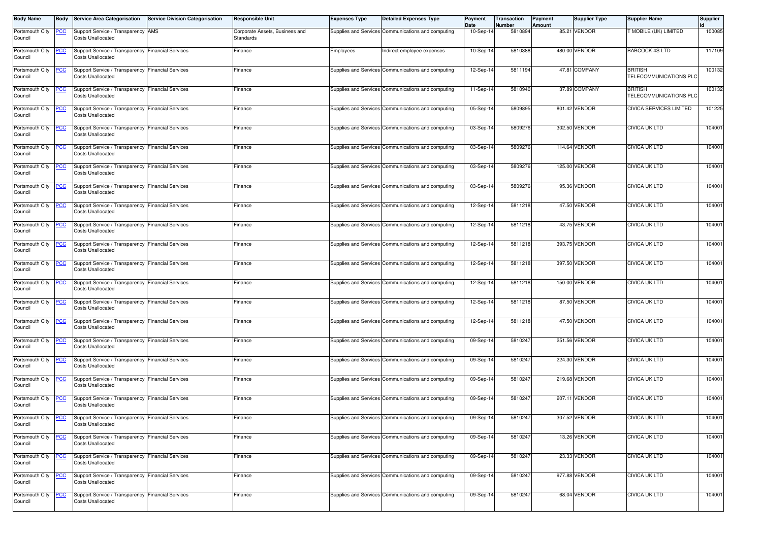| <b>Body Name</b>           | <b>Body</b>     | <b>Service Area Categorisation</b>                                              | <b>Service Division Categorisation</b> | <b>Responsible Unit</b>                     | <b>Expenses Type</b> | <b>Detailed Expenses Type</b>                      | Payment<br>Date | Transaction<br>Number | Payment<br>Amount | <b>Supplier Type</b> | <b>Supplier Name</b>                     | <b>Supplier</b> |
|----------------------------|-----------------|---------------------------------------------------------------------------------|----------------------------------------|---------------------------------------------|----------------------|----------------------------------------------------|-----------------|-----------------------|-------------------|----------------------|------------------------------------------|-----------------|
| Portsmouth City<br>Council | <u>PCC</u>      | Support Service / Transparency AMS<br><b>Costs Unallocated</b>                  |                                        | Corporate Assets, Business and<br>Standards |                      | Supplies and Services Communications and computing | 10-Sep-14       | 5810894               |                   | 85.21 VENDOR         | MOBILE (UK) LIMITED                      | 100085          |
| Portsmouth City<br>Council | <u>PCC</u>      | Support Service / Transparency Financial Services<br><b>Costs Unallocated</b>   |                                        | Finance                                     | Employees            | Indirect employee expenses                         | $10-Sep-1$      | 5810388               |                   | 480.00 VENDOR        | <b>BABCOCK 4S LTD</b>                    | 117109          |
| Portsmouth City<br>Council | <b>PCC</b>      | Support Service / Transparency   Financial Services<br><b>Costs Unallocated</b> |                                        | Finance                                     |                      | Supplies and Services Communications and computing | 12-Sep-1        | 5811194               |                   | 47.81 COMPANY        | <b>BRITISH</b><br>TELECOMMUNICATIONS PLC | 100132          |
| Portsmouth City<br>Council | <b>PCC</b>      | Support Service / Transparency Financial Services<br><b>Costs Unallocated</b>   |                                        | Finance                                     |                      | Supplies and Services Communications and computing | $11-Sep-1$      | 5810940               |                   | 37.89 COMPANY        | <b>BRITISH</b><br>TELECOMMUNICATIONS PLC | 100132          |
| Portsmouth City<br>Council | <b>PCC</b>      | Support Service / Transparency   Financial Services<br><b>Costs Unallocated</b> |                                        | Finance                                     |                      | Supplies and Services Communications and computing | 05-Sep-14       | 5809895               |                   | 801.42 VENDOR        | <b>CIVICA SERVICES LIMITED</b>           | 101225          |
| Portsmouth City<br>Council | $\overline{CC}$ | Support Service / Transparency Financial Services<br><b>Costs Unallocated</b>   |                                        | Finance                                     |                      | Supplies and Services Communications and computing | 03-Sep-14       | 5809276               |                   | 302.50 VENDOR        | <b>CIVICA UK LTD</b>                     | 104001          |
| Portsmouth City<br>Council | <u>PCC</u>      | Support Service / Transparency Financial Services<br><b>Costs Unallocated</b>   |                                        | Finance                                     |                      | Supplies and Services Communications and computing | 03-Sep-14       | 5809276               | 114.64            | <b>VENDOR</b>        | <b>CIVICA UK LTD</b>                     | 104001          |
| Portsmouth City<br>Council | <b>PCC</b>      | Support Service / Transparency Financial Services<br>Costs Unallocated          |                                        | Finance                                     |                      | Supplies and Services Communications and computing | 03-Sep-14       | 5809276               |                   | 125.00 VENDOR        | <b>CIVICA UK LTD</b>                     | 104001          |
| Portsmouth City<br>Council | <b>PCC</b>      | Support Service / Transparency Financial Services<br><b>Costs Unallocated</b>   |                                        | Finance                                     |                      | Supplies and Services Communications and computing | 03-Sep-14       | 5809276               |                   | 95.36 VENDOR         | <b>CIVICA UK LTD</b>                     | 104001          |
| Portsmouth City<br>Council | <u>PCC</u>      | Support Service / Transparency   Financial Services<br><b>Costs Unallocated</b> |                                        | Finance                                     |                      | Supplies and Services Communications and computing | 12-Sep-14       | 5811218               |                   | 47.50 VENDOR         | <b>CIVICA UK LTD</b>                     | 104001          |
| Portsmouth City<br>Council | $\overline{C}$  | Support Service / Transparency Financial Services<br><b>Costs Unallocated</b>   |                                        | Finance                                     |                      | Supplies and Services Communications and computing | 12-Sep-1        | 5811218               |                   | 43.75 VENDOR         | <b>CIVICA UK LTD</b>                     | 104001          |
| Portsmouth City<br>Council | <b>PCC</b>      | Support Service / Transparency Financial Services<br><b>Costs Unallocated</b>   |                                        | Finance                                     |                      | Supplies and Services Communications and computing | 12-Sep-14       | 5811218               |                   | 393.75 VENDOR        | <b>CIVICA UK LTD</b>                     | 104001          |
| Portsmouth City<br>Council | <b>PCC</b>      | Support Service / Transparency Financial Services<br><b>Costs Unallocated</b>   |                                        | Finance                                     |                      | Supplies and Services Communications and computing | 12-Sep-14       | 5811218               |                   | 397.50 VENDOR        | <b>CIVICA UK LTD</b>                     | 104001          |
| Portsmouth City<br>Council | <u>PCC</u>      | Support Service / Transparency Financial Services<br><b>Costs Unallocated</b>   |                                        | Finance                                     |                      | Supplies and Services Communications and computing | 12-Sep-14       | 5811218               |                   | 150.00 VENDOR        | <b>CIVICA UK LTD</b>                     | 104001          |
| Portsmouth City<br>Council | <b>PCC</b>      | Support Service / Transparency Financial Services<br><b>Costs Unallocated</b>   |                                        | Finance                                     |                      | Supplies and Services Communications and computing | 12-Sep-1        | 5811218               |                   | 87.50 VENDOR         | <b>CIVICA UK LTD</b>                     | 104001          |
| Portsmouth City<br>Council | <u>PCC</u>      | Support Service / Transparency Financial Services<br><b>Costs Unallocated</b>   |                                        | Finance                                     |                      | Supplies and Services Communications and computing | 12-Sep-14       | 5811218               |                   | 47.50 VENDOR         | <b>CIVICA UK LTD</b>                     | 104001          |
| Portsmouth City<br>Council | <b>PCC</b>      | Support Service / Transparency Financial Services<br>Costs Unallocated          |                                        | Finance                                     |                      | Supplies and Services Communications and computing | 09-Sep-14       | 5810247               |                   | 251.56 VENDOR        | <b>CIVICA UK LTD</b>                     | 104001          |
| Portsmouth City<br>Council | <b>PCC</b>      | Support Service / Transparency Financial Services<br><b>Costs Unallocated</b>   |                                        | Finance                                     |                      | Supplies and Services Communications and computing | 09-Sep-14       | 5810247               |                   | 224.30 VENDOR        | <b>CIVICA UK LTD</b>                     | 104001          |
| Portsmouth City<br>Council | <u>PCC</u>      | Support Service / Transparency   Financial Services<br><b>Costs Unallocated</b> |                                        | Finance                                     |                      | Supplies and Services Communications and computing | 09-Sep-1        | 5810247               |                   | 219.68 VENDOR        | <b>CIVICA UK LTD</b>                     | 104001          |
| Portsmouth City<br>Council | <b>PCC</b>      | Support Service / Transparency Financial Services<br><b>Costs Unallocated</b>   |                                        | Finance                                     |                      | Supplies and Services Communications and computing | 09-Sep-14       | 5810247               |                   | 207.11 VENDOR        | <b>CIVICA UK LTD</b>                     | 104001          |
| Portsmouth City<br>Council | <b>PCC</b>      | Support Service / Transparency Financial Services<br>Costs Unallocated          |                                        | Finance                                     |                      | Supplies and Services Communications and computing | 09-Sep-14       | 5810247               |                   | 307.52 VENDOR        | <b>CIVICA UK LTD</b>                     | 104001          |
| Portsmouth City<br>Council | <u>PCC</u>      | Support Service / Transparency Financial Services<br><b>Costs Unallocated</b>   |                                        | Finance                                     |                      | Supplies and Services Communications and computing | 09-Sep-14       | 5810247               |                   | 13.26 VENDOR         | <b>CIVICA UK LTD</b>                     | 104001          |
| Portsmouth City<br>Council | <u>PCC</u>      | Support Service / Transparency Financial Services<br><b>Costs Unallocated</b>   |                                        | Finance                                     |                      | Supplies and Services Communications and computing | 09-Sep-14       | 5810247               |                   | 23.33 VENDOR         | <b>CIVICA UK LTD</b>                     | 104001          |
| Portsmouth City<br>Council | <b>PCC</b>      | Support Service / Transparency Financial Services<br><b>Costs Unallocated</b>   |                                        | Finance                                     |                      | Supplies and Services Communications and computing | 09-Sep-14       | 5810247               |                   | 977.88 VENDOR        | <b>CIVICA UK LTD</b>                     | 104001          |
| Portsmouth City<br>Council | <u>PCC</u>      | Support Service / Transparency Financial Services<br><b>Costs Unallocated</b>   |                                        | Finance                                     |                      | Supplies and Services Communications and computing | 09-Sep-14       | 5810247               |                   | 68.04 VENDOR         | <b>CIVICA UK LTD</b>                     | 104001          |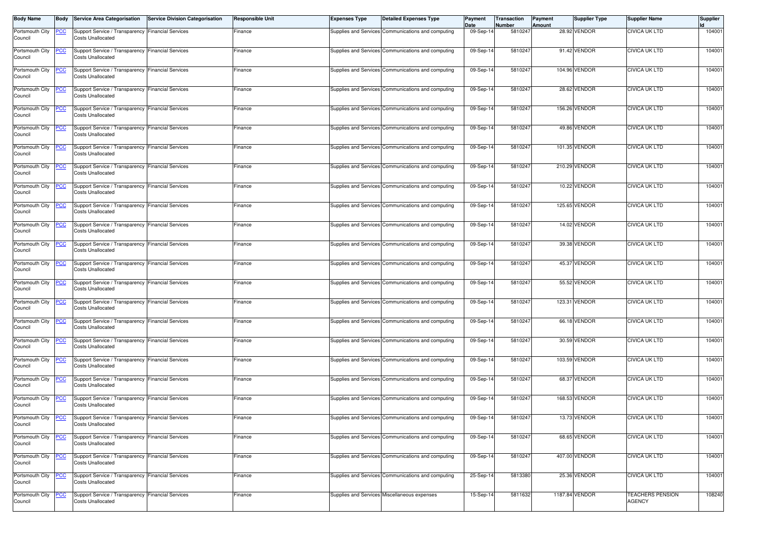| <b>Body Name</b>           | <b>Body</b>     | <b>Service Area Categorisation</b>                                              | <b>Service Division Categorisation</b> | <b>Responsible Unit</b> | <b>Expenses Type</b> | <b>Detailed Expenses Type</b>                      | Payment<br>Date | Transaction<br>Number | Payment<br>Amount | <b>Supplier Type</b> | <b>Supplier Name</b>                     | Supplier |
|----------------------------|-----------------|---------------------------------------------------------------------------------|----------------------------------------|-------------------------|----------------------|----------------------------------------------------|-----------------|-----------------------|-------------------|----------------------|------------------------------------------|----------|
| Portsmouth City<br>Council | <b>PCC</b>      | Support Service / Transparency   Financial Services<br><b>Costs Unallocated</b> |                                        | Finance                 |                      | Supplies and Services Communications and computing | 09-Sep-14       | 5810247               |                   | 28.92 VENDOR         | <b>CIVICA UK LTD</b>                     | 104001   |
| Portsmouth City<br>Council | <u>PCC</u>      | Support Service / Transparency Financial Services<br><b>Costs Unallocated</b>   |                                        | Finance                 |                      | Supplies and Services Communications and computing | 09-Sep-1        | 5810247               |                   | 91.42 VENDOR         | <b>CIVICA UK LTD</b>                     | 104001   |
| Portsmouth City<br>Council | <b>PCC</b>      | Support Service / Transparency   Financial Services<br><b>Costs Unallocated</b> |                                        | Finance                 |                      | Supplies and Services Communications and computing | 09-Sep-14       | 5810247               |                   | 104.96 VENDOR        | <b>CIVICA UK LTD</b>                     | 104001   |
| Portsmouth City<br>Council | <b>PCC</b>      | Support Service / Transparency Financial Services<br><b>Costs Unallocated</b>   |                                        | Finance                 |                      | Supplies and Services Communications and computing | 09-Sep-14       | 5810247               |                   | 28.62 VENDOR         | <b>CIVICA UK LTD</b>                     | 104001   |
| Portsmouth City<br>Council | <b>PCC</b>      | Support Service / Transparency Financial Services<br><b>Costs Unallocated</b>   |                                        | Finance                 |                      | Supplies and Services Communications and computing | 09-Sep-14       | 5810247               |                   | 156.26 VENDOR        | <b>CIVICA UK LTD</b>                     | 104001   |
| Portsmouth City<br>Council | $\overline{CC}$ | Support Service / Transparency Financial Services<br><b>Costs Unallocated</b>   |                                        | Finance                 |                      | Supplies and Services Communications and computing | 09-Sep-14       | 5810247               |                   | 49.86 VENDOR         | <b>CIVICA UK LTD</b>                     | 104001   |
| Portsmouth City<br>Council | <u>PCC</u>      | Support Service / Transparency Financial Services<br><b>Costs Unallocated</b>   |                                        | Finance                 |                      | Supplies and Services Communications and computing | 09-Sep-14       | 5810247               |                   | 101.35 VENDOR        | <b>CIVICA UK LTD</b>                     | 104001   |
| Portsmouth City<br>Council | <b>PCC</b>      | Support Service / Transparency Financial Services<br>Costs Unallocated          |                                        | Finance                 |                      | Supplies and Services Communications and computing | 09-Sep-14       | 5810247               |                   | 210.29 VENDOR        | <b>CIVICA UK LTD</b>                     | 104001   |
| Portsmouth City<br>Council | <b>PCC</b>      | Support Service / Transparency Financial Services<br><b>Costs Unallocated</b>   |                                        | Finance                 |                      | Supplies and Services Communications and computing | 09-Sep-14       | 5810247               |                   | 10.22 VENDOR         | <b>CIVICA UK LTD</b>                     | 104001   |
| Portsmouth City<br>Council | <u>PCC</u>      | Support Service / Transparency Financial Services<br><b>Costs Unallocated</b>   |                                        | Finance                 |                      | Supplies and Services Communications and computing | 09-Sep-14       | 5810247               |                   | 125.65 VENDOR        | <b>CIVICA UK LTD</b>                     | 104001   |
| Portsmouth City<br>Council | $\overline{C}$  | Support Service / Transparency Financial Services<br><b>Costs Unallocated</b>   |                                        | Finance                 |                      | Supplies and Services Communications and computing | 09-Sep-1        | 5810247               |                   | 14.02 VENDOR         | <b>CIVICA UK LTD</b>                     | 104001   |
| Portsmouth City<br>Council | <b>PCC</b>      | Support Service / Transparency Financial Services<br><b>Costs Unallocated</b>   |                                        | Finance                 |                      | Supplies and Services Communications and computing | 09-Sep-14       | 5810247               |                   | 39.38 VENDOR         | <b>CIVICA UK LTD</b>                     | 104001   |
| Portsmouth City<br>Council | <b>PCC</b>      | Support Service / Transparency Financial Services<br><b>Costs Unallocated</b>   |                                        | Finance                 |                      | Supplies and Services Communications and computing | 09-Sep-14       | 5810247               |                   | 45.37 VENDOR         | <b>CIVICA UK LTD</b>                     | 104001   |
| Portsmouth City<br>Council | <u>PCC</u>      | Support Service / Transparency Financial Services<br><b>Costs Unallocated</b>   |                                        | Finance                 |                      | Supplies and Services Communications and computing | 09-Sep-14       | 5810247               |                   | 55.52 VENDOR         | <b>CIVICA UK LTD</b>                     | 104001   |
| Portsmouth City<br>Council | <u>PCC</u>      | Support Service / Transparency Financial Services<br><b>Costs Unallocated</b>   |                                        | Finance                 |                      | Supplies and Services Communications and computing | 09-Sep-1        | 5810247               |                   | 123.31 VENDOR        | <b>CIVICA UK LTD</b>                     | 104001   |
| Portsmouth City<br>Council | <u>PCC</u>      | Support Service / Transparency Financial Services<br><b>Costs Unallocated</b>   |                                        | Finance                 |                      | Supplies and Services Communications and computing | 09-Sep-14       | 5810247               |                   | 66.18 VENDOR         | <b>CIVICA UK LTD</b>                     | 104001   |
| Portsmouth City<br>Council | <b>PCC</b>      | Support Service / Transparency Financial Services<br>Costs Unallocated          |                                        | Finance                 |                      | Supplies and Services Communications and computing | 09-Sep-14       | 5810247               |                   | 30.59 VENDOR         | <b>CIVICA UK LTD</b>                     | 104001   |
| Portsmouth City<br>Council | <b>PCC</b>      | Support Service / Transparency Financial Services<br><b>Costs Unallocated</b>   |                                        | Finance                 |                      | Supplies and Services Communications and computing | 09-Sep-14       | 5810247               |                   | 103.59 VENDOR        | <b>CIVICA UK LTD</b>                     | 104001   |
| Portsmouth City<br>Council | <u>PCC</u>      | Support Service / Transparency   Financial Services<br><b>Costs Unallocated</b> |                                        | Finance                 |                      | Supplies and Services Communications and computing | 09-Sep-1        | 5810247               |                   | 68.37 VENDOR         | <b>CIVICA UK LTD</b>                     | 104001   |
| Portsmouth City<br>Council | <b>PCC</b>      | Support Service / Transparency Financial Services<br><b>Costs Unallocated</b>   |                                        | Finance                 |                      | Supplies and Services Communications and computing | 09-Sep-14       | 5810247               |                   | 168.53 VENDOR        | <b>CIVICA UK LTD</b>                     | 104001   |
| Portsmouth City<br>Council | <b>PCC</b>      | Support Service / Transparency Financial Services<br>Costs Unallocated          |                                        | Finance                 |                      | Supplies and Services Communications and computing | 09-Sep-14       | 5810247               |                   | 13.73 VENDOR         | <b>CIVICA UK LTD</b>                     | 104001   |
| Portsmouth City<br>Council | <u>PCC</u>      | Support Service / Transparency Financial Services<br><b>Costs Unallocated</b>   |                                        | Finance                 |                      | Supplies and Services Communications and computing | 09-Sep-14       | 5810247               |                   | 68.65 VENDOR         | <b>CIVICA UK LTD</b>                     | 104001   |
| Portsmouth City<br>Council | <u>PCC</u>      | Support Service / Transparency Financial Services<br><b>Costs Unallocated</b>   |                                        | Finance                 |                      | Supplies and Services Communications and computing | 09-Sep-14       | 5810247               |                   | 407.00 VENDOR        | <b>CIVICA UK LTD</b>                     | 104001   |
| Portsmouth City<br>Council | <b>PCC</b>      | Support Service / Transparency Financial Services<br><b>Costs Unallocated</b>   |                                        | Finance                 |                      | Supplies and Services Communications and computing | 25-Sep-14       | 5813380               |                   | 25.36 VENDOR         | <b>CIVICA UK LTD</b>                     | 104001   |
| Portsmouth City<br>Council | <u>PCC</u>      | Support Service / Transparency Financial Services<br><b>Costs Unallocated</b>   |                                        | Finance                 |                      | Supplies and Services Miscellaneous expenses       | 15-Sep-14       | 5811632               |                   | 1187.84 VENDOR       | <b>TEACHERS PENSION</b><br><b>AGENCY</b> | 108240   |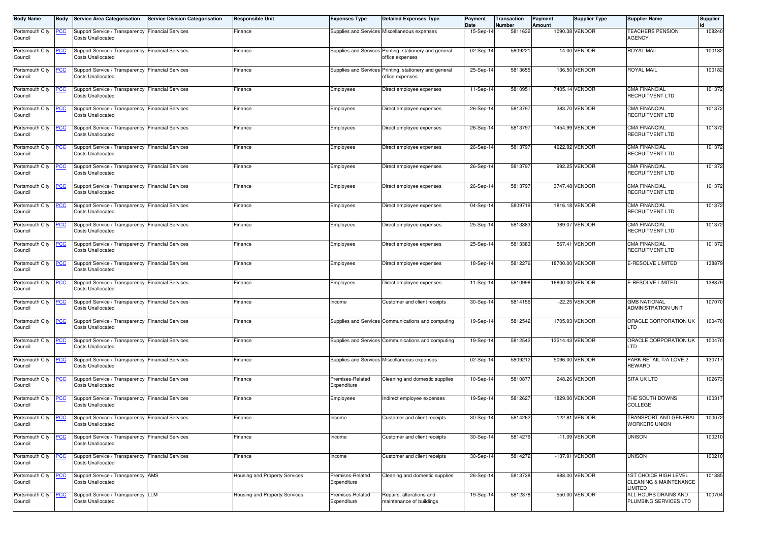| <b>Body Name</b>           | <b>Body</b>     | <b>Service Area Categorisation</b>                                              | <b>Service Division Categorisation</b> | <b>Responsible Unit</b>       | <b>Expenses Type</b>            | <b>Detailed Expenses Type</b>                                             | Payment<br>Date | Transaction<br>Number | Payment<br>Amount | <b>Supplier Type</b> | <b>Supplier Name</b>                                                     | <b>Supplier</b> |
|----------------------------|-----------------|---------------------------------------------------------------------------------|----------------------------------------|-------------------------------|---------------------------------|---------------------------------------------------------------------------|-----------------|-----------------------|-------------------|----------------------|--------------------------------------------------------------------------|-----------------|
| Portsmouth City<br>Council | <u>PCC</u>      | Support Service / Transparency   Financial Services<br><b>Costs Unallocated</b> |                                        | Finance                       |                                 | Supplies and Services Miscellaneous expenses                              | 15-Sep-14       | 5811632               |                   | 1090.38 VENDOR       | <b>TEACHERS PENSION</b><br><b>AGENCY</b>                                 | 108240          |
| Portsmouth City<br>Council | <u>PCC</u>      | Support Service / Transparency Financial Services<br><b>Costs Unallocated</b>   |                                        | Finance                       |                                 | Supplies and Services Printing, stationery and general<br>office expenses | 02-Sep-1        | 5809221               |                   | 14.00 VENDOR         | <b>ROYAL MAIL</b>                                                        | 100182          |
| Portsmouth City<br>Council | <b>PCC</b>      | Support Service / Transparency   Financial Services<br><b>Costs Unallocated</b> |                                        | Finance                       |                                 | Supplies and Services Printing, stationery and general<br>office expenses | 25-Sep-1        | 5813655               |                   | 136.50 VENDOR        | <b>ROYAL MAIL</b>                                                        | 100182          |
| Portsmouth City<br>Council | <b>PCC</b>      | Support Service / Transparency Financial Services<br><b>Costs Unallocated</b>   |                                        | Finance                       | Employees                       | Direct employee expenses                                                  | 11-Sep-14       | 5810951               |                   | 7405.14 VENDOR       | <b>CMA FINANCIAL</b><br><b>RECRUITMENT LTD</b>                           | 101372          |
| Portsmouth City<br>Council | <b>PCC</b>      | Support Service / Transparency   Financial Services<br><b>Costs Unallocated</b> |                                        | Finance                       | Employees                       | Direct employee expenses                                                  | 26-Sep-14       | 5813797               |                   | 383.70 VENDOR        | <b>CMA FINANCIAL</b><br><b>RECRUITMENT LTD</b>                           | 101372          |
| Portsmouth City<br>Council | $\overline{CC}$ | Support Service / Transparency Financial Services<br><b>Costs Unallocated</b>   |                                        | Finance                       | Employees                       | Direct employee expenses                                                  | 26-Sep-14       | 5813797               |                   | 1454.99 VENDOR       | <b>CMA FINANCIAL</b><br>RECRUITMENT LTD                                  | 101372          |
| Portsmouth City<br>Council | <u>PCC</u>      | Support Service / Transparency Financial Services<br><b>Costs Unallocated</b>   |                                        | Finance                       | Employees                       | Direct employee expenses                                                  | 26-Sep-14       | 5813797               |                   | 4622.92 VENDOR       | <b>CMA FINANCIAL</b><br>RECRUITMENT LTD                                  | 101372          |
| Portsmouth City<br>Council | <b>PCC</b>      | Support Service / Transparency Financial Services<br>Costs Unallocated          |                                        | Finance                       | Employees                       | Direct employee expenses                                                  | 26-Sep-14       | 5813797               |                   | 992.25 VENDOR        | <b>CMA FINANCIAL</b><br><b>RECRUITMENT LTD</b>                           | 101372          |
| Portsmouth City<br>Council | <b>PCC</b>      | Support Service / Transparency Financial Services<br><b>Costs Unallocated</b>   |                                        | Finance                       | Employees                       | Direct employee expenses                                                  | 26-Sep-14       | 5813797               |                   | 3747.48 VENDOR       | <b>CMA FINANCIAL</b><br><b>RECRUITMENT LTD</b>                           | 101372          |
| Portsmouth City<br>Council | <u>PCC</u>      | Support Service / Transparency Financial Services<br><b>Costs Unallocated</b>   |                                        | Finance                       | Employees                       | Direct employee expenses                                                  | 04-Sep-14       | 5809719               |                   | 1816.18 VENDOR       | <b>CMA FINANCIAL</b><br><b>RECRUITMENT LTD</b>                           | 101372          |
| Portsmouth City<br>Council | $\overline{C}$  | Support Service / Transparency Financial Services<br><b>Costs Unallocated</b>   |                                        | Finance                       | Employees                       | Direct employee expenses                                                  | 25-Sep-1        | 5813383               |                   | 389.07 VENDOR        | <b>CMA FINANCIAL</b><br><b>RECRUITMENT LTD</b>                           | 101372          |
| Portsmouth City<br>Council | <b>PCC</b>      | Support Service / Transparency Financial Services<br><b>Costs Unallocated</b>   |                                        | Finance                       | Employees                       | Direct employee expenses                                                  | 25-Sep-14       | 5813383               |                   | 567.41 VENDOR        | <b>CMA FINANCIAL</b><br><b>RECRUITMENT LTD</b>                           | 101372          |
| Portsmouth City<br>Council | <b>PCC</b>      | Support Service / Transparency Financial Services<br><b>Costs Unallocated</b>   |                                        | Finance                       | Employees                       | Direct employee expenses                                                  | 18-Sep-14       | 5812276               |                   | 18700.00 VENDOR      | E-RESOLVE LIMITED                                                        | 138879          |
| Portsmouth City<br>Council | <u>PCC</u>      | Support Service / Transparency Financial Services<br><b>Costs Unallocated</b>   |                                        | Finance                       | Employees                       | Direct employee expenses                                                  | 11-Sep-14       | 5810998               |                   | 16800.00 VENDOR      | E-RESOLVE LIMITED                                                        | 138879          |
| Portsmouth City<br>Council | <b>PCC</b>      | Support Service / Transparency Financial Services<br><b>Costs Unallocated</b>   |                                        | Finance                       | ncome                           | Customer and client receipts                                              | 30-Sep-14       | 5814156               |                   | -22.25 VENDOR        | <b>GMB NATIONAL</b><br>ADMINISTRATION UNIT                               | 107070          |
| Portsmouth City<br>Council | <b>PCC</b>      | Support Service / Transparency Financial Services<br><b>Costs Unallocated</b>   |                                        | Finance                       |                                 | Supplies and Services Communications and computing                        | 19-Sep-14       | 5812542               |                   | 1705.93 VENDOR       | ORACLE CORPORATION UK<br>LTD                                             | 100470          |
| Portsmouth City<br>Council | <b>PCC</b>      | Support Service / Transparency Financial Services<br><b>Costs Unallocated</b>   |                                        | Finance                       |                                 | Supplies and Services Communications and computing                        | 19-Sep-14       | 5812542               |                   | 13214.43 VENDOR      | ORACLE CORPORATION UK<br>LTD.                                            | 100470          |
| Portsmouth City<br>Council | <b>PCC</b>      | Support Service / Transparency Financial Services<br><b>Costs Unallocated</b>   |                                        | Finance                       |                                 | Supplies and Services Miscellaneous expenses                              | 02-Sep-14       | 5809212               |                   | 5096.00 VENDOR       | PARK RETAIL T/A LOVE 2<br><b>REWARD</b>                                  | 130717          |
| Portsmouth City<br>Council | <u>PCC</u>      | Support Service / Transparency   Financial Services<br><b>Costs Unallocated</b> |                                        | Finance                       | Premises-Related<br>Expenditure | Cleaning and domestic supplies                                            | $10-Sep-1$      | 5810877               |                   | 248.26 VENDOR        | <b>SITA UK LTD</b>                                                       | 102673          |
| Portsmouth City<br>Council | <b>PCC</b>      | Support Service / Transparency Financial Services<br><b>Costs Unallocated</b>   |                                        | Finance                       | Employees                       | Indirect employee expenses                                                | 19-Sep-14       | 5812627               |                   | 1829.00 VENDOR       | THE SOUTH DOWNS<br>COLLEGE                                               | 100317          |
| Portsmouth City<br>Council | <b>PCC</b>      | Support Service / Transparency Financial Services<br>Costs Unallocated          |                                        | Finance                       | Income                          | Customer and client receipts                                              | 30-Sep-14       | 5814262               |                   | $-122.81$ VENDOR     | TRANSPORT AND GENERAL<br><b>WORKERS UNION</b>                            | 100072          |
| Portsmouth City<br>Council | <u>PCC</u>      | Support Service / Transparency Financial Services<br><b>Costs Unallocated</b>   |                                        | Finance                       | ncome                           | Customer and client receipts                                              | 30-Sep-14       | 5814279               |                   | -11.09 VENDOR        | <b>UNISON</b>                                                            | 100210          |
| Portsmouth City<br>Council | <u>CC </u>      | Support Service / Transparency Financial Services<br><b>Costs Unallocated</b>   |                                        | Finance                       | Income                          | Customer and client receipts                                              | 30-Sep-14       | 5814272               |                   | -137.91 VENDOR       | <b>UNISON</b>                                                            | 100210          |
| Portsmouth City<br>Council | <b>PCC</b>      | Support Service / Transparency AMS<br><b>Costs Unallocated</b>                  |                                        | Housing and Property Services | Premises-Related<br>Expenditure | Cleaning and domestic supplies                                            | 26-Sep-14       | 5813738               |                   | 988.00 VENDOR        | <b>1ST CHOICE HIGH LEVEL</b><br>CLEANING & MAINTENANCE<br><b>LIMITED</b> | 101385          |
| Portsmouth City<br>Council | <u>PCC</u>      | Support Service / Transparency LLM<br><b>Costs Unallocated</b>                  |                                        | Housing and Property Services | Premises-Related<br>Expenditure | Repairs, alterations and<br>maintenance of buildings                      | 19-Sep-14       | 5812378               |                   | 550.00 VENDOR        | ALL HOURS DRAINS AND<br>PLUMBING SERVICES LTD                            | 100704          |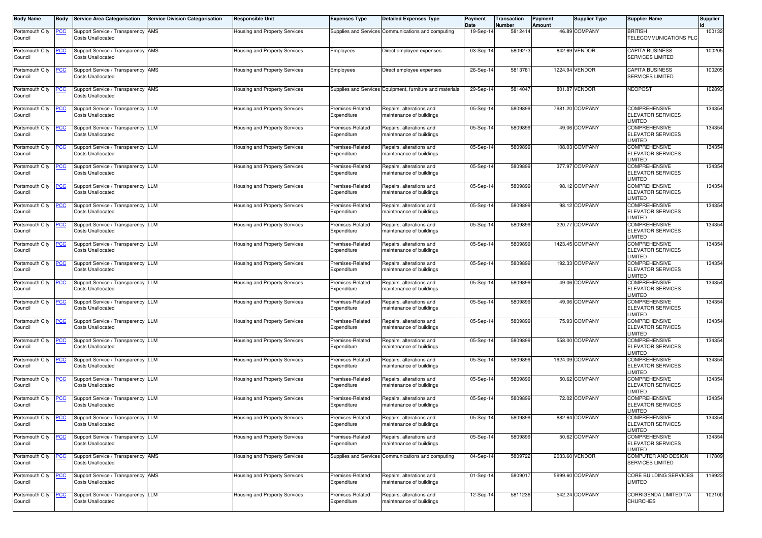| <b>Body Name</b>           | Body       | <b>Service Area Categorisation</b>                             | <b>Service Division Categorisation</b> | <b>Responsible Unit</b>              | <b>Expenses Type</b>            | <b>Detailed Expenses Type</b>                            | Payment<br>Date | Transaction<br>Number | <b>Payment</b><br>Amount | <b>Supplier Type</b> | <b>Supplier Name</b>                                              | <b>Supplier</b> |
|----------------------------|------------|----------------------------------------------------------------|----------------------------------------|--------------------------------------|---------------------------------|----------------------------------------------------------|-----------------|-----------------------|--------------------------|----------------------|-------------------------------------------------------------------|-----------------|
| Portsmouth City<br>Council | <u>PCC</u> | Support Service / Transparency AMS<br><b>Costs Unallocated</b> |                                        | Housing and Property Services        |                                 | Supplies and Services Communications and computing       | 19-Sep-1        | 5812414               |                          | 46.89 COMPANY        | <b>BRITISH</b><br>TELECOMMUNICATIONS PLO                          | 100132          |
| Portsmouth City<br>Council | <u>PCC</u> | Support Service / Transparency AMS<br><b>Costs Unallocated</b> |                                        | Housing and Property Services        | Employees                       | Direct employee expenses                                 | 03-Sep-1        | 580927                |                          | 842.69 VENDOR        | <b>CAPITA BUSINESS</b><br><b>SERVICES LIMITED</b>                 | 100205          |
| Portsmouth City<br>Council | <u>PCC</u> | Support Service / Transparency AMS<br><b>Costs Unallocated</b> |                                        | Housing and Property Services        | Employees                       | Direct employee expenses                                 | 26-Sep-14       | 5813781               |                          | 1224.94 VENDOR       | <b>CAPITA BUSINESS</b><br><b>SERVICES LIMITED</b>                 | 100205          |
| Portsmouth City<br>Council | <b>PCC</b> | Support Service / Transparency AMS<br><b>Costs Unallocated</b> |                                        | Housing and Property Services        |                                 | Supplies and Services Equipment, furniture and materials | 29-Sep-14       | 581404                |                          | 801.87 VENDOR        | <b>NEOPOST</b>                                                    | 102893          |
| Portsmouth City<br>Council | <u>PCC</u> | Support Service / Transparency LLM<br><b>Costs Unallocated</b> |                                        | Housing and Property Services        | Premises-Related<br>Expenditure | Repairs, alterations and<br>maintenance of buildings     | 05-Sep-14       | 580989                |                          | 7981.20 COMPANY      | <b>COMPREHENSIVE</b><br><b>ELEVATOR SERVICES</b><br><b>IMITED</b> | 134354          |
| Portsmouth City<br>Council | <b>PCC</b> | Support Service / Transparency LLM<br><b>Costs Unallocated</b> |                                        | Housing and Property Services        | Premises-Related<br>Expenditure | Repairs, alterations and<br>maintenance of buildings     | 05-Sep-14       | 5809899               |                          | 49.06 COMPANY        | <b>COMPREHENSIVE</b><br><b>ELEVATOR SERVICES</b><br><b>IMITED</b> | 134354          |
| Portsmouth City<br>Council | <u>PCC</u> | Support Service / Transparency LLM<br><b>Costs Unallocated</b> |                                        | <b>Housing and Property Services</b> | Premises-Related<br>Expenditure | Repairs, alterations and<br>maintenance of buildings     | 05-Sep-14       | 5809899               |                          | 108.03 COMPANY       | <b>COMPREHENSIVE</b><br><b>ELEVATOR SERVICES</b><br><b>IMITED</b> | 134354          |
| Portsmouth City<br>Council | <u>PCC</u> | Support Service / Transparency LLM<br><b>Costs Unallocated</b> |                                        | Housing and Property Services        | Premises-Related<br>Expenditure | Repairs, alterations and<br>naintenance of buildings     | 05-Sep-14       | 5809899               |                          | 377.97 COMPANY       | <b>COMPREHENSIVE</b><br><b>ELEVATOR SERVICES</b><br><b>IMITED</b> | 134354          |
| Portsmouth City<br>Council | <b>PCC</b> | Support Service / Transparency LLM<br><b>Costs Unallocated</b> |                                        | Housing and Property Services        | Premises-Related<br>Expenditure | Repairs, alterations and<br>naintenance of buildings     | 05-Sep-1        | 580989                |                          | 98.12 COMPANY        | <b>COMPREHENSIVE</b><br><b>ELEVATOR SERVICES</b><br><b>IMITED</b> | 134354          |
| Portsmouth City<br>Council | <u>PCC</u> | Support Service / Transparency LLM<br><b>Costs Unallocated</b> |                                        | Housing and Property Services        | Premises-Related<br>Expenditure | Repairs, alterations and<br>maintenance of buildings     | 05-Sep-1        | 5809899               |                          | 98.12 COMPANY        | <b>COMPREHENSIVE</b><br><b>ELEVATOR SERVICES</b><br>LIMITED       | 134354          |
| Portsmouth City<br>Council | <u>PCC</u> | Support Service / Transparency LLM<br><b>Costs Unallocated</b> |                                        | <b>Housing and Property Services</b> | Premises-Related<br>Expenditure | Repairs, alterations and<br>maintenance of buildings     | 05-Sep-14       | 5809899               |                          | 220.77 COMPANY       | <b>COMPREHENSIVE</b><br><b>ELEVATOR SERVICES</b><br><b>IMITED</b> | 134354          |
| Portsmouth City<br>Council | <u>PCC</u> | Support Service / Transparency LLM<br><b>Costs Unallocated</b> |                                        | Housing and Property Services        | Premises-Related<br>Expenditure | Repairs, alterations and<br>maintenance of buildings     | 05-Sep-14       | 5809899               |                          | 1423.45 COMPANY      | <b>COMPREHENSIVE</b><br><b>ELEVATOR SERVICES</b><br>LIMITED       | 134354          |
| Portsmouth City<br>Council | <b>PCC</b> | Support Service / Transparency LLM<br><b>Costs Unallocated</b> |                                        | Housing and Property Services        | Premises-Related<br>Expenditure | Repairs, alterations and<br>maintenance of buildings     | 05-Sep-14       | 580989                |                          | 192.33 COMPANY       | <b>COMPREHENSIVE</b><br><b>ELEVATOR SERVICES</b><br><b>IMITED</b> | 134354          |
| Portsmouth City<br>Council | <u>CC</u>  | Support Service / Transparency LLM<br><b>Costs Unallocated</b> |                                        | Housing and Property Services        | Premises-Related<br>Expenditure | Repairs, alterations and<br>maintenance of buildings     | 05-Sep-14       | 5809899               |                          | 49.06 COMPANY        | <b>COMPREHENSIVE</b><br><b>ELEVATOR SERVICES</b><br><b>IMITED</b> | 134354          |
| Portsmouth City<br>Council | <u>PCC</u> | Support Service / Transparency LLM<br><b>Costs Unallocated</b> |                                        | Housing and Property Services        | Premises-Related<br>Expenditure | Repairs, alterations and<br>maintenance of buildings     | 05-Sep-1        | 580989                |                          | 49.06 COMPANY        | <b>COMPREHENSIVE</b><br><b>ELEVATOR SERVICES</b><br><b>IMITED</b> | 134354          |
| Portsmouth City<br>Council | <u>PCC</u> | Support Service / Transparency LLM<br><b>Costs Unallocated</b> |                                        | Housing and Property Services        | Premises-Related<br>Expenditure | Repairs, alterations and<br>maintenance of buildings     | 05-Sep-14       | 5809899               |                          | 75.93 COMPANY        | <b>COMPREHENSIVE</b><br>ELEVATOR SERVICES<br><b>IMITED</b>        | 134354          |
| Portsmouth City<br>Council | <u>PCC</u> | Support Service / Transparency LLM<br><b>Costs Unallocated</b> |                                        | Housing and Property Services        | Premises-Related<br>Expenditure | Repairs, alterations and<br>naintenance of buildings     | 05-Sep-1        | 5809899               |                          | 558.00 COMPANY       | <b>COMPREHENSIVE</b><br><b>ELEVATOR SERVICES</b><br><b>IMITED</b> | 134354          |
| Portsmouth City<br>Council | <b>PCC</b> | Support Service / Transparency LLM<br><b>Costs Unallocated</b> |                                        | Housing and Property Services        | Premises-Related<br>Expenditure | Repairs, alterations and<br>naintenance of buildings     | 05-Sep-1        | 5809899               |                          | 1924.09 COMPANY      | <b>COMPREHENSIVE</b><br>ELEVATOR SERVICES<br><b>IMITED</b>        | 134354          |
| Portsmouth City<br>Council | <u>PCC</u> | Support Service / Transparency LLM<br><b>Costs Unallocated</b> |                                        | Housing and Property Services        | Premises-Related<br>Expenditure | Repairs, alterations and<br>maintenance of buildings     | 05-Sep-14       | 5809899               |                          | 50.62 COMPANY        | <b>COMPREHENSIVE</b><br>ELEVATOR SERVICES<br><b>IMITED</b>        | 134354          |
| Portsmouth City<br>Council | <b>PCC</b> | Support Service / Transparency LLM<br><b>Costs Unallocated</b> |                                        | Housing and Property Services        | Premises-Related<br>Expenditure | Repairs, alterations and<br>maintenance of buildings     | 05-Sep-14       | 580989                |                          | 72.02 COMPANY        | <b>COMPREHENSIVE</b><br><b>ELEVATOR SERVICES</b><br><b>IMITED</b> | 134354          |
| Portsmouth City<br>Council | <u>PCC</u> | Support Service / Transparency LLM<br><b>Costs Unallocated</b> |                                        | Housing and Property Services        | Premises-Related<br>Expenditure | Repairs, alterations and<br>maintenance of buildings     | 05-Sep-14       | 5809899               |                          | 882.64 COMPANY       | <b>COMPREHENSIVE</b><br><b>ELEVATOR SERVICES</b><br>LIMITED       | 134354          |
| Portsmouth City<br>Council | <b>PCC</b> | Support Service / Transparency LLM<br><b>Costs Unallocated</b> |                                        | Housing and Property Services        | Premises-Related<br>Expenditure | Repairs, alterations and<br>maintenance of buildings     | 05-Sep-14       | 5809899               |                          | 50.62 COMPANY        | <b>COMPREHENSIVE</b><br><b>ELEVATOR SERVICES</b><br><b>IMITED</b> | 134354          |
| Portsmouth City<br>Council | <u>PCC</u> | Support Service / Transparency AMS<br><b>Costs Unallocated</b> |                                        | Housing and Property Services        |                                 | Supplies and Services Communications and computing       | 04-Sep-14       | 5809722               |                          | 2033.60 VENDOR       | <b>COMPUTER AND DESIGN</b><br><b>SERVICES LIMITED</b>             | 117809          |
| Portsmouth City<br>Council | <u>PCC</u> | Support Service / Transparency AMS<br><b>Costs Unallocated</b> |                                        | Housing and Property Services        | Premises-Related<br>Expenditure | Repairs, alterations and<br>maintenance of buildings     | 01-Sep-14       | 580901                |                          | 5999.60 COMPANY      | CORE BUILDING SERVICES<br>LIMITED                                 | 116923          |
| Portsmouth City<br>Council | <b>PCC</b> | Support Service / Transparency LLM<br><b>Costs Unallocated</b> |                                        | lousing and Property Services        | Premises-Related<br>Expenditure | Repairs, alterations and<br>maintenance of buildings     | 12-Sep-14       | 5811236               |                          | 542.24 COMPANY       | CORRIGENDA LIMITED T/A<br><b>CHURCHES</b>                         | 102100          |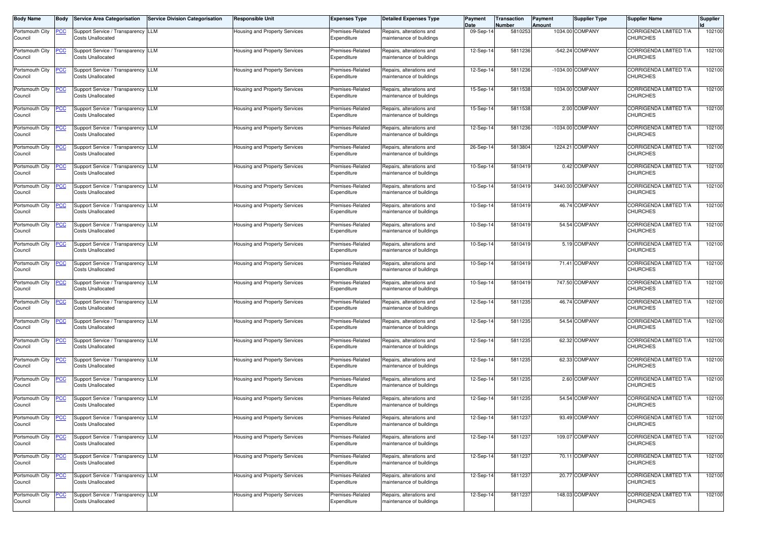| <b>Body Name</b>           | Body             | <b>Service Area Categorisation</b>                             | <b>Service Division Categorisation</b> | <b>Responsible Unit</b>              | <b>Expenses Type</b>            | <b>Detailed Expenses Type</b>                        | Payment<br>Date | Transaction<br>Number | Payment<br>Amount | <b>Supplier Type</b> | <b>Supplier Name</b>                             | <b>Supplier</b> |
|----------------------------|------------------|----------------------------------------------------------------|----------------------------------------|--------------------------------------|---------------------------------|------------------------------------------------------|-----------------|-----------------------|-------------------|----------------------|--------------------------------------------------|-----------------|
| Portsmouth City<br>Council | <u>PCC</u>       | Support Service / Transparency LLM<br><b>Costs Unallocated</b> |                                        | Housing and Property Services        | Premises-Related<br>Expenditure | Repairs, alterations and<br>naintenance of buildings | 09-Sep-1        | 5810253               |                   | 1034.00 COMPANY      | <b>CORRIGENDA LIMITED T/A</b><br><b>CHURCHES</b> | 102100          |
| Portsmouth City<br>Council | <u>PCC</u>       | Support Service / Transparency LLM<br><b>Costs Unallocated</b> |                                        | Housing and Property Services        | Premises-Related<br>Expenditure | Repairs, alterations and<br>maintenance of buildings | 12-Sep-1        | 5811236               |                   | -542.24 COMPANY      | CORRIGENDA LIMITED T/A<br><b>CHURCHES</b>        | 102100          |
| Portsmouth City<br>Council | <u>PCC</u>       | Support Service / Transparency LLM<br><b>Costs Unallocated</b> |                                        | Housing and Property Services        | Premises-Related<br>Expenditure | Repairs, alterations and<br>maintenance of buildings | 12-Sep-14       | 5811236               |                   | -1034.00 COMPANY     | CORRIGENDA LIMITED T/A<br><b>CHURCHES</b>        | 102100          |
| Portsmouth City<br>Council | <u>PCC</u>       | Support Service / Transparency LLM<br><b>Costs Unallocated</b> |                                        | Housing and Property Services        | Premises-Related<br>Expenditure | Repairs, alterations and<br>maintenance of buildings | 15-Sep-14       | 5811538               |                   | 1034.00 COMPANY      | CORRIGENDA LIMITED T/A<br><b>CHURCHES</b>        | 102100          |
| Portsmouth City<br>Council | <u>PCC</u>       | Support Service / Transparency LLM<br><b>Costs Unallocated</b> |                                        | <b>Housing and Property Services</b> | Premises-Related<br>Expenditure | Repairs, alterations and<br>maintenance of buildings | 15-Sep-14       | 5811538               |                   | 2.00 COMPANY         | CORRIGENDA LIMITED T/A<br><b>CHURCHES</b>        | 102100          |
| Portsmouth City<br>Council | <b>PCC</b>       | Support Service / Transparency LLM<br><b>Costs Unallocated</b> |                                        | Housing and Property Services        | Premises-Related<br>Expenditure | Repairs, alterations and<br>maintenance of buildings | 12-Sep-1        | 5811236               |                   | -1034.00 COMPANY     | CORRIGENDA LIMITED T/A<br><b>CHURCHES</b>        | 102100          |
| Portsmouth City<br>Council | <u>PCC</u>       | Support Service / Transparency LLM<br><b>Costs Unallocated</b> |                                        | Housing and Property Services        | Premises-Related<br>Expenditure | Repairs, alterations and<br>maintenance of buildings | 26-Sep-14       | 5813804               |                   | 1224.21 COMPANY      | CORRIGENDA LIMITED T/A<br><b>CHURCHES</b>        | 102100          |
| Portsmouth City<br>Council | <u>PCC</u>       | Support Service / Transparency LLM<br><b>Costs Unallocated</b> |                                        | Housing and Property Services        | Premises-Related<br>Expenditure | Repairs, alterations and<br>naintenance of buildings | 10-Sep-14       | 5810419               |                   | 0.42 COMPANY         | CORRIGENDA LIMITED T/A<br><b>CHURCHES</b>        | 102100          |
| Portsmouth City<br>Council | <b>PCC</b>       | Support Service / Transparency LLM<br><b>Costs Unallocated</b> |                                        | Housing and Property Services        | Premises-Related<br>Expenditure | Repairs, alterations and<br>maintenance of buildings | 10-Sep-14       | 5810419               |                   | 3440.00 COMPANY      | CORRIGENDA LIMITED T/A<br><b>CHURCHES</b>        | 102100          |
| Portsmouth City<br>Council | <u>PCC</u>       | Support Service / Transparency LLM<br><b>Costs Unallocated</b> |                                        | Housing and Property Services        | Premises-Related<br>Expenditure | Repairs, alterations and<br>maintenance of buildings | 10-Sep-1        | 5810419               |                   | 46.74 COMPANY        | CORRIGENDA LIMITED T/A<br><b>CHURCHES</b>        | 102100          |
| Portsmouth City<br>Council | $\overline{PCC}$ | Support Service / Transparency LLM<br><b>Costs Unallocated</b> |                                        | Housing and Property Services        | Premises-Related<br>Expenditure | Repairs, alterations and<br>maintenance of buildings | 10-Sep-14       | 5810419               |                   | 54.54 COMPANY        | <b>CORRIGENDA LIMITED T/A</b><br><b>CHURCHES</b> | 102100          |
| Portsmouth City<br>Council | <u>PCC</u>       | Support Service / Transparency LLM<br><b>Costs Unallocated</b> |                                        | Housing and Property Services        | Premises-Related<br>Expenditure | Repairs, alterations and<br>maintenance of buildings | 10-Sep-14       | 5810419               |                   | 5.19 COMPANY         | CORRIGENDA LIMITED T/A<br><b>CHURCHES</b>        | 102100          |
| Portsmouth City<br>Council | <b>PCC</b>       | Support Service / Transparency LLM<br><b>Costs Unallocated</b> |                                        | Housing and Property Services        | Premises-Related<br>Expenditure | Repairs, alterations and<br>maintenance of buildings | 10-Sep-14       | 5810419               |                   | 71.41 COMPANY        | CORRIGENDA LIMITED T/A<br><b>CHURCHES</b>        | 102100          |
| Portsmouth City<br>Council | <u>PCC</u>       | Support Service / Transparency LLM<br><b>Costs Unallocated</b> |                                        | Housing and Property Services        | Premises-Related<br>Expenditure | Repairs, alterations and<br>maintenance of buildings | 10-Sep-14       | 5810419               |                   | 747.50 COMPANY       | CORRIGENDA LIMITED T/A<br><b>CHURCHES</b>        | 102100          |
| Portsmouth City<br>Council | <u>PCC</u>       | Support Service / Transparency LLM<br><b>Costs Unallocated</b> |                                        | Housing and Property Services        | Premises-Related<br>Expenditure | Repairs, alterations and<br>maintenance of buildings | 12-Sep-14       | 5811235               |                   | 46.74 COMPANY        | CORRIGENDA LIMITED T/A<br><b>CHURCHES</b>        | 102100          |
| Portsmouth City<br>Council | <u>PCC</u>       | Support Service / Transparency LLM<br><b>Costs Unallocated</b> |                                        | Housing and Property Services        | Premises-Related<br>Expenditure | Repairs, alterations and<br>maintenance of buildings | 12-Sep-14       | 5811235               |                   | 54.54 COMPANY        | CORRIGENDA LIMITED T/A<br><b>CHURCHES</b>        | 102100          |
| Portsmouth City<br>Council | <u>PCC</u>       | Support Service / Transparency LLM<br><b>Costs Unallocated</b> |                                        | Housing and Property Services        | Premises-Related<br>Expenditure | Repairs, alterations and<br>naintenance of buildings | 12-Sep-14       | 5811235               |                   | 62.32 COMPANY        | CORRIGENDA LIMITED T/A<br><b>CHURCHES</b>        | 102100          |
| Portsmouth City<br>Council | <b>PCC</b>       | Support Service / Transparency LLM<br><b>Costs Unallocated</b> |                                        | Housing and Property Services        | Premises-Related<br>Expenditure | Repairs, alterations and<br>maintenance of buildings | 12-Sep-1        | 5811235               |                   | 62.33 COMPANY        | CORRIGENDA LIMITED T/A<br><b>CHURCHES</b>        | 102100          |
| Portsmouth City<br>Council | <u>PCC</u>       | Support Service / Transparency LLM<br><b>Costs Unallocated</b> |                                        | Housing and Property Services        | Premises-Related<br>Expenditure | Repairs, alterations and<br>maintenance of buildings | 12-Sep-14       | 5811235               |                   | 2.60 COMPANY         | <b>CORRIGENDA LIMITED T/A</b><br><b>CHURCHES</b> | 102100          |
| Portsmouth City<br>Council | <b>PCC</b>       | Support Service / Transparency LLM<br><b>Costs Unallocated</b> |                                        | Housing and Property Services        | Premises-Related<br>Expenditure | Repairs, alterations and<br>maintenance of buildings | 12-Sep-14       | 5811235               |                   | 54.54 COMPANY        | CORRIGENDA LIMITED T/A<br><b>CHURCHES</b>        | 102100          |
| Portsmouth City<br>Council | <u>PCC</u>       | Support Service / Transparency LLM<br><b>Costs Unallocated</b> |                                        | Housing and Property Services        | Premises-Related<br>Expenditure | Repairs, alterations and<br>maintenance of buildings | 12-Sep-14       | 5811237               |                   | 93.49 COMPANY        | <b>CORRIGENDA LIMITED T/A</b><br><b>CHURCHES</b> | 102100          |
| Portsmouth City<br>Council | <b>PCC</b>       | Support Service / Transparency LLM<br><b>Costs Unallocated</b> |                                        | Housing and Property Services        | Premises-Related<br>Expenditure | Repairs, alterations and<br>maintenance of buildings | 12-Sep-14       | 5811237               |                   | 109.07 COMPANY       | CORRIGENDA LIMITED T/A<br><b>CHURCHES</b>        | 102100          |
| Portsmouth City<br>Council | <u>PCC</u>       | Support Service / Transparency LLM<br><b>Costs Unallocated</b> |                                        | <b>Housing and Property Services</b> | Premises-Related<br>Expenditure | Repairs, alterations and<br>maintenance of buildings | 12-Sep-14       | 5811237               |                   | 70.11 COMPANY        | CORRIGENDA LIMITED T/A<br><b>CHURCHES</b>        | 102100          |
| Portsmouth City<br>Council | <u>PCC</u>       | Support Service / Transparency LLM<br><b>Costs Unallocated</b> |                                        | <b>Housing and Property Services</b> | Premises-Related<br>Expenditure | Repairs, alterations and<br>maintenance of buildings | 12-Sep-14       | 5811237               |                   | 20.77 COMPANY        | CORRIGENDA LIMITED T/A<br><b>CHURCHES</b>        | 102100          |
| Portsmouth City<br>Council | <b>PCC</b>       | Support Service / Transparency LLM<br><b>Costs Unallocated</b> |                                        | <b>Housing and Property Services</b> | Premises-Related<br>Expenditure | Repairs, alterations and<br>maintenance of buildings | 12-Sep-14       | 5811237               |                   | 148.03 COMPANY       | CORRIGENDA LIMITED T/A<br><b>CHURCHES</b>        | 102100          |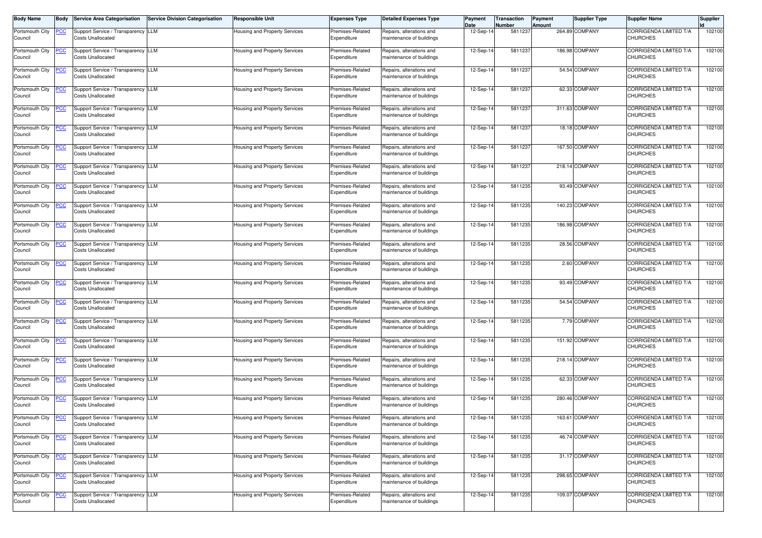| <b>Body Name</b>           |                | <b>Service Area Categorisation</b>                             | <b>Service Division Categorisation</b> | Responsible Unit                     | <b>Expenses Type</b>            | <b>Detailed Expenses Type</b>                        | Payment<br>Date | Transaction<br><b>Number</b> | Payment<br>Amount | <b>Supplier Type</b> | <b>Supplier Name</b>                             | <b>Supplier</b> |
|----------------------------|----------------|----------------------------------------------------------------|----------------------------------------|--------------------------------------|---------------------------------|------------------------------------------------------|-----------------|------------------------------|-------------------|----------------------|--------------------------------------------------|-----------------|
| Portsmouth City<br>Council | <u>PCC</u>     | Support Service / Transparency LLM<br><b>Costs Unallocated</b> |                                        | Housing and Property Services        | Premises-Related<br>Expenditure | Repairs, alterations and<br>naintenance of buildings | 12-Sep-1        | 5811237                      |                   | 264.89 COMPANY       | <b>CORRIGENDA LIMITED T/A</b><br><b>CHURCHES</b> | 102100          |
| Portsmouth City<br>Council | <u>PCC</u>     | Support Service / Transparency LLM<br><b>Costs Unallocated</b> |                                        | Housing and Property Services        | Premises-Related<br>Expenditure | Repairs, alterations and<br>maintenance of buildings | 12-Sep-1        | 5811237                      |                   | 186.98 COMPANY       | <b>CORRIGENDA LIMITED T/A</b><br><b>CHURCHES</b> | 102100          |
| Portsmouth City<br>Council | <u>PCC</u>     | Support Service / Transparency LLM<br><b>Costs Unallocated</b> |                                        | Housing and Property Services        | Premises-Related<br>Expenditure | Repairs, alterations and<br>naintenance of buildings | 12-Sep-1        | 5811237                      |                   | 54.54 COMPANY        | CORRIGENDA LIMITED T/A<br><b>CHURCHES</b>        | 102100          |
| Portsmouth City<br>Council | $\overline{C}$ | Support Service / Transparency LLM<br><b>Costs Unallocated</b> |                                        | Housing and Property Services        | Premises-Related<br>Expenditure | Repairs, alterations and<br>maintenance of buildings | 12-Sep-1        | 5811237                      |                   | 62.33 COMPANY        | CORRIGENDA LIMITED T/A<br><b>CHURCHES</b>        | 102100          |
| Portsmouth City<br>Council | <u>PCC</u>     | Support Service / Transparency LLM<br><b>Costs Unallocated</b> |                                        | Housing and Property Services        | Premises-Related<br>Expenditure | Repairs, alterations and<br>maintenance of buildings | 12-Sep-14       | 5811237                      |                   | 311.63 COMPANY       | CORRIGENDA LIMITED T/A<br><b>CHURCHES</b>        | 102100          |
| Portsmouth City<br>Council | <b>PCC</b>     | Support Service / Transparency LLM<br><b>Costs Unallocated</b> |                                        | Housing and Property Services        | Premises-Related<br>Expenditure | Repairs, alterations and<br>maintenance of buildings | 12-Sep-14       | 5811237                      |                   | 18.18 COMPANY        | CORRIGENDA LIMITED T/A<br><b>CHURCHES</b>        | 102100          |
| Portsmouth City<br>Council | <u>PCC</u>     | Support Service / Transparency LLM<br><b>Costs Unallocated</b> |                                        | Housing and Property Services        | Premises-Related<br>Expenditure | Repairs, alterations and<br>maintenance of buildings | 12-Sep-14       | 5811237                      |                   | 167.50 COMPANY       | CORRIGENDA LIMITED T/A<br><b>CHURCHES</b>        | 102100          |
| Portsmouth City<br>Council | <u>PCC </u>    | Support Service / Transparency LLM<br><b>Costs Unallocated</b> |                                        | Housing and Property Services        | Premises-Related<br>Expenditure | Repairs, alterations and<br>naintenance of buildings | 12-Sep-1        | 5811237                      |                   | 218.14 COMPANY       | CORRIGENDA LIMITED T/A<br><b>CHURCHES</b>        | 102100          |
| Portsmouth City<br>Council | <u>PCC</u>     | Support Service / Transparency LLM<br><b>Costs Unallocated</b> |                                        | Housing and Property Services        | Premises-Related<br>Expenditure | Repairs, alterations and<br>naintenance of buildings | 12-Sep-14       | 5811235                      |                   | 93.49 COMPANY        | CORRIGENDA LIMITED T/A<br><b>CHURCHES</b>        | 102100          |
| Portsmouth City<br>Council | <b>PCC</b>     | Support Service / Transparency LLM<br><b>Costs Unallocated</b> |                                        | Housing and Property Services        | Premises-Related<br>Expenditure | Repairs, alterations and<br>naintenance of buildings | 12-Sep-1        | 5811235                      |                   | 140.23 COMPANY       | CORRIGENDA LIMITED T/A<br><b>CHURCHES</b>        | 102100          |
| Portsmouth City<br>Council | <b>PCC</b>     | Support Service / Transparency LLM<br><b>Costs Unallocated</b> |                                        | Housing and Property Services        | Premises-Related<br>Expenditure | Repairs, alterations and<br>maintenance of buildings | 12-Sep-1        | 5811235                      |                   | 186.98 COMPANY       | CORRIGENDA LIMITED T/A<br><b>CHURCHES</b>        | 102100          |
| Portsmouth City<br>Council | <u>PCC </u>    | Support Service / Transparency LLM<br><b>Costs Unallocated</b> |                                        | Housing and Property Services        | Premises-Related<br>Expenditure | Repairs, alterations and<br>maintenance of buildings | 12-Sep-14       | 5811235                      |                   | 28.56 COMPANY        | CORRIGENDA LIMITED T/A<br><b>CHURCHES</b>        | 102100          |
| Portsmouth City<br>Council | <u>PCC</u>     | Support Service / Transparency LLM<br><b>Costs Unallocated</b> |                                        | Housing and Property Services        | Premises-Related<br>Expenditure | Repairs, alterations and<br>maintenance of buildings | 12-Sep-14       | 5811235                      |                   | 2.60 COMPANY         | <b>CORRIGENDA LIMITED T/A</b><br><b>CHURCHES</b> | 102100          |
| Portsmouth City<br>Council | <u>PCC</u>     | Support Service / Transparency LLM<br><b>Costs Unallocated</b> |                                        | Housing and Property Services        | Premises-Related<br>Expenditure | Repairs, alterations and<br>maintenance of buildings | 12-Sep-14       | 5811235                      |                   | 93.49 COMPANY        | CORRIGENDA LIMITED T/A<br><b>CHURCHES</b>        | 102100          |
| Portsmouth City<br>Council | <u>PCC</u>     | Support Service / Transparency LLM<br><b>Costs Unallocated</b> |                                        | Housing and Property Services        | Premises-Related<br>Expenditure | Repairs, alterations and<br>maintenance of buildings | 12-Sep-1        | 5811235                      |                   | 54.54 COMPANY        | CORRIGENDA LIMITED T/A<br><b>CHURCHES</b>        | 102100          |
| Portsmouth City<br>Council | <u>PCC</u>     | Support Service / Transparency LLM<br><b>Costs Unallocated</b> |                                        | Housing and Property Services        | Premises-Related<br>Expenditure | Repairs, alterations and<br>maintenance of buildings | 12-Sep-14       | 5811235                      |                   | 7.79 COMPANY         | CORRIGENDA LIMITED T/A<br><b>CHURCHES</b>        | 102100          |
| Portsmouth City<br>Council | <u>PCC</u>     | Support Service / Transparency LLM<br><b>Costs Unallocated</b> |                                        | Housing and Property Services        | Premises-Related<br>Expenditure | Repairs, alterations and<br>naintenance of buildings | 12-Sep-14       | 5811235                      |                   | 151.92 COMPANY       | CORRIGENDA LIMITED T/A<br><b>CHURCHES</b>        | 102100          |
| Portsmouth City<br>Council | <u>PCC</u>     | Support Service / Transparency LLM<br><b>Costs Unallocated</b> |                                        | Housing and Property Services        | Premises-Related<br>Expenditure | Repairs, alterations and<br>naintenance of buildings | 12-Sep-1        | 5811235                      |                   | 218.14 COMPANY       | CORRIGENDA LIMITED T/A<br><b>CHURCHES</b>        | 102100          |
| Portsmouth City<br>Council | <b>PCC</b>     | Support Service / Transparency LLM<br><b>Costs Unallocated</b> |                                        | Housing and Property Services        | Premises-Related<br>Expenditure | Repairs, alterations and<br>naintenance of buildings | 12-Sep-1        | 5811235                      |                   | 62.33 COMPANY        | CORRIGENDA LIMITED T/A<br><b>CHURCHES</b>        | 102100          |
| Portsmouth City<br>Council | <u>PCC</u>     | Support Service / Transparency LLM<br><b>Costs Unallocated</b> |                                        | Housing and Property Services        | Premises-Related<br>Expenditure | Repairs, alterations and<br>maintenance of buildings | 12-Sep-1        | 5811235                      |                   | 280.46 COMPANY       | <b>CORRIGENDA LIMITED T/A</b><br><b>CHURCHES</b> | 102100          |
| Portsmouth City<br>Council | <u>PCC</u>     | Support Service / Transparency LLM<br><b>Costs Unallocated</b> |                                        | Housing and Property Services        | Premises-Related<br>Expenditure | Repairs, alterations and<br>maintenance of buildings | 12-Sep-14       | 5811235                      |                   | 163.61 COMPANY       | CORRIGENDA LIMITED T/A<br><b>CHURCHES</b>        | 102100          |
| Portsmouth City<br>Council | <u>PCC</u>     | Support Service / Transparency LLM<br><b>Costs Unallocated</b> |                                        | Housing and Property Services        | Premises-Related<br>Expenditure | Repairs, alterations and<br>maintenance of buildings | 12-Sep-14       | 5811235                      |                   | 46.74 COMPANY        | CORRIGENDA LIMITED T/A<br><b>CHURCHES</b>        | 102100          |
| Portsmouth City<br>Council | <u>PCC</u>     | Support Service / Transparency LLM<br><b>Costs Unallocated</b> |                                        | Housing and Property Services        | Premises-Related<br>Expenditure | Repairs, alterations and<br>maintenance of buildings | 12-Sep-14       | 5811235                      |                   | 31.17 COMPANY        | CORRIGENDA LIMITED T/A<br><b>CHURCHES</b>        | 102100          |
| Portsmouth City<br>Council | <u>PCC</u>     | Support Service / Transparency LLM<br><b>Costs Unallocated</b> |                                        | <b>Housing and Property Services</b> | Premises-Related<br>Expenditure | Repairs, alterations and<br>maintenance of buildings | 12-Sep-14       | 5811235                      |                   | 298.65 COMPANY       | CORRIGENDA LIMITED T/A<br><b>CHURCHES</b>        | 102100          |
| Portsmouth City<br>Council | <u>PCC</u>     | Support Service / Transparency LLM<br><b>Costs Unallocated</b> |                                        | Housing and Property Services        | Premises-Related<br>Expenditure | Repairs, alterations and<br>maintenance of buildings | 12-Sep-14       | 5811235                      |                   | 109.07 COMPANY       | CORRIGENDA LIMITED T/A<br><b>CHURCHES</b>        | 102100          |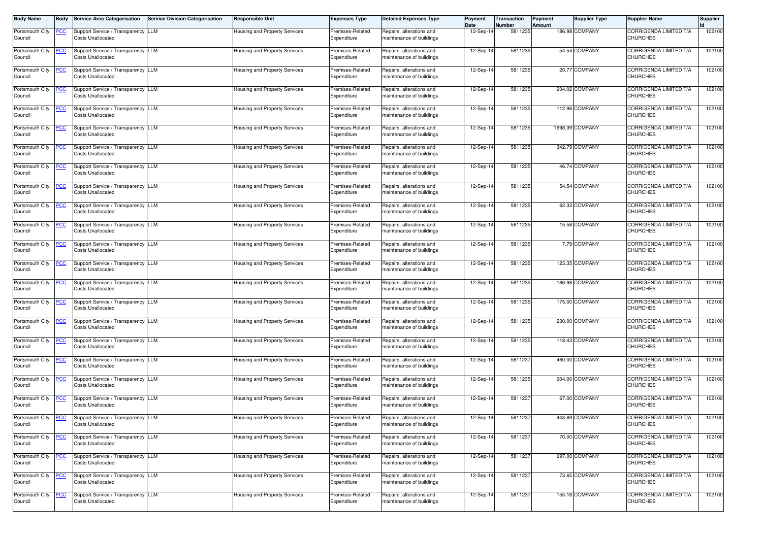| <b>Body Name</b>           | <b>Body</b> | <b>Service Area Categorisation</b>                             | <b>Service Division Categorisation</b> | Responsible Unit                     | <b>Expenses Type</b>            | <b>Detailed Expenses Type</b>                        | Payment<br>Date | Transaction<br>Number | Payment<br>Amount | <b>Supplier Type</b> | <b>Supplier Name</b>                             | <b>Supplier</b> |
|----------------------------|-------------|----------------------------------------------------------------|----------------------------------------|--------------------------------------|---------------------------------|------------------------------------------------------|-----------------|-----------------------|-------------------|----------------------|--------------------------------------------------|-----------------|
| Portsmouth City<br>Council | <u>PCC</u>  | Support Service / Transparency LLM<br><b>Costs Unallocated</b> |                                        | Housing and Property Services        | Premises-Related<br>Expenditure | Repairs, alterations and<br>naintenance of buildings | 12-Sep-1        | 5811235               |                   | 186.98 COMPANY       | CORRIGENDA LIMITED T/A<br><b>CHURCHES</b>        | 102100          |
| Portsmouth City<br>Council | <u>PCC</u>  | Support Service / Transparency LLM<br><b>Costs Unallocated</b> |                                        | Housing and Property Services        | Premises-Related<br>Expenditure | Repairs, alterations and<br>maintenance of buildings | 12-Sep-1        | 5811235               |                   | 54.54 COMPANY        | CORRIGENDA LIMITED T/A<br><b>CHURCHES</b>        | 102100          |
| Portsmouth City<br>Council | <u>PCC</u>  | Support Service / Transparency LLM<br><b>Costs Unallocated</b> |                                        | Housing and Property Services        | Premises-Related<br>Expenditure | Repairs, alterations and<br>maintenance of buildings | 12-Sep-14       | 5811235               |                   | 20.77 COMPANY        | CORRIGENDA LIMITED T/A<br><b>CHURCHES</b>        | 102100          |
| Portsmouth City<br>Council | <u>PCC</u>  | Support Service / Transparency LLM<br><b>Costs Unallocated</b> |                                        | Housing and Property Services        | Premises-Related<br>Expenditure | Repairs, alterations and<br>maintenance of buildings | 12-Sep-14       | 5811235               |                   | 204.02 COMPANY       | CORRIGENDA LIMITED T/A<br><b>CHURCHES</b>        | 102100          |
| Portsmouth City<br>Council | <b>PCC</b>  | Support Service / Transparency LLM<br><b>Costs Unallocated</b> |                                        | Housing and Property Services        | Premises-Related<br>Expenditure | Repairs, alterations and<br>maintenance of buildings | 12-Sep-14       | 5811235               |                   | 112.96 COMPANY       | CORRIGENDA LIMITED T/A<br><b>CHURCHES</b>        | 102100          |
| Portsmouth City<br>Council | <u>PCC</u>  | Support Service / Transparency LLM<br><b>Costs Unallocated</b> |                                        | Housing and Property Services        | Premises-Related<br>Expenditure | Repairs, alterations and<br>maintenance of buildings | 12-Sep-14       | 5811235               |                   | 1698.39 COMPANY      | CORRIGENDA LIMITED T/A<br><b>CHURCHES</b>        | 102100          |
| Portsmouth City<br>Council | <u>PCC</u>  | Support Service / Transparency LLM<br><b>Costs Unallocated</b> |                                        | Housing and Property Services        | Premises-Related<br>Expenditure | Repairs, alterations and<br>maintenance of buildings | 12-Sep-14       | 5811235               |                   | 342.79 COMPANY       | CORRIGENDA LIMITED T/A<br><b>CHURCHES</b>        | 102100          |
| Portsmouth City<br>Council | <u>PCC</u>  | Support Service / Transparency LLM<br><b>Costs Unallocated</b> |                                        | Housing and Property Services        | Premises-Related<br>Expenditure | Repairs, alterations and<br>naintenance of buildings | 12-Sep-14       | 5811235               |                   | 46.74 COMPANY        | CORRIGENDA LIMITED T/A<br><b>CHURCHES</b>        | 102100          |
| Portsmouth City<br>Council | <u>PCC</u>  | Support Service / Transparency LLM<br><b>Costs Unallocated</b> |                                        | Housing and Property Services        | Premises-Related<br>Expenditure | Repairs, alterations and<br>naintenance of buildings | 12-Sep-1        | 5811235               |                   | 54.54 COMPANY        | CORRIGENDA LIMITED T/A<br><b>CHURCHES</b>        | 102100          |
| Portsmouth City<br>Council | <u>PCC </u> | Support Service / Transparency LLM<br><b>Costs Unallocated</b> |                                        | Housing and Property Services        | Premises-Related<br>Expenditure | Repairs, alterations and<br>maintenance of buildings | 12-Sep-1        | 5811235               |                   | 62.33 COMPANY        | CORRIGENDA LIMITED T/A<br><b>CHURCHES</b>        | 102100          |
| Portsmouth City<br>Council | <u>PCC</u>  | Support Service / Transparency LLM<br><b>Costs Unallocated</b> |                                        | Housing and Property Services        | Premises-Related<br>Expenditure | Repairs, alterations and<br>maintenance of buildings | 12-Sep-14       | 5811235               |                   | 15.58 COMPANY        | CORRIGENDA LIMITED T/A<br><b>CHURCHES</b>        | 102100          |
| Portsmouth City<br>Council | <u>PCC </u> | Support Service / Transparency LLM<br><b>Costs Unallocated</b> |                                        | Housing and Property Services        | Premises-Related<br>Expenditure | Repairs, alterations and<br>maintenance of buildings | 12-Sep-14       | 5811235               |                   | 7.79 COMPANY         | CORRIGENDA LIMITED T/A<br><b>CHURCHES</b>        | 102100          |
| Portsmouth City<br>Council | <b>PCC</b>  | Support Service / Transparency LLM<br><b>Costs Unallocated</b> |                                        | Housing and Property Services        | Premises-Related<br>Expenditure | Repairs, alterations and<br>maintenance of buildings | 12-Sep-14       | 5811235               |                   | 123.35 COMPANY       | <b>CORRIGENDA LIMITED T/A</b><br><b>CHURCHES</b> | 102100          |
| Portsmouth City<br>Council | <u>PCC</u>  | Support Service / Transparency LLM<br><b>Costs Unallocated</b> |                                        | Housing and Property Services        | Premises-Related<br>Expenditure | Repairs, alterations and<br>maintenance of buildings | 12-Sep-14       | 5811235               |                   | 186.98 COMPANY       | CORRIGENDA LIMITED T/A<br><b>CHURCHES</b>        | 102100          |
| Portsmouth City<br>Council | <u>PCC</u>  | Support Service / Transparency LLM<br><b>Costs Unallocated</b> |                                        | Housing and Property Services        | Premises-Related<br>Expenditure | Repairs, alterations and<br>maintenance of buildings | 12-Sep-1        | 5811235               |                   | 175.00 COMPANY       | CORRIGENDA LIMITED T/A<br><b>CHURCHES</b>        | 102100          |
| Portsmouth City<br>Council | <u>PCC</u>  | Support Service / Transparency LLM<br><b>Costs Unallocated</b> |                                        | lousing and Property Services        | Premises-Related<br>Expenditure | Repairs, alterations and<br>maintenance of buildings | 12-Sep-14       | 5811235               |                   | 230.00 COMPANY       | CORRIGENDA LIMITED T/A<br><b>CHURCHES</b>        | 102100          |
| Portsmouth City<br>Council | <u>PCC</u>  | Support Service / Transparency LLM<br><b>Costs Unallocated</b> |                                        | Housing and Property Services        | Premises-Related<br>Expenditure | Repairs, alterations and<br>naintenance of buildings | 12-Sep-1        | 5811235               |                   | 118.43 COMPANY       | CORRIGENDA LIMITED T/A<br><b>CHURCHES</b>        | 102100          |
| Portsmouth City<br>Council | <u>PCC</u>  | Support Service / Transparency LLM<br><b>Costs Unallocated</b> |                                        | Housing and Property Services        | Premises-Related<br>Expenditure | Repairs, alterations and<br>naintenance of buildings | 12-Sep-1        | 5811237               |                   | 460.00 COMPANY       | CORRIGENDA LIMITED T/A<br><b>CHURCHES</b>        | 102100          |
| Portsmouth City<br>Council | <u>PCC</u>  | Support Service / Transparency LLM<br><b>Costs Unallocated</b> |                                        | Housing and Property Services        | Premises-Related<br>Expenditure | Repairs, alterations and<br>maintenance of buildings | 12-Sep-14       | 5811235               |                   | 604.00 COMPANY       | <b>CORRIGENDA LIMITED T/A</b><br><b>CHURCHES</b> | 102100          |
| Portsmouth City<br>Council | <b>PCC</b>  | Support Service / Transparency LLM<br><b>Costs Unallocated</b> |                                        | Housing and Property Services        | Premises-Related<br>Expenditure | Repairs, alterations and<br>maintenance of buildings | 12-Sep-14       | 5811237               |                   | 67.00 COMPANY        | CORRIGENDA LIMITED T/A<br><b>CHURCHES</b>        | 102100          |
| Portsmouth City<br>Council | <u>PCC</u>  | Support Service / Transparency LLM<br><b>Costs Unallocated</b> |                                        | <b>Housing and Property Services</b> | Premises-Related<br>Expenditure | Repairs, alterations and<br>maintenance of buildings | 12-Sep-14       | 5811237               |                   | 443.69 COMPANY       | <b>CORRIGENDA LIMITED T/A</b><br><b>CHURCHES</b> | 102100          |
| Portsmouth City<br>Council | <u>PCC</u>  | Support Service / Transparency LLM<br><b>Costs Unallocated</b> |                                        | Housing and Property Services        | Premises-Related<br>Expenditure | Repairs, alterations and<br>naintenance of buildings | 12-Sep-14       | 5811237               |                   | 70.00 COMPANY        | CORRIGENDA LIMITED T/A<br><b>CHURCHES</b>        | 102100          |
| Portsmouth City<br>Council | <u>PCC</u>  | Support Service / Transparency LLM<br><b>Costs Unallocated</b> |                                        | Housing and Property Services        | Premises-Related<br>Expenditure | Repairs, alterations and<br>maintenance of buildings | 12-Sep-14       | 5811237               |                   | 697.00 COMPANY       | CORRIGENDA LIMITED T/A<br><b>CHURCHES</b>        | 102100          |
| Portsmouth City<br>Council | <u>PCC</u>  | Support Service / Transparency LLM<br><b>Costs Unallocated</b> |                                        | Housing and Property Services        | Premises-Related<br>Expenditure | Repairs, alterations and<br>maintenance of buildings | 12-Sep-14       | 5811237               |                   | 73.65 COMPANY        | CORRIGENDA LIMITED T/A<br><b>CHURCHES</b>        | 102100          |
| Portsmouth City<br>Council | <b>PCC</b>  | Support Service / Transparency LLM<br><b>Costs Unallocated</b> |                                        | Housing and Property Services        | Premises-Related<br>Expenditure | Repairs, alterations and<br>maintenance of buildings | 12-Sep-14       | 5811237               |                   | 155.18 COMPANY       | CORRIGENDA LIMITED T/A<br><b>CHURCHES</b>        | 102100          |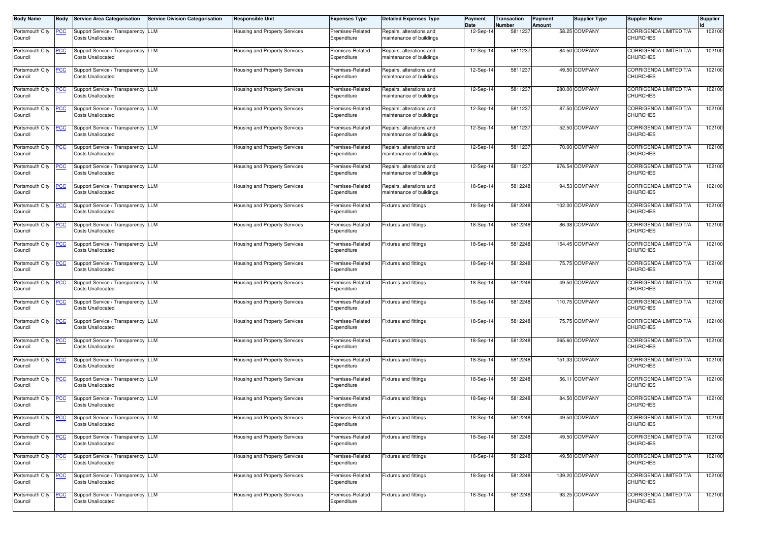| <b>Body Name</b>           | <b>Body</b> | <b>Service Area Categorisation</b>                             | <b>Service Division Categorisation</b> | Responsible Unit                     | <b>Expenses Type</b>            | <b>Detailed Expenses Type</b>                        | Payment<br>Date | Transaction<br>Number | Payment<br>Amount | <b>Supplier Type</b> | <b>Supplier Name</b>                             | <b>Supplier</b> |
|----------------------------|-------------|----------------------------------------------------------------|----------------------------------------|--------------------------------------|---------------------------------|------------------------------------------------------|-----------------|-----------------------|-------------------|----------------------|--------------------------------------------------|-----------------|
| Portsmouth City<br>Council | <u>PCC</u>  | Support Service / Transparency LLM<br><b>Costs Unallocated</b> |                                        | Housing and Property Services        | Premises-Related<br>Expenditure | Repairs, alterations and<br>naintenance of buildings | 12-Sep-1        | 5811237               |                   | 58.25 COMPANY        | CORRIGENDA LIMITED T/A<br><b>CHURCHES</b>        | 102100          |
| Portsmouth City<br>Council | <u>PCC</u>  | Support Service / Transparency LLM<br><b>Costs Unallocated</b> |                                        | lousing and Property Services        | Premises-Related<br>Expenditure | Repairs, alterations and<br>maintenance of buildings | 12-Sep-1        | 5811237               |                   | 84.50 COMPANY        | CORRIGENDA LIMITED T/A<br><b>CHURCHES</b>        | 102100          |
| Portsmouth City<br>Council | <u>PCC</u>  | Support Service / Transparency LLM<br><b>Costs Unallocated</b> |                                        | Housing and Property Services        | Premises-Related<br>Expenditure | Repairs, alterations and<br>maintenance of buildings | 12-Sep-14       | 5811237               |                   | 49.50 COMPANY        | CORRIGENDA LIMITED T/A<br><b>CHURCHES</b>        | 102100          |
| Portsmouth City<br>Council | <u>PCC</u>  | Support Service / Transparency LLM<br><b>Costs Unallocated</b> |                                        | Housing and Property Services        | Premises-Related<br>Expenditure | Repairs, alterations and<br>maintenance of buildings | 12-Sep-14       | 5811237               |                   | 280.00 COMPANY       | CORRIGENDA LIMITED T/A<br><b>CHURCHES</b>        | 102100          |
| Portsmouth City<br>Council | <u>PCC</u>  | Support Service / Transparency LLM<br><b>Costs Unallocated</b> |                                        | Housing and Property Services        | Premises-Related<br>Expenditure | Repairs, alterations and<br>maintenance of buildings | 12-Sep-14       | 5811237               |                   | 87.50 COMPANY        | CORRIGENDA LIMITED T/A<br><b>CHURCHES</b>        | 102100          |
| Portsmouth City<br>Council | <u>PCC</u>  | Support Service / Transparency LLM<br><b>Costs Unallocated</b> |                                        | Housing and Property Services        | Premises-Related<br>Expenditure | Repairs, alterations and<br>maintenance of buildings | 12-Sep-14       | 5811237               |                   | 52.50 COMPANY        | CORRIGENDA LIMITED T/A<br><b>CHURCHES</b>        | 102100          |
| Portsmouth City<br>Council | <u>PCC</u>  | Support Service / Transparency LLM<br><b>Costs Unallocated</b> |                                        | Housing and Property Services        | Premises-Related<br>Expenditure | Repairs, alterations and<br>maintenance of buildings | 12-Sep-14       | 5811237               |                   | 70.00 COMPANY        | CORRIGENDA LIMITED T/A<br><b>CHURCHES</b>        | 102100          |
| Portsmouth City<br>Council | <u>PCC</u>  | Support Service / Transparency LLM<br><b>Costs Unallocated</b> |                                        | Housing and Property Services        | Premises-Related<br>Expenditure | Repairs, alterations and<br>naintenance of buildings | 12-Sep-14       | 5811237               |                   | 676.54 COMPANY       | CORRIGENDA LIMITED T/A<br><b>CHURCHES</b>        | 102100          |
| Portsmouth City<br>Council | <u>PCC</u>  | Support Service / Transparency LLM<br><b>Costs Unallocated</b> |                                        | Housing and Property Services        | Premises-Related<br>Expenditure | Repairs, alterations and<br>naintenance of buildings | 18-Sep-14       | 5812248               |                   | 94.53 COMPANY        | CORRIGENDA LIMITED T/A<br><b>CHURCHES</b>        | 102100          |
| Portsmouth City<br>Council | <u>PCC </u> | Support Service / Transparency LLM<br><b>Costs Unallocated</b> |                                        | Housing and Property Services        | Premises-Related<br>Expenditure | Fixtures and fittings                                | 18-Sep-1        | 5812248               |                   | 102.00 COMPANY       | CORRIGENDA LIMITED T/A<br><b>CHURCHES</b>        | 102100          |
| Portsmouth City<br>Council | <u>PCC</u>  | Support Service / Transparency LLM<br><b>Costs Unallocated</b> |                                        | Housing and Property Services        | Premises-Related<br>Expenditure | Fixtures and fittings                                | 18-Sep-14       | 5812248               |                   | 86.38 COMPANY        | CORRIGENDA LIMITED T/A<br><b>CHURCHES</b>        | 102100          |
| Portsmouth City<br>Council | <u>PCC </u> | Support Service / Transparency LLM<br><b>Costs Unallocated</b> |                                        | Housing and Property Services        | Premises-Related<br>Expenditure | Fixtures and fittings                                | 18-Sep-14       | 5812248               |                   | 154.45 COMPANY       | CORRIGENDA LIMITED T/A<br><b>CHURCHES</b>        | 102100          |
| Portsmouth City<br>Council | <u>PCC</u>  | Support Service / Transparency LLM<br><b>Costs Unallocated</b> |                                        | Housing and Property Services        | Premises-Related<br>Expenditure | Fixtures and fittings                                | 18-Sep-14       | 5812248               |                   | 75.75 COMPANY        | <b>CORRIGENDA LIMITED T/A</b><br><b>CHURCHES</b> | 102100          |
| Portsmouth City<br>Council | <u>PCC</u>  | Support Service / Transparency LLM<br><b>Costs Unallocated</b> |                                        | Housing and Property Services        | Premises-Related<br>Expenditure | Fixtures and fittings                                | 18-Sep-14       | 5812248               |                   | 49.50 COMPANY        | CORRIGENDA LIMITED T/A<br><b>CHURCHES</b>        | 102100          |
| Portsmouth City<br>Council | <u>PCC</u>  | Support Service / Transparency LLM<br><b>Costs Unallocated</b> |                                        | Housing and Property Services        | Premises-Related<br>Expenditure | Fixtures and fittings                                | 18-Sep-1        | 5812248               |                   | 110.75 COMPANY       | CORRIGENDA LIMITED T/A<br><b>CHURCHES</b>        | 102100          |
| Portsmouth City<br>Council | <u>PCC</u>  | Support Service / Transparency LLM<br><b>Costs Unallocated</b> |                                        | lousing and Property Services        | Premises-Related<br>Expenditure | Fixtures and fittings                                | 18-Sep-14       | 5812248               |                   | 75.75 COMPANY        | CORRIGENDA LIMITED T/A<br><b>CHURCHES</b>        | 102100          |
| Portsmouth City<br>Council | <u>PCC</u>  | Support Service / Transparency LLM<br><b>Costs Unallocated</b> |                                        | Housing and Property Services        | Premises-Related<br>Expenditure | <b>Fixtures and fittings</b>                         | 18-Sep-1        | 5812248               |                   | 265.60 COMPANY       | CORRIGENDA LIMITED T/A<br><b>CHURCHES</b>        | 102100          |
| Portsmouth City<br>Council | <u>PCC</u>  | Support Service / Transparency LLM<br><b>Costs Unallocated</b> |                                        | Housing and Property Services        | Premises-Related<br>Expenditure | Fixtures and fittings                                | 18-Sep-1        | 5812248               |                   | 151.33 COMPANY       | CORRIGENDA LIMITED T/A<br><b>CHURCHES</b>        | 102100          |
| Portsmouth City<br>Council | <u>PCC</u>  | Support Service / Transparency LLM<br><b>Costs Unallocated</b> |                                        | Housing and Property Services        | Premises-Related<br>Expenditure | Fixtures and fittings                                | 18-Sep-14       | 5812248               |                   | 56.11 COMPANY        | <b>CORRIGENDA LIMITED T/A</b><br><b>CHURCHES</b> | 102100          |
| Portsmouth City<br>Council | <b>PCC</b>  | Support Service / Transparency LLM<br><b>Costs Unallocated</b> |                                        | Housing and Property Services        | Premises-Related<br>Expenditure | Fixtures and fittings                                | 18-Sep-14       | 5812248               |                   | 84.50 COMPANY        | CORRIGENDA LIMITED T/A<br><b>CHURCHES</b>        | 102100          |
| Portsmouth City<br>Council | <u>PCC</u>  | Support Service / Transparency LLM<br><b>Costs Unallocated</b> |                                        | <b>Housing and Property Services</b> | Premises-Related<br>Expenditure | Fixtures and fittings                                | 18-Sep-14       | 5812248               |                   | 49.50 COMPANY        | <b>CORRIGENDA LIMITED T/A</b><br><b>CHURCHES</b> | 102100          |
| Portsmouth City<br>Council | <u>PCC</u>  | Support Service / Transparency LLM<br><b>Costs Unallocated</b> |                                        | Housing and Property Services        | Premises-Related<br>Expenditure | Fixtures and fittings                                | 18-Sep-14       | 5812248               |                   | 49.50 COMPANY        | CORRIGENDA LIMITED T/A<br><b>CHURCHES</b>        | 102100          |
| Portsmouth City<br>Council | <u>PCC</u>  | Support Service / Transparency LLM<br><b>Costs Unallocated</b> |                                        | Housing and Property Services        | Premises-Related<br>Expenditure | Fixtures and fittings                                | 18-Sep-14       | 5812248               |                   | 49.50 COMPANY        | CORRIGENDA LIMITED T/A<br><b>CHURCHES</b>        | 102100          |
| Portsmouth City<br>Council | <u>PCC</u>  | Support Service / Transparency LLM<br><b>Costs Unallocated</b> |                                        | Housing and Property Services        | Premises-Related<br>Expenditure | Fixtures and fittings                                | 18-Sep-14       | 5812248               |                   | 139.20 COMPANY       | CORRIGENDA LIMITED T/A<br><b>CHURCHES</b>        | 102100          |
| Portsmouth City<br>Council | <b>PCC</b>  | Support Service / Transparency LLM<br><b>Costs Unallocated</b> |                                        | Housing and Property Services        | Premises-Related<br>Expenditure | Fixtures and fittings                                | 18-Sep-14       | 5812248               |                   | 93.25 COMPANY        | CORRIGENDA LIMITED T/A<br><b>CHURCHES</b>        | 102100          |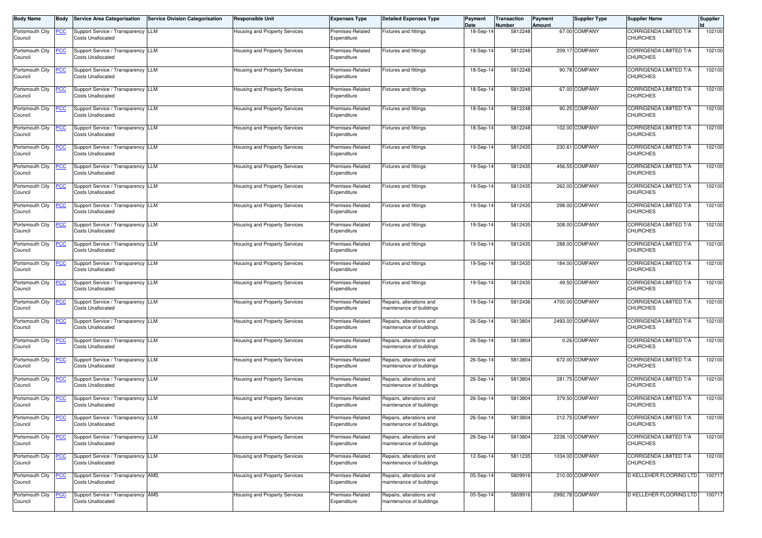| <b>Body Name</b>           | <b>Body</b>    | <b>Service Area Categorisation</b>                             | <b>Service Division Categorisation</b> | Responsible Unit                     | <b>Expenses Type</b>            | <b>Detailed Expenses Type</b>                        | Payment<br>Date | Transaction<br><b>Number</b> | Payment<br>Amount | <b>Supplier Type</b> | <b>Supplier Name</b>                             | <b>Supplier</b> |
|----------------------------|----------------|----------------------------------------------------------------|----------------------------------------|--------------------------------------|---------------------------------|------------------------------------------------------|-----------------|------------------------------|-------------------|----------------------|--------------------------------------------------|-----------------|
| Portsmouth City            | <u>PCC</u>     | Support Service / Transparency LLM                             |                                        | Housing and Property Services        | Premises-Related                | <b>Fixtures and fittings</b>                         | 18-Sep-1        | 5812248                      |                   | 67.00 COMPANY        | CORRIGENDA LIMITED T/A                           | 102100          |
| Council                    |                | <b>Costs Unallocated</b>                                       |                                        |                                      | Expenditure                     |                                                      |                 |                              |                   |                      | <b>CHURCHES</b>                                  |                 |
| Portsmouth City<br>Council | <u>PCC</u>     | Support Service / Transparency LLM<br><b>Costs Unallocated</b> |                                        | Housing and Property Services        | Premises-Related<br>Expenditure | <b>Fixtures and fittings</b>                         | 18-Sep-1        | 5812248                      |                   | 209.17 COMPANY       | CORRIGENDA LIMITED T/A<br><b>CHURCHES</b>        | 102100          |
| Portsmouth City<br>Council | <u>PCC</u>     | Support Service / Transparency LLM<br><b>Costs Unallocated</b> |                                        | Housing and Property Services        | Premises-Related<br>Expenditure | Fixtures and fittings                                | 18-Sep-1        | 5812248                      |                   | 90.78 COMPANY        | CORRIGENDA LIMITED T/A<br><b>CHURCHES</b>        | 102100          |
| Portsmouth City<br>Council | $\overline{C}$ | Support Service / Transparency LLM<br><b>Costs Unallocated</b> |                                        | Housing and Property Services        | Premises-Related<br>Expenditure | Fixtures and fittings                                | 18-Sep-1        | 5812248                      |                   | 67.00 COMPANY        | CORRIGENDA LIMITED T/A<br><b>CHURCHES</b>        | 102100          |
| Portsmouth City<br>Council | <u>PCC</u>     | Support Service / Transparency LLM<br><b>Costs Unallocated</b> |                                        | Housing and Property Services        | Premises-Related<br>Expenditure | <b>Fixtures and fittings</b>                         | 18-Sep-14       | 5812248                      |                   | 90.25 COMPANY        | CORRIGENDA LIMITED T/A<br><b>CHURCHES</b>        | 102100          |
| Portsmouth City<br>Council | <u>PCC</u>     | Support Service / Transparency LLM<br><b>Costs Unallocated</b> |                                        | Housing and Property Services        | Premises-Related<br>Expenditure | Fixtures and fittings                                | 18-Sep-14       | 5812248                      |                   | 102.00 COMPANY       | CORRIGENDA LIMITED T/A<br><b>CHURCHES</b>        | 102100          |
| Portsmouth City<br>Council | <u>PCC</u>     | Support Service / Transparency LLM<br><b>Costs Unallocated</b> |                                        | Housing and Property Services        | Premises-Related<br>Expenditure | Fixtures and fittings                                | 19-Sep-14       | 5812435                      | 230.61            | COMPANY              | CORRIGENDA LIMITED T/A<br><b>CHURCHES</b>        | 102100          |
| Portsmouth City<br>Council | <u>PCC </u>    | Support Service / Transparency LLM<br>Costs Unallocated        |                                        | Housing and Property Services        | Premises-Related<br>Expenditure | <b>Fixtures and fittings</b>                         | 19-Sep-1        | 5812435                      |                   | 456.55 COMPANY       | CORRIGENDA LIMITED T/A<br><b>CHURCHES</b>        | 102100          |
| Portsmouth City<br>Council | <u>PCC</u>     | Support Service / Transparency LLM<br><b>Costs Unallocated</b> |                                        | Housing and Property Services        | Premises-Related<br>Expenditure | Fixtures and fittings                                | 19-Sep-14       | 5812435                      |                   | 262.00 COMPANY       | CORRIGENDA LIMITED T/A<br><b>CHURCHES</b>        | 102100          |
| Portsmouth City<br>Council | <b>PCC</b>     | Support Service / Transparency LLM<br><b>Costs Unallocated</b> |                                        | Housing and Property Services        | Premises-Related<br>Expenditure | <b>Fixtures and fittings</b>                         | 19-Sep-1        | 5812435                      |                   | 298.00 COMPANY       | CORRIGENDA LIMITED T/A<br><b>CHURCHES</b>        | 102100          |
| Portsmouth City<br>Council | <b>PCC</b>     | Support Service / Transparency LLM<br><b>Costs Unallocated</b> |                                        | Housing and Property Services        | Premises-Related<br>Expenditure | Fixtures and fittings                                | 19-Sep-1        | 5812435                      |                   | 308.00 COMPANY       | CORRIGENDA LIMITED T/A<br><b>CHURCHES</b>        | 102100          |
| Portsmouth City<br>Council | <u>PCC </u>    | Support Service / Transparency LLM<br><b>Costs Unallocated</b> |                                        | Housing and Property Services        | Premises-Related<br>Expenditure | Fixtures and fittings                                | 19-Sep-14       | 5812435                      |                   | 288.00 COMPANY       | CORRIGENDA LIMITED T/A<br><b>CHURCHES</b>        | 102100          |
| Portsmouth City<br>Council | <u>PCC</u>     | Support Service / Transparency LLM<br><b>Costs Unallocated</b> |                                        | Housing and Property Services        | Premises-Related<br>Expenditure | Fixtures and fittings                                | 19-Sep-14       | 5812435                      |                   | 184.00 COMPANY       | <b>CORRIGENDA LIMITED T/A</b><br><b>CHURCHES</b> | 102100          |
| Portsmouth City<br>Council | <u>PCC</u>     | Support Service / Transparency LLM<br><b>Costs Unallocated</b> |                                        | Housing and Property Services        | Premises-Related<br>Expenditure | Fixtures and fittings                                | 19-Sep-14       | 5812435                      |                   | 49.50 COMPANY        | CORRIGENDA LIMITED T/A<br><b>CHURCHES</b>        | 102100          |
| Portsmouth City<br>Council | <u>PCC</u>     | Support Service / Transparency LLM<br><b>Costs Unallocated</b> |                                        | Housing and Property Services        | Premises-Related<br>Expenditure | Repairs, alterations and<br>maintenance of buildings | 19-Sep-1        | 5812436                      |                   | 4700.00 COMPANY      | CORRIGENDA LIMITED T/A<br><b>CHURCHES</b>        | 102100          |
| Portsmouth City<br>Council | <u>PCC</u>     | Support Service / Transparency LLM<br><b>Costs Unallocated</b> |                                        | Housing and Property Services        | Premises-Related<br>Expenditure | Repairs, alterations and<br>maintenance of buildings | 26-Sep-14       | 5813804                      |                   | 2493.00 COMPANY      | CORRIGENDA LIMITED T/A<br><b>CHURCHES</b>        | 102100          |
| Portsmouth City<br>Council | <u>PCC</u>     | Support Service / Transparency LLM<br><b>Costs Unallocated</b> |                                        | Housing and Property Services        | Premises-Related<br>Expenditure | Repairs, alterations and<br>naintenance of buildings | 26-Sep-14       | 5813804                      |                   | 0.26 COMPANY         | <b>CORRIGENDA LIMITED T/A</b><br><b>CHURCHES</b> | 102100          |
| Portsmouth City<br>Council |                | Support Service / Transparency LLM<br><b>Costs Unallocated</b> |                                        | Housing and Property Services        | Premises-Related<br>Expenditure | Repairs, alterations and<br>naintenance of buildings | 26-Sep-1        | 5813804                      |                   | 672.00 COMPANY       | CORRIGENDA LIMITED T/A<br><b>CHURCHES</b>        | 102100          |
| Portsmouth City<br>Council | <b>PCC</b>     | Support Service / Transparency LLM<br><b>Costs Unallocated</b> |                                        | Housing and Property Services        | Premises-Related<br>Expenditure | Repairs, alterations and<br>naintenance of buildings | 26-Sep-1        | 5813804                      |                   | 281.75 COMPANY       | CORRIGENDA LIMITED T/A<br><b>CHURCHES</b>        | 102100          |
| Portsmouth City<br>Council | <u>PCC</u>     | Support Service / Transparency LLM<br><b>Costs Unallocated</b> |                                        | Housing and Property Services        | Premises-Related<br>Expenditure | Repairs, alterations and<br>maintenance of buildings | 26-Sep-14       | 5813804                      |                   | 379.50 COMPANY       | CORRIGENDA LIMITED T/A<br><b>CHURCHES</b>        | 102100          |
| Portsmouth City<br>Council | <u>PCC</u>     | Support Service / Transparency LLM<br><b>Costs Unallocated</b> |                                        | <b>Housing and Property Services</b> | Premises-Related<br>Expenditure | Repairs, alterations and<br>maintenance of buildings | 26-Sep-14       | 5813804                      |                   | 212.75 COMPANY       | CORRIGENDA LIMITED T/A<br><b>CHURCHES</b>        | 102100          |
| Portsmouth City<br>Council | <u>PCC</u>     | Support Service / Transparency LLM<br><b>Costs Unallocated</b> |                                        | Housing and Property Services        | Premises-Related<br>Expenditure | Repairs, alterations and<br>maintenance of buildings | 26-Sep-14       | 5813804                      |                   | 2238.10 COMPANY      | CORRIGENDA LIMITED T/A<br><b>CHURCHES</b>        | 102100          |
| Portsmouth City<br>Council | <u>PCC</u>     | Support Service / Transparency LLM<br><b>Costs Unallocated</b> |                                        | Housing and Property Services        | Premises-Related<br>Expenditure | Repairs, alterations and<br>maintenance of buildings | 12-Sep-14       | 5811235                      |                   | 1034.00 COMPANY      | CORRIGENDA LIMITED T/A<br><b>CHURCHES</b>        | 102100          |
| Portsmouth City<br>Council | <u>PCC</u>     | Support Service / Transparency AMS<br><b>Costs Unallocated</b> |                                        | Housing and Property Services        | Premises-Related<br>Expenditure | Repairs, alterations and<br>maintenance of buildings | 05-Sep-14       | 5809916                      |                   | 210.00 COMPANY       | D KELLEHER FLOORING LTD                          | 100717          |
| Portsmouth City<br>Council | <u>PCC</u>     | Support Service / Transparency AMS<br><b>Costs Unallocated</b> |                                        | Housing and Property Services        | Premises-Related<br>Expenditure | Repairs, alterations and<br>maintenance of buildings | 05-Sep-14       | 5809916                      |                   | 2992.78 COMPANY      | D KELLEHER FLOORING LTD                          | 100717          |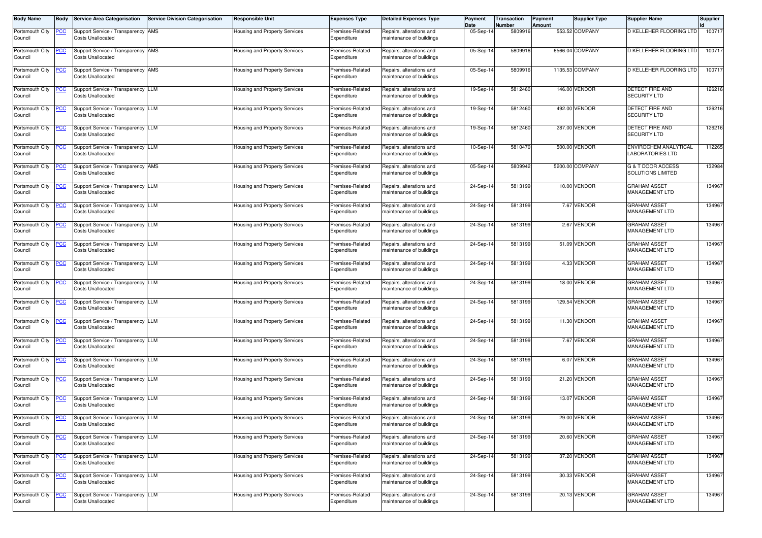| <b>Body Name</b>           | Body             | <b>Service Area Categorisation</b>                             | <b>Service Division Categorisation</b> | <b>Responsible Unit</b>              | <b>Expenses Type</b>            | <b>Detailed Expenses Type</b>                        | Payment<br>Date | Transaction<br>Number | <b>Payment</b><br>Amount | <b>Supplier Type</b> | <b>Supplier Name</b>                                     | <b>Supplier</b> |
|----------------------------|------------------|----------------------------------------------------------------|----------------------------------------|--------------------------------------|---------------------------------|------------------------------------------------------|-----------------|-----------------------|--------------------------|----------------------|----------------------------------------------------------|-----------------|
| Portsmouth City<br>Council | <u>PCC</u>       | Support Service / Transparency AMS<br><b>Costs Unallocated</b> |                                        | Housing and Property Services        | Premises-Related<br>Expenditure | Repairs, alterations and<br>naintenance of buildings | 05-Sep-1        | 580991                |                          | 553.52 COMPANY       | D KELLEHER FLOORING LTD                                  | 100717          |
| Portsmouth City<br>Council | <u>PCC</u>       | Support Service / Transparency AMS<br><b>Costs Unallocated</b> |                                        | Housing and Property Services        | Premises-Related<br>Expenditure | Repairs, alterations and<br>maintenance of buildings | 05-Sep-1        | 580991                |                          | 6566.04 COMPANY      | D KELLEHER FLOORING LTD                                  | 100717          |
| Portsmouth City<br>Council | <u>PCC</u>       | Support Service / Transparency AMS<br><b>Costs Unallocated</b> |                                        | Housing and Property Services        | Premises-Related<br>Expenditure | Repairs, alterations and<br>maintenance of buildings | 05-Sep-14       | 5809916               |                          | 1135.53 COMPANY      | D KELLEHER FLOORING LTD                                  | 100717          |
| Portsmouth City<br>Council | <b>PCC</b>       | Support Service / Transparency LLM<br><b>Costs Unallocated</b> |                                        | Housing and Property Services        | Premises-Related<br>Expenditure | Repairs, alterations and<br>maintenance of buildings | 19-Sep-14       | 5812460               |                          | 146.00 VENDOR        | <b>DETECT FIRE AND</b><br><b>SECURITY LTD</b>            | 126216          |
| Portsmouth City<br>Council | <u>PCC</u>       | Support Service / Transparency LLM<br><b>Costs Unallocated</b> |                                        | Housing and Property Services        | Premises-Related<br>Expenditure | Repairs, alterations and<br>maintenance of buildings | 19-Sep-14       | 5812460               |                          | 492.00 VENDOR        | DETECT FIRE AND<br><b>SECURITY LTD</b>                   | 126216          |
| Portsmouth City<br>Council | <b>PCC</b>       | Support Service / Transparency LLM<br><b>Costs Unallocated</b> |                                        | Housing and Property Services        | Premises-Related<br>Expenditure | Repairs, alterations and<br>maintenance of buildings | 19-Sep-14       | 5812460               |                          | 287.00 VENDOR        | DETECT FIRE AND<br><b>SECURITY LTD</b>                   | 126216          |
| Portsmouth City<br>Council | <u>PCC</u>       | Support Service / Transparency LLM<br><b>Costs Unallocated</b> |                                        | Housing and Property Services        | Premises-Related<br>Expenditure | Repairs, alterations and<br>maintenance of buildings | 10-Sep-14       | 5810470               |                          | 500.00 VENDOR        | ENVIROCHEM ANALYTICAL<br><b>LABORATORIES LTD</b>         | 112265          |
| Portsmouth City<br>Council | <u>PCC</u>       | Support Service / Transparency AMS<br><b>Costs Unallocated</b> |                                        | Housing and Property Services        | Premises-Related<br>Expenditure | Repairs, alterations and<br>naintenance of buildings | 05-Sep-14       | 5809942               |                          | 5200.00 COMPANY      | <b>G &amp; T DOOR ACCESS</b><br><b>SOLUTIONS LIMITED</b> | 132984          |
| Portsmouth City<br>Council | <b>PCC</b>       | Support Service / Transparency LLM<br><b>Costs Unallocated</b> |                                        | Housing and Property Services        | Premises-Related<br>Expenditure | Repairs, alterations and<br>maintenance of buildings | 24-Sep-1        | 5813199               |                          | 10.00 VENDOR         | <b>GRAHAM ASSET</b><br><b>MANAGEMENT LTD</b>             | 134967          |
| Portsmouth City<br>Council | <u>PCC</u>       | Support Service / Transparency LLM<br><b>Costs Unallocated</b> |                                        | Housing and Property Services        | Premises-Related<br>Expenditure | Repairs, alterations and<br>maintenance of buildings | 24-Sep-1        | 5813199               |                          | 7.67 VENDOR          | <b>GRAHAM ASSET</b><br><b>MANAGEMENT LTD</b>             | 134967          |
| Portsmouth City<br>Council | $\overline{PCC}$ | Support Service / Transparency LLM<br><b>Costs Unallocated</b> |                                        | Housing and Property Services        | Premises-Related<br>Expenditure | Repairs, alterations and<br>maintenance of buildings | 24-Sep-14       | 5813199               |                          | 2.67 VENDOR          | <b>GRAHAM ASSET</b><br><b>MANAGEMENT LTD</b>             | 134967          |
| Portsmouth City<br>Council | <u>PCC</u>       | Support Service / Transparency LLM<br><b>Costs Unallocated</b> |                                        | Housing and Property Services        | Premises-Related<br>Expenditure | Repairs, alterations and<br>maintenance of buildings | 24-Sep-14       | 5813199               |                          | 51.09 VENDOR         | <b>GRAHAM ASSET</b><br><b>MANAGEMENT LTD</b>             | 134967          |
| Portsmouth City<br>Council | <b>PCC</b>       | Support Service / Transparency LLM<br><b>Costs Unallocated</b> |                                        | Housing and Property Services        | Premises-Related<br>Expenditure | Repairs, alterations and<br>maintenance of buildings | 24-Sep-14       | 5813199               |                          | 4.33 VENDOR          | <b>GRAHAM ASSET</b><br>MANAGEMENT LTD                    | 134967          |
| Portsmouth City<br>Council | <u>CC</u>        | Support Service / Transparency LLM<br><b>Costs Unallocated</b> |                                        | Housing and Property Services        | Premises-Related<br>Expenditure | Repairs, alterations and<br>maintenance of buildings | 24-Sep-14       | 5813199               |                          | 18.00 VENDOR         | <b>GRAHAM ASSET</b><br><b>MANAGEMENT LTD</b>             | 134967          |
| Portsmouth City<br>Council | <u>PCC</u>       | Support Service / Transparency LLM<br><b>Costs Unallocated</b> |                                        | Housing and Property Services        | Premises-Related<br>Expenditure | Repairs, alterations and<br>maintenance of buildings | 24-Sep-1        | 5813199               |                          | 129.54 VENDOR        | <b>GRAHAM ASSET</b><br><b>MANAGEMENT LTD</b>             | 134967          |
| Portsmouth City<br>Council | <u>PCC</u>       | Support Service / Transparency LLM<br><b>Costs Unallocated</b> |                                        | Housing and Property Services        | Premises-Related<br>Expenditure | Repairs, alterations and<br>maintenance of buildings | 24-Sep-14       | 5813199               |                          | 11.30 VENDOR         | <b>GRAHAM ASSET</b><br>MANAGEMENT LTD                    | 134967          |
| Portsmouth City<br>Council | <u>PCC</u>       | Support Service / Transparency LLM<br><b>Costs Unallocated</b> |                                        | Housing and Property Services        | Premises-Related<br>Expenditure | Repairs, alterations and<br>naintenance of buildings | 24-Sep-1        | 581319                |                          | 7.67 VENDOR          | <b>GRAHAM ASSET</b><br>MANAGEMENT LTD                    | 134967          |
| Portsmouth City<br>Council | <b>PCC</b>       | Support Service / Transparency LLM<br><b>Costs Unallocated</b> |                                        | Housing and Property Services        | Premises-Related<br>Expenditure | Repairs, alterations and<br>naintenance of buildings | 24-Sep-1        | 5813199               |                          | 6.07 VENDOR          | <b>GRAHAM ASSET</b><br><b>MANAGEMENT LTD</b>             | 134967          |
| Portsmouth City<br>Council | <u>PCC</u>       | Support Service / Transparency LLM<br><b>Costs Unallocated</b> |                                        | Housing and Property Services        | Premises-Related<br>Expenditure | Repairs, alterations and<br>maintenance of buildings | 24-Sep-14       | 5813199               |                          | 21.20 VENDOR         | <b>GRAHAM ASSET</b><br><b>MANAGEMENT LTD</b>             | 134967          |
| Portsmouth City<br>Council | <b>PCC</b>       | Support Service / Transparency LLM<br><b>Costs Unallocated</b> |                                        | Housing and Property Services        | Premises-Related<br>Expenditure | Repairs, alterations and<br>maintenance of buildings | 24-Sep-14       | 5813199               |                          | 13.07 VENDOR         | <b>GRAHAM ASSET</b><br><b>MANAGEMENT LTD</b>             | 134967          |
| Portsmouth City<br>Council | <u>PCC</u>       | Support Service / Transparency LLM<br><b>Costs Unallocated</b> |                                        | Housing and Property Services        | Premises-Related<br>Expenditure | Repairs, alterations and<br>maintenance of buildings | 24-Sep-14       | 5813199               |                          | 29.00 VENDOR         | <b>GRAHAM ASSET</b><br>MANAGEMENT LTD                    | 134967          |
| Portsmouth City<br>Council | <b>PCC</b>       | Support Service / Transparency LLM<br><b>Costs Unallocated</b> |                                        | <b>Housing and Property Services</b> | Premises-Related<br>Expenditure | Repairs, alterations and<br>naintenance of buildings | 24-Sep-14       | 5813199               |                          | 20.60 VENDOR         | <b>GRAHAM ASSET</b><br><b>MANAGEMENT LTD</b>             | 134967          |
| Portsmouth City<br>Council | <u>PCC</u>       | Support Service / Transparency LLM<br><b>Costs Unallocated</b> |                                        | Housing and Property Services        | Premises-Related<br>Expenditure | Repairs, alterations and<br>maintenance of buildings | 24-Sep-14       | 5813199               |                          | 37.20 VENDOR         | <b>GRAHAM ASSET</b><br>MANAGEMENT LTD                    | 134967          |
| Portsmouth City<br>Council | <u>PCC</u>       | Support Service / Transparency LLM<br><b>Costs Unallocated</b> |                                        | Housing and Property Services        | Premises-Related<br>Expenditure | Repairs, alterations and<br>maintenance of buildings | 24-Sep-14       | 5813199               |                          | 30.33 VENDOR         | <b>GRAHAM ASSET</b><br>MANAGEMENT LTD                    | 134967          |
| Portsmouth City<br>Council | <b>PCC</b>       | Support Service / Transparency LLM<br><b>Costs Unallocated</b> |                                        | <b>Housing and Property Services</b> | Premises-Related<br>Expenditure | Repairs, alterations and<br>maintenance of buildings | 24-Sep-14       | 5813199               |                          | 20.13 VENDOR         | <b>GRAHAM ASSET</b><br><b>MANAGEMENT LTD</b>             | 134967          |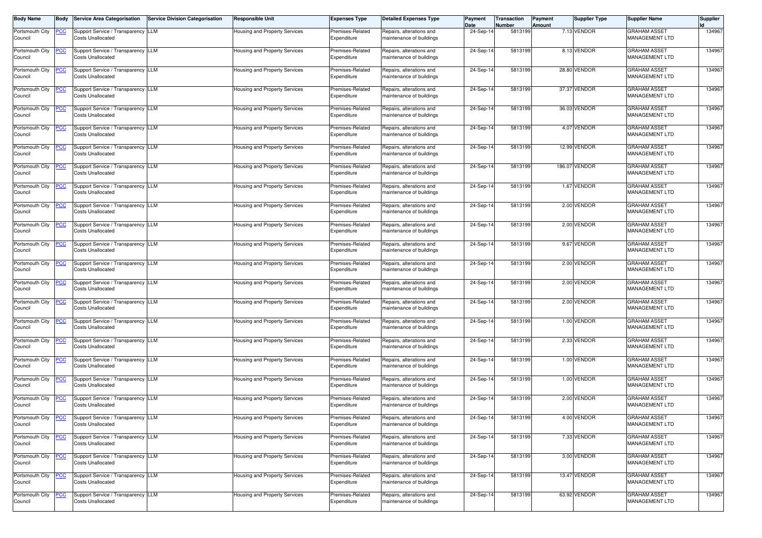| <b>Body Name</b>           | <b>Body</b>    | <b>Service Area Categorisation</b>                             | Service Division Categorisation | <b>Responsible Unit</b>              | <b>Expenses Type</b>            | <b>Detailed Expenses Type</b>                        | Payment<br>Date | Transaction<br>Number | Payment<br>Amount | <b>Supplier Type</b> | <b>Supplier Name</b>                         | <b>Supplier</b> |
|----------------------------|----------------|----------------------------------------------------------------|---------------------------------|--------------------------------------|---------------------------------|------------------------------------------------------|-----------------|-----------------------|-------------------|----------------------|----------------------------------------------|-----------------|
| Portsmouth City<br>Council | <u>PCC</u>     | Support Service / Transparency LLM<br><b>Costs Unallocated</b> |                                 | <b>Housing and Property Services</b> | Premises-Related<br>Expenditure | Repairs, alterations and<br>maintenance of buildings | 24-Sep-1        | 5813199               |                   | 7.13 VENDOR          | <b>GRAHAM ASSET</b><br>MANAGEMENT LTD        | 134967          |
| Portsmouth City<br>Council | <u>PCC</u>     | Support Service / Transparency LLM<br><b>Costs Unallocated</b> |                                 | Housing and Property Services        | Premises-Related<br>Expenditure | Repairs, alterations and<br>maintenance of buildings | 24-Sep-14       | 5813199               |                   | 8.13 VENDOR          | <b>GRAHAM ASSET</b><br>MANAGEMENT LTD        | 134967          |
| Portsmouth City<br>Council | <u>PCC</u>     | Support Service / Transparency LLM<br><b>Costs Unallocated</b> |                                 | Housing and Property Services        | Premises-Related<br>Expenditure | Repairs, alterations and<br>maintenance of buildings | 24-Sep-14       | 5813199               |                   | 28.80 VENDOR         | <b>GRAHAM ASSET</b><br>MANAGEMENT LTD        | 134967          |
| Portsmouth City<br>Council | <u>PCC</u>     | Support Service / Transparency LLM<br><b>Costs Unallocated</b> |                                 | Housing and Property Services        | Premises-Related<br>Expenditure | Repairs, alterations and<br>maintenance of buildings | 24-Sep-14       | 5813199               |                   | 37.37 VENDOR         | <b>GRAHAM ASSET</b><br>MANAGEMENT LTD        | 134967          |
| Portsmouth City<br>Council | <b>PCC</b>     | Support Service / Transparency LLM<br><b>Costs Unallocated</b> |                                 | Housing and Property Services        | Premises-Related<br>Expenditure | Repairs, alterations and<br>maintenance of buildings | 24-Sep-14       | 5813199               |                   | 36.03 VENDOR         | <b>GRAHAM ASSET</b><br>MANAGEMENT LTD        | 134967          |
| Portsmouth City<br>Council | <u>PCC</u>     | Support Service / Transparency LLM<br><b>Costs Unallocated</b> |                                 | Housing and Property Services        | Premises-Related<br>Expenditure | Repairs, alterations and<br>maintenance of buildings | 24-Sep-14       | 5813199               |                   | 4.07 VENDOR          | <b>GRAHAM ASSET</b><br>MANAGEMENT LTD        | 134967          |
| Portsmouth City<br>Council | <u>PCC</u>     | Support Service / Transparency LLM<br><b>Costs Unallocated</b> |                                 | Housing and Property Services        | Premises-Related<br>Expenditure | Repairs, alterations and<br>maintenance of buildings | 24-Sep-14       | 5813199               |                   | 12.99 VENDOR         | <b>GRAHAM ASSET</b><br>MANAGEMENT LTD        | 134967          |
| Portsmouth City<br>Council | <u>PCC</u>     | Support Service / Transparency LLM<br><b>Costs Unallocated</b> |                                 | <b>Housing and Property Services</b> | Premises-Related<br>Expenditure | Repairs, alterations and<br>maintenance of buildings | 24-Sep-14       | 5813199               |                   | 186.07 VENDOR        | <b>GRAHAM ASSET</b><br>MANAGEMENT LTD        | 134967          |
| Portsmouth City<br>Council | <u>PCC</u>     | Support Service / Transparency LLM<br><b>Costs Unallocated</b> |                                 | Housing and Property Services        | Premises-Related<br>Expenditure | Repairs, alterations and<br>maintenance of buildings | 24-Sep-14       | 5813199               |                   | 1.67 VENDOR          | <b>GRAHAM ASSET</b><br>MANAGEMENT LTD        | 134967          |
| Portsmouth City<br>Council | <u>PCC </u>    | Support Service / Transparency LLM<br><b>Costs Unallocated</b> |                                 | Housing and Property Services        | Premises-Related<br>Expenditure | Repairs, alterations and<br>maintenance of buildings | 24-Sep-14       | 5813199               |                   | 2.00 VENDOR          | <b>GRAHAM ASSET</b><br><b>MANAGEMENT LTD</b> | 134967          |
| Portsmouth City<br>Council | $\overline{C}$ | Support Service / Transparency LLM<br><b>Costs Unallocated</b> |                                 | Housing and Property Services        | Premises-Related<br>Expenditure | Repairs, alterations and<br>maintenance of buildings | 24-Sep-14       | 5813199               |                   | 2.00 VENDOR          | <b>GRAHAM ASSET</b><br><b>MANAGEMENT LTD</b> | 134967          |
| Portsmouth City<br>Council | <u>PCC </u>    | Support Service / Transparency LLM<br><b>Costs Unallocated</b> |                                 | Housing and Property Services        | Premises-Related<br>Expenditure | Repairs, alterations and<br>maintenance of buildings | 24-Sep-14       | 5813199               |                   | 9.67 VENDOR          | <b>GRAHAM ASSET</b><br>MANAGEMENT LTD        | 134967          |
| Portsmouth City<br>Council | <b>PCC</b>     | Support Service / Transparency LLM<br><b>Costs Unallocated</b> |                                 | Housing and Property Services        | Premises-Related<br>Expenditure | Repairs, alterations and<br>maintenance of buildings | 24-Sep-14       | 5813199               |                   | 2.00 VENDOR          | <b>GRAHAM ASSET</b><br>MANAGEMENT LTD        | 134967          |
| Portsmouth City<br>Council | <u>PCC</u>     | Support Service / Transparency LLM<br><b>Costs Unallocated</b> |                                 | <b>Housing and Property Services</b> | Premises-Related<br>Expenditure | Repairs, alterations and<br>maintenance of buildings | 24-Sep-14       | 5813199               |                   | 2.00 VENDOR          | <b>GRAHAM ASSET</b><br>MANAGEMENT LTD        | 134967          |
| Portsmouth City<br>Council | <u>PCC</u>     | Support Service / Transparency LLM<br><b>Costs Unallocated</b> |                                 | Housing and Property Services        | Premises-Related<br>Expenditure | Repairs, alterations and<br>maintenance of buildings | 24-Sep-14       | 5813199               |                   | 2.00 VENDOR          | <b>GRAHAM ASSET</b><br>MANAGEMENT LTD        | 134967          |
| Portsmouth City<br>Council | <u>PCC</u>     | Support Service / Transparency LLM<br><b>Costs Unallocated</b> |                                 | Housing and Property Services        | Premises-Related<br>Expenditure | Repairs, alterations and<br>maintenance of buildings | 24-Sep-14       | 5813199               |                   | 1.00 VENDOR          | <b>GRAHAM ASSET</b><br>MANAGEMENT LTD        | 134967          |
| Portsmouth City<br>Council | <u>PCC</u>     | Support Service / Transparency LLM<br><b>Costs Unallocated</b> |                                 | <b>Housing and Property Services</b> | Premises-Related<br>Expenditure | Repairs, alterations and<br>maintenance of buildings | 24-Sep-14       | 5813199               |                   | 2.33 VENDOR          | <b>GRAHAM ASSET</b><br>MANAGEMENT LTD        | 134967          |
| Portsmouth City<br>Council | <u>PCC</u>     | Support Service / Transparency LLM<br><b>Costs Unallocated</b> |                                 | Housing and Property Services        | Premises-Related<br>Expenditure | Repairs, alterations and<br>maintenance of buildings | 24-Sep-14       | 5813199               |                   | 1.00 VENDOR          | <b>GRAHAM ASSET</b><br>MANAGEMENT LTD        | 134967          |
| Portsmouth City<br>Council | <u>PCC</u>     | Support Service / Transparency LLM<br><b>Costs Unallocated</b> |                                 | Housing and Property Services        | Premises-Related<br>Expenditure | Repairs, alterations and<br>maintenance of buildings | 24-Sep-14       | 5813199               |                   | 1.00 VENDOR          | <b>GRAHAM ASSET</b><br><b>MANAGEMENT LTD</b> | 134967          |
| Portsmouth City<br>Council | <b>PCC</b>     | Support Service / Transparency LLM<br><b>Costs Unallocated</b> |                                 | Housing and Property Services        | Premises-Related<br>Expenditure | Repairs, alterations and<br>maintenance of buildings | 24-Sep-14       | 5813199               |                   | 2.00 VENDOR          | <b>GRAHAM ASSET</b><br><b>MANAGEMENT LTD</b> | 134967          |
| Portsmouth City<br>Council | <u>PCC</u>     | Support Service / Transparency LLM<br><b>Costs Unallocated</b> |                                 | Housing and Property Services        | Premises-Related<br>Expenditure | Repairs, alterations and<br>maintenance of buildings | 24-Sep-14       | 5813199               |                   | 4.00 VENDOR          | <b>GRAHAM ASSET</b><br>MANAGEMENT LTD        | 134967          |
| Portsmouth City<br>Council | <u>PCC</u>     | Support Service / Transparency LLM<br><b>Costs Unallocated</b> |                                 | Housing and Property Services        | Premises-Related<br>Expenditure | Repairs, alterations and<br>maintenance of buildings | 24-Sep-14       | 5813199               |                   | 7.33 VENDOR          | <b>GRAHAM ASSET</b><br><b>MANAGEMENT LTD</b> | 134967          |
| Portsmouth City<br>Council | <u>PCC</u>     | Support Service / Transparency LLM<br><b>Costs Unallocated</b> |                                 | Housing and Property Services        | Premises-Related<br>Expenditure | Repairs, alterations and<br>maintenance of buildings | 24-Sep-14       | 5813199               |                   | 3.00 VENDOR          | <b>GRAHAM ASSET</b><br>MANAGEMENT LTD        | 134967          |
| Portsmouth City<br>Council | <u>PCC</u>     | Support Service / Transparency LLM<br><b>Costs Unallocated</b> |                                 | Housing and Property Services        | Premises-Related<br>Expenditure | Repairs, alterations and<br>maintenance of buildings | 24-Sep-14       | 5813199               |                   | 13.47 VENDOR         | <b>GRAHAM ASSET</b><br>MANAGEMENT LTD        | 134967          |
| Portsmouth City<br>Council | <b>PCC</b>     | Support Service / Transparency LLM<br><b>Costs Unallocated</b> |                                 | <b>Housing and Property Services</b> | Premises-Related<br>Expenditure | Repairs, alterations and<br>maintenance of buildings | 24-Sep-14       | 5813199               |                   | 63.92 VENDOR         | <b>GRAHAM ASSET</b><br><b>MANAGEMENT LTD</b> | 134967          |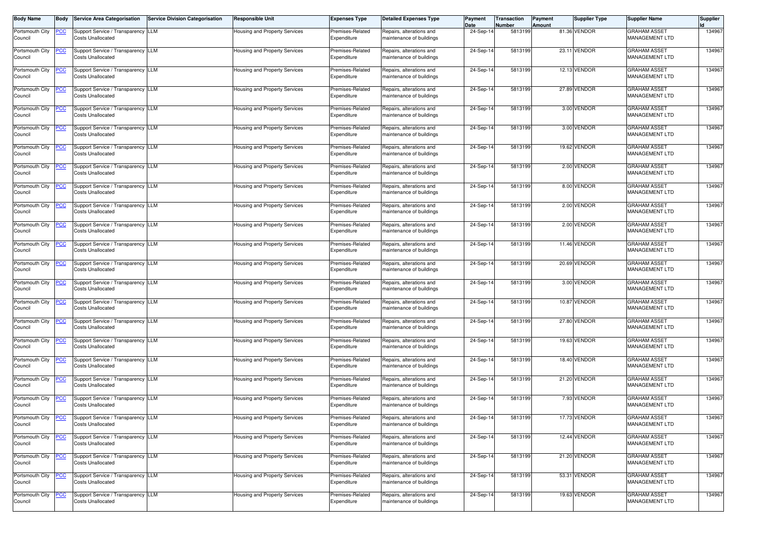| <b>Body Name</b>           | <b>Body</b>    | <b>Service Area Categorisation</b>                             | Service Division Categorisation | <b>Responsible Unit</b>              | <b>Expenses Type</b>            | <b>Detailed Expenses Type</b>                        | Payment<br>Date | Transaction<br>Number | Payment<br>Amount | <b>Supplier Type</b> | <b>Supplier Name</b>                         | <b>Supplier</b> |
|----------------------------|----------------|----------------------------------------------------------------|---------------------------------|--------------------------------------|---------------------------------|------------------------------------------------------|-----------------|-----------------------|-------------------|----------------------|----------------------------------------------|-----------------|
| Portsmouth City<br>Council | <u>PCC</u>     | Support Service / Transparency LLM<br><b>Costs Unallocated</b> |                                 | Housing and Property Services        | Premises-Related<br>Expenditure | Repairs, alterations and<br>maintenance of buildings | 24-Sep-1        | 5813199               |                   | 81.36 VENDOR         | <b>GRAHAM ASSET</b><br>MANAGEMENT LTD        | 134967          |
| Portsmouth City<br>Council | <u>PCC</u>     | Support Service / Transparency LLM<br><b>Costs Unallocated</b> |                                 | Housing and Property Services        | Premises-Related<br>Expenditure | Repairs, alterations and<br>maintenance of buildings | 24-Sep-14       | 5813199               |                   | 23.11 VENDOR         | <b>GRAHAM ASSET</b><br>MANAGEMENT LTD        | 134967          |
| Portsmouth City<br>Council | <u>PCC</u>     | Support Service / Transparency LLM<br><b>Costs Unallocated</b> |                                 | Housing and Property Services        | Premises-Related<br>Expenditure | Repairs, alterations and<br>maintenance of buildings | 24-Sep-14       | 5813199               |                   | 12.13 VENDOR         | <b>GRAHAM ASSET</b><br>MANAGEMENT LTD        | 134967          |
| Portsmouth City<br>Council | <u>PCC</u>     | Support Service / Transparency LLM<br><b>Costs Unallocated</b> |                                 | Housing and Property Services        | Premises-Related<br>Expenditure | Repairs, alterations and<br>maintenance of buildings | 24-Sep-14       | 5813199               |                   | 27.89 VENDOR         | <b>GRAHAM ASSET</b><br>MANAGEMENT LTD        | 134967          |
| Portsmouth City<br>Council | <b>PCC</b>     | Support Service / Transparency LLM<br><b>Costs Unallocated</b> |                                 | Housing and Property Services        | Premises-Related<br>Expenditure | Repairs, alterations and<br>maintenance of buildings | 24-Sep-14       | 5813199               |                   | 3.00 VENDOR          | <b>GRAHAM ASSET</b><br>MANAGEMENT LTD        | 134967          |
| Portsmouth City<br>Council | <u>PCC</u>     | Support Service / Transparency LLM<br><b>Costs Unallocated</b> |                                 | Housing and Property Services        | Premises-Related<br>Expenditure | Repairs, alterations and<br>maintenance of buildings | 24-Sep-14       | 5813199               |                   | 3.00 VENDOR          | <b>GRAHAM ASSET</b><br>MANAGEMENT LTD        | 134967          |
| Portsmouth City<br>Council | <u>PCC</u>     | Support Service / Transparency LLM<br><b>Costs Unallocated</b> |                                 | Housing and Property Services        | Premises-Related<br>Expenditure | Repairs, alterations and<br>maintenance of buildings | 24-Sep-14       | 5813199               |                   | 19.62 VENDOR         | <b>GRAHAM ASSET</b><br>MANAGEMENT LTD        | 134967          |
| Portsmouth City<br>Council | <u>PCC</u>     | Support Service / Transparency LLM<br><b>Costs Unallocated</b> |                                 | <b>Housing and Property Services</b> | Premises-Related<br>Expenditure | Repairs, alterations and<br>maintenance of buildings | 24-Sep-14       | 5813199               |                   | 2.00 VENDOR          | <b>GRAHAM ASSET</b><br>MANAGEMENT LTD        | 134967          |
| Portsmouth City<br>Council | <u>PCC</u>     | Support Service / Transparency LLM<br><b>Costs Unallocated</b> |                                 | Housing and Property Services        | Premises-Related<br>Expenditure | Repairs, alterations and<br>maintenance of buildings | 24-Sep-14       | 5813199               |                   | 8.00 VENDOR          | <b>GRAHAM ASSET</b><br>MANAGEMENT LTD        | 134967          |
| Portsmouth City<br>Council | <u>PCC </u>    | Support Service / Transparency LLM<br><b>Costs Unallocated</b> |                                 | Housing and Property Services        | Premises-Related<br>Expenditure | Repairs, alterations and<br>maintenance of buildings | 24-Sep-14       | 5813199               |                   | 2.00 VENDOR          | <b>GRAHAM ASSET</b><br><b>MANAGEMENT LTD</b> | 134967          |
| Portsmouth City<br>Council | $\overline{C}$ | Support Service / Transparency LLM<br><b>Costs Unallocated</b> |                                 | Housing and Property Services        | Premises-Related<br>Expenditure | Repairs, alterations and<br>maintenance of buildings | 24-Sep-14       | 5813199               |                   | 2.00 VENDOR          | <b>GRAHAM ASSET</b><br>MANAGEMENT LTD        | 134967          |
| Portsmouth City<br>Council | <u>PCC </u>    | Support Service / Transparency LLM<br><b>Costs Unallocated</b> |                                 | Housing and Property Services        | Premises-Related<br>Expenditure | Repairs, alterations and<br>maintenance of buildings | 24-Sep-14       | 5813199               |                   | 11.46 VENDOR         | <b>GRAHAM ASSET</b><br>MANAGEMENT LTD        | 134967          |
| Portsmouth City<br>Council | <b>PCC</b>     | Support Service / Transparency LLM<br><b>Costs Unallocated</b> |                                 | <b>Housing and Property Services</b> | Premises-Related<br>Expenditure | Repairs, alterations and<br>maintenance of buildings | 24-Sep-14       | 5813199               |                   | 20.69 VENDOR         | <b>GRAHAM ASSET</b><br>MANAGEMENT LTD        | 134967          |
| Portsmouth City<br>Council | <u>PCC</u>     | Support Service / Transparency LLM<br><b>Costs Unallocated</b> |                                 | <b>Housing and Property Services</b> | Premises-Related<br>Expenditure | Repairs, alterations and<br>maintenance of buildings | 24-Sep-14       | 5813199               |                   | 3.00 VENDOR          | <b>GRAHAM ASSET</b><br>MANAGEMENT LTD        | 134967          |
| Portsmouth City<br>Council | <u>PCC</u>     | Support Service / Transparency LLM<br><b>Costs Unallocated</b> |                                 | Housing and Property Services        | Premises-Related<br>Expenditure | Repairs, alterations and<br>maintenance of buildings | 24-Sep-14       | 5813199               |                   | 10.87 VENDOR         | <b>GRAHAM ASSET</b><br>MANAGEMENT LTD        | 134967          |
| Portsmouth City<br>Council | <u>PCC</u>     | Support Service / Transparency LLM<br><b>Costs Unallocated</b> |                                 | Housing and Property Services        | Premises-Related<br>Expenditure | Repairs, alterations and<br>maintenance of buildings | 24-Sep-14       | 5813199               |                   | 27.80 VENDOR         | <b>GRAHAM ASSET</b><br>MANAGEMENT LTD        | 134967          |
| Portsmouth City<br>Council | <u>PCC</u>     | Support Service / Transparency LLM<br><b>Costs Unallocated</b> |                                 | Housing and Property Services        | Premises-Related<br>Expenditure | Repairs, alterations and<br>maintenance of buildings | 24-Sep-14       | 5813199               |                   | 19.63 VENDOR         | <b>GRAHAM ASSET</b><br>MANAGEMENT LTD        | 134967          |
| Portsmouth City<br>Council | <u>PCC</u>     | Support Service / Transparency LLM<br><b>Costs Unallocated</b> |                                 | Housing and Property Services        | Premises-Related<br>Expenditure | Repairs, alterations and<br>maintenance of buildings | 24-Sep-14       | 5813199               |                   | 18.40 VENDOR         | <b>GRAHAM ASSET</b><br>MANAGEMENT LTD        | 134967          |
| Portsmouth City<br>Council | <u>PCC</u>     | Support Service / Transparency LLM<br><b>Costs Unallocated</b> |                                 | Housing and Property Services        | Premises-Related<br>Expenditure | Repairs, alterations and<br>maintenance of buildings | 24-Sep-14       | 5813199               |                   | 21.20 VENDOR         | <b>GRAHAM ASSET</b><br><b>MANAGEMENT LTD</b> | 134967          |
| Portsmouth City<br>Council | <b>PCC</b>     | Support Service / Transparency LLM<br><b>Costs Unallocated</b> |                                 | Housing and Property Services        | Premises-Related<br>Expenditure | Repairs, alterations and<br>maintenance of buildings | 24-Sep-14       | 5813199               |                   | 7.93 VENDOR          | <b>GRAHAM ASSET</b><br><b>MANAGEMENT LTD</b> | 134967          |
| Portsmouth City<br>Council | <u>PCC</u>     | Support Service / Transparency LLM<br><b>Costs Unallocated</b> |                                 | Housing and Property Services        | Premises-Related<br>Expenditure | Repairs, alterations and<br>maintenance of buildings | 24-Sep-14       | 5813199               |                   | 17.73 VENDOR         | <b>GRAHAM ASSET</b><br>MANAGEMENT LTD        | 134967          |
| Portsmouth City<br>Council | <u>PCC</u>     | Support Service / Transparency LLM<br><b>Costs Unallocated</b> |                                 | Housing and Property Services        | Premises-Related<br>Expenditure | Repairs, alterations and<br>maintenance of buildings | 24-Sep-14       | 5813199               |                   | 12.44 VENDOR         | <b>GRAHAM ASSET</b><br><b>MANAGEMENT LTD</b> | 134967          |
| Portsmouth City<br>Council | <u>PCC</u>     | Support Service / Transparency LLM<br><b>Costs Unallocated</b> |                                 | Housing and Property Services        | Premises-Related<br>Expenditure | Repairs, alterations and<br>maintenance of buildings | 24-Sep-14       | 5813199               |                   | 21.20 VENDOR         | <b>GRAHAM ASSET</b><br>MANAGEMENT LTD        | 134967          |
| Portsmouth City<br>Council | <u>PCC</u>     | Support Service / Transparency LLM<br><b>Costs Unallocated</b> |                                 | Housing and Property Services        | Premises-Related<br>Expenditure | Repairs, alterations and<br>maintenance of buildings | 24-Sep-14       | 5813199               |                   | 53.31 VENDOR         | <b>GRAHAM ASSET</b><br>MANAGEMENT LTD        | 134967          |
| Portsmouth City<br>Council | <b>PCC</b>     | Support Service / Transparency LLM<br><b>Costs Unallocated</b> |                                 | Housing and Property Services        | Premises-Related<br>Expenditure | Repairs, alterations and<br>maintenance of buildings | 24-Sep-14       | 5813199               |                   | 19.63 VENDOR         | <b>GRAHAM ASSET</b><br><b>MANAGEMENT LTD</b> | 134967          |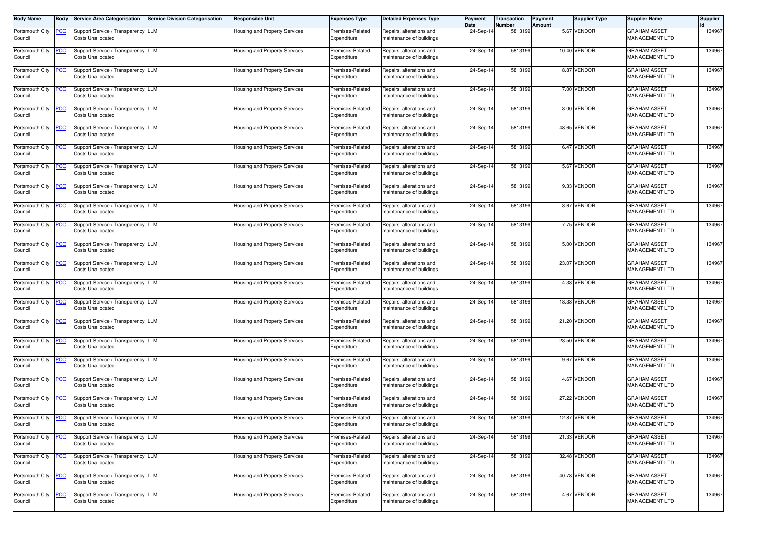| <b>Body Name</b>           | <b>Body</b>    | <b>Service Area Categorisation</b>                             | Service Division Categorisation | <b>Responsible Unit</b>              | <b>Expenses Type</b>            | <b>Detailed Expenses Type</b>                        | Payment<br>Date | Transaction<br>Number | Payment<br>Amount | <b>Supplier Type</b> | <b>Supplier Name</b>                         | <b>Supplier</b> |
|----------------------------|----------------|----------------------------------------------------------------|---------------------------------|--------------------------------------|---------------------------------|------------------------------------------------------|-----------------|-----------------------|-------------------|----------------------|----------------------------------------------|-----------------|
| Portsmouth City<br>Council | <u>PCC</u>     | Support Service / Transparency LLM<br><b>Costs Unallocated</b> |                                 | Housing and Property Services        | Premises-Related<br>Expenditure | Repairs, alterations and<br>maintenance of buildings | 24-Sep-1        | 5813199               |                   | 5.67 VENDOR          | <b>GRAHAM ASSET</b><br>MANAGEMENT LTD        | 134967          |
| Portsmouth City<br>Council | <u>PCC</u>     | Support Service / Transparency LLM<br><b>Costs Unallocated</b> |                                 | Housing and Property Services        | Premises-Related<br>Expenditure | Repairs, alterations and<br>maintenance of buildings | 24-Sep-14       | 5813199               |                   | 10.40 VENDOR         | <b>GRAHAM ASSET</b><br>MANAGEMENT LTD        | 134967          |
| Portsmouth City<br>Council | <u>PCC</u>     | Support Service / Transparency LLM<br><b>Costs Unallocated</b> |                                 | Housing and Property Services        | Premises-Related<br>Expenditure | Repairs, alterations and<br>maintenance of buildings | 24-Sep-14       | 5813199               |                   | 8.87 VENDOR          | <b>GRAHAM ASSET</b><br>MANAGEMENT LTD        | 134967          |
| Portsmouth City<br>Council | <u>PCC</u>     | Support Service / Transparency LLM<br><b>Costs Unallocated</b> |                                 | Housing and Property Services        | Premises-Related<br>Expenditure | Repairs, alterations and<br>maintenance of buildings | 24-Sep-14       | 5813199               |                   | 7.00 VENDOR          | <b>GRAHAM ASSET</b><br>MANAGEMENT LTD        | 134967          |
| Portsmouth City<br>Council | <b>PCC</b>     | Support Service / Transparency LLM<br><b>Costs Unallocated</b> |                                 | Housing and Property Services        | Premises-Related<br>Expenditure | Repairs, alterations and<br>maintenance of buildings | 24-Sep-14       | 5813199               |                   | 3.00 VENDOR          | <b>GRAHAM ASSET</b><br>MANAGEMENT LTD        | 134967          |
| Portsmouth City<br>Council | <u>PCC</u>     | Support Service / Transparency LLM<br><b>Costs Unallocated</b> |                                 | Housing and Property Services        | Premises-Related<br>Expenditure | Repairs, alterations and<br>maintenance of buildings | 24-Sep-14       | 5813199               |                   | 48.65 VENDOR         | <b>GRAHAM ASSET</b><br>MANAGEMENT LTD        | 134967          |
| Portsmouth City<br>Council | <u>PCC</u>     | Support Service / Transparency LLM<br><b>Costs Unallocated</b> |                                 | Housing and Property Services        | Premises-Related<br>Expenditure | Repairs, alterations and<br>maintenance of buildings | 24-Sep-14       | 5813199               |                   | 6.47 VENDOR          | <b>GRAHAM ASSET</b><br>MANAGEMENT LTD        | 134967          |
| Portsmouth City<br>Council | <u>PCC</u>     | Support Service / Transparency LLM<br><b>Costs Unallocated</b> |                                 | <b>Housing and Property Services</b> | Premises-Related<br>Expenditure | Repairs, alterations and<br>maintenance of buildings | 24-Sep-14       | 5813199               |                   | 5.67 VENDOR          | <b>GRAHAM ASSET</b><br>MANAGEMENT LTD        | 134967          |
| Portsmouth City<br>Council | <b>PCC</b>     | Support Service / Transparency LLM<br><b>Costs Unallocated</b> |                                 | Housing and Property Services        | Premises-Related<br>Expenditure | Repairs, alterations and<br>maintenance of buildings | 24-Sep-14       | 5813199               |                   | 9.33 VENDOR          | <b>GRAHAM ASSET</b><br>MANAGEMENT LTD        | 134967          |
| Portsmouth City<br>Council | <u>PCC </u>    | Support Service / Transparency LLM<br><b>Costs Unallocated</b> |                                 | Housing and Property Services        | Premises-Related<br>Expenditure | Repairs, alterations and<br>maintenance of buildings | 24-Sep-14       | 5813199               |                   | 3.67 VENDOR          | <b>GRAHAM ASSET</b><br><b>MANAGEMENT LTD</b> | 134967          |
| Portsmouth City<br>Council | $\overline{C}$ | Support Service / Transparency LLM<br><b>Costs Unallocated</b> |                                 | Housing and Property Services        | Premises-Related<br>Expenditure | Repairs, alterations and<br>maintenance of buildings | 24-Sep-14       | 5813199               |                   | 7.75 VENDOR          | <b>GRAHAM ASSET</b><br>MANAGEMENT LTD        | 134967          |
| Portsmouth City<br>Council | <u>PCC </u>    | Support Service / Transparency LLM<br><b>Costs Unallocated</b> |                                 | Housing and Property Services        | Premises-Related<br>Expenditure | Repairs, alterations and<br>maintenance of buildings | 24-Sep-14       | 5813199               |                   | 5.00 VENDOR          | <b>GRAHAM ASSET</b><br><b>MANAGEMENT LTD</b> | 134967          |
| Portsmouth City<br>Council | <b>PCC</b>     | Support Service / Transparency LLM<br><b>Costs Unallocated</b> |                                 | Housing and Property Services        | Premises-Related<br>Expenditure | Repairs, alterations and<br>maintenance of buildings | 24-Sep-14       | 5813199               |                   | 23.07 VENDOR         | <b>GRAHAM ASSET</b><br><b>MANAGEMENT LTD</b> | 134967          |
| Portsmouth City<br>Council | <u>PCC</u>     | Support Service / Transparency LLM<br><b>Costs Unallocated</b> |                                 | <b>Housing and Property Services</b> | Premises-Related<br>Expenditure | Repairs, alterations and<br>maintenance of buildings | 24-Sep-14       | 5813199               |                   | 4.33 VENDOR          | <b>GRAHAM ASSET</b><br>MANAGEMENT LTD        | 134967          |
| Portsmouth City<br>Council | <u>PCC</u>     | Support Service / Transparency LLM<br><b>Costs Unallocated</b> |                                 | Housing and Property Services        | Premises-Related<br>Expenditure | Repairs, alterations and<br>maintenance of buildings | 24-Sep-14       | 5813199               |                   | 18.33 VENDOR         | <b>GRAHAM ASSET</b><br>MANAGEMENT LTD        | 134967          |
| Portsmouth City<br>Council | <u>PCC</u>     | Support Service / Transparency LLM<br><b>Costs Unallocated</b> |                                 | Housing and Property Services        | Premises-Related<br>Expenditure | Repairs, alterations and<br>maintenance of buildings | 24-Sep-14       | 5813199               |                   | 21.20 VENDOR         | <b>GRAHAM ASSET</b><br>MANAGEMENT LTD        | 134967          |
| Portsmouth City<br>Council | <u>PCC</u>     | Support Service / Transparency LLM<br><b>Costs Unallocated</b> |                                 | Housing and Property Services        | Premises-Related<br>Expenditure | Repairs, alterations and<br>maintenance of buildings | 24-Sep-14       | 5813199               |                   | 23.50 VENDOR         | <b>GRAHAM ASSET</b><br>MANAGEMENT LTD        | 134967          |
| Portsmouth City<br>Council | <u>PCC</u>     | Support Service / Transparency LLM<br><b>Costs Unallocated</b> |                                 | Housing and Property Services        | Premises-Related<br>Expenditure | Repairs, alterations and<br>maintenance of buildings | 24-Sep-14       | 5813199               |                   | 9.67 VENDOR          | <b>GRAHAM ASSET</b><br>MANAGEMENT LTD        | 134967          |
| Portsmouth City<br>Council | <u>PCC</u>     | Support Service / Transparency LLM<br><b>Costs Unallocated</b> |                                 | <b>Housing and Property Services</b> | Premises-Related<br>Expenditure | Repairs, alterations and<br>maintenance of buildings | 24-Sep-14       | 5813199               |                   | 4.67 VENDOR          | <b>GRAHAM ASSET</b><br><b>MANAGEMENT LTD</b> | 134967          |
| Portsmouth City<br>Council | <b>PCC</b>     | Support Service / Transparency LLM<br><b>Costs Unallocated</b> |                                 | Housing and Property Services        | Premises-Related<br>Expenditure | Repairs, alterations and<br>maintenance of buildings | 24-Sep-14       | 5813199               |                   | 27.22 VENDOR         | <b>GRAHAM ASSET</b><br><b>MANAGEMENT LTD</b> | 134967          |
| Portsmouth City<br>Council | <u>PCC</u>     | Support Service / Transparency LLM<br><b>Costs Unallocated</b> |                                 | Housing and Property Services        | Premises-Related<br>Expenditure | Repairs, alterations and<br>maintenance of buildings | 24-Sep-14       | 5813199               |                   | 12.87 VENDOR         | <b>GRAHAM ASSET</b><br>MANAGEMENT LTD        | 134967          |
| Portsmouth City<br>Council | <u>PCC</u>     | Support Service / Transparency LLM<br><b>Costs Unallocated</b> |                                 | Housing and Property Services        | Premises-Related<br>Expenditure | Repairs, alterations and<br>maintenance of buildings | 24-Sep-14       | 5813199               |                   | 21.33 VENDOR         | <b>GRAHAM ASSET</b><br><b>MANAGEMENT LTD</b> | 134967          |
| Portsmouth City<br>Council | <u>PCC</u>     | Support Service / Transparency LLM<br><b>Costs Unallocated</b> |                                 | Housing and Property Services        | Premises-Related<br>Expenditure | Repairs, alterations and<br>maintenance of buildings | 24-Sep-14       | 5813199               |                   | 32.48 VENDOR         | <b>GRAHAM ASSET</b><br>MANAGEMENT LTD        | 134967          |
| Portsmouth City<br>Council | <u>PCC</u>     | Support Service / Transparency LLM<br><b>Costs Unallocated</b> |                                 | <b>Housing and Property Services</b> | Premises-Related<br>Expenditure | Repairs, alterations and<br>maintenance of buildings | 24-Sep-14       | 5813199               |                   | 40.78 VENDOR         | <b>GRAHAM ASSET</b><br>MANAGEMENT LTD        | 134967          |
| Portsmouth City<br>Council | <b>PCC</b>     | Support Service / Transparency LLM<br><b>Costs Unallocated</b> |                                 | <b>Housing and Property Services</b> | Premises-Related<br>Expenditure | Repairs, alterations and<br>maintenance of buildings | 24-Sep-14       | 5813199               |                   | 4.67 VENDOR          | <b>GRAHAM ASSET</b><br><b>MANAGEMENT LTD</b> | 134967          |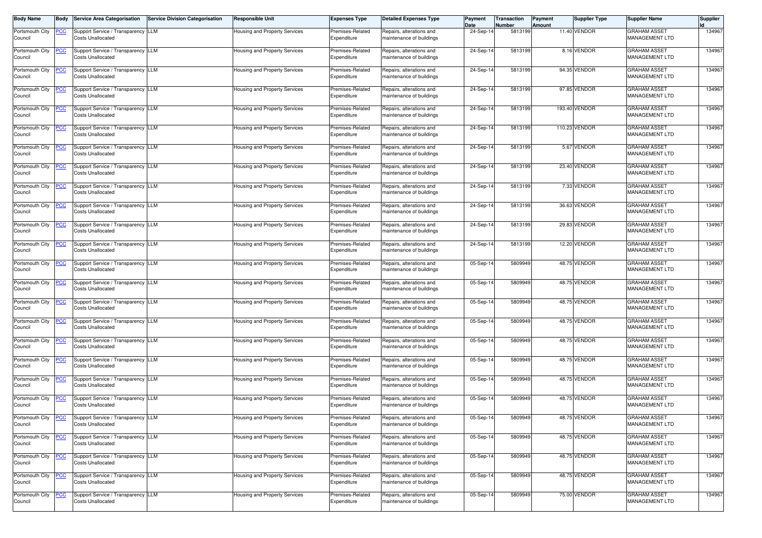| <b>Body Name</b>           | <b>Body</b>    | <b>Service Area Categorisation</b>                             | Service Division Categorisation | <b>Responsible Unit</b>              | <b>Expenses Type</b>            | <b>Detailed Expenses Type</b>                        | Payment<br>Date | Transaction<br>Number | Payment<br>Amount | <b>Supplier Type</b> | <b>Supplier Name</b>                         | <b>Supplier</b> |
|----------------------------|----------------|----------------------------------------------------------------|---------------------------------|--------------------------------------|---------------------------------|------------------------------------------------------|-----------------|-----------------------|-------------------|----------------------|----------------------------------------------|-----------------|
| Portsmouth City<br>Council | <u>PCC</u>     | Support Service / Transparency LLM<br><b>Costs Unallocated</b> |                                 | Housing and Property Services        | Premises-Related<br>Expenditure | Repairs, alterations and<br>maintenance of buildings | 24-Sep-1        | 5813199               |                   | 11.40 VENDOR         | <b>GRAHAM ASSET</b><br>MANAGEMENT LTD        | 134967          |
| Portsmouth City<br>Council | <u>PCC</u>     | Support Service / Transparency LLM<br><b>Costs Unallocated</b> |                                 | Housing and Property Services        | Premises-Related<br>Expenditure | Repairs, alterations and<br>maintenance of buildings | 24-Sep-14       | 5813199               |                   | 8.16 VENDOR          | <b>GRAHAM ASSET</b><br>MANAGEMENT LTD        | 134967          |
| Portsmouth City<br>Council | <u>PCC</u>     | Support Service / Transparency LLM<br><b>Costs Unallocated</b> |                                 | Housing and Property Services        | Premises-Related<br>Expenditure | Repairs, alterations and<br>maintenance of buildings | 24-Sep-14       | 5813199               |                   | 94.35 VENDOR         | <b>GRAHAM ASSET</b><br>MANAGEMENT LTD        | 134967          |
| Portsmouth City<br>Council | <u>PCC</u>     | Support Service / Transparency LLM<br><b>Costs Unallocated</b> |                                 | Housing and Property Services        | Premises-Related<br>Expenditure | Repairs, alterations and<br>maintenance of buildings | 24-Sep-14       | 5813199               |                   | 97.85 VENDOR         | <b>GRAHAM ASSET</b><br>MANAGEMENT LTD        | 134967          |
| Portsmouth City<br>Council | <b>PCC</b>     | Support Service / Transparency LLM<br><b>Costs Unallocated</b> |                                 | Housing and Property Services        | Premises-Related<br>Expenditure | Repairs, alterations and<br>maintenance of buildings | 24-Sep-14       | 5813199               |                   | 193.40 VENDOR        | <b>GRAHAM ASSET</b><br>MANAGEMENT LTD        | 134967          |
| Portsmouth City<br>Council | <u>PCC</u>     | Support Service / Transparency LLM<br><b>Costs Unallocated</b> |                                 | Housing and Property Services        | Premises-Related<br>Expenditure | Repairs, alterations and<br>maintenance of buildings | 24-Sep-14       | 5813199               |                   | 110.23 VENDOR        | <b>GRAHAM ASSET</b><br>MANAGEMENT LTD        | 134967          |
| Portsmouth City<br>Council | <u>PCC</u>     | Support Service / Transparency LLM<br><b>Costs Unallocated</b> |                                 | Housing and Property Services        | Premises-Related<br>Expenditure | Repairs, alterations and<br>maintenance of buildings | 24-Sep-14       | 5813199               |                   | 5.67 VENDOR          | <b>GRAHAM ASSET</b><br>MANAGEMENT LTD        | 134967          |
| Portsmouth City<br>Council | <u>PCC</u>     | Support Service / Transparency LLM<br><b>Costs Unallocated</b> |                                 | <b>Housing and Property Services</b> | Premises-Related<br>Expenditure | Repairs, alterations and<br>maintenance of buildings | 24-Sep-14       | 5813199               |                   | 23.40 VENDOR         | <b>GRAHAM ASSET</b><br>MANAGEMENT LTD        | 134967          |
| Portsmouth City<br>Council | <u>PCC</u>     | Support Service / Transparency LLM<br><b>Costs Unallocated</b> |                                 | Housing and Property Services        | Premises-Related<br>Expenditure | Repairs, alterations and<br>maintenance of buildings | 24-Sep-14       | 5813199               |                   | 7.33 VENDOR          | <b>GRAHAM ASSET</b><br>MANAGEMENT LTD        | 134967          |
| Portsmouth City<br>Council | <u>PCC </u>    | Support Service / Transparency LLM<br><b>Costs Unallocated</b> |                                 | Housing and Property Services        | Premises-Related<br>Expenditure | Repairs, alterations and<br>maintenance of buildings | 24-Sep-14       | 5813199               |                   | 36.63 VENDOR         | <b>GRAHAM ASSET</b><br><b>MANAGEMENT LTD</b> | 134967          |
| Portsmouth City<br>Council | $\overline{C}$ | Support Service / Transparency LLM<br><b>Costs Unallocated</b> |                                 | Housing and Property Services        | Premises-Related<br>Expenditure | Repairs, alterations and<br>maintenance of buildings | 24-Sep-14       | 5813199               |                   | 29.83 VENDOR         | <b>GRAHAM ASSET</b><br>MANAGEMENT LTD        | 134967          |
| Portsmouth City<br>Council | <u>PCC </u>    | Support Service / Transparency LLM<br><b>Costs Unallocated</b> |                                 | Housing and Property Services        | Premises-Related<br>Expenditure | Repairs, alterations and<br>maintenance of buildings | 24-Sep-14       | 5813199               |                   | 12.20 VENDOR         | <b>GRAHAM ASSET</b><br>MANAGEMENT LTD        | 134967          |
| Portsmouth City<br>Council | <b>PCC</b>     | Support Service / Transparency LLM<br><b>Costs Unallocated</b> |                                 | Housing and Property Services        | Premises-Related<br>Expenditure | Repairs, alterations and<br>maintenance of buildings | 05-Sep-14       | 5809949               |                   | 48.75 VENDOR         | <b>GRAHAM ASSET</b><br>MANAGEMENT LTD        | 134967          |
| Portsmouth City<br>Council | <u>PCC</u>     | Support Service / Transparency LLM<br><b>Costs Unallocated</b> |                                 | <b>Housing and Property Services</b> | Premises-Related<br>Expenditure | Repairs, alterations and<br>maintenance of buildings | 05-Sep-14       | 5809949               |                   | 48.75 VENDOR         | <b>GRAHAM ASSET</b><br>MANAGEMENT LTD        | 134967          |
| Portsmouth City<br>Council | <u>PCC</u>     | Support Service / Transparency LLM<br><b>Costs Unallocated</b> |                                 | Housing and Property Services        | Premises-Related<br>Expenditure | Repairs, alterations and<br>maintenance of buildings | 05-Sep-14       | 5809949               |                   | 48.75 VENDOR         | <b>GRAHAM ASSET</b><br>MANAGEMENT LTD        | 134967          |
| Portsmouth City<br>Council | <u>PCC</u>     | Support Service / Transparency LLM<br><b>Costs Unallocated</b> |                                 | Housing and Property Services        | Premises-Related<br>Expenditure | Repairs, alterations and<br>maintenance of buildings | 05-Sep-14       | 5809949               |                   | 48.75 VENDOR         | <b>GRAHAM ASSET</b><br>MANAGEMENT LTD        | 134967          |
| Portsmouth City<br>Council | <u>PCC</u>     | Support Service / Transparency LLM<br><b>Costs Unallocated</b> |                                 | <b>Housing and Property Services</b> | Premises-Related<br>Expenditure | Repairs, alterations and<br>maintenance of buildings | 05-Sep-14       | 5809949               |                   | 48.75 VENDOR         | <b>GRAHAM ASSET</b><br>MANAGEMENT LTD        | 134967          |
| Portsmouth City<br>Council | <u>PCC</u>     | Support Service / Transparency LLM<br><b>Costs Unallocated</b> |                                 | Housing and Property Services        | Premises-Related<br>Expenditure | Repairs, alterations and<br>maintenance of buildings | 05-Sep-14       | 5809949               |                   | 48.75 VENDOR         | <b>GRAHAM ASSET</b><br>MANAGEMENT LTD        | 134967          |
| Portsmouth City<br>Council | <u>PCC</u>     | Support Service / Transparency LLM<br><b>Costs Unallocated</b> |                                 | Housing and Property Services        | Premises-Related<br>Expenditure | Repairs, alterations and<br>maintenance of buildings | 05-Sep-14       | 5809949               |                   | 48.75 VENDOR         | <b>GRAHAM ASSET</b><br><b>MANAGEMENT LTD</b> | 134967          |
| Portsmouth City<br>Council | <b>PCC</b>     | Support Service / Transparency LLM<br><b>Costs Unallocated</b> |                                 | Housing and Property Services        | Premises-Related<br>Expenditure | Repairs, alterations and<br>maintenance of buildings | 05-Sep-14       | 5809949               |                   | 48.75 VENDOR         | <b>GRAHAM ASSET</b><br><b>MANAGEMENT LTD</b> | 134967          |
| Portsmouth City<br>Council | <u>PCC</u>     | Support Service / Transparency LLM<br><b>Costs Unallocated</b> |                                 | Housing and Property Services        | Premises-Related<br>Expenditure | Repairs, alterations and<br>maintenance of buildings | 05-Sep-14       | 5809949               |                   | 48.75 VENDOR         | <b>GRAHAM ASSET</b><br>MANAGEMENT LTD        | 134967          |
| Portsmouth City<br>Council | <u>PCC</u>     | Support Service / Transparency LLM<br><b>Costs Unallocated</b> |                                 | Housing and Property Services        | Premises-Related<br>Expenditure | Repairs, alterations and<br>maintenance of buildings | 05-Sep-14       | 5809949               |                   | 48.75 VENDOR         | <b>GRAHAM ASSET</b><br><b>MANAGEMENT LTD</b> | 134967          |
| Portsmouth City<br>Council | <u>PCC</u>     | Support Service / Transparency LLM<br><b>Costs Unallocated</b> |                                 | Housing and Property Services        | Premises-Related<br>Expenditure | Repairs, alterations and<br>maintenance of buildings | 05-Sep-14       | 5809949               |                   | 48.75 VENDOR         | <b>GRAHAM ASSET</b><br>MANAGEMENT LTD        | 134967          |
| Portsmouth City<br>Council | <u>PCC</u>     | Support Service / Transparency LLM<br><b>Costs Unallocated</b> |                                 | Housing and Property Services        | Premises-Related<br>Expenditure | Repairs, alterations and<br>maintenance of buildings | 05-Sep-14       | 5809949               |                   | 48.75 VENDOR         | <b>GRAHAM ASSET</b><br>MANAGEMENT LTD        | 134967          |
| Portsmouth City<br>Council | <b>PCC</b>     | Support Service / Transparency LLM<br><b>Costs Unallocated</b> |                                 | Housing and Property Services        | Premises-Related<br>Expenditure | Repairs, alterations and<br>maintenance of buildings | 05-Sep-14       | 5809949               |                   | 75.00 VENDOR         | <b>GRAHAM ASSET</b><br><b>MANAGEMENT LTD</b> | 134967          |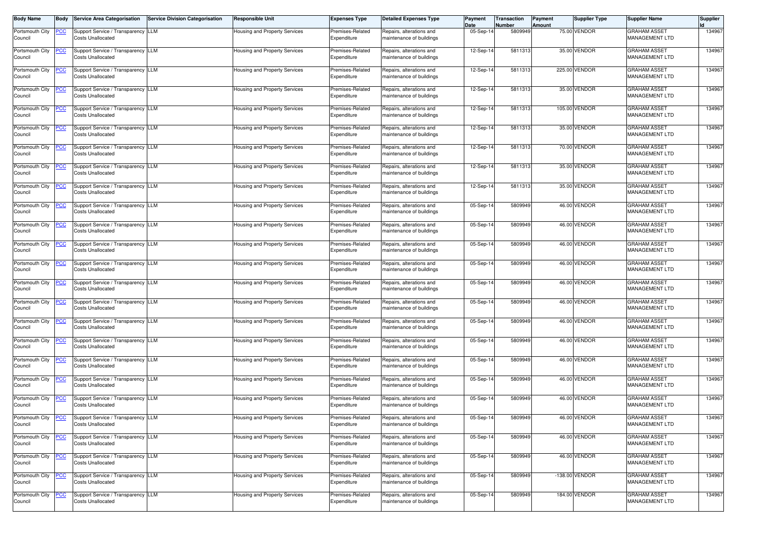| <b>Body Name</b>           | <b>Body</b> | <b>Service Area Categorisation</b>                             | <b>Service Division Categorisation</b> | <b>Responsible Unit</b>              | <b>Expenses Type</b>            | <b>Detailed Expenses Type</b>                        | Payment<br>Date | Transaction<br><b>Number</b> | Payment<br>Amount | <b>Supplier Type</b> | <b>Supplier Name</b>                         | <b>Supplier</b> |
|----------------------------|-------------|----------------------------------------------------------------|----------------------------------------|--------------------------------------|---------------------------------|------------------------------------------------------|-----------------|------------------------------|-------------------|----------------------|----------------------------------------------|-----------------|
| Portsmouth City<br>Council | <u>PCC</u>  | Support Service / Transparency LLM<br><b>Costs Unallocated</b> |                                        | <b>Housing and Property Services</b> | Premises-Related<br>Expenditure | Repairs, alterations and<br>maintenance of buildings | 05-Sep-14       | 5809949                      |                   | 75.00 VENDOR         | <b>GRAHAM ASSET</b><br>MANAGEMENT LTD        | 134967          |
| Portsmouth City<br>Council | <u>PCC</u>  | Support Service / Transparency LLM<br><b>Costs Unallocated</b> |                                        | Housing and Property Services        | Premises-Related<br>Expenditure | Repairs, alterations and<br>maintenance of buildings | 12-Sep-14       | 5811313                      |                   | 35.00 VENDOR         | <b>GRAHAM ASSET</b><br><b>MANAGEMENT LTD</b> | 134967          |
| Portsmouth City<br>Council | <u>PCC</u>  | Support Service / Transparency LLM<br><b>Costs Unallocated</b> |                                        | Housing and Property Services        | Premises-Related<br>Expenditure | Repairs, alterations and<br>maintenance of buildings | 12-Sep-14       | 5811313                      |                   | 225.00 VENDOR        | <b>GRAHAM ASSET</b><br><b>MANAGEMENT LTD</b> | 134967          |
| Portsmouth City<br>Council | <u>PCC</u>  | Support Service / Transparency LLM<br><b>Costs Unallocated</b> |                                        | Housing and Property Services        | Premises-Related<br>Expenditure | Repairs, alterations and<br>maintenance of buildings | 12-Sep-14       | 5811313                      |                   | 35.00 VENDOR         | <b>GRAHAM ASSET</b><br>MANAGEMENT LTD        | 134967          |
| Portsmouth City<br>Council | <u>PCC</u>  | Support Service / Transparency LLM<br><b>Costs Unallocated</b> |                                        | <b>Housing and Property Services</b> | Premises-Related<br>Expenditure | Repairs, alterations and<br>maintenance of buildings | 12-Sep-14       | 5811313                      |                   | 105.00 VENDOR        | <b>GRAHAM ASSET</b><br>MANAGEMENT LTD        | 134967          |
| Portsmouth City<br>Council | <u>PCC</u>  | Support Service / Transparency LLM<br>Costs Unallocated        |                                        | Housing and Property Services        | Premises-Related<br>Expenditure | Repairs, alterations and<br>maintenance of buildings | 12-Sep-14       | 5811313                      |                   | 35.00 VENDOR         | <b>GRAHAM ASSET</b><br>MANAGEMENT LTD        | 134967          |
| Portsmouth City<br>Council | <u>PCC</u>  | Support Service / Transparency LLM<br><b>Costs Unallocated</b> |                                        | Housing and Property Services        | Premises-Related<br>Expenditure | Repairs, alterations and<br>maintenance of buildings | 12-Sep-14       | 5811313                      |                   | 70.00 VENDOR         | <b>GRAHAM ASSET</b><br>MANAGEMENT LTD        | 134967          |
| Portsmouth City<br>Council | <u>PCC</u>  | Support Service / Transparency LLM<br><b>Costs Unallocated</b> |                                        | <b>Housing and Property Services</b> | Premises-Related<br>Expenditure | Repairs, alterations and<br>maintenance of buildings | 12-Sep-14       | 5811313                      |                   | 35.00 VENDOR         | <b>GRAHAM ASSET</b><br>MANAGEMENT LTD        | 134967          |
| Portsmouth City<br>Council | <u>PCC </u> | Support Service / Transparency LLM<br><b>Costs Unallocated</b> |                                        | Housing and Property Services        | Premises-Related<br>Expenditure | Repairs, alterations and<br>maintenance of buildings | 12-Sep-14       | 5811313                      |                   | 35.00 VENDOR         | <b>GRAHAM ASSET</b><br><b>MANAGEMENT LTD</b> | 134967          |
| Portsmouth City<br>Council | <u>PCC </u> | Support Service / Transparency LLM<br><b>Costs Unallocated</b> |                                        | Housing and Property Services        | Premises-Related<br>Expenditure | Repairs, alterations and<br>maintenance of buildings | 05-Sep-14       | 5809949                      |                   | 46.00 VENDOR         | <b>GRAHAM ASSET</b><br><b>MANAGEMENT LTD</b> | 134967          |
| Portsmouth City<br>Council | <u>PCC</u>  | Support Service / Transparency LLM<br><b>Costs Unallocated</b> |                                        | Housing and Property Services        | Premises-Related<br>Expenditure | Repairs, alterations and<br>maintenance of buildings | 05-Sep-14       | 5809949                      |                   | 46.00 VENDOR         | <b>GRAHAM ASSET</b><br>MANAGEMENT LTD        | 134967          |
| Portsmouth City<br>Council | <u>PCC</u>  | Support Service / Transparency LLM<br><b>Costs Unallocated</b> |                                        | Housing and Property Services        | Premises-Related<br>Expenditure | Repairs, alterations and<br>maintenance of buildings | 05-Sep-14       | 5809949                      |                   | 46.00 VENDOR         | <b>GRAHAM ASSET</b><br>MANAGEMENT LTD        | 134967          |
| Portsmouth City<br>Council | <u>PCC</u>  | Support Service / Transparency LLM<br><b>Costs Unallocated</b> |                                        | Housing and Property Services        | Premises-Related<br>Expenditure | Repairs, alterations and<br>maintenance of buildings | 05-Sep-14       | 5809949                      |                   | 46.00 VENDOR         | <b>GRAHAM ASSET</b><br>MANAGEMENT LTD        | 134967          |
| Portsmouth City<br>Council | <u>PCC</u>  | Support Service / Transparency LLM<br><b>Costs Unallocated</b> |                                        | <b>Housing and Property Services</b> | Premises-Related<br>Expenditure | Repairs, alterations and<br>maintenance of buildings | 05-Sep-14       | 5809949                      |                   | 46.00 VENDOR         | <b>GRAHAM ASSET</b><br>MANAGEMENT LTD        | 134967          |
| Portsmouth City<br>Council | <u>PCC</u>  | Support Service / Transparency LLM<br>Costs Unallocated        |                                        | <b>Housing and Property Services</b> | Premises-Related<br>Expenditure | Repairs, alterations and<br>maintenance of buildings | 05-Sep-14       | 5809949                      |                   | 46.00 VENDOR         | <b>GRAHAM ASSET</b><br>MANAGEMENT LTD        | 134967          |
| Portsmouth City<br>Council | <b>PCC</b>  | Support Service / Transparency LLM<br><b>Costs Unallocated</b> |                                        | Housing and Property Services        | Premises-Related<br>Expenditure | Repairs, alterations and<br>maintenance of buildings | 05-Sep-14       | 5809949                      |                   | 46.00 VENDOR         | <b>GRAHAM ASSET</b><br>MANAGEMENT LTD        | 134967          |
| Portsmouth City<br>Council | <u>PCC</u>  | Support Service / Transparency LLM<br><b>Costs Unallocated</b> |                                        | Housing and Property Services        | Premises-Related<br>Expenditure | Repairs, alterations and<br>maintenance of buildings | 05-Sep-14       | 5809949                      |                   | 46.00 VENDOR         | <b>GRAHAM ASSET</b><br>MANAGEMENT LTD        | 134967          |
| Portsmouth City<br>Council | <u>PCC</u>  | Support Service / Transparency LLM<br><b>Costs Unallocated</b> |                                        | Housing and Property Services        | Premises-Related<br>Expenditure | Repairs, alterations and<br>maintenance of buildings | 05-Sep-14       | 5809949                      |                   | 46.00 VENDOR         | <b>GRAHAM ASSET</b><br><b>MANAGEMENT LTD</b> | 134967          |
| Portsmouth City<br>Council | <u>PCC</u>  | Support Service / Transparency LLM<br><b>Costs Unallocated</b> |                                        | Housing and Property Services        | Premises-Related<br>Expenditure | Repairs, alterations and<br>maintenance of buildings | 05-Sep-14       | 5809949                      |                   | 46.00 VENDOR         | <b>GRAHAM ASSET</b><br><b>MANAGEMENT LTD</b> | 134967          |
| Portsmouth City<br>Council | <b>PCC</b>  | Support Service / Transparency LLM<br><b>Costs Unallocated</b> |                                        | Housing and Property Services        | Premises-Related<br>Expenditure | Repairs, alterations and<br>maintenance of buildings | 05-Sep-14       | 5809949                      |                   | 46.00 VENDOR         | GRAHAM ASSET<br>MANAGEMENT LTD               | 134967          |
| Portsmouth City<br>Council | <b>PCC</b>  | Support Service / Transparency LLM<br><b>Costs Unallocated</b> |                                        | Housing and Property Services        | Premises-Related<br>Expenditure | Repairs, alterations and<br>maintenance of buildings | 05-Sep-14       | 5809949                      |                   | 46.00 VENDOR         | <b>GRAHAM ASSET</b><br>MANAGEMENT LTD        | 134967          |
| Portsmouth City<br>Council | <u>PCC</u>  | Support Service / Transparency LLM<br><b>Costs Unallocated</b> |                                        | Housing and Property Services        | Premises-Related<br>Expenditure | Repairs, alterations and<br>maintenance of buildings | 05-Sep-14       | 5809949                      |                   | 46.00 VENDOR         | <b>GRAHAM ASSET</b><br>MANAGEMENT LTD        | 134967          |
| Portsmouth City<br>Council | <u>PCC</u>  | Support Service / Transparency LLM<br><b>Costs Unallocated</b> |                                        | Housing and Property Services        | Premises-Related<br>Expenditure | Repairs, alterations and<br>maintenance of buildings | 05-Sep-14       | 5809949                      |                   | 46.00 VENDOR         | <b>GRAHAM ASSET</b><br>MANAGEMENT LTD        | 134967          |
| Portsmouth City<br>Council | <u>PCC</u>  | Support Service / Transparency LLM<br><b>Costs Unallocated</b> |                                        | Housing and Property Services        | Premises-Related<br>Expenditure | Repairs, alterations and<br>maintenance of buildings | 05-Sep-14       | 5809949                      |                   | -138.00 VENDOR       | <b>GRAHAM ASSET</b><br>MANAGEMENT LTD        | 134967          |
| Portsmouth City<br>Council | <u>PCC</u>  | Support Service / Transparency LLM<br><b>Costs Unallocated</b> |                                        | Housing and Property Services        | Premises-Related<br>Expenditure | Repairs, alterations and<br>maintenance of buildings | 05-Sep-14       | 5809949                      |                   | 184.00 VENDOR        | <b>GRAHAM ASSET</b><br><b>MANAGEMENT LTD</b> | 134967          |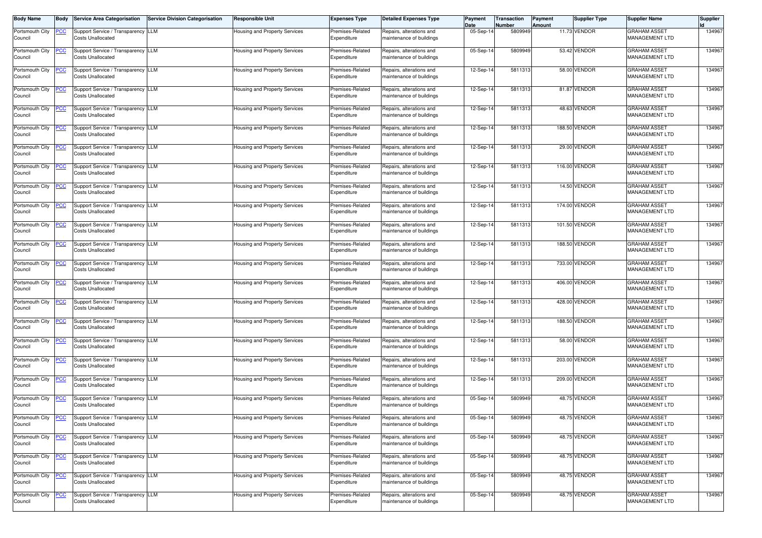| <b>Body Name</b>           | <b>Body</b>    | <b>Service Area Categorisation</b>                             | Service Division Categorisation | <b>Responsible Unit</b>              | <b>Expenses Type</b>            | <b>Detailed Expenses Type</b>                        | Payment<br>Date | Transaction<br>Number | Payment<br>Amount | <b>Supplier Type</b> | <b>Supplier Name</b>                         | <b>Supplier</b> |
|----------------------------|----------------|----------------------------------------------------------------|---------------------------------|--------------------------------------|---------------------------------|------------------------------------------------------|-----------------|-----------------------|-------------------|----------------------|----------------------------------------------|-----------------|
| Portsmouth City<br>Council | <u>PCC</u>     | Support Service / Transparency LLM<br><b>Costs Unallocated</b> |                                 | <b>Housing and Property Services</b> | Premises-Related<br>Expenditure | Repairs, alterations and<br>maintenance of buildings | 05-Sep-1        | 5809949               |                   | 11.73 VENDOR         | <b>GRAHAM ASSET</b><br>MANAGEMENT LTD        | 134967          |
| Portsmouth City<br>Council | <u>PCC</u>     | Support Service / Transparency LLM<br><b>Costs Unallocated</b> |                                 | Housing and Property Services        | Premises-Related<br>Expenditure | Repairs, alterations and<br>maintenance of buildings | 05-Sep-14       | 5809949               |                   | 53.42 VENDOR         | <b>GRAHAM ASSET</b><br>MANAGEMENT LTD        | 134967          |
| Portsmouth City<br>Council | <u>PCC</u>     | Support Service / Transparency LLM<br><b>Costs Unallocated</b> |                                 | Housing and Property Services        | Premises-Related<br>Expenditure | Repairs, alterations and<br>maintenance of buildings | 12-Sep-14       | 5811313               |                   | 58.00 VENDOR         | <b>GRAHAM ASSET</b><br>MANAGEMENT LTD        | 134967          |
| Portsmouth City<br>Council | <u>PCC</u>     | Support Service / Transparency LLM<br><b>Costs Unallocated</b> |                                 | Housing and Property Services        | Premises-Related<br>Expenditure | Repairs, alterations and<br>maintenance of buildings | 12-Sep-14       | 5811313               |                   | 81.87 VENDOR         | <b>GRAHAM ASSET</b><br>MANAGEMENT LTD        | 134967          |
| Portsmouth City<br>Council | <u>PCC</u>     | Support Service / Transparency LLM<br><b>Costs Unallocated</b> |                                 | Housing and Property Services        | Premises-Related<br>Expenditure | Repairs, alterations and<br>maintenance of buildings | 12-Sep-14       | 5811313               |                   | 48.63 VENDOR         | <b>GRAHAM ASSET</b><br>MANAGEMENT LTD        | 134967          |
| Portsmouth City<br>Council | <u>PCC</u>     | Support Service / Transparency LLM<br><b>Costs Unallocated</b> |                                 | Housing and Property Services        | Premises-Related<br>Expenditure | Repairs, alterations and<br>maintenance of buildings | 12-Sep-14       | 5811313               |                   | 188.50 VENDOR        | <b>GRAHAM ASSET</b><br>MANAGEMENT LTD        | 134967          |
| Portsmouth City<br>Council | <u>PCC</u>     | Support Service / Transparency LLM<br><b>Costs Unallocated</b> |                                 | Housing and Property Services        | Premises-Related<br>Expenditure | Repairs, alterations and<br>maintenance of buildings | 12-Sep-14       | 5811313               |                   | 29.00 VENDOR         | <b>GRAHAM ASSET</b><br>MANAGEMENT LTD        | 134967          |
| Portsmouth City<br>Council | <u>PCC</u>     | Support Service / Transparency LLM<br><b>Costs Unallocated</b> |                                 | <b>Housing and Property Services</b> | Premises-Related<br>Expenditure | Repairs, alterations and<br>maintenance of buildings | 12-Sep-14       | 5811313               |                   | 116.00 VENDOR        | <b>GRAHAM ASSET</b><br>MANAGEMENT LTD        | 134967          |
| Portsmouth City<br>Council | <u>PCC</u>     | Support Service / Transparency LLM<br><b>Costs Unallocated</b> |                                 | Housing and Property Services        | Premises-Related<br>Expenditure | Repairs, alterations and<br>maintenance of buildings | 12-Sep-14       | 5811313               |                   | 14.50 VENDOR         | <b>GRAHAM ASSET</b><br>MANAGEMENT LTD        | 134967          |
| Portsmouth City<br>Council | <u>PCC </u>    | Support Service / Transparency LLM<br><b>Costs Unallocated</b> |                                 | Housing and Property Services        | Premises-Related<br>Expenditure | Repairs, alterations and<br>maintenance of buildings | 12-Sep-14       | 5811313               |                   | 174.00 VENDOR        | <b>GRAHAM ASSET</b><br><b>MANAGEMENT LTD</b> | 134967          |
| Portsmouth City<br>Council | $\overline{C}$ | Support Service / Transparency LLM<br><b>Costs Unallocated</b> |                                 | Housing and Property Services        | Premises-Related<br>Expenditure | Repairs, alterations and<br>maintenance of buildings | 12-Sep-14       | 5811313               |                   | 101.50 VENDOR        | <b>GRAHAM ASSET</b><br>MANAGEMENT LTD        | 134967          |
| Portsmouth City<br>Council | <u>PCC </u>    | Support Service / Transparency LLM<br><b>Costs Unallocated</b> |                                 | Housing and Property Services        | Premises-Related<br>Expenditure | Repairs, alterations and<br>maintenance of buildings | 12-Sep-14       | 5811313               |                   | 188.50 VENDOR        | <b>GRAHAM ASSET</b><br>MANAGEMENT LTD        | 134967          |
| Portsmouth City<br>Council | <u>PCC</u>     | Support Service / Transparency LLM<br><b>Costs Unallocated</b> |                                 | Housing and Property Services        | Premises-Related<br>Expenditure | Repairs, alterations and<br>maintenance of buildings | 12-Sep-14       | 5811313               |                   | 733.00 VENDOR        | <b>GRAHAM ASSET</b><br>MANAGEMENT LTD        | 134967          |
| Portsmouth City<br>Council | <u>PCC</u>     | Support Service / Transparency LLM<br><b>Costs Unallocated</b> |                                 | <b>Housing and Property Services</b> | Premises-Related<br>Expenditure | Repairs, alterations and<br>maintenance of buildings | 12-Sep-14       | 5811313               |                   | 406.00 VENDOR        | <b>GRAHAM ASSET</b><br>MANAGEMENT LTD        | 134967          |
| Portsmouth City<br>Council | <u>PCC</u>     | Support Service / Transparency LLM<br><b>Costs Unallocated</b> |                                 | Housing and Property Services        | Premises-Related<br>Expenditure | Repairs, alterations and<br>maintenance of buildings | 12-Sep-14       | 5811313               |                   | 428.00 VENDOR        | <b>GRAHAM ASSET</b><br>MANAGEMENT LTD        | 134967          |
| Portsmouth City<br>Council | <u>PCC</u>     | Support Service / Transparency LLM<br><b>Costs Unallocated</b> |                                 | Housing and Property Services        | Premises-Related<br>Expenditure | Repairs, alterations and<br>maintenance of buildings | 12-Sep-14       | 5811313               |                   | 188.50 VENDOR        | <b>GRAHAM ASSET</b><br>MANAGEMENT LTD        | 134967          |
| Portsmouth City<br>Council | <u>PCC</u>     | Support Service / Transparency LLM<br><b>Costs Unallocated</b> |                                 | <b>Housing and Property Services</b> | Premises-Related<br>Expenditure | Repairs, alterations and<br>maintenance of buildings | 12-Sep-14       | 5811313               |                   | 58.00 VENDOR         | <b>GRAHAM ASSET</b><br>MANAGEMENT LTD        | 134967          |
| Portsmouth City<br>Council | <u>PCC</u>     | Support Service / Transparency LLM<br><b>Costs Unallocated</b> |                                 | Housing and Property Services        | Premises-Related<br>Expenditure | Repairs, alterations and<br>maintenance of buildings | 12-Sep-14       | 5811313               |                   | 203.00 VENDOR        | <b>GRAHAM ASSET</b><br>MANAGEMENT LTD        | 134967          |
| Portsmouth City<br>Council | <u>PCC</u>     | Support Service / Transparency LLM<br><b>Costs Unallocated</b> |                                 | Housing and Property Services        | Premises-Related<br>Expenditure | Repairs, alterations and<br>maintenance of buildings | 12-Sep-14       | 5811313               |                   | 209.00 VENDOR        | <b>GRAHAM ASSET</b><br><b>MANAGEMENT LTD</b> | 134967          |
| Portsmouth City<br>Council | <b>PCC</b>     | Support Service / Transparency LLM<br><b>Costs Unallocated</b> |                                 | Housing and Property Services        | Premises-Related<br>Expenditure | Repairs, alterations and<br>maintenance of buildings | 05-Sep-14       | 5809949               |                   | 48.75 VENDOR         | <b>GRAHAM ASSET</b><br><b>MANAGEMENT LTD</b> | 134967          |
| Portsmouth City<br>Council | <u>PCC</u>     | Support Service / Transparency LLM<br><b>Costs Unallocated</b> |                                 | Housing and Property Services        | Premises-Related<br>Expenditure | Repairs, alterations and<br>maintenance of buildings | 05-Sep-14       | 5809949               |                   | 48.75 VENDOR         | <b>GRAHAM ASSET</b><br>MANAGEMENT LTD        | 134967          |
| Portsmouth City<br>Council | <u>PCC</u>     | Support Service / Transparency LLM<br><b>Costs Unallocated</b> |                                 | Housing and Property Services        | Premises-Related<br>Expenditure | Repairs, alterations and<br>maintenance of buildings | 05-Sep-14       | 5809949               |                   | 48.75 VENDOR         | <b>GRAHAM ASSET</b><br><b>MANAGEMENT LTD</b> | 134967          |
| Portsmouth City<br>Council | <u>PCC</u>     | Support Service / Transparency LLM<br><b>Costs Unallocated</b> |                                 | Housing and Property Services        | Premises-Related<br>Expenditure | Repairs, alterations and<br>maintenance of buildings | 05-Sep-14       | 5809949               |                   | 48.75 VENDOR         | <b>GRAHAM ASSET</b><br>MANAGEMENT LTD        | 134967          |
| Portsmouth City<br>Council | <u>PCC</u>     | Support Service / Transparency LLM<br><b>Costs Unallocated</b> |                                 | <b>Housing and Property Services</b> | Premises-Related<br>Expenditure | Repairs, alterations and<br>maintenance of buildings | 05-Sep-14       | 5809949               |                   | 48.75 VENDOR         | <b>GRAHAM ASSET</b><br>MANAGEMENT LTD        | 134967          |
| Portsmouth City<br>Council | <b>PCC</b>     | Support Service / Transparency LLM<br><b>Costs Unallocated</b> |                                 | Housing and Property Services        | Premises-Related<br>Expenditure | Repairs, alterations and<br>maintenance of buildings | 05-Sep-14       | 5809949               |                   | 48.75 VENDOR         | <b>GRAHAM ASSET</b><br><b>MANAGEMENT LTD</b> | 134967          |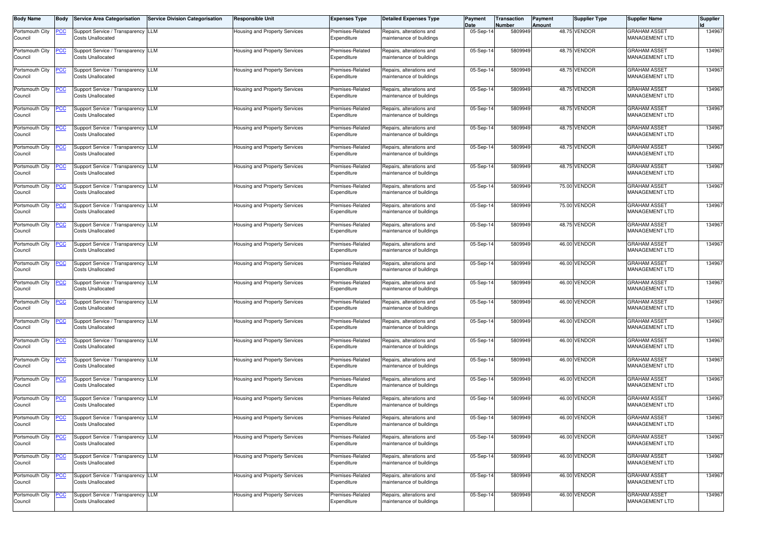| <b>Body Name</b>           | <b>Body</b>    | <b>Service Area Categorisation</b>                             | Service Division Categorisation | <b>Responsible Unit</b>              | <b>Expenses Type</b>            | <b>Detailed Expenses Type</b>                        | Payment<br>Date | Transaction<br>Number | Payment<br>Amount | <b>Supplier Type</b> | <b>Supplier Name</b>                         | <b>Supplier</b> |
|----------------------------|----------------|----------------------------------------------------------------|---------------------------------|--------------------------------------|---------------------------------|------------------------------------------------------|-----------------|-----------------------|-------------------|----------------------|----------------------------------------------|-----------------|
| Portsmouth City<br>Council | <u>PCC</u>     | Support Service / Transparency LLM<br><b>Costs Unallocated</b> |                                 | <b>Housing and Property Services</b> | Premises-Related<br>Expenditure | Repairs, alterations and<br>maintenance of buildings | 05-Sep-1        | 5809949               |                   | 48.75 VENDOR         | <b>GRAHAM ASSET</b><br>MANAGEMENT LTD        | 134967          |
| Portsmouth City<br>Council | <u>PCC</u>     | Support Service / Transparency LLM<br><b>Costs Unallocated</b> |                                 | Housing and Property Services        | Premises-Related<br>Expenditure | Repairs, alterations and<br>maintenance of buildings | 05-Sep-14       | 5809949               |                   | 48.75 VENDOR         | <b>GRAHAM ASSET</b><br>MANAGEMENT LTD        | 134967          |
| Portsmouth City<br>Council | <u>PCC</u>     | Support Service / Transparency LLM<br><b>Costs Unallocated</b> |                                 | Housing and Property Services        | Premises-Related<br>Expenditure | Repairs, alterations and<br>maintenance of buildings | 05-Sep-14       | 5809949               |                   | 48.75 VENDOR         | <b>GRAHAM ASSET</b><br><b>MANAGEMENT LTD</b> | 134967          |
| Portsmouth City<br>Council | <u>PCC</u>     | Support Service / Transparency LLM<br><b>Costs Unallocated</b> |                                 | Housing and Property Services        | Premises-Related<br>Expenditure | Repairs, alterations and<br>maintenance of buildings | 05-Sep-14       | 5809949               |                   | 48.75 VENDOR         | <b>GRAHAM ASSET</b><br>MANAGEMENT LTD        | 134967          |
| Portsmouth City<br>Council | <u>PCC</u>     | Support Service / Transparency LLM<br><b>Costs Unallocated</b> |                                 | Housing and Property Services        | Premises-Related<br>Expenditure | Repairs, alterations and<br>maintenance of buildings | 05-Sep-14       | 5809949               |                   | 48.75 VENDOR         | <b>GRAHAM ASSET</b><br>MANAGEMENT LTD        | 134967          |
| Portsmouth City<br>Council | <u>PCC</u>     | Support Service / Transparency LLM<br><b>Costs Unallocated</b> |                                 | Housing and Property Services        | Premises-Related<br>Expenditure | Repairs, alterations and<br>maintenance of buildings | 05-Sep-14       | 5809949               |                   | 48.75 VENDOR         | <b>GRAHAM ASSET</b><br>MANAGEMENT LTD        | 134967          |
| Portsmouth City<br>Council | <u>PCC</u>     | Support Service / Transparency LLM<br><b>Costs Unallocated</b> |                                 | Housing and Property Services        | Premises-Related<br>Expenditure | Repairs, alterations and<br>maintenance of buildings | 05-Sep-14       | 5809949               |                   | 48.75 VENDOR         | <b>GRAHAM ASSET</b><br>MANAGEMENT LTD        | 134967          |
| Portsmouth City<br>Council | <u>PCC</u>     | Support Service / Transparency LLM<br><b>Costs Unallocated</b> |                                 | <b>Housing and Property Services</b> | Premises-Related<br>Expenditure | Repairs, alterations and<br>maintenance of buildings | 05-Sep-14       | 5809949               |                   | 48.75 VENDOR         | <b>GRAHAM ASSET</b><br>MANAGEMENT LTD        | 134967          |
| Portsmouth City<br>Council | <u>PCC</u>     | Support Service / Transparency LLM<br><b>Costs Unallocated</b> |                                 | Housing and Property Services        | Premises-Related<br>Expenditure | Repairs, alterations and<br>maintenance of buildings | 05-Sep-14       | 5809949               |                   | 75.00 VENDOR         | <b>GRAHAM ASSET</b><br>MANAGEMENT LTD        | 134967          |
| Portsmouth City<br>Council | <u>PCC </u>    | Support Service / Transparency LLM<br><b>Costs Unallocated</b> |                                 | Housing and Property Services        | Premises-Related<br>Expenditure | Repairs, alterations and<br>maintenance of buildings | 05-Sep-14       | 5809949               |                   | 75.00 VENDOR         | <b>GRAHAM ASSET</b><br><b>MANAGEMENT LTD</b> | 134967          |
| Portsmouth City<br>Council | $\overline{C}$ | Support Service / Transparency LLM<br><b>Costs Unallocated</b> |                                 | Housing and Property Services        | Premises-Related<br>Expenditure | Repairs, alterations and<br>maintenance of buildings | 05-Sep-14       | 5809949               |                   | 48.75 VENDOR         | <b>GRAHAM ASSET</b><br>MANAGEMENT LTD        | 134967          |
| Portsmouth City<br>Council | <u>PCC </u>    | Support Service / Transparency LLM<br><b>Costs Unallocated</b> |                                 | Housing and Property Services        | Premises-Related<br>Expenditure | Repairs, alterations and<br>maintenance of buildings | 05-Sep-14       | 5809949               |                   | 46.00 VENDOR         | <b>GRAHAM ASSET</b><br>MANAGEMENT LTD        | 134967          |
| Portsmouth City<br>Council | <u>PCC</u>     | Support Service / Transparency LLM<br><b>Costs Unallocated</b> |                                 | Housing and Property Services        | Premises-Related<br>Expenditure | Repairs, alterations and<br>maintenance of buildings | 05-Sep-14       | 5809949               |                   | 46.00 VENDOR         | <b>GRAHAM ASSET</b><br>MANAGEMENT LTD        | 134967          |
| Portsmouth City<br>Council | <u>PCC</u>     | Support Service / Transparency LLM<br><b>Costs Unallocated</b> |                                 | <b>Housing and Property Services</b> | Premises-Related<br>Expenditure | Repairs, alterations and<br>maintenance of buildings | 05-Sep-14       | 5809949               |                   | 46.00 VENDOR         | <b>GRAHAM ASSET</b><br>MANAGEMENT LTD        | 134967          |
| Portsmouth City<br>Council | <u>PCC</u>     | Support Service / Transparency LLM<br><b>Costs Unallocated</b> |                                 | Housing and Property Services        | Premises-Related<br>Expenditure | Repairs, alterations and<br>maintenance of buildings | 05-Sep-14       | 5809949               |                   | 46.00 VENDOR         | <b>GRAHAM ASSET</b><br>MANAGEMENT LTD        | 134967          |
| Portsmouth City<br>Council | <u>PCC</u>     | Support Service / Transparency LLM<br><b>Costs Unallocated</b> |                                 | Housing and Property Services        | Premises-Related<br>Expenditure | Repairs, alterations and<br>maintenance of buildings | 05-Sep-14       | 5809949               |                   | 46.00 VENDOR         | <b>GRAHAM ASSET</b><br>MANAGEMENT LTD        | 134967          |
| Portsmouth City<br>Council | <u>PCC</u>     | Support Service / Transparency LLM<br><b>Costs Unallocated</b> |                                 | <b>Housing and Property Services</b> | Premises-Related<br>Expenditure | Repairs, alterations and<br>maintenance of buildings | 05-Sep-14       | 5809949               |                   | 46.00 VENDOR         | <b>GRAHAM ASSET</b><br>MANAGEMENT LTD        | 134967          |
| Portsmouth City<br>Council | <u>PCC</u>     | Support Service / Transparency LLM<br><b>Costs Unallocated</b> |                                 | Housing and Property Services        | Premises-Related<br>Expenditure | Repairs, alterations and<br>maintenance of buildings | 05-Sep-14       | 5809949               |                   | 46.00 VENDOR         | <b>GRAHAM ASSET</b><br>MANAGEMENT LTD        | 134967          |
| Portsmouth City<br>Council | <u>PCC</u>     | Support Service / Transparency LLM<br><b>Costs Unallocated</b> |                                 | Housing and Property Services        | Premises-Related<br>Expenditure | Repairs, alterations and<br>maintenance of buildings | 05-Sep-14       | 5809949               |                   | 46.00 VENDOR         | <b>GRAHAM ASSET</b><br><b>MANAGEMENT LTD</b> | 134967          |
| Portsmouth City<br>Council | <b>PCC</b>     | Support Service / Transparency LLM<br><b>Costs Unallocated</b> |                                 | Housing and Property Services        | Premises-Related<br>Expenditure | Repairs, alterations and<br>maintenance of buildings | 05-Sep-14       | 5809949               |                   | 46.00 VENDOR         | <b>GRAHAM ASSET</b><br>MANAGEMENT LTD        | 134967          |
| Portsmouth City<br>Council | <u>PCC</u>     | Support Service / Transparency LLM<br><b>Costs Unallocated</b> |                                 | Housing and Property Services        | Premises-Related<br>Expenditure | Repairs, alterations and<br>maintenance of buildings | 05-Sep-14       | 5809949               |                   | 46.00 VENDOR         | <b>GRAHAM ASSET</b><br>MANAGEMENT LTD        | 134967          |
| Portsmouth City<br>Council | <u>PCC</u>     | Support Service / Transparency LLM<br><b>Costs Unallocated</b> |                                 | Housing and Property Services        | Premises-Related<br>Expenditure | Repairs, alterations and<br>maintenance of buildings | 05-Sep-14       | 5809949               |                   | 46.00 VENDOR         | <b>GRAHAM ASSET</b><br><b>MANAGEMENT LTD</b> | 134967          |
| Portsmouth City<br>Council | <u>PCC</u>     | Support Service / Transparency LLM<br><b>Costs Unallocated</b> |                                 | Housing and Property Services        | Premises-Related<br>Expenditure | Repairs, alterations and<br>maintenance of buildings | 05-Sep-14       | 5809949               |                   | 46.00 VENDOR         | <b>GRAHAM ASSET</b><br>MANAGEMENT LTD        | 134967          |
| Portsmouth City<br>Council | <u>PCC</u>     | Support Service / Transparency LLM<br><b>Costs Unallocated</b> |                                 | <b>Housing and Property Services</b> | Premises-Related<br>Expenditure | Repairs, alterations and<br>maintenance of buildings | 05-Sep-14       | 5809949               |                   | 46.00 VENDOR         | <b>GRAHAM ASSET</b><br>MANAGEMENT LTD        | 134967          |
| Portsmouth City<br>Council | <b>PCC</b>     | Support Service / Transparency LLM<br><b>Costs Unallocated</b> |                                 | Housing and Property Services        | Premises-Related<br>Expenditure | Repairs, alterations and<br>maintenance of buildings | 05-Sep-14       | 5809949               |                   | 46.00 VENDOR         | <b>GRAHAM ASSET</b><br><b>MANAGEMENT LTD</b> | 134967          |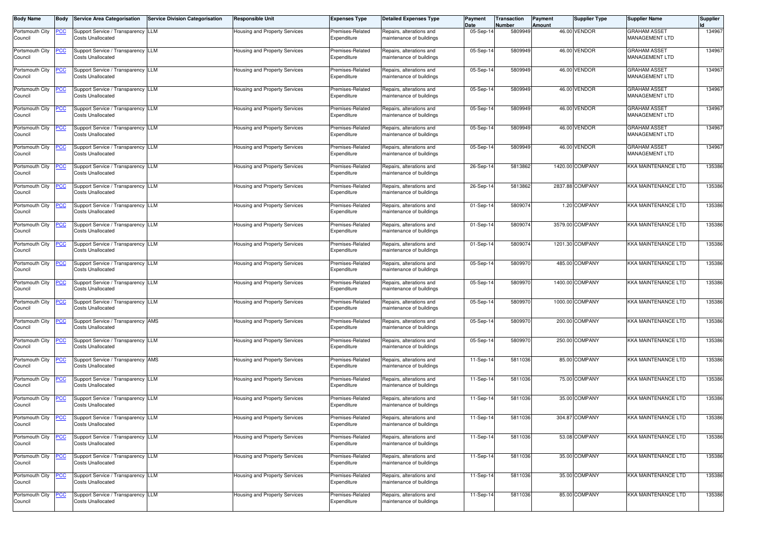| <b>Body Name</b>           | <b>Body</b> | <b>Service Area Categorisation</b>                             | <b>Service Division Categorisation</b> | Responsible Unit              | <b>Expenses Type</b>            | <b>Detailed Expenses Type</b>                        | Payment<br>Date | Transaction<br>Number | Payment<br>Amount | <b>Supplier Type</b> | <b>Supplier Name</b>                         | <b>Supplier</b> |
|----------------------------|-------------|----------------------------------------------------------------|----------------------------------------|-------------------------------|---------------------------------|------------------------------------------------------|-----------------|-----------------------|-------------------|----------------------|----------------------------------------------|-----------------|
| Portsmouth City<br>Council |             | Support Service / Transparency LLM<br><b>Costs Unallocated</b> |                                        | Housing and Property Services | Premises-Related<br>Expenditure | Repairs, alterations and<br>naintenance of buildings | 05-Sep-1        | 5809949               |                   | 46.00 VENDOR         | <b>GRAHAM ASSET</b><br>MANAGEMENT LTD        | 134967          |
| Portsmouth City<br>Council | <u>PCC</u>  | Support Service / Transparency LLM<br><b>Costs Unallocated</b> |                                        | lousing and Property Services | Premises-Related<br>Expenditure | Repairs, alterations and<br>maintenance of buildings | 05-Sep-1        | 5809949               |                   | 46.00 VENDOR         | <b>GRAHAM ASSET</b><br>MANAGEMENT LTD        | 134967          |
| Portsmouth City<br>Council | <u>PCC</u>  | Support Service / Transparency LLM<br><b>Costs Unallocated</b> |                                        | Housing and Property Services | Premises-Related<br>Expenditure | Repairs, alterations and<br>maintenance of buildings | 05-Sep-14       | 5809949               |                   | 46.00 VENDOR         | <b>GRAHAM ASSET</b><br><b>MANAGEMENT LTD</b> | 134967          |
| Portsmouth City<br>Council | <u>PCC</u>  | Support Service / Transparency LLM<br><b>Costs Unallocated</b> |                                        | Housing and Property Services | Premises-Related<br>Expenditure | Repairs, alterations and<br>maintenance of buildings | 05-Sep-14       | 5809949               |                   | 46.00 VENDOR         | <b>GRAHAM ASSET</b><br>MANAGEMENT LTD        | 134967          |
| Portsmouth City<br>Council | <u>PCC</u>  | Support Service / Transparency LLM<br><b>Costs Unallocated</b> |                                        | Housing and Property Services | Premises-Related<br>Expenditure | Repairs, alterations and<br>maintenance of buildings | 05-Sep-14       | 5809949               |                   | 46.00 VENDOR         | <b>GRAHAM ASSET</b><br>MANAGEMENT LTD        | 134967          |
| Portsmouth City<br>Council | <u>PCC</u>  | Support Service / Transparency LLM<br><b>Costs Unallocated</b> |                                        | Housing and Property Services | Premises-Related<br>Expenditure | Repairs, alterations and<br>maintenance of buildings | 05-Sep-14       | 5809949               |                   | 46.00 VENDOR         | <b>GRAHAM ASSET</b><br>MANAGEMENT LTD        | 134967          |
| Portsmouth City<br>Council | <u>PCC</u>  | Support Service / Transparency LLM<br><b>Costs Unallocated</b> |                                        | Housing and Property Services | Premises-Related<br>Expenditure | Repairs, alterations and<br>maintenance of buildings | 05-Sep-14       | 5809949               |                   | 46.00 VENDOR         | <b>GRAHAM ASSET</b><br>MANAGEMENT LTD        | 134967          |
| Portsmouth City<br>Council | <u>PCC</u>  | Support Service / Transparency LLM<br><b>Costs Unallocated</b> |                                        | Housing and Property Services | Premises-Related<br>Expenditure | Repairs, alterations and<br>naintenance of buildings | 26-Sep-14       | 5813862               |                   | 1420.00 COMPANY      | KKA MAINTENANCE LTD                          | 135386          |
| Portsmouth City<br>Council | <u>PCC</u>  | Support Service / Transparency LLM<br><b>Costs Unallocated</b> |                                        | Housing and Property Services | Premises-Related<br>Expenditure | Repairs, alterations and<br>naintenance of buildings | 26-Sep-1        | 5813862               |                   | 2837.88 COMPANY      | KKA MAINTENANCE LTD                          | 135386          |
| Portsmouth City<br>Council | <u>PCC </u> | Support Service / Transparency LLM<br><b>Costs Unallocated</b> |                                        | Housing and Property Services | Premises-Related<br>Expenditure | Repairs, alterations and<br>maintenance of buildings | $01-Sep-1$      | 5809074               |                   | 1.20 COMPANY         | KKA MAINTENANCE LTD                          | 135386          |
| Portsmouth City<br>Council | <u>PCC</u>  | Support Service / Transparency LLM<br><b>Costs Unallocated</b> |                                        | Housing and Property Services | Premises-Related<br>Expenditure | Repairs, alterations and<br>maintenance of buildings | 01-Sep-14       | 5809074               |                   | 3579.00 COMPANY      | KKA MAINTENANCE LTD                          | 135386          |
| Portsmouth City<br>Council | <u>PCC </u> | Support Service / Transparency LLM<br><b>Costs Unallocated</b> |                                        | Housing and Property Services | Premises-Related<br>Expenditure | Repairs, alterations and<br>maintenance of buildings | 01-Sep-14       | 5809074               |                   | 1201.30 COMPANY      | KKA MAINTENANCE LTD                          | 135386          |
| Portsmouth City<br>Council | <u>PCC</u>  | Support Service / Transparency LLM<br><b>Costs Unallocated</b> |                                        | Housing and Property Services | Premises-Related<br>Expenditure | Repairs, alterations and<br>maintenance of buildings | 05-Sep-14       | 5809970               |                   | 485.00 COMPANY       | KKA MAINTENANCE LTD                          | 135386          |
| Portsmouth City<br>Council | <u>PCC</u>  | Support Service / Transparency LLM<br><b>Costs Unallocated</b> |                                        | Housing and Property Services | Premises-Related<br>Expenditure | Repairs, alterations and<br>maintenance of buildings | 05-Sep-14       | 5809970               |                   | 1400.00 COMPANY      | KKA MAINTENANCE LTD                          | 135386          |
| Portsmouth City<br>Council | <u>PCC</u>  | Support Service / Transparency LLM<br><b>Costs Unallocated</b> |                                        | Housing and Property Services | Premises-Related<br>Expenditure | Repairs, alterations and<br>maintenance of buildings | 05-Sep-1        | 5809970               |                   | 1000.00 COMPANY      | KKA MAINTENANCE LTD                          | 135386          |
| Portsmouth City<br>Council | <u>PCC</u>  | Support Service / Transparency AMS<br><b>Costs Unallocated</b> |                                        | lousing and Property Services | Premises-Related<br>Expenditure | Repairs, alterations and<br>maintenance of buildings | 05-Sep-14       | 5809970               |                   | 200.00 COMPANY       | KKA MAINTENANCE LTD                          | 135386          |
| Portsmouth City<br>Council | <u>PCC</u>  | Support Service / Transparency LLM<br><b>Costs Unallocated</b> |                                        | Housing and Property Services | Premises-Related<br>Expenditure | Repairs, alterations and<br>naintenance of buildings | 05-Sep-1        | 5809970               |                   | 250.00 COMPANY       | KKA MAINTENANCE LTD                          | 135386          |
| Portsmouth City<br>Council | <u>PCC</u>  | Support Service / Transparency AMS<br><b>Costs Unallocated</b> |                                        | Housing and Property Services | Premises-Related<br>Expenditure | Repairs, alterations and<br>naintenance of buildings | 11-Sep-1        | 5811036               |                   | 85.00 COMPANY        | KKA MAINTENANCE LTD                          | 135386          |
| Portsmouth City<br>Council | <u>PCC</u>  | Support Service / Transparency LLM<br><b>Costs Unallocated</b> |                                        | Housing and Property Services | Premises-Related<br>Expenditure | Repairs, alterations and<br>maintenance of buildings | 11-Sep-14       | 5811036               |                   | 75.00 COMPANY        | KKA MAINTENANCE LTD                          | 135386          |
| Portsmouth City<br>Council | <b>PCC</b>  | Support Service / Transparency LLM<br><b>Costs Unallocated</b> |                                        | Housing and Property Services | Premises-Related<br>Expenditure | Repairs, alterations and<br>maintenance of buildings | 11-Sep-14       | 5811036               |                   | 35.00 COMPANY        | <b>KKA MAINTENANCE LTD</b>                   | 135386          |
| Portsmouth City<br>Council | <u>PCC</u>  | Support Service / Transparency LLM<br><b>Costs Unallocated</b> |                                        | Housing and Property Services | Premises-Related<br>Expenditure | Repairs, alterations and<br>maintenance of buildings | 11-Sep-14       | 5811036               |                   | 304.87 COMPANY       | <b>KKA MAINTENANCE LTD</b>                   | 135386          |
| Portsmouth City<br>Council | <u>PCC</u>  | Support Service / Transparency LLM<br><b>Costs Unallocated</b> |                                        | Housing and Property Services | Premises-Related<br>Expenditure | Repairs, alterations and<br>maintenance of buildings | 11-Sep-14       | 5811036               |                   | 53.08 COMPANY        | KKA MAINTENANCE LTD                          | 135386          |
| Portsmouth City<br>Council | <u>PCC</u>  | Support Service / Transparency LLM<br><b>Costs Unallocated</b> |                                        | Housing and Property Services | Premises-Related<br>Expenditure | Repairs, alterations and<br>maintenance of buildings | 11-Sep-14       | 5811036               |                   | 35.00 COMPANY        | KKA MAINTENANCE LTD                          | 135386          |
| Portsmouth City<br>Council | <u>PCC</u>  | Support Service / Transparency LLM<br><b>Costs Unallocated</b> |                                        | Housing and Property Services | Premises-Related<br>Expenditure | Repairs, alterations and<br>maintenance of buildings | 11-Sep-14       | 5811036               |                   | 35.00 COMPANY        | KKA MAINTENANCE LTD                          | 135386          |
| Portsmouth City<br>Council | <u>PCC</u>  | Support Service / Transparency LLM<br><b>Costs Unallocated</b> |                                        | Housing and Property Services | Premises-Related<br>Expenditure | Repairs, alterations and<br>maintenance of buildings | 11-Sep-14       | 5811036               |                   | 85.00 COMPANY        | <b>KKA MAINTENANCE LTD</b>                   | 135386          |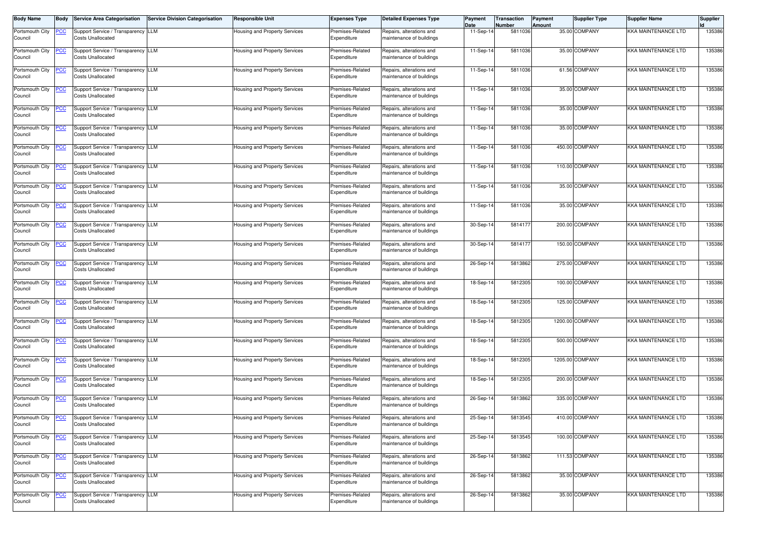| <b>Body Name</b>           | Body       | <b>Service Area Categorisation</b>                             | <b>Service Division Categorisation</b> | <b>Responsible Unit</b>              | <b>Expenses Type</b>            | <b>Detailed Expenses Type</b>                        | Payment<br>Date | Transaction<br>Number | Payment<br>Amount | <b>Supplier Type</b> | <b>Supplier Name</b>       | <b>Supplier</b> |
|----------------------------|------------|----------------------------------------------------------------|----------------------------------------|--------------------------------------|---------------------------------|------------------------------------------------------|-----------------|-----------------------|-------------------|----------------------|----------------------------|-----------------|
| Portsmouth City<br>Council |            | Support Service / Transparency LLM<br><b>Costs Unallocated</b> |                                        | Housing and Property Services        | Premises-Related<br>Expenditure | Repairs, alterations and<br>maintenance of buildings | 11-Sep-14       | 5811036               |                   | 35.00 COMPANY        | KKA MAINTENANCE LTD        | 135386          |
| Portsmouth City<br>Council |            | Support Service / Transparency LLM<br><b>Costs Unallocated</b> |                                        | Housing and Property Services        | Premises-Related<br>Expenditure | Repairs, alterations and<br>maintenance of buildings | 11-Sep-14       | 5811036               |                   | 35.00 COMPANY        | KKA MAINTENANCE LTD        | 135386          |
| Portsmouth City<br>Council | <u>PCC</u> | Support Service / Transparency LLM<br><b>Costs Unallocated</b> |                                        | <b>Housing and Property Services</b> | Premises-Related<br>Expenditure | Repairs, alterations and<br>maintenance of buildings | 11-Sep-14       | 5811036               |                   | 61.56 COMPANY        | KKA MAINTENANCE LTD        | 135386          |
| Portsmouth City<br>Council | <u>PCC</u> | Support Service / Transparency LLM<br><b>Costs Unallocated</b> |                                        | Housing and Property Services        | Premises-Related<br>Expenditure | Repairs, alterations and<br>maintenance of buildings | 11-Sep-14       | 5811036               |                   | 35.00 COMPANY        | KKA MAINTENANCE LTD        | 135386          |
| Portsmouth City<br>Council | <u>CC</u>  | Support Service / Transparency LLM<br><b>Costs Unallocated</b> |                                        | Housing and Property Services        | Premises-Related<br>Expenditure | Repairs, alterations and<br>maintenance of buildings | 11-Sep-14       | 5811036               |                   | 35.00 COMPANY        | <b>KKA MAINTENANCE LTD</b> | 135386          |
| Portsmouth City<br>Council | <u>PCC</u> | Support Service / Transparency LLM<br><b>Costs Unallocated</b> |                                        | Housing and Property Services        | Premises-Related<br>Expenditure | Repairs, alterations and<br>maintenance of buildings | 11-Sep-14       | 5811036               |                   | 35.00 COMPANY        | KKA MAINTENANCE LTD        | 135386          |
| Portsmouth City<br>Council | <u>PCC</u> | Support Service / Transparency LLM<br><b>Costs Unallocated</b> |                                        | Housing and Property Services        | Premises-Related<br>Expenditure | Repairs, alterations and<br>maintenance of buildings | 11-Sep-14       | 5811036               |                   | 450.00 COMPANY       | <b>KKA MAINTENANCE LTD</b> | 135386          |
| Portsmouth City<br>Council |            | Support Service / Transparency LLM<br><b>Costs Unallocated</b> |                                        | Housing and Property Services        | Premises-Related<br>Expenditure | Repairs, alterations and<br>maintenance of buildings | 11-Sep-14       | 5811036               |                   | 110.00 COMPANY       | KKA MAINTENANCE LTD        | 135386          |
| Portsmouth City<br>Council | <u>CC</u>  | Support Service / Transparency LLM<br><b>Costs Unallocated</b> |                                        | Housing and Property Services        | Premises-Related<br>Expenditure | Repairs, alterations and<br>maintenance of buildings | 11-Sep-14       | 5811036               |                   | 35.00 COMPANY        | KKA MAINTENANCE LTD        | 135386          |
| Portsmouth City<br>Council | <u>PCC</u> | Support Service / Transparency LLM<br><b>Costs Unallocated</b> |                                        | Housing and Property Services        | Premises-Related<br>Expenditure | Repairs, alterations and<br>maintenance of buildings | 11-Sep-14       | 5811036               |                   | 35.00 COMPANY        | <b>KKA MAINTENANCE LTD</b> | 135386          |
| Portsmouth City<br>Council | <u>PCC</u> | Support Service / Transparency LLM<br><b>Costs Unallocated</b> |                                        | Housing and Property Services        | Premises-Related<br>Expenditure | Repairs, alterations and<br>maintenance of buildings | 30-Sep-14       | 5814177               |                   | 200.00 COMPANY       | KKA MAINTENANCE LTD        | 135386          |
| Portsmouth City<br>Council | <u>PCC</u> | Support Service / Transparency LLM<br><b>Costs Unallocated</b> |                                        | Housing and Property Services        | Premises-Related<br>Expenditure | Repairs, alterations and<br>maintenance of buildings | 30-Sep-14       | 5814177               |                   | 150.00 COMPANY       | <b>KKA MAINTENANCE LTD</b> | 135386          |
| Portsmouth City<br>Council | <u>PCC</u> | Support Service / Transparency LLM<br><b>Costs Unallocated</b> |                                        | Housing and Property Services        | Premises-Related<br>Expenditure | Repairs, alterations and<br>maintenance of buildings | 26-Sep-14       | 5813862               |                   | 275.00 COMPANY       | <b>KKA MAINTENANCE LTD</b> | 135386          |
| Portsmouth City<br>Council | <u>PCC</u> | Support Service / Transparency LLM<br><b>Costs Unallocated</b> |                                        | Housing and Property Services        | Premises-Related<br>Expenditure | Repairs, alterations and<br>maintenance of buildings | 18-Sep-14       | 5812305               |                   | 100.00 COMPANY       | KKA MAINTENANCE LTD        | 135386          |
| Portsmouth City<br>Council | <u>PCC</u> | Support Service / Transparency LLM<br><b>Costs Unallocated</b> |                                        | Housing and Property Services        | Premises-Related<br>Expenditure | Repairs, alterations and<br>maintenance of buildings | 18-Sep-14       | 5812305               |                   | 125.00 COMPANY       | KKA MAINTENANCE LTD        | 135386          |
| Portsmouth City<br>Council | <u>PCC</u> | Support Service / Transparency LLM<br><b>Costs Unallocated</b> |                                        | Housing and Property Services        | Premises-Related<br>Expenditure | Repairs, alterations and<br>maintenance of buildings | 18-Sep-14       | 5812305               |                   | 1200.00 COMPANY      | KKA MAINTENANCE LTD        | 135386          |
| Portsmouth City<br>Council | <b>PCC</b> | Support Service / Transparency LLM<br><b>Costs Unallocated</b> |                                        | Housing and Property Services        | Premises-Related<br>Expenditure | Repairs, alterations and<br>maintenance of buildings | 18-Sep-14       | 5812305               |                   | 500.00 COMPANY       | <b>KKA MAINTENANCE LTD</b> | 135386          |
| Portsmouth City<br>Council | <u>PCC</u> | Support Service / Transparency LLM<br><b>Costs Unallocated</b> |                                        | Housing and Property Services        | Premises-Related<br>Expenditure | Repairs, alterations and<br>maintenance of buildings | 18-Sep-14       | 5812305               |                   | 1205.00 COMPANY      | KKA MAINTENANCE LTD        | 135386          |
| Portsmouth City<br>Council | <u>PCC</u> | Support Service / Transparency LLM<br><b>Costs Unallocated</b> |                                        | <b>Housing and Property Services</b> | Premises-Related<br>Expenditure | Repairs, alterations and<br>maintenance of buildings | 18-Sep-14       | 5812305               |                   | 200.00 COMPANY       | <b>KKA MAINTENANCE LTD</b> | 135386          |
| Portsmouth City<br>Council | <u>PCC</u> | Support Service / Transparency LLM<br><b>Costs Unallocated</b> |                                        | Housing and Property Services        | Premises-Related<br>Expenditure | Repairs, alterations and<br>maintenance of buildings | 26-Sep-14       | 5813862               |                   | 335.00 COMPANY       | KKA MAINTENANCE LTD        | 135386          |
| Portsmouth City<br>Council | <b>PCC</b> | Support Service / Transparency LLM<br><b>Costs Unallocated</b> |                                        | <b>Housing and Property Services</b> | Premises-Related<br>Expenditure | Repairs, alterations and<br>maintenance of buildings | 25-Sep-14       | 5813545               |                   | 410.00 COMPANY       | <b>KKA MAINTENANCE LTD</b> | 135386          |
| Portsmouth City<br>Council | <b>PCC</b> | Support Service / Transparency LLM<br><b>Costs Unallocated</b> |                                        | Housing and Property Services        | Premises-Related<br>Expenditure | Repairs, alterations and<br>maintenance of buildings | 25-Sep-14       | 5813545               |                   | 100.00 COMPANY       | <b>KKA MAINTENANCE LTD</b> | 135386          |
| Portsmouth City<br>Council | <u>PCC</u> | Support Service / Transparency LLM<br><b>Costs Unallocated</b> |                                        | Housing and Property Services        | Premises-Related<br>Expenditure | Repairs, alterations and<br>maintenance of buildings | 26-Sep-14       | 5813862               |                   | 111.53 COMPANY       | KKA MAINTENANCE LTD        | 135386          |
| Portsmouth City<br>Council | <u>PCC</u> | Support Service / Transparency LLM<br><b>Costs Unallocated</b> |                                        | Housing and Property Services        | Premises-Related<br>Expenditure | Repairs, alterations and<br>maintenance of buildings | 26-Sep-14       | 5813862               |                   | 35.00 COMPANY        | KKA MAINTENANCE LTD        | 135386          |
| Portsmouth City<br>Council | <u>PCC</u> | Support Service / Transparency LLM<br><b>Costs Unallocated</b> |                                        | Housing and Property Services        | Premises-Related<br>Expenditure | Repairs, alterations and<br>maintenance of buildings | 26-Sep-14       | 5813862               |                   | 35.00 COMPANY        | KKA MAINTENANCE LTD        | 135386          |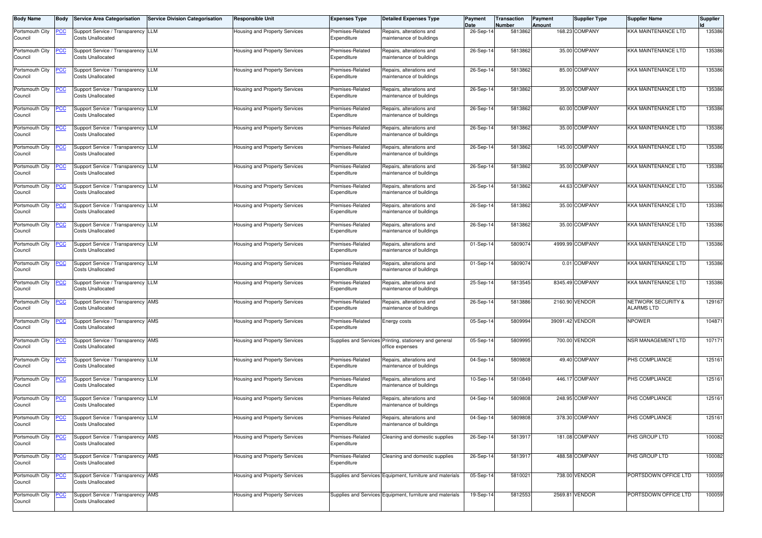| <b>Body Name</b>           | Body           | <b>Service Area Categorisation</b>                             | <b>Service Division Categorisation</b> | <b>Responsible Unit</b>              | <b>Expenses Type</b>            | <b>Detailed Expenses Type</b>                            | Payment<br>Date         | <b>Transaction</b><br>Number | Payment<br>Amount | <b>Supplier Type</b> | <b>Supplier Name</b>          | <b>Supplier</b> |
|----------------------------|----------------|----------------------------------------------------------------|----------------------------------------|--------------------------------------|---------------------------------|----------------------------------------------------------|-------------------------|------------------------------|-------------------|----------------------|-------------------------------|-----------------|
| Portsmouth City            | <u>PCC</u>     | Support Service / Transparency LLM                             |                                        | Housing and Property Services        | Premises-Related                | Repairs, alterations and                                 | 26-Sep-14               | 5813862                      |                   | 168.23 COMPANY       | KKA MAINTENANCE LTD           | 135386          |
| Council                    |                | <b>Costs Unallocated</b>                                       |                                        |                                      | Expenditure                     | maintenance of buildings                                 |                         |                              |                   |                      |                               |                 |
|                            |                |                                                                |                                        |                                      |                                 |                                                          |                         |                              |                   |                      |                               |                 |
| Portsmouth City<br>Council | <u>PCC</u>     | Support Service / Transparency LLM<br><b>Costs Unallocated</b> |                                        | Housing and Property Services        | Premises-Related<br>Expenditure | Repairs, alterations and<br>maintenance of buildings     | 26-Sep-14               | 5813862                      |                   | 35.00 COMPANY        | KKA MAINTENANCE LTD           | 135386          |
|                            |                |                                                                |                                        |                                      |                                 |                                                          |                         |                              |                   |                      |                               |                 |
| Portsmouth City            | <u>PCC</u>     | Support Service / Transparency LLM                             |                                        | Housing and Property Services        | Premises-Related                | Repairs, alterations and                                 | 26-Sep-14               | 5813862                      |                   | 85.00 COMPANY        | <b>KKA MAINTENANCE LTD</b>    | 135386          |
| Council                    |                | <b>Costs Unallocated</b>                                       |                                        |                                      | Expenditure                     | maintenance of buildings                                 |                         |                              |                   |                      |                               |                 |
| Portsmouth City            | <u>PCC</u>     | Support Service / Transparency LLM                             |                                        | Housing and Property Services        | Premises-Related                | Repairs, alterations and                                 | 26-Sep-14               | 5813862                      |                   | 35.00 COMPANY        | KKA MAINTENANCE LTD           | 135386          |
| Council                    |                | <b>Costs Unallocated</b>                                       |                                        |                                      | Expenditure                     | maintenance of buildings                                 |                         |                              |                   |                      |                               |                 |
|                            |                |                                                                |                                        |                                      |                                 |                                                          |                         |                              |                   |                      |                               |                 |
| Portsmouth City<br>Council | <u>PCC</u>     | Support Service / Transparency LLM<br><b>Costs Unallocated</b> |                                        | Housing and Property Services        | Premises-Related<br>Expenditure | Repairs, alterations and<br>maintenance of buildings     | 26-Sep-14               | 5813862                      |                   | 60.00 COMPANY        | KKA MAINTENANCE LTD           | 135386          |
|                            |                |                                                                |                                        |                                      |                                 |                                                          |                         |                              |                   |                      |                               |                 |
| Portsmouth City            | <u>PCC</u>     | Support Service / Transparency LLM                             |                                        | Housing and Property Services        | Premises-Related                | Repairs, alterations and                                 | 26-Sep-14               | 5813862                      |                   | 35.00 COMPANY        | KKA MAINTENANCE LTD           | 135386          |
| Council                    |                | <b>Costs Unallocated</b>                                       |                                        |                                      | Expenditure                     | maintenance of buildings                                 |                         |                              |                   |                      |                               |                 |
| Portsmouth City            | <u>PCC</u>     | Support Service / Transparency LLM                             |                                        | Housing and Property Services        | Premises-Related                | Repairs, alterations and                                 | 26-Sep-14               | 5813862                      |                   | 145.00 COMPANY       | <b>KKA MAINTENANCE LTD</b>    | 135386          |
| Council                    |                | <b>Costs Unallocated</b>                                       |                                        |                                      | Expenditure                     | maintenance of buildings                                 |                         |                              |                   |                      |                               |                 |
|                            |                |                                                                |                                        |                                      |                                 |                                                          |                         |                              |                   |                      |                               |                 |
| Portsmouth City            | <u>PCC</u>     | Support Service / Transparency LLM                             |                                        | Housing and Property Services        | Premises-Related                | Repairs, alterations and                                 | 26-Sep-14               | 5813862                      |                   | 35.00 COMPANY        | KKA MAINTENANCE LTD           | 135386          |
| Council                    |                | <b>Costs Unallocated</b>                                       |                                        |                                      | Expenditure                     | maintenance of buildings                                 |                         |                              |                   |                      |                               |                 |
| Portsmouth City            | <u>PCC</u>     | Support Service / Transparency LLM                             |                                        | Housing and Property Services        | Premises-Related                | Repairs, alterations and                                 | 26-Sep-14               | 5813862                      |                   | 44.63 COMPANY        | KKA MAINTENANCE LTD           | 135386          |
| Council                    |                | <b>Costs Unallocated</b>                                       |                                        |                                      | Expenditure                     | maintenance of buildings                                 |                         |                              |                   |                      |                               |                 |
| Portsmouth City            | <u>PCC</u>     | Support Service / Transparency LLM                             |                                        | Housing and Property Services        | Premises-Related                | Repairs, alterations and                                 | 26-Sep-14               | 5813862                      |                   | 35.00 COMPANY        | KKA MAINTENANCE LTD           | 135386          |
| Council                    |                | <b>Costs Unallocated</b>                                       |                                        |                                      | Expenditure                     | maintenance of buildings                                 |                         |                              |                   |                      |                               |                 |
|                            |                |                                                                |                                        |                                      |                                 |                                                          |                         |                              |                   |                      |                               |                 |
| Portsmouth City            | $\overline{C}$ | Support Service / Transparency LLM                             |                                        | Housing and Property Services        | Premises-Related                | Repairs, alterations and                                 | 26-Sep-14               | 5813862                      |                   | 35.00 COMPANY        | KKA MAINTENANCE LTD           | 135386          |
| Council                    |                | <b>Costs Unallocated</b>                                       |                                        |                                      | Expenditure                     | maintenance of buildings                                 |                         |                              |                   |                      |                               |                 |
| Portsmouth City            | <u>CC</u>      | Support Service / Transparency LLM                             |                                        | Housing and Property Services        | Premises-Related                | Repairs, alterations and                                 | $\overline{0}$ 1-Sep-14 | 5809074                      |                   | 4999.99 COMPANY      | KKA MAINTENANCE LTD           | 135386          |
| Council                    |                | <b>Costs Unallocated</b>                                       |                                        |                                      | Expenditure                     | maintenance of buildings                                 |                         |                              |                   |                      |                               |                 |
| Portsmouth City            | <u>PCC</u>     | Support Service / Transparency LLM                             |                                        | Housing and Property Services        | Premises-Related                | Repairs, alterations and                                 | 01-Sep-14               | 5809074                      |                   | 0.01 COMPANY         | KKA MAINTENANCE LTD           | 135386          |
| Council                    |                | <b>Costs Unallocated</b>                                       |                                        |                                      | Expenditure                     | maintenance of buildings                                 |                         |                              |                   |                      |                               |                 |
|                            |                |                                                                |                                        |                                      |                                 |                                                          |                         |                              |                   |                      |                               |                 |
| Portsmouth City            | <u>PCC</u>     | Support Service / Transparency LLM                             |                                        | <b>Housing and Property Services</b> | Premises-Related                | Repairs, alterations and                                 | 25-Sep-14               | 5813545                      |                   | 8345.49 COMPANY      | KKA MAINTENANCE LTD           | 135386          |
| Council                    |                | <b>Costs Unallocated</b>                                       |                                        |                                      | Expenditure                     | maintenance of buildings                                 |                         |                              |                   |                      |                               |                 |
| Portsmouth City            | <u>PCC</u>     | Support Service / Transparency AMS                             |                                        | Housing and Property Services        | Premises-Related                | Repairs, alterations and                                 | 26-Sep-14               | 5813886                      |                   | 2160.90 VENDOR       | <b>NETWORK SECURITY &amp;</b> | 129167          |
| Council                    |                | <b>Costs Unallocated</b>                                       |                                        |                                      | Expenditure                     | maintenance of buildings                                 |                         |                              |                   |                      | <b>ALARMS LTD</b>             |                 |
| Portsmouth City            | <b>PCC</b>     | Support Service / Transparency AMS                             |                                        | Housing and Property Services        | Premises-Related                | Energy costs                                             | 05-Sep-14               | 5809994                      |                   | 39091.42 VENDOR      | NPOWER                        | 104871          |
| Council                    |                | <b>Costs Unallocated</b>                                       |                                        |                                      | Expenditure                     |                                                          |                         |                              |                   |                      |                               |                 |
|                            |                |                                                                |                                        |                                      |                                 |                                                          |                         |                              |                   |                      |                               |                 |
| Portsmouth City<br>Council | <u>PCC</u>     | Support Service / Transparency AMS<br><b>Costs Unallocated</b> |                                        | Housing and Property Services        | Supplies and Services           | Printing, stationery and general<br>office expenses      | 05-Sep-14               | 5809995                      |                   | 700.00 VENDOR        | NSR MANAGEMENT LTD            | 107171          |
|                            |                |                                                                |                                        |                                      |                                 |                                                          |                         |                              |                   |                      |                               |                 |
| Portsmouth City            | <u>PCC</u>     | Support Service / Transparency LLM                             |                                        | Housing and Property Services        | Premises-Related                | Repairs, alterations and                                 | 04-Sep-14               | 5809808                      |                   | 49.40 COMPANY        | PHS COMPLIANCE                | 125161          |
| Council                    |                | <b>Costs Unallocated</b>                                       |                                        |                                      | Expenditure                     | maintenance of buildings                                 |                         |                              |                   |                      |                               |                 |
| Portsmouth City            | <u>PCC</u>     | Support Service / Transparency LLM                             |                                        | Housing and Property Services        | Premises-Related                | Repairs, alterations and                                 | 10-Sep-14               | 5810849                      |                   | 446.17 COMPANY       | PHS COMPLIANCE                | 125161          |
| Council                    |                | <b>Costs Unallocated</b>                                       |                                        |                                      | Expenditure                     | maintenance of buildings                                 |                         |                              |                   |                      |                               |                 |
|                            |                |                                                                |                                        |                                      |                                 |                                                          |                         |                              |                   |                      |                               |                 |
| Portsmouth City<br>Council | <b>PCC</b>     | Support Service / Transparency LLM<br><b>Costs Unallocated</b> |                                        | Housing and Property Services        | Premises-Related<br>Expenditure | Repairs, alterations and<br>maintenance of buildings     | 04-Sep-14               | 5809808                      |                   | 248.95 COMPANY       | PHS COMPLIANCE                | 125161          |
|                            |                |                                                                |                                        |                                      |                                 |                                                          |                         |                              |                   |                      |                               |                 |
| Portsmouth City            | <u>PCC</u>     | Support Service / Transparency LLM                             |                                        | Housing and Property Services        | Premises-Related                | Repairs, alterations and                                 | 04-Sep-14               | 5809808                      |                   | 378.30 COMPANY       | PHS COMPLIANCE                | 125161          |
| Council                    |                | <b>Costs Unallocated</b>                                       |                                        |                                      | Expenditure                     | maintenance of buildings                                 |                         |                              |                   |                      |                               |                 |
| Portsmouth City            | <u>PCC</u>     | Support Service / Transparency AMS                             |                                        | <b>Housing and Property Services</b> | Premises-Related                | Cleaning and domestic supplies                           | 26-Sep-14               | 5813917                      |                   | 181.08 COMPANY       | PHS GROUP LTD                 | 100082          |
| Council                    |                | <b>Costs Unallocated</b>                                       |                                        |                                      | Expenditure                     |                                                          |                         |                              |                   |                      |                               |                 |
| Portsmouth City            | <u>PCC</u>     | Support Service / Transparency AMS                             |                                        | Housing and Property Services        | Premises-Related                | Cleaning and domestic supplies                           | 26-Sep-14               | 5813917                      |                   | 488.58 COMPANY       | PHS GROUP LTD                 | 100082          |
| Council                    |                | <b>Costs Unallocated</b>                                       |                                        |                                      | Expenditure                     |                                                          |                         |                              |                   |                      |                               |                 |
|                            |                |                                                                |                                        |                                      |                                 |                                                          |                         |                              |                   |                      |                               |                 |
| Portsmouth City            | <b>PCC</b>     | Support Service / Transparency AMS<br><b>Costs Unallocated</b> |                                        | Housing and Property Services        |                                 | Supplies and Services Equipment, furniture and materials | 05-Sep-14               | 5810021                      |                   | 738.00 VENDOR        | PORTSDOWN OFFICE LTD          | 100059          |
| Council                    |                |                                                                |                                        |                                      |                                 |                                                          |                         |                              |                   |                      |                               |                 |
| Portsmouth City            | <u>PCC</u>     | Support Service / Transparency AMS                             |                                        | Housing and Property Services        |                                 | Supplies and Services Equipment, furniture and materials | 19-Sep-14               | 5812553                      |                   | 2569.81 VENDOR       | PORTSDOWN OFFICE LTD          | 100059          |
| Council                    |                | <b>Costs Unallocated</b>                                       |                                        |                                      |                                 |                                                          |                         |                              |                   |                      |                               |                 |
|                            |                |                                                                |                                        |                                      |                                 |                                                          |                         |                              |                   |                      |                               |                 |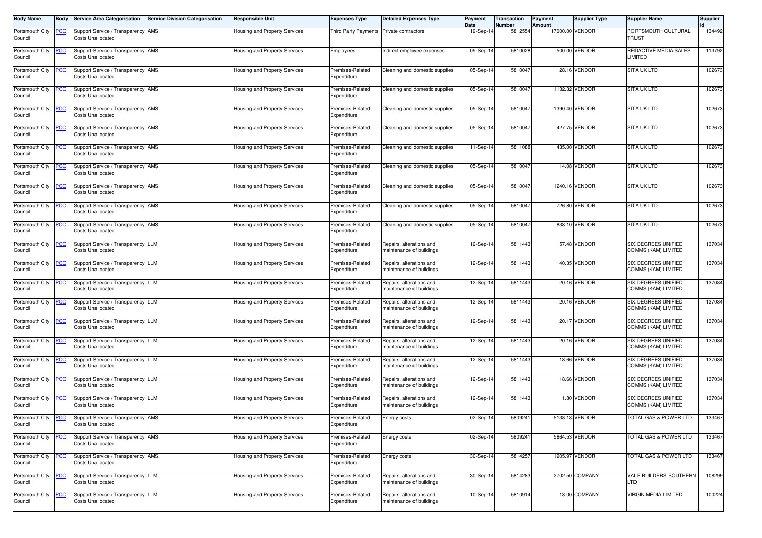| <b>Body Name</b>           | <b>Body</b> | <b>Service Area Categorisation</b>                             | <b>Service Division Categorisation</b> | <b>Responsible Unit</b>              | <b>Expenses Type</b>            | <b>Detailed Expenses Type</b>                        | Payment<br>Date | Transaction<br>Number | Payment<br>Amount | <b>Supplier Type</b> | <b>Supplier Name</b>                              | <b>Supplier</b> |
|----------------------------|-------------|----------------------------------------------------------------|----------------------------------------|--------------------------------------|---------------------------------|------------------------------------------------------|-----------------|-----------------------|-------------------|----------------------|---------------------------------------------------|-----------------|
| Portsmouth City<br>Council | <u>PCC</u>  | Support Service / Transparency AMS<br><b>Costs Unallocated</b> |                                        | Housing and Property Services        | <b>Third Party Payments</b>     | Private contractors                                  | 19-Sep-1        | 5812554               |                   | 17000.00 VENDOR      | PORTSMOUTH CULTURAL<br>TRUST                      | 134492          |
| Portsmouth City<br>Council | <u>PCC</u>  | Support Service / Transparency AMS<br><b>Costs Unallocated</b> |                                        | Housing and Property Services        | Employees                       | Indirect employee expenses                           | 05-Sep-1        | 5810028               |                   | 500.00 VENDOR        | REDACTIVE MEDIA SALES<br>LIMITED                  | 113792          |
| Portsmouth City<br>Council | <u>PCC</u>  | Support Service / Transparency AMS<br><b>Costs Unallocated</b> |                                        | Housing and Property Services        | Premises-Related<br>Expenditure | Cleaning and domestic supplies                       | 05-Sep-14       | 5810047               |                   | 28.16 VENDOR         | <b>SITA UK LTD</b>                                | 102673          |
| Portsmouth City<br>Council | <b>PCC</b>  | Support Service / Transparency AMS<br><b>Costs Unallocated</b> |                                        | Housing and Property Services        | Premises-Related<br>Expenditure | Cleaning and domestic supplies                       | 05-Sep-14       | 581004                |                   | 1132.32 VENDOR       | <b>SITA UK LTD</b>                                | 102673          |
| Portsmouth City<br>Council | <b>CC</b>   | Support Service / Transparency AMS<br><b>Costs Unallocated</b> |                                        | Housing and Property Services        | Premises-Related<br>Expenditure | Cleaning and domestic supplies                       | 05-Sep-14       | 5810047               | 1390.40           | <b>VENDOR</b>        | <b>SITA UK LTD</b>                                | 102673          |
| Portsmouth City<br>Council | <b>PCC</b>  | Support Service / Transparency AMS<br><b>Costs Unallocated</b> |                                        | Housing and Property Services        | Premises-Related<br>Expenditure | Cleaning and domestic supplies                       | 05-Sep-1        | 5810047               |                   | 427.75 VENDOR        | <b>SITA UK LTD</b>                                | 102673          |
| Portsmouth City<br>Council | <u>PCC</u>  | Support Service / Transparency AMS<br><b>Costs Unallocated</b> |                                        | Housing and Property Services        | Premises-Related<br>Expenditure | Cleaning and domestic supplies                       | 11-Sep-14       | 5811088               |                   | 435.00 VENDOR        | <b>SITA UK LTD</b>                                | 102673          |
| Portsmouth City<br>Council | <u>PCC</u>  | Support Service / Transparency AMS<br><b>Costs Unallocated</b> |                                        | <b>Housing and Property Services</b> | Premises-Related<br>Expenditure | Cleaning and domestic supplies                       | 05-Sep-14       | 581004                |                   | 14.08 VENDOR         | <b>SITA UK LTD</b>                                | 102673          |
| Portsmouth City<br>Council | <b>PCC</b>  | Support Service / Transparency AMS<br><b>Costs Unallocated</b> |                                        | Housing and Property Services        | Premises-Related<br>Expenditure | Cleaning and domestic supplies                       | 05-Sep-1        | 5810047               |                   | 1240.16 VENDOR       | <b>SITA UK LTD</b>                                | 102673          |
| Portsmouth City<br>Council | <u>PCC</u>  | Support Service / Transparency AMS<br><b>Costs Unallocated</b> |                                        | Housing and Property Services        | Premises-Related<br>Expenditure | Cleaning and domestic supplies                       | 05-Sep-1        | 581004                |                   | 726.80 VENDOR        | <b>SITA UK LTD</b>                                | 102673          |
| Portsmouth City<br>Council | <u>PCC</u>  | Support Service / Transparency AMS<br><b>Costs Unallocated</b> |                                        | Housing and Property Services        | Premises-Related<br>Expenditure | Cleaning and domestic supplies                       | 05-Sep-14       | 581004                |                   | 838.10 VENDOR        | <b>SITA UK LTD</b>                                | 102673          |
| Portsmouth City<br>Council | <u>PCC</u>  | Support Service / Transparency LLM<br><b>Costs Unallocated</b> |                                        | Housing and Property Services        | Premises-Related<br>Expenditure | Repairs, alterations and<br>maintenance of buildings | 12-Sep-14       | 5811443               |                   | 57.48 VENDOR         | SIX DEGREES UNIFIED<br><b>COMMS (KAM) LIMITED</b> | 137034          |
| Portsmouth City<br>Council | <b>CC</b>   | Support Service / Transparency LLM<br><b>Costs Unallocated</b> |                                        | Housing and Property Services        | Premises-Related<br>Expenditure | Repairs, alterations and<br>maintenance of buildings | 12-Sep-14       | 5811443               |                   | 40.35 VENDOR         | SIX DEGREES UNIFIED<br><b>COMMS (KAM) LIMITED</b> | 137034          |
| Portsmouth City<br>Council | <u>PCC</u>  | Support Service / Transparency LLM<br><b>Costs Unallocated</b> |                                        | Housing and Property Services        | Premises-Related<br>Expenditure | Repairs, alterations and<br>maintenance of buildings | 12-Sep-14       | 5811443               |                   | 20.16 VENDOR         | SIX DEGREES UNIFIED<br>COMMS (KAM) LIMITED        | 137034          |
| Portsmouth City<br>Council | <u>PCC</u>  | Support Service / Transparency LLM<br><b>Costs Unallocated</b> |                                        | <b>Housing and Property Services</b> | Premises-Related<br>Expenditure | Repairs, alterations and<br>maintenance of buildings | 12-Sep-1        | 5811443               |                   | 20.16 VENDOR         | <b>SIX DEGREES UNIFIED</b><br>COMMS (KAM) LIMITED | 137034          |
| Portsmouth City<br>Council | <u>PCC</u>  | Support Service / Transparency LLM<br><b>Costs Unallocated</b> |                                        | Housing and Property Services        | Premises-Related<br>Expenditure | Repairs, alterations and<br>maintenance of buildings | 12-Sep-14       | 5811443               |                   | 20.17 VENDOR         | SIX DEGREES UNIFIED<br>COMMS (KAM) LIMITED        | 137034          |
| Portsmouth City<br>Council | <u>PCC</u>  | Support Service / Transparency LLM<br><b>Costs Unallocated</b> |                                        | Housing and Property Services        | Premises-Related<br>Expenditure | Repairs, alterations and<br>maintenance of buildings | 12-Sep-1        | 5811443               |                   | 20.16 VENDOR         | <b>SIX DEGREES UNIFIED</b><br>COMMS (KAM) LIMITED | 137034          |
| Portsmouth City<br>Council | <b>PCC</b>  | Support Service / Transparency LLM<br><b>Costs Unallocated</b> |                                        | Housing and Property Services        | Premises-Related<br>Expenditure | Repairs, alterations and<br>maintenance of buildings | 12-Sep-1        | 5811443               |                   | 18.66 VENDOR         | SIX DEGREES UNIFIED<br>COMMS (KAM) LIMITED        | 137034          |
| Portsmouth City<br>Council | <u>PCC</u>  | Support Service / Transparency LLM<br><b>Costs Unallocated</b> |                                        | Housing and Property Services        | Premises-Related<br>Expenditure | Repairs, alterations and<br>maintenance of buildings | 12-Sep-14       | 5811443               |                   | 18.66 VENDOR         | SIX DEGREES UNIFIED<br>COMMS (KAM) LIMITED        | 137034          |
| Portsmouth City<br>Council | <u>PCC</u>  | Support Service / Transparency LLM<br><b>Costs Unallocated</b> |                                        | Housing and Property Services        | Premises-Related<br>Expenditure | Repairs, alterations and<br>maintenance of buildings | 12-Sep-14       | 5811443               |                   | 1.80 VENDOR          | SIX DEGREES UNIFIED<br>COMMS (KAM) LIMITED        | 137034          |
| Portsmouth City<br>Council | <u>PCC</u>  | Support Service / Transparency AMS<br><b>Costs Unallocated</b> |                                        | <b>Housing and Property Services</b> | Premises-Related<br>Expenditure | Energy costs                                         | 02-Sep-14       | 5809241               |                   | -5138.13 VENDOR      | TOTAL GAS & POWER LTD                             | 133467          |
| Portsmouth City<br>Council | <b>PCC</b>  | Support Service / Transparency AMS<br><b>Costs Unallocated</b> |                                        | Housing and Property Services        | Premises-Related<br>Expenditure | Energy costs                                         | 02-Sep-14       | 5809241               |                   | 5864.53 VENDOR       | <b>FOTAL GAS &amp; POWER LTD</b>                  | 133467          |
| Portsmouth City<br>Council | <u>PCC</u>  | Support Service / Transparency AMS<br><b>Costs Unallocated</b> |                                        | <b>Housing and Property Services</b> | Premises-Related<br>Expenditure | Energy costs                                         | 30-Sep-14       | 5814257               |                   | 1905.97 VENDOR       | <b>TOTAL GAS &amp; POWER LTD</b>                  | 133467          |
| Portsmouth City<br>Council | <u>PCC</u>  | Support Service / Transparency LLM<br><b>Costs Unallocated</b> |                                        | Housing and Property Services        | Premises-Related<br>Expenditure | Repairs, alterations and<br>maintenance of buildings | 30-Sep-14       | 5814283               |                   | 2702.50 COMPANY      | VALE BUILDERS SOUTHERN<br>LTD                     | 108299          |
| Portsmouth City<br>Council | <u>PCC</u>  | Support Service / Transparency LLM<br><b>Costs Unallocated</b> |                                        | Housing and Property Services        | Premises-Related<br>Expenditure | Repairs, alterations and<br>maintenance of buildings | 10-Sep-14       | 5810914               |                   | 13.00 COMPANY        | VIRGIN MEDIA LIMITED                              | 100224          |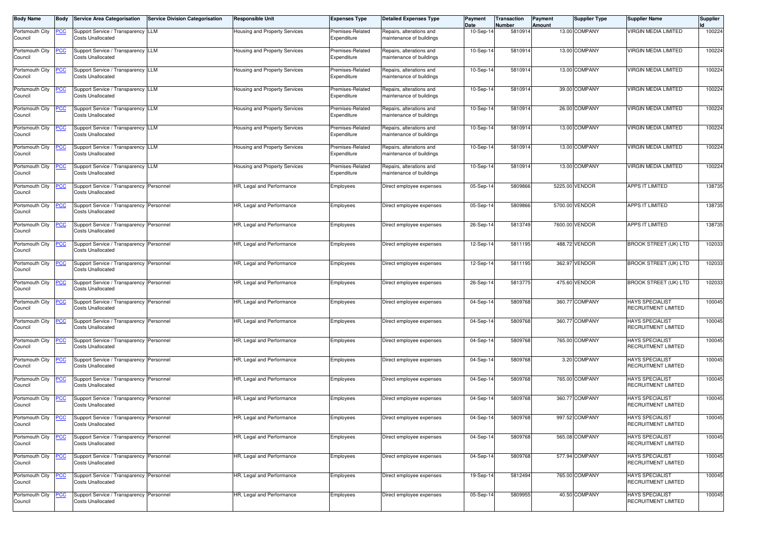| <b>Body Name</b>           | Body        | <b>Service Area Categorisation</b>                                   | <b>Service Division Categorisation</b> | <b>Responsible Unit</b>              | <b>Expenses Type</b>            | <b>Detailed Expenses Type</b>                        | Payment<br>Date | <b>Transaction</b><br>Number | Payment<br>Amount | <b>Supplier Type</b> | <b>Supplier Name</b>                                 | <b>Supplier</b> |
|----------------------------|-------------|----------------------------------------------------------------------|----------------------------------------|--------------------------------------|---------------------------------|------------------------------------------------------|-----------------|------------------------------|-------------------|----------------------|------------------------------------------------------|-----------------|
| Portsmouth City<br>Council | <u>PCC</u>  | Support Service / Transparency LLM<br><b>Costs Unallocated</b>       |                                        | Housing and Property Services        | Premises-Related<br>Expenditure | Repairs, alterations and<br>maintenance of buildings | 10-Sep-14       | 5810914                      |                   | 13.00 COMPANY        | VIRGIN MEDIA LIMITED                                 | 100224          |
| Portsmouth City<br>Council | <u>PCC</u>  | Support Service / Transparency LLM<br><b>Costs Unallocated</b>       |                                        | lousing and Property Services        | Premises-Related<br>Expenditure | Repairs, alterations and<br>maintenance of buildings | 10-Sep-14       | 5810914                      |                   | 13.00 COMPANY        | VIRGIN MEDIA LIMITED                                 | 100224          |
| Portsmouth City<br>Council | <u>PCC </u> | Support Service / Transparency LLM<br><b>Costs Unallocated</b>       |                                        | Housing and Property Services        | Premises-Related<br>Expenditure | Repairs, alterations and<br>maintenance of buildings | 10-Sep-14       | 5810914                      |                   | 13.00 COMPANY        | <b>VIRGIN MEDIA LIMITED</b>                          | 100224          |
| Portsmouth City<br>Council | <u>PCC</u>  | Support Service / Transparency LLM<br><b>Costs Unallocated</b>       |                                        | Housing and Property Services        | Premises-Related<br>Expenditure | Repairs, alterations and<br>maintenance of buildings | 10-Sep-14       | 5810914                      |                   | 39.00 COMPANY        | VIRGIN MEDIA LIMITED                                 | 100224          |
| Portsmouth City<br>Council | <u>PCC</u>  | Support Service / Transparency LLM<br><b>Costs Unallocated</b>       |                                        | <b>Housing and Property Services</b> | Premises-Related<br>Expenditure | Repairs, alterations and<br>maintenance of buildings | 10-Sep-14       | 5810914                      |                   | 26.00 COMPANY        | VIRGIN MEDIA LIMITED                                 | 100224          |
| Portsmouth City<br>Council | <u>PCC</u>  | Support Service / Transparency LLM<br><b>Costs Unallocated</b>       |                                        | Housing and Property Services        | Premises-Related<br>Expenditure | Repairs, alterations and<br>naintenance of buildings | $10-Sep-1$      | 5810914                      |                   | 13.00 COMPANY        | VIRGIN MEDIA LIMITED                                 | 100224          |
| Portsmouth City<br>Council | <u>PCC</u>  | Support Service / Transparency LLM<br><b>Costs Unallocated</b>       |                                        | Housing and Property Services        | Premises-Related<br>Expenditure | Repairs, alterations and<br>naintenance of buildings | 10-Sep-14       | 5810914                      |                   | 13.00 COMPANY        | <b>VIRGIN MEDIA LIMITED</b>                          | 100224          |
| Portsmouth City<br>Council | <u>PCC</u>  | Support Service / Transparency LLM<br><b>Costs Unallocated</b>       |                                        | Housing and Property Services        | Premises-Related<br>Expenditure | Repairs, alterations and<br>naintenance of buildings | $10-Sep-1$      | 5810914                      |                   | 13.00 COMPANY        | VIRGIN MEDIA LIMITED                                 | 100224          |
| Portsmouth City<br>Council | <u>PCC </u> | Support Service / Transparency Personnel<br><b>Costs Unallocated</b> |                                        | HR, Legal and Performance            | Employees                       | Direct employee expenses                             | 05-Sep-1        | 5809866                      |                   | 5225.00 VENDOR       | APPS IT LIMITED                                      | 138735          |
| Portsmouth City<br>Council | <u>PCC </u> | Support Service / Transparency Personnel<br><b>Costs Unallocated</b> |                                        | HR, Legal and Performance            | Employees                       | Direct employee expenses                             | 05-Sep-14       | 5809866                      |                   | 5700.00 VENDOR       | <b>APPS IT LIMITED</b>                               | 138735          |
| Portsmouth City<br>Council | <u>PCC</u>  | Support Service / Transparency Personnel<br><b>Costs Unallocated</b> |                                        | HR, Legal and Performance            | Employees                       | Direct employee expenses                             | 26-Sep-14       | 5813749                      |                   | 7600.00 VENDOR       | <b>APPS IT LIMITED</b>                               | 138735          |
| Portsmouth City<br>Council | <u>PCC</u>  | Support Service / Transparency Personnel<br><b>Costs Unallocated</b> |                                        | HR, Legal and Performance            | Employees                       | Direct employee expenses                             | 12-Sep-14       | 5811195                      |                   | 488.72 VENDOR        | <b>BROOK STREET (UK) LTD</b>                         | 102033          |
| Portsmouth City<br>Council | <u>PCC </u> | Support Service / Transparency Personnel<br><b>Costs Unallocated</b> |                                        | HR, Legal and Performance            | Employees                       | Direct employee expenses                             | 12-Sep-1        | 5811195                      |                   | 362.97 VENDOR        | <b>BROOK STREET (UK) LTD</b>                         | 102033          |
| Portsmouth City<br>Council |             | Support Service / Transparency Personnel<br><b>Costs Unallocated</b> |                                        | HR, Legal and Performance            | Employees                       | Direct employee expenses                             | 26-Sep-14       | 5813775                      |                   | 475.60 VENDOR        | <b>BROOK STREET (UK) LTD</b>                         | 102033          |
| Portsmouth City<br>Council | <u>PCC</u>  | Support Service / Transparency Personnel<br><b>Costs Unallocated</b> |                                        | HR, Legal and Performance            | Employees                       | Direct employee expenses                             | 04-Sep-14       | 5809768                      |                   | 360.77 COMPANY       | <b>HAYS SPECIALIST</b><br>RECRUITMENT LIMITED        | 100045          |
| Portsmouth City<br>Council | <u>PCC</u>  | Support Service / Transparency Personnel<br><b>Costs Unallocated</b> |                                        | HR, Legal and Performance            | Employees                       | Direct employee expenses                             | 04-Sep-1        | 5809768                      |                   | 360.77 COMPANY       | <b>HAYS SPECIALIST</b><br>RECRUITMENT LIMITED        | 100045          |
| Portsmouth City<br>Council | <u>PCC</u>  | Support Service / Transparency Personnel<br><b>Costs Unallocated</b> |                                        | HR, Legal and Performance            | Employees                       | Direct employee expenses                             | 04-Sep-14       | 5809768                      |                   | 765.00 COMPANY       | <b>HAYS SPECIALIST</b><br>RECRUITMENT LIMITED        | 100045          |
| Portsmouth City<br>Council | <u>PCC</u>  | Support Service / Transparency Personnel<br><b>Costs Unallocated</b> |                                        | HR, Legal and Performance            | Employees                       | Direct employee expenses                             | 04-Sep-14       | 5809768                      |                   | 3.20 COMPANY         | <b>HAYS SPECIALIST</b><br>RECRUITMENT LIMITED        | 100045          |
| Portsmouth City<br>Council | <u>PCC</u>  | Support Service / Transparency Personnel<br><b>Costs Unallocated</b> |                                        | HR, Legal and Performance            | Employees                       | Direct employee expenses                             | 04-Sep-14       | 5809768                      |                   | 765.00 COMPANY       | <b>HAYS SPECIALIST</b><br>RECRUITMENT LIMITED        | 100045          |
| Portsmouth City<br>Council | <b>PCC</b>  | Support Service / Transparency Personnel<br><b>Costs Unallocated</b> |                                        | IR, Legal and Performance            | Employees                       | Direct employee expenses                             | 04-Sep-14       | 5809768                      |                   | 360.77 COMPANY       | <b>HAYS SPECIALIST</b><br><b>RECRUITMENT LIMITED</b> | 100045          |
| Portsmouth City<br>Council | <b>PCC</b>  | Support Service / Transparency Personnel<br><b>Costs Unallocated</b> |                                        | HR, Legal and Performance            | Employees                       | Direct employee expenses                             | $04-Sep-14$     | 5809768                      |                   | 997.52 COMPANY       | <b>HAYS SPECIALIST</b><br>RECRUITMENT LIMITED        | 100045          |
| Portsmouth City<br>Council | <u>PCC</u>  | Support Service / Transparency Personnel<br><b>Costs Unallocated</b> |                                        | HR, Legal and Performance            | Employees                       | Direct employee expenses                             | 04-Sep-14       | 5809768                      |                   | 565.08 COMPANY       | <b>HAYS SPECIALIST</b><br>RECRUITMENT LIMITED        | 100045          |
| Portsmouth City<br>Council | <u>PCC</u>  | Support Service / Transparency Personnel<br><b>Costs Unallocated</b> |                                        | HR, Legal and Performance            | Employees                       | Direct employee expenses                             | 04-Sep-14       | 5809768                      |                   | 577.94 COMPANY       | <b>HAYS SPECIALIST</b><br>RECRUITMENT LIMITED        | 100045          |
| Portsmouth City<br>Council | <u>PCC</u>  | Support Service / Transparency Personnel<br><b>Costs Unallocated</b> |                                        | HR, Legal and Performance            | Employees                       | Direct employee expenses                             | 19-Sep-14       | 5812494                      |                   | 765.00 COMPANY       | <b>HAYS SPECIALIST</b><br>RECRUITMENT LIMITED        | 100045          |
| Portsmouth City<br>Council | <u>PCC</u>  | Support Service / Transparency Personnel<br><b>Costs Unallocated</b> |                                        | HR, Legal and Performance            | Employees                       | Direct employee expenses                             | 05-Sep-1        | 5809955                      |                   | 40.50 COMPANY        | <b>HAYS SPECIALIST</b><br><b>RECRUITMENT LIMITED</b> | 100045          |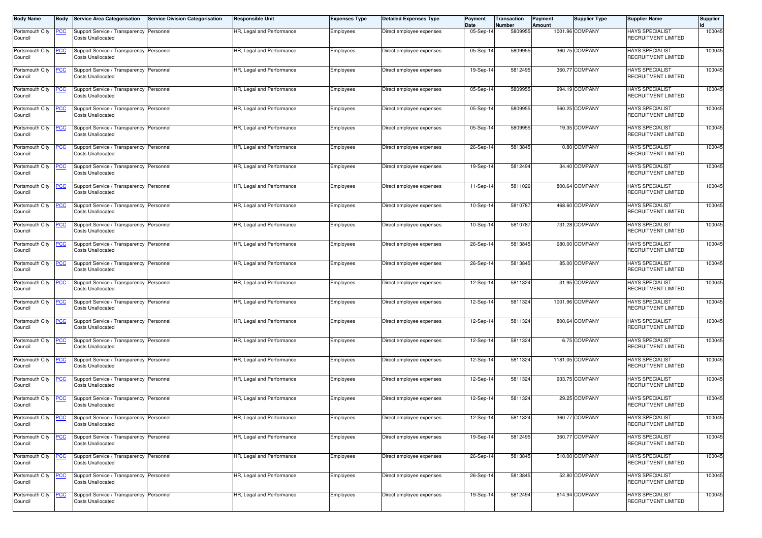| <b>Body Name</b>           | <b>Body</b> | <b>Service Area Categorisation</b>                                   | <b>Service Division Categorisation</b> | <b>Responsible Unit</b>   | <b>Expenses Type</b> | <b>Detailed Expenses Type</b> | Payment<br>Date | Transaction<br>Number | <b>Payment</b><br>Amount | <b>Supplier Type</b> | <b>Supplier Name</b>                                 | <b>Supplier</b> |
|----------------------------|-------------|----------------------------------------------------------------------|----------------------------------------|---------------------------|----------------------|-------------------------------|-----------------|-----------------------|--------------------------|----------------------|------------------------------------------------------|-----------------|
| Portsmouth City<br>Council | <u>PCC</u>  | Support Service / Transparency Personnel<br><b>Costs Unallocated</b> |                                        | HR, Legal and Performance | Employees            | Direct employee expenses      | $05-Sep-1$      | 5809955               |                          | 1001.96 COMPANY      | <b>HAYS SPECIALIST</b><br>RECRUITMENT LIMITED        | 100045          |
| Portsmouth City<br>Council | <u>PCC</u>  | Support Service / Transparency Personnel<br><b>Costs Unallocated</b> |                                        | HR, Legal and Performance | Employees            | Direct employee expenses      | 05-Sep-1        | 5809955               |                          | 360.75 COMPANY       | <b>HAYS SPECIALIST</b><br>RECRUITMENT LIMITED        | 100045          |
| Portsmouth City<br>Council | <u>PCC</u>  | Support Service / Transparency Personnel<br><b>Costs Unallocated</b> |                                        | HR, Legal and Performance | Employees            | Direct employee expenses      | 19-Sep-14       | 5812495               |                          | 360.77 COMPANY       | <b>HAYS SPECIALIST</b><br>RECRUITMENT LIMITED        | 100045          |
| Portsmouth City<br>Council | <b>PCC</b>  | Support Service / Transparency Personnel<br><b>Costs Unallocated</b> |                                        | HR, Legal and Performance | Employees            | Direct employee expenses      | 05-Sep-14       | 5809955               |                          | 994.19 COMPANY       | <b>HAYS SPECIALIST</b><br>RECRUITMENT LIMITED        | 100045          |
| Portsmouth City<br>Council | <u>PCC</u>  | Support Service / Transparency Personnel<br><b>Costs Unallocated</b> |                                        | HR, Legal and Performance | Employees            | Direct employee expenses      | 05-Sep-14       | 5809955               |                          | 560.25 COMPANY       | <b>HAYS SPECIALIST</b><br>RECRUITMENT LIMITED        | 100045          |
| Portsmouth City<br>Council | <b>PCC</b>  | Support Service / Transparency Personnel<br><b>Costs Unallocated</b> |                                        | HR, Legal and Performance | Employees            | Direct employee expenses      | 05-Sep-14       | 5809955               |                          | 19.35 COMPANY        | <b>HAYS SPECIALIST</b><br>RECRUITMENT LIMITED        | 100045          |
| Portsmouth City<br>Council | <u>PCC</u>  | Support Service / Transparency Personnel<br><b>Costs Unallocated</b> |                                        | HR, Legal and Performance | Employees            | Direct employee expenses      | 26-Sep-14       | 5813845               |                          | 0.80 COMPANY         | <b>HAYS SPECIALIST</b><br>RECRUITMENT LIMITED        | 100045          |
| Portsmouth City<br>Council | <u>PCC</u>  | Support Service / Transparency Personnel<br><b>Costs Unallocated</b> |                                        | HR, Legal and Performance | Employees            | Direct employee expenses      | 19-Sep-14       | 5812494               |                          | 34.40 COMPANY        | <b>HAYS SPECIALIST</b><br>RECRUITMENT LIMITED        | 100045          |
| Portsmouth City<br>Council | <b>PCC</b>  | Support Service / Transparency Personnel<br><b>Costs Unallocated</b> |                                        | HR, Legal and Performance | Employees            | Direct employee expenses      | 11-Sep-1        | 5811026               |                          | 800.64 COMPANY       | <b>HAYS SPECIALIST</b><br><b>RECRUITMENT LIMITED</b> | 100045          |
| Portsmouth City<br>Council | <u>PCC</u>  | Support Service / Transparency Personnel<br><b>Costs Unallocated</b> |                                        | HR, Legal and Performance | Employees            | Direct employee expenses      | 10-Sep-14       | 581078                |                          | 468.60 COMPANY       | <b>HAYS SPECIALIST</b><br><b>RECRUITMENT LIMITED</b> | 100045          |
| Portsmouth City<br>Council | <u>PCC</u>  | Support Service / Transparency Personnel<br><b>Costs Unallocated</b> |                                        | HR, Legal and Performance | Employees            | Direct employee expenses      | 10-Sep-14       | 581078                |                          | 731.28 COMPANY       | <b>HAYS SPECIALIST</b><br>RECRUITMENT LIMITED        | 100045          |
| Portsmouth City<br>Council | <u>PCC</u>  | Support Service / Transparency Personnel<br><b>Costs Unallocated</b> |                                        | HR, Legal and Performance | Employees            | Direct employee expenses      | 26-Sep-14       | 5813845               |                          | 680.00 COMPANY       | <b>HAYS SPECIALIST</b><br>RECRUITMENT LIMITED        | 100045          |
| Portsmouth City<br>Council | <b>PCC</b>  | Support Service / Transparency Personnel<br><b>Costs Unallocated</b> |                                        | HR, Legal and Performance | Employees            | Direct employee expenses      | 26-Sep-14       | 5813845               |                          | 85.00 COMPANY        | <b>HAYS SPECIALIST</b><br><b>RECRUITMENT LIMITED</b> | 100045          |
| Portsmouth City<br>Council | <u>CC </u>  | Support Service / Transparency Personnel<br><b>Costs Unallocated</b> |                                        | HR, Legal and Performance | Employees            | Direct employee expenses      | 12-Sep-14       | 5811324               |                          | 31.95 COMPANY        | <b>HAYS SPECIALIST</b><br>RECRUITMENT LIMITED        | 100045          |
| Portsmouth City<br>Council | <u>PCC</u>  | Support Service / Transparency Personnel<br><b>Costs Unallocated</b> |                                        | HR, Legal and Performance | Employees            | Direct employee expenses      | 12-Sep-1        | 5811324               |                          | 1001.96 COMPANY      | <b>HAYS SPECIALIST</b><br>RECRUITMENT LIMITED        | 100045          |
| Portsmouth City<br>Council | <u>PCC</u>  | Support Service / Transparency Personnel<br><b>Costs Unallocated</b> |                                        | HR, Legal and Performance | Employees            | Direct employee expenses      | 12-Sep-14       | 5811324               |                          | 800.64 COMPANY       | <b>HAYS SPECIALIST</b><br>RECRUITMENT LIMITED        | 100045          |
| Portsmouth City<br>Council | <u>PCC</u>  | Support Service / Transparency Personnel<br><b>Costs Unallocated</b> |                                        | HR, Legal and Performance | Employees            | Direct employee expenses      | 12-Sep-1        | 5811324               |                          | 6.75 COMPANY         | <b>HAYS SPECIALIST</b><br>RECRUITMENT LIMITED        | 100045          |
| Portsmouth City<br>Council | <u>PCC</u>  | Support Service / Transparency Personnel<br><b>Costs Unallocated</b> |                                        | HR, Legal and Performance | Employees            | Direct employee expenses      | 12-Sep-1        | 5811324               |                          | 1181.05 COMPANY      | <b>HAYS SPECIALIST</b><br>RECRUITMENT LIMITED        | 100045          |
| Portsmouth City<br>Council | <u>PCC</u>  | Support Service / Transparency Personnel<br><b>Costs Unallocated</b> |                                        | HR, Legal and Performance | Employees            | Direct employee expenses      | 12-Sep-14       | 5811324               |                          | 933.75 COMPANY       | <b>HAYS SPECIALIST</b><br>RECRUITMENT LIMITED        | 100045          |
| Portsmouth City<br>Council | <u>PCC</u>  | Support Service / Transparency Personnel<br><b>Costs Unallocated</b> |                                        | HR, Legal and Performance | Employees            | Direct employee expenses      | 12-Sep-14       | 5811324               |                          | 29.25 COMPANY        | <b>HAYS SPECIALIST</b><br>RECRUITMENT LIMITED        | 100045          |
| Portsmouth City<br>Council | <u>PCC</u>  | Support Service / Transparency Personnel<br><b>Costs Unallocated</b> |                                        | HR, Legal and Performance | Employees            | Direct employee expenses      | 12-Sep-14       | 5811324               |                          | 360.77 COMPANY       | <b>HAYS SPECIALIST</b><br>RECRUITMENT LIMITED        | 100045          |
| Portsmouth City<br>Council | <u>PCC</u>  | Support Service / Transparency Personnel<br><b>Costs Unallocated</b> |                                        | HR, Legal and Performance | Employees            | Direct employee expenses      | 19-Sep-14       | 5812495               |                          | 360.77 COMPANY       | <b>HAYS SPECIALIST</b><br>RECRUITMENT LIMITED        | 100045          |
| Portsmouth City<br>Council | <u>PCC</u>  | Support Service / Transparency Personnel<br><b>Costs Unallocated</b> |                                        | HR, Legal and Performance | Employees            | Direct employee expenses      | 26-Sep-14       | 5813845               |                          | 510.00 COMPANY       | <b>HAYS SPECIALIST</b><br>RECRUITMENT LIMITED        | 100045          |
| Portsmouth City<br>Council | <u>PCC</u>  | Support Service / Transparency Personnel<br><b>Costs Unallocated</b> |                                        | HR, Legal and Performance | Employees            | Direct employee expenses      | 26-Sep-14       | 5813845               |                          | 52.80 COMPANY        | <b>HAYS SPECIALIST</b><br>RECRUITMENT LIMITED        | 100045          |
| Portsmouth City<br>Council | <u>PCC</u>  | Support Service / Transparency Personnel<br><b>Costs Unallocated</b> |                                        | HR, Legal and Performance | Employees            | Direct employee expenses      | 19-Sep-14       | 5812494               |                          | 614.94 COMPANY       | <b>HAYS SPECIALIST</b><br>RECRUITMENT LIMITED        | 100045          |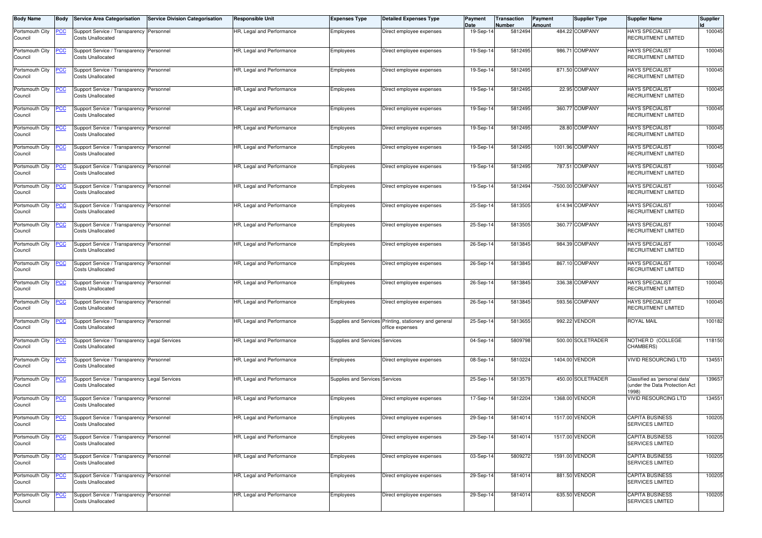| <b>Body Name</b>           |            | <b>Service Area Categorisation</b>                                        | <b>Service Division Categorisation</b> | <b>Responsible Unit</b>   | <b>Expenses Type</b>           | <b>Detailed Expenses Type</b>                                             | Payment<br>Date | Transaction<br>Number | <b>Payment</b><br>Amount | <b>Supplier Type</b> | <b>Supplier Name</b>                                                   | <b>Supplier</b> |
|----------------------------|------------|---------------------------------------------------------------------------|----------------------------------------|---------------------------|--------------------------------|---------------------------------------------------------------------------|-----------------|-----------------------|--------------------------|----------------------|------------------------------------------------------------------------|-----------------|
| Portsmouth City<br>Council | <u>PCC</u> | Support Service / Transparency Personnel<br><b>Costs Unallocated</b>      |                                        | HR, Legal and Performance | Employees                      | Direct employee expenses                                                  | 19-Sep-1        | 5812494               |                          | 484.22 COMPANY       | <b>HAYS SPECIALIST</b><br>RECRUITMENT LIMITED                          | 100045          |
| Portsmouth City<br>Council | <u>PCC</u> | Support Service / Transparency Personnel<br><b>Costs Unallocated</b>      |                                        | HR, Legal and Performance | Employees                      | Direct employee expenses                                                  | 19-Sep-1        | 5812495               |                          | 986.71 COMPANY       | <b>HAYS SPECIALIST</b><br>RECRUITMENT LIMITED                          | 100045          |
| Portsmouth City<br>Council | <u>PCC</u> | Support Service / Transparency Personnel<br><b>Costs Unallocated</b>      |                                        | HR, Legal and Performance | Employees                      | Direct employee expenses                                                  | 19-Sep-14       | 5812495               |                          | 871.50 COMPANY       | <b>HAYS SPECIALIST</b><br>RECRUITMENT LIMITED                          | 100045          |
| Portsmouth City<br>Council | <u>PCC</u> | Support Service / Transparency Personnel<br><b>Costs Unallocated</b>      |                                        | HR, Legal and Performance | Employees                      | Direct employee expenses                                                  | 19-Sep-1        | 5812495               |                          | 22.95 COMPANY        | <b>HAYS SPECIALIST</b><br>RECRUITMENT LIMITED                          | 100045          |
| Portsmouth City<br>Council | <u>PCC</u> | Support Service / Transparency Personnel<br><b>Costs Unallocated</b>      |                                        | HR, Legal and Performance | Employees                      | Direct employee expenses                                                  | 19-Sep-14       | 5812495               |                          | 360.77 COMPANY       | <b>HAYS SPECIALIST</b><br>RECRUITMENT LIMITED                          | 100045          |
| Portsmouth City<br>Council | <b>CC</b>  | Support Service / Transparency Personnel<br><b>Costs Unallocated</b>      |                                        | HR, Legal and Performance | Employees                      | Direct employee expenses                                                  | 19-Sep-14       | 5812495               |                          | 28.80 COMPANY        | <b>HAYS SPECIALIST</b><br>RECRUITMENT LIMITED                          | 100045          |
| Portsmouth City<br>Council | <u>PCC</u> | Support Service / Transparency Personnel<br><b>Costs Unallocated</b>      |                                        | HR, Legal and Performance | Employees                      | Direct employee expenses                                                  | 19-Sep-14       | 5812495               |                          | 1001.96 COMPANY      | <b>HAYS SPECIALIST</b><br>RECRUITMENT LIMITED                          | 100045          |
| Portsmouth City<br>Council | <u>PCC</u> | Support Service / Transparency Personnel<br><b>Costs Unallocated</b>      |                                        | HR, Legal and Performance | Employees                      | Direct employee expenses                                                  | 19-Sep-1        | 5812495               |                          | 787.51 COMPANY       | <b>HAYS SPECIALIST</b><br>RECRUITMENT LIMITED                          | 100045          |
| Portsmouth City<br>Council | <u>PCC</u> | Support Service / Transparency Personnel<br><b>Costs Unallocated</b>      |                                        | HR, Legal and Performance | Employees                      | Direct employee expenses                                                  | 19-Sep-14       | 5812494               |                          | -7500.00 COMPANY     | <b>HAYS SPECIALIST</b><br>RECRUITMENT LIMITED                          | 100045          |
| Portsmouth City<br>Council | <u>PCC</u> | Support Service / Transparency Personnel<br><b>Costs Unallocated</b>      |                                        | HR, Legal and Performance | Employees                      | Direct employee expenses                                                  | 25-Sep-1        | 5813505               |                          | 614.94 COMPANY       | <b>HAYS SPECIALIST</b><br>RECRUITMENT LIMITED                          | 100045          |
| Portsmouth City<br>Council | <b>PCC</b> | Support Service / Transparency Personnel<br><b>Costs Unallocated</b>      |                                        | HR, Legal and Performance | Employees                      | Direct employee expenses                                                  | 25-Sep-1        | 5813505               |                          | 360.77 COMPANY       | <b>HAYS SPECIALIST</b><br>RECRUITMENT LIMITED                          | 100045          |
| Portsmouth City<br>Council | <u>PCC</u> | Support Service / Transparency Personnel<br><b>Costs Unallocated</b>      |                                        | HR, Legal and Performance | Employees                      | Direct employee expenses                                                  | 26-Sep-14       | 5813845               |                          | 984.39 COMPANY       | <b>HAYS SPECIALIST</b><br>RECRUITMENT LIMITED                          | 100045          |
| Portsmouth City<br>Council | <b>PCC</b> | Support Service / Transparency Personnel<br><b>Costs Unallocated</b>      |                                        | HR, Legal and Performance | Employees                      | Direct employee expenses                                                  | 26-Sep-14       | 5813845               |                          | 867.10 COMPANY       | <b>HAYS SPECIALIST</b><br>RECRUITMENT LIMITED                          | 100045          |
| Portsmouth City<br>Council | <u>PCC</u> | Support Service / Transparency Personnel<br><b>Costs Unallocated</b>      |                                        | HR, Legal and Performance | Employees                      | Direct employee expenses                                                  | 26-Sep-14       | 5813845               |                          | 336.38 COMPANY       | <b>HAYS SPECIALIST</b><br>RECRUITMENT LIMITED                          | 100045          |
| Portsmouth City<br>Council | <b>PCC</b> | Support Service / Transparency Personnel<br><b>Costs Unallocated</b>      |                                        | HR, Legal and Performance | Employees                      | Direct employee expenses                                                  | 26-Sep-14       | 5813845               |                          | 593.56 COMPANY       | <b>HAYS SPECIALIST</b><br>RECRUITMENT LIMITED                          | 100045          |
| Portsmouth City<br>Council | <u>PCC</u> | Support Service / Transparency Personnel<br><b>Costs Unallocated</b>      |                                        | HR, Legal and Performance |                                | Supplies and Services Printing, stationery and general<br>office expenses | 25-Sep-14       | 5813655               |                          | 992.22 VENDOR        | ROYAL MAIL                                                             | 100182          |
| Portsmouth City<br>Council | <u>PCC</u> | Support Service / Transparency Legal Services<br><b>Costs Unallocated</b> |                                        | HR, Legal and Performance | Supplies and Services Services |                                                                           | 04-Sep-14       | 5809798               |                          | 500.00 SOLETRADER    | NOTHER D (COLLEGE<br>CHAMBERS)                                         | 118150          |
| Portsmouth City<br>Council | <u>PCC</u> | Support Service / Transparency Personnel<br><b>Costs Unallocated</b>      |                                        | HR, Legal and Performance | Employees                      | Direct employee expenses                                                  | 08-Sep-1        | 5810224               |                          | 1404.00 VENDOR       | VIVID RESOURCING LTD                                                   | 134551          |
| Portsmouth City<br>Council | <u>PCC</u> | Support Service / Transparency Legal Services<br><b>Costs Unallocated</b> |                                        | HR, Legal and Performance | Supplies and Services Services |                                                                           | 25-Sep-14       | 5813579               |                          | 450.00 SOLETRADER    | Classified as 'personal data'<br>(under the Data Protection Act<br>998 | 139657          |
| Portsmouth City<br>Council | <u>PCC</u> | Support Service / Transparency Personnel<br><b>Costs Unallocated</b>      |                                        | HR, Legal and Performance | Employees                      | Direct employee expenses                                                  | 17-Sep-14       | 5812204               |                          | 1368.00 VENDOR       | VIVID RESOURCING LTD                                                   | 134551          |
| Portsmouth City<br>Council | <u>PCC</u> | Support Service / Transparency Personnel<br><b>Costs Unallocated</b>      |                                        | HR, Legal and Performance | Employees                      | Direct employee expenses                                                  | 29-Sep-14       | 5814014               |                          | 1517.00 VENDOR       | <b>CAPITA BUSINESS</b><br>SERVICES LIMITED                             | 100205          |
| Portsmouth City<br>Council | <b>PCC</b> | Support Service / Transparency Personnel<br><b>Costs Unallocated</b>      |                                        | HR, Legal and Performance | Employees                      | Direct employee expenses                                                  | 29-Sep-14       | 5814014               |                          | 1517.00 VENDOR       | <b>CAPITA BUSINESS</b><br><b>SERVICES LIMITED</b>                      | 100205          |
| Portsmouth City<br>Council | <u>PCC</u> | Support Service / Transparency Personnel<br><b>Costs Unallocated</b>      |                                        | HR, Legal and Performance | Employees                      | Direct employee expenses                                                  | 03-Sep-14       | 5809272               |                          | 1591.00 VENDOR       | <b>CAPITA BUSINESS</b><br><b>SERVICES LIMITED</b>                      | 100205          |
| Portsmouth City<br>Council | <u>PCC</u> | Support Service / Transparency Personnel<br><b>Costs Unallocated</b>      |                                        | HR, Legal and Performance | Employees                      | Direct employee expenses                                                  | 29-Sep-14       | 5814014               |                          | 881.50 VENDOR        | <b>CAPITA BUSINESS</b><br><b>SERVICES LIMITED</b>                      | 100205          |
| Portsmouth City<br>Council | <u>PCC</u> | Support Service / Transparency Personnel<br><b>Costs Unallocated</b>      |                                        | HR, Legal and Performance | Employees                      | Direct employee expenses                                                  | 29-Sep-14       | 5814014               |                          | 635.50 VENDOR        | <b>CAPITA BUSINESS</b><br><b>SERVICES LIMITED</b>                      | 100205          |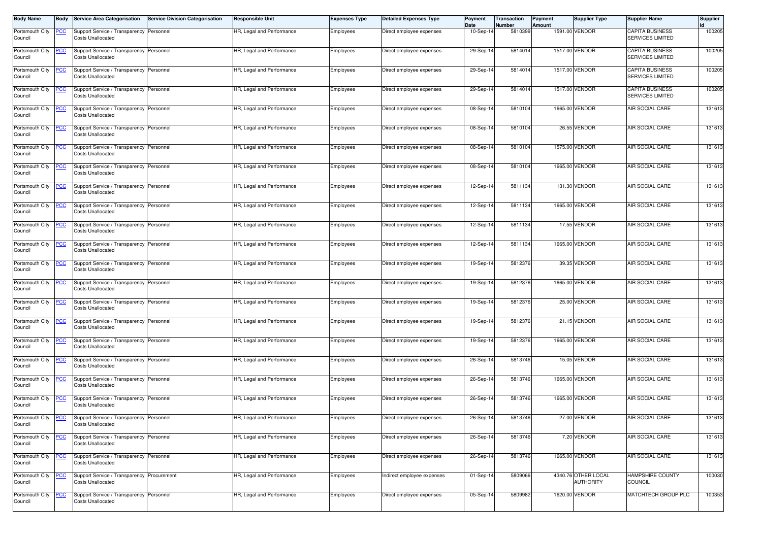| <b>Body Name</b>           | Body        | <b>Service Area Categorisation</b>                                     | <b>Service Division Categorisation</b> | Responsible Unit          | <b>Expenses Type</b> | <b>Detailed Expenses Type</b> | Payment<br>Date | Transaction<br><b>Number</b> | Payment<br>Amount | <b>Supplier Type</b>                    | <b>Supplier Name</b>                              | <b>Supplier</b> |
|----------------------------|-------------|------------------------------------------------------------------------|----------------------------------------|---------------------------|----------------------|-------------------------------|-----------------|------------------------------|-------------------|-----------------------------------------|---------------------------------------------------|-----------------|
| Portsmouth City<br>Council | <u>PCC</u>  | Support Service / Transparency Personnel<br><b>Costs Unallocated</b>   |                                        | HR, Legal and Performance | Employees            | Direct employee expenses      | 10-Sep-14       | 5810399                      |                   | 1591.00 VENDOR                          | <b>CAPITA BUSINESS</b><br>SERVICES LIMITED        | 100205          |
| Portsmouth City<br>Council |             | Support Service / Transparency Personnel<br><b>Costs Unallocated</b>   |                                        | HR, Legal and Performance | Employees            | Direct employee expenses      | 29-Sep-1        | 5814014                      |                   | 1517.00 VENDOR                          | <b>CAPITA BUSINESS</b><br><b>SERVICES LIMITED</b> | 100205          |
| Portsmouth City<br>Council |             | Support Service / Transparency Personnel<br><b>Costs Unallocated</b>   |                                        | HR, Legal and Performance | Employees            | Direct employee expenses      | 29-Sep-1        | 5814014                      |                   | 1517.00 VENDOR                          | <b>CAPITA BUSINESS</b><br><b>SERVICES LIMITED</b> | 100205          |
| Portsmouth City<br>Council | <u>PCC</u>  | Support Service / Transparency Personnel<br><b>Costs Unallocated</b>   |                                        | HR, Legal and Performance | Employees            | Direct employee expenses      | 29-Sep-1        | 5814014                      |                   | 1517.00 VENDOR                          | <b>CAPITA BUSINESS</b><br><b>SERVICES LIMITED</b> | 100205          |
| Portsmouth City<br>Council | <u>PCC </u> | Support Service / Transparency Personnel<br><b>Costs Unallocated</b>   |                                        | HR, Legal and Performance | Employees            | Direct employee expenses      | 08-Sep-14       | 5810104                      |                   | 1665.00 VENDOR                          | AIR SOCIAL CARE                                   | 131613          |
| Portsmouth City<br>Council | <u>PCC</u>  | Support Service / Transparency Personnel<br><b>Costs Unallocated</b>   |                                        | IR, Legal and Performance | Employees            | Direct employee expenses      | 08-Sep-14       | 5810104                      |                   | 26.55 VENDOR                            | AIR SOCIAL CARE                                   | 131613          |
| Portsmouth City<br>Council | <u>PCC</u>  | Support Service / Transparency Personnel<br><b>Costs Unallocated</b>   |                                        | HR, Legal and Performance | Employees            | Direct employee expenses      | 08-Sep-14       | 5810104                      |                   | 1575.00 VENDOR                          | AIR SOCIAL CARE                                   | 131613          |
| Portsmouth City<br>Council | <u>PCC</u>  | Support Service / Transparency Personnel<br>Costs Unallocated          |                                        | HR, Legal and Performance | Employees            | Direct employee expenses      | 08-Sep-14       | 5810104                      |                   | 1665.00 VENDOR                          | <b>AIR SOCIAL CARE</b>                            | 131613          |
| Portsmouth City<br>Council | <u>PCC</u>  | Support Service / Transparency Personnel<br><b>Costs Unallocated</b>   |                                        | HR, Legal and Performance | Employees            | Direct employee expenses      | 12-Sep-14       | 5811134                      |                   | 131.30 VENDOR                           | AIR SOCIAL CARE                                   | 131613          |
| Portsmouth City<br>Council | <u>PCC</u>  | Support Service / Transparency Personnel<br><b>Costs Unallocated</b>   |                                        | HR, Legal and Performance | Employees            | Direct employee expenses      | 12-Sep-14       | 5811134                      |                   | 1665.00 VENDOR                          | AIR SOCIAL CARE                                   | 131613          |
| Portsmouth City<br>Council |             | Support Service / Transparency Personnel<br><b>Costs Unallocated</b>   |                                        | HR, Legal and Performance | Employees            | Direct employee expenses      | 12-Sep-1        | 5811134                      |                   | 17.55 VENDOR                            | AIR SOCIAL CARE                                   | 131613          |
| Portsmouth City<br>Council | <u>PCC </u> | Support Service / Transparency Personnel<br><b>Costs Unallocated</b>   |                                        | HR, Legal and Performance | Employees            | Direct employee expenses      | 12-Sep-14       | 5811134                      |                   | 1665.00 VENDOR                          | AIR SOCIAL CARE                                   | 131613          |
| Portsmouth City<br>Council | <u>PCC </u> | Support Service / Transparency Personnel<br><b>Costs Unallocated</b>   |                                        | HR, Legal and Performance | Employees            | Direct employee expenses      | 19-Sep-14       | 5812376                      |                   | 39.35 VENDOR                            | AIR SOCIAL CARE                                   | 131613          |
| Portsmouth City<br>Council | <u>PCC</u>  | Support Service / Transparency Personnel<br><b>Costs Unallocated</b>   |                                        | HR, Legal and Performance | Employees            | Direct employee expenses      | 19-Sep-14       | 5812376                      |                   | 1665.00 VENDOR                          | AIR SOCIAL CARE                                   | 131613          |
| Portsmouth City<br>Council | <u>PCC</u>  | Support Service / Transparency Personnel<br><b>Costs Unallocated</b>   |                                        | HR, Legal and Performance | Employees            | Direct employee expenses      | 19-Sep-1        | 5812376                      |                   | 25.00 VENDOR                            | AIR SOCIAL CARE                                   | 131613          |
| Portsmouth City<br>Council |             | Support Service / Transparency Personnel<br><b>Costs Unallocated</b>   |                                        | HR, Legal and Performance | Employees            | Direct employee expenses      | 19-Sep-14       | 5812376                      |                   | 21.15 VENDOR                            | AIR SOCIAL CARE                                   | 131613          |
| Portsmouth City<br>Council | <u>PCC</u>  | Support Service / Transparency Personnel<br>Costs Unallocated          |                                        | HR, Legal and Performance | Employees            | Direct employee expenses      | 19-Sep-14       | 5812376                      |                   | 1665.00 VENDOR                          | <b>AIR SOCIAL CARE</b>                            | 131613          |
| Portsmouth City<br>Council | <u>PCC</u>  | Support Service / Transparency Personnel<br><b>Costs Unallocated</b>   |                                        | HR, Legal and Performance | Employees            | Direct employee expenses      | 26-Sep-14       | 5813746                      |                   | 15.05 VENDOR                            | AIR SOCIAL CARE                                   | 131613          |
| Portsmouth City<br>Council | <u>PCC</u>  | Support Service / Transparency Personnel<br><b>Costs Unallocated</b>   |                                        | HR, Legal and Performance | Employees            | Direct employee expenses      | 26-Sep-14       | 5813746                      |                   | 1665.00 VENDOR                          | <b>AIR SOCIAL CARE</b>                            | 131613          |
| Portsmouth City<br>Council | <u>PCC</u>  | Support Service / Transparency Personnel<br><b>Costs Unallocated</b>   |                                        | HR, Legal and Performance | Employees            | Direct employee expenses      | 26-Sep-14       | 5813746                      |                   | 1665.00 VENDOR                          | AIR SOCIAL CARE                                   | 131613          |
| Portsmouth City<br>Council | <u>PCC</u>  | Support Service / Transparency Personnel<br><b>Costs Unallocated</b>   |                                        | HR, Legal and Performance | Employees            | Direct employee expenses      | 26-Sep-14       | 5813746                      |                   | 27.00 VENDOR                            | AIR SOCIAL CARE                                   | 131613          |
| Portsmouth City<br>Council | <u>PCC</u>  | Support Service / Transparency Personnel<br><b>Costs Unallocated</b>   |                                        | HR, Legal and Performance | Employees            | Direct employee expenses      | 26-Sep-14       | 5813746                      |                   | 7.20 VENDOR                             | AIR SOCIAL CARE                                   | 131613          |
| Portsmouth City<br>Council | <u>PCC</u>  | Support Service / Transparency Personnel<br><b>Costs Unallocated</b>   |                                        | HR, Legal and Performance | Employees            | Direct employee expenses      | 26-Sep-14       | 5813746                      |                   | 1665.00 VENDOR                          | AIR SOCIAL CARE                                   | 131613          |
| Portsmouth City<br>Council | <u>PCC</u>  | Support Service / Transparency Procurement<br><b>Costs Unallocated</b> |                                        | HR, Legal and Performance | Employees            | Indirect employee expenses    | 01-Sep-14       | 5809066                      |                   | 4340.76 OTHER LOCAL<br><b>AUTHORITY</b> | <b>HAMPSHIRE COUNTY</b><br><b>COUNCIL</b>         | 100030          |
| Portsmouth City<br>Council | <u>PCC</u>  | Support Service / Transparency Personnel<br><b>Costs Unallocated</b>   |                                        | HR, Legal and Performance | Employees            | Direct employee expenses      | 05-Sep-14       | 5809982                      |                   | 1620.00 VENDOR                          | MATCHTECH GROUP PLC                               | 100353          |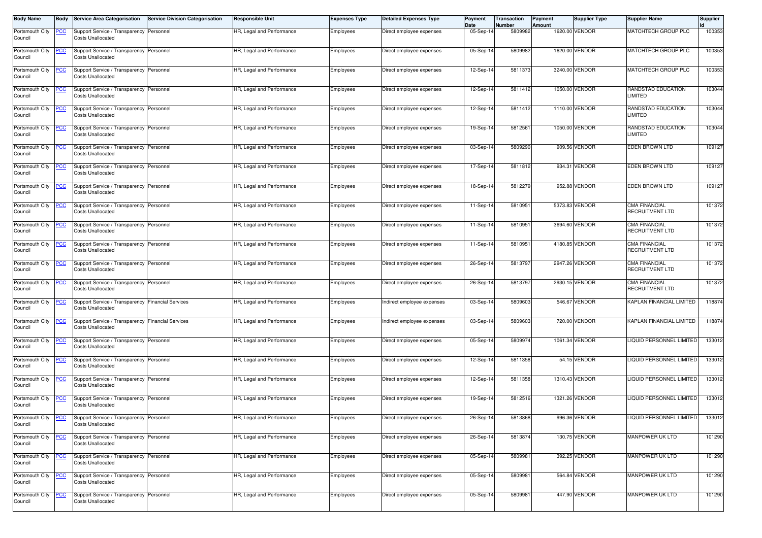| <b>Body Name</b>           | Body        | <b>Service Area Categorisation</b>                                            | <b>Service Division Categorisation</b> | <b>Responsible Unit</b>   | <b>Expenses Type</b> | <b>Detailed Expenses Type</b> | Payment<br>Date | Transaction<br>Number | Payment<br>Amount | <b>Supplier Type</b> | <b>Supplier Name</b>                           | <b>Supplier</b> |
|----------------------------|-------------|-------------------------------------------------------------------------------|----------------------------------------|---------------------------|----------------------|-------------------------------|-----------------|-----------------------|-------------------|----------------------|------------------------------------------------|-----------------|
| Portsmouth City<br>Council | <u>PCC</u>  | Support Service / Transparency Personnel<br><b>Costs Unallocated</b>          |                                        | HR, Legal and Performance | Employees            | Direct employee expenses      | 05-Sep-14       | 5809982               |                   | 1620.00 VENDOR       | MATCHTECH GROUP PLC                            | 100353          |
| Portsmouth City<br>Council | <u>PCC</u>  | Support Service / Transparency Personnel<br><b>Costs Unallocated</b>          |                                        | HR, Legal and Performance | Employees            | Direct employee expenses      | 05-Sep-14       | 5809982               |                   | 1620.00 VENDOR       | MATCHTECH GROUP PLC                            | 100353          |
| Portsmouth City<br>Council | <u>PCC</u>  | Support Service / Transparency Personnel<br><b>Costs Unallocated</b>          |                                        | HR, Legal and Performance | Employees            | Direct employee expenses      | 12-Sep-14       | 5811373               |                   | 3240.00 VENDOR       | MATCHTECH GROUP PLC                            | 100353          |
| Portsmouth City<br>Council | <u>PCC</u>  | Support Service / Transparency Personnel<br><b>Costs Unallocated</b>          |                                        | HR, Legal and Performance | Employees            | Direct employee expenses      | 12-Sep-14       | 5811412               |                   | 1050.00 VENDOR       | RANDSTAD EDUCATION<br>LIMITED                  | 103044          |
| Portsmouth City<br>Council | <u>PCC</u>  | Support Service / Transparency Personnel<br><b>Costs Unallocated</b>          |                                        | HR, Legal and Performance | Employees            | Direct employee expenses      | 12-Sep-14       | 5811412               |                   | 1110.00 VENDOR       | RANDSTAD EDUCATION<br><b>LIMITED</b>           | 103044          |
| Portsmouth City<br>Council | <b>CC</b>   | Support Service / Transparency Personnel<br><b>Costs Unallocated</b>          |                                        | HR, Legal and Performance | Employees            | Direct employee expenses      | 19-Sep-14       | 5812561               |                   | 1050.00 VENDOR       | RANDSTAD EDUCATION<br>LIMITED                  | 103044          |
| Portsmouth City<br>Council | <u>PCC</u>  | Support Service / Transparency Personnel<br><b>Costs Unallocated</b>          |                                        | HR, Legal and Performance | Employees            | Direct employee expenses      | 03-Sep-14       | 5809290               |                   | 909.56 VENDOR        | <b>EDEN BROWN LTD</b>                          | 109127          |
| Portsmouth City<br>Council | <u>PCC</u>  | Support Service / Transparency Personnel<br><b>Costs Unallocated</b>          |                                        | HR, Legal and Performance | Employees            | Direct employee expenses      | 17-Sep-14       | 5811812               |                   | 934.31 VENDOR        | <b>EDEN BROWN LTD</b>                          | 109127          |
| Portsmouth City<br>Council | <u>PCC</u>  | Support Service / Transparency Personnel<br><b>Costs Unallocated</b>          |                                        | HR, Legal and Performance | Employees            | Direct employee expenses      | 18-Sep-14       | 5812279               |                   | 952.88 VENDOR        | <b>EDEN BROWN LTD</b>                          | 109127          |
| Portsmouth City<br>Council | <u>PCC</u>  | Support Service / Transparency Personnel<br><b>Costs Unallocated</b>          |                                        | HR, Legal and Performance | Employees            | Direct employee expenses      | 11-Sep-1        | 5810951               |                   | 5373.83 VENDOR       | <b>CMA FINANCIAL</b><br>RECRUITMENT LTD        | 101372          |
| Portsmouth City<br>Council | <u>PCC</u>  | Support Service / Transparency Personnel<br><b>Costs Unallocated</b>          |                                        | HR, Legal and Performance | Employees            | Direct employee expenses      | 11-Sep-1        | 5810951               |                   | 3694.60 VENDOR       | <b>CMA FINANCIAL</b><br>RECRUITMENT LTD        | 101372          |
| Portsmouth City<br>Council | <u>PCC</u>  | Support Service / Transparency Personnel<br><b>Costs Unallocated</b>          |                                        | HR, Legal and Performance | Employees            | Direct employee expenses      | 11-Sep-14       | 5810951               |                   | 4180.85 VENDOR       | <b>CMA FINANCIAL</b><br>RECRUITMENT LTD        | 101372          |
| Portsmouth City<br>Council | <b>PCC</b>  | Support Service / Transparency Personnel<br><b>Costs Unallocated</b>          |                                        | HR, Legal and Performance | Employees            | Direct employee expenses      | 26-Sep-14       | 5813797               |                   | 2947.26 VENDOR       | <b>CMA FINANCIAL</b><br><b>RECRUITMENT LTD</b> | 101372          |
| Portsmouth City<br>Council | <u>PCC</u>  | Support Service / Transparency Personnel<br><b>Costs Unallocated</b>          |                                        | HR, Legal and Performance | Employees            | Direct employee expenses      | 26-Sep-14       | 5813797               |                   | 2930.15 VENDOR       | <b>CMA FINANCIAL</b><br><b>RECRUITMENT LTD</b> | 101372          |
| Portsmouth City<br>Council | <b>PCC</b>  | Support Service / Transparency Financial Services<br><b>Costs Unallocated</b> |                                        | HR, Legal and Performance | Employees            | Indirect employee expenses    | 03-Sep-14       | 5809603               |                   | 546.67 VENDOR        | KAPLAN FINANCIAL LIMITED                       | 118874          |
| Portsmouth City<br>Council | <u>PCC </u> | Support Service / Transparency Financial Services<br><b>Costs Unallocated</b> |                                        | HR, Legal and Performance | Employees            | Indirect employee expenses    | 03-Sep-14       | 5809603               |                   | 720.00 VENDOR        | KAPLAN FINANCIAL LIMITED                       | 118874          |
| Portsmouth City<br>Council | <u>PCC</u>  | Support Service / Transparency Personnel<br><b>Costs Unallocated</b>          |                                        | HR, Legal and Performance | Employees            | Direct employee expenses      | 05-Sep-14       | 5809974               |                   | 1061.34 VENDOR       | LIQUID PERSONNEL LIMITED                       | 133012          |
| Portsmouth City<br>Council | <u>PCC</u>  | Support Service / Transparency Personnel<br><b>Costs Unallocated</b>          |                                        | HR, Legal and Performance | Employees            | Direct employee expenses      | 12-Sep-14       | 5811358               |                   | 54.15 VENDOR         | LIQUID PERSONNEL LIMITED                       | 133012          |
| Portsmouth City<br>Council | <u>PCC</u>  | Support Service / Transparency Personnel<br><b>Costs Unallocated</b>          |                                        | HR, Legal and Performance | Employees            | Direct employee expenses      | 12-Sep-14       | 5811358               |                   | 1310.43 VENDOR       | LIQUID PERSONNEL LIMITED                       | 133012          |
| Portsmouth City<br>Council | <u>PCC</u>  | Support Service / Transparency Personnel<br><b>Costs Unallocated</b>          |                                        | HR, Legal and Performance | Employees            | Direct employee expenses      | 19-Sep-14       | 5812516               |                   | 1321.26 VENDOR       | LIQUID PERSONNEL LIMITED                       | 133012          |
| Portsmouth City<br>Council | <u>PCC</u>  | Support Service / Transparency Personnel<br><b>Costs Unallocated</b>          |                                        | HR, Legal and Performance | Employees            | Direct employee expenses      | 26-Sep-14       | 5813868               |                   | 996.36 VENDOR        | LIQUID PERSONNEL LIMITED                       | 133012          |
| Portsmouth City<br>Council | <b>PCC</b>  | Support Service / Transparency Personnel<br><b>Costs Unallocated</b>          |                                        | HR, Legal and Performance | Employees            | Direct employee expenses      | 26-Sep-14       | 5813874               |                   | 130.75 VENDOR        | MANPOWER UK LTD                                | 101290          |
| Portsmouth City<br>Council | <u>PCC</u>  | Support Service / Transparency Personnel<br><b>Costs Unallocated</b>          |                                        | HR, Legal and Performance | Employees            | Direct employee expenses      | 05-Sep-14       | 5809981               |                   | 392.25 VENDOR        | MANPOWER UK LTD                                | 101290          |
| Portsmouth City<br>Council | <u>PCC</u>  | Support Service / Transparency Personnel<br><b>Costs Unallocated</b>          |                                        | HR, Legal and Performance | Employees            | Direct employee expenses      | 05-Sep-14       | 5809981               |                   | 564.84 VENDOR        | MANPOWER UK LTD                                | 101290          |
| Portsmouth City<br>Council | <u>PCC</u>  | Support Service / Transparency Personnel<br><b>Costs Unallocated</b>          |                                        | HR, Legal and Performance | Employees            | Direct employee expenses      | 05-Sep-14       | 5809981               |                   | 447.90 VENDOR        | MANPOWER UK LTD                                | 101290          |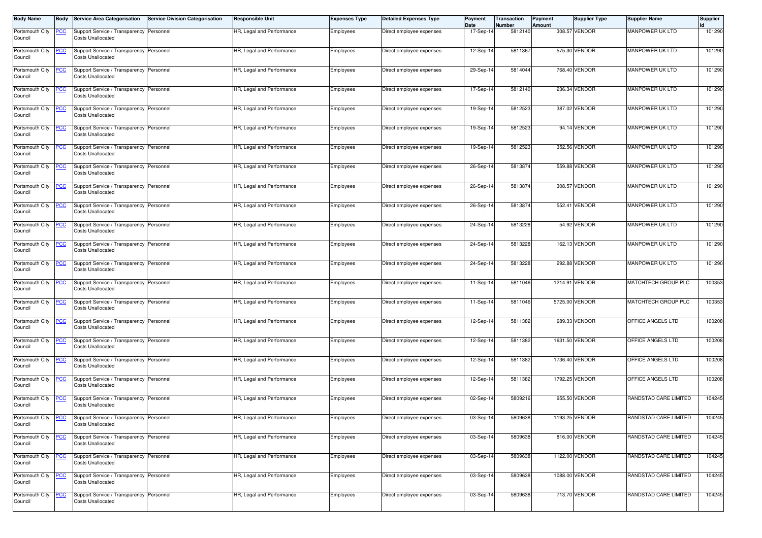| <b>Body Name</b>           | Body       | <b>Service Area Categorisation</b>                                   | <b>Service Division Categorisation</b> | <b>Responsible Unit</b>   | <b>Expenses Type</b> | <b>Detailed Expenses Type</b> | Payment<br>Date | Transaction<br>Number | <b>Payment</b><br>Amount | <b>Supplier Type</b> | <b>Supplier Name</b>   | <b>Supplier</b> |
|----------------------------|------------|----------------------------------------------------------------------|----------------------------------------|---------------------------|----------------------|-------------------------------|-----------------|-----------------------|--------------------------|----------------------|------------------------|-----------------|
| Portsmouth City<br>Council | <u>PCC</u> | Support Service / Transparency Personnel<br><b>Costs Unallocated</b> |                                        | HR, Legal and Performance | Employees            | Direct employee expenses      | 17-Sep-14       | 5812140               |                          | 308.57 VENDOR        | MANPOWER UK LTD        | 101290          |
| Portsmouth City<br>Council | <u>PCC</u> | Support Service / Transparency Personnel<br><b>Costs Unallocated</b> |                                        | HR, Legal and Performance | Employees            | Direct employee expenses      | 12-Sep-14       | 5811367               |                          | 575.30 VENDOR        | <b>MANPOWER UK LTD</b> | 101290          |
| Portsmouth City<br>Council | <u>PCC</u> | Support Service / Transparency Personnel<br><b>Costs Unallocated</b> |                                        | HR, Legal and Performance | Employees            | Direct employee expenses      | 29-Sep-14       | 5814044               |                          | 768.40 VENDOR        | MANPOWER UK LTD        | 101290          |
| Portsmouth City<br>Council | <b>PCC</b> | Support Service / Transparency Personnel<br><b>Costs Unallocated</b> |                                        | HR, Legal and Performance | Employees            | Direct employee expenses      | 17-Sep-14       | 5812140               |                          | 236.34 VENDOR        | MANPOWER UK LTD        | 101290          |
| Portsmouth City<br>Council | <b>CC</b>  | Support Service / Transparency Personnel<br><b>Costs Unallocated</b> |                                        | HR, Legal and Performance | Employees            | Direct employee expenses      | 19-Sep-14       | 5812523               |                          | 387.02 VENDOR        | MANPOWER UK LTD        | 101290          |
| Portsmouth City<br>Council | <b>PCC</b> | Support Service / Transparency Personnel<br><b>Costs Unallocated</b> |                                        | HR, Legal and Performance | Employees            | Direct employee expenses      | 19-Sep-14       | 5812523               |                          | 94.14 VENDOR         | MANPOWER UK LTD        | 101290          |
| Portsmouth City<br>Council |            | Support Service / Transparency Personnel<br><b>Costs Unallocated</b> |                                        | HR, Legal and Performance | Employees            | Direct employee expenses      | 19-Sep-14       | 5812523               |                          | 352.56 VENDOR        | MANPOWER UK LTD        | 101290          |
| Portsmouth City<br>Council | <u>PCC</u> | Support Service / Transparency Personnel<br><b>Costs Unallocated</b> |                                        | HR, Legal and Performance | Employees            | Direct employee expenses      | 26-Sep-14       | 5813874               |                          | 559.88 VENDOR        | <b>MANPOWER UK LTD</b> | 101290          |
| Portsmouth City<br>Council | <b>PCC</b> | Support Service / Transparency Personnel<br><b>Costs Unallocated</b> |                                        | HR, Legal and Performance | Employees            | Direct employee expenses      | 26-Sep-14       | 5813874               |                          | 308.57 VENDOR        | MANPOWER UK LTD        | 101290          |
| Portsmouth City<br>Council | <u>PCC</u> | Support Service / Transparency Personnel<br><b>Costs Unallocated</b> |                                        | HR, Legal and Performance | Employees            | Direct employee expenses      | 26-Sep-14       | 5813874               |                          | 552.41 VENDOR        | MANPOWER UK LTD        | 101290          |
| Portsmouth City<br>Council | <u>PCC</u> | Support Service / Transparency Personnel<br><b>Costs Unallocated</b> |                                        | HR, Legal and Performance | Employees            | Direct employee expenses      | 24-Sep-14       | 5813228               |                          | 54.92 VENDOR         | MANPOWER UK LTD        | 101290          |
| Portsmouth City<br>Council | <u>PCC</u> | Support Service / Transparency Personnel<br><b>Costs Unallocated</b> |                                        | HR, Legal and Performance | Employees            | Direct employee expenses      | 24-Sep-14       | 5813228               |                          | 162.13 VENDOR        | MANPOWER UK LTD        | 101290          |
| Portsmouth City<br>Council | <b>PCC</b> | Support Service / Transparency Personnel<br><b>Costs Unallocated</b> |                                        | HR, Legal and Performance | Employees            | Direct employee expenses      | 24-Sep-14       | 5813228               |                          | 292.88 VENDOR        | MANPOWER UK LTD        | 101290          |
| Portsmouth City<br>Council | <u>CC </u> | Support Service / Transparency Personnel<br><b>Costs Unallocated</b> |                                        | HR, Legal and Performance | Employees            | Direct employee expenses      | 11-Sep-14       | 5811046               |                          | 1214.91 VENDOR       | MATCHTECH GROUP PLC    | 100353          |
| Portsmouth City<br>Council | <u>PCC</u> | Support Service / Transparency Personnel<br><b>Costs Unallocated</b> |                                        | HR, Legal and Performance | Employees            | Direct employee expenses      | 11-Sep-14       | 5811046               |                          | 5725.00 VENDOR       | MATCHTECH GROUP PLC    | 100353          |
| Portsmouth City<br>Council | <u>PCC</u> | Support Service / Transparency Personnel<br><b>Costs Unallocated</b> |                                        | HR, Legal and Performance | Employees            | Direct employee expenses      | 12-Sep-14       | 5811382               |                          | 689.33 VENDOR        | OFFICE ANGELS LTD      | 100208          |
| Portsmouth City<br>Council | <u>PCC</u> | Support Service / Transparency Personnel<br><b>Costs Unallocated</b> |                                        | HR, Legal and Performance | Employees            | Direct employee expenses      | 12-Sep-14       | 5811382               |                          | 1631.50 VENDOR       | OFFICE ANGELS LTD      | 100208          |
| Portsmouth City<br>Council | <b>PCC</b> | Support Service / Transparency Personnel<br><b>Costs Unallocated</b> |                                        | HR, Legal and Performance | Employees            | Direct employee expenses      | 12-Sep-1        | 5811382               |                          | 1736.40 VENDOR       | OFFICE ANGELS LTD      | 100208          |
| Portsmouth City<br>Council | <u>PCC</u> | Support Service / Transparency Personnel<br><b>Costs Unallocated</b> |                                        | HR, Legal and Performance | Employees            | Direct employee expenses      | 12-Sep-14       | 5811382               |                          | 1792.25 VENDOR       | OFFICE ANGELS LTD      | 100208          |
| Portsmouth City<br>Council | <u>PCC</u> | Support Service / Transparency Personnel<br><b>Costs Unallocated</b> |                                        | HR, Legal and Performance | Employees            | Direct employee expenses      | 02-Sep-14       | 5809216               |                          | 955.50 VENDOR        | RANDSTAD CARE LIMITED  | 104245          |
| Portsmouth City<br>Council | <u>PCC</u> | Support Service / Transparency Personnel<br><b>Costs Unallocated</b> |                                        | HR, Legal and Performance | Employees            | Direct employee expenses      | 03-Sep-14       | 5809638               |                          | 1193.25 VENDOR       | RANDSTAD CARE LIMITED  | 104245          |
| Portsmouth City<br>Council | <u>PCC</u> | Support Service / Transparency Personnel<br><b>Costs Unallocated</b> |                                        | HR, Legal and Performance | Employees            | Direct employee expenses      | 03-Sep-14       | 5809638               |                          | 816.00 VENDOR        | RANDSTAD CARE LIMITED  | 104245          |
| Portsmouth City<br>Council | <u>PCC</u> | Support Service / Transparency Personnel<br><b>Costs Unallocated</b> |                                        | HR, Legal and Performance | Employees            | Direct employee expenses      | 03-Sep-14       | 5809638               |                          | 1122.00 VENDOR       | RANDSTAD CARE LIMITED  | 104245          |
| Portsmouth City<br>Council | <u>PCC</u> | Support Service / Transparency Personnel<br><b>Costs Unallocated</b> |                                        | HR, Legal and Performance | Employees            | Direct employee expenses      | 03-Sep-14       | 5809638               |                          | 1088.00 VENDOR       | RANDSTAD CARE LIMITED  | 104245          |
| Portsmouth City<br>Council | <u>PCC</u> | Support Service / Transparency Personnel<br><b>Costs Unallocated</b> |                                        | HR, Legal and Performance | Employees            | Direct employee expenses      | 03-Sep-14       | 5809638               |                          | 713.70 VENDOR        | RANDSTAD CARE LIMITED  | 104245          |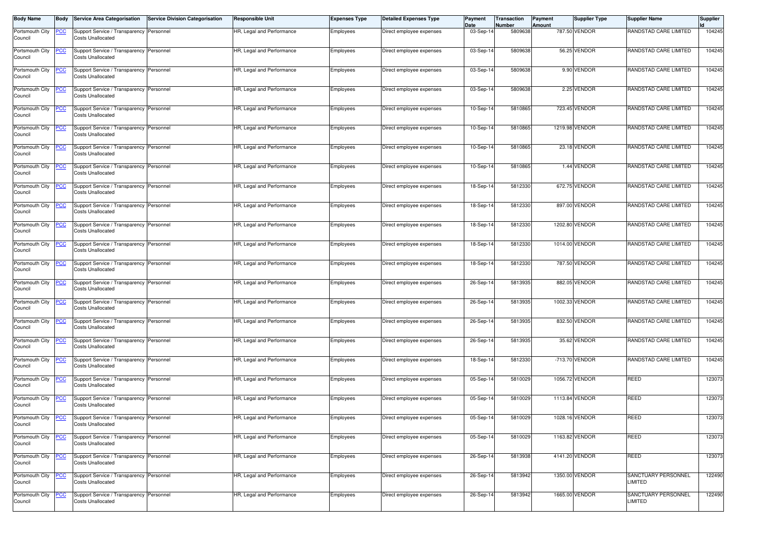| <b>Body Name</b>           | Body       | <b>Service Area Categorisation</b>                                   | <b>Service Division Categorisation</b> | <b>Responsible Unit</b>   | <b>Expenses Type</b> | <b>Detailed Expenses Type</b> | Payment<br>Date | Transaction<br>Number | Payment<br>Amount | <b>Supplier Type</b> | <b>Supplier Name</b>                 | <b>Supplier</b> |
|----------------------------|------------|----------------------------------------------------------------------|----------------------------------------|---------------------------|----------------------|-------------------------------|-----------------|-----------------------|-------------------|----------------------|--------------------------------------|-----------------|
| Portsmouth City<br>Council | <u>PCC</u> | Support Service / Transparency Personnel<br><b>Costs Unallocated</b> |                                        | HR, Legal and Performance | Employees            | Direct employee expenses      | 03-Sep-14       | 5809638               |                   | 787.50 VENDOR        | RANDSTAD CARE LIMITED                | 104245          |
| Portsmouth City<br>Council | <u>PCC</u> | Support Service / Transparency Personnel<br><b>Costs Unallocated</b> |                                        | HR, Legal and Performance | Employees            | Direct employee expenses      | 03-Sep-14       | 5809638               |                   | 56.25 VENDOR         | RANDSTAD CARE LIMITED                | 104245          |
| Portsmouth City<br>Council | <u>PCC</u> | Support Service / Transparency Personnel<br><b>Costs Unallocated</b> |                                        | HR, Legal and Performance | Employees            | Direct employee expenses      | 03-Sep-14       | 5809638               |                   | 9.90 VENDOR          | RANDSTAD CARE LIMITED                | 104245          |
| Portsmouth City<br>Council | <u>PCC</u> | Support Service / Transparency Personnel<br><b>Costs Unallocated</b> |                                        | HR, Legal and Performance | Employees            | Direct employee expenses      | 03-Sep-14       | 5809638               |                   | 2.25 VENDOR          | RANDSTAD CARE LIMITED                | 104245          |
| Portsmouth City<br>Council | <u>PCC</u> | Support Service / Transparency Personnel<br><b>Costs Unallocated</b> |                                        | HR, Legal and Performance | Employees            | Direct employee expenses      | 10-Sep-14       | 5810865               |                   | 723.45 VENDOR        | RANDSTAD CARE LIMITED                | 104245          |
| Portsmouth City<br>Council | <u>PCC</u> | Support Service / Transparency Personnel<br><b>Costs Unallocated</b> |                                        | HR, Legal and Performance | Employees            | Direct employee expenses      | 10-Sep-14       | 5810865               |                   | 1219.98 VENDOR       | RANDSTAD CARE LIMITED                | 104245          |
| Portsmouth City<br>Council | <u>PCC</u> | Support Service / Transparency Personnel<br><b>Costs Unallocated</b> |                                        | HR, Legal and Performance | Employees            | Direct employee expenses      | 10-Sep-14       | 5810865               |                   | 23.18 VENDOR         | RANDSTAD CARE LIMITED                | 104245          |
| Portsmouth City<br>Council | <u>PCC</u> | Support Service / Transparency Personnel<br><b>Costs Unallocated</b> |                                        | HR, Legal and Performance | Employees            | Direct employee expenses      | 10-Sep-14       | 5810865               |                   | 1.44 VENDOR          | RANDSTAD CARE LIMITED                | 104245          |
| Portsmouth City<br>Council | <u>PCC</u> | Support Service / Transparency Personnel<br><b>Costs Unallocated</b> |                                        | HR, Legal and Performance | Employees            | Direct employee expenses      | 18-Sep-14       | 5812330               |                   | 672.75 VENDOR        | RANDSTAD CARE LIMITED                | 104245          |
| Portsmouth City<br>Council | <u>PCC</u> | Support Service / Transparency Personnel<br><b>Costs Unallocated</b> |                                        | HR, Legal and Performance | Employees            | Direct employee expenses      | 18-Sep-14       | 5812330               |                   | 897.00 VENDOR        | RANDSTAD CARE LIMITED                | 104245          |
| Portsmouth City<br>Council | <u>PCC</u> | Support Service / Transparency Personnel<br><b>Costs Unallocated</b> |                                        | HR, Legal and Performance | Employees            | Direct employee expenses      | 18-Sep-14       | 5812330               |                   | 1202.80 VENDOR       | RANDSTAD CARE LIMITED                | 104245          |
| Portsmouth City<br>Council | <u>PCC</u> | Support Service / Transparency Personnel<br><b>Costs Unallocated</b> |                                        | HR, Legal and Performance | Employees            | Direct employee expenses      | 18-Sep-14       | 5812330               |                   | 1014.00 VENDOR       | RANDSTAD CARE LIMITED                | 104245          |
| Portsmouth City<br>Council | <u>PCC</u> | Support Service / Transparency Personnel<br><b>Costs Unallocated</b> |                                        | HR, Legal and Performance | Employees            | Direct employee expenses      | 18-Sep-14       | 5812330               |                   | 787.50 VENDOR        | RANDSTAD CARE LIMITED                | 104245          |
| Portsmouth City<br>Council | <u>PCC</u> | Support Service / Transparency Personnel<br><b>Costs Unallocated</b> |                                        | HR, Legal and Performance | Employees            | Direct employee expenses      | 26-Sep-14       | 5813935               |                   | 882.05 VENDOR        | RANDSTAD CARE LIMITED                | 104245          |
| Portsmouth City<br>Council | <u>PCC</u> | Support Service / Transparency Personnel<br><b>Costs Unallocated</b> |                                        | HR, Legal and Performance | Employees            | Direct employee expenses      | 26-Sep-14       | 5813935               |                   | 1002.33 VENDOR       | RANDSTAD CARE LIMITED                | 104245          |
| Portsmouth City<br>Council | <u>PCC</u> | Support Service / Transparency Personnel<br><b>Costs Unallocated</b> |                                        | HR, Legal and Performance | Employees            | Direct employee expenses      | 26-Sep-14       | 5813935               |                   | 832.50 VENDOR        | RANDSTAD CARE LIMITED                | 104245          |
| Portsmouth City<br>Council | <u>PCC</u> | Support Service / Transparency Personnel<br><b>Costs Unallocated</b> |                                        | HR, Legal and Performance | Employees            | Direct employee expenses      | 26-Sep-14       | 5813935               |                   | 35.62 VENDOR         | RANDSTAD CARE LIMITED                | 104245          |
| Portsmouth City<br>Council | <u>PCC</u> | Support Service / Transparency Personnel<br><b>Costs Unallocated</b> |                                        | HR, Legal and Performance | Employees            | Direct employee expenses      | 18-Sep-14       | 5812330               |                   | -713.70 VENDOR       | RANDSTAD CARE LIMITED                | 104245          |
| Portsmouth City<br>Council | <u>PCC</u> | Support Service / Transparency Personnel<br><b>Costs Unallocated</b> |                                        | HR, Legal and Performance | Employees            | Direct employee expenses      | 05-Sep-14       | 5810029               |                   | 1056.72 VENDOR       | REED                                 | 123073          |
| Portsmouth City<br>Council | <u>PCC</u> | Support Service / Transparency Personnel<br><b>Costs Unallocated</b> |                                        | HR, Legal and Performance | Employees            | Direct employee expenses      | 05-Sep-14       | 5810029               |                   | 1113.84 VENDOR       | REED                                 | 123073          |
| Portsmouth City<br>Council | <u>PCC</u> | Support Service / Transparency Personnel<br><b>Costs Unallocated</b> |                                        | HR, Legal and Performance | Employees            | Direct employee expenses      | $05-Sep-14$     | 5810029               |                   | 1028.16 VENDOR       | REED                                 | 123073          |
| Portsmouth City<br>Council | <u>PCC</u> | Support Service / Transparency Personnel<br><b>Costs Unallocated</b> |                                        | HR, Legal and Performance | Employees            | Direct employee expenses      | 05-Sep-14       | 5810029               |                   | 1163.82 VENDOR       | REED                                 | 123073          |
| Portsmouth City<br>Council | <u>PCC</u> | Support Service / Transparency Personnel<br><b>Costs Unallocated</b> |                                        | HR, Legal and Performance | Employees            | Direct employee expenses      | 26-Sep-14       | 5813938               |                   | 4141.20 VENDOR       | REED                                 | 123073          |
| Portsmouth City<br>Council | <u>PCC</u> | Support Service / Transparency Personnel<br><b>Costs Unallocated</b> |                                        | HR, Legal and Performance | Employees            | Direct employee expenses      | 26-Sep-14       | 5813942               |                   | 1350.00 VENDOR       | SANCTUARY PERSONNEL<br>LIMITED       | 122490          |
| Portsmouth City<br>Council | <u>PCC</u> | Support Service / Transparency Personnel<br><b>Costs Unallocated</b> |                                        | HR, Legal and Performance | Employees            | Direct employee expenses      | 26-Sep-14       | 5813942               |                   | 1665.00 VENDOR       | SANCTUARY PERSONNEL<br><b>IMITED</b> | 122490          |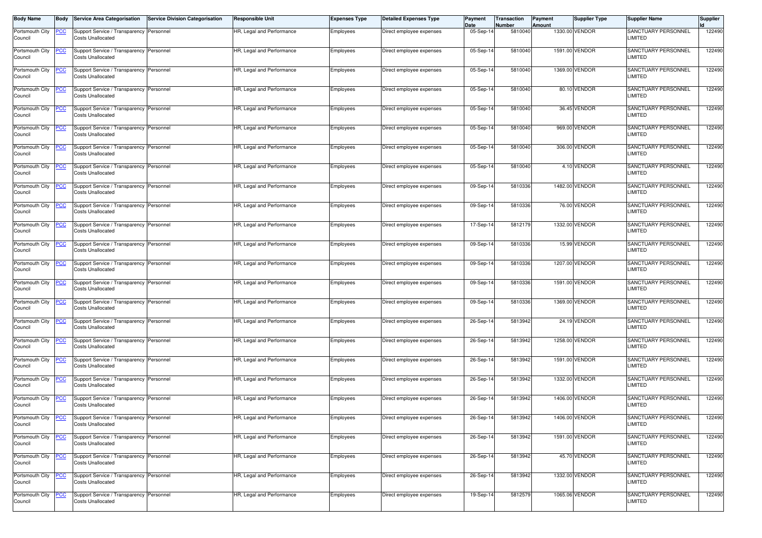| <b>Body Name</b>           | Body       | <b>Service Area Categorisation</b>                                   | <b>Service Division Categorisation</b> | <b>Responsible Unit</b>   | <b>Expenses Type</b> | <b>Detailed Expenses Type</b> | Payment<br>Date | Transaction<br>Number | Payment<br>Amount | <b>Supplier Type</b> | <b>Supplier Name</b>                         | <b>Supplier</b> |
|----------------------------|------------|----------------------------------------------------------------------|----------------------------------------|---------------------------|----------------------|-------------------------------|-----------------|-----------------------|-------------------|----------------------|----------------------------------------------|-----------------|
| Portsmouth City<br>Council | <u>PCC</u> | Support Service / Transparency Personnel<br><b>Costs Unallocated</b> |                                        | HR, Legal and Performance | Employees            | Direct employee expenses      | 05-Sep-14       | 5810040               |                   | 1330.00 VENDOR       | SANCTUARY PERSONNEL<br>LIMITED               | 122490          |
| Portsmouth City<br>Council | <u>PCC</u> | Support Service / Transparency Personnel<br><b>Costs Unallocated</b> |                                        | HR, Legal and Performance | Employees            | Direct employee expenses      | 05-Sep-1        | 5810040               |                   | 1591.00 VENDOR       | SANCTUARY PERSONNEL<br>LIMITED               | 122490          |
| Portsmouth City<br>Council | <u>PCC</u> | Support Service / Transparency Personnel<br><b>Costs Unallocated</b> |                                        | HR, Legal and Performance | Employees            | Direct employee expenses      | 05-Sep-14       | 5810040               |                   | 1369.00 VENDOR       | SANCTUARY PERSONNEL<br><b>LIMITED</b>        | 122490          |
| Portsmouth City<br>Council | <u>PCC</u> | Support Service / Transparency Personnel<br><b>Costs Unallocated</b> |                                        | HR, Legal and Performance | Employees            | Direct employee expenses      | 05-Sep-14       | 5810040               |                   | 80.10 VENDOR         | SANCTUARY PERSONNEL<br><b>LIMITED</b>        | 122490          |
| Portsmouth City<br>Council | <u>PCC</u> | Support Service / Transparency Personnel<br><b>Costs Unallocated</b> |                                        | HR, Legal and Performance | Employees            | Direct employee expenses      | 05-Sep-14       | 5810040               |                   | 36.45 VENDOR         | SANCTUARY PERSONNEL<br><b>LIMITED</b>        | 122490          |
| Portsmouth City<br>Council | <b>CC</b>  | Support Service / Transparency Personnel<br><b>Costs Unallocated</b> |                                        | HR, Legal and Performance | Employees            | Direct employee expenses      | 05-Sep-14       | 5810040               |                   | 969.00 VENDOR        | SANCTUARY PERSONNEL<br>LIMITED               | 122490          |
| Portsmouth City<br>Council | <u>PCC</u> | Support Service / Transparency Personnel<br><b>Costs Unallocated</b> |                                        | HR, Legal and Performance | Employees            | Direct employee expenses      | 05-Sep-14       | 5810040               |                   | 306.00 VENDOR        | SANCTUARY PERSONNEL<br>LIMITED               | 122490          |
| Portsmouth City<br>Council | <u>PCC</u> | Support Service / Transparency Personnel<br><b>Costs Unallocated</b> |                                        | HR, Legal and Performance | Employees            | Direct employee expenses      | 05-Sep-14       | 5810040               |                   | 4.10 VENDOR          | SANCTUARY PERSONNEL<br>LIMITED               | 122490          |
| Portsmouth City<br>Council | <u>PCC</u> | Support Service / Transparency Personnel<br><b>Costs Unallocated</b> |                                        | HR, Legal and Performance | Employees            | Direct employee expenses      | 09-Sep-14       | 5810336               |                   | 1482.00 VENDOR       | SANCTUARY PERSONNEL<br><b>LIMITED</b>        | 122490          |
| Portsmouth City<br>Council | <u>PCC</u> | Support Service / Transparency Personnel<br><b>Costs Unallocated</b> |                                        | HR, Legal and Performance | Employees            | Direct employee expenses      | 09-Sep-14       | 5810336               |                   | 76.00 VENDOR         | SANCTUARY PERSONNEL<br><b>LIMITED</b>        | 122490          |
| Portsmouth City<br>Council | <u>PCC</u> | Support Service / Transparency Personnel<br><b>Costs Unallocated</b> |                                        | HR, Legal and Performance | Employees            | Direct employee expenses      | 17-Sep-1        | 5812179               |                   | 1332.00 VENDOR       | SANCTUARY PERSONNEL<br>LIMITED               | 122490          |
| Portsmouth City<br>Council | <u>PCC</u> | Support Service / Transparency Personnel<br><b>Costs Unallocated</b> |                                        | HR, Legal and Performance | Employees            | Direct employee expenses      | 09-Sep-14       | 5810336               |                   | 15.99 VENDOR         | <b>SANCTUARY PERSONNEL</b><br><b>LIMITED</b> | 122490          |
| Portsmouth City<br>Council | <u>PCC</u> | Support Service / Transparency Personnel<br><b>Costs Unallocated</b> |                                        | HR, Legal and Performance | Employees            | Direct employee expenses      | 09-Sep-14       | 5810336               |                   | 1207.00 VENDOR       | <b>SANCTUARY PERSONNEL</b><br><b>LIMITED</b> | 122490          |
| Portsmouth City<br>Council | <u>PCC</u> | Support Service / Transparency Personnel<br><b>Costs Unallocated</b> |                                        | HR, Legal and Performance | Employees            | Direct employee expenses      | 09-Sep-14       | 5810336               |                   | 1591.00 VENDOR       | SANCTUARY PERSONNEL<br><b>LIMITED</b>        | 122490          |
| Portsmouth City<br>Council | <b>PCC</b> | Support Service / Transparency Personnel<br><b>Costs Unallocated</b> |                                        | HR, Legal and Performance | Employees            | Direct employee expenses      | 09-Sep-1        | 5810336               |                   | 1369.00 VENDOR       | SANCTUARY PERSONNEL<br>LIMITED               | 122490          |
| Portsmouth City<br>Council | <u>PCC</u> | Support Service / Transparency Personnel<br><b>Costs Unallocated</b> |                                        | HR, Legal and Performance | Employees            | Direct employee expenses      | 26-Sep-14       | 5813942               |                   | 24.19 VENDOR         | SANCTUARY PERSONNEL<br>LIMITED               | 122490          |
| Portsmouth City<br>Council | <u>PCC</u> | Support Service / Transparency Personnel<br><b>Costs Unallocated</b> |                                        | HR, Legal and Performance | Employees            | Direct employee expenses      | 26-Sep-14       | 5813942               |                   | 1258.00 VENDOR       | SANCTUARY PERSONNEL<br>LIMITED               | 122490          |
| Portsmouth City<br>Council | <u>PCC</u> | Support Service / Transparency Personnel<br><b>Costs Unallocated</b> |                                        | HR, Legal and Performance | Employees            | Direct employee expenses      | 26-Sep-14       | 5813942               |                   | 1591.00 VENDOR       | SANCTUARY PERSONNEL<br><b>LIMITED</b>        | 122490          |
| Portsmouth City<br>Council | <u>PCC</u> | Support Service / Transparency Personnel<br><b>Costs Unallocated</b> |                                        | HR, Legal and Performance | Employees            | Direct employee expenses      | 26-Sep-14       | 5813942               |                   | 1332.00 VENDOR       | SANCTUARY PERSONNEL<br><b>LIMITED</b>        | 122490          |
| Portsmouth City<br>Council | <u>PCC</u> | Support Service / Transparency Personnel<br><b>Costs Unallocated</b> |                                        | HR, Legal and Performance | Employees            | Direct employee expenses      | 26-Sep-14       | 5813942               |                   | 1406.00 VENDOR       | SANCTUARY PERSONNEL<br>LIMITED               | 122490          |
| Portsmouth City<br>Council | <u>PCC</u> | Support Service / Transparency Personnel<br><b>Costs Unallocated</b> |                                        | HR, Legal and Performance | Employees            | Direct employee expenses      | 26-Sep-14       | 5813942               |                   | 1406.00 VENDOR       | SANCTUARY PERSONNEL<br>LIMITED               | 122490          |
| Portsmouth City<br>Council | <b>PCC</b> | Support Service / Transparency Personnel<br><b>Costs Unallocated</b> |                                        | HR, Legal and Performance | Employees            | Direct employee expenses      | 26-Sep-14       | 5813942               |                   | 1591.00 VENDOR       | SANCTUARY PERSONNEL<br>LIMITED               | 122490          |
| Portsmouth City<br>Council | <u>PCC</u> | Support Service / Transparency Personnel<br><b>Costs Unallocated</b> |                                        | HR, Legal and Performance | Employees            | Direct employee expenses      | 26-Sep-14       | 5813942               |                   | 45.70 VENDOR         | SANCTUARY PERSONNEL<br>LIMITED               | 122490          |
| Portsmouth City<br>Council | <u>PCC</u> | Support Service / Transparency Personnel<br><b>Costs Unallocated</b> |                                        | HR, Legal and Performance | Employees            | Direct employee expenses      | 26-Sep-14       | 5813942               |                   | 1332.00 VENDOR       | SANCTUARY PERSONNEL<br><b>LIMITED</b>        | 122490          |
| Portsmouth City<br>Council | <u>PCC</u> | Support Service / Transparency Personnel<br><b>Costs Unallocated</b> |                                        | HR, Legal and Performance | Employees            | Direct employee expenses      | 19-Sep-14       | 5812579               |                   | 1065.06 VENDOR       | SANCTUARY PERSONNEL<br>LIMITED               | 122490          |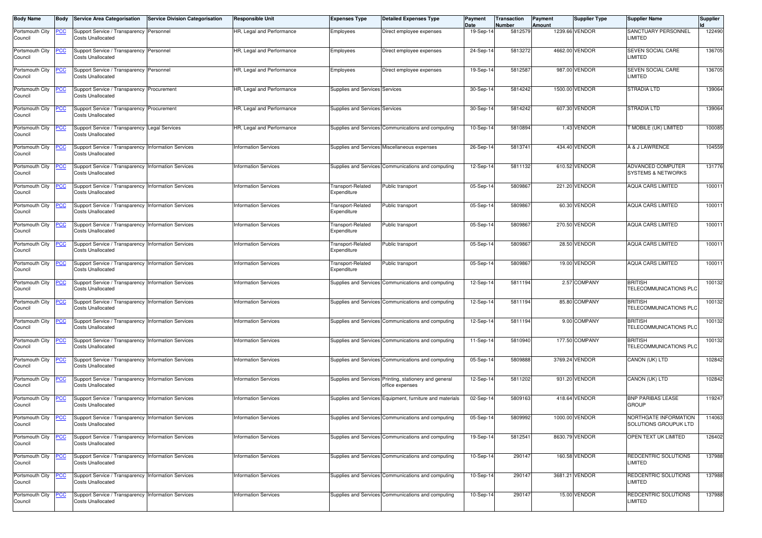| <b>Body Name</b>           |            | <b>Service Area Categorisation</b>                                              | <b>Service Division Categorisation</b> | <b>Responsible Unit</b>     | <b>Expenses Type</b>             | <b>Detailed Expenses Type</b>                                             | Payment<br>Date | Transaction<br>Number | Payment<br>Amount | <b>Supplier Type</b> | <b>Supplier Name</b>                                      | Supplier |
|----------------------------|------------|---------------------------------------------------------------------------------|----------------------------------------|-----------------------------|----------------------------------|---------------------------------------------------------------------------|-----------------|-----------------------|-------------------|----------------------|-----------------------------------------------------------|----------|
| Portsmouth City<br>Council | <u>PCC</u> | Support Service / Transparency Personnel<br><b>Costs Unallocated</b>            |                                        | HR, Legal and Performance   | Employees                        | Direct employee expenses                                                  | 19-Sep-1        | 5812579               |                   | 1239.66 VENDOR       | SANCTUARY PERSONNEL<br>LIMITED                            | 122490   |
| Portsmouth City<br>Council | <u>PCC</u> | Support Service / Transparency Personnel<br><b>Costs Unallocated</b>            |                                        | HR, Legal and Performance   | Employees                        | Direct employee expenses                                                  | 24-Sep-1        | 5813272               |                   | 4662.00 VENDOR       | SEVEN SOCIAL CARE<br>LIMITED                              | 136705   |
| Portsmouth City<br>Council | <u>PCC</u> | Support Service / Transparency Personnel<br><b>Costs Unallocated</b>            |                                        | HR, Legal and Performance   | Employees                        | Direct employee expenses                                                  | 19-Sep-1        | 5812587               |                   | 987.00 VENDOR        | SEVEN SOCIAL CARE<br>LIMITED                              | 136705   |
| Portsmouth City<br>Council | <u>PCC</u> | Support Service / Transparency Procurement<br><b>Costs Unallocated</b>          |                                        | HR, Legal and Performance   | Supplies and Services Services   |                                                                           | 30-Sep-1        | 5814242               |                   | 1500.00 VENDOR       | STRADIA LTD                                               | 139064   |
| Portsmouth City<br>Council | <u>PCC</u> | Support Service / Transparency Procurement<br><b>Costs Unallocated</b>          |                                        | HR, Legal and Performance   | Supplies and Services Services   |                                                                           | 30-Sep-14       | 5814242               |                   | 607.30 VENDOR        | <b>STRADIA LTD</b>                                        | 139064   |
| Portsmouth City<br>Council | <b>CC</b>  | Support Service / Transparency Legal Services<br><b>Costs Unallocated</b>       |                                        | HR, Legal and Performance   |                                  | Supplies and Services Communications and computing                        | 10-Sep-14       | 5810894               |                   | 1.43 VENDOR          | MOBILE (UK) LIMITED                                       | 100085   |
| Portsmouth City<br>Council | <u>PCC</u> | Support Service / Transparency Information Services<br><b>Costs Unallocated</b> |                                        | <b>Information Services</b> |                                  | Supplies and Services Miscellaneous expenses                              | 26-Sep-14       | 5813741               |                   | 434.40 VENDOR        | A & J LAWRENCE                                            | 104559   |
| Portsmouth City<br>Council | <u>PCC</u> | Support Service / Transparency<br><b>Costs Unallocated</b>                      | <b>Information Services</b>            | <b>Information Services</b> |                                  | Supplies and Services Communications and computing                        | 12-Sep-14       | 5811132               |                   | 610.52 VENDOR        | <b>ADVANCED COMPUTER</b><br><b>SYSTEMS &amp; NETWORKS</b> | 131776   |
| Portsmouth City<br>Council | <u>PCC</u> | Support Service / Transparency Information Services<br><b>Costs Unallocated</b> |                                        | <b>Information Services</b> | Transport-Related<br>Expenditure | Public transport                                                          | 05-Sep-14       | 580986                |                   | 221.20 VENDOR        | <b>AQUA CARS LIMITED</b>                                  | 100011   |
| Portsmouth City<br>Council | <u>PCC</u> | Support Service / Transparency Information Services<br><b>Costs Unallocated</b> |                                        | <b>Information Services</b> | Fransport-Related<br>Expenditure | Public transport                                                          | 05-Sep-1        | 580986                |                   | 60.30 VENDOR         | <b>AQUA CARS LIMITED</b>                                  | 10001    |
| Portsmouth City<br>Council | <u>PCC</u> | Support Service / Transparency Information Services<br><b>Costs Unallocated</b> |                                        | <b>Information Services</b> | Transport-Related<br>Expenditure | Public transport                                                          | 05-Sep-1        | 580986                |                   | 270.50 VENDOR        | AQUA CARS LIMITED                                         | 10001    |
| Portsmouth City<br>Council | <u>PCC</u> | Support Service / Transparency Information Services<br><b>Costs Unallocated</b> |                                        | <b>Information Services</b> | Fransport-Related<br>Expenditure | Public transport                                                          | 05-Sep-14       | 5809867               |                   | 28.50 VENDOR         | <b>AQUA CARS LIMITED</b>                                  | 10001    |
| Portsmouth City<br>Council | <b>PCC</b> | Support Service / Transparency Information Services<br><b>Costs Unallocated</b> |                                        | <b>Information Services</b> | Transport-Related<br>Expenditure | Public transport                                                          | 05-Sep-14       | 580986                |                   | 19.00 VENDOR         | <b>AQUA CARS LIMITED</b>                                  | 100011   |
| Portsmouth City<br>Council | <u>PCC</u> | Support Service / Transparency Information Services<br><b>Costs Unallocated</b> |                                        | <b>Information Services</b> |                                  | Supplies and Services Communications and computing                        | 12-Sep-14       | 5811194               |                   | 2.57 COMPANY         | <b>BRITISH</b><br>TELECOMMUNICATIONS PLC                  | 100132   |
| Portsmouth City<br>Council | <b>PCC</b> | Support Service / Transparency Information Services<br><b>Costs Unallocated</b> |                                        | <b>Information Services</b> |                                  | Supplies and Services Communications and computing                        | 12-Sep-1        | 5811194               |                   | 85.80 COMPANY        | <b>BRITISH</b><br>TELECOMMUNICATIONS PLC                  | 100132   |
| Portsmouth City<br>Council | <u>PCC</u> | Support Service / Transparency Information Services<br><b>Costs Unallocated</b> |                                        | <b>Information Services</b> |                                  | Supplies and Services Communications and computing                        | 12-Sep-14       | 5811194               |                   | 9.00 COMPANY         | <b>BRITISH</b><br><b><i>FELECOMMUNICATIONS PLC</i></b>    | 100132   |
| Portsmouth City<br>Council | <u>PCC</u> | Support Service / Transparency Information Services<br><b>Costs Unallocated</b> |                                        | <b>Information Services</b> |                                  | Supplies and Services Communications and computing                        | 11-Sep-14       | 5810940               |                   | 177.50 COMPANY       | <b>BRITISH</b><br>TELECOMMUNICATIONS PLC                  | 100132   |
| Portsmouth City<br>Council | <u>PCC</u> | Support Service / Transparency<br><b>Costs Unallocated</b>                      | <b>Information Services</b>            | <b>Information Services</b> |                                  | Supplies and Services Communications and computing                        | 05-Sep-1        | 5809888               |                   | 3769.24 VENDOR       | CANON (UK) LTD                                            | 102842   |
| Portsmouth City<br>Council | <u>PCC</u> | Support Service / Transparency Information Services<br><b>Costs Unallocated</b> |                                        | <b>Information Services</b> |                                  | Supplies and Services Printing, stationery and general<br>office expenses | 12-Sep-1        | 5811202               |                   | 931.20 VENDOR        | CANON (UK) LTD                                            | 102842   |
| Portsmouth City<br>Council | <u>PCC</u> | Support Service / Transparency Information Services<br><b>Costs Unallocated</b> |                                        | <b>Information Services</b> |                                  | Supplies and Services Equipment, furniture and materials                  | 02-Sep-14       | 5809163               |                   | 418.64 VENDOR        | <b>BNP PARIBAS LEASE</b><br><b>GROUP</b>                  | 119247   |
| Portsmouth City<br>Council | <u>PCC</u> | Support Service / Transparency Information Services<br><b>Costs Unallocated</b> |                                        | <b>Information Services</b> |                                  | Supplies and Services Communications and computing                        | 05-Sep-14       | 5809992               |                   | 1000.00 VENDOR       | NORTHGATE INFORMATION<br>SOLUTIONS GROUPUK LTD            | 114063   |
| Portsmouth City<br>Council | <u>PCC</u> | Support Service / Transparency Information Services<br><b>Costs Unallocated</b> |                                        | <b>Information Services</b> |                                  | Supplies and Services Communications and computing                        | 19-Sep-14       | 5812541               |                   | 8630.79 VENDOR       | OPEN TEXT UK LIMITED                                      | 126402   |
| Portsmouth City<br>Council | <u>PCC</u> | Support Service / Transparency Information Services<br><b>Costs Unallocated</b> |                                        | <b>Information Services</b> |                                  | Supplies and Services Communications and computing                        | 10-Sep-14       | 290147                |                   | 160.58 VENDOR        | REDCENTRIC SOLUTIONS<br>LIMITED                           | 137988   |
| Portsmouth City<br>Council | <u>PCC</u> | Support Service / Transparency Information Services<br><b>Costs Unallocated</b> |                                        | <b>Information Services</b> |                                  | Supplies and Services Communications and computing                        | 10-Sep-14       | 290147                |                   | 3681.21 VENDOR       | REDCENTRIC SOLUTIONS<br><b>LIMITED</b>                    | 137988   |
| Portsmouth City<br>Council | <u>PCC</u> | Support Service / Transparency Information Services<br><b>Costs Unallocated</b> |                                        | <b>Information Services</b> |                                  | Supplies and Services Communications and computing                        | 10-Sep-14       | 290147                |                   | 15.00 VENDOR         | REDCENTRIC SOLUTIONS<br>LIMITED                           | 137988   |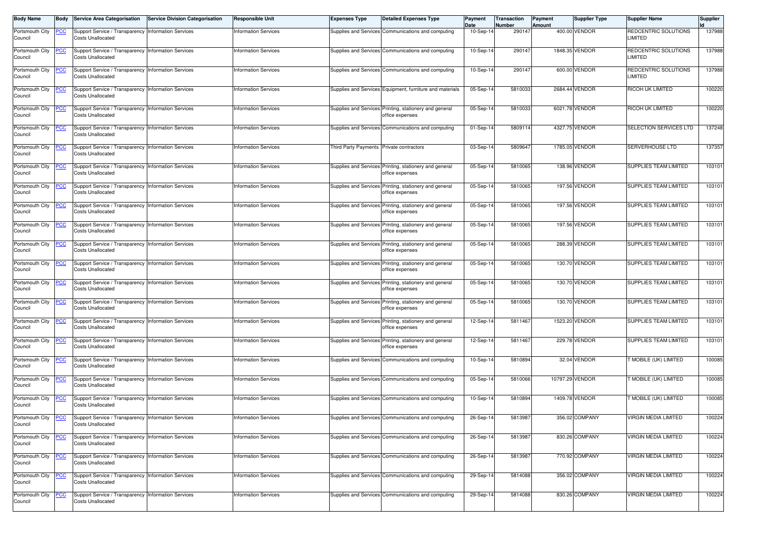| <b>Body Name</b>           | <b>Body</b> | Service Area Categorisation                                                     | <b>Service Division Categorisation</b> | <b>Responsible Unit</b>     | <b>Expenses Type</b> | <b>Detailed Expenses Type</b>                                             | Payment<br>Date | Transaction<br>Number | Payment<br>Amount | <b>Supplier Type</b> | <b>Supplier Name</b>         | <b>Supplier</b> |
|----------------------------|-------------|---------------------------------------------------------------------------------|----------------------------------------|-----------------------------|----------------------|---------------------------------------------------------------------------|-----------------|-----------------------|-------------------|----------------------|------------------------------|-----------------|
| Portsmouth City            | <b>PCC</b>  | Support Service / Transparency Information Services                             |                                        | <b>Information Services</b> |                      | Supplies and Services Communications and computing                        | 10-Sep-1        | 290147                |                   | 400.00 VENDOR        | REDCENTRIC SOLUTIONS         | 137988          |
| Council                    |             | Costs Unallocated                                                               |                                        |                             |                      |                                                                           |                 |                       |                   |                      | <b>IMITED</b>                |                 |
| Portsmouth City            | <b>PCC</b>  | Support Service / Transparency Information Services                             |                                        | <b>Information Services</b> |                      | Supplies and Services Communications and computing                        | 10-Sep-14       | 29014                 |                   | 1848.35 VENDOR       | REDCENTRIC SOLUTIONS         | 137988          |
| Council                    |             | <b>Costs Unallocated</b>                                                        |                                        |                             |                      |                                                                           |                 |                       |                   |                      | <b>IMITED</b>                |                 |
| Portsmouth City            | <b>PCC</b>  | Support Service / Transparency Information Services                             |                                        | <b>Information Services</b> |                      | Supplies and Services Communications and computing                        | 10-Sep-14       | 290147                |                   | 600.00 VENDOR        | REDCENTRIC SOLUTIONS         | 137988          |
| Council                    |             | <b>Costs Unallocated</b>                                                        |                                        |                             |                      |                                                                           |                 |                       |                   |                      | <b>IMITED</b>                |                 |
| Portsmouth City            | <b>PCC</b>  | Support Service / Transparency Information Services                             |                                        | <b>Information Services</b> |                      | Supplies and Services Equipment, furniture and materials                  | $05-Sep-1$      | 5810033               |                   | 2684.44 VENDOR       | RICOH UK LIMITED             | 100220          |
| Council                    |             | <b>Costs Unallocated</b>                                                        |                                        |                             |                      |                                                                           |                 |                       |                   |                      |                              |                 |
|                            |             |                                                                                 |                                        |                             |                      |                                                                           |                 |                       |                   |                      |                              |                 |
| Portsmouth City<br>Council | <b>PCC</b>  | Support Service / Transparency Information Services<br><b>Costs Unallocated</b> |                                        | <b>Information Services</b> |                      | Supplies and Services Printing, stationery and general<br>office expenses | 05-Sep-14       | 5810033               |                   | 6021.78 VENDOR       | RICOH UK LIMITED             | 100220          |
|                            |             |                                                                                 |                                        |                             |                      |                                                                           |                 |                       |                   |                      |                              |                 |
| Portsmouth City<br>Council | <u>CC</u>   | Support Service / Transparency Information Services<br><b>Costs Unallocated</b> |                                        | <b>Information Services</b> |                      | Supplies and Services Communications and computing                        | $01-Sep-1$      | 5809114               |                   | 4327.75 VENDOR       | SELECTION SERVICES LTD       | 137248          |
|                            |             |                                                                                 |                                        |                             |                      |                                                                           |                 |                       |                   |                      |                              |                 |
| Portsmouth City            | <u>CC </u>  | Support Service / Transparency Information Services                             |                                        | Information Services        | Third Party Payments | Private contractors                                                       | 03-Sep-14       | 5809647               |                   | 1785.05 VENDOR       | SERVERHOUSE LTD              | 137357          |
| Council                    |             | <b>Costs Unallocated</b>                                                        |                                        |                             |                      |                                                                           |                 |                       |                   |                      |                              |                 |
| Portsmouth City            | <b>PCC</b>  | Support Service / Transparency Information Services                             |                                        | nformation Services         |                      | Supplies and Services Printing, stationery and general                    | 05-Sep-14       | 5810065               |                   | 138.96 VENDOR        | SUPPLIES TEAM LIMITED        | 103101          |
| Council                    |             | Costs Unallocated                                                               |                                        |                             |                      | office expenses                                                           |                 |                       |                   |                      |                              |                 |
| Portsmouth City            | <u>PCC</u>  | Support Service / Transparency Information Services                             |                                        | <b>Information Services</b> |                      | Supplies and Services Printing, stationery and general                    | 05-Sep-14       | 5810065               |                   | 197.56 VENDOR        | <b>SUPPLIES TEAM LIMITED</b> | 103101          |
| Council                    |             | <b>Costs Unallocated</b>                                                        |                                        |                             |                      | office expenses                                                           |                 |                       |                   |                      |                              |                 |
| Portsmouth City            | <u>PCC</u>  | Support Service / Transparency Information Services                             |                                        | <b>Information Services</b> |                      | Supplies and Services Printing, stationery and general                    | 05-Sep-1        | 5810065               |                   | 197.56 VENDOR        | SUPPLIES TEAM LIMITED        | 103101          |
| Council                    |             | <b>Costs Unallocated</b>                                                        |                                        |                             |                      | office expenses                                                           |                 |                       |                   |                      |                              |                 |
| Portsmouth City            | <b>CC</b>   | Support Service / Transparency Information Services                             |                                        | Information Services        |                      | Supplies and Services Printing, stationery and general                    | 05-Sep-1        | 5810065               |                   | 197.56 VENDOR        | SUPPLIES TEAM LIMITED        | 103101          |
| Council                    |             | <b>Costs Unallocated</b>                                                        |                                        |                             |                      | office expenses                                                           |                 |                       |                   |                      |                              |                 |
|                            |             |                                                                                 |                                        |                             |                      |                                                                           |                 |                       |                   |                      |                              |                 |
| Portsmouth City<br>Council | <b>PCC</b>  | Support Service / Transparency Information Services<br><b>Costs Unallocated</b> |                                        | <b>Information Services</b> |                      | Supplies and Services Printing, stationery and general<br>office expenses | 05-Sep-14       | 5810065               |                   | 288.39 VENDOR        | <b>SUPPLIES TEAM LIMITED</b> | 103101          |
|                            |             |                                                                                 |                                        |                             |                      |                                                                           |                 |                       |                   |                      |                              |                 |
| Portsmouth City<br>Council | <u>PCC</u>  | Support Service / Transparency Information Services<br><b>Costs Unallocated</b> |                                        | <b>Information Services</b> |                      | Supplies and Services Printing, stationery and general<br>office expenses | 05-Sep-14       | 5810065               |                   | 130.70 VENDOR        | SUPPLIES TEAM LIMITED        | 103101          |
|                            |             |                                                                                 |                                        |                             |                      |                                                                           |                 |                       |                   |                      |                              |                 |
| Portsmouth City            | <u>CC </u>  | Support Service / Transparency Information Services                             |                                        | <b>Information Services</b> |                      | Supplies and Services Printing, stationery and general                    | $05-Sep-14$     | 5810065               |                   | 130.70 VENDOR        | SUPPLIES TEAM LIMITED        | 103101          |
| Council                    |             | <b>Costs Unallocated</b>                                                        |                                        |                             |                      | office expenses                                                           |                 |                       |                   |                      |                              |                 |
| Portsmouth City            | <u>PCC</u>  | Support Service / Transparency Information Services                             |                                        | Information Services        |                      | Supplies and Services Printing, stationery and general                    | 05-Sep-14       | 5810065               |                   | 130.70 VENDOR        | SUPPLIES TEAM LIMITED        | 103101          |
| Council                    |             | Costs Unallocated                                                               |                                        |                             |                      | office expenses                                                           |                 |                       |                   |                      |                              |                 |
| Portsmouth City            | <u>PCC</u>  | Support Service / Transparency Information Services                             |                                        | nformation Services         |                      | Supplies and Services Printing, stationery and general                    | 12-Sep-14       | 5811467               |                   | 1523.20 VENDOR       | SUPPLIES TEAM LIMITED        | 103101          |
| Council                    |             | <b>Costs Unallocated</b>                                                        |                                        |                             |                      | office expenses                                                           |                 |                       |                   |                      |                              |                 |
| Portsmouth City            | <u>PCC</u>  | Support Service / Transparency Information Services                             |                                        | <b>Information Services</b> |                      | Supplies and Services Printing, stationery and general                    | 12-Sep-14       | 5811467               |                   | 229.78 VENDOR        | <b>SUPPLIES TEAM LIMITED</b> | 103101          |
| Council                    |             | <b>Costs Unallocated</b>                                                        |                                        |                             |                      | office expenses                                                           |                 |                       |                   |                      |                              |                 |
| Portsmouth City            | <u>CC</u>   | Support Service / Transparency Information Services                             |                                        | <b>Information Services</b> |                      | Supplies and Services Communications and computing                        | 10-Sep-14       | 5810894               |                   | 32.04 VENDOR         | <b>F MOBILE (UK) LIMITED</b> | 100085          |
| Council                    |             | <b>Costs Unallocated</b>                                                        |                                        |                             |                      |                                                                           |                 |                       |                   |                      |                              |                 |
|                            |             |                                                                                 |                                        |                             |                      |                                                                           |                 |                       |                   |                      |                              |                 |
| Portsmouth City<br>Council | <u>PCC</u>  | Support Service / Transparency Information Services<br>Costs Unallocated        |                                        | <b>Information Services</b> |                      | Supplies and Services Communications and computing                        | 05-Sep-14       | 5810066               |                   | 10797.29 VENDOR      | <b>MOBILE (UK) LIMITED</b>   | 100085          |
|                            |             |                                                                                 |                                        |                             |                      |                                                                           |                 |                       |                   |                      |                              |                 |
| Portsmouth City<br>Council | <b>PCC</b>  | Support Service / Transparency Information Services<br><b>Costs Unallocated</b> |                                        | <b>Information Services</b> |                      | Supplies and Services Communications and computing                        | $10-Sep-1$      | 5810894               |                   | 1409.78 VENDOR       | <b>MOBILE (UK) LIMITED</b>   | 100085          |
|                            |             |                                                                                 |                                        |                             |                      |                                                                           |                 |                       |                   |                      |                              |                 |
| Portsmouth City            | <b>PCC</b>  | Support Service / Transparency Information Services                             |                                        | <b>Information Services</b> |                      | Supplies and Services Communications and computing                        | 26-Sep-14       | 5813987               |                   | 356.02 COMPANY       | <b>VIRGIN MEDIA LIMITED</b>  | 100224          |
| Council                    |             | Costs Unallocated                                                               |                                        |                             |                      |                                                                           |                 |                       |                   |                      |                              |                 |
| Portsmouth City            | <b>PCC</b>  | Support Service / Transparency Information Services                             |                                        | <b>Information Services</b> |                      | Supplies and Services Communications and computing                        | 26-Sep-14       | 5813987               |                   | 830.26 COMPANY       | VIRGIN MEDIA LIMITED         | 100224          |
| Council                    |             | <b>Costs Unallocated</b>                                                        |                                        |                             |                      |                                                                           |                 |                       |                   |                      |                              |                 |
| Portsmouth City            | <u>PCC</u>  | Support Service / Transparency Information Services                             |                                        | <b>Information Services</b> |                      | Supplies and Services Communications and computing                        | 26-Sep-14       | 5813987               |                   | 770.92 COMPANY       | VIRGIN MEDIA LIMITED         | 100224          |
| Council                    |             | <b>Costs Unallocated</b>                                                        |                                        |                             |                      |                                                                           |                 |                       |                   |                      |                              |                 |
| Portsmouth City            | <b>PCC</b>  | Support Service / Transparency Information Services                             |                                        | <b>Information Services</b> |                      | Supplies and Services Communications and computing                        | 29-Sep-14       | 5814088               |                   | 356.02 COMPANY       | VIRGIN MEDIA LIMITED         | 100224          |
| Council                    |             | <b>Costs Unallocated</b>                                                        |                                        |                             |                      |                                                                           |                 |                       |                   |                      |                              |                 |
| Portsmouth City            | <u>PCC</u>  | Support Service / Transparency Information Services                             |                                        | <b>Information Services</b> |                      | Supplies and Services Communications and computing                        | 29-Sep-14       | 5814088               |                   | 830.26 COMPANY       | VIRGIN MEDIA LIMITED         | 100224          |
| Council                    |             | <b>Costs Unallocated</b>                                                        |                                        |                             |                      |                                                                           |                 |                       |                   |                      |                              |                 |
|                            |             |                                                                                 |                                        |                             |                      |                                                                           |                 |                       |                   |                      |                              |                 |